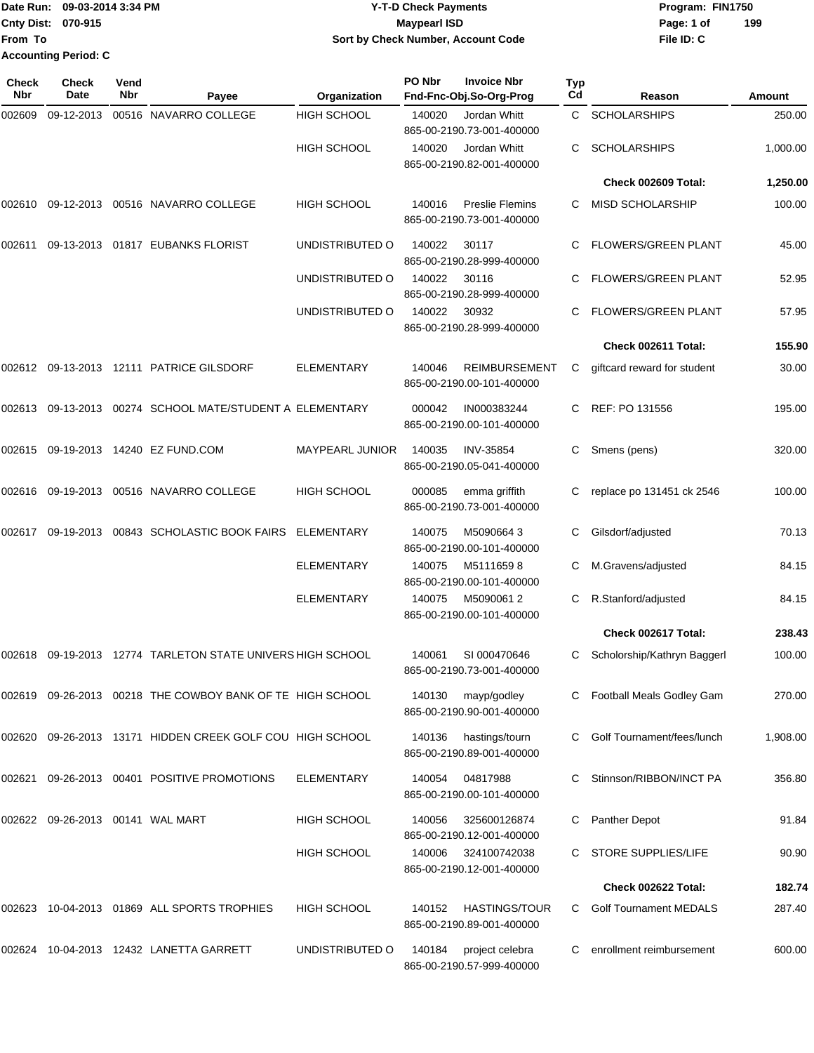|                             | Date Run: 09-03-2014 3:34 PM | <b>Y-T-D Check Payments</b>        | Program: FIN1750 |     |
|-----------------------------|------------------------------|------------------------------------|------------------|-----|
| <b>Cnty Dist: 070-915</b>   |                              | <b>Mavpearl ISD</b>                | Page: 1 of       | 199 |
| <b>IFrom To</b>             |                              | Sort by Check Number, Account Code | File ID: C       |     |
| <b>Accounting Period: C</b> |                              |                                    |                  |     |

| Check<br>Nbr | <b>Check</b><br>Date             | Vend<br><b>Nbr</b> | Payee                                               | Organization           | PO Nbr | <b>Invoice Nbr</b><br>Fnd-Fnc-Obj.So-Org-Prog       | Typ<br>Cd | Reason                        | Amount   |
|--------------|----------------------------------|--------------------|-----------------------------------------------------|------------------------|--------|-----------------------------------------------------|-----------|-------------------------------|----------|
| 002609       | 09-12-2013                       |                    | 00516 NAVARRO COLLEGE                               | <b>HIGH SCHOOL</b>     | 140020 | Jordan Whitt<br>865-00-2190.73-001-400000           | C         | <b>SCHOLARSHIPS</b>           | 250.00   |
|              |                                  |                    |                                                     | <b>HIGH SCHOOL</b>     | 140020 | Jordan Whitt<br>865-00-2190.82-001-400000           | С         | <b>SCHOLARSHIPS</b>           | 1,000.00 |
|              |                                  |                    |                                                     |                        |        |                                                     |           | Check 002609 Total:           | 1,250.00 |
| 002610       |                                  |                    | 09-12-2013  00516  NAVARRO COLLEGE                  | <b>HIGH SCHOOL</b>     | 140016 | <b>Preslie Flemins</b><br>865-00-2190.73-001-400000 | C         | <b>MISD SCHOLARSHIP</b>       | 100.00   |
| 002611       |                                  |                    | 09-13-2013  01817  EUBANKS FLORIST                  | UNDISTRIBUTED O        | 140022 | 30117<br>865-00-2190.28-999-400000                  | C         | <b>FLOWERS/GREEN PLANT</b>    | 45.00    |
|              |                                  |                    |                                                     | UNDISTRIBUTED O        | 140022 | 30116<br>865-00-2190.28-999-400000                  |           | FLOWERS/GREEN PLANT           | 52.95    |
|              |                                  |                    |                                                     | UNDISTRIBUTED O        | 140022 | 30932<br>865-00-2190.28-999-400000                  | C.        | <b>FLOWERS/GREEN PLANT</b>    | 57.95    |
|              |                                  |                    |                                                     |                        |        |                                                     |           | Check 002611 Total:           | 155.90   |
|              |                                  |                    | 002612  09-13-2013  12111  PATRICE GILSDORF         | <b>ELEMENTARY</b>      | 140046 | <b>REIMBURSEMENT</b><br>865-00-2190.00-101-400000   | С         | giftcard reward for student   | 30.00    |
| 002613       |                                  |                    | 09-13-2013  00274  SCHOOL MATE/STUDENT A ELEMENTARY |                        | 000042 | IN000383244<br>865-00-2190.00-101-400000            | C         | REF: PO 131556                | 195.00   |
| 002615       |                                  |                    | 09-19-2013 14240 EZ FUND.COM                        | <b>MAYPEARL JUNIOR</b> | 140035 | <b>INV-35854</b><br>865-00-2190.05-041-400000       | С         | Smens (pens)                  | 320.00   |
| 002616       |                                  |                    | 09-19-2013 00516 NAVARRO COLLEGE                    | <b>HIGH SCHOOL</b>     | 000085 | emma griffith<br>865-00-2190.73-001-400000          |           | replace po 131451 ck 2546     | 100.00   |
| 002617       |                                  |                    | 09-19-2013 00843 SCHOLASTIC BOOK FAIRS              | ELEMENTARY             | 140075 | M50906643<br>865-00-2190.00-101-400000              | С         | Gilsdorf/adjusted             | 70.13    |
|              |                                  |                    |                                                     | <b>ELEMENTARY</b>      | 140075 | M51116598<br>865-00-2190.00-101-400000              | С         | M.Gravens/adjusted            | 84.15    |
|              |                                  |                    |                                                     | <b>ELEMENTARY</b>      | 140075 | M50900612<br>865-00-2190.00-101-400000              | C         | R.Stanford/adjusted           | 84.15    |
|              |                                  |                    |                                                     |                        |        |                                                     |           | Check 002617 Total:           | 238.43   |
| 002618       |                                  |                    | 09-19-2013 12774 TARLETON STATE UNIVERS HIGH SCHOOL |                        | 140061 | SI 000470646<br>865-00-2190.73-001-400000           | C         | Scholorship/Kathryn Baggerl   | 100.00   |
| 002619       |                                  |                    | 09-26-2013 00218 THE COWBOY BANK OF TE HIGH SCHOOL  |                        | 140130 | mayp/godley<br>865-00-2190.90-001-400000            |           | Football Meals Godley Gam     | 270.00   |
| 002620       |                                  |                    | 09-26-2013 13171 HIDDEN CREEK GOLF COU HIGH SCHOOL  |                        | 140136 | hastings/tourn<br>865-00-2190.89-001-400000         |           | Golf Tournament/fees/lunch    | 1,908.00 |
| 002621       |                                  |                    | 09-26-2013 00401 POSITIVE PROMOTIONS                | ELEMENTARY             | 140054 | 04817988<br>865-00-2190.00-101-400000               | С         | Stinnson/RIBBON/INCT PA       | 356.80   |
|              | 002622 09-26-2013 00141 WAL MART |                    |                                                     | <b>HIGH SCHOOL</b>     | 140056 | 325600126874<br>865-00-2190.12-001-400000           | C         | Panther Depot                 | 91.84    |
|              |                                  |                    |                                                     | HIGH SCHOOL            | 140006 | 324100742038<br>865-00-2190.12-001-400000           |           | <b>STORE SUPPLIES/LIFE</b>    | 90.90    |
|              |                                  |                    |                                                     |                        |        |                                                     |           | Check 002622 Total:           | 182.74   |
| 002623       |                                  |                    | 10-04-2013 01869 ALL SPORTS TROPHIES                | HIGH SCHOOL            | 140152 | <b>HASTINGS/TOUR</b><br>865-00-2190.89-001-400000   | C         | <b>Golf Tournament MEDALS</b> | 287.40   |
| 002624       |                                  |                    | 10-04-2013  12432  LANETTA GARRETT                  | UNDISTRIBUTED O        | 140184 | project celebra<br>865-00-2190.57-999-400000        | С         | enrollment reimbursement      | 600.00   |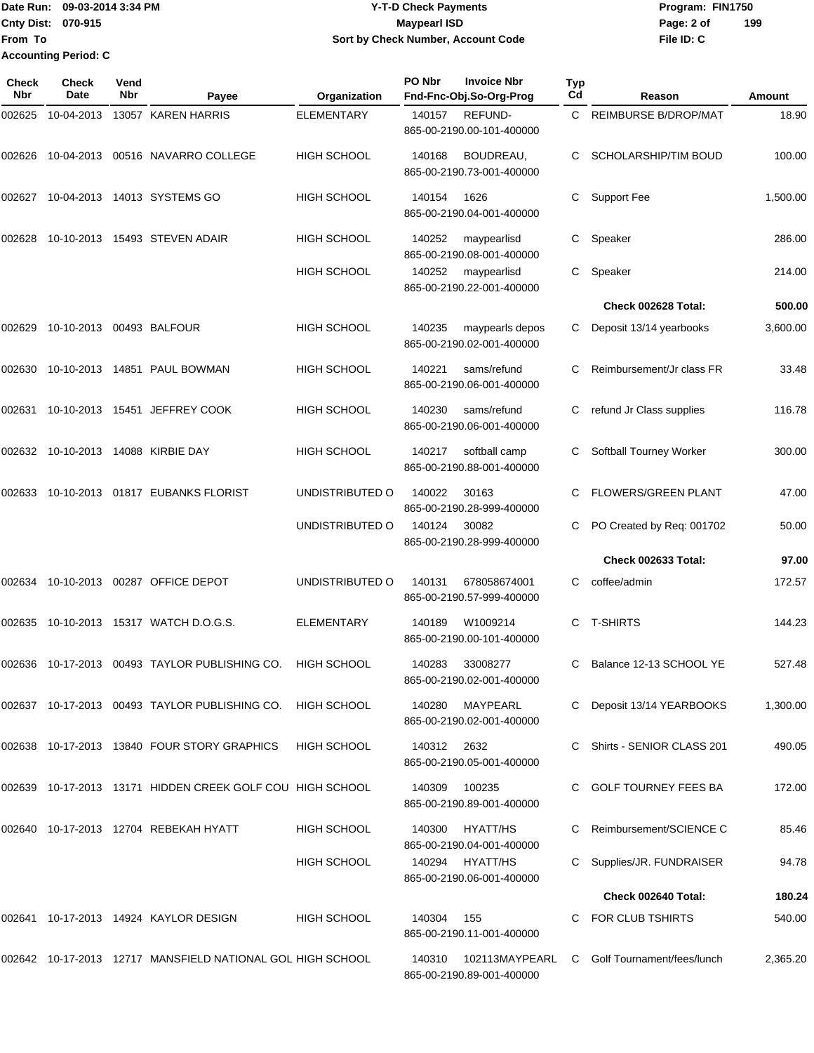**Date Run: Program: FIN1750 Cnty Dist: Page: 2 of From To Sort by Check Number, Account Code Accounting Period: C**

**File ID: C 199**

**Check Nbr Check Date Reason Fnd-Fnc-Obj.So-Org-Prog Typ Reason Amount Vend Payee Organization PO Nbr Invoice Nbr** 002625 10-04-2013 13057 KAREN HARRIS ELEMENTARY 140157 REFUND- C REIMBURSE B/DROP/MAT 18.90 865-00-2190.00-101-400000 002626 10-04-2013 00516 NAVARRO COLLEGE HIGH SCHOOL 140168 BOUDREAU, C SCHOLARSHIP/TIM BOUD 100.00 865-00-2190.73-001-400000 002627 10-04-2013 14013 SYSTEMS GO HIGH SCHOOL 140154 1626 C Support Fee 1,500.00 865-00-2190.04-001-400000 002628 10-10-2013 15493 STEVEN ADAIR HIGH SCHOOL 140252 maypearlisd C Speaker 286.00 865-00-2190.08-001-400000 HIGH SCHOOL 140252 maypearlisd C Speaker 214.00 865-00-2190.22-001-400000 **Check 002628 Total: 500.00** 002629 10-10-2013 00493 BALFOUR HIGH SCHOOL 140235 maypearls depos C Deposit 13/14 yearbooks 3,600.00 865-00-2190.02-001-400000 002630 10-10-2013 14851 PAUL BOWMAN HIGH SCHOOL 140221 sams/refund C Reimbursement/Jr class FR 33.48 865-00-2190.06-001-400000 002631 10-10-2013 15451 JEFFREY COOK HIGH SCHOOL 140230 sams/refund C refund Jr Class supplies 116.78 865-00-2190.06-001-400000 002632 10-10-2013 14088 KIRBIE DAY HIGH SCHOOL 140217 softball camp C Softball Tourney Worker 300.00 865-00-2190.88-001-400000 002633 10-10-2013 01817 EUBANKS FLORIST UNDISTRIBUTED O 140022 30163 C FLOWERS/GREEN PLANT 47.00 865-00-2190.28-999-400000 UNDISTRIBUTED O 140124 30082 C PO Created by Req: 001702 50.00 865-00-2190.28-999-400000 **Check 002633 Total: 97.00** 002634 10-10-2013 00287 OFFICE DEPOT UNDISTRIBUTED O 140131 678058674001 C coffee/admin 172.57 865-00-2190.57-999-400000 002635 10-10-2013 15317 WATCH D.O.G.S. ELEMENTARY 140189 W1009214 C T-SHIRTS 144.23 865-00-2190.00-101-400000 002636 10-17-2013 00493 TAYLOR PUBLISHING CO. HIGH SCHOOL 140283 33008277 C Balance 12-13 SCHOOL YE 527.48 865-00-2190.02-001-400000 002637 10-17-2013 00493 TAYLOR PUBLISHING CO. HIGH SCHOOL 140280 MAYPEARL C Deposit 13/14 YEARBOOKS 1,300.00 865-00-2190.02-001-400000 002638 10-17-2013 13840 FOUR STORY GRAPHICS HIGH SCHOOL 140312 2632 C Shirts - SENIOR CLASS 201 490.05 865-00-2190.05-001-400000 002639 10-17-2013 13171 HIDDEN CREEK GOLF COU HIGH SCHOOL 140309 100235 C GOLF TOURNEY FEES BA 172.00 865-00-2190.89-001-400000 002640 10-17-2013 12704 REBEKAH HYATT HIGH SCHOOL 140300 HYATT/HS C Reimbursement/SCIENCE C 85.46 865-00-2190.04-001-400000 HIGH SCHOOL 140294 HYATT/HS C Supplies/JR. FUNDRAISER 94.78 865-00-2190.06-001-400000 **Check 002640 Total: 180.24** 002641 10-17-2013 14924 KAYLOR DESIGN HIGH SCHOOL 140304 155 C FOR CLUB TSHIRTS 540.00 865-00-2190.11-001-400000 002642 10-17-2013 12717 MANSFIELD NATIONAL GOL HIGH SCHOOL 140310 102113MAYPEARL C Golf Tournament/fees/lunch 2,365.20

865-00-2190.89-001-400000

**2-T-D Check Payments 070-915 Maypearl ISD**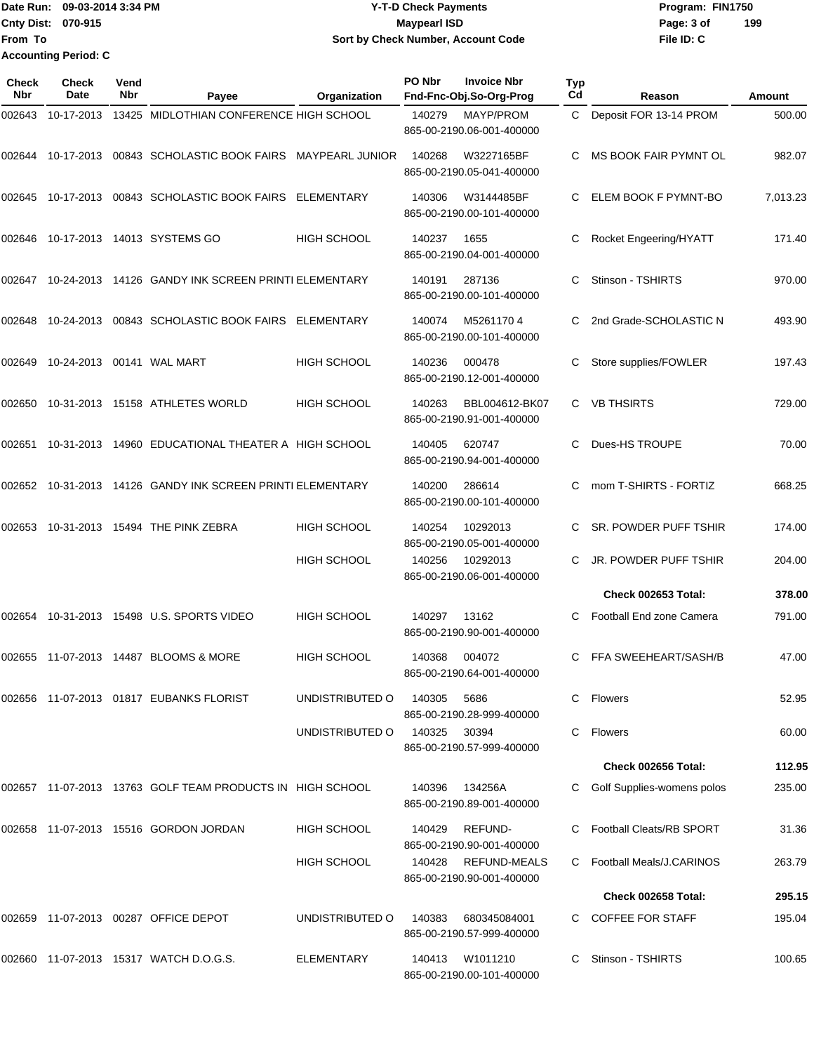Date Run: 09-03-2014 3:34 PM **Program:** FIN1750 **Cnty Dist:** 070-915 **Page: 3 of Page: 3 of MaypearI ISD File ID: C From To 09-03-2014 3:34 PM Y-T-D Check Payments 070-915 Maypearl ISD Sort by Check Number, Account Code 199 Accounting Period: C**

| Check<br><b>Nbr</b> | Check<br>Date | Vend<br>Nbr | Payee                                                      | Organization       | PO Nbr | <b>Invoice Nbr</b><br>Fnd-Fnc-Obj.So-Org-Prog | <b>Typ</b><br>Cd | Reason                          | <b>Amount</b> |
|---------------------|---------------|-------------|------------------------------------------------------------|--------------------|--------|-----------------------------------------------|------------------|---------------------------------|---------------|
| 002643              | 10-17-2013    |             | 13425 MIDLOTHIAN CONFERENCE HIGH SCHOOL                    |                    | 140279 | MAYP/PROM<br>865-00-2190.06-001-400000        | C                | Deposit FOR 13-14 PROM          | 500.00        |
| 002644              | 10-17-2013    |             | 00843 SCHOLASTIC BOOK FAIRS MAYPEARL JUNIOR                |                    | 140268 | W3227165BF<br>865-00-2190.05-041-400000       |                  | MS BOOK FAIR PYMNT OL           | 982.07        |
| 002645              | 10-17-2013    |             | 00843 SCHOLASTIC BOOK FAIRS                                | ELEMENTARY         | 140306 | W3144485BF<br>865-00-2190.00-101-400000       |                  | ELEM BOOK F PYMNT-BO            | 7,013.23      |
| 002646              |               |             | 10-17-2013  14013  SYSTEMS GO                              | <b>HIGH SCHOOL</b> | 140237 | 1655<br>865-00-2190.04-001-400000             | C                | Rocket Engeering/HYATT          | 171.40        |
| 002647              |               |             | 10-24-2013 14126 GANDY INK SCREEN PRINTI ELEMENTARY        |                    | 140191 | 287136<br>865-00-2190.00-101-400000           |                  | Stinson - TSHIRTS               | 970.00        |
| 002648              | 10-24-2013    |             | 00843 SCHOLASTIC BOOK FAIRS                                | ELEMENTARY         | 140074 | M52611704<br>865-00-2190.00-101-400000        |                  | 2nd Grade-SCHOLASTIC N          | 493.90        |
| 002649              |               |             | 10-24-2013 00141 WAL MART                                  | <b>HIGH SCHOOL</b> | 140236 | 000478<br>865-00-2190.12-001-400000           | C                | Store supplies/FOWLER           | 197.43        |
| 002650              |               |             | 10-31-2013  15158  ATHLETES WORLD                          | <b>HIGH SCHOOL</b> | 140263 | BBL004612-BK07<br>865-00-2190.91-001-400000   | C                | <b>VB THSIRTS</b>               | 729.00        |
| 002651              |               |             | 10-31-2013 14960 EDUCATIONAL THEATER A HIGH SCHOOL         |                    | 140405 | 620747<br>865-00-2190.94-001-400000           | C                | Dues-HS TROUPE                  | 70.00         |
|                     |               |             | 002652 10-31-2013 14126 GANDY INK SCREEN PRINTI ELEMENTARY |                    | 140200 | 286614<br>865-00-2190.00-101-400000           | C                | mom T-SHIRTS - FORTIZ           | 668.25        |
| 002653              |               |             | 10-31-2013  15494  THE PINK ZEBRA                          | <b>HIGH SCHOOL</b> | 140254 | 10292013<br>865-00-2190.05-001-400000         |                  | SR. POWDER PUFF TSHIR           | 174.00        |
|                     |               |             |                                                            | HIGH SCHOOL        | 140256 | 10292013<br>865-00-2190.06-001-400000         |                  | JR. POWDER PUFF TSHIR           | 204.00        |
|                     |               |             |                                                            |                    |        |                                               |                  | Check 002653 Total:             | 378.00        |
| 002654              |               |             | 10-31-2013  15498  U.S. SPORTS VIDEO                       | <b>HIGH SCHOOL</b> | 140297 | 13162<br>865-00-2190.90-001-400000            | C                | Football End zone Camera        | 791.00        |
|                     |               |             | 002655 11-07-2013 14487 BLOOMS & MORE                      | <b>HIGH SCHOOL</b> | 140368 | 004072<br>865-00-2190.64-001-400000           | C                | FFA SWEEHEART/SASH/B            | 47.00         |
|                     |               |             | 002656 11-07-2013 01817 EUBANKS FLORIST                    | UNDISTRIBUTED O    | 140305 | 5686<br>865-00-2190.28-999-400000             |                  | Flowers                         | 52.95         |
|                     |               |             |                                                            | UNDISTRIBUTED O    | 140325 | 30394<br>865-00-2190.57-999-400000            | C                | Flowers                         | 60.00         |
|                     |               |             |                                                            |                    |        |                                               |                  | Check 002656 Total:             | 112.95        |
|                     |               |             | 002657 11-07-2013 13763 GOLF TEAM PRODUCTS IN HIGH SCHOOL  |                    | 140396 | 134256A<br>865-00-2190.89-001-400000          |                  | Golf Supplies-womens polos      | 235.00        |
|                     |               |             | 002658 11-07-2013 15516 GORDON JORDAN                      | <b>HIGH SCHOOL</b> | 140429 | <b>REFUND-</b><br>865-00-2190.90-001-400000   |                  | <b>Football Cleats/RB SPORT</b> | 31.36         |
|                     |               |             |                                                            | <b>HIGH SCHOOL</b> | 140428 | REFUND-MEALS<br>865-00-2190.90-001-400000     |                  | Football Meals/J.CARINOS        | 263.79        |
|                     |               |             |                                                            |                    |        |                                               |                  | Check 002658 Total:             | 295.15        |
|                     |               |             |                                                            | UNDISTRIBUTED O    | 140383 | 680345084001<br>865-00-2190.57-999-400000     |                  | C COFFEE FOR STAFF              | 195.04        |
|                     |               |             | 002660 11-07-2013 15317 WATCH D.O.G.S.                     | ELEMENTARY         | 140413 | W1011210<br>865-00-2190.00-101-400000         | C.               | Stinson - TSHIRTS               | 100.65        |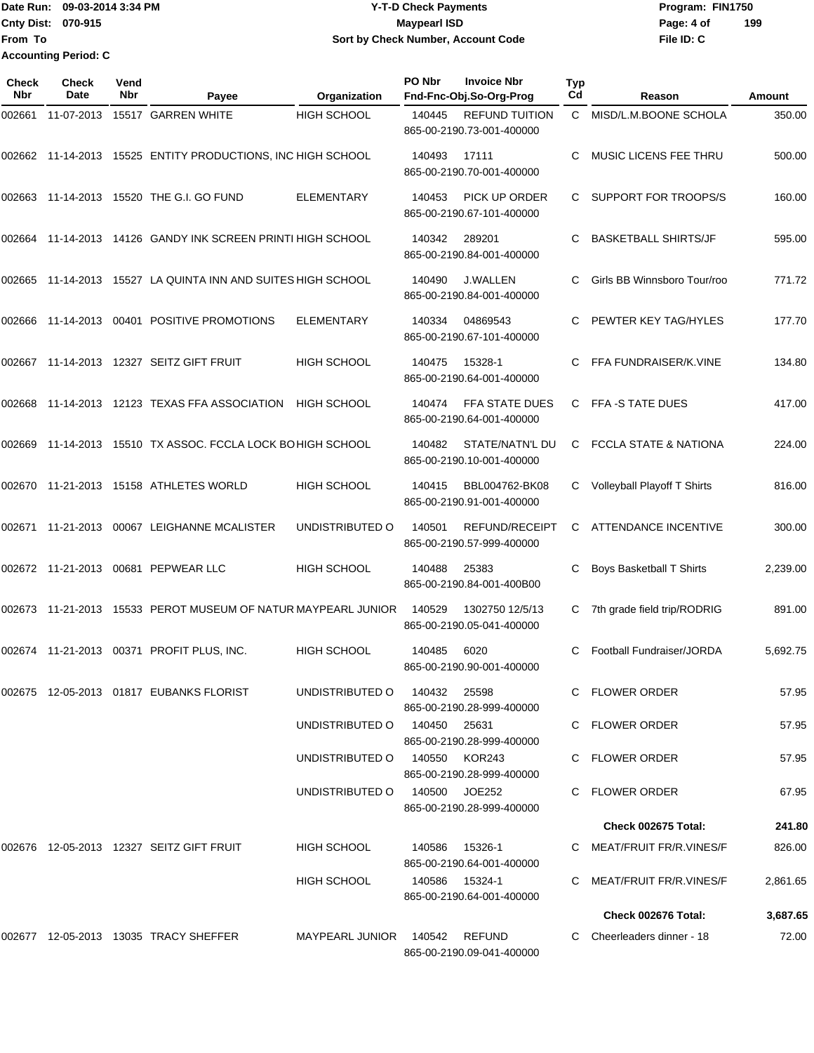Date Run: 09-03-2014 3:34 PM **Program:** FIN1750 **Cnty Dist:** 070-915 **Page: 4 of Page: 4 of Page: 4 of Page: 4 of Page: 4 of Page: 4 of File ID: C From To Y-T-D Check Payments 070-915 Maypearl ISD Sort by Check Number, Account Code 199 Accounting Period: C**

| Check<br>Nbr | <b>Check</b><br>Date | Vend<br>Nbr | Payee                                                       | Organization                  | PO Nbr        | <b>Invoice Nbr</b><br>Fnd-Fnc-Obj.So-Org-Prog      | <b>Typ</b><br>Cd | Reason                           | Amount   |
|--------------|----------------------|-------------|-------------------------------------------------------------|-------------------------------|---------------|----------------------------------------------------|------------------|----------------------------------|----------|
| 002661       |                      |             | 11-07-2013 15517 GARREN WHITE                               | <b>HIGH SCHOOL</b>            | 140445        | <b>REFUND TUITION</b><br>865-00-2190.73-001-400000 | C.               | MISD/L.M.BOONE SCHOLA            | 350.00   |
|              |                      |             | 002662 11-14-2013 15525 ENTITY PRODUCTIONS, INC HIGH SCHOOL |                               | 140493        | 17111<br>865-00-2190.70-001-400000                 | C                | MUSIC LICENS FEE THRU            | 500.00   |
| 002663       |                      |             | 11-14-2013  15520 THE G.I. GO FUND                          | <b>ELEMENTARY</b>             | 140453        | PICK UP ORDER<br>865-00-2190.67-101-400000         | C                | SUPPORT FOR TROOPS/S             | 160.00   |
| 002664       |                      |             | 11-14-2013 14126 GANDY INK SCREEN PRINTI HIGH SCHOOL        |                               | 140342        | 289201<br>865-00-2190.84-001-400000                | C                | <b>BASKETBALL SHIRTS/JF</b>      | 595.00   |
| 002665       |                      |             | 11-14-2013 15527 LA QUINTA INN AND SUITES HIGH SCHOOL       |                               | 140490        | <b>J.WALLEN</b><br>865-00-2190.84-001-400000       | C                | Girls BB Winnsboro Tour/roo      | 771.72   |
| 002666       | 11-14-2013           |             | 00401 POSITIVE PROMOTIONS                                   | <b>ELEMENTARY</b>             | 140334        | 04869543<br>865-00-2190.67-101-400000              | C                | PEWTER KEY TAG/HYLES             | 177.70   |
|              |                      |             | 002667  11-14-2013  12327  SEITZ GIFT FRUIT                 | <b>HIGH SCHOOL</b>            | 140475        | 15328-1<br>865-00-2190.64-001-400000               | C                | FFA FUNDRAISER/K.VINE            | 134.80   |
| 002668       |                      |             | 11-14-2013 12123 TEXAS FFA ASSOCIATION                      | <b>HIGH SCHOOL</b>            | 140474        | FFA STATE DUES<br>865-00-2190.64-001-400000        | C                | FFA-S TATE DUES                  | 417.00   |
| 002669       |                      |             | 11-14-2013 15510 TX ASSOC. FCCLA LOCK BOHIGH SCHOOL         |                               | 140482        | STATE/NATN'L DU<br>865-00-2190.10-001-400000       | C                | <b>FCCLA STATE &amp; NATIONA</b> | 224.00   |
| 002670       |                      |             | 11-21-2013  15158  ATHLETES WORLD                           | <b>HIGH SCHOOL</b>            | 140415        | BBL004762-BK08<br>865-00-2190.91-001-400000        | C                | Volleyball Playoff T Shirts      | 816.00   |
| 002671       | 11-21-2013           |             | 00067 LEIGHANNE MCALISTER                                   | UNDISTRIBUTED O               | 140501        | REFUND/RECEIPT<br>865-00-2190.57-999-400000        | C                | <b>ATTENDANCE INCENTIVE</b>      | 300.00   |
|              |                      |             | 002672  11-21-2013  00681  PEPWEAR LLC                      | <b>HIGH SCHOOL</b>            | 140488        | 25383<br>865-00-2190.84-001-400B00                 | С                | Boys Basketball T Shirts         | 2,239.00 |
| 002673       |                      |             | 11-21-2013 15533 PEROT MUSEUM OF NATUR MAYPEARL JUNIOR      |                               | 140529        | 1302750 12/5/13<br>865-00-2190.05-041-400000       | С                | 7th grade field trip/RODRIG      | 891.00   |
| 002674       |                      |             | 11-21-2013  00371  PROFIT PLUS, INC.                        | <b>HIGH SCHOOL</b>            | 140485        | 6020<br>865-00-2190.90-001-400000                  | C                | Football Fundraiser/JORDA        | 5,692.75 |
|              |                      |             |                                                             | UNDISTRIBUTED O               | 140432 25598  | 865-00-2190.28-999-400000                          |                  | C FLOWER ORDER                   | 57.95    |
|              |                      |             |                                                             | UNDISTRIBUTED O               | 140450 25631  | 865-00-2190.28-999-400000                          |                  | C FLOWER ORDER                   | 57.95    |
|              |                      |             |                                                             | UNDISTRIBUTED O               | 140550 KOR243 | 865-00-2190.28-999-400000                          |                  | C FLOWER ORDER                   | 57.95    |
|              |                      |             |                                                             | UNDISTRIBUTED 0 140500 JOE252 |               | 865-00-2190.28-999-400000                          |                  | C FLOWER ORDER                   | 67.95    |
|              |                      |             |                                                             |                               |               |                                                    |                  | Check 002675 Total:              | 241.80   |
|              |                      |             | 002676  12-05-2013  12327  SEITZ GIFT FRUIT                 | HIGH SCHOOL                   |               | 140586 15326-1<br>865-00-2190.64-001-400000        |                  | C MEAT/FRUIT FR/R.VINES/F        | 826.00   |
|              |                      |             |                                                             | <b>HIGH SCHOOL</b>            |               | 140586 15324-1<br>865-00-2190.64-001-400000        |                  | C MEAT/FRUIT FR/R.VINES/F        | 2,861.65 |
|              |                      |             |                                                             |                               |               |                                                    |                  | Check 002676 Total:              | 3,687.65 |
|              |                      |             | 002677 12-05-2013 13035 TRACY SHEFFER                       | MAYPEARL JUNIOR 140542 REFUND |               | 865-00-2190.09-041-400000                          |                  | C Cheerleaders dinner - 18       | 72.00    |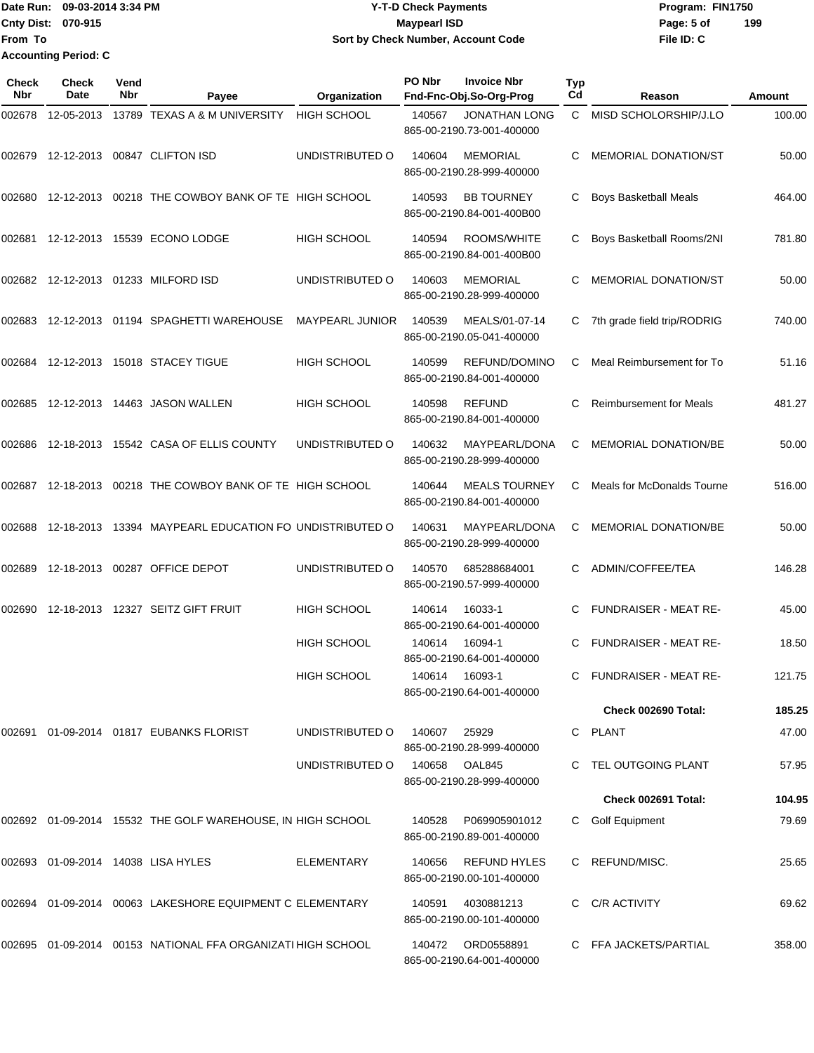Date Run: 09-03-2014 3:34 PM **Program:** FIN1750 **Cnty Dist:** 070-915 **Page: 5 of Page: 5 of Page: 5 of Page: 5 of File ID: C From To Y-T-D Check Payments 070-915 Maypearl ISD Sort by Check Number, Account Code 199 Accounting Period: C**

| Check<br><b>Nbr</b> | <b>Check</b><br>Date | Vend<br>Nbr | Payee                                                       | Organization           | PO Nbr        | <b>Invoice Nbr</b><br>Fnd-Fnc-Obj.So-Org-Prog     | <b>Typ</b><br>Cd | Reason                         | Amount |
|---------------------|----------------------|-------------|-------------------------------------------------------------|------------------------|---------------|---------------------------------------------------|------------------|--------------------------------|--------|
| 002678              | 12-05-2013           |             | 13789 TEXAS A & M UNIVERSITY                                | <b>HIGH SCHOOL</b>     | 140567        | <b>JONATHAN LONG</b><br>865-00-2190.73-001-400000 | C.               | MISD SCHOLORSHIP/J.LO          | 100.00 |
|                     |                      |             | 002679 12-12-2013 00847 CLIFTON ISD                         | UNDISTRIBUTED O        | 140604        | <b>MEMORIAL</b><br>865-00-2190.28-999-400000      | С                | <b>MEMORIAL DONATION/ST</b>    | 50.00  |
| 002680              |                      |             | 12-12-2013 00218 THE COWBOY BANK OF TE HIGH SCHOOL          |                        | 140593        | <b>BB TOURNEY</b><br>865-00-2190.84-001-400B00    | С                | <b>Boys Basketball Meals</b>   | 464.00 |
| 002681              | 12-12-2013           |             | 15539 ECONO LODGE                                           | <b>HIGH SCHOOL</b>     | 140594        | ROOMS/WHITE<br>865-00-2190.84-001-400B00          | С                | Boys Basketball Rooms/2NI      | 781.80 |
|                     |                      |             | 002682 12-12-2013 01233 MILFORD ISD                         | UNDISTRIBUTED O        | 140603        | <b>MEMORIAL</b><br>865-00-2190.28-999-400000      | С                | <b>MEMORIAL DONATION/ST</b>    | 50.00  |
| 002683              |                      |             | 12-12-2013 01194 SPAGHETTI WAREHOUSE                        | <b>MAYPEARL JUNIOR</b> | 140539        | MEALS/01-07-14<br>865-00-2190.05-041-400000       | C.               | 7th grade field trip/RODRIG    | 740.00 |
| 002684              |                      |             | 12-12-2013  15018  STACEY TIGUE                             | <b>HIGH SCHOOL</b>     | 140599        | REFUND/DOMINO<br>865-00-2190.84-001-400000        | С                | Meal Reimbursement for To      | 51.16  |
| 002685              |                      |             | 12-12-2013  14463  JASON WALLEN                             | <b>HIGH SCHOOL</b>     | 140598        | <b>REFUND</b><br>865-00-2190.84-001-400000        | С                | <b>Reimbursement for Meals</b> | 481.27 |
| 002686              |                      |             | 12-18-2013  15542  CASA OF ELLIS COUNTY                     | UNDISTRIBUTED O        | 140632        | MAYPEARL/DONA<br>865-00-2190.28-999-400000        | С                | <b>MEMORIAL DONATION/BE</b>    | 50.00  |
| 002687              |                      |             | 12-18-2013 00218 THE COWBOY BANK OF TE HIGH SCHOOL          |                        | 140644        | <b>MEALS TOURNEY</b><br>865-00-2190.84-001-400000 | С                | Meals for McDonalds Tourne     | 516.00 |
| 002688              |                      |             | 12-18-2013 13394 MAYPEARL EDUCATION FO UNDISTRIBUTED O      |                        | 140631        | MAYPEARL/DONA<br>865-00-2190.28-999-400000        | С                | <b>MEMORIAL DONATION/BE</b>    | 50.00  |
| 002689              |                      |             | 12-18-2013 00287 OFFICE DEPOT                               | UNDISTRIBUTED O        | 140570        | 685288684001<br>865-00-2190.57-999-400000         | С                | ADMIN/COFFEE/TEA               | 146.28 |
| 002690              |                      |             | 12-18-2013  12327  SEITZ GIFT FRUIT                         | <b>HIGH SCHOOL</b>     | 140614        | 16033-1<br>865-00-2190.64-001-400000              | С                | <b>FUNDRAISER - MEAT RE-</b>   | 45.00  |
|                     |                      |             |                                                             | <b>HIGH SCHOOL</b>     | 140614        | 16094-1<br>865-00-2190.64-001-400000              | C                | <b>FUNDRAISER - MEAT RE-</b>   | 18.50  |
|                     |                      |             |                                                             | <b>HIGH SCHOOL</b>     | 140614        | 16093-1<br>865-00-2190.64-001-400000              |                  | C FUNDRAISER - MEAT RE-        | 121.75 |
|                     |                      |             |                                                             |                        |               |                                                   |                  | Check 002690 Total:            | 185.25 |
|                     |                      |             | 002691 01-09-2014 01817 EUBANKS FLORIST                     | UNDISTRIBUTED O        | 140607        | 25929<br>865-00-2190.28-999-400000                |                  | C PLANT                        | 47.00  |
|                     |                      |             |                                                             | UNDISTRIBUTED O        | 140658 OAL845 | 865-00-2190.28-999-400000                         |                  | C TEL OUTGOING PLANT           | 57.95  |
|                     |                      |             |                                                             |                        |               |                                                   |                  | Check 002691 Total:            | 104.95 |
|                     |                      |             | 002692 01-09-2014 15532 THE GOLF WAREHOUSE, IN HIGH SCHOOL  |                        | 140528        | P069905901012<br>865-00-2190.89-001-400000        |                  | C Golf Equipment               | 79.69  |
|                     |                      |             | 002693 01-09-2014 14038 LISA HYLES                          | <b>ELEMENTARY</b>      | 140656        | REFUND HYLES<br>865-00-2190.00-101-400000         |                  | C REFUND/MISC.                 | 25.65  |
|                     |                      |             | 002694  01-09-2014  00063  LAKESHORE EQUIPMENT C ELEMENTARY |                        | 140591        | 4030881213<br>865-00-2190.00-101-400000           |                  | C C/R ACTIVITY                 | 69.62  |
|                     |                      |             | 002695 01-09-2014 00153 NATIONAL FFA ORGANIZATI HIGH SCHOOL |                        | 140472        | ORD0558891<br>865-00-2190.64-001-400000           |                  | C FFA JACKETS/PARTIAL          | 358.00 |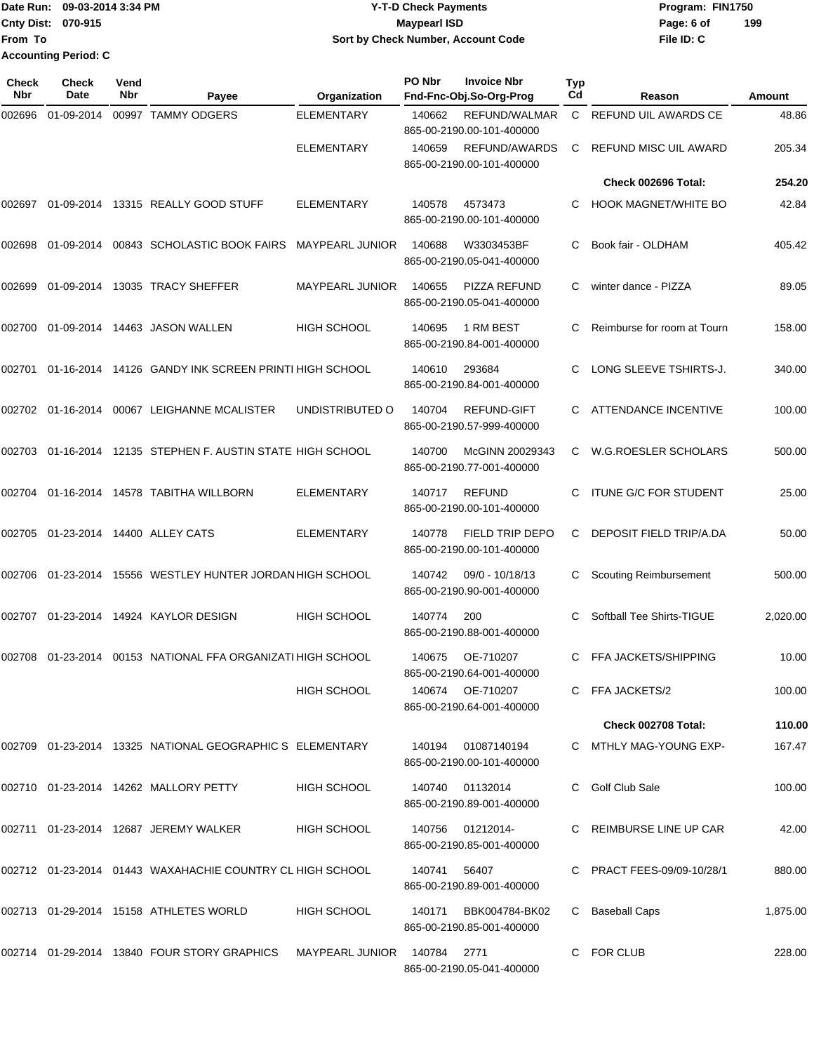Date Run: 09-03-2014 3:34 PM **Program:** FIN1750 **Cnty Dist:** 070-915 **Page: 6 of Page: 6 of Page: 6 of Page: 6 of Page: 6 of Page: 6 of File ID: C From To Y-T-D Check Payments 070-915 Maypearl ISD Sort by Check Number, Account Code 199 Accounting Period: C**

| Check<br>Nbr | <b>Check</b><br>Date | Vend<br>Nbr | Payee                                                       | Organization           | PO Nbr | <b>Invoice Nbr</b><br>Fnd-Fnc-Obj.So-Org-Prog    | Typ<br>Cd | Reason                        | Amount   |
|--------------|----------------------|-------------|-------------------------------------------------------------|------------------------|--------|--------------------------------------------------|-----------|-------------------------------|----------|
| 002696       | 01-09-2014           |             | 00997 TAMMY ODGERS                                          | <b>ELEMENTARY</b>      | 140662 | REFUND/WALMAR<br>865-00-2190.00-101-400000       | C         | <b>REFUND UIL AWARDS CE</b>   | 48.86    |
|              |                      |             |                                                             | <b>ELEMENTARY</b>      | 140659 | REFUND/AWARDS<br>865-00-2190.00-101-400000       | C         | <b>REFUND MISC UIL AWARD</b>  | 205.34   |
|              |                      |             |                                                             |                        |        |                                                  |           | Check 002696 Total:           | 254.20   |
|              |                      |             | 002697  01-09-2014  13315  REALLY GOOD STUFF                | <b>ELEMENTARY</b>      | 140578 | 4573473<br>865-00-2190.00-101-400000             | C         | <b>HOOK MAGNET/WHITE BO</b>   | 42.84    |
| 002698       | 01-09-2014           |             | 00843 SCHOLASTIC BOOK FAIRS MAYPEARL JUNIOR                 |                        | 140688 | W3303453BF<br>865-00-2190.05-041-400000          | C         | Book fair - OLDHAM            | 405.42   |
| 002699       |                      |             | 01-09-2014 13035 TRACY SHEFFER                              | <b>MAYPEARL JUNIOR</b> | 140655 | <b>PIZZA REFUND</b><br>865-00-2190.05-041-400000 | C         | winter dance - PIZZA          | 89.05    |
|              |                      |             | 002700  01-09-2014  14463  JASON WALLEN                     | <b>HIGH SCHOOL</b>     | 140695 | 1 RM BEST<br>865-00-2190.84-001-400000           | C         | Reimburse for room at Tourn   | 158.00   |
| 002701       |                      |             | 01-16-2014 14126 GANDY INK SCREEN PRINTI HIGH SCHOOL        |                        | 140610 | 293684<br>865-00-2190.84-001-400000              | C         | LONG SLEEVE TSHIRTS-J.        | 340.00   |
|              | 002702 01-16-2014    |             | 00067 LEIGHANNE MCALISTER                                   | UNDISTRIBUTED O        | 140704 | <b>REFUND-GIFT</b><br>865-00-2190.57-999-400000  | C         | ATTENDANCE INCENTIVE          | 100.00   |
| 002703       |                      |             | 01-16-2014 12135 STEPHEN F. AUSTIN STATE HIGH SCHOOL        |                        | 140700 | McGINN 20029343<br>865-00-2190.77-001-400000     | C         | W.G.ROESLER SCHOLARS          | 500.00   |
|              |                      |             | 002704  01-16-2014  14578  TABITHA WILLBORN                 | <b>ELEMENTARY</b>      | 140717 | <b>REFUND</b><br>865-00-2190.00-101-400000       | C         | <b>ITUNE G/C FOR STUDENT</b>  | 25.00    |
| 002705       |                      |             | 01-23-2014 14400 ALLEY CATS                                 | <b>ELEMENTARY</b>      | 140778 | FIELD TRIP DEPO<br>865-00-2190.00-101-400000     | C         | DEPOSIT FIELD TRIP/A.DA       | 50.00    |
| 002706       |                      |             | 01-23-2014 15556 WESTLEY HUNTER JORDAN HIGH SCHOOL          |                        | 140742 | 09/0 - 10/18/13<br>865-00-2190.90-001-400000     | C         | <b>Scouting Reimbursement</b> | 500.00   |
|              |                      |             | 002707  01-23-2014  14924  KAYLOR DESIGN                    | <b>HIGH SCHOOL</b>     | 140774 | 200<br>865-00-2190.88-001-400000                 | C         | Softball Tee Shirts-TIGUE     | 2,020.00 |
| 002708       | 01-23-2014           |             | 00153 NATIONAL FFA ORGANIZATI HIGH SCHOOL                   |                        | 140675 | OE-710207<br>865-00-2190.64-001-400000           | C         | FFA JACKETS/SHIPPING          | 10.00    |
|              |                      |             |                                                             | HIGH SCHOOL            |        | 140674 OE-710207<br>865-00-2190.64-001-400000    |           | C FFA JACKETS/2               | 100.00   |
|              |                      |             |                                                             |                        |        |                                                  |           | Check 002708 Total:           | 110.00   |
|              |                      |             | 002709  01-23-2014  13325  NATIONAL GEOGRAPHIC S ELEMENTARY |                        |        | 140194 01087140194<br>865-00-2190.00-101-400000  |           | C MTHLY MAG-YOUNG EXP-        | 167.47   |
|              |                      |             | 002710  01-23-2014  14262  MALLORY PETTY                    | HIGH SCHOOL            |        | 140740 01132014<br>865-00-2190.89-001-400000     |           | C Golf Club Sale              | 100.00   |
|              |                      |             | 002711 01-23-2014 12687 JEREMY WALKER                       | <b>HIGH SCHOOL</b>     |        | 140756 01212014-<br>865-00-2190.85-001-400000    |           | C REIMBURSE LINE UP CAR       | 42.00    |
|              |                      |             | 002712 01-23-2014 01443 WAXAHACHIE COUNTRY CL HIGH SCHOOL   |                        | 140741 | 56407<br>865-00-2190.89-001-400000               |           | C PRACT FEES-09/09-10/28/1    | 880.00   |
|              |                      |             | 002713 01-29-2014 15158 ATHLETES WORLD                      | <b>HIGH SCHOOL</b>     | 140171 | BBK004784-BK02<br>865-00-2190.85-001-400000      | C         | Baseball Caps                 | 1,875.00 |
|              |                      |             | 002714 01-29-2014 13840 FOUR STORY GRAPHICS                 | MAYPEARL JUNIOR        | 140784 | 2771<br>865-00-2190.05-041-400000                | C.        | <b>FOR CLUB</b>               | 228.00   |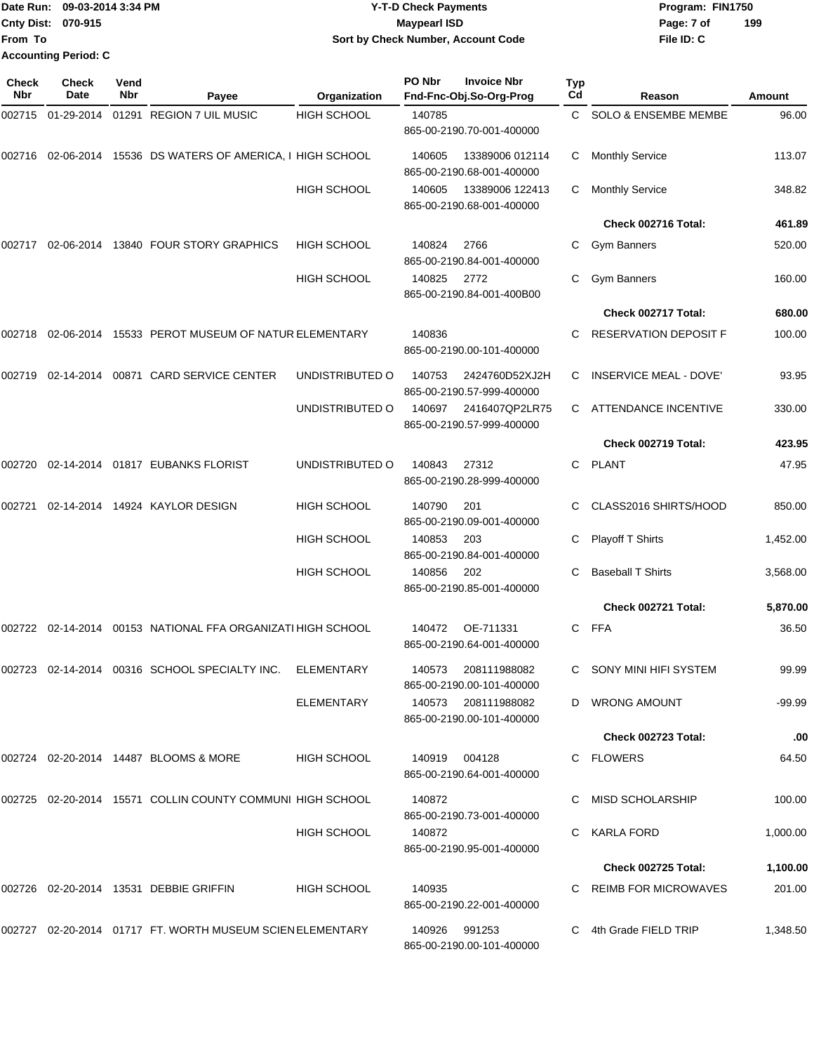|                             | Date Run: 09-03-2014 3:34 PM | <b>Y-T-D Check Payments</b>               | Program: FIN1750  |
|-----------------------------|------------------------------|-------------------------------------------|-------------------|
| <b>Cnty Dist: 070-915</b>   |                              | <b>Mavpearl ISD</b>                       | 199<br>Page: 7 of |
| <b>From To</b>              |                              | <b>Sort by Check Number, Account Code</b> | File ID: C        |
| <b>Accounting Period: C</b> |                              |                                           |                   |

| Check<br>Nbr | <b>Check</b><br>Date | Vend<br>Nbr | Payee                                                        | Organization       | PO Nbr | <b>Invoice Nbr</b><br>Fnd-Fnc-Obj.So-Org-Prog    | Typ<br>Cd | Reason                          | Amount   |
|--------------|----------------------|-------------|--------------------------------------------------------------|--------------------|--------|--------------------------------------------------|-----------|---------------------------------|----------|
| 002715       | 01-29-2014           |             | 01291 REGION 7 UIL MUSIC                                     | <b>HIGH SCHOOL</b> | 140785 | 865-00-2190.70-001-400000                        | C         | <b>SOLO &amp; ENSEMBE MEMBE</b> | 96.00    |
|              |                      |             | 002716 02-06-2014 15536 DS WATERS OF AMERICA, I HIGH SCHOOL  |                    | 140605 | 13389006 012114<br>865-00-2190.68-001-400000     | С         | <b>Monthly Service</b>          | 113.07   |
|              |                      |             |                                                              | <b>HIGH SCHOOL</b> | 140605 | 13389006 122413<br>865-00-2190.68-001-400000     | C         | <b>Monthly Service</b>          | 348.82   |
|              |                      |             |                                                              |                    |        |                                                  |           | Check 002716 Total:             | 461.89   |
| 002717       |                      |             | 02-06-2014 13840 FOUR STORY GRAPHICS                         | <b>HIGH SCHOOL</b> | 140824 | 2766<br>865-00-2190.84-001-400000                | C         | <b>Gym Banners</b>              | 520.00   |
|              |                      |             |                                                              | <b>HIGH SCHOOL</b> | 140825 | 2772<br>865-00-2190.84-001-400B00                | C.        | <b>Gym Banners</b>              | 160.00   |
|              |                      |             |                                                              |                    |        |                                                  |           | Check 002717 Total:             | 680.00   |
| 002718       |                      |             | 02-06-2014 15533 PEROT MUSEUM OF NATUR ELEMENTARY            |                    | 140836 | 865-00-2190.00-101-400000                        |           | RESERVATION DEPOSIT F           | 100.00   |
| 002719       |                      |             | 02-14-2014 00871 CARD SERVICE CENTER                         | UNDISTRIBUTED O    | 140753 | 2424760D52XJ2H<br>865-00-2190.57-999-400000      | C         | <b>INSERVICE MEAL - DOVE'</b>   | 93.95    |
|              |                      |             |                                                              | UNDISTRIBUTED O    | 140697 | 2416407QP2LR75<br>865-00-2190.57-999-400000      | C.        | ATTENDANCE INCENTIVE            | 330.00   |
|              |                      |             |                                                              |                    |        |                                                  |           | Check 002719 Total:             | 423.95   |
| 002720       |                      |             | 02-14-2014   01817   EUBANKS FLORIST                         | UNDISTRIBUTED O    | 140843 | 27312<br>865-00-2190.28-999-400000               | C         | <b>PLANT</b>                    | 47.95    |
| 002721       |                      |             | 02-14-2014 14924 KAYLOR DESIGN                               | <b>HIGH SCHOOL</b> | 140790 | 201<br>865-00-2190.09-001-400000                 |           | CLASS2016 SHIRTS/HOOD           | 850.00   |
|              |                      |             |                                                              | <b>HIGH SCHOOL</b> | 140853 | 203<br>865-00-2190.84-001-400000                 | С         | Playoff T Shirts                | 1,452.00 |
|              |                      |             |                                                              | <b>HIGH SCHOOL</b> | 140856 | 202<br>865-00-2190.85-001-400000                 | C         | <b>Baseball T Shirts</b>        | 3,568.00 |
|              |                      |             |                                                              |                    |        |                                                  |           | Check 002721 Total:             | 5,870.00 |
|              |                      |             | 002722 02-14-2014 00153 NATIONAL FFA ORGANIZATI HIGH SCHOOL  |                    | 140472 | OE-711331<br>865-00-2190.64-001-400000           | C         | FFA                             | 36.50    |
| 002723       |                      |             | 02-14-2014 00316 SCHOOL SPECIALTY INC.                       | ELEMENTARY         | 140573 | 208111988082<br>865-00-2190.00-101-400000        | C         | SONY MINI HIFI SYSTEM           | 99.99    |
|              |                      |             |                                                              | ELEMENTARY         |        | 140573 208111988082<br>865-00-2190.00-101-400000 |           | D WRONG AMOUNT                  | -99.99   |
|              |                      |             |                                                              |                    |        |                                                  |           | Check 002723 Total:             | .00      |
|              |                      |             | 002724  02-20-2014  14487  BLOOMS & MORE                     | <b>HIGH SCHOOL</b> | 140919 | 004128<br>865-00-2190.64-001-400000              |           | C FLOWERS                       | 64.50    |
|              |                      |             | 002725 02-20-2014 15571 COLLIN COUNTY COMMUNI HIGH SCHOOL    |                    | 140872 | 865-00-2190.73-001-400000                        |           | MISD SCHOLARSHIP                | 100.00   |
|              |                      |             |                                                              | <b>HIGH SCHOOL</b> | 140872 | 865-00-2190.95-001-400000                        |           | <b>KARLA FORD</b>               | 1,000.00 |
|              |                      |             |                                                              |                    |        |                                                  |           | Check 002725 Total:             | 1,100.00 |
|              |                      |             | 002726  02-20-2014  13531  DEBBIE GRIFFIN                    | <b>HIGH SCHOOL</b> | 140935 | 865-00-2190.22-001-400000                        |           | C REIMB FOR MICROWAVES          | 201.00   |
|              |                      |             | 002727  02-20-2014  01717  FT. WORTH MUSEUM SCIEN ELEMENTARY |                    |        | 140926 991253<br>865-00-2190.00-101-400000       |           | C 4th Grade FIELD TRIP          | 1,348.50 |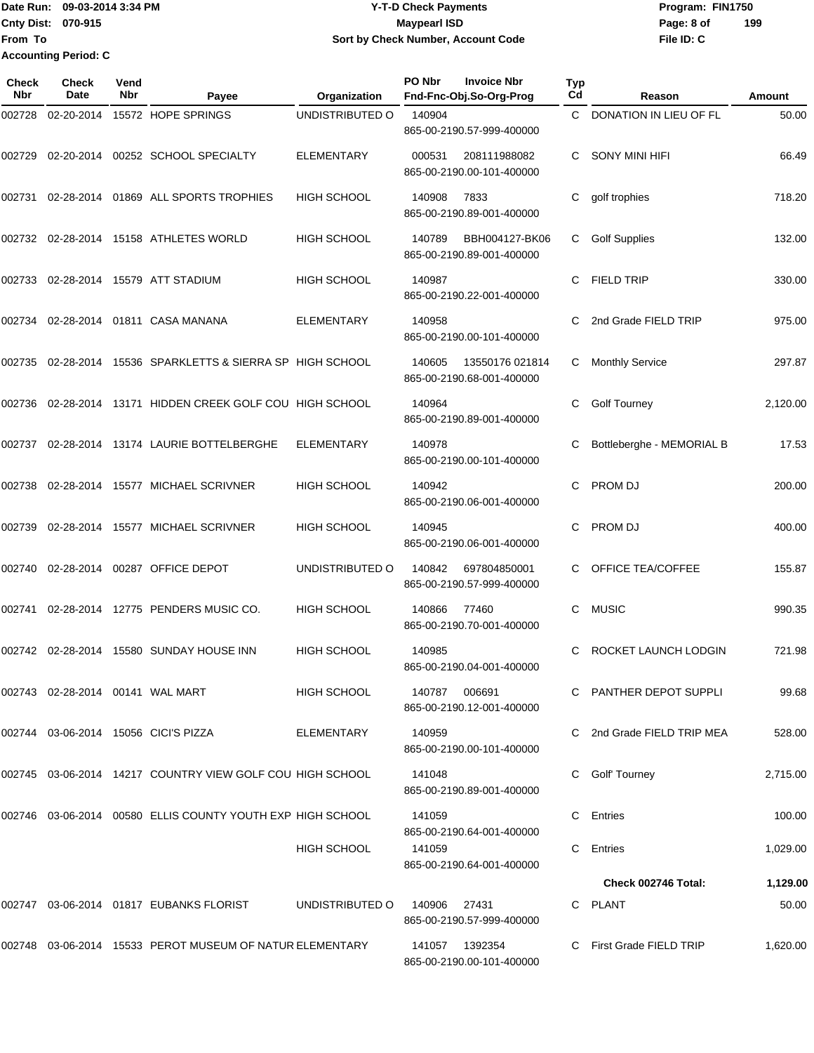Date Run: 09-03-2014 3:34 PM **Program:** FIN1750 **Cnty Dist:** 070-915 **Page: 8 of Page: 8 of Page: 8 of Page: 8 of Page: 8 of From To Accounting Period: C**

# **Y-T-D Check Payments 070-915 Maypearl ISD Sort by Check Number, Account Code**

| <b>Check</b><br><b>Nbr</b> | Check<br>Date                    | Vend<br>Nbr | Payee                                                        | Organization       | PO Nbr        | <b>Invoice Nbr</b><br>Fnd-Fnc-Obj.So-Org-Prog | <b>Typ</b><br>Cd | Reason                     | Amount   |
|----------------------------|----------------------------------|-------------|--------------------------------------------------------------|--------------------|---------------|-----------------------------------------------|------------------|----------------------------|----------|
| 002728                     | 02-20-2014                       |             | 15572 HOPE SPRINGS                                           | UNDISTRIBUTED O    | 140904        | 865-00-2190.57-999-400000                     |                  | C DONATION IN LIEU OF FL   | 50.00    |
| 002729                     | 02-20-2014                       |             | 00252 SCHOOL SPECIALTY                                       | <b>ELEMENTARY</b>  | 000531        | 208111988082<br>865-00-2190.00-101-400000     | С                | SONY MINI HIFI             | 66.49    |
| 002731                     |                                  |             | 02-28-2014 01869 ALL SPORTS TROPHIES                         | <b>HIGH SCHOOL</b> | 140908        | 7833<br>865-00-2190.89-001-400000             | C                | golf trophies              | 718.20   |
|                            |                                  |             | 002732 02-28-2014 15158 ATHLETES WORLD                       | <b>HIGH SCHOOL</b> | 140789        | BBH004127-BK06<br>865-00-2190.89-001-400000   | C                | <b>Golf Supplies</b>       | 132.00   |
| 002733                     |                                  |             | 02-28-2014 15579 ATT STADIUM                                 | <b>HIGH SCHOOL</b> | 140987        | 865-00-2190.22-001-400000                     | C                | <b>FIELD TRIP</b>          | 330.00   |
|                            |                                  |             | 002734 02-28-2014 01811 CASA MANANA                          | <b>ELEMENTARY</b>  | 140958        | 865-00-2190.00-101-400000                     |                  | 2nd Grade FIELD TRIP       | 975.00   |
| 002735                     |                                  |             | 02-28-2014 15536 SPARKLETTS & SIERRA SP HIGH SCHOOL          |                    | 140605        | 13550176 021814<br>865-00-2190.68-001-400000  | C                | <b>Monthly Service</b>     | 297.87   |
|                            |                                  |             | 002736 02-28-2014 13171 HIDDEN CREEK GOLF COU HIGH SCHOOL    |                    | 140964        | 865-00-2190.89-001-400000                     | С                | <b>Golf Tourney</b>        | 2,120.00 |
| 002737                     |                                  |             | 02-28-2014 13174 LAURIE BOTTELBERGHE                         | <b>ELEMENTARY</b>  | 140978        | 865-00-2190.00-101-400000                     |                  | Bottleberghe - MEMORIAL B  | 17.53    |
| 002738                     |                                  |             | 02-28-2014 15577 MICHAEL SCRIVNER                            | <b>HIGH SCHOOL</b> | 140942        | 865-00-2190.06-001-400000                     | C                | PROM DJ                    | 200.00   |
| 002739                     |                                  |             | 02-28-2014 15577 MICHAEL SCRIVNER                            | <b>HIGH SCHOOL</b> | 140945        | 865-00-2190.06-001-400000                     | C                | <b>PROM DJ</b>             | 400.00   |
| 002740                     |                                  |             | 02-28-2014 00287 OFFICE DEPOT                                | UNDISTRIBUTED O    | 140842        | 697804850001<br>865-00-2190.57-999-400000     |                  | OFFICE TEA/COFFEE          | 155.87   |
| 002741                     |                                  |             | 02-28-2014 12775 PENDERS MUSIC CO.                           | <b>HIGH SCHOOL</b> | 140866        | 77460<br>865-00-2190.70-001-400000            | C                | <b>MUSIC</b>               | 990.35   |
|                            |                                  |             | 002742 02-28-2014 15580 SUNDAY HOUSE INN                     | <b>HIGH SCHOOL</b> | 140985        | 865-00-2190.04-001-400000                     | C                | ROCKET LAUNCH LODGIN       | 721.98   |
|                            | 002743 02-28-2014 00141 WAL MART |             |                                                              | <b>HIGH SCHOOL</b> | 140787 006691 | 865-00-2190.12-001-400000                     |                  | C PANTHER DEPOT SUPPLI     | 99.68    |
|                            |                                  |             | 002744 03-06-2014 15056 CICI'S PIZZA                         | ELEMENTARY         | 140959        | 865-00-2190.00-101-400000                     |                  | C 2nd Grade FIELD TRIP MEA | 528.00   |
|                            |                                  |             | 002745  03-06-2014  14217  COUNTRY VIEW GOLF COU HIGH SCHOOL |                    | 141048        | 865-00-2190.89-001-400000                     |                  | Golf' Tourney              | 2,715.00 |
|                            |                                  |             | 002746 03-06-2014 00580 ELLIS COUNTY YOUTH EXP HIGH SCHOOL   |                    | 141059        | 865-00-2190.64-001-400000                     | C.               | Entries                    | 100.00   |
|                            |                                  |             |                                                              | HIGH SCHOOL        | 141059        | 865-00-2190.64-001-400000                     |                  | C Entries                  | 1,029.00 |
|                            |                                  |             |                                                              |                    |               |                                               |                  | Check 002746 Total:        | 1,129.00 |
|                            |                                  |             | 002747  03-06-2014  01817  EUBANKS FLORIST                   | UNDISTRIBUTED O    | 140906  27431 | 865-00-2190.57-999-400000                     |                  | C PLANT                    | 50.00    |
|                            |                                  |             | 002748 03-06-2014 15533 PEROT MUSEUM OF NATUR ELEMENTARY     |                    |               | 865-00-2190.00-101-400000                     |                  | C First Grade FIELD TRIP   | 1,620.00 |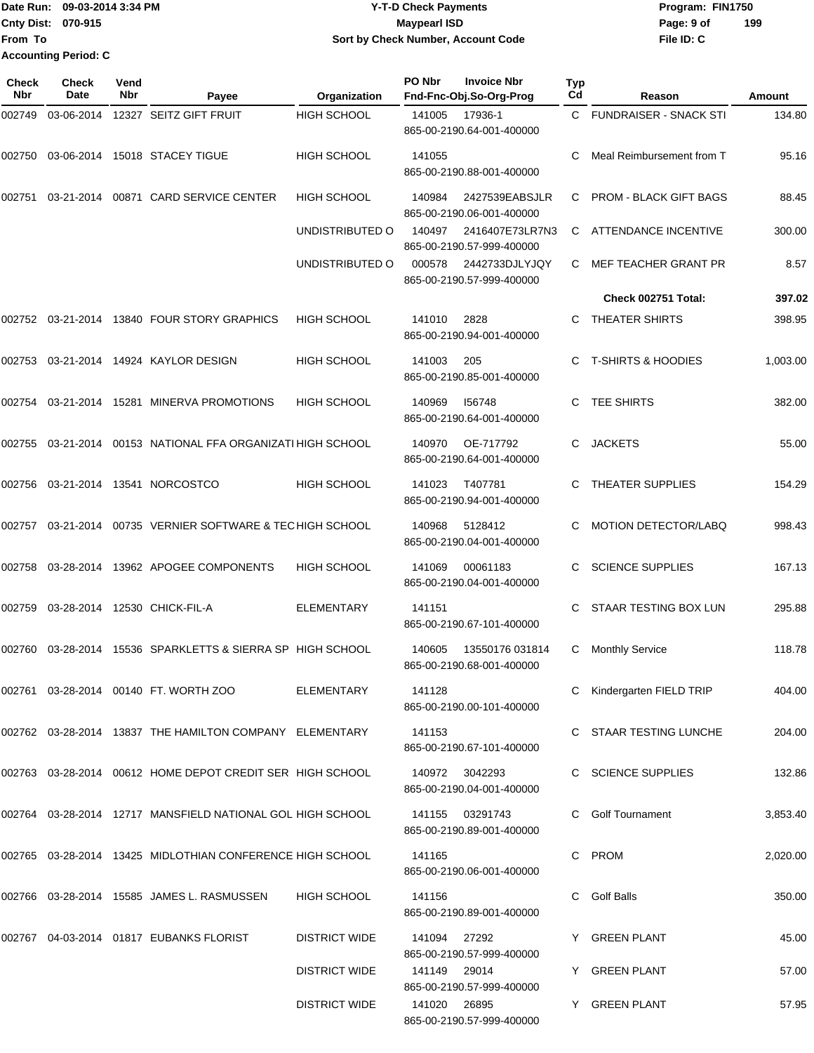Date Run: 09-03-2014 3:34 PM **Program:** FIN1750 **Cnty Dist:** 070-915 **Page: 9 of Page: 9 of MaypearI ISD From To Accounting Period: C**

# **Y-T-D Check Payments 070-915 Maypearl ISD Sort by Check Number, Account Code**

**File ID: C 199**

| Check<br>Nbr | <b>Check</b><br>Date | Vend<br>Nbr | Payee                                                      | Organization         | PO Nbr       | <b>Invoice Nbr</b><br>Fnd-Fnc-Obj.So-Org-Prog | Typ<br>Cd | Reason                        | Amount   |
|--------------|----------------------|-------------|------------------------------------------------------------|----------------------|--------------|-----------------------------------------------|-----------|-------------------------------|----------|
| 002749       | 03-06-2014           |             | 12327 SEITZ GIFT FRUIT                                     | <b>HIGH SCHOOL</b>   | 141005       | 17936-1<br>865-00-2190.64-001-400000          | C.        | <b>FUNDRAISER - SNACK STI</b> | 134.80   |
| 002750       |                      |             | 03-06-2014 15018 STACEY TIGUE                              | <b>HIGH SCHOOL</b>   | 141055       | 865-00-2190.88-001-400000                     | С         | Meal Reimbursement from T     | 95.16    |
| 002751       |                      |             | 03-21-2014 00871 CARD SERVICE CENTER                       | <b>HIGH SCHOOL</b>   | 140984       | 2427539EABSJLR<br>865-00-2190.06-001-400000   | C         | <b>PROM - BLACK GIFT BAGS</b> | 88.45    |
|              |                      |             |                                                            | UNDISTRIBUTED O      | 140497       | 2416407E73LR7N3<br>865-00-2190.57-999-400000  | C         | <b>ATTENDANCE INCENTIVE</b>   | 300.00   |
|              |                      |             |                                                            | UNDISTRIBUTED O      | 000578       | 2442733DJLYJQY<br>865-00-2190.57-999-400000   | C         | MEF TEACHER GRANT PR          | 8.57     |
|              |                      |             |                                                            |                      |              |                                               |           | Check 002751 Total:           | 397.02   |
| 002752       |                      |             | 03-21-2014 13840 FOUR STORY GRAPHICS                       | <b>HIGH SCHOOL</b>   | 141010       | 2828<br>865-00-2190.94-001-400000             | C         | THEATER SHIRTS                | 398.95   |
| 002753       |                      |             | 03-21-2014 14924 KAYLOR DESIGN                             | <b>HIGH SCHOOL</b>   | 141003       | 205<br>865-00-2190.85-001-400000              | C         | <b>T-SHIRTS &amp; HOODIES</b> | 1,003.00 |
| 002754       |                      |             | 03-21-2014 15281 MINERVA PROMOTIONS                        | <b>HIGH SCHOOL</b>   | 140969       | 156748<br>865-00-2190.64-001-400000           | С         | TEE SHIRTS                    | 382.00   |
| 002755       | 03-21-2014           |             | 00153 NATIONAL FFA ORGANIZATI HIGH SCHOOL                  |                      | 140970       | OE-717792<br>865-00-2190.64-001-400000        | C         | <b>JACKETS</b>                | 55.00    |
| 002756       |                      |             | 03-21-2014  13541  NORCOSTCO                               | <b>HIGH SCHOOL</b>   | 141023       | T407781<br>865-00-2190.94-001-400000          | C.        | THEATER SUPPLIES              | 154.29   |
| 002757       |                      |             | 03-21-2014 00735 VERNIER SOFTWARE & TECHIGH SCHOOL         |                      | 140968       | 5128412<br>865-00-2190.04-001-400000          | C         | <b>MOTION DETECTOR/LABQ</b>   | 998.43   |
| 002758       |                      |             | 03-28-2014 13962 APOGEE COMPONENTS                         | <b>HIGH SCHOOL</b>   | 141069       | 00061183<br>865-00-2190.04-001-400000         | C         | <b>SCIENCE SUPPLIES</b>       | 167.13   |
| 002759       |                      |             | 03-28-2014 12530 CHICK-FIL-A                               | <b>ELEMENTARY</b>    | 141151       | 865-00-2190.67-101-400000                     |           | STAAR TESTING BOX LUN         | 295.88   |
| 002760       | 03-28-2014           |             | 15536 SPARKLETTS & SIERRA SP HIGH SCHOOL                   |                      | 140605       | 13550176 031814<br>865-00-2190.68-001-400000  | С         | <b>Monthly Service</b>        | 118.78   |
|              |                      |             | 002761 03-28-2014 00140 FT. WORTH ZOO                      | ELEMENTARY           | 141128       | 865-00-2190.00-101-400000                     |           | C Kindergarten FIELD TRIP     | 404.00   |
|              |                      |             | 002762 03-28-2014 13837 THE HAMILTON COMPANY ELEMENTARY    |                      | 141153       | 865-00-2190.67-101-400000                     |           | C STAAR TESTING LUNCHE        | 204.00   |
|              |                      |             | 002763 03-28-2014 00612 HOME DEPOT CREDIT SER HIGH SCHOOL  |                      |              | 140972 3042293<br>865-00-2190.04-001-400000   |           | C SCIENCE SUPPLIES            | 132.86   |
|              |                      |             | 002764 03-28-2014 12717 MANSFIELD NATIONAL GOL HIGH SCHOOL |                      |              | 141155 03291743<br>865-00-2190.89-001-400000  |           | <b>Golf Tournament</b>        | 3,853.40 |
|              |                      |             | 002765 03-28-2014 13425 MIDLOTHIAN CONFERENCE HIGH SCHOOL  |                      | 141165       | 865-00-2190.06-001-400000                     | C.        | PROM                          | 2,020.00 |
|              |                      |             | 002766  03-28-2014  15585  JAMES L. RASMUSSEN              | HIGH SCHOOL          | 141156       | 865-00-2190.89-001-400000                     | C.        | Golf Balls                    | 350.00   |
|              |                      |             | 002767  04-03-2014  01817  EUBANKS FLORIST                 | DISTRICT WIDE        | 141094 27292 | 865-00-2190.57-999-400000                     |           | Y GREEN PLANT                 | 45.00    |
|              |                      |             |                                                            | <b>DISTRICT WIDE</b> | 141149 29014 | 865-00-2190.57-999-400000                     |           | Y GREEN PLANT                 | 57.00    |
|              |                      |             |                                                            | <b>DISTRICT WIDE</b> | 141020 26895 |                                               |           | Y GREEN PLANT                 | 57.95    |

865-00-2190.57-999-400000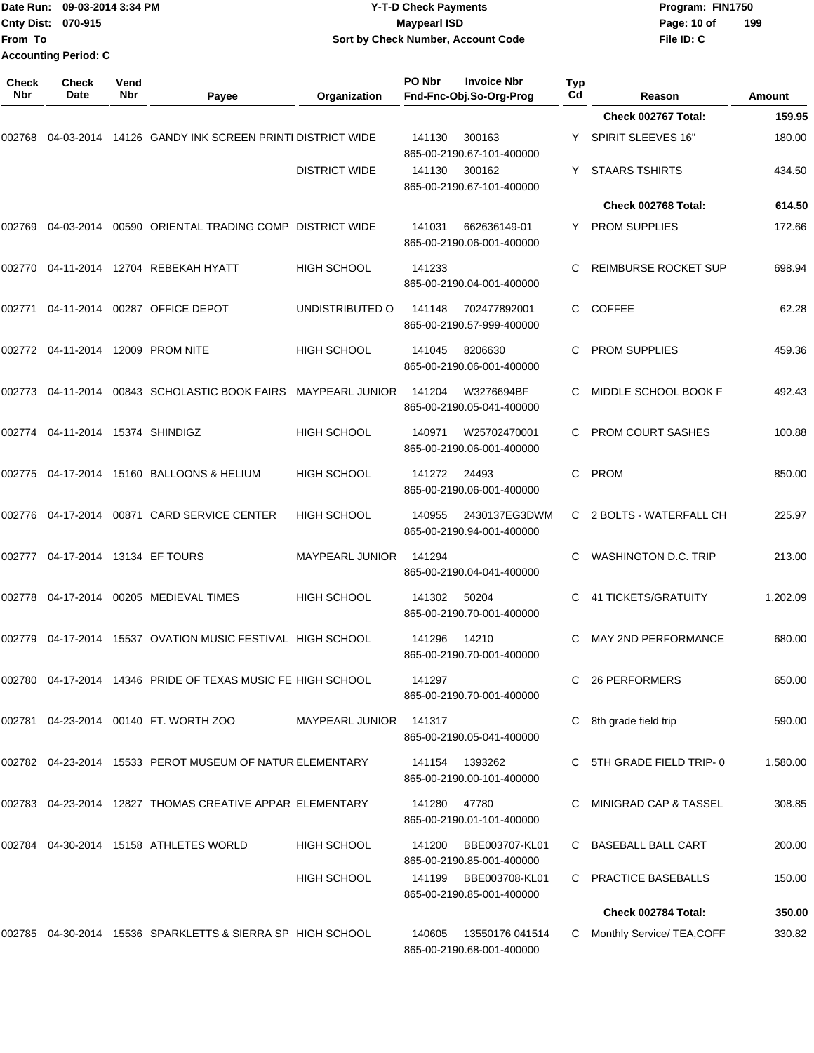| Date Run: 09-03-2014 3:34 PM |                             |             | <b>Y-T-D Check Payments</b>                                     | Program: FIN1750       |                     |                                               |                  |                             |          |
|------------------------------|-----------------------------|-------------|-----------------------------------------------------------------|------------------------|---------------------|-----------------------------------------------|------------------|-----------------------------|----------|
| From To                      | Cnty Dist: 070-915          |             |                                                                 |                        | <b>Maypearl ISD</b> | Sort by Check Number, Account Code            |                  | Page: 10 of<br>File ID: C   | 199      |
|                              | <b>Accounting Period: C</b> |             |                                                                 |                        |                     |                                               |                  |                             |          |
| <b>Check</b><br><b>Nbr</b>   | <b>Check</b><br>Date        | Vend<br>Nbr | Payee                                                           | Organization           | PO Nbr              | <b>Invoice Nbr</b><br>Fnd-Fnc-Obj.So-Org-Prog | <b>Typ</b><br>Cd | Reason                      | Amount   |
|                              |                             |             |                                                                 |                        |                     |                                               |                  | Check 002767 Total:         | 159.95   |
|                              |                             |             | 002768 04-03-2014 14126   GANDY INK SCREEN PRINTI DISTRICT WIDE |                        | 141130              | 300163<br>865-00-2190.67-101-400000           |                  | SPIRIT SLEEVES 16"          | 180.00   |
|                              |                             |             |                                                                 | <b>DISTRICT WIDE</b>   | 141130              | 300162<br>865-00-2190.67-101-400000           |                  | <b>STAARS TSHIRTS</b>       | 434.50   |
|                              |                             |             |                                                                 |                        |                     |                                               |                  | Check 002768 Total:         | 614.50   |
| 002769                       |                             |             | 04-03-2014  00590  ORIENTAL TRADING COMP  DISTRICT WIDE         |                        | 141031              | 662636149-01<br>865-00-2190.06-001-400000     | Y.               | <b>PROM SUPPLIES</b>        | 172.66   |
|                              |                             |             | 002770 04-11-2014 12704 REBEKAH HYATT                           | <b>HIGH SCHOOL</b>     | 141233              | 865-00-2190.04-001-400000                     | С                | <b>REIMBURSE ROCKET SUP</b> | 698.94   |
| 002771                       |                             |             | 04-11-2014 00287 OFFICE DEPOT                                   | UNDISTRIBUTED O        | 141148              | 702477892001<br>865-00-2190.57-999-400000     | C                | <b>COFFEE</b>               | 62.28    |
|                              |                             |             |                                                                 | <b>HIGH SCHOOL</b>     | 141045              | 8206630<br>865-00-2190.06-001-400000          | С                | <b>PROM SUPPLIES</b>        | 459.36   |
|                              |                             |             |                                                                 | <b>MAYPEARL JUNIOR</b> | 141204              | W3276694BF<br>865-00-2190.05-041-400000       |                  | MIDDLE SCHOOL BOOK F        | 492.43   |
|                              |                             |             |                                                                 | HIGH SCHOOL            | 140971              | W25702470001<br>865-00-2190.06-001-400000     |                  | PROM COURT SASHES           | 100.88   |
|                              |                             |             | 002775 04-17-2014 15160  BALLOONS & HELIUM                      | <b>HIGH SCHOOL</b>     | 141272              | 24493<br>865-00-2190.06-001-400000            | C                | PROM                        | 850.00   |
|                              |                             |             | 002776 04-17-2014 00871  CARD SERVICE CENTER                    | <b>HIGH SCHOOL</b>     | 140955              | 2430137EG3DWM<br>865-00-2190.94-001-400000    | C                | 2 BOLTS - WATERFALL CH      | 225.97   |
|                              |                             |             |                                                                 | <b>MAYPEARL JUNIOR</b> | 141294              | 865-00-2190.04-041-400000                     |                  | WASHINGTON D.C. TRIP        | 213.00   |
|                              |                             |             | 002778 04-17-2014 00205 MEDIEVAL TIMES                          | <b>HIGH SCHOOL</b>     | 141302 50204        | 865-00-2190.70-001-400000                     |                  | C 41 TICKETS/GRATUITY       | 1,202.09 |
|                              |                             |             | 002779  04-17-2014  15537  OVATION MUSIC FESTIVAL  HIGH SCHOOL  |                        | 141296              | 14210<br>865-00-2190.70-001-400000            |                  | C MAY 2ND PERFORMANCE       | 680.00   |
|                              |                             |             | 002780 04-17-2014 14346 PRIDE OF TEXAS MUSIC FE HIGH SCHOOL     |                        | 141297              | 865-00-2190.70-001-400000                     |                  | C 26 PERFORMERS             | 650.00   |
|                              |                             |             |                                                                 | <b>MAYPEARL JUNIOR</b> | 141317              | 865-00-2190.05-041-400000                     |                  | 8th grade field trip        | 590.00   |
|                              |                             |             |                                                                 |                        | 141154              | 1393262<br>865-00-2190.00-101-400000          |                  | C 5TH GRADE FIELD TRIP-0    | 1,580.00 |
|                              |                             |             | 002783 04-23-2014 12827  THOMAS CREATIVE APPAR  ELEMENTARY      |                        | 141280 47780        | 865-00-2190.01-101-400000                     |                  | C MINIGRAD CAP & TASSEL     | 308.85   |
|                              |                             |             | 002784 04-30-2014 15158  ATHLETES WORLD                         | <b>HIGH SCHOOL</b>     | 141200              | BBE003707-KL01<br>865-00-2190.85-001-400000   |                  | C BASEBALL BALL CART        | 200.00   |
|                              |                             |             |                                                                 | <b>HIGH SCHOOL</b>     | 141199              | BBE003708-KL01<br>865-00-2190.85-001-400000   |                  | C PRACTICE BASEBALLS        | 150.00   |
|                              |                             |             |                                                                 |                        |                     |                                               |                  | Check 002784 Total:         | 350.00   |
|                              |                             |             | 002785 04-30-2014 15536  SPARKLETTS & SIERRA SP  HIGH SCHOOL    |                        | 140605              | 13550176 041514<br>865-00-2190.68-001-400000  | C.               | Monthly Service/ TEA, COFF  | 330.82   |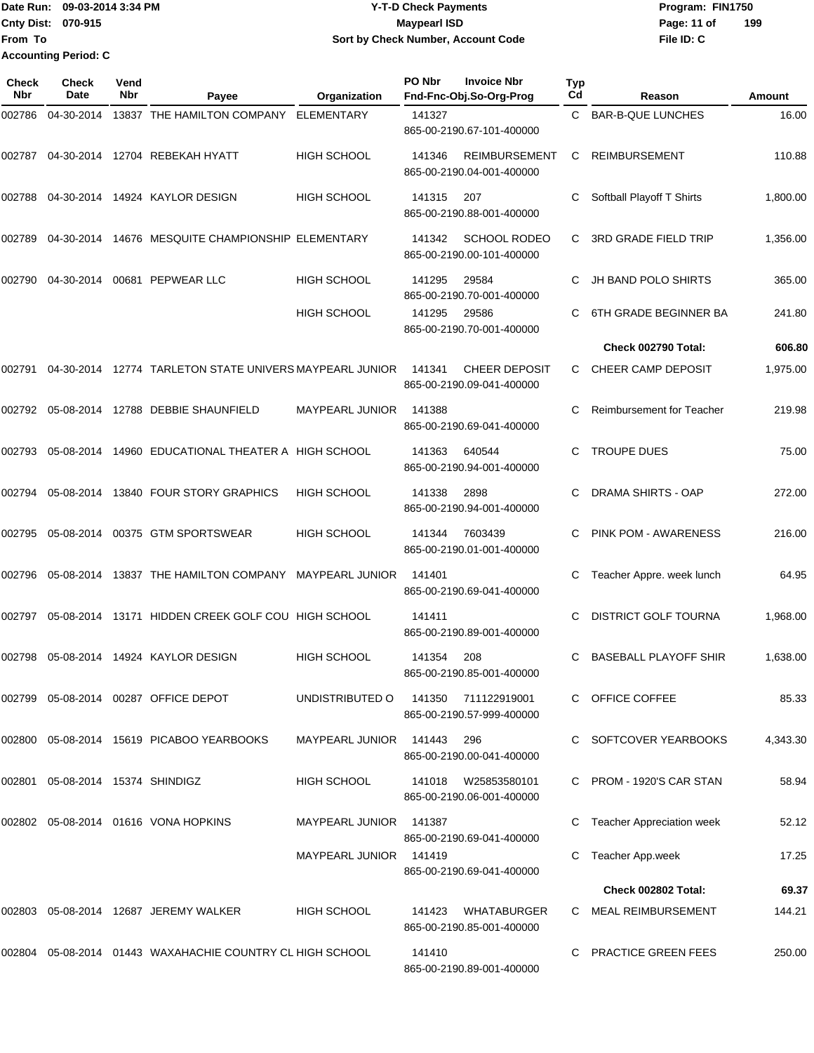|                             | Date Run: 09-03-2014 3:34 PM | <b>Y-T-D Check Payments</b>               | Program: FIN1750   |
|-----------------------------|------------------------------|-------------------------------------------|--------------------|
| <b>Cnty Dist: 070-915</b>   |                              | Maypearl ISD                              | 199<br>Page: 11 of |
| <b>IFrom To</b>             |                              | <b>Sort by Check Number, Account Code</b> | File ID: C         |
| <b>Accounting Period: C</b> |                              |                                           |                    |

| <b>Check</b><br><b>Nbr</b> | <b>Check</b><br>Date             | Vend<br>Nbr | Payee                                                     | Organization           | PO Nbr | <b>Invoice Nbr</b><br>Fnd-Fnc-Obj.So-Org-Prog     | <b>Typ</b><br>Cd | Reason                       | Amount   |
|----------------------------|----------------------------------|-------------|-----------------------------------------------------------|------------------------|--------|---------------------------------------------------|------------------|------------------------------|----------|
| 002786                     | 04-30-2014                       |             | 13837 THE HAMILTON COMPANY                                | <b>ELEMENTARY</b>      | 141327 | 865-00-2190.67-101-400000                         | C                | <b>BAR-B-QUE LUNCHES</b>     | 16.00    |
| 002787                     | 04-30-2014                       |             | 12704 REBEKAH HYATT                                       | HIGH SCHOOL            | 141346 | <b>REIMBURSEMENT</b><br>865-00-2190.04-001-400000 | С                | <b>REIMBURSEMENT</b>         | 110.88   |
| 002788                     | 04-30-2014                       |             | 14924 KAYLOR DESIGN                                       | <b>HIGH SCHOOL</b>     | 141315 | 207<br>865-00-2190.88-001-400000                  | С                | Softball Playoff T Shirts    | 1,800.00 |
| 002789                     | 04-30-2014                       |             | 14676 MESQUITE CHAMPIONSHIP ELEMENTARY                    |                        | 141342 | <b>SCHOOL RODEO</b><br>865-00-2190.00-101-400000  | С                | <b>3RD GRADE FIELD TRIP</b>  | 1,356.00 |
| 002790                     | 04-30-2014                       |             | 00681 PEPWEAR LLC                                         | <b>HIGH SCHOOL</b>     | 141295 | 29584<br>865-00-2190.70-001-400000                | C                | <b>JH BAND POLO SHIRTS</b>   | 365.00   |
|                            |                                  |             |                                                           | <b>HIGH SCHOOL</b>     | 141295 | 29586<br>865-00-2190.70-001-400000                | C                | 6TH GRADE BEGINNER BA        | 241.80   |
|                            |                                  |             |                                                           |                        |        |                                                   |                  | Check 002790 Total:          | 606.80   |
| 002791                     | 04-30-2014                       |             | 12774 TARLETON STATE UNIVERS MAYPEARL JUNIOR              |                        | 141341 | <b>CHEER DEPOSIT</b><br>865-00-2190.09-041-400000 | C.               | CHEER CAMP DEPOSIT           | 1,975.00 |
| 002792                     | 05-08-2014                       |             | 12788 DEBBIE SHAUNFIELD                                   | <b>MAYPEARL JUNIOR</b> | 141388 | 865-00-2190.69-041-400000                         | С                | Reimbursement for Teacher    | 219.98   |
| 002793                     | 05-08-2014                       |             | 14960 EDUCATIONAL THEATER A HIGH SCHOOL                   |                        | 141363 | 640544<br>865-00-2190.94-001-400000               | C                | <b>TROUPE DUES</b>           | 75.00    |
| 002794                     | 05-08-2014                       |             | 13840 FOUR STORY GRAPHICS                                 | <b>HIGH SCHOOL</b>     | 141338 | 2898<br>865-00-2190.94-001-400000                 | С                | <b>DRAMA SHIRTS - OAP</b>    | 272.00   |
| 002795                     | 05-08-2014                       |             | 00375 GTM SPORTSWEAR                                      | <b>HIGH SCHOOL</b>     | 141344 | 7603439<br>865-00-2190.01-001-400000              | С                | <b>PINK POM - AWARENESS</b>  | 216.00   |
| 002796                     | 05-08-2014                       |             | 13837 THE HAMILTON COMPANY                                | <b>MAYPEARL JUNIOR</b> | 141401 | 865-00-2190.69-041-400000                         | С                | Teacher Appre. week lunch    | 64.95    |
| 002797                     | 05-08-2014                       |             | 13171 HIDDEN CREEK GOLF COU HIGH SCHOOL                   |                        | 141411 | 865-00-2190.89-001-400000                         | С                | <b>DISTRICT GOLF TOURNA</b>  | 1,968.00 |
| 002798                     | 05-08-2014                       |             | 14924 KAYLOR DESIGN                                       | <b>HIGH SCHOOL</b>     | 141354 | 208<br>865-00-2190.85-001-400000                  | С                | <b>BASEBALL PLAYOFF SHIR</b> | 1,638.00 |
| 002799                     |                                  |             | 05-08-2014 00287 OFFICE DEPOT                             | UNDISTRIBUTED O        | 141350 | 711122919001<br>865-00-2190.57-999-400000         |                  | C OFFICE COFFEE              | 85.33    |
|                            |                                  |             | 002800 05-08-2014 15619 PICABOO YEARBOOKS                 | <b>MAYPEARL JUNIOR</b> | 141443 | 296<br>865-00-2190.00-041-400000                  |                  | C SOFTCOVER YEARBOOKS        | 4,343.30 |
|                            | 002801 05-08-2014 15374 SHINDIGZ |             |                                                           | <b>HIGH SCHOOL</b>     | 141018 | W25853580101<br>865-00-2190.06-001-400000         |                  | C PROM - 1920'S CAR STAN     | 58.94    |
|                            |                                  |             | 002802 05-08-2014 01616 VONA HOPKINS                      | MAYPEARL JUNIOR 141387 |        | 865-00-2190.69-041-400000                         | С                | Teacher Appreciation week    | 52.12    |
|                            |                                  |             |                                                           | MAYPEARL JUNIOR        | 141419 | 865-00-2190.69-041-400000                         |                  | Teacher App.week             | 17.25    |
|                            |                                  |             |                                                           |                        |        |                                                   |                  | Check 002802 Total:          | 69.37    |
|                            |                                  |             | 002803  05-08-2014  12687  JEREMY WALKER                  | <b>HIGH SCHOOL</b>     | 141423 | WHATABURGER<br>865-00-2190.85-001-400000          |                  | C MEAL REIMBURSEMENT         | 144.21   |
|                            |                                  |             | 002804 05-08-2014 01443 WAXAHACHIE COUNTRY CL HIGH SCHOOL |                        | 141410 | 865-00-2190.89-001-400000                         |                  | <b>PRACTICE GREEN FEES</b>   | 250.00   |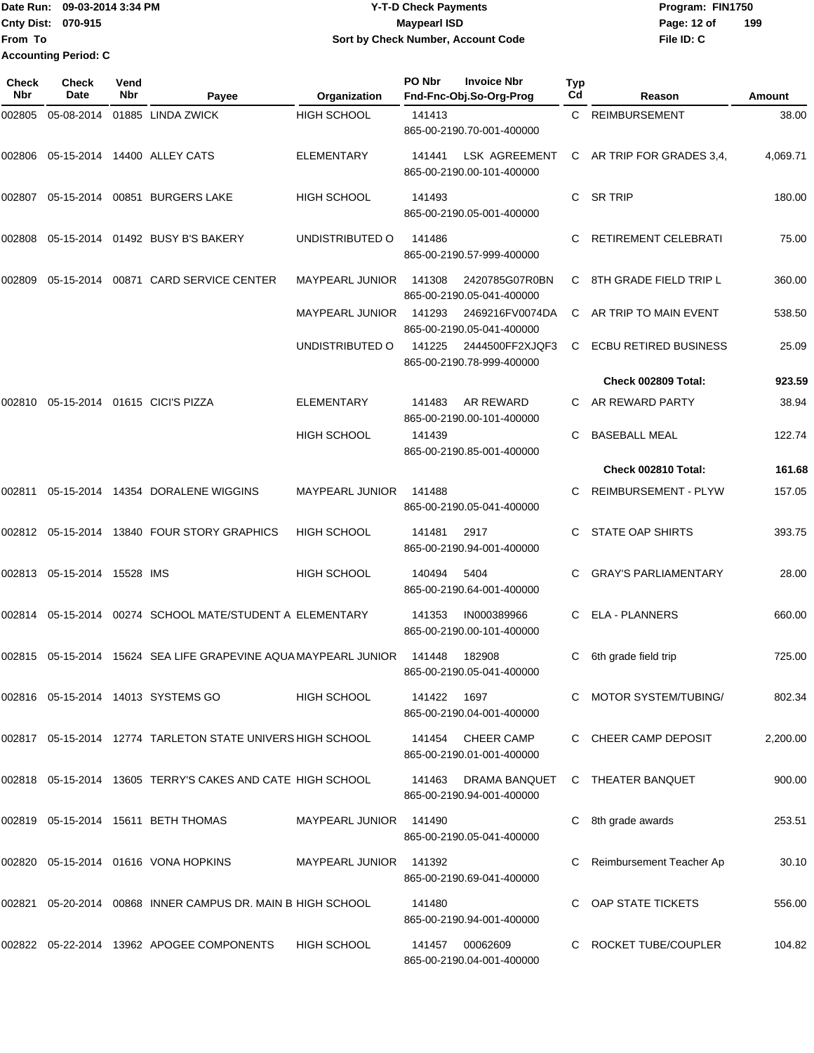Date Run: 09-03-2014 3:34 PM **Program:** FIN1750 **Cnty Dist:** 070-915 **Page: 12 of** Maypearl ISD **CONTEX 12 of** Maypearl ISD **File ID: C From To Y-T-D Check Payments 070-915 Maypearl ISD Sort by Check Number, Account Code 199 Accounting Period: C**

| Check<br><b>Nbr</b> | <b>Check</b><br>Date        | Vend<br>Nbr | Payee                                                              | Organization           | PO Nbr | <b>Invoice Nbr</b><br>Fnd-Fnc-Obj.So-Org-Prog     | <b>Typ</b><br>Cd | Reason                       | Amount   |
|---------------------|-----------------------------|-------------|--------------------------------------------------------------------|------------------------|--------|---------------------------------------------------|------------------|------------------------------|----------|
| 002805              | 05-08-2014                  |             | 01885 LINDA ZWICK                                                  | <b>HIGH SCHOOL</b>     | 141413 | 865-00-2190.70-001-400000                         |                  | C REIMBURSEMENT              | 38.00    |
| 002806              |                             |             | 05-15-2014 14400 ALLEY CATS                                        | <b>ELEMENTARY</b>      | 141441 | <b>LSK AGREEMENT</b><br>865-00-2190.00-101-400000 |                  | C AR TRIP FOR GRADES 3,4,    | 4,069.71 |
| 002807              |                             |             | 05-15-2014 00851 BURGERS LAKE                                      | <b>HIGH SCHOOL</b>     | 141493 | 865-00-2190.05-001-400000                         | C                | SR TRIP                      | 180.00   |
| 002808              |                             |             | 05-15-2014 01492 BUSY B'S BAKERY                                   | UNDISTRIBUTED O        | 141486 | 865-00-2190.57-999-400000                         | C.               | RETIREMENT CELEBRATI         | 75.00    |
| 002809              |                             |             | 05-15-2014 00871 CARD SERVICE CENTER                               | <b>MAYPEARL JUNIOR</b> | 141308 | 2420785G07R0BN<br>865-00-2190.05-041-400000       | C.               | 8TH GRADE FIELD TRIP L       | 360.00   |
|                     |                             |             |                                                                    | <b>MAYPEARL JUNIOR</b> | 141293 | 2469216FV0074DA<br>865-00-2190.05-041-400000      | C                | AR TRIP TO MAIN EVENT        | 538.50   |
|                     |                             |             |                                                                    | UNDISTRIBUTED O        | 141225 | 2444500FF2XJQF3<br>865-00-2190.78-999-400000      | C                | <b>ECBU RETIRED BUSINESS</b> | 25.09    |
|                     |                             |             |                                                                    |                        |        |                                                   |                  | Check 002809 Total:          | 923.59   |
| 002810              |                             |             | 05-15-2014 01615 CICI'S PIZZA                                      | <b>ELEMENTARY</b>      | 141483 | AR REWARD<br>865-00-2190.00-101-400000            |                  | AR REWARD PARTY              | 38.94    |
|                     |                             |             |                                                                    | <b>HIGH SCHOOL</b>     | 141439 | 865-00-2190.85-001-400000                         |                  | <b>BASEBALL MEAL</b>         | 122.74   |
|                     |                             |             |                                                                    |                        |        |                                                   |                  | Check 002810 Total:          | 161.68   |
| 002811              |                             |             | 05-15-2014  14354  DORALENE WIGGINS                                | <b>MAYPEARL JUNIOR</b> | 141488 | 865-00-2190.05-041-400000                         |                  | <b>REIMBURSEMENT - PLYW</b>  | 157.05   |
|                     |                             |             | 002812 05-15-2014 13840 FOUR STORY GRAPHICS                        | <b>HIGH SCHOOL</b>     | 141481 | 2917<br>865-00-2190.94-001-400000                 |                  | <b>STATE OAP SHIRTS</b>      | 393.75   |
|                     | 002813 05-15-2014 15528 IMS |             |                                                                    | <b>HIGH SCHOOL</b>     | 140494 | 5404<br>865-00-2190.64-001-400000                 |                  | <b>GRAY'S PARLIAMENTARY</b>  | 28.00    |
| 002814              |                             |             | 05-15-2014  00274  SCHOOL MATE/STUDENT A ELEMENTARY                |                        | 141353 | IN000389966<br>865-00-2190.00-101-400000          | C                | <b>ELA - PLANNERS</b>        | 660.00   |
|                     |                             |             | 002815  05-15-2014  15624  SEA LIFE GRAPEVINE AQUA MAYPEARL JUNIOR |                        | 141448 | 182908<br>865-00-2190.05-041-400000               | C                | 6th grade field trip         | 725.00   |
|                     |                             |             | 002816  05-15-2014  14013  SYSTEMS  GO                             | <b>HIGH SCHOOL</b>     | 141422 | 1697<br>865-00-2190.04-001-400000                 |                  | C MOTOR SYSTEM/TUBING/       | 802.34   |
|                     |                             |             | 002817  05-15-2014  12774  TARLETON STATE UNIVERS HIGH SCHOOL      |                        | 141454 | CHEER CAMP<br>865-00-2190.01-001-400000           |                  | C CHEER CAMP DEPOSIT         | 2.200.00 |
|                     |                             |             | 002818  05-15-2014  13605  TERRY'S CAKES AND CATE HIGH SCHOOL      |                        | 141463 | DRAMA BANQUET<br>865-00-2190.94-001-400000        |                  | C THEATER BANQUET            | 900.00   |
|                     |                             |             | 002819 05-15-2014 15611 BETH THOMAS                                | MAYPEARL JUNIOR        | 141490 | 865-00-2190.05-041-400000                         |                  | C 8th grade awards           | 253.51   |
|                     |                             |             | 002820  05-15-2014  01616  VONA HOPKINS                            | MAYPEARL JUNIOR 141392 |        | 865-00-2190.69-041-400000                         |                  | Reimbursement Teacher Ap     | 30.10    |
| 002821              |                             |             | 05-20-2014 00868 INNER CAMPUS DR. MAIN B HIGH SCHOOL               |                        | 141480 | 865-00-2190.94-001-400000                         |                  | OAP STATE TICKETS            | 556.00   |
|                     |                             |             | 002822 05-22-2014 13962 APOGEE COMPONENTS                          | <b>HIGH SCHOOL</b>     | 141457 | 00062609<br>865-00-2190.04-001-400000             |                  | C ROCKET TUBE/COUPLER        | 104.82   |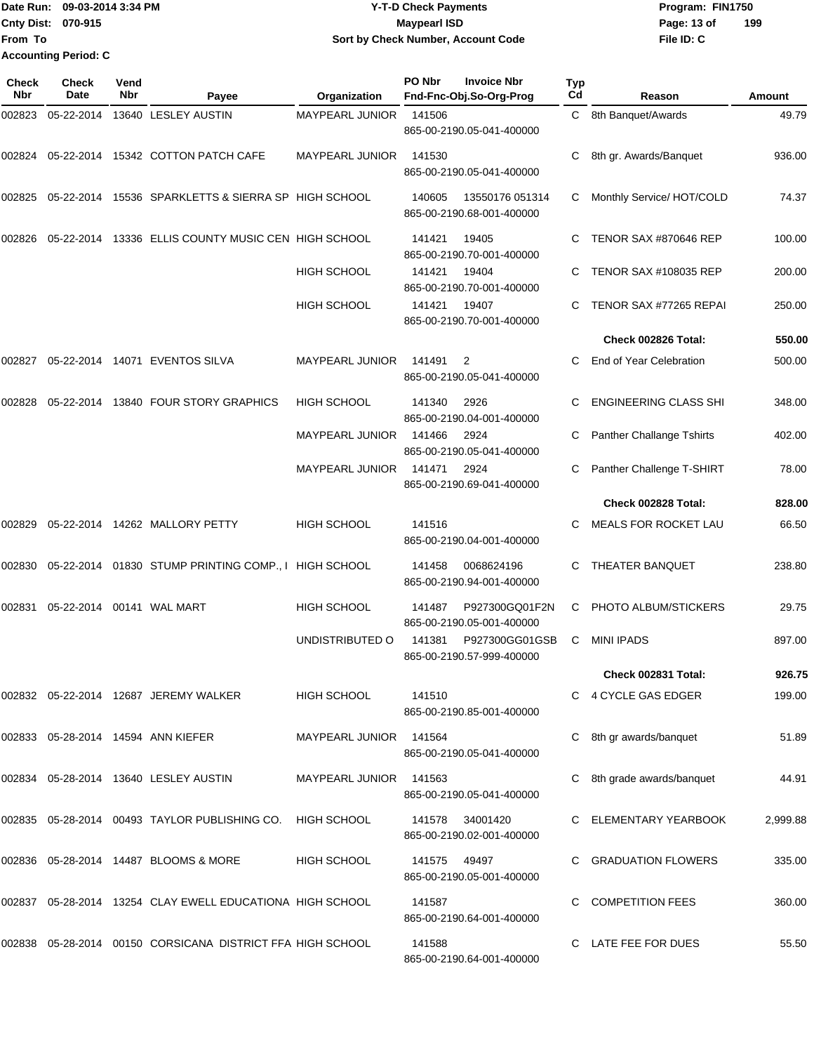Date Run: 09-03-2014 3:34 PM **Program:** FIN1750 **Cnty Dist:** 070-915 **Page: 13 of MaypearI ISD Page: 13 of File ID: C From To Y-T-D Check Payments 070-915 Maypearl ISD Sort by Check Number, Account Code 199 Accounting Period: C**

| Check<br>Nbr | <b>Check</b><br>Date | Vend<br>Nbr | Payee                                                           | Organization           | PO Nbr       | <b>Invoice Nbr</b><br>Fnd-Fnc-Obj.So-Org-Prog | Typ<br>Cd | Reason                           | Amount   |
|--------------|----------------------|-------------|-----------------------------------------------------------------|------------------------|--------------|-----------------------------------------------|-----------|----------------------------------|----------|
| 002823       | 05-22-2014           |             | 13640 LESLEY AUSTIN                                             | MAYPEARL JUNIOR        | 141506       | 865-00-2190.05-041-400000                     | C         | 8th Banquet/Awards               | 49.79    |
|              |                      |             | 002824 05-22-2014 15342 COTTON PATCH CAFE                       | <b>MAYPEARL JUNIOR</b> | 141530       | 865-00-2190.05-041-400000                     | С         | 8th gr. Awards/Banquet           | 936.00   |
| 002825       |                      |             | 05-22-2014 15536 SPARKLETTS & SIERRA SP HIGH SCHOOL             |                        | 140605       | 13550176 051314<br>865-00-2190.68-001-400000  | C         | Monthly Service/ HOT/COLD        | 74.37    |
| 002826       | 05-22-2014           |             | 13336 ELLIS COUNTY MUSIC CEN HIGH SCHOOL                        |                        | 141421       | 19405<br>865-00-2190.70-001-400000            |           | TENOR SAX #870646 REP            | 100.00   |
|              |                      |             |                                                                 | <b>HIGH SCHOOL</b>     | 141421       | 19404<br>865-00-2190.70-001-400000            | C.        | <b>TENOR SAX #108035 REP</b>     | 200.00   |
|              |                      |             |                                                                 | <b>HIGH SCHOOL</b>     | 141421       | 19407<br>865-00-2190.70-001-400000            | C.        | TENOR SAX #77265 REPAI           | 250.00   |
|              |                      |             |                                                                 |                        |              |                                               |           | Check 002826 Total:              | 550.00   |
| 002827       |                      |             | 05-22-2014  14071  EVENTOS SILVA                                | <b>MAYPEARL JUNIOR</b> | 141491       | 2<br>865-00-2190.05-041-400000                | C         | End of Year Celebration          | 500.00   |
| 002828       | 05-22-2014           |             | 13840 FOUR STORY GRAPHICS                                       | HIGH SCHOOL            | 141340       | 2926<br>865-00-2190.04-001-400000             |           | <b>ENGINEERING CLASS SHI</b>     | 348.00   |
|              |                      |             |                                                                 | <b>MAYPEARL JUNIOR</b> | 141466       | 2924<br>865-00-2190.05-041-400000             | C         | <b>Panther Challange Tshirts</b> | 402.00   |
|              |                      |             |                                                                 | <b>MAYPEARL JUNIOR</b> | 141471       | 2924<br>865-00-2190.69-041-400000             | C.        | Panther Challenge T-SHIRT        | 78.00    |
|              |                      |             |                                                                 |                        |              |                                               |           | Check 002828 Total:              | 828.00   |
| 002829       |                      |             | 05-22-2014 14262 MALLORY PETTY                                  | HIGH SCHOOL            | 141516       | 865-00-2190.04-001-400000                     | C         | <b>MEALS FOR ROCKET LAU</b>      | 66.50    |
| 002830       |                      |             | 05-22-2014 01830 STUMP PRINTING COMP., I HIGH SCHOOL            |                        | 141458       | 0068624196<br>865-00-2190.94-001-400000       |           | THEATER BANQUET                  | 238.80   |
| 002831       |                      |             | 05-22-2014    00141    WAL MART                                 | <b>HIGH SCHOOL</b>     | 141487       | P927300GQ01F2N<br>865-00-2190.05-001-400000   | C         | PHOTO ALBUM/STICKERS             | 29.75    |
|              |                      |             |                                                                 | UNDISTRIBUTED O        | 141381       | P927300GG01GSB<br>865-00-2190.57-999-400000   | C         | <b>MINI IPADS</b>                | 897.00   |
|              |                      |             |                                                                 |                        |              |                                               |           | Check 002831 Total:              | 926.75   |
|              |                      |             | 002832 05-22-2014 12687 JEREMY WALKER                           | HIGH SCHOOL            | 141510       | 865-00-2190.85-001-400000                     |           | C 4 CYCLE GAS EDGER              | 199.00   |
|              |                      |             | 002833 05-28-2014 14594 ANN KIEFER                              | MAYPEARL JUNIOR 141564 |              | 865-00-2190.05-041-400000                     |           | 8th gr awards/banquet            | 51.89    |
|              |                      |             | 002834 05-28-2014 13640 LESLEY AUSTIN                           | MAYPEARL JUNIOR 141563 |              | 865-00-2190.05-041-400000                     |           | 8th grade awards/banquet         | 44.91    |
|              |                      |             | 002835 05-28-2014 00493 TAYLOR PUBLISHING CO. HIGH SCHOOL       |                        |              | 141578 34001420<br>865-00-2190.02-001-400000  |           | C ELEMENTARY YEARBOOK            | 2,999.88 |
|              |                      |             | 002836 05-28-2014 14487 BLOOMS & MORE                           | HIGH SCHOOL            | 141575 49497 | 865-00-2190.05-001-400000                     |           | <b>GRADUATION FLOWERS</b>        | 335.00   |
|              |                      |             | 002837  05-28-2014  13254  CLAY EWELL EDUCATIONA  HIGH SCHOOL   |                        | 141587       | 865-00-2190.64-001-400000                     | C.        | <b>COMPETITION FEES</b>          | 360.00   |
|              |                      |             | 002838  05-28-2014  00150  CORSICANA  DISTRICT FFA  HIGH SCHOOL |                        | 141588       | 865-00-2190.64-001-400000                     |           | C LATE FEE FOR DUES              | 55.50    |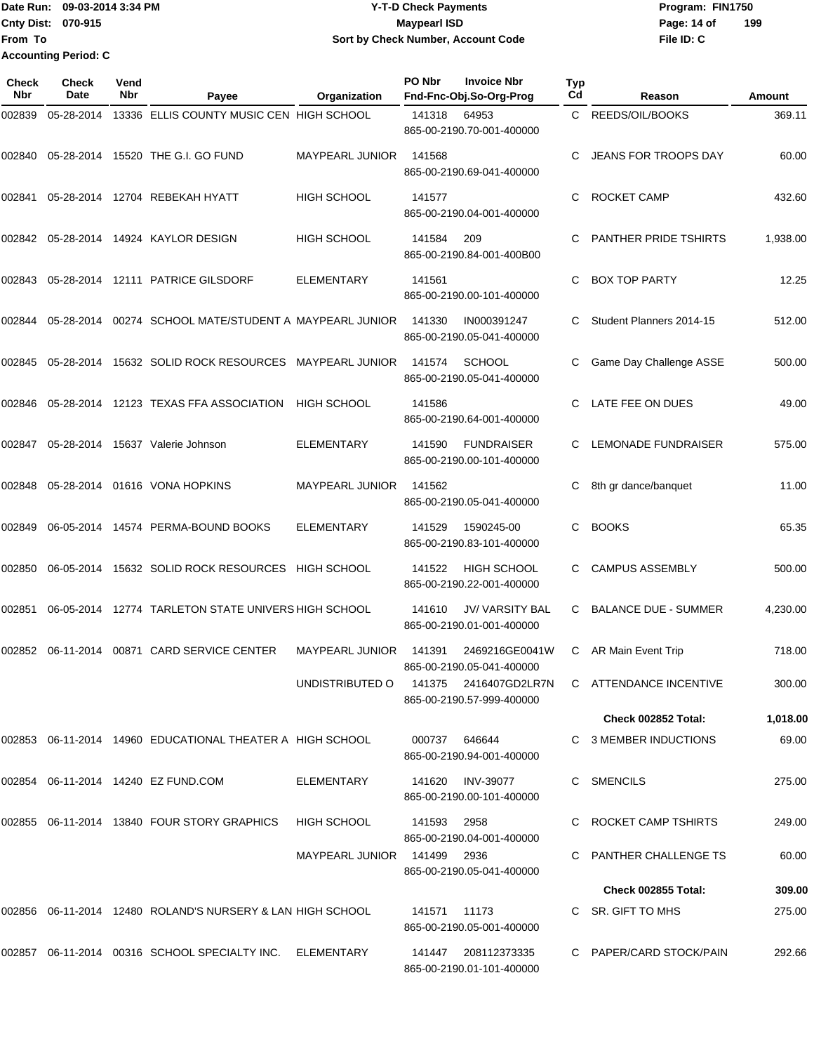Date Run: 09-03-2014 3:34 PM **Program:** FIN1750 **Cnty Dist:** 070-915 **Page: 14 of** Maypearl ISD **CONTEX 150 Page: 14 of File ID: C From To Y-T-D Check Payments 070-915 Maypearl ISD Sort by Check Number, Account Code 199 Accounting Period: C**

| <b>Check</b><br><b>Nbr</b> | Check<br>Date | Vend<br>Nbr | Payee                                                      | Organization                | PO Nbr       | <b>Invoice Nbr</b><br>Fnd-Fnc-Obj.So-Org-Prog       | Typ<br>Cd | Reason                      | Amount   |
|----------------------------|---------------|-------------|------------------------------------------------------------|-----------------------------|--------------|-----------------------------------------------------|-----------|-----------------------------|----------|
| 002839                     | 05-28-2014    |             | 13336 ELLIS COUNTY MUSIC CEN HIGH SCHOOL                   |                             | 141318       | 64953<br>865-00-2190.70-001-400000                  |           | C REEDS/OIL/BOOKS           | 369.11   |
| 002840                     | 05-28-2014    |             | 15520 THE G.I. GO FUND                                     | <b>MAYPEARL JUNIOR</b>      | 141568       | 865-00-2190.69-041-400000                           | C         | JEANS FOR TROOPS DAY        | 60.00    |
| 002841                     |               |             | 05-28-2014 12704 REBEKAH HYATT                             | <b>HIGH SCHOOL</b>          | 141577       | 865-00-2190.04-001-400000                           | С         | <b>ROCKET CAMP</b>          | 432.60   |
| 002842                     | 05-28-2014    |             | 14924 KAYLOR DESIGN                                        | <b>HIGH SCHOOL</b>          | 141584       | 209<br>865-00-2190.84-001-400B00                    | С         | PANTHER PRIDE TSHIRTS       | 1,938.00 |
| 002843                     |               |             | 05-28-2014 12111 PATRICE GILSDORF                          | <b>ELEMENTARY</b>           | 141561       | 865-00-2190.00-101-400000                           | C         | <b>BOX TOP PARTY</b>        | 12.25    |
| 002844                     | 05-28-2014    |             | 00274 SCHOOL MATE/STUDENT A MAYPEARL JUNIOR                |                             | 141330       | IN000391247<br>865-00-2190.05-041-400000            | C         | Student Planners 2014-15    | 512.00   |
| 002845                     | 05-28-2014    |             | 15632 SOLID ROCK RESOURCES                                 | <b>MAYPEARL JUNIOR</b>      | 141574       | <b>SCHOOL</b><br>865-00-2190.05-041-400000          | С         | Game Day Challenge ASSE     | 500.00   |
| 002846                     | 05-28-2014    |             | 12123 TEXAS FFA ASSOCIATION                                | <b>HIGH SCHOOL</b>          | 141586       | 865-00-2190.64-001-400000                           | C.        | LATE FEE ON DUES            | 49.00    |
| 002847                     | 05-28-2014    |             | 15637 Valerie Johnson                                      | <b>ELEMENTARY</b>           | 141590       | <b>FUNDRAISER</b><br>865-00-2190.00-101-400000      | C.        | <b>LEMONADE FUNDRAISER</b>  | 575.00   |
| 002848                     | 05-28-2014    |             | 01616 VONA HOPKINS                                         | MAYPEARL JUNIOR             | 141562       | 865-00-2190.05-041-400000                           | С         | 8th gr dance/banquet        | 11.00    |
| 002849                     |               |             | 06-05-2014 14574 PERMA-BOUND BOOKS                         | ELEMENTARY                  | 141529       | 1590245-00<br>865-00-2190.83-101-400000             | С         | <b>BOOKS</b>                | 65.35    |
| 002850                     | 06-05-2014    |             | 15632 SOLID ROCK RESOURCES                                 | HIGH SCHOOL                 | 141522       | <b>HIGH SCHOOL</b><br>865-00-2190.22-001-400000     | C.        | <b>CAMPUS ASSEMBLY</b>      | 500.00   |
| 002851                     | 06-05-2014    |             | 12774 TARLETON STATE UNIVERS HIGH SCHOOL                   |                             | 141610       | <b>JV/ VARSITY BAL</b><br>865-00-2190.01-001-400000 | C         | <b>BALANCE DUE - SUMMER</b> | 4,230.00 |
| 002852                     | 06-11-2014    |             | 00871 CARD SERVICE CENTER                                  | <b>MAYPEARL JUNIOR</b>      | 141391       | 2469216GE0041W<br>865-00-2190.05-041-400000         | C.        | AR Main Event Trip          | 718.00   |
|                            |               |             |                                                            | UNDISTRIBUTED O             |              | 141375  2416407GD2LR7N<br>865-00-2190.57-999-400000 |           | C ATTENDANCE INCENTIVE      | 300.00   |
|                            |               |             |                                                            |                             |              |                                                     |           | Check 002852 Total:         | 1,018.00 |
|                            |               |             | 002853 06-11-2014 14960 EDUCATIONAL THEATER A HIGH SCHOOL  |                             | 000737       | 646644<br>865-00-2190.94-001-400000                 |           | C 3 MEMBER INDUCTIONS       | 69.00    |
|                            |               |             | 002854 06-11-2014 14240 EZ FUND.COM                        | ELEMENTARY                  |              | 141620 INV-39077<br>865-00-2190.00-101-400000       |           | SMENCILS                    | 275.00   |
|                            |               |             | 002855 06-11-2014 13840 FOUR STORY GRAPHICS                | <b>HIGH SCHOOL</b>          | 141593 2958  | 865-00-2190.04-001-400000                           |           | C ROCKET CAMP TSHIRTS       | 249.00   |
|                            |               |             |                                                            | MAYPEARL JUNIOR 141499 2936 |              | 865-00-2190.05-041-400000                           |           | C PANTHER CHALLENGE TS      | 60.00    |
|                            |               |             |                                                            |                             |              |                                                     |           | Check 002855 Total:         | 309.00   |
|                            |               |             | 002856 06-11-2014 12480 ROLAND'S NURSERY & LAN HIGH SCHOOL |                             | 141571 11173 | 865-00-2190.05-001-400000                           |           | C SR. GIFT TO MHS           | 275.00   |
|                            |               |             | 002857 06-11-2014 00316 SCHOOL SPECIALTY INC. ELEMENTARY   |                             |              | 141447 208112373335<br>865-00-2190.01-101-400000    |           | C PAPER/CARD STOCK/PAIN     | 292.66   |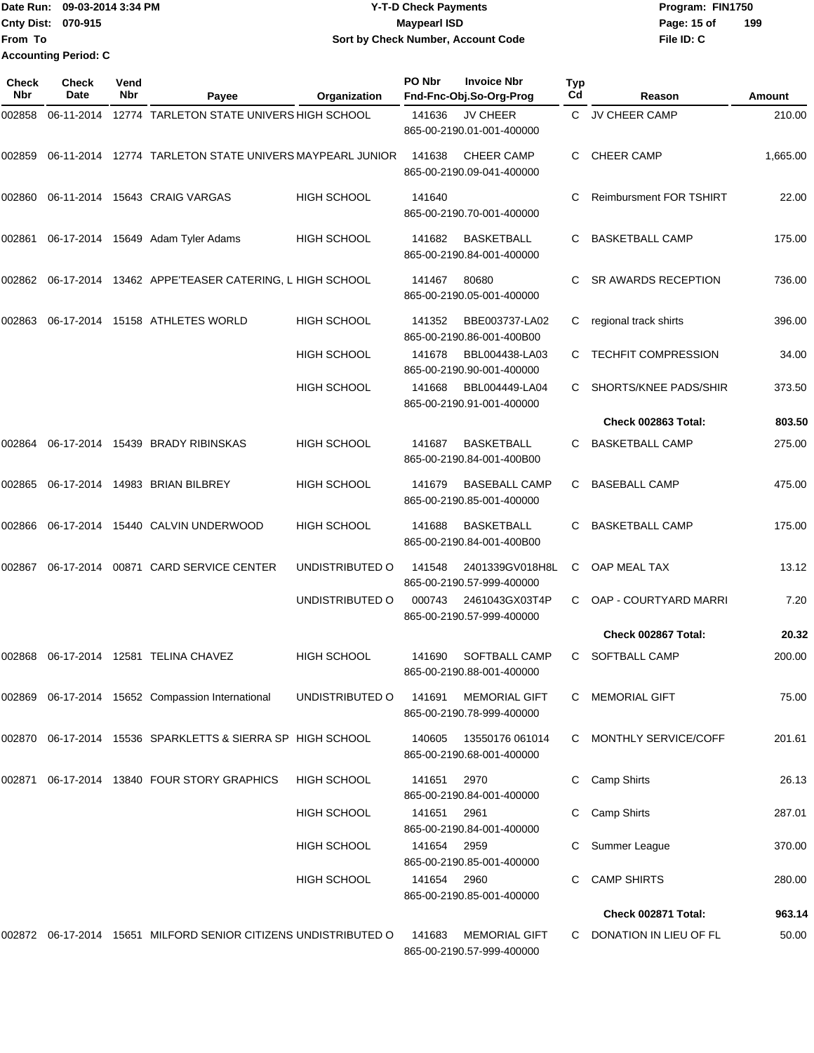|                           | Date Run: 09-03-2014 3:34 PM | <b>Y-T-D Check Payments</b>        | Program: FIN1750 |     |  |  |  |
|---------------------------|------------------------------|------------------------------------|------------------|-----|--|--|--|
| <b>Cnty Dist: 070-915</b> |                              | <b>Mavpearl ISD</b>                | Page: 15 of      | 199 |  |  |  |
| <b>From To</b>            |                              | Sort by Check Number, Account Code | File ID: C       |     |  |  |  |
|                           | <b>Accounting Period: C</b>  |                                    |                  |     |  |  |  |

| Check<br>Nbr | <b>Check</b><br>Date | Vend<br>Nbr | Payee                                                              | Organization       | PO Nbr | <b>Invoice Nbr</b><br>Fnd-Fnc-Obj.So-Org-Prog     | <b>Typ</b><br>Cd | Reason                         | Amount   |
|--------------|----------------------|-------------|--------------------------------------------------------------------|--------------------|--------|---------------------------------------------------|------------------|--------------------------------|----------|
| 002858       | 06-11-2014           |             | 12774 TARLETON STATE UNIVERS HIGH SCHOOL                           |                    | 141636 | JV CHEER<br>865-00-2190.01-001-400000             | C                | JV CHEER CAMP                  | 210.00   |
| 002859       |                      |             | 06-11-2014 12774 TARLETON STATE UNIVERS MAYPEARL JUNIOR            |                    | 141638 | <b>CHEER CAMP</b><br>865-00-2190.09-041-400000    | C                | <b>CHEER CAMP</b>              | 1,665.00 |
| 002860       |                      |             | 06-11-2014 15643 CRAIG VARGAS                                      | HIGH SCHOOL        | 141640 | 865-00-2190.70-001-400000                         | C.               | <b>Reimbursment FOR TSHIRT</b> | 22.00    |
| 002861       |                      |             | 06-17-2014 15649 Adam Tyler Adams                                  | HIGH SCHOOL        | 141682 | <b>BASKETBALL</b><br>865-00-2190.84-001-400000    |                  | <b>BASKETBALL CAMP</b>         | 175.00   |
|              |                      |             | 002862 06-17-2014 13462 APPE'TEASER CATERING, L HIGH SCHOOL        |                    | 141467 | 80680<br>865-00-2190.05-001-400000                | C.               | <b>SR AWARDS RECEPTION</b>     | 736.00   |
| 002863       |                      |             | 06-17-2014 15158 ATHLETES WORLD                                    | HIGH SCHOOL        | 141352 | BBE003737-LA02<br>865-00-2190.86-001-400B00       | С                | regional track shirts          | 396.00   |
|              |                      |             |                                                                    | <b>HIGH SCHOOL</b> | 141678 | BBL004438-LA03<br>865-00-2190.90-001-400000       | C                | <b>TECHFIT COMPRESSION</b>     | 34.00    |
|              |                      |             |                                                                    | <b>HIGH SCHOOL</b> | 141668 | BBL004449-LA04<br>865-00-2190.91-001-400000       | C                | SHORTS/KNEE PADS/SHIR          | 373.50   |
|              |                      |             |                                                                    |                    |        |                                                   |                  | Check 002863 Total:            | 803.50   |
| 002864       |                      |             | 06-17-2014 15439 BRADY RIBINSKAS                                   | <b>HIGH SCHOOL</b> | 141687 | <b>BASKETBALL</b><br>865-00-2190.84-001-400B00    | C.               | <b>BASKETBALL CAMP</b>         | 275.00   |
| 002865       |                      |             | 06-17-2014 14983 BRIAN BILBREY                                     | <b>HIGH SCHOOL</b> | 141679 | <b>BASEBALL CAMP</b><br>865-00-2190.85-001-400000 | C                | <b>BASEBALL CAMP</b>           | 475.00   |
| 002866       |                      |             | 06-17-2014 15440 CALVIN UNDERWOOD                                  | HIGH SCHOOL        | 141688 | <b>BASKETBALL</b><br>865-00-2190.84-001-400B00    | C                | <b>BASKETBALL CAMP</b>         | 175.00   |
| 002867       |                      |             | 06-17-2014 00871 CARD SERVICE CENTER                               | UNDISTRIBUTED O    | 141548 | 2401339GV018H8L<br>865-00-2190.57-999-400000      | C                | OAP MEAL TAX                   | 13.12    |
|              |                      |             |                                                                    | UNDISTRIBUTED O    | 000743 | 2461043GX03T4P<br>865-00-2190.57-999-400000       | C                | OAP - COURTYARD MARRI          | 7.20     |
|              |                      |             |                                                                    |                    |        |                                                   |                  | Check 002867 Total:            | 20.32    |
| 002868       |                      |             | 06-17-2014 12581 TELINA CHAVEZ                                     | <b>HIGH SCHOOL</b> | 141690 | SOFTBALL CAMP<br>865-00-2190.88-001-400000        | C                | SOFTBALL CAMP                  | 200.00   |
|              |                      |             | 002869 06-17-2014 15652 Compassion International                   | UNDISTRIBUTED O    | 141691 | <b>MEMORIAL GIFT</b><br>865-00-2190.78-999-400000 | C                | <b>MEMORIAL GIFT</b>           | 75.00    |
|              |                      |             | 002870 06-17-2014 15536 SPARKLETTS & SIERRA SP HIGH SCHOOL         |                    | 140605 | 13550176 061014<br>865-00-2190.68-001-400000      |                  | C MONTHLY SERVICE/COFF         | 201.61   |
| 002871       |                      |             | 06-17-2014 13840 FOUR STORY GRAPHICS                               | HIGH SCHOOL        | 141651 | 2970<br>865-00-2190.84-001-400000                 | C                | Camp Shirts                    | 26.13    |
|              |                      |             |                                                                    | <b>HIGH SCHOOL</b> | 141651 | 2961<br>865-00-2190.84-001-400000                 |                  | Camp Shirts                    | 287.01   |
|              |                      |             |                                                                    | <b>HIGH SCHOOL</b> | 141654 | 2959<br>865-00-2190.85-001-400000                 |                  | Summer League                  | 370.00   |
|              |                      |             |                                                                    | <b>HIGH SCHOOL</b> | 141654 | 2960<br>865-00-2190.85-001-400000                 | C                | <b>CAMP SHIRTS</b>             | 280.00   |
|              |                      |             |                                                                    |                    |        |                                                   |                  | Check 002871 Total:            | 963.14   |
|              |                      |             | 002872  06-17-2014  15651  MILFORD SENIOR CITIZENS UNDISTRIBUTED O |                    | 141683 | <b>MEMORIAL GIFT</b><br>865-00-2190.57-999-400000 | C                | DONATION IN LIEU OF FL         | 50.00    |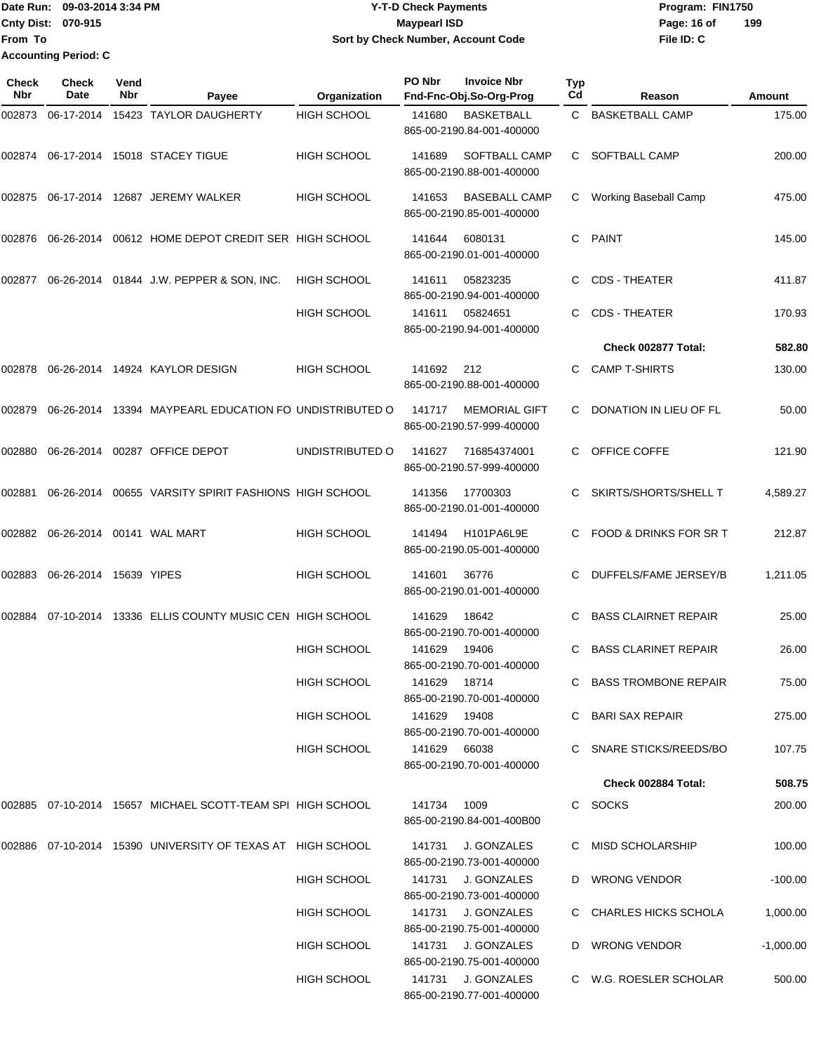Date Run: 09-03-2014 3:34 PM **Program:** FIN1750 **Cnty Dist:** 070-915 **Page: 16 of MaypearI ISD Page: 16 of File ID: C From To Y-T-D Check Payments 070-915 Maypearl ISD Sort by Check Number, Account Code 199 Accounting Period: C**

| <b>Check</b><br>Nbr | Check<br>Date          | Vend<br>Nbr | Payee                                                         | Organization       | PO Nbr       | <b>Invoice Nbr</b><br>Fnd-Fnc-Obj.So-Org-Prog     | Typ<br>Cd | Reason                      | Amount      |
|---------------------|------------------------|-------------|---------------------------------------------------------------|--------------------|--------------|---------------------------------------------------|-----------|-----------------------------|-------------|
| 002873              |                        |             | 06-17-2014 15423 TAYLOR DAUGHERTY                             | <b>HIGH SCHOOL</b> | 141680       | <b>BASKETBALL</b><br>865-00-2190.84-001-400000    | C.        | <b>BASKETBALL CAMP</b>      | 175.00      |
| 002874              |                        |             | 06-17-2014 15018 STACEY TIGUE                                 | HIGH SCHOOL        | 141689       | SOFTBALL CAMP<br>865-00-2190.88-001-400000        | C.        | <b>SOFTBALL CAMP</b>        | 200.00      |
| 002875              |                        |             | 06-17-2014 12687 JEREMY WALKER                                | <b>HIGH SCHOOL</b> | 141653       | <b>BASEBALL CAMP</b><br>865-00-2190.85-001-400000 | С         | Working Baseball Camp       | 475.00      |
| 002876              | 06-26-2014             |             | 00612 HOME DEPOT CREDIT SER HIGH SCHOOL                       |                    | 141644       | 6080131<br>865-00-2190.01-001-400000              | С         | <b>PAINT</b>                | 145.00      |
| 002877              |                        |             | 06-26-2014 01844 J.W. PEPPER & SON, INC.                      | <b>HIGH SCHOOL</b> | 141611       | 05823235<br>865-00-2190.94-001-400000             | С         | <b>CDS - THEATER</b>        | 411.87      |
|                     |                        |             |                                                               | HIGH SCHOOL        | 141611       | 05824651<br>865-00-2190.94-001-400000             | С         | <b>CDS - THEATER</b>        | 170.93      |
|                     |                        |             |                                                               |                    |              |                                                   |           | Check 002877 Total:         | 582.80      |
| 002878              |                        |             | 06-26-2014 14924 KAYLOR DESIGN                                | <b>HIGH SCHOOL</b> | 141692       | 212<br>865-00-2190.88-001-400000                  | С         | <b>CAMP T-SHIRTS</b>        | 130.00      |
| 002879              |                        |             | 06-26-2014 13394 MAYPEARL EDUCATION FO UNDISTRIBUTED O        |                    | 141717       | <b>MEMORIAL GIFT</b><br>865-00-2190.57-999-400000 | C         | DONATION IN LIEU OF FL      | 50.00       |
| 002880              | 06-26-2014             |             | 00287 OFFICE DEPOT                                            | UNDISTRIBUTED O    | 141627       | 716854374001<br>865-00-2190.57-999-400000         | С         | OFFICE COFFE                | 121.90      |
| 002881              | 06-26-2014             |             | 00655 VARSITY SPIRIT FASHIONS HIGH SCHOOL                     |                    | 141356       | 17700303<br>865-00-2190.01-001-400000             | С         | SKIRTS/SHORTS/SHELL T       | 4,589.27    |
| 002882              |                        |             | 06-26-2014 00141 WAL MART                                     | <b>HIGH SCHOOL</b> | 141494       | H101PA6L9E<br>865-00-2190.05-001-400000           | С         | FOOD & DRINKS FOR SR T      | 212.87      |
| 002883              | 06-26-2014 15639 YIPES |             |                                                               | HIGH SCHOOL        | 141601       | 36776<br>865-00-2190.01-001-400000                | С         | DUFFELS/FAME JERSEY/B       | 1,211.05    |
| 002884              |                        |             | 07-10-2014 13336 ELLIS COUNTY MUSIC CEN HIGH SCHOOL           |                    | 141629       | 18642<br>865-00-2190.70-001-400000                | С         | <b>BASS CLAIRNET REPAIR</b> | 25.00       |
|                     |                        |             |                                                               | <b>HIGH SCHOOL</b> | 141629       | 19406<br>865-00-2190.70-001-400000                | С         | <b>BASS CLARINET REPAIR</b> | 26.00       |
|                     |                        |             |                                                               | <b>HIGH SCHOOL</b> | 141629 18714 | 865-00-2190.70-001-400000                         |           | C BASS TROMBONE REPAIR      | 75.00       |
|                     |                        |             |                                                               | <b>HIGH SCHOOL</b> | 141629 19408 | 865-00-2190.70-001-400000                         |           | C BARI SAX REPAIR           | 275.00      |
|                     |                        |             |                                                               | HIGH SCHOOL        | 141629 66038 | 865-00-2190.70-001-400000                         |           | C SNARE STICKS/REEDS/BO     | 107.75      |
|                     |                        |             |                                                               |                    |              |                                                   |           | Check 002884 Total:         | 508.75      |
|                     |                        |             | 002885 07-10-2014 15657 MICHAEL SCOTT-TEAM SPI HIGH SCHOOL    |                    | 141734       | 1009<br>865-00-2190.84-001-400B00                 |           | C SOCKS                     | 200.00      |
|                     |                        |             | 002886  07-10-2014  15390  UNIVERSITY OF TEXAS AT HIGH SCHOOL |                    | 141731       | J. GONZALES<br>865-00-2190.73-001-400000          |           | C MISD SCHOLARSHIP          | 100.00      |
|                     |                        |             |                                                               | <b>HIGH SCHOOL</b> | 141731       | J. GONZALES<br>865-00-2190.73-001-400000          |           | D WRONG VENDOR              | $-100.00$   |
|                     |                        |             |                                                               | HIGH SCHOOL        |              | 141731 J. GONZALES<br>865-00-2190.75-001-400000   |           | C CHARLES HICKS SCHOLA      | 1,000.00    |
|                     |                        |             |                                                               | <b>HIGH SCHOOL</b> |              | 141731 J. GONZALES<br>865-00-2190.75-001-400000   |           | D WRONG VENDOR              | $-1,000.00$ |
|                     |                        |             |                                                               | <b>HIGH SCHOOL</b> |              | 141731 J. GONZALES<br>865-00-2190.77-001-400000   |           | C W.G. ROESLER SCHOLAR      | 500.00      |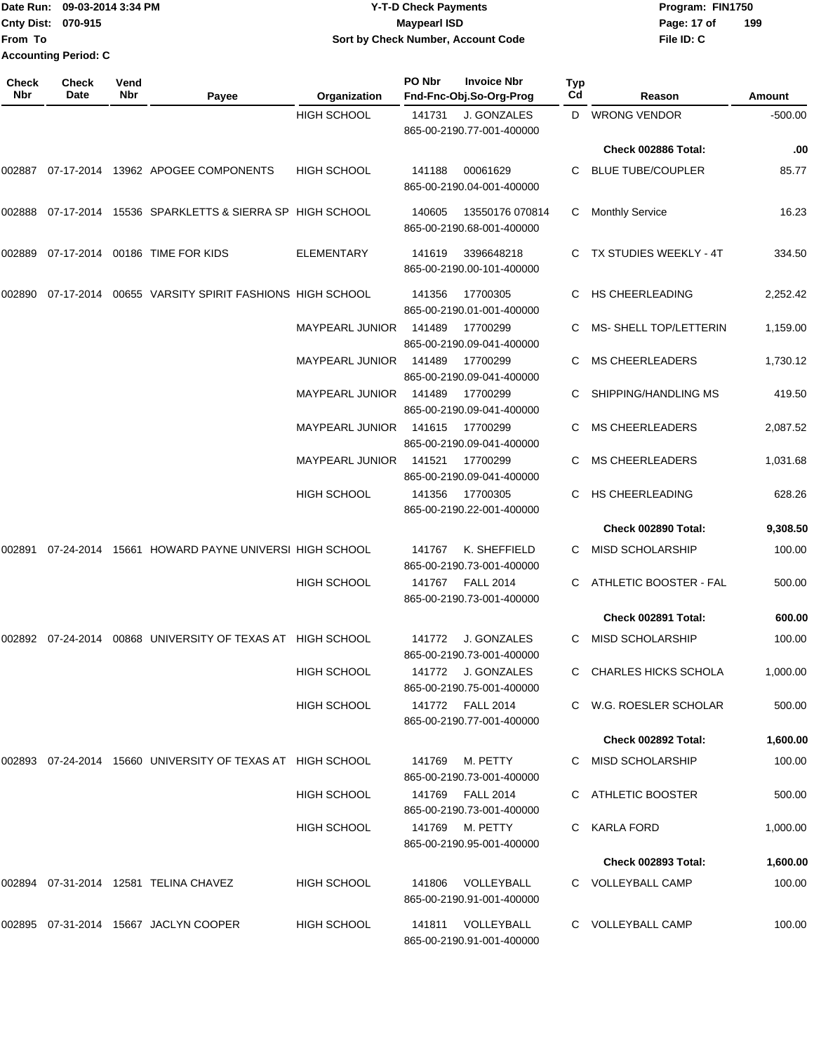#### Date Run: 09-03-2014 3:34 PM **Program:** FIN1750 **Cnty Dist:** 070-915 **Page: 17 of Page: 17 of Page: 17 of Y-T-D Check Payments 070-915 Maypearl ISD Sort by Check Number, Account Code**

| <b>Check</b><br><b>Nbr</b> | Check<br>Date | Vend<br><b>Nbr</b> | Payee                                                      | Organization           | PO Nbr | <b>Invoice Nbr</b><br>Fnd-Fnc-Obj.So-Org-Prog   | <b>Typ</b><br>Cd | Reason                     | Amount   |
|----------------------------|---------------|--------------------|------------------------------------------------------------|------------------------|--------|-------------------------------------------------|------------------|----------------------------|----------|
|                            |               |                    |                                                            | <b>HIGH SCHOOL</b>     | 141731 | J. GONZALES<br>865-00-2190.77-001-400000        |                  | D WRONG VENDOR             | -500.00  |
|                            |               |                    |                                                            |                        |        |                                                 |                  | Check 002886 Total:        | .00      |
| 002887                     |               |                    | 07-17-2014 13962 APOGEE COMPONENTS                         | <b>HIGH SCHOOL</b>     | 141188 | 00061629<br>865-00-2190.04-001-400000           | C.               | <b>BLUE TUBE/COUPLER</b>   | 85.77    |
| 002888                     |               |                    | 07-17-2014 15536 SPARKLETTS & SIERRA SP HIGH SCHOOL        |                        | 140605 | 13550176 070814<br>865-00-2190.68-001-400000    | С                | <b>Monthly Service</b>     | 16.23    |
| 002889                     |               |                    | 07-17-2014 00186 TIME FOR KIDS                             | <b>ELEMENTARY</b>      | 141619 | 3396648218<br>865-00-2190.00-101-400000         |                  | TX STUDIES WEEKLY - 4T     | 334.50   |
| 002890                     |               |                    | 07-17-2014 00655 VARSITY SPIRIT FASHIONS HIGH SCHOOL       |                        | 141356 | 17700305<br>865-00-2190.01-001-400000           | C.               | <b>HS CHEERLEADING</b>     | 2,252.42 |
|                            |               |                    |                                                            | <b>MAYPEARL JUNIOR</b> | 141489 | 17700299<br>865-00-2190.09-041-400000           | C.               | MS-SHELL TOP/LETTERIN      | 1,159.00 |
|                            |               |                    |                                                            | <b>MAYPEARL JUNIOR</b> | 141489 | 17700299<br>865-00-2190.09-041-400000           |                  | <b>MS CHEERLEADERS</b>     | 1,730.12 |
|                            |               |                    |                                                            | <b>MAYPEARL JUNIOR</b> | 141489 | 17700299<br>865-00-2190.09-041-400000           |                  | SHIPPING/HANDLING MS       | 419.50   |
|                            |               |                    |                                                            | <b>MAYPEARL JUNIOR</b> | 141615 | 17700299<br>865-00-2190.09-041-400000           | С                | <b>MS CHEERLEADERS</b>     | 2,087.52 |
|                            |               |                    |                                                            | <b>MAYPEARL JUNIOR</b> | 141521 | 17700299<br>865-00-2190.09-041-400000           |                  | <b>MS CHEERLEADERS</b>     | 1,031.68 |
|                            |               |                    |                                                            | <b>HIGH SCHOOL</b>     | 141356 | 17700305<br>865-00-2190.22-001-400000           | C.               | HS CHEERLEADING            | 628.26   |
|                            |               |                    |                                                            |                        |        |                                                 |                  | Check 002890 Total:        | 9,308.50 |
| 002891                     |               |                    | 07-24-2014 15661 HOWARD PAYNE UNIVERSI HIGH SCHOOL         |                        | 141767 | K. SHEFFIELD<br>865-00-2190.73-001-400000       | C.               | <b>MISD SCHOLARSHIP</b>    | 100.00   |
|                            |               |                    |                                                            | <b>HIGH SCHOOL</b>     | 141767 | <b>FALL 2014</b><br>865-00-2190.73-001-400000   | C.               | ATHLETIC BOOSTER - FAL     | 500.00   |
|                            |               |                    |                                                            |                        |        |                                                 |                  | Check 002891 Total:        | 600.00   |
| 002892                     | 07-24-2014    |                    | 00868 UNIVERSITY OF TEXAS AT HIGH SCHOOL                   |                        | 141772 | J. GONZALES<br>865-00-2190.73-001-400000        | С                | <b>MISD SCHOLARSHIP</b>    | 100.00   |
|                            |               |                    |                                                            | HIGH SCHOOL            |        | 141772 J. GONZALES<br>865-00-2190.75-001-400000 |                  | C CHARLES HICKS SCHOLA     | 1,000.00 |
|                            |               |                    |                                                            | <b>HIGH SCHOOL</b>     |        | 141772 FALL 2014<br>865-00-2190.77-001-400000   |                  | C W.G. ROESLER SCHOLAR     | 500.00   |
|                            |               |                    |                                                            |                        |        |                                                 |                  | Check 002892 Total:        | 1,600.00 |
|                            |               |                    | 002893 07-24-2014 15660 UNIVERSITY OF TEXAS AT HIGH SCHOOL |                        | 141769 | M. PETTY<br>865-00-2190.73-001-400000           |                  | C MISD SCHOLARSHIP         | 100.00   |
|                            |               |                    |                                                            | <b>HIGH SCHOOL</b>     |        | 141769 FALL 2014<br>865-00-2190.73-001-400000   |                  | C ATHLETIC BOOSTER         | 500.00   |
|                            |               |                    |                                                            | <b>HIGH SCHOOL</b>     |        | 141769 M. PETTY<br>865-00-2190.95-001-400000    |                  | C KARLA FORD               | 1,000.00 |
|                            |               |                    |                                                            |                        |        |                                                 |                  | <b>Check 002893 Total:</b> | 1,600.00 |
|                            |               |                    | 002894 07-31-2014 12581 TELINA CHAVEZ                      | <b>HIGH SCHOOL</b>     |        | 141806 VOLLEYBALL<br>865-00-2190.91-001-400000  |                  | C VOLLEYBALL CAMP          | 100.00   |
|                            |               |                    | 002895  07-31-2014  15667  JACLYN COOPER                   | <b>HIGH SCHOOL</b>     |        | 141811 VOLLEYBALL<br>865-00-2190.91-001-400000  |                  | C VOLLEYBALL CAMP          | 100.00   |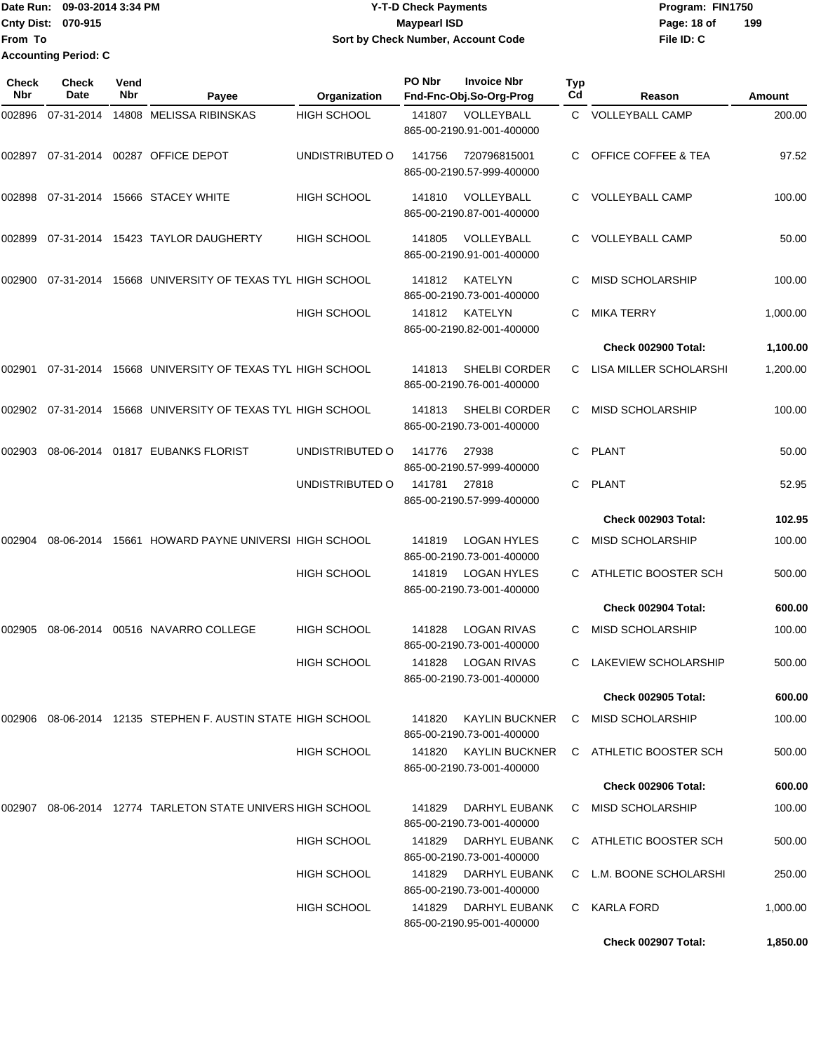| Date Run:                   | 09-03-2014 3:34 PM | <b>Y-T-D Check Payments</b>        | Program: FIN1750 |     |
|-----------------------------|--------------------|------------------------------------|------------------|-----|
| <b>Cnty Dist: 070-915</b>   |                    | Maypearl ISD                       | Page: 18 of      | 199 |
| <b>IFrom To</b>             |                    | Sort by Check Number, Account Code | File ID: C       |     |
| <b>Accounting Period: C</b> |                    |                                    |                  |     |

| <b>Check</b><br>Nbr | <b>Check</b><br>Date | Vend<br>Nbr | Payee                                                       | Organization       | PO Nbr | <b>Invoice Nbr</b><br>Fnd-Fnc-Obj.So-Org-Prog      | Typ<br>Cd | Reason                         | Amount   |
|---------------------|----------------------|-------------|-------------------------------------------------------------|--------------------|--------|----------------------------------------------------|-----------|--------------------------------|----------|
| 002896              | 07-31-2014           |             | 14808 MELISSA RIBINSKAS                                     | <b>HIGH SCHOOL</b> | 141807 | VOLLEYBALL<br>865-00-2190.91-001-400000            |           | C VOLLEYBALL CAMP              | 200.00   |
| 002897              |                      |             | 07-31-2014 00287 OFFICE DEPOT                               | UNDISTRIBUTED O    | 141756 | 720796815001<br>865-00-2190.57-999-400000          | C.        | <b>OFFICE COFFEE &amp; TEA</b> | 97.52    |
| 002898              | 07-31-2014           |             | 15666 STACEY WHITE                                          | <b>HIGH SCHOOL</b> | 141810 | VOLLEYBALL<br>865-00-2190.87-001-400000            | C         | VOLLEYBALL CAMP                | 100.00   |
| 002899              | 07-31-2014           |             | 15423 TAYLOR DAUGHERTY                                      | <b>HIGH SCHOOL</b> | 141805 | VOLLEYBALL<br>865-00-2190.91-001-400000            | С         | <b>VOLLEYBALL CAMP</b>         | 50.00    |
| 002900              |                      |             | 07-31-2014 15668 UNIVERSITY OF TEXAS TYL HIGH SCHOOL        |                    | 141812 | KATELYN<br>865-00-2190.73-001-400000               | C         | <b>MISD SCHOLARSHIP</b>        | 100.00   |
|                     |                      |             |                                                             | <b>HIGH SCHOOL</b> | 141812 | KATELYN<br>865-00-2190.82-001-400000               | С         | <b>MIKA TERRY</b>              | 1,000.00 |
|                     |                      |             |                                                             |                    |        |                                                    |           | Check 002900 Total:            | 1,100.00 |
| 002901              |                      |             | 07-31-2014 15668 UNIVERSITY OF TEXAS TYL HIGH SCHOOL        |                    | 141813 | <b>SHELBI CORDER</b><br>865-00-2190.76-001-400000  | C         | LISA MILLER SCHOLARSHI         | 1,200.00 |
| 002902              | 07-31-2014           |             | 15668 UNIVERSITY OF TEXAS TYL HIGH SCHOOL                   |                    | 141813 | SHELBI CORDER<br>865-00-2190.73-001-400000         | С         | MISD SCHOLARSHIP               | 100.00   |
| 002903              |                      |             | 08-06-2014  01817  EUBANKS FLORIST                          | UNDISTRIBUTED O    | 141776 | 27938<br>865-00-2190.57-999-400000                 | С         | PLANT                          | 50.00    |
|                     |                      |             |                                                             | UNDISTRIBUTED O    | 141781 | 27818<br>865-00-2190.57-999-400000                 | С         | PLANT                          | 52.95    |
|                     |                      |             |                                                             |                    |        |                                                    |           | Check 002903 Total:            | 102.95   |
| 002904              | 08-06-2014           |             | 15661 HOWARD PAYNE UNIVERSI HIGH SCHOOL                     |                    | 141819 | LOGAN HYLES<br>865-00-2190.73-001-400000           | С         | <b>MISD SCHOLARSHIP</b>        | 100.00   |
|                     |                      |             |                                                             | <b>HIGH SCHOOL</b> | 141819 | <b>LOGAN HYLES</b><br>865-00-2190.73-001-400000    | С         | ATHLETIC BOOSTER SCH           | 500.00   |
|                     |                      |             |                                                             |                    |        |                                                    |           | Check 002904 Total:            | 600.00   |
| 002905              |                      |             | 08-06-2014  00516  NAVARRO COLLEGE                          | <b>HIGH SCHOOL</b> | 141828 | <b>LOGAN RIVAS</b><br>865-00-2190.73-001-400000    | С         | MISD SCHOLARSHIP               | 100.00   |
|                     |                      |             |                                                             | <b>HIGH SCHOOL</b> | 141828 | <b>LOGAN RIVAS</b><br>865-00-2190.73-001-400000    | С         | LAKEVIEW SCHOLARSHIP           | 500.00   |
|                     |                      |             |                                                             |                    |        |                                                    |           | <b>Check 002905 Total:</b>     | 600.00   |
|                     |                      |             | 002906 08-06-2014 12135 STEPHEN F. AUSTIN STATE HIGH SCHOOL |                    | 141820 | <b>KAYLIN BUCKNER</b><br>865-00-2190.73-001-400000 | C         | <b>MISD SCHOLARSHIP</b>        | 100.00   |
|                     |                      |             |                                                             | <b>HIGH SCHOOL</b> | 141820 | KAYLIN BUCKNER<br>865-00-2190.73-001-400000        |           | C ATHLETIC BOOSTER SCH         | 500.00   |
|                     |                      |             |                                                             |                    |        |                                                    |           | Check 002906 Total:            | 600.00   |
| 002907              |                      |             | 08-06-2014 12774 TARLETON STATE UNIVERS HIGH SCHOOL         |                    | 141829 | DARHYL EUBANK<br>865-00-2190.73-001-400000         | C         | MISD SCHOLARSHIP               | 100.00   |
|                     |                      |             |                                                             | HIGH SCHOOL        | 141829 | DARHYL EUBANK<br>865-00-2190.73-001-400000         |           | C ATHLETIC BOOSTER SCH         | 500.00   |
|                     |                      |             |                                                             | <b>HIGH SCHOOL</b> | 141829 | DARHYL EUBANK<br>865-00-2190.73-001-400000         |           | C L.M. BOONE SCHOLARSHI        | 250.00   |
|                     |                      |             |                                                             | <b>HIGH SCHOOL</b> | 141829 | DARHYL EUBANK<br>865-00-2190.95-001-400000         | C         | KARLA FORD                     | 1,000.00 |
|                     |                      |             |                                                             |                    |        |                                                    |           | Check 002907 Total:            | 1,850.00 |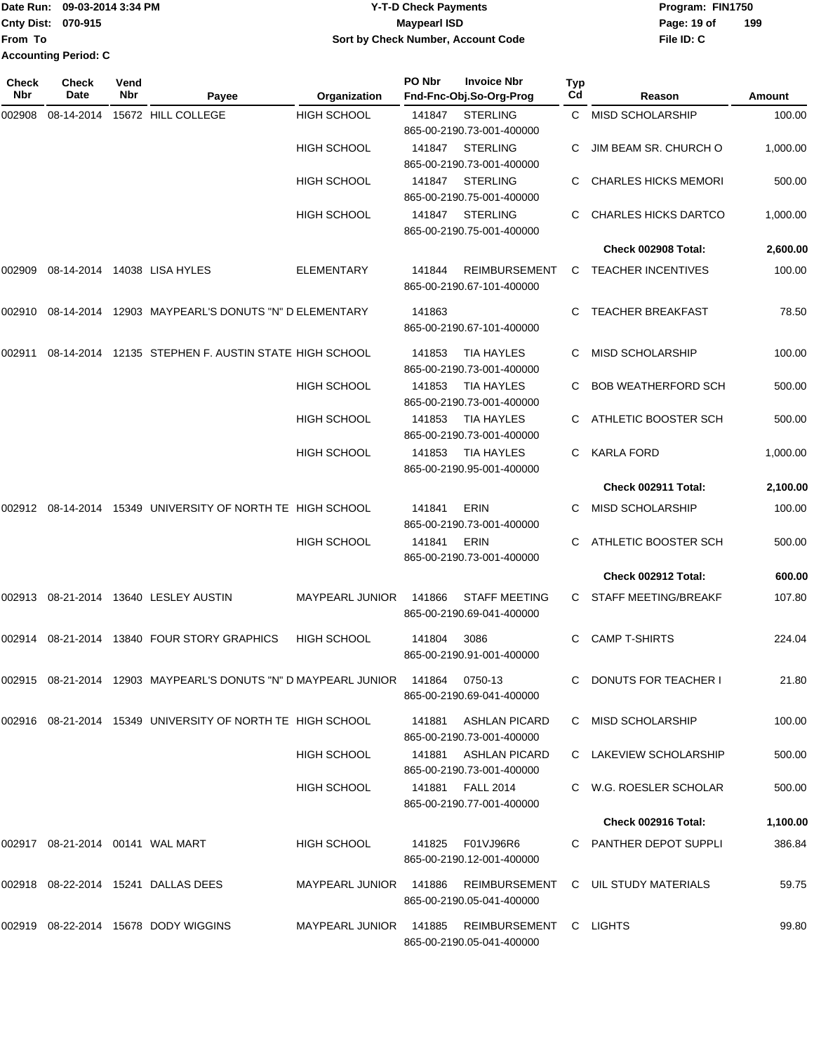| <b>I</b> Date Run:          | 09-03-2014 3:34 PM | <b>Y-T-D Check Payments</b>        | Program: FIN1750 |     |
|-----------------------------|--------------------|------------------------------------|------------------|-----|
| <b>Cnty Dist: 070-915</b>   |                    | Maypearl ISD                       | Page: 19 of      | 199 |
| <b>From To</b>              |                    | Sort by Check Number, Account Code | File ID: C       |     |
| <b>Accounting Period: C</b> |                    |                                    |                  |     |

| Check<br>Nbr | <b>Check</b><br>Date             | Vend<br>Nbr | Payee                                                             | Organization           | PO Nbr | <b>Invoice Nbr</b><br>Fnd-Fnc-Obj.So-Org-Prog       | <b>Typ</b><br>Cd | Reason                      | Amount   |
|--------------|----------------------------------|-------------|-------------------------------------------------------------------|------------------------|--------|-----------------------------------------------------|------------------|-----------------------------|----------|
| 002908       | 08-14-2014                       |             | 15672 HILL COLLEGE                                                | <b>HIGH SCHOOL</b>     | 141847 | <b>STERLING</b><br>865-00-2190.73-001-400000        | C.               | <b>MISD SCHOLARSHIP</b>     | 100.00   |
|              |                                  |             |                                                                   | <b>HIGH SCHOOL</b>     | 141847 | <b>STERLING</b><br>865-00-2190.73-001-400000        |                  | JIM BEAM SR. CHURCH O       | 1,000.00 |
|              |                                  |             |                                                                   | <b>HIGH SCHOOL</b>     | 141847 | <b>STERLING</b><br>865-00-2190.75-001-400000        |                  | <b>CHARLES HICKS MEMORI</b> | 500.00   |
|              |                                  |             |                                                                   | <b>HIGH SCHOOL</b>     | 141847 | <b>STERLING</b><br>865-00-2190.75-001-400000        |                  | <b>CHARLES HICKS DARTCO</b> | 1,000.00 |
|              |                                  |             |                                                                   |                        |        |                                                     |                  | Check 002908 Total:         | 2,600.00 |
| 002909       |                                  |             | 08-14-2014 14038 LISA HYLES                                       | <b>ELEMENTARY</b>      | 141844 | <b>REIMBURSEMENT</b><br>865-00-2190.67-101-400000   | C.               | <b>TEACHER INCENTIVES</b>   | 100.00   |
| 002910       | 08-14-2014                       |             | 12903 MAYPEARL'S DONUTS "N" D ELEMENTARY                          |                        | 141863 | 865-00-2190.67-101-400000                           |                  | <b>TEACHER BREAKFAST</b>    | 78.50    |
| 002911       | 08-14-2014                       |             | 12135 STEPHEN F. AUSTIN STATE HIGH SCHOOL                         |                        | 141853 | <b>TIA HAYLES</b><br>865-00-2190.73-001-400000      | C                | <b>MISD SCHOLARSHIP</b>     | 100.00   |
|              |                                  |             |                                                                   | <b>HIGH SCHOOL</b>     | 141853 | <b>TIA HAYLES</b><br>865-00-2190.73-001-400000      |                  | <b>BOB WEATHERFORD SCH</b>  | 500.00   |
|              |                                  |             |                                                                   | <b>HIGH SCHOOL</b>     | 141853 | <b>TIA HAYLES</b><br>865-00-2190.73-001-400000      |                  | ATHLETIC BOOSTER SCH        | 500.00   |
|              |                                  |             |                                                                   | <b>HIGH SCHOOL</b>     | 141853 | <b>TIA HAYLES</b><br>865-00-2190.95-001-400000      | C.               | <b>KARLA FORD</b>           | 1,000.00 |
|              |                                  |             |                                                                   |                        |        |                                                     |                  | Check 002911 Total:         | 2,100.00 |
| 002912       |                                  |             | 08-14-2014 15349 UNIVERSITY OF NORTH TE HIGH SCHOOL               |                        | 141841 | <b>ERIN</b><br>865-00-2190.73-001-400000            | C                | <b>MISD SCHOLARSHIP</b>     | 100.00   |
|              |                                  |             |                                                                   | <b>HIGH SCHOOL</b>     | 141841 | <b>ERIN</b><br>865-00-2190.73-001-400000            | C.               | ATHLETIC BOOSTER SCH        | 500.00   |
|              |                                  |             |                                                                   |                        |        |                                                     |                  | Check 002912 Total:         | 600.00   |
| 002913       |                                  |             | 08-21-2014 13640 LESLEY AUSTIN                                    | <b>MAYPEARL JUNIOR</b> | 141866 | <b>STAFF MEETING</b><br>865-00-2190.69-041-400000   | C.               | STAFF MEETING/BREAKF        | 107.80   |
| 002914       |                                  |             | 08-21-2014 13840 FOUR STORY GRAPHICS                              | <b>HIGH SCHOOL</b>     | 141804 | 3086<br>865-00-2190.91-001-400000                   | C                | <b>CAMP T-SHIRTS</b>        | 224.04   |
|              |                                  |             | 002915 08-21-2014 12903   MAYPEARL'S DONUTS "N" D MAYPEARL JUNIOR |                        | 141864 | 0750-13<br>865-00-2190.69-041-400000                |                  | C DONUTS FOR TEACHER I      | 21.80    |
|              |                                  |             | 002916 08-21-2014 15349 UNIVERSITY OF NORTH TE HIGH SCHOOL        |                        | 141881 | <b>ASHLAN PICARD</b><br>865-00-2190.73-001-400000   |                  | MISD SCHOLARSHIP            | 100.00   |
|              |                                  |             |                                                                   | <b>HIGH SCHOOL</b>     |        | 141881 ASHLAN PICARD<br>865-00-2190.73-001-400000   |                  | C LAKEVIEW SCHOLARSHIP      | 500.00   |
|              |                                  |             |                                                                   | <b>HIGH SCHOOL</b>     |        | 141881 FALL 2014<br>865-00-2190.77-001-400000       |                  | C W.G. ROESLER SCHOLAR      | 500.00   |
|              |                                  |             |                                                                   |                        |        |                                                     |                  | Check 002916 Total:         | 1,100.00 |
|              | 002917 08-21-2014 00141 WAL MART |             |                                                                   | <b>HIGH SCHOOL</b>     | 141825 | F01VJ96R6<br>865-00-2190.12-001-400000              |                  | C PANTHER DEPOT SUPPLI      | 386.84   |
|              |                                  |             | 002918 08-22-2014 15241 DALLAS DEES                               | MAYPEARL JUNIOR        | 141886 | REIMBURSEMENT<br>865-00-2190.05-041-400000          |                  | C UIL STUDY MATERIALS       | 59.75    |
|              |                                  |             | 002919 08-22-2014 15678 DODY WIGGINS                              | MAYPEARL JUNIOR 141885 |        | REIMBURSEMENT C LIGHTS<br>865-00-2190.05-041-400000 |                  |                             | 99.80    |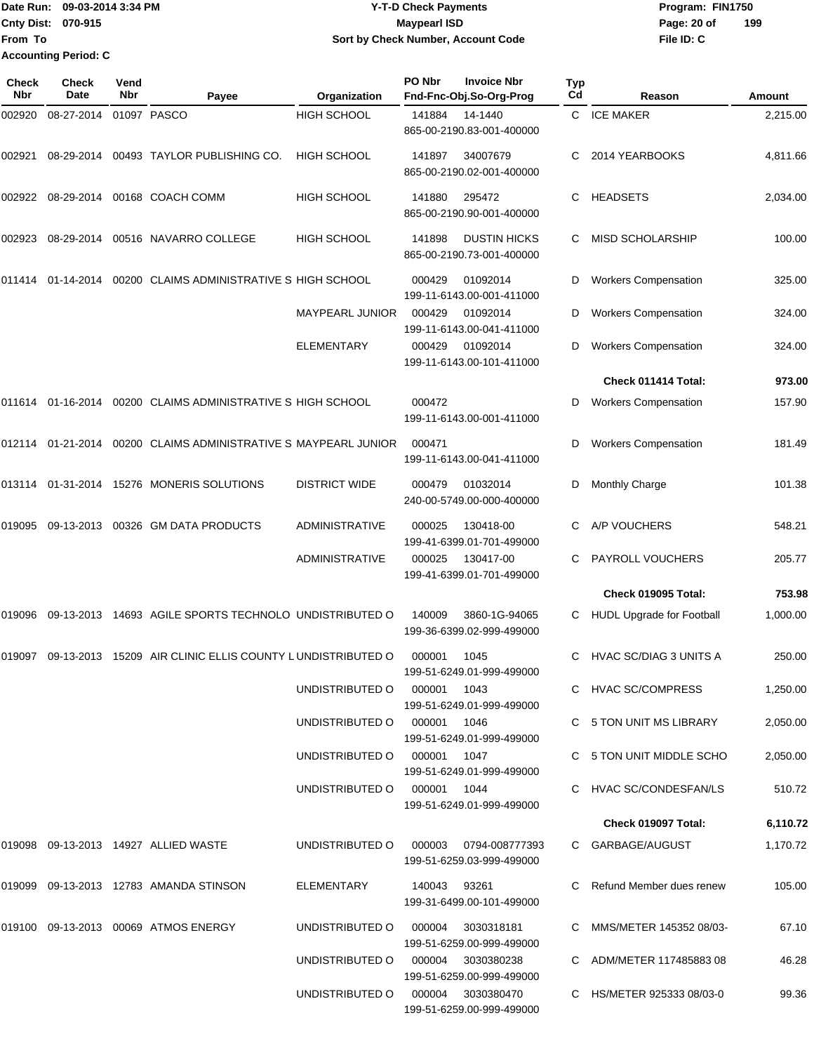**Date Run: Program: FIN1750 Cnty Dist: Page: 20 of From To Y-T-D Check Payments 070-915 Maypearl ISD Sort by Check Number, Account Code Accounting Period: C**

**File ID: C 199**

| Check<br>Nbr | Check<br>Date     | Vend<br>Nbr | Payee                                                            | Organization                          | PO Nbr       | <b>Invoice Nbr</b><br>Fnd-Fnc-Obj.So-Org-Prog    | <b>Typ</b><br>Cd | Reason                      | Amount   |
|--------------|-------------------|-------------|------------------------------------------------------------------|---------------------------------------|--------------|--------------------------------------------------|------------------|-----------------------------|----------|
| 002920       | 08-27-2014        |             | 01097 PASCO                                                      | <b>HIGH SCHOOL</b>                    | 141884       | 14-1440<br>865-00-2190.83-001-400000             |                  | C ICE MAKER                 | 2,215.00 |
| 002921       | 08-29-2014        |             | 00493 TAYLOR PUBLISHING CO.                                      | <b>HIGH SCHOOL</b>                    | 141897       | 34007679<br>865-00-2190.02-001-400000            | С                | 2014 YEARBOOKS              | 4,811.66 |
| 002922       | 08-29-2014        |             | 00168 COACH COMM                                                 | <b>HIGH SCHOOL</b>                    | 141880       | 295472<br>865-00-2190.90-001-400000              | С                | <b>HEADSETS</b>             | 2,034.00 |
| 002923       | 08-29-2014        |             | 00516 NAVARRO COLLEGE                                            | <b>HIGH SCHOOL</b>                    | 141898       | <b>DUSTIN HICKS</b><br>865-00-2190.73-001-400000 | С                | MISD SCHOLARSHIP            | 100.00   |
| 011414       | 01-14-2014        |             | 00200 CLAIMS ADMINISTRATIVE S HIGH SCHOOL                        |                                       | 000429       | 01092014<br>199-11-6143.00-001-411000            | D                | <b>Workers Compensation</b> | 325.00   |
|              |                   |             |                                                                  | <b>MAYPEARL JUNIOR</b>                | 000429       | 01092014<br>199-11-6143.00-041-411000            | D                | <b>Workers Compensation</b> | 324.00   |
|              |                   |             |                                                                  | <b>ELEMENTARY</b>                     | 000429       | 01092014<br>199-11-6143.00-101-411000            | D                | <b>Workers Compensation</b> | 324.00   |
|              |                   |             |                                                                  |                                       |              |                                                  |                  | Check 011414 Total:         | 973.00   |
|              | 011614 01-16-2014 |             | 00200 CLAIMS ADMINISTRATIVE S HIGH SCHOOL                        |                                       | 000472       | 199-11-6143.00-001-411000                        | D                | <b>Workers Compensation</b> | 157.90   |
| 012114       | 01-21-2014        |             | 00200 CLAIMS ADMINISTRATIVE S MAYPEARL JUNIOR                    |                                       | 000471       | 199-11-6143.00-041-411000                        | D                | <b>Workers Compensation</b> | 181.49   |
| 013114       |                   |             | 01-31-2014 15276 MONERIS SOLUTIONS                               | <b>DISTRICT WIDE</b>                  | 000479       | 01032014<br>240-00-5749.00-000-400000            | D                | <b>Monthly Charge</b>       | 101.38   |
| 019095       |                   |             | 09-13-2013 00326 GM DATA PRODUCTS                                | <b>ADMINISTRATIVE</b>                 | 000025       | 130418-00<br>199-41-6399.01-701-499000           | С                | A/P VOUCHERS                | 548.21   |
|              |                   |             |                                                                  | <b>ADMINISTRATIVE</b>                 | 000025       | 130417-00<br>199-41-6399.01-701-499000           | С                | PAYROLL VOUCHERS            | 205.77   |
|              |                   |             |                                                                  |                                       |              |                                                  |                  | Check 019095 Total:         | 753.98   |
| 019096       |                   |             | 09-13-2013 14693 AGILE SPORTS TECHNOLO UNDISTRIBUTED O           |                                       | 140009       | 3860-1G-94065<br>199-36-6399.02-999-499000       | С                | HUDL Upgrade for Football   | 1,000.00 |
|              |                   |             | 019097 09-13-2013 15209 AIR CLINIC ELLIS COUNTY LUNDISTRIBUTED O |                                       | 000001       | 1045<br>199-51-6249.01-999-499000                | С                | HVAC SC/DIAG 3 UNITS A      | 250.00   |
|              |                   |             |                                                                  | UNDISTRIBUTED O                       | 000001       | 1043<br>199-51-6249.01-999-499000                |                  | C HVAC SC/COMPRESS          | 1,250.00 |
|              |                   |             |                                                                  | UNDISTRIBUTED O                       | 000001 1046  | 199-51-6249.01-999-499000                        |                  | C 5 TON UNIT MS LIBRARY     | 2,050.00 |
|              |                   |             |                                                                  | UNDISTRIBUTED O                       | 000001 1047  | 199-51-6249.01-999-499000                        |                  | C 5 TON UNIT MIDDLE SCHO    | 2,050.00 |
|              |                   |             |                                                                  | UNDISTRIBUTED O 000001 1044           |              | 199-51-6249.01-999-499000                        |                  | C HVAC SC/CONDESFAN/LS      | 510.72   |
|              |                   |             |                                                                  |                                       |              |                                                  |                  | Check 019097 Total:         | 6,110.72 |
|              |                   |             | 019098 09-13-2013 14927 ALLIED WASTE                             | UNDISTRIBUTED O 000003 0794-008777393 |              | 199-51-6259.03-999-499000                        |                  | C GARBAGE/AUGUST            | 1,170.72 |
|              |                   |             | 019099 09-13-2013 12783 AMANDA STINSON                           | ELEMENTARY                            | 140043 93261 | 199-31-6499.00-101-499000                        |                  | C Refund Member dues renew  | 105.00   |
|              |                   |             | 019100 09-13-2013 00069 ATMOS ENERGY                             | UNDISTRIBUTED O                       |              | 000004 3030318181<br>199-51-6259.00-999-499000   |                  | C MMS/METER 145352 08/03-   | 67.10    |
|              |                   |             |                                                                  | UNDISTRIBUTED O                       |              | 000004 3030380238<br>199-51-6259.00-999-499000   |                  | C ADM/METER 117485883 08    | 46.28    |
|              |                   |             |                                                                  | UNDISTRIBUTED O                       |              | 000004 3030380470                                |                  | C HS/METER 925333 08/03-0   | 99.36    |

199-51-6259.00-999-499000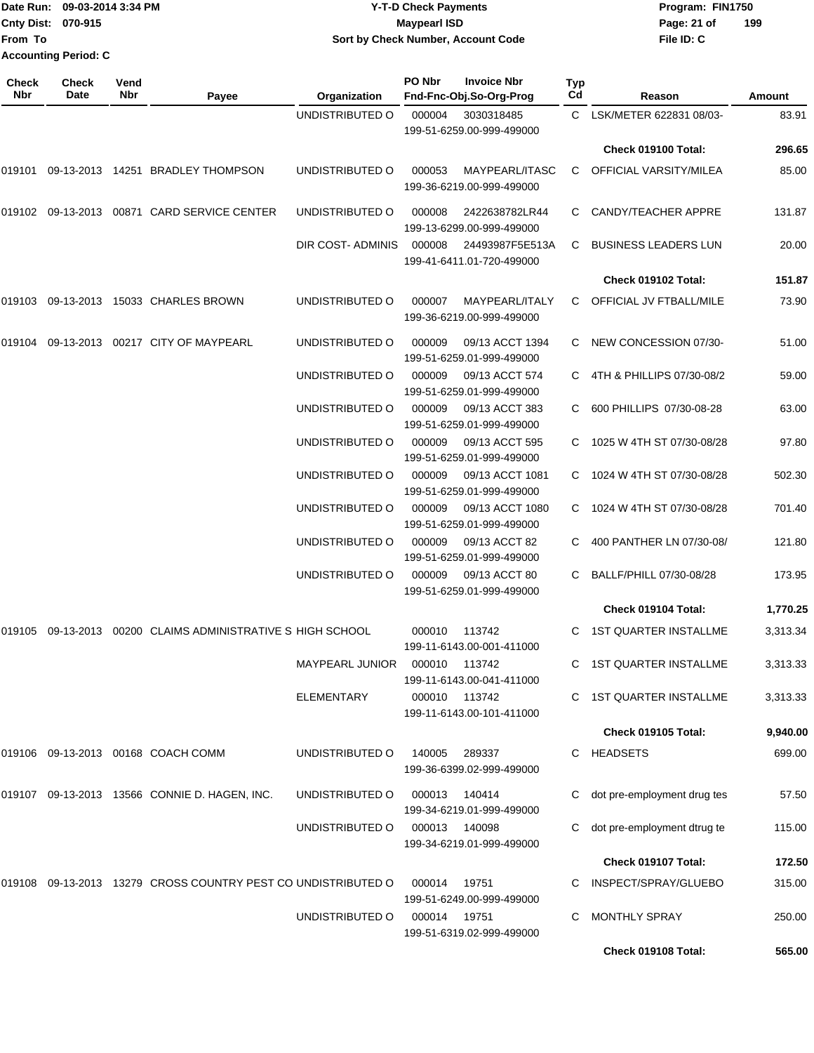|              | Date Run: 09-03-2014 3:34 PM                      |                    |                                                              |                          | <b>Y-T-D Check Payments</b> | Program: FIN1750                              |                  |                               |          |
|--------------|---------------------------------------------------|--------------------|--------------------------------------------------------------|--------------------------|-----------------------------|-----------------------------------------------|------------------|-------------------------------|----------|
| From To      | Cnty Dist: 070-915<br><b>Accounting Period: C</b> |                    |                                                              |                          | <b>Maypearl ISD</b>         | Sort by Check Number, Account Code            |                  | Page: 21 of<br>File ID: C     | 199      |
| Check<br>Nbr | <b>Check</b><br>Date                              | Vend<br><b>Nbr</b> | Payee                                                        | Organization             | PO Nbr                      | <b>Invoice Nbr</b><br>Fnd-Fnc-Obj.So-Org-Prog | <b>Typ</b><br>Cd | Reason                        | Amount   |
|              |                                                   |                    |                                                              | UNDISTRIBUTED O          | 000004                      | 3030318485<br>199-51-6259.00-999-499000       | C.               | LSK/METER 622831 08/03-       | 83.91    |
|              |                                                   |                    |                                                              |                          |                             |                                               |                  | Check 019100 Total:           | 296.65   |
| 019101       |                                                   |                    | 09-13-2013  14251  BRADLEY THOMPSON                          | UNDISTRIBUTED O          | 000053                      | MAYPEARL/ITASC<br>199-36-6219.00-999-499000   | C.               | <b>OFFICIAL VARSITY/MILEA</b> | 85.00    |
|              |                                                   |                    | 019102 09-13-2013 00871  CARD SERVICE CENTER                 | UNDISTRIBUTED O          | 000008                      | 2422638782LR44<br>199-13-6299.00-999-499000   | C.               | CANDY/TEACHER APPRE           | 131.87   |
|              |                                                   |                    |                                                              | <b>DIR COST- ADMINIS</b> | 000008                      | 24493987F5E513A<br>199-41-6411.01-720-499000  | C                | <b>BUSINESS LEADERS LUN</b>   | 20.00    |
|              |                                                   |                    |                                                              |                          |                             |                                               |                  | Check 019102 Total:           | 151.87   |
|              |                                                   |                    | 019103 09-13-2013 15033  CHARLES BROWN                       | UNDISTRIBUTED O          | 000007                      | MAYPEARL/ITALY<br>199-36-6219.00-999-499000   |                  | C OFFICIAL JV FTBALL/MILE     | 73.90    |
|              |                                                   |                    | 019104 09-13-2013 00217  CITY OF MAYPEARL                    | UNDISTRIBUTED O          | 000009                      | 09/13 ACCT 1394<br>199-51-6259.01-999-499000  | C.               | NEW CONCESSION 07/30-         | 51.00    |
|              |                                                   |                    |                                                              | UNDISTRIBUTED O          | 000009                      | 09/13 ACCT 574<br>199-51-6259.01-999-499000   | C.               | 4TH & PHILLIPS 07/30-08/2     | 59.00    |
|              |                                                   |                    |                                                              | UNDISTRIBUTED O          | 000009                      | 09/13 ACCT 383<br>199-51-6259.01-999-499000   | C.               | 600 PHILLIPS 07/30-08-28      | 63.00    |
|              |                                                   |                    |                                                              | UNDISTRIBUTED O          | 000009                      | 09/13 ACCT 595<br>199-51-6259.01-999-499000   |                  | 1025 W 4TH ST 07/30-08/28     | 97.80    |
|              |                                                   |                    |                                                              | UNDISTRIBUTED O          | 000009                      | 09/13 ACCT 1081<br>199-51-6259.01-999-499000  | C                | 1024 W 4TH ST 07/30-08/28     | 502.30   |
|              |                                                   |                    |                                                              | UNDISTRIBUTED O          | 000009                      | 09/13 ACCT 1080<br>199-51-6259.01-999-499000  | C                | 1024 W 4TH ST 07/30-08/28     | 701.40   |
|              |                                                   |                    |                                                              | UNDISTRIBUTED O          | 000009                      | 09/13 ACCT 82<br>199-51-6259.01-999-499000    |                  | 400 PANTHER LN 07/30-08/      | 121.80   |
|              |                                                   |                    |                                                              | UNDISTRIBUTED O          | 000009                      | 09/13 ACCT 80<br>199-51-6259.01-999-499000    | C                | BALLF/PHILL 07/30-08/28       | 173.95   |
|              |                                                   |                    |                                                              |                          |                             |                                               |                  | Check 019104 Total:           | 1,770.25 |
|              |                                                   |                    | 019105 09-13-2013 00200  CLAIMS ADMINISTRATIVE S HIGH SCHOOL |                          | 000010                      | 113742<br>199-11-6143.00-001-411000           |                  | C 1ST QUARTER INSTALLME       | 3,313.34 |
|              |                                                   |                    |                                                              | <b>MAYPEARL JUNIOR</b>   | 000010 113742               | 199-11-6143.00-041-411000                     |                  | C 1ST QUARTER INSTALLME       | 3,313.33 |
|              |                                                   |                    |                                                              | ELEMENTARY               | 000010 113742               | 199-11-6143.00-101-411000                     |                  | C 1ST QUARTER INSTALLME       | 3,313.33 |

|        |            |                                             |                 |        |                           |    | <b>Check 019105 Total:</b>  | 9,940.00 |
|--------|------------|---------------------------------------------|-----------------|--------|---------------------------|----|-----------------------------|----------|
| 019106 | 09-13-2013 | 00168 COACH COMM                            | UNDISTRIBUTED O | 140005 | 289337                    | C. | <b>HEADSETS</b>             | 699.00   |
|        |            |                                             |                 |        | 199-36-6399.02-999-499000 |    |                             |          |
| 019107 | 09-13-2013 | 13566 CONNIE D. HAGEN. INC.                 | UNDISTRIBUTED O | 000013 | 140414                    | C. | dot pre-employment drug tes | 57.50    |
|        |            |                                             |                 |        | 199-34-6219.01-999-499000 |    |                             |          |
|        |            |                                             | UNDISTRIBUTED O | 000013 | 140098                    | C. | dot pre-employment dtrug te | 115.00   |
|        |            |                                             |                 |        | 199-34-6219.01-999-499000 |    |                             |          |
|        |            |                                             |                 |        |                           |    | Check 019107 Total:         | 172.50   |
| 019108 | 09-13-2013 | 13279 CROSS COUNTRY PEST CO UNDISTRIBUTED O |                 | 000014 | 19751                     | C. | INSPECT/SPRAY/GLUEBO        | 315.00   |
|        |            |                                             |                 |        | 199-51-6249.00-999-499000 |    |                             |          |
|        |            |                                             | UNDISTRIBUTED O | 000014 | 19751                     | C. | <b>MONTHLY SPRAY</b>        | 250.00   |
|        |            |                                             |                 |        | 199-51-6319.02-999-499000 |    |                             |          |
|        |            |                                             |                 |        |                           |    | Check 019108 Total:         | 565.00   |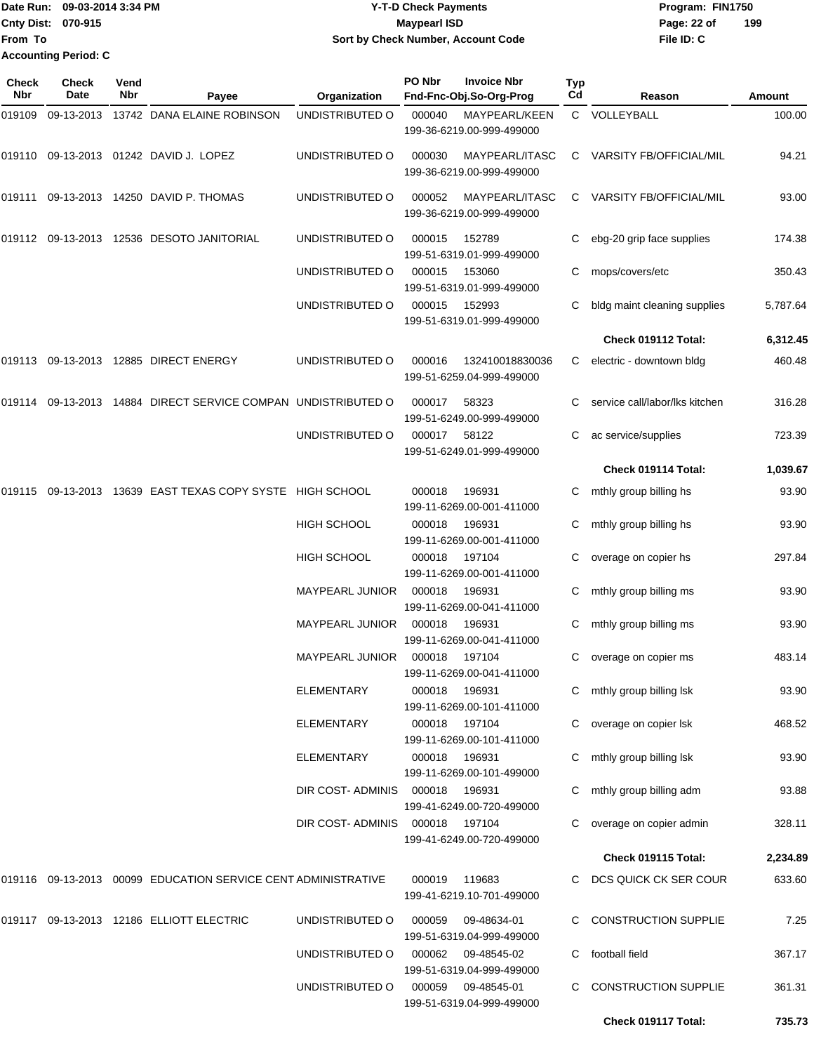|                    | Date Run: 09-03-2014 3:34 PM | <b>Y-T-D Check Payments</b>        | Program: FIN1750   |
|--------------------|------------------------------|------------------------------------|--------------------|
| Cnty Dist: 070-915 |                              | <b>Mavpearl ISD</b>                | 199<br>Page: 22 of |
| lFrom To           |                              | Sort by Check Number, Account Code | File ID: C         |
|                    | <b>Accounting Period: C</b>  |                                    |                    |

| Check<br>Nbr | <b>Check</b><br>Date | Vend<br>Nbr | Payee                                                         | Organization           | PO Nbr | <b>Invoice Nbr</b><br>Fnd-Fnc-Obj.So-Org-Prog | Typ<br>Cd | Reason                         | Amount   |
|--------------|----------------------|-------------|---------------------------------------------------------------|------------------------|--------|-----------------------------------------------|-----------|--------------------------------|----------|
| 019109       | 09-13-2013           |             | 13742 DANA ELAINE ROBINSON                                    | UNDISTRIBUTED O        | 000040 | MAYPEARL/KEEN<br>199-36-6219.00-999-499000    |           | C VOLLEYBALL                   | 100.00   |
| 019110       |                      |             | 09-13-2013  01242  DAVID J. LOPEZ                             | UNDISTRIBUTED O        | 000030 | MAYPEARL/ITASC<br>199-36-6219.00-999-499000   | C         | VARSITY FB/OFFICIAL/MIL        | 94.21    |
|              |                      |             | 019111 09-13-2013 14250 DAVID P. THOMAS                       | UNDISTRIBUTED O        | 000052 | MAYPEARL/ITASC<br>199-36-6219.00-999-499000   | C         | <b>VARSITY FB/OFFICIAL/MIL</b> | 93.00    |
|              |                      |             | 019112 09-13-2013 12536 DESOTO JANITORIAL                     | UNDISTRIBUTED O        | 000015 | 152789<br>199-51-6319.01-999-499000           | С         | ebg-20 grip face supplies      | 174.38   |
|              |                      |             |                                                               | UNDISTRIBUTED O        | 000015 | 153060<br>199-51-6319.01-999-499000           | С         | mops/covers/etc                | 350.43   |
|              |                      |             |                                                               | UNDISTRIBUTED O        | 000015 | 152993<br>199-51-6319.01-999-499000           | С         | bldg maint cleaning supplies   | 5,787.64 |
|              |                      |             |                                                               |                        |        |                                               |           | Check 019112 Total:            | 6,312.45 |
|              |                      |             | 019113 09-13-2013 12885 DIRECT ENERGY                         | UNDISTRIBUTED O        | 000016 | 132410018830036<br>199-51-6259.04-999-499000  | C         | electric - downtown bldg       | 460.48   |
|              |                      |             | 019114 09-13-2013 14884 DIRECT SERVICE COMPAN UNDISTRIBUTED O |                        | 000017 | 58323<br>199-51-6249.00-999-499000            |           | service call/labor/lks kitchen | 316.28   |
|              |                      |             |                                                               | UNDISTRIBUTED O        | 000017 | 58122<br>199-51-6249.01-999-499000            | C         | ac service/supplies            | 723.39   |
|              |                      |             |                                                               |                        |        |                                               |           | Check 019114 Total:            | 1,039.67 |
| 019115       | 09-13-2013           |             | 13639 EAST TEXAS COPY SYSTE HIGH SCHOOL                       |                        | 000018 | 196931<br>199-11-6269.00-001-411000           | С         | mthly group billing hs         | 93.90    |
|              |                      |             |                                                               | <b>HIGH SCHOOL</b>     | 000018 | 196931<br>199-11-6269.00-001-411000           | С         | mthly group billing hs         | 93.90    |
|              |                      |             |                                                               | <b>HIGH SCHOOL</b>     | 000018 | 197104<br>199-11-6269.00-001-411000           | С         | overage on copier hs           | 297.84   |
|              |                      |             |                                                               | MAYPEARL JUNIOR        | 000018 | 196931<br>199-11-6269.00-041-411000           | С         | mthly group billing ms         | 93.90    |
|              |                      |             |                                                               | <b>MAYPEARL JUNIOR</b> | 000018 | 196931<br>199-11-6269.00-041-411000           | С         | mthly group billing ms         | 93.90    |
|              |                      |             |                                                               | <b>MAYPEARL JUNIOR</b> | 000018 | 197104<br>199-11-6269.00-041-411000           | С         | overage on copier ms           | 483.14   |
|              |                      |             |                                                               | <b>ELEMENTARY</b>      | 000018 | 196931<br>199-11-6269.00-101-411000           |           | C mthly group billing Isk      | 93.90    |
|              |                      |             |                                                               | ELEMENTARY             | 000018 | 197104<br>199-11-6269.00-101-411000           |           | C overage on copier Isk        | 468.52   |
|              |                      |             |                                                               | ELEMENTARY             | 000018 | 196931<br>199-11-6269.00-101-499000           |           | mthly group billing Isk        | 93.90    |
|              |                      |             |                                                               | DIR COST- ADMINIS      | 000018 | 196931<br>199-41-6249.00-720-499000           |           | mthly group billing adm        | 93.88    |
|              |                      |             |                                                               | DIR COST-ADMINIS       | 000018 | 197104<br>199-41-6249.00-720-499000           | C         | overage on copier admin        | 328.11   |
|              |                      |             |                                                               |                        |        |                                               |           | Check 019115 Total:            | 2,234.89 |
|              |                      |             | 019116 09-13-2013 00099 EDUCATION SERVICE CENT ADMINISTRATIVE |                        | 000019 | 119683<br>199-41-6219.10-701-499000           | C.        | DCS QUICK CK SER COUR          | 633.60   |
|              |                      |             | 019117 09-13-2013 12186 ELLIOTT ELECTRIC                      | UNDISTRIBUTED O        | 000059 | 09-48634-01<br>199-51-6319.04-999-499000      |           | <b>CONSTRUCTION SUPPLIE</b>    | 7.25     |
|              |                      |             |                                                               | UNDISTRIBUTED O        | 000062 | 09-48545-02<br>199-51-6319.04-999-499000      | C         | football field                 | 367.17   |
|              |                      |             |                                                               | UNDISTRIBUTED O        | 000059 | 09-48545-01<br>199-51-6319.04-999-499000      | C         | <b>CONSTRUCTION SUPPLIE</b>    | 361.31   |
|              |                      |             |                                                               |                        |        |                                               |           | Check 019117 Total:            | 735.73   |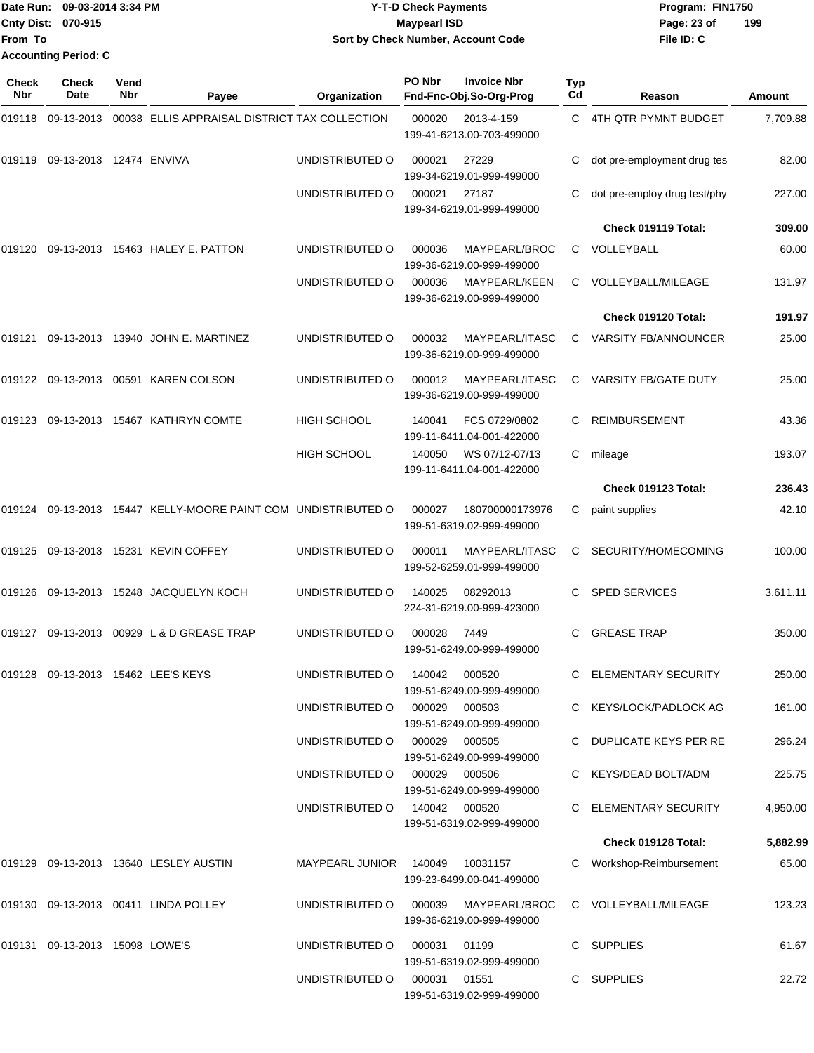|                           | Date Run: 09-03-2014 3:34 PM | <b>Y-T-D Check Payments</b>        | Program: FIN1750   |
|---------------------------|------------------------------|------------------------------------|--------------------|
| <b>Cnty Dist: 070-915</b> |                              | <b>Mavpearl ISD</b>                | 199<br>Page: 23 of |
| <b>From To</b>            |                              | Sort by Check Number, Account Code | File ID: C         |
|                           | <b>Accounting Period: C</b>  |                                    |                    |

| Check<br>Nbr | <b>Check</b><br>Date           | Vend<br>Nbr | Payee                                                  | Organization                         | PO Nbr        | <b>Invoice Nbr</b><br>Fnd-Fnc-Obj.So-Org-Prog | Typ<br>Cd | Reason                       | Amount   |
|--------------|--------------------------------|-------------|--------------------------------------------------------|--------------------------------------|---------------|-----------------------------------------------|-----------|------------------------------|----------|
| 019118       | 09-13-2013                     |             | 00038 ELLIS APPRAISAL DISTRICT TAX COLLECTION          |                                      | 000020        | 2013-4-159<br>199-41-6213.00-703-499000       | C         | 4TH QTR PYMNT BUDGET         | 7,709.88 |
| 019119       | 09-13-2013 12474 ENVIVA        |             |                                                        | UNDISTRIBUTED O                      | 000021        | 27229<br>199-34-6219.01-999-499000            | С         | dot pre-employment drug tes  | 82.00    |
|              |                                |             |                                                        | UNDISTRIBUTED O                      | 000021        | 27187<br>199-34-6219.01-999-499000            | С         | dot pre-employ drug test/phy | 227.00   |
|              |                                |             |                                                        |                                      |               |                                               |           | Check 019119 Total:          | 309.00   |
| 019120       |                                |             | 09-13-2013 15463 HALEY E. PATTON                       | UNDISTRIBUTED O                      | 000036        | MAYPEARL/BROC<br>199-36-6219.00-999-499000    | C         | VOLLEYBALL                   | 60.00    |
|              |                                |             |                                                        | UNDISTRIBUTED O                      | 000036        | MAYPEARL/KEEN<br>199-36-6219.00-999-499000    | C         | VOLLEYBALL/MILEAGE           | 131.97   |
|              |                                |             |                                                        |                                      |               |                                               |           | Check 019120 Total:          | 191.97   |
| 019121       |                                |             | 09-13-2013  13940  JOHN E. MARTINEZ                    | UNDISTRIBUTED O                      | 000032        | MAYPEARL/ITASC<br>199-36-6219.00-999-499000   | C         | <b>VARSITY FB/ANNOUNCER</b>  | 25.00    |
| 019122       |                                |             | 09-13-2013 00591 KAREN COLSON                          | UNDISTRIBUTED O                      | 000012        | MAYPEARL/ITASC<br>199-36-6219.00-999-499000   | C         | <b>VARSITY FB/GATE DUTY</b>  | 25.00    |
| 019123       |                                |             | 09-13-2013 15467 KATHRYN COMTE                         | <b>HIGH SCHOOL</b>                   | 140041        | FCS 0729/0802<br>199-11-6411.04-001-422000    | C         | <b>REIMBURSEMENT</b>         | 43.36    |
|              |                                |             |                                                        | HIGH SCHOOL                          | 140050        | WS 07/12-07/13<br>199-11-6411.04-001-422000   | C         | mileage                      | 193.07   |
|              |                                |             |                                                        |                                      |               |                                               |           | Check 019123 Total:          | 236.43   |
| 019124       |                                |             | 09-13-2013 15447 KELLY-MOORE PAINT COM UNDISTRIBUTED O |                                      | 000027        | 180700000173976<br>199-51-6319.02-999-499000  | С         | paint supplies               | 42.10    |
| 019125       |                                |             | 09-13-2013 15231 KEVIN COFFEY                          | UNDISTRIBUTED O                      | 000011        | MAYPEARL/ITASC<br>199-52-6259.01-999-499000   | C         | SECURITY/HOMECOMING          | 100.00   |
| 019126       |                                |             | 09-13-2013 15248 JACQUELYN KOCH                        | UNDISTRIBUTED O                      | 140025        | 08292013<br>224-31-6219.00-999-423000         | C         | <b>SPED SERVICES</b>         | 3,611.11 |
| 019127       |                                |             | 09-13-2013 00929 L & D GREASE TRAP                     | UNDISTRIBUTED O                      | 000028        | 7449<br>199-51-6249.00-999-499000             | C         | <b>GREASE TRAP</b>           | 350.00   |
|              |                                |             | 019128 09-13-2013 15462 LEE'S KEYS                     | UNDISTRIBUTED O                      | 140042 000520 | 199-51-6249.00-999-499000                     |           | ELEMENTARY SECURITY          | 250.00   |
|              |                                |             |                                                        | UNDISTRIBUTED O 000029 000503        |               | 199-51-6249.00-999-499000                     |           | C KEYS/LOCK/PADLOCK AG       | 161.00   |
|              |                                |             |                                                        | UNDISTRIBUTED O 000029 000505        |               | 199-51-6249.00-999-499000                     |           | C DUPLICATE KEYS PER RE      | 296.24   |
|              |                                |             |                                                        | UNDISTRIBUTED O 000029 000506        |               | 199-51-6249.00-999-499000                     |           | C KEYS/DEAD BOLT/ADM         | 225.75   |
|              |                                |             |                                                        | UNDISTRIBUTED O 140042 000520        |               | 199-51-6319.02-999-499000                     |           | C ELEMENTARY SECURITY        | 4,950.00 |
|              |                                |             |                                                        |                                      |               |                                               |           | Check 019128 Total:          | 5,882.99 |
|              |                                |             | 019129 09-13-2013 13640 LESLEY AUSTIN                  | MAYPEARL JUNIOR 140049 10031157      |               | 199-23-6499.00-041-499000                     |           | C Workshop-Reimbursement     | 65.00    |
|              |                                |             | 019130 09-13-2013 00411 LINDA POLLEY                   | UNDISTRIBUTED O 000039 MAYPEARL/BROC |               | 199-36-6219.00-999-499000                     |           | C VOLLEYBALL/MILEAGE         | 123.23   |
|              | 019131 09-13-2013 15098 LOWE'S |             |                                                        | UNDISTRIBUTED O                      | 000031 01199  | 199-51-6319.02-999-499000                     |           | C SUPPLIES                   | 61.67    |
|              |                                |             |                                                        | UNDISTRIBUTED O 000031 01551         |               | 199-51-6319.02-999-499000                     |           | C SUPPLIES                   | 22.72    |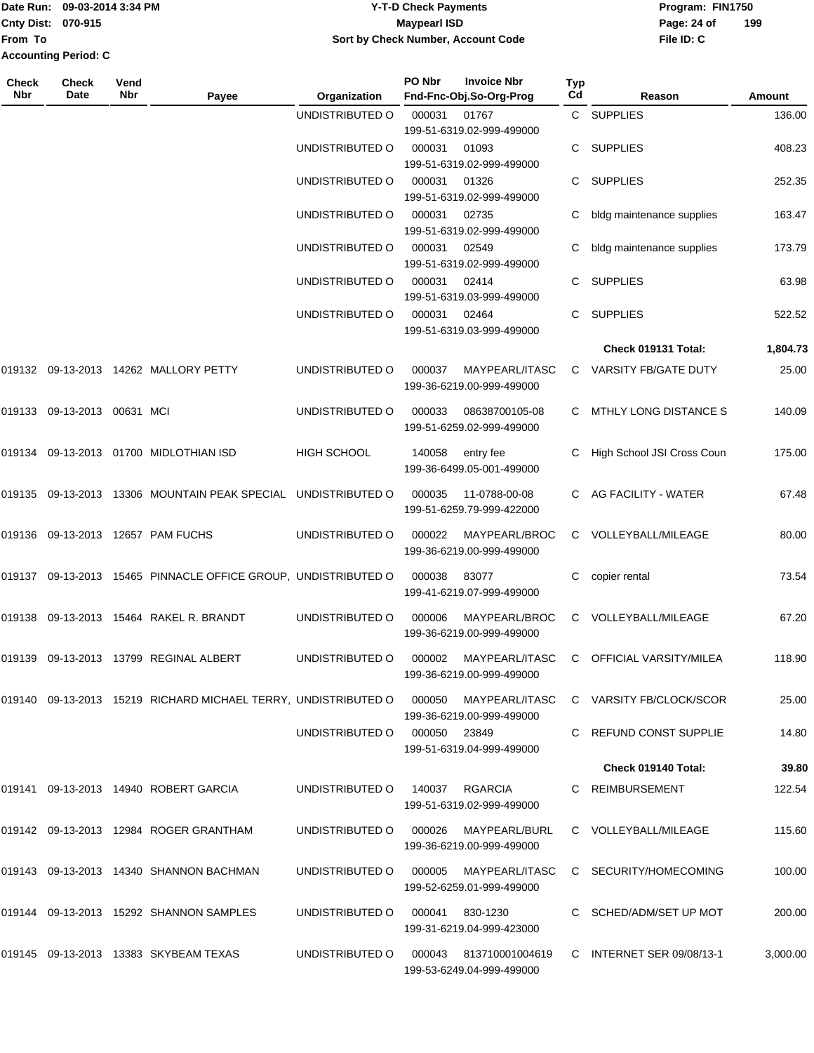#### Date Run: 09-03-2014 3:34 PM **Program:** FIN1750 **Cnty Dist:** 070-915 **Page: 24 of MaypearI ISD Page: 24 of Y-T-D Check Payments 070-915 Maypearl ISD Sort by Check Number, Account Code**

| Check<br>Nbr | <b>Check</b><br>Date | Vend<br>Nbr | Payee                                                          | Organization       | PO Nbr       | <b>Invoice Nbr</b><br>Fnd-Fnc-Obj.So-Org-Prog       | Typ<br>Cd | Reason                     | Amount   |
|--------------|----------------------|-------------|----------------------------------------------------------------|--------------------|--------------|-----------------------------------------------------|-----------|----------------------------|----------|
|              |                      |             |                                                                | UNDISTRIBUTED O    | 000031       | 01767<br>199-51-6319.02-999-499000                  |           | C SUPPLIES                 | 136.00   |
|              |                      |             |                                                                | UNDISTRIBUTED O    | 000031       | 01093<br>199-51-6319.02-999-499000                  |           | <b>SUPPLIES</b>            | 408.23   |
|              |                      |             |                                                                | UNDISTRIBUTED O    | 000031       | 01326<br>199-51-6319.02-999-499000                  | C         | <b>SUPPLIES</b>            | 252.35   |
|              |                      |             |                                                                | UNDISTRIBUTED O    | 000031       | 02735<br>199-51-6319.02-999-499000                  | C         | bldg maintenance supplies  | 163.47   |
|              |                      |             |                                                                | UNDISTRIBUTED O    | 000031       | 02549<br>199-51-6319.02-999-499000                  |           | bldg maintenance supplies  | 173.79   |
|              |                      |             |                                                                | UNDISTRIBUTED O    | 000031       | 02414<br>199-51-6319.03-999-499000                  | C         | <b>SUPPLIES</b>            | 63.98    |
|              |                      |             |                                                                | UNDISTRIBUTED O    | 000031       | 02464<br>199-51-6319.03-999-499000                  | C         | SUPPLIES                   | 522.52   |
|              |                      |             |                                                                |                    |              |                                                     |           | Check 019131 Total:        | 1,804.73 |
|              |                      |             | 019132 09-13-2013 14262 MALLORY PETTY                          | UNDISTRIBUTED O    | 000037       | MAYPEARL/ITASC<br>199-36-6219.00-999-499000         | C         | VARSITY FB/GATE DUTY       | 25.00    |
|              |                      |             |                                                                | UNDISTRIBUTED O    | 000033       | 08638700105-08<br>199-51-6259.02-999-499000         |           | MTHLY LONG DISTANCE S      | 140.09   |
|              |                      |             | 019134 09-13-2013 01700 MIDLOTHIAN ISD                         | <b>HIGH SCHOOL</b> | 140058       | entry fee<br>199-36-6499.05-001-499000              | C         | High School JSI Cross Coun | 175.00   |
|              |                      |             | 019135 09-13-2013 13306 MOUNTAIN PEAK SPECIAL UNDISTRIBUTED O  |                    | 000035       | 11-0788-00-08<br>199-51-6259.79-999-422000          |           | AG FACILITY - WATER        | 67.48    |
|              |                      |             | 019136 09-13-2013 12657 PAM FUCHS                              | UNDISTRIBUTED O    | 000022       | MAYPEARL/BROC<br>199-36-6219.00-999-499000          | C         | VOLLEYBALL/MILEAGE         | 80.00    |
|              |                      |             | 019137 09-13-2013 15465 PINNACLE OFFICE GROUP, UNDISTRIBUTED O |                    | 000038       | 83077<br>199-41-6219.07-999-499000                  | С         | copier rental              | 73.54    |
| 019138       |                      |             | 09-13-2013 15464 RAKEL R. BRANDT                               | UNDISTRIBUTED O    | 000006       | MAYPEARL/BROC<br>199-36-6219.00-999-499000          | C         | VOLLEYBALL/MILEAGE         | 67.20    |
|              |                      |             | 019139 09-13-2013 13799   REGINAL ALBERT                       | UNDISTRIBUTED O    | 000002       | MAYPEARL/ITASC<br>199-36-6219.00-999-499000         | C         | OFFICIAL VARSITY/MILEA     | 118.90   |
|              |                      |             | 019140 09-13-2013 15219 RICHARD MICHAEL TERRY, UNDISTRIBUTED O |                    | 000050       | MAYPEARL/ITASC<br>199-36-6219.00-999-499000         |           | C VARSITY FB/CLOCK/SCOR    | 25.00    |
|              |                      |             |                                                                | UNDISTRIBUTED O    | 000050 23849 | 199-51-6319.04-999-499000                           |           | C REFUND CONST SUPPLIE     | 14.80    |
|              |                      |             |                                                                |                    |              |                                                     |           | Check 019140 Total:        | 39.80    |
|              |                      |             | 019141   09-13-2013   14940   ROBERT GARCIA                    | UNDISTRIBUTED O    | 140037       | <b>RGARCIA</b><br>199-51-6319.02-999-499000         |           | C REIMBURSEMENT            | 122.54   |
|              |                      |             | 019142 09-13-2013 12984 ROGER GRANTHAM                         | UNDISTRIBUTED O    | 000026       | MAYPEARL/BURL<br>199-36-6219.00-999-499000          |           | C VOLLEYBALL/MILEAGE       | 115.60   |
|              |                      |             | 019143 09-13-2013 14340 SHANNON BACHMAN                        | UNDISTRIBUTED O    | 000005       | MAYPEARL/ITASC<br>199-52-6259.01-999-499000         |           | C SECURITY/HOMECOMING      | 100.00   |
|              |                      |             | 019144 09-13-2013 15292 SHANNON SAMPLES                        | UNDISTRIBUTED O    | 000041       | 830-1230<br>199-31-6219.04-999-423000               |           | C SCHED/ADM/SET UP MOT     | 200.00   |
|              |                      |             | 019145 09-13-2013 13383 SKYBEAM TEXAS                          | UNDISTRIBUTED O    |              | 000043 813710001004619<br>199-53-6249.04-999-499000 |           | C INTERNET SER 09/08/13-1  | 3,000.00 |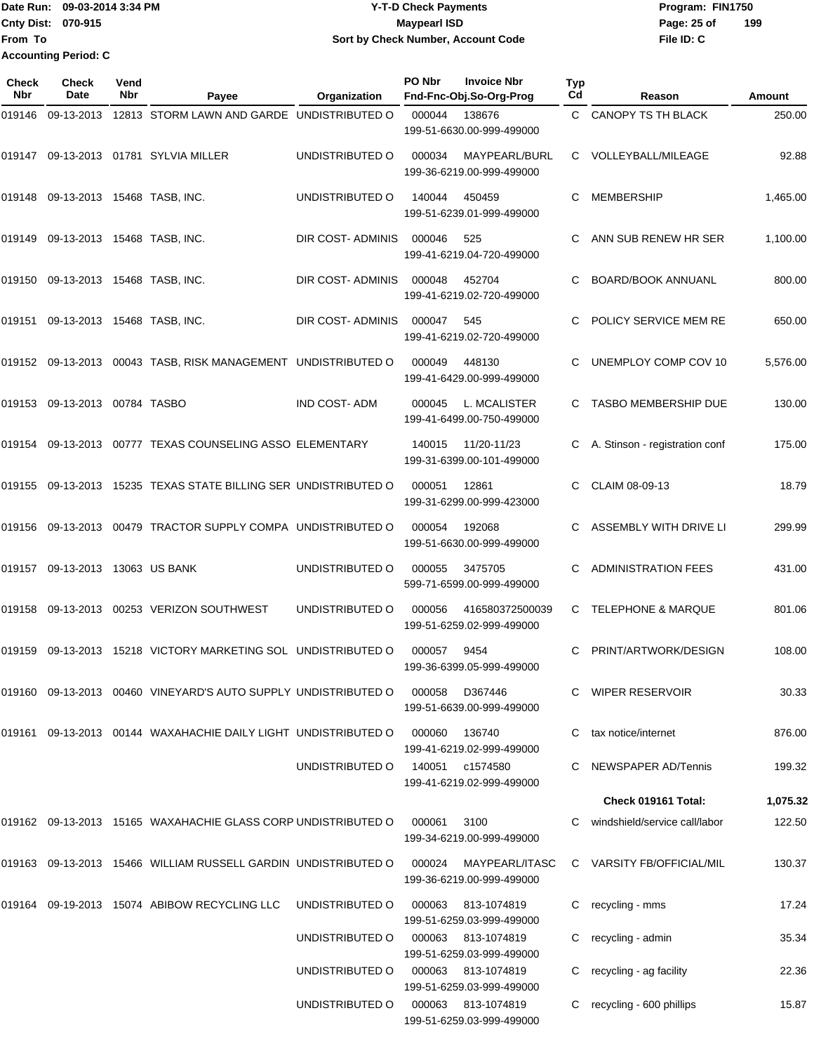Date Run: 09-03-2014 3:34 PM **Program:** FIN1750 **Cnty Dist:** 070-915 **Page: 25 of Page:** 25 of **From To Y-T-D Check Payments 070-915 Maypearl ISD Sort by Check Number, Account Code Accounting Period: C**

| <b>Check</b><br><b>Nbr</b> | Check<br>Date               | Vend<br>Nbr | Payee                                                             | Organization        | PO Nbr | <b>Invoice Nbr</b><br>Fnd-Fnc-Obj.So-Org-Prog   | Typ<br>Cd | Reason                         | Amount   |
|----------------------------|-----------------------------|-------------|-------------------------------------------------------------------|---------------------|--------|-------------------------------------------------|-----------|--------------------------------|----------|
| 019146                     | 09-13-2013                  |             | 12813 STORM LAWN AND GARDE UNDISTRIBUTED O                        |                     | 000044 | 138676<br>199-51-6630.00-999-499000             | C.        | CANOPY TS TH BLACK             | 250.00   |
| 019147                     |                             |             | 09-13-2013  01781  SYLVIA MILLER                                  | UNDISTRIBUTED O     | 000034 | MAYPEARL/BURL<br>199-36-6219.00-999-499000      | C.        | VOLLEYBALL/MILEAGE             | 92.88    |
| 019148                     | 09-13-2013 15468 TASB, INC. |             |                                                                   | UNDISTRIBUTED O     | 140044 | 450459<br>199-51-6239.01-999-499000             | С         | MEMBERSHIP                     | 1,465.00 |
| 019149                     | 09-13-2013 15468 TASB, INC. |             |                                                                   | DIR COST- ADMINIS   | 000046 | 525<br>199-41-6219.04-720-499000                | С         | ANN SUB RENEW HR SER           | 1,100.00 |
| 019150                     | 09-13-2013 15468 TASB, INC. |             |                                                                   | DIR COST- ADMINIS   | 000048 | 452704<br>199-41-6219.02-720-499000             | С         | <b>BOARD/BOOK ANNUANL</b>      | 800.00   |
| 019151                     | 09-13-2013 15468 TASB, INC. |             |                                                                   | DIR COST-ADMINIS    | 000047 | 545<br>199-41-6219.02-720-499000                | С         | POLICY SERVICE MEM RE          | 650.00   |
|                            |                             |             | 019152 09-13-2013 00043 TASB, RISK MANAGEMENT UNDISTRIBUTED O     |                     | 000049 | 448130<br>199-41-6429.00-999-499000             | С         | UNEMPLOY COMP COV 10           | 5,576.00 |
| 019153                     | 09-13-2013 00784 TASBO      |             |                                                                   | <b>IND COST-ADM</b> | 000045 | L. MCALISTER<br>199-41-6499.00-750-499000       |           | <b>TASBO MEMBERSHIP DUE</b>    | 130.00   |
| 019154                     |                             |             | 09-13-2013 00777 TEXAS COUNSELING ASSO ELEMENTARY                 |                     | 140015 | 11/20-11/23<br>199-31-6399.00-101-499000        |           | A. Stinson - registration conf | 175.00   |
| 019155                     |                             |             | 09-13-2013 15235 TEXAS STATE BILLING SER UNDISTRIBUTED O          |                     | 000051 | 12861<br>199-31-6299.00-999-423000              | С         | CLAIM 08-09-13                 | 18.79    |
| 019156                     |                             |             | 09-13-2013 00479 TRACTOR SUPPLY COMPA UNDISTRIBUTED O             |                     | 000054 | 192068<br>199-51-6630.00-999-499000             | С         | ASSEMBLY WITH DRIVE LI         | 299.99   |
| 019157                     | 09-13-2013 13063 US BANK    |             |                                                                   | UNDISTRIBUTED O     | 000055 | 3475705<br>599-71-6599.00-999-499000            | С         | <b>ADMINISTRATION FEES</b>     | 431.00   |
| 019158                     |                             |             | 09-13-2013  00253  VERIZON SOUTHWEST                              | UNDISTRIBUTED O     | 000056 | 416580372500039<br>199-51-6259.02-999-499000    | С         | <b>TELEPHONE &amp; MARQUE</b>  | 801.06   |
| 019159                     |                             |             | 09-13-2013 15218 VICTORY MARKETING SOL UNDISTRIBUTED O            |                     | 000057 | 9454<br>199-36-6399.05-999-499000               | C         | PRINT/ARTWORK/DESIGN           | 108.00   |
|                            |                             |             | 019160  09-13-2013  00460  VINEYARD'S AUTO SUPPLY UNDISTRIBUTED O |                     | 000058 | D367446<br>199-51-6639.00-999-499000            |           | C WIPER RESERVOIR              | 30.33    |
|                            |                             |             | 019161  09-13-2013  00144  WAXAHACHIE DAILY LIGHT UNDISTRIBUTED O |                     | 000060 | 136740<br>199-41-6219.02-999-499000             | C         | tax notice/internet            | 876.00   |
|                            |                             |             |                                                                   | UNDISTRIBUTED O     |        | 140051 c1574580<br>199-41-6219.02-999-499000    |           | <b>NEWSPAPER AD/Tennis</b>     | 199.32   |
|                            |                             |             |                                                                   |                     |        |                                                 |           | Check 019161 Total:            | 1,075.32 |
|                            |                             |             | 019162 09-13-2013 15165 WAXAHACHIE GLASS CORP UNDISTRIBUTED O     |                     | 000061 | 3100<br>199-34-6219.00-999-499000               |           | windshield/service call/labor  | 122.50   |
|                            |                             |             | 019163  09-13-2013  15466  WILLIAM RUSSELL GARDIN UNDISTRIBUTED O |                     | 000024 | MAYPEARL/ITASC<br>199-36-6219.00-999-499000     |           | C VARSITY FB/OFFICIAL/MIL      | 130.37   |
| 019164                     |                             |             | 09-19-2013 15074 ABIBOW RECYCLING LLC                             | UNDISTRIBUTED O     | 000063 | 813-1074819<br>199-51-6259.03-999-499000        |           | C recycling - mms              | 17.24    |
|                            |                             |             |                                                                   | UNDISTRIBUTED O     | 000063 | 813-1074819<br>199-51-6259.03-999-499000        | С         | recycling - admin              | 35.34    |
|                            |                             |             |                                                                   | UNDISTRIBUTED O     | 000063 | 813-1074819<br>199-51-6259.03-999-499000        |           | recycling - ag facility        | 22.36    |
|                            |                             |             |                                                                   | UNDISTRIBUTED O     |        | 000063 813-1074819<br>199-51-6259.03-999-499000 |           | recycling - 600 phillips       | 15.87    |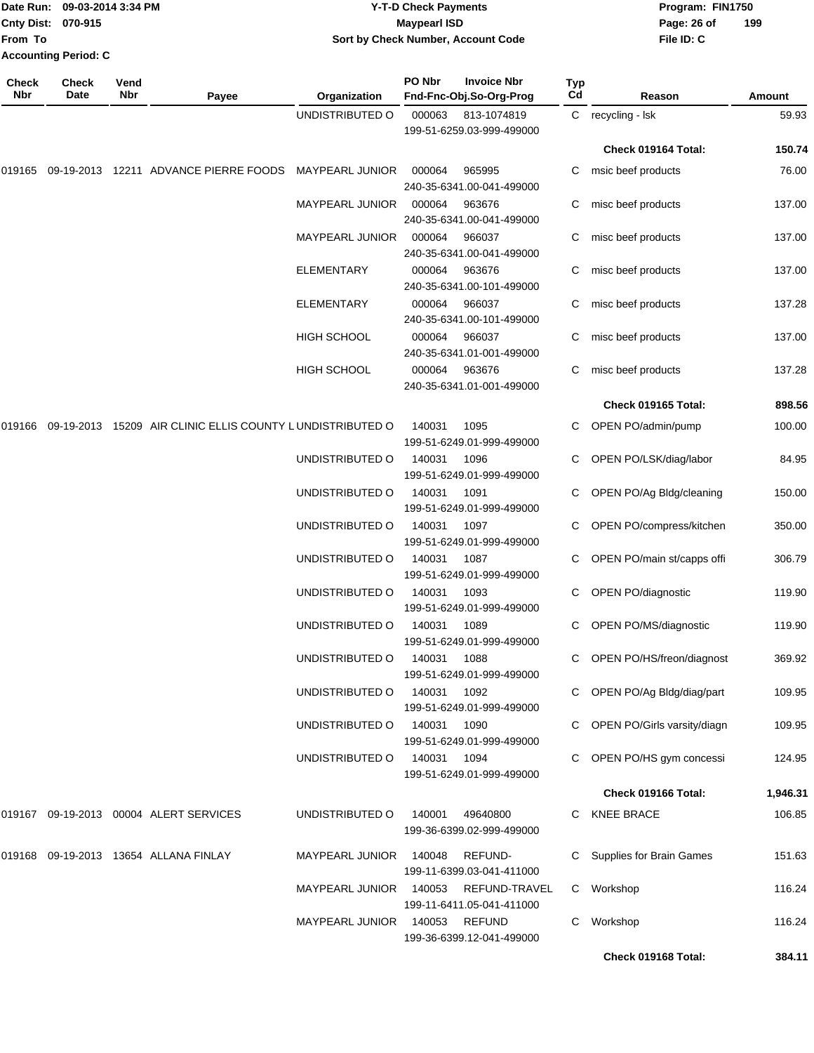|              | Date Run: 09-03-2014 3:34 PM<br><b>Cnty Dist:</b><br>070-915<br>From To |             |                                                           |                        | <b>Y-T-D Check Payments</b><br><b>Maypearl ISD</b> | Sort by Check Number, Account Code         |           | Program: FIN1750<br>Page: 26 of<br>File ID: C | 199           |
|--------------|-------------------------------------------------------------------------|-------------|-----------------------------------------------------------|------------------------|----------------------------------------------------|--------------------------------------------|-----------|-----------------------------------------------|---------------|
|              | <b>Accounting Period: C</b>                                             |             |                                                           |                        | PO Nbr                                             | <b>Invoice Nbr</b>                         |           |                                               |               |
| Check<br>Nbr | <b>Check</b><br>Date                                                    | Vend<br>Nbr | Payee                                                     | Organization           |                                                    | Fnd-Fnc-Obj.So-Org-Prog                    | Typ<br>Cd | Reason                                        | <b>Amount</b> |
|              |                                                                         |             |                                                           | UNDISTRIBUTED O        | 000063                                             | 813-1074819<br>199-51-6259.03-999-499000   | C         | recycling - Isk                               | 59.93         |
|              |                                                                         |             |                                                           |                        |                                                    |                                            |           | Check 019164 Total:                           | 150.74        |
| 019165       | 09-19-2013                                                              |             | 12211 ADVANCE PIERRE FOODS                                | <b>MAYPEARL JUNIOR</b> | 000064                                             | 965995<br>240-35-6341.00-041-499000        | С         | msic beef products                            | 76.00         |
|              |                                                                         |             |                                                           | <b>MAYPEARL JUNIOR</b> | 000064                                             | 963676<br>240-35-6341.00-041-499000        | С         | misc beef products                            | 137.00        |
|              |                                                                         |             |                                                           | <b>MAYPEARL JUNIOR</b> | 000064                                             | 966037<br>240-35-6341.00-041-499000        | С         | misc beef products                            | 137.00        |
|              |                                                                         |             |                                                           | <b>ELEMENTARY</b>      | 000064                                             | 963676<br>240-35-6341.00-101-499000        | С         | misc beef products                            | 137.00        |
|              |                                                                         |             |                                                           | <b>ELEMENTARY</b>      | 000064                                             | 966037<br>240-35-6341.00-101-499000        | С         | misc beef products                            | 137.28        |
|              |                                                                         |             |                                                           | <b>HIGH SCHOOL</b>     | 000064                                             | 966037<br>240-35-6341.01-001-499000        | С         | misc beef products                            | 137.00        |
|              |                                                                         |             |                                                           | <b>HIGH SCHOOL</b>     | 000064                                             | 963676<br>240-35-6341.01-001-499000        | С         | misc beef products                            | 137.28        |
|              |                                                                         |             |                                                           |                        |                                                    |                                            |           | Check 019165 Total:                           | 898.56        |
| 019166       |                                                                         |             | 09-19-2013 15209 AIR CLINIC ELLIS COUNTY LUNDISTRIBUTED O |                        | 140031                                             | 1095<br>199-51-6249.01-999-499000          | C         | OPEN PO/admin/pump                            | 100.00        |
|              |                                                                         |             |                                                           | UNDISTRIBUTED O        | 140031                                             | 1096<br>199-51-6249.01-999-499000          |           | OPEN PO/LSK/diag/labor                        | 84.95         |
|              |                                                                         |             |                                                           | UNDISTRIBUTED O        | 140031                                             | 1091<br>199-51-6249.01-999-499000          | C         | OPEN PO/Ag Bldg/cleaning                      | 150.00        |
|              |                                                                         |             |                                                           | UNDISTRIBUTED O        | 140031                                             | 1097<br>199-51-6249.01-999-499000          |           | OPEN PO/compress/kitchen                      | 350.00        |
|              |                                                                         |             |                                                           | UNDISTRIBUTED O        | 140031                                             | 1087<br>199-51-6249.01-999-499000          | С         | OPEN PO/main st/capps offi                    | 306.79        |
|              |                                                                         |             |                                                           | UNDISTRIBUTED O        | 140031                                             | 1093<br>199-51-6249.01-999-499000          | С         | <b>OPEN PO/diagnostic</b>                     | 119.90        |
|              |                                                                         |             |                                                           | UNDISTRIBUTED O        | 140031                                             | 1089<br>199-51-6249.01-999-499000          |           | C OPEN PO/MS/diagnostic                       | 119.90        |
|              |                                                                         |             |                                                           | UNDISTRIBUTED O        | 140031                                             | 1088<br>199-51-6249.01-999-499000          |           | C OPEN PO/HS/freon/diagnost                   | 369.92        |
|              |                                                                         |             |                                                           | UNDISTRIBUTED O        | 140031                                             | 1092<br>199-51-6249.01-999-499000          |           | OPEN PO/Ag Bldg/diag/part                     | 109.95        |
|              |                                                                         |             |                                                           | UNDISTRIBUTED O        | 140031                                             | 1090<br>199-51-6249.01-999-499000          |           | OPEN PO/Girls varsity/diagn                   | 109.95        |
|              |                                                                         |             |                                                           | UNDISTRIBUTED O        | 140031                                             | 1094<br>199-51-6249.01-999-499000          |           | OPEN PO/HS gym concessi                       | 124.95        |
|              |                                                                         |             |                                                           |                        |                                                    |                                            |           | Check 019166 Total:                           | 1,946.31      |
|              |                                                                         |             | 019167 09-19-2013 00004 ALERT SERVICES                    | UNDISTRIBUTED O        | 140001                                             | 49640800<br>199-36-6399.02-999-499000      | C.        | <b>KNEE BRACE</b>                             | 106.85        |
|              |                                                                         |             | 019168 09-19-2013 13654 ALLANA FINLAY                     | <b>MAYPEARL JUNIOR</b> | 140048                                             | REFUND-<br>199-11-6399.03-041-411000       |           | Supplies for Brain Games                      | 151.63        |
|              |                                                                         |             |                                                           | <b>MAYPEARL JUNIOR</b> | 140053                                             | REFUND-TRAVEL<br>199-11-6411.05-041-411000 |           | C Workshop                                    | 116.24        |
|              |                                                                         |             |                                                           | MAYPEARL JUNIOR        | 140053                                             | <b>REFUND</b>                              |           | C Workshop                                    | 116.24        |

199-36-6399.12-041-499000

**Check 019168 Total: 384.11**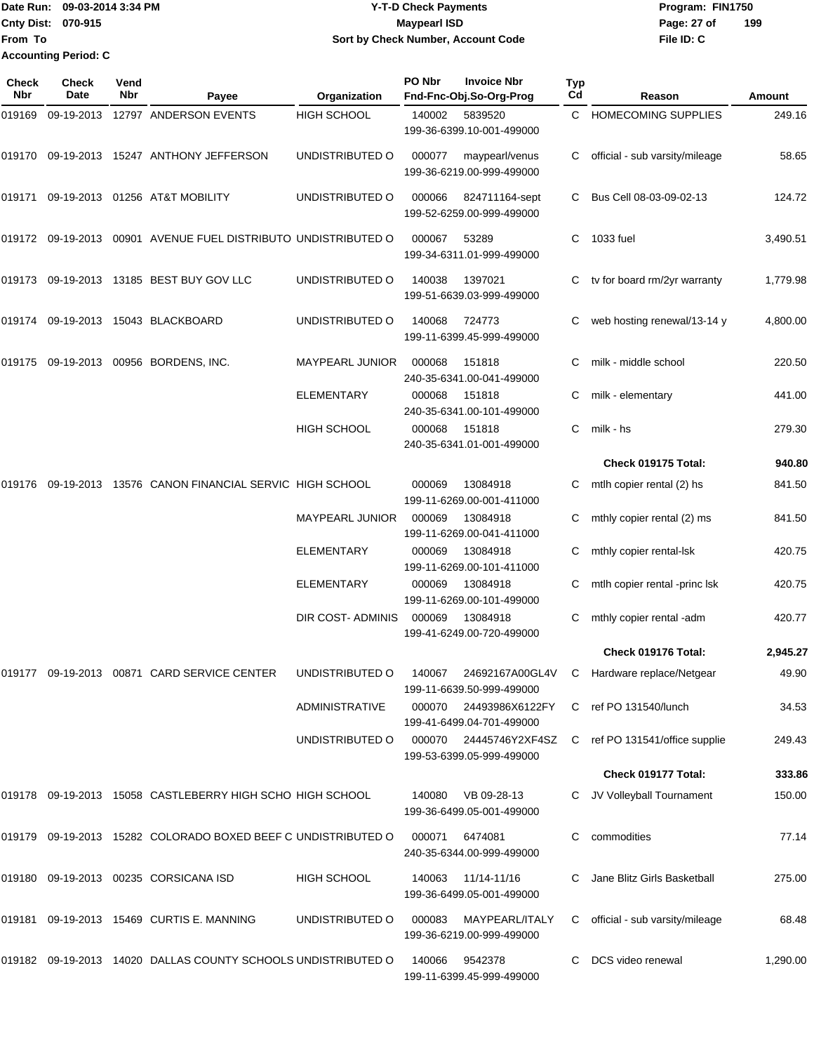Date Run: 09-03-2014 3:34 PM **Program:** FIN1750 **Cnty Dist:** 070-915 **Page: 27 of Page: 27 of File ID: C From To Y-T-D Check Payments 070-915 Maypearl ISD Sort by Check Number, Account Code Accounting Period: C**

**199**

| <b>Check</b><br>Nbr | <b>Check</b><br>Date | Vend<br>Nbr | Payee                                                          | Organization             | PO Nbr | <b>Invoice Nbr</b><br>Fnd-Fnc-Obj.So-Org-Prog       | <b>Typ</b><br>Cd | Reason                                     | Amount   |
|---------------------|----------------------|-------------|----------------------------------------------------------------|--------------------------|--------|-----------------------------------------------------|------------------|--------------------------------------------|----------|
| 019169              |                      |             | 09-19-2013 12797 ANDERSON EVENTS                               | <b>HIGH SCHOOL</b>       | 140002 | 5839520<br>199-36-6399.10-001-499000                | C.               | <b>HOMECOMING SUPPLIES</b>                 | 249.16   |
|                     |                      |             | 019170 09-19-2013 15247 ANTHONY JEFFERSON                      | UNDISTRIBUTED O          | 000077 | maypearl/venus<br>199-36-6219.00-999-499000         |                  | official - sub varsity/mileage             | 58.65    |
| 019171              |                      |             | 09-19-2013 01256 AT&T MOBILITY                                 | UNDISTRIBUTED O          | 000066 | 824711164-sept<br>199-52-6259.00-999-499000         |                  | Bus Cell 08-03-09-02-13                    | 124.72   |
|                     |                      |             | 019172 09-19-2013 00901 AVENUE FUEL DISTRIBUTO UNDISTRIBUTED O |                          | 000067 | 53289<br>199-34-6311.01-999-499000                  | C                | 1033 fuel                                  | 3,490.51 |
|                     |                      |             | 019173 09-19-2013 13185 BEST BUY GOV LLC                       | UNDISTRIBUTED O          | 140038 | 1397021<br>199-51-6639.03-999-499000                |                  | tv for board rm/2yr warranty               | 1,779.98 |
| 019174              |                      |             | 09-19-2013 15043 BLACKBOARD                                    | UNDISTRIBUTED O          | 140068 | 724773<br>199-11-6399.45-999-499000                 | C                | web hosting renewal/13-14 y                | 4,800.00 |
| 019175              |                      |             | 09-19-2013 00956 BORDENS, INC.                                 | MAYPEARL JUNIOR          | 000068 | 151818<br>240-35-6341.00-041-499000                 |                  | milk - middle school                       | 220.50   |
|                     |                      |             |                                                                | ELEMENTARY               | 000068 | 151818<br>240-35-6341.00-101-499000                 | С                | milk - elementary                          | 441.00   |
|                     |                      |             |                                                                | <b>HIGH SCHOOL</b>       | 000068 | 151818<br>240-35-6341.01-001-499000                 | C                | milk - hs                                  | 279.30   |
|                     |                      |             |                                                                |                          |        |                                                     |                  | Check 019175 Total:                        | 940.80   |
| 019176              |                      |             | 09-19-2013 13576 CANON FINANCIAL SERVIC HIGH SCHOOL            |                          | 000069 | 13084918<br>199-11-6269.00-001-411000               | C                | mtlh copier rental (2) hs                  | 841.50   |
|                     |                      |             |                                                                | MAYPEARL JUNIOR          | 000069 | 13084918<br>199-11-6269.00-041-411000               | C                | mthly copier rental (2) ms                 | 841.50   |
|                     |                      |             |                                                                | <b>ELEMENTARY</b>        | 000069 | 13084918<br>199-11-6269.00-101-411000               | С                | mthly copier rental-lsk                    | 420.75   |
|                     |                      |             |                                                                | ELEMENTARY               | 000069 | 13084918<br>199-11-6269.00-101-499000               | C                | mtlh copier rental -princ lsk              | 420.75   |
|                     |                      |             |                                                                | <b>DIR COST- ADMINIS</b> | 000069 | 13084918<br>199-41-6249.00-720-499000               | С                | mthly copier rental -adm                   | 420.77   |
|                     |                      |             |                                                                |                          |        |                                                     |                  | Check 019176 Total:                        | 2,945.27 |
|                     |                      |             | 019177    09-19-2013    00871    CARD SERVICE CENTER           | UNDISTRIBUTED O          | 140067 | 199-11-6639.50-999-499000                           |                  | 24692167A00GL4V C Hardware replace/Netgear | 49.90    |
|                     |                      |             |                                                                | <b>ADMINISTRATIVE</b>    |        | 000070 24493986X6122FY<br>199-41-6499.04-701-499000 |                  | C ref PO 131540/lunch                      | 34.53    |
|                     |                      |             |                                                                | UNDISTRIBUTED O          |        | 000070 24445746Y2XF4SZ<br>199-53-6399.05-999-499000 |                  | C ref PO 131541/office supplie             | 249.43   |
|                     |                      |             |                                                                |                          |        |                                                     |                  | Check 019177 Total:                        | 333.86   |
|                     |                      |             | 019178 09-19-2013 15058 CASTLEBERRY HIGH SCHO HIGH SCHOOL      |                          | 140080 | VB 09-28-13<br>199-36-6499.05-001-499000            |                  | JV Volleyball Tournament                   | 150.00   |
|                     |                      |             | 019179 09-19-2013 15282 COLORADO BOXED BEEF C UNDISTRIBUTED O  |                          | 000071 | 6474081<br>240-35-6344.00-999-499000                | С                | commodities                                | 77.14    |
|                     |                      |             | 019180 09-19-2013 00235 CORSICANA ISD                          | <b>HIGH SCHOOL</b>       | 140063 | 11/14-11/16<br>199-36-6499.05-001-499000            |                  | Jane Blitz Girls Basketball                | 275.00   |
|                     |                      |             | 019181 09-19-2013 15469 CURTIS E. MANNING                      | UNDISTRIBUTED O          | 000083 | MAYPEARL/ITALY<br>199-36-6219.00-999-499000         | C.               | official - sub varsity/mileage             | 68.48    |
|                     |                      |             | 019182 09-19-2013 14020 DALLAS COUNTY SCHOOLS UNDISTRIBUTED O  |                          | 140066 | 9542378<br>199-11-6399.45-999-499000                |                  | DCS video renewal                          | 1,290.00 |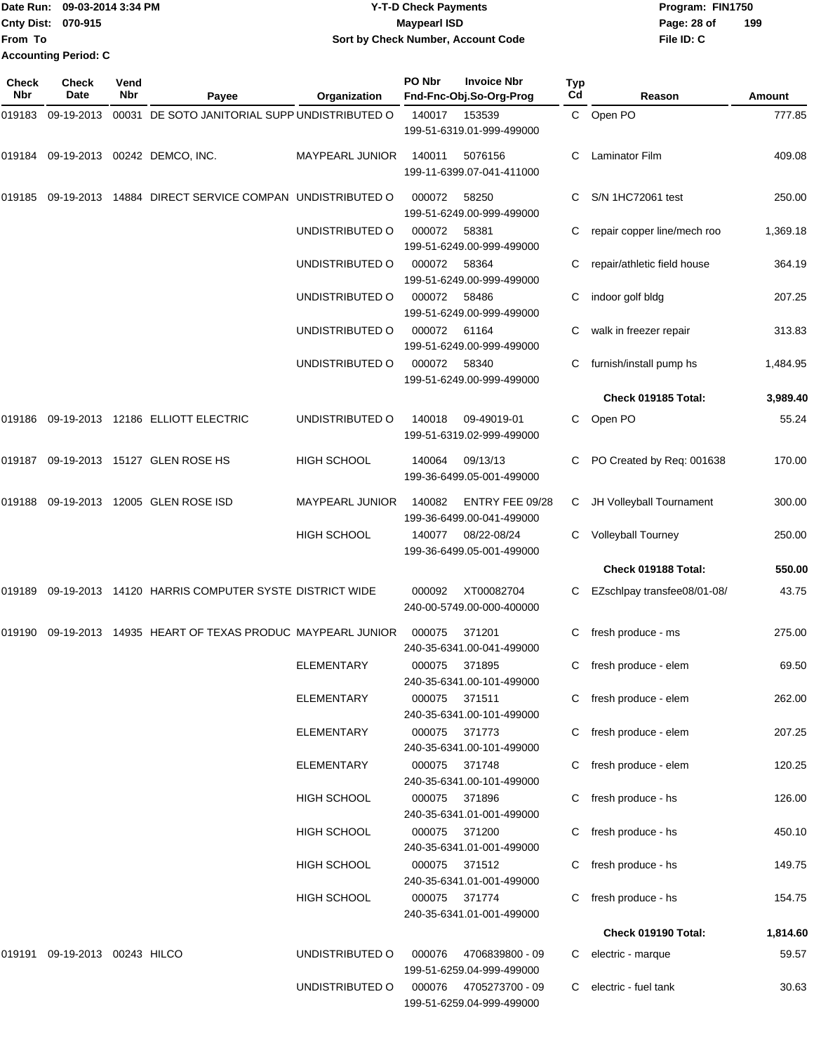|                             | Date Run: 09-03-2014 3:34 PM | <b>Y-T-D Check Payments</b>        | Program: FIN1750 |     |
|-----------------------------|------------------------------|------------------------------------|------------------|-----|
| <b>Cnty Dist: 070-915</b>   |                              | <b>Mavpearl ISD</b>                | Page: 28 of      | 199 |
| <b>From To</b>              |                              | Sort by Check Number, Account Code | File ID: C       |     |
| <b>Accounting Period: C</b> |                              |                                    |                  |     |

| <b>Check</b><br><b>Nbr</b> | <b>Check</b><br>Date          | Vend<br>Nbr | Payee                                                  | Organization           | PO Nbr        | <b>Invoice Nbr</b><br>Fnd-Fnc-Obj.So-Org-Prog | Typ<br>Cd | Reason                      | <b>Amount</b> |
|----------------------------|-------------------------------|-------------|--------------------------------------------------------|------------------------|---------------|-----------------------------------------------|-----------|-----------------------------|---------------|
| 019183                     | 09-19-2013                    |             | 00031 DE SOTO JANITORIAL SUPP UNDISTRIBUTED O          |                        | 140017        | 153539<br>199-51-6319.01-999-499000           |           | C Open PO                   | 777.85        |
|                            |                               |             | 019184 09-19-2013 00242 DEMCO, INC.                    | <b>MAYPEARL JUNIOR</b> | 140011        | 5076156<br>199-11-6399.07-041-411000          |           | Laminator Film              | 409.08        |
| 019185                     |                               |             | 09-19-2013 14884 DIRECT SERVICE COMPAN UNDISTRIBUTED O |                        | 000072        | 58250<br>199-51-6249.00-999-499000            |           | S/N 1HC72061 test           | 250.00        |
|                            |                               |             |                                                        | UNDISTRIBUTED O        | 000072        | 58381<br>199-51-6249.00-999-499000            | C         | repair copper line/mech roo | 1,369.18      |
|                            |                               |             |                                                        | UNDISTRIBUTED O        | 000072        | 58364<br>199-51-6249.00-999-499000            |           | repair/athletic field house | 364.19        |
|                            |                               |             |                                                        | UNDISTRIBUTED O        | 000072        | 58486<br>199-51-6249.00-999-499000            | С         | indoor golf bldg            | 207.25        |
|                            |                               |             |                                                        | UNDISTRIBUTED O        | 000072        | 61164<br>199-51-6249.00-999-499000            |           | walk in freezer repair      | 313.83        |
|                            |                               |             |                                                        | UNDISTRIBUTED O        | 000072        | 58340<br>199-51-6249.00-999-499000            |           | furnish/install pump hs     | 1,484.95      |
|                            |                               |             |                                                        |                        |               |                                               |           | Check 019185 Total:         | 3,989.40      |
|                            |                               |             | 019186 09-19-2013 12186 ELLIOTT ELECTRIC               | UNDISTRIBUTED O        | 140018        | 09-49019-01<br>199-51-6319.02-999-499000      | C         | Open PO                     | 55.24         |
|                            |                               |             | 019187 09-19-2013 15127 GLEN ROSE HS                   | <b>HIGH SCHOOL</b>     | 140064        | 09/13/13<br>199-36-6499.05-001-499000         |           | PO Created by Req: 001638   | 170.00        |
| 019188                     |                               |             | 09-19-2013  12005  GLEN ROSE ISD                       | <b>MAYPEARL JUNIOR</b> | 140082        | ENTRY FEE 09/28<br>199-36-6499.00-041-499000  |           | C JH Volleyball Tournament  | 300.00        |
|                            |                               |             |                                                        | <b>HIGH SCHOOL</b>     | 140077        | 08/22-08/24<br>199-36-6499.05-001-499000      | C.        | Volleyball Tourney          | 250.00        |
|                            |                               |             |                                                        |                        |               |                                               |           | Check 019188 Total:         | 550.00        |
| 019189                     |                               |             | 09-19-2013 14120 HARRIS COMPUTER SYSTE DISTRICT WIDE   |                        | 000092        | XT00082704<br>240-00-5749.00-000-400000       |           | EZschlpay transfee08/01-08/ | 43.75         |
| 019190                     |                               |             | 09-19-2013 14935 HEART OF TEXAS PRODUC MAYPEARL JUNIOR |                        | 000075        | 371201<br>240-35-6341.00-041-499000           | C         | fresh produce - ms          | 275.00        |
|                            |                               |             |                                                        | ELEMENTARY             | 000075 371895 | 240-35-6341.00-101-499000                     |           | C fresh produce - elem      | 69.50         |
|                            |                               |             |                                                        | ELEMENTARY             | 000075 371511 | 240-35-6341.00-101-499000                     |           | C fresh produce - elem      | 262.00        |
|                            |                               |             |                                                        | ELEMENTARY             | 000075 371773 | 240-35-6341.00-101-499000                     |           | C fresh produce - elem      | 207.25        |
|                            |                               |             |                                                        | ELEMENTARY             | 000075        | 371748<br>240-35-6341.00-101-499000           |           | C fresh produce - elem      | 120.25        |
|                            |                               |             |                                                        | <b>HIGH SCHOOL</b>     | 000075        | 371896<br>240-35-6341.01-001-499000           |           | C fresh produce - hs        | 126.00        |
|                            |                               |             |                                                        | <b>HIGH SCHOOL</b>     | 000075        | 371200<br>240-35-6341.01-001-499000           |           | C fresh produce - hs        | 450.10        |
|                            |                               |             |                                                        | <b>HIGH SCHOOL</b>     | 000075        | 371512<br>240-35-6341.01-001-499000           |           | C fresh produce - hs        | 149.75        |
|                            |                               |             |                                                        | HIGH SCHOOL            | 000075 371774 | 240-35-6341.01-001-499000                     |           | C fresh produce - hs        | 154.75        |
|                            |                               |             |                                                        |                        |               |                                               |           | Check 019190 Total:         | 1,814.60      |
|                            | 019191 09-19-2013 00243 HILCO |             |                                                        | UNDISTRIBUTED O        | 000076        | 4706839800 - 09<br>199-51-6259.04-999-499000  | C.        | electric - marque           | 59.57         |
|                            |                               |             |                                                        | UNDISTRIBUTED O        | 000076        | 4705273700 - 09<br>199-51-6259.04-999-499000  |           | C electric - fuel tank      | 30.63         |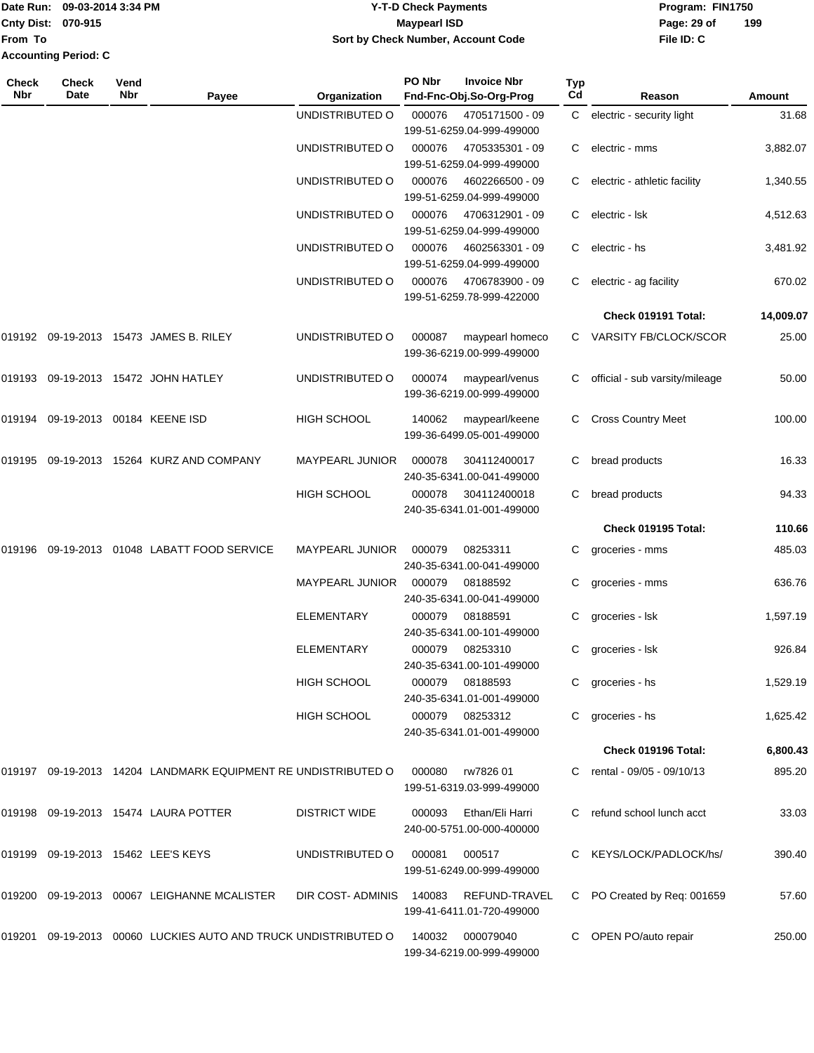### Date Run: 09-03-2014 3:34 PM **Program:** FIN1750 **Cnty Dist:** 070-915 **Page: 29 of MaypearI ISD Page: 29 of Y-T-D Check Payments 070-915 Maypearl ISD Sort by Check Number, Account Code**

| <b>Check</b><br>Nbr | Check<br>Date                     | Vend<br><b>Nbr</b> | Payee                                                          | Organization           | PO Nbr | <b>Invoice Nbr</b><br>Fnd-Fnc-Obj.So-Org-Prog | <b>Typ</b><br>Cd | Reason                         | Amount    |
|---------------------|-----------------------------------|--------------------|----------------------------------------------------------------|------------------------|--------|-----------------------------------------------|------------------|--------------------------------|-----------|
|                     |                                   |                    |                                                                | UNDISTRIBUTED O        | 000076 | 4705171500 - 09<br>199-51-6259.04-999-499000  |                  | C electric - security light    | 31.68     |
|                     |                                   |                    |                                                                | UNDISTRIBUTED O        | 000076 | 4705335301 - 09<br>199-51-6259.04-999-499000  | C                | electric - mms                 | 3,882.07  |
|                     |                                   |                    |                                                                | UNDISTRIBUTED O        | 000076 | 4602266500 - 09<br>199-51-6259.04-999-499000  |                  | electric - athletic facility   | 1,340.55  |
|                     |                                   |                    |                                                                | UNDISTRIBUTED O        | 000076 | 4706312901 - 09<br>199-51-6259.04-999-499000  | C.               | electric - Isk                 | 4,512.63  |
|                     |                                   |                    |                                                                | UNDISTRIBUTED O        | 000076 | 4602563301 - 09<br>199-51-6259.04-999-499000  | C.               | electric - hs                  | 3,481.92  |
|                     |                                   |                    |                                                                | UNDISTRIBUTED O        | 000076 | 4706783900 - 09<br>199-51-6259.78-999-422000  |                  | electric - ag facility         | 670.02    |
|                     |                                   |                    |                                                                |                        |        |                                               |                  | Check 019191 Total:            | 14,009.07 |
|                     |                                   |                    | 019192 09-19-2013 15473 JAMES B. RILEY                         | UNDISTRIBUTED O        | 000087 | maypearl homeco<br>199-36-6219.00-999-499000  |                  | C VARSITY FB/CLOCK/SCOR        | 25.00     |
|                     |                                   |                    | 019193 09-19-2013 15472 JOHN HATLEY                            | UNDISTRIBUTED O        | 000074 | maypearl/venus<br>199-36-6219.00-999-499000   |                  | official - sub varsity/mileage | 50.00     |
|                     | 019194 09-19-2013 00184 KEENE ISD |                    |                                                                | <b>HIGH SCHOOL</b>     | 140062 | maypearl/keene<br>199-36-6499.05-001-499000   | C.               | <b>Cross Country Meet</b>      | 100.00    |
|                     |                                   |                    | 019195 09-19-2013 15264 KURZ AND COMPANY                       | <b>MAYPEARL JUNIOR</b> | 000078 | 304112400017<br>240-35-6341.00-041-499000     |                  | bread products                 | 16.33     |
|                     |                                   |                    |                                                                | <b>HIGH SCHOOL</b>     | 000078 | 304112400018<br>240-35-6341.01-001-499000     |                  | bread products                 | 94.33     |
|                     |                                   |                    |                                                                |                        |        |                                               |                  | Check 019195 Total:            | 110.66    |
| 019196              |                                   |                    | 09-19-2013 01048 LABATT FOOD SERVICE                           | <b>MAYPEARL JUNIOR</b> | 000079 | 08253311                                      | C                | groceries - mms                | 485.03    |
|                     |                                   |                    |                                                                |                        |        | 240-35-6341.00-041-499000                     |                  |                                |           |
|                     |                                   |                    |                                                                | MAYPEARL JUNIOR        | 000079 | 08188592<br>240-35-6341.00-041-499000         | С                | groceries - mms                | 636.76    |
|                     |                                   |                    |                                                                | <b>ELEMENTARY</b>      | 000079 | 08188591<br>240-35-6341.00-101-499000         | C                | groceries - Isk                | 1,597.19  |
|                     |                                   |                    |                                                                | <b>ELEMENTARY</b>      | 000079 | 08253310<br>240-35-6341.00-101-499000         | C                | groceries - Isk                | 926.84    |
|                     |                                   |                    |                                                                | <b>HIGH SCHOOL</b>     | 000079 | 08188593<br>240-35-6341.01-001-499000         | C.               | groceries - hs                 | 1,529.19  |
|                     |                                   |                    |                                                                | <b>HIGH SCHOOL</b>     |        | 000079 08253312<br>240-35-6341.01-001-499000  |                  | groceries - hs                 | 1,625.42  |
|                     |                                   |                    |                                                                |                        |        |                                               |                  | Check 019196 Total:            | 6,800.43  |
|                     |                                   |                    | 019197 09-19-2013 14204 LANDMARK EQUIPMENT RE UNDISTRIBUTED O  |                        | 000080 | rw7826 01<br>199-51-6319.03-999-499000        |                  | C rental - 09/05 - 09/10/13    | 895.20    |
|                     |                                   |                    | 019198 09-19-2013 15474 LAURA POTTER                           | <b>DISTRICT WIDE</b>   | 000093 | Ethan/Eli Harri<br>240-00-5751.00-000-400000  |                  | C refund school lunch acct     | 33.03     |
|                     |                                   |                    | 019199 09-19-2013 15462 LEE'S KEYS                             | UNDISTRIBUTED O        | 000081 | 000517<br>199-51-6249.00-999-499000           |                  | C KEYS/LOCK/PADLOCK/hs/        | 390.40    |
|                     |                                   |                    | 019200 09-19-2013 00067 LEIGHANNE MCALISTER                    | DIR COST-ADMINIS       | 140083 | REFUND-TRAVEL<br>199-41-6411.01-720-499000    |                  | C PO Created by Req: 001659    | 57.60     |
|                     |                                   |                    | 019201 09-19-2013 00060 LUCKIES AUTO AND TRUCK UNDISTRIBUTED O |                        | 140032 | 000079040<br>199-34-6219.00-999-499000        | C.               | OPEN PO/auto repair            | 250.00    |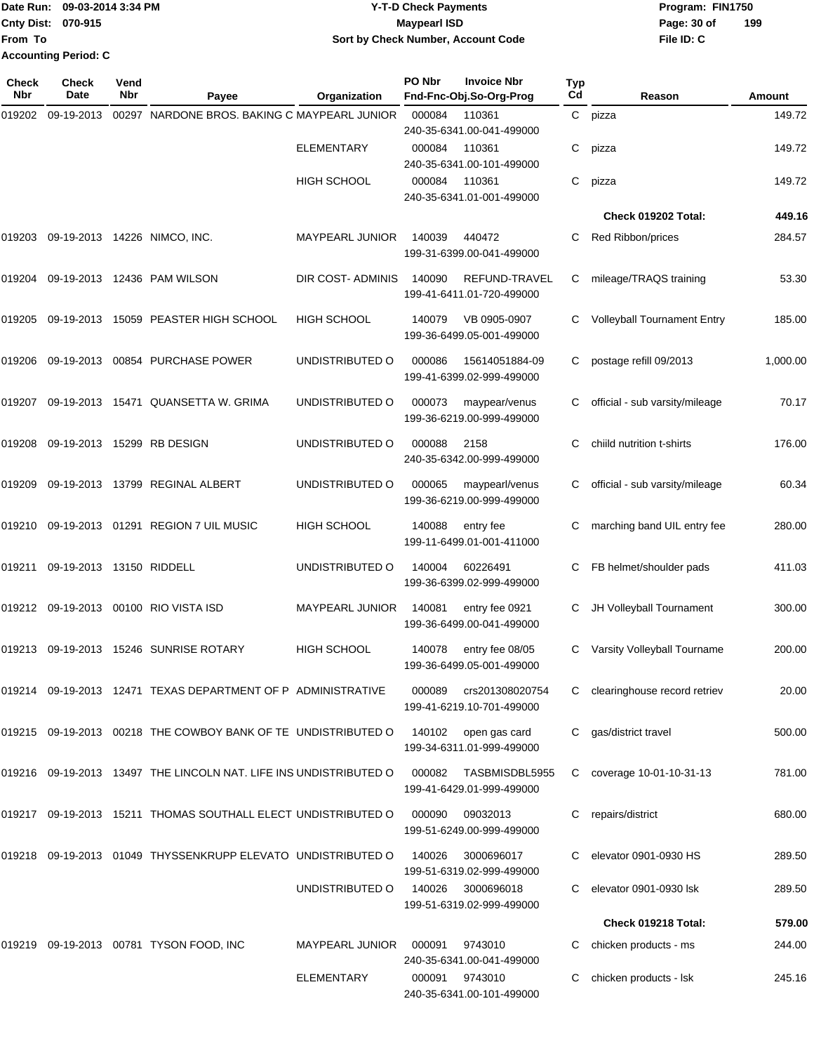|                             | IDate Run: 09-03-2014 3:34 PM | <b>Y-T-D Check Payments</b>        | Program: FIN1750 |     |
|-----------------------------|-------------------------------|------------------------------------|------------------|-----|
| Cnty Dist: 070-915          |                               | <b>Maypearl ISD</b>                | Page: 30 of      | 199 |
| From To                     |                               | Sort by Check Number, Account Code | File ID: C       |     |
| <b>Accounting Period: C</b> |                               |                                    |                  |     |

| Check<br>Nbr | <b>Check</b><br>Date     | Vend<br>Nbr | Payee                                                         | Organization           | PO Nbr | <b>Invoice Nbr</b><br>Fnd-Fnc-Obj.So-Org-Prog                    | Typ<br>Cd | Reason                             | Amount   |
|--------------|--------------------------|-------------|---------------------------------------------------------------|------------------------|--------|------------------------------------------------------------------|-----------|------------------------------------|----------|
| 019202       | 09-19-2013               |             | 00297 NARDONE BROS. BAKING C MAYPEARL JUNIOR                  |                        | 000084 | 110361<br>240-35-6341.00-041-499000                              |           | C pizza                            | 149.72   |
|              |                          |             |                                                               | <b>ELEMENTARY</b>      | 000084 | 110361                                                           | С         | pizza                              | 149.72   |
|              |                          |             |                                                               | <b>HIGH SCHOOL</b>     | 000084 | 240-35-6341.00-101-499000<br>110361<br>240-35-6341.01-001-499000 | С         | pizza                              | 149.72   |
|              |                          |             |                                                               |                        |        |                                                                  |           | Check 019202 Total:                | 449.16   |
| 019203       |                          |             | 09-19-2013 14226 NIMCO, INC.                                  | <b>MAYPEARL JUNIOR</b> | 140039 | 440472<br>199-31-6399.00-041-499000                              | С         | Red Ribbon/prices                  | 284.57   |
| 019204       |                          |             | 09-19-2013 12436 PAM WILSON                                   | DIR COST- ADMINIS      | 140090 | REFUND-TRAVEL<br>199-41-6411.01-720-499000                       | С         | mileage/TRAQS training             | 53.30    |
| 019205       |                          |             | 09-19-2013 15059 PEASTER HIGH SCHOOL                          | <b>HIGH SCHOOL</b>     | 140079 | VB 0905-0907<br>199-36-6499.05-001-499000                        | С         | <b>Volleyball Tournament Entry</b> | 185.00   |
| 019206       |                          |             | 09-19-2013 00854 PURCHASE POWER                               | UNDISTRIBUTED O        | 000086 | 15614051884-09<br>199-41-6399.02-999-499000                      | С         | postage refill 09/2013             | 1,000.00 |
| 019207       |                          |             | 09-19-2013 15471 QUANSETTA W. GRIMA                           | UNDISTRIBUTED O        | 000073 | maypear/venus<br>199-36-6219.00-999-499000                       | С         | official - sub varsity/mileage     | 70.17    |
| 019208       |                          |             | 09-19-2013 15299 RB DESIGN                                    | UNDISTRIBUTED O        | 000088 | 2158<br>240-35-6342.00-999-499000                                | C         | child nutrition t-shirts           | 176.00   |
| 019209       |                          |             | 09-19-2013 13799 REGINAL ALBERT                               | UNDISTRIBUTED O        | 000065 | maypearl/venus<br>199-36-6219.00-999-499000                      | С         | official - sub varsity/mileage     | 60.34    |
| 019210       |                          |             | 09-19-2013  01291  REGION 7 UIL MUSIC                         | <b>HIGH SCHOOL</b>     | 140088 | entry fee<br>199-11-6499.01-001-411000                           | С         | marching band UIL entry fee        | 280.00   |
| 019211       | 09-19-2013 13150 RIDDELL |             |                                                               | UNDISTRIBUTED O        | 140004 | 60226491<br>199-36-6399.02-999-499000                            | C         | FB helmet/shoulder pads            | 411.03   |
|              |                          |             |                                                               | MAYPEARL JUNIOR        | 140081 | entry fee 0921<br>199-36-6499.00-041-499000                      | С         | JH Volleyball Tournament           | 300.00   |
| 019213       |                          |             | 09-19-2013 15246 SUNRISE ROTARY                               | <b>HIGH SCHOOL</b>     | 140078 | entry fee 08/05<br>199-36-6499.05-001-499000                     |           | Varsity Volleyball Tourname        | 200.00   |
|              |                          |             | 019214 09-19-2013 12471 TEXAS DEPARTMENT OF P ADMINISTRATIVE  |                        | 000089 | crs201308020754<br>199-41-6219.10-701-499000                     | C.        | clearinghouse record retriev       | 20.00    |
|              |                          |             | 019215 09-19-2013 00218 THE COWBOY BANK OF TE UNDISTRIBUTED O |                        | 140102 | open gas card<br>199-34-6311.01-999-499000                       | С         | gas/district travel                | 500.00   |
| 019216       |                          |             | 09-19-2013 13497 THE LINCOLN NAT. LIFE INS UNDISTRIBUTED O    |                        | 000082 | TASBMISDBL5955<br>199-41-6429.01-999-499000                      | C         | coverage 10-01-10-31-13            | 781.00   |
|              |                          |             | 019217 09-19-2013 15211 THOMAS SOUTHALL ELECT UNDISTRIBUTED O |                        | 000090 | 09032013<br>199-51-6249.00-999-499000                            | С         | repairs/district                   | 680.00   |
| 019218       |                          |             | 09-19-2013 01049 THYSSENKRUPP ELEVATO UNDISTRIBUTED O         |                        | 140026 | 3000696017<br>199-51-6319.02-999-499000                          |           | elevator 0901-0930 HS              | 289.50   |
|              |                          |             |                                                               | UNDISTRIBUTED O        | 140026 | 3000696018<br>199-51-6319.02-999-499000                          |           | elevator 0901-0930 lsk             | 289.50   |
|              |                          |             |                                                               |                        |        |                                                                  |           | Check 019218 Total:                | 579.00   |
| 019219       |                          |             | 09-19-2013  00781  TYSON FOOD, INC                            | <b>MAYPEARL JUNIOR</b> | 000091 | 9743010<br>240-35-6341.00-041-499000                             | С         | chicken products - ms              | 244.00   |
|              |                          |             |                                                               | <b>ELEMENTARY</b>      | 000091 | 9743010<br>240-35-6341.00-101-499000                             | C         | chicken products - Isk             | 245.16   |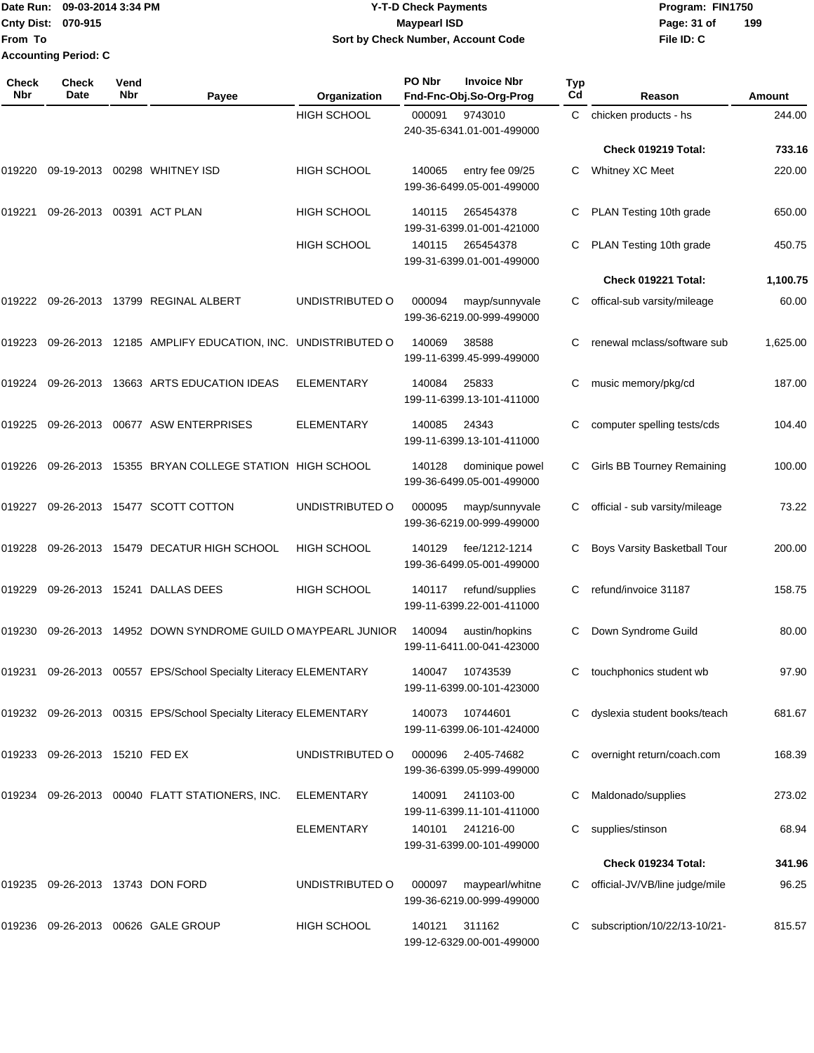### Date Run: 09-03-2014 3:34 PM **Program:** FIN1750 **Cnty Dist:** 070-915 **Page: 31 of Page: 31 of Y-T-D Check Payments 070-915 Maypearl ISD Sort by Check Number, Account Code**

| Check<br>Nbr | <b>Check</b><br>Date      | Vend<br><b>Nbr</b> | Payee                                                            | Organization       | PO Nbr | <b>Invoice Nbr</b><br>Fnd-Fnc-Obj.So-Org-Prog | <b>Typ</b><br>Cd | Reason                         | Amount   |
|--------------|---------------------------|--------------------|------------------------------------------------------------------|--------------------|--------|-----------------------------------------------|------------------|--------------------------------|----------|
|              |                           |                    |                                                                  | <b>HIGH SCHOOL</b> | 000091 | 9743010<br>240-35-6341.01-001-499000          | C                | chicken products - hs          | 244.00   |
|              |                           |                    |                                                                  |                    |        |                                               |                  | Check 019219 Total:            | 733.16   |
| 019220       | 09-19-2013                |                    | 00298 WHITNEY ISD                                                | HIGH SCHOOL        | 140065 | entry fee 09/25<br>199-36-6499.05-001-499000  | C                | Whitney XC Meet                | 220.00   |
| 019221       | 09-26-2013 00391 ACT PLAN |                    |                                                                  | <b>HIGH SCHOOL</b> | 140115 | 265454378<br>199-31-6399.01-001-421000        | C                | PLAN Testing 10th grade        | 650.00   |
|              |                           |                    |                                                                  | <b>HIGH SCHOOL</b> | 140115 | 265454378<br>199-31-6399.01-001-499000        | C                | PLAN Testing 10th grade        | 450.75   |
|              |                           |                    |                                                                  |                    |        |                                               |                  | Check 019221 Total:            | 1,100.75 |
|              | 019222 09-26-2013         |                    | 13799 REGINAL ALBERT                                             | UNDISTRIBUTED O    | 000094 | mayp/sunnyvale<br>199-36-6219.00-999-499000   | C                | offical-sub varsity/mileage    | 60.00    |
| 019223       | 09-26-2013                |                    | 12185 AMPLIFY EDUCATION, INC. UNDISTRIBUTED O                    |                    | 140069 | 38588<br>199-11-6399.45-999-499000            | С                | renewal mclass/software sub    | 1,625.00 |
| 019224       |                           |                    | 09-26-2013 13663 ARTS EDUCATION IDEAS                            | <b>ELEMENTARY</b>  | 140084 | 25833<br>199-11-6399.13-101-411000            | С                | music memory/pkg/cd            | 187.00   |
| 019225       |                           |                    | 09-26-2013 00677 ASW ENTERPRISES                                 | <b>ELEMENTARY</b>  | 140085 | 24343<br>199-11-6399.13-101-411000            | С                | computer spelling tests/cds    | 104.40   |
| 019226       | 09-26-2013                |                    | 15355 BRYAN COLLEGE STATION HIGH SCHOOL                          |                    | 140128 | dominique powel<br>199-36-6499.05-001-499000  | C                | Girls BB Tourney Remaining     | 100.00   |
| 019227       |                           |                    | 09-26-2013 15477 SCOTT COTTON                                    | UNDISTRIBUTED O    | 000095 | mayp/sunnyvale<br>199-36-6219.00-999-499000   | C                | official - sub varsity/mileage | 73.22    |
| 019228       | 09-26-2013                |                    | 15479 DECATUR HIGH SCHOOL                                        | <b>HIGH SCHOOL</b> | 140129 | fee/1212-1214<br>199-36-6499.05-001-499000    |                  | Boys Varsity Basketball Tour   | 200.00   |
| 019229       | 09-26-2013                |                    | 15241 DALLAS DEES                                                | <b>HIGH SCHOOL</b> | 140117 | refund/supplies<br>199-11-6399.22-001-411000  | C                | refund/invoice 31187           | 158.75   |
| 019230       | 09-26-2013                |                    | 14952 DOWN SYNDROME GUILD OMAYPEARL JUNIOR                       |                    | 140094 | austin/hopkins<br>199-11-6411.00-041-423000   | С                | Down Syndrome Guild            | 80.00    |
|              |                           |                    | 019231 09-26-2013 00557 EPS/School Specialty Literacy ELEMENTARY |                    | 140047 | 10743539<br>199-11-6399.00-101-423000         | С                | touchphonics student wb        | 97.90    |
|              |                           |                    | 019232 09-26-2013 00315 EPS/School Specialty Literacy ELEMENTARY |                    | 140073 | 10744601<br>199-11-6399.06-101-424000         | С                | dyslexia student books/teach   | 681.67   |
| 019233       | 09-26-2013 15210 FED EX   |                    |                                                                  | UNDISTRIBUTED O    | 000096 | 2-405-74682<br>199-36-6399.05-999-499000      | С                | overnight return/coach.com     | 168.39   |
|              |                           |                    | 019234 09-26-2013 00040 FLATT STATIONERS, INC.                   | <b>ELEMENTARY</b>  | 140091 | 241103-00<br>199-11-6399.11-101-411000        | С                | Maldonado/supplies             | 273.02   |
|              |                           |                    |                                                                  | <b>ELEMENTARY</b>  | 140101 | 241216-00<br>199-31-6399.00-101-499000        | С                | supplies/stinson               | 68.94    |
|              |                           |                    |                                                                  |                    |        |                                               |                  | Check 019234 Total:            | 341.96   |
| 019235       |                           |                    | 09-26-2013 13743 DON FORD                                        | UNDISTRIBUTED O    | 000097 | maypearl/whitne<br>199-36-6219.00-999-499000  |                  | official-JV/VB/line judge/mile | 96.25    |
| 019236       |                           |                    | 09-26-2013 00626 GALE GROUP                                      | <b>HIGH SCHOOL</b> | 140121 | 311162<br>199-12-6329.00-001-499000           | С                | subscription/10/22/13-10/21-   | 815.57   |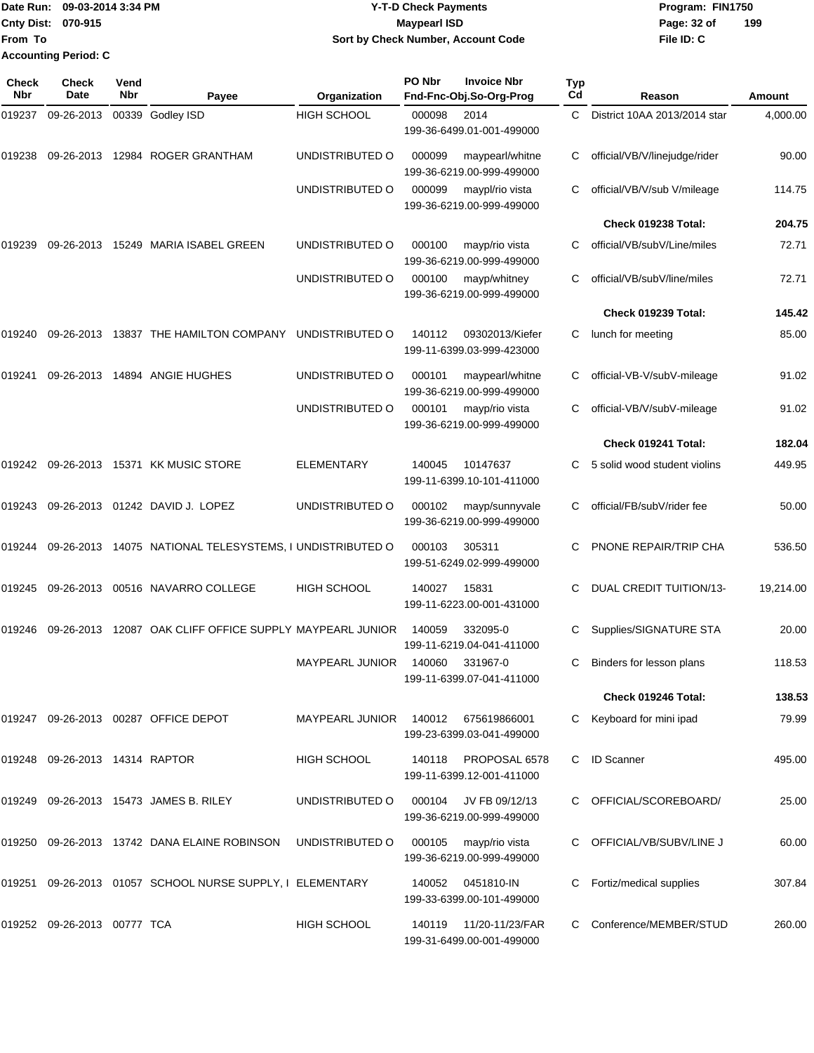Date Run: 09-03-2014 3:34 PM **Program:** FIN1750 **Cnty Dist:** 070-915 **Page: 32 of Page:** 32 of **From To Accounting Period: C**

# **09-03-2014 3:34 PM Y-T-D Check Payments 070-915 Maypearl ISD Sort by Check Number, Account Code**

| Check<br><b>Nbr</b> | <b>Check</b><br>Date           | Vend<br>Nbr | Payee                                                     | Organization       | PO Nbr | <b>Invoice Nbr</b><br>Fnd-Fnc-Obj.So-Org-Prog    | Typ<br>Cd | Reason                        | Amount    |
|---------------------|--------------------------------|-------------|-----------------------------------------------------------|--------------------|--------|--------------------------------------------------|-----------|-------------------------------|-----------|
| 019237              | 09-26-2013                     |             | 00339 Godley ISD                                          | <b>HIGH SCHOOL</b> | 000098 | 2014<br>199-36-6499.01-001-499000                | C         | District 10AA 2013/2014 star  | 4,000.00  |
| 019238              | 09-26-2013                     |             | 12984 ROGER GRANTHAM                                      | UNDISTRIBUTED O    | 000099 | maypearl/whitne<br>199-36-6219.00-999-499000     | С         | official/VB/V/linejudge/rider | 90.00     |
|                     |                                |             |                                                           | UNDISTRIBUTED O    | 000099 | maypl/rio vista<br>199-36-6219.00-999-499000     | С         | official/VB/V/sub V/mileage   | 114.75    |
|                     |                                |             |                                                           |                    |        |                                                  |           | Check 019238 Total:           | 204.75    |
| 019239              |                                |             | 09-26-2013 15249 MARIA ISABEL GREEN                       | UNDISTRIBUTED O    | 000100 | mayp/rio vista<br>199-36-6219.00-999-499000      | С         | official/VB/subV/Line/miles   | 72.71     |
|                     |                                |             |                                                           | UNDISTRIBUTED O    | 000100 | mayp/whitney<br>199-36-6219.00-999-499000        |           | official/VB/subV/line/miles   | 72.71     |
|                     |                                |             |                                                           |                    |        |                                                  |           | Check 019239 Total:           | 145.42    |
| 019240              | 09-26-2013                     |             | 13837 THE HAMILTON COMPANY                                | UNDISTRIBUTED O    | 140112 | 09302013/Kiefer<br>199-11-6399.03-999-423000     | С         | lunch for meeting             | 85.00     |
| 019241              |                                |             | 09-26-2013 14894 ANGIE HUGHES                             | UNDISTRIBUTED O    | 000101 | maypearl/whitne<br>199-36-6219.00-999-499000     |           | official-VB-V/subV-mileage    | 91.02     |
|                     |                                |             |                                                           | UNDISTRIBUTED O    | 000101 | mayp/rio vista<br>199-36-6219.00-999-499000      | С         | official-VB/V/subV-mileage    | 91.02     |
|                     |                                |             |                                                           |                    |        |                                                  |           | Check 019241 Total:           | 182.04    |
| 019242              |                                |             | 09-26-2013 15371 KK MUSIC STORE                           | <b>ELEMENTARY</b>  | 140045 | 10147637<br>199-11-6399.10-101-411000            | С         | 5 solid wood student violins  | 449.95    |
| 019243              |                                |             | 09-26-2013 01242 DAVID J. LOPEZ                           | UNDISTRIBUTED O    | 000102 | mayp/sunnyvale<br>199-36-6219.00-999-499000      | С         | official/FB/subV/rider fee    | 50.00     |
| 019244              |                                |             | 09-26-2013 14075 NATIONAL TELESYSTEMS, I UNDISTRIBUTED O  |                    | 000103 | 305311<br>199-51-6249.02-999-499000              | С         | PNONE REPAIR/TRIP CHA         | 536.50    |
| 019245              |                                |             | 09-26-2013 00516 NAVARRO COLLEGE                          | <b>HIGH SCHOOL</b> | 140027 | 15831<br>199-11-6223.00-001-431000               | С         | DUAL CREDIT TUITION/13-       | 19,214.00 |
| 019246              | 09-26-2013                     |             | 12087 OAK CLIFF OFFICE SUPPLY MAYPEARL JUNIOR             |                    | 140059 | 332095-0<br>199-11-6219.04-041-411000            | С         | Supplies/SIGNATURE STA        | 20.00     |
|                     |                                |             |                                                           | MAYPEARL JUNIOR    | 140060 | 331967-0<br>199-11-6399.07-041-411000            | С         | Binders for lesson plans      | 118.53    |
|                     |                                |             |                                                           |                    |        |                                                  |           | Check 019246 Total:           | 138.53    |
|                     |                                |             | 019247 09-26-2013 00287 OFFICE DEPOT                      | MAYPEARL JUNIOR    |        | 140012 675619866001<br>199-23-6399.03-041-499000 | C         | Keyboard for mini ipad        | 79.99     |
|                     | 019248 09-26-2013 14314 RAPTOR |             |                                                           | <b>HIGH SCHOOL</b> | 140118 | PROPOSAL 6578<br>199-11-6399.12-001-411000       | C         | <b>ID Scanner</b>             | 495.00    |
| 019249              |                                |             | 09-26-2013 15473 JAMES B. RILEY                           | UNDISTRIBUTED O    | 000104 | JV FB 09/12/13<br>199-36-6219.00-999-499000      |           | OFFICIAL/SCOREBOARD/          | 25.00     |
|                     |                                |             | 019250 09-26-2013 13742 DANA ELAINE ROBINSON              | UNDISTRIBUTED O    | 000105 | mayp/rio vista<br>199-36-6219.00-999-499000      |           | OFFICIAL/VB/SUBV/LINE J       | 60.00     |
|                     |                                |             | 019251 09-26-2013 01057 SCHOOL NURSE SUPPLY, I ELEMENTARY |                    | 140052 | 0451810-IN<br>199-33-6399.00-101-499000          | С         | Fortiz/medical supplies       | 307.84    |
|                     | 019252 09-26-2013 00777 TCA    |             |                                                           | HIGH SCHOOL        | 140119 | 11/20-11/23/FAR<br>199-31-6499.00-001-499000     |           | Conference/MEMBER/STUD        | 260.00    |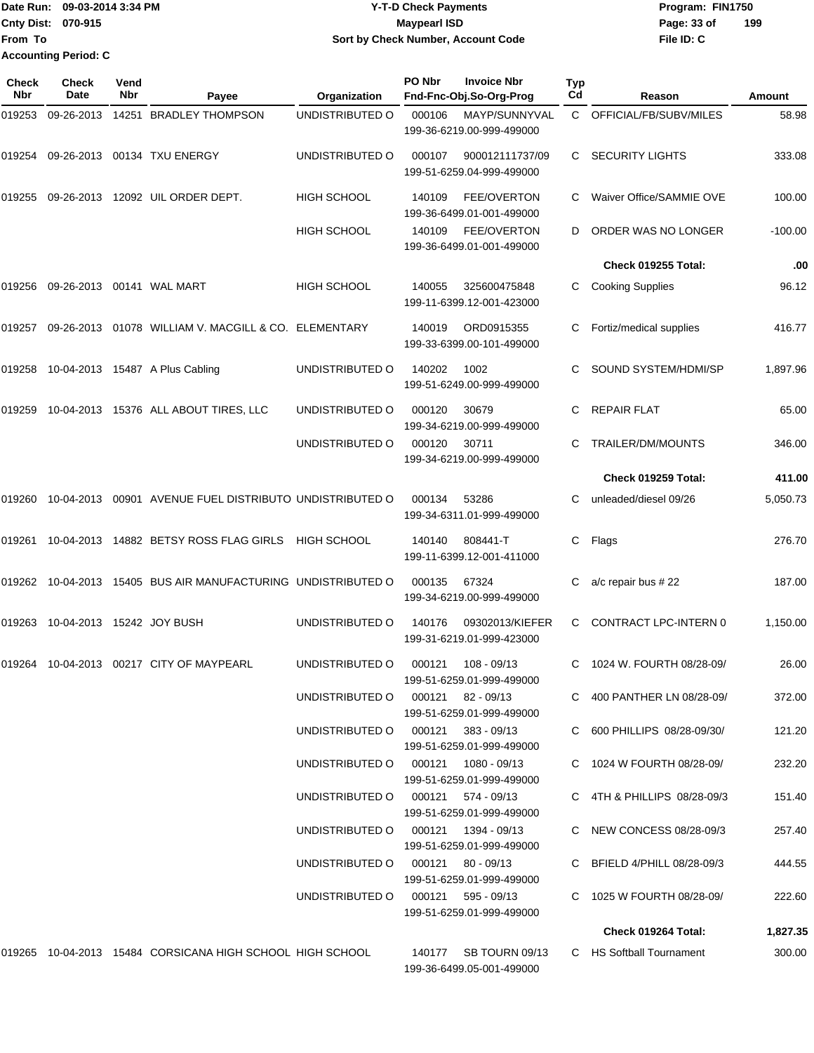|                           | Date Run: 09-03-2014 3:34 PM | <b>Y-T-D Check Payments</b>        | Program: FIN1750   |  |  |  |
|---------------------------|------------------------------|------------------------------------|--------------------|--|--|--|
| <b>Cnty Dist: 070-915</b> |                              | <b>Mavpearl ISD</b>                | 199<br>Page: 33 of |  |  |  |
| <b>From To</b>            |                              | Sort by Check Number, Account Code | File ID: C         |  |  |  |
|                           | <b>Accounting Period: C</b>  |                                    |                    |  |  |  |

| <b>Check</b><br><b>Nbr</b> | Check<br>Date             | Vend<br>Nbr | Payee                                                     | Organization                       | PO Nbr | <b>Invoice Nbr</b><br>Fnd-Fnc-Obj.So-Org-Prog                          | <b>Typ</b><br>$_{\rm Cd}$ | Reason                                                  | <b>Amount</b>    |
|----------------------------|---------------------------|-------------|-----------------------------------------------------------|------------------------------------|--------|------------------------------------------------------------------------|---------------------------|---------------------------------------------------------|------------------|
| 019253                     | 09-26-2013                |             | 14251 BRADLEY THOMPSON                                    | UNDISTRIBUTED O                    | 000106 | MAYP/SUNNYVAL<br>199-36-6219.00-999-499000                             | C.                        | OFFICIAL/FB/SUBV/MILES                                  | 58.98            |
| 019254                     |                           |             | 09-26-2013 00134 TXU ENERGY                               | UNDISTRIBUTED O                    | 000107 | 900012111737/09<br>199-51-6259.04-999-499000                           | C                         | <b>SECURITY LIGHTS</b>                                  | 333.08           |
| 019255                     | 09-26-2013                |             | 12092 UIL ORDER DEPT.                                     | <b>HIGH SCHOOL</b>                 | 140109 | <b>FEE/OVERTON</b><br>199-36-6499.01-001-499000                        | C                         | Waiver Office/SAMMIE OVE                                | 100.00           |
|                            |                           |             |                                                           | HIGH SCHOOL                        | 140109 | <b>FEE/OVERTON</b><br>199-36-6499.01-001-499000                        | D                         | ORDER WAS NO LONGER                                     | $-100.00$        |
|                            |                           |             |                                                           |                                    |        |                                                                        |                           | Check 019255 Total:                                     | .00              |
| 019256                     |                           |             | 09-26-2013  00141  WAL MART                               | HIGH SCHOOL                        | 140055 | 325600475848<br>199-11-6399.12-001-423000                              | С                         | <b>Cooking Supplies</b>                                 | 96.12            |
| 019257                     |                           |             | 09-26-2013  01078  WILLIAM V. MACGILL & CO. ELEMENTARY    |                                    | 140019 | ORD0915355<br>199-33-6399.00-101-499000                                | С                         | Fortiz/medical supplies                                 | 416.77           |
| 019258                     |                           |             | 10-04-2013 15487 A Plus Cabling                           | UNDISTRIBUTED O                    | 140202 | 1002<br>199-51-6249.00-999-499000                                      |                           | SOUND SYSTEM/HDMI/SP                                    | 1,897.96         |
| 019259                     |                           |             | 10-04-2013 15376 ALL ABOUT TIRES, LLC                     | UNDISTRIBUTED O                    | 000120 | 30679<br>199-34-6219.00-999-499000                                     | С                         | <b>REPAIR FLAT</b>                                      | 65.00            |
|                            |                           |             |                                                           | UNDISTRIBUTED O                    | 000120 | 30711<br>199-34-6219.00-999-499000                                     | C                         | TRAILER/DM/MOUNTS                                       | 346.00           |
|                            |                           |             |                                                           |                                    |        |                                                                        |                           | Check 019259 Total:                                     | 411.00           |
| 019260                     |                           |             | 10-04-2013 00901 AVENUE FUEL DISTRIBUTO UNDISTRIBUTED O   |                                    | 000134 | 53286<br>199-34-6311.01-999-499000                                     | C                         | unleaded/diesel 09/26                                   | 5,050.73         |
| 019261                     |                           |             | 10-04-2013 14882 BETSY ROSS FLAG GIRLS                    | HIGH SCHOOL                        | 140140 | 808441-T<br>199-11-6399.12-001-411000                                  | С                         | Flags                                                   | 276.70           |
| 019262                     |                           |             | 10-04-2013 15405 BUS AIR MANUFACTURING UNDISTRIBUTED O    |                                    | 000135 | 67324<br>199-34-6219.00-999-499000                                     | С                         | a/c repair bus #22                                      | 187.00           |
| 019263                     | 10-04-2013 15242 JOY BUSH |             |                                                           | UNDISTRIBUTED O                    | 140176 | 09302013/KIEFER<br>199-31-6219.01-999-423000                           | C                         | CONTRACT LPC-INTERN 0                                   | 1,150.00         |
|                            |                           |             | 019264 10-04-2013 00217 CITY OF MAYPEARL                  | UNDISTRIBUTED O                    | 000121 | 108 - 09/13<br>199-51-6259.01-999-499000                               | C                         | 1024 W. FOURTH 08/28-09/                                | 26.00            |
|                            |                           |             |                                                           | UNDISTRIBUTED O                    | 000121 | 82 - 09/13<br>199-51-6259.01-999-499000                                |                           | C 400 PANTHER LN 08/28-09/                              | 372.00           |
|                            |                           |             |                                                           | UNDISTRIBUTED O                    |        | 000121 383 - 09/13<br>199-51-6259.01-999-499000                        |                           | C 600 PHILLIPS 08/28-09/30/                             | 121.20           |
|                            |                           |             |                                                           | UNDISTRIBUTED O                    |        | 000121  1080 - 09/13<br>199-51-6259.01-999-499000                      |                           | C 1024 W FOURTH 08/28-09/                               | 232.20           |
|                            |                           |             |                                                           | UNDISTRIBUTED O                    |        | 000121 574 - 09/13<br>199-51-6259.01-999-499000                        |                           | C 4TH & PHILLIPS 08/28-09/3                             | 151.40           |
|                            |                           |             |                                                           | UNDISTRIBUTED O<br>UNDISTRIBUTED O |        | 000121  1394 - 09/13<br>199-51-6259.01-999-499000<br>000121 80 - 09/13 |                           | C NEW CONCESS 08/28-09/3<br>C BFIELD 4/PHILL 08/28-09/3 | 257.40<br>444.55 |
|                            |                           |             |                                                           | UNDISTRIBUTED O                    | 000121 | 199-51-6259.01-999-499000<br>595 - 09/13                               |                           | C 1025 W FOURTH 08/28-09/                               | 222.60           |
|                            |                           |             |                                                           |                                    |        | 199-51-6259.01-999-499000                                              |                           |                                                         |                  |
|                            |                           |             |                                                           |                                    |        |                                                                        |                           | Check 019264 Total:                                     | 1,827.35         |
|                            |                           |             | 019265 10-04-2013 15484 CORSICANA HIGH SCHOOL HIGH SCHOOL |                                    | 140177 | SB TOURN 09/13<br>199-36-6499.05-001-499000                            |                           | C HS Softball Tournament                                | 300.00           |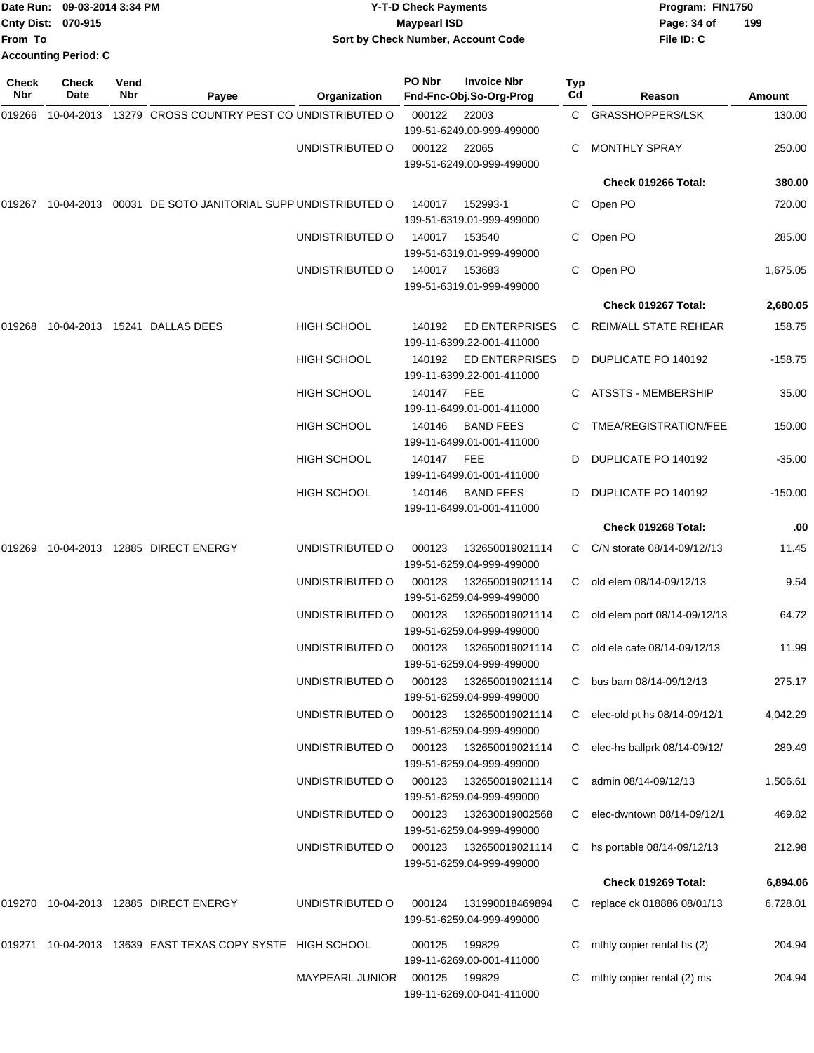|                           | Date Run: 09-03-2014 3:34 PM | <b>Y-T-D Check Payments</b>        | Program: FIN1750   |
|---------------------------|------------------------------|------------------------------------|--------------------|
| <b>Cnty Dist: 070-915</b> |                              | <b>Mavpearl ISD</b>                | 199<br>Page: 34 of |
| <b>From To</b>            |                              | Sort by Check Number, Account Code | File ID: C         |
|                           | <b>Accounting Period: C</b>  |                                    |                    |

| Check<br>Nbr | Check<br>Date | Vend<br>Nbr | Payee                                                     | Organization           | PO Nbr     | <b>Invoice Nbr</b><br>Fnd-Fnc-Obj.So-Org-Prog      | Typ<br>Cd | Reason                         | <b>Amount</b> |
|--------------|---------------|-------------|-----------------------------------------------------------|------------------------|------------|----------------------------------------------------|-----------|--------------------------------|---------------|
| 019266       | 10-04-2013    |             | 13279 CROSS COUNTRY PEST CO UNDISTRIBUTED O               |                        | 000122     | 22003<br>199-51-6249.00-999-499000                 |           | C GRASSHOPPERS/LSK             | 130.00        |
|              |               |             |                                                           | UNDISTRIBUTED O        | 000122     | 22065<br>199-51-6249.00-999-499000                 |           | <b>MONTHLY SPRAY</b>           | 250.00        |
|              |               |             |                                                           |                        |            |                                                    |           | Check 019266 Total:            | 380.00        |
| 019267       |               |             | 10-04-2013 00031 DE SOTO JANITORIAL SUPP UNDISTRIBUTED O  |                        | 140017     | 152993-1<br>199-51-6319.01-999-499000              | C.        | Open PO                        | 720.00        |
|              |               |             |                                                           | UNDISTRIBUTED O        | 140017     | 153540<br>199-51-6319.01-999-499000                | C.        | Open PO                        | 285.00        |
|              |               |             |                                                           | UNDISTRIBUTED O        | 140017     | 153683<br>199-51-6319.01-999-499000                | C         | Open PO                        | 1,675.05      |
|              |               |             |                                                           |                        |            |                                                    |           | Check 019267 Total:            | 2,680.05      |
| 019268       |               |             | 10-04-2013  15241  DALLAS DEES                            | <b>HIGH SCHOOL</b>     | 140192     | <b>ED ENTERPRISES</b><br>199-11-6399.22-001-411000 | C         | REIM/ALL STATE REHEAR          | 158.75        |
|              |               |             |                                                           | <b>HIGH SCHOOL</b>     | 140192     | ED ENTERPRISES<br>199-11-6399.22-001-411000        | D         | DUPLICATE PO 140192            | $-158.75$     |
|              |               |             |                                                           | <b>HIGH SCHOOL</b>     | 140147 FEE | 199-11-6499.01-001-411000                          | C         | ATSSTS - MEMBERSHIP            | 35.00         |
|              |               |             |                                                           | <b>HIGH SCHOOL</b>     | 140146     | <b>BAND FEES</b><br>199-11-6499.01-001-411000      |           | TMEA/REGISTRATION/FEE          | 150.00        |
|              |               |             |                                                           | <b>HIGH SCHOOL</b>     | 140147 FEE | 199-11-6499.01-001-411000                          | D         | DUPLICATE PO 140192            | $-35.00$      |
|              |               |             |                                                           | <b>HIGH SCHOOL</b>     | 140146     | <b>BAND FEES</b><br>199-11-6499.01-001-411000      | D         | DUPLICATE PO 140192            | $-150.00$     |
|              |               |             |                                                           |                        |            |                                                    |           | Check 019268 Total:            | .00           |
| 019269       |               |             | 10-04-2013  12885  DIRECT ENERGY                          | UNDISTRIBUTED O        | 000123     | 132650019021114<br>199-51-6259.04-999-499000       | C         | C/N storate 08/14-09/12//13    | 11.45         |
|              |               |             |                                                           | UNDISTRIBUTED O        | 000123     | 132650019021114<br>199-51-6259.04-999-499000       | C         | old elem 08/14-09/12/13        | 9.54          |
|              |               |             |                                                           | UNDISTRIBUTED O        | 000123     | 132650019021114<br>199-51-6259.04-999-499000       | C.        | old elem port 08/14-09/12/13   | 64.72         |
|              |               |             |                                                           | UNDISTRIBUTED O        | 000123     | 132650019021114<br>199-51-6259.04-999-499000       | C         | old ele cafe 08/14-09/12/13    | 11.99         |
|              |               |             |                                                           | UNDISTRIBUTED O        | 000123     | 132650019021114<br>199-51-6259.04-999-499000       | C.        | bus barn 08/14-09/12/13        | 275.17        |
|              |               |             |                                                           | UNDISTRIBUTED O        | 000123     | 132650019021114<br>199-51-6259.04-999-499000       |           | C elec-old pt hs 08/14-09/12/1 | 4,042.29      |
|              |               |             |                                                           | UNDISTRIBUTED O        | 000123     | 132650019021114<br>199-51-6259.04-999-499000       | C         | elec-hs ballprk 08/14-09/12/   | 289.49        |
|              |               |             |                                                           | UNDISTRIBUTED O        | 000123     | 132650019021114<br>199-51-6259.04-999-499000       | C         | admin 08/14-09/12/13           | 1,506.61      |
|              |               |             |                                                           | UNDISTRIBUTED O        | 000123     | 132630019002568<br>199-51-6259.04-999-499000       | C         | elec-dwntown 08/14-09/12/1     | 469.82        |
|              |               |             |                                                           | UNDISTRIBUTED O        | 000123     | 132650019021114<br>199-51-6259.04-999-499000       |           | C hs portable 08/14-09/12/13   | 212.98        |
|              |               |             |                                                           |                        |            |                                                    |           | Check 019269 Total:            | 6,894.06      |
| 019270       |               |             | 10-04-2013 12885 DIRECT ENERGY                            | UNDISTRIBUTED O        | 000124     | 131990018469894<br>199-51-6259.04-999-499000       |           | C replace ck 018886 08/01/13   | 6,728.01      |
|              |               |             | 019271 10-04-2013 13639 EAST TEXAS COPY SYSTE HIGH SCHOOL |                        | 000125     | 199829<br>199-11-6269.00-001-411000                | С         | mthly copier rental hs (2)     | 204.94        |
|              |               |             |                                                           | <b>MAYPEARL JUNIOR</b> | 000125     | 199829<br>199-11-6269.00-041-411000                |           | mthly copier rental (2) ms     | 204.94        |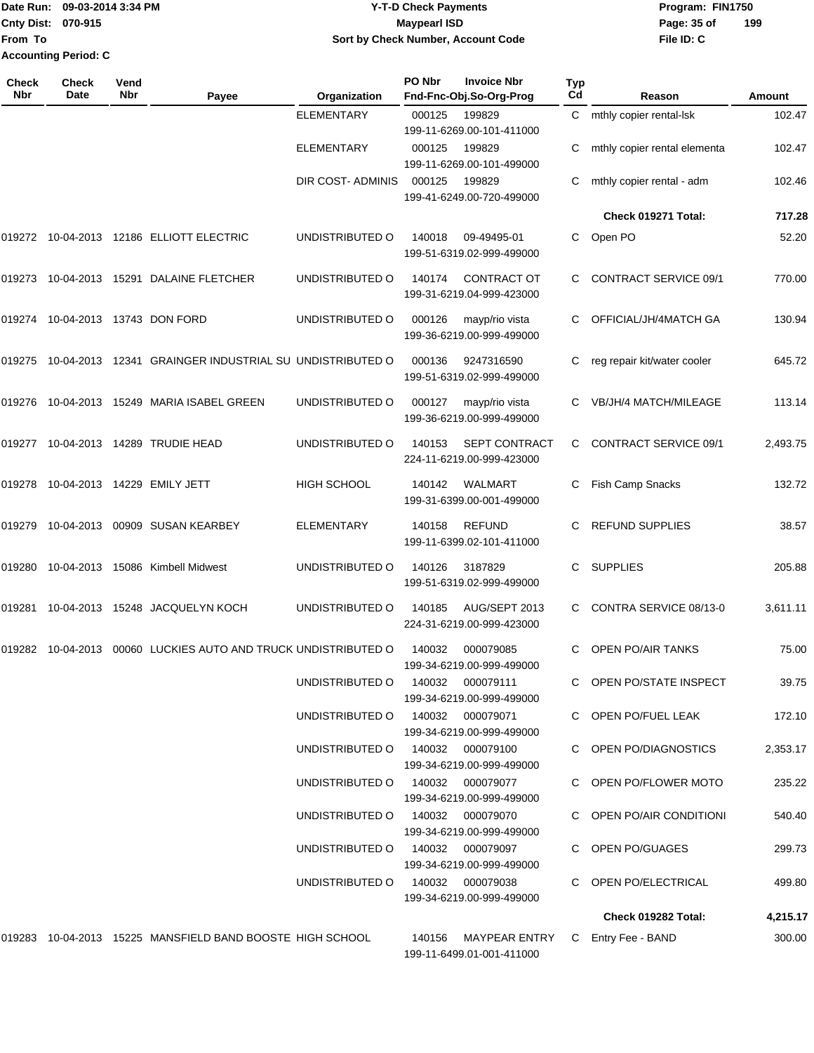### Date Run: 09-03-2014 3:34 PM **Program:** FIN1750 **Cnty Dist:** 070-915 **Page: 35 of MaypearI ISD Page: 35 of Y-T-D Check Payments 070-915 Maypearl ISD Sort by Check Number, Account Code**

**File ID: C 199**

| <b>Check</b><br><b>Nbr</b> | Check<br>Date               | Vend<br><b>Nbr</b> | Payee                                                                                             | Organization                     | PO Nbr | <b>Invoice Nbr</b><br>Fnd-Fnc-Obj.So-Org-Prog     | <b>Typ</b><br>Cd | Reason                       | <b>Amount</b> |
|----------------------------|-----------------------------|--------------------|---------------------------------------------------------------------------------------------------|----------------------------------|--------|---------------------------------------------------|------------------|------------------------------|---------------|
|                            |                             |                    |                                                                                                   | <b>ELEMENTARY</b>                | 000125 | 199829<br>199-11-6269.00-101-411000               | C                | mthly copier rental-lsk      | 102.47        |
|                            |                             |                    |                                                                                                   | <b>ELEMENTARY</b>                | 000125 | 199829<br>199-11-6269.00-101-499000               | C                | mthly copier rental elementa | 102.47        |
|                            |                             |                    |                                                                                                   | DIR COST- ADMINIS                | 000125 | 199829<br>199-41-6249.00-720-499000               |                  | mthly copier rental - adm    | 102.46        |
|                            |                             |                    |                                                                                                   |                                  |        |                                                   |                  | Check 019271 Total:          | 717.28        |
|                            |                             |                    | 019272  10-04-2013  12186  ELLIOTT ELECTRIC                                                       | UNDISTRIBUTED O                  | 140018 | 09-49495-01<br>199-51-6319.02-999-499000          | C                | Open PO                      | 52.20         |
| 019273                     |                             |                    | 10-04-2013  15291  DALAINE FLETCHER                                                               | UNDISTRIBUTED O                  | 140174 | <b>CONTRACT OT</b><br>199-31-6219.04-999-423000   |                  | <b>CONTRACT SERVICE 09/1</b> | 770.00        |
| 019274                     | 10-04-2013  13743  DON FORD |                    |                                                                                                   | UNDISTRIBUTED O                  | 000126 | mayp/rio vista<br>199-36-6219.00-999-499000       |                  | OFFICIAL/JH/4MATCH GA        | 130.94        |
| 019275                     |                             |                    | 10-04-2013 12341 GRAINGER INDUSTRIAL SU UNDISTRIBUTED O                                           |                                  | 000136 | 9247316590<br>199-51-6319.02-999-499000           |                  | reg repair kit/water cooler  | 645.72        |
| 019276                     |                             |                    | 10-04-2013  15249  MARIA ISABEL GREEN                                                             | UNDISTRIBUTED O                  | 000127 | mayp/rio vista<br>199-36-6219.00-999-499000       |                  | <b>VB/JH/4 MATCH/MILEAGE</b> | 113.14        |
| 019277                     |                             |                    | 10-04-2013  14289  TRUDIE HEAD                                                                    | UNDISTRIBUTED O                  | 140153 | <b>SEPT CONTRACT</b><br>224-11-6219.00-999-423000 | C                | <b>CONTRACT SERVICE 09/1</b> | 2,493.75      |
| 019278                     |                             |                    | 10-04-2013  14229  EMILY JETT                                                                     | <b>HIGH SCHOOL</b>               | 140142 | WALMART<br>199-31-6399.00-001-499000              | C                | Fish Camp Snacks             | 132.72        |
| 019279                     | 10-04-2013                  |                    | 00909 SUSAN KEARBEY                                                                               | ELEMENTARY                       | 140158 | <b>REFUND</b><br>199-11-6399.02-101-411000        |                  | <b>REFUND SUPPLIES</b>       | 38.57         |
| 019280                     |                             |                    | 10-04-2013 15086 Kimbell Midwest                                                                  | UNDISTRIBUTED O                  | 140126 | 3187829<br>199-51-6319.02-999-499000              | C                | <b>SUPPLIES</b>              | 205.88        |
| 019281                     |                             |                    | 10-04-2013  15248  JACQUELYN KOCH                                                                 | UNDISTRIBUTED O                  | 140185 | AUG/SEPT 2013<br>224-31-6219.00-999-423000        |                  | CONTRA SERVICE 08/13-0       | 3,611.11      |
| 019282                     | 10-04-2013                  |                    | 00060 LUCKIES AUTO AND TRUCK UNDISTRIBUTED O                                                      |                                  | 140032 | 000079085<br>199-34-6219.00-999-499000            | C                | OPEN PO/AIR TANKS            | 75.00         |
|                            |                             |                    |                                                                                                   | UNDISTRIBUTED O 140032 000079111 |        | 199-34-6219.00-999-499000                         |                  | C OPEN PO/STATE INSPECT      | 39.75         |
|                            |                             |                    |                                                                                                   | UNDISTRIBUTED O 140032 000079071 |        | 199-34-6219.00-999-499000                         |                  | C OPEN PO/FUEL LEAK          | 172.10        |
|                            |                             |                    |                                                                                                   | UNDISTRIBUTED O 140032 000079100 |        | 199-34-6219.00-999-499000                         |                  | C OPEN PO/DIAGNOSTICS        | 2,353.17      |
|                            |                             |                    |                                                                                                   | UNDISTRIBUTED O                  |        | 140032 000079077<br>199-34-6219.00-999-499000     |                  | C OPEN PO/FLOWER MOTO        | 235.22        |
|                            |                             |                    |                                                                                                   | UNDISTRIBUTED O 140032 000079070 |        | 199-34-6219.00-999-499000                         |                  | C OPEN PO/AIR CONDITIONI     | 540.40        |
|                            |                             |                    |                                                                                                   | UNDISTRIBUTED O 140032 000079097 |        | 199-34-6219.00-999-499000                         |                  | C OPEN PO/GUAGES             | 299.73        |
|                            |                             |                    |                                                                                                   | UNDISTRIBUTED O 140032 000079038 |        | 199-34-6219.00-999-499000                         |                  | C OPEN PO/ELECTRICAL         | 499.80        |
|                            |                             |                    |                                                                                                   |                                  |        |                                                   |                  | Check 019282 Total:          | 4,215.17      |
|                            |                             |                    | 019283 10-04-2013 15225 MANSFIELD BAND BOOSTE HIGH SCHOOL 140156 MAYPEAR ENTRY C Entry Fee - BAND |                                  |        |                                                   |                  |                              | 300.00        |

199-11-6499.01-001-411000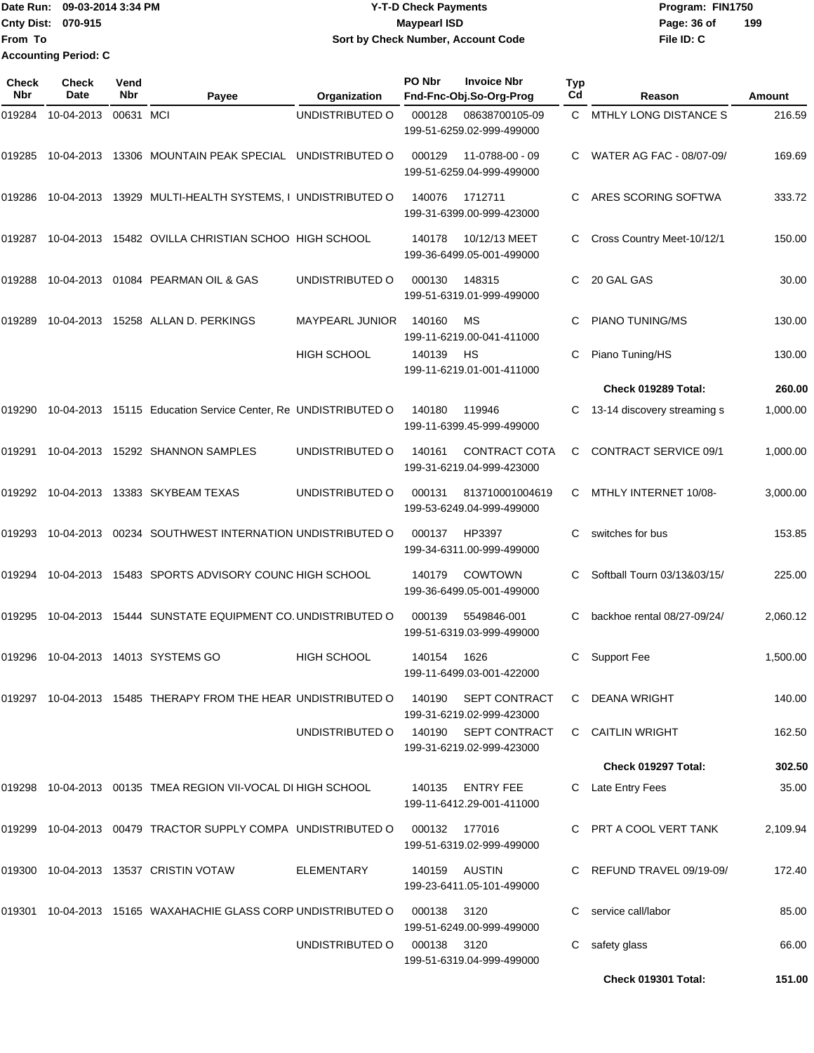Date Run: 09-03-2014 3:34 PM **Program:** FIN1750 **Cnty Dist:** 070-915 **Page: 36 of MaypearI ISD Page: 36 of File ID: C From To 09-03-2014 3:34 PM Y-T-D Check Payments 070-915 Maypearl ISD Sort by Check Number, Account Code 199 Accounting Period: C**

| Check<br><b>Nbr</b> | <b>Check</b><br>Date | Vend<br>Nbr | Payee                                                         | Organization       | PO Nbr        | <b>Invoice Nbr</b><br>Fnd-Fnc-Obj.So-Org-Prog     | <b>Typ</b><br>Cd | Reason                       | Amount   |
|---------------------|----------------------|-------------|---------------------------------------------------------------|--------------------|---------------|---------------------------------------------------|------------------|------------------------------|----------|
| 019284              | 10-04-2013           | 00631 MCI   |                                                               | UNDISTRIBUTED O    | 000128        | 08638700105-09<br>199-51-6259.02-999-499000       | C.               | MTHLY LONG DISTANCE S        | 216.59   |
| 019285              | 10-04-2013           |             | 13306 MOUNTAIN PEAK SPECIAL UNDISTRIBUTED O                   |                    | 000129        | 11-0788-00 - 09<br>199-51-6259.04-999-499000      |                  | WATER AG FAC - 08/07-09/     | 169.69   |
| 019286              |                      |             | 10-04-2013 13929 MULTI-HEALTH SYSTEMS, I UNDISTRIBUTED O      |                    | 140076        | 1712711<br>199-31-6399.00-999-423000              | C                | ARES SCORING SOFTWA          | 333.72   |
| 019287              |                      |             | 10-04-2013 15482 OVILLA CHRISTIAN SCHOO HIGH SCHOOL           |                    | 140178        | 10/12/13 MEET<br>199-36-6499.05-001-499000        | C                | Cross Country Meet-10/12/1   | 150.00   |
| 019288              |                      |             | 10-04-2013 01084 PEARMAN OIL & GAS                            | UNDISTRIBUTED O    | 000130        | 148315<br>199-51-6319.01-999-499000               | C.               | 20 GAL GAS                   | 30.00    |
| 019289              | 10-04-2013           |             | 15258 ALLAN D. PERKINGS                                       | MAYPEARL JUNIOR    | 140160        | МS<br>199-11-6219.00-041-411000                   | C                | <b>PIANO TUNING/MS</b>       | 130.00   |
|                     |                      |             |                                                               | <b>HIGH SCHOOL</b> | 140139        | HS<br>199-11-6219.01-001-411000                   | C.               | Piano Tuning/HS              | 130.00   |
|                     |                      |             |                                                               |                    |               |                                                   |                  | Check 019289 Total:          | 260.00   |
| 019290              |                      |             | 10-04-2013 15115 Education Service Center, Re UNDISTRIBUTED O |                    | 140180        | 119946<br>199-11-6399.45-999-499000               | C                | 13-14 discovery streaming s  | 1,000.00 |
| 019291              |                      |             | 10-04-2013 15292 SHANNON SAMPLES                              | UNDISTRIBUTED O    | 140161        | CONTRACT COTA<br>199-31-6219.04-999-423000        | C                | <b>CONTRACT SERVICE 09/1</b> | 1,000.00 |
| 019292              |                      |             | 10-04-2013 13383 SKYBEAM TEXAS                                | UNDISTRIBUTED O    | 000131        | 813710001004619<br>199-53-6249.04-999-499000      | С                | MTHLY INTERNET 10/08-        | 3,000.00 |
| 019293              | 10-04-2013           |             | 00234 SOUTHWEST INTERNATION UNDISTRIBUTED O                   |                    | 000137        | HP3397<br>199-34-6311.00-999-499000               | С                | switches for bus             | 153.85   |
| 019294              |                      |             | 10-04-2013 15483 SPORTS ADVISORY COUNC HIGH SCHOOL            |                    | 140179        | COWTOWN<br>199-36-6499.05-001-499000              | С                | Softball Tourn 03/13&03/15/  | 225.00   |
| 019295              | 10-04-2013           |             | 15444 SUNSTATE EQUIPMENT CO. UNDISTRIBUTED O                  |                    | 000139        | 5549846-001<br>199-51-6319.03-999-499000          | C                | backhoe rental 08/27-09/24/  | 2,060.12 |
| 019296              |                      |             | 10-04-2013  14013  SYSTEMS GO                                 | <b>HIGH SCHOOL</b> | 140154        | 1626<br>199-11-6499.03-001-422000                 | C                | <b>Support Fee</b>           | 1,500.00 |
|                     |                      |             | 019297 10-04-2013 15485 THERAPY FROM THE HEAR UNDISTRIBUTED O |                    | 140190        | <b>SEPT CONTRACT</b><br>199-31-6219.02-999-423000 | C                | DEANA WRIGHT                 | 140.00   |
|                     |                      |             |                                                               | UNDISTRIBUTED O    |               | 140190 SEPT CONTRACT<br>199-31-6219.02-999-423000 | C.               | <b>CAITLIN WRIGHT</b>        | 162.50   |
|                     |                      |             |                                                               |                    |               |                                                   |                  | Check 019297 Total:          | 302.50   |
| 019298              |                      |             | 10-04-2013  00135  TMEA REGION VII-VOCAL DI HIGH SCHOOL       |                    | 140135        | <b>ENTRY FEE</b><br>199-11-6412.29-001-411000     | C.               | Late Entry Fees              | 35.00    |
|                     |                      |             | 019299 10-04-2013 00479 TRACTOR SUPPLY COMPA UNDISTRIBUTED O  |                    | 000132 177016 | 199-51-6319.02-999-499000                         |                  | C PRT A COOL VERT TANK       | 2,109.94 |
| 019300              |                      |             | 10-04-2013  13537  CRISTIN VOTAW                              | ELEMENTARY         | 140159        | AUSTIN<br>199-23-6411.05-101-499000               |                  | REFUND TRAVEL 09/19-09/      | 172.40   |
|                     |                      |             | 019301 10-04-2013 15165 WAXAHACHIE GLASS CORP UNDISTRIBUTED O |                    | 000138        | 3120<br>199-51-6249.00-999-499000                 |                  | service call/labor           | 85.00    |
|                     |                      |             |                                                               | UNDISTRIBUTED O    | 000138        | 3120<br>199-51-6319.04-999-499000                 | C                | safety glass                 | 66.00    |
|                     |                      |             |                                                               |                    |               |                                                   |                  | Check 019301 Total:          | 151.00   |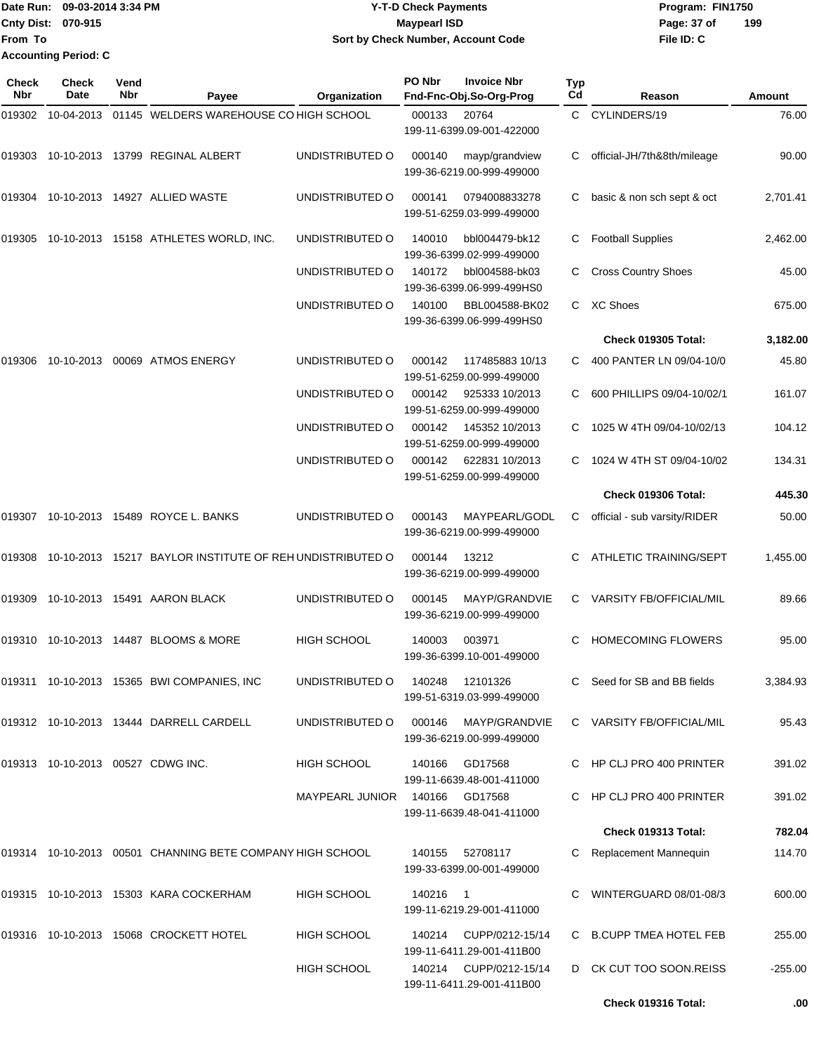|                           | Date Run: 09-03-2014 3:34 PM | <b>Y-T-D Check Payments</b>        | Program: FIN1750 |     |
|---------------------------|------------------------------|------------------------------------|------------------|-----|
| <b>Cnty Dist: 070-915</b> |                              | <b>Mavpearl ISD</b>                | Page: 37 of      | 199 |
| <b>From To</b>            |                              | Sort by Check Number, Account Code | File ID: C       |     |
|                           | <b>Accounting Period: C</b>  |                                    |                  |     |

| Check<br>Nbr | <b>Check</b><br><b>Date</b>       | Vend<br><b>Nbr</b> | Payee                                                     | Organization           | PO Nbr   | <b>Invoice Nbr</b><br>Fnd-Fnc-Obj.So-Org-Prog       | <b>Typ</b><br>Cd | Reason                         | <b>Amount</b> |
|--------------|-----------------------------------|--------------------|-----------------------------------------------------------|------------------------|----------|-----------------------------------------------------|------------------|--------------------------------|---------------|
| 019302       | 10-04-2013                        |                    | 01145 WELDERS WAREHOUSE CO HIGH SCHOOL                    |                        | 000133   | 20764<br>199-11-6399.09-001-422000                  | C.               | CYLINDERS/19                   | 76.00         |
| 019303       |                                   |                    | 10-10-2013  13799  REGINAL ALBERT                         | UNDISTRIBUTED O        | 000140   | mayp/grandview<br>199-36-6219.00-999-499000         | C.               | official-JH/7th&8th/mileage    | 90.00         |
| 019304       |                                   |                    | 10-10-2013  14927  ALLIED WASTE                           | UNDISTRIBUTED O        | 000141   | 0794008833278<br>199-51-6259.03-999-499000          | C.               | basic & non sch sept & oct     | 2,701.41      |
| 019305       |                                   |                    | 10-10-2013  15158  ATHLETES WORLD, INC.                   | UNDISTRIBUTED O        | 140010   | bbl004479-bk12<br>199-36-6399.02-999-499000         | C                | <b>Football Supplies</b>       | 2,462.00      |
|              |                                   |                    |                                                           | UNDISTRIBUTED O        | 140172   | bbl004588-bk03<br>199-36-6399.06-999-499HS0         | C                | <b>Cross Country Shoes</b>     | 45.00         |
|              |                                   |                    |                                                           | UNDISTRIBUTED O        | 140100   | BBL004588-BK02<br>199-36-6399.06-999-499HS0         | C                | <b>XC Shoes</b>                | 675.00        |
|              |                                   |                    |                                                           |                        |          |                                                     |                  | <b>Check 019305 Total:</b>     | 3,182.00      |
| 019306       |                                   |                    | 10-10-2013 00069 ATMOS ENERGY                             | UNDISTRIBUTED O        | 000142   | 117485883 10/13<br>199-51-6259.00-999-499000        | C.               | 400 PANTER LN 09/04-10/0       | 45.80         |
|              |                                   |                    |                                                           | UNDISTRIBUTED O        | 000142   | 925333 10/2013<br>199-51-6259.00-999-499000         | C                | 600 PHILLIPS 09/04-10/02/1     | 161.07        |
|              |                                   |                    |                                                           | UNDISTRIBUTED O        | 000142   | 145352 10/2013<br>199-51-6259.00-999-499000         | С                | 1025 W 4TH 09/04-10/02/13      | 104.12        |
|              |                                   |                    |                                                           | UNDISTRIBUTED O        | 000142   | 622831 10/2013<br>199-51-6259.00-999-499000         | C.               | 1024 W 4TH ST 09/04-10/02      | 134.31        |
|              |                                   |                    |                                                           |                        |          |                                                     |                  | <b>Check 019306 Total:</b>     | 445.30        |
| 019307       |                                   |                    | 10-10-2013 15489 ROYCE L. BANKS                           | UNDISTRIBUTED O        | 000143   | MAYPEARL/GODL<br>199-36-6219.00-999-499000          | C.               | official - sub varsity/RIDER   | 50.00         |
| 019308       |                                   |                    | 10-10-2013 15217 BAYLOR INSTITUTE OF REH UNDISTRIBUTED O  |                        | 000144   | 13212<br>199-36-6219.00-999-499000                  | C.               | <b>ATHLETIC TRAINING/SEPT</b>  | 1,455.00      |
| 019309       |                                   |                    | 10-10-2013  15491  AARON BLACK                            | UNDISTRIBUTED O        | 000145   | MAYP/GRANDVIE<br>199-36-6219.00-999-499000          | C.               | <b>VARSITY FB/OFFICIAL/MIL</b> | 89.66         |
|              |                                   |                    | 019310 10-10-2013 14487 BLOOMS & MORE                     | <b>HIGH SCHOOL</b>     | 140003   | 003971<br>199-36-6399.10-001-499000                 | С                | <b>HOMECOMING FLOWERS</b>      | 95.00         |
|              |                                   |                    | 019311 10-10-2013 15365 BWI COMPANIES, INC                | UNDISTRIBUTED O        | 140248   | 12101326<br>199-51-6319.03-999-499000               |                  | C Seed for SB and BB fields    | 3,384.93      |
|              |                                   |                    | 019312 10-10-2013 13444 DARRELL CARDELL                   | UNDISTRIBUTED O        | 000146   | MAYP/GRANDVIE<br>199-36-6219.00-999-499000          |                  | C VARSITY FB/OFFICIAL/MIL      | 95.43         |
|              | 019313 10-10-2013 00527 CDWG INC. |                    |                                                           | HIGH SCHOOL            | 140166   | GD17568<br>199-11-6639.48-001-411000                |                  | C HP CLJ PRO 400 PRINTER       | 391.02        |
|              |                                   |                    |                                                           | <b>MAYPEARL JUNIOR</b> |          | 140166 GD17568<br>199-11-6639.48-041-411000         |                  | C HP CLJ PRO 400 PRINTER       | 391.02        |
|              |                                   |                    |                                                           |                        |          |                                                     |                  | Check 019313 Total:            | 782.04        |
|              |                                   |                    | 019314 10-10-2013 00501 CHANNING BETE COMPANY HIGH SCHOOL |                        | 140155   | 52708117<br>199-33-6399.00-001-499000               |                  | C Replacement Mannequin        | 114.70        |
|              |                                   |                    | 019315 10-10-2013 15303 KARA COCKERHAM                    | HIGH SCHOOL            | 140216 1 | 199-11-6219.29-001-411000                           |                  | C WINTERGUARD 08/01-08/3       | 600.00        |
|              |                                   |                    | 019316 10-10-2013 15068 CROCKETT HOTEL                    | <b>HIGH SCHOOL</b>     | 140214   | CUPP/0212-15/14<br>199-11-6411.29-001-411B00        |                  | C B.CUPP TMEA HOTEL FEB        | 255.00        |
|              |                                   |                    |                                                           | <b>HIGH SCHOOL</b>     |          | 140214 CUPP/0212-15/14<br>199-11-6411.29-001-411B00 |                  | D CK CUT TOO SOON.REISS        | $-255.00$     |
|              |                                   |                    |                                                           |                        |          |                                                     |                  | Check 019316 Total:            | .00           |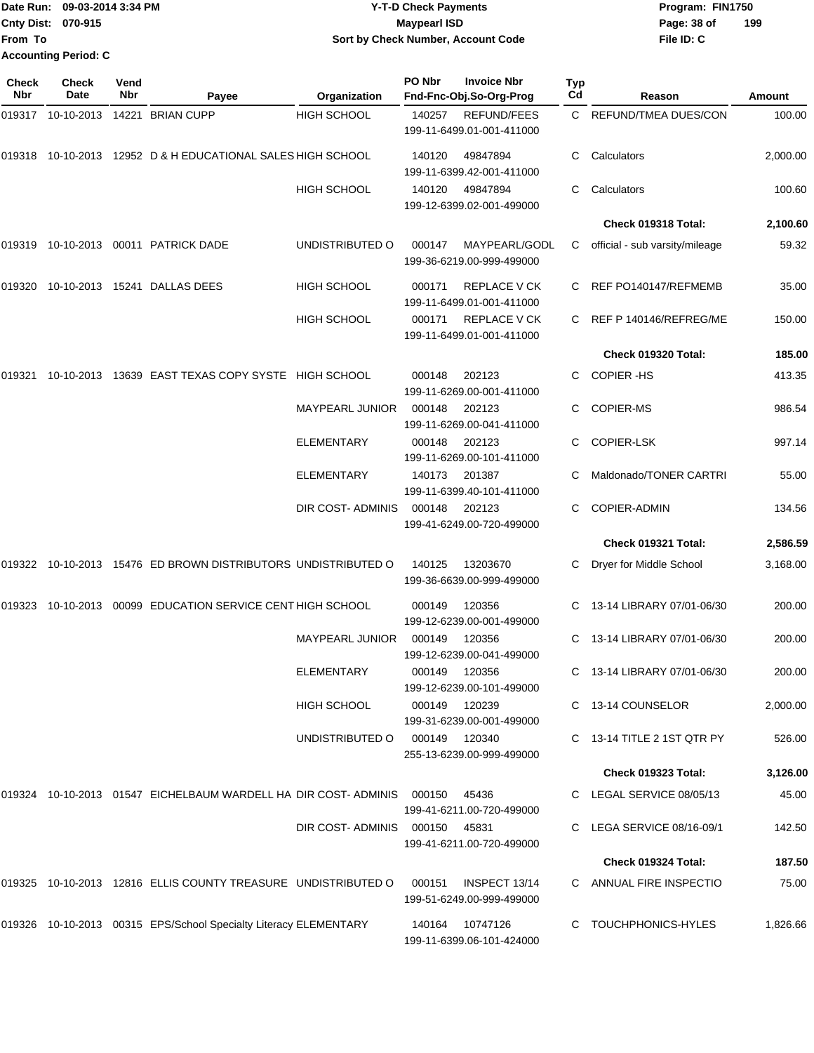|                           | Date Run: 09-03-2014 3:34 PM | <b>Y-T-D Check Payments</b>               | Program: FIN1750 |     |
|---------------------------|------------------------------|-------------------------------------------|------------------|-----|
| <b>Cnty Dist: 070-915</b> |                              | Maypearl ISD                              | Page: 38 of      | 199 |
| <b>From To</b>            |                              | <b>Sort by Check Number, Account Code</b> | File ID: C       |     |
|                           | <b>Accounting Period: C</b>  |                                           |                  |     |

| Check<br>Nbr | <b>Check</b><br>Date | Vend<br>Nbr | Payee                                                                 | <b>Organization</b>           | PO Nbr        | <b>Invoice Nbr</b><br>Fnd-Fnc-Obj.So-Org-Prog    | <b>Typ</b><br>Cd | Reason                         | Amount   |
|--------------|----------------------|-------------|-----------------------------------------------------------------------|-------------------------------|---------------|--------------------------------------------------|------------------|--------------------------------|----------|
|              |                      |             | 019317 10-10-2013 14221 BRIAN CUPP                                    | <b>HIGH SCHOOL</b>            | 140257        | <b>REFUND/FEES</b><br>199-11-6499.01-001-411000  |                  | C REFUND/TMEA DUES/CON         | 100.00   |
|              |                      |             | 019318 10-10-2013 12952 D & H EDUCATIONAL SALES HIGH SCHOOL           |                               | 140120        | 49847894<br>199-11-6399.42-001-411000            | C                | Calculators                    | 2,000.00 |
|              |                      |             |                                                                       | <b>HIGH SCHOOL</b>            | 140120        | 49847894<br>199-12-6399.02-001-499000            | C                | Calculators                    | 100.60   |
|              |                      |             |                                                                       |                               |               |                                                  |                  | Check 019318 Total:            | 2,100.60 |
|              |                      |             | 019319 10-10-2013 00011 PATRICK DADE                                  | UNDISTRIBUTED O               | 000147        | MAYPEARL/GODL<br>199-36-6219.00-999-499000       | C.               | official - sub varsity/mileage | 59.32    |
| 019320       |                      |             | 10-10-2013 15241 DALLAS DEES                                          | <b>HIGH SCHOOL</b>            | 000171        | <b>REPLACE V CK</b><br>199-11-6499.01-001-411000 |                  | C REF PO140147/REFMEMB         | 35.00    |
|              |                      |             |                                                                       | <b>HIGH SCHOOL</b>            | 000171        | <b>REPLACE V CK</b><br>199-11-6499.01-001-411000 |                  | C REF P 140146/REFREG/ME       | 150.00   |
|              |                      |             |                                                                       |                               |               |                                                  |                  | Check 019320 Total:            | 185.00   |
| 019321       |                      |             | 10-10-2013 13639 EAST TEXAS COPY SYSTE HIGH SCHOOL                    |                               | 000148        | 202123<br>199-11-6269.00-001-411000              | C.               | <b>COPIER-HS</b>               | 413.35   |
|              |                      |             |                                                                       | <b>MAYPEARL JUNIOR</b>        | 000148        | 202123<br>199-11-6269.00-041-411000              | C.               | <b>COPIER-MS</b>               | 986.54   |
|              |                      |             |                                                                       | <b>ELEMENTARY</b>             | 000148        | 202123<br>199-11-6269.00-101-411000              |                  | <b>COPIER-LSK</b>              | 997.14   |
|              |                      |             |                                                                       | <b>ELEMENTARY</b>             | 140173        | 201387<br>199-11-6399.40-101-411000              |                  | Maldonado/TONER CARTRI         | 55.00    |
|              |                      |             |                                                                       | DIR COST-ADMINIS              | 000148        | 202123<br>199-41-6249.00-720-499000              | C.               | <b>COPIER-ADMIN</b>            | 134.56   |
|              |                      |             |                                                                       |                               |               |                                                  |                  | Check 019321 Total:            | 2,586.59 |
|              |                      |             | 019322 10-10-2013 15476 ED BROWN DISTRIBUTORS UNDISTRIBUTED O         |                               | 140125        | 13203670<br>199-36-6639.00-999-499000            | C                | Dryer for Middle School        | 3,168.00 |
| 019323       |                      |             | 10-10-2013 00099 EDUCATION SERVICE CENT HIGH SCHOOL                   |                               | 000149        | 120356<br>199-12-6239.00-001-499000              |                  | C 13-14 LIBRARY 07/01-06/30    | 200.00   |
|              |                      |             |                                                                       | <b>MAYPEARL JUNIOR</b>        | 000149        | 120356<br>199-12-6239.00-041-499000              |                  | 13-14 LIBRARY 07/01-06/30      | 200.00   |
|              |                      |             |                                                                       | <b>ELEMENTARY</b>             | 000149 120356 | 199-12-6239.00-101-499000                        |                  | C 13-14 LIBRARY 07/01-06/30    | 200.00   |
|              |                      |             |                                                                       | <b>HIGH SCHOOL</b>            | 000149 120239 | 199-31-6239.00-001-499000                        |                  | C 13-14 COUNSELOR              | 2,000.00 |
|              |                      |             |                                                                       | UNDISTRIBUTED O               | 000149 120340 | 255-13-6239.00-999-499000                        |                  | C 13-14 TITLE 2 1ST QTR PY     | 526.00   |
|              |                      |             |                                                                       |                               |               |                                                  |                  | Check 019323 Total:            | 3,126.00 |
|              |                      |             | 019324 10-10-2013 01547 EICHELBAUM WARDELL HA DIR COST-ADMINIS 000150 |                               |               | 45436<br>199-41-6211.00-720-499000               |                  | C LEGAL SERVICE 08/05/13       | 45.00    |
|              |                      |             |                                                                       | DIR COST-ADMINIS 000150 45831 |               | 199-41-6211.00-720-499000                        |                  | C LEGA SERVICE 08/16-09/1      | 142.50   |
|              |                      |             |                                                                       |                               |               |                                                  |                  | Check 019324 Total:            | 187.50   |
|              |                      |             | 019325  10-10-2013  12816  ELLIS COUNTY TREASURE  UNDISTRIBUTED O     |                               | 000151        | INSPECT 13/14<br>199-51-6249.00-999-499000       |                  | C ANNUAL FIRE INSPECTIO        | 75.00    |
|              |                      |             | 019326 10-10-2013 00315 EPS/School Specialty Literacy ELEMENTARY      |                               |               | 140164 10747126<br>199-11-6399.06-101-424000     |                  | C TOUCHPHONICS-HYLES           | 1,826.66 |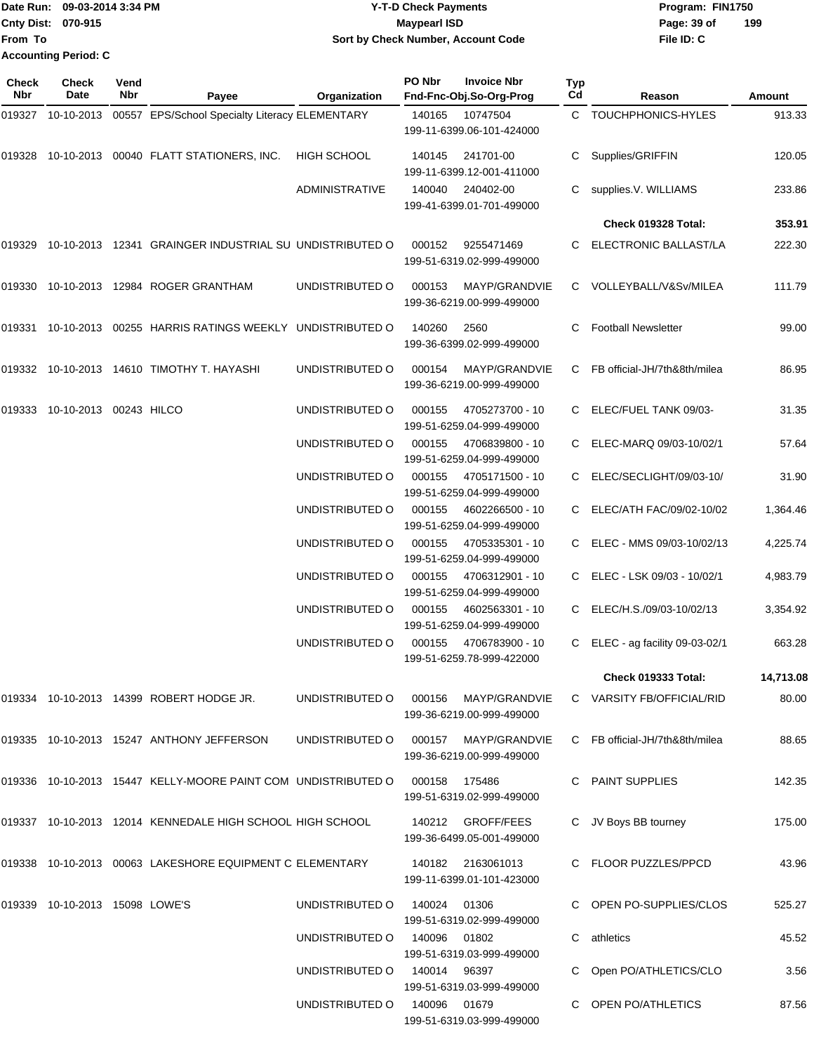|                             | Date Run: 09-03-2014 3:34 PM | <b>Y-T-D Check Payments</b>        | Program: FIN1750 |     |
|-----------------------------|------------------------------|------------------------------------|------------------|-----|
| <b>Cnty Dist: 070-915</b>   |                              | <b>Maypearl ISD</b>                | Page: 39 of      | 199 |
| From To                     |                              | Sort by Check Number, Account Code | File ID: C       |     |
| <b>Accounting Period: C</b> |                              |                                    |                  |     |

| <b>Check</b><br>Nbr | <b>Check</b><br>Date           | Vend<br>Nbr | Payee                                                         | Organization                 | PO Nbr       | <b>Invoice Nbr</b><br>Fnd-Fnc-Obj.So-Org-Prog     | Typ<br>Cd | Reason                         | Amount    |
|---------------------|--------------------------------|-------------|---------------------------------------------------------------|------------------------------|--------------|---------------------------------------------------|-----------|--------------------------------|-----------|
| 019327              |                                |             | 10-10-2013 00557 EPS/School Specialty Literacy ELEMENTARY     |                              | 140165       | 10747504<br>199-11-6399.06-101-424000             |           | C TOUCHPHONICS-HYLES           | 913.33    |
|                     |                                |             | 019328 10-10-2013 00040 FLATT STATIONERS, INC.                | <b>HIGH SCHOOL</b>           | 140145       | 241701-00<br>199-11-6399.12-001-411000            | C         | Supplies/GRIFFIN               | 120.05    |
|                     |                                |             |                                                               | <b>ADMINISTRATIVE</b>        | 140040       | 240402-00<br>199-41-6399.01-701-499000            | C         | supplies.V. WILLIAMS           | 233.86    |
|                     |                                |             |                                                               |                              |              |                                                   |           | Check 019328 Total:            | 353.91    |
| 019329              |                                |             | 10-10-2013 12341 GRAINGER INDUSTRIAL SU UNDISTRIBUTED O       |                              | 000152       | 9255471469<br>199-51-6319.02-999-499000           | C.        | ELECTRONIC BALLAST/LA          | 222.30    |
| 019330              |                                |             | 10-10-2013 12984 ROGER GRANTHAM                               | UNDISTRIBUTED O              | 000153       | MAYP/GRANDVIE<br>199-36-6219.00-999-499000        |           | C VOLLEYBALL/V&Sv/MILEA        | 111.79    |
| 019331              |                                |             | 10-10-2013 00255 HARRIS RATINGS WEEKLY UNDISTRIBUTED O        |                              | 140260       | 2560<br>199-36-6399.02-999-499000                 | C         | <b>Football Newsletter</b>     | 99.00     |
| 019332              |                                |             | 10-10-2013  14610  TIMOTHY T. HAYASHI                         | UNDISTRIBUTED O              | 000154       | MAYP/GRANDVIE<br>199-36-6219.00-999-499000        | C         | FB official-JH/7th&8th/milea   | 86.95     |
|                     | 019333 10-10-2013 00243 HILCO  |             |                                                               | UNDISTRIBUTED O              | 000155       | 4705273700 - 10<br>199-51-6259.04-999-499000      |           | ELEC/FUEL TANK 09/03-          | 31.35     |
|                     |                                |             |                                                               | UNDISTRIBUTED O              | 000155       | 4706839800 - 10<br>199-51-6259.04-999-499000      | C         | ELEC-MARQ 09/03-10/02/1        | 57.64     |
|                     |                                |             |                                                               | UNDISTRIBUTED O              | 000155       | 4705171500 - 10<br>199-51-6259.04-999-499000      |           | ELEC/SECLIGHT/09/03-10/        | 31.90     |
|                     |                                |             |                                                               | UNDISTRIBUTED O              | 000155       | 4602266500 - 10<br>199-51-6259.04-999-499000      |           | ELEC/ATH FAC/09/02-10/02       | 1,364.46  |
|                     |                                |             |                                                               | UNDISTRIBUTED O              | 000155       | 4705335301 - 10<br>199-51-6259.04-999-499000      | C.        | ELEC - MMS 09/03-10/02/13      | 4,225.74  |
|                     |                                |             |                                                               | UNDISTRIBUTED O              | 000155       | 4706312901 - 10<br>199-51-6259.04-999-499000      | C         | ELEC - LSK 09/03 - 10/02/1     | 4,983.79  |
|                     |                                |             |                                                               | UNDISTRIBUTED O              | 000155       | 4602563301 - 10<br>199-51-6259.04-999-499000      |           | ELEC/H.S./09/03-10/02/13       | 3,354.92  |
|                     |                                |             |                                                               | UNDISTRIBUTED O              | 000155       | 4706783900 - 10<br>199-51-6259.78-999-422000      | C         | ELEC - ag facility 09-03-02/1  | 663.28    |
|                     |                                |             |                                                               |                              |              |                                                   |           | Check 019333 Total:            | 14,713.08 |
|                     |                                |             | 019334 10-10-2013 14399 ROBERT HODGE JR.                      | UNDISTRIBUTED O              |              | 000156 MAYP/GRANDVIE<br>199-36-6219.00-999-499000 |           | C VARSITY FB/OFFICIAL/RID      | 80.00     |
|                     |                                |             | 019335 10-10-2013 15247 ANTHONY JEFFERSON                     | UNDISTRIBUTED O              |              | 000157 MAYP/GRANDVIE<br>199-36-6219.00-999-499000 |           | C FB official-JH/7th&8th/milea | 88.65     |
|                     |                                |             | 019336 10-10-2013 15447 KELLY-MOORE PAINT COM UNDISTRIBUTED O |                              | 000158       | 175486<br>199-51-6319.02-999-499000               |           | C PAINT SUPPLIES               | 142.35    |
|                     |                                |             | 019337 10-10-2013 12014 KENNEDALE HIGH SCHOOL HIGH SCHOOL     |                              |              | 140212 GROFF/FEES<br>199-36-6499.05-001-499000    |           | C JV Boys BB tourney           | 175.00    |
|                     |                                |             | 019338 10-10-2013 00063 LAKESHORE EQUIPMENT C ELEMENTARY      |                              |              | 140182 2163061013<br>199-11-6399.01-101-423000    |           | C FLOOR PUZZLES/PPCD           | 43.96     |
|                     | 019339 10-10-2013 15098 LOWE'S |             |                                                               | UNDISTRIBUTED O              | 140024       | 01306<br>199-51-6319.02-999-499000                |           | C OPEN PO-SUPPLIES/CLOS        | 525.27    |
|                     |                                |             |                                                               | UNDISTRIBUTED O 140096 01802 |              | 199-51-6319.03-999-499000                         | C         | athletics                      | 45.52     |
|                     |                                |             |                                                               | UNDISTRIBUTED O              | 140014 96397 | 199-51-6319.03-999-499000                         |           | Open PO/ATHLETICS/CLO          | 3.56      |
|                     |                                |             |                                                               | UNDISTRIBUTED O              | 140096 01679 | 199-51-6319.03-999-499000                         |           | <b>OPEN PO/ATHLETICS</b>       | 87.56     |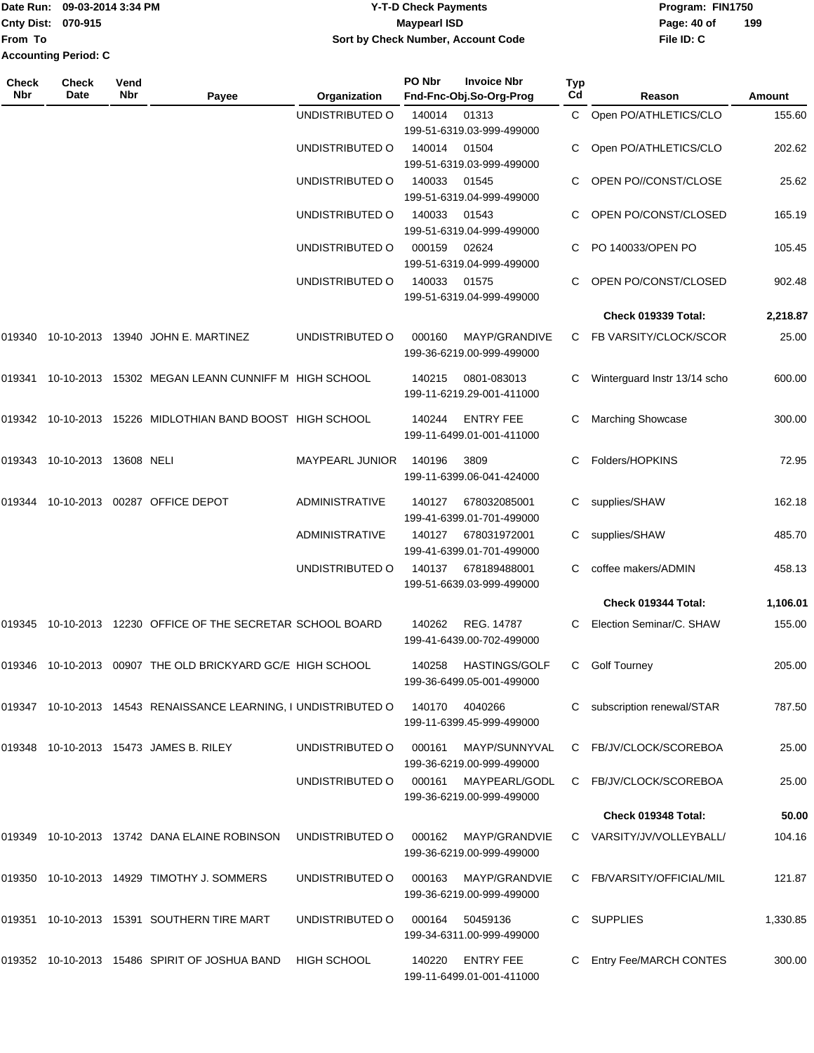## Date Run: 09-03-2014 3:34 PM **Program:** FIN1750 **Cnty Dist:** 070-915 **Page:** 40 of **Y-T-D Check Payments 070-915 Maypearl ISD Sort by Check Number, Account Code**

| Check<br>Nbr | Check<br>Date                | Vend<br>Nbr | Payee                                                           | Organization           | PO Nbr | <b>Invoice Nbr</b><br>Fnd-Fnc-Obj.So-Org-Prog     | Typ<br>Cd | Reason                       | Amount   |
|--------------|------------------------------|-------------|-----------------------------------------------------------------|------------------------|--------|---------------------------------------------------|-----------|------------------------------|----------|
|              |                              |             |                                                                 | UNDISTRIBUTED O        | 140014 | 01313<br>199-51-6319.03-999-499000                | C.        | Open PO/ATHLETICS/CLO        | 155.60   |
|              |                              |             |                                                                 | UNDISTRIBUTED O        | 140014 | 01504<br>199-51-6319.03-999-499000                |           | Open PO/ATHLETICS/CLO        | 202.62   |
|              |                              |             |                                                                 | UNDISTRIBUTED O        | 140033 | 01545<br>199-51-6319.04-999-499000                |           | OPEN PO//CONST/CLOSE         | 25.62    |
|              |                              |             |                                                                 | UNDISTRIBUTED O        | 140033 | 01543<br>199-51-6319.04-999-499000                |           | OPEN PO/CONST/CLOSED         | 165.19   |
|              |                              |             |                                                                 | UNDISTRIBUTED O        | 000159 | 02624<br>199-51-6319.04-999-499000                |           | PO 140033/OPEN PO            | 105.45   |
|              |                              |             |                                                                 | UNDISTRIBUTED O        | 140033 | 01575<br>199-51-6319.04-999-499000                |           | OPEN PO/CONST/CLOSED         | 902.48   |
|              |                              |             |                                                                 |                        |        |                                                   |           | Check 019339 Total:          | 2,218.87 |
|              |                              |             | 019340 10-10-2013 13940 JOHN E. MARTINEZ                        | UNDISTRIBUTED O        | 000160 | MAYP/GRANDIVE<br>199-36-6219.00-999-499000        |           | C FB VARSITY/CLOCK/SCOR      | 25.00    |
| 019341       |                              |             | 10-10-2013 15302 MEGAN LEANN CUNNIFF M HIGH SCHOOL              |                        | 140215 | 0801-083013<br>199-11-6219.29-001-411000          |           | Winterguard Instr 13/14 scho | 600.00   |
|              |                              |             | 019342 10-10-2013 15226 MIDLOTHIAN BAND BOOST HIGH SCHOOL       |                        | 140244 | <b>ENTRY FEE</b><br>199-11-6499.01-001-411000     |           | <b>Marching Showcase</b>     | 300.00   |
|              | 019343 10-10-2013 13608 NELI |             |                                                                 | <b>MAYPEARL JUNIOR</b> | 140196 | 3809<br>199-11-6399.06-041-424000                 |           | Folders/HOPKINS              | 72.95    |
| 019344       |                              |             | 10-10-2013 00287 OFFICE DEPOT                                   | <b>ADMINISTRATIVE</b>  | 140127 | 678032085001<br>199-41-6399.01-701-499000         | C         | supplies/SHAW                | 162.18   |
|              |                              |             |                                                                 | <b>ADMINISTRATIVE</b>  | 140127 | 678031972001<br>199-41-6399.01-701-499000         | C.        | supplies/SHAW                | 485.70   |
|              |                              |             |                                                                 | UNDISTRIBUTED O        | 140137 | 678189488001<br>199-51-6639.03-999-499000         |           | coffee makers/ADMIN          | 458.13   |
|              |                              |             |                                                                 |                        |        |                                                   |           | Check 019344 Total:          | 1,106.01 |
|              |                              |             | 019345 10-10-2013 12230 OFFICE OF THE SECRETAR SCHOOL BOARD     |                        | 140262 | REG. 14787<br>199-41-6439.00-702-499000           | C         | Election Seminar/C. SHAW     | 155.00   |
|              |                              |             | 019346 10-10-2013 00907 THE OLD BRICKYARD GC/E HIGH SCHOOL      |                        |        | 140258 HASTINGS/GOLF<br>199-36-6499.05-001-499000 |           | C Golf Tourney               | 205.00   |
|              |                              |             | 019347 10-10-2013 14543 RENAISSANCE LEARNING, I UNDISTRIBUTED O |                        |        | 140170 4040266<br>199-11-6399.45-999-499000       | C         | subscription renewal/STAR    | 787.50   |
|              |                              |             | 019348 10-10-2013 15473 JAMES B. RILEY                          | UNDISTRIBUTED O        | 000161 | MAYP/SUNNYVAL<br>199-36-6219.00-999-499000        |           | C FB/JV/CLOCK/SCOREBOA       | 25.00    |
|              |                              |             |                                                                 | UNDISTRIBUTED O        | 000161 | MAYPEARL/GODL<br>199-36-6219.00-999-499000        |           | C FB/JV/CLOCK/SCOREBOA       | 25.00    |
|              |                              |             |                                                                 |                        |        |                                                   |           | <b>Check 019348 Total:</b>   | 50.00    |
|              |                              |             | 019349 10-10-2013 13742 DANA ELAINE ROBINSON                    | UNDISTRIBUTED O        | 000162 | MAYP/GRANDVIE<br>199-36-6219.00-999-499000        |           | C VARSITY/JV/VOLLEYBALL/     | 104.16   |
|              |                              |             | 019350 10-10-2013 14929 TIMOTHY J. SOMMERS                      | UNDISTRIBUTED O        | 000163 | MAYP/GRANDVIE<br>199-36-6219.00-999-499000        |           | C FB/VARSITY/OFFICIAL/MIL    | 121.87   |
|              |                              |             | 019351 10-10-2013 15391 SOUTHERN TIRE MART                      | UNDISTRIBUTED O        | 000164 | 50459136<br>199-34-6311.00-999-499000             | C         | <b>SUPPLIES</b>              | 1,330.85 |
|              |                              |             | 019352 10-10-2013 15486 SPIRIT OF JOSHUA BAND                   | HIGH SCHOOL            | 140220 | <b>ENTRY FEE</b><br>199-11-6499.01-001-411000     |           | Entry Fee/MARCH CONTES       | 300.00   |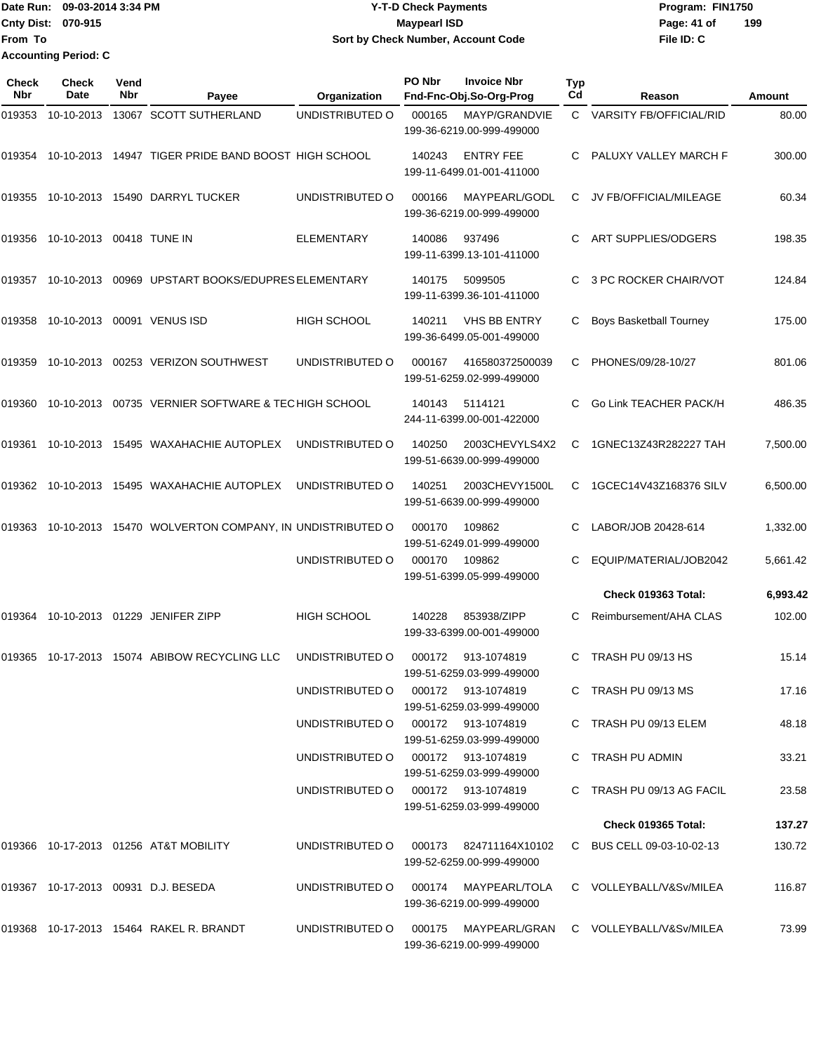Date Run: 09-03-2014 3:34 PM **Program:** FIN1750 **Cnty Dist:** 070-915 **Page: 41 of** Maypearl ISD Maypearl ISD **From To Y-T-D Check Payments 070-915 Maypearl ISD Sort by Check Number, Account Code Accounting Period: C**

| <b>Check</b><br>Nbr | <b>Check</b><br>Date | Vend<br>Nbr | Payee                                                         | Organization       | PO Nbr | <b>Invoice Nbr</b><br>Fnd-Fnc-Obj.So-Org-Prog    | Typ<br>Cd | Reason                     | Amount   |
|---------------------|----------------------|-------------|---------------------------------------------------------------|--------------------|--------|--------------------------------------------------|-----------|----------------------------|----------|
| 019353              | 10-10-2013           |             | 13067 SCOTT SUTHERLAND                                        | UNDISTRIBUTED O    | 000165 | MAYP/GRANDVIE<br>199-36-6219.00-999-499000       |           | C VARSITY FB/OFFICIAL/RID  | 80.00    |
| 019354              | 10-10-2013           |             | 14947 TIGER PRIDE BAND BOOST HIGH SCHOOL                      |                    | 140243 | <b>ENTRY FEE</b><br>199-11-6499.01-001-411000    | C.        | PALUXY VALLEY MARCH F      | 300.00   |
|                     |                      |             | 019355 10-10-2013 15490 DARRYL TUCKER                         | UNDISTRIBUTED O    | 000166 | MAYPEARL/GODL<br>199-36-6219.00-999-499000       | C.        | JV FB/OFFICIAL/MILEAGE     | 60.34    |
|                     | 019356 10-10-2013    |             | 00418 TUNE IN                                                 | <b>ELEMENTARY</b>  | 140086 | 937496<br>199-11-6399.13-101-411000              |           | ART SUPPLIES/ODGERS        | 198.35   |
| 019357              | 10-10-2013           |             | 00969 UPSTART BOOKS/EDUPRES ELEMENTARY                        |                    | 140175 | 5099505<br>199-11-6399.36-101-411000             |           | 3 PC ROCKER CHAIR/VOT      | 124.84   |
| 019358              | 10-10-2013           |             | 00091 VENUS ISD                                               | <b>HIGH SCHOOL</b> | 140211 | <b>VHS BB ENTRY</b><br>199-36-6499.05-001-499000 |           | Boys Basketball Tourney    | 175.00   |
| 019359              | 10-10-2013           |             | 00253 VERIZON SOUTHWEST                                       | UNDISTRIBUTED O    | 000167 | 416580372500039<br>199-51-6259.02-999-499000     | C         | PHONES/09/28-10/27         | 801.06   |
| 019360              | 10-10-2013           |             | 00735 VERNIER SOFTWARE & TECHIGH SCHOOL                       |                    | 140143 | 5114121<br>244-11-6399.00-001-422000             |           | Go Link TEACHER PACK/H     | 486.35   |
| 019361              | 10-10-2013           |             | 15495 WAXAHACHIE AUTOPLEX                                     | UNDISTRIBUTED O    | 140250 | 2003CHEVYLS4X2<br>199-51-6639.00-999-499000      | С         | 1GNEC13Z43R282227 TAH      | 7,500.00 |
| 019362              | 10-10-2013           |             | 15495 WAXAHACHIE AUTOPLEX                                     | UNDISTRIBUTED O    | 140251 | 2003CHEVY1500L<br>199-51-6639.00-999-499000      | C.        | 1GCEC14V43Z168376 SILV     | 6,500.00 |
|                     |                      |             | 019363 10-10-2013 15470 WOLVERTON COMPANY, IN UNDISTRIBUTED O |                    | 000170 | 109862<br>199-51-6249.01-999-499000              |           | LABOR/JOB 20428-614        | 1,332.00 |
|                     |                      |             |                                                               | UNDISTRIBUTED O    | 000170 | 109862<br>199-51-6399.05-999-499000              | C         | EQUIP/MATERIAL/JOB2042     | 5,661.42 |
|                     |                      |             |                                                               |                    |        |                                                  |           | Check 019363 Total:        | 6,993.42 |
| 019364              | 10-10-2013           |             | 01229 JENIFER ZIPP                                            | <b>HIGH SCHOOL</b> | 140228 | 853938/ZIPP<br>199-33-6399.00-001-499000         | С         | Reimbursement/AHA CLAS     | 102.00   |
|                     |                      |             | 019365    10-17-2013    15074    ABIBOW RECYCLING LLC         | UNDISTRIBUTED O    | 000172 | 913-1074819<br>199-51-6259.03-999-499000         | C         | TRASH PU 09/13 HS          | 15.14    |
|                     |                      |             |                                                               | UNDISTRIBUTED O    |        | 000172 913-1074819<br>199-51-6259.03-999-499000  |           | C TRASH PU 09/13 MS        | 17.16    |
|                     |                      |             |                                                               | UNDISTRIBUTED O    |        | 000172 913-1074819<br>199-51-6259.03-999-499000  |           | C TRASH PU 09/13 ELEM      | 48.18    |
|                     |                      |             |                                                               | UNDISTRIBUTED O    |        | 000172 913-1074819<br>199-51-6259.03-999-499000  |           | C TRASH PU ADMIN           | 33.21    |
|                     |                      |             |                                                               | UNDISTRIBUTED O    |        | 000172 913-1074819<br>199-51-6259.03-999-499000  |           | C TRASH PU 09/13 AG FACIL  | 23.58    |
|                     |                      |             |                                                               |                    |        |                                                  |           | <b>Check 019365 Total:</b> | 137.27   |
|                     |                      |             | 019366 10-17-2013 01256 AT&T MOBILITY                         | UNDISTRIBUTED O    | 000173 | 824711164X10102<br>199-52-6259.00-999-499000     |           | C BUS CELL 09-03-10-02-13  | 130.72   |
|                     |                      |             | 019367 10-17-2013 00931 D.J. BESEDA                           | UNDISTRIBUTED O    | 000174 | MAYPEARL/TOLA<br>199-36-6219.00-999-499000       |           | C VOLLEYBALL/V&Sv/MILEA    | 116.87   |
|                     |                      |             | 019368 10-17-2013 15464 RAKEL R. BRANDT                       | UNDISTRIBUTED O    | 000175 | MAYPEARL/GRAN<br>199-36-6219.00-999-499000       |           | C VOLLEYBALL/V&Sv/MILEA    | 73.99    |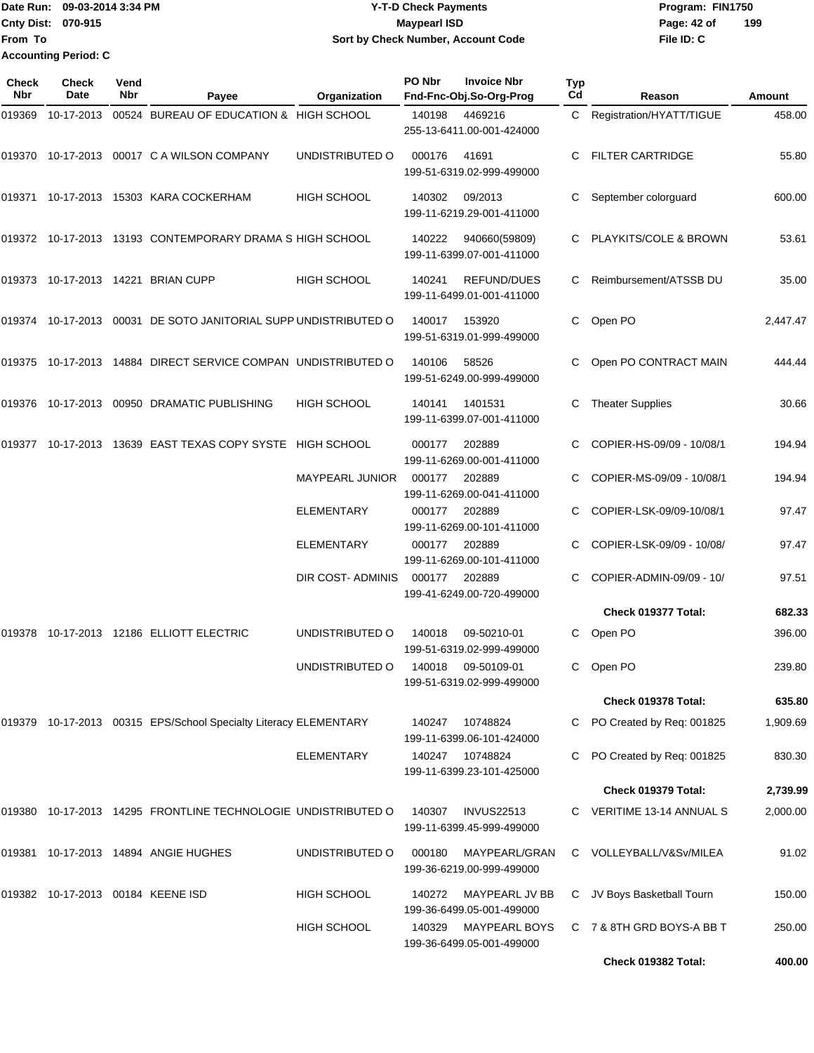Date Run: 09-03-2014 3:34 PM **Program:** FIN1750 **Cnty Dist:** 070-915 **Page: 42 of MaypearI ISD Page: 42 of From To Y-T-D Check Payments 070-915 Maypearl ISD Sort by Check Number, Account Code Accounting Period: C**

| Check<br><b>Nbr</b> | Check<br>Date                     | Vend<br><b>Nbr</b> | Payee                                                            | Organization           | PO Nbr | <b>Invoice Nbr</b><br>Fnd-Fnc-Obj.So-Org-Prog     | <b>Typ</b><br>Cd | Reason                    | Amount   |
|---------------------|-----------------------------------|--------------------|------------------------------------------------------------------|------------------------|--------|---------------------------------------------------|------------------|---------------------------|----------|
| 019369              | 10-17-2013                        |                    | 00524 BUREAU OF EDUCATION & HIGH SCHOOL                          |                        | 140198 | 4469216<br>255-13-6411.00-001-424000              | C.               | Registration/HYATT/TIGUE  | 458.00   |
|                     |                                   |                    | 019370    10-17-2013    00017    C    A    WILSON COMPANY        | UNDISTRIBUTED O        | 000176 | 41691<br>199-51-6319.02-999-499000                | C                | <b>FILTER CARTRIDGE</b>   | 55.80    |
|                     |                                   |                    |                                                                  | <b>HIGH SCHOOL</b>     | 140302 | 09/2013<br>199-11-6219.29-001-411000              |                  | September colorguard      | 600.00   |
|                     |                                   |                    | 019372 10-17-2013 13193 CONTEMPORARY DRAMA S HIGH SCHOOL         |                        | 140222 | 940660(59809)<br>199-11-6399.07-001-411000        |                  | PLAYKITS/COLE & BROWN     | 53.61    |
|                     |                                   |                    | 019373 10-17-2013 14221 BRIAN CUPP                               | <b>HIGH SCHOOL</b>     | 140241 | REFUND/DUES<br>199-11-6499.01-001-411000          | C.               | Reimbursement/ATSSB DU    | 35.00    |
|                     |                                   |                    | 019374 10-17-2013 00031 DE SOTO JANITORIAL SUPP UNDISTRIBUTED O  |                        | 140017 | 153920<br>199-51-6319.01-999-499000               | C                | Open PO                   | 2,447.47 |
| 019375              |                                   |                    | 10-17-2013  14884  DIRECT SERVICE COMPAN  UNDISTRIBUTED O        |                        | 140106 | 58526<br>199-51-6249.00-999-499000                |                  | Open PO CONTRACT MAIN     | 444.44   |
| 019376              |                                   |                    | 10-17-2013 00950 DRAMATIC PUBLISHING                             | <b>HIGH SCHOOL</b>     | 140141 | 1401531<br>199-11-6399.07-001-411000              | С                | <b>Theater Supplies</b>   | 30.66    |
| 019377              |                                   |                    | 10-17-2013 13639 EAST TEXAS COPY SYSTE HIGH SCHOOL               |                        | 000177 | 202889<br>199-11-6269.00-001-411000               |                  | COPIER-HS-09/09 - 10/08/1 | 194.94   |
|                     |                                   |                    |                                                                  | <b>MAYPEARL JUNIOR</b> | 000177 | 202889<br>199-11-6269.00-041-411000               |                  | COPIER-MS-09/09 - 10/08/1 | 194.94   |
|                     |                                   |                    |                                                                  | <b>ELEMENTARY</b>      | 000177 | 202889<br>199-11-6269.00-101-411000               |                  | COPIER-LSK-09/09-10/08/1  | 97.47    |
|                     |                                   |                    |                                                                  | ELEMENTARY             | 000177 | 202889<br>199-11-6269.00-101-411000               |                  | COPIER-LSK-09/09 - 10/08/ | 97.47    |
|                     |                                   |                    |                                                                  | DIR COST- ADMINIS      | 000177 | 202889<br>199-41-6249.00-720-499000               |                  | COPIER-ADMIN-09/09 - 10/  | 97.51    |
|                     |                                   |                    |                                                                  |                        |        |                                                   |                  | Check 019377 Total:       | 682.33   |
| 019378              |                                   |                    | 10-17-2013  12186  ELLIOTT ELECTRIC                              | UNDISTRIBUTED O        | 140018 | 09-50210-01<br>199-51-6319.02-999-499000          |                  | C Open PO                 | 396.00   |
|                     |                                   |                    |                                                                  | UNDISTRIBUTED O        |        | 140018 09-50109-01<br>199-51-6319.02-999-499000   |                  | C Open PO                 | 239.80   |
|                     |                                   |                    |                                                                  |                        |        |                                                   |                  | Check 019378 Total:       | 635.80   |
|                     |                                   |                    | 019379 10-17-2013 00315 EPS/School Specialty Literacy ELEMENTARY |                        | 140247 | 10748824<br>199-11-6399.06-101-424000             | C                | PO Created by Req: 001825 | 1,909.69 |
|                     |                                   |                    |                                                                  | <b>ELEMENTARY</b>      |        | 140247 10748824<br>199-11-6399.23-101-425000      |                  | PO Created by Req: 001825 | 830.30   |
|                     |                                   |                    |                                                                  |                        |        |                                                   |                  | Check 019379 Total:       | 2,739.99 |
|                     |                                   |                    | 019380 10-17-2013 14295 FRONTLINE TECHNOLOGIE UNDISTRIBUTED O    |                        | 140307 | <b>INVUS22513</b><br>199-11-6399.45-999-499000    |                  | C VERITIME 13-14 ANNUAL S | 2,000.00 |
| 019381              |                                   |                    | 10-17-2013  14894  ANGIE HUGHES                                  | UNDISTRIBUTED O        | 000180 | MAYPEARL/GRAN<br>199-36-6219.00-999-499000        |                  | C VOLLEYBALL/V&Sv/MILEA   | 91.02    |
|                     | 019382 10-17-2013 00184 KEENE ISD |                    |                                                                  | <b>HIGH SCHOOL</b>     | 140272 | MAYPEARL JV BB<br>199-36-6499.05-001-499000       | C                | JV Boys Basketball Tourn  | 150.00   |
|                     |                                   |                    |                                                                  | <b>HIGH SCHOOL</b>     | 140329 | <b>MAYPEARL BOYS</b><br>199-36-6499.05-001-499000 |                  | C 7 & 8TH GRD BOYS-A BB T | 250.00   |
|                     |                                   |                    |                                                                  |                        |        |                                                   |                  | Check 019382 Total:       | 400.00   |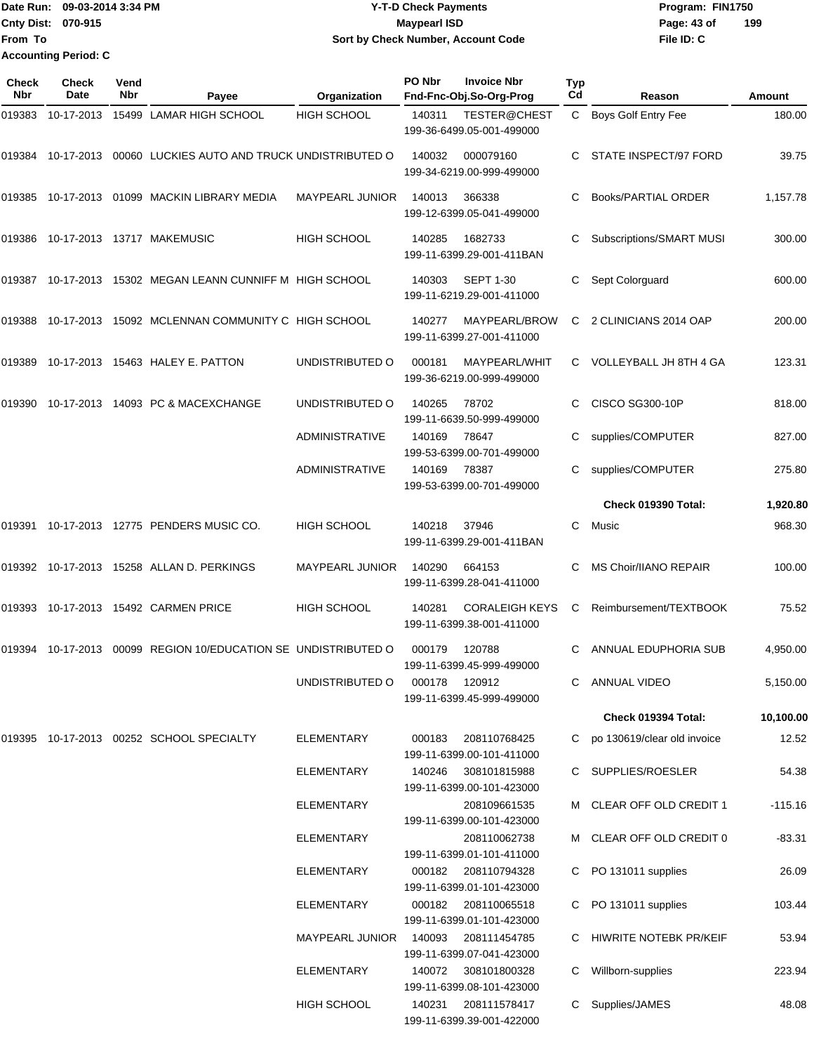Date Run: 09-03-2014 3:34 PM **Program:** FIN1750 **Cnty Dist:** 070-915 **Page: 43 of MaypearI ISD Page: 43 of File ID: C From To 09-03-2014 3:34 PM Y-T-D Check Payments 070-915 Maypearl ISD Sort by Check Number, Account Code 199 Accounting Period: C**

| Check<br>Nbr | <b>Check</b><br>Date | Vend<br>Nbr | Payee                                                     | Organization           | PO Nbr | <b>Invoice Nbr</b><br>Fnd-Fnc-Obj.So-Org-Prog      | Typ<br>Cd | Reason                       | Amount    |
|--------------|----------------------|-------------|-----------------------------------------------------------|------------------------|--------|----------------------------------------------------|-----------|------------------------------|-----------|
| 019383       | 10-17-2013           |             | 15499 LAMAR HIGH SCHOOL                                   | <b>HIGH SCHOOL</b>     | 140311 | TESTER@CHEST<br>199-36-6499.05-001-499000          | C         | <b>Boys Golf Entry Fee</b>   | 180.00    |
| 019384       |                      |             | 10-17-2013 00060 LUCKIES AUTO AND TRUCK UNDISTRIBUTED O   |                        | 140032 | 000079160<br>199-34-6219.00-999-499000             | C         | STATE INSPECT/97 FORD        | 39.75     |
| 019385       |                      |             | 10-17-2013  01099  MACKIN LIBRARY MEDIA                   | <b>MAYPEARL JUNIOR</b> | 140013 | 366338<br>199-12-6399.05-041-499000                |           | Books/PARTIAL ORDER          | 1,157.78  |
| 019386       |                      |             | 10-17-2013  13717  MAKEMUSIC                              | <b>HIGH SCHOOL</b>     | 140285 | 1682733<br>199-11-6399.29-001-411BAN               | С         | Subscriptions/SMART MUSI     | 300.00    |
|              |                      |             | 019387 10-17-2013 15302 MEGAN LEANN CUNNIFF M HIGH SCHOOL |                        | 140303 | <b>SEPT 1-30</b><br>199-11-6219.29-001-411000      | С         | Sept Colorguard              | 600.00    |
| 019388       |                      |             | 10-17-2013 15092 MCLENNAN COMMUNITY C HIGH SCHOOL         |                        | 140277 | MAYPEARL/BROW<br>199-11-6399.27-001-411000         | C         | 2 CLINICIANS 2014 OAP        | 200.00    |
| 019389       |                      |             | 10-17-2013  15463  HALEY E. PATTON                        | UNDISTRIBUTED O        | 000181 | MAYPEARL/WHIT<br>199-36-6219.00-999-499000         | C.        | VOLLEYBALL JH 8TH 4 GA       | 123.31    |
| 019390       |                      |             | 10-17-2013  14093  PC & MACEXCHANGE                       | UNDISTRIBUTED O        | 140265 | 78702<br>199-11-6639.50-999-499000                 |           | <b>CISCO SG300-10P</b>       | 818.00    |
|              |                      |             |                                                           | <b>ADMINISTRATIVE</b>  | 140169 | 78647<br>199-53-6399.00-701-499000                 | С         | supplies/COMPUTER            | 827.00    |
|              |                      |             |                                                           | <b>ADMINISTRATIVE</b>  | 140169 | 78387<br>199-53-6399.00-701-499000                 | С         | supplies/COMPUTER            | 275.80    |
|              |                      |             |                                                           |                        |        |                                                    |           | Check 019390 Total:          | 1,920.80  |
|              |                      |             | 019391  10-17-2013  12775  PENDERS MUSIC CO.              | <b>HIGH SCHOOL</b>     | 140218 | 37946<br>199-11-6399.29-001-411BAN                 | C         | Music                        | 968.30    |
|              |                      |             | 019392 10-17-2013 15258 ALLAN D. PERKINGS                 | <b>MAYPEARL JUNIOR</b> | 140290 | 664153<br>199-11-6399.28-041-411000                | С         | <b>MS Choir/IIANO REPAIR</b> | 100.00    |
| 019393       |                      |             | 10-17-2013 15492 CARMEN PRICE                             | HIGH SCHOOL            | 140281 | <b>CORALEIGH KEYS</b><br>199-11-6399.38-001-411000 | C         | Reimbursement/TEXTBOOK       | 75.52     |
| 019394       | 10-17-2013           |             | 00099 REGION 10/EDUCATION SE UNDISTRIBUTED O              |                        | 000179 | 120788<br>199-11-6399.45-999-499000                | C.        | ANNUAL EDUPHORIA SUB         | 4,950.00  |
|              |                      |             |                                                           | UNDISTRIBUTED O        | 000178 | 120912<br>199-11-6399.45-999-499000                |           | <b>ANNUAL VIDEO</b>          | 5,150.00  |
|              |                      |             |                                                           |                        |        |                                                    |           | Check 019394 Total:          | 10,100.00 |
|              |                      |             | 019395 10-17-2013 00252 SCHOOL SPECIALTY                  | <b>ELEMENTARY</b>      | 000183 | 208110768425<br>199-11-6399.00-101-411000          | C         | po 130619/clear old invoice  | 12.52     |
|              |                      |             |                                                           | <b>ELEMENTARY</b>      | 140246 | 308101815988<br>199-11-6399.00-101-423000          | С         | SUPPLIES/ROESLER             | 54.38     |
|              |                      |             |                                                           | <b>ELEMENTARY</b>      |        | 208109661535<br>199-11-6399.00-101-423000          |           | M CLEAR OFF OLD CREDIT 1     | $-115.16$ |
|              |                      |             |                                                           | <b>ELEMENTARY</b>      |        | 208110062738<br>199-11-6399.01-101-411000          |           | CLEAR OFF OLD CREDIT 0       | $-83.31$  |
|              |                      |             |                                                           | <b>ELEMENTARY</b>      | 000182 | 208110794328<br>199-11-6399.01-101-423000          | C.        | PO 131011 supplies           | 26.09     |
|              |                      |             |                                                           | ELEMENTARY             | 000182 | 208110065518<br>199-11-6399.01-101-423000          | C         | PO 131011 supplies           | 103.44    |
|              |                      |             |                                                           | <b>MAYPEARL JUNIOR</b> | 140093 | 208111454785<br>199-11-6399.07-041-423000          |           | HIWRITE NOTEBK PR/KEIF       | 53.94     |
|              |                      |             |                                                           | <b>ELEMENTARY</b>      | 140072 | 308101800328<br>199-11-6399.08-101-423000          | С         | Willborn-supplies            | 223.94    |
|              |                      |             |                                                           | <b>HIGH SCHOOL</b>     | 140231 | 208111578417<br>199-11-6399.39-001-422000          | C         | Supplies/JAMES               | 48.08     |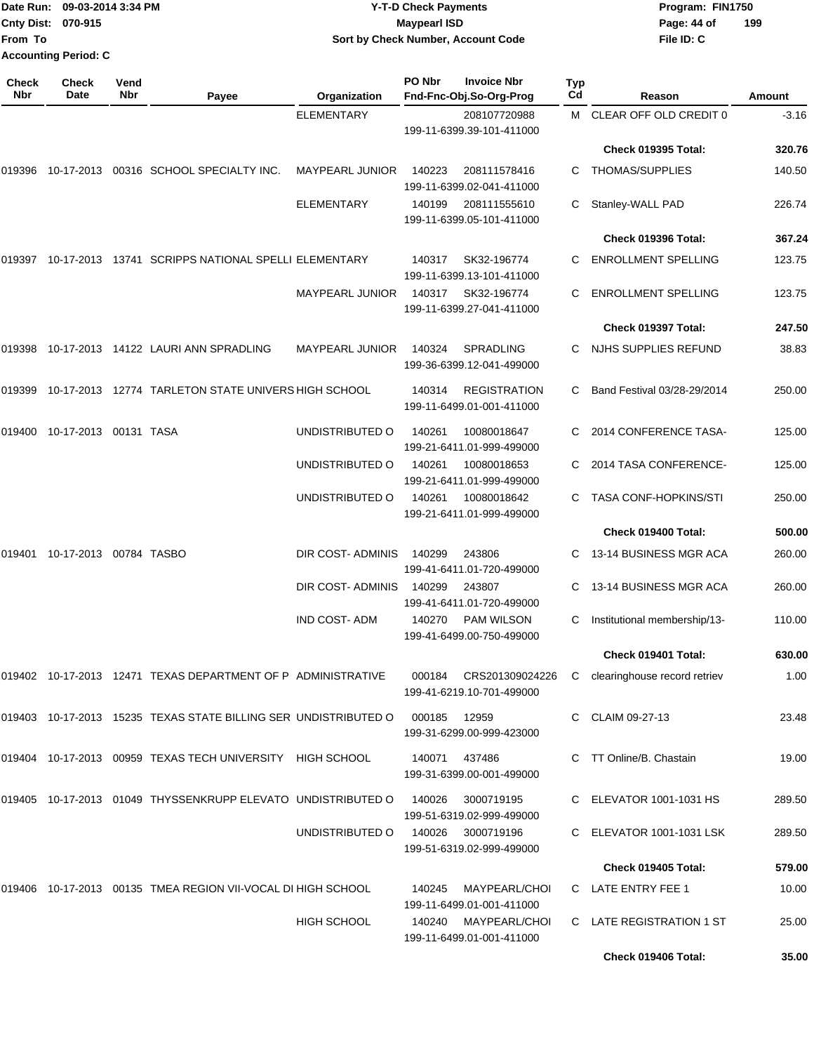|                     | Date Run: 09-03-2014 3:34 PM     |                    |                                                                 |                        | <b>Y-T-D Check Payments</b> |                                                  |           | Program: FIN1750             |         |  |
|---------------------|----------------------------------|--------------------|-----------------------------------------------------------------|------------------------|-----------------------------|--------------------------------------------------|-----------|------------------------------|---------|--|
| From To             | Cnty Dist: 070-915               |                    |                                                                 |                        | <b>Maypearl ISD</b>         | Sort by Check Number, Account Code               |           | Page: 44 of<br>File ID: C    | 199     |  |
|                     | <b>Accounting Period: C</b>      |                    |                                                                 |                        |                             |                                                  |           |                              |         |  |
| <b>Check</b><br>Nbr | Check<br>Date                    | Vend<br><b>Nbr</b> | Payee                                                           | Organization           | PO Nbr                      | <b>Invoice Nbr</b><br>Fnd-Fnc-Obj.So-Org-Prog    | Typ<br>Cd | Reason                       | Amount  |  |
|                     |                                  |                    |                                                                 | <b>ELEMENTARY</b>      |                             | 208107720988                                     | M         | CLEAR OFF OLD CREDIT 0       | $-3.16$ |  |
|                     |                                  |                    |                                                                 |                        |                             | 199-11-6399.39-101-411000                        |           |                              |         |  |
|                     |                                  |                    |                                                                 |                        |                             |                                                  |           | Check 019395 Total:          | 320.76  |  |
| 019396              |                                  |                    | 10-17-2013 00316 SCHOOL SPECIALTY INC.                          | <b>MAYPEARL JUNIOR</b> | 140223                      | 208111578416<br>199-11-6399.02-041-411000        | С         | <b>THOMAS/SUPPLIES</b>       | 140.50  |  |
|                     |                                  |                    |                                                                 | <b>ELEMENTARY</b>      | 140199                      | 208111555610<br>199-11-6399.05-101-411000        |           | Stanley-WALL PAD             | 226.74  |  |
|                     |                                  |                    |                                                                 |                        |                             |                                                  |           | Check 019396 Total:          | 367.24  |  |
| 019397              |                                  |                    | 10-17-2013 13741 SCRIPPS NATIONAL SPELLI ELEMENTARY             |                        | 140317                      | SK32-196774<br>199-11-6399.13-101-411000         | C         | <b>ENROLLMENT SPELLING</b>   | 123.75  |  |
|                     |                                  |                    |                                                                 | <b>MAYPEARL JUNIOR</b> | 140317                      | SK32-196774<br>199-11-6399.27-041-411000         |           | <b>ENROLLMENT SPELLING</b>   | 123.75  |  |
|                     |                                  |                    |                                                                 |                        |                             |                                                  |           | Check 019397 Total:          | 247.50  |  |
|                     |                                  |                    | 019398 10-17-2013 14122 LAURI ANN SPRADLING                     | <b>MAYPEARL JUNIOR</b> | 140324                      | <b>SPRADLING</b><br>199-36-6399.12-041-499000    | С         | NJHS SUPPLIES REFUND         | 38.83   |  |
| 019399              |                                  |                    | 10-17-2013  12774  TARLETON STATE UNIVERS HIGH SCHOOL           |                        | 140314                      | <b>REGISTRATION</b><br>199-11-6499.01-001-411000 | C         | Band Festival 03/28-29/2014  | 250.00  |  |
| 019400              | 10-17-2013 00131 TASA            |                    |                                                                 | UNDISTRIBUTED O        | 140261                      | 10080018647<br>199-21-6411.01-999-499000         |           | 2014 CONFERENCE TASA-        | 125.00  |  |
|                     |                                  |                    |                                                                 | UNDISTRIBUTED O        | 140261                      | 10080018653<br>199-21-6411.01-999-499000         | C         | 2014 TASA CONFERENCE-        | 125.00  |  |
|                     |                                  |                    |                                                                 | UNDISTRIBUTED O        | 140261                      | 10080018642<br>199-21-6411.01-999-499000         | C.        | <b>TASA CONF-HOPKINS/STI</b> | 250.00  |  |
|                     |                                  |                    |                                                                 |                        |                             |                                                  |           | Check 019400 Total:          | 500.00  |  |
|                     | 019401  10-17-2013  00784  TASBO |                    |                                                                 | DIR COST-ADMINIS       | 140299                      | 243806<br>199-41-6411.01-720-499000              | C         | 13-14 BUSINESS MGR ACA       | 260.00  |  |
|                     |                                  |                    |                                                                 | DIR COST- ADMINIS      | 140299                      | 243807<br>199-41-6411.01-720-499000              |           | 13-14 BUSINESS MGR ACA       | 260.00  |  |
|                     |                                  |                    |                                                                 | <b>IND COST-ADM</b>    | 140270                      | <b>PAM WILSON</b><br>199-41-6499.00-750-499000   |           | Institutional membership/13- | 110.00  |  |
|                     |                                  |                    |                                                                 |                        |                             |                                                  |           | Check 019401 Total:          | 630.00  |  |
|                     |                                  |                    | 019402 10-17-2013 12471 TEXAS DEPARTMENT OF P ADMINISTRATIVE    |                        | 000184                      | CRS201309024226<br>199-41-6219.10-701-499000     | C         | clearinghouse record retriev | 1.00    |  |
|                     |                                  |                    | 019403 10-17-2013 15235 TEXAS STATE BILLING SER UNDISTRIBUTED O |                        | 000185                      | 12959<br>199-31-6299.00-999-423000               |           | C CLAIM 09-27-13             | 23.48   |  |
|                     |                                  |                    | 019404 10-17-2013 00959 TEXAS TECH UNIVERSITY HIGH SCHOOL       |                        | 140071                      | 437486<br>199-31-6399.00-001-499000              |           | C TT Online/B. Chastain      | 19.00   |  |
|                     |                                  |                    | 019405 10-17-2013 01049 THYSSENKRUPP ELEVATO UNDISTRIBUTED O    |                        | 140026                      | 3000719195<br>199-51-6319.02-999-499000          |           | C ELEVATOR 1001-1031 HS      | 289.50  |  |
|                     |                                  |                    |                                                                 | UNDISTRIBUTED O        | 140026                      | 3000719196<br>199-51-6319.02-999-499000          |           | C ELEVATOR 1001-1031 LSK     | 289.50  |  |
|                     |                                  |                    |                                                                 |                        |                             |                                                  |           | Check 019405 Total:          | 579.00  |  |
|                     |                                  |                    | 019406 10-17-2013 00135 TMEA REGION VII-VOCAL DI HIGH SCHOOL    |                        | 140245                      | MAYPEARL/CHOI<br>199-11-6499.01-001-411000       |           | C LATE ENTRY FEE 1           | 10.00   |  |
|                     |                                  |                    |                                                                 | HIGH SCHOOL            |                             | 140240 MAYPEARL/CHOI                             |           | C LATE REGISTRATION 1 ST     | 25.00   |  |

199-11-6499.01-001-411000

**Check 019406 Total: 35.00**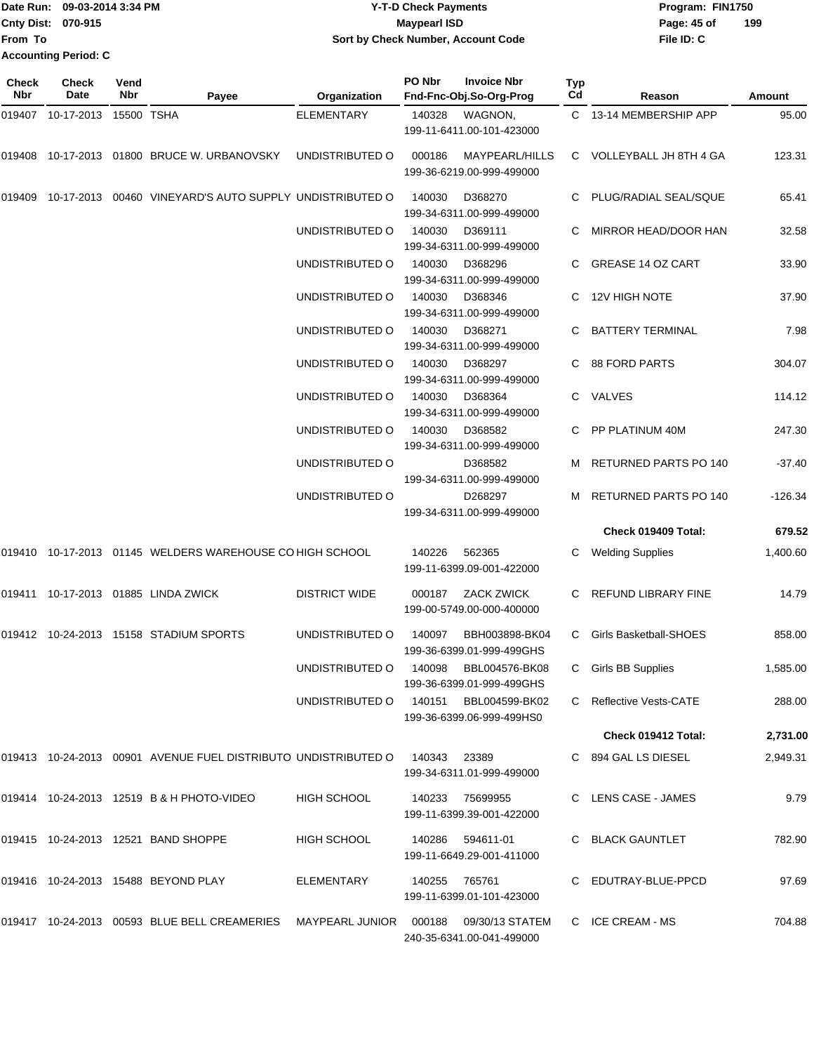Date Run: 09-03-2014 3:34 PM **Program:** FIN1750 **Cnty Dist:** 070-915 **Page: 45 of Page: 45 of Page: 45 of From To 09-03-2014 3:34 PM Y-T-D Check Payments 070-915 Maypearl ISD Sort by Check Number, Account Code Accounting Period: C**

| Check<br>Nbr | <b>Check</b><br>Date  | Vend<br>Nbr | Payee                                                                               | Organization                          | PO Nbr | <b>Invoice Nbr</b><br>Fnd-Fnc-Obj.So-Org-Prog      | Typ<br>Cd | Reason                   | <b>Amount</b> |
|--------------|-----------------------|-------------|-------------------------------------------------------------------------------------|---------------------------------------|--------|----------------------------------------------------|-----------|--------------------------|---------------|
| 019407       | 10-17-2013 15500 TSHA |             |                                                                                     | <b>ELEMENTARY</b>                     | 140328 | WAGNON,<br>199-11-6411.00-101-423000               |           | C 13-14 MEMBERSHIP APP   | 95.00         |
| 019408       |                       |             | 10-17-2013 01800 BRUCE W. URBANOVSKY                                                | UNDISTRIBUTED O                       | 000186 | MAYPEARL/HILLS<br>199-36-6219.00-999-499000        |           | C VOLLEYBALL JH 8TH 4 GA | 123.31        |
|              |                       |             | 019409 10-17-2013 00460 VINEYARD'S AUTO SUPPLY UNDISTRIBUTED O                      |                                       | 140030 | D368270<br>199-34-6311.00-999-499000               |           | C PLUG/RADIAL SEAL/SQUE  | 65.41         |
|              |                       |             |                                                                                     | UNDISTRIBUTED O                       | 140030 | D369111<br>199-34-6311.00-999-499000               |           | MIRROR HEAD/DOOR HAN     | 32.58         |
|              |                       |             |                                                                                     | UNDISTRIBUTED O                       | 140030 | D368296<br>199-34-6311.00-999-499000               | C.        | <b>GREASE 14 OZ CART</b> | 33.90         |
|              |                       |             |                                                                                     | UNDISTRIBUTED O                       | 140030 | D368346<br>199-34-6311.00-999-499000               |           | C 12V HIGH NOTE          | 37.90         |
|              |                       |             |                                                                                     | UNDISTRIBUTED O                       | 140030 | D368271<br>199-34-6311.00-999-499000               |           | <b>BATTERY TERMINAL</b>  | 7.98          |
|              |                       |             |                                                                                     | UNDISTRIBUTED O                       | 140030 | D368297<br>199-34-6311.00-999-499000               | C.        | <b>88 FORD PARTS</b>     | 304.07        |
|              |                       |             |                                                                                     | UNDISTRIBUTED O                       | 140030 | D368364<br>199-34-6311.00-999-499000               |           | C VALVES                 | 114.12        |
|              |                       |             |                                                                                     | UNDISTRIBUTED O                       | 140030 | D368582<br>199-34-6311.00-999-499000               |           | PP PLATINUM 40M          | 247.30        |
|              |                       |             |                                                                                     | UNDISTRIBUTED O                       |        | D368582<br>199-34-6311.00-999-499000               |           | RETURNED PARTS PO 140    | $-37.40$      |
|              |                       |             |                                                                                     | UNDISTRIBUTED O                       |        | D268297<br>199-34-6311.00-999-499000               |           | M RETURNED PARTS PO 140  | $-126.34$     |
|              |                       |             |                                                                                     |                                       |        |                                                    |           | Check 019409 Total:      | 679.52        |
|              |                       |             | 019410 10-17-2013 01145 WELDERS WAREHOUSE CO HIGH SCHOOL                            |                                       | 140226 | 562365<br>199-11-6399.09-001-422000                | С         | <b>Welding Supplies</b>  | 1,400.60      |
|              |                       |             | 019411 10-17-2013 01885 LINDA ZWICK                                                 | <b>DISTRICT WIDE</b>                  | 000187 | ZACK ZWICK<br>199-00-5749.00-000-400000            |           | C REFUND LIBRARY FINE    | 14.79         |
|              |                       |             | 019412 10-24-2013 15158 STADIUM SPORTS                                              | UNDISTRIBUTED O                       | 140097 | BBH003898-BK04<br>199-36-6399.01-999-499GHS        | C.        | Girls Basketball-SHOES   | 858.00        |
|              |                       |             |                                                                                     | UNDISTRIBUTED O                       |        | 140098 BBL004576-BK08<br>199-36-6399.01-999-499GHS |           | C Girls BB Supplies      | 1,585.00      |
|              |                       |             |                                                                                     | UNDISTRIBUTED O 140151 BBL004599-BK02 |        | 199-36-6399.06-999-499HS0                          |           | C Reflective Vests-CATE  | 288.00        |
|              |                       |             |                                                                                     |                                       |        |                                                    |           | Check 019412 Total:      | 2,731.00      |
|              |                       |             | 019413  10-24-2013  00901  AVENUE FUEL DISTRIBUTO UNDISTRIBUTED O  140343  23389    |                                       |        | 199-34-6311.01-999-499000                          |           | C 894 GAL LS DIESEL      | 2,949.31      |
|              |                       |             | 019414 10-24-2013 12519 B & H PHOTO-VIDEO                                           | HIGH SCHOOL                           |        | 140233 75699955<br>199-11-6399.39-001-422000       |           | C LENS CASE - JAMES      | 9.79          |
|              |                       |             | 019415 10-24-2013 12521 BAND SHOPPE                                                 | HIGH SCHOOL                           | 140286 | 594611-01<br>199-11-6649.29-001-411000             |           | C BLACK GAUNTLET         | 782.90        |
|              |                       |             | 019416 10-24-2013 15488 BEYOND PLAY                                                 | ELEMENTARY                            | 140255 | 765761<br>199-11-6399.01-101-423000                |           | C EDUTRAY-BLUE-PPCD      | 97.69         |
|              |                       |             | 019417 10-24-2013 00593 BLUE BELL CREAMERIES MAYPEARL JUNIOR 000188 09/30/13 STATEM |                                       |        | 240-35-6341.00-041-499000                          |           | C ICE CREAM - MS         | 704.88        |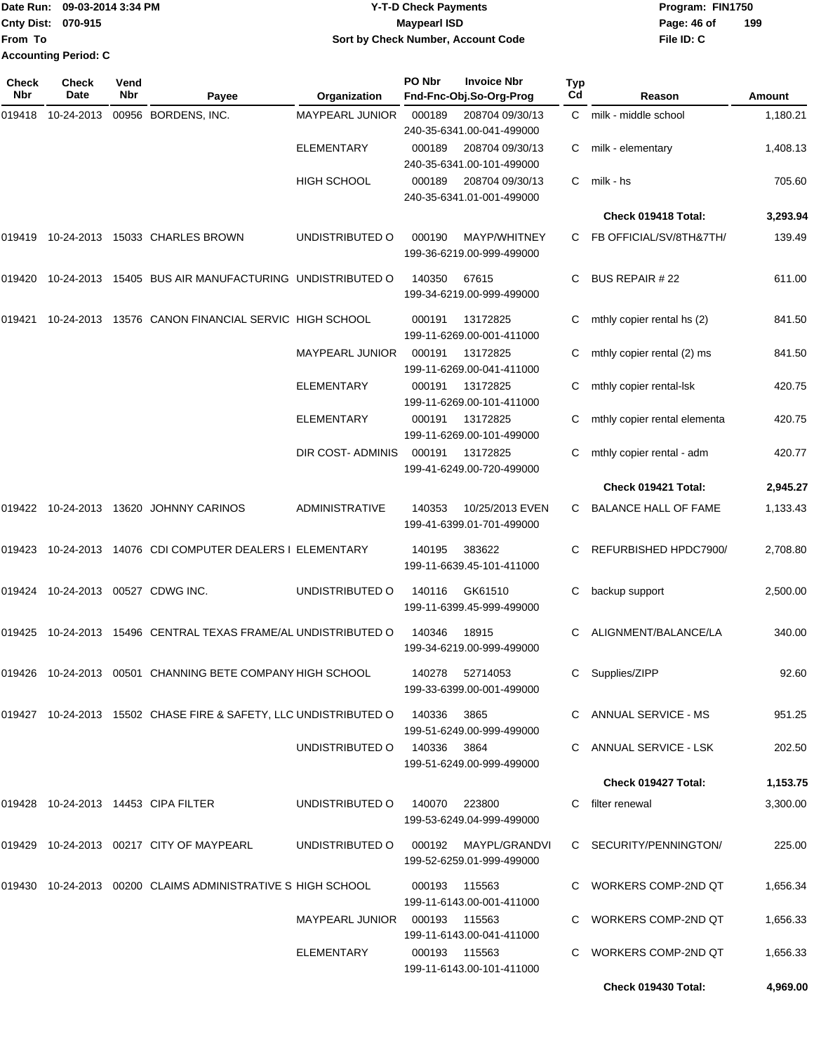|                           | Date Run: 09-03-2014 3:34 PM | <b>Y-T-D Check Payments</b>        | Program: FIN1750   |
|---------------------------|------------------------------|------------------------------------|--------------------|
| <b>Cnty Dist: 070-915</b> |                              | Maypearl ISD                       | 199<br>Page: 46 of |
| lFrom To                  |                              | Sort by Check Number, Account Code | File ID: C         |
|                           | <b>Accounting Period: C</b>  |                                    |                    |

| Check<br>Nbr | Check<br>Date | Vend<br>Nbr | Payee                                                            | Organization           | PO Nbr        | <b>Invoice Nbr</b><br>Fnd-Fnc-Obj.So-Org-Prog    | <b>Typ</b><br>Cd | Reason                       | Amount   |
|--------------|---------------|-------------|------------------------------------------------------------------|------------------------|---------------|--------------------------------------------------|------------------|------------------------------|----------|
| 019418       | 10-24-2013    |             | 00956 BORDENS, INC.                                              | <b>MAYPEARL JUNIOR</b> | 000189        | 208704 09/30/13<br>240-35-6341.00-041-499000     | C.               | milk - middle school         | 1,180.21 |
|              |               |             |                                                                  | <b>ELEMENTARY</b>      | 000189        | 208704 09/30/13<br>240-35-6341.00-101-499000     | С                | milk - elementary            | 1,408.13 |
|              |               |             |                                                                  | <b>HIGH SCHOOL</b>     | 000189        | 208704 09/30/13<br>240-35-6341.01-001-499000     | C                | milk - hs                    | 705.60   |
|              |               |             |                                                                  |                        |               |                                                  |                  | Check 019418 Total:          | 3,293.94 |
| 019419       | 10-24-2013    |             | 15033 CHARLES BROWN                                              | UNDISTRIBUTED O        | 000190        | <b>MAYP/WHITNEY</b><br>199-36-6219.00-999-499000 | C.               | FB OFFICIAL/SV/8TH&7TH/      | 139.49   |
| 019420       | 10-24-2013    |             | 15405 BUS AIR MANUFACTURING UNDISTRIBUTED O                      |                        | 140350        | 67615<br>199-34-6219.00-999-499000               | С                | <b>BUS REPAIR #22</b>        | 611.00   |
| 019421       | 10-24-2013    |             | 13576 CANON FINANCIAL SERVIC HIGH SCHOOL                         |                        | 000191        | 13172825<br>199-11-6269.00-001-411000            | C                | mthly copier rental hs (2)   | 841.50   |
|              |               |             |                                                                  | <b>MAYPEARL JUNIOR</b> | 000191        | 13172825<br>199-11-6269.00-041-411000            | С                | mthly copier rental (2) ms   | 841.50   |
|              |               |             |                                                                  | <b>ELEMENTARY</b>      | 000191        | 13172825<br>199-11-6269.00-101-411000            | С                | mthly copier rental-lsk      | 420.75   |
|              |               |             |                                                                  | <b>ELEMENTARY</b>      | 000191        | 13172825<br>199-11-6269.00-101-499000            | С                | mthly copier rental elementa | 420.75   |
|              |               |             |                                                                  | DIR COST-ADMINIS       | 000191        | 13172825<br>199-41-6249.00-720-499000            | С                | mthly copier rental - adm    | 420.77   |
|              |               |             |                                                                  |                        |               |                                                  |                  | Check 019421 Total:          | 2,945.27 |
| 019422       | 10-24-2013    |             | 13620 JOHNNY CARINOS                                             | <b>ADMINISTRATIVE</b>  | 140353        | 10/25/2013 EVEN<br>199-41-6399.01-701-499000     | C                | <b>BALANCE HALL OF FAME</b>  | 1,133.43 |
| 019423       | 10-24-2013    |             | 14076 CDI COMPUTER DEALERS I ELEMENTARY                          |                        | 140195        | 383622<br>199-11-6639.45-101-411000              | С                | REFURBISHED HPDC7900/        | 2,708.80 |
| 019424       | 10-24-2013    |             | 00527 CDWG INC.                                                  | UNDISTRIBUTED O        | 140116        | GK61510<br>199-11-6399.45-999-499000             | С                | backup support               | 2,500.00 |
| 019425       | 10-24-2013    |             | 15496 CENTRAL TEXAS FRAME/AL UNDISTRIBUTED O                     |                        | 140346        | 18915<br>199-34-6219.00-999-499000               | C.               | ALIGNMENT/BALANCE/LA         | 340.00   |
|              |               |             | 019426 10-24-2013 00501 CHANNING BETE COMPANY HIGH SCHOOL        |                        | 140278        | 52714053<br>199-33-6399.00-001-499000            |                  | Supplies/ZIPP                | 92.60    |
|              |               |             | 019427 10-24-2013 15502 CHASE FIRE & SAFETY, LLC UNDISTRIBUTED O |                        | 140336        | 3865<br>199-51-6249.00-999-499000                |                  | ANNUAL SERVICE - MS          | 951.25   |
|              |               |             |                                                                  | UNDISTRIBUTED O        | 140336        | 3864<br>199-51-6249.00-999-499000                |                  | ANNUAL SERVICE - LSK         | 202.50   |
|              |               |             |                                                                  |                        |               |                                                  |                  | Check 019427 Total:          | 1,153.75 |
|              |               |             | 019428  10-24-2013  14453  CIPA FILTER                           | UNDISTRIBUTED O        | 140070        | 223800<br>199-53-6249.04-999-499000              |                  | C filter renewal             | 3,300.00 |
|              |               |             | 019429 10-24-2013 00217 CITY OF MAYPEARL                         | UNDISTRIBUTED O        | 000192        | MAYPL/GRANDVI<br>199-52-6259.01-999-499000       |                  | C SECURITY/PENNINGTON/       | 225.00   |
| 019430       |               |             | 10-24-2013 00200 CLAIMS ADMINISTRATIVE S HIGH SCHOOL             |                        | 000193        | 115563<br>199-11-6143.00-001-411000              |                  | C WORKERS COMP-2ND QT        | 1,656.34 |
|              |               |             |                                                                  | <b>MAYPEARL JUNIOR</b> | 000193 115563 | 199-11-6143.00-041-411000                        |                  | C WORKERS COMP-2ND QT        | 1,656.33 |
|              |               |             |                                                                  | ELEMENTARY             | 000193 115563 | 199-11-6143.00-101-411000                        |                  | <b>WORKERS COMP-2ND QT</b>   | 1,656.33 |
|              |               |             |                                                                  |                        |               |                                                  |                  | Check 019430 Total:          | 4,969.00 |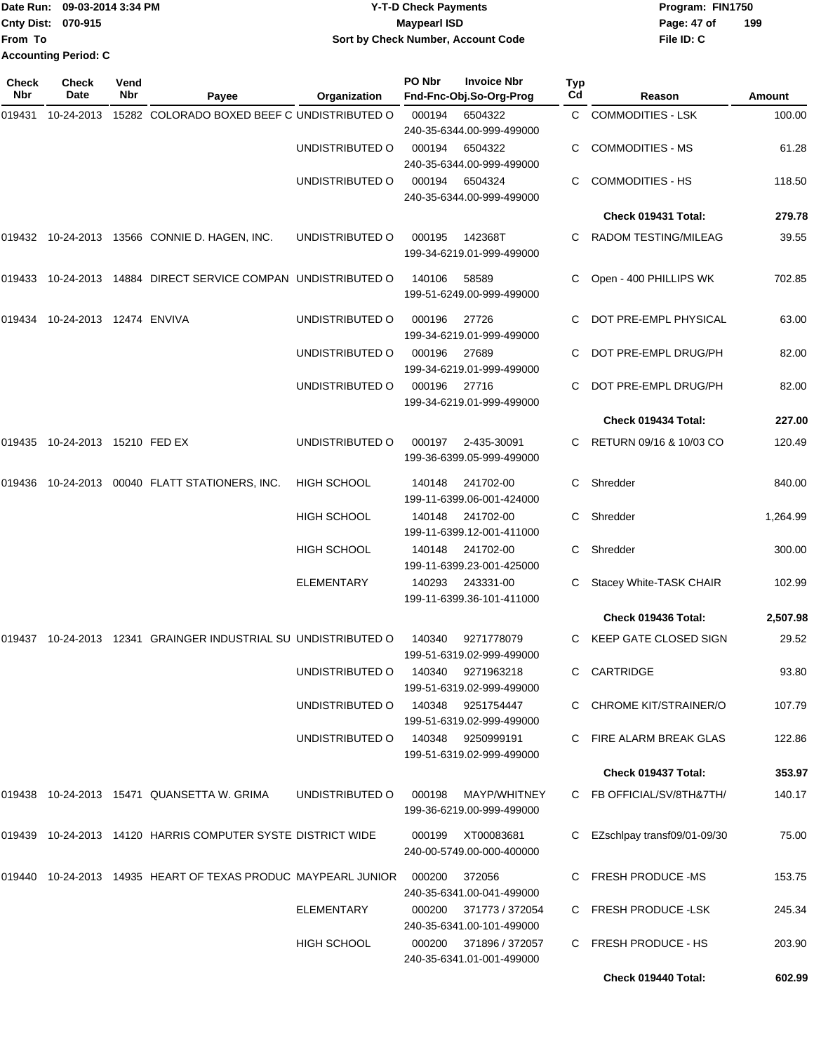|                           | Date Run: 09-03-2014 3:34 PM | <b>Y-T-D Check Payments</b>        | Program: FIN1750   |
|---------------------------|------------------------------|------------------------------------|--------------------|
| <b>Cnty Dist: 070-915</b> |                              | <b>Mavpearl ISD</b>                | 199<br>Page: 47 of |
| <b>IFrom To</b>           |                              | Sort by Check Number, Account Code | File ID: C         |
|                           | <b>Accounting Period: C</b>  |                                    |                    |

**PO Nbr Invoice Nbr**

**Check**

**Check**

| Check<br>Nbr | <b>Check</b><br>Date           | Vend<br>Nbr | Payee                                                                    | Organization       | PO Nbr | <b>Invoice Nbr</b><br>Fnd-Fnc-Obj.So-Org-Prog       | <b>Typ</b><br>Cd | Reason                      | Amount   |
|--------------|--------------------------------|-------------|--------------------------------------------------------------------------|--------------------|--------|-----------------------------------------------------|------------------|-----------------------------|----------|
| 019431       | 10-24-2013                     |             | 15282 COLORADO BOXED BEEF C UNDISTRIBUTED O                              |                    | 000194 | 6504322                                             |                  | C COMMODITIES - LSK         | 100.00   |
|              |                                |             |                                                                          |                    |        | 240-35-6344.00-999-499000                           |                  |                             |          |
|              |                                |             |                                                                          | UNDISTRIBUTED O    | 000194 | 6504322                                             |                  | <b>COMMODITIES - MS</b>     | 61.28    |
|              |                                |             |                                                                          |                    |        | 240-35-6344.00-999-499000                           |                  |                             |          |
|              |                                |             |                                                                          | UNDISTRIBUTED O    | 000194 | 6504324<br>240-35-6344.00-999-499000                | C.               | <b>COMMODITIES - HS</b>     | 118.50   |
|              |                                |             |                                                                          |                    |        |                                                     |                  | Check 019431 Total:         | 279.78   |
|              |                                |             | 019432 10-24-2013 13566 CONNIE D. HAGEN, INC.                            | UNDISTRIBUTED O    | 000195 | 142368T                                             | C.               | RADOM TESTING/MILEAG        | 39.55    |
|              |                                |             |                                                                          |                    |        | 199-34-6219.01-999-499000                           |                  |                             |          |
|              |                                |             | 019433 10-24-2013 14884 DIRECT SERVICE COMPAN UNDISTRIBUTED O            |                    | 140106 | 58589<br>199-51-6249.00-999-499000                  |                  | Open - 400 PHILLIPS WK      | 702.85   |
| 019434       | 10-24-2013 12474 ENVIVA        |             |                                                                          | UNDISTRIBUTED O    | 000196 | 27726<br>199-34-6219.01-999-499000                  |                  | DOT PRE-EMPL PHYSICAL       | 63.00    |
|              |                                |             |                                                                          | UNDISTRIBUTED O    | 000196 | 27689                                               |                  | DOT PRE-EMPL DRUG/PH        | 82.00    |
|              |                                |             |                                                                          |                    |        | 199-34-6219.01-999-499000                           |                  |                             |          |
|              |                                |             |                                                                          | UNDISTRIBUTED O    | 000196 | 27716<br>199-34-6219.01-999-499000                  |                  | DOT PRE-EMPL DRUG/PH        | 82.00    |
|              |                                |             |                                                                          |                    |        |                                                     |                  | Check 019434 Total:         | 227.00   |
|              | 019435 10-24-2013 15210 FED EX |             |                                                                          | UNDISTRIBUTED O    | 000197 | 2-435-30091<br>199-36-6399.05-999-499000            |                  | C RETURN 09/16 & 10/03 CO   | 120.49   |
| 019436       |                                |             | 10-24-2013 00040 FLATT STATIONERS, INC.                                  | <b>HIGH SCHOOL</b> | 140148 | 241702-00<br>199-11-6399.06-001-424000              | C                | Shredder                    | 840.00   |
|              |                                |             |                                                                          | <b>HIGH SCHOOL</b> | 140148 | 241702-00<br>199-11-6399.12-001-411000              | C.               | Shredder                    | 1,264.99 |
|              |                                |             |                                                                          | <b>HIGH SCHOOL</b> | 140148 | 241702-00<br>199-11-6399.23-001-425000              | C                | Shredder                    | 300.00   |
|              |                                |             |                                                                          | <b>ELEMENTARY</b>  | 140293 | 243331-00<br>199-11-6399.36-101-411000              |                  | Stacey White-TASK CHAIR     | 102.99   |
|              |                                |             |                                                                          |                    |        |                                                     |                  | Check 019436 Total:         | 2,507.98 |
| 019437       |                                |             | 10-24-2013 12341 GRAINGER INDUSTRIAL SU UNDISTRIBUTED O                  |                    | 140340 | 9271778079<br>199-51-6319.02-999-499000             |                  | KEEP GATE CLOSED SIGN       | 29.52    |
|              |                                |             |                                                                          | UNDISTRIBUTED O    |        | 140340 9271963218<br>199-51-6319.02-999-499000      |                  | CARTRIDGE                   | 93.80    |
|              |                                |             |                                                                          | UNDISTRIBUTED O    |        | 140348 9251754447<br>199-51-6319.02-999-499000      |                  | C CHROME KIT/STRAINER/O     | 107.79   |
|              |                                |             |                                                                          | UNDISTRIBUTED O    |        | 140348 9250999191<br>199-51-6319.02-999-499000      |                  | C FIRE ALARM BREAK GLAS     | 122.86   |
|              |                                |             |                                                                          |                    |        |                                                     |                  | Check 019437 Total:         | 353.97   |
|              |                                |             | 019438 10-24-2013 15471 QUANSETTA W. GRIMA                               | UNDISTRIBUTED O    | 000198 | MAYP/WHITNEY<br>199-36-6219.00-999-499000           |                  | C FB OFFICIAL/SV/8TH&7TH/   | 140.17   |
|              |                                |             | 019439  10-24-2013  14120  HARRIS COMPUTER SYSTE DISTRICT WIDE           |                    | 000199 | XT00083681<br>240-00-5749.00-000-400000             | C.               | EZschlpay transf09/01-09/30 | 75.00    |
|              |                                |             | 019440  10-24-2013  14935  HEART OF TEXAS PRODUC MAYPEARL JUNIOR  000200 |                    |        | 372056<br>240-35-6341.00-041-499000                 |                  | C FRESH PRODUCE -MS         | 153.75   |
|              |                                |             |                                                                          | <b>ELEMENTARY</b>  |        | 000200 371773 / 372054<br>240-35-6341.00-101-499000 |                  | <b>FRESH PRODUCE -LSK</b>   | 245.34   |
|              |                                |             |                                                                          | <b>HIGH SCHOOL</b> |        | 000200 371896 / 372057<br>240-35-6341.01-001-499000 |                  | C FRESH PRODUCE - HS        | 203.90   |
|              |                                |             |                                                                          |                    |        |                                                     |                  | Check 019440 Total:         | 602.99   |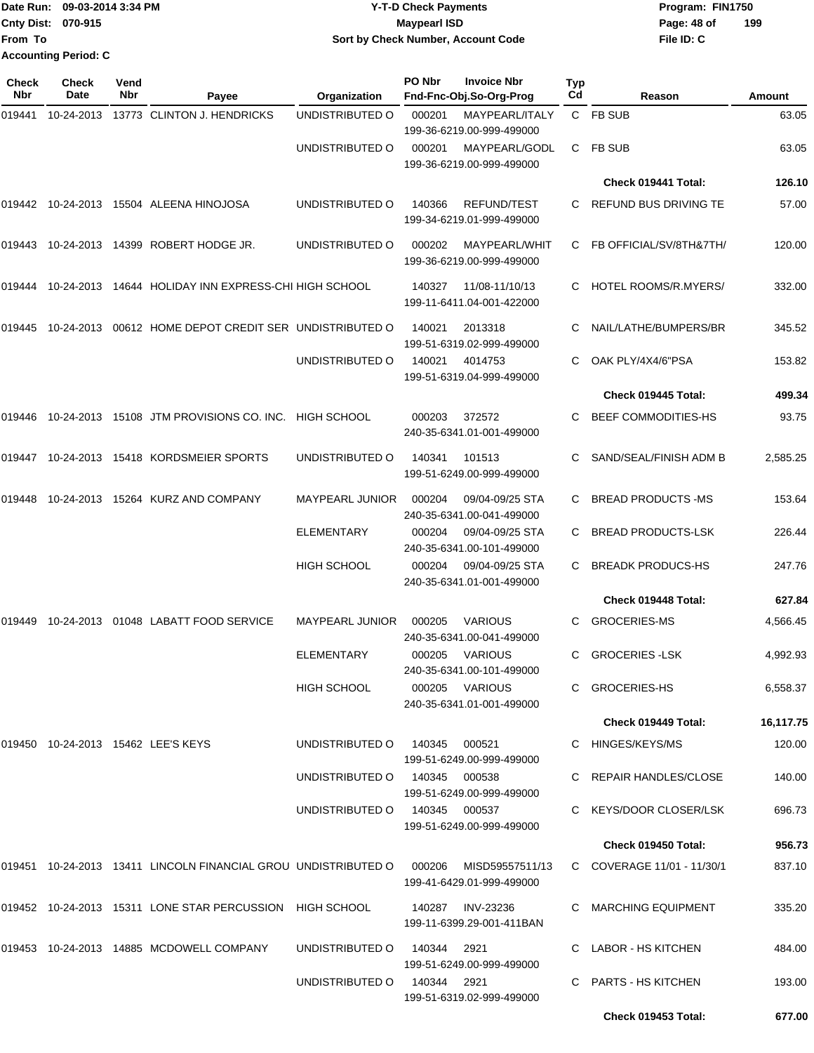| Date Run: 09-03-2014 3:34 PM |                             | <b>Y-T-D Check Payments</b>        | Program: FIN1750   |  |  |  |
|------------------------------|-----------------------------|------------------------------------|--------------------|--|--|--|
| <b>Cnty Dist: 070-915</b>    |                             | <b>Mavpearl ISD</b>                | 199<br>Page: 48 of |  |  |  |
| <b>From To</b>               |                             | Sort by Check Number, Account Code | File ID: C         |  |  |  |
|                              | <b>Accounting Period: C</b> |                                    |                    |  |  |  |

**PO Nbr Invoice Nbr**

| Check<br><b>Nbr</b> | <b>Check</b><br>Date | Vend<br>Nbr | Payee                                                          | Organization                  | PO Nbr | <b>Invoice Nbr</b><br>Fnd-Fnc-Obj.So-Org-Prog   | Typ<br>Cd | Reason                     | Amount    |
|---------------------|----------------------|-------------|----------------------------------------------------------------|-------------------------------|--------|-------------------------------------------------|-----------|----------------------------|-----------|
| 019441              | 10-24-2013           |             | 13773 CLINTON J. HENDRICKS                                     | UNDISTRIBUTED O               | 000201 | MAYPEARL/ITALY<br>199-36-6219.00-999-499000     |           | C FB SUB                   | 63.05     |
|                     |                      |             |                                                                | UNDISTRIBUTED O               | 000201 | MAYPEARL/GODL<br>199-36-6219.00-999-499000      | C         | <b>FB SUB</b>              | 63.05     |
|                     |                      |             |                                                                |                               |        |                                                 |           | Check 019441 Total:        | 126.10    |
| 019442              |                      |             | 10-24-2013 15504 ALEENA HINOJOSA                               | UNDISTRIBUTED O               | 140366 | <b>REFUND/TEST</b><br>199-34-6219.01-999-499000 | C.        | REFUND BUS DRIVING TE      | 57.00     |
| 019443              |                      |             | 10-24-2013 14399 ROBERT HODGE JR.                              | UNDISTRIBUTED O               | 000202 | MAYPEARL/WHIT<br>199-36-6219.00-999-499000      | C         | FB OFFICIAL/SV/8TH&7TH/    | 120.00    |
| 019444              | 10-24-2013           |             | 14644 HOLIDAY INN EXPRESS-CHI HIGH SCHOOL                      |                               | 140327 | 11/08-11/10/13<br>199-11-6411.04-001-422000     | C         | HOTEL ROOMS/R.MYERS/       | 332.00    |
| 019445              |                      |             | 10-24-2013 00612 HOME DEPOT CREDIT SER UNDISTRIBUTED O         |                               | 140021 | 2013318<br>199-51-6319.02-999-499000            | C         | NAIL/LATHE/BUMPERS/BR      | 345.52    |
|                     |                      |             |                                                                | UNDISTRIBUTED O               | 140021 | 4014753<br>199-51-6319.04-999-499000            | С         | OAK PLY/4X4/6"PSA          | 153.82    |
|                     |                      |             |                                                                |                               |        |                                                 |           | Check 019445 Total:        | 499.34    |
| 019446              |                      |             | 10-24-2013 15108 JTM PROVISIONS CO. INC.                       | <b>HIGH SCHOOL</b>            | 000203 | 372572<br>240-35-6341.01-001-499000             | C.        | <b>BEEF COMMODITIES-HS</b> | 93.75     |
| 019447              |                      |             | 10-24-2013 15418 KORDSMEIER SPORTS                             | UNDISTRIBUTED O               | 140341 | 101513<br>199-51-6249.00-999-499000             | C.        | SAND/SEAL/FINISH ADM B     | 2,585.25  |
| 019448              |                      |             | 10-24-2013 15264 KURZ AND COMPANY                              | <b>MAYPEARL JUNIOR</b>        | 000204 | 09/04-09/25 STA<br>240-35-6341.00-041-499000    | C         | <b>BREAD PRODUCTS -MS</b>  | 153.64    |
|                     |                      |             |                                                                | <b>ELEMENTARY</b>             | 000204 | 09/04-09/25 STA<br>240-35-6341.00-101-499000    | C         | <b>BREAD PRODUCTS-LSK</b>  | 226.44    |
|                     |                      |             |                                                                | <b>HIGH SCHOOL</b>            | 000204 | 09/04-09/25 STA<br>240-35-6341.01-001-499000    | C         | <b>BREADK PRODUCS-HS</b>   | 247.76    |
|                     |                      |             |                                                                |                               |        |                                                 |           | Check 019448 Total:        | 627.84    |
| 019449              |                      |             | 10-24-2013 01048 LABATT FOOD SERVICE                           | <b>MAYPEARL JUNIOR</b>        | 000205 | <b>VARIOUS</b><br>240-35-6341.00-041-499000     | C         | <b>GROCERIES-MS</b>        | 4,566.45  |
|                     |                      |             |                                                                | ELEMENTARY                    | 000205 | <b>VARIOUS</b><br>240-35-6341.00-101-499000     | C         | <b>GROCERIES - LSK</b>     | 4,992.93  |
|                     |                      |             |                                                                | HIGH SCHOOL                   |        | 000205 VARIOUS<br>240-35-6341.01-001-499000     |           | C GROCERIES-HS             | 6,558.37  |
|                     |                      |             |                                                                |                               |        |                                                 |           | Check 019449 Total:        | 16,117.75 |
|                     |                      |             | 019450 10-24-2013 15462 LEE'S KEYS                             | UNDISTRIBUTED O 140345 000521 |        | 199-51-6249.00-999-499000                       |           | C HINGES/KEYS/MS           | 120.00    |
|                     |                      |             |                                                                | UNDISTRIBUTED O 140345 000538 |        | 199-51-6249.00-999-499000                       |           | C REPAIR HANDLES/CLOSE     | 140.00    |
|                     |                      |             |                                                                | UNDISTRIBUTED O 140345 000537 |        | 199-51-6249.00-999-499000                       |           | C KEYS/DOOR CLOSER/LSK     | 696.73    |
|                     |                      |             |                                                                |                               |        |                                                 |           | Check 019450 Total:        | 956.73    |
|                     |                      |             | 019451 10-24-2013 13411 LINCOLN FINANCIAL GROU UNDISTRIBUTED O |                               | 000206 | MISD59557511/13<br>199-41-6429.01-999-499000    |           | C COVERAGE 11/01 - 11/30/1 | 837.10    |
|                     |                      |             | 019452 10-24-2013 15311 LONE STAR PERCUSSION HIGH SCHOOL       |                               | 140287 | INV-23236<br>199-11-6399.29-001-411BAN          |           | C MARCHING EQUIPMENT       | 335.20    |
|                     |                      |             | 019453 10-24-2013 14885 MCDOWELL COMPANY                       | UNDISTRIBUTED 0 140344 2921   |        | 199-51-6249.00-999-499000                       |           | C LABOR - HS KITCHEN       | 484.00    |
|                     |                      |             |                                                                | UNDISTRIBUTED O 140344 2921   |        | 199-51-6319.02-999-499000                       |           | C PARTS - HS KITCHEN       | 193.00    |
|                     |                      |             |                                                                |                               |        |                                                 |           | Check 019453 Total:        | 677.00    |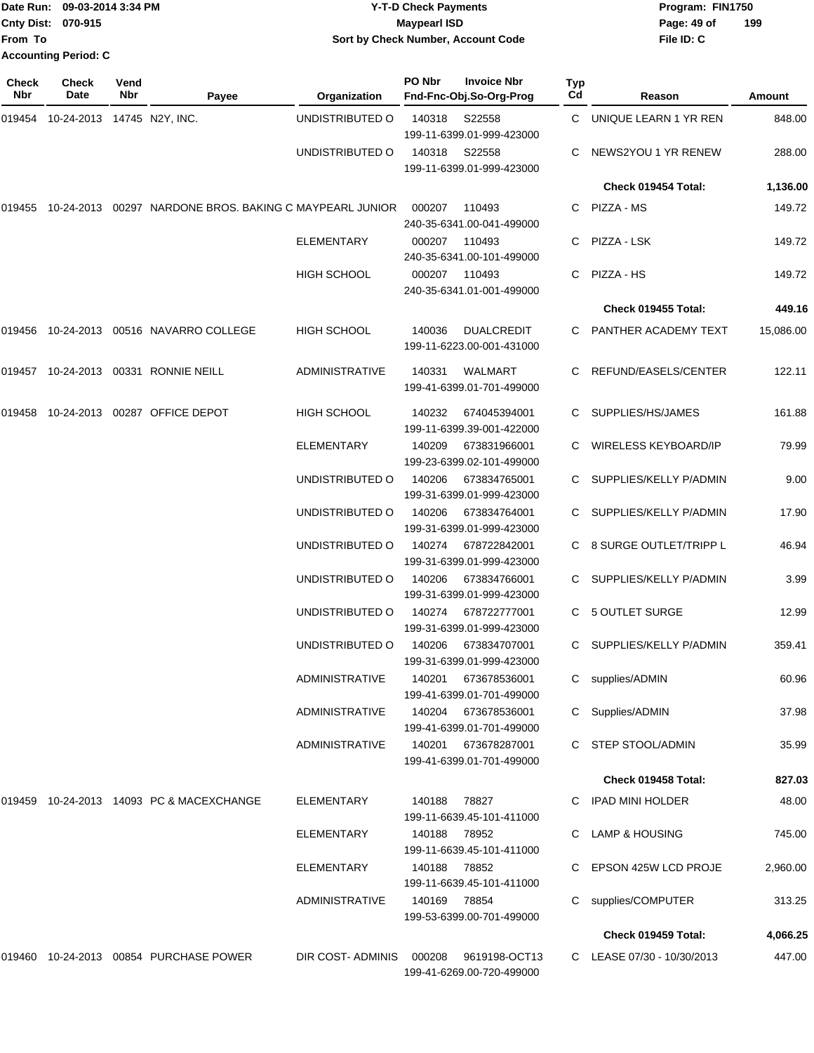| Date Run: 09-03-2014 3:34 PM |                             | <b>Y-T-D Check Payments</b>        | Program: FIN1750   |  |  |  |
|------------------------------|-----------------------------|------------------------------------|--------------------|--|--|--|
| <b>Cnty Dist: 070-915</b>    |                             | <b>Mavpearl ISD</b>                | 199<br>Page: 49 of |  |  |  |
| <b>From To</b>               |                             | Sort by Check Number, Account Code | File ID: C         |  |  |  |
|                              | <b>Accounting Period: C</b> |                                    |                    |  |  |  |
|                              |                             |                                    |                    |  |  |  |

| Check<br>Nbr | Check<br>Date                | Vend<br>Nbr | Payee                                        | <b>Organization</b>   | PO Nbr       | <b>Invoice Nbr</b><br>Fnd-Fnc-Obj.So-Org-Prog  | Typ<br>Cd | Reason                      | Amount    |
|--------------|------------------------------|-------------|----------------------------------------------|-----------------------|--------------|------------------------------------------------|-----------|-----------------------------|-----------|
| 019454       | 10-24-2013  14745  N2Y, INC. |             |                                              | UNDISTRIBUTED O       | 140318       | S22558<br>199-11-6399.01-999-423000            | C.        | UNIQUE LEARN 1 YR REN       | 848.00    |
|              |                              |             |                                              | UNDISTRIBUTED O       | 140318       | S22558<br>199-11-6399.01-999-423000            | C.        | NEWS2YOU 1 YR RENEW         | 288.00    |
|              |                              |             |                                              |                       |              |                                                |           | Check 019454 Total:         | 1,136.00  |
| 019455       | 10-24-2013                   |             | 00297 NARDONE BROS. BAKING C MAYPEARL JUNIOR |                       | 000207       | 110493<br>240-35-6341.00-041-499000            |           | C PIZZA - MS                | 149.72    |
|              |                              |             |                                              | <b>ELEMENTARY</b>     | 000207       | 110493<br>240-35-6341.00-101-499000            | C.        | PIZZA - LSK                 | 149.72    |
|              |                              |             |                                              | <b>HIGH SCHOOL</b>    | 000207       | 110493<br>240-35-6341.01-001-499000            | C.        | PIZZA - HS                  | 149.72    |
|              |                              |             |                                              |                       |              |                                                |           | Check 019455 Total:         | 449.16    |
| 019456       |                              |             | 10-24-2013  00516  NAVARRO COLLEGE           | <b>HIGH SCHOOL</b>    | 140036       | <b>DUALCREDIT</b><br>199-11-6223.00-001-431000 |           | C PANTHER ACADEMY TEXT      | 15,086.00 |
|              |                              |             | 019457 10-24-2013 00331 RONNIE NEILL         | <b>ADMINISTRATIVE</b> | 140331       | <b>WALMART</b><br>199-41-6399.01-701-499000    | C.        | REFUND/EASELS/CENTER        | 122.11    |
| 019458       |                              |             | 10-24-2013 00287 OFFICE DEPOT                | <b>HIGH SCHOOL</b>    | 140232       | 674045394001<br>199-11-6399.39-001-422000      | C.        | SUPPLIES/HS/JAMES           | 161.88    |
|              |                              |             |                                              | <b>ELEMENTARY</b>     | 140209       | 673831966001<br>199-23-6399.02-101-499000      | C         | <b>WIRELESS KEYBOARD/IP</b> | 79.99     |
|              |                              |             |                                              | UNDISTRIBUTED O       | 140206       | 673834765001<br>199-31-6399.01-999-423000      | C         | SUPPLIES/KELLY P/ADMIN      | 9.00      |
|              |                              |             |                                              | UNDISTRIBUTED O       | 140206       | 673834764001<br>199-31-6399.01-999-423000      | C.        | SUPPLIES/KELLY P/ADMIN      | 17.90     |
|              |                              |             |                                              | UNDISTRIBUTED O       | 140274       | 678722842001<br>199-31-6399.01-999-423000      |           | 8 SURGE OUTLET/TRIPP L      | 46.94     |
|              |                              |             |                                              | UNDISTRIBUTED O       | 140206       | 673834766001<br>199-31-6399.01-999-423000      | C.        | SUPPLIES/KELLY P/ADMIN      | 3.99      |
|              |                              |             |                                              | UNDISTRIBUTED O       | 140274       | 678722777001<br>199-31-6399.01-999-423000      | C         | 5 OUTLET SURGE              | 12.99     |
|              |                              |             |                                              | UNDISTRIBUTED O       | 140206       | 673834707001<br>199-31-6399.01-999-423000      | C.        | SUPPLIES/KELLY P/ADMIN      | 359.41    |
|              |                              |             |                                              | <b>ADMINISTRATIVE</b> | 140201       | 673678536001<br>199-41-6399.01-701-499000      |           | C supplies/ADMIN            | 60.96     |
|              |                              |             |                                              | <b>ADMINISTRATIVE</b> | 140204       | 673678536001<br>199-41-6399.01-701-499000      |           | Supplies/ADMIN              | 37.98     |
|              |                              |             |                                              | ADMINISTRATIVE        | 140201       | 673678287001<br>199-41-6399.01-701-499000      |           | C STEP STOOL/ADMIN          | 35.99     |
|              |                              |             |                                              |                       |              |                                                |           | Check 019458 Total:         | 827.03    |
|              |                              |             | 019459 10-24-2013 14093 PC & MACEXCHANGE     | ELEMENTARY            | 140188       | 78827<br>199-11-6639.45-101-411000             |           | C IPAD MINI HOLDER          | 48.00     |
|              |                              |             |                                              | <b>ELEMENTARY</b>     | 140188 78952 | 199-11-6639.45-101-411000                      |           | C LAMP & HOUSING            | 745.00    |
|              |                              |             |                                              | <b>ELEMENTARY</b>     | 140188 78852 | 199-11-6639.45-101-411000                      |           | C EPSON 425W LCD PROJE      | 2,960.00  |
|              |                              |             |                                              | <b>ADMINISTRATIVE</b> | 140169 78854 | 199-53-6399.00-701-499000                      |           | supplies/COMPUTER           | 313.25    |
|              |                              |             |                                              |                       |              |                                                |           | Check 019459 Total:         | 4,066.25  |
|              |                              |             | 019460 10-24-2013 00854 PURCHASE POWER       | DIR COST-ADMINIS      | 000208       | 9619198-OCT13<br>199-41-6269.00-720-499000     |           | C LEASE 07/30 - 10/30/2013  | 447.00    |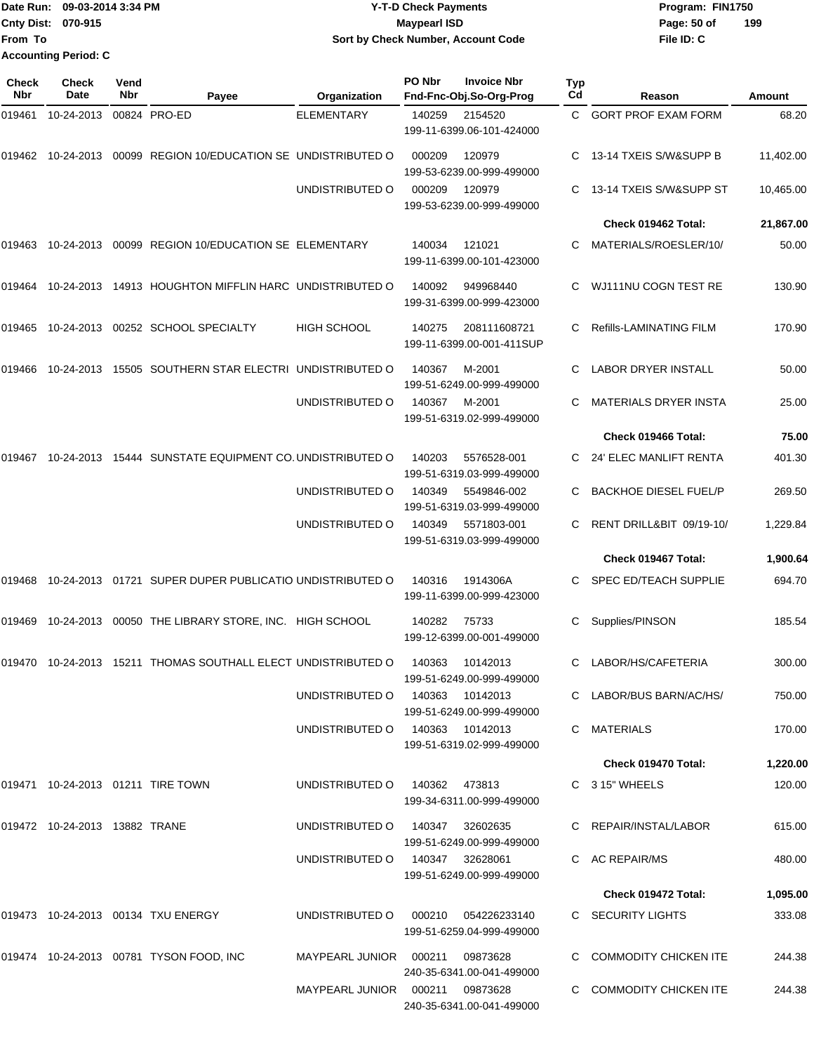## Date Run: 09-03-2014 3:34 PM **Program:** FIN1750 **Cnty Dist:** 070-915 **Page: 50 of MaypearI ISD Page: 50 of Y-T-D Check Payments 070-915 Maypearl ISD Sort by Check Number, Account Code**

| Check<br>Nbr | Check<br>Date                 | Vend<br>Nbr | Payee                                                                     | Organization                      | PO Nbr        | <b>Invoice Nbr</b><br>Fnd-Fnc-Obj.So-Org-Prog | <b>Typ</b><br>Cd | Reason                       | Amount    |
|--------------|-------------------------------|-------------|---------------------------------------------------------------------------|-----------------------------------|---------------|-----------------------------------------------|------------------|------------------------------|-----------|
| 019461       | 10-24-2013                    |             | 00824 PRO-ED                                                              | ELEMENTARY                        | 140259        | 2154520<br>199-11-6399.06-101-424000          | C.               | <b>GORT PROF EXAM FORM</b>   | 68.20     |
| 019462       | 10-24-2013                    |             | 00099 REGION 10/EDUCATION SE UNDISTRIBUTED O                              |                                   | 000209        | 120979<br>199-53-6239.00-999-499000           | C.               | 13-14 TXEIS S/W&SUPP B       | 11,402.00 |
|              |                               |             |                                                                           | UNDISTRIBUTED O                   | 000209        | 120979<br>199-53-6239.00-999-499000           | C.               | 13-14 TXEIS S/W&SUPP ST      | 10,465.00 |
|              |                               |             |                                                                           |                                   |               |                                               |                  | Check 019462 Total:          | 21,867.00 |
| 019463       | 10-24-2013                    |             | 00099 REGION 10/EDUCATION SE ELEMENTARY                                   |                                   | 140034        | 121021<br>199-11-6399.00-101-423000           | C                | MATERIALS/ROESLER/10/        | 50.00     |
| 019464       | 10-24-2013                    |             | 14913 HOUGHTON MIFFLIN HARC UNDISTRIBUTED O                               |                                   | 140092        | 949968440<br>199-31-6399.00-999-423000        | С                | WJ111NU COGN TEST RE         | 130.90    |
| 019465       |                               |             | 10-24-2013 00252 SCHOOL SPECIALTY                                         | <b>HIGH SCHOOL</b>                | 140275        | 208111608721<br>199-11-6399.00-001-411SUP     | С                | Refills-LAMINATING FILM      | 170.90    |
| 019466       |                               |             | 10-24-2013 15505 SOUTHERN STAR ELECTRI UNDISTRIBUTED O                    |                                   | 140367        | M-2001<br>199-51-6249.00-999-499000           | С                | <b>LABOR DRYER INSTALL</b>   | 50.00     |
|              |                               |             |                                                                           | UNDISTRIBUTED O                   | 140367        | M-2001<br>199-51-6319.02-999-499000           |                  | <b>MATERIALS DRYER INSTA</b> | 25.00     |
|              |                               |             |                                                                           |                                   |               |                                               |                  | Check 019466 Total:          | 75.00     |
| 019467       | 10-24-2013                    |             | 15444 SUNSTATE EQUIPMENT CO. UNDISTRIBUTED O                              |                                   | 140203        | 5576528-001<br>199-51-6319.03-999-499000      | C.               | 24' ELEC MANLIFT RENTA       | 401.30    |
|              |                               |             |                                                                           | UNDISTRIBUTED O                   | 140349        | 5549846-002<br>199-51-6319.03-999-499000      | C                | <b>BACKHOE DIESEL FUEL/P</b> | 269.50    |
|              |                               |             |                                                                           | UNDISTRIBUTED O                   | 140349        | 5571803-001<br>199-51-6319.03-999-499000      | C                | RENT DRILL&BIT 09/19-10/     | 1,229.84  |
|              |                               |             |                                                                           |                                   |               |                                               |                  | Check 019467 Total:          | 1,900.64  |
| 019468       |                               |             | 10-24-2013 01721 SUPER DUPER PUBLICATIO UNDISTRIBUTED O                   |                                   | 140316        | 1914306A<br>199-11-6399.00-999-423000         | C                | <b>SPEC ED/TEACH SUPPLIE</b> | 694.70    |
| 019469       | 10-24-2013                    |             | 00050 THE LIBRARY STORE, INC. HIGH SCHOOL                                 |                                   | 140282        | 75733<br>199-12-6399.00-001-499000            | С                | Supplies/PINSON              | 185.54    |
|              |                               |             | 019470    10-24-2013    15211    THOMAS SOUTHALL ELECT UNDISTRIBUTED    O |                                   | 140363        | 10142013<br>199-51-6249.00-999-499000         | C                | LABOR/HS/CAFETERIA           | 300.00    |
|              |                               |             |                                                                           | UNDISTRIBUTED O                   |               | 140363 10142013<br>199-51-6249.00-999-499000  |                  | C LABOR/BUS BARN/AC/HS/      | 750.00    |
|              |                               |             |                                                                           | UNDISTRIBUTED O                   |               | 140363 10142013<br>199-51-6319.02-999-499000  |                  | C MATERIALS                  | 170.00    |
|              |                               |             |                                                                           |                                   |               |                                               |                  | Check 019470 Total:          | 1,220.00  |
|              |                               |             | 019471 10-24-2013 01211 TIRE TOWN                                         | UNDISTRIBUTED O                   | 140362 473813 | 199-34-6311.00-999-499000                     |                  | C 3 15" WHEELS               | 120.00    |
|              | 019472 10-24-2013 13882 TRANE |             |                                                                           | UNDISTRIBUTED O                   | 140347        | 32602635<br>199-51-6249.00-999-499000         |                  | C REPAIR/INSTAL/LABOR        | 615.00    |
|              |                               |             |                                                                           | UNDISTRIBUTED O                   |               | 140347 32628061<br>199-51-6249.00-999-499000  |                  | C AC REPAIR/MS               | 480.00    |
|              |                               |             |                                                                           |                                   |               |                                               |                  | Check 019472 Total:          | 1,095.00  |
|              |                               |             | 019473 10-24-2013 00134 TXU ENERGY                                        | UNDISTRIBUTED O                   | 000210        | 054226233140<br>199-51-6259.04-999-499000     |                  | C SECURITY LIGHTS            | 333.08    |
|              |                               |             | 019474 10-24-2013 00781 TYSON FOOD, INC                                   | MAYPEARL JUNIOR 000211            |               | 09873628<br>240-35-6341.00-041-499000         |                  | C COMMODITY CHICKEN ITE      | 244.38    |
|              |                               |             |                                                                           | MAYPEARL JUNIOR  000211  09873628 |               | 240-35-6341.00-041-499000                     |                  | C COMMODITY CHICKEN ITE      | 244.38    |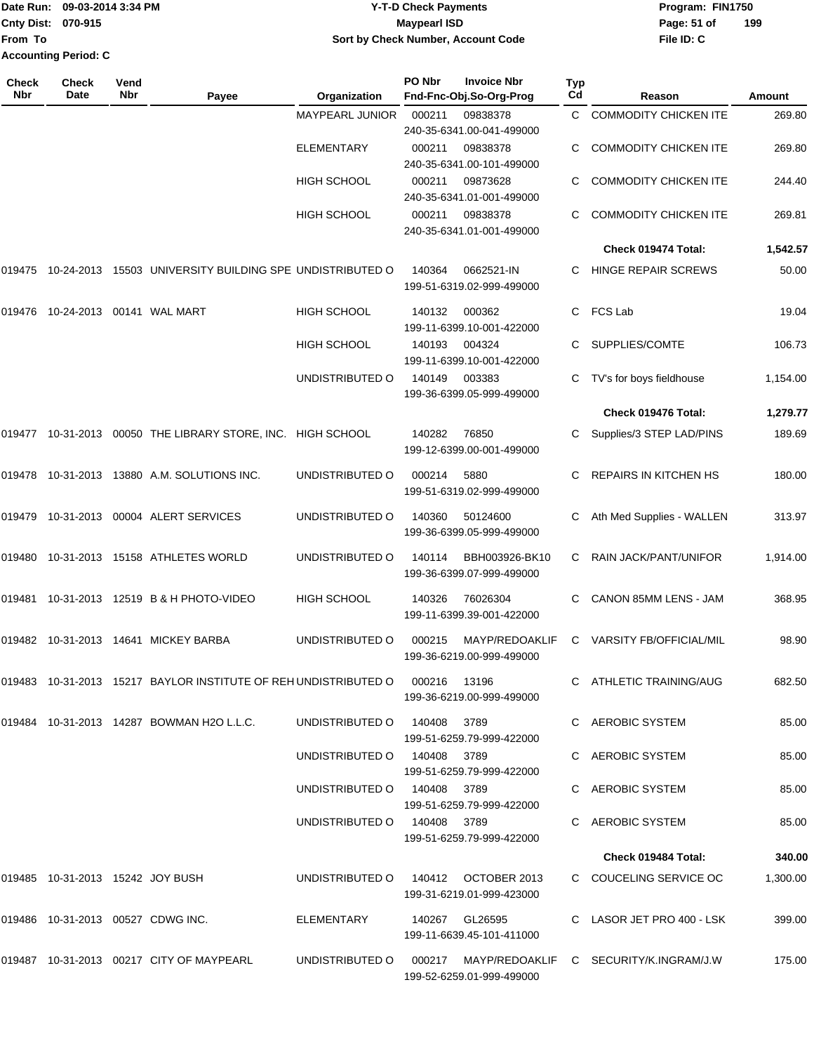|                             | Date Run: 09-03-2014 3:34 PM |  |  |  |  |
|-----------------------------|------------------------------|--|--|--|--|
| Cnty Dist: 070-915          |                              |  |  |  |  |
| <b>From To</b>              |                              |  |  |  |  |
| <b>Accounting Period: C</b> |                              |  |  |  |  |

## **Date Run: Program: FIN1750 09-03-2014 3:34 PM Y-T-D Check Payments Cnty Dist: Page: 51 of 070-915 Maypearl ISD Sort by Check Number, Account Code**

| <b>Check</b><br>Nbr | <b>Check</b><br>Date             | Vend<br>Nbr | Payee                                                                    | Organization                        | PO Nbr | <b>Invoice Nbr</b><br>Fnd-Fnc-Obj.So-Org-Prog | <b>Typ</b><br>Cd | Reason                                                        | Amount   |
|---------------------|----------------------------------|-------------|--------------------------------------------------------------------------|-------------------------------------|--------|-----------------------------------------------|------------------|---------------------------------------------------------------|----------|
|                     |                                  |             |                                                                          | <b>MAYPEARL JUNIOR</b>              | 000211 | 09838378<br>240-35-6341.00-041-499000         | C.               | <b>COMMODITY CHICKEN ITE</b>                                  | 269.80   |
|                     |                                  |             |                                                                          | <b>ELEMENTARY</b>                   | 000211 | 09838378<br>240-35-6341.00-101-499000         | C.               | <b>COMMODITY CHICKEN ITE</b>                                  | 269.80   |
|                     |                                  |             |                                                                          | <b>HIGH SCHOOL</b>                  | 000211 | 09873628<br>240-35-6341.01-001-499000         | C.               | <b>COMMODITY CHICKEN ITE</b>                                  | 244.40   |
|                     |                                  |             |                                                                          | <b>HIGH SCHOOL</b>                  | 000211 | 09838378<br>240-35-6341.01-001-499000         | C.               | <b>COMMODITY CHICKEN ITE</b>                                  | 269.81   |
|                     |                                  |             |                                                                          |                                     |        |                                               |                  | Check 019474 Total:                                           | 1,542.57 |
| 019475              | 10-24-2013                       |             | 15503 UNIVERSITY BUILDING SPE UNDISTRIBUTED O                            |                                     | 140364 | 0662521-IN<br>199-51-6319.02-999-499000       | C.               | <b>HINGE REPAIR SCREWS</b>                                    | 50.00    |
| 019476              |                                  |             | 10-24-2013 00141 WAL MART                                                | <b>HIGH SCHOOL</b>                  | 140132 | 000362<br>199-11-6399.10-001-422000           | C                | FCS Lab                                                       | 19.04    |
|                     |                                  |             |                                                                          | <b>HIGH SCHOOL</b>                  | 140193 | 004324<br>199-11-6399.10-001-422000           |                  | SUPPLIES/COMTE                                                | 106.73   |
|                     |                                  |             |                                                                          | UNDISTRIBUTED O                     | 140149 | 003383<br>199-36-6399.05-999-499000           | C.               | TV's for boys fieldhouse                                      | 1,154.00 |
|                     |                                  |             |                                                                          |                                     |        |                                               |                  | Check 019476 Total:                                           | 1,279.77 |
| 019477              |                                  |             | 10-31-2013 00050 THE LIBRARY STORE, INC. HIGH SCHOOL                     |                                     | 140282 | 76850<br>199-12-6399.00-001-499000            | C.               | Supplies/3 STEP LAD/PINS                                      | 189.69   |
|                     |                                  |             | 019478 10-31-2013 13880 A.M. SOLUTIONS INC.                              | UNDISTRIBUTED O                     | 000214 | 5880<br>199-51-6319.02-999-499000             | C.               | <b>REPAIRS IN KITCHEN HS</b>                                  | 180.00   |
|                     |                                  |             | 019479 10-31-2013 00004 ALERT SERVICES                                   | UNDISTRIBUTED O                     | 140360 | 50124600<br>199-36-6399.05-999-499000         | C                | Ath Med Supplies - WALLEN                                     | 313.97   |
| 019480              |                                  |             | 10-31-2013  15158  ATHLETES WORLD                                        | UNDISTRIBUTED O                     | 140114 | BBH003926-BK10<br>199-36-6399.07-999-499000   | C                | RAIN JACK/PANT/UNIFOR                                         | 1,914.00 |
| 019481              |                                  |             | 10-31-2013 12519 B & H PHOTO-VIDEO                                       | <b>HIGH SCHOOL</b>                  | 140326 | 76026304<br>199-11-6399.39-001-422000         | C                | CANON 85MM LENS - JAM                                         | 368.95   |
| 019482              |                                  |             | 10-31-2013  14641  MICKEY BARBA                                          | UNDISTRIBUTED O                     | 000215 | MAYP/REDOAKLIF<br>199-36-6219.00-999-499000   | C                | <b>VARSITY FB/OFFICIAL/MIL</b>                                | 98.90    |
|                     |                                  |             | 019483  10-31-2013  15217  BAYLOR INSTITUTE OF REH UNDISTRIBUTED  000216 |                                     |        | 13196<br>199-36-6219.00-999-499000            |                  | C ATHLETIC TRAINING/AUG                                       | 682.50   |
|                     |                                  |             | 019484 10-31-2013 14287 BOWMAN H2O L.L.C.                                | UNDISTRIBUTED 0 140408 3789         |        | 199-51-6259.79-999-422000                     |                  | C AEROBIC SYSTEM                                              | 85.00    |
|                     |                                  |             |                                                                          | UNDISTRIBUTED O 140408 3789         |        | 199-51-6259.79-999-422000                     |                  | C AEROBIC SYSTEM                                              | 85.00    |
|                     |                                  |             |                                                                          | UNDISTRIBUTED O 140408 3789         |        | 199-51-6259.79-999-422000                     |                  | C AEROBIC SYSTEM                                              | 85.00    |
|                     |                                  |             |                                                                          | UNDISTRIBUTED O 140408 3789         |        | 199-51-6259.79-999-422000                     |                  | C AEROBIC SYSTEM                                              | 85.00    |
|                     |                                  |             |                                                                          |                                     |        |                                               |                  | Check 019484 Total:                                           | 340.00   |
|                     | 019485 10-31-2013 15242 JOY BUSH |             |                                                                          | UNDISTRIBUTED O 140412 OCTOBER 2013 |        | 199-31-6219.01-999-423000                     |                  | C COUCELING SERVICE OC                                        | 1,300.00 |
|                     |                                  |             | 019486 10-31-2013 00527 CDWG INC.                                        | ELEMENTARY                          |        | 140267 GL26595<br>199-11-6639.45-101-411000   |                  | C LASOR JET PRO 400 - LSK                                     | 399.00   |
|                     |                                  |             | 019487 10-31-2013 00217 CITY OF MAYPEARL                                 |                                     |        | 199-52-6259.01-999-499000                     |                  | UNDISTRIBUTED O 000217 MAYP/REDOAKLIF C SECURITY/K.INGRAM/J.W | 175.00   |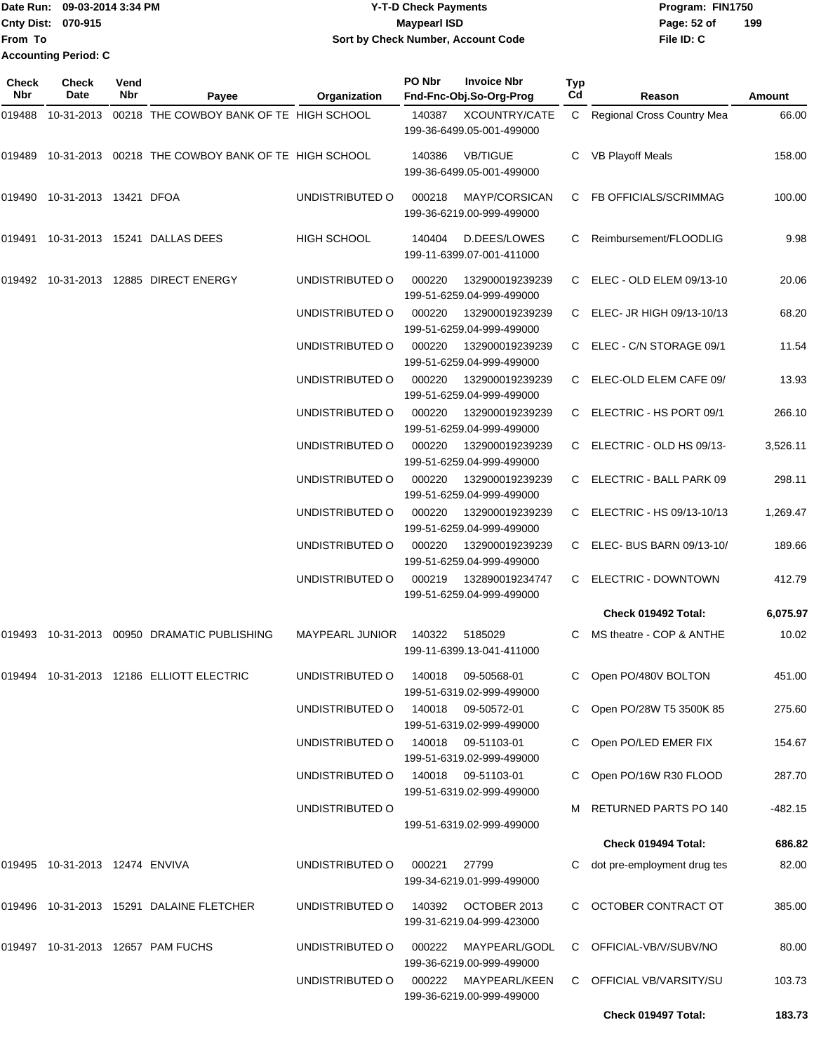|                           | Date Run: 09-03-2014 3:34 PM | <b>Y-T-D Check Payments</b>        | Program: FIN1750   |
|---------------------------|------------------------------|------------------------------------|--------------------|
| <b>Cnty Dist: 070-915</b> |                              | Maypearl ISD                       | 199<br>Page: 52 of |
| <b>IFrom To</b>           |                              | Sort by Check Number, Account Code | File ID: C         |
|                           | Accounting Period: C         |                                    |                    |

| Check<br><b>Nbr</b> | <b>Check</b><br>Date            | Vend<br>Nbr | Payee                                              | Organization           | PO Nbr | <b>Invoice Nbr</b><br>Fnd-Fnc-Obj.So-Org-Prog     | <b>Typ</b><br>Cd | Reason                       | Amount    |
|---------------------|---------------------------------|-------------|----------------------------------------------------|------------------------|--------|---------------------------------------------------|------------------|------------------------------|-----------|
| 019488              | 10-31-2013                      |             | 00218 THE COWBOY BANK OF TE HIGH SCHOOL            |                        | 140387 | <b>XCOUNTRY/CATE</b><br>199-36-6499.05-001-499000 |                  | C Regional Cross Country Mea | 66.00     |
| 019489              |                                 |             | 10-31-2013 00218 THE COWBOY BANK OF TE HIGH SCHOOL |                        | 140386 | <b>VB/TIGUE</b><br>199-36-6499.05-001-499000      | C                | <b>VB Playoff Meals</b>      | 158.00    |
|                     | 019490  10-31-2013  13421  DFOA |             |                                                    | UNDISTRIBUTED O        | 000218 | MAYP/CORSICAN<br>199-36-6219.00-999-499000        | C                | FB OFFICIALS/SCRIMMAG        | 100.00    |
| 019491              |                                 |             | 10-31-2013    15241    DALLAS DEES                 | <b>HIGH SCHOOL</b>     | 140404 | D.DEES/LOWES<br>199-11-6399.07-001-411000         | С                | Reimbursement/FLOODLIG       | 9.98      |
| 019492              |                                 |             | 10-31-2013  12885  DIRECT ENERGY                   | UNDISTRIBUTED O        | 000220 | 132900019239239<br>199-51-6259.04-999-499000      | C.               | ELEC - OLD ELEM 09/13-10     | 20.06     |
|                     |                                 |             |                                                    | UNDISTRIBUTED O        | 000220 | 132900019239239<br>199-51-6259.04-999-499000      |                  | C ELEC- JR HIGH 09/13-10/13  | 68.20     |
|                     |                                 |             |                                                    | UNDISTRIBUTED O        | 000220 | 132900019239239<br>199-51-6259.04-999-499000      |                  | C ELEC - C/N STORAGE 09/1    | 11.54     |
|                     |                                 |             |                                                    | UNDISTRIBUTED O        | 000220 | 132900019239239<br>199-51-6259.04-999-499000      | C                | ELEC-OLD ELEM CAFE 09/       | 13.93     |
|                     |                                 |             |                                                    | UNDISTRIBUTED O        | 000220 | 132900019239239<br>199-51-6259.04-999-499000      | C                | ELECTRIC - HS PORT 09/1      | 266.10    |
|                     |                                 |             |                                                    | UNDISTRIBUTED O        | 000220 | 132900019239239<br>199-51-6259.04-999-499000      | C                | ELECTRIC - OLD HS 09/13-     | 3,526.11  |
|                     |                                 |             |                                                    | UNDISTRIBUTED O        | 000220 | 132900019239239<br>199-51-6259.04-999-499000      | C                | ELECTRIC - BALL PARK 09      | 298.11    |
|                     |                                 |             |                                                    | UNDISTRIBUTED O        | 000220 | 132900019239239<br>199-51-6259.04-999-499000      | C.               | ELECTRIC - HS 09/13-10/13    | 1,269.47  |
|                     |                                 |             |                                                    | UNDISTRIBUTED O        | 000220 | 132900019239239<br>199-51-6259.04-999-499000      | C                | ELEC- BUS BARN 09/13-10/     | 189.66    |
|                     |                                 |             |                                                    | UNDISTRIBUTED O        | 000219 | 132890019234747<br>199-51-6259.04-999-499000      | C                | ELECTRIC - DOWNTOWN          | 412.79    |
|                     |                                 |             |                                                    |                        |        |                                                   |                  | Check 019492 Total:          | 6,075.97  |
| 019493              |                                 |             | 10-31-2013 00950 DRAMATIC PUBLISHING               | <b>MAYPEARL JUNIOR</b> | 140322 | 5185029<br>199-11-6399.13-041-411000              | C                | MS theatre - COP & ANTHE     | 10.02     |
|                     |                                 |             | 019494  10-31-2013  12186  ELLIOTT ELECTRIC        | UNDISTRIBUTED O        |        | 140018 09-50568-01<br>199-51-6319.02-999-499000   |                  | C Open PO/480V BOLTON        | 451.00    |
|                     |                                 |             |                                                    | UNDISTRIBUTED O        |        | 140018 09-50572-01<br>199-51-6319.02-999-499000   |                  | Open PO/28W T5 3500K 85      | 275.60    |
|                     |                                 |             |                                                    | UNDISTRIBUTED O        |        | 140018 09-51103-01<br>199-51-6319.02-999-499000   | C.               | Open PO/LED EMER FIX         | 154.67    |
|                     |                                 |             |                                                    | UNDISTRIBUTED O        |        | 140018 09-51103-01<br>199-51-6319.02-999-499000   | C.               | Open PO/16W R30 FLOOD        | 287.70    |
|                     |                                 |             |                                                    | UNDISTRIBUTED O        |        | 199-51-6319.02-999-499000                         |                  | RETURNED PARTS PO 140        | $-482.15$ |
|                     |                                 |             |                                                    |                        |        |                                                   |                  | Check 019494 Total:          | 686.82    |
|                     | 019495 10-31-2013 12474 ENVIVA  |             |                                                    | UNDISTRIBUTED O        | 000221 | 27799<br>199-34-6219.01-999-499000                |                  | dot pre-employment drug tes  | 82.00     |
|                     |                                 |             | 019496 10-31-2013 15291 DALAINE FLETCHER           | UNDISTRIBUTED O        |        | 140392 OCTOBER 2013<br>199-31-6219.04-999-423000  | C                | OCTOBER CONTRACT OT          | 385.00    |
|                     |                                 |             | 019497 10-31-2013 12657 PAM FUCHS                  | UNDISTRIBUTED O        | 000222 | MAYPEARL/GODL<br>199-36-6219.00-999-499000        | C                | OFFICIAL-VB/V/SUBV/NO        | 80.00     |
|                     |                                 |             |                                                    | UNDISTRIBUTED O        |        | 000222 MAYPEARL/KEEN<br>199-36-6219.00-999-499000 |                  | C OFFICIAL VB/VARSITY/SU     | 103.73    |
|                     |                                 |             |                                                    |                        |        |                                                   |                  | Check 019497 Total:          | 183.73    |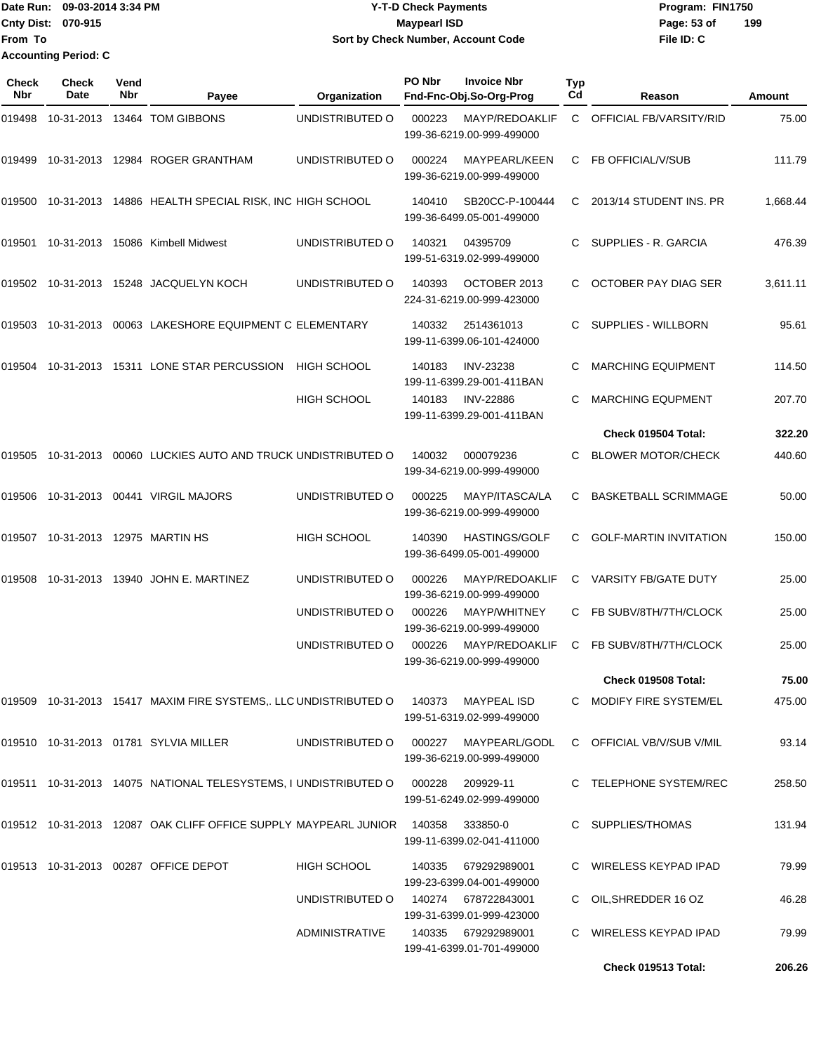|                             | Date Run: 09-03-2014 3:34 PM | <b>Y-T-D Check Payments</b>        | Program: FIN1750   |
|-----------------------------|------------------------------|------------------------------------|--------------------|
| Cnty Dist: 070-915          |                              | <b>Mavpearl ISD</b>                | 199<br>Page: 53 of |
| lFrom To                    |                              | Sort by Check Number, Account Code | File ID: C         |
| <b>Accounting Period: C</b> |                              |                                    |                    |

| Check<br>Nbr | <b>Check</b><br>Date | Vend<br>Nbr | Payee                                                                   | Organization       | PO Nbr | <b>Invoice Nbr</b><br>Fnd-Fnc-Obj.So-Org-Prog     | Typ<br>Cd | Reason                        | Amount   |
|--------------|----------------------|-------------|-------------------------------------------------------------------------|--------------------|--------|---------------------------------------------------|-----------|-------------------------------|----------|
| 019498       |                      |             | 10-31-2013 13464 TOM GIBBONS                                            | UNDISTRIBUTED O    | 000223 | MAYP/REDOAKLIF<br>199-36-6219.00-999-499000       | C.        | OFFICIAL FB/VARSITY/RID       | 75.00    |
| 019499       |                      |             | 10-31-2013  12984  ROGER GRANTHAM                                       | UNDISTRIBUTED O    | 000224 | MAYPEARL/KEEN<br>199-36-6219.00-999-499000        | C         | <b>FB OFFICIAL/V/SUB</b>      | 111.79   |
| 019500       |                      |             | 10-31-2013 14886 HEALTH SPECIAL RISK, INC HIGH SCHOOL                   |                    | 140410 | SB20CC-P-100444<br>199-36-6499.05-001-499000      | C         | 2013/14 STUDENT INS. PR       | 1,668.44 |
| 019501       |                      |             | 10-31-2013 15086 Kimbell Midwest                                        | UNDISTRIBUTED O    | 140321 | 04395709<br>199-51-6319.02-999-499000             | C         | SUPPLIES - R. GARCIA          | 476.39   |
|              |                      |             | 019502 10-31-2013 15248 JACQUELYN KOCH                                  | UNDISTRIBUTED O    | 140393 | OCTOBER 2013<br>224-31-6219.00-999-423000         | C         | OCTOBER PAY DIAG SER          | 3,611.11 |
| 019503       |                      |             | 10-31-2013 00063 LAKESHORE EQUIPMENT C ELEMENTARY                       |                    | 140332 | 2514361013<br>199-11-6399.06-101-424000           | C         | SUPPLIES - WILLBORN           | 95.61    |
| 019504       |                      |             | 10-31-2013 15311 LONE STAR PERCUSSION                                   | <b>HIGH SCHOOL</b> | 140183 | <b>INV-23238</b><br>199-11-6399.29-001-411BAN     |           | <b>MARCHING EQUIPMENT</b>     | 114.50   |
|              |                      |             |                                                                         | <b>HIGH SCHOOL</b> | 140183 | <b>INV-22886</b><br>199-11-6399.29-001-411BAN     | C.        | <b>MARCHING EQUPMENT</b>      | 207.70   |
|              |                      |             |                                                                         |                    |        |                                                   |           | Check 019504 Total:           | 322.20   |
| 019505       |                      |             | 10-31-2013  00060 LUCKIES AUTO AND TRUCK UNDISTRIBUTED O                |                    | 140032 | 000079236<br>199-34-6219.00-999-499000            | C         | <b>BLOWER MOTOR/CHECK</b>     | 440.60   |
| 019506       |                      |             | 10-31-2013    00441    VIRGIL MAJORS                                    | UNDISTRIBUTED O    | 000225 | MAYP/ITASCA/LA<br>199-36-6219.00-999-499000       | C         | <b>BASKETBALL SCRIMMAGE</b>   | 50.00    |
| 019507       |                      |             | 10-31-2013 12975 MARTIN HS                                              | HIGH SCHOOL        | 140390 | <b>HASTINGS/GOLF</b><br>199-36-6499.05-001-499000 | C         | <b>GOLF-MARTIN INVITATION</b> | 150.00   |
| 019508       |                      |             | 10-31-2013  13940  JOHN E. MARTINEZ                                     | UNDISTRIBUTED O    | 000226 | MAYP/REDOAKLIF<br>199-36-6219.00-999-499000       | C         | <b>VARSITY FB/GATE DUTY</b>   | 25.00    |
|              |                      |             |                                                                         | UNDISTRIBUTED O    | 000226 | MAYP/WHITNEY<br>199-36-6219.00-999-499000         | C         | FB SUBV/8TH/7TH/CLOCK         | 25.00    |
|              |                      |             |                                                                         | UNDISTRIBUTED O    | 000226 | MAYP/REDOAKLIF<br>199-36-6219.00-999-499000       | C         | FB SUBV/8TH/7TH/CLOCK         | 25.00    |
|              |                      |             |                                                                         |                    |        |                                                   |           | Check 019508 Total:           | 75.00    |
|              |                      |             | 019509 10-31-2013 15417 MAXIM FIRE SYSTEMS,. LLC UNDISTRIBUTED O 140373 |                    |        | MAYPEAL ISD<br>199-51-6319.02-999-499000          |           | C MODIFY FIRE SYSTEM/EL       | 475.00   |
|              |                      |             | 019510 10-31-2013 01781 SYLVIA MILLER                                   | UNDISTRIBUTED O    | 000227 | MAYPEARL/GODL<br>199-36-6219.00-999-499000        |           | C OFFICIAL VB/V/SUB V/MIL     | 93.14    |
|              |                      |             | 019511 10-31-2013 14075 NATIONAL TELESYSTEMS, I UNDISTRIBUTED O         |                    | 000228 | 209929-11<br>199-51-6249.02-999-499000            |           | C TELEPHONE SYSTEM/REC        | 258.50   |
|              |                      |             | 019512 10-31-2013 12087 OAK CLIFF OFFICE SUPPLY MAYPEARL JUNIOR 140358  |                    |        | 333850-0<br>199-11-6399.02-041-411000             |           | SUPPLIES/THOMAS               | 131.94   |
|              |                      |             | 019513 10-31-2013 00287 OFFICE DEPOT                                    | HIGH SCHOOL        |        | 140335 679292989001<br>199-23-6399.04-001-499000  |           | C WIRELESS KEYPAD IPAD        | 79.99    |
|              |                      |             |                                                                         | UNDISTRIBUTED O    |        | 140274 678722843001<br>199-31-6399.01-999-423000  |           | C OIL, SHREDDER 16 OZ         | 46.28    |
|              |                      |             |                                                                         | ADMINISTRATIVE     |        | 140335 679292989001<br>199-41-6399.01-701-499000  |           | C WIRELESS KEYPAD IPAD        | 79.99    |
|              |                      |             |                                                                         |                    |        |                                                   |           | Check 019513 Total:           | 206.26   |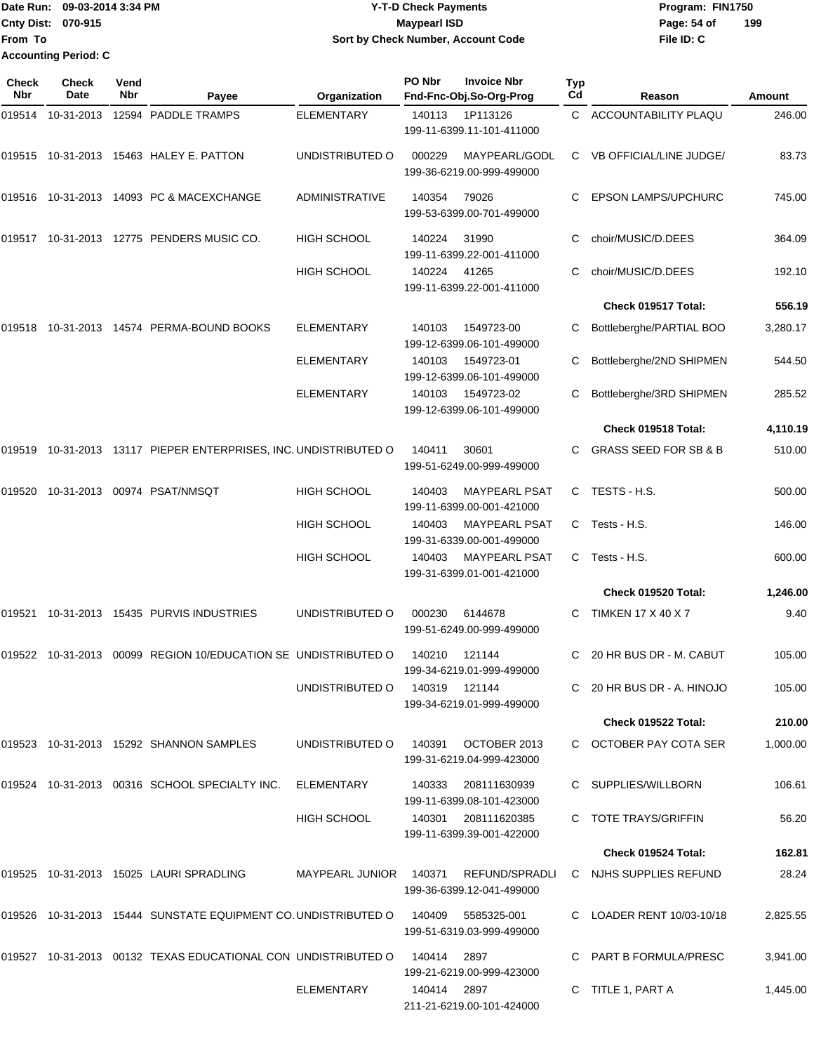|                             | Date Run: 09-03-2014 3:34 PM | <b>Y-T-D Check Payments</b>        | Program: FIN1750   |  |
|-----------------------------|------------------------------|------------------------------------|--------------------|--|
| <b>Cnty Dist: 070-915</b>   |                              | Maypearl ISD                       | 199<br>Page: 54 of |  |
| <b>IFrom To</b>             |                              | Sort by Check Number, Account Code | File ID: C         |  |
| <b>Accounting Period: C</b> |                              |                                    |                    |  |

| <b>Check</b><br><b>Nbr</b> | <b>Check</b><br>Date | Vend<br><b>Nbr</b> | Payee                                                          | Organization          | PO Nbr        | <b>Invoice Nbr</b><br>Fnd-Fnc-Obj.So-Org-Prog     | <b>Typ</b><br>Cd | Reason                           | <b>Amount</b> |
|----------------------------|----------------------|--------------------|----------------------------------------------------------------|-----------------------|---------------|---------------------------------------------------|------------------|----------------------------------|---------------|
| 019514                     | 10-31-2013           |                    | 12594 PADDLE TRAMPS                                            | <b>ELEMENTARY</b>     | 140113        | 1P113126<br>199-11-6399.11-101-411000             | C.               | <b>ACCOUNTABILITY PLAQU</b>      | 246.00        |
| 019515                     |                      |                    | 10-31-2013  15463  HALEY E. PATTON                             | UNDISTRIBUTED O       | 000229        | MAYPEARL/GODL<br>199-36-6219.00-999-499000        | C                | <b>VB OFFICIAL/LINE JUDGE/</b>   | 83.73         |
|                            |                      |                    | 019516 10-31-2013 14093 PC & MACEXCHANGE                       | <b>ADMINISTRATIVE</b> | 140354        | 79026<br>199-53-6399.00-701-499000                |                  | <b>EPSON LAMPS/UPCHURC</b>       | 745.00        |
| 019517                     |                      |                    | 10-31-2013 12775 PENDERS MUSIC CO.                             | <b>HIGH SCHOOL</b>    | 140224        | 31990<br>199-11-6399.22-001-411000                | C                | choir/MUSIC/D.DEES               | 364.09        |
|                            |                      |                    |                                                                | <b>HIGH SCHOOL</b>    | 140224        | 41265<br>199-11-6399.22-001-411000                |                  | choir/MUSIC/D.DEES               | 192.10        |
|                            |                      |                    |                                                                |                       |               |                                                   |                  | Check 019517 Total:              | 556.19        |
| 019518                     |                      |                    | 10-31-2013  14574  PERMA-BOUND BOOKS                           | <b>ELEMENTARY</b>     | 140103        | 1549723-00<br>199-12-6399.06-101-499000           |                  | Bottleberghe/PARTIAL BOO         | 3,280.17      |
|                            |                      |                    |                                                                | <b>ELEMENTARY</b>     | 140103        | 1549723-01<br>199-12-6399.06-101-499000           | С                | Bottleberghe/2ND SHIPMEN         | 544.50        |
|                            |                      |                    |                                                                | <b>ELEMENTARY</b>     | 140103        | 1549723-02<br>199-12-6399.06-101-499000           | C                | Bottleberghe/3RD SHIPMEN         | 285.52        |
|                            |                      |                    |                                                                |                       |               |                                                   |                  | Check 019518 Total:              | 4,110.19      |
| 019519                     |                      |                    | 10-31-2013 13117 PIEPER ENTERPRISES, INC. UNDISTRIBUTED O      |                       | 140411        | 30601<br>199-51-6249.00-999-499000                | C.               | <b>GRASS SEED FOR SB &amp; B</b> | 510.00        |
| 019520                     |                      |                    | 10-31-2013 00974 PSAT/NMSQT                                    | <b>HIGH SCHOOL</b>    | 140403        | <b>MAYPEARL PSAT</b><br>199-11-6399.00-001-421000 | C.               | TESTS - H.S.                     | 500.00        |
|                            |                      |                    |                                                                | <b>HIGH SCHOOL</b>    | 140403        | <b>MAYPEARL PSAT</b><br>199-31-6339.00-001-499000 | C                | Tests - H.S.                     | 146.00        |
|                            |                      |                    |                                                                | <b>HIGH SCHOOL</b>    | 140403        | <b>MAYPEARL PSAT</b><br>199-31-6399.01-001-421000 | C                | Tests - H.S.                     | 600.00        |
|                            |                      |                    |                                                                |                       |               |                                                   |                  | Check 019520 Total:              | 1,246.00      |
| 019521                     |                      |                    | 10-31-2013  15435  PURVIS INDUSTRIES                           | UNDISTRIBUTED O       | 000230        | 6144678<br>199-51-6249.00-999-499000              | C                | <b>TIMKEN 17 X 40 X 7</b>        | 9.40          |
|                            |                      |                    | 019522 10-31-2013 00099 REGION 10/EDUCATION SE UNDISTRIBUTED O |                       | 140210        | 121144<br>199-34-6219.01-999-499000               |                  | 20 HR BUS DR - M. CABUT          | 105.00        |
|                            |                      |                    |                                                                | UNDISTRIBUTED O       | 140319 121144 | 199-34-6219.01-999-499000                         |                  | C 20 HR BUS DR - A. HINOJO       | 105.00        |
|                            |                      |                    |                                                                |                       |               |                                                   |                  | Check 019522 Total:              | 210.00        |
|                            |                      |                    | 019523 10-31-2013 15292 SHANNON SAMPLES                        | UNDISTRIBUTED O       | 140391        | OCTOBER 2013<br>199-31-6219.04-999-423000         |                  | C OCTOBER PAY COTA SER           | 1,000.00      |
|                            |                      |                    | 019524 10-31-2013 00316 SCHOOL SPECIALTY INC.                  | <b>ELEMENTARY</b>     | 140333        | 208111630939<br>199-11-6399.08-101-423000         |                  | C SUPPLIES/WILLBORN              | 106.61        |
|                            |                      |                    |                                                                | <b>HIGH SCHOOL</b>    | 140301        | 208111620385<br>199-11-6399.39-001-422000         |                  | C TOTE TRAYS/GRIFFIN             | 56.20         |
|                            |                      |                    |                                                                |                       |               |                                                   |                  | Check 019524 Total:              | 162.81        |
|                            |                      |                    | 019525 10-31-2013 15025 LAURI SPRADLING                        | MAYPEARL JUNIOR       | 140371        | REFUND/SPRADLI<br>199-36-6399.12-041-499000       |                  | C NJHS SUPPLIES REFUND           | 28.24         |
|                            |                      |                    | 019526 10-31-2013 15444 SUNSTATE EQUIPMENT CO. UNDISTRIBUTED O |                       | 140409        | 5585325-001<br>199-51-6319.03-999-499000          |                  | C LOADER RENT 10/03-10/18        | 2,825.55      |
|                            |                      |                    |                                                                |                       | 140414        | 2897<br>199-21-6219.00-999-423000                 |                  | C PART B FORMULA/PRESC           | 3,941.00      |
|                            |                      |                    |                                                                | ELEMENTARY            | 140414 2897   | 211-21-6219.00-101-424000                         |                  | C TITLE 1, PART A                | 1,445.00      |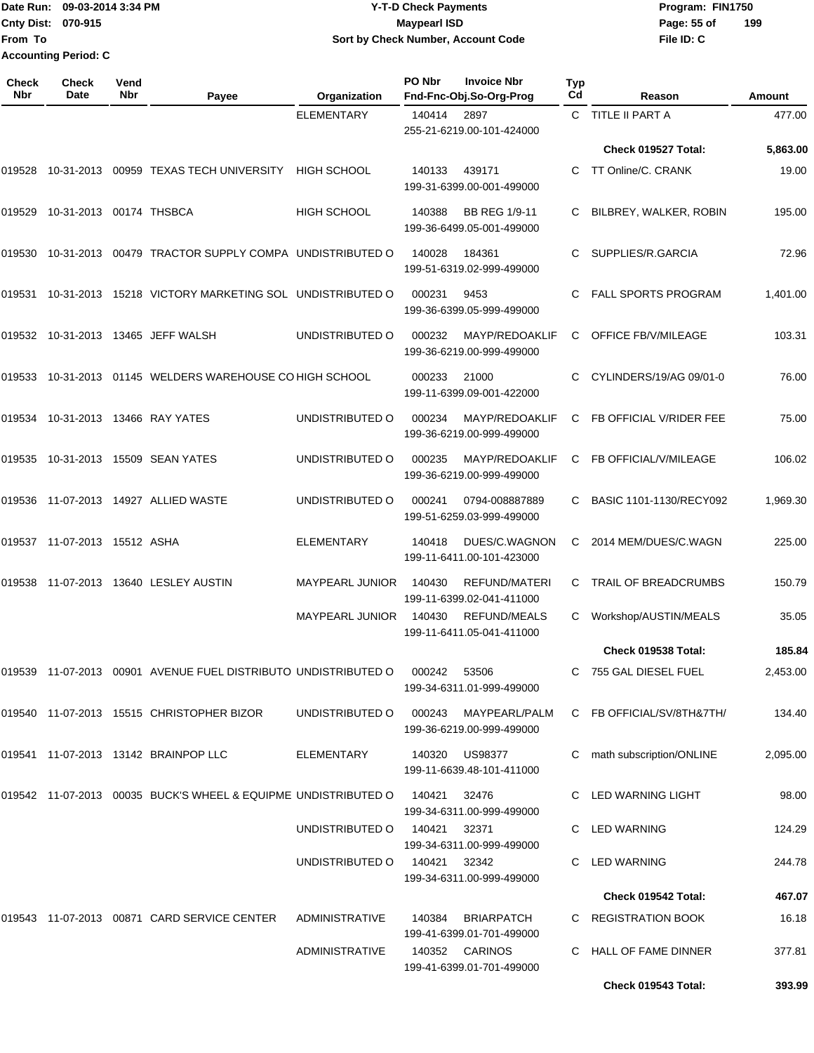## Date Run: 09-03-2014 3:34 PM **Program:** FIN1750 **Cnty Dist:** 070-915 **Page: 55 of Y-T-D Check Payments 070-915 Maypearl ISD Sort by Check Number, Account Code**

| Check<br>Nbr | <b>Check</b><br>Date    | Vend<br>Nbr | Payee                                                          | Organization           | PO Nbr | <b>Invoice Nbr</b><br>Fnd-Fnc-Obj.So-Org-Prog     | <b>Typ</b><br>Cd | Reason                     | Amount   |
|--------------|-------------------------|-------------|----------------------------------------------------------------|------------------------|--------|---------------------------------------------------|------------------|----------------------------|----------|
|              |                         |             |                                                                | <b>ELEMENTARY</b>      | 140414 | 2897<br>255-21-6219.00-101-424000                 |                  | C TITLE II PART A          | 477.00   |
|              |                         |             |                                                                |                        |        |                                                   |                  | Check 019527 Total:        | 5,863.00 |
| 019528       |                         |             | 10-31-2013 00959 TEXAS TECH UNIVERSITY                         | <b>HIGH SCHOOL</b>     | 140133 | 439171<br>199-31-6399.00-001-499000               | C.               | TT Online/C. CRANK         | 19.00    |
| 019529       | 10-31-2013 00174 THSBCA |             |                                                                | <b>HIGH SCHOOL</b>     | 140388 | <b>BB REG 1/9-11</b><br>199-36-6499.05-001-499000 | C                | BILBREY, WALKER, ROBIN     | 195.00   |
| 019530       |                         |             | 10-31-2013 00479 TRACTOR SUPPLY COMPA UNDISTRIBUTED O          |                        | 140028 | 184361<br>199-51-6319.02-999-499000               |                  | SUPPLIES/R.GARCIA          | 72.96    |
| 019531       |                         |             | 10-31-2013 15218 VICTORY MARKETING SOL UNDISTRIBUTED O         |                        | 000231 | 9453<br>199-36-6399.05-999-499000                 | C                | <b>FALL SPORTS PROGRAM</b> | 1,401.00 |
|              |                         |             | 019532 10-31-2013 13465 JEFF WALSH                             | UNDISTRIBUTED O        | 000232 | MAYP/REDOAKLIF<br>199-36-6219.00-999-499000       | C                | OFFICE FB/V/MILEAGE        | 103.31   |
| 019533       |                         |             | 10-31-2013 01145 WELDERS WAREHOUSE CO HIGH SCHOOL              |                        | 000233 | 21000<br>199-11-6399.09-001-422000                | С                | CYLINDERS/19/AG 09/01-0    | 76.00    |
| 019534       |                         |             | 10-31-2013 13466 RAY YATES                                     | UNDISTRIBUTED O        | 000234 | MAYP/REDOAKLIF<br>199-36-6219.00-999-499000       | C                | FB OFFICIAL V/RIDER FEE    | 75.00    |
| 019535       |                         |             | 10-31-2013 15509 SEAN YATES                                    | UNDISTRIBUTED O        | 000235 | MAYP/REDOAKLIF<br>199-36-6219.00-999-499000       | C                | FB OFFICIAL/V/MILEAGE      | 106.02   |
| 019536       |                         |             | 11-07-2013  14927  ALLIED WASTE                                | UNDISTRIBUTED O        | 000241 | 0794-008887889<br>199-51-6259.03-999-499000       | C.               | BASIC 1101-1130/RECY092    | 1,969.30 |
| 019537       | 11-07-2013 15512 ASHA   |             |                                                                | <b>ELEMENTARY</b>      | 140418 | DUES/C.WAGNON<br>199-11-6411.00-101-423000        | C                | 2014 MEM/DUES/C.WAGN       | 225.00   |
| 019538       |                         |             | 11-07-2013  13640  LESLEY AUSTIN                               | <b>MAYPEARL JUNIOR</b> | 140430 | REFUND/MATERI<br>199-11-6399.02-041-411000        | C                | TRAIL OF BREADCRUMBS       | 150.79   |
|              |                         |             |                                                                | <b>MAYPEARL JUNIOR</b> | 140430 | REFUND/MEALS<br>199-11-6411.05-041-411000         |                  | Workshop/AUSTIN/MEALS      | 35.05    |
|              |                         |             |                                                                |                        |        |                                                   |                  | <b>Check 019538 Total:</b> | 185.84   |
|              |                         |             | 019539 11-07-2013 00901 AVENUE FUEL DISTRIBUTO UNDISTRIBUTED O |                        | 000242 | 53506<br>199-34-6311.01-999-499000                |                  | C 755 GAL DIESEL FUEL      | 2,453.00 |
|              |                         |             | 019540 11-07-2013 15515 CHRISTOPHER BIZOR                      | UNDISTRIBUTED O        | 000243 | MAYPEARL/PALM<br>199-36-6219.00-999-499000        |                  | C FB OFFICIAL/SV/8TH&7TH/  | 134.40   |
|              |                         |             | 019541 11-07-2013 13142 BRAINPOP LLC                           | ELEMENTARY             | 140320 | US98377<br>199-11-6639.48-101-411000              | C                | math subscription/ONLINE   | 2,095.00 |
|              |                         |             | 019542 11-07-2013 00035 BUCK'S WHEEL & EQUIPME UNDISTRIBUTED O |                        | 140421 | 32476<br>199-34-6311.00-999-499000                |                  | C LED WARNING LIGHT        | 98.00    |
|              |                         |             |                                                                | UNDISTRIBUTED O        | 140421 | 32371<br>199-34-6311.00-999-499000                |                  | C LED WARNING              | 124.29   |
|              |                         |             |                                                                | UNDISTRIBUTED O        | 140421 | 32342<br>199-34-6311.00-999-499000                |                  | C LED WARNING              | 244.78   |
|              |                         |             |                                                                |                        |        |                                                   |                  | Check 019542 Total:        | 467.07   |
|              |                         |             | 019543 11-07-2013 00871 CARD SERVICE CENTER                    | <b>ADMINISTRATIVE</b>  | 140384 | <b>BRIARPATCH</b><br>199-41-6399.01-701-499000    |                  | C REGISTRATION BOOK        | 16.18    |
|              |                         |             |                                                                | ADMINISTRATIVE         |        | 140352 CARINOS<br>199-41-6399.01-701-499000       |                  | HALL OF FAME DINNER        | 377.81   |
|              |                         |             |                                                                |                        |        |                                                   |                  | Check 019543 Total:        | 393.99   |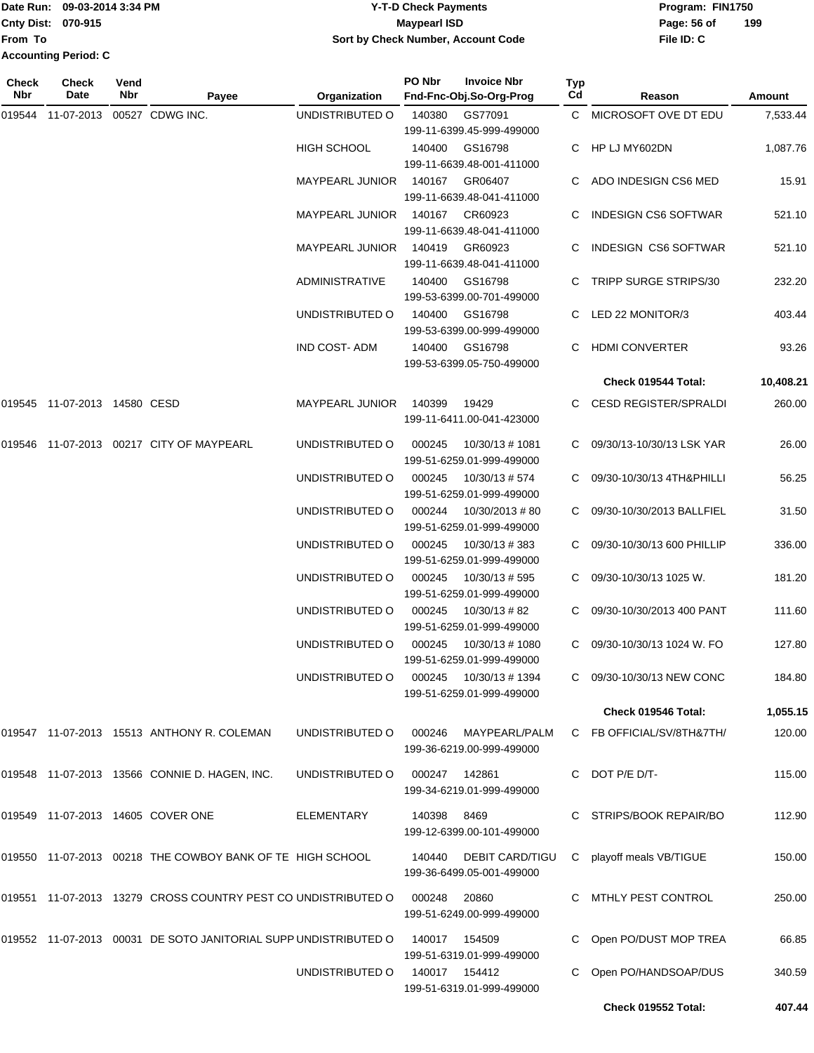## Date Run: 09-03-2014 3:34 PM **Program:** FIN1750 **Cnty Dist:** 070-915 **Page: 56 of MaypearI ISD Page: 56 of Y-T-D Check Payments 070-915 Maypearl ISD Sort by Check Number, Account Code**

| <b>Check</b><br>Nbr | Check<br>Date                | Vend<br>Nbr | Payee                                                           | Organization           | PO Nbr         | <b>Invoice Nbr</b><br>Fnd-Fnc-Obj.So-Org-Prog | Typ<br>Cd | Reason                      | Amount    |
|---------------------|------------------------------|-------------|-----------------------------------------------------------------|------------------------|----------------|-----------------------------------------------|-----------|-----------------------------|-----------|
|                     | 019544 11-07-2013            |             | 00527 CDWG INC.                                                 | UNDISTRIBUTED O        | 140380         | GS77091                                       |           | C MICROSOFT OVE DT EDU      | 7,533.44  |
|                     |                              |             |                                                                 |                        |                | 199-11-6399.45-999-499000                     |           |                             |           |
|                     |                              |             |                                                                 | <b>HIGH SCHOOL</b>     | 140400         | GS16798                                       |           | HP LJ MY602DN               | 1,087.76  |
|                     |                              |             |                                                                 |                        |                | 199-11-6639.48-001-411000                     |           |                             |           |
|                     |                              |             |                                                                 | <b>MAYPEARL JUNIOR</b> | 140167         | GR06407                                       |           | ADO INDESIGN CS6 MED        | 15.91     |
|                     |                              |             |                                                                 |                        |                | 199-11-6639.48-041-411000                     |           |                             |           |
|                     |                              |             |                                                                 | <b>MAYPEARL JUNIOR</b> | 140167         | CR60923                                       |           | <b>INDESIGN CS6 SOFTWAR</b> | 521.10    |
|                     |                              |             |                                                                 |                        |                | 199-11-6639.48-041-411000                     |           |                             |           |
|                     |                              |             |                                                                 | <b>MAYPEARL JUNIOR</b> | 140419         | GR60923                                       |           | INDESIGN CS6 SOFTWAR        | 521.10    |
|                     |                              |             |                                                                 |                        |                | 199-11-6639.48-041-411000                     |           |                             |           |
|                     |                              |             |                                                                 | ADMINISTRATIVE         | 140400         | GS16798<br>199-53-6399.00-701-499000          |           | C TRIPP SURGE STRIPS/30     | 232.20    |
|                     |                              |             |                                                                 | UNDISTRIBUTED O        | 140400         | GS16798                                       |           | C LED 22 MONITOR/3          | 403.44    |
|                     |                              |             |                                                                 |                        |                | 199-53-6399.00-999-499000                     |           |                             |           |
|                     |                              |             |                                                                 | <b>IND COST-ADM</b>    | 140400         | GS16798                                       | C.        | <b>HDMI CONVERTER</b>       | 93.26     |
|                     |                              |             |                                                                 |                        |                | 199-53-6399.05-750-499000                     |           |                             |           |
|                     |                              |             |                                                                 |                        |                |                                               |           | Check 019544 Total:         | 10,408.21 |
|                     | 019545 11-07-2013 14580 CESD |             |                                                                 | <b>MAYPEARL JUNIOR</b> | 140399         | 19429                                         |           | CESD REGISTER/SPRALDI       | 260.00    |
|                     |                              |             |                                                                 |                        |                | 199-11-6411.00-041-423000                     |           |                             |           |
|                     |                              |             |                                                                 |                        |                |                                               |           |                             |           |
| 019546              |                              |             | 11-07-2013  00217  CITY OF MAYPEARL                             | UNDISTRIBUTED O        | 000245         | 10/30/13 # 1081                               | C.        | 09/30/13-10/30/13 LSK YAR   | 26.00     |
|                     |                              |             |                                                                 |                        |                | 199-51-6259.01-999-499000                     |           |                             |           |
|                     |                              |             |                                                                 | UNDISTRIBUTED O        | 000245         | 10/30/13 # 574<br>199-51-6259.01-999-499000   |           | 09/30-10/30/13 4TH&PHILLI   | 56.25     |
|                     |                              |             |                                                                 | UNDISTRIBUTED O        | 000244         | 10/30/2013 #80                                |           | 09/30-10/30/2013 BALLFIEL   | 31.50     |
|                     |                              |             |                                                                 |                        |                | 199-51-6259.01-999-499000                     |           |                             |           |
|                     |                              |             |                                                                 | UNDISTRIBUTED O        | 000245         | 10/30/13 # 383                                |           | 09/30-10/30/13 600 PHILLIP  | 336.00    |
|                     |                              |             |                                                                 |                        |                | 199-51-6259.01-999-499000                     |           |                             |           |
|                     |                              |             |                                                                 | UNDISTRIBUTED O        | 000245         | 10/30/13 # 595                                |           | 09/30-10/30/13 1025 W.      | 181.20    |
|                     |                              |             |                                                                 |                        |                | 199-51-6259.01-999-499000                     |           |                             |           |
|                     |                              |             |                                                                 | UNDISTRIBUTED O        | 000245         | 10/30/13 # 82                                 |           | 09/30-10/30/2013 400 PANT   | 111.60    |
|                     |                              |             |                                                                 |                        |                | 199-51-6259.01-999-499000                     |           |                             |           |
|                     |                              |             |                                                                 | UNDISTRIBUTED O        | 000245         | 10/30/13 # 1080                               | C.        | 09/30-10/30/13 1024 W. FO   | 127.80    |
|                     |                              |             |                                                                 |                        |                | 199-51-6259.01-999-499000                     |           |                             |           |
|                     |                              |             |                                                                 | UNDISTRIBUTED O        | 000245         | 10/30/13 # 1394                               |           | C 09/30-10/30/13 NEW CONC   | 184.80    |
|                     |                              |             |                                                                 |                        |                | 199-51-6259.01-999-499000                     |           |                             |           |
|                     |                              |             |                                                                 |                        |                |                                               |           | Check 019546 Total:         | 1,055.15  |
|                     |                              |             | 019547 11-07-2013 15513 ANTHONY R. COLEMAN                      | UNDISTRIBUTED O        | 000246         | MAYPEARL/PALM<br>199-36-6219.00-999-499000    |           | C FB OFFICIAL/SV/8TH&7TH/   | 120.00    |
|                     |                              |             |                                                                 |                        |                |                                               |           |                             |           |
|                     |                              |             | 019548 11-07-2013 13566 CONNIE D. HAGEN, INC.                   | UNDISTRIBUTED O        | 000247         | 142861                                        |           | C DOT P/E D/T-              | 115.00    |
|                     |                              |             |                                                                 |                        |                | 199-34-6219.01-999-499000                     |           |                             |           |
|                     |                              |             | 019549 11-07-2013 14605 COVER ONE                               | <b>ELEMENTARY</b>      | 140398         | 8469                                          |           | C STRIPS/BOOK REPAIR/BO     | 112.90    |
|                     |                              |             |                                                                 |                        |                | 199-12-6399.00-101-499000                     |           |                             |           |
|                     |                              |             |                                                                 |                        |                |                                               |           |                             |           |
|                     |                              |             | 019550 11-07-2013 00218 THE COWBOY BANK OF TE HIGH SCHOOL       |                        | 140440         | <b>DEBIT CARD/TIGU</b>                        | C.        | playoff meals VB/TIGUE      | 150.00    |
|                     |                              |             |                                                                 |                        |                | 199-36-6499.05-001-499000                     |           |                             |           |
|                     |                              |             | 019551 11-07-2013 13279 CROSS COUNTRY PEST CO UNDISTRIBUTED O   |                        | 000248         | 20860                                         |           | C MTHLY PEST CONTROL        | 250.00    |
|                     |                              |             |                                                                 |                        |                | 199-51-6249.00-999-499000                     |           |                             |           |
|                     |                              |             | 019552 11-07-2013 00031 DE SOTO JANITORIAL SUPP UNDISTRIBUTED O |                        | 140017         | 154509                                        |           | Open PO/DUST MOP TREA       | 66.85     |
|                     |                              |             |                                                                 |                        |                | 199-51-6319.01-999-499000                     |           |                             |           |
|                     |                              |             |                                                                 | UNDISTRIBUTED O        | 140017  154412 |                                               |           | Open PO/HANDSOAP/DUS        | 340.59    |
|                     |                              |             |                                                                 |                        |                | 199-51-6319.01-999-499000                     |           |                             |           |
|                     |                              |             |                                                                 |                        |                |                                               |           | Check 019552 Total:         | 407.44    |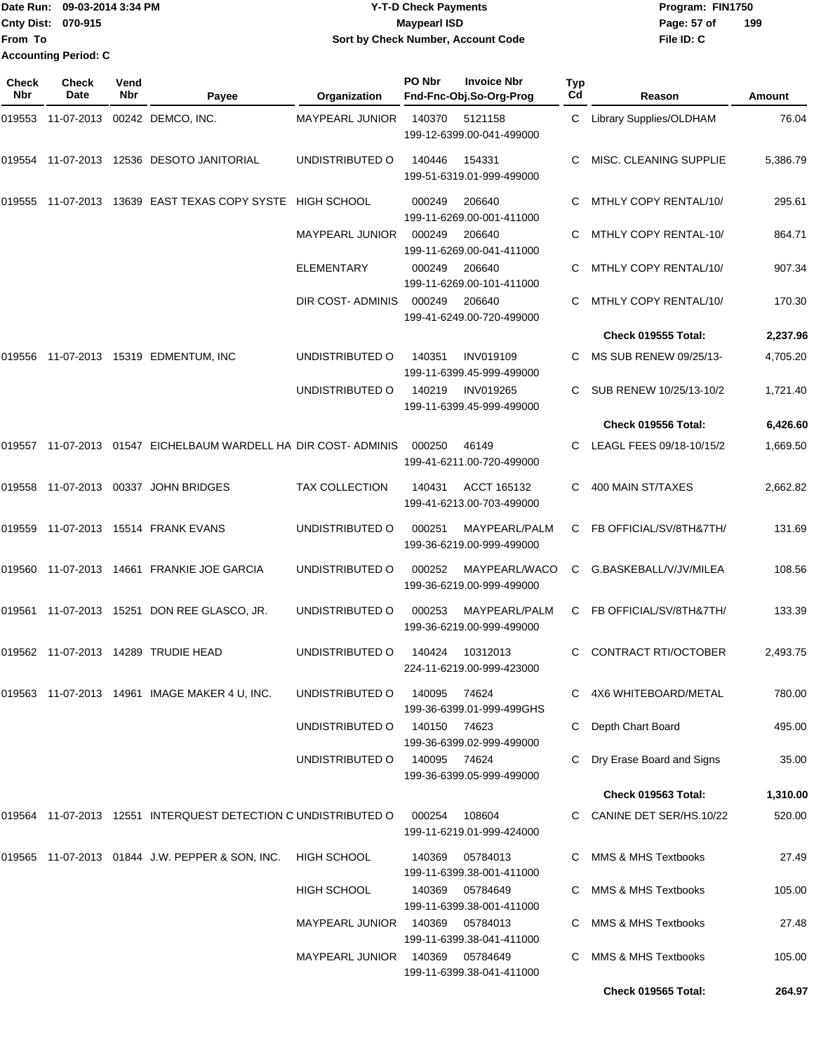|                           | Date Run: 09-03-2014 3:34 PM | <b>Y-T-D Check Payments</b>        | Program: FIN1750   |
|---------------------------|------------------------------|------------------------------------|--------------------|
| <b>Cnty Dist: 070-915</b> |                              | <b>Mavpearl ISD</b>                | 199<br>Page: 57 of |
| <b>From To</b>            |                              | Sort by Check Number, Account Code | File ID: C         |
|                           | <b>Accounting Period: C</b>  |                                    |                    |

| Check<br>Nbr | <b>Check</b><br>Date | Vend<br>Nbr | Payee                                                           | Organization                    | PO Nbr       | <b>Invoice Nbr</b><br>Fnd-Fnc-Obj.So-Org-Prog | Typ<br>Cd | Reason                      | Amount   |
|--------------|----------------------|-------------|-----------------------------------------------------------------|---------------------------------|--------------|-----------------------------------------------|-----------|-----------------------------|----------|
|              | 019553 11-07-2013    |             | 00242 DEMCO, INC.                                               | MAYPEARL JUNIOR                 | 140370       | 5121158<br>199-12-6399.00-041-499000          |           | C Library Supplies/OLDHAM   | 76.04    |
|              |                      |             | 019554    11-07-2013    12536    DESOTO JANITORIAL              | UNDISTRIBUTED O                 | 140446       | 154331<br>199-51-6319.01-999-499000           |           | MISC. CLEANING SUPPLIE      | 5,386.79 |
|              | 019555 11-07-2013    |             | 13639 EAST TEXAS COPY SYSTE                                     | HIGH SCHOOL                     | 000249       | 206640<br>199-11-6269.00-001-411000           |           | MTHLY COPY RENTAL/10/       | 295.61   |
|              |                      |             |                                                                 | <b>MAYPEARL JUNIOR</b>          | 000249       | 206640<br>199-11-6269.00-041-411000           |           | MTHLY COPY RENTAL-10/       | 864.71   |
|              |                      |             |                                                                 | <b>ELEMENTARY</b>               | 000249       | 206640<br>199-11-6269.00-101-411000           |           | MTHLY COPY RENTAL/10/       | 907.34   |
|              |                      |             |                                                                 | DIR COST- ADMINIS               | 000249       | 206640<br>199-41-6249.00-720-499000           | C.        | MTHLY COPY RENTAL/10/       | 170.30   |
|              |                      |             |                                                                 |                                 |              |                                               |           | Check 019555 Total:         | 2,237.96 |
|              |                      |             | 019556 11-07-2013 15319 EDMENTUM, INC                           | UNDISTRIBUTED O                 | 140351       | <b>INV019109</b><br>199-11-6399.45-999-499000 | C.        | MS SUB RENEW 09/25/13-      | 4,705.20 |
|              |                      |             |                                                                 | UNDISTRIBUTED O                 | 140219       | <b>INV019265</b><br>199-11-6399.45-999-499000 |           | SUB RENEW 10/25/13-10/2     | 1,721.40 |
|              |                      |             |                                                                 |                                 |              |                                               |           | Check 019556 Total:         | 6,426.60 |
|              |                      |             | 019557 11-07-2013 01547 EICHELBAUM WARDELL HA DIR COST- ADMINIS |                                 | 000250       | 46149<br>199-41-6211.00-720-499000            |           | LEAGL FEES 09/18-10/15/2    | 1,669.50 |
|              |                      |             | 019558 11-07-2013 00337 JOHN BRIDGES                            | <b>TAX COLLECTION</b>           | 140431       | ACCT 165132<br>199-41-6213.00-703-499000      |           | 400 MAIN ST/TAXES           | 2,662.82 |
|              |                      |             | 019559  11-07-2013  15514  FRANK EVANS                          | UNDISTRIBUTED O                 | 000251       | MAYPEARL/PALM<br>199-36-6219.00-999-499000    | C.        | FB OFFICIAL/SV/8TH&7TH/     | 131.69   |
| 019560       |                      |             | 11-07-2013  14661  FRANKIE JOE GARCIA                           | UNDISTRIBUTED O                 | 000252       | MAYPEARL/WACO<br>199-36-6219.00-999-499000    | C         | G.BASKEBALL/V/JV/MILEA      | 108.56   |
|              |                      |             | 019561 11-07-2013 15251 DON REE GLASCO, JR.                     | UNDISTRIBUTED O                 | 000253       | MAYPEARL/PALM<br>199-36-6219.00-999-499000    | C.        | FB OFFICIAL/SV/8TH&7TH/     | 133.39   |
|              |                      |             | 019562  11-07-2013  14289  TRUDIE HEAD                          | UNDISTRIBUTED O                 | 140424       | 10312013<br>224-11-6219.00-999-423000         | C         | CONTRACT RTI/OCTOBER        | 2,493.75 |
|              |                      |             |                                                                 | UNDISTRIBUTED O                 | 140095       | 74624<br>199-36-6399.01-999-499GHS            |           | C 4X6 WHITEBOARD/METAL      | 780.00   |
|              |                      |             |                                                                 | UNDISTRIBUTED O                 | 140150 74623 | 199-36-6399.02-999-499000                     |           | C Depth Chart Board         | 495.00   |
|              |                      |             |                                                                 | UNDISTRIBUTED O                 | 140095       | 74624<br>199-36-6399.05-999-499000            |           | C Dry Erase Board and Signs | 35.00    |
|              |                      |             |                                                                 |                                 |              |                                               |           | Check 019563 Total:         | 1,310.00 |
|              |                      |             | 019564 11-07-2013 12551 INTERQUEST DETECTION C UNDISTRIBUTED O  |                                 | 000254       | 108604<br>199-11-6219.01-999-424000           |           | C CANINE DET SER/HS.10/22   | 520.00   |
|              |                      |             | 019565 11-07-2013 01844 J.W. PEPPER & SON, INC.                 | <b>HIGH SCHOOL</b>              | 140369       | 05784013<br>199-11-6399.38-001-411000         |           | C MMS & MHS Textbooks       | 27.49    |
|              |                      |             |                                                                 | HIGH SCHOOL                     |              | 140369 05784649<br>199-11-6399.38-001-411000  |           | MMS & MHS Textbooks         | 105.00   |
|              |                      |             |                                                                 | MAYPEARL JUNIOR 140369 05784013 |              | 199-11-6399.38-041-411000                     |           | MMS & MHS Textbooks         | 27.48    |
|              |                      |             |                                                                 | <b>MAYPEARL JUNIOR</b>          |              | 199-11-6399.38-041-411000                     |           | MMS & MHS Textbooks         | 105.00   |
|              |                      |             |                                                                 |                                 |              |                                               |           | Check 019565 Total:         | 264.97   |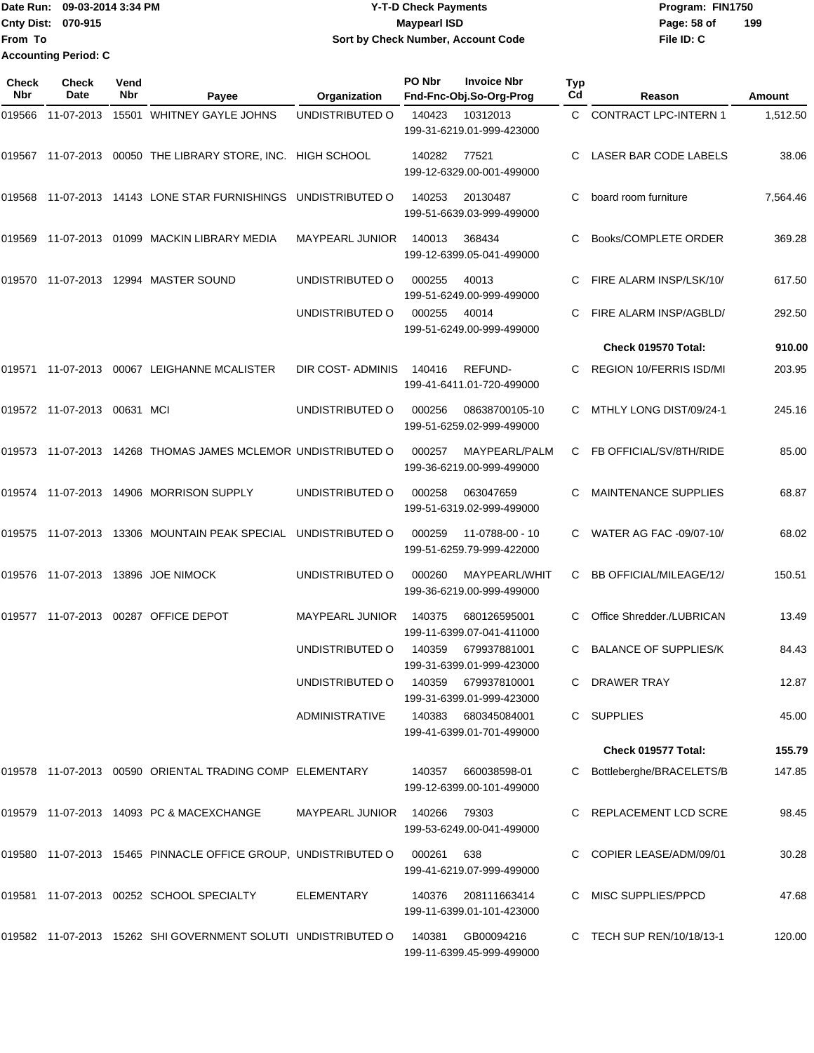Date Run: 09-03-2014 3:34 PM **Program:** FIN1750 **Cnty Dist:** 070-915 **Page:** 58 of **From To Accounting Period: C**

# **Y-T-D Check Payments 070-915 Maypearl ISD Sort by Check Number, Account Code**

| Check<br><b>Nbr</b> | <b>Check</b><br>Date        | Vend<br>Nbr | Payee                                                          | Organization           | PO Nbr | <b>Invoice Nbr</b><br>Fnd-Fnc-Obj.So-Org-Prog    | <b>Typ</b><br>Cd | Reason                         | Amount   |
|---------------------|-----------------------------|-------------|----------------------------------------------------------------|------------------------|--------|--------------------------------------------------|------------------|--------------------------------|----------|
| 019566              | 11-07-2013                  |             | 15501 WHITNEY GAYLE JOHNS                                      | UNDISTRIBUTED O        | 140423 | 10312013<br>199-31-6219.01-999-423000            | C                | <b>CONTRACT LPC-INTERN 1</b>   | 1,512.50 |
|                     |                             |             | 019567 11-07-2013 00050 THE LIBRARY STORE, INC. HIGH SCHOOL    |                        | 140282 | 77521<br>199-12-6329.00-001-499000               | С                | LASER BAR CODE LABELS          | 38.06    |
| 019568              |                             |             | 11-07-2013 14143 LONE STAR FURNISHINGS UNDISTRIBUTED O         |                        | 140253 | 20130487<br>199-51-6639.03-999-499000            | С                | board room furniture           | 7,564.46 |
| 019569              |                             |             | 11-07-2013 01099 MACKIN LIBRARY MEDIA                          | <b>MAYPEARL JUNIOR</b> | 140013 | 368434<br>199-12-6399.05-041-499000              | С                | Books/COMPLETE ORDER           | 369.28   |
| 019570              |                             |             | 11-07-2013  12994  MASTER SOUND                                | UNDISTRIBUTED O        | 000255 | 40013<br>199-51-6249.00-999-499000               | С                | FIRE ALARM INSP/LSK/10/        | 617.50   |
|                     |                             |             |                                                                | UNDISTRIBUTED O        | 000255 | 40014<br>199-51-6249.00-999-499000               | С                | FIRE ALARM INSP/AGBLD/         | 292.50   |
|                     |                             |             |                                                                |                        |        |                                                  |                  | Check 019570 Total:            | 910.00   |
| 019571              |                             |             | 11-07-2013 00067 LEIGHANNE MCALISTER                           | DIR COST- ADMINIS      | 140416 | <b>REFUND-</b><br>199-41-6411.01-720-499000      | С                | <b>REGION 10/FERRIS ISD/MI</b> | 203.95   |
|                     | 019572 11-07-2013 00631 MCI |             |                                                                | UNDISTRIBUTED O        | 000256 | 08638700105-10<br>199-51-6259.02-999-499000      | С                | MTHLY LONG DIST/09/24-1        | 245.16   |
|                     |                             |             | 019573 11-07-2013 14268 THOMAS JAMES MCLEMOR UNDISTRIBUTED O   |                        | 000257 | MAYPEARL/PALM<br>199-36-6219.00-999-499000       | С                | FB OFFICIAL/SV/8TH/RIDE        | 85.00    |
|                     |                             |             | 019574 11-07-2013 14906 MORRISON SUPPLY                        | UNDISTRIBUTED O        | 000258 | 063047659<br>199-51-6319.02-999-499000           |                  | <b>MAINTENANCE SUPPLIES</b>    | 68.87    |
| 019575              |                             |             | 11-07-2013 13306 MOUNTAIN PEAK SPECIAL                         | UNDISTRIBUTED O        | 000259 | 11-0788-00 - 10<br>199-51-6259.79-999-422000     | С                | WATER AG FAC -09/07-10/        | 68.02    |
|                     |                             |             | 019576 11-07-2013 13896 JOE NIMOCK                             | UNDISTRIBUTED O        | 000260 | MAYPEARL/WHIT<br>199-36-6219.00-999-499000       | С                | BB OFFICIAL/MILEAGE/12/        | 150.51   |
| 019577              |                             |             | 11-07-2013 00287 OFFICE DEPOT                                  | <b>MAYPEARL JUNIOR</b> | 140375 | 680126595001<br>199-11-6399.07-041-411000        |                  | Office Shredder./LUBRICAN      | 13.49    |
|                     |                             |             |                                                                | UNDISTRIBUTED O        | 140359 | 679937881001<br>199-31-6399.01-999-423000        | C                | <b>BALANCE OF SUPPLIES/K</b>   | 84.43    |
|                     |                             |             |                                                                | UNDISTRIBUTED O        |        | 140359 679937810001<br>199-31-6399.01-999-423000 |                  | C DRAWER TRAY                  | 12.87    |
|                     |                             |             |                                                                | ADMINISTRATIVE         |        | 140383 680345084001<br>199-41-6399.01-701-499000 |                  | C SUPPLIES                     | 45.00    |
|                     |                             |             |                                                                |                        |        |                                                  |                  | Check 019577 Total:            | 155.79   |
|                     |                             |             | 019578  11-07-2013  00590  ORIENTAL TRADING COMP  ELEMENTARY   |                        |        | 140357 660038598-01<br>199-12-6399.00-101-499000 |                  | Bottleberghe/BRACELETS/B       | 147.85   |
|                     |                             |             | 019579 11-07-2013 14093 PC & MACEXCHANGE                       | MAYPEARL JUNIOR        | 140266 | 79303<br>199-53-6249.00-041-499000               |                  | C REPLACEMENT LCD SCRE         | 98.45    |
|                     |                             |             | 019580 11-07-2013 15465 PINNACLE OFFICE GROUP, UNDISTRIBUTED O |                        | 000261 | 638<br>199-41-6219.07-999-499000                 |                  | C COPIER LEASE/ADM/09/01       | 30.28    |
|                     |                             |             | 019581 11-07-2013 00252 SCHOOL SPECIALTY                       | ELEMENTARY             | 140376 | 208111663414<br>199-11-6399.01-101-423000        |                  | C MISC SUPPLIES/PPCD           | 47.68    |
|                     |                             |             | 019582 11-07-2013 15262 SHI GOVERNMENT SOLUTI UNDISTRIBUTED O  |                        | 140381 | GB00094216<br>199-11-6399.45-999-499000          |                  | C TECH SUP REN/10/18/13-1      | 120.00   |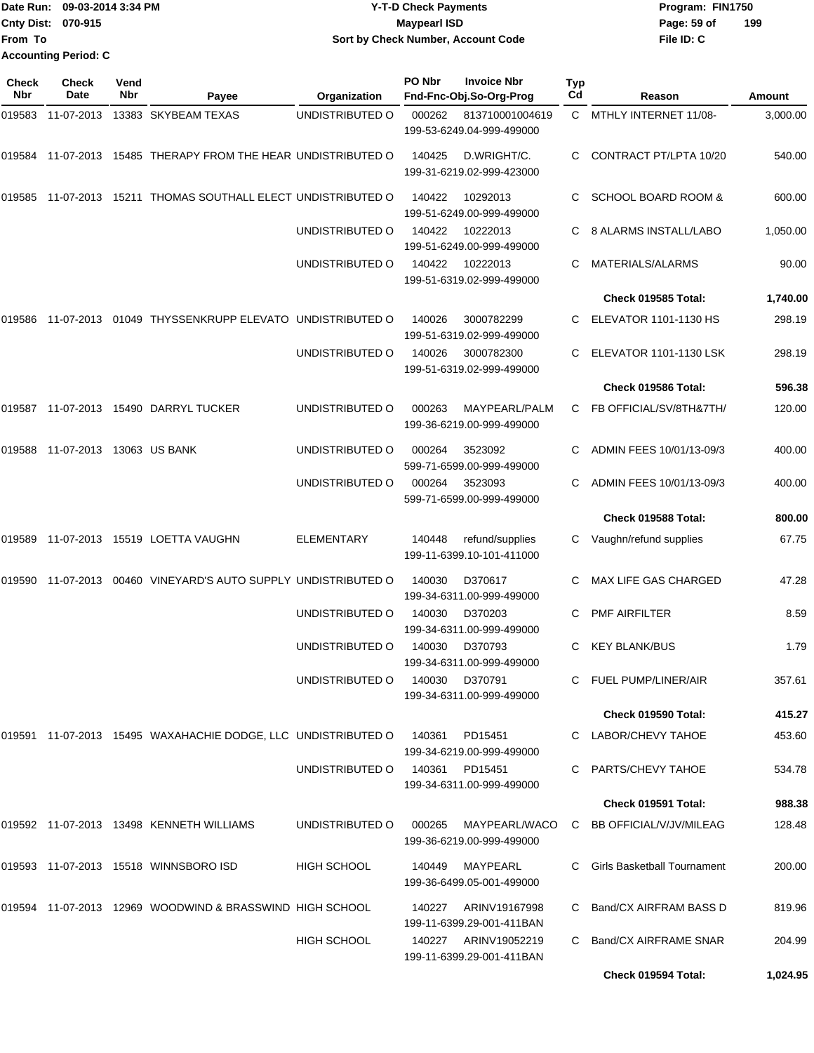|                           | Date Run: 09-03-2014 3:34 PM | <b>Y-T-D Check Payments</b>        | Program: FIN1750   |
|---------------------------|------------------------------|------------------------------------|--------------------|
| <b>Cnty Dist: 070-915</b> |                              | <b>Maypearl ISD</b>                | 199<br>Page: 59 of |
| <b>From To</b>            |                              | Sort by Check Number, Account Code | File ID: C         |
|                           | <b>Accounting Period: C</b>  |                                    |                    |

| Check<br><b>Nbr</b> | Check<br>Date            | Vend<br>Nbr | Payee                                                         | Organization       | PO Nbr         | <b>Invoice Nbr</b><br>Fnd-Fnc-Obj.So-Org-Prog     | <b>Typ</b><br>Cd | Reason                             | Amount   |
|---------------------|--------------------------|-------------|---------------------------------------------------------------|--------------------|----------------|---------------------------------------------------|------------------|------------------------------------|----------|
| 019583              | 11-07-2013               |             | 13383 SKYBEAM TEXAS                                           | UNDISTRIBUTED O    | 000262         | 813710001004619<br>199-53-6249.04-999-499000      |                  | C MTHLY INTERNET 11/08-            | 3,000.00 |
| 019584              |                          |             | 11-07-2013 15485 THERAPY FROM THE HEAR UNDISTRIBUTED O        |                    | 140425         | D.WRIGHT/C.<br>199-31-6219.02-999-423000          | C.               | CONTRACT PT/LPTA 10/20             | 540.00   |
| 019585              |                          |             | 11-07-2013 15211 THOMAS SOUTHALL ELECT UNDISTRIBUTED O        |                    | 140422         | 10292013<br>199-51-6249.00-999-499000             | C                | <b>SCHOOL BOARD ROOM &amp;</b>     | 600.00   |
|                     |                          |             |                                                               | UNDISTRIBUTED O    | 140422         | 10222013<br>199-51-6249.00-999-499000             | C.               | 8 ALARMS INSTALL/LABO              | 1,050.00 |
|                     |                          |             |                                                               | UNDISTRIBUTED O    | 140422         | 10222013<br>199-51-6319.02-999-499000             | С                | MATERIALS/ALARMS                   | 90.00    |
|                     |                          |             |                                                               |                    |                |                                                   |                  | Check 019585 Total:                | 1,740.00 |
| 019586              |                          |             | 11-07-2013 01049 THYSSENKRUPP ELEVATO UNDISTRIBUTED O         |                    | 140026         | 3000782299<br>199-51-6319.02-999-499000           | C                | <b>ELEVATOR 1101-1130 HS</b>       | 298.19   |
|                     |                          |             |                                                               | UNDISTRIBUTED O    | 140026         | 3000782300<br>199-51-6319.02-999-499000           | C.               | <b>ELEVATOR 1101-1130 LSK</b>      | 298.19   |
|                     |                          |             |                                                               |                    |                |                                                   |                  | Check 019586 Total:                | 596.38   |
| 019587              |                          |             | 11-07-2013  15490  DARRYL TUCKER                              | UNDISTRIBUTED O    | 000263         | MAYPEARL/PALM<br>199-36-6219.00-999-499000        | C.               | FB OFFICIAL/SV/8TH&7TH/            | 120.00   |
| 019588              | 11-07-2013 13063 US BANK |             |                                                               | UNDISTRIBUTED O    | 000264         | 3523092<br>599-71-6599.00-999-499000              |                  | ADMIN FEES 10/01/13-09/3           | 400.00   |
|                     |                          |             |                                                               | UNDISTRIBUTED O    | 000264         | 3523093<br>599-71-6599.00-999-499000              |                  | ADMIN FEES 10/01/13-09/3           | 400.00   |
|                     |                          |             |                                                               |                    |                |                                                   |                  | Check 019588 Total:                | 800.00   |
| 019589              |                          |             | 11-07-2013  15519  LOETTA VAUGHN                              | ELEMENTARY         | 140448         | refund/supplies<br>199-11-6399.10-101-411000      |                  | C Vaughn/refund supplies           | 67.75    |
| 019590              | 11-07-2013               |             | 00460 VINEYARD'S AUTO SUPPLY UNDISTRIBUTED O                  |                    | 140030         | D370617<br>199-34-6311.00-999-499000              | C                | MAX LIFE GAS CHARGED               | 47.28    |
|                     |                          |             |                                                               | UNDISTRIBUTED O    | 140030         | D370203<br>199-34-6311.00-999-499000              | C                | <b>PMF AIRFILTER</b>               | 8.59     |
|                     |                          |             |                                                               | UNDISTRIBUTED O    | 140030         | D370793<br>199-34-6311.00-999-499000              | C                | <b>KEY BLANK/BUS</b>               | 1.79     |
|                     |                          |             |                                                               | UNDISTRIBUTED O    | 140030         | D370791<br>199-34-6311.00-999-499000              |                  | C FUEL PUMP/LINER/AIR              | 357.61   |
|                     |                          |             |                                                               |                    |                |                                                   |                  | <b>Check 019590 Total:</b>         | 415.27   |
|                     |                          |             | 019591 11-07-2013 15495 WAXAHACHIE DODGE, LLC UNDISTRIBUTED O |                    | 140361         | PD15451<br>199-34-6219.00-999-499000              |                  | C LABOR/CHEVY TAHOE                | 453.60   |
|                     |                          |             |                                                               | UNDISTRIBUTED O    | 140361 PD15451 | 199-34-6311.00-999-499000                         |                  | C PARTS/CHEVY TAHOE                | 534.78   |
|                     |                          |             |                                                               |                    |                |                                                   |                  | Check 019591 Total:                | 988.38   |
|                     |                          |             | 019592 11-07-2013 13498 KENNETH WILLIAMS                      | UNDISTRIBUTED O    | 000265         | MAYPEARL/WACO<br>199-36-6219.00-999-499000        |                  | C BB OFFICIAL/V/JV/MILEAG          | 128.48   |
|                     |                          |             | 019593  11-07-2013  15518  WINNSBORO ISD                      | <b>HIGH SCHOOL</b> | 140449         | MAYPEARL<br>199-36-6499.05-001-499000             |                  | <b>Girls Basketball Tournament</b> | 200.00   |
|                     |                          |             | 019594 11-07-2013 12969 WOODWIND & BRASSWIND HIGH SCHOOL      |                    | 140227         | ARINV19167998<br>199-11-6399.29-001-411BAN        |                  | Band/CX AIRFRAM BASS D             | 819.96   |
|                     |                          |             |                                                               | <b>HIGH SCHOOL</b> |                | 140227 ARINV19052219<br>199-11-6399.29-001-411BAN | C.               | Band/CX AIRFRAME SNAR              | 204.99   |
|                     |                          |             |                                                               |                    |                |                                                   |                  | Check 019594 Total:                | 1,024.95 |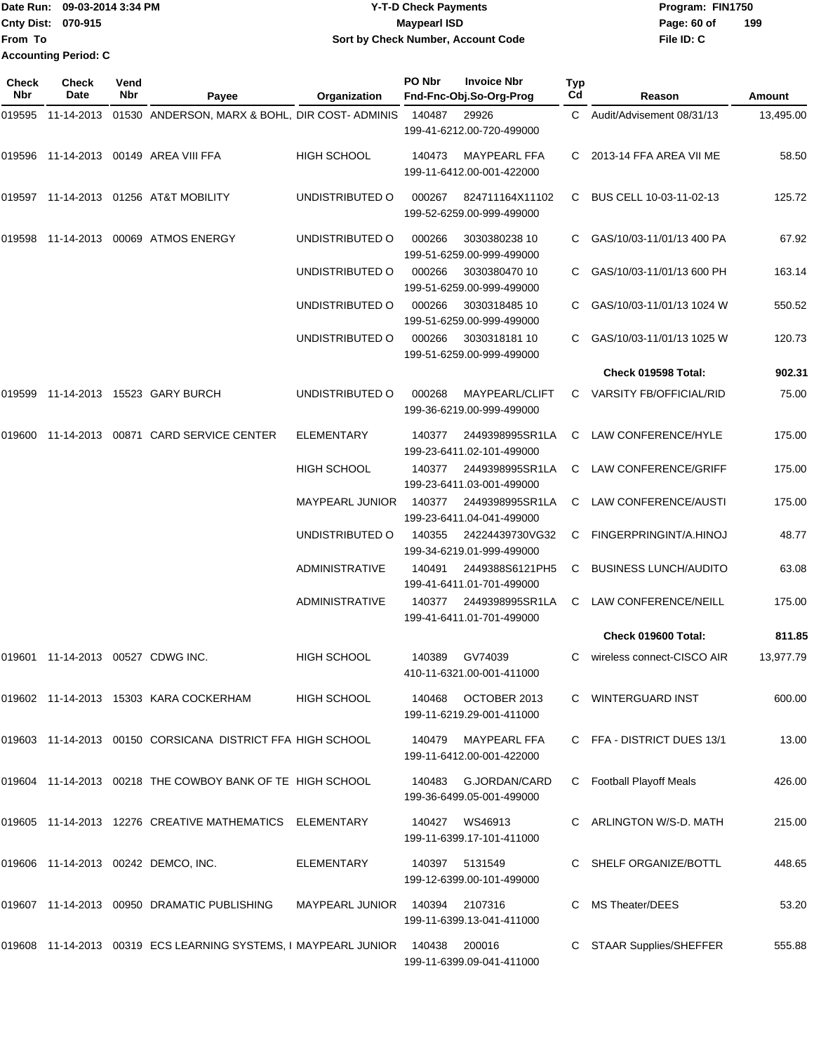| 'Date Run:                | 09-03-2014 3:34 PM | <b>Y-T-D Check Payments</b>        | Program: FIN1750   |
|---------------------------|--------------------|------------------------------------|--------------------|
| <b>Cnty Dist: 070-915</b> |                    | Maypearl ISD                       | 199<br>Page: 60 of |
| lFrom To                  |                    | Sort by Check Number, Account Code | File ID: C         |
| Accounting Period: C      |                    |                                    |                    |

**PO Nbr Invoice Nbr**

| Check<br>Nbr | <b>Check</b><br>Date                 | Vend<br>Nbr | Payee                                                           | Organization           | PO Nbr | <b>Invoice Nbr</b><br>Fnd-Fnc-Obj.So-Org-Prog    | <b>Typ</b><br>Cd | Reason                         | Amount    |
|--------------|--------------------------------------|-------------|-----------------------------------------------------------------|------------------------|--------|--------------------------------------------------|------------------|--------------------------------|-----------|
| 019595       |                                      |             | 11-14-2013 01530 ANDERSON, MARX & BOHL, DIR COST-ADMINIS        |                        | 140487 | 29926                                            | C.               | Audit/Advisement 08/31/13      | 13,495.00 |
|              |                                      |             |                                                                 |                        |        | 199-41-6212.00-720-499000                        |                  |                                |           |
|              |                                      |             | 019596  11-14-2013  00149  AREA VIII FFA                        | <b>HIGH SCHOOL</b>     | 140473 | <b>MAYPEARL FFA</b><br>199-11-6412.00-001-422000 | C.               | 2013-14 FFA AREA VII ME        | 58.50     |
|              |                                      |             | 019597 11-14-2013 01256 AT&T MOBILITY                           | UNDISTRIBUTED O        | 000267 | 824711164X11102<br>199-52-6259.00-999-499000     | C.               | BUS CELL 10-03-11-02-13        | 125.72    |
| 019598       |                                      |             | 11-14-2013 00069 ATMOS ENERGY                                   | UNDISTRIBUTED O        | 000266 | 3030380238 10<br>199-51-6259.00-999-499000       |                  | GAS/10/03-11/01/13 400 PA      | 67.92     |
|              |                                      |             |                                                                 | UNDISTRIBUTED O        | 000266 | 3030380470 10<br>199-51-6259.00-999-499000       | C                | GAS/10/03-11/01/13 600 PH      | 163.14    |
|              |                                      |             |                                                                 | UNDISTRIBUTED O        | 000266 | 3030318485 10<br>199-51-6259.00-999-499000       | C                | GAS/10/03-11/01/13 1024 W      | 550.52    |
|              |                                      |             |                                                                 | UNDISTRIBUTED O        | 000266 | 3030318181 10<br>199-51-6259.00-999-499000       |                  | GAS/10/03-11/01/13 1025 W      | 120.73    |
|              |                                      |             |                                                                 |                        |        |                                                  |                  | Check 019598 Total:            | 902.31    |
|              |                                      |             | 019599  11-14-2013  15523  GARY BURCH                           | UNDISTRIBUTED O        | 000268 | MAYPEARL/CLIFT<br>199-36-6219.00-999-499000      | C                | <b>VARSITY FB/OFFICIAL/RID</b> | 75.00     |
| 019600       |                                      |             | 11-14-2013  00871  CARD SERVICE CENTER                          | <b>ELEMENTARY</b>      | 140377 | 2449398995SR1LA<br>199-23-6411.02-101-499000     | C                | LAW CONFERENCE/HYLE            | 175.00    |
|              |                                      |             |                                                                 | <b>HIGH SCHOOL</b>     | 140377 | 2449398995SR1LA<br>199-23-6411.03-001-499000     | C                | LAW CONFERENCE/GRIFF           | 175.00    |
|              |                                      |             |                                                                 | <b>MAYPEARL JUNIOR</b> | 140377 | 2449398995SR1LA<br>199-23-6411.04-041-499000     | C                | LAW CONFERENCE/AUSTI           | 175.00    |
|              |                                      |             |                                                                 | UNDISTRIBUTED O        | 140355 | 24224439730VG32<br>199-34-6219.01-999-499000     | C                | FINGERPRINGINT/A.HINOJ         | 48.77     |
|              |                                      |             |                                                                 | <b>ADMINISTRATIVE</b>  | 140491 | 2449388S6121PH5<br>199-41-6411.01-701-499000     | C                | <b>BUSINESS LUNCH/AUDITO</b>   | 63.08     |
|              |                                      |             |                                                                 | <b>ADMINISTRATIVE</b>  | 140377 | 2449398995SR1LA<br>199-41-6411.01-701-499000     | C                | LAW CONFERENCE/NEILL           | 175.00    |
|              |                                      |             |                                                                 |                        |        |                                                  |                  | Check 019600 Total:            | 811.85    |
|              | 019601  11-14-2013  00527  CDWG INC. |             |                                                                 | <b>HIGH SCHOOL</b>     | 140389 | GV74039<br>410-11-6321.00-001-411000             | C                | wireless connect-CISCO AIR     | 13,977.79 |
|              |                                      |             | 019602 11-14-2013 15303 KARA COCKERHAM                          | <b>HIGH SCHOOL</b>     | 140468 | OCTOBER 2013<br>199-11-6219.29-001-411000        |                  | C WINTERGUARD INST             | 600.00    |
|              |                                      |             | 019603 11-14-2013 00150 CORSICANA DISTRICT FFA HIGH SCHOOL      |                        | 140479 | <b>MAYPEARL FFA</b><br>199-11-6412.00-001-422000 |                  | C FFA - DISTRICT DUES 13/1     | 13.00     |
|              |                                      |             | 019604 11-14-2013 00218 THE COWBOY BANK OF TE HIGH SCHOOL       |                        | 140483 | G.JORDAN/CARD<br>199-36-6499.05-001-499000       | C                | <b>Football Playoff Meals</b>  | 426.00    |
|              |                                      |             | 019605  11-14-2013  12276  CREATIVE MATHEMATICS  ELEMENTARY     |                        | 140427 | WS46913<br>199-11-6399.17-101-411000             | C                | ARLINGTON W/S-D. MATH          | 215.00    |
|              |                                      |             | 019606 11-14-2013 00242 DEMCO, INC.                             | ELEMENTARY             |        | 140397 5131549<br>199-12-6399.00-101-499000      | C                | SHELF ORGANIZE/BOTTL           | 448.65    |
|              |                                      |             | 019607 11-14-2013 00950 DRAMATIC PUBLISHING                     | <b>MAYPEARL JUNIOR</b> |        | 140394  2107316<br>199-11-6399.13-041-411000     |                  | MS Theater/DEES                | 53.20     |
|              |                                      |             | 019608 11-14-2013 00319 ECS LEARNING SYSTEMS, I MAYPEARL JUNIOR |                        | 140438 | 200016<br>199-11-6399.09-041-411000              | C                | STAAR Supplies/SHEFFER         | 555.88    |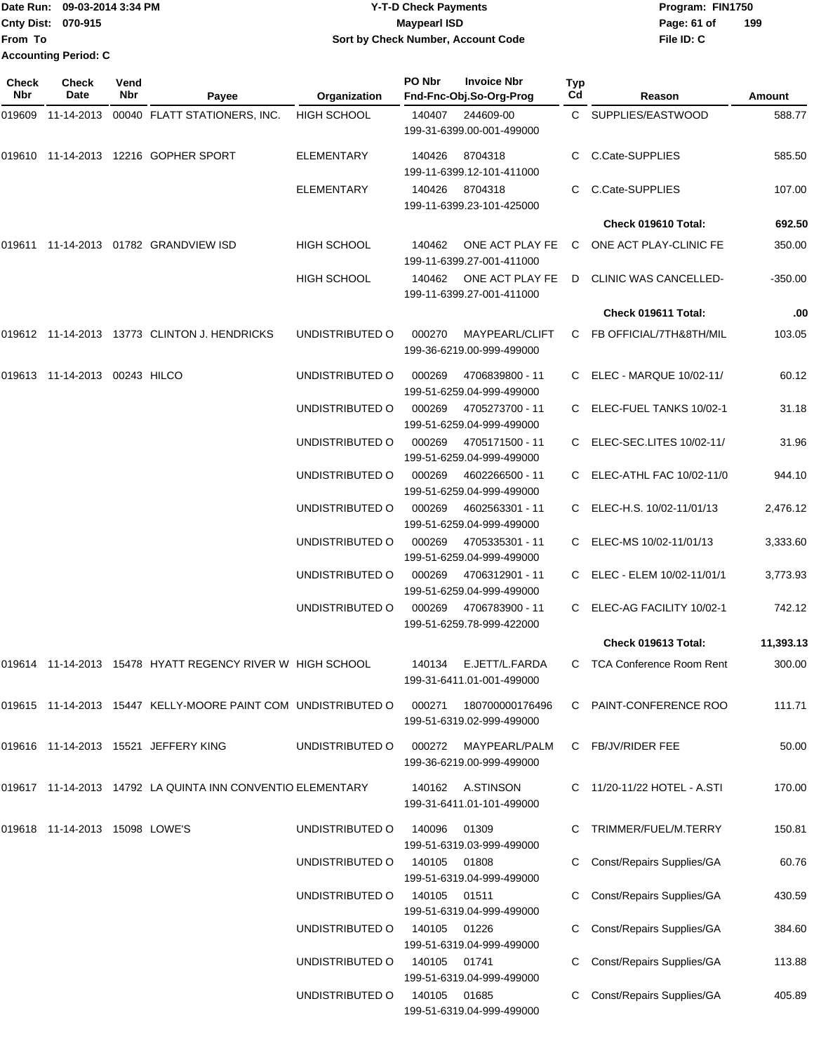Date Run: 09-03-2014 3:34 PM **Program:** FIN1750 **Cnty Dist:** 070-915 **Page: 61 of** Maypearl ISD **Contract ISD File ID: C From To 2-T-D Check Payments 070-915 Maypearl ISD Sort by Check Number, Account Code 199 Accounting Period: C**

| <b>Check</b><br><b>Nbr</b> | Check<br>Date                  | Vend<br><b>Nbr</b> | Payee                                                             | Organization       | PO Nbr       | <b>Invoice Nbr</b><br>Fnd-Fnc-Obj.So-Org-Prog       | <b>Typ</b><br>Cd | Reason                           | Amount    |
|----------------------------|--------------------------------|--------------------|-------------------------------------------------------------------|--------------------|--------------|-----------------------------------------------------|------------------|----------------------------------|-----------|
| 019609                     | 11-14-2013                     |                    | 00040 FLATT STATIONERS, INC.                                      | <b>HIGH SCHOOL</b> | 140407       | 244609-00<br>199-31-6399.00-001-499000              |                  | C SUPPLIES/EASTWOOD              | 588.77    |
| 019610                     |                                |                    | 11-14-2013  12216  GOPHER SPORT                                   | <b>ELEMENTARY</b>  | 140426       | 8704318<br>199-11-6399.12-101-411000                |                  | C C.Cate-SUPPLIES                | 585.50    |
|                            |                                |                    |                                                                   | ELEMENTARY         | 140426       | 8704318<br>199-11-6399.23-101-425000                |                  | C.Cate-SUPPLIES                  | 107.00    |
|                            |                                |                    |                                                                   |                    |              |                                                     |                  | Check 019610 Total:              | 692.50    |
|                            |                                |                    | 019611 11-14-2013 01782 GRANDVIEW ISD                             | <b>HIGH SCHOOL</b> | 140462       | ONE ACT PLAY FE<br>199-11-6399.27-001-411000        |                  | C ONE ACT PLAY-CLINIC FE         | 350.00    |
|                            |                                |                    |                                                                   | <b>HIGH SCHOOL</b> |              | 140462 ONE ACT PLAY FE<br>199-11-6399.27-001-411000 |                  | D CLINIC WAS CANCELLED-          | $-350.00$ |
|                            |                                |                    |                                                                   |                    |              |                                                     |                  | Check 019611 Total:              | .00       |
|                            |                                |                    | 019612 11-14-2013 13773 CLINTON J. HENDRICKS                      | UNDISTRIBUTED O    | 000270       | MAYPEARL/CLIFT<br>199-36-6219.00-999-499000         |                  | C FB OFFICIAL/7TH&8TH/MIL        | 103.05    |
|                            | 019613 11-14-2013 00243 HILCO  |                    |                                                                   | UNDISTRIBUTED O    | 000269       | 4706839800 - 11<br>199-51-6259.04-999-499000        |                  | C ELEC - MARQUE 10/02-11/        | 60.12     |
|                            |                                |                    |                                                                   | UNDISTRIBUTED O    | 000269       | 4705273700 - 11<br>199-51-6259.04-999-499000        |                  | C ELEC-FUEL TANKS 10/02-1        | 31.18     |
|                            |                                |                    |                                                                   | UNDISTRIBUTED O    | 000269       | 4705171500 - 11<br>199-51-6259.04-999-499000        |                  | C ELEC-SEC.LITES 10/02-11/       | 31.96     |
|                            |                                |                    |                                                                   | UNDISTRIBUTED O    | 000269       | 4602266500 - 11<br>199-51-6259.04-999-499000        |                  | C ELEC-ATHL FAC 10/02-11/0       | 944.10    |
|                            |                                |                    |                                                                   | UNDISTRIBUTED O    | 000269       | 4602563301 - 11<br>199-51-6259.04-999-499000        |                  | C ELEC-H.S. 10/02-11/01/13       | 2,476.12  |
|                            |                                |                    |                                                                   | UNDISTRIBUTED O    | 000269       | 4705335301 - 11<br>199-51-6259.04-999-499000        |                  | C ELEC-MS 10/02-11/01/13         | 3,333.60  |
|                            |                                |                    |                                                                   | UNDISTRIBUTED O    | 000269       | 4706312901 - 11<br>199-51-6259.04-999-499000        |                  | C ELEC - ELEM 10/02-11/01/1      | 3,773.93  |
|                            |                                |                    |                                                                   | UNDISTRIBUTED O    | 000269       | 4706783900 - 11<br>199-51-6259.78-999-422000        |                  | C ELEC-AG FACILITY 10/02-1       | 742.12    |
|                            |                                |                    |                                                                   |                    |              |                                                     |                  | Check 019613 Total:              | 11,393.13 |
|                            |                                |                    | 019614 11-14-2013 15478 HYATT REGENCY RIVER W HIGH SCHOOL         |                    |              | 140134 E.JETT/L.FARDA<br>199-31-6411.01-001-499000  |                  | C TCA Conference Room Rent       | 300.00    |
|                            |                                |                    | 019615  11-14-2013  15447  KELLY-MOORE PAINT COM  UNDISTRIBUTED O |                    | 000271       | 180700000176496<br>199-51-6319.02-999-499000        |                  | C PAINT-CONFERENCE ROO           | 111.71    |
|                            |                                |                    | 019616 11-14-2013 15521 JEFFERY KING                              | UNDISTRIBUTED O    | 000272       | MAYPEARL/PALM<br>199-36-6219.00-999-499000          | C                | FB/JV/RIDER FEE                  | 50.00     |
|                            |                                |                    | 019617 11-14-2013 14792 LA QUINTA INN CONVENTIO ELEMENTARY        |                    |              | 140162 A.STINSON<br>199-31-6411.01-101-499000       |                  | 11/20-11/22 HOTEL - A.STI        | 170.00    |
|                            | 019618 11-14-2013 15098 LOWE'S |                    |                                                                   | UNDISTRIBUTED O    | 140096       | 01309<br>199-51-6319.03-999-499000                  |                  | TRIMMER/FUEL/M.TERRY             | 150.81    |
|                            |                                |                    |                                                                   | UNDISTRIBUTED O    | 140105 01808 | 199-51-6319.04-999-499000                           |                  | <b>Const/Repairs Supplies/GA</b> | 60.76     |
|                            |                                |                    |                                                                   | UNDISTRIBUTED O    | 140105 01511 | 199-51-6319.04-999-499000                           |                  | <b>Const/Repairs Supplies/GA</b> | 430.59    |
|                            |                                |                    |                                                                   | UNDISTRIBUTED O    | 140105       | 01226<br>199-51-6319.04-999-499000                  | С                | <b>Const/Repairs Supplies/GA</b> | 384.60    |
|                            |                                |                    |                                                                   | UNDISTRIBUTED O    | 140105       | 01741<br>199-51-6319.04-999-499000                  |                  | <b>Const/Repairs Supplies/GA</b> | 113.88    |
|                            |                                |                    |                                                                   | UNDISTRIBUTED O    | 140105 01685 | 199-51-6319.04-999-499000                           |                  | <b>Const/Repairs Supplies/GA</b> | 405.89    |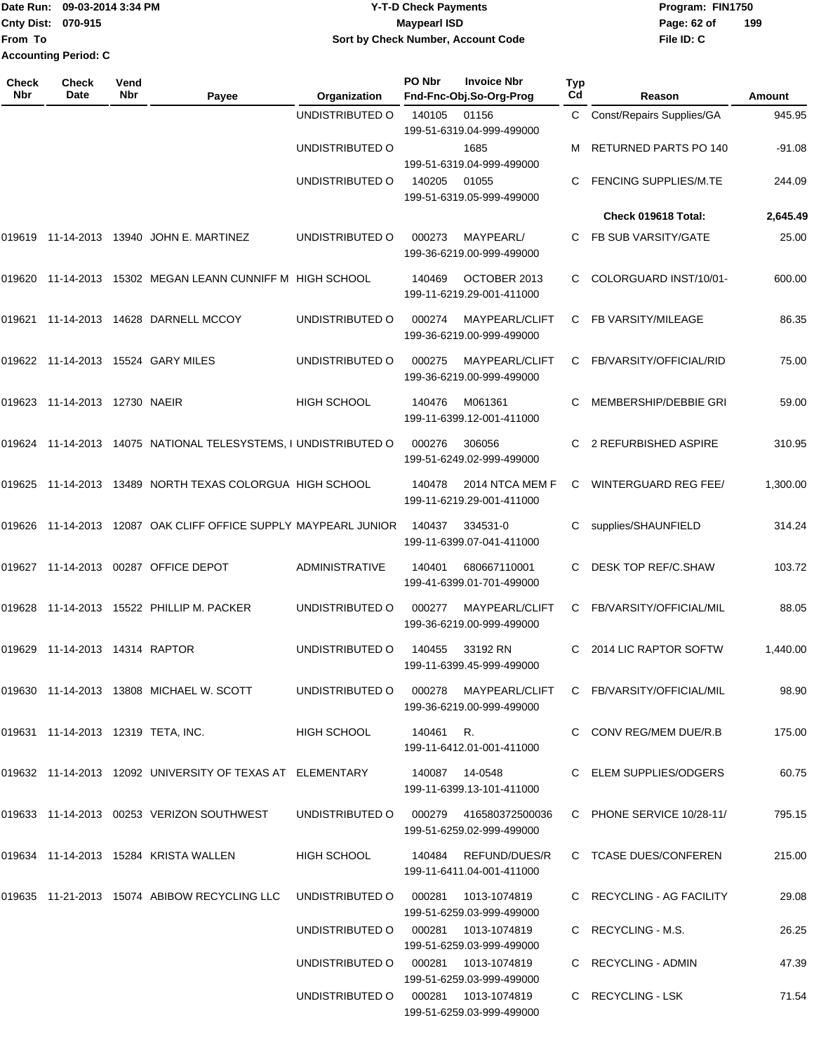## Date Run: 09-03-2014 3:34 PM **Program:** FIN1750 **Cnty Dist:** 070-915 **Page: 62 of MaypearI ISD Page: 62 of Y-T-D Check Payments 070-915 Maypearl ISD Sort by Check Number, Account Code**

| Check<br>Nbr | <b>Check</b><br>Date               | Vend<br>Nbr | Payee                                                           | Organization                        | PO Nbr          | <b>Invoice Nbr</b><br>Fnd-Fnc-Obj.So-Org-Prog       | Typ<br>Cd | Reason                           | Amount   |
|--------------|------------------------------------|-------------|-----------------------------------------------------------------|-------------------------------------|-----------------|-----------------------------------------------------|-----------|----------------------------------|----------|
|              |                                    |             |                                                                 | UNDISTRIBUTED O                     | 140105          | 01156                                               | C         | <b>Const/Repairs Supplies/GA</b> | 945.95   |
|              |                                    |             |                                                                 | UNDISTRIBUTED O                     |                 | 199-51-6319.04-999-499000<br>1685                   |           | RETURNED PARTS PO 140            | $-91.08$ |
|              |                                    |             |                                                                 |                                     |                 | 199-51-6319.04-999-499000                           |           |                                  |          |
|              |                                    |             |                                                                 | UNDISTRIBUTED O                     | 140205          | 01055<br>199-51-6319.05-999-499000                  | С         | <b>FENCING SUPPLIES/M.TE</b>     | 244.09   |
|              |                                    |             |                                                                 |                                     |                 |                                                     |           | Check 019618 Total:              | 2,645.49 |
| 019619       |                                    |             | 11-14-2013  13940  JOHN E. MARTINEZ                             | UNDISTRIBUTED O                     | 000273          | MAYPEARL/<br>199-36-6219.00-999-499000              | C         | FB SUB VARSITY/GATE              | 25.00    |
|              |                                    |             | 019620 11-14-2013 15302 MEGAN LEANN CUNNIFF M HIGH SCHOOL       |                                     | 140469          | OCTOBER 2013<br>199-11-6219.29-001-411000           | С         | COLORGUARD INST/10/01-           | 600.00   |
| 019621       |                                    |             | 11-14-2013  14628  DARNELL MCCOY                                | UNDISTRIBUTED O                     | 000274          | MAYPEARL/CLIFT<br>199-36-6219.00-999-499000         | С         | FB VARSITY/MILEAGE               | 86.35    |
|              |                                    |             | 019622 11-14-2013 15524 GARY MILES                              | UNDISTRIBUTED O                     | 000275          | MAYPEARL/CLIFT<br>199-36-6219.00-999-499000         | C.        | FB/VARSITY/OFFICIAL/RID          | 75.00    |
|              | 019623 11-14-2013 12730 NAEIR      |             |                                                                 | <b>HIGH SCHOOL</b>                  | 140476          | M061361<br>199-11-6399.12-001-411000                | C         | MEMBERSHIP/DEBBIE GRI            | 59.00    |
|              |                                    |             | 019624 11-14-2013 14075 NATIONAL TELESYSTEMS, I UNDISTRIBUTED O |                                     | 000276          | 306056<br>199-51-6249.02-999-499000                 | С         | 2 REFURBISHED ASPIRE             | 310.95   |
|              |                                    |             | 019625 11-14-2013 13489 NORTH TEXAS COLORGUA HIGH SCHOOL        |                                     | 140478          | 2014 NTCA MEM F<br>199-11-6219.29-001-411000        | C         | <b>WINTERGUARD REG FEE/</b>      | 1,300.00 |
|              |                                    |             | 019626 11-14-2013 12087 OAK CLIFF OFFICE SUPPLY MAYPEARL JUNIOR |                                     | 140437          | 334531-0<br>199-11-6399.07-041-411000               | С         | supplies/SHAUNFIELD              | 314.24   |
| 019627       |                                    |             | 11-14-2013  00287  OFFICE DEPOT                                 | ADMINISTRATIVE                      | 140401          | 680667110001<br>199-41-6399.01-701-499000           | С         | DESK TOP REF/C.SHAW              | 103.72   |
| 019628       |                                    |             | 11-14-2013  15522  PHILLIP M. PACKER                            | UNDISTRIBUTED O                     | 000277          | MAYPEARL/CLIFT<br>199-36-6219.00-999-499000         | C         | FB/VARSITY/OFFICIAL/MIL          | 88.05    |
| 019629       | 11-14-2013  14314  RAPTOR          |             |                                                                 | UNDISTRIBUTED O                     | 140455          | 33192 RN<br>199-11-6399.45-999-499000               | С         | 2014 LIC RAPTOR SOFTW            | 1,440.00 |
|              |                                    |             | 019630 11-14-2013 13808 MICHAEL W. SCOTT                        | UNDISTRIBUTED O                     |                 | 000278 MAYPEARL/CLIFT<br>199-36-6219.00-999-499000  |           | C FB/VARSITY/OFFICIAL/MIL        | 98.90    |
|              | 019631 11-14-2013 12319 TETA, INC. |             |                                                                 | HIGH SCHOOL                         | 140461 R.       | 199-11-6412.01-001-411000                           |           | C CONV REG/MEM DUE/R.B           | 175.00   |
|              |                                    |             | 019632 11-14-2013 12092 UNIVERSITY OF TEXAS AT ELEMENTARY       |                                     | 140087  14-0548 | 199-11-6399.13-101-411000                           |           | C ELEM SUPPLIES/ODGERS           | 60.75    |
|              |                                    |             | 019633 11-14-2013 00253 VERIZON SOUTHWEST                       | UNDISTRIBUTED O                     |                 | 000279 416580372500036<br>199-51-6259.02-999-499000 |           | C PHONE SERVICE 10/28-11/        | 795.15   |
|              |                                    |             | 019634 11-14-2013 15284 KRISTA WALLEN                           | HIGH SCHOOL                         |                 | 140484 REFUND/DUES/R<br>199-11-6411.04-001-411000   |           | C TCASE DUES/CONFEREN            | 215.00   |
|              |                                    |             | 019635 11-21-2013 15074 ABIBOW RECYCLING LLC                    | UNDISTRIBUTED O                     | 000281          | 1013-1074819<br>199-51-6259.03-999-499000           |           | C RECYCLING - AG FACILITY        | 29.08    |
|              |                                    |             |                                                                 | UNDISTRIBUTED O                     |                 | 000281 1013-1074819<br>199-51-6259.03-999-499000    |           | C RECYCLING - M.S.               | 26.25    |
|              |                                    |             |                                                                 | UNDISTRIBUTED O 000281 1013-1074819 |                 | 199-51-6259.03-999-499000                           |           | C RECYCLING - ADMIN              | 47.39    |
|              |                                    |             |                                                                 | UNDISTRIBUTED O 000281 1013-1074819 |                 | 199-51-6259.03-999-499000                           |           | C RECYCLING - LSK                | 71.54    |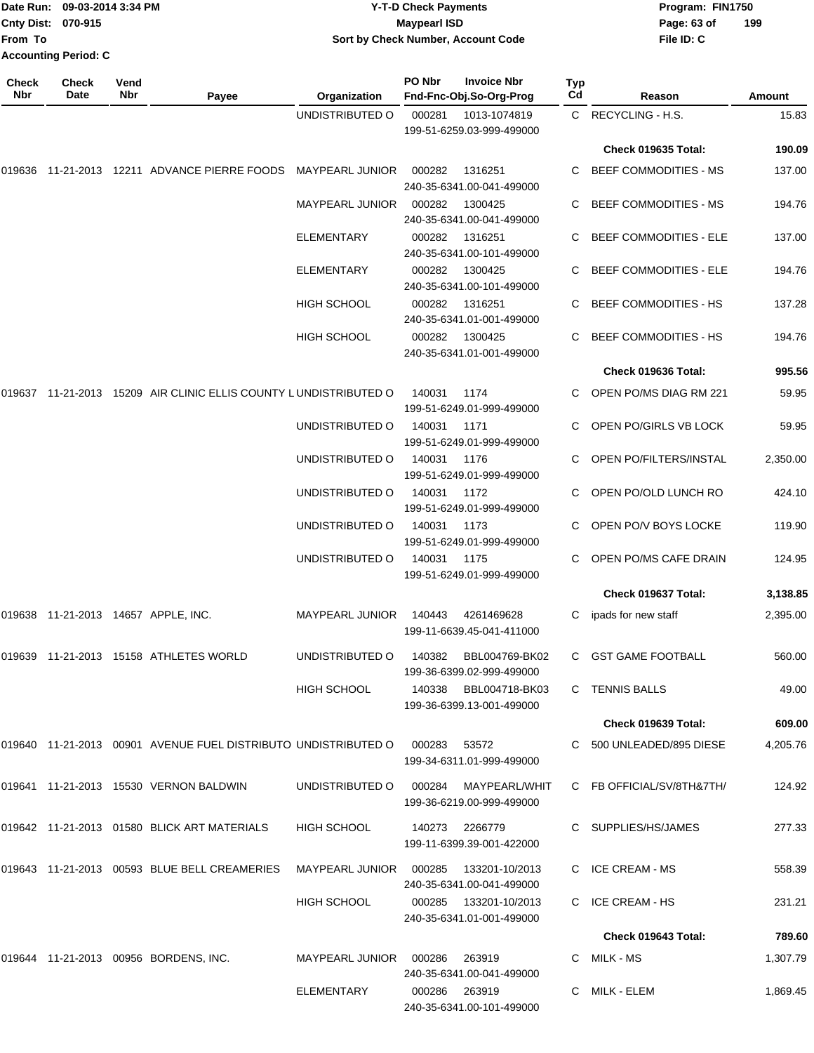| From To      | Date Run: 09-03-2014 3:34 PM<br>Cnty Dist: 070-915<br><b>Accounting Period: C</b> |                    |                                                                  | Sort by Check Number, Account Code | <b>Y-T-D Check Payments</b><br><b>Maypearl ISD</b> |                                                     |           | Program: FIN1750<br>Page: 63 of<br>File ID: C  | 199                |
|--------------|-----------------------------------------------------------------------------------|--------------------|------------------------------------------------------------------|------------------------------------|----------------------------------------------------|-----------------------------------------------------|-----------|------------------------------------------------|--------------------|
| Check<br>Nbr | <b>Check</b><br>Date                                                              | Vend<br><b>Nbr</b> | Payee                                                            | Organization                       | PO Nbr                                             | <b>Invoice Nbr</b><br>Fnd-Fnc-Obj.So-Org-Prog       | Typ<br>Cd | Reason                                         | <b>Amount</b>      |
|              |                                                                                   |                    |                                                                  | UNDISTRIBUTED O                    | 000281                                             | 1013-1074819<br>199-51-6259.03-999-499000           |           | C RECYCLING - H.S.                             | 15.83              |
|              |                                                                                   |                    |                                                                  |                                    |                                                    |                                                     |           | Check 019635 Total:                            | 190.09             |
| 019636       |                                                                                   |                    | 11-21-2013 12211 ADVANCE PIERRE FOODS                            | <b>MAYPEARL JUNIOR</b>             | 000282                                             | 1316251<br>240-35-6341.00-041-499000                | C         | <b>BEEF COMMODITIES - MS</b>                   | 137.00             |
|              |                                                                                   |                    |                                                                  | <b>MAYPEARL JUNIOR</b>             | 000282                                             | 1300425<br>240-35-6341.00-041-499000                | C         | <b>BEEF COMMODITIES - MS</b>                   | 194.76             |
|              |                                                                                   |                    |                                                                  | ELEMENTARY                         | 000282                                             | 1316251<br>240-35-6341.00-101-499000                |           | <b>BEEF COMMODITIES - ELE</b>                  | 137.00             |
|              |                                                                                   |                    |                                                                  | ELEMENTARY                         | 000282                                             | 1300425<br>240-35-6341.00-101-499000                |           | <b>BEEF COMMODITIES - ELE</b>                  | 194.76             |
|              |                                                                                   |                    |                                                                  | <b>HIGH SCHOOL</b>                 | 000282                                             | 1316251<br>240-35-6341.01-001-499000                | C         | <b>BEEF COMMODITIES - HS</b>                   | 137.28             |
|              |                                                                                   |                    |                                                                  | <b>HIGH SCHOOL</b>                 | 000282                                             | 1300425<br>240-35-6341.01-001-499000                |           | <b>BEEF COMMODITIES - HS</b>                   | 194.76             |
|              |                                                                                   |                    |                                                                  |                                    |                                                    |                                                     |           | Check 019636 Total:                            | 995.56             |
|              |                                                                                   |                    | 019637 11-21-2013 15209 AIR CLINIC ELLIS COUNTY LUNDISTRIBUTED O |                                    | 140031                                             | 1174<br>199-51-6249.01-999-499000                   |           | OPEN PO/MS DIAG RM 221                         | 59.95              |
|              |                                                                                   |                    |                                                                  | UNDISTRIBUTED O                    | 140031                                             | 1171<br>199-51-6249.01-999-499000                   |           | OPEN PO/GIRLS VB LOCK                          | 59.95              |
|              |                                                                                   |                    |                                                                  | UNDISTRIBUTED O<br>UNDISTRIBUTED O | 140031<br>140031                                   | 1176<br>199-51-6249.01-999-499000<br>1172           |           | OPEN PO/FILTERS/INSTAL<br>OPEN PO/OLD LUNCH RO | 2,350.00<br>424.10 |
|              |                                                                                   |                    |                                                                  | UNDISTRIBUTED O                    | 140031                                             | 199-51-6249.01-999-499000<br>1173                   |           | OPEN PO/V BOYS LOCKE                           | 119.90             |
|              |                                                                                   |                    |                                                                  |                                    |                                                    | 199-51-6249.01-999-499000                           |           |                                                |                    |
|              |                                                                                   |                    |                                                                  | UNDISTRIBUTED O                    | 140031                                             | 1175<br>199-51-6249.01-999-499000                   | C         | OPEN PO/MS CAFE DRAIN                          | 124.95             |
|              |                                                                                   |                    |                                                                  |                                    |                                                    |                                                     |           | Check 019637 Total:                            | 3,138.85           |
|              |                                                                                   |                    | 019638 11-21-2013 14657 APPLE, INC.                              | MAYPEARL JUNIOR 140443 4261469628  |                                                    | 199-11-6639.45-041-411000                           |           | C ipads for new staff                          | 2,395.00           |
|              |                                                                                   |                    | 019639 11-21-2013 15158 ATHLETES WORLD                           | UNDISTRIBUTED O                    |                                                    | 140382 BBL004769-BK02<br>199-36-6399.02-999-499000  |           | C GST GAME FOOTBALL                            | 560.00             |
|              |                                                                                   |                    |                                                                  | <b>HIGH SCHOOL</b>                 |                                                    | 140338 BBL004718-BK03<br>199-36-6399.13-001-499000  |           | C TENNIS BALLS                                 | 49.00              |
|              |                                                                                   |                    |                                                                  |                                    |                                                    |                                                     |           | Check 019639 Total:                            | 609.00             |
|              |                                                                                   |                    | 019640 11-21-2013 00901 AVENUE FUEL DISTRIBUTO UNDISTRIBUTED O   |                                    | 000283                                             | 53572<br>199-34-6311.01-999-499000                  |           | C 500 UNLEADED/895 DIESE                       | 4,205.76           |
|              |                                                                                   |                    | 019641 11-21-2013 15530 VERNON BALDWIN                           | UNDISTRIBUTED O                    | 000284                                             | MAYPEARL/WHIT<br>199-36-6219.00-999-499000          |           | C FB OFFICIAL/SV/8TH&7TH/                      | 124.92             |
|              |                                                                                   |                    | 019642 11-21-2013 01580 BLICK ART MATERIALS                      | <b>HIGH SCHOOL</b>                 | 140273  2266779                                    | 199-11-6399.39-001-422000                           |           | C SUPPLIES/HS/JAMES                            | 277.33             |
|              |                                                                                   |                    | 019643 11-21-2013 00593 BLUE BELL CREAMERIES                     | MAYPEARL JUNIOR 000285             |                                                    | 133201-10/2013<br>240-35-6341.00-041-499000         |           | C ICE CREAM - MS                               | 558.39             |
|              |                                                                                   |                    |                                                                  | <b>HIGH SCHOOL</b>                 |                                                    | 000285  133201-10/2013<br>240-35-6341.01-001-499000 |           | C ICE CREAM - HS                               | 231.21             |
|              |                                                                                   |                    |                                                                  |                                    |                                                    |                                                     |           | Check 019643 Total:                            | 789.60             |
|              |                                                                                   |                    | 019644 11-21-2013 00956 BORDENS, INC.                            | MAYPEARL JUNIOR 000286             |                                                    | 263919<br>240-35-6341.00-041-499000                 |           | C MILK-MS                                      | 1,307.79           |
|              |                                                                                   |                    |                                                                  | ELEMENTARY                         | 000286 263919                                      | 240-35-6341.00-101-499000                           |           | C MILK - ELEM                                  | 1,869.45           |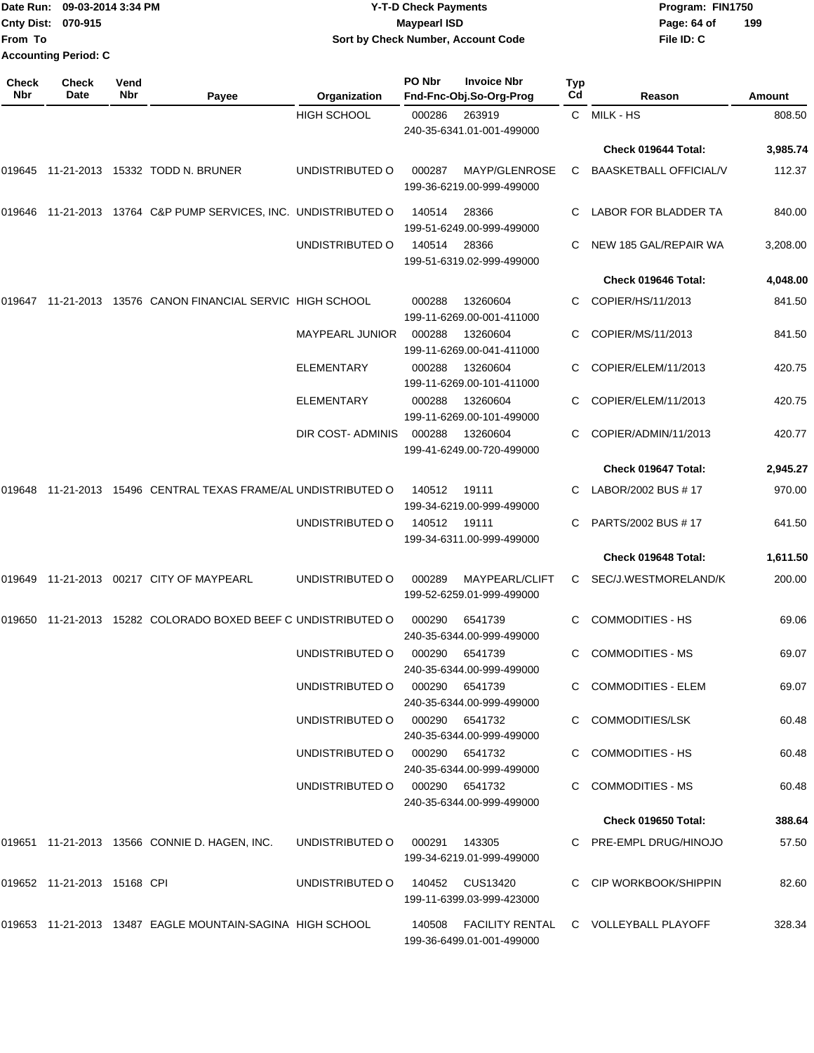|                             |              | Date Run: 09-03-2014 3:34 PM | <b>Y-T-D Check Payments</b>        | Program: FIN1750   |     |            |  |  |
|-----------------------------|--------------|------------------------------|------------------------------------|--------------------|-----|------------|--|--|
| Cnty Dist: 070-915          |              |                              |                                    | Maypearl ISD       |     |            |  |  |
| From To                     |              |                              | Sort by Check Number, Account Code |                    |     | File ID: C |  |  |
| <b>Accounting Period: C</b> |              |                              |                                    |                    |     |            |  |  |
| Check                       | <b>Check</b> | Vend                         | PO Nbr                             | <b>Invoice Nbr</b> | Typ |            |  |  |

| Nbr | Date                        | Nbr | Payee                                                           | Organization                    | Fnd-Fnc-Obj.So-Org-Prog                     |                | Cd | Reason                                      | <b>Amount</b> |
|-----|-----------------------------|-----|-----------------------------------------------------------------|---------------------------------|---------------------------------------------|----------------|----|---------------------------------------------|---------------|
|     |                             |     |                                                                 | <b>HIGH SCHOOL</b>              | 000286<br>240-35-6341.01-001-499000         | 263919         |    | C MILK-HS                                   | 808.50        |
|     |                             |     |                                                                 |                                 |                                             |                |    | Check 019644 Total:                         | 3,985.74      |
|     |                             |     | 019645 11-21-2013 15332 TODD N. BRUNER                          | UNDISTRIBUTED O                 | 000287<br>199-36-6219.00-999-499000         | MAYP/GLENROSE  |    | C BAASKETBALL OFFICIAL/V                    | 112.37        |
|     |                             |     | 019646 11-21-2013 13764 C&P PUMP SERVICES, INC. UNDISTRIBUTED O |                                 | 140514<br>199-51-6249.00-999-499000         | 28366          |    | LABOR FOR BLADDER TA                        | 840.00        |
|     |                             |     |                                                                 | UNDISTRIBUTED O                 | 140514<br>199-51-6319.02-999-499000         | 28366          |    | NEW 185 GAL/REPAIR WA                       | 3,208.00      |
|     |                             |     |                                                                 |                                 |                                             |                |    | Check 019646 Total:                         | 4,048.00      |
|     |                             |     | 019647 11-21-2013 13576 CANON FINANCIAL SERVIC HIGH SCHOOL      |                                 | 000288<br>199-11-6269.00-001-411000         | 13260604       |    | C COPIER/HS/11/2013                         | 841.50        |
|     |                             |     |                                                                 | <b>MAYPEARL JUNIOR</b>          | 000288<br>199-11-6269.00-041-411000         | 13260604       | C  | COPIER/MS/11/2013                           | 841.50        |
|     |                             |     |                                                                 | <b>ELEMENTARY</b>               | 000288<br>199-11-6269.00-101-411000         | 13260604       |    | COPIER/ELEM/11/2013                         | 420.75        |
|     |                             |     |                                                                 | <b>ELEMENTARY</b>               | 000288<br>199-11-6269.00-101-499000         | 13260604       |    | COPIER/ELEM/11/2013                         | 420.75        |
|     |                             |     |                                                                 | DIR COST- ADMINIS               | 000288<br>199-41-6249.00-720-499000         | 13260604       |    | COPIER/ADMIN/11/2013                        | 420.77        |
|     |                             |     |                                                                 |                                 |                                             |                |    | Check 019647 Total:                         | 2,945.27      |
|     |                             |     | 019648 11-21-2013 15496 CENTRAL TEXAS FRAME/AL UNDISTRIBUTED O  |                                 | 140512<br>199-34-6219.00-999-499000         | 19111          | C. | LABOR/2002 BUS # 17                         | 970.00        |
|     |                             |     |                                                                 | UNDISTRIBUTED O                 | 140512<br>199-34-6311.00-999-499000         | 19111          | C. | PARTS/2002 BUS # 17                         | 641.50        |
|     |                             |     |                                                                 |                                 |                                             |                |    | Check 019648 Total:                         | 1,611.50      |
|     |                             |     | 019649 11-21-2013 00217 CITY OF MAYPEARL                        | UNDISTRIBUTED O                 | 000289<br>199-52-6259.01-999-499000         | MAYPEARL/CLIFT |    | C SEC/J.WESTMORELAND/K                      | 200.00        |
|     |                             |     | 019650 11-21-2013 15282 COLORADO BOXED BEEF C UNDISTRIBUTED O   |                                 | 000290<br>240-35-6344.00-999-499000         | 6541739        |    | <b>COMMODITIES - HS</b>                     | 69.06         |
|     |                             |     |                                                                 | UNDISTRIBUTED O                 | 000290<br>240-35-6344.00-999-499000         | 6541739        | C  | <b>COMMODITIES - MS</b>                     | 69.07         |
|     |                             |     |                                                                 | UNDISTRIBUTED O                 | 000290 6541739<br>240-35-6344.00-999-499000 |                |    | C COMMODITIES - ELEM                        | 69.07         |
|     |                             |     |                                                                 | UNDISTRIBUTED O 000290 6541732  | 240-35-6344.00-999-499000                   |                |    | C COMMODITIES/LSK                           | 60.48         |
|     |                             |     |                                                                 | UNDISTRIBUTED O 000290 6541732  | 240-35-6344.00-999-499000                   |                |    | C COMMODITIES - HS                          | 60.48         |
|     |                             |     |                                                                 | UNDISTRIBUTED O 000290 6541732  | 240-35-6344.00-999-499000                   |                |    | C COMMODITIES - MS                          | 60.48         |
|     |                             |     |                                                                 |                                 |                                             |                |    | Check 019650 Total:                         | 388.64        |
|     |                             |     | 019651 11-21-2013 13566 CONNIE D. HAGEN, INC.                   | UNDISTRIBUTED O                 | 000291 143305<br>199-34-6219.01-999-499000  |                |    | C PRE-EMPL DRUG/HINOJO                      | 57.50         |
|     | 019652 11-21-2013 15168 CPI |     |                                                                 | UNDISTRIBUTED O 140452 CUS13420 | 199-11-6399.03-999-423000                   |                |    | C CIP WORKBOOK/SHIPPIN                      | 82.60         |
|     |                             |     | 019653 11-21-2013 13487 EAGLE MOUNTAIN-SAGINA HIGH SCHOOL       |                                 | 199-36-6499.01-001-499000                   |                |    | 140508 FACILITY RENTAL C VOLLEYBALL PLAYOFF | 328.34        |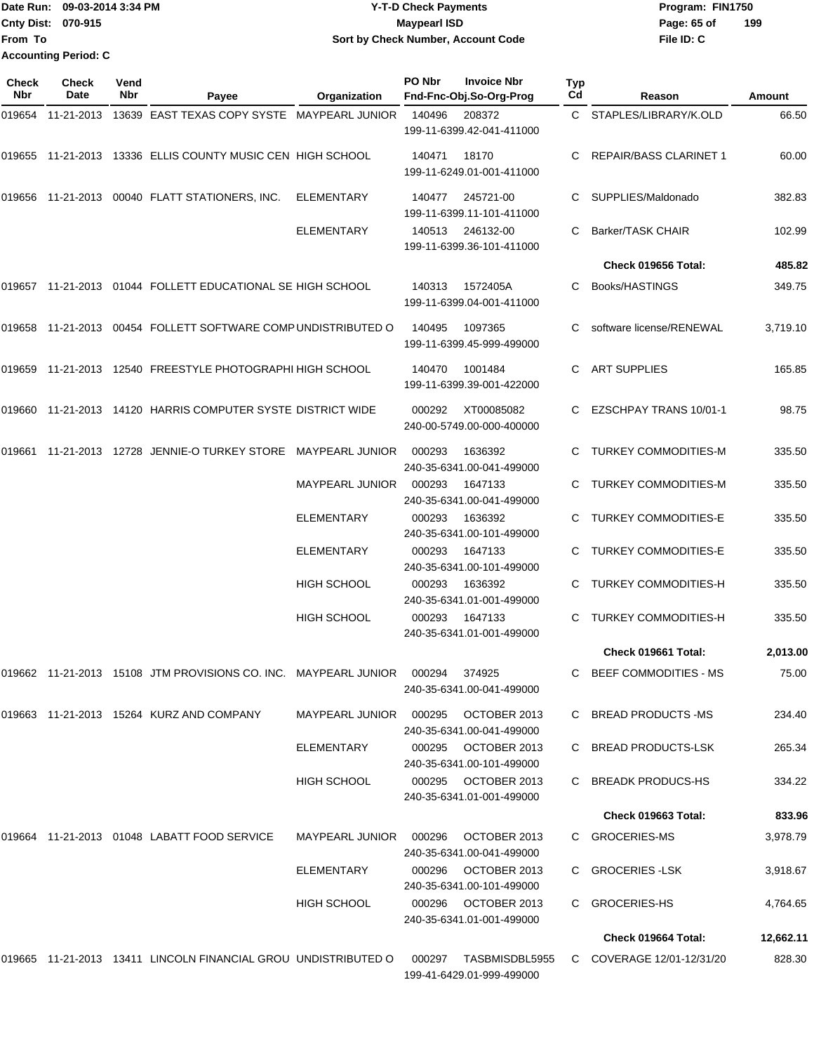## Date Run: 09-03-2014 3:34 PM **Program:** FIN1750 **Cnty Dist:** 070-915 **Page: 65 of MaypearI ISD Page: 65 of Y-T-D Check Payments 070-915 Maypearl ISD Sort by Check Number, Account Code**

**File ID: C 199**

| <b>Check</b><br><b>Nbr</b> | Check<br>Date | Vend<br>Nbr | Payee                                                                     | Organization           | PO Nbr | <b>Invoice Nbr</b><br>Fnd-Fnc-Obj.So-Org-Prog    | <b>Typ</b><br>Cd | Reason                      | <b>Amount</b> |
|----------------------------|---------------|-------------|---------------------------------------------------------------------------|------------------------|--------|--------------------------------------------------|------------------|-----------------------------|---------------|
| 019654                     | 11-21-2013    |             | 13639 EAST TEXAS COPY SYSTE MAYPEARL JUNIOR                               |                        | 140496 | 208372<br>199-11-6399.42-041-411000              |                  | C STAPLES/LIBRARY/K.OLD     | 66.50         |
|                            |               |             | 019655 11-21-2013 13336 ELLIS COUNTY MUSIC CEN HIGH SCHOOL                |                        | 140471 | 18170<br>199-11-6249.01-001-411000               |                  | C REPAIR/BASS CLARINET 1    | 60.00         |
|                            |               |             | 019656 11-21-2013 00040 FLATT STATIONERS, INC.                            | <b>ELEMENTARY</b>      | 140477 | 245721-00<br>199-11-6399.11-101-411000           |                  | SUPPLIES/Maldonado          | 382.83        |
|                            |               |             |                                                                           | <b>ELEMENTARY</b>      | 140513 | 246132-00<br>199-11-6399.36-101-411000           | C                | <b>Barker/TASK CHAIR</b>    | 102.99        |
|                            |               |             |                                                                           |                        |        |                                                  |                  | Check 019656 Total:         | 485.82        |
|                            |               |             | 019657  11-21-2013  01044  FOLLETT EDUCATIONAL SE HIGH SCHOOL             |                        | 140313 | 1572405A<br>199-11-6399.04-001-411000            |                  | C Books/HASTINGS            | 349.75        |
|                            |               |             | 019658  11-21-2013  00454  FOLLETT SOFTWARE COMP UNDISTRIBUTED O          |                        | 140495 | 1097365<br>199-11-6399.45-999-499000             |                  | software license/RENEWAL    | 3,719.10      |
|                            |               |             | 019659 11-21-2013 12540 FREESTYLE PHOTOGRAPHI HIGH SCHOOL                 |                        | 140470 | 1001484<br>199-11-6399.39-001-422000             |                  | C ART SUPPLIES              | 165.85        |
|                            |               |             | 019660 11-21-2013 14120 HARRIS COMPUTER SYSTE DISTRICT WIDE               |                        | 000292 | XT00085082<br>240-00-5749.00-000-400000          |                  | C EZSCHPAY TRANS 10/01-1    | 98.75         |
|                            |               |             | 019661  11-21-2013  12728  JENNIE-O TURKEY STORE  MAYPEARL JUNIOR         |                        | 000293 | 1636392<br>240-35-6341.00-041-499000             |                  | TURKEY COMMODITIES-M        | 335.50        |
|                            |               |             |                                                                           | <b>MAYPEARL JUNIOR</b> | 000293 | 1647133<br>240-35-6341.00-041-499000             |                  | <b>TURKEY COMMODITIES-M</b> | 335.50        |
|                            |               |             |                                                                           | <b>ELEMENTARY</b>      | 000293 | 1636392<br>240-35-6341.00-101-499000             | C                | <b>TURKEY COMMODITIES-E</b> | 335.50        |
|                            |               |             |                                                                           | ELEMENTARY             | 000293 | 1647133<br>240-35-6341.00-101-499000             |                  | C TURKEY COMMODITIES-E      | 335.50        |
|                            |               |             |                                                                           | HIGH SCHOOL            | 000293 | 1636392<br>240-35-6341.01-001-499000             | C.               | <b>TURKEY COMMODITIES-H</b> | 335.50        |
|                            |               |             |                                                                           | <b>HIGH SCHOOL</b>     | 000293 | 1647133<br>240-35-6341.01-001-499000             | C                | <b>TURKEY COMMODITIES-H</b> | 335.50        |
|                            |               |             |                                                                           |                        |        |                                                  |                  | Check 019661 Total:         | 2,013.00      |
|                            |               |             | 019662 11-21-2013 15108 JTM PROVISIONS CO. INC. MAYPEARL JUNIOR    000294 |                        |        | 374925<br>240-35-6341.00-041-499000              |                  | BEEF COMMODITIES - MS       | 75.00         |
|                            |               |             | 019663  11-21-2013  15264  KURZ AND COMPANY                               | MAYPEARL JUNIOR 000295 |        | OCTOBER 2013<br>240-35-6341.00-041-499000        |                  | C BREAD PRODUCTS -MS        | 234.40        |
|                            |               |             |                                                                           | ELEMENTARY             |        | 000295 OCTOBER 2013<br>240-35-6341.00-101-499000 |                  | C BREAD PRODUCTS-LSK        | 265.34        |
|                            |               |             |                                                                           | <b>HIGH SCHOOL</b>     |        | 000295 OCTOBER 2013<br>240-35-6341.01-001-499000 |                  | C BREADK PRODUCS-HS         | 334.22        |
|                            |               |             |                                                                           |                        |        |                                                  |                  | <b>Check 019663 Total:</b>  | 833.96        |
|                            |               |             | 019664  11-21-2013  01048  LABATT FOOD SERVICE                            | MAYPEARL JUNIOR        | 000296 | OCTOBER 2013<br>240-35-6341.00-041-499000        |                  | C GROCERIES-MS              | 3,978.79      |
|                            |               |             |                                                                           | ELEMENTARY             | 000296 | OCTOBER 2013<br>240-35-6341.00-101-499000        |                  | C GROCERIES-LSK             | 3,918.67      |
|                            |               |             |                                                                           | HIGH SCHOOL            |        | 240-35-6341.01-001-499000                        |                  | C GROCERIES-HS              | 4,764.65      |
|                            |               |             |                                                                           |                        |        |                                                  |                  | Check 019664 Total:         | 12,662.11     |
|                            |               |             | 019665 11-21-2013 13411 LINCOLN FINANCIAL GROU UNDISTRIBUTED O            |                        |        | 000297 TASBMISDBL5955                            |                  | C COVERAGE 12/01-12/31/20   | 828.30        |

199-41-6429.01-999-499000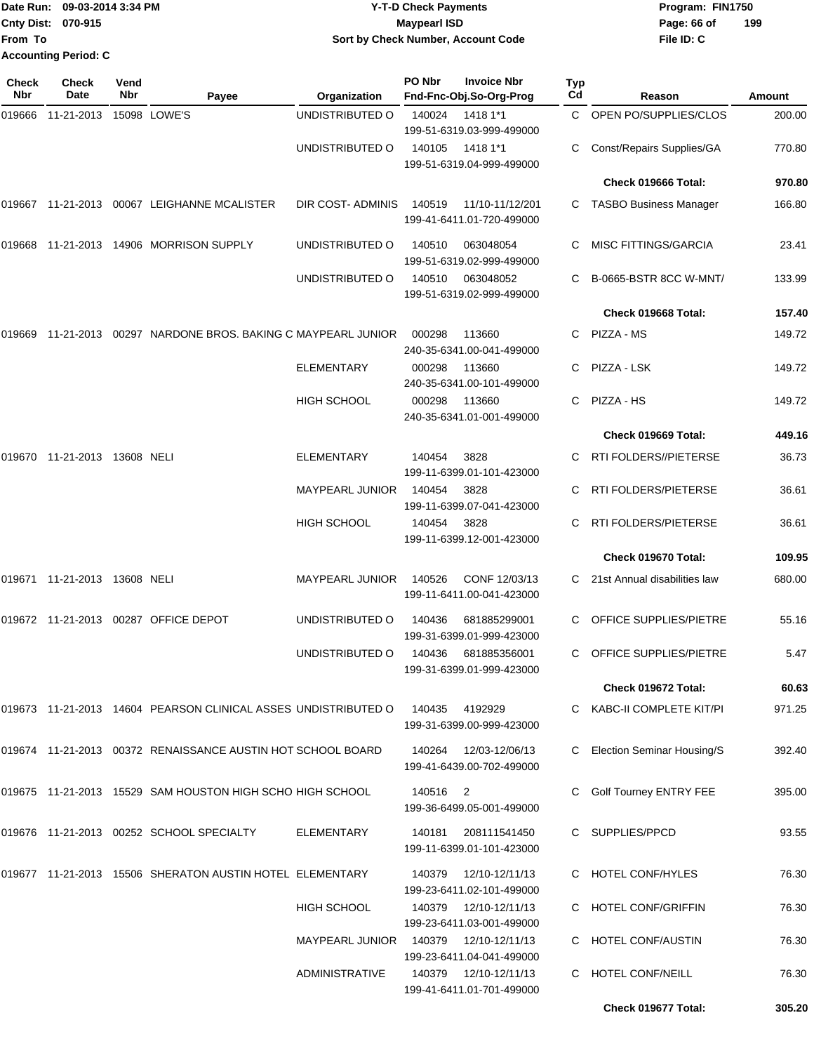|                           | Date Run: 09-03-2014 3:34 PM | <b>Y-T-D Check Payments</b>        | Program: FIN1750   |
|---------------------------|------------------------------|------------------------------------|--------------------|
| <b>Cnty Dist: 070-915</b> |                              | Maypearl ISD                       | 199<br>Page: 66 of |
| lFrom To                  |                              | Sort by Check Number, Account Code | File ID: C         |
|                           | <b>Accounting Period: C</b>  |                                    |                    |

| Check<br>Nbr | <b>Check</b><br><b>Date</b>  | Vend<br>Nbr | Payee                                                          | Organization           | PO Nbr   | <b>Invoice Nbr</b><br>Fnd-Fnc-Obj.So-Org-Prog       | Typ<br>Cd | Reason                         | Amount |
|--------------|------------------------------|-------------|----------------------------------------------------------------|------------------------|----------|-----------------------------------------------------|-----------|--------------------------------|--------|
| 019666       | 11-21-2013                   |             | 15098 LOWE'S                                                   | UNDISTRIBUTED O        | 140024   | 1418 1*1<br>199-51-6319.03-999-499000               |           | C OPEN PO/SUPPLIES/CLOS        | 200.00 |
|              |                              |             |                                                                | UNDISTRIBUTED O        | 140105   | 1418 1*1<br>199-51-6319.04-999-499000               |           | Const/Repairs Supplies/GA      | 770.80 |
|              |                              |             |                                                                |                        |          |                                                     |           | Check 019666 Total:            | 970.80 |
|              |                              |             | 019667 11-21-2013 00067 LEIGHANNE MCALISTER                    | DIR COST- ADMINIS      | 140519   | 11/10-11/12/201<br>199-41-6411.01-720-499000        |           | C TASBO Business Manager       | 166.80 |
| 019668       |                              |             | 11-21-2013  14906  MORRISON SUPPLY                             | UNDISTRIBUTED O        | 140510   | 063048054<br>199-51-6319.02-999-499000              |           | MISC FITTINGS/GARCIA           | 23.41  |
|              |                              |             |                                                                | UNDISTRIBUTED O        | 140510   | 063048052<br>199-51-6319.02-999-499000              |           | B-0665-BSTR 8CC W-MNT/         | 133.99 |
|              |                              |             |                                                                |                        |          |                                                     |           | Check 019668 Total:            | 157.40 |
| 019669       |                              |             | 11-21-2013 00297 NARDONE BROS, BAKING C MAYPEARL JUNIOR        |                        | 000298   | 113660<br>240-35-6341.00-041-499000                 | C.        | PIZZA - MS                     | 149.72 |
|              |                              |             |                                                                | <b>ELEMENTARY</b>      | 000298   | 113660<br>240-35-6341.00-101-499000                 | C         | PIZZA - LSK                    | 149.72 |
|              |                              |             |                                                                | <b>HIGH SCHOOL</b>     | 000298   | 113660<br>240-35-6341.01-001-499000                 | C.        | PIZZA - HS                     | 149.72 |
|              |                              |             |                                                                |                        |          |                                                     |           | Check 019669 Total:            | 449.16 |
| 019670       | 11-21-2013 13608 NELI        |             |                                                                | <b>ELEMENTARY</b>      | 140454   | 3828<br>199-11-6399.01-101-423000                   | C         | <b>RTI FOLDERS//PIETERSE</b>   | 36.73  |
|              |                              |             |                                                                | MAYPEARL JUNIOR        | 140454   | 3828<br>199-11-6399.07-041-423000                   |           | RTI FOLDERS/PIETERSE           | 36.61  |
|              |                              |             |                                                                | <b>HIGH SCHOOL</b>     | 140454   | 3828<br>199-11-6399.12-001-423000                   |           | RTI FOLDERS/PIETERSE           | 36.61  |
|              |                              |             |                                                                |                        |          |                                                     |           | Check 019670 Total:            | 109.95 |
|              | 019671 11-21-2013 13608 NELI |             |                                                                | <b>MAYPEARL JUNIOR</b> | 140526   | CONF 12/03/13<br>199-11-6411.00-041-423000          |           | C 21st Annual disabilities law | 680.00 |
|              |                              |             | 019672 11-21-2013 00287 OFFICE DEPOT                           | UNDISTRIBUTED O        | 140436   | 681885299001<br>199-31-6399.01-999-423000           |           | OFFICE SUPPLIES/PIETRE         | 55.16  |
|              |                              |             |                                                                | UNDISTRIBUTED O        | 140436   | 681885356001<br>199-31-6399.01-999-423000           |           | OFFICE SUPPLIES/PIETRE         | 5.47   |
|              |                              |             |                                                                |                        |          |                                                     |           | Check 019672 Total:            | 60.63  |
|              |                              |             | 019673 11-21-2013 14604 PEARSON CLINICAL ASSES UNDISTRIBUTED O |                        | 140435   | 4192929<br>199-31-6399.00-999-423000                |           | C KABC-II COMPLETE KIT/PI      | 971.25 |
|              |                              |             | 019674 11-21-2013 00372 RENAISSANCE AUSTIN HOT SCHOOL BOARD    |                        |          | 140264  12/03-12/06/13<br>199-41-6439.00-702-499000 |           | C Election Seminar Housing/S   | 392.40 |
|              |                              |             | 019675 11-21-2013 15529 SAM HOUSTON HIGH SCHO HIGH SCHOOL      |                        | 140516 2 | 199-36-6499.05-001-499000                           |           | Golf Tourney ENTRY FEE         | 395.00 |
|              |                              |             | 019676 11-21-2013 00252 SCHOOL SPECIALTY                       | ELEMENTARY             | 140181   | 208111541450<br>199-11-6399.01-101-423000           |           | C SUPPLIES/PPCD                | 93.55  |
|              |                              |             | 019677 11-21-2013 15506 SHERATON AUSTIN HOTEL ELEMENTARY       |                        | 140379   | 12/10-12/11/13<br>199-23-6411.02-101-499000         |           | C HOTEL CONF/HYLES             | 76.30  |
|              |                              |             |                                                                | <b>HIGH SCHOOL</b>     | 140379   | 12/10-12/11/13<br>199-23-6411.03-001-499000         |           | <b>HOTEL CONF/GRIFFIN</b>      | 76.30  |
|              |                              |             |                                                                | <b>MAYPEARL JUNIOR</b> | 140379   | 12/10-12/11/13<br>199-23-6411.04-041-499000         |           | <b>HOTEL CONF/AUSTIN</b>       | 76.30  |
|              |                              |             |                                                                | <b>ADMINISTRATIVE</b>  |          | 140379  12/10-12/11/13<br>199-41-6411.01-701-499000 | C.        | HOTEL CONF/NEILL               | 76.30  |
|              |                              |             |                                                                |                        |          |                                                     |           | Check 019677 Total:            | 305.20 |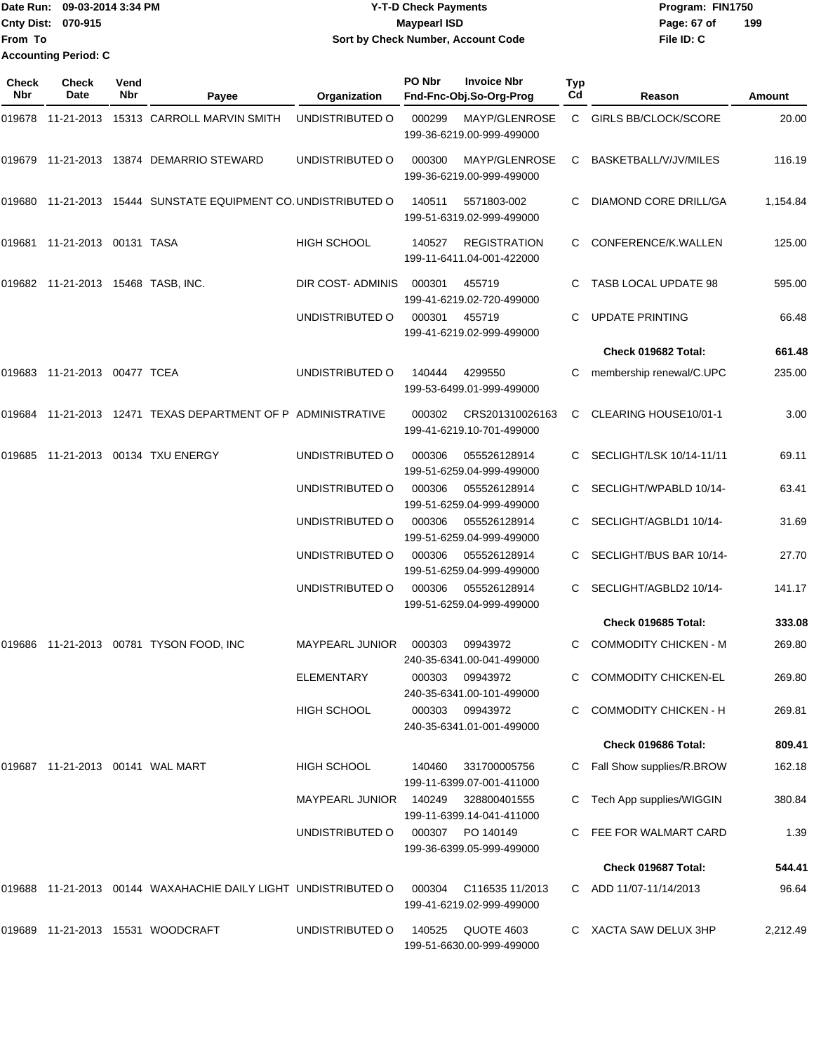|                           | Date Run: 09-03-2014 3:34 PM | <b>Y-T-D Check Payments</b>        | Program: FIN1750   |
|---------------------------|------------------------------|------------------------------------|--------------------|
| <b>Cnty Dist: 070-915</b> |                              | <b>Mavpearl ISD</b>                | 199<br>Page: 67 of |
| lFrom To                  |                              | Sort by Check Number, Account Code | File ID: C         |
|                           | <b>Accounting Period: C</b>  |                                    |                    |

| Check<br>Nbr | <b>Check</b><br>Date               | Vend<br>Nbr | Payee                                                          | Organization           | PO Nbr | <b>Invoice Nbr</b><br>Fnd-Fnc-Obj.So-Org-Prog    | Typ<br>Cd | Reason                       | Amount   |
|--------------|------------------------------------|-------------|----------------------------------------------------------------|------------------------|--------|--------------------------------------------------|-----------|------------------------------|----------|
|              |                                    |             | 019678 11-21-2013 15313 CARROLL MARVIN SMITH                   | UNDISTRIBUTED O        | 000299 | MAYP/GLENROSE<br>199-36-6219.00-999-499000       | C.        | <b>GIRLS BB/CLOCK/SCORE</b>  | 20.00    |
|              |                                    |             | 019679 11-21-2013 13874 DEMARRIO STEWARD                       | UNDISTRIBUTED O        | 000300 | MAYP/GLENROSE<br>199-36-6219.00-999-499000       | C.        | BASKETBALL/V/JV/MILES        | 116.19   |
|              |                                    |             | 019680 11-21-2013 15444 SUNSTATE EQUIPMENT CO. UNDISTRIBUTED O |                        | 140511 | 5571803-002<br>199-51-6319.02-999-499000         |           | DIAMOND CORE DRILL/GA        | 1,154.84 |
| 019681       | 11-21-2013 00131 TASA              |             |                                                                | <b>HIGH SCHOOL</b>     | 140527 | <b>REGISTRATION</b><br>199-11-6411.04-001-422000 | C         | CONFERENCE/K.WALLEN          | 125.00   |
|              | 019682 11-21-2013 15468 TASB, INC. |             |                                                                | DIR COST-ADMINIS       | 000301 | 455719<br>199-41-6219.02-720-499000              | C         | TASB LOCAL UPDATE 98         | 595.00   |
|              |                                    |             |                                                                | UNDISTRIBUTED O        | 000301 | 455719<br>199-41-6219.02-999-499000              | C         | <b>UPDATE PRINTING</b>       | 66.48    |
|              |                                    |             |                                                                |                        |        |                                                  |           | Check 019682 Total:          | 661.48   |
|              | 019683 11-21-2013 00477 TCEA       |             |                                                                | UNDISTRIBUTED O        | 140444 | 4299550<br>199-53-6499.01-999-499000             | С         | membership renewal/C.UPC     | 235.00   |
|              |                                    |             | 019684 11-21-2013 12471 TEXAS DEPARTMENT OF P ADMINISTRATIVE   |                        | 000302 | CRS201310026163<br>199-41-6219.10-701-499000     | C         | CLEARING HOUSE10/01-1        | 3.00     |
| 019685       |                                    |             | 11-21-2013 00134 TXU ENERGY                                    | UNDISTRIBUTED O        | 000306 | 055526128914<br>199-51-6259.04-999-499000        |           | SECLIGHT/LSK 10/14-11/11     | 69.11    |
|              |                                    |             |                                                                | UNDISTRIBUTED O        | 000306 | 055526128914<br>199-51-6259.04-999-499000        |           | SECLIGHT/WPABLD 10/14-       | 63.41    |
|              |                                    |             |                                                                | UNDISTRIBUTED O        | 000306 | 055526128914<br>199-51-6259.04-999-499000        |           | SECLIGHT/AGBLD1 10/14-       | 31.69    |
|              |                                    |             |                                                                | UNDISTRIBUTED O        | 000306 | 055526128914<br>199-51-6259.04-999-499000        |           | SECLIGHT/BUS BAR 10/14-      | 27.70    |
|              |                                    |             |                                                                | UNDISTRIBUTED O        | 000306 | 055526128914<br>199-51-6259.04-999-499000        |           | SECLIGHT/AGBLD2 10/14-       | 141.17   |
|              |                                    |             |                                                                |                        |        |                                                  |           | Check 019685 Total:          | 333.08   |
| 019686       |                                    |             | 11-21-2013  00781  TYSON FOOD, INC                             | <b>MAYPEARL JUNIOR</b> | 000303 | 09943972<br>240-35-6341.00-041-499000            | C.        | <b>COMMODITY CHICKEN - M</b> | 269.80   |
|              |                                    |             |                                                                | <b>ELEMENTARY</b>      | 000303 | 09943972<br>240-35-6341.00-101-499000            |           | C COMMODITY CHICKEN-EL       | 269.80   |
|              |                                    |             |                                                                | <b>HIGH SCHOOL</b>     | 000303 | 09943972<br>240-35-6341.01-001-499000            | C.        | <b>COMMODITY CHICKEN - H</b> | 269.81   |
|              |                                    |             |                                                                |                        |        |                                                  |           | Check 019686 Total:          | 809.41   |
|              | 019687 11-21-2013 00141 WAL MART   |             |                                                                | HIGH SCHOOL            | 140460 | 331700005756<br>199-11-6399.07-001-411000        |           | Fall Show supplies/R.BROW    | 162.18   |
|              |                                    |             |                                                                | <b>MAYPEARL JUNIOR</b> | 140249 | 328800401555<br>199-11-6399.14-041-411000        |           | Tech App supplies/WIGGIN     | 380.84   |
|              |                                    |             |                                                                | UNDISTRIBUTED O        | 000307 | PO 140149<br>199-36-6399.05-999-499000           |           | FEE FOR WALMART CARD         | 1.39     |
|              |                                    |             |                                                                |                        |        |                                                  |           | Check 019687 Total:          | 544.41   |
|              |                                    |             | 019688 11-21-2013 00144 WAXAHACHIE DAILY LIGHT UNDISTRIBUTED O |                        | 000304 | C116535 11/2013<br>199-41-6219.02-999-499000     |           | C ADD 11/07-11/14/2013       | 96.64    |
|              |                                    |             | 019689  11-21-2013  15531  WOODCRAFT                           | UNDISTRIBUTED O        | 140525 | QUOTE 4603<br>199-51-6630.00-999-499000          |           | C XACTA SAW DELUX 3HP        | 2,212.49 |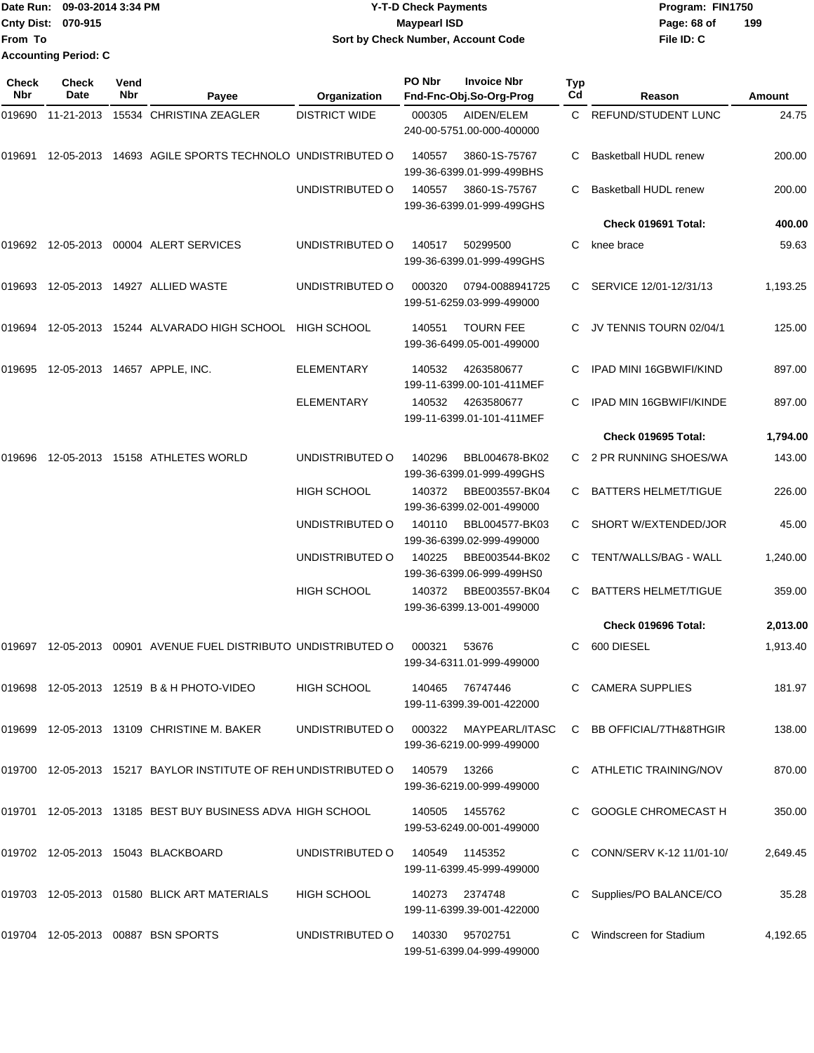Date Run: 09-03-2014 3:34 PM **Program:** FIN1750 **Cnty Dist:** 070-915 **Page: 68 of MaypearI ISD Page: 68 of From To Y-T-D Check Payments Sort by Check Number, Account Code Accounting Period: C**

**File ID: C 199**

| <b>Check</b><br><b>Nbr</b> | Check<br>Date     | Vend<br>Nbr | Payee                                                           | Organization         | PO Nbr | <b>Invoice Nbr</b><br>Fnd-Fnc-Obj.So-Org-Prog | <b>Typ</b><br>C <sub>d</sub> | Reason                         | <b>Amount</b> |
|----------------------------|-------------------|-------------|-----------------------------------------------------------------|----------------------|--------|-----------------------------------------------|------------------------------|--------------------------------|---------------|
| 019690                     | 11-21-2013        |             | 15534 CHRISTINA ZEAGLER                                         | <b>DISTRICT WIDE</b> | 000305 | AIDEN/ELEM<br>240-00-5751.00-000-400000       | C.                           | <b>REFUND/STUDENT LUNC</b>     | 24.75         |
| 019691                     |                   |             | 12-05-2013 14693 AGILE SPORTS TECHNOLO UNDISTRIBUTED O          |                      | 140557 | 3860-1S-75767<br>199-36-6399.01-999-499BHS    | C                            | <b>Basketball HUDL renew</b>   | 200.00        |
|                            |                   |             |                                                                 | UNDISTRIBUTED O      | 140557 | 3860-1S-75767<br>199-36-6399.01-999-499GHS    |                              | Basketball HUDL renew          | 200.00        |
|                            |                   |             |                                                                 |                      |        |                                               |                              | Check 019691 Total:            | 400.00        |
|                            |                   |             | 019692 12-05-2013 00004 ALERT SERVICES                          | UNDISTRIBUTED O      | 140517 | 50299500<br>199-36-6399.01-999-499GHS         | C                            | knee brace                     | 59.63         |
| 019693                     |                   |             | 12-05-2013  14927  ALLIED WASTE                                 | UNDISTRIBUTED O      | 000320 | 0794-0088941725<br>199-51-6259.03-999-499000  | C.                           | SERVICE 12/01-12/31/13         | 1,193.25      |
|                            |                   |             | 019694 12-05-2013 15244 ALVARADO HIGH SCHOOL HIGH SCHOOL        |                      | 140551 | <b>TOURN FEE</b><br>199-36-6499.05-001-499000 | C.                           | JV TENNIS TOURN 02/04/1        | 125.00        |
|                            |                   |             | 019695 12-05-2013 14657 APPLE, INC.                             | <b>ELEMENTARY</b>    | 140532 | 4263580677<br>199-11-6399.00-101-411MEF       |                              | <b>IPAD MINI 16GBWIFI/KIND</b> | 897.00        |
|                            |                   |             |                                                                 | <b>ELEMENTARY</b>    | 140532 | 4263580677<br>199-11-6399.01-101-411MEF       |                              | IPAD MIN 16GBWIFI/KINDE        | 897.00        |
|                            |                   |             |                                                                 |                      |        |                                               |                              | Check 019695 Total:            | 1,794.00      |
| 019696                     |                   |             | 12-05-2013  15158  ATHLETES WORLD                               | UNDISTRIBUTED O      | 140296 | BBL004678-BK02<br>199-36-6399.01-999-499GHS   |                              | C 2 PR RUNNING SHOES/WA        | 143.00        |
|                            |                   |             |                                                                 | <b>HIGH SCHOOL</b>   | 140372 | BBE003557-BK04<br>199-36-6399.02-001-499000   | C                            | <b>BATTERS HELMET/TIGUE</b>    | 226.00        |
|                            |                   |             |                                                                 | UNDISTRIBUTED O      | 140110 | BBL004577-BK03<br>199-36-6399.02-999-499000   | C                            | SHORT W/EXTENDED/JOR           | 45.00         |
|                            |                   |             |                                                                 | UNDISTRIBUTED O      | 140225 | BBE003544-BK02<br>199-36-6399.06-999-499HS0   | C.                           | TENT/WALLS/BAG - WALL          | 1,240.00      |
|                            |                   |             |                                                                 | <b>HIGH SCHOOL</b>   | 140372 | BBE003557-BK04<br>199-36-6399.13-001-499000   | C.                           | <b>BATTERS HELMET/TIGUE</b>    | 359.00        |
|                            |                   |             |                                                                 |                      |        |                                               |                              | Check 019696 Total:            | 2,013.00      |
|                            | 019697 12-05-2013 |             | 00901 AVENUE FUEL DISTRIBUTO UNDISTRIBUTED O                    |                      | 000321 | 53676<br>199-34-6311.01-999-499000            | C.                           | 600 DIESEL                     | 1,913.40      |
|                            |                   |             | 019698 12-05-2013 12519 B & H PHOTO-VIDEO                       | <b>HIGH SCHOOL</b>   | 140465 | 76747446<br>199-11-6399.39-001-422000         |                              | C CAMERA SUPPLIES              | 181.97        |
|                            |                   |             | 019699 12-05-2013 13109 CHRISTINE M. BAKER                      | UNDISTRIBUTED O      | 000322 | MAYPEARL/ITASC<br>199-36-6219.00-999-499000   |                              | C BB OFFICIAL/7TH&8THGIR       | 138.00        |
|                            |                   |             | 019700 12-05-2013 15217 BAYLOR INSTITUTE OF REH UNDISTRIBUTED O |                      | 140579 | 13266<br>199-36-6219.00-999-499000            |                              | C ATHLETIC TRAINING/NOV        | 870.00        |
|                            |                   |             | 019701 12-05-2013 13185 BEST BUY BUSINESS ADVA HIGH SCHOOL      |                      |        | 140505  1455762<br>199-53-6249.00-001-499000  |                              | GOOGLE CHROMECAST H            | 350.00        |
|                            |                   |             | 019702  12-05-2013  15043  BLACKBOARD                           | UNDISTRIBUTED O      | 140549 | 1145352<br>199-11-6399.45-999-499000          |                              | CONN/SERV K-12 11/01-10/       | 2,649.45      |
|                            |                   |             | 019703 12-05-2013 01580 BLICK ART MATERIALS                     | HIGH SCHOOL          | 140273 | 2374748<br>199-11-6399.39-001-422000          |                              | Supplies/PO BALANCE/CO         | 35.28         |
|                            |                   |             | 019704 12-05-2013 00887 BSN SPORTS                              | UNDISTRIBUTED O      | 140330 | 95702751<br>199-51-6399.04-999-499000         |                              | Windscreen for Stadium         | 4,192.65      |

**070-915 Maypearl ISD**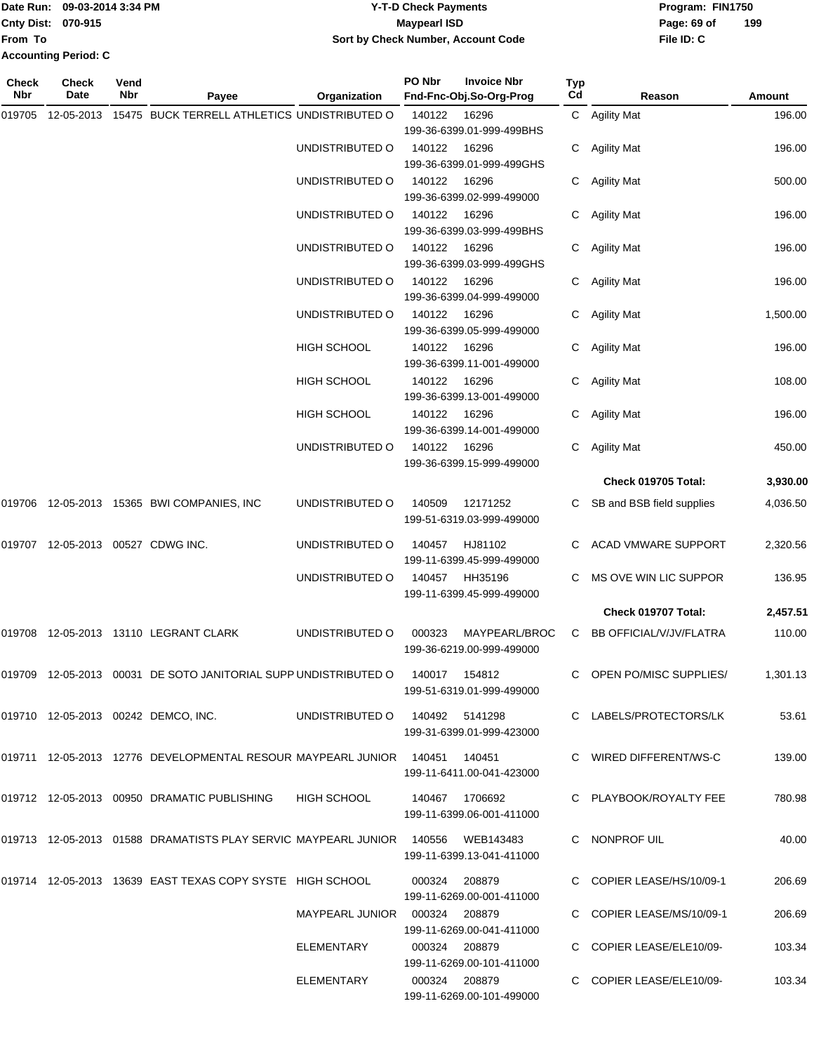|                             | Date Run: 09-03-2014 3:34 PM | <b>Y-T-D Check Payments</b>        | Program: FIN1750 |     |
|-----------------------------|------------------------------|------------------------------------|------------------|-----|
| <b>Cnty Dist: 070-915</b>   |                              | Maypearl ISD                       | Page: 69 of      | 199 |
| lFrom To                    |                              | Sort by Check Number, Account Code | File ID: C       |     |
| <b>Accounting Period: C</b> |                              |                                    |                  |     |

| Check<br>Nbr | Check<br>Date | Vend<br>Nbr | Payee                                                                           | Organization                    | PO Nbr          | <b>Invoice Nbr</b><br>Fnd-Fnc-Obj.So-Org-Prog | Typ<br>Cd | Reason                    | Amount   |
|--------------|---------------|-------------|---------------------------------------------------------------------------------|---------------------------------|-----------------|-----------------------------------------------|-----------|---------------------------|----------|
| 019705       | 12-05-2013    |             | 15475 BUCK TERRELL ATHLETICS UNDISTRIBUTED O                                    |                                 | 140122          | 16296                                         |           | C Agility Mat             | 196.00   |
|              |               |             |                                                                                 |                                 |                 | 199-36-6399.01-999-499BHS                     |           |                           |          |
|              |               |             |                                                                                 | UNDISTRIBUTED O                 | 140122          | 16296                                         |           | C Agility Mat             | 196.00   |
|              |               |             |                                                                                 |                                 |                 | 199-36-6399.01-999-499GHS                     |           |                           |          |
|              |               |             |                                                                                 | UNDISTRIBUTED O                 | 140122          | 16296                                         | C.        | Agility Mat               | 500.00   |
|              |               |             |                                                                                 |                                 |                 | 199-36-6399.02-999-499000                     |           |                           |          |
|              |               |             |                                                                                 | UNDISTRIBUTED O                 | 140122          | 16296                                         | C         | <b>Agility Mat</b>        | 196.00   |
|              |               |             |                                                                                 |                                 |                 | 199-36-6399.03-999-499BHS                     |           |                           |          |
|              |               |             |                                                                                 | UNDISTRIBUTED O                 | 140122          | 16296<br>199-36-6399.03-999-499GHS            | C         | <b>Agility Mat</b>        | 196.00   |
|              |               |             |                                                                                 | UNDISTRIBUTED O                 | 140122          | 16296                                         | C.        | Agility Mat               | 196.00   |
|              |               |             |                                                                                 |                                 |                 | 199-36-6399.04-999-499000                     |           |                           |          |
|              |               |             |                                                                                 | UNDISTRIBUTED O                 | 140122          | 16296                                         | C         | Agility Mat               | 1,500.00 |
|              |               |             |                                                                                 |                                 |                 | 199-36-6399.05-999-499000                     |           |                           |          |
|              |               |             |                                                                                 | <b>HIGH SCHOOL</b>              | 140122          | 16296                                         |           | C Agility Mat             | 196.00   |
|              |               |             |                                                                                 |                                 |                 | 199-36-6399.11-001-499000                     |           |                           |          |
|              |               |             |                                                                                 | <b>HIGH SCHOOL</b>              | 140122          | 16296                                         |           | C Agility Mat             | 108.00   |
|              |               |             |                                                                                 |                                 |                 | 199-36-6399.13-001-499000                     |           |                           |          |
|              |               |             |                                                                                 | HIGH SCHOOL                     | 140122          | 16296                                         | C         | Agility Mat               | 196.00   |
|              |               |             |                                                                                 |                                 |                 | 199-36-6399.14-001-499000                     |           |                           |          |
|              |               |             |                                                                                 | UNDISTRIBUTED O                 | 140122          | 16296                                         | C.        | <b>Agility Mat</b>        | 450.00   |
|              |               |             |                                                                                 |                                 |                 | 199-36-6399.15-999-499000                     |           |                           |          |
|              |               |             |                                                                                 |                                 |                 |                                               |           | Check 019705 Total:       | 3,930.00 |
|              |               |             | 019706 12-05-2013 15365 BWI COMPANIES, INC                                      | UNDISTRIBUTED O                 | 140509          | 12171252                                      | C.        | SB and BSB field supplies | 4,036.50 |
|              |               |             |                                                                                 |                                 |                 | 199-51-6319.03-999-499000                     |           |                           |          |
| 019707       |               |             | 12-05-2013  00527  CDWG INC.                                                    | UNDISTRIBUTED O                 | 140457          | HJ81102                                       |           | ACAD VMWARE SUPPORT       | 2,320.56 |
|              |               |             |                                                                                 |                                 |                 | 199-11-6399.45-999-499000                     |           |                           |          |
|              |               |             |                                                                                 | UNDISTRIBUTED O                 | 140457          | HH35196                                       |           | MS OVE WIN LIC SUPPOR     | 136.95   |
|              |               |             |                                                                                 |                                 |                 | 199-11-6399.45-999-499000                     |           |                           |          |
|              |               |             |                                                                                 |                                 |                 |                                               |           | Check 019707 Total:       | 2,457.51 |
|              |               |             | 019708 12-05-2013 13110 LEGRANT CLARK                                           | UNDISTRIBUTED O                 | 000323          | MAYPEARL/BROC                                 | C.        | BB OFFICIAL/V/JV/FLATRA   | 110.00   |
|              |               |             |                                                                                 |                                 |                 | 199-36-6219.00-999-499000                     |           |                           |          |
|              |               |             | 019709 12-05-2013 00031 DE SOTO JANITORIAL SUPP UNDISTRIBUTED O 140017 154812   |                                 |                 |                                               |           | C OPEN PO/MISC SUPPLIES/  | 1,301.13 |
|              |               |             |                                                                                 |                                 |                 | 199-51-6319.01-999-499000                     |           |                           |          |
|              |               |             |                                                                                 |                                 |                 |                                               |           |                           |          |
|              |               |             | 019710 12-05-2013 00242 DEMCO, INC.                                             | UNDISTRIBUTED O 140492 5141298  |                 |                                               |           | C LABELS/PROTECTORS/LK    | 53.61    |
|              |               |             |                                                                                 |                                 |                 | 199-31-6399.01-999-423000                     |           |                           |          |
|              |               |             | 019711 12-05-2013 12776 DEVELOPMENTAL RESOUR MAYPEARL JUNIOR 140451 140451      |                                 |                 |                                               |           | C WIRED DIFFERENT/WS-C    | 139.00   |
|              |               |             |                                                                                 |                                 |                 | 199-11-6411.00-041-423000                     |           |                           |          |
|              |               |             | 019712  12-05-2013  00950  DRAMATIC PUBLISHING                                  | HIGH SCHOOL                     | 140467  1706692 |                                               |           | C PLAYBOOK/ROYALTY FEE    | 780.98   |
|              |               |             |                                                                                 |                                 |                 | 199-11-6399.06-001-411000                     |           |                           |          |
|              |               |             |                                                                                 |                                 |                 |                                               |           |                           |          |
|              |               |             | 019713 12-05-2013 01588 DRAMATISTS PLAY SERVIC MAYPEARL JUNIOR 140556 WEB143483 |                                 |                 |                                               |           | C NONPROF UIL             | 40.00    |
|              |               |             |                                                                                 |                                 |                 | 199-11-6399.13-041-411000                     |           |                           |          |
|              |               |             | 019714 12-05-2013 13639 EAST TEXAS COPY SYSTE HIGH SCHOOL                       |                                 | 000324  208879  |                                               |           | C COPIER LEASE/HS/10/09-1 | 206.69   |
|              |               |             |                                                                                 |                                 |                 | 199-11-6269.00-001-411000                     |           |                           |          |
|              |               |             |                                                                                 | MAYPEARL JUNIOR  000324  208879 |                 |                                               |           | C COPIER LEASE/MS/10/09-1 | 206.69   |
|              |               |             |                                                                                 |                                 |                 | 199-11-6269.00-041-411000                     |           |                           |          |
|              |               |             |                                                                                 | ELEMENTARY                      | 000324 208879   |                                               |           | C COPIER LEASE/ELE10/09-  | 103.34   |
|              |               |             |                                                                                 | ELEMENTARY                      | 000324 208879   | 199-11-6269.00-101-411000                     |           | C COPIER LEASE/ELE10/09-  | 103.34   |
|              |               |             |                                                                                 |                                 |                 | 199-11-6269.00-101-499000                     |           |                           |          |
|              |               |             |                                                                                 |                                 |                 |                                               |           |                           |          |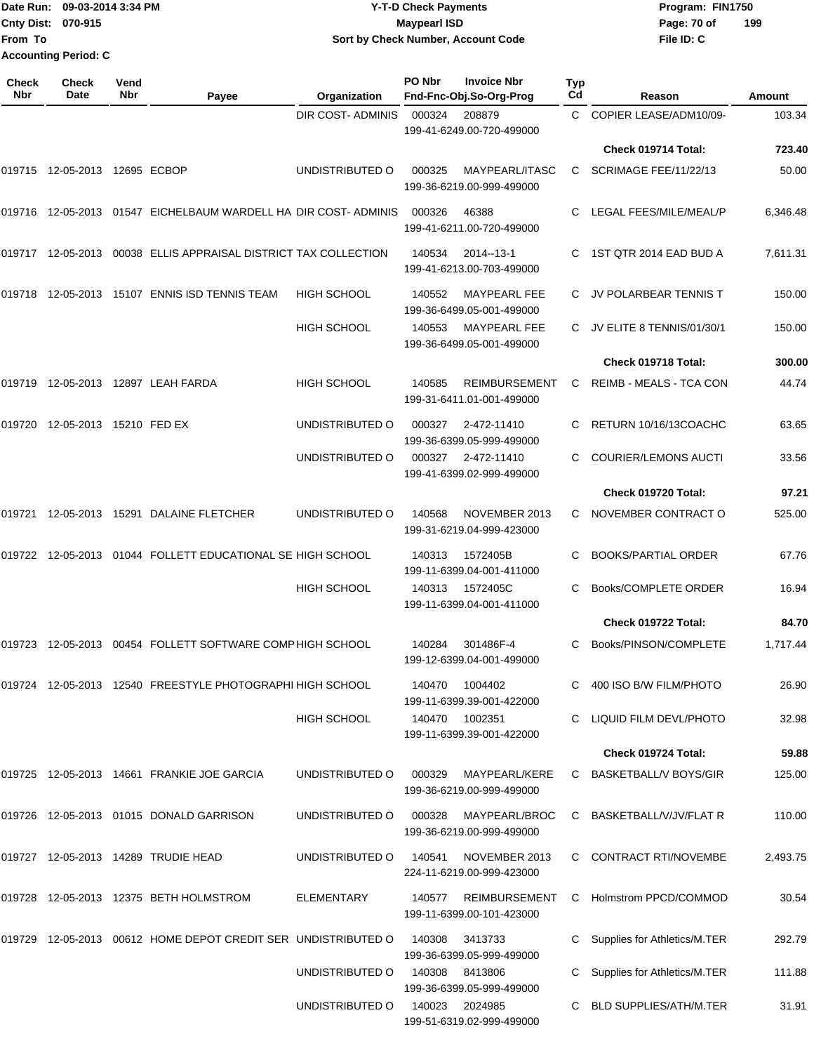|                             | Date Run: 09-03-2014 3:34 PM | <b>Y-T-D Check Payments</b>        | Program: FIN1750 |     |
|-----------------------------|------------------------------|------------------------------------|------------------|-----|
| <b>Cnty Dist: 070-915</b>   |                              | Maypearl ISD                       | Page: 70 of      | 199 |
| From To                     |                              | Sort by Check Number, Account Code | File ID: C       |     |
| <b>Accounting Period: C</b> |                              |                                    |                  |     |
|                             |                              |                                    |                  |     |

**PO Nbr Invoice Nbr**

| <b>Check</b><br>Nbr | <b>Check</b><br>Date          | Vend<br>Nbr | Payee                                                         | Organization            | PO Nbr | <b>Invoice Nbr</b><br>Fnd-Fnc-Obj.So-Org-Prog     | <b>Typ</b><br>Cd | Reason                         | Amount   |
|---------------------|-------------------------------|-------------|---------------------------------------------------------------|-------------------------|--------|---------------------------------------------------|------------------|--------------------------------|----------|
|                     |                               |             |                                                               | <b>DIR COST-ADMINIS</b> | 000324 | 208879<br>199-41-6249.00-720-499000               | $\mathsf{C}$     | COPIER LEASE/ADM10/09-         | 103.34   |
|                     |                               |             |                                                               |                         |        |                                                   |                  | Check 019714 Total:            | 723.40   |
|                     | 019715 12-05-2013 12695 ECBOP |             |                                                               | UNDISTRIBUTED O         | 000325 | MAYPEARL/ITASC<br>199-36-6219.00-999-499000       | C.               | SCRIMAGE FEE/11/22/13          | 50.00    |
|                     | 019716 12-05-2013             |             | 01547 EICHELBAUM WARDELL HA DIR COST-ADMINIS                  |                         | 000326 | 46388<br>199-41-6211.00-720-499000                | C.               | LEGAL FEES/MILE/MEAL/P         | 6,346.48 |
|                     | 019717 12-05-2013             |             | 00038 ELLIS APPRAISAL DISTRICT TAX COLLECTION                 |                         | 140534 | 2014--13-1<br>199-41-6213.00-703-499000           | C.               | 1ST QTR 2014 EAD BUD A         | 7,611.31 |
|                     |                               |             | 019718 12-05-2013 15107 ENNIS ISD TENNIS TEAM                 | <b>HIGH SCHOOL</b>      | 140552 | <b>MAYPEARL FEE</b><br>199-36-6499.05-001-499000  |                  | JV POLARBEAR TENNIS T          | 150.00   |
|                     |                               |             |                                                               | <b>HIGH SCHOOL</b>      | 140553 | <b>MAYPEARL FEE</b><br>199-36-6499.05-001-499000  | C.               | JV ELITE 8 TENNIS/01/30/1      | 150.00   |
|                     |                               |             |                                                               |                         |        |                                                   |                  | Check 019718 Total:            | 300.00   |
| 019719              |                               |             | 12-05-2013  12897  LEAH FARDA                                 | <b>HIGH SCHOOL</b>      | 140585 | <b>REIMBURSEMENT</b><br>199-31-6411.01-001-499000 | C.               | <b>REIMB - MEALS - TCA CON</b> | 44.74    |
| 019720              | 12-05-2013 15210 FED EX       |             |                                                               | UNDISTRIBUTED O         | 000327 | 2-472-11410<br>199-36-6399.05-999-499000          | C.               | RETURN 10/16/13COACHC          | 63.65    |
|                     |                               |             |                                                               | UNDISTRIBUTED O         | 000327 | 2-472-11410<br>199-41-6399.02-999-499000          |                  | <b>COURIER/LEMONS AUCTI</b>    | 33.56    |
|                     |                               |             |                                                               |                         |        |                                                   |                  | Check 019720 Total:            | 97.21    |
| 019721              |                               |             | 12-05-2013  15291  DALAINE FLETCHER                           | UNDISTRIBUTED O         | 140568 | NOVEMBER 2013<br>199-31-6219.04-999-423000        | C.               | NOVEMBER CONTRACT O            | 525.00   |
| 019722              | 12-05-2013                    |             | 01044 FOLLETT EDUCATIONAL SE HIGH SCHOOL                      |                         | 140313 | 1572405B<br>199-11-6399.04-001-411000             | C                | <b>BOOKS/PARTIAL ORDER</b>     | 67.76    |
|                     |                               |             |                                                               | <b>HIGH SCHOOL</b>      | 140313 | 1572405C<br>199-11-6399.04-001-411000             | C.               | Books/COMPLETE ORDER           | 16.94    |
|                     |                               |             |                                                               |                         |        |                                                   |                  | Check 019722 Total:            | 84.70    |
| 019723              | 12-05-2013                    |             | 00454 FOLLETT SOFTWARE COMP HIGH SCHOOL                       |                         | 140284 | 301486F-4<br>199-12-6399.04-001-499000            | C                | Books/PINSON/COMPLETE          | 1,717.44 |
|                     |                               |             | 019724 12-05-2013 12540 FREESTYLE PHOTOGRAPHI HIGH SCHOOL     |                         | 140470 | 1004402<br>199-11-6399.39-001-422000              |                  | 400 ISO B/W FILM/PHOTO         | 26.90    |
|                     |                               |             |                                                               | <b>HIGH SCHOOL</b>      | 140470 | 1002351<br>199-11-6399.39-001-422000              |                  | LIQUID FILM DEVL/PHOTO         | 32.98    |
|                     |                               |             |                                                               |                         |        |                                                   |                  | Check 019724 Total:            | 59.88    |
|                     |                               |             | 019725 12-05-2013 14661 FRANKIE JOE GARCIA                    | UNDISTRIBUTED O         | 000329 | MAYPEARL/KERE<br>199-36-6219.00-999-499000        |                  | C BASKETBALL/V BOYS/GIR        | 125.00   |
|                     |                               |             | 019726 12-05-2013 01015 DONALD GARRISON                       | UNDISTRIBUTED O         | 000328 | MAYPEARL/BROC<br>199-36-6219.00-999-499000        |                  | C BASKETBALL/V/JV/FLAT R       | 110.00   |
|                     |                               |             | 019727 12-05-2013 14289 TRUDIE HEAD                           | UNDISTRIBUTED O         | 140541 | NOVEMBER 2013<br>224-11-6219.00-999-423000        |                  | C CONTRACT RTI/NOVEMBE         | 2,493.75 |
|                     |                               |             | 019728 12-05-2013 12375 BETH HOLMSTROM                        | <b>ELEMENTARY</b>       | 140577 | <b>REIMBURSEMENT</b><br>199-11-6399.00-101-423000 |                  | C Holmstrom PPCD/COMMOD        | 30.54    |
|                     |                               |             | 019729 12-05-2013 00612 HOME DEPOT CREDIT SER UNDISTRIBUTED O |                         | 140308 | 3413733<br>199-36-6399.05-999-499000              |                  | Supplies for Athletics/M.TER   | 292.79   |
|                     |                               |             |                                                               | UNDISTRIBUTED O         | 140308 | 8413806<br>199-36-6399.05-999-499000              |                  | Supplies for Athletics/M.TER   | 111.88   |
|                     |                               |             |                                                               | UNDISTRIBUTED O         | 140023 | 2024985<br>199-51-6319.02-999-499000              |                  | <b>BLD SUPPLIES/ATH/M.TER</b>  | 31.91    |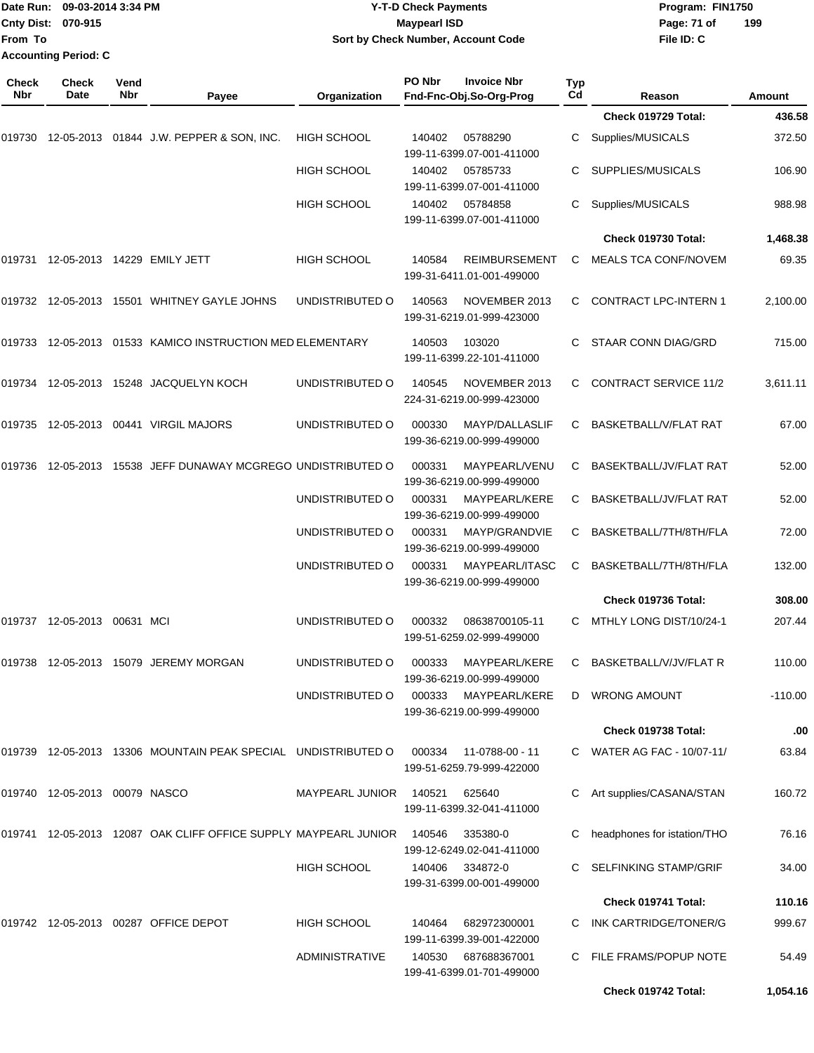|                     | Date Run: 09-03-2014 3:34 PM<br>Cnty Dist: 070-915 |             |                                                                           | <b>Y-T-D Check Payments</b> | Program: FIN1750<br>199 |                                                   |                           |                              |           |
|---------------------|----------------------------------------------------|-------------|---------------------------------------------------------------------------|-----------------------------|-------------------------|---------------------------------------------------|---------------------------|------------------------------|-----------|
| From To             |                                                    |             |                                                                           |                             | <b>Maypearl ISD</b>     | Sort by Check Number, Account Code                | Page: 71 of<br>File ID: C |                              |           |
|                     | <b>Accounting Period: C</b>                        |             |                                                                           |                             |                         |                                                   |                           |                              |           |
| <b>Check</b><br>Nbr | Check<br>Date                                      | Vend<br>Nbr | Payee                                                                     | Organization                | PO Nbr                  | <b>Invoice Nbr</b><br>Fnd-Fnc-Obj.So-Org-Prog     | Typ<br>Cd                 | Reason                       | Amount    |
|                     |                                                    |             |                                                                           |                             |                         |                                                   |                           | Check 019729 Total:          | 436.58    |
| 019730              |                                                    |             | 12-05-2013  01844  J.W. PEPPER & SON, INC.                                | <b>HIGH SCHOOL</b>          | 140402                  | 05788290<br>199-11-6399.07-001-411000             | С                         | Supplies/MUSICALS            | 372.50    |
|                     |                                                    |             |                                                                           | <b>HIGH SCHOOL</b>          | 140402                  | 05785733<br>199-11-6399.07-001-411000             | C                         | SUPPLIES/MUSICALS            | 106.90    |
|                     |                                                    |             |                                                                           | <b>HIGH SCHOOL</b>          | 140402                  | 05784858<br>199-11-6399.07-001-411000             | С                         | Supplies/MUSICALS            | 988.98    |
|                     |                                                    |             |                                                                           |                             |                         |                                                   |                           | Check 019730 Total:          | 1,468.38  |
| 019731              |                                                    |             | 12-05-2013  14229  EMILY JETT                                             | <b>HIGH SCHOOL</b>          | 140584                  | <b>REIMBURSEMENT</b><br>199-31-6411.01-001-499000 | С                         | MEALS TCA CONF/NOVEM         | 69.35     |
|                     |                                                    |             | 019732  12-05-2013  15501  WHITNEY GAYLE JOHNS                            | UNDISTRIBUTED O             | 140563                  | NOVEMBER 2013<br>199-31-6219.01-999-423000        | C                         | <b>CONTRACT LPC-INTERN 1</b> | 2,100.00  |
|                     |                                                    |             | 019733 12-05-2013  01533  KAMICO INSTRUCTION MED ELEMENTARY               |                             | 140503                  | 103020<br>199-11-6399.22-101-411000               | C                         | STAAR CONN DIAG/GRD          | 715.00    |
|                     |                                                    |             | 019734 12-05-2013 15248 JACQUELYN KOCH                                    | UNDISTRIBUTED O             | 140545                  | NOVEMBER 2013<br>224-31-6219.00-999-423000        | C                         | <b>CONTRACT SERVICE 11/2</b> | 3,611.11  |
| 019735              |                                                    |             | 12-05-2013  00441  VIRGIL MAJORS                                          | UNDISTRIBUTED O             | 000330                  | MAYP/DALLASLIF<br>199-36-6219.00-999-499000       | C                         | BASKETBALL/V/FLAT RAT        | 67.00     |
|                     |                                                    |             | 019736 12-05-2013 15538 JEFF DUNAWAY MCGREGO UNDISTRIBUTED O              |                             | 000331                  | MAYPEARL/VENU<br>199-36-6219.00-999-499000        | С                         | BASEKTBALL/JV/FLAT RAT       | 52.00     |
|                     |                                                    |             |                                                                           | UNDISTRIBUTED O             | 000331                  | MAYPEARL/KERE<br>199-36-6219.00-999-499000        | C                         | BASKETBALL/JV/FLAT RAT       | 52.00     |
|                     |                                                    |             |                                                                           | UNDISTRIBUTED O             | 000331                  | MAYP/GRANDVIE<br>199-36-6219.00-999-499000        | С                         | BASKETBALL/7TH/8TH/FLA       | 72.00     |
|                     |                                                    |             |                                                                           | UNDISTRIBUTED O             | 000331                  | MAYPEARL/ITASC<br>199-36-6219.00-999-499000       | C                         | BASKETBALL/7TH/8TH/FLA       | 132.00    |
|                     |                                                    |             |                                                                           |                             |                         |                                                   |                           | Check 019736 Total:          | 308.00    |
|                     | 019737 12-05-2013 00631 MCI                        |             |                                                                           | UNDISTRIBUTED O             | 000332                  | 08638700105-11<br>199-51-6259.02-999-499000       |                           | C MTHLY LONG DIST/10/24-1    | 207.44    |
|                     |                                                    |             | 019738 12-05-2013 15079  JEREMY MORGAN                                    | UNDISTRIBUTED O             | 000333                  | MAYPEARL/KERE<br>199-36-6219.00-999-499000        | C.                        | BASKETBALL/V/JV/FLAT R       | 110.00    |
|                     |                                                    |             |                                                                           | UNDISTRIBUTED O             | 000333                  | MAYPEARL/KERE<br>199-36-6219.00-999-499000        |                           | D WRONG AMOUNT               | $-110.00$ |
|                     |                                                    |             |                                                                           |                             |                         |                                                   |                           | Check 019738 Total:          | .00       |
|                     |                                                    |             | 019739 12-05-2013 13306 MOUNTAIN PEAK SPECIAL UNDISTRIBUTED O             |                             | 000334                  | 11-0788-00 - 11<br>199-51-6259.79-999-422000      |                           | C WATER AG FAC - 10/07-11/   | 63.84     |
|                     | 019740  12-05-2013  00079  NASCO                   |             |                                                                           | <b>MAYPEARL JUNIOR</b>      | 140521                  | 625640<br>199-11-6399.32-041-411000               |                           | C Art supplies/CASANA/STAN   | 160.72    |
|                     |                                                    |             | 019741 12-05-2013 12087 OAK CLIFF OFFICE SUPPLY MAYPEARL JUNIOR    140546 |                             |                         | 335380-0<br>199-12-6249.02-041-411000             |                           | headphones for istation/THO  | 76.16     |
|                     |                                                    |             |                                                                           | HIGH SCHOOL                 | 140406                  | 334872-0<br>199-31-6399.00-001-499000             |                           | SELFINKING STAMP/GRIF        | 34.00     |
|                     |                                                    |             |                                                                           |                             |                         |                                                   |                           | Check 019741 Total:          | 110.16    |
|                     |                                                    |             | 019742  12-05-2013  00287  OFFICE DEPOT                                   | HIGH SCHOOL                 | 140464                  | 682972300001<br>199-11-6399.39-001-422000         |                           | C INK CARTRIDGE/TONER/G      | 999.67    |
|                     |                                                    |             |                                                                           | <b>ADMINISTRATIVE</b>       | 140530                  | 687688367001                                      |                           | C FILE FRAMS/POPUP NOTE      | 54.49     |

199-41-6399.01-701-499000

**Check 019742 Total: 1,054.16**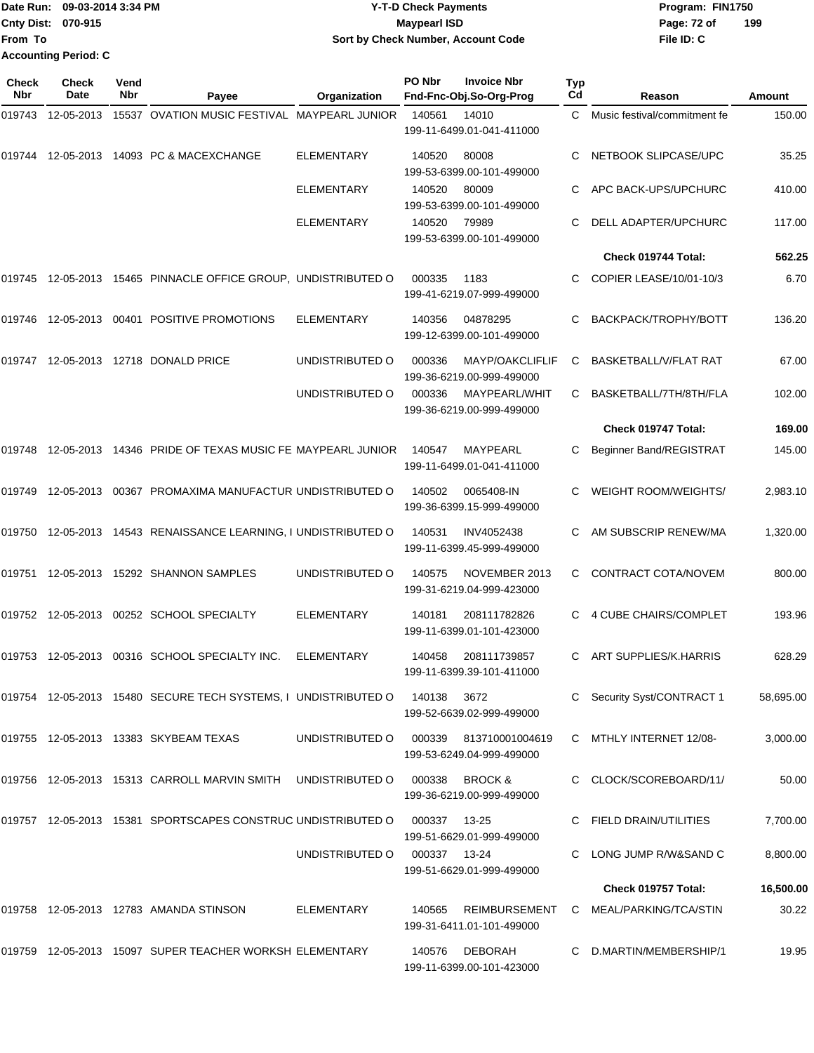## Date Run: 09-03-2014 3:34 PM **Program:** FIN1750 **Cnty Dist:** 070-915 **Page: 72 of** Maypearl ISD **CONTEX 150 Page: 72 of Y-T-D Check Payments 070-915 Maypearl ISD Sort by Check Number, Account Code**

| Check<br><b>Nbr</b> | <b>Check</b><br><b>Date</b> | Vend<br>Nbr | Payee                                                          | Organization      | PO Nbr       | <b>Invoice Nbr</b><br>Fnd-Fnc-Obj.So-Org-Prog   | Typ<br>Cd | Reason                       | Amount    |
|---------------------|-----------------------------|-------------|----------------------------------------------------------------|-------------------|--------------|-------------------------------------------------|-----------|------------------------------|-----------|
| 019743              | 12-05-2013                  |             | 15537 OVATION MUSIC FESTIVAL MAYPEARL JUNIOR                   |                   | 140561       | 14010<br>199-11-6499.01-041-411000              | C         | Music festival/commitment fe | 150.00    |
| 019744              | 12-05-2013                  |             | 14093 PC & MACEXCHANGE                                         | <b>ELEMENTARY</b> | 140520       | 80008<br>199-53-6399.00-101-499000              | C.        | NETBOOK SLIPCASE/UPC         | 35.25     |
|                     |                             |             |                                                                | <b>ELEMENTARY</b> | 140520       | 80009<br>199-53-6399.00-101-499000              | С         | APC BACK-UPS/UPCHURC         | 410.00    |
|                     |                             |             |                                                                | <b>ELEMENTARY</b> | 140520       | 79989<br>199-53-6399.00-101-499000              | C         | DELL ADAPTER/UPCHURC         | 117.00    |
|                     |                             |             |                                                                |                   |              |                                                 |           | Check 019744 Total:          | 562.25    |
| 019745              |                             |             | 12-05-2013 15465 PINNACLE OFFICE GROUP, UNDISTRIBUTED O        |                   | 000335       | 1183<br>199-41-6219.07-999-499000               | C.        | COPIER LEASE/10/01-10/3      | 6.70      |
| 019746              | 12-05-2013                  |             | 00401 POSITIVE PROMOTIONS                                      | <b>ELEMENTARY</b> | 140356       | 04878295<br>199-12-6399.00-101-499000           | С         | BACKPACK/TROPHY/BOTT         | 136.20    |
| 019747              | 12-05-2013                  |             | 12718 DONALD PRICE                                             | UNDISTRIBUTED O   | 000336       | MAYP/OAKCLIFLIF<br>199-36-6219.00-999-499000    | C         | <b>BASKETBALL/V/FLAT RAT</b> | 67.00     |
|                     |                             |             |                                                                | UNDISTRIBUTED O   | 000336       | MAYPEARL/WHIT<br>199-36-6219.00-999-499000      | C         | BASKETBALL/7TH/8TH/FLA       | 102.00    |
|                     |                             |             |                                                                |                   |              |                                                 |           | Check 019747 Total:          | 169.00    |
| 019748              | 12-05-2013                  |             | 14346 PRIDE OF TEXAS MUSIC FE MAYPEARL JUNIOR                  |                   | 140547       | MAYPEARL<br>199-11-6499.01-041-411000           | С         | Beginner Band/REGISTRAT      | 145.00    |
| 019749              | 12-05-2013                  |             | 00367 PROMAXIMA MANUFACTUR UNDISTRIBUTED O                     |                   | 140502       | 0065408-IN<br>199-36-6399.15-999-499000         | С         | WEIGHT ROOM/WEIGHTS/         | 2,983.10  |
| 019750              |                             |             | 12-05-2013 14543 RENAISSANCE LEARNING, I UNDISTRIBUTED O       |                   | 140531       | INV4052438<br>199-11-6399.45-999-499000         | С         | AM SUBSCRIP RENEW/MA         | 1,320.00  |
| 019751              |                             |             | 12-05-2013  15292  SHANNON SAMPLES                             | UNDISTRIBUTED O   | 140575       | NOVEMBER 2013<br>199-31-6219.04-999-423000      | C         | CONTRACT COTA/NOVEM          | 800.00    |
| 019752              |                             |             | 12-05-2013  00252  SCHOOL SPECIALTY                            | <b>ELEMENTARY</b> | 140181       | 208111782826<br>199-11-6399.01-101-423000       |           | 4 CUBE CHAIRS/COMPLET        | 193.96    |
| 019753              |                             |             | 12-05-2013 00316 SCHOOL SPECIALTY INC.                         | <b>ELEMENTARY</b> | 140458       | 208111739857<br>199-11-6399.39-101-411000       | C         | ART SUPPLIES/K.HARRIS        | 628.29    |
|                     |                             |             | 019754 12-05-2013 15480 SECURE TECH SYSTEMS, I UNDISTRIBUTED O |                   | 140138       | 3672<br>199-52-6639.02-999-499000               |           | C Security Syst/CONTRACT 1   | 58,695.00 |
|                     |                             |             | 019755 12-05-2013 13383 SKYBEAM TEXAS                          | UNDISTRIBUTED O   | 000339       | 813710001004619<br>199-53-6249.04-999-499000    |           | C MTHLY INTERNET 12/08-      | 3,000.00  |
|                     |                             |             | 019756 12-05-2013 15313 CARROLL MARVIN SMITH                   | UNDISTRIBUTED O   | 000338       | <b>BROCK &amp;</b><br>199-36-6219.00-999-499000 |           | CLOCK/SCOREBOARD/11/         | 50.00     |
|                     |                             |             | 019757 12-05-2013 15381 SPORTSCAPES CONSTRUC UNDISTRIBUTED O   |                   | 000337       | 13-25<br>199-51-6629.01-999-499000              |           | C FIELD DRAIN/UTILITIES      | 7,700.00  |
|                     |                             |             |                                                                | UNDISTRIBUTED O   | 000337 13-24 | 199-51-6629.01-999-499000                       |           | LONG JUMP R/W&SAND C         | 8,800.00  |
|                     |                             |             |                                                                |                   |              |                                                 |           | Check 019757 Total:          | 16,500.00 |
|                     |                             |             | 019758  12-05-2013  12783  AMANDA STINSON                      | ELEMENTARY        | 140565       | REIMBURSEMENT<br>199-31-6411.01-101-499000      |           | C MEAL/PARKING/TCA/STIN      | 30.22     |
|                     |                             |             | 019759 12-05-2013 15097 SUPER TEACHER WORKSH ELEMENTARY        |                   | 140576       | DEBORAH<br>199-11-6399.00-101-423000            |           | D.MARTIN/MEMBERSHIP/1        | 19.95     |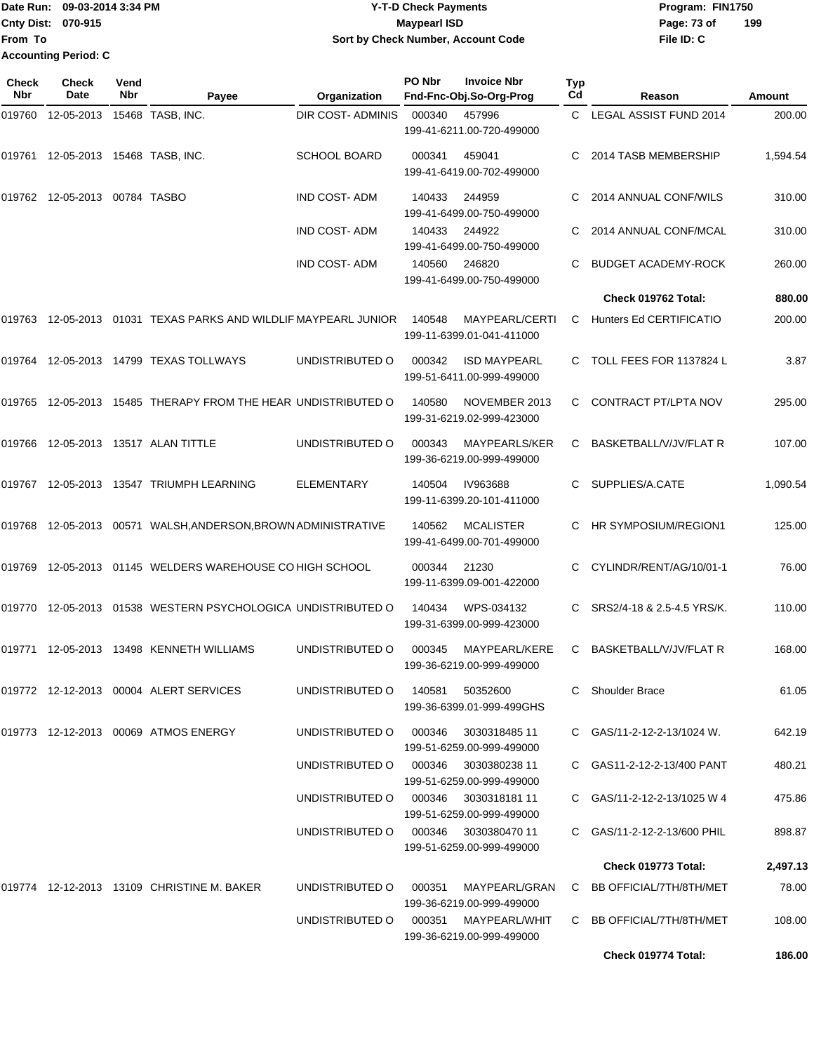Date Run: 09-03-2014 3:34 PM **Program:** FIN1750 **Cnty Dist:** 070-915 **Page: 73 of MaypearI ISD Page: 73 of From To Y-T-D Check Payments 070-915 Maypearl ISD Sort by Check Number, Account Code Accounting Period: C**

| <b>Check</b><br>Nbr | Check<br>Date                 | Vend<br>Nbr | Payee                                                            | Organization             | PO Nbr | <b>Invoice Nbr</b><br>Fnd-Fnc-Obj.So-Org-Prog    | <b>Typ</b><br>Cd | Reason                      | <b>Amount</b> |
|---------------------|-------------------------------|-------------|------------------------------------------------------------------|--------------------------|--------|--------------------------------------------------|------------------|-----------------------------|---------------|
| 019760              | 12-05-2013                    |             | 15468 TASB, INC.                                                 | <b>DIR COST- ADMINIS</b> | 000340 | 457996<br>199-41-6211.00-720-499000              | C                | LEGAL ASSIST FUND 2014      | 200.00        |
| 019761              | 12-05-2013  15468  TASB, INC. |             |                                                                  | <b>SCHOOL BOARD</b>      | 000341 | 459041<br>199-41-6419.00-702-499000              | C.               | 2014 TASB MEMBERSHIP        | 1,594.54      |
|                     | 019762 12-05-2013 00784 TASBO |             |                                                                  | <b>IND COST-ADM</b>      | 140433 | 244959<br>199-41-6499.00-750-499000              |                  | 2014 ANNUAL CONF/WILS       | 310.00        |
|                     |                               |             |                                                                  | <b>IND COST-ADM</b>      | 140433 | 244922<br>199-41-6499.00-750-499000              |                  | 2014 ANNUAL CONF/MCAL       | 310.00        |
|                     |                               |             |                                                                  | <b>IND COST-ADM</b>      | 140560 | 246820<br>199-41-6499.00-750-499000              |                  | <b>BUDGET ACADEMY-ROCK</b>  | 260.00        |
|                     |                               |             |                                                                  |                          |        |                                                  |                  | Check 019762 Total:         | 880.00        |
|                     |                               |             | 019763 12-05-2013 01031 TEXAS PARKS AND WILDLIF MAYPEARL JUNIOR  |                          | 140548 | MAYPEARL/CERTI<br>199-11-6399.01-041-411000      | C                | Hunters Ed CERTIFICATIO     | 200.00        |
| 019764              |                               |             | 12-05-2013  14799  TEXAS TOLLWAYS                                | UNDISTRIBUTED O          | 000342 | <b>ISD MAYPEARL</b><br>199-51-6411.00-999-499000 | C                | TOLL FEES FOR 1137824 L     | 3.87          |
|                     |                               |             | 019765  12-05-2013  15485  THERAPY FROM THE HEAR UNDISTRIBUTED O |                          | 140580 | NOVEMBER 2013<br>199-31-6219.02-999-423000       | C                | CONTRACT PT/LPTA NOV        | 295.00        |
| 019766              |                               |             | 12-05-2013    13517    ALAN TITTLE                               | UNDISTRIBUTED O          | 000343 | MAYPEARLS/KER<br>199-36-6219.00-999-499000       | C                | BASKETBALL/V/JV/FLAT R      | 107.00        |
|                     |                               |             | 019767 12-05-2013 13547 TRIUMPH LEARNING                         | <b>ELEMENTARY</b>        | 140504 | IV963688<br>199-11-6399.20-101-411000            | C                | SUPPLIES/A.CATE             | 1,090.54      |
|                     |                               |             | 019768 12-05-2013 00571 WALSH, ANDERSON, BROWN ADMINISTRATIVE    |                          | 140562 | <b>MCALISTER</b><br>199-41-6499.00-701-499000    | C.               | HR SYMPOSIUM/REGION1        | 125.00        |
| 019769              |                               |             | 12-05-2013 01145 WELDERS WAREHOUSE CO HIGH SCHOOL                |                          | 000344 | 21230<br>199-11-6399.09-001-422000               |                  | CYLINDR/RENT/AG/10/01-1     | 76.00         |
|                     |                               |             | 019770 12-05-2013 01538 WESTERN PSYCHOLOGICA UNDISTRIBUTED O     |                          | 140434 | WPS-034132<br>199-31-6399.00-999-423000          | С                | SRS2/4-18 & 2.5-4.5 YRS/K.  | 110.00        |
| 019771              |                               |             | 12-05-2013  13498  KENNETH WILLIAMS                              | UNDISTRIBUTED O          | 000345 | MAYPEARL/KERE<br>199-36-6219.00-999-499000       | C                | BASKETBALL/V/JV/FLAT R      | 168.00        |
|                     |                               |             | 019772 12-12-2013 00004 ALERT SERVICES                           | UNDISTRIBUTED O          | 140581 | 50352600<br>199-36-6399.01-999-499GHS            |                  | C Shoulder Brace            | 61.05         |
|                     |                               |             | 019773 12-12-2013 00069 ATMOS ENERGY                             | UNDISTRIBUTED O          | 000346 | 3030318485 11<br>199-51-6259.00-999-499000       |                  | C GAS/11-2-12-2-13/1024 W.  | 642.19        |
|                     |                               |             |                                                                  | UNDISTRIBUTED O          | 000346 | 3030380238 11<br>199-51-6259.00-999-499000       |                  | C GAS11-2-12-2-13/400 PANT  | 480.21        |
|                     |                               |             |                                                                  | UNDISTRIBUTED O          | 000346 | 3030318181 11<br>199-51-6259.00-999-499000       |                  | C GAS/11-2-12-2-13/1025 W 4 | 475.86        |
|                     |                               |             |                                                                  | UNDISTRIBUTED O          | 000346 | 3030380470 11<br>199-51-6259.00-999-499000       |                  | C GAS/11-2-12-2-13/600 PHIL | 898.87        |
|                     |                               |             |                                                                  |                          |        |                                                  |                  | Check 019773 Total:         | 2,497.13      |
|                     |                               |             | 019774 12-12-2013 13109 CHRISTINE M. BAKER                       | UNDISTRIBUTED O          | 000351 | MAYPEARL/GRAN<br>199-36-6219.00-999-499000       |                  | C BB OFFICIAL/7TH/8TH/MET   | 78.00         |
|                     |                               |             |                                                                  | UNDISTRIBUTED O          | 000351 | MAYPEARL/WHIT<br>199-36-6219.00-999-499000       |                  | C BB OFFICIAL/7TH/8TH/MET   | 108.00        |
|                     |                               |             |                                                                  |                          |        |                                                  |                  | Check 019774 Total:         | 186.00        |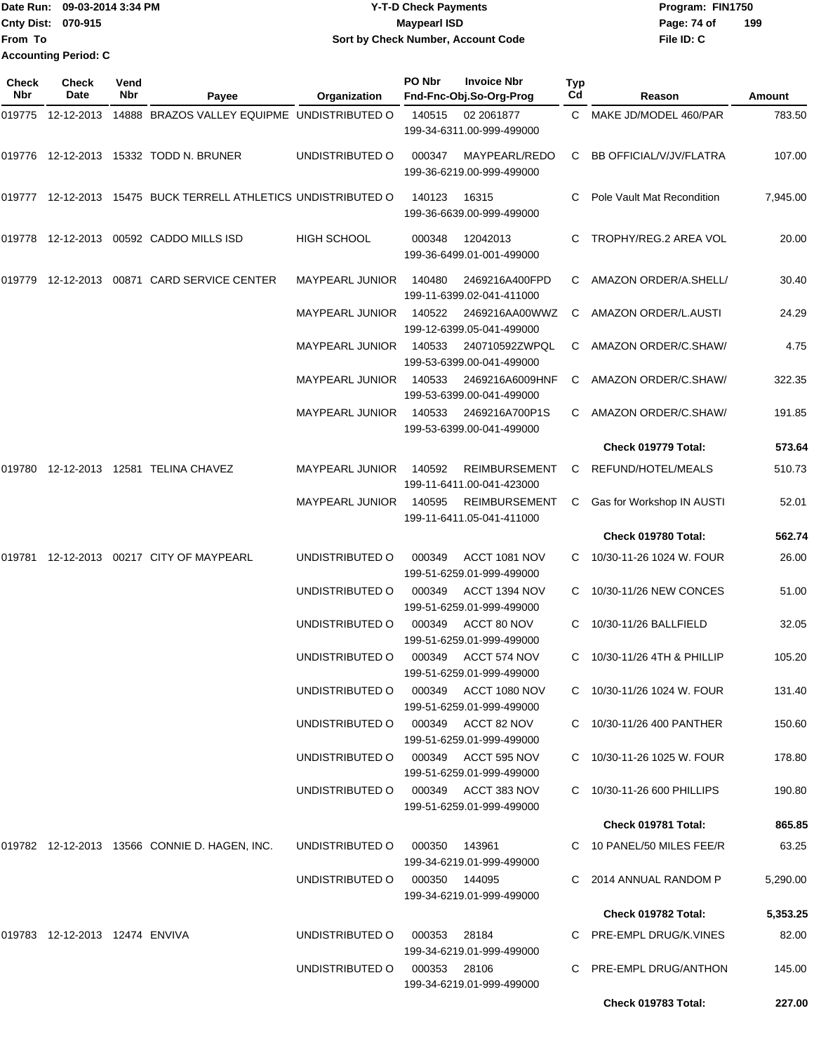|                           | Date Run: 09-03-2014 3:34 PM | <b>Y-T-D Check Payments</b>        | Program: FIN1750   |
|---------------------------|------------------------------|------------------------------------|--------------------|
| <b>Cnty Dist: 070-915</b> |                              | <b>Mavpearl ISD</b>                | 199<br>Page: 74 of |
| <b>From To</b>            |                              | Sort by Check Number, Account Code | File ID: C         |
|                           | <b>Accounting Period: C</b>  |                                    |                    |

| Check<br>Nbr | <b>Check</b><br>Date              | Vend<br>Nbr | Payee                                                          | Organization           | PO Nbr        | <b>Invoice Nbr</b><br>Fnd-Fnc-Obj.So-Org-Prog     | Typ<br>Cd | Reason                     | Amount   |
|--------------|-----------------------------------|-------------|----------------------------------------------------------------|------------------------|---------------|---------------------------------------------------|-----------|----------------------------|----------|
|              |                                   |             | 019775 12-12-2013 14888 BRAZOS VALLEY EQUIPME UNDISTRIBUTED O  |                        | 140515        | 02 2061877<br>199-34-6311.00-999-499000           |           | C MAKE JD/MODEL 460/PAR    | 783.50   |
|              |                                   |             | 019776 12-12-2013 15332 TODD N. BRUNER                         | UNDISTRIBUTED O        | 000347        | MAYPEARL/REDO<br>199-36-6219.00-999-499000        | C         | BB OFFICIAL/V/JV/FLATRA    | 107.00   |
|              |                                   |             | 019777 12-12-2013 15475 BUCK TERRELL ATHLETICS UNDISTRIBUTED O |                        | 140123        | 16315<br>199-36-6639.00-999-499000                |           | Pole Vault Mat Recondition | 7,945.00 |
|              |                                   |             | 019778 12-12-2013 00592 CADDO MILLS ISD                        | <b>HIGH SCHOOL</b>     | 000348        | 12042013<br>199-36-6499.01-001-499000             | C         | TROPHY/REG.2 AREA VOL      | 20.00    |
| 019779       |                                   |             | 12-12-2013  00871  CARD SERVICE CENTER                         | <b>MAYPEARL JUNIOR</b> | 140480        | 2469216A400FPD<br>199-11-6399.02-041-411000       |           | C AMAZON ORDER/A.SHELL/    | 30.40    |
|              |                                   |             |                                                                | <b>MAYPEARL JUNIOR</b> | 140522        | 2469216AA00WWZ<br>199-12-6399.05-041-499000       | C         | AMAZON ORDER/L.AUSTI       | 24.29    |
|              |                                   |             |                                                                | <b>MAYPEARL JUNIOR</b> | 140533        | 240710592ZWPQL<br>199-53-6399.00-041-499000       | C         | AMAZON ORDER/C.SHAW/       | 4.75     |
|              |                                   |             |                                                                | <b>MAYPEARL JUNIOR</b> | 140533        | 2469216A6009HNF<br>199-53-6399.00-041-499000      | C         | AMAZON ORDER/C.SHAW/       | 322.35   |
|              |                                   |             |                                                                | <b>MAYPEARL JUNIOR</b> | 140533        | 2469216A700P1S<br>199-53-6399.00-041-499000       |           | AMAZON ORDER/C.SHAW/       | 191.85   |
|              |                                   |             |                                                                |                        |               |                                                   |           | Check 019779 Total:        | 573.64   |
| 019780       |                                   |             | 12-12-2013  12581  TELINA CHAVEZ                               | <b>MAYPEARL JUNIOR</b> | 140592        | <b>REIMBURSEMENT</b><br>199-11-6411.00-041-423000 | C         | REFUND/HOTEL/MEALS         | 510.73   |
|              |                                   |             |                                                                | <b>MAYPEARL JUNIOR</b> | 140595        | <b>REIMBURSEMENT</b><br>199-11-6411.05-041-411000 | C         | Gas for Workshop IN AUSTI  | 52.01    |
|              |                                   |             |                                                                |                        |               |                                                   |           | Check 019780 Total:        | 562.74   |
|              |                                   |             | 019781 12-12-2013 00217 CITY OF MAYPEARL                       | UNDISTRIBUTED O        | 000349        | ACCT 1081 NOV<br>199-51-6259.01-999-499000        | C.        | 10/30-11-26 1024 W. FOUR   | 26.00    |
|              |                                   |             |                                                                | UNDISTRIBUTED O        | 000349        | ACCT 1394 NOV<br>199-51-6259.01-999-499000        |           | 10/30-11/26 NEW CONCES     | 51.00    |
|              |                                   |             |                                                                | UNDISTRIBUTED O        | 000349        | ACCT 80 NOV<br>199-51-6259.01-999-499000          | C         | 10/30-11/26 BALLFIELD      | 32.05    |
|              |                                   |             |                                                                | UNDISTRIBUTED O        | 000349        | ACCT 574 NOV<br>199-51-6259.01-999-499000         | C         | 10/30-11/26 4TH & PHILLIP  | 105.20   |
|              |                                   |             |                                                                | UNDISTRIBUTED O        |               | 000349 ACCT 1080 NOV<br>199-51-6259.01-999-499000 |           | C 10/30-11/26 1024 W. FOUR | 131.40   |
|              |                                   |             |                                                                | UNDISTRIBUTED O        |               | 000349 ACCT 82 NOV<br>199-51-6259.01-999-499000   |           | C 10/30-11/26 400 PANTHER  | 150.60   |
|              |                                   |             |                                                                | UNDISTRIBUTED O        |               | 000349 ACCT 595 NOV<br>199-51-6259.01-999-499000  |           | C 10/30-11-26 1025 W. FOUR | 178.80   |
|              |                                   |             |                                                                | UNDISTRIBUTED O        |               | 000349 ACCT 383 NOV<br>199-51-6259.01-999-499000  |           | 10/30-11-26 600 PHILLIPS   | 190.80   |
|              |                                   |             |                                                                |                        |               |                                                   |           | Check 019781 Total:        | 865.85   |
|              |                                   |             | 019782 12-12-2013 13566 CONNIE D. HAGEN, INC.                  | UNDISTRIBUTED O        | 000350        | 143961<br>199-34-6219.01-999-499000               |           | C 10 PANEL/50 MILES FEE/R  | 63.25    |
|              |                                   |             |                                                                | UNDISTRIBUTED O        | 000350 144095 | 199-34-6219.01-999-499000                         |           | C 2014 ANNUAL RANDOM P     | 5,290.00 |
|              |                                   |             |                                                                |                        |               |                                                   |           | Check 019782 Total:        | 5,353.25 |
|              | 019783  12-12-2013  12474  ENVIVA |             |                                                                | UNDISTRIBUTED O        | 000353        | 28184<br>199-34-6219.01-999-499000                |           | C PRE-EMPL DRUG/K.VINES    | 82.00    |
|              |                                   |             |                                                                | UNDISTRIBUTED O        | 000353 28106  | 199-34-6219.01-999-499000                         |           | C PRE-EMPL DRUG/ANTHON     | 145.00   |
|              |                                   |             |                                                                |                        |               |                                                   |           | Check 019783 Total:        | 227.00   |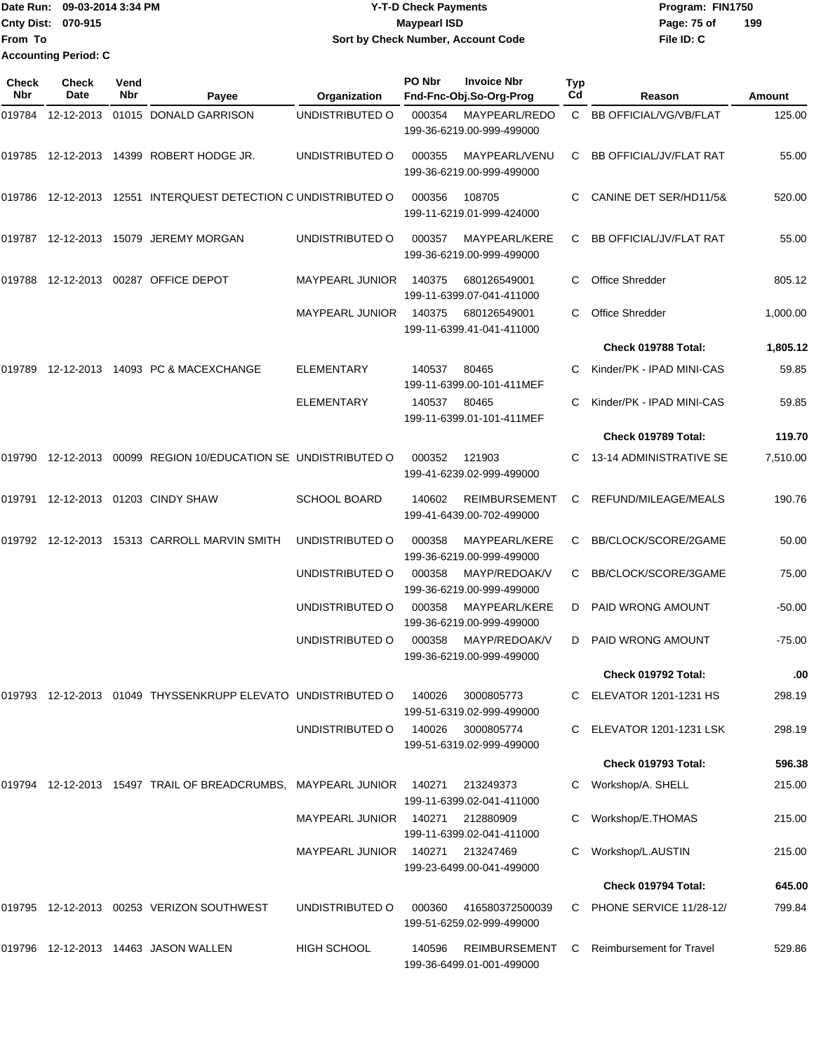|                           | ∎Date Run: 09-03-2014 3:34 PM | <b>Y-T-D Check Payments</b>        | Program: FIN1750   |  |  |  |
|---------------------------|-------------------------------|------------------------------------|--------------------|--|--|--|
| <b>Cnty Dist: 070-915</b> |                               | <b>Mavpearl ISD</b>                | 199<br>Page: 75 of |  |  |  |
| <b>IFrom To</b>           |                               | Sort by Check Number, Account Code | File ID: C         |  |  |  |
|                           | <b>Accounting Period: C</b>   |                                    |                    |  |  |  |

| <b>Check</b><br>Nbr | <b>Check</b><br>Date | Vend<br>Nbr | Payee                                                             | Organization           | PO Nbr | <b>Invoice Nbr</b><br>Fnd-Fnc-Obj.So-Org-Prog     | Typ<br>Cd | Reason                          | Amount   |
|---------------------|----------------------|-------------|-------------------------------------------------------------------|------------------------|--------|---------------------------------------------------|-----------|---------------------------------|----------|
| 019784              |                      |             | 12-12-2013 01015 DONALD GARRISON                                  | UNDISTRIBUTED O        | 000354 | MAYPEARL/REDO<br>199-36-6219.00-999-499000        |           | C BB OFFICIAL/VG/VB/FLAT        | 125.00   |
| 019785              |                      |             | 12-12-2013  14399  ROBERT HODGE JR.                               | UNDISTRIBUTED O        | 000355 | MAYPEARL/VENU<br>199-36-6219.00-999-499000        | C         | <b>BB OFFICIAL/JV/FLAT RAT</b>  | 55.00    |
|                     |                      |             | 019786 12-12-2013 12551 INTERQUEST DETECTION C UNDISTRIBUTED O    |                        | 000356 | 108705<br>199-11-6219.01-999-424000               |           | CANINE DET SER/HD11/5&          | 520.00   |
|                     |                      |             | 019787 12-12-2013 15079 JEREMY MORGAN                             | UNDISTRIBUTED O        | 000357 | MAYPEARL/KERE<br>199-36-6219.00-999-499000        | C         | <b>BB OFFICIAL/JV/FLAT RAT</b>  | 55.00    |
| 019788              |                      |             | 12-12-2013 00287 OFFICE DEPOT                                     | <b>MAYPEARL JUNIOR</b> | 140375 | 680126549001<br>199-11-6399.07-041-411000         |           | <b>Office Shredder</b>          | 805.12   |
|                     |                      |             |                                                                   | <b>MAYPEARL JUNIOR</b> | 140375 | 680126549001<br>199-11-6399.41-041-411000         |           | Office Shredder                 | 1,000.00 |
|                     |                      |             |                                                                   |                        |        |                                                   |           | Check 019788 Total:             | 1,805.12 |
| 019789              |                      |             | 12-12-2013  14093  PC & MACEXCHANGE                               | <b>ELEMENTARY</b>      | 140537 | 80465<br>199-11-6399.00-101-411MEF                |           | Kinder/PK - IPAD MINI-CAS       | 59.85    |
|                     |                      |             |                                                                   | <b>ELEMENTARY</b>      | 140537 | 80465<br>199-11-6399.01-101-411MEF                | С         | Kinder/PK - IPAD MINI-CAS       | 59.85    |
|                     |                      |             |                                                                   |                        |        |                                                   |           | Check 019789 Total:             | 119.70   |
|                     |                      |             | 019790  12-12-2013  00099  REGION 10/EDUCATION SE UNDISTRIBUTED O |                        | 000352 | 121903<br>199-41-6239.02-999-499000               | C.        | 13-14 ADMINISTRATIVE SE         | 7,510.00 |
| 019791              |                      |             | 12-12-2013 01203 CINDY SHAW                                       | <b>SCHOOL BOARD</b>    | 140602 | <b>REIMBURSEMENT</b><br>199-41-6439.00-702-499000 | C         | REFUND/MILEAGE/MEALS            | 190.76   |
|                     |                      |             | 019792 12-12-2013 15313 CARROLL MARVIN SMITH                      | UNDISTRIBUTED O        | 000358 | MAYPEARL/KERE<br>199-36-6219.00-999-499000        | C         | BB/CLOCK/SCORE/2GAME            | 50.00    |
|                     |                      |             |                                                                   | UNDISTRIBUTED O        | 000358 | MAYP/REDOAK/V<br>199-36-6219.00-999-499000        | C         | BB/CLOCK/SCORE/3GAME            | 75.00    |
|                     |                      |             |                                                                   | UNDISTRIBUTED O        | 000358 | MAYPEARL/KERE<br>199-36-6219.00-999-499000        | D         | <b>PAID WRONG AMOUNT</b>        | $-50.00$ |
|                     |                      |             |                                                                   | UNDISTRIBUTED O        | 000358 | MAYP/REDOAK/V<br>199-36-6219.00-999-499000        | D         | <b>PAID WRONG AMOUNT</b>        | $-75.00$ |
|                     |                      |             |                                                                   |                        |        |                                                   |           | Check 019792 Total:             | .00      |
|                     |                      |             | 019793 12-12-2013 01049 THYSSENKRUPP ELEVATO UNDISTRIBUTED O      |                        | 140026 | 3000805773<br>199-51-6319.02-999-499000           |           | <b>ELEVATOR 1201-1231 HS</b>    | 298.19   |
|                     |                      |             |                                                                   | UNDISTRIBUTED O        | 140026 | 3000805774<br>199-51-6319.02-999-499000           | C         | <b>ELEVATOR 1201-1231 LSK</b>   | 298.19   |
|                     |                      |             |                                                                   |                        |        |                                                   |           | Check 019793 Total:             | 596.38   |
|                     |                      |             | 019794 12-12-2013 15497 TRAIL OF BREADCRUMBS, MAYPEARL JUNIOR     |                        | 140271 | 213249373<br>199-11-6399.02-041-411000            | С         | Workshop/A. SHELL               | 215.00   |
|                     |                      |             |                                                                   | MAYPEARL JUNIOR 140271 |        | 212880909<br>199-11-6399.02-041-411000            |           | Workshop/E.THOMAS               | 215.00   |
|                     |                      |             |                                                                   | <b>MAYPEARL JUNIOR</b> | 140271 | 213247469<br>199-23-6499.00-041-499000            |           | Workshop/L.AUSTIN               | 215.00   |
|                     |                      |             |                                                                   |                        |        |                                                   |           | Check 019794 Total:             | 645.00   |
|                     |                      |             | 019795 12-12-2013 00253 VERIZON SOUTHWEST                         | UNDISTRIBUTED O        | 000360 | 416580372500039<br>199-51-6259.02-999-499000      | C.        | PHONE SERVICE 11/28-12/         | 799.84   |
|                     |                      |             | 019796  12-12-2013  14463  JASON WALLEN                           | HIGH SCHOOL            | 140596 | REIMBURSEMENT<br>199-36-6499.01-001-499000        | C         | <b>Reimbursement for Travel</b> | 529.86   |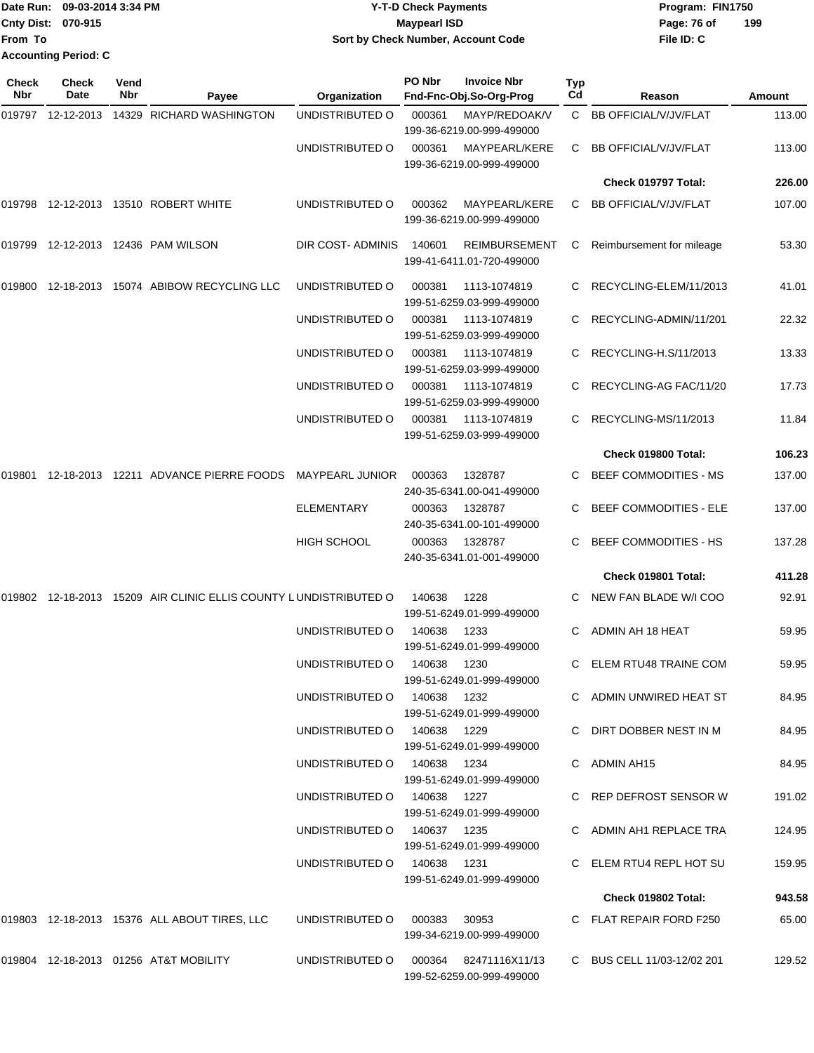|                           | Date Run: 09-03-2014 3:34 PM | <b>Y-T-D Check Payments</b>        | Program: FIN1750   |  |  |  |
|---------------------------|------------------------------|------------------------------------|--------------------|--|--|--|
| <b>Cnty Dist: 070-915</b> |                              | <b>Mavpearl ISD</b>                | 199<br>Page: 76 of |  |  |  |
| lFrom To                  |                              | Sort by Check Number, Account Code | File ID: C         |  |  |  |
|                           | <b>Accounting Period: C</b>  |                                    |                    |  |  |  |

| <b>Check</b><br>Nbr | Check<br>Date | Vend<br>Nbr | Payee                                                     | <b>Organization</b>         | PO Nbr      | <b>Invoice Nbr</b><br>Fnd-Fnc-Obj.So-Org-Prog                           | <b>Typ</b><br>Cd | Reason                        | Amount |
|---------------------|---------------|-------------|-----------------------------------------------------------|-----------------------------|-------------|-------------------------------------------------------------------------|------------------|-------------------------------|--------|
|                     |               |             | 14329 RICHARD WASHINGTON                                  | UNDISTRIBUTED O             | 000361      | MAYP/REDOAK/V                                                           | $\mathbf{C}$     | BB OFFICIAL/V/JV/FLAT         | 113.00 |
|                     |               |             |                                                           | UNDISTRIBUTED O             | 000361      | 199-36-6219.00-999-499000<br>MAYPEARL/KERE<br>199-36-6219.00-999-499000 | C                | <b>BB OFFICIAL/V/JV/FLAT</b>  | 113.00 |
|                     |               |             |                                                           |                             |             |                                                                         |                  | Check 019797 Total:           | 226.00 |
|                     |               |             | 019798 12-12-2013 13510 ROBERT WHITE                      | UNDISTRIBUTED O             | 000362      | MAYPEARL/KERE<br>199-36-6219.00-999-499000                              | C                | <b>BB OFFICIAL/V/JV/FLAT</b>  | 107.00 |
| 019799              |               |             | 12-12-2013  12436  PAM WILSON                             | DIR COST-ADMINIS            | 140601      | <b>REIMBURSEMENT</b><br>199-41-6411.01-720-499000                       | C                | Reimbursement for mileage     | 53.30  |
| 019800              |               |             | 12-18-2013 15074 ABIBOW RECYCLING LLC                     | UNDISTRIBUTED O             | 000381      | 1113-1074819<br>199-51-6259.03-999-499000                               |                  | RECYCLING-ELEM/11/2013        | 41.01  |
|                     |               |             |                                                           | UNDISTRIBUTED O             | 000381      | 1113-1074819<br>199-51-6259.03-999-499000                               | C.               | RECYCLING-ADMIN/11/201        | 22.32  |
|                     |               |             |                                                           | UNDISTRIBUTED O             | 000381      | 1113-1074819<br>199-51-6259.03-999-499000                               | C.               | RECYCLING-H.S/11/2013         | 13.33  |
|                     |               |             |                                                           | UNDISTRIBUTED O             | 000381      | 1113-1074819<br>199-51-6259.03-999-499000                               |                  | RECYCLING-AG FAC/11/20        | 17.73  |
|                     |               |             |                                                           | UNDISTRIBUTED O             | 000381      | 1113-1074819<br>199-51-6259.03-999-499000                               | C.               | RECYCLING-MS/11/2013          | 11.84  |
|                     |               |             |                                                           |                             |             |                                                                         |                  | Check 019800 Total:           | 106.23 |
| 019801              |               |             | 12-18-2013  12211  ADVANCE PIERRE FOODS  MAYPEARL JUNIOR  |                             | 000363      | 1328787<br>240-35-6341.00-041-499000                                    | C.               | BEEF COMMODITIES - MS         | 137.00 |
|                     |               |             |                                                           | <b>ELEMENTARY</b>           | 000363      | 1328787<br>240-35-6341.00-101-499000                                    |                  | <b>BEEF COMMODITIES - ELE</b> | 137.00 |
|                     |               |             |                                                           | HIGH SCHOOL                 | 000363      | 1328787<br>240-35-6341.01-001-499000                                    | C.               | <b>BEEF COMMODITIES - HS</b>  | 137.28 |
|                     |               |             |                                                           |                             |             |                                                                         |                  | Check 019801 Total:           | 411.28 |
| 019802              |               |             | 12-18-2013 15209 AIR CLINIC ELLIS COUNTY LUNDISTRIBUTED O |                             | 140638      | 1228<br>199-51-6249.01-999-499000                                       |                  | NEW FAN BLADE W/I COO         | 92.91  |
|                     |               |             |                                                           | UNDISTRIBUTED O             | 140638      | 1233<br>199-51-6249.01-999-499000                                       | C.               | ADMIN AH 18 HEAT              | 59.95  |
|                     |               |             |                                                           | UNDISTRIBUTED O             | 140638      | 1230<br>199-51-6249.01-999-499000                                       | C.               | ELEM RTU48 TRAINE COM         | 59.95  |
|                     |               |             |                                                           | UNDISTRIBUTED O             | 140638 1232 | 199-51-6249.01-999-499000                                               |                  | C ADMIN UNWIRED HEAT ST       | 84.95  |
|                     |               |             |                                                           | UNDISTRIBUTED 0 140638 1229 |             | 199-51-6249.01-999-499000                                               |                  | C DIRT DOBBER NEST IN M       | 84.95  |
|                     |               |             |                                                           | UNDISTRIBUTED O             | 140638 1234 | 199-51-6249.01-999-499000                                               |                  | C ADMIN AH15                  | 84.95  |
|                     |               |             |                                                           | UNDISTRIBUTED O             | 140638 1227 | 199-51-6249.01-999-499000                                               |                  | C REP DEFROST SENSOR W        | 191.02 |
|                     |               |             |                                                           | UNDISTRIBUTED O             | 140637 1235 | 199-51-6249.01-999-499000                                               |                  | C ADMIN AH1 REPLACE TRA       | 124.95 |
|                     |               |             |                                                           | UNDISTRIBUTED O             | 140638 1231 | 199-51-6249.01-999-499000                                               |                  | C ELEM RTU4 REPL HOT SU       | 159.95 |
|                     |               |             |                                                           |                             |             |                                                                         |                  | Check 019802 Total:           | 943.58 |
|                     |               |             | 019803 12-18-2013 15376 ALL ABOUT TIRES, LLC              | UNDISTRIBUTED O             | 000383      | 30953<br>199-34-6219.00-999-499000                                      |                  | C FLAT REPAIR FORD F250       | 65.00  |
|                     |               |             | 019804 12-18-2013 01256 AT&T MOBILITY                     | UNDISTRIBUTED O             |             | 000364 82471116X11/13<br>199-52-6259.00-999-499000                      |                  | C BUS CELL 11/03-12/02 201    | 129.52 |
|                     |               |             |                                                           |                             |             |                                                                         |                  |                               |        |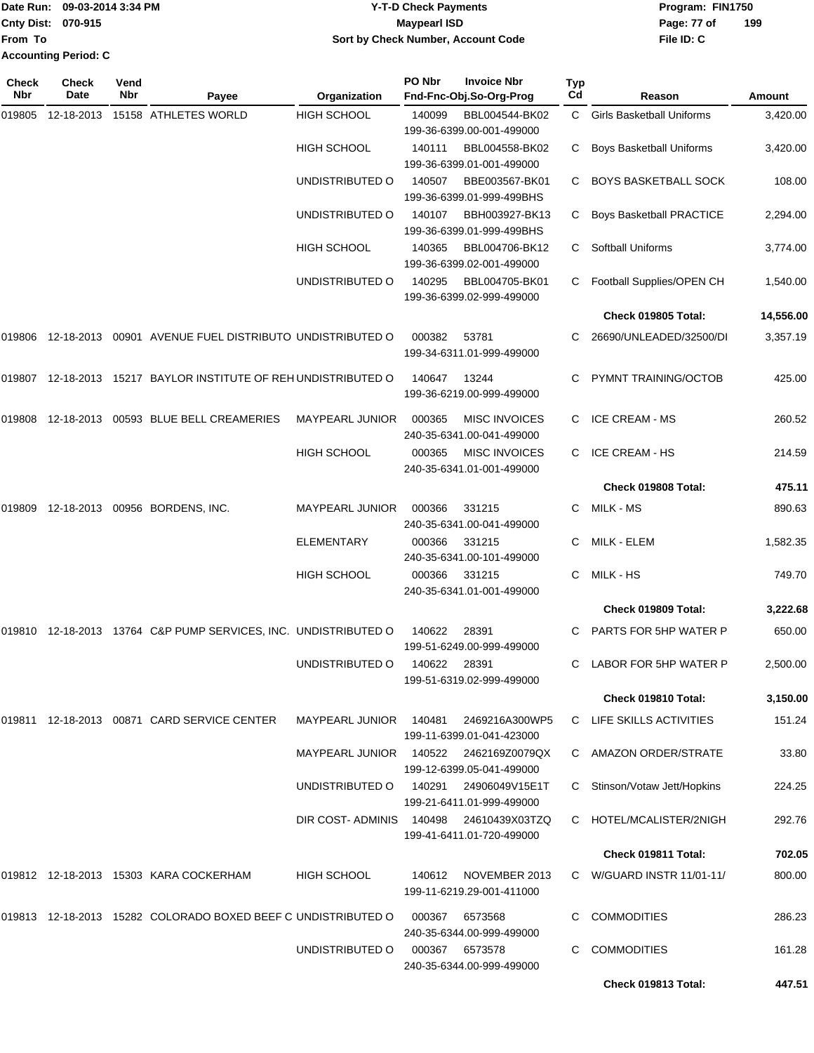| Cnty Dist: 070-915<br><b>Maypearl ISD</b><br>Page: 77 of<br>Sort by Check Number, Account Code<br>File ID: C<br>From To | Program: FIN1750 |
|-------------------------------------------------------------------------------------------------------------------------|------------------|
|                                                                                                                         | 199              |
|                                                                                                                         |                  |
| <b>Accounting Period: C</b>                                                                                             |                  |

| Check<br>Nbr | <b>Check</b><br>Date | Vend<br>Nbr | Payee                                                           | Organization                           | PO Nbr | <b>Invoice Nbr</b><br>Fnd-Fnc-Obj.So-Org-Prog     | Typ<br>Cd | Reason                           | Amount    |
|--------------|----------------------|-------------|-----------------------------------------------------------------|----------------------------------------|--------|---------------------------------------------------|-----------|----------------------------------|-----------|
| 019805       |                      |             | 12-18-2013  15158  ATHLETES WORLD                               | <b>HIGH SCHOOL</b>                     | 140099 | BBL004544-BK02<br>199-36-6399.00-001-499000       | C.        | <b>Girls Basketball Uniforms</b> | 3,420.00  |
|              |                      |             |                                                                 | <b>HIGH SCHOOL</b>                     | 140111 | BBL004558-BK02<br>199-36-6399.01-001-499000       | C         | <b>Boys Basketball Uniforms</b>  | 3,420.00  |
|              |                      |             |                                                                 | UNDISTRIBUTED O                        | 140507 | BBE003567-BK01<br>199-36-6399.01-999-499BHS       | С         | <b>BOYS BASKETBALL SOCK</b>      | 108.00    |
|              |                      |             |                                                                 | UNDISTRIBUTED O                        | 140107 | BBH003927-BK13<br>199-36-6399.01-999-499BHS       | C         | <b>Boys Basketball PRACTICE</b>  | 2,294.00  |
|              |                      |             |                                                                 | <b>HIGH SCHOOL</b>                     | 140365 | BBL004706-BK12<br>199-36-6399.02-001-499000       | С         | <b>Softball Uniforms</b>         | 3,774.00  |
|              |                      |             |                                                                 | UNDISTRIBUTED O                        | 140295 | BBL004705-BK01<br>199-36-6399.02-999-499000       | C         | Football Supplies/OPEN CH        | 1,540.00  |
|              |                      |             |                                                                 |                                        |        |                                                   |           | Check 019805 Total:              | 14,556.00 |
| 019806       |                      |             | 12-18-2013  00901  AVENUE FUEL DISTRIBUTO UNDISTRIBUTED O       |                                        | 000382 | 53781<br>199-34-6311.01-999-499000                | C.        | 26690/UNLEADED/32500/DI          | 3,357.19  |
|              |                      |             | 019807 12-18-2013 15217 BAYLOR INSTITUTE OF REH UNDISTRIBUTED O |                                        | 140647 | 13244<br>199-36-6219.00-999-499000                | C         | PYMNT TRAINING/OCTOB             | 425.00    |
| 019808       |                      |             | 12-18-2013 00593 BLUE BELL CREAMERIES                           | MAYPEARL JUNIOR                        | 000365 | <b>MISC INVOICES</b><br>240-35-6341.00-041-499000 | C         | <b>ICE CREAM - MS</b>            | 260.52    |
|              |                      |             |                                                                 | <b>HIGH SCHOOL</b>                     | 000365 | <b>MISC INVOICES</b><br>240-35-6341.01-001-499000 | C         | <b>ICE CREAM - HS</b>            | 214.59    |
|              |                      |             |                                                                 |                                        |        |                                                   |           | Check 019808 Total:              | 475.11    |
| 019809       |                      |             | 12-18-2013 00956 BORDENS, INC.                                  | MAYPEARL JUNIOR                        | 000366 | 331215<br>240-35-6341.00-041-499000               | C         | MILK - MS                        | 890.63    |
|              |                      |             |                                                                 | <b>ELEMENTARY</b>                      | 000366 | 331215<br>240-35-6341.00-101-499000               | C         | MILK - ELEM                      | 1,582.35  |
|              |                      |             |                                                                 | HIGH SCHOOL                            | 000366 | 331215<br>240-35-6341.01-001-499000               | C.        | MILK - HS                        | 749.70    |
|              |                      |             |                                                                 |                                        |        |                                                   |           | Check 019809 Total:              | 3,222.68  |
|              |                      |             | 019810 12-18-2013 13764 C&P PUMP SERVICES, INC. UNDISTRIBUTED O |                                        | 140622 | 28391<br>199-51-6249.00-999-499000                | C         | PARTS FOR 5HP WATER P            | 650.00    |
|              |                      |             |                                                                 | UNDISTRIBUTED O                        | 140622 | 28391<br>199-51-6319.02-999-499000                | C         | LABOR FOR 5HP WATER P            | 2,500.00  |
|              |                      |             |                                                                 |                                        |        |                                                   |           | Check 019810 Total:              | 3,150.00  |
|              |                      |             | 019811 12-18-2013 00871 CARD SERVICE CENTER                     | <b>MAYPEARL JUNIOR</b>                 | 140481 | 2469216A300WP5<br>199-11-6399.01-041-423000       |           | C LIFE SKILLS ACTIVITIES         | 151.24    |
|              |                      |             |                                                                 |                                        |        | 199-12-6399.05-041-499000                         |           | C AMAZON ORDER/STRATE            | 33.80     |
|              |                      |             |                                                                 | UNDISTRIBUTED O                        | 140291 | 24906049V15E1T<br>199-21-6411.01-999-499000       | C         | Stinson/Votaw Jett/Hopkins       | 224.25    |
|              |                      |             |                                                                 | DIR COST-ADMINIS 140498 24610439X03TZQ |        | 199-41-6411.01-720-499000                         |           | C HOTEL/MCALISTER/2NIGH          | 292.76    |
|              |                      |             |                                                                 |                                        |        |                                                   |           | Check 019811 Total:              | 702.05    |
|              |                      |             | 019812  12-18-2013  15303  KARA COCKERHAM                       | <b>HIGH SCHOOL</b>                     | 140612 | NOVEMBER 2013<br>199-11-6219.29-001-411000        |           | C W/GUARD INSTR $11/01-11/$      | 800.00    |
|              |                      |             | 019813 12-18-2013 15282 COLORADO BOXED BEEF C UNDISTRIBUTED O   |                                        | 000367 | 6573568<br>240-35-6344.00-999-499000              |           | <b>COMMODITIES</b>               | 286.23    |
|              |                      |             |                                                                 | UNDISTRIBUTED O                        | 000367 | 6573578<br>240-35-6344.00-999-499000              | C         | <b>COMMODITIES</b>               | 161.28    |
|              |                      |             |                                                                 |                                        |        |                                                   |           | Check 019813 Total:              | 447.51    |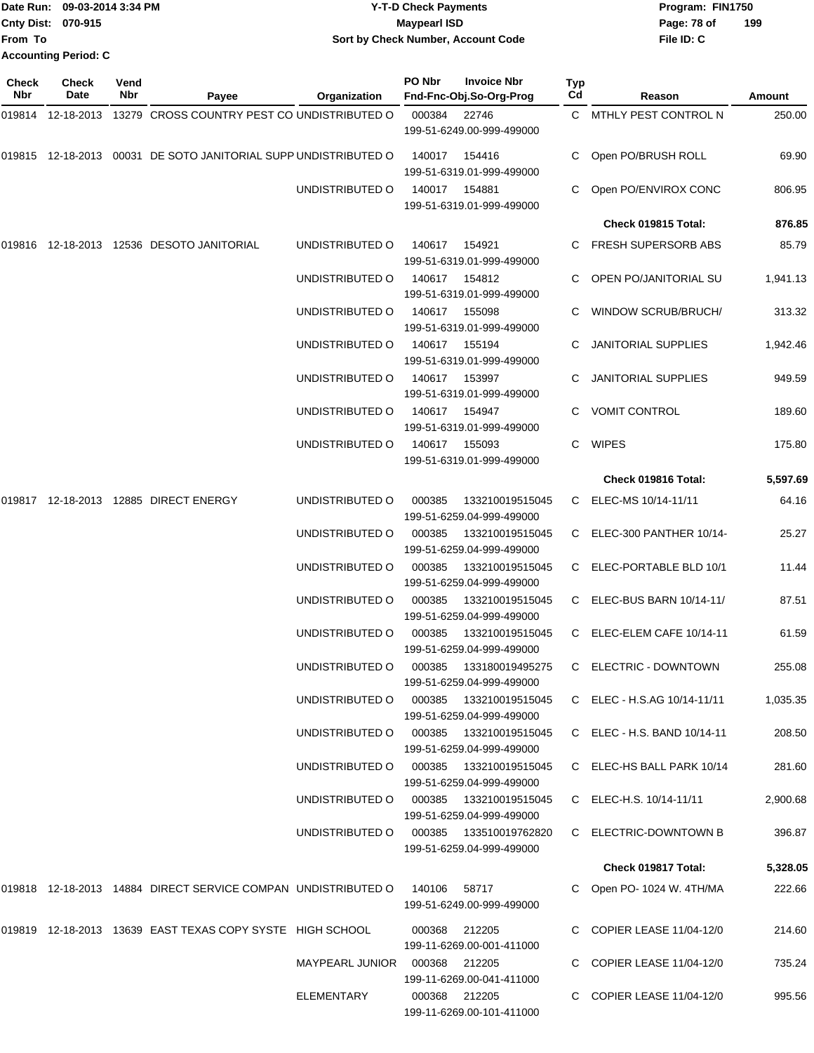|                           | Date Run: 09-03-2014 3:34 PM | <b>Y-T-D Check Payments</b>        | Program: FIN1750 |     |
|---------------------------|------------------------------|------------------------------------|------------------|-----|
| <b>Cnty Dist: 070-915</b> |                              | <b>Mavpearl ISD</b>                | Page: 78 of      | 199 |
| <b>From To</b>            |                              | Sort by Check Number, Account Code | File ID: C       |     |
|                           | <b>Accounting Period: C</b>  |                                    |                  |     |

| Check<br>Nbr | Check<br>Date | Vend<br>Nbr | Payee                                                              | <b>Organization</b> | PO Nbr        | <b>Invoice Nbr</b><br>Fnd-Fnc-Obj.So-Org-Prog        | Typ<br>Cd | Reason                      | Amount   |
|--------------|---------------|-------------|--------------------------------------------------------------------|---------------------|---------------|------------------------------------------------------|-----------|-----------------------------|----------|
|              |               |             | 019814 12-18-2013 13279 CROSS COUNTRY PEST CO UNDISTRIBUTED O      |                     | 000384        | 22746<br>199-51-6249.00-999-499000                   |           | C MTHLY PEST CONTROL N      | 250.00   |
|              |               |             | 019815  12-18-2013  00031  DE SOTO JANITORIAL SUPP UNDISTRIBUTED O |                     | 140017        | 154416<br>199-51-6319.01-999-499000                  | C         | Open PO/BRUSH ROLL          | 69.90    |
|              |               |             |                                                                    | UNDISTRIBUTED O     | 140017        | 154881<br>199-51-6319.01-999-499000                  |           | Open PO/ENVIROX CONC        | 806.95   |
|              |               |             |                                                                    |                     |               |                                                      |           | Check 019815 Total:         | 876.85   |
|              |               |             | 019816  12-18-2013  12536  DESOTO JANITORIAL                       | UNDISTRIBUTED O     | 140617        | 154921<br>199-51-6319.01-999-499000                  | C.        | <b>FRESH SUPERSORB ABS</b>  | 85.79    |
|              |               |             |                                                                    | UNDISTRIBUTED O     | 140617        | 154812<br>199-51-6319.01-999-499000                  |           | OPEN PO/JANITORIAL SU       | 1,941.13 |
|              |               |             |                                                                    | UNDISTRIBUTED O     | 140617        | 155098<br>199-51-6319.01-999-499000                  |           | <b>WINDOW SCRUB/BRUCH/</b>  | 313.32   |
|              |               |             |                                                                    | UNDISTRIBUTED O     | 140617        | 155194<br>199-51-6319.01-999-499000                  |           | <b>JANITORIAL SUPPLIES</b>  | 1,942.46 |
|              |               |             |                                                                    | UNDISTRIBUTED O     | 140617        | 153997<br>199-51-6319.01-999-499000                  |           | <b>JANITORIAL SUPPLIES</b>  | 949.59   |
|              |               |             |                                                                    | UNDISTRIBUTED O     | 140617        | 154947<br>199-51-6319.01-999-499000                  | C         | <b>VOMIT CONTROL</b>        | 189.60   |
|              |               |             |                                                                    | UNDISTRIBUTED O     | 140617        | 155093<br>199-51-6319.01-999-499000                  | C         | <b>WIPES</b>                | 175.80   |
|              |               |             |                                                                    |                     |               |                                                      |           | Check 019816 Total:         | 5,597.69 |
|              |               |             | 019817 12-18-2013 12885 DIRECT ENERGY                              | UNDISTRIBUTED O     | 000385        | 133210019515045<br>199-51-6259.04-999-499000         | C         | ELEC-MS 10/14-11/11         | 64.16    |
|              |               |             |                                                                    | UNDISTRIBUTED O     | 000385        | 133210019515045<br>199-51-6259.04-999-499000         |           | C ELEC-300 PANTHER 10/14-   | 25.27    |
|              |               |             |                                                                    | UNDISTRIBUTED O     | 000385        | 133210019515045<br>199-51-6259.04-999-499000         |           | C ELEC-PORTABLE BLD 10/1    | 11.44    |
|              |               |             |                                                                    | UNDISTRIBUTED O     | 000385        | 133210019515045<br>199-51-6259.04-999-499000         |           | C ELEC-BUS BARN 10/14-11/   | 87.51    |
|              |               |             |                                                                    | UNDISTRIBUTED O     | 000385        | 133210019515045<br>199-51-6259.04-999-499000         | C         | ELEC-ELEM CAFE 10/14-11     | 61.59    |
|              |               |             |                                                                    | UNDISTRIBUTED O     | 000385        | 133180019495275<br>199-51-6259.04-999-499000         |           | C ELECTRIC - DOWNTOWN       | 255.08   |
|              |               |             |                                                                    | UNDISTRIBUTED O     | 000385        | 133210019515045<br>199-51-6259.04-999-499000         |           | C ELEC - H.S.AG 10/14-11/11 | 1,035.35 |
|              |               |             |                                                                    | UNDISTRIBUTED O     |               | 000385  133210019515045<br>199-51-6259.04-999-499000 |           | C ELEC - H.S. BAND 10/14-11 | 208.50   |
|              |               |             |                                                                    | UNDISTRIBUTED O     | 000385        | 133210019515045<br>199-51-6259.04-999-499000         |           | C ELEC-HS BALL PARK 10/14   | 281.60   |
|              |               |             |                                                                    | UNDISTRIBUTED O     | 000385        | 133210019515045<br>199-51-6259.04-999-499000         |           | C ELEC-H.S. 10/14-11/11     | 2,900.68 |
|              |               |             |                                                                    | UNDISTRIBUTED O     |               | 199-51-6259.04-999-499000                            |           | C ELECTRIC-DOWNTOWN B       | 396.87   |
|              |               |             |                                                                    |                     |               |                                                      |           | Check 019817 Total:         | 5,328.05 |
|              |               |             | 019818 12-18-2013 14884 DIRECT SERVICE COMPAN UNDISTRIBUTED O      |                     | 140106 58717  | 199-51-6249.00-999-499000                            |           | C Open PO-1024 W. 4TH/MA    | 222.66   |
|              |               |             | 019819  12-18-2013  13639  EAST TEXAS COPY SYSTE  HIGH SCHOOL      |                     |               | 000368 212205<br>199-11-6269.00-001-411000           |           | C COPIER LEASE 11/04-12/0   | 214.60   |
|              |               |             |                                                                    | MAYPEARL JUNIOR     | 000368 212205 | 199-11-6269.00-041-411000                            |           | COPIER LEASE 11/04-12/0     | 735.24   |
|              |               |             |                                                                    | ELEMENTARY          |               | 000368 212205<br>199-11-6269.00-101-411000           |           | C COPIER LEASE 11/04-12/0   | 995.56   |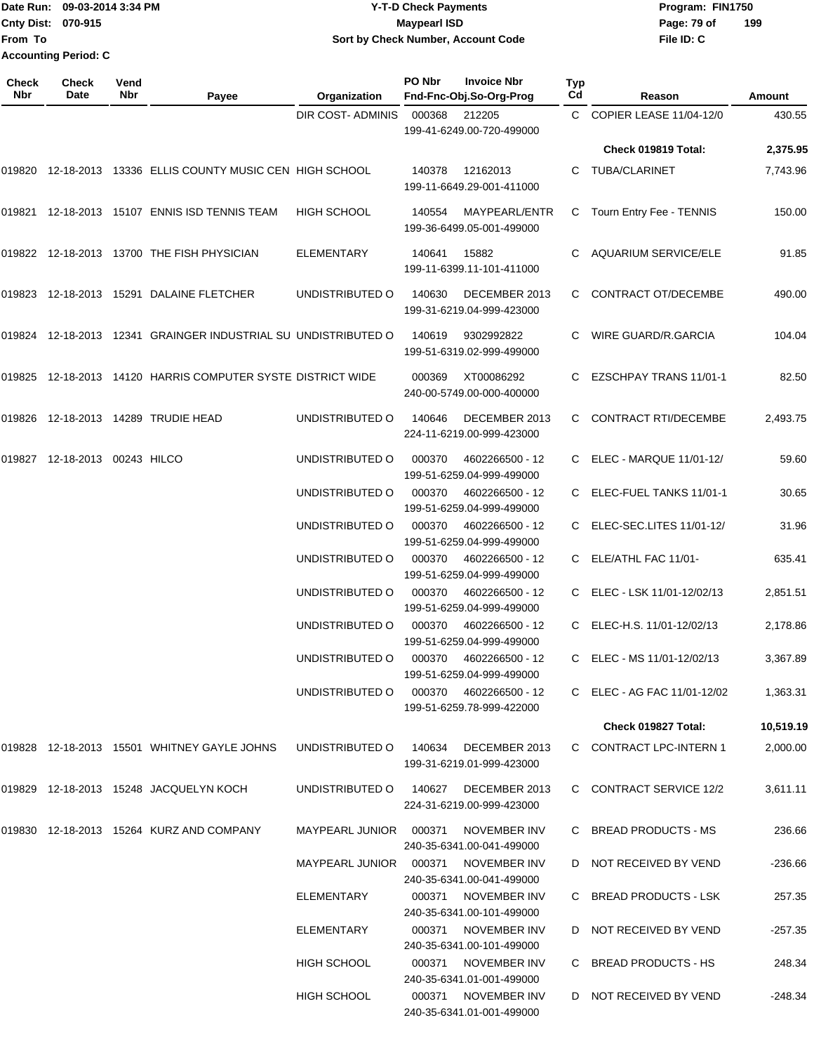### Date Run: 09-03-2014 3:34 PM **Program:** FIN1750 **Cnty Dist:** 070-915 **Page: 79 of Page: 79 of Page: 79 of Y-T-D Check Payments 070-915 Maypearl ISD Sort by Check Number, Account Code**

| Check<br><b>Nbr</b> | <b>Check</b><br>Date          | Vend<br>Nbr | Payee                                                          | Organization                        | PO Nbr | <b>Invoice Nbr</b><br>Fnd-Fnc-Obj.So-Org-Prog    | Typ<br>Cd | Reason                        | <b>Amount</b> |
|---------------------|-------------------------------|-------------|----------------------------------------------------------------|-------------------------------------|--------|--------------------------------------------------|-----------|-------------------------------|---------------|
|                     |                               |             |                                                                | DIR COST- ADMINIS                   | 000368 | 212205<br>199-41-6249.00-720-499000              |           | C COPIER LEASE 11/04-12/0     | 430.55        |
|                     |                               |             |                                                                |                                     |        |                                                  |           | Check 019819 Total:           | 2,375.95      |
|                     |                               |             | 019820 12-18-2013 13336 ELLIS COUNTY MUSIC CEN HIGH SCHOOL     |                                     | 140378 | 12162013<br>199-11-6649.29-001-411000            | C.        | TUBA/CLARINET                 | 7,743.96      |
| 019821              |                               |             | 12-18-2013 15107 ENNIS ISD TENNIS TEAM                         | HIGH SCHOOL                         | 140554 | MAYPEARL/ENTR<br>199-36-6499.05-001-499000       | C         | Tourn Entry Fee - TENNIS      | 150.00        |
|                     |                               |             | 019822 12-18-2013 13700 THE FISH PHYSICIAN                     | ELEMENTARY                          | 140641 | 15882<br>199-11-6399.11-101-411000               | C.        | AQUARIUM SERVICE/ELE          | 91.85         |
|                     |                               |             | 019823 12-18-2013 15291 DALAINE FLETCHER                       | UNDISTRIBUTED O                     | 140630 | DECEMBER 2013<br>199-31-6219.04-999-423000       | C         | CONTRACT OT/DECEMBE           | 490.00        |
|                     |                               |             | 019824 12-18-2013 12341 GRAINGER INDUSTRIAL SU UNDISTRIBUTED O |                                     | 140619 | 9302992822<br>199-51-6319.02-999-499000          | C.        | WIRE GUARD/R.GARCIA           | 104.04        |
|                     |                               |             | 019825 12-18-2013 14120 HARRIS COMPUTER SYSTE DISTRICT WIDE    |                                     | 000369 | XT00086292<br>240-00-5749.00-000-400000          | C.        | <b>EZSCHPAY TRANS 11/01-1</b> | 82.50         |
|                     |                               |             | 019826 12-18-2013 14289 TRUDIE HEAD                            | UNDISTRIBUTED O                     | 140646 | DECEMBER 2013<br>224-11-6219.00-999-423000       | C.        | <b>CONTRACT RTI/DECEMBE</b>   | 2,493.75      |
|                     | 019827 12-18-2013 00243 HILCO |             |                                                                | UNDISTRIBUTED O                     | 000370 | 4602266500 - 12<br>199-51-6259.04-999-499000     |           | C ELEC - MARQUE 11/01-12/     | 59.60         |
|                     |                               |             |                                                                | UNDISTRIBUTED O                     | 000370 | 4602266500 - 12<br>199-51-6259.04-999-499000     | C.        | ELEC-FUEL TANKS 11/01-1       | 30.65         |
|                     |                               |             |                                                                | UNDISTRIBUTED O                     | 000370 | 4602266500 - 12<br>199-51-6259.04-999-499000     |           | ELEC-SEC.LITES 11/01-12/      | 31.96         |
|                     |                               |             |                                                                | UNDISTRIBUTED O                     | 000370 | 4602266500 - 12<br>199-51-6259.04-999-499000     | C         | ELE/ATHL FAC 11/01-           | 635.41        |
|                     |                               |             |                                                                | UNDISTRIBUTED O                     | 000370 | 4602266500 - 12<br>199-51-6259.04-999-499000     | C         | ELEC - LSK 11/01-12/02/13     | 2,851.51      |
|                     |                               |             |                                                                | UNDISTRIBUTED O                     | 000370 | 4602266500 - 12<br>199-51-6259.04-999-499000     |           | ELEC-H.S. 11/01-12/02/13      | 2,178.86      |
|                     |                               |             |                                                                | UNDISTRIBUTED O                     | 000370 | 4602266500 - 12<br>199-51-6259.04-999-499000     | C.        | ELEC - MS 11/01-12/02/13      | 3,367.89      |
|                     |                               |             |                                                                | UNDISTRIBUTED O                     | 000370 | 4602266500 - 12<br>199-51-6259.78-999-422000     |           | C ELEC - AG FAC 11/01-12/02   | 1,363.31      |
|                     |                               |             |                                                                |                                     |        |                                                  |           | Check 019827 Total:           | 10,519.19     |
|                     |                               |             | 019828 12-18-2013 15501 WHITNEY GAYLE JOHNS                    | UNDISTRIBUTED O                     | 140634 | DECEMBER 2013<br>199-31-6219.01-999-423000       |           | C CONTRACT LPC-INTERN 1       | 2,000.00      |
|                     |                               |             | 019829 12-18-2013 15248 JACQUELYN KOCH                         | UNDISTRIBUTED O                     | 140627 | DECEMBER 2013<br>224-31-6219.00-999-423000       |           | C CONTRACT SERVICE 12/2       | 3,611.11      |
|                     |                               |             | 019830 12-18-2013 15264 KURZ AND COMPANY                       | MAYPEARL JUNIOR 000371              |        | NOVEMBER INV<br>240-35-6341.00-041-499000        |           | C BREAD PRODUCTS - MS         | 236.66        |
|                     |                               |             |                                                                | MAYPEARL JUNIOR 000371 NOVEMBER INV |        | 240-35-6341.00-041-499000                        |           | D NOT RECEIVED BY VEND        | $-236.66$     |
|                     |                               |             |                                                                | ELEMENTARY                          | 000371 | NOVEMBER INV<br>240-35-6341.00-101-499000        |           | C BREAD PRODUCTS - LSK        | 257.35        |
|                     |                               |             |                                                                | ELEMENTARY                          | 000371 | NOVEMBER INV<br>240-35-6341.00-101-499000        |           | D NOT RECEIVED BY VEND        | $-257.35$     |
|                     |                               |             |                                                                | HIGH SCHOOL                         | 000371 | NOVEMBER INV<br>240-35-6341.01-001-499000        |           | C BREAD PRODUCTS - HS         | 248.34        |
|                     |                               |             |                                                                | HIGH SCHOOL                         |        | 000371 NOVEMBER INV<br>240-35-6341.01-001-499000 |           | D NOT RECEIVED BY VEND        | -248.34       |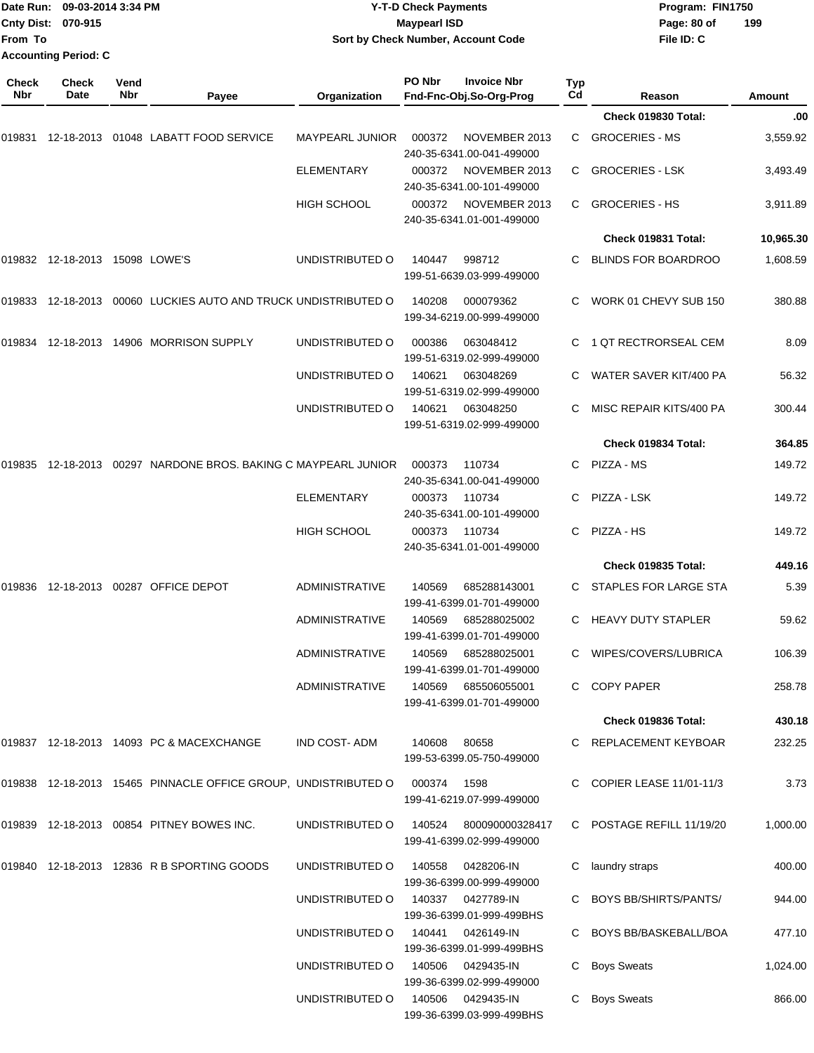| From To             | Date Run: 09-03-2014 3:34 PM<br>Cnty Dist: 070-915 |             |                                                                | Sort by Check Number, Account Code | <b>Y-T-D Check Payments</b><br><b>Maypearl ISD</b> |                                                  |           | Program: FIN1750<br>Page: 80 of<br>File ID: C | 199                  |
|---------------------|----------------------------------------------------|-------------|----------------------------------------------------------------|------------------------------------|----------------------------------------------------|--------------------------------------------------|-----------|-----------------------------------------------|----------------------|
|                     | <b>Accounting Period: C</b>                        |             |                                                                |                                    |                                                    |                                                  |           |                                               |                      |
| <b>Check</b><br>Nbr | Check<br>Date                                      | Vend<br>Nbr |                                                                |                                    | PO Nbr                                             | <b>Invoice Nbr</b>                               | Typ<br>Cd |                                               |                      |
|                     |                                                    |             | Payee                                                          | Organization                       |                                                    | Fnd-Fnc-Obj.So-Org-Prog                          |           | Reason<br>Check 019830 Total:                 | <b>Amount</b><br>.00 |
| 019831              | 12-18-2013                                         |             | 01048 LABATT FOOD SERVICE                                      | <b>MAYPEARL JUNIOR</b>             | 000372                                             | NOVEMBER 2013                                    | C         | <b>GROCERIES - MS</b>                         | 3,559.92             |
|                     |                                                    |             |                                                                |                                    |                                                    | 240-35-6341.00-041-499000                        |           |                                               |                      |
|                     |                                                    |             |                                                                | <b>ELEMENTARY</b>                  | 000372                                             | NOVEMBER 2013<br>240-35-6341.00-101-499000       | C.        | <b>GROCERIES - LSK</b>                        | 3,493.49             |
|                     |                                                    |             |                                                                | <b>HIGH SCHOOL</b>                 | 000372                                             | NOVEMBER 2013<br>240-35-6341.01-001-499000       | C.        | <b>GROCERIES - HS</b>                         | 3,911.89             |
|                     |                                                    |             |                                                                |                                    |                                                    |                                                  |           | Check 019831 Total:                           | 10,965.30            |
|                     | 019832 12-18-2013 15098 LOWE'S                     |             |                                                                | UNDISTRIBUTED O                    | 140447                                             | 998712<br>199-51-6639.03-999-499000              | C         | BLINDS FOR BOARDROO                           | 1,608.59             |
|                     |                                                    |             |                                                                |                                    |                                                    |                                                  |           |                                               |                      |
| 019833              | 12-18-2013                                         |             | 00060 LUCKIES AUTO AND TRUCK UNDISTRIBUTED O                   |                                    | 140208                                             | 000079362<br>199-34-6219.00-999-499000           | C         | WORK 01 CHEVY SUB 150                         | 380.88               |
| 019834              |                                                    |             | 12-18-2013  14906  MORRISON SUPPLY                             | UNDISTRIBUTED O                    | 000386                                             | 063048412<br>199-51-6319.02-999-499000           | C         | 1 QT RECTRORSEAL CEM                          | 8.09                 |
|                     |                                                    |             |                                                                | UNDISTRIBUTED O                    | 140621                                             | 063048269<br>199-51-6319.02-999-499000           | C         | WATER SAVER KIT/400 PA                        | 56.32                |
|                     |                                                    |             |                                                                | UNDISTRIBUTED O                    | 140621                                             | 063048250<br>199-51-6319.02-999-499000           | C         | MISC REPAIR KITS/400 PA                       | 300.44               |
|                     |                                                    |             |                                                                |                                    |                                                    |                                                  |           | Check 019834 Total:                           | 364.85               |
| 019835              | 12-18-2013                                         |             | 00297 NARDONE BROS. BAKING C MAYPEARL JUNIOR                   |                                    | 000373                                             | 110734<br>240-35-6341.00-041-499000              | C         | PIZZA - MS                                    | 149.72               |
|                     |                                                    |             |                                                                | <b>ELEMENTARY</b>                  | 000373                                             | 110734<br>240-35-6341.00-101-499000              | C         | PIZZA - LSK                                   | 149.72               |
|                     |                                                    |             |                                                                | <b>HIGH SCHOOL</b>                 | 000373                                             | 110734<br>240-35-6341.01-001-499000              | C         | PIZZA - HS                                    | 149.72               |
|                     |                                                    |             |                                                                |                                    |                                                    |                                                  |           | Check 019835 Total:                           | 449.16               |
|                     |                                                    |             | 019836 12-18-2013 00287 OFFICE DEPOT                           | <b>ADMINISTRATIVE</b>              | 140569                                             | 685288143001<br>199-41-6399.01-701-499000        | C         | STAPLES FOR LARGE STA                         | 5.39                 |
|                     |                                                    |             |                                                                | <b>ADMINISTRATIVE</b>              | 140569                                             | 685288025002<br>199-41-6399.01-701-499000        |           | C HEAVY DUTY STAPLER                          | 59.62                |
|                     |                                                    |             |                                                                | <b>ADMINISTRATIVE</b>              | 140569                                             | 685288025001<br>199-41-6399.01-701-499000        |           | C WIPES/COVERS/LUBRICA                        | 106.39               |
|                     |                                                    |             |                                                                | ADMINISTRATIVE                     | 140569                                             | 685506055001<br>199-41-6399.01-701-499000        |           | C COPY PAPER                                  | 258.78               |
|                     |                                                    |             |                                                                |                                    |                                                    |                                                  |           | Check 019836 Total:                           | 430.18               |
|                     |                                                    |             | 019837 12-18-2013 14093 PC & MACEXCHANGE                       | IND COST-ADM                       | 140608 80658                                       | 199-53-6399.05-750-499000                        |           | C REPLACEMENT KEYBOAR                         | 232.25               |
|                     |                                                    |             | 019838 12-18-2013 15465 PINNACLE OFFICE GROUP, UNDISTRIBUTED O |                                    | 000374                                             | 1598<br>199-41-6219.07-999-499000                |           | C COPIER LEASE 11/01-11/3                     | 3.73                 |
|                     |                                                    |             | 019839 12-18-2013 00854 PITNEY BOWES INC.                      | UNDISTRIBUTED O                    | 140524                                             | 800090000328417<br>199-41-6399.02-999-499000     |           | C POSTAGE REFILL 11/19/20                     | 1,000.00             |
|                     |                                                    |             | 019840 12-18-2013 12836 R B SPORTING GOODS                     | UNDISTRIBUTED O                    | 140558                                             | 0428206-IN<br>199-36-6399.00-999-499000          |           | laundry straps                                | 400.00               |
|                     |                                                    |             |                                                                | UNDISTRIBUTED O                    |                                                    | 140337   0427789-IN<br>199-36-6399.01-999-499BHS |           | C BOYS BB/SHIRTS/PANTS/                       | 944.00               |
|                     |                                                    |             |                                                                | UNDISTRIBUTED O                    | 140441                                             | 0426149-IN<br>199-36-6399.01-999-499BHS          |           | C BOYS BB/BASKEBALL/BOA                       | 477.10               |
|                     |                                                    |             |                                                                | UNDISTRIBUTED O                    | 140506                                             | 0429435-IN<br>199-36-6399.02-999-499000          |           | <b>Boys Sweats</b>                            | 1,024.00             |
|                     |                                                    |             |                                                                | UNDISTRIBUTED O                    | 140506                                             | 0429435-IN<br>199-36-6399.03-999-499BHS          | C.        | <b>Boys Sweats</b>                            | 866.00               |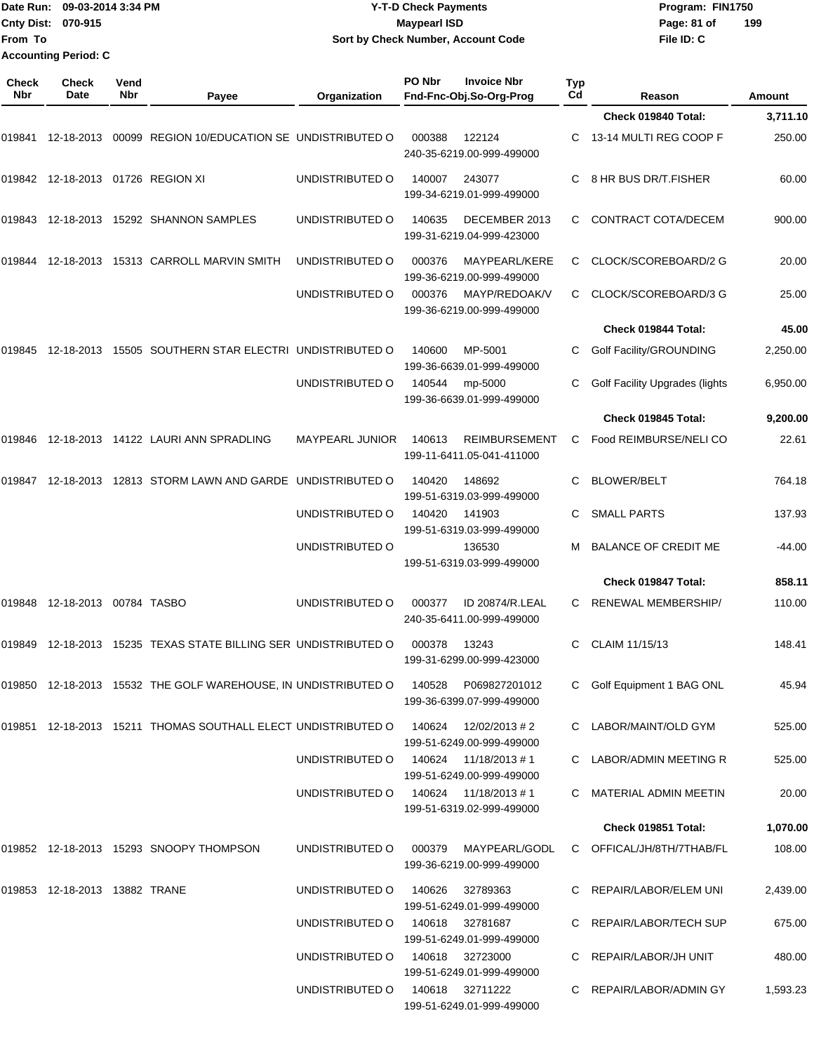| From To             | Cnty Dist: 070-915                   | Date Run: 09-03-2014 3:34 PM |                                                                              |                        | <b>Y-T-D Check Payments</b><br><b>Maypearl ISD</b><br>Sort by Check Number, Account Code |           | Program: FIN1750<br>Page: 81 of<br>File ID: C | 199      |
|---------------------|--------------------------------------|------------------------------|------------------------------------------------------------------------------|------------------------|------------------------------------------------------------------------------------------|-----------|-----------------------------------------------|----------|
|                     | <b>Accounting Period: C</b>          |                              |                                                                              |                        |                                                                                          |           |                                               |          |
| <b>Check</b><br>Nbr | <b>Check</b><br>Date                 | Vend<br>Nbr                  | Payee                                                                        | Organization           | PO Nbr<br><b>Invoice Nbr</b><br>Fnd-Fnc-Obj.So-Org-Prog                                  | Typ<br>Cd | Reason                                        | Amount   |
|                     |                                      |                              |                                                                              |                        |                                                                                          |           | Check 019840 Total:                           | 3,711.10 |
|                     |                                      |                              |                                                                              |                        |                                                                                          |           |                                               |          |
|                     |                                      |                              | 019841   12-18-2013   00099   REGION   10/EDUCATION   SE   UNDISTRIBUTED   O |                        | 122124<br>000388<br>240-35-6219.00-999-499000                                            | C         | 13-14 MULTI REG COOP F                        | 250.00   |
|                     | 019842  12-18-2013  01726  REGION XI |                              |                                                                              | UNDISTRIBUTED O        | 243077<br>140007<br>199-34-6219.01-999-499000                                            | C.        | 8 HR BUS DR/T.FISHER                          | 60.00    |
|                     |                                      |                              | 019843  12-18-2013  15292  SHANNON SAMPLES                                   | UNDISTRIBUTED O        | 140635<br>DECEMBER 2013<br>199-31-6219.04-999-423000                                     | C.        | CONTRACT COTA/DECEM                           | 900.00   |
| 019844              |                                      |                              | 12-18-2013 15313 CARROLL MARVIN SMITH                                        | UNDISTRIBUTED O        | 000376<br>MAYPEARL/KERE<br>199-36-6219.00-999-499000                                     | C         | CLOCK/SCOREBOARD/2 G                          | 20.00    |
|                     |                                      |                              |                                                                              | UNDISTRIBUTED O        | MAYP/REDOAK/V<br>000376<br>199-36-6219.00-999-499000                                     | С         | CLOCK/SCOREBOARD/3 G                          | 25.00    |
|                     |                                      |                              |                                                                              |                        |                                                                                          |           | Check 019844 Total:                           | 45.00    |
|                     |                                      |                              | 019845 12-18-2013 15505 SOUTHERN STAR ELECTRI UNDISTRIBUTED O                |                        | 140600<br>MP-5001<br>199-36-6639.01-999-499000                                           | C         | Golf Facility/GROUNDING                       | 2,250.00 |
|                     |                                      |                              |                                                                              | UNDISTRIBUTED O        | 140544<br>mp-5000<br>199-36-6639.01-999-499000                                           |           | <b>Golf Facility Upgrades (lights</b>         | 6,950.00 |
|                     |                                      |                              |                                                                              |                        |                                                                                          |           | Check 019845 Total:                           | 9,200.00 |
|                     |                                      |                              | 019846  12-18-2013  14122  LAURI ANN SPRADLING                               | <b>MAYPEARL JUNIOR</b> | 140613<br><b>REIMBURSEMENT</b><br>199-11-6411.05-041-411000                              | C         | Food REIMBURSE/NELI CO                        | 22.61    |
|                     |                                      |                              | 019847 12-18-2013 12813 STORM LAWN AND GARDE UNDISTRIBUTED O                 |                        | 140420<br>148692<br>199-51-6319.03-999-499000                                            | C         | <b>BLOWER/BELT</b>                            | 764.18   |
|                     |                                      |                              |                                                                              | UNDISTRIBUTED O        | 140420<br>141903<br>199-51-6319.03-999-499000                                            | С         | <b>SMALL PARTS</b>                            | 137.93   |
|                     |                                      |                              |                                                                              | UNDISTRIBUTED O        | 136530<br>199-51-6319.03-999-499000                                                      | м         | <b>BALANCE OF CREDIT ME</b>                   | -44.00   |
|                     |                                      |                              |                                                                              |                        |                                                                                          |           | Check 019847 Total:                           | 858.11   |
|                     | 019848 12-18-2013 00784 TASBO        |                              |                                                                              | UNDISTRIBUTED O        | 000377<br>ID 20874/R.LEAL<br>240-35-6411.00-999-499000                                   |           | C RENEWAL MEMBERSHIP/                         | 110.00   |
|                     |                                      |                              | 019849 12-18-2013 15235 TEXAS STATE BILLING SER UNDISTRIBUTED O              |                        | 000378<br>13243<br>199-31-6299.00-999-423000                                             |           | C CLAIM 11/15/13                              | 148.41   |
|                     |                                      |                              | 019850 12-18-2013 15532 THE GOLF WAREHOUSE, IN UNDISTRIBUTED O 140528        |                        | P069827201012<br>199-36-6399.07-999-499000                                               |           | C Golf Equipment 1 BAG ONL                    | 45.94    |
|                     |                                      |                              | 019851  12-18-2013  15211  THOMAS SOUTHALL ELECT UNDISTRIBUTED O             |                        | 140624<br>12/02/2013 # 2<br>199-51-6249.00-999-499000                                    |           | C LABOR/MAINT/OLD GYM                         | 525.00   |
|                     |                                      |                              |                                                                              | UNDISTRIBUTED O        | 140624 11/18/2013#1<br>199-51-6249.00-999-499000                                         |           | C LABOR/ADMIN MEETING R                       | 525.00   |
|                     |                                      |                              |                                                                              |                        | UNDISTRIBUTED O 140624 11/18/2013 #1<br>199-51-6319.02-999-499000                        |           | C MATERIAL ADMIN MEETIN                       | 20.00    |
|                     |                                      |                              |                                                                              |                        |                                                                                          |           | Check 019851 Total:                           | 1,070.00 |
|                     |                                      |                              | 019852 12-18-2013 15293 SNOOPY THOMPSON                                      | UNDISTRIBUTED O        | MAYPEARL/GODL<br>000379<br>199-36-6219.00-999-499000                                     |           | C OFFICAL/JH/8TH/7THAB/FL                     | 108.00   |
|                     | 019853 12-18-2013 13882 TRANE        |                              |                                                                              | UNDISTRIBUTED O        | 140626<br>32789363<br>199-51-6249.01-999-499000                                          |           | C REPAIR/LABOR/ELEM UNI                       | 2,439.00 |
|                     |                                      |                              |                                                                              | UNDISTRIBUTED O        | 140618<br>32781687<br>199-51-6249.01-999-499000                                          |           | C REPAIR/LABOR/TECH SUP                       | 675.00   |
|                     |                                      |                              |                                                                              |                        | UNDISTRIBUTED O 140618 32723000<br>199-51-6249.01-999-499000                             |           | C REPAIR/LABOR/JH UNIT                        | 480.00   |
|                     |                                      |                              |                                                                              |                        | UNDISTRIBUTED O 140618 32711222                                                          |           | C REPAIR/LABOR/ADMIN GY                       | 1,593.23 |

199-51-6249.01-999-499000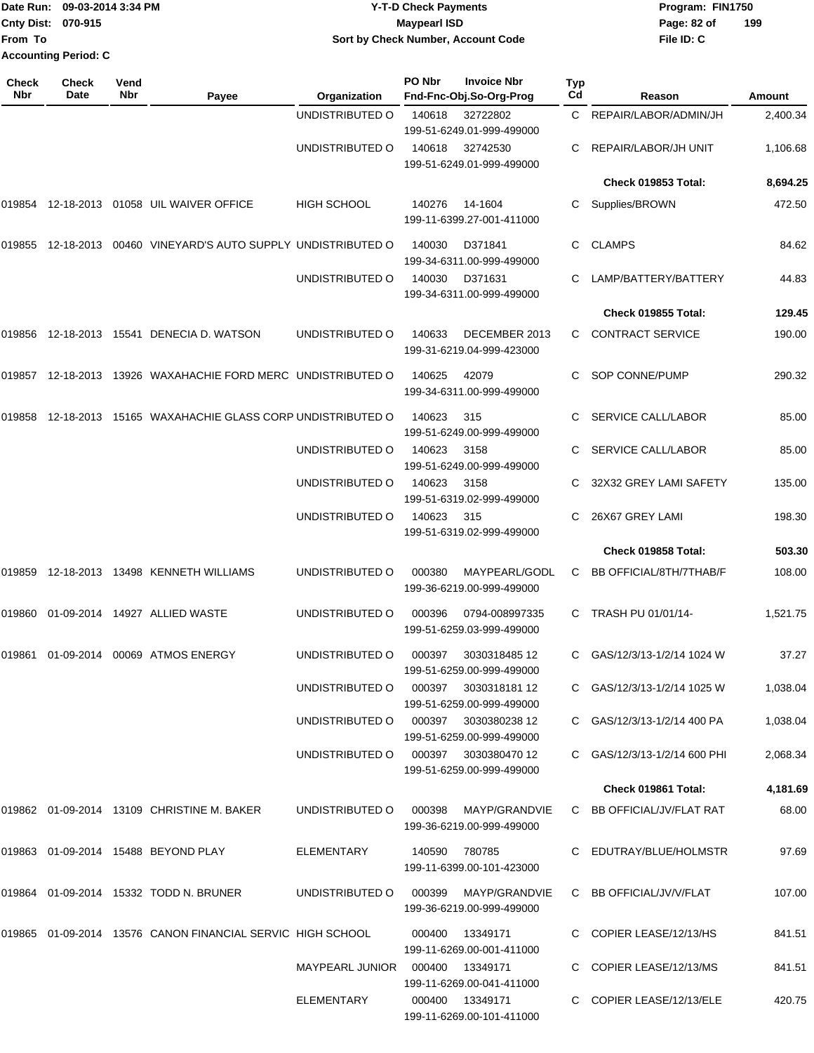|                             | Date Run: 09-03-2014 3:34 PM | <b>Y-T-D Check Payments</b>        | Program: FIN1750   |
|-----------------------------|------------------------------|------------------------------------|--------------------|
| Cnty Dist: 070-915          |                              | <b>Mavpearl ISD</b>                | 199<br>Page: 82 of |
| <b>IFrom To</b>             |                              | Sort by Check Number, Account Code | File ID: C         |
| <b>Accounting Period: C</b> |                              |                                    |                    |

**PO Nbr Invoice Nbr**

| Check<br>Nbr | Check<br>Date | Vend<br>Nbr | Payee                                                      | Organization                         | PO Nbr        | <b>Invoice Nbr</b><br>Fnd-Fnc-Obj.So-Org-Prog     | Typ<br>Cd | Reason                       | Amount   |
|--------------|---------------|-------------|------------------------------------------------------------|--------------------------------------|---------------|---------------------------------------------------|-----------|------------------------------|----------|
|              |               |             |                                                            | UNDISTRIBUTED O                      | 140618        | 32722802<br>199-51-6249.01-999-499000             |           | C REPAIR/LABOR/ADMIN/JH      | 2,400.34 |
|              |               |             |                                                            | UNDISTRIBUTED O                      | 140618        | 32742530<br>199-51-6249.01-999-499000             |           | REPAIR/LABOR/JH UNIT         | 1,106.68 |
|              |               |             |                                                            |                                      |               |                                                   |           | Check 019853 Total:          | 8,694.25 |
| 019854       |               |             | 12-18-2013  01058  UIL WAIVER OFFICE                       | <b>HIGH SCHOOL</b>                   | 140276        | 14-1604<br>199-11-6399.27-001-411000              | C         | Supplies/BROWN               | 472.50   |
| 019855       |               |             | 12-18-2013 00460 VINEYARD'S AUTO SUPPLY UNDISTRIBUTED O    |                                      | 140030        | D371841<br>199-34-6311.00-999-499000              | C         | <b>CLAMPS</b>                | 84.62    |
|              |               |             |                                                            | UNDISTRIBUTED O                      | 140030        | D371631<br>199-34-6311.00-999-499000              |           | LAMP/BATTERY/BATTERY         | 44.83    |
|              |               |             |                                                            |                                      |               |                                                   |           | Check 019855 Total:          | 129.45   |
| 019856       |               |             | 12-18-2013  15541  DENECIA D. WATSON                       | UNDISTRIBUTED O                      | 140633        | DECEMBER 2013<br>199-31-6219.04-999-423000        | C.        | <b>CONTRACT SERVICE</b>      | 190.00   |
| 019857       |               |             | 12-18-2013  13926  WAXAHACHIE FORD MERC  UNDISTRIBUTED O   |                                      | 140625        | 42079<br>199-34-6311.00-999-499000                | C         | SOP CONNE/PUMP               | 290.32   |
| 019858       |               |             | 12-18-2013 15165 WAXAHACHIE GLASS CORP UNDISTRIBUTED O     |                                      | 140623        | 315<br>199-51-6249.00-999-499000                  |           | <b>SERVICE CALL/LABOR</b>    | 85.00    |
|              |               |             |                                                            | UNDISTRIBUTED O                      | 140623        | 3158<br>199-51-6249.00-999-499000                 | C.        | SERVICE CALL/LABOR           | 85.00    |
|              |               |             |                                                            | UNDISTRIBUTED O                      | 140623        | 3158<br>199-51-6319.02-999-499000                 |           | 32X32 GREY LAMI SAFETY       | 135.00   |
|              |               |             |                                                            | UNDISTRIBUTED O                      | 140623        | 315<br>199-51-6319.02-999-499000                  |           | 26X67 GREY LAMI              | 198.30   |
|              |               |             |                                                            |                                      |               |                                                   |           | Check 019858 Total:          | 503.30   |
| 019859       |               |             | 12-18-2013  13498  KENNETH WILLIAMS                        | UNDISTRIBUTED O                      | 000380        | MAYPEARL/GODL<br>199-36-6219.00-999-499000        | C         | BB OFFICIAL/8TH/7THAB/F      | 108.00   |
| 019860       |               |             | 01-09-2014  14927  ALLIED WASTE                            | UNDISTRIBUTED O                      | 000396        | 0794-008997335<br>199-51-6259.03-999-499000       | C         | TRASH PU 01/01/14-           | 1,521.75 |
|              |               |             | 00069 ATMOS ENERGY                                         | UNDISTRIBUTED O                      | 000397        | 3030318485 12<br>199-51-6259.00-999-499000        | C         | GAS/12/3/13-1/2/14 1024 W    | 37.27    |
|              |               |             |                                                            | UNDISTRIBUTED O 000397 3030318181 12 |               | 199-51-6259.00-999-499000                         |           | C GAS/12/3/13-1/2/14 1025 W  | 1,038.04 |
|              |               |             |                                                            | UNDISTRIBUTED O 000397 3030380238 12 |               | 199-51-6259.00-999-499000                         |           | C GAS/12/3/13-1/2/14 400 PA  | 1,038.04 |
|              |               |             |                                                            | UNDISTRIBUTED O 000397 3030380470 12 |               | 199-51-6259.00-999-499000                         |           | C GAS/12/3/13-1/2/14 600 PHI | 2,068.34 |
|              |               |             |                                                            |                                      |               |                                                   |           | Check 019861 Total:          | 4,181.69 |
|              |               |             | 019862 01-09-2014 13109 CHRISTINE M. BAKER                 | UNDISTRIBUTED O                      | 000398        | MAYP/GRANDVIE<br>199-36-6219.00-999-499000        |           | C BB OFFICIAL/JV/FLAT RAT    | 68.00    |
|              |               |             | 019863 01-09-2014 15488 BEYOND PLAY                        | ELEMENTARY                           | 140590 780785 | 199-11-6399.00-101-423000                         |           | C EDUTRAY/BLUE/HOLMSTR       | 97.69    |
|              |               |             | 019864 01-09-2014 15332 TODD N. BRUNER                     | UNDISTRIBUTED O                      |               | 000399 MAYP/GRANDVIE<br>199-36-6219.00-999-499000 |           | C BB OFFICIAL/JV/V/FLAT      | 107.00   |
|              |               |             | 019865 01-09-2014 13576 CANON FINANCIAL SERVIC HIGH SCHOOL |                                      |               | 000400 13349171<br>199-11-6269.00-001-411000      |           | C COPIER LEASE/12/13/HS      | 841.51   |
|              |               |             |                                                            | MAYPEARL JUNIOR  000400  13349171    |               | 199-11-6269.00-041-411000                         |           | C COPIER LEASE/12/13/MS      | 841.51   |
|              |               |             |                                                            | ELEMENTARY                           |               | 000400 13349171<br>199-11-6269.00-101-411000      |           | C COPIER LEASE/12/13/ELE     | 420.75   |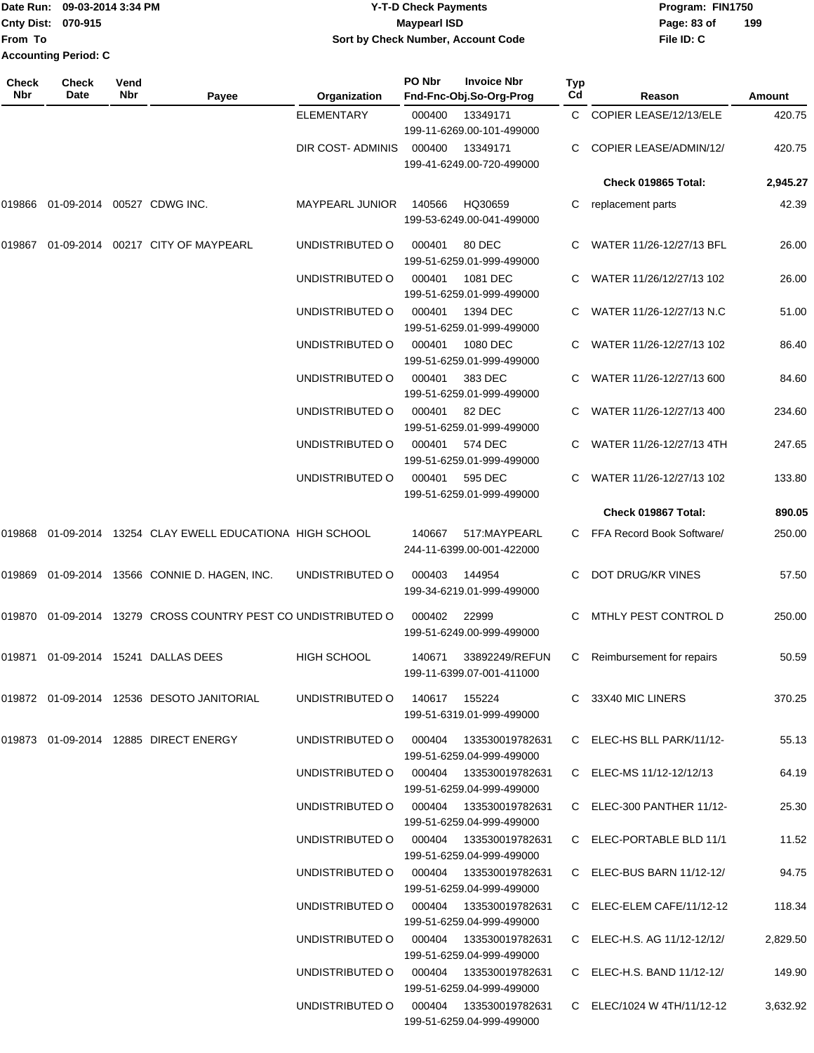|                             | Date Run: 09-03-2014 3:34 PM | Y-T-D Check Payments               | Program: FIN1750 |     |
|-----------------------------|------------------------------|------------------------------------|------------------|-----|
| Cnty Dist: 070-915          |                              | <b>Maypearl ISD</b>                | Page: 83 of      | 199 |
| From To                     |                              | Sort by Check Number, Account Code | File ID: C       |     |
| <b>Accounting Period: C</b> |                              |                                    |                  |     |

| Check<br>Nbr | <b>Check</b><br>Date                 | Vend<br>Nbr | Payee                                                         | <b>Organization</b>                    | PO Nbr | <b>Invoice Nbr</b><br>Fnd-Fnc-Obj.So-Org-Prog                      | <b>Typ</b><br>Cd | Reason                      | Amount   |
|--------------|--------------------------------------|-------------|---------------------------------------------------------------|----------------------------------------|--------|--------------------------------------------------------------------|------------------|-----------------------------|----------|
|              |                                      |             |                                                               | <b>ELEMENTARY</b>                      | 000400 | 13349171                                                           | C.               | COPIER LEASE/12/13/ELE      | 420.75   |
|              |                                      |             |                                                               | DIR COST- ADMINIS                      | 000400 | 199-11-6269.00-101-499000<br>13349171<br>199-41-6249.00-720-499000 | C.               | COPIER LEASE/ADMIN/12/      | 420.75   |
|              |                                      |             |                                                               |                                        |        |                                                                    |                  | Check 019865 Total:         | 2,945.27 |
|              | 019866  01-09-2014  00527  CDWG INC. |             |                                                               | MAYPEARL JUNIOR                        | 140566 | HQ30659<br>199-53-6249.00-041-499000                               | C                | replacement parts           | 42.39    |
| 019867       |                                      |             | 01-09-2014 00217 CITY OF MAYPEARL                             | UNDISTRIBUTED O                        | 000401 | 80 DEC<br>199-51-6259.01-999-499000                                |                  | WATER 11/26-12/27/13 BFL    | 26.00    |
|              |                                      |             |                                                               | UNDISTRIBUTED O                        | 000401 | 1081 DEC<br>199-51-6259.01-999-499000                              |                  | WATER 11/26/12/27/13 102    | 26.00    |
|              |                                      |             |                                                               | UNDISTRIBUTED O                        | 000401 | 1394 DEC<br>199-51-6259.01-999-499000                              | C.               | WATER 11/26-12/27/13 N.C    | 51.00    |
|              |                                      |             |                                                               | UNDISTRIBUTED O                        | 000401 | 1080 DEC<br>199-51-6259.01-999-499000                              |                  | WATER 11/26-12/27/13 102    | 86.40    |
|              |                                      |             |                                                               | UNDISTRIBUTED O                        | 000401 | 383 DEC<br>199-51-6259.01-999-499000                               |                  | WATER 11/26-12/27/13 600    | 84.60    |
|              |                                      |             |                                                               | UNDISTRIBUTED O                        | 000401 | 82 DEC<br>199-51-6259.01-999-499000                                |                  | WATER 11/26-12/27/13 400    | 234.60   |
|              |                                      |             |                                                               | UNDISTRIBUTED O                        | 000401 | 574 DEC<br>199-51-6259.01-999-499000                               |                  | WATER 11/26-12/27/13 4TH    | 247.65   |
|              |                                      |             |                                                               | UNDISTRIBUTED O                        | 000401 | 595 DEC<br>199-51-6259.01-999-499000                               |                  | WATER 11/26-12/27/13 102    | 133.80   |
|              |                                      |             |                                                               |                                        |        |                                                                    |                  | Check 019867 Total:         | 890.05   |
| 019868       |                                      |             | 01-09-2014 13254 CLAY EWELL EDUCATIONA HIGH SCHOOL            |                                        | 140667 | 517:MAYPEARL<br>244-11-6399.00-001-422000                          |                  | C FFA Record Book Software/ | 250.00   |
|              |                                      |             | 019869 01-09-2014 13566 CONNIE D. HAGEN, INC.                 | UNDISTRIBUTED O                        | 000403 | 144954<br>199-34-6219.01-999-499000                                | C.               | DOT DRUG/KR VINES           | 57.50    |
|              |                                      |             | 019870 01-09-2014 13279 CROSS COUNTRY PEST CO UNDISTRIBUTED O |                                        | 000402 | 22999<br>199-51-6249.00-999-499000                                 | C                | MTHLY PEST CONTROL D        | 250.00   |
| 019871       |                                      |             | 01-09-2014 15241 DALLAS DEES                                  | <b>HIGH SCHOOL</b>                     | 140671 | 33892249/REFUN<br>199-11-6399.07-001-411000                        | C                | Reimbursement for repairs   | 50.59    |
|              |                                      |             | 019872  01-09-2014  12536  DESOTO JANITORIAL                  | UNDISTRIBUTED 0 140617 155224          |        | 199-51-6319.01-999-499000                                          |                  | C 33X40 MIC LINERS          | 370.25   |
|              |                                      |             | 019873  01-09-2014  12885  DIRECT ENERGY                      | UNDISTRIBUTED O 000404 133530019782631 |        | 199-51-6259.04-999-499000                                          |                  | C ELEC-HS BLL PARK/11/12-   | 55.13    |
|              |                                      |             |                                                               | UNDISTRIBUTED O 000404 133530019782631 |        | 199-51-6259.04-999-499000                                          |                  | C ELEC-MS 11/12-12/12/13    | 64.19    |
|              |                                      |             |                                                               | UNDISTRIBUTED O 000404 133530019782631 |        | 199-51-6259.04-999-499000                                          |                  | C ELEC-300 PANTHER 11/12-   | 25.30    |
|              |                                      |             |                                                               | UNDISTRIBUTED O 000404 133530019782631 |        | 199-51-6259.04-999-499000                                          |                  | C ELEC-PORTABLE BLD 11/1    | 11.52    |
|              |                                      |             |                                                               | UNDISTRIBUTED O 000404 133530019782631 |        | 199-51-6259.04-999-499000                                          |                  | C ELEC-BUS BARN 11/12-12/   | 94.75    |
|              |                                      |             |                                                               | UNDISTRIBUTED O 000404 133530019782631 |        | 199-51-6259.04-999-499000                                          |                  | C ELEC-ELEM CAFE/11/12-12   | 118.34   |
|              |                                      |             |                                                               | UNDISTRIBUTED O 000404 133530019782631 |        | 199-51-6259.04-999-499000                                          |                  | C ELEC-H.S. AG 11/12-12/12/ | 2,829.50 |
|              |                                      |             |                                                               | UNDISTRIBUTED O 000404 133530019782631 |        | 199-51-6259.04-999-499000                                          |                  | C ELEC-H.S. BAND 11/12-12/  | 149.90   |
|              |                                      |             |                                                               | UNDISTRIBUTED O                        |        | 199-51-6259.04-999-499000                                          |                  | C ELEC/1024 W 4TH/11/12-12  | 3,632.92 |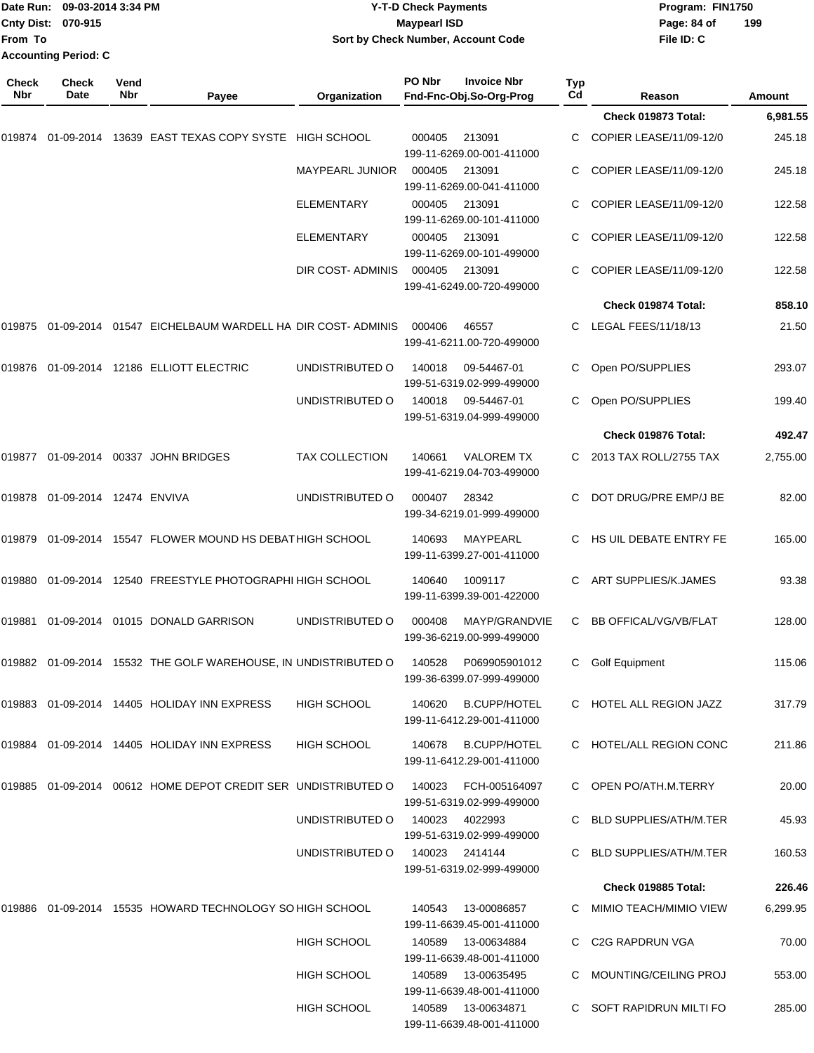| From To             | Date Run: 09-03-2014 3:34 PM<br>Cnty Dist: 070-915<br><b>Accounting Period: C</b> |             |                                                                                                  | Sort by Check Number, Account Code | <b>Y-T-D Check Payments</b><br><b>Maypearl ISD</b> |                                                  |                       | Program: FIN1750<br>Page: 84 of<br>File ID: C | 199      |
|---------------------|-----------------------------------------------------------------------------------|-------------|--------------------------------------------------------------------------------------------------|------------------------------------|----------------------------------------------------|--------------------------------------------------|-----------------------|-----------------------------------------------|----------|
| Check<br><b>Nbr</b> | Check<br>Date                                                                     | Vend<br>Nbr | Payee                                                                                            | Organization                       | PO Nbr                                             | <b>Invoice Nbr</b><br>Fnd-Fnc-Obj.So-Org-Prog    | Typ<br>C <sub>d</sub> | Reason                                        | Amount   |
|                     |                                                                                   |             |                                                                                                  |                                    |                                                    |                                                  |                       | Check 019873 Total:                           | 6,981.55 |
| 019874              | 01-09-2014                                                                        |             | 13639 EAST TEXAS COPY SYSTE HIGH SCHOOL                                                          |                                    | 000405                                             | 213091<br>199-11-6269.00-001-411000              |                       | COPIER LEASE/11/09-12/0                       | 245.18   |
|                     |                                                                                   |             |                                                                                                  | <b>MAYPEARL JUNIOR</b>             | 000405                                             | 213091<br>199-11-6269.00-041-411000              | C                     | COPIER LEASE/11/09-12/0                       | 245.18   |
|                     |                                                                                   |             |                                                                                                  | ELEMENTARY                         | 000405                                             | 213091<br>199-11-6269.00-101-411000              |                       | COPIER LEASE/11/09-12/0                       | 122.58   |
|                     |                                                                                   |             |                                                                                                  | ELEMENTARY                         | 000405                                             | 213091<br>199-11-6269.00-101-499000              |                       | COPIER LEASE/11/09-12/0                       | 122.58   |
|                     |                                                                                   |             |                                                                                                  | DIR COST-ADMINIS                   | 000405                                             | 213091<br>199-41-6249.00-720-499000              |                       | COPIER LEASE/11/09-12/0                       | 122.58   |
|                     |                                                                                   |             |                                                                                                  |                                    |                                                    |                                                  |                       | Check 019874 Total:                           | 858.10   |
| 019875              |                                                                                   |             | 01-09-2014 01547 EICHELBAUM WARDELL HA DIR COST-ADMINIS                                          |                                    | 000406                                             | 46557<br>199-41-6211.00-720-499000               | C                     | LEGAL FEES/11/18/13                           | 21.50    |
|                     |                                                                                   |             | 019876   01-09-2014   12186   ELLIOTT   ELECTRIC                                                 | UNDISTRIBUTED O                    | 140018                                             | 09-54467-01<br>199-51-6319.02-999-499000         | С                     | Open PO/SUPPLIES                              | 293.07   |
|                     |                                                                                   |             |                                                                                                  | UNDISTRIBUTED O                    | 140018                                             | 09-54467-01<br>199-51-6319.04-999-499000         |                       | Open PO/SUPPLIES                              | 199.40   |
|                     |                                                                                   |             |                                                                                                  |                                    |                                                    |                                                  |                       | Check 019876 Total:                           | 492.47   |
|                     |                                                                                   |             | 019877  01-09-2014  00337  JOHN BRIDGES                                                          | <b>TAX COLLECTION</b>              | 140661                                             | <b>VALOREM TX</b><br>199-41-6219.04-703-499000   |                       | 2013 TAX ROLL/2755 TAX                        | 2,755.00 |
| 019878              | 01-09-2014 12474 ENVIVA                                                           |             |                                                                                                  | UNDISTRIBUTED O                    | 000407                                             | 28342<br>199-34-6219.01-999-499000               | C.                    | DOT DRUG/PRE EMP/J BE                         | 82.00    |
|                     |                                                                                   |             | 019879  01-09-2014  15547  FLOWER MOUND HS DEBAT HIGH SCHOOL                                     |                                    | 140693                                             | MAYPEARL<br>199-11-6399.27-001-411000            | С                     | HS UIL DEBATE ENTRY FE                        | 165.00   |
| 019880              |                                                                                   |             | 01-09-2014 12540 FREESTYLE PHOTOGRAPHI HIGH SCHOOL                                               |                                    | 140640                                             | 1009117<br>199-11-6399.39-001-422000             |                       | ART SUPPLIES/K.JAMES                          | 93.38    |
|                     |                                                                                   |             | 019881  01-09-2014  01015  DONALD GARRISON                                                       | UNDISTRIBUTED O                    | 000408                                             | MAYP/GRANDVIE<br>199-36-6219.00-999-499000       |                       | C BB OFFICAL/VG/VB/FLAT                       | 128.00   |
|                     |                                                                                   |             | 019882  01-09-2014  15532 THE GOLF WAREHOUSE, IN UNDISTRIBUTED O                                 |                                    | 140528                                             | P069905901012<br>199-36-6399.07-999-499000       |                       | C Golf Equipment                              | 115.06   |
|                     |                                                                                   |             | 019883  01-09-2014  14405  HOLIDAY INN EXPRESS                                                   | <b>HIGH SCHOOL</b>                 | 140620                                             | <b>B.CUPP/HOTEL</b><br>199-11-6412.29-001-411000 |                       | C HOTEL ALL REGION JAZZ                       | 317.79   |
|                     |                                                                                   |             | 019884  01-09-2014  14405  HOLIDAY INN EXPRESS                                                   | <b>HIGH SCHOOL</b>                 |                                                    | 140678 B.CUPP/HOTEL<br>199-11-6412.29-001-411000 |                       | C HOTEL/ALL REGION CONC                       | 211.86   |
|                     |                                                                                   |             | 019885  01-09-2014  00612  HOME                                 DEPOT CREDIT SER UNDISTRIBUTED O |                                    | 140023                                             | FCH-005164097<br>199-51-6319.02-999-499000       |                       | C OPEN PO/ATH.M.TERRY                         | 20.00    |
|                     |                                                                                   |             |                                                                                                  | UNDISTRIBUTED O                    | 140023                                             | 4022993<br>199-51-6319.02-999-499000             |                       | <b>BLD SUPPLIES/ATH/M.TER</b>                 | 45.93    |
|                     |                                                                                   |             |                                                                                                  | UNDISTRIBUTED O                    | 140023 2414144                                     | 199-51-6319.02-999-499000                        |                       | <b>BLD SUPPLIES/ATH/M.TER</b>                 | 160.53   |
|                     |                                                                                   |             |                                                                                                  |                                    |                                                    |                                                  |                       | Check 019885 Total:                           | 226.46   |
|                     |                                                                                   |             | 019886  01-09-2014  15535  HOWARD TECHNOLOGY SO HIGH SCHOOL                                      |                                    | 140543                                             | 13-00086857<br>199-11-6639.45-001-411000         |                       | C MIMIO TEACH/MIMIO VIEW                      | 6,299.95 |
|                     |                                                                                   |             |                                                                                                  | HIGH SCHOOL                        | 140589                                             | 13-00634884<br>199-11-6639.48-001-411000         | C.                    | C2G RAPDRUN VGA                               | 70.00    |
|                     |                                                                                   |             |                                                                                                  | HIGH SCHOOL                        |                                                    | 140589  13-00635495<br>199-11-6639.48-001-411000 |                       | <b>MOUNTING/CEILING PROJ</b>                  | 553.00   |
|                     |                                                                                   |             |                                                                                                  | HIGH SCHOOL                        |                                                    | 140589  13-00634871<br>199-11-6639.48-001-411000 |                       | C SOFT RAPIDRUN MILTI FO                      | 285.00   |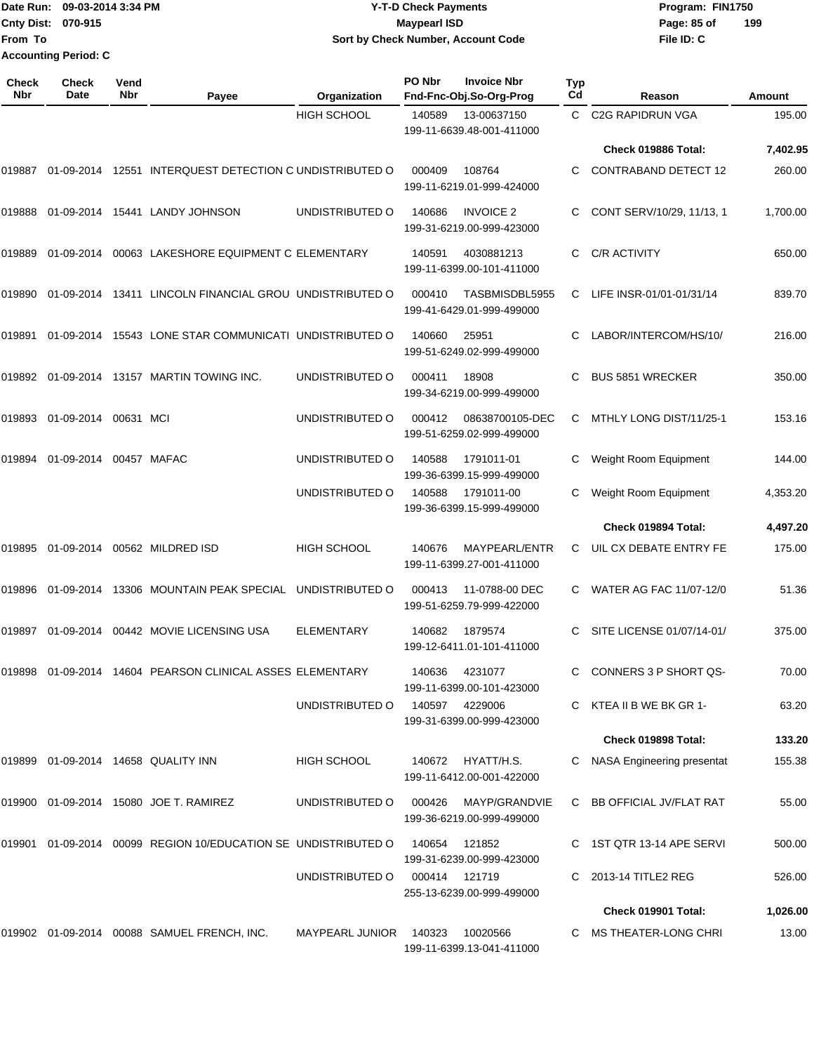Date Run: 09-03-2014 3:34 PM **Program:** FIN1750 **Cnty Dist:** 070-915 **Page: 85 of From To Accounting Period: C**

# **Y-T-D Check Payments 070-915 Maypearl ISD Sort by Check Number, Account Code**

| <b>Check</b><br>Nbr | <b>Check</b><br>Date | Vend<br>Nbr | Payee                                                        | Organization       | PO Nbr        | <b>Invoice Nbr</b><br>Fnd-Fnc-Obj.So-Org-Prog | <b>Typ</b><br>Cd | Reason                       | Amount   |
|---------------------|----------------------|-------------|--------------------------------------------------------------|--------------------|---------------|-----------------------------------------------|------------------|------------------------------|----------|
|                     |                      |             |                                                              | <b>HIGH SCHOOL</b> | 140589        | 13-00637150<br>199-11-6639.48-001-411000      | C.               | <b>C2G RAPIDRUN VGA</b>      | 195.00   |
|                     |                      |             |                                                              |                    |               |                                               |                  | Check 019886 Total:          | 7,402.95 |
| 019887              | 01-09-2014           |             | 12551 INTERQUEST DETECTION C UNDISTRIBUTED O                 |                    | 000409        | 108764<br>199-11-6219.01-999-424000           | C.               | <b>CONTRABAND DETECT 12</b>  | 260.00   |
| 019888              |                      |             | 01-09-2014 15441 LANDY JOHNSON                               | UNDISTRIBUTED O    | 140686        | <b>INVOICE 2</b><br>199-31-6219.00-999-423000 | C.               | CONT SERV/10/29, 11/13, 1    | 1,700.00 |
| 019889              | 01-09-2014           |             | 00063 LAKESHORE EQUIPMENT C ELEMENTARY                       |                    | 140591        | 4030881213<br>199-11-6399.00-101-411000       | С                | C/R ACTIVITY                 | 650.00   |
| 019890              | 01-09-2014           |             | 13411 LINCOLN FINANCIAL GROU UNDISTRIBUTED O                 |                    | 000410        | TASBMISDBL5955<br>199-41-6429.01-999-499000   | C                | LIFE INSR-01/01-01/31/14     | 839.70   |
| 019891              | 01-09-2014           |             | 15543 LONE STAR COMMUNICATI UNDISTRIBUTED O                  |                    | 140660        | 25951<br>199-51-6249.02-999-499000            | C                | LABOR/INTERCOM/HS/10/        | 216.00   |
| 019892              |                      |             | 01-09-2014 13157 MARTIN TOWING INC.                          | UNDISTRIBUTED O    | 000411        | 18908<br>199-34-6219.00-999-499000            |                  | <b>BUS 5851 WRECKER</b>      | 350.00   |
| 019893              | 01-09-2014           | 00631 MCI   |                                                              | UNDISTRIBUTED O    | 000412        | 08638700105-DEC<br>199-51-6259.02-999-499000  | C                | MTHLY LONG DIST/11/25-1      | 153.16   |
| 019894              | 01-09-2014           |             | 00457 MAFAC                                                  | UNDISTRIBUTED O    | 140588        | 1791011-01<br>199-36-6399.15-999-499000       | С                | Weight Room Equipment        | 144.00   |
|                     |                      |             |                                                              | UNDISTRIBUTED O    | 140588        | 1791011-00<br>199-36-6399.15-999-499000       |                  | Weight Room Equipment        | 4,353.20 |
|                     |                      |             |                                                              |                    |               |                                               |                  | Check 019894 Total:          | 4,497.20 |
| 019895              |                      |             | 01-09-2014 00562 MILDRED ISD                                 | <b>HIGH SCHOOL</b> | 140676        | MAYPEARL/ENTR<br>199-11-6399.27-001-411000    | C                | UIL CX DEBATE ENTRY FE       | 175.00   |
| 019896              | 01-09-2014           |             | 13306 MOUNTAIN PEAK SPECIAL                                  | UNDISTRIBUTED O    | 000413        | 11-0788-00 DEC<br>199-51-6259.79-999-422000   | C                | WATER AG FAC 11/07-12/0      | 51.36    |
| 019897              | 01-09-2014           |             | 00442 MOVIE LICENSING USA                                    | <b>ELEMENTARY</b>  | 140682        | 1879574<br>199-12-6411.01-101-411000          | C.               | SITE LICENSE 01/07/14-01/    | 375.00   |
|                     |                      |             | 019898  01-09-2014  14604  PEARSON CLINICAL ASSES ELEMENTARY |                    | 140636        | 4231077<br>199-11-6399.00-101-423000          |                  | CONNERS 3 P SHORT QS-        | 70.00    |
|                     |                      |             |                                                              | UNDISTRIBUTED O    |               | 140597 4229006<br>199-31-6399.00-999-423000   |                  | C KTEA II B WE BK GR 1-      | 63.20    |
|                     |                      |             |                                                              |                    |               |                                               |                  | Check 019898 Total:          | 133.20   |
| 019899              |                      |             | 01-09-2014 14658 QUALITY INN                                 | HIGH SCHOOL        | 140672        | HYATT/H.S.<br>199-11-6412.00-001-422000       |                  | C NASA Engineering presentat | 155.38   |
|                     |                      |             | 019900 01-09-2014 15080 JOE T. RAMIREZ                       | UNDISTRIBUTED O    | 000426        | MAYP/GRANDVIE<br>199-36-6219.00-999-499000    |                  | C BB OFFICIAL JV/FLAT RAT    | 55.00    |
| 019901              |                      |             | 01-09-2014 00099 REGION 10/EDUCATION SE UNDISTRIBUTED O      |                    | 140654        | 121852<br>199-31-6239.00-999-423000           |                  | C 1ST QTR 13-14 APE SERVI    | 500.00   |
|                     |                      |             |                                                              | UNDISTRIBUTED O    | 000414 121719 | 255-13-6239.00-999-499000                     |                  | 2013-14 TITLE2 REG           | 526.00   |
|                     |                      |             |                                                              |                    |               |                                               |                  | <b>Check 019901 Total:</b>   | 1,026.00 |
|                     |                      |             | 019902 01-09-2014 00088 SAMUEL FRENCH, INC.                  | MAYPEARL JUNIOR    | 140323        | 10020566<br>199-11-6399.13-041-411000         |                  | C MS THEATER-LONG CHRI       | 13.00    |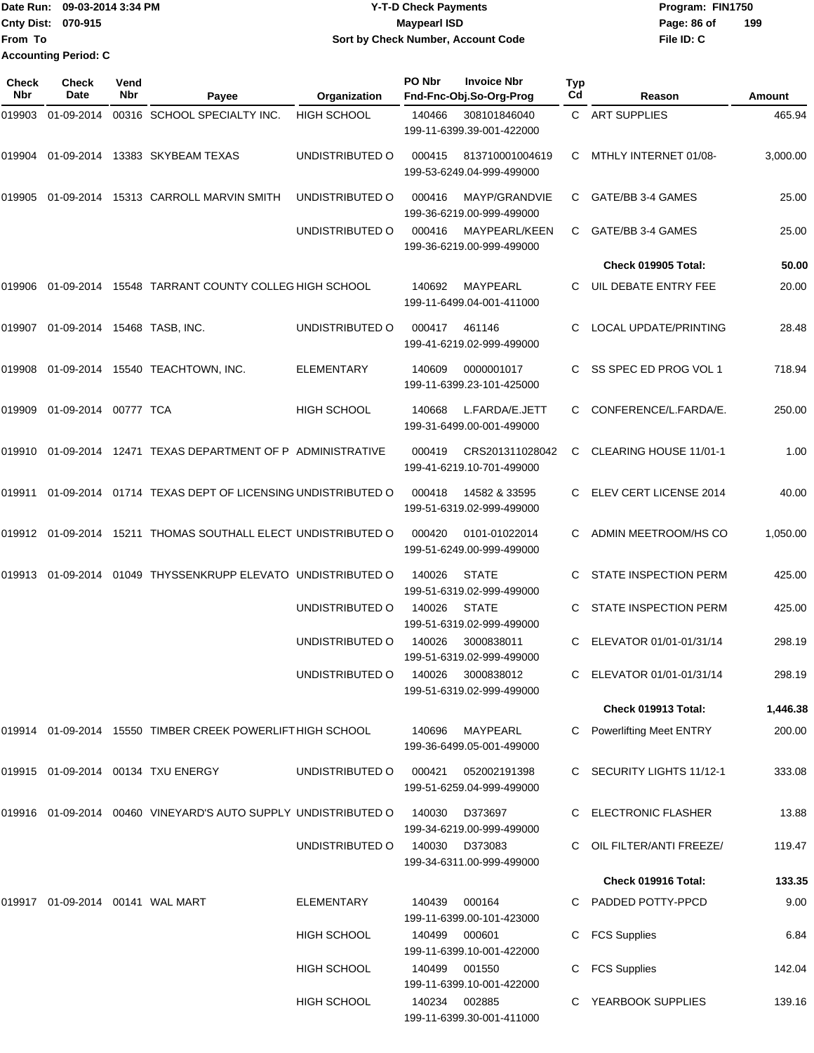|                             | Date Run: 09-03-2014 3:34 PM | <b>Y-T-D Check Payments</b>        | Program: FIN1750   |
|-----------------------------|------------------------------|------------------------------------|--------------------|
| <b>Cnty Dist: 070-915</b>   |                              | <b>Mavpearl ISD</b>                | 199<br>Page: 86 of |
| <b>IFrom To</b>             |                              | Sort by Check Number, Account Code | File ID: C         |
| <b>Accounting Period: C</b> |                              |                                    |                    |

| <b>Check</b><br>Nbr | <b>Check</b><br>Date                  | Vend<br>Nbr | Payee                                                             | <b>Organization</b> | PO Nbr | <b>Invoice Nbr</b><br>Fnd-Fnc-Obj.So-Org-Prog  | Typ<br>Cd | Reason                         | Amount   |
|---------------------|---------------------------------------|-------------|-------------------------------------------------------------------|---------------------|--------|------------------------------------------------|-----------|--------------------------------|----------|
| 019903              | 01-09-2014                            |             | 00316 SCHOOL SPECIALTY INC.                                       | <b>HIGH SCHOOL</b>  | 140466 | 308101846040<br>199-11-6399.39-001-422000      |           | C ART SUPPLIES                 | 465.94   |
|                     |                                       |             | 019904 01-09-2014 13383 SKYBEAM TEXAS                             | UNDISTRIBUTED O     | 000415 | 813710001004619<br>199-53-6249.04-999-499000   | C.        | MTHLY INTERNET 01/08-          | 3,000.00 |
| 019905              |                                       |             | 01-09-2014 15313 CARROLL MARVIN SMITH                             | UNDISTRIBUTED O     | 000416 | MAYP/GRANDVIE<br>199-36-6219.00-999-499000     | C         | GATE/BB 3-4 GAMES              | 25.00    |
|                     |                                       |             |                                                                   | UNDISTRIBUTED O     | 000416 | MAYPEARL/KEEN<br>199-36-6219.00-999-499000     | C.        | GATE/BB 3-4 GAMES              | 25.00    |
|                     |                                       |             |                                                                   |                     |        |                                                |           | Check 019905 Total:            | 50.00    |
| 019906              |                                       |             | 01-09-2014 15548 TARRANT COUNTY COLLEG HIGH SCHOOL                |                     | 140692 | MAYPEARL<br>199-11-6499.04-001-411000          | C         | UIL DEBATE ENTRY FEE           | 20.00    |
|                     | 019907  01-09-2014  15468  TASB, INC. |             |                                                                   | UNDISTRIBUTED O     | 000417 | 461146<br>199-41-6219.02-999-499000            | C         | LOCAL UPDATE/PRINTING          | 28.48    |
| 019908              |                                       |             | 01-09-2014  15540  TEACHTOWN, INC.                                | <b>ELEMENTARY</b>   | 140609 | 0000001017<br>199-11-6399.23-101-425000        | C         | SS SPEC ED PROG VOL 1          | 718.94   |
| 019909              | 01-09-2014 00777 TCA                  |             |                                                                   | <b>HIGH SCHOOL</b>  | 140668 | L.FARDA/E.JETT<br>199-31-6499.00-001-499000    | C         | CONFERENCE/L.FARDA/E.          | 250.00   |
| 019910              |                                       |             | 01-09-2014 12471 TEXAS DEPARTMENT OF P ADMINISTRATIVE             |                     | 000419 | CRS201311028042<br>199-41-6219.10-701-499000   | C         | CLEARING HOUSE 11/01-1         | 1.00     |
| 019911              |                                       |             | 01-09-2014 01714 TEXAS DEPT OF LICENSING UNDISTRIBUTED O          |                     | 000418 | 14582 & 33595<br>199-51-6319.02-999-499000     | C.        | ELEV CERT LICENSE 2014         | 40.00    |
| 019912              |                                       |             | 01-09-2014 15211 THOMAS SOUTHALL ELECT UNDISTRIBUTED O            |                     | 000420 | 0101-01022014<br>199-51-6249.00-999-499000     |           | ADMIN MEETROOM/HS CO           | 1,050.00 |
| 019913              |                                       |             | 01-09-2014 01049 THYSSENKRUPP ELEVATO UNDISTRIBUTED O             |                     | 140026 | <b>STATE</b><br>199-51-6319.02-999-499000      | C.        | <b>STATE INSPECTION PERM</b>   | 425.00   |
|                     |                                       |             |                                                                   | UNDISTRIBUTED O     | 140026 | <b>STATE</b><br>199-51-6319.02-999-499000      | C         | <b>STATE INSPECTION PERM</b>   | 425.00   |
|                     |                                       |             |                                                                   | UNDISTRIBUTED O     | 140026 | 3000838011<br>199-51-6319.02-999-499000        | C         | ELEVATOR 01/01-01/31/14        | 298.19   |
|                     |                                       |             |                                                                   | UNDISTRIBUTED O     |        | 140026 3000838012<br>199-51-6319.02-999-499000 |           | ELEVATOR 01/01-01/31/14        | 298.19   |
|                     |                                       |             |                                                                   |                     |        |                                                |           | Check 019913 Total:            | 1,446.38 |
|                     |                                       |             | 019914 01-09-2014 15550 TIMBER CREEK POWERLIFT HIGH SCHOOL        |                     | 140696 | MAYPEARL<br>199-36-6499.05-001-499000          |           | <b>Powerlifting Meet ENTRY</b> | 200.00   |
|                     |                                       |             | 019915 01-09-2014 00134 TXU ENERGY                                | UNDISTRIBUTED O     | 000421 | 052002191398<br>199-51-6259.04-999-499000      |           | SECURITY LIGHTS 11/12-1        | 333.08   |
|                     |                                       |             | 019916  01-09-2014  00460  VINEYARD'S AUTO SUPPLY UNDISTRIBUTED O |                     | 140030 | D373697<br>199-34-6219.00-999-499000           |           | <b>ELECTRONIC FLASHER</b>      | 13.88    |
|                     |                                       |             |                                                                   | UNDISTRIBUTED O     | 140030 | D373083<br>199-34-6311.00-999-499000           |           | OIL FILTER/ANTI FREEZE/        | 119.47   |
|                     |                                       |             |                                                                   |                     |        |                                                |           | Check 019916 Total:            | 133.35   |
|                     | 019917  01-09-2014  00141  WAL MART   |             |                                                                   | <b>ELEMENTARY</b>   | 140439 | 000164<br>199-11-6399.00-101-423000            |           | C PADDED POTTY-PPCD            | 9.00     |
|                     |                                       |             |                                                                   | <b>HIGH SCHOOL</b>  | 140499 | 000601<br>199-11-6399.10-001-422000            | C         | <b>FCS Supplies</b>            | 6.84     |
|                     |                                       |             |                                                                   | <b>HIGH SCHOOL</b>  | 140499 | 001550<br>199-11-6399.10-001-422000            | C.        | <b>FCS Supplies</b>            | 142.04   |
|                     |                                       |             |                                                                   | <b>HIGH SCHOOL</b>  |        | 140234 002885<br>199-11-6399.30-001-411000     |           | YEARBOOK SUPPLIES              | 139.16   |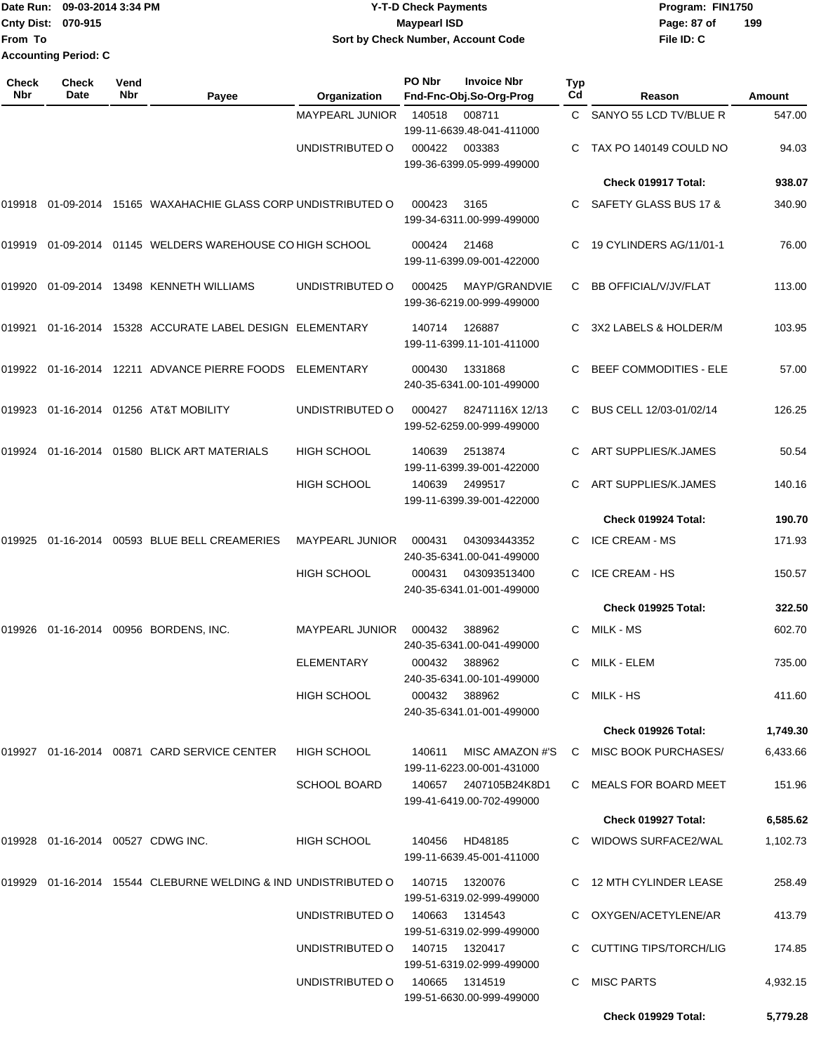|                             | Date Run: 09-03-2014 3:34 PM |
|-----------------------------|------------------------------|
| Cnty Dist: 070-915          |                              |
| lFrom To                    |                              |
| <b>Accounting Period: C</b> |                              |

## **Date Run: Program: FIN1750 09-03-2014 3:34 PM Y-T-D Check Payments Cnty Dist: Page: 87 of 070-915 Maypearl ISD Sort by Check Number, Account Code**

| <b>Check</b><br>Nbr | <b>Check</b><br><b>Date</b>          | Vend<br>Nbr | Payee                                                         | Organization           | PO Nbr         | <b>Invoice Nbr</b><br>Fnd-Fnc-Obj.So-Org-Prog | <b>Typ</b><br>Cd | Reason                        | Amount   |
|---------------------|--------------------------------------|-------------|---------------------------------------------------------------|------------------------|----------------|-----------------------------------------------|------------------|-------------------------------|----------|
|                     |                                      |             |                                                               | <b>MAYPEARL JUNIOR</b> | 140518         | 008711<br>199-11-6639.48-041-411000           | C.               | SANYO 55 LCD TV/BLUE R        | 547.00   |
|                     |                                      |             |                                                               | UNDISTRIBUTED O        | 000422         | 003383<br>199-36-6399.05-999-499000           |                  | TAX PO 140149 COULD NO        | 94.03    |
|                     |                                      |             |                                                               |                        |                |                                               |                  | Check 019917 Total:           | 938.07   |
|                     |                                      |             | 019918 01-09-2014 15165 WAXAHACHIE GLASS CORP UNDISTRIBUTED O |                        | 000423         | 3165<br>199-34-6311.00-999-499000             | C.               | SAFETY GLASS BUS 17 &         | 340.90   |
| 019919              |                                      |             | 01-09-2014 01145 WELDERS WAREHOUSE CO HIGH SCHOOL             |                        | 000424         | 21468<br>199-11-6399.09-001-422000            | С                | 19 CYLINDERS AG/11/01-1       | 76.00    |
| 019920              | 01-09-2014                           |             | 13498 KENNETH WILLIAMS                                        | UNDISTRIBUTED O        | 000425         | MAYP/GRANDVIE<br>199-36-6219.00-999-499000    | С                | BB OFFICIAL/V/JV/FLAT         | 113.00   |
| 019921              |                                      |             | 01-16-2014 15328 ACCURATE LABEL DESIGN ELEMENTARY             |                        | 140714         | 126887<br>199-11-6399.11-101-411000           | С                | 3X2 LABELS & HOLDER/M         | 103.95   |
|                     |                                      |             | 019922 01-16-2014 12211 ADVANCE PIERRE FOODS                  | ELEMENTARY             | 000430         | 1331868<br>240-35-6341.00-101-499000          | С                | <b>BEEF COMMODITIES - ELE</b> | 57.00    |
| 019923              |                                      |             | 01-16-2014 01256 AT&T MOBILITY                                | UNDISTRIBUTED O        | 000427         | 82471116X 12/13<br>199-52-6259.00-999-499000  | C.               | BUS CELL 12/03-01/02/14       | 126.25   |
| 019924              |                                      |             | 01-16-2014 01580 BLICK ART MATERIALS                          | <b>HIGH SCHOOL</b>     | 140639         | 2513874<br>199-11-6399.39-001-422000          | C.               | ART SUPPLIES/K.JAMES          | 50.54    |
|                     |                                      |             |                                                               | <b>HIGH SCHOOL</b>     | 140639         | 2499517<br>199-11-6399.39-001-422000          | C.               | ART SUPPLIES/K.JAMES          | 140.16   |
|                     |                                      |             |                                                               |                        |                |                                               |                  | Check 019924 Total:           | 190.70   |
| 019925              | 01-16-2014                           |             | 00593 BLUE BELL CREAMERIES                                    | <b>MAYPEARL JUNIOR</b> | 000431         | 043093443352<br>240-35-6341.00-041-499000     | C.               | <b>ICE CREAM - MS</b>         | 171.93   |
|                     |                                      |             |                                                               | <b>HIGH SCHOOL</b>     | 000431         | 043093513400<br>240-35-6341.01-001-499000     | С                | <b>ICE CREAM - HS</b>         | 150.57   |
|                     |                                      |             |                                                               |                        |                |                                               |                  | <b>Check 019925 Total:</b>    | 322.50   |
| 019926              |                                      |             | 01-16-2014 00956 BORDENS, INC.                                | <b>MAYPEARL JUNIOR</b> | 000432         | 388962<br>240-35-6341.00-041-499000           | C                | MILK - MS                     | 602.70   |
|                     |                                      |             |                                                               | ELEMENTARY             | 000432         | 388962<br>240-35-6341.00-101-499000           | С                | MILK - ELEM                   | 735.00   |
|                     |                                      |             |                                                               | HIGH SCHOOL            |                | 000432 388962<br>240-35-6341.01-001-499000    |                  | C MILK-HS                     | 411.60   |
|                     |                                      |             |                                                               |                        |                |                                               |                  | Check 019926 Total:           | 1,749.30 |
|                     |                                      |             | 019927 01-16-2014 00871 CARD SERVICE CENTER                   | <b>HIGH SCHOOL</b>     | 140611         | MISC AMAZON #'S<br>199-11-6223.00-001-431000  |                  | C MISC BOOK PURCHASES/        | 6,433.66 |
|                     |                                      |             |                                                               | <b>SCHOOL BOARD</b>    | 140657         | 2407105B24K8D1<br>199-41-6419.00-702-499000   |                  | C MEALS FOR BOARD MEET        | 151.96   |
|                     |                                      |             |                                                               |                        |                |                                               |                  | Check 019927 Total:           | 6,585.62 |
|                     | 019928  01-16-2014  00527  CDWG INC. |             |                                                               | HIGH SCHOOL            | 140456         | HD48185<br>199-11-6639.45-001-411000          |                  | C WIDOWS SURFACE2/WAL         | 1,102.73 |
| 019929              |                                      |             | 01-16-2014 15544 CLEBURNE WELDING & IND UNDISTRIBUTED O       |                        | 140715         | 1320076<br>199-51-6319.02-999-499000          |                  | C 12 MTH CYLINDER LEASE       | 258.49   |
|                     |                                      |             |                                                               | UNDISTRIBUTED O        | 140663         | 1314543<br>199-51-6319.02-999-499000          |                  | C OXYGEN/ACETYLENE/AR         | 413.79   |
|                     |                                      |             |                                                               | UNDISTRIBUTED O        |                | 140715  1320417<br>199-51-6319.02-999-499000  |                  | C CUTTING TIPS/TORCH/LIG      | 174.85   |
|                     |                                      |             |                                                               | UNDISTRIBUTED O        | 140665 1314519 | 199-51-6630.00-999-499000                     |                  | C MISC PARTS                  | 4,932.15 |
|                     |                                      |             |                                                               |                        |                |                                               |                  | Check 019929 Total:           | 5,779.28 |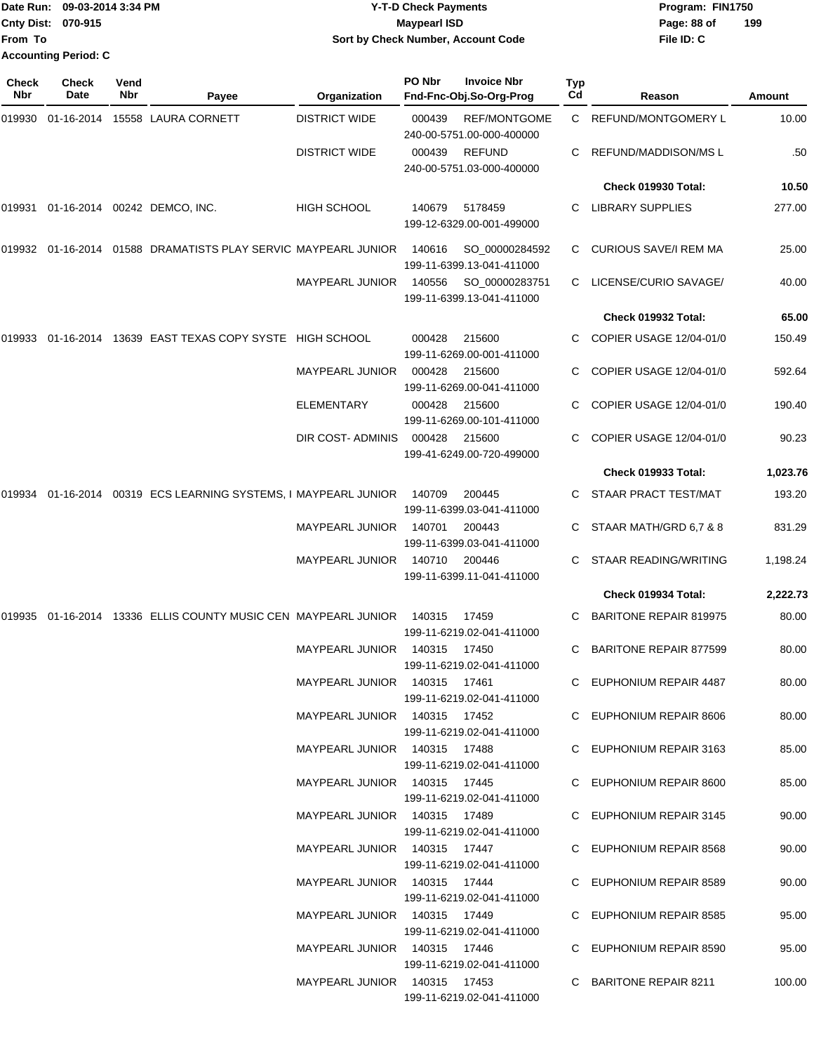|                           | Date Run: 09-03-2014 3:34 PM | <b>Y-T-D Check Payments</b>        | Program: FIN1750   |
|---------------------------|------------------------------|------------------------------------|--------------------|
| <b>Cnty Dist: 070-915</b> |                              | Maypearl ISD                       | 199<br>Page: 88 of |
| <b>From To</b>            |                              | Sort by Check Number, Account Code | File ID: C         |
|                           | <b>Accounting Period: C</b>  |                                    |                    |
| <b>Check</b>              | <b>Check</b><br>Vend         | PO Nbr<br><b>Invoice Nbr</b>       | Typ                |

| Nbr    | Date | Nbr | Payee                                                             | Organization                 | Fnd-Fnc-Obj.So-Org-Prog                                    | Cd | Reason                        | Amount   |
|--------|------|-----|-------------------------------------------------------------------|------------------------------|------------------------------------------------------------|----|-------------------------------|----------|
|        |      |     | 019930   01-16-2014   15558 LAURA CORNETT                         | <b>DISTRICT WIDE</b>         | <b>REF/MONTGOME</b><br>000439<br>240-00-5751.00-000-400000 |    | C REFUND/MONTGOMERY L         | 10.00    |
|        |      |     |                                                                   | <b>DISTRICT WIDE</b>         | <b>REFUND</b><br>000439<br>240-00-5751.03-000-400000       | C  | REFUND/MADDISON/MSL           | .50      |
|        |      |     |                                                                   |                              |                                                            |    | Check 019930 Total:           | 10.50    |
| 019931 |      |     | 01-16-2014 00242 DEMCO, INC.                                      | HIGH SCHOOL                  | 140679<br>5178459<br>199-12-6329.00-001-499000             | C. | <b>LIBRARY SUPPLIES</b>       | 277.00   |
|        |      |     | 019932  01-16-2014  01588  DRAMATISTS PLAY SERVIC MAYPEARL JUNIOR |                              | 140616<br>SO_00000284592<br>199-11-6399.13-041-411000      | C  | CURIOUS SAVE/I REM MA         | 25.00    |
|        |      |     |                                                                   | <b>MAYPEARL JUNIOR</b>       | 140556<br>SO_00000283751<br>199-11-6399.13-041-411000      | C  | LICENSE/CURIO SAVAGE/         | 40.00    |
|        |      |     |                                                                   |                              |                                                            |    | Check 019932 Total:           | 65.00    |
| 019933 |      |     | 01-16-2014 13639 EAST TEXAS COPY SYSTE HIGH SCHOOL                |                              | 000428<br>215600<br>199-11-6269.00-001-411000              |    | COPIER USAGE 12/04-01/0       | 150.49   |
|        |      |     |                                                                   | <b>MAYPEARL JUNIOR</b>       | 000428<br>215600<br>199-11-6269.00-041-411000              |    | COPIER USAGE 12/04-01/0       | 592.64   |
|        |      |     |                                                                   | <b>ELEMENTARY</b>            | 000428<br>215600<br>199-11-6269.00-101-411000              | C. | COPIER USAGE 12/04-01/0       | 190.40   |
|        |      |     |                                                                   | DIR COST- ADMINIS            | 000428<br>215600<br>199-41-6249.00-720-499000              |    | COPIER USAGE 12/04-01/0       | 90.23    |
|        |      |     |                                                                   |                              |                                                            |    | Check 019933 Total:           | 1,023.76 |
| 019934 |      |     | 01-16-2014 00319 ECS LEARNING SYSTEMS, I MAYPEARL JUNIOR          |                              | 140709<br>200445<br>199-11-6399.03-041-411000              |    | STAAR PRACT TEST/MAT          | 193.20   |
|        |      |     |                                                                   | <b>MAYPEARL JUNIOR</b>       | 140701<br>200443<br>199-11-6399.03-041-411000              |    | STAAR MATH/GRD 6,7 & 8        | 831.29   |
|        |      |     |                                                                   | <b>MAYPEARL JUNIOR</b>       | 140710<br>200446<br>199-11-6399.11-041-411000              | C  | STAAR READING/WRITING         | 1,198.24 |
|        |      |     |                                                                   |                              |                                                            |    | Check 019934 Total:           | 2,222.73 |
|        |      |     | 019935 01-16-2014 13336 ELLIS COUNTY MUSIC CEN MAYPEARL JUNIOR    |                              | 140315<br>17459<br>199-11-6219.02-041-411000               | C  | <b>BARITONE REPAIR 819975</b> | 80.00    |
|        |      |     |                                                                   | <b>MAYPEARL JUNIOR</b>       | 140315<br>17450<br>199-11-6219.02-041-411000               |    | <b>BARITONE REPAIR 877599</b> | 80.00    |
|        |      |     |                                                                   | MAYPEARL JUNIOR              | 140315<br>17461<br>199-11-6219.02-041-411000               | C  | EUPHONIUM REPAIR 4487         | 80.00    |
|        |      |     |                                                                   | MAYPEARL JUNIOR 140315 17452 | 199-11-6219.02-041-411000                                  |    | C EUPHONIUM REPAIR 8606       | 80.00    |
|        |      |     |                                                                   | MAYPEARL JUNIOR 140315 17488 | 199-11-6219.02-041-411000                                  |    | C EUPHONIUM REPAIR 3163       | 85.00    |
|        |      |     |                                                                   | MAYPEARL JUNIOR 140315 17445 | 199-11-6219.02-041-411000                                  |    | C EUPHONIUM REPAIR 8600       | 85.00    |
|        |      |     |                                                                   | MAYPEARL JUNIOR 140315 17489 | 199-11-6219.02-041-411000                                  |    | C EUPHONIUM REPAIR 3145       | 90.00    |
|        |      |     |                                                                   | MAYPEARL JUNIOR 140315 17447 | 199-11-6219.02-041-411000                                  |    | C EUPHONIUM REPAIR 8568       | 90.00    |
|        |      |     |                                                                   | MAYPEARL JUNIOR 140315 17444 | 199-11-6219.02-041-411000                                  |    | C EUPHONIUM REPAIR 8589       | 90.00    |
|        |      |     |                                                                   | MAYPEARL JUNIOR 140315 17449 | 199-11-6219.02-041-411000                                  |    | C EUPHONIUM REPAIR 8585       | 95.00    |
|        |      |     |                                                                   | MAYPEARL JUNIOR 140315 17446 | 199-11-6219.02-041-411000                                  |    | C EUPHONIUM REPAIR 8590       | 95.00    |
|        |      |     |                                                                   | MAYPEARL JUNIOR 140315 17453 | 199-11-6219.02-041-411000                                  |    | C BARITONE REPAIR 8211        | 100.00   |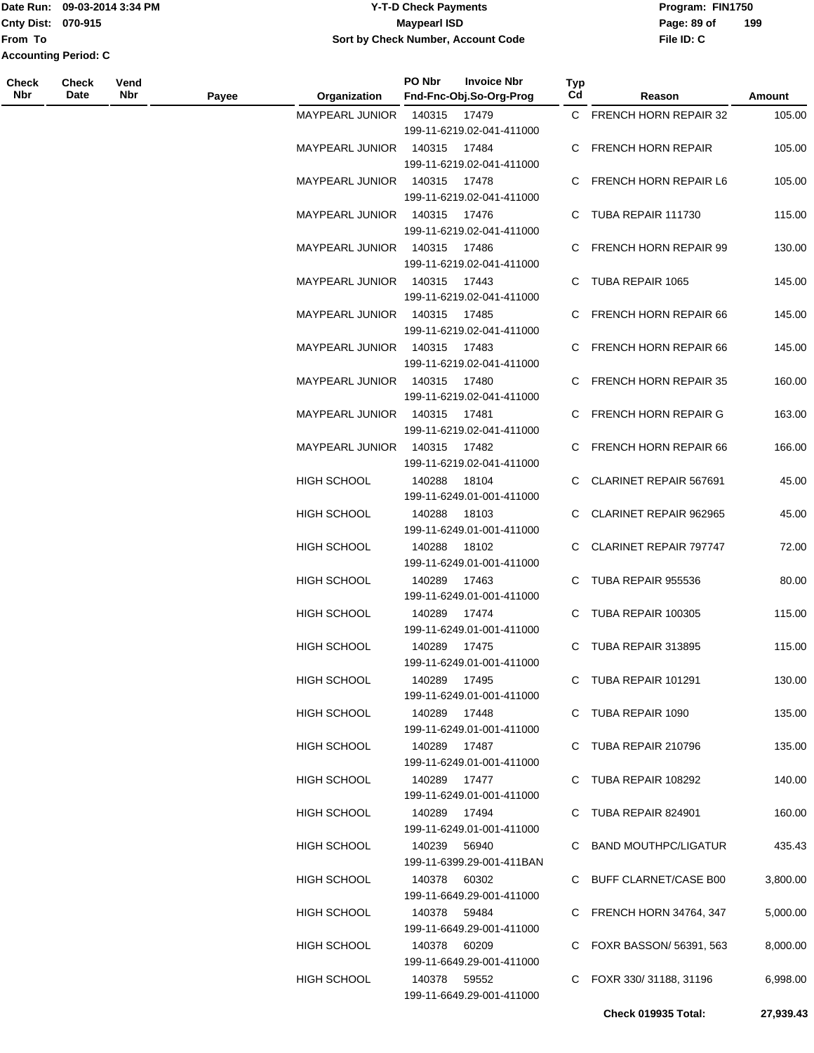### Date Run: 09-03-2014 3:34 PM **Program:** FIN1750 **Cnty Dist:** 070-915 **Page: 89 of MaypearI ISD Page: 89 of Y-T-D Check Payments 070-915 Maypearl ISD Sort by Check Number, Account Code**

| Check<br>Nbr | <b>Check</b><br>Date | Vend<br>Nbr | Payee | Organization                 | PO Nbr       | <b>Invoice Nbr</b><br>Fnd-Fnc-Obj.So-Org-Prog | Typ<br>Cd | Reason                     | Amount    |
|--------------|----------------------|-------------|-------|------------------------------|--------------|-----------------------------------------------|-----------|----------------------------|-----------|
|              |                      |             |       | <b>MAYPEARL JUNIOR</b>       | 140315       | 17479                                         |           | C FRENCH HORN REPAIR 32    | 105.00    |
|              |                      |             |       |                              |              | 199-11-6219.02-041-411000                     |           |                            |           |
|              |                      |             |       | <b>MAYPEARL JUNIOR</b>       | 140315       | 17484                                         |           | C FRENCH HORN REPAIR       | 105.00    |
|              |                      |             |       |                              |              | 199-11-6219.02-041-411000                     |           |                            |           |
|              |                      |             |       | <b>MAYPEARL JUNIOR</b>       | 140315       | 17478                                         |           | C FRENCH HORN REPAIR L6    | 105.00    |
|              |                      |             |       |                              |              | 199-11-6219.02-041-411000                     |           |                            |           |
|              |                      |             |       | <b>MAYPEARL JUNIOR</b>       | 140315       | 17476                                         |           | C TUBA REPAIR 111730       | 115.00    |
|              |                      |             |       |                              |              | 199-11-6219.02-041-411000                     |           |                            |           |
|              |                      |             |       | <b>MAYPEARL JUNIOR</b>       | 140315       | 17486                                         |           | C FRENCH HORN REPAIR 99    | 130.00    |
|              |                      |             |       |                              |              | 199-11-6219.02-041-411000                     |           |                            |           |
|              |                      |             |       | <b>MAYPEARL JUNIOR</b>       | 140315       | 17443                                         |           | C TUBA REPAIR 1065         | 145.00    |
|              |                      |             |       |                              |              | 199-11-6219.02-041-411000                     |           |                            |           |
|              |                      |             |       | <b>MAYPEARL JUNIOR</b>       | 140315       | 17485<br>199-11-6219.02-041-411000            |           | C FRENCH HORN REPAIR 66    | 145.00    |
|              |                      |             |       | MAYPEARL JUNIOR 140315 17483 |              |                                               |           | C FRENCH HORN REPAIR 66    | 145.00    |
|              |                      |             |       |                              |              | 199-11-6219.02-041-411000                     |           |                            |           |
|              |                      |             |       | MAYPEARL JUNIOR              | 140315       | 17480                                         |           | C FRENCH HORN REPAIR 35    | 160.00    |
|              |                      |             |       |                              |              | 199-11-6219.02-041-411000                     |           |                            |           |
|              |                      |             |       | <b>MAYPEARL JUNIOR</b>       | 140315       | 17481                                         |           | C FRENCH HORN REPAIR G     | 163.00    |
|              |                      |             |       |                              |              | 199-11-6219.02-041-411000                     |           |                            |           |
|              |                      |             |       | <b>MAYPEARL JUNIOR</b>       | 140315       | 17482                                         |           | C FRENCH HORN REPAIR 66    | 166.00    |
|              |                      |             |       |                              |              | 199-11-6219.02-041-411000                     |           |                            |           |
|              |                      |             |       | HIGH SCHOOL                  | 140288       | 18104                                         |           | C CLARINET REPAIR 567691   | 45.00     |
|              |                      |             |       |                              |              | 199-11-6249.01-001-411000                     |           |                            |           |
|              |                      |             |       | HIGH SCHOOL                  | 140288       | 18103                                         |           | C CLARINET REPAIR 962965   | 45.00     |
|              |                      |             |       |                              |              | 199-11-6249.01-001-411000                     |           |                            |           |
|              |                      |             |       | HIGH SCHOOL                  | 140288       | 18102                                         |           | C CLARINET REPAIR 797747   | 72.00     |
|              |                      |             |       |                              |              | 199-11-6249.01-001-411000                     |           |                            |           |
|              |                      |             |       | <b>HIGH SCHOOL</b>           | 140289       | 17463                                         |           | C TUBA REPAIR 955536       | 80.00     |
|              |                      |             |       |                              |              | 199-11-6249.01-001-411000                     |           |                            |           |
|              |                      |             |       | <b>HIGH SCHOOL</b>           | 140289       | 17474                                         |           | C TUBA REPAIR 100305       | 115.00    |
|              |                      |             |       | <b>HIGH SCHOOL</b>           |              | 199-11-6249.01-001-411000                     |           | C TUBA REPAIR 313895       | 115.00    |
|              |                      |             |       |                              | 140289       | 17475<br>199-11-6249.01-001-411000            |           |                            |           |
|              |                      |             |       | <b>HIGH SCHOOL</b>           | 140289 17495 |                                               |           | C TUBA REPAIR 101291       | 130.00    |
|              |                      |             |       |                              |              | 199-11-6249.01-001-411000                     |           |                            |           |
|              |                      |             |       | <b>HIGH SCHOOL</b>           | 140289 17448 |                                               |           | C TUBA REPAIR 1090         | 135.00    |
|              |                      |             |       |                              |              | 199-11-6249.01-001-411000                     |           |                            |           |
|              |                      |             |       | HIGH SCHOOL                  | 140289 17487 |                                               |           | C TUBA REPAIR 210796       | 135.00    |
|              |                      |             |       |                              |              | 199-11-6249.01-001-411000                     |           |                            |           |
|              |                      |             |       | HIGH SCHOOL                  | 140289 17477 |                                               |           | C TUBA REPAIR 108292       | 140.00    |
|              |                      |             |       |                              |              | 199-11-6249.01-001-411000                     |           |                            |           |
|              |                      |             |       | HIGH SCHOOL                  | 140289 17494 |                                               |           | C TUBA REPAIR 824901       | 160.00    |
|              |                      |             |       |                              |              | 199-11-6249.01-001-411000                     |           |                            |           |
|              |                      |             |       | HIGH SCHOOL                  | 140239       | 56940                                         |           | C BAND MOUTHPC/LIGATUR     | 435.43    |
|              |                      |             |       |                              |              | 199-11-6399.29-001-411BAN                     |           |                            |           |
|              |                      |             |       | HIGH SCHOOL                  | 140378 60302 |                                               |           | C BUFF CLARNET/CASE B00    | 3,800.00  |
|              |                      |             |       |                              |              | 199-11-6649.29-001-411000                     |           |                            |           |
|              |                      |             |       | HIGH SCHOOL                  | 140378 59484 | 199-11-6649.29-001-411000                     |           | C FRENCH HORN 34764, 347   | 5,000.00  |
|              |                      |             |       | HIGH SCHOOL                  | 140378 60209 |                                               |           | C FOXR BASSON/ 56391, 563  | 8,000.00  |
|              |                      |             |       |                              |              | 199-11-6649.29-001-411000                     |           |                            |           |
|              |                      |             |       | HIGH SCHOOL                  | 140378 59552 |                                               |           | C FOXR 330/31188, 31196    | 6,998.00  |
|              |                      |             |       |                              |              | 199-11-6649.29-001-411000                     |           |                            |           |
|              |                      |             |       |                              |              |                                               |           | <b>Check 019935 Total:</b> | 27,939.43 |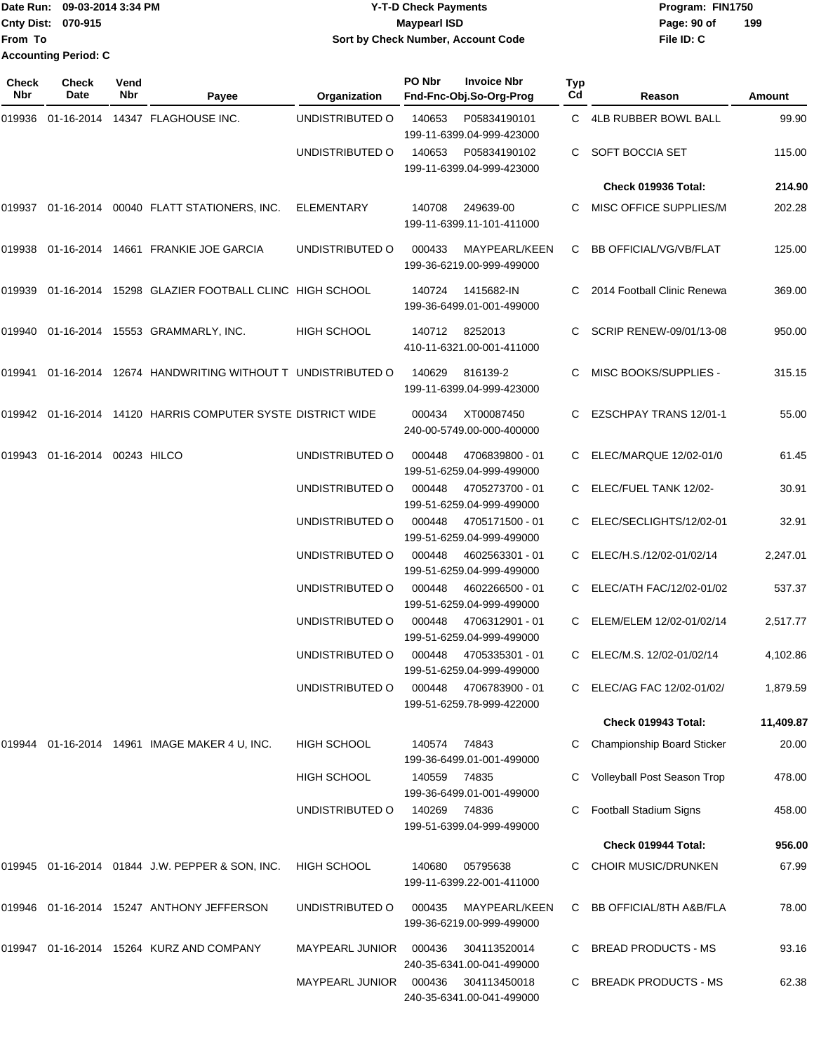| Date Run: 09-03-2014 3:34 PM |                             | <b>Y-T-D Check Payments</b>        | Program: FIN1750   |  |  |  |
|------------------------------|-----------------------------|------------------------------------|--------------------|--|--|--|
| <b>Cnty Dist: 070-915</b>    |                             | Mavpearl ISD                       | 199<br>Page: 90 of |  |  |  |
| <b>From To</b>               |                             | Sort by Check Number, Account Code | File ID: C         |  |  |  |
|                              | <b>Accounting Period: C</b> |                                    |                    |  |  |  |

| Check<br>Nbr | <b>Check</b><br>Date   | Vend<br>Nbr | Payee                                                  | Organization           | PO Nbr       | <b>Invoice Nbr</b><br>Fnd-Fnc-Obj.So-Org-Prog | Typ<br>Cd | Reason                        | Amount    |
|--------------|------------------------|-------------|--------------------------------------------------------|------------------------|--------------|-----------------------------------------------|-----------|-------------------------------|-----------|
| 019936       |                        |             | 01-16-2014  14347  FLAGHOUSE INC.                      | UNDISTRIBUTED O        | 140653       | P05834190101<br>199-11-6399.04-999-423000     |           | C 4LB RUBBER BOWL BALL        | 99.90     |
|              |                        |             |                                                        | UNDISTRIBUTED O        | 140653       | P05834190102<br>199-11-6399.04-999-423000     | C.        | SOFT BOCCIA SET               | 115.00    |
|              |                        |             |                                                        |                        |              |                                               |           | Check 019936 Total:           | 214.90    |
|              |                        |             | 019937 01-16-2014 00040 FLATT STATIONERS, INC.         | <b>ELEMENTARY</b>      | 140708       | 249639-00<br>199-11-6399.11-101-411000        | C.        | MISC OFFICE SUPPLIES/M        | 202.28    |
| 019938       |                        |             | 01-16-2014 14661 FRANKIE JOE GARCIA                    | UNDISTRIBUTED O        | 000433       | MAYPEARL/KEEN<br>199-36-6219.00-999-499000    | C         | <b>BB OFFICIAL/VG/VB/FLAT</b> | 125.00    |
| 019939       |                        |             | 01-16-2014 15298 GLAZIER FOOTBALL CLINC HIGH SCHOOL    |                        | 140724       | 1415682-IN<br>199-36-6499.01-001-499000       | C         | 2014 Football Clinic Renewa   | 369.00    |
| 019940       |                        |             | 01-16-2014 15553 GRAMMARLY, INC.                       | <b>HIGH SCHOOL</b>     |              | 140712 8252013<br>410-11-6321.00-001-411000   | C.        | SCRIP RENEW-09/01/13-08       | 950.00    |
| 019941       |                        |             | 01-16-2014 12674 HANDWRITING WITHOUT T UNDISTRIBUTED O |                        | 140629       | 816139-2<br>199-11-6399.04-999-423000         | C.        | <b>MISC BOOKS/SUPPLIES -</b>  | 315.15    |
| 019942       |                        |             | 01-16-2014 14120 HARRIS COMPUTER SYSTE DISTRICT WIDE   |                        | 000434       | XT00087450<br>240-00-5749.00-000-400000       |           | EZSCHPAY TRANS 12/01-1        | 55.00     |
| 019943       | 01-16-2014 00243 HILCO |             |                                                        | UNDISTRIBUTED O        | 000448       | 4706839800 - 01<br>199-51-6259.04-999-499000  |           | ELEC/MARQUE 12/02-01/0        | 61.45     |
|              |                        |             |                                                        | UNDISTRIBUTED O        | 000448       | 4705273700 - 01<br>199-51-6259.04-999-499000  |           | ELEC/FUEL TANK 12/02-         | 30.91     |
|              |                        |             |                                                        | UNDISTRIBUTED O        | 000448       | 4705171500 - 01<br>199-51-6259.04-999-499000  |           | ELEC/SECLIGHTS/12/02-01       | 32.91     |
|              |                        |             |                                                        | UNDISTRIBUTED O        | 000448       | 4602563301 - 01<br>199-51-6259.04-999-499000  |           | ELEC/H.S./12/02-01/02/14      | 2,247.01  |
|              |                        |             |                                                        | UNDISTRIBUTED O        | 000448       | 4602266500 - 01<br>199-51-6259.04-999-499000  |           | ELEC/ATH FAC/12/02-01/02      | 537.37    |
|              |                        |             |                                                        | UNDISTRIBUTED O        | 000448       | 4706312901 - 01<br>199-51-6259.04-999-499000  |           | ELEM/ELEM 12/02-01/02/14      | 2,517.77  |
|              |                        |             |                                                        | UNDISTRIBUTED O        | 000448       | 4705335301 - 01<br>199-51-6259.04-999-499000  |           | C ELEC/M.S. 12/02-01/02/14    | 4,102.86  |
|              |                        |             |                                                        | UNDISTRIBUTED O        | 000448       | 4706783900 - 01<br>199-51-6259.78-999-422000  |           | C ELEC/AG FAC 12/02-01/02/    | 1,879.59  |
|              |                        |             |                                                        |                        |              |                                               |           | Check 019943 Total:           | 11,409.87 |
| 019944       |                        |             | 01-16-2014  14961  IMAGE MAKER 4 U, INC.               | <b>HIGH SCHOOL</b>     | 140574       | 74843<br>199-36-6499.01-001-499000            |           | Championship Board Sticker    | 20.00     |
|              |                        |             |                                                        | <b>HIGH SCHOOL</b>     | 140559       | 74835<br>199-36-6499.01-001-499000            |           | Volleyball Post Season Trop   | 478.00    |
|              |                        |             |                                                        | UNDISTRIBUTED O        | 140269 74836 | 199-51-6399.04-999-499000                     |           | Football Stadium Signs        | 458.00    |
|              |                        |             |                                                        |                        |              |                                               |           | Check 019944 Total:           | 956.00    |
|              |                        |             | 019945 01-16-2014 01844 J.W. PEPPER & SON, INC.        | HIGH SCHOOL            | 140680       | 05795638<br>199-11-6399.22-001-411000         |           | <b>CHOIR MUSIC/DRUNKEN</b>    | 67.99     |
| 019946       |                        |             | 01-16-2014 15247 ANTHONY JEFFERSON                     | UNDISTRIBUTED O        | 000435       | MAYPEARL/KEEN<br>199-36-6219.00-999-499000    | C         | BB OFFICIAL/8TH A&B/FLA       | 78.00     |
| 019947       |                        |             | 01-16-2014 15264 KURZ AND COMPANY                      | <b>MAYPEARL JUNIOR</b> | 000436       | 304113520014<br>240-35-6341.00-041-499000     |           | <b>BREAD PRODUCTS - MS</b>    | 93.16     |
|              |                        |             |                                                        | <b>MAYPEARL JUNIOR</b> | 000436       | 304113450018<br>240-35-6341.00-041-499000     |           | <b>BREADK PRODUCTS - MS</b>   | 62.38     |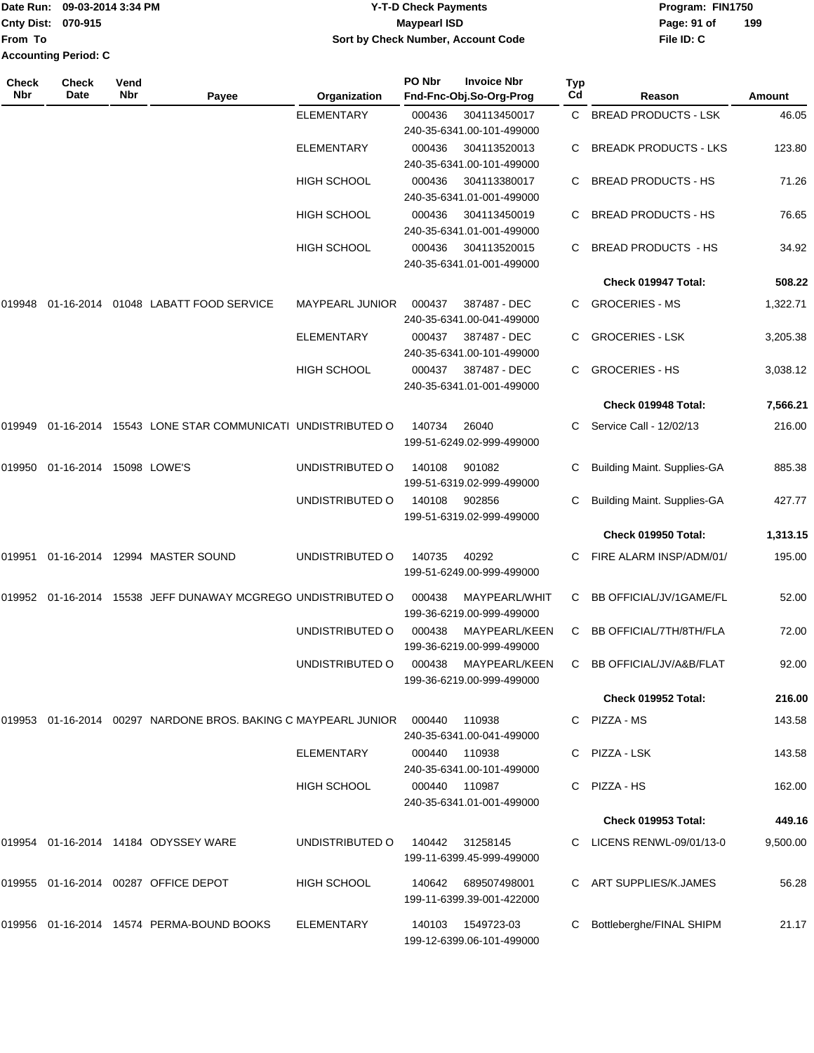|                             | Date Run: 09-03-2014 3:34 PM | <b>Y-T-D Check Payments</b>        | Program: FIN1750   |
|-----------------------------|------------------------------|------------------------------------|--------------------|
| <b>Cnty Dist: 070-915</b>   |                              | Maypearl ISD                       | 199<br>Page: 91 of |
| <b>IFrom To</b>             |                              | Sort by Check Number, Account Code | File ID: C         |
| <b>Accounting Period: C</b> |                              |                                    |                    |

| <b>Check</b><br>Nbr | <b>Check</b><br>Date    | Vend<br>Nbr | Payee                                                                     | Organization           | PO Nbr | <b>Invoice Nbr</b><br>Fnd-Fnc-Obj.So-Org-Prog                          | <b>Typ</b><br>Cd | Reason                             | Amount   |
|---------------------|-------------------------|-------------|---------------------------------------------------------------------------|------------------------|--------|------------------------------------------------------------------------|------------------|------------------------------------|----------|
|                     |                         |             |                                                                           | <b>ELEMENTARY</b>      | 000436 | 304113450017<br>240-35-6341.00-101-499000                              | C.               | <b>BREAD PRODUCTS - LSK</b>        | 46.05    |
|                     |                         |             |                                                                           | ELEMENTARY             | 000436 | 304113520013<br>240-35-6341.00-101-499000                              |                  | <b>BREADK PRODUCTS - LKS</b>       | 123.80   |
|                     |                         |             |                                                                           | <b>HIGH SCHOOL</b>     | 000436 | 304113380017<br>240-35-6341.01-001-499000                              |                  | <b>BREAD PRODUCTS - HS</b>         | 71.26    |
|                     |                         |             |                                                                           | <b>HIGH SCHOOL</b>     | 000436 | 304113450019<br>240-35-6341.01-001-499000                              |                  | <b>BREAD PRODUCTS - HS</b>         | 76.65    |
|                     |                         |             |                                                                           | <b>HIGH SCHOOL</b>     | 000436 | 304113520015<br>240-35-6341.01-001-499000                              | C                | <b>BREAD PRODUCTS - HS</b>         | 34.92    |
|                     |                         |             |                                                                           |                        |        |                                                                        |                  | Check 019947 Total:                | 508.22   |
| 019948              | 01-16-2014              |             | 01048 LABATT FOOD SERVICE                                                 | <b>MAYPEARL JUNIOR</b> | 000437 | 387487 - DEC                                                           | C                | <b>GROCERIES - MS</b>              | 1,322.71 |
|                     |                         |             |                                                                           | ELEMENTARY             | 000437 | 240-35-6341.00-041-499000<br>387487 - DEC<br>240-35-6341.00-101-499000 | C                | <b>GROCERIES - LSK</b>             | 3,205.38 |
|                     |                         |             |                                                                           | <b>HIGH SCHOOL</b>     | 000437 | 387487 - DEC<br>240-35-6341.01-001-499000                              | C.               | <b>GROCERIES - HS</b>              | 3,038.12 |
|                     |                         |             |                                                                           |                        |        |                                                                        |                  | Check 019948 Total:                | 7,566.21 |
| 019949              | 01-16-2014              |             | 15543 LONE STAR COMMUNICATI UNDISTRIBUTED O                               |                        | 140734 | 26040<br>199-51-6249.02-999-499000                                     | C.               | Service Call - 12/02/13            | 216.00   |
| 019950              | 01-16-2014 15098 LOWE'S |             |                                                                           | UNDISTRIBUTED O        | 140108 | 901082<br>199-51-6319.02-999-499000                                    | С                | <b>Building Maint. Supplies-GA</b> | 885.38   |
|                     |                         |             |                                                                           | UNDISTRIBUTED O        | 140108 | 902856<br>199-51-6319.02-999-499000                                    | C                | <b>Building Maint. Supplies-GA</b> | 427.77   |
|                     |                         |             |                                                                           |                        |        |                                                                        |                  | Check 019950 Total:                | 1,313.15 |
| 019951              |                         |             | 01-16-2014 12994 MASTER SOUND                                             | UNDISTRIBUTED O        | 140735 | 40292<br>199-51-6249.00-999-499000                                     | C                | FIRE ALARM INSP/ADM/01/            | 195.00   |
| 019952              | 01-16-2014              |             | 15538 JEFF DUNAWAY MCGREGO UNDISTRIBUTED O                                |                        | 000438 | MAYPEARL/WHIT<br>199-36-6219.00-999-499000                             | C                | BB OFFICIAL/JV/1GAME/FL            | 52.00    |
|                     |                         |             |                                                                           | UNDISTRIBUTED O        | 000438 | MAYPEARL/KEEN<br>199-36-6219.00-999-499000                             | C                | BB OFFICIAL/7TH/8TH/FLA            | 72.00    |
|                     |                         |             |                                                                           | UNDISTRIBUTED O        | 000438 | MAYPEARL/KEEN<br>199-36-6219.00-999-499000                             | C                | BB OFFICIAL/JV/A&B/FLAT            | 92.00    |
|                     |                         |             |                                                                           |                        |        |                                                                        |                  | Check 019952 Total:                | 216.00   |
|                     |                         |             | 019953  01-16-2014  00297  NARDONE BROS, BAKING C MAYPEARL JUNIOR  000440 |                        |        | 110938<br>240-35-6341.00-041-499000                                    |                  | C PIZZA - MS                       | 143.58   |
|                     |                         |             |                                                                           | <b>ELEMENTARY</b>      | 000440 | 110938<br>240-35-6341.00-101-499000                                    |                  | C PIZZA - LSK                      | 143.58   |
|                     |                         |             |                                                                           | <b>HIGH SCHOOL</b>     | 000440 | 110987<br>240-35-6341.01-001-499000                                    |                  | C PIZZA - HS                       | 162.00   |
|                     |                         |             |                                                                           |                        |        |                                                                        |                  | Check 019953 Total:                | 449.16   |
|                     |                         |             | 019954 01-16-2014 14184 ODYSSEY WARE                                      | UNDISTRIBUTED O        | 140442 | 31258145<br>199-11-6399.45-999-499000                                  |                  | C LICENS RENWL-09/01/13-0          | 9,500.00 |
|                     |                         |             | 019955 01-16-2014 00287 OFFICE DEPOT                                      | HIGH SCHOOL            | 140642 | 689507498001<br>199-11-6399.39-001-422000                              |                  | C ART SUPPLIES/K.JAMES             | 56.28    |
|                     |                         |             | 019956 01-16-2014 14574 PERMA-BOUND BOOKS                                 | <b>ELEMENTARY</b>      | 140103 | 1549723-03<br>199-12-6399.06-101-499000                                | C                | Bottleberghe/FINAL SHIPM           | 21.17    |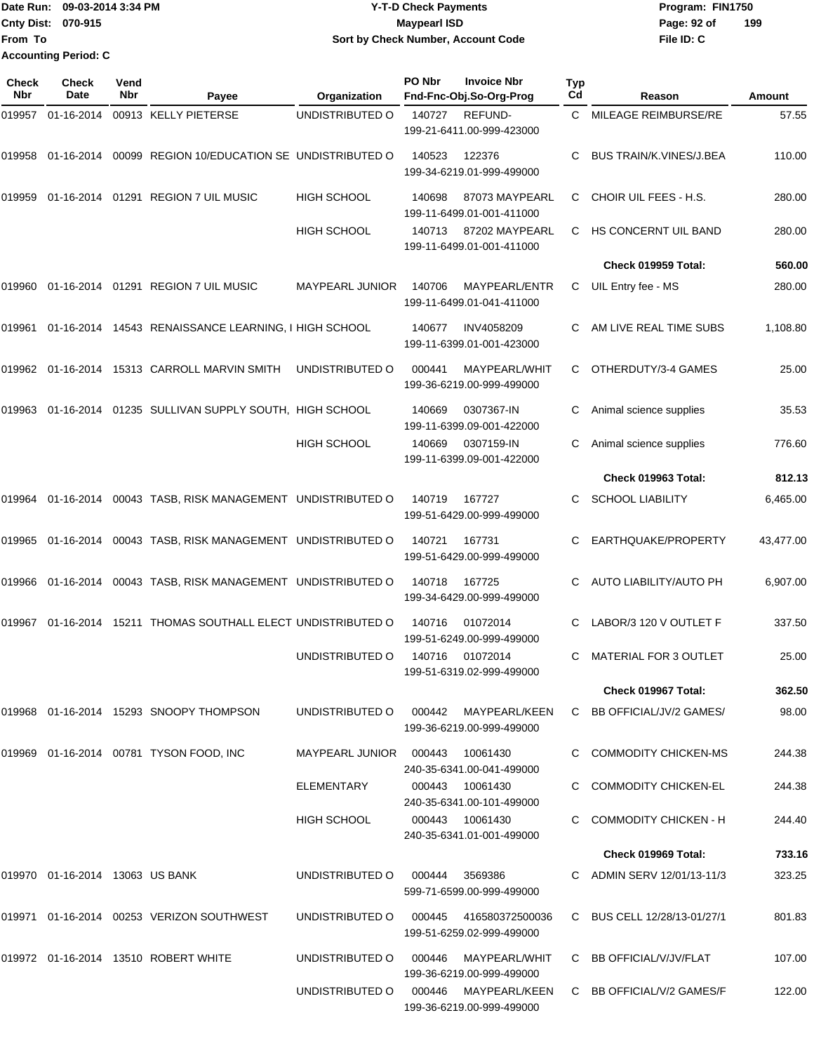Date Run: 09-03-2014 3:34 PM **Program:** FIN1750 **Cnty Dist:** 070-915 **Page: 92 of MaypearI ISD Page: 92 of File ID: C From To Y-T-D Check Payments 070-915 Maypearl ISD Sort by Check Number, Account Code Accounting Period: C**

**199**

| <b>Check</b><br>Nbr | <b>Check</b><br>Date            | Vend<br>Nbr | Payee                                                   | Organization           | PO Nbr | <b>Invoice Nbr</b><br>Fnd-Fnc-Obj.So-Org-Prog       | <b>Typ</b><br>Cd | Reason                         | Amount    |
|---------------------|---------------------------------|-------------|---------------------------------------------------------|------------------------|--------|-----------------------------------------------------|------------------|--------------------------------|-----------|
| 019957              | 01-16-2014                      |             | 00913 KELLY PIETERSE                                    | UNDISTRIBUTED O        | 140727 | REFUND-<br>199-21-6411.00-999-423000                | C                | MILEAGE REIMBURSE/RE           | 57.55     |
| 019958              |                                 |             | 01-16-2014 00099 REGION 10/EDUCATION SE UNDISTRIBUTED O |                        | 140523 | 122376<br>199-34-6219.01-999-499000                 | C                | <b>BUS TRAIN/K.VINES/J.BEA</b> | 110.00    |
| 019959              |                                 |             | 01-16-2014  01291  REGION 7 UIL MUSIC                   | <b>HIGH SCHOOL</b>     | 140698 | 87073 MAYPEARL<br>199-11-6499.01-001-411000         | С                | CHOIR UIL FEES - H.S.          | 280.00    |
|                     |                                 |             |                                                         | <b>HIGH SCHOOL</b>     | 140713 | 87202 MAYPEARL<br>199-11-6499.01-001-411000         | C                | HS CONCERNT UIL BAND           | 280.00    |
|                     |                                 |             |                                                         |                        |        |                                                     |                  | Check 019959 Total:            | 560.00    |
| 019960              |                                 |             | 01-16-2014  01291  REGION 7 UIL MUSIC                   | <b>MAYPEARL JUNIOR</b> | 140706 | MAYPEARL/ENTR<br>199-11-6499.01-041-411000          | C                | UIL Entry fee - MS             | 280.00    |
| 019961              |                                 |             | 01-16-2014 14543 RENAISSANCE LEARNING, I HIGH SCHOOL    |                        | 140677 | INV4058209<br>199-11-6399.01-001-423000             | С                | AM LIVE REAL TIME SUBS         | 1,108.80  |
|                     |                                 |             | 019962 01-16-2014 15313 CARROLL MARVIN SMITH            | UNDISTRIBUTED O        | 000441 | MAYPEARL/WHIT<br>199-36-6219.00-999-499000          | С                | OTHERDUTY/3-4 GAMES            | 25.00     |
| 019963              |                                 |             | 01-16-2014 01235 SULLIVAN SUPPLY SOUTH, HIGH SCHOOL     |                        | 140669 | 0307367-IN<br>199-11-6399.09-001-422000             | С                | Animal science supplies        | 35.53     |
|                     |                                 |             |                                                         | <b>HIGH SCHOOL</b>     | 140669 | 0307159-IN<br>199-11-6399.09-001-422000             | С                | Animal science supplies        | 776.60    |
|                     |                                 |             |                                                         |                        |        |                                                     |                  | Check 019963 Total:            | 812.13    |
| 019964              |                                 |             | 01-16-2014 00043 TASB, RISK MANAGEMENT UNDISTRIBUTED O  |                        | 140719 | 167727<br>199-51-6429.00-999-499000                 | C                | <b>SCHOOL LIABILITY</b>        | 6,465.00  |
| 019965              |                                 |             | 01-16-2014 00043 TASB, RISK MANAGEMENT UNDISTRIBUTED O  |                        | 140721 | 167731<br>199-51-6429.00-999-499000                 | С                | EARTHQUAKE/PROPERTY            | 43,477.00 |
| 019966              |                                 |             | 01-16-2014 00043 TASB, RISK MANAGEMENT UNDISTRIBUTED O  |                        | 140718 | 167725<br>199-34-6429.00-999-499000                 | С                | AUTO LIABILITY/AUTO PH         | 6,907.00  |
| 019967              | 01-16-2014                      |             | 15211 THOMAS SOUTHALL ELECT UNDISTRIBUTED O             |                        | 140716 | 01072014<br>199-51-6249.00-999-499000               | С                | LABOR/3 120 V OUTLET F         | 337.50    |
|                     |                                 |             |                                                         | UNDISTRIBUTED O        | 140716 | 01072014<br>199-51-6319.02-999-499000               | C                | <b>MATERIAL FOR 3 OUTLET</b>   | 25.00     |
|                     |                                 |             |                                                         |                        |        |                                                     |                  | Check 019967 Total:            | 362.50    |
|                     |                                 |             | 019968 01-16-2014 15293 SNOOPY THOMPSON                 | UNDISTRIBUTED O        |        | 000442 MAYPEARL/KEEN<br>199-36-6219.00-999-499000   |                  | C BB OFFICIAL/JV/2 GAMES/      | 98.00     |
|                     |                                 |             | 019969 01-16-2014 00781 TYSON FOOD, INC                 | MAYPEARL JUNIOR 000443 |        | 10061430<br>240-35-6341.00-041-499000               |                  | C COMMODITY CHICKEN-MS         | 244.38    |
|                     |                                 |             |                                                         | <b>ELEMENTARY</b>      |        | 000443 10061430<br>240-35-6341.00-101-499000        |                  | <b>COMMODITY CHICKEN-EL</b>    | 244.38    |
|                     |                                 |             |                                                         | HIGH SCHOOL            |        | 000443 10061430<br>240-35-6341.01-001-499000        |                  | C COMMODITY CHICKEN - H        | 244.40    |
|                     |                                 |             |                                                         |                        |        |                                                     |                  | Check 019969 Total:            | 733.16    |
|                     | 019970 01-16-2014 13063 US BANK |             |                                                         | UNDISTRIBUTED O        | 000444 | 3569386<br>599-71-6599.00-999-499000                |                  | C ADMIN SERV 12/01/13-11/3     | 323.25    |
|                     |                                 |             | 019971  01-16-2014  00253  VERIZON SOUTHWEST            | UNDISTRIBUTED O        |        | 000445 416580372500036<br>199-51-6259.02-999-499000 |                  | C BUS CELL 12/28/13-01/27/1    | 801.83    |
|                     |                                 |             | 019972 01-16-2014 13510 ROBERT WHITE                    | UNDISTRIBUTED O        | 000446 | MAYPEARL/WHIT<br>199-36-6219.00-999-499000          |                  | C BB OFFICIAL/V/JV/FLAT        | 107.00    |
|                     |                                 |             |                                                         | UNDISTRIBUTED O        |        | 000446 MAYPEARL/KEEN<br>199-36-6219.00-999-499000   |                  | C BB OFFICIAL/V/2 GAMES/F      | 122.00    |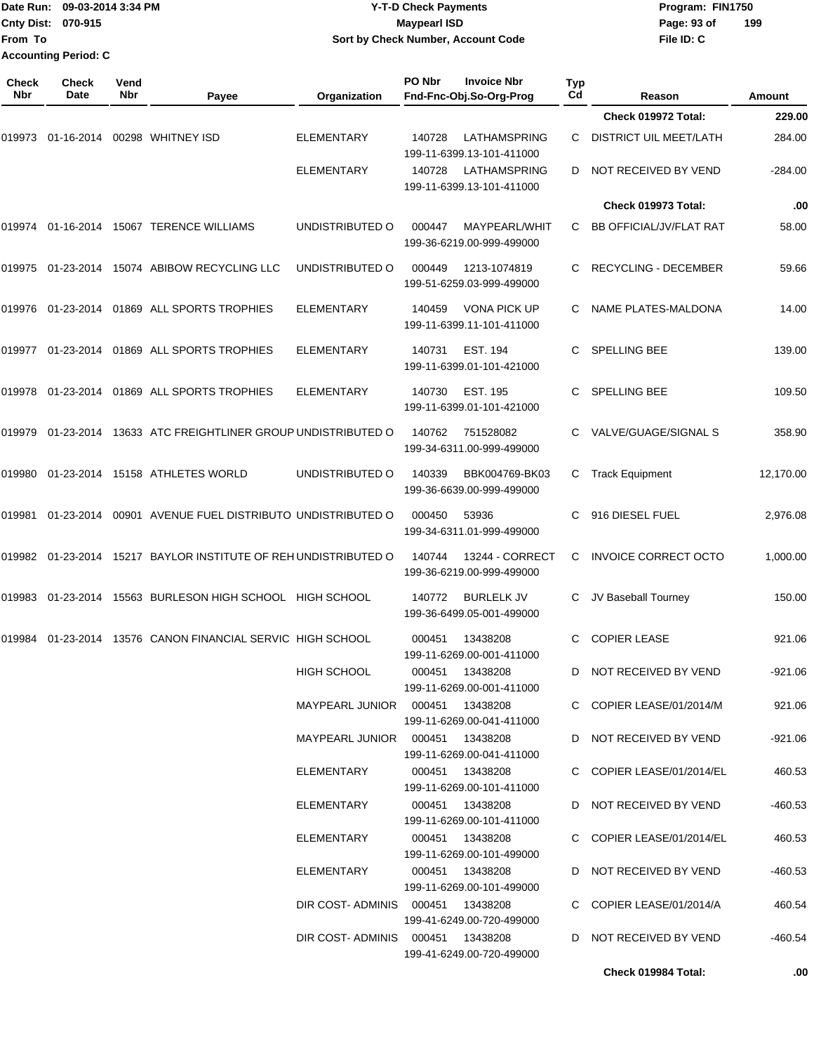| Date Run: 09-03-2014 3:34 PM |                             | Y-T-D Check Payments               | Program: FIN1750   |  |  |  |
|------------------------------|-----------------------------|------------------------------------|--------------------|--|--|--|
| <b>Cnty Dist: 070-915</b>    |                             | <b>Mavpearl ISD</b>                | 199<br>Page: 93 of |  |  |  |
| lFrom To                     |                             | Sort by Check Number, Account Code | File ID: C         |  |  |  |
|                              | <b>Accounting Period: C</b> |                                    |                    |  |  |  |

| Check<br>Nbr | <b>Check</b><br>Date | Vend<br>Nbr | Payee                                                    | Organization                     | PO Nbr | <b>Invoice Nbr</b><br>Fnd-Fnc-Obj.So-Org-Prog    | Typ<br>Cd | Reason                        | Amount    |
|--------------|----------------------|-------------|----------------------------------------------------------|----------------------------------|--------|--------------------------------------------------|-----------|-------------------------------|-----------|
|              |                      |             |                                                          |                                  |        |                                                  |           | Check 019972 Total:           | 229.00    |
| 019973       | 01-16-2014           |             | 00298 WHITNEY ISD                                        | <b>ELEMENTARY</b>                | 140728 | LATHAMSPRING<br>199-11-6399.13-101-411000        | C         | <b>DISTRICT UIL MEET/LATH</b> | 284.00    |
|              |                      |             |                                                          | <b>ELEMENTARY</b>                | 140728 | LATHAMSPRING<br>199-11-6399.13-101-411000        | D         | NOT RECEIVED BY VEND          | $-284.00$ |
|              |                      |             |                                                          |                                  |        |                                                  |           | Check 019973 Total:           | .00       |
| 019974       |                      |             | 01-16-2014 15067 TERENCE WILLIAMS                        | UNDISTRIBUTED O                  | 000447 | MAYPEARL/WHIT<br>199-36-6219.00-999-499000       | C.        | BB OFFICIAL/JV/FLAT RAT       | 58.00     |
| 019975       |                      |             | 01-23-2014 15074 ABIBOW RECYCLING LLC                    | UNDISTRIBUTED O                  | 000449 | 1213-1074819<br>199-51-6259.03-999-499000        | C         | <b>RECYCLING - DECEMBER</b>   | 59.66     |
| 019976       |                      |             | 01-23-2014 01869 ALL SPORTS TROPHIES                     | <b>ELEMENTARY</b>                | 140459 | <b>VONA PICK UP</b><br>199-11-6399.11-101-411000 | C.        | NAME PLATES-MALDONA           | 14.00     |
| 019977       | 01-23-2014           |             | 01869 ALL SPORTS TROPHIES                                | <b>ELEMENTARY</b>                | 140731 | <b>EST. 194</b><br>199-11-6399.01-101-421000     | C.        | <b>SPELLING BEE</b>           | 139.00    |
| 019978       |                      |             | 01-23-2014 01869 ALL SPORTS TROPHIES                     | ELEMENTARY                       | 140730 | <b>EST. 195</b><br>199-11-6399.01-101-421000     | C.        | <b>SPELLING BEE</b>           | 109.50    |
| 019979       | 01-23-2014           |             | 13633 ATC FREIGHTLINER GROUP UNDISTRIBUTED O             |                                  | 140762 | 751528082<br>199-34-6311.00-999-499000           | C.        | VALVE/GUAGE/SIGNAL S          | 358.90    |
| 019980       |                      |             | 01-23-2014 15158 ATHLETES WORLD                          | UNDISTRIBUTED O                  | 140339 | BBK004769-BK03<br>199-36-6639.00-999-499000      | С         | <b>Track Equipment</b>        | 12,170.00 |
| 019981       | 01-23-2014           |             | 00901 AVENUE FUEL DISTRIBUTO UNDISTRIBUTED O             |                                  | 000450 | 53936<br>199-34-6311.01-999-499000               | C         | 916 DIESEL FUEL               | 2,976.08  |
| 019982       |                      |             | 01-23-2014 15217 BAYLOR INSTITUTE OF REH UNDISTRIBUTED O |                                  | 140744 | 13244 - CORRECT<br>199-36-6219.00-999-499000     | C         | <b>INVOICE CORRECT OCTO</b>   | 1,000.00  |
| 019983       | 01-23-2014           |             | 15563 BURLESON HIGH SCHOOL HIGH SCHOOL                   |                                  | 140772 | <b>BURLELK JV</b><br>199-36-6499.05-001-499000   | C         | JV Baseball Tourney           | 150.00    |
| 019984       |                      |             | 01-23-2014 13576 CANON FINANCIAL SERVIC HIGH SCHOOL      |                                  | 000451 | 13438208<br>199-11-6269.00-001-411000            | С         | <b>COPIER LEASE</b>           | 921.06    |
|              |                      |             |                                                          | <b>HIGH SCHOOL</b>               |        | 000451 13438208<br>199-11-6269.00-001-411000     | D.        | NOT RECEIVED BY VEND          | $-921.06$ |
|              |                      |             |                                                          |                                  |        | 199-11-6269.00-041-411000                        |           | C COPIER LEASE/01/2014/M      | 921.06    |
|              |                      |             |                                                          |                                  |        | 199-11-6269.00-041-411000                        |           | D NOT RECEIVED BY VEND        | $-921.06$ |
|              |                      |             |                                                          | ELEMENTARY                       |        | 000451 13438208<br>199-11-6269.00-101-411000     |           | C COPIER LEASE/01/2014/EL     | 460.53    |
|              |                      |             |                                                          | ELEMENTARY                       |        | 000451 13438208<br>199-11-6269.00-101-411000     |           | D NOT RECEIVED BY VEND        | $-460.53$ |
|              |                      |             |                                                          | ELEMENTARY                       |        | 000451 13438208<br>199-11-6269.00-101-499000     |           | C COPIER LEASE/01/2014/EL     | 460.53    |
|              |                      |             |                                                          | ELEMENTARY                       |        | 000451 13438208<br>199-11-6269.00-101-499000     |           | D NOT RECEIVED BY VEND        | -460.53   |
|              |                      |             |                                                          | DIR COST-ADMINIS 000451 13438208 |        | 199-41-6249.00-720-499000                        |           | C COPIER LEASE/01/2014/A      | 460.54    |
|              |                      |             |                                                          | DIR COST-ADMINIS 000451 13438208 |        | 199-41-6249.00-720-499000                        |           | D NOT RECEIVED BY VEND        | $-460.54$ |
|              |                      |             |                                                          |                                  |        |                                                  |           | Check 019984 Total:           | .00       |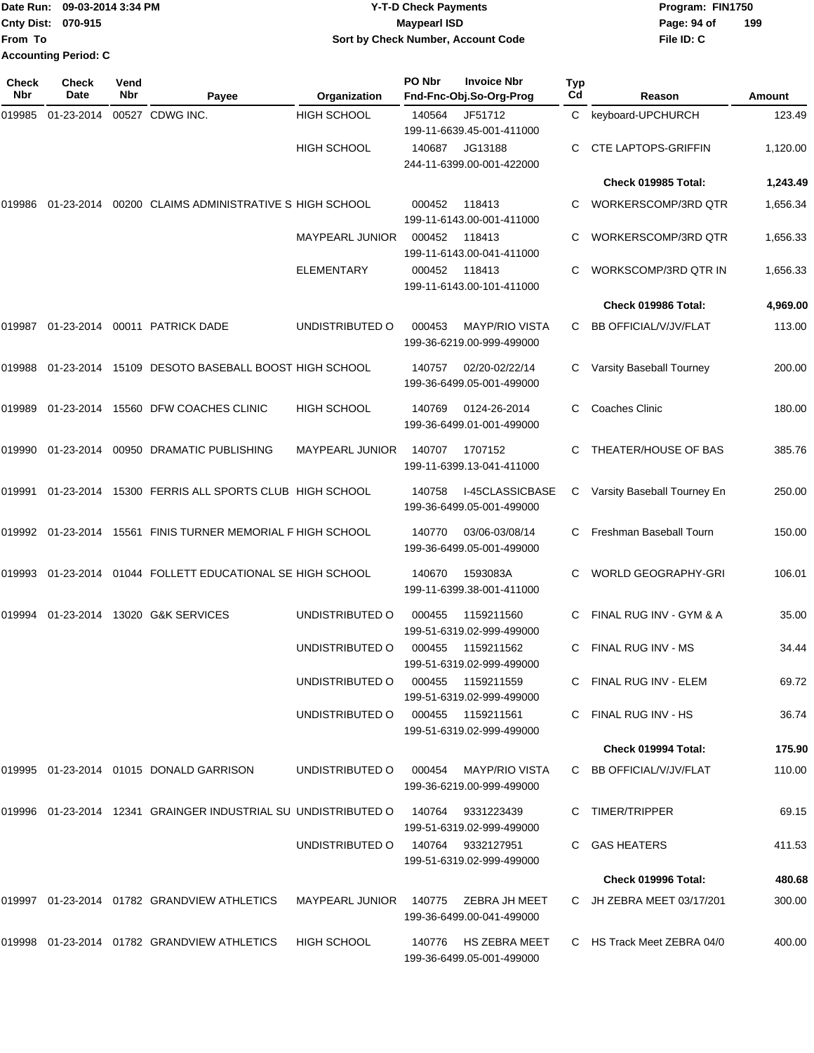| <b>TDate Run:</b>         | 09-03-2014 3:34 PM   | <b>Y-T-D Check Payments</b>        | Program: FIN1750 |     |
|---------------------------|----------------------|------------------------------------|------------------|-----|
| <b>Cnty Dist: 070-915</b> |                      | Maypearl ISD                       | Page: 94 of      | 199 |
| lFrom To                  |                      | Sort by Check Number, Account Code | File ID: C       |     |
|                           | Accounting Period: C |                                    |                  |     |

| <b>Check</b><br>Nbr | <b>Check</b><br>Date | Vend<br>Nbr | Payee                                                             | Organization           | PO Nbr | <b>Invoice Nbr</b><br>Fnd-Fnc-Obj.So-Org-Prog       | <b>Typ</b><br>Cd | Reason                       | <b>Amount</b> |
|---------------------|----------------------|-------------|-------------------------------------------------------------------|------------------------|--------|-----------------------------------------------------|------------------|------------------------------|---------------|
| 019985              | 01-23-2014           |             | 00527 CDWG INC.                                                   | <b>HIGH SCHOOL</b>     | 140564 | JF51712                                             | C                | keyboard-UPCHURCH            | 123.49        |
|                     |                      |             |                                                                   |                        |        | 199-11-6639.45-001-411000                           |                  |                              |               |
|                     |                      |             |                                                                   | <b>HIGH SCHOOL</b>     | 140687 | JG13188                                             |                  | <b>CTE LAPTOPS-GRIFFIN</b>   | 1,120.00      |
|                     |                      |             |                                                                   |                        |        | 244-11-6399.00-001-422000                           |                  |                              |               |
|                     |                      |             |                                                                   |                        |        |                                                     |                  | Check 019985 Total:          | 1,243.49      |
| 019986              |                      |             | 01-23-2014 00200 CLAIMS ADMINISTRATIVE S HIGH SCHOOL              |                        | 000452 | 118413<br>199-11-6143.00-001-411000                 | C                | WORKERSCOMP/3RD QTR          | 1,656.34      |
|                     |                      |             |                                                                   | <b>MAYPEARL JUNIOR</b> | 000452 | 118413<br>199-11-6143.00-041-411000                 | C                | WORKERSCOMP/3RD QTR          | 1,656.33      |
|                     |                      |             |                                                                   | <b>ELEMENTARY</b>      | 000452 | 118413<br>199-11-6143.00-101-411000                 | C                | WORKSCOMP/3RD QTR IN         | 1,656.33      |
|                     |                      |             |                                                                   |                        |        |                                                     |                  | Check 019986 Total:          | 4,969.00      |
| 019987              |                      |             | 01-23-2014 00011 PATRICK DADE                                     | UNDISTRIBUTED O        | 000453 | <b>MAYP/RIO VISTA</b><br>199-36-6219.00-999-499000  | C                | <b>BB OFFICIAL/V/JV/FLAT</b> | 113.00        |
| 019988              |                      |             | 01-23-2014 15109 DESOTO BASEBALL BOOST HIGH SCHOOL                |                        | 140757 | 02/20-02/22/14<br>199-36-6499.05-001-499000         | C                | Varsity Baseball Tourney     | 200.00        |
| 019989              |                      |             | 01-23-2014 15560 DFW COACHES CLINIC                               | <b>HIGH SCHOOL</b>     | 140769 | 0124-26-2014<br>199-36-6499.01-001-499000           | C                | <b>Coaches Clinic</b>        | 180.00        |
| 019990              | 01-23-2014           |             | 00950 DRAMATIC PUBLISHING                                         | <b>MAYPEARL JUNIOR</b> | 140707 | 1707152<br>199-11-6399.13-041-411000                | C                | THEATER/HOUSE OF BAS         | 385.76        |
| 019991              |                      |             | 01-23-2014 15300 FERRIS ALL SPORTS CLUB HIGH SCHOOL               |                        | 140758 | <b>I-45CLASSICBASE</b><br>199-36-6499.05-001-499000 | C                | Varsity Baseball Tourney En  | 250.00        |
|                     |                      |             | 019992 01-23-2014 15561 FINIS TURNER MEMORIAL F HIGH SCHOOL       |                        | 140770 | 03/06-03/08/14<br>199-36-6499.05-001-499000         | C.               | Freshman Baseball Tourn      | 150.00        |
| 019993              | 01-23-2014           |             | 01044 FOLLETT EDUCATIONAL SE HIGH SCHOOL                          |                        | 140670 | 1593083A<br>199-11-6399.38-001-411000               | C                | <b>WORLD GEOGRAPHY-GRI</b>   | 106.01        |
| 019994              |                      |             | 01-23-2014 13020 G&K SERVICES                                     | UNDISTRIBUTED O        | 000455 | 1159211560<br>199-51-6319.02-999-499000             |                  | FINAL RUG INV - GYM & A      | 35.00         |
|                     |                      |             |                                                                   | UNDISTRIBUTED O        | 000455 | 1159211562<br>199-51-6319.02-999-499000             | C                | FINAL RUG INV - MS           | 34.44         |
|                     |                      |             |                                                                   | UNDISTRIBUTED O        | 000455 | 1159211559<br>199-51-6319.02-999-499000             |                  | C FINAL RUG INV - ELEM       | 69.72         |
|                     |                      |             |                                                                   | UNDISTRIBUTED O        |        | 000455 1159211561<br>199-51-6319.02-999-499000      |                  | C FINAL RUG INV - HS         | 36.74         |
|                     |                      |             |                                                                   |                        |        |                                                     |                  | Check 019994 Total:          | 175.90        |
|                     |                      |             | 019995 01-23-2014 01015 DONALD GARRISON                           | UNDISTRIBUTED O        |        | 000454 MAYP/RIO VISTA<br>199-36-6219.00-999-499000  |                  | C BB OFFICIAL/V/JV/FLAT      | 110.00        |
|                     |                      |             | 019996  01-23-2014  12341  GRAINGER INDUSTRIAL SU UNDISTRIBUTED O |                        |        | 140764  9331223439<br>199-51-6319.02-999-499000     |                  | C TIMER/TRIPPER              | 69.15         |
|                     |                      |             |                                                                   | UNDISTRIBUTED O        |        | 140764 9332127951<br>199-51-6319.02-999-499000      |                  | C GAS HEATERS                | 411.53        |
|                     |                      |             |                                                                   |                        |        |                                                     |                  | Check 019996 Total:          | 480.68        |
|                     |                      |             | 019997  01-23-2014  01782  GRANDVIEW ATHLETICS                    | MAYPEARL JUNIOR        | 140775 | ZEBRA JH MEET<br>199-36-6499.00-041-499000          |                  | C JH ZEBRA MEET 03/17/201    | 300.00        |
|                     |                      |             | 019998  01-23-2014  01782  GRANDVIEW ATHLETICS                    | HIGH SCHOOL            | 140776 | HS ZEBRA MEET<br>199-36-6499.05-001-499000          |                  | C HS Track Meet ZEBRA 04/0   | 400.00        |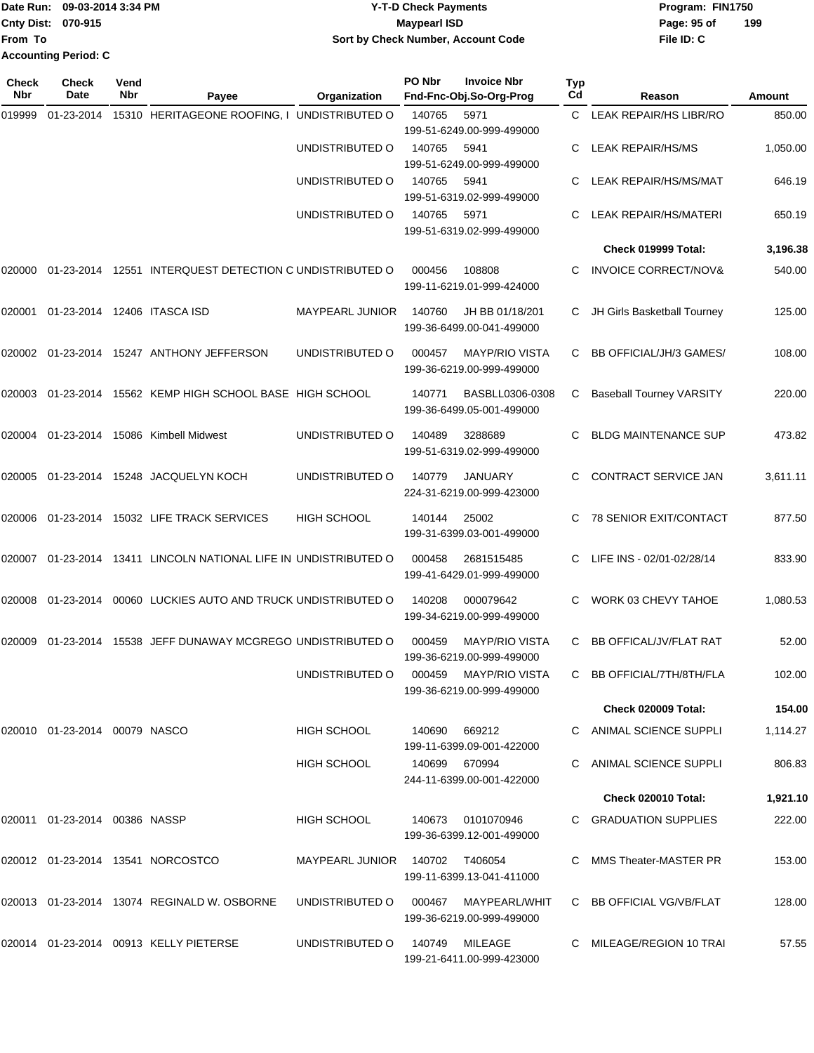|                           | Date Run: 09-03-2014 3:34 PM | Y-T-D Check Payments               | Program: FIN1750 |     |
|---------------------------|------------------------------|------------------------------------|------------------|-----|
| <b>Cnty Dist: 070-915</b> |                              | <b>Mavpearl ISD</b>                | Page: 95 of      | 199 |
| lFrom To                  |                              | Sort by Check Number, Account Code | File ID: C       |     |
|                           | <b>Accounting Period: C</b>  |                                    |                  |     |

| Check<br>Nbr | <b>Check</b><br>Date             | Vend<br>Nbr | Payee                                                     | Organization           | PO Nbr         | <b>Invoice Nbr</b><br>Fnd-Fnc-Obj.So-Org-Prog      | Typ<br>Cd | Reason                          | Amount   |
|--------------|----------------------------------|-------------|-----------------------------------------------------------|------------------------|----------------|----------------------------------------------------|-----------|---------------------------------|----------|
| 019999       | 01-23-2014                       |             | 15310 HERITAGEONE ROOFING, I UNDISTRIBUTED O              |                        | 140765         | 5971<br>199-51-6249.00-999-499000                  | C.        | LEAK REPAIR/HS LIBR/RO          | 850.00   |
|              |                                  |             |                                                           | UNDISTRIBUTED O        | 140765         | 5941<br>199-51-6249.00-999-499000                  | C         | LEAK REPAIR/HS/MS               | 1,050.00 |
|              |                                  |             |                                                           | UNDISTRIBUTED O        | 140765         | 5941<br>199-51-6319.02-999-499000                  | C.        | LEAK REPAIR/HS/MS/MAT           | 646.19   |
|              |                                  |             |                                                           | UNDISTRIBUTED O        | 140765         | 5971<br>199-51-6319.02-999-499000                  | С         | <b>LEAK REPAIR/HS/MATERI</b>    | 650.19   |
|              |                                  |             |                                                           |                        |                |                                                    |           | Check 019999 Total:             | 3,196.38 |
| 020000       | 01-23-2014                       |             | 12551 INTERQUEST DETECTION C UNDISTRIBUTED O              |                        | 000456         | 108808<br>199-11-6219.01-999-424000                | C         | <b>INVOICE CORRECT/NOV&amp;</b> | 540.00   |
| 020001       |                                  |             | 01-23-2014 12406 ITASCA ISD                               | <b>MAYPEARL JUNIOR</b> | 140760         | JH BB 01/18/201<br>199-36-6499.00-041-499000       | C         | JH Girls Basketball Tourney     | 125.00   |
|              |                                  |             | 020002  01-23-2014  15247  ANTHONY JEFFERSON              | UNDISTRIBUTED O        | 000457         | <b>MAYP/RIO VISTA</b><br>199-36-6219.00-999-499000 | С         | <b>BB OFFICIAL/JH/3 GAMES/</b>  | 108.00   |
| 020003       | 01-23-2014                       |             | 15562 KEMP HIGH SCHOOL BASE HIGH SCHOOL                   |                        | 140771         | BASBLL0306-0308<br>199-36-6499.05-001-499000       | С         | <b>Baseball Tourney VARSITY</b> | 220.00   |
| 020004       |                                  |             | 01-23-2014 15086 Kimbell Midwest                          | UNDISTRIBUTED O        | 140489         | 3288689<br>199-51-6319.02-999-499000               | C         | <b>BLDG MAINTENANCE SUP</b>     | 473.82   |
| 020005       |                                  |             | 01-23-2014 15248 JACQUELYN KOCH                           | UNDISTRIBUTED O        | 140779         | <b>JANUARY</b><br>224-31-6219.00-999-423000        | C         | CONTRACT SERVICE JAN            | 3,611.11 |
| 020006       | 01-23-2014                       |             | 15032 LIFE TRACK SERVICES                                 | <b>HIGH SCHOOL</b>     | 140144         | 25002<br>199-31-6399.03-001-499000                 | C         | 78 SENIOR EXIT/CONTACT          | 877.50   |
| 020007       |                                  |             | 01-23-2014 13411 LINCOLN NATIONAL LIFE IN UNDISTRIBUTED O |                        | 000458         | 2681515485<br>199-41-6429.01-999-499000            | C         | LIFE INS - 02/01-02/28/14       | 833.90   |
| 020008       | 01-23-2014                       |             | 00060 LUCKIES AUTO AND TRUCK UNDISTRIBUTED O              |                        | 140208         | 000079642<br>199-34-6219.00-999-499000             | С         | WORK 03 CHEVY TAHOE             | 1,080.53 |
| 020009       | 01-23-2014                       |             | 15538 JEFF DUNAWAY MCGREGO UNDISTRIBUTED O                |                        | 000459         | <b>MAYP/RIO VISTA</b><br>199-36-6219.00-999-499000 | С         | <b>BB OFFICAL/JV/FLAT RAT</b>   | 52.00    |
|              |                                  |             |                                                           | UNDISTRIBUTED O        |                | 000459 MAYP/RIO VISTA<br>199-36-6219.00-999-499000 |           | C BB OFFICIAL/7TH/8TH/FLA       | 102.00   |
|              |                                  |             |                                                           |                        |                |                                                    |           | <b>Check 020009 Total:</b>      | 154.00   |
|              | 020010  01-23-2014  00079  NASCO |             |                                                           | HIGH SCHOOL            | 140690         | 669212<br>199-11-6399.09-001-422000                |           | C ANIMAL SCIENCE SUPPLI         | 1,114.27 |
|              |                                  |             |                                                           | <b>HIGH SCHOOL</b>     |                | 140699 670994<br>244-11-6399.00-001-422000         |           | ANIMAL SCIENCE SUPPLI           | 806.83   |
|              |                                  |             |                                                           |                        |                |                                                    |           | Check 020010 Total:             | 1,921.10 |
|              | 020011  01-23-2014  00386  NASSP |             |                                                           | HIGH SCHOOL            | 140673         | 0101070946<br>199-36-6399.12-001-499000            |           | C GRADUATION SUPPLIES           | 222.00   |
|              |                                  |             | 020012  01-23-2014  13541  NORCOSTCO                      | MAYPEARL JUNIOR        | 140702 T406054 | 199-11-6399.13-041-411000                          |           | MMS Theater-MASTER PR           | 153.00   |
|              |                                  |             | 020013 01-23-2014 13074 REGINALD W. OSBORNE               | UNDISTRIBUTED O        | 000467         | MAYPEARL/WHIT<br>199-36-6219.00-999-499000         |           | C BB OFFICIAL VG/VB/FLAT        | 128.00   |
|              |                                  |             | 020014 01-23-2014 00913 KELLY PIETERSE                    | UNDISTRIBUTED O        | 140749         | MILEAGE<br>199-21-6411.00-999-423000               |           | C MILEAGE/REGION 10 TRAI        | 57.55    |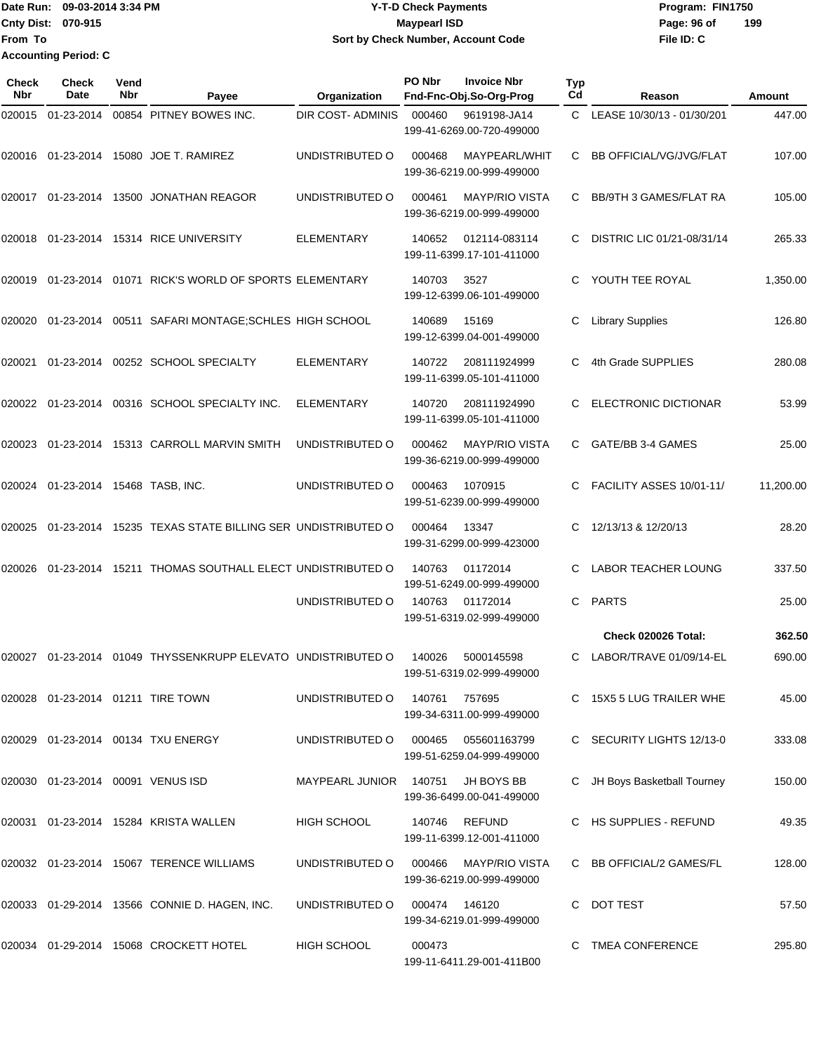Date Run: 09-03-2014 3:34 PM **Program:** FIN1750 **Cnty Dist:** 070-915 **Page: 96 of MaypearI ISD Page: 96 of File ID: C From To 09-03-2014 3:34 PM Y-T-D Check Payments 070-915 Maypearl ISD Sort by Check Number, Account Code 199 Accounting Period: C**

| Check<br>Nbr | <b>Check</b><br>Date                 | Vend<br>Nbr | Payee                                                 | Organization             | PO Nbr | <b>Invoice Nbr</b><br>Fnd-Fnc-Obj.So-Org-Prog      | Typ<br>Cd | Reason                         | Amount    |
|--------------|--------------------------------------|-------------|-------------------------------------------------------|--------------------------|--------|----------------------------------------------------|-----------|--------------------------------|-----------|
| 020015       | 01-23-2014                           |             | 00854 PITNEY BOWES INC.                               | <b>DIR COST- ADMINIS</b> | 000460 | 9619198-JA14<br>199-41-6269.00-720-499000          | C.        | LEASE 10/30/13 - 01/30/201     | 447.00    |
| 020016       | 01-23-2014                           |             | 15080 JOE T. RAMIREZ                                  | UNDISTRIBUTED O          | 000468 | MAYPEARL/WHIT<br>199-36-6219.00-999-499000         | C.        | <b>BB OFFICIAL/VG/JVG/FLAT</b> | 107.00    |
| 020017       | 01-23-2014                           |             | 13500 JONATHAN REAGOR                                 | UNDISTRIBUTED O          | 000461 | <b>MAYP/RIO VISTA</b><br>199-36-6219.00-999-499000 | C         | BB/9TH 3 GAMES/FLAT RA         | 105.00    |
| 020018       | 01-23-2014                           |             | 15314 RICE UNIVERSITY                                 | <b>ELEMENTARY</b>        | 140652 | 012114-083114<br>199-11-6399.17-101-411000         | C         | DISTRIC LIC 01/21-08/31/14     | 265.33    |
| 020019       |                                      |             | 01-23-2014 01071 RICK'S WORLD OF SPORTS ELEMENTARY    |                          | 140703 | 3527<br>199-12-6399.06-101-499000                  | C.        | YOUTH TEE ROYAL                | 1,350.00  |
| 020020       | 01-23-2014                           |             | 00511 SAFARI MONTAGE; SCHLES HIGH SCHOOL              |                          | 140689 | 15169<br>199-12-6399.04-001-499000                 | C         | <b>Library Supplies</b>        | 126.80    |
| 020021       | 01-23-2014                           |             | 00252 SCHOOL SPECIALTY                                | <b>ELEMENTARY</b>        | 140722 | 208111924999<br>199-11-6399.05-101-411000          | C.        | 4th Grade SUPPLIES             | 280.08    |
| 020022       | 01-23-2014                           |             | 00316 SCHOOL SPECIALTY INC.                           | <b>ELEMENTARY</b>        | 140720 | 208111924990<br>199-11-6399.05-101-411000          | C.        | <b>ELECTRONIC DICTIONAR</b>    | 53.99     |
| 020023       | 01-23-2014                           |             | 15313 CARROLL MARVIN SMITH                            | UNDISTRIBUTED O          | 000462 | <b>MAYP/RIO VISTA</b><br>199-36-6219.00-999-499000 | C         | GATE/BB 3-4 GAMES              | 25.00     |
| 020024       | 01-23-2014 15468 TASB, INC.          |             |                                                       | UNDISTRIBUTED O          | 000463 | 1070915<br>199-51-6239.00-999-499000               | C         | FACILITY ASSES 10/01-11/       | 11,200.00 |
| 020025       | 01-23-2014                           |             | 15235 TEXAS STATE BILLING SER UNDISTRIBUTED O         |                          | 000464 | 13347<br>199-31-6299.00-999-423000                 | C         | 12/13/13 & 12/20/13            | 28.20     |
| 020026       | 01-23-2014                           |             | 15211 THOMAS SOUTHALL ELECT UNDISTRIBUTED O           |                          | 140763 | 01172014<br>199-51-6249.00-999-499000              | C         | <b>LABOR TEACHER LOUNG</b>     | 337.50    |
|              |                                      |             |                                                       | UNDISTRIBUTED O          | 140763 | 01172014<br>199-51-6319.02-999-499000              | C         | <b>PARTS</b>                   | 25.00     |
|              |                                      |             |                                                       |                          |        |                                                    |           | Check 020026 Total:            | 362.50    |
| 020027       |                                      |             | 01-23-2014 01049 THYSSENKRUPP ELEVATO UNDISTRIBUTED O |                          | 140026 | 5000145598<br>199-51-6319.02-999-499000            | C         | LABOR/TRAVE 01/09/14-EL        | 690.00    |
|              |                                      |             | 020028  01-23-2014  01211  TIRE TOWN                  | UNDISTRIBUTED O          | 140761 | 757695<br>199-34-6311.00-999-499000                |           | C 15X5 5 LUG TRAILER WHE       | 45.00     |
|              |                                      |             | 020029  01-23-2014  00134  TXU ENERGY                 | UNDISTRIBUTED O          | 000465 | 055601163799<br>199-51-6259.04-999-499000          |           | C SECURITY LIGHTS 12/13-0      | 333.08    |
|              | 020030  01-23-2014  00091  VENUS ISD |             |                                                       | <b>MAYPEARL JUNIOR</b>   | 140751 | JH BOYS BB<br>199-36-6499.00-041-499000            |           | C JH Boys Basketball Tourney   | 150.00    |
|              |                                      |             | 020031 01-23-2014 15284 KRISTA WALLEN                 | HIGH SCHOOL              |        | 140746 REFUND<br>199-11-6399.12-001-411000         |           | C HS SUPPLIES - REFUND         | 49.35     |
|              |                                      |             | 020032 01-23-2014 15067 TERENCE WILLIAMS              | UNDISTRIBUTED O          | 000466 | <b>MAYP/RIO VISTA</b><br>199-36-6219.00-999-499000 |           | C BB OFFICIAL/2 GAMES/FL       | 128.00    |
|              |                                      |             | 020033 01-29-2014 13566 CONNIE D. HAGEN, INC.         | UNDISTRIBUTED O          | 000474 | 146120<br>199-34-6219.01-999-499000                |           | C DOT TEST                     | 57.50     |
|              |                                      |             | 020034 01-29-2014 15068 CROCKETT HOTEL                | HIGH SCHOOL              | 000473 | 199-11-6411.29-001-411B00                          |           | C TMEA CONFERENCE              | 295.80    |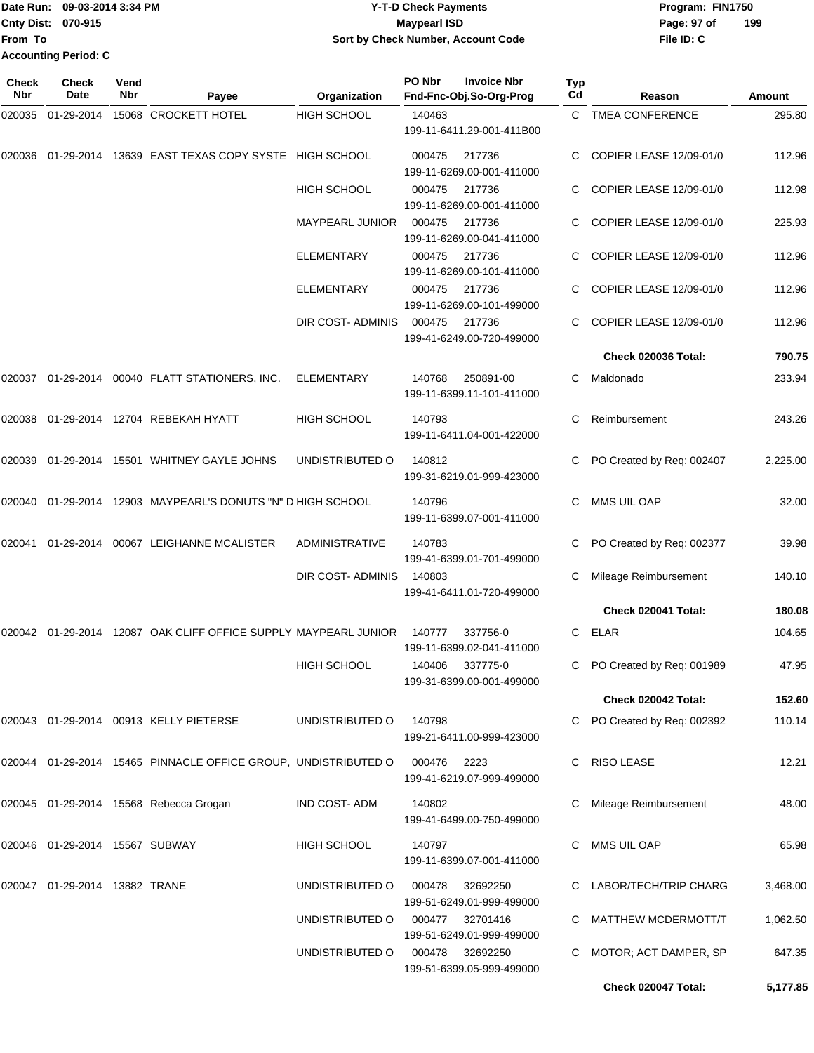### Date Run: 09-03-2014 3:34 PM **Program:** FIN1750 Cnty Dist: 070-915 **Page: 97 of** Maypearl ISD Maypearl ISD **Y-T-D Check Payments 070-915 Maypearl ISD Sort by Check Number, Account Code**

**File ID: C 199**

**Check 020047 Total: 5,177.85**

| Check<br>Nbr | Check<br>Date                     | Vend<br>Nbr | Payee                                                              | Organization           | PO Nbr      | <b>Invoice Nbr</b><br>Fnd-Fnc-Obj.So-Org-Prog | <b>Typ</b><br>Cd | Reason                      | <b>Amount</b> |
|--------------|-----------------------------------|-------------|--------------------------------------------------------------------|------------------------|-------------|-----------------------------------------------|------------------|-----------------------------|---------------|
| 020035       | 01-29-2014                        |             | 15068 CROCKETT HOTEL                                               | <b>HIGH SCHOOL</b>     | 140463      | 199-11-6411.29-001-411B00                     |                  | C TMEA CONFERENCE           | 295.80        |
| 020036       | 01-29-2014                        |             | 13639 EAST TEXAS COPY SYSTE HIGH SCHOOL                            |                        | 000475      | 217736<br>199-11-6269.00-001-411000           |                  | COPIER LEASE 12/09-01/0     | 112.96        |
|              |                                   |             |                                                                    | <b>HIGH SCHOOL</b>     | 000475      | 217736<br>199-11-6269.00-001-411000           |                  | COPIER LEASE 12/09-01/0     | 112.98        |
|              |                                   |             |                                                                    | <b>MAYPEARL JUNIOR</b> | 000475      | 217736<br>199-11-6269.00-041-411000           |                  | COPIER LEASE 12/09-01/0     | 225.93        |
|              |                                   |             |                                                                    | ELEMENTARY             | 000475      | 217736<br>199-11-6269.00-101-411000           |                  | COPIER LEASE 12/09-01/0     | 112.96        |
|              |                                   |             |                                                                    | <b>ELEMENTARY</b>      | 000475      | 217736<br>199-11-6269.00-101-499000           |                  | COPIER LEASE 12/09-01/0     | 112.96        |
|              |                                   |             |                                                                    | DIR COST- ADMINIS      | 000475      | 217736<br>199-41-6249.00-720-499000           |                  | COPIER LEASE 12/09-01/0     | 112.96        |
|              |                                   |             |                                                                    |                        |             |                                               |                  | Check 020036 Total:         | 790.75        |
| 020037       |                                   |             | 01-29-2014 00040 FLATT STATIONERS, INC.                            | <b>ELEMENTARY</b>      | 140768      | 250891-00<br>199-11-6399.11-101-411000        | С                | Maldonado                   | 233.94        |
| 020038       |                                   |             | 01-29-2014 12704 REBEKAH HYATT                                     | <b>HIGH SCHOOL</b>     | 140793      | 199-11-6411.04-001-422000                     | C                | Reimbursement               | 243.26        |
| 020039       |                                   |             | 01-29-2014 15501 WHITNEY GAYLE JOHNS                               | UNDISTRIBUTED O        | 140812      | 199-31-6219.01-999-423000                     |                  | PO Created by Req: 002407   | 2,225.00      |
| 020040       |                                   |             | 01-29-2014 12903 MAYPEARL'S DONUTS "N" D HIGH SCHOOL               |                        | 140796      | 199-11-6399.07-001-411000                     |                  | MMS UIL OAP                 | 32.00         |
| 020041       |                                   |             | 01-29-2014 00067 LEIGHANNE MCALISTER                               | <b>ADMINISTRATIVE</b>  | 140783      | 199-41-6399.01-701-499000                     |                  | PO Created by Req: 002377   | 39.98         |
|              |                                   |             |                                                                    | DIR COST- ADMINIS      | 140803      | 199-41-6411.01-720-499000                     |                  | Mileage Reimbursement       | 140.10        |
|              |                                   |             |                                                                    |                        |             |                                               |                  | Check 020041 Total:         | 180.08        |
|              |                                   |             | 020042  01-29-2014  12087  OAK CLIFF OFFICE SUPPLY MAYPEARL JUNIOR |                        | 140777      | 337756-0<br>199-11-6399.02-041-411000         | C                | <b>ELAR</b>                 | 104.65        |
|              |                                   |             |                                                                    | HIGH SCHOOL            |             | 140406 337775-0<br>199-31-6399.00-001-499000  |                  | C PO Created by Req: 001989 | 47.95         |
|              |                                   |             |                                                                    |                        |             |                                               |                  | Check 020042 Total:         | 152.60        |
|              |                                   |             | 020043 01-29-2014 00913 KELLY PIETERSE                             | UNDISTRIBUTED O        | 140798      | 199-21-6411.00-999-423000                     |                  | C PO Created by Req: 002392 | 110.14        |
|              |                                   |             | 020044 01-29-2014 15465 PINNACLE OFFICE GROUP, UNDISTRIBUTED O     |                        | 000476 2223 | 199-41-6219.07-999-499000                     |                  | C RISO LEASE                | 12.21         |
|              |                                   |             | 020045 01-29-2014 15568 Rebecca Grogan                             | IND COST-ADM           | 140802      | 199-41-6499.00-750-499000                     |                  | Mileage Reimbursement       | 48.00         |
|              | 020046  01-29-2014  15567  SUBWAY |             |                                                                    | HIGH SCHOOL            | 140797      | 199-11-6399.07-001-411000                     |                  | MMS UIL OAP                 | 65.98         |
|              | 020047  01-29-2014  13882  TRANE  |             |                                                                    | UNDISTRIBUTED O        | 000478      | 32692250<br>199-51-6249.01-999-499000         |                  | C LABOR/TECH/TRIP CHARG     | 3,468.00      |
|              |                                   |             |                                                                    | UNDISTRIBUTED O        | 000477      | 32701416<br>199-51-6249.01-999-499000         |                  | C MATTHEW MCDERMOTT/T       | 1,062.50      |
|              |                                   |             |                                                                    | UNDISTRIBUTED O        |             | 000478 32692250<br>199-51-6399.05-999-499000  |                  | C MOTOR; ACT DAMPER, SP     | 647.35        |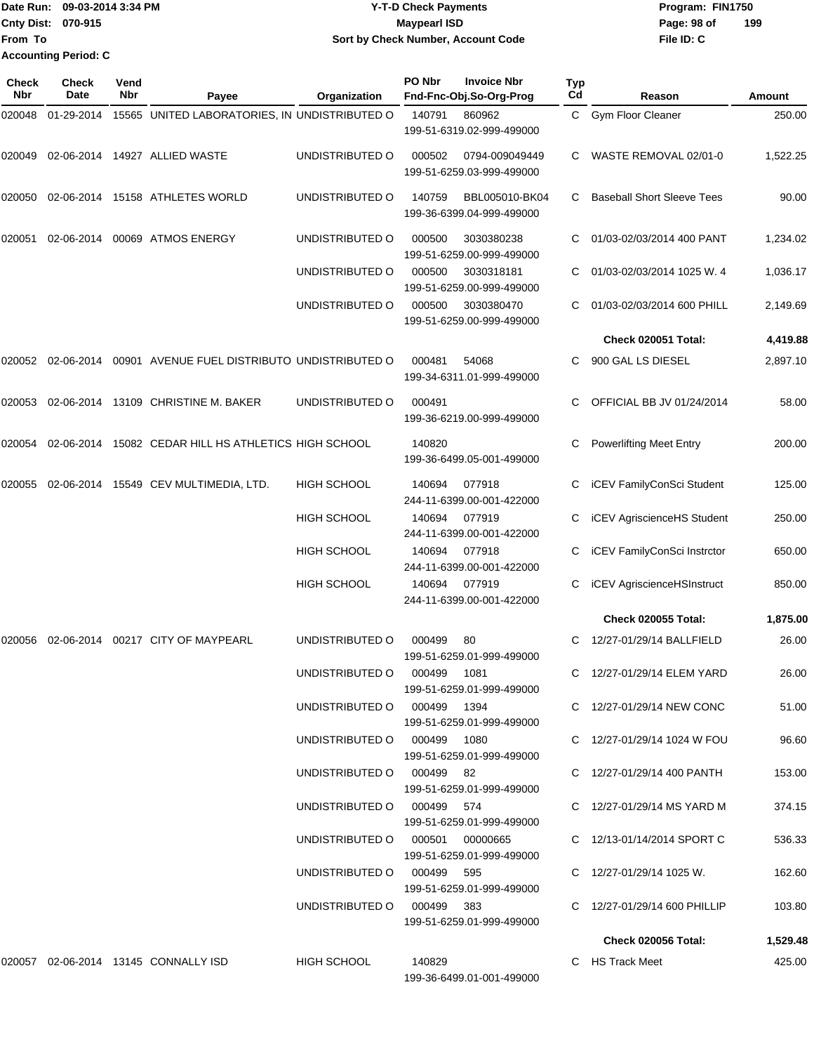|                           | Date Run: 09-03-2014 3:34 PM | <b>Y-T-D Check Payments</b>        | Program: FIN1750   |  |  |  |
|---------------------------|------------------------------|------------------------------------|--------------------|--|--|--|
| <b>Cnty Dist: 070-915</b> |                              | <b>Mavpearl ISD</b>                | 199<br>Page: 98 of |  |  |  |
| <b>IFrom To</b>           |                              | Sort by Check Number, Account Code | File ID: C         |  |  |  |
|                           | Accounting Period: C         |                                    |                    |  |  |  |

| Check<br>Nbr | <b>Check</b><br>Date | Vend<br>Nbr | Payee                                                     | Organization                    | PO Nbr | <b>Invoice Nbr</b><br>Fnd-Fnc-Obj.So-Org-Prog | Typ<br>Cd | Reason                            | Amount   |
|--------------|----------------------|-------------|-----------------------------------------------------------|---------------------------------|--------|-----------------------------------------------|-----------|-----------------------------------|----------|
| 020048       | 01-29-2014           |             | 15565 UNITED LABORATORIES, IN UNDISTRIBUTED O             |                                 | 140791 | 860962<br>199-51-6319.02-999-499000           |           | C Gym Floor Cleaner               | 250.00   |
| 020049       |                      |             | 02-06-2014  14927  ALLIED WASTE                           | UNDISTRIBUTED O                 | 000502 | 0794-009049449<br>199-51-6259.03-999-499000   | C.        | WASTE REMOVAL 02/01-0             | 1,522.25 |
| 020050       |                      |             | 02-06-2014 15158 ATHLETES WORLD                           | UNDISTRIBUTED O                 | 140759 | BBL005010-BK04<br>199-36-6399.04-999-499000   | C.        | <b>Baseball Short Sleeve Tees</b> | 90.00    |
| 020051       | 02-06-2014           |             | 00069 ATMOS ENERGY                                        | UNDISTRIBUTED O                 | 000500 | 3030380238<br>199-51-6259.00-999-499000       | С         | 01/03-02/03/2014 400 PANT         | 1,234.02 |
|              |                      |             |                                                           | UNDISTRIBUTED O                 | 000500 | 3030318181<br>199-51-6259.00-999-499000       | С         | 01/03-02/03/2014 1025 W. 4        | 1,036.17 |
|              |                      |             |                                                           | UNDISTRIBUTED O                 | 000500 | 3030380470<br>199-51-6259.00-999-499000       |           | 01/03-02/03/2014 600 PHILL        | 2,149.69 |
|              |                      |             |                                                           |                                 |        |                                               |           | <b>Check 020051 Total:</b>        | 4,419.88 |
| 020052       |                      |             | 02-06-2014  00901  AVENUE FUEL DISTRIBUTO UNDISTRIBUTED O |                                 | 000481 | 54068<br>199-34-6311.01-999-499000            | C.        | 900 GAL LS DIESEL                 | 2,897.10 |
| 020053       |                      |             | 02-06-2014 13109 CHRISTINE M. BAKER                       | UNDISTRIBUTED O                 | 000491 | 199-36-6219.00-999-499000                     | С         | OFFICIAL BB JV 01/24/2014         | 58.00    |
| 020054       | 02-06-2014           |             | 15082 CEDAR HILL HS ATHLETICS HIGH SCHOOL                 |                                 | 140820 | 199-36-6499.05-001-499000                     | С         | <b>Powerlifting Meet Entry</b>    | 200.00   |
| 020055       |                      |             | 02-06-2014 15549 CEV MULTIMEDIA, LTD.                     | <b>HIGH SCHOOL</b>              | 140694 | 077918<br>244-11-6399.00-001-422000           |           | iCEV FamilyConSci Student         | 125.00   |
|              |                      |             |                                                           | <b>HIGH SCHOOL</b>              | 140694 | 077919<br>244-11-6399.00-001-422000           | С         | <b>iCEV AgriscienceHS Student</b> | 250.00   |
|              |                      |             |                                                           | <b>HIGH SCHOOL</b>              | 140694 | 077918<br>244-11-6399.00-001-422000           | С         | iCEV FamilyConSci Instrctor       | 650.00   |
|              |                      |             |                                                           | <b>HIGH SCHOOL</b>              | 140694 | 077919<br>244-11-6399.00-001-422000           | С         | iCEV AgriscienceHSInstruct        | 850.00   |
|              |                      |             |                                                           |                                 |        |                                               |           | <b>Check 020055 Total:</b>        | 1,875.00 |
| 020056       | 02-06-2014           |             | 00217 CITY OF MAYPEARL                                    | UNDISTRIBUTED O                 | 000499 | 80<br>199-51-6259.01-999-499000               | C.        | 12/27-01/29/14 BALLFIELD          | 26.00    |
|              |                      |             |                                                           | UNDISTRIBUTED O 000499 1081     |        | 199-51-6259.01-999-499000                     |           | C 12/27-01/29/14 ELEM YARD        | 26.00    |
|              |                      |             |                                                           | UNDISTRIBUTED O 000499 1394     |        | 199-51-6259.01-999-499000                     |           | C 12/27-01/29/14 NEW CONC         | 51.00    |
|              |                      |             |                                                           | UNDISTRIBUTED O 000499 1080     |        | 199-51-6259.01-999-499000                     |           | C 12/27-01/29/14 1024 W FOU       | 96.60    |
|              |                      |             |                                                           | UNDISTRIBUTED O 000499 82       |        | 199-51-6259.01-999-499000                     |           | C 12/27-01/29/14 400 PANTH        | 153.00   |
|              |                      |             |                                                           | UNDISTRIBUTED O 000499 574      |        | 199-51-6259.01-999-499000                     |           | C 12/27-01/29/14 MS YARD M        | 374.15   |
|              |                      |             |                                                           | UNDISTRIBUTED O 000501 00000665 |        | 199-51-6259.01-999-499000                     |           | C 12/13-01/14/2014 SPORT C        | 536.33   |
|              |                      |             |                                                           | UNDISTRIBUTED O 000499 595      |        | 199-51-6259.01-999-499000                     |           | C $12/27 - 01/29/14$ 1025 W.      | 162.60   |
|              |                      |             |                                                           | UNDISTRIBUTED O 000499 383      |        | 199-51-6259.01-999-499000                     |           | C 12/27-01/29/14 600 PHILLIP      | 103.80   |
|              |                      |             |                                                           |                                 |        |                                               |           | <b>Check 020056 Total:</b>        | 1,529.48 |
|              |                      |             | 020057  02-06-2014  13145  CONNALLY ISD                   | HIGH SCHOOL                     | 140829 | 199-36-6499.01-001-499000                     |           | C HS Track Meet                   | 425.00   |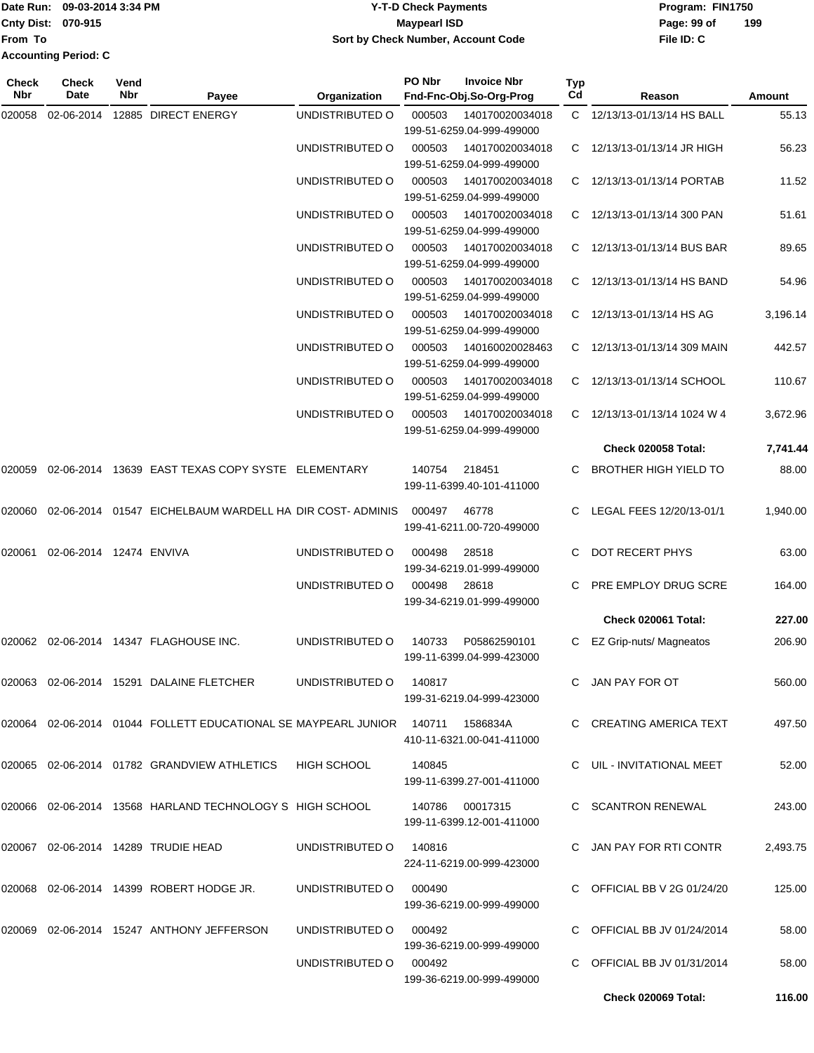|                             | Date Run: 09-03-2014 3:34 PM | Y-T-D Check Payments               | Program: FIN1750 |     |  |
|-----------------------------|------------------------------|------------------------------------|------------------|-----|--|
| Cnty Dist: 070-915          |                              | Maypearl ISD                       | Page: 99 of      | 199 |  |
| <b>IFrom To</b>             |                              | Sort by Check Number, Account Code | File ID: C       |     |  |
| <b>Accounting Period: C</b> |                              |                                    |                  |     |  |

**PO Nbr Invoice Nbr**

| Check<br>Nbr | Check<br>Date           | Vend<br>Nbr | Payee                                                                          | Organization    | PO Nbr | <b>Invoice Nbr</b><br>Fnd-Fnc-Obj.So-Org-Prog | <b>Typ</b><br>Cd | Reason                       | <b>Amount</b> |
|--------------|-------------------------|-------------|--------------------------------------------------------------------------------|-----------------|--------|-----------------------------------------------|------------------|------------------------------|---------------|
| 020058       | 02-06-2014              |             | 12885 DIRECT ENERGY                                                            | UNDISTRIBUTED O | 000503 | 140170020034018<br>199-51-6259.04-999-499000  |                  | C 12/13/13-01/13/14 HS BALL  | 55.13         |
|              |                         |             |                                                                                | UNDISTRIBUTED O | 000503 | 140170020034018<br>199-51-6259.04-999-499000  | C.               | 12/13/13-01/13/14 JR HIGH    | 56.23         |
|              |                         |             |                                                                                | UNDISTRIBUTED O | 000503 | 140170020034018<br>199-51-6259.04-999-499000  | C.               | 12/13/13-01/13/14 PORTAB     | 11.52         |
|              |                         |             |                                                                                | UNDISTRIBUTED O | 000503 | 140170020034018<br>199-51-6259.04-999-499000  |                  | C 12/13/13-01/13/14 300 PAN  | 51.61         |
|              |                         |             |                                                                                | UNDISTRIBUTED O | 000503 | 140170020034018<br>199-51-6259.04-999-499000  | C.               | 12/13/13-01/13/14 BUS BAR    | 89.65         |
|              |                         |             |                                                                                | UNDISTRIBUTED O | 000503 | 140170020034018<br>199-51-6259.04-999-499000  | C                | 12/13/13-01/13/14 HS BAND    | 54.96         |
|              |                         |             |                                                                                | UNDISTRIBUTED O | 000503 | 140170020034018<br>199-51-6259.04-999-499000  |                  | C 12/13/13-01/13/14 HS AG    | 3,196.14      |
|              |                         |             |                                                                                | UNDISTRIBUTED O | 000503 | 140160020028463<br>199-51-6259.04-999-499000  | C.               | 12/13/13-01/13/14 309 MAIN   | 442.57        |
|              |                         |             |                                                                                | UNDISTRIBUTED O | 000503 | 140170020034018<br>199-51-6259.04-999-499000  | C.               | 12/13/13-01/13/14 SCHOOL     | 110.67        |
|              |                         |             |                                                                                | UNDISTRIBUTED O | 000503 | 140170020034018<br>199-51-6259.04-999-499000  | C.               | 12/13/13-01/13/14 1024 W 4   | 3,672.96      |
|              |                         |             |                                                                                |                 |        |                                               |                  | Check 020058 Total:          | 7,741.44      |
| 020059       |                         |             | 02-06-2014 13639 EAST TEXAS COPY SYSTE ELEMENTARY                              |                 | 140754 | 218451<br>199-11-6399.40-101-411000           |                  | <b>BROTHER HIGH YIELD TO</b> | 88.00         |
| 020060       | 02-06-2014              |             | 01547 EICHELBAUM WARDELL HA DIR COST-ADMINIS                                   |                 | 000497 | 46778<br>199-41-6211.00-720-499000            | C.               | LEGAL FEES 12/20/13-01/1     | 1,940.00      |
| 020061       | 02-06-2014 12474 ENVIVA |             |                                                                                | UNDISTRIBUTED O | 000498 | 28518<br>199-34-6219.01-999-499000            | C                | DOT RECERT PHYS              | 63.00         |
|              |                         |             |                                                                                | UNDISTRIBUTED O | 000498 | 28618<br>199-34-6219.01-999-499000            | C.               | PRE EMPLOY DRUG SCRE         | 164.00        |
|              |                         |             |                                                                                |                 |        |                                               |                  | <b>Check 020061 Total:</b>   | 227.00        |
| 020062       |                         |             | 02-06-2014  14347  FLAGHOUSE INC.                                              | UNDISTRIBUTED O | 140733 | P05862590101<br>199-11-6399.04-999-423000     |                  | EZ Grip-nuts/ Magneatos      | 206.90        |
|              |                         |             | 020063 02-06-2014 15291 DALAINE FLETCHER                                       | UNDISTRIBUTED O | 140817 | 199-31-6219.04-999-423000                     |                  | C JAN PAY FOR OT             | 560.00        |
|              |                         |             | 020064 02-06-2014 01044 FOLLETT EDUCATIONAL SE MAYPEARL JUNIOR 140711 1586834A |                 |        | 410-11-6321.00-041-411000                     |                  | C CREATING AMERICA TEXT      | 497.50        |
|              |                         |             | 020065  02-06-2014  01782  GRANDVIEW ATHLETICS                                 | HIGH SCHOOL     | 140845 | 199-11-6399.27-001-411000                     |                  | C UIL - INVITATIONAL MEET    | 52.00         |
|              |                         |             | 020066 02-06-2014 13568 HARLAND TECHNOLOGY S HIGH SCHOOL                       |                 |        | 140786 00017315<br>199-11-6399.12-001-411000  |                  | C SCANTRON RENEWAL           | 243.00        |
|              |                         |             | 020067 02-06-2014 14289 TRUDIE HEAD                                            | UNDISTRIBUTED O | 140816 | 224-11-6219.00-999-423000                     |                  | C JAN PAY FOR RTI CONTR      | 2,493.75      |
|              |                         |             | 020068 02-06-2014 14399 ROBERT HODGE JR.                                       | UNDISTRIBUTED O | 000490 | 199-36-6219.00-999-499000                     |                  | C OFFICIAL BB V 2G 01/24/20  | 125.00        |
|              |                         |             | 020069  02-06-2014  15247  ANTHONY JEFFERSON                                   | UNDISTRIBUTED O | 000492 |                                               |                  | C OFFICIAL BB JV 01/24/2014  | 58.00         |
|              |                         |             |                                                                                | UNDISTRIBUTED O | 000492 | 199-36-6219.00-999-499000                     |                  | C OFFICIAL BB JV 01/31/2014  | 58.00         |
|              |                         |             |                                                                                |                 |        | 199-36-6219.00-999-499000                     |                  | <b>Check 020069 Total:</b>   | 116.00        |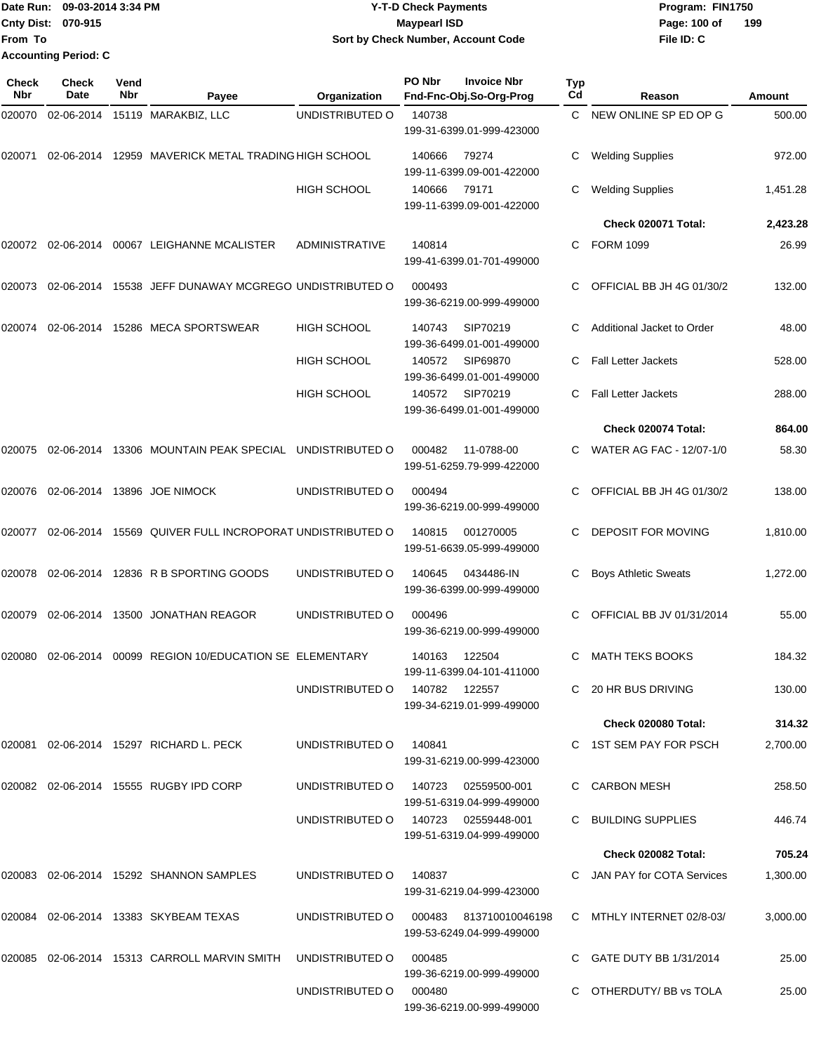|                           | Date Run: 09-03-2014 3:34 PM | <b>Y-T-D Check Payments</b>        | Program: FIN1750    |  |  |  |
|---------------------------|------------------------------|------------------------------------|---------------------|--|--|--|
| <b>Cnty Dist: 070-915</b> |                              | Maypearl ISD                       | 199<br>Page: 100 of |  |  |  |
| <b>From To</b>            |                              | Sort by Check Number, Account Code | File ID: C          |  |  |  |
|                           | <b>Accounting Period: C</b>  |                                    |                     |  |  |  |

| Check<br>Nbr | <b>Check</b><br>Date | Vend<br>Nbr | Payee                                                   | Organization                        | PO Nbr | <b>Invoice Nbr</b><br>Fnd-Fnc-Obj.So-Org-Prog       | Typ<br>Cd | Reason                      | Amount   |
|--------------|----------------------|-------------|---------------------------------------------------------|-------------------------------------|--------|-----------------------------------------------------|-----------|-----------------------------|----------|
| 020070       |                      |             | 02-06-2014 15119 MARAKBIZ, LLC                          | UNDISTRIBUTED O                     | 140738 | 199-31-6399.01-999-423000                           | C         | NEW ONLINE SP ED OP G       | 500.00   |
| 020071       |                      |             | 02-06-2014 12959 MAVERICK METAL TRADING HIGH SCHOOL     |                                     | 140666 | 79274<br>199-11-6399.09-001-422000                  | С         | <b>Welding Supplies</b>     | 972.00   |
|              |                      |             |                                                         | <b>HIGH SCHOOL</b>                  | 140666 | 79171<br>199-11-6399.09-001-422000                  | С         | <b>Welding Supplies</b>     | 1,451.28 |
|              |                      |             |                                                         |                                     |        |                                                     |           | Check 020071 Total:         | 2,423.28 |
|              |                      |             | 020072 02-06-2014 00067 LEIGHANNE MCALISTER             | <b>ADMINISTRATIVE</b>               | 140814 | 199-41-6399.01-701-499000                           | C.        | <b>FORM 1099</b>            | 26.99    |
| 020073       |                      |             | 02-06-2014 15538 JEFF DUNAWAY MCGREGO UNDISTRIBUTED O   |                                     | 000493 | 199-36-6219.00-999-499000                           |           | OFFICIAL BB JH 4G 01/30/2   | 132.00   |
| 020074       |                      |             | 02-06-2014 15286 MECA SPORTSWEAR                        | <b>HIGH SCHOOL</b>                  | 140743 | SIP70219<br>199-36-6499.01-001-499000               | C         | Additional Jacket to Order  | 48.00    |
|              |                      |             |                                                         | <b>HIGH SCHOOL</b>                  | 140572 | SIP69870<br>199-36-6499.01-001-499000               | C.        | <b>Fall Letter Jackets</b>  | 528.00   |
|              |                      |             |                                                         | <b>HIGH SCHOOL</b>                  | 140572 | SIP70219<br>199-36-6499.01-001-499000               | C         | <b>Fall Letter Jackets</b>  | 288.00   |
|              |                      |             |                                                         |                                     |        |                                                     |           | Check 020074 Total:         | 864.00   |
| 020075       |                      |             | 02-06-2014 13306 MOUNTAIN PEAK SPECIAL UNDISTRIBUTED O  |                                     | 000482 | 11-0788-00<br>199-51-6259.79-999-422000             |           | WATER AG FAC - 12/07-1/0    | 58.30    |
| 020076       |                      |             | 02-06-2014 13896 JOE NIMOCK                             | UNDISTRIBUTED O                     | 000494 | 199-36-6219.00-999-499000                           | C         | OFFICIAL BB JH 4G 01/30/2   | 138.00   |
| 020077       |                      |             | 02-06-2014 15569 QUIVER FULL INCROPORAT UNDISTRIBUTED O |                                     | 140815 | 001270005<br>199-51-6639.05-999-499000              | C.        | DEPOSIT FOR MOVING          | 1,810.00 |
| 020078       |                      |             | 02-06-2014 12836 R B SPORTING GOODS                     | UNDISTRIBUTED O                     | 140645 | 0434486-IN<br>199-36-6399.00-999-499000             | С         | <b>Boys Athletic Sweats</b> | 1,272.00 |
| 020079       |                      |             | 02-06-2014 13500 JONATHAN REAGOR                        | UNDISTRIBUTED O                     | 000496 | 199-36-6219.00-999-499000                           | C         | OFFICIAL BB JV 01/31/2014   | 55.00    |
| 020080       | 02-06-2014           |             | 00099 REGION 10/EDUCATION SE ELEMENTARY                 |                                     | 140163 | 122504<br>199-11-6399.04-101-411000                 | C         | <b>MATH TEKS BOOKS</b>      | 184.32   |
|              |                      |             |                                                         | UNDISTRIBUTED 0 140782 122557       |        | 199-34-6219.01-999-499000                           |           | C 20 HR BUS DRIVING         | 130.00   |
|              |                      |             |                                                         |                                     |        |                                                     |           | <b>Check 020080 Total:</b>  | 314.32   |
|              |                      |             | 020081  02-06-2014  15297  RICHARD L. PECK              | UNDISTRIBUTED O                     | 140841 | 199-31-6219.00-999-423000                           |           | C 1ST SEM PAY FOR PSCH      | 2,700.00 |
|              |                      |             | 020082 02-06-2014 15555 RUGBY IPD CORP                  | UNDISTRIBUTED O                     |        | 140723 02559500-001<br>199-51-6319.04-999-499000    |           | C CARBON MESH               | 258.50   |
|              |                      |             |                                                         | UNDISTRIBUTED O 140723 02559448-001 |        | 199-51-6319.04-999-499000                           |           | C BUILDING SUPPLIES         | 446.74   |
|              |                      |             |                                                         |                                     |        |                                                     |           | Check 020082 Total:         | 705.24   |
|              |                      |             | 020083 02-06-2014 15292 SHANNON SAMPLES                 | UNDISTRIBUTED O                     | 140837 | 199-31-6219.04-999-423000                           |           | C JAN PAY for COTA Services | 1,300.00 |
|              |                      |             | 020084 02-06-2014 13383 SKYBEAM TEXAS                   | UNDISTRIBUTED O                     |        | 000483 813710010046198<br>199-53-6249.04-999-499000 |           | C MTHLY INTERNET 02/8-03/   | 3,000.00 |
|              |                      |             | 020085  02-06-2014  15313  CARROLL MARVIN SMITH         | UNDISTRIBUTED O                     | 000485 | 199-36-6219.00-999-499000                           |           | C GATE DUTY BB 1/31/2014    | 25.00    |
|              |                      |             |                                                         | UNDISTRIBUTED O                     | 000480 | 199-36-6219.00-999-499000                           |           | C OTHERDUTY/BB vs TOLA      | 25.00    |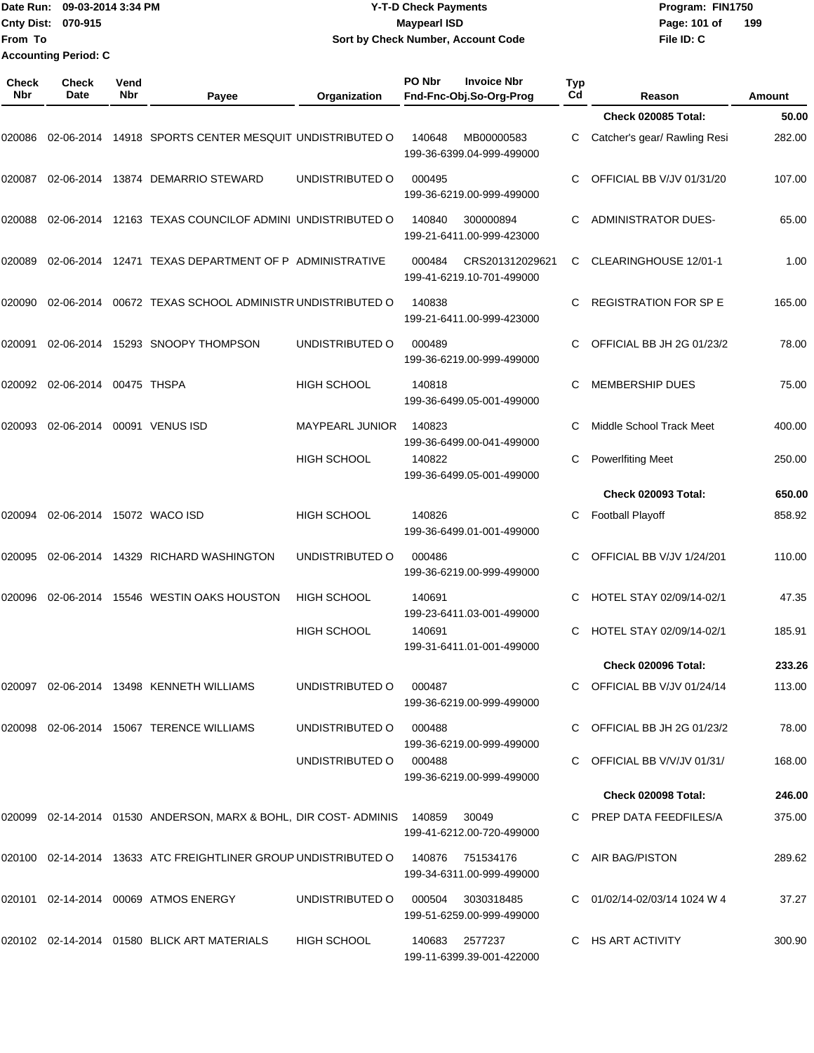|                             | Date Run: 09-03-2014 3:34 PM | <b>Y-T-D Check Payments</b>        | Program: FIN1750    |  |  |  |
|-----------------------------|------------------------------|------------------------------------|---------------------|--|--|--|
| <b>Cnty Dist: 070-915</b>   |                              | <b>Mavpearl ISD</b>                | 199<br>Page: 101 of |  |  |  |
| <b>IFrom To</b>             |                              | Sort by Check Number, Account Code | File ID: C          |  |  |  |
| <b>Accounting Period: C</b> |                              |                                    |                     |  |  |  |

| <b>Check</b><br>Nbr | Check<br>Date             | Vend<br>Nbr | Payee                                                                  | Organization       | PO Nbr | <b>Invoice Nbr</b><br>Fnd-Fnc-Obj.So-Org-Prog | Typ<br>Cd | Reason                       | Amount |
|---------------------|---------------------------|-------------|------------------------------------------------------------------------|--------------------|--------|-----------------------------------------------|-----------|------------------------------|--------|
|                     |                           |             |                                                                        |                    |        |                                               |           | <b>Check 020085 Total:</b>   | 50.00  |
| 020086              |                           |             | 02-06-2014 14918 SPORTS CENTER MESQUIT UNDISTRIBUTED O                 |                    | 140648 | MB00000583<br>199-36-6399.04-999-499000       | C         | Catcher's gear/ Rawling Resi | 282.00 |
| 020087              |                           |             | 02-06-2014 13874 DEMARRIO STEWARD                                      | UNDISTRIBUTED O    | 000495 | 199-36-6219.00-999-499000                     | C.        | OFFICIAL BB V/JV 01/31/20    | 107.00 |
| 020088              |                           |             | 02-06-2014 12163 TEXAS COUNCILOF ADMINI UNDISTRIBUTED O                |                    | 140840 | 300000894<br>199-21-6411.00-999-423000        | C         | <b>ADMINISTRATOR DUES-</b>   | 65.00  |
| 020089              |                           |             | 02-06-2014 12471 TEXAS DEPARTMENT OF P ADMINISTRATIVE                  |                    | 000484 | CRS201312029621<br>199-41-6219.10-701-499000  | C         | CLEARINGHOUSE 12/01-1        | 1.00   |
| 020090              | 02-06-2014                |             | 00672 TEXAS SCHOOL ADMINISTR UNDISTRIBUTED O                           |                    | 140838 | 199-21-6411.00-999-423000                     | C         | <b>REGISTRATION FOR SP E</b> | 165.00 |
| 020091              |                           |             | 02-06-2014 15293 SNOOPY THOMPSON                                       | UNDISTRIBUTED O    | 000489 | 199-36-6219.00-999-499000                     | C.        | OFFICIAL BB JH 2G 01/23/2    | 78.00  |
| 020092              | 02-06-2014 00475 THSPA    |             |                                                                        | <b>HIGH SCHOOL</b> | 140818 | 199-36-6499.05-001-499000                     | C.        | <b>MEMBERSHIP DUES</b>       | 75.00  |
| 020093              | 02-06-2014                |             | 00091 VENUS ISD                                                        | MAYPEARL JUNIOR    | 140823 | 199-36-6499.00-041-499000                     | C.        | Middle School Track Meet     | 400.00 |
|                     |                           |             |                                                                        | <b>HIGH SCHOOL</b> | 140822 | 199-36-6499.05-001-499000                     | С         | <b>PowerIfiting Meet</b>     | 250.00 |
|                     |                           |             |                                                                        |                    |        |                                               |           | <b>Check 020093 Total:</b>   | 650.00 |
| 020094              | 02-06-2014 15072 WACO ISD |             |                                                                        | <b>HIGH SCHOOL</b> | 140826 | 199-36-6499.01-001-499000                     | C         | <b>Football Playoff</b>      | 858.92 |
| 020095              |                           |             | 02-06-2014 14329 RICHARD WASHINGTON                                    | UNDISTRIBUTED O    | 000486 | 199-36-6219.00-999-499000                     | C.        | OFFICIAL BB V/JV 1/24/201    | 110.00 |
| 020096              | 02-06-2014                |             | 15546 WESTIN OAKS HOUSTON                                              | <b>HIGH SCHOOL</b> | 140691 | 199-23-6411.03-001-499000                     | C         | HOTEL STAY 02/09/14-02/1     | 47.35  |
|                     |                           |             |                                                                        | <b>HIGH SCHOOL</b> | 140691 | 199-31-6411.01-001-499000                     | C         | HOTEL STAY 02/09/14-02/1     | 185.91 |
|                     |                           |             |                                                                        |                    |        |                                               |           | <b>Check 020096 Total:</b>   | 233.26 |
|                     |                           |             | 020097 02-06-2014 13498 KENNETH WILLIAMS                               | UNDISTRIBUTED O    | 000487 | 199-36-6219.00-999-499000                     |           | C OFFICIAL BB V/JV 01/24/14  | 113.00 |
|                     |                           |             | 020098 02-06-2014 15067 TERENCE WILLIAMS                               | UNDISTRIBUTED O    | 000488 | 199-36-6219.00-999-499000                     |           | C OFFICIAL BB JH 2G 01/23/2  | 78.00  |
|                     |                           |             |                                                                        | UNDISTRIBUTED O    | 000488 | 199-36-6219.00-999-499000                     |           | C OFFICIAL BB V/V/JV 01/31/  | 168.00 |
|                     |                           |             |                                                                        |                    |        |                                               |           | <b>Check 020098 Total:</b>   | 246.00 |
|                     |                           |             | 020099 02-14-2014 01530 ANDERSON, MARX & BOHL, DIR COST-ADMINIS 140859 |                    |        | 30049<br>199-41-6212.00-720-499000            |           | C PREP DATA FEEDFILES/A      | 375.00 |
|                     |                           |             | 020100  02-14-2014  13633  ATC FREIGHTLINER GROUP UNDISTRIBUTED O      |                    | 140876 | 751534176<br>199-34-6311.00-999-499000        |           | C AIR BAG/PISTON             | 289.62 |
|                     |                           |             | 020101 02-14-2014 00069 ATMOS ENERGY                                   | UNDISTRIBUTED O    | 000504 | 3030318485<br>199-51-6259.00-999-499000       |           | C 01/02/14-02/03/14 1024 W 4 | 37.27  |
|                     |                           |             | 020102 02-14-2014 01580 BLICK ART MATERIALS                            | HIGH SCHOOL        |        | 140683 2577237<br>199-11-6399.39-001-422000   |           | C HS ART ACTIVITY            | 300.90 |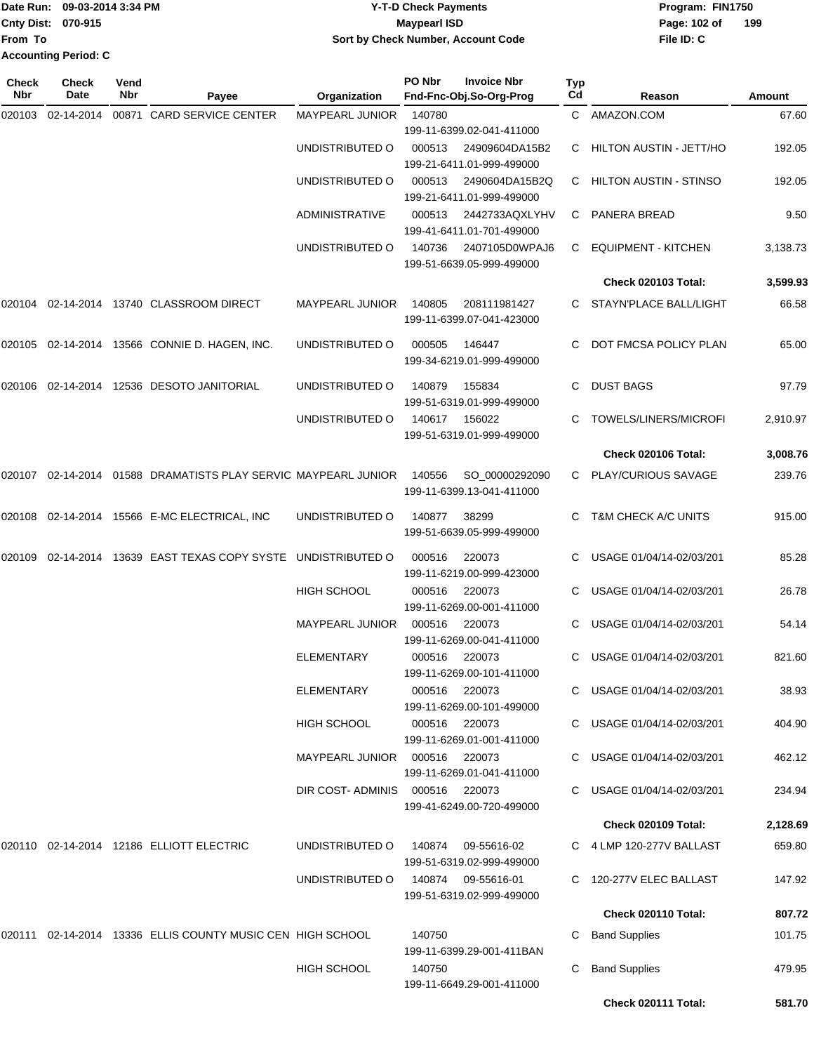| Date Run: 09-03-2014 3:34 PM |                             | <b>Y-T-D Check Payments</b>        | Program: FIN1750    |  |  |  |
|------------------------------|-----------------------------|------------------------------------|---------------------|--|--|--|
| <b>Cnty Dist: 070-915</b>    |                             | <b>Mavpearl ISD</b>                | 199<br>Page: 102 of |  |  |  |
| <b>From To</b>               |                             | Sort by Check Number, Account Code | File ID: C          |  |  |  |
|                              | <b>Accounting Period: C</b> |                                    |                     |  |  |  |

| Check<br>Nbr | Check<br>Date | Vend<br>Nbr | Payee                                                             | Organization                    | PO Nbr | <b>Invoice Nbr</b><br>Fnd-Fnc-Obj.So-Org-Prog          | <b>Typ</b><br>Cd | Reason                         | Amount   |
|--------------|---------------|-------------|-------------------------------------------------------------------|---------------------------------|--------|--------------------------------------------------------|------------------|--------------------------------|----------|
| 020103       | 02-14-2014    |             | 00871 CARD SERVICE CENTER                                         | <b>MAYPEARL JUNIOR</b>          | 140780 |                                                        |                  | C AMAZON.COM                   | 67.60    |
|              |               |             |                                                                   |                                 |        | 199-11-6399.02-041-411000                              |                  |                                |          |
|              |               |             |                                                                   | UNDISTRIBUTED O                 | 000513 | 24909604DA15B2                                         | C.               | HILTON AUSTIN - JETT/HO        | 192.05   |
|              |               |             |                                                                   |                                 |        | 199-21-6411.01-999-499000                              |                  |                                |          |
|              |               |             |                                                                   | UNDISTRIBUTED O                 | 000513 | 2490604DA15B2Q<br>199-21-6411.01-999-499000            | C.               | HILTON AUSTIN - STINSO         | 192.05   |
|              |               |             |                                                                   | <b>ADMINISTRATIVE</b>           | 000513 | 2442733AQXLYHV<br>199-41-6411.01-701-499000            | C.               | PANERA BREAD                   | 9.50     |
|              |               |             |                                                                   | UNDISTRIBUTED O                 | 140736 | 2407105D0WPAJ6<br>199-51-6639.05-999-499000            | C                | <b>EQUIPMENT - KITCHEN</b>     | 3,138.73 |
|              |               |             |                                                                   |                                 |        |                                                        |                  | <b>Check 020103 Total:</b>     | 3,599.93 |
| 020104       |               |             | 02-14-2014  13740  CLASSROOM DIRECT                               | <b>MAYPEARL JUNIOR</b>          | 140805 | 208111981427<br>199-11-6399.07-041-423000              |                  | STAYN'PLACE BALL/LIGHT         | 66.58    |
|              |               |             | 020105 02-14-2014 13566 CONNIE D. HAGEN, INC.                     | UNDISTRIBUTED O                 | 000505 | 146447<br>199-34-6219.01-999-499000                    | C.               | DOT FMCSA POLICY PLAN          | 65.00    |
|              |               |             |                                                                   |                                 |        |                                                        |                  |                                |          |
| 020106       |               |             | 02-14-2014 12536 DESOTO JANITORIAL                                | UNDISTRIBUTED O                 | 140879 | 155834<br>199-51-6319.01-999-499000                    | C.               | <b>DUST BAGS</b>               | 97.79    |
|              |               |             |                                                                   | UNDISTRIBUTED O                 | 140617 | 156022<br>199-51-6319.01-999-499000                    |                  | TOWELS/LINERS/MICROFI          | 2,910.97 |
|              |               |             |                                                                   |                                 |        |                                                        |                  | Check 020106 Total:            | 3,008.76 |
|              |               |             | 020107  02-14-2014  01588  DRAMATISTS PLAY SERVIC MAYPEARL JUNIOR |                                 | 140556 | SO_00000292090<br>199-11-6399.13-041-411000            |                  | C PLAY/CURIOUS SAVAGE          | 239.76   |
|              |               |             | 020108  02-14-2014  15566  E-MC ELECTRICAL, INC                   | UNDISTRIBUTED O                 | 140877 | 38299<br>199-51-6639.05-999-499000                     |                  | <b>T&amp;M CHECK A/C UNITS</b> | 915.00   |
| 020109       |               |             | 02-14-2014 13639 EAST TEXAS COPY SYSTE                            | UNDISTRIBUTED O                 | 000516 | 220073<br>199-11-6219.00-999-423000                    |                  | USAGE 01/04/14-02/03/201       | 85.28    |
|              |               |             |                                                                   | <b>HIGH SCHOOL</b>              | 000516 | 220073<br>199-11-6269.00-001-411000                    |                  | USAGE 01/04/14-02/03/201       | 26.78    |
|              |               |             |                                                                   | <b>MAYPEARL JUNIOR</b>          | 000516 | 220073<br>199-11-6269.00-041-411000                    |                  | USAGE 01/04/14-02/03/201       | 54.14    |
|              |               |             |                                                                   | ELEMENTARY                      | 000516 | 220073<br>199-11-6269.00-101-411000                    |                  | USAGE 01/04/14-02/03/201       | 821.60   |
|              |               |             |                                                                   | ELEMENTARY                      | 000516 | 220073<br>199-11-6269.00-101-499000                    |                  | C USAGE 01/04/14-02/03/201     | 38.93    |
|              |               |             |                                                                   | <b>HIGH SCHOOL</b>              |        | 000516 220073<br>199-11-6269.01-001-411000             |                  | C USAGE 01/04/14-02/03/201     | 404.90   |
|              |               |             |                                                                   | MAYPEARL JUNIOR  000516  220073 |        | 199-11-6269.01-041-411000                              |                  | C USAGE 01/04/14-02/03/201     | 462.12   |
|              |               |             |                                                                   | DIR COST-ADMINIS 000516 220073  |        | 199-41-6249.00-720-499000                              |                  | C USAGE 01/04/14-02/03/201     | 234.94   |
|              |               |             |                                                                   |                                 |        |                                                        |                  | Check 020109 Total:            | 2,128.69 |
|              |               |             | 020110  02-14-2014  12186  ELLIOTT ELECTRIC                       | UNDISTRIBUTED O                 | 140874 | 09-55616-02<br>199-51-6319.02-999-499000               |                  | C 4 LMP 120-277V BALLAST       | 659.80   |
|              |               |             |                                                                   | UNDISTRIBUTED O                 |        | 140874 09-55616-01<br>199-51-6319.02-999-499000        |                  | C 120-277V ELEC BALLAST        | 147.92   |
|              |               |             |                                                                   |                                 |        |                                                        |                  | Check 020110 Total:            | 807.72   |
|              |               |             | 020111  02-14-2014  13336  ELLIS COUNTY MUSIC CEN HIGH SCHOOL     |                                 | 140750 |                                                        | C.               | <b>Band Supplies</b>           | 101.75   |
|              |               |             |                                                                   | HIGH SCHOOL                     | 140750 | 199-11-6399.29-001-411BAN<br>199-11-6649.29-001-411000 |                  | <b>Band Supplies</b>           | 479.95   |
|              |               |             |                                                                   |                                 |        |                                                        |                  | Check 020111 Total:            | 581.70   |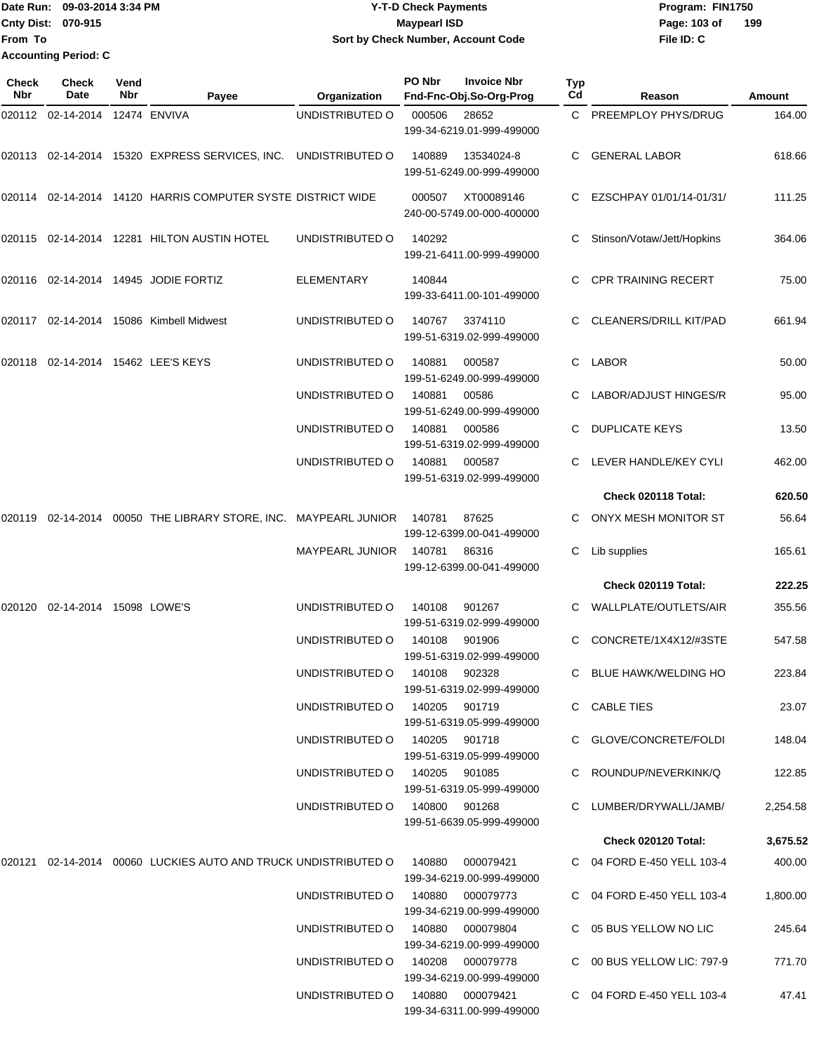Date Run: 09-03-2014 3:34 PM **Program:** FIN1750 **Cnty Dist:** 070-915 **Page:** 103 of **File ID: C From To Y-T-D Check Payments 070-915 Maypearl ISD Sort by Check Number, Account Code 199 Accounting Period: C**

| Check<br>Nbr | Check<br>Date                  | Vend<br>Nbr | Payee                                                                 | Organization                     | PO Nbr        | <b>Invoice Nbr</b><br>Fnd-Fnc-Obj.So-Org-Prog | Typ<br>Cd | Reason                     | Amount   |
|--------------|--------------------------------|-------------|-----------------------------------------------------------------------|----------------------------------|---------------|-----------------------------------------------|-----------|----------------------------|----------|
|              | 020112 02-14-2014 12474 ENVIVA |             |                                                                       | UNDISTRIBUTED O                  | 000506        | 28652<br>199-34-6219.01-999-499000            |           | C PREEMPLOY PHYS/DRUG      | 164.00   |
|              |                                |             | 020113 02-14-2014 15320 EXPRESS SERVICES, INC. UNDISTRIBUTED O        |                                  | 140889        | 13534024-8<br>199-51-6249.00-999-499000       | C.        | <b>GENERAL LABOR</b>       | 618.66   |
|              |                                |             | 020114  02-14-2014  14120  HARRIS COMPUTER SYSTE DISTRICT WIDE        |                                  | 000507        | XT00089146<br>240-00-5749.00-000-400000       |           | EZSCHPAY 01/01/14-01/31/   | 111.25   |
|              |                                |             | 020115  02-14-2014  12281  HILTON AUSTIN HOTEL                        | UNDISTRIBUTED O                  | 140292        | 199-21-6411.00-999-499000                     |           | Stinson/Votaw/Jett/Hopkins | 364.06   |
|              |                                |             | 020116  02-14-2014  14945  JODIE FORTIZ                               | <b>ELEMENTARY</b>                | 140844        | 199-33-6411.00-101-499000                     | C.        | <b>CPR TRAINING RECERT</b> | 75.00    |
|              |                                |             | 020117 02-14-2014 15086 Kimbell Midwest                               | UNDISTRIBUTED O                  | 140767        | 3374110<br>199-51-6319.02-999-499000          | C.        | CLEANERS/DRILL KIT/PAD     | 661.94   |
|              |                                |             | 020118  02-14-2014  15462  LEE'S KEYS                                 | UNDISTRIBUTED O                  | 140881        | 000587<br>199-51-6249.00-999-499000           | C         | <b>LABOR</b>               | 50.00    |
|              |                                |             |                                                                       | UNDISTRIBUTED O                  | 140881        | 00586<br>199-51-6249.00-999-499000            |           | LABOR/ADJUST HINGES/R      | 95.00    |
|              |                                |             |                                                                       | UNDISTRIBUTED O                  | 140881        | 000586<br>199-51-6319.02-999-499000           |           | <b>DUPLICATE KEYS</b>      | 13.50    |
|              |                                |             |                                                                       | UNDISTRIBUTED O                  | 140881        | 000587<br>199-51-6319.02-999-499000           |           | LEVER HANDLE/KEY CYLI      | 462.00   |
|              |                                |             |                                                                       |                                  |               |                                               |           | Check 020118 Total:        | 620.50   |
| 020119       |                                |             | 02-14-2014 00050 THE LIBRARY STORE, INC. MAYPEARL JUNIOR              |                                  | 140781        | 87625<br>199-12-6399.00-041-499000            |           | ONYX MESH MONITOR ST       | 56.64    |
|              |                                |             |                                                                       | <b>MAYPEARL JUNIOR</b>           | 140781        | 86316<br>199-12-6399.00-041-499000            | C         | Lib supplies               | 165.61   |
|              |                                |             |                                                                       |                                  |               |                                               |           | Check 020119 Total:        | 222.25   |
| 020120       | 02-14-2014 15098 LOWE'S        |             |                                                                       | UNDISTRIBUTED O                  | 140108        | 901267<br>199-51-6319.02-999-499000           | C.        | WALLPLATE/OUTLETS/AIR      | 355.56   |
|              |                                |             |                                                                       | UNDISTRIBUTED O                  | 140108        | 901906<br>199-51-6319.02-999-499000           | C         | CONCRETE/1X4X12/#3STE      | 547.58   |
|              |                                |             |                                                                       | UNDISTRIBUTED O                  | 140108 902328 | 199-51-6319.02-999-499000                     |           | C BLUE HAWK/WELDING HO     | 223.84   |
|              |                                |             |                                                                       | UNDISTRIBUTED 0 140205 901719    |               | 199-51-6319.05-999-499000                     |           | C CABLE TIES               | 23.07    |
|              |                                |             |                                                                       | UNDISTRIBUTED 0 140205 901718    |               | 199-51-6319.05-999-499000                     |           | C GLOVE/CONCRETE/FOLDI     | 148.04   |
|              |                                |             |                                                                       | UNDISTRIBUTED 0 140205 901085    |               | 199-51-6319.05-999-499000                     |           | C ROUNDUP/NEVERKINK/Q      | 122.85   |
|              |                                |             |                                                                       | UNDISTRIBUTED O                  | 140800 901268 | 199-51-6639.05-999-499000                     |           | C LUMBER/DRYWALL/JAMB/     | 2,254.58 |
|              |                                |             |                                                                       |                                  |               |                                               |           | Check 020120 Total:        | 3,675.52 |
|              |                                |             | 020121 02-14-2014 00060 LUCKIES AUTO AND TRUCK UNDISTRIBUTED O 140880 |                                  |               | 000079421<br>199-34-6219.00-999-499000        |           | C 04 FORD E-450 YELL 103-4 | 400.00   |
|              |                                |             |                                                                       | UNDISTRIBUTED O                  |               | 140880 000079773<br>199-34-6219.00-999-499000 |           | C 04 FORD E-450 YELL 103-4 | 1,800.00 |
|              |                                |             |                                                                       | UNDISTRIBUTED O                  |               | 140880 000079804<br>199-34-6219.00-999-499000 |           | C 05 BUS YELLOW NO LIC     | 245.64   |
|              |                                |             |                                                                       | UNDISTRIBUTED O 140208 000079778 |               | 199-34-6219.00-999-499000                     |           | C 00 BUS YELLOW LIC: 797-9 | 771.70   |
|              |                                |             |                                                                       | UNDISTRIBUTED O 140880 000079421 |               | 199-34-6311.00-999-499000                     |           | C 04 FORD E-450 YELL 103-4 | 47.41    |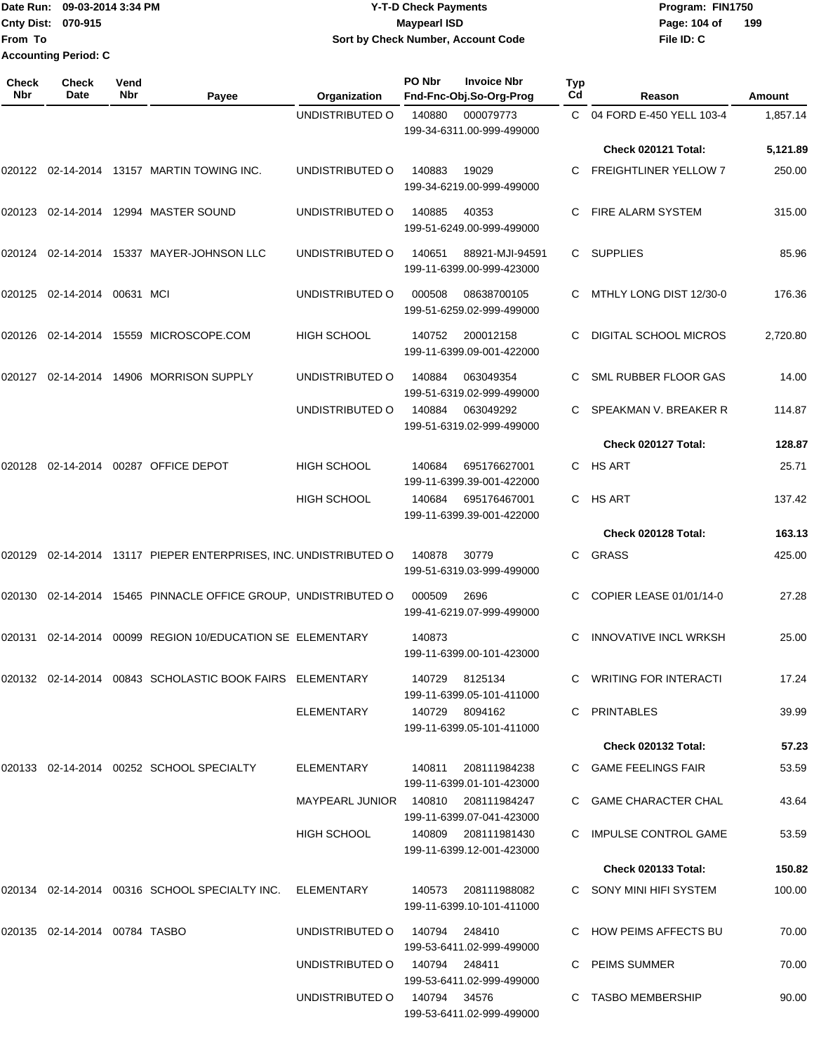### Date Run: 09-03-2014 3:34 PM **Program:** FIN1750 **Cnty Dist:** 070-915 **Page: 104 of MaypearI ISD Page: 104 of Page: 104 of Y-T-D Check Payments 070-915 Maypearl ISD Sort by Check Number, Account Code**

| <b>Check</b><br><b>Nbr</b> | <b>Check</b><br>Date          | Vend<br>Nbr | Payee                                                     | Organization                        | PO Nbr | <b>Invoice Nbr</b><br>Fnd-Fnc-Obj.So-Org-Prog    | Typ<br>Cd | Reason                       | Amount   |
|----------------------------|-------------------------------|-------------|-----------------------------------------------------------|-------------------------------------|--------|--------------------------------------------------|-----------|------------------------------|----------|
|                            |                               |             |                                                           | UNDISTRIBUTED O                     | 140880 | 000079773<br>199-34-6311.00-999-499000           | C.        | 04 FORD E-450 YELL 103-4     | 1.857.14 |
|                            |                               |             |                                                           |                                     |        |                                                  |           | Check 020121 Total:          | 5,121.89 |
| 020122                     |                               |             | 02-14-2014 13157 MARTIN TOWING INC.                       | UNDISTRIBUTED O                     | 140883 | 19029<br>199-34-6219.00-999-499000               | C.        | <b>FREIGHTLINER YELLOW 7</b> | 250.00   |
| 020123                     |                               |             | 02-14-2014  12994  MASTER SOUND                           | UNDISTRIBUTED O                     | 140885 | 40353<br>199-51-6249.00-999-499000               |           | <b>FIRE ALARM SYSTEM</b>     | 315.00   |
| 020124                     |                               |             | 02-14-2014  15337  MAYER-JOHNSON LLC                      | UNDISTRIBUTED O                     | 140651 | 88921-MJI-94591<br>199-11-6399.00-999-423000     | C.        | <b>SUPPLIES</b>              | 85.96    |
| 020125                     | 02-14-2014                    | 00631 MCI   |                                                           | UNDISTRIBUTED O                     | 000508 | 08638700105<br>199-51-6259.02-999-499000         | С         | MTHLY LONG DIST 12/30-0      | 176.36   |
| 020126                     | 02-14-2014                    |             | 15559 MICROSCOPE.COM                                      | <b>HIGH SCHOOL</b>                  | 140752 | 200012158<br>199-11-6399.09-001-422000           | C         | DIGITAL SCHOOL MICROS        | 2,720.80 |
| 020127                     |                               |             | 02-14-2014  14906  MORRISON SUPPLY                        | UNDISTRIBUTED O                     | 140884 | 063049354<br>199-51-6319.02-999-499000           |           | SML RUBBER FLOOR GAS         | 14.00    |
|                            |                               |             |                                                           | UNDISTRIBUTED O                     | 140884 | 063049292<br>199-51-6319.02-999-499000           | С         | SPEAKMAN V. BREAKER R        | 114.87   |
|                            |                               |             |                                                           |                                     |        |                                                  |           | Check 020127 Total:          | 128.87   |
| 020128                     | 02-14-2014                    |             | 00287 OFFICE DEPOT                                        | <b>HIGH SCHOOL</b>                  | 140684 | 695176627001<br>199-11-6399.39-001-422000        |           | C HS ART                     | 25.71    |
|                            |                               |             |                                                           | <b>HIGH SCHOOL</b>                  | 140684 | 695176467001<br>199-11-6399.39-001-422000        |           | C HS ART                     | 137.42   |
|                            |                               |             |                                                           |                                     |        |                                                  |           | Check 020128 Total:          | 163.13   |
| 020129                     |                               |             | 02-14-2014 13117 PIEPER ENTERPRISES, INC. UNDISTRIBUTED O |                                     | 140878 | 30779<br>199-51-6319.03-999-499000               | C.        | GRASS                        | 425.00   |
| 020130                     |                               |             | 02-14-2014 15465 PINNACLE OFFICE GROUP, UNDISTRIBUTED O   |                                     | 000509 | 2696<br>199-41-6219.07-999-499000                |           | COPIER LEASE 01/01/14-0      | 27.28    |
| 020131                     | 02-14-2014                    |             | 00099 REGION 10/EDUCATION SE ELEMENTARY                   |                                     | 140873 | 199-11-6399.00-101-423000                        | C         | <b>INNOVATIVE INCL WRKSH</b> | 25.00    |
|                            |                               |             | 020132 02-14-2014 00843 SCHOLASTIC BOOK FAIRS ELEMENTARY  |                                     |        | 140729 8125134<br>199-11-6399.05-101-411000      |           | C WRITING FOR INTERACTI      | 17.24    |
|                            |                               |             |                                                           | ELEMENTARY                          |        | 140729 8094162<br>199-11-6399.05-101-411000      |           | C PRINTABLES                 | 39.99    |
|                            |                               |             |                                                           |                                     |        |                                                  |           | Check 020132 Total:          | 57.23    |
|                            |                               |             | 020133 02-14-2014 00252 SCHOOL SPECIALTY                  | ELEMENTARY                          | 140811 | 208111984238<br>199-11-6399.01-101-423000        |           | C GAME FEELINGS FAIR         | 53.59    |
|                            |                               |             |                                                           | MAYPEARL JUNIOR 140810 208111984247 |        | 199-11-6399.07-041-423000                        |           | C GAME CHARACTER CHAL        | 43.64    |
|                            |                               |             |                                                           | HIGH SCHOOL                         |        | 140809 208111981430<br>199-11-6399.12-001-423000 |           | C IMPULSE CONTROL GAME       | 53.59    |
|                            |                               |             |                                                           |                                     |        |                                                  |           | <b>Check 020133 Total:</b>   | 150.82   |
|                            |                               |             | 020134 02-14-2014 00316 SCHOOL SPECIALTY INC.             | ELEMENTARY                          | 140573 | 208111988082<br>199-11-6399.10-101-411000        |           | C SONY MINI HIFI SYSTEM      | 100.00   |
|                            | 020135 02-14-2014 00784 TASBO |             |                                                           | UNDISTRIBUTED O                     | 140794 | 248410<br>199-53-6411.02-999-499000              |           | C HOW PEIMS AFFECTS BU       | 70.00    |
|                            |                               |             |                                                           | UNDISTRIBUTED O 140794 248411       |        | 199-53-6411.02-999-499000                        |           | C PEIMS SUMMER               | 70.00    |
|                            |                               |             |                                                           | UNDISTRIBUTED 0 140794 34576        |        | 199-53-6411.02-999-499000                        |           | C TASBO MEMBERSHIP           | 90.00    |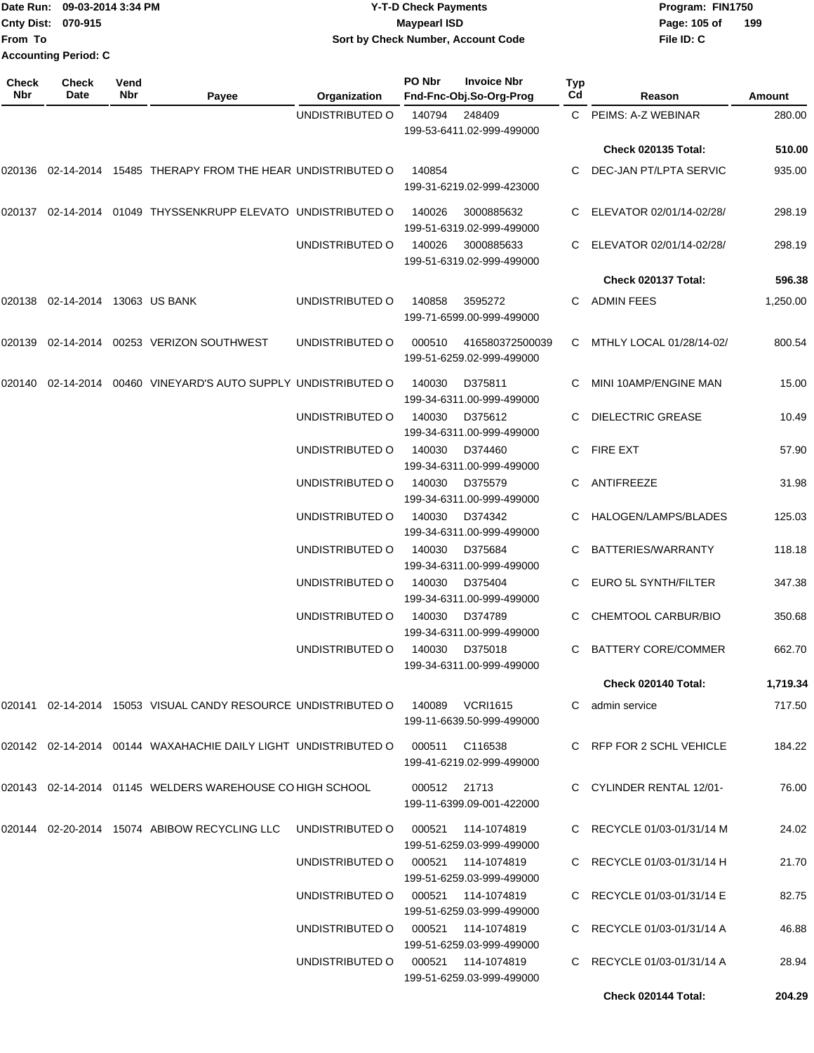| Date Run: 09-03-2014 3:34 PM         | <b>Y-T-D Check Payments</b>         | Program: FIN1750    |  |  |
|--------------------------------------|-------------------------------------|---------------------|--|--|
| <b>Cnty Dist: 070-915</b>            | <b>Maypearl ISD</b>                 | 199<br>Page: 105 of |  |  |
| <b>From To</b>                       | Sort by Check Number, Account Code  | File ID: C          |  |  |
| <b>Accounting Period: C</b>          |                                     |                     |  |  |
| <b>Check</b><br><b>Check</b><br>Vend | PO Nbr<br><b>Invoice Nbr</b><br>Typ |                     |  |  |

| Nbr    | Date                     | Nbr | Payee                                                                         | Organization    | Fnd-Fnc-Obj.So-Org-Prog                                         | Cd           | Reason                     | Amount   |
|--------|--------------------------|-----|-------------------------------------------------------------------------------|-----------------|-----------------------------------------------------------------|--------------|----------------------------|----------|
|        |                          |     |                                                                               | UNDISTRIBUTED O | 140794<br>248409<br>199-53-6411.02-999-499000                   | $\mathsf{C}$ | PEIMS: A-Z WEBINAR         | 280.00   |
|        |                          |     |                                                                               |                 |                                                                 |              | <b>Check 020135 Total:</b> | 510.00   |
|        |                          |     | 020136 02-14-2014 15485 THERAPY FROM THE HEAR UNDISTRIBUTED O                 |                 | 140854<br>199-31-6219.02-999-423000                             | C.           | DEC-JAN PT/LPTA SERVIC     | 935.00   |
|        |                          |     | 020137 02-14-2014 01049 THYSSENKRUPP ELEVATO UNDISTRIBUTED O                  |                 | 140026<br>3000885632<br>199-51-6319.02-999-499000               |              | ELEVATOR 02/01/14-02/28/   | 298.19   |
|        |                          |     |                                                                               | UNDISTRIBUTED O | 140026<br>3000885633<br>199-51-6319.02-999-499000               |              | ELEVATOR 02/01/14-02/28/   | 298.19   |
|        |                          |     |                                                                               |                 |                                                                 |              | Check 020137 Total:        | 596.38   |
| 020138 | 02-14-2014 13063 US BANK |     |                                                                               | UNDISTRIBUTED O | 140858<br>3595272<br>199-71-6599.00-999-499000                  |              | C ADMIN FEES               | 1,250.00 |
| 020139 |                          |     | 02-14-2014    00253    VERIZON SOUTHWEST                                      | UNDISTRIBUTED O | 000510<br>416580372500039<br>199-51-6259.02-999-499000          | C.           | MTHLY LOCAL 01/28/14-02/   | 800.54   |
| 020140 | 02-14-2014               |     | 00460 VINEYARD'S AUTO SUPPLY UNDISTRIBUTED O                                  |                 | 140030<br>D375811<br>199-34-6311.00-999-499000                  | C.           | MINI 10AMP/ENGINE MAN      | 15.00    |
|        |                          |     |                                                                               | UNDISTRIBUTED O | 140030<br>D375612<br>199-34-6311.00-999-499000                  |              | <b>DIELECTRIC GREASE</b>   | 10.49    |
|        |                          |     |                                                                               | UNDISTRIBUTED O | 140030<br>D374460<br>199-34-6311.00-999-499000                  | C.           | <b>FIRE EXT</b>            | 57.90    |
|        |                          |     |                                                                               | UNDISTRIBUTED O | 140030<br>D375579<br>199-34-6311.00-999-499000                  | C.           | ANTIFREEZE                 | 31.98    |
|        |                          |     |                                                                               | UNDISTRIBUTED O | 140030<br>D374342<br>199-34-6311.00-999-499000                  |              | HALOGEN/LAMPS/BLADES       | 125.03   |
|        |                          |     |                                                                               | UNDISTRIBUTED O | 140030<br>D375684<br>199-34-6311.00-999-499000                  | C            | BATTERIES/WARRANTY         | 118.18   |
|        |                          |     |                                                                               | UNDISTRIBUTED O | 140030<br>D375404<br>199-34-6311.00-999-499000                  | C.           | EURO 5L SYNTH/FILTER       | 347.38   |
|        |                          |     |                                                                               | UNDISTRIBUTED O | 140030<br>D374789<br>199-34-6311.00-999-499000                  |              | CHEMTOOL CARBUR/BIO        | 350.68   |
|        |                          |     |                                                                               | UNDISTRIBUTED O | 140030<br>D375018<br>199-34-6311.00-999-499000                  | C            | <b>BATTERY CORE/COMMER</b> | 662.70   |
|        |                          |     |                                                                               |                 |                                                                 |              | Check 020140 Total:        | 1,719.34 |
|        |                          |     | 020141 02-14-2014 15053 VISUAL CANDY RESOURCE UNDISTRIBUTED O 140089 VCRI1615 |                 | 199-11-6639.50-999-499000                                       |              | C admin service            | 717.50   |
|        |                          |     | l020142 02-14-2014 00144 WAXAHACHIE DAILY LIGHT_UNDISTRIBUTED O               |                 | 000511 C116538<br>199-41-6219.02-999-499000                     |              | C RFP FOR 2 SCHL VEHICLE   | 184.22   |
|        |                          |     | 020143 02-14-2014 01145 WELDERS WAREHOUSE CO HIGH SCHOOL                      |                 | 000512 21713<br>199-11-6399.09-001-422000                       |              | C CYLINDER RENTAL 12/01-   | 76.00    |
|        |                          |     | 020144 02-20-2014 15074 ABIBOW RECYCLING LLC                                  | UNDISTRIBUTED O | 199-51-6259.03-999-499000                                       |              | C RECYCLE 01/03-01/31/14 M | 24.02    |
|        |                          |     |                                                                               |                 | UNDISTRIBUTED O 000521 114-1074819<br>199-51-6259.03-999-499000 |              | C RECYCLE 01/03-01/31/14 H | 21.70    |
|        |                          |     |                                                                               |                 | UNDISTRIBUTED O 000521 114-1074819<br>199-51-6259.03-999-499000 |              | C RECYCLE 01/03-01/31/14 E | 82.75    |
|        |                          |     |                                                                               |                 | UNDISTRIBUTED O 000521 114-1074819<br>199-51-6259.03-999-499000 |              | C RECYCLE 01/03-01/31/14 A | 46.88    |
|        |                          |     |                                                                               | UNDISTRIBUTED O | 199-51-6259.03-999-499000                                       |              | C RECYCLE 01/03-01/31/14 A | 28.94    |
|        |                          |     |                                                                               |                 |                                                                 |              | Check 020144 Total:        | 204.29   |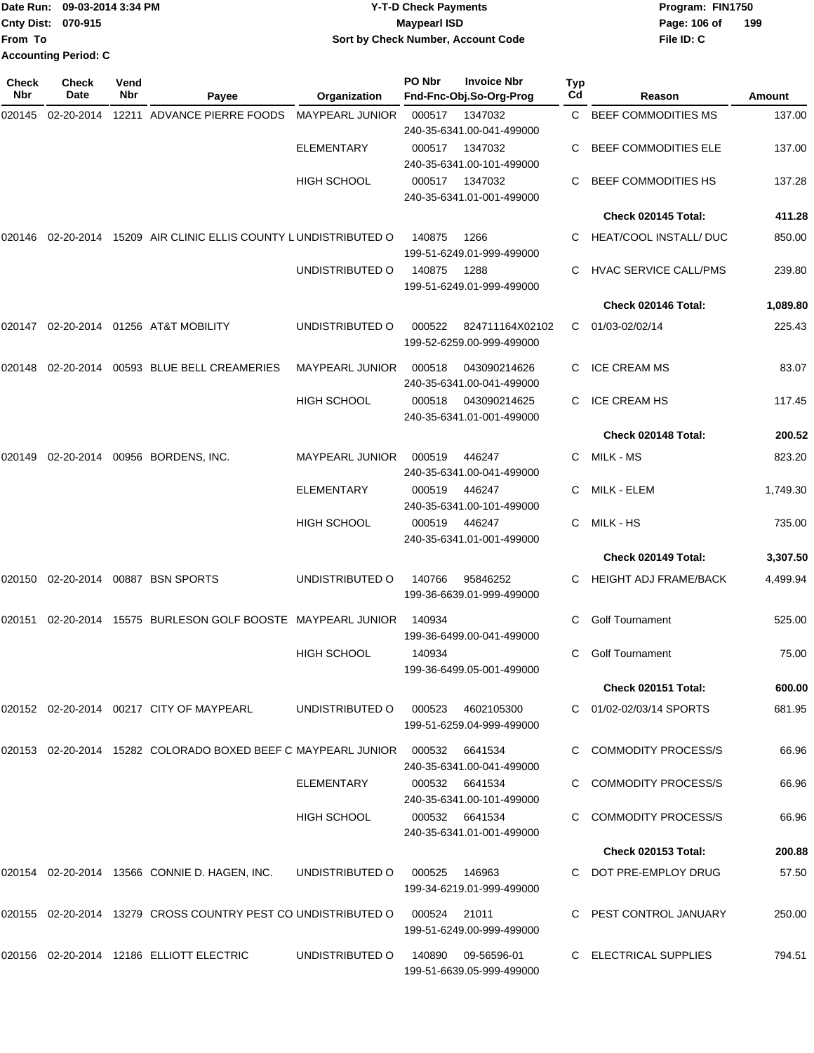|                             | Date Run: 09-03-2014 3:34 PM | <b>Y-T-D Check Payments</b>        | Program: FIN1750    |  |  |
|-----------------------------|------------------------------|------------------------------------|---------------------|--|--|
| <b>Cnty Dist: 070-915</b>   |                              | <b>Mavpearl ISD</b>                | 199<br>Page: 106 of |  |  |
| <b>From To</b>              |                              | Sort by Check Number, Account Code | File ID: C          |  |  |
| <b>Accounting Period: C</b> |                              |                                    |                     |  |  |

| <b>Check</b><br>Nbr | Check<br>Date | Vend<br>Nbr | Payee                                                                        | Organization           | PO Nbr | <b>Invoice Nbr</b><br>Fnd-Fnc-Obj.So-Org-Prog   | Typ<br>Cd | Reason                        | Amount   |
|---------------------|---------------|-------------|------------------------------------------------------------------------------|------------------------|--------|-------------------------------------------------|-----------|-------------------------------|----------|
| 020145              | 02-20-2014    |             | 12211 ADVANCE PIERRE FOODS                                                   | <b>MAYPEARL JUNIOR</b> | 000517 | 1347032<br>240-35-6341.00-041-499000            |           | C BEEF COMMODITIES MS         | 137.00   |
|                     |               |             |                                                                              | <b>ELEMENTARY</b>      | 000517 | 1347032<br>240-35-6341.00-101-499000            |           | <b>BEEF COMMODITIES ELE</b>   | 137.00   |
|                     |               |             |                                                                              | <b>HIGH SCHOOL</b>     | 000517 | 1347032<br>240-35-6341.01-001-499000            |           | BEEF COMMODITIES HS           | 137.28   |
|                     |               |             |                                                                              |                        |        |                                                 |           | Check 020145 Total:           | 411.28   |
| 020146              |               |             | 02-20-2014 15209 AIR CLINIC ELLIS COUNTY LUNDISTRIBUTED O                    |                        | 140875 | 1266<br>199-51-6249.01-999-499000               | C.        | <b>HEAT/COOL INSTALL/ DUC</b> | 850.00   |
|                     |               |             |                                                                              | UNDISTRIBUTED O        | 140875 | 1288<br>199-51-6249.01-999-499000               |           | <b>HVAC SERVICE CALL/PMS</b>  | 239.80   |
|                     |               |             |                                                                              |                        |        |                                                 |           | Check 020146 Total:           | 1,089.80 |
| 020147              |               |             | 02-20-2014 01256 AT&T MOBILITY                                               | UNDISTRIBUTED O        | 000522 | 824711164X02102<br>199-52-6259.00-999-499000    | C         | 01/03-02/02/14                | 225.43   |
| 020148              | 02-20-2014    |             | 00593 BLUE BELL CREAMERIES                                                   | <b>MAYPEARL JUNIOR</b> | 000518 | 043090214626<br>240-35-6341.00-041-499000       | С         | <b>ICE CREAM MS</b>           | 83.07    |
|                     |               |             |                                                                              | HIGH SCHOOL            | 000518 | 043090214625<br>240-35-6341.01-001-499000       | С         | ICE CREAM HS                  | 117.45   |
|                     |               |             |                                                                              |                        |        |                                                 |           | Check 020148 Total:           | 200.52   |
| 020149              |               |             | 02-20-2014 00956 BORDENS, INC.                                               | <b>MAYPEARL JUNIOR</b> | 000519 | 446247<br>240-35-6341.00-041-499000             | С         | MILK - MS                     | 823.20   |
|                     |               |             |                                                                              | <b>ELEMENTARY</b>      | 000519 | 446247<br>240-35-6341.00-101-499000             | С         | MILK - ELEM                   | 1,749.30 |
|                     |               |             |                                                                              | HIGH SCHOOL            | 000519 | 446247<br>240-35-6341.01-001-499000             | C         | MILK - HS                     | 735.00   |
|                     |               |             |                                                                              |                        |        |                                                 |           | Check 020149 Total:           | 3,307.50 |
| 020150              |               |             | 02-20-2014 00887 BSN SPORTS                                                  | UNDISTRIBUTED O        | 140766 | 95846252<br>199-36-6639.01-999-499000           | С         | <b>HEIGHT ADJ FRAME/BACK</b>  | 4,499.94 |
| 020151              |               |             | 02-20-2014 15575 BURLESON GOLF BOOSTE MAYPEARL JUNIOR                        |                        | 140934 | 199-36-6499.00-041-499000                       | С         | <b>Golf Tournament</b>        | 525.00   |
|                     |               |             |                                                                              | <b>HIGH SCHOOL</b>     | 140934 | 199-36-6499.05-001-499000                       | С         | <b>Golf Tournament</b>        | 75.00    |
|                     |               |             |                                                                              |                        |        |                                                 |           | <b>Check 020151 Total:</b>    | 600.00   |
|                     |               |             | 020152 02-20-2014 00217 CITY OF MAYPEARL                                     | UNDISTRIBUTED O        |        | 000523 4602105300<br>199-51-6259.04-999-499000  |           | C 01/02-02/03/14 SPORTS       | 681.95   |
|                     |               |             | 020153 02-20-2014 15282 COLORADO BOXED BEEF C MAYPEARL JUNIOR 000532 6641534 |                        |        | 240-35-6341.00-041-499000                       |           | <b>COMMODITY PROCESS/S</b>    | 66.96    |
|                     |               |             |                                                                              | <b>ELEMENTARY</b>      |        | 000532 6641534<br>240-35-6341.00-101-499000     |           | <b>COMMODITY PROCESS/S</b>    | 66.96    |
|                     |               |             |                                                                              | <b>HIGH SCHOOL</b>     |        | 000532 6641534<br>240-35-6341.01-001-499000     |           | <b>COMMODITY PROCESS/S</b>    | 66.96    |
|                     |               |             |                                                                              |                        |        |                                                 |           | <b>Check 020153 Total:</b>    | 200.88   |
|                     |               |             | 020154 02-20-2014 13566 CONNIE D. HAGEN, INC.                                | UNDISTRIBUTED O        | 000525 | 146963<br>199-34-6219.01-999-499000             |           | C DOT PRE-EMPLOY DRUG         | 57.50    |
|                     |               |             | 020155 02-20-2014 13279 CROSS COUNTRY PEST CO UNDISTRIBUTED O                |                        | 000524 | 21011<br>199-51-6249.00-999-499000              |           | C PEST CONTROL JANUARY        | 250.00   |
|                     |               |             | 020156 02-20-2014 12186 ELLIOTT ELECTRIC                                     | UNDISTRIBUTED O        |        | 140890 09-56596-01<br>199-51-6639.05-999-499000 |           | C ELECTRICAL SUPPLIES         | 794.51   |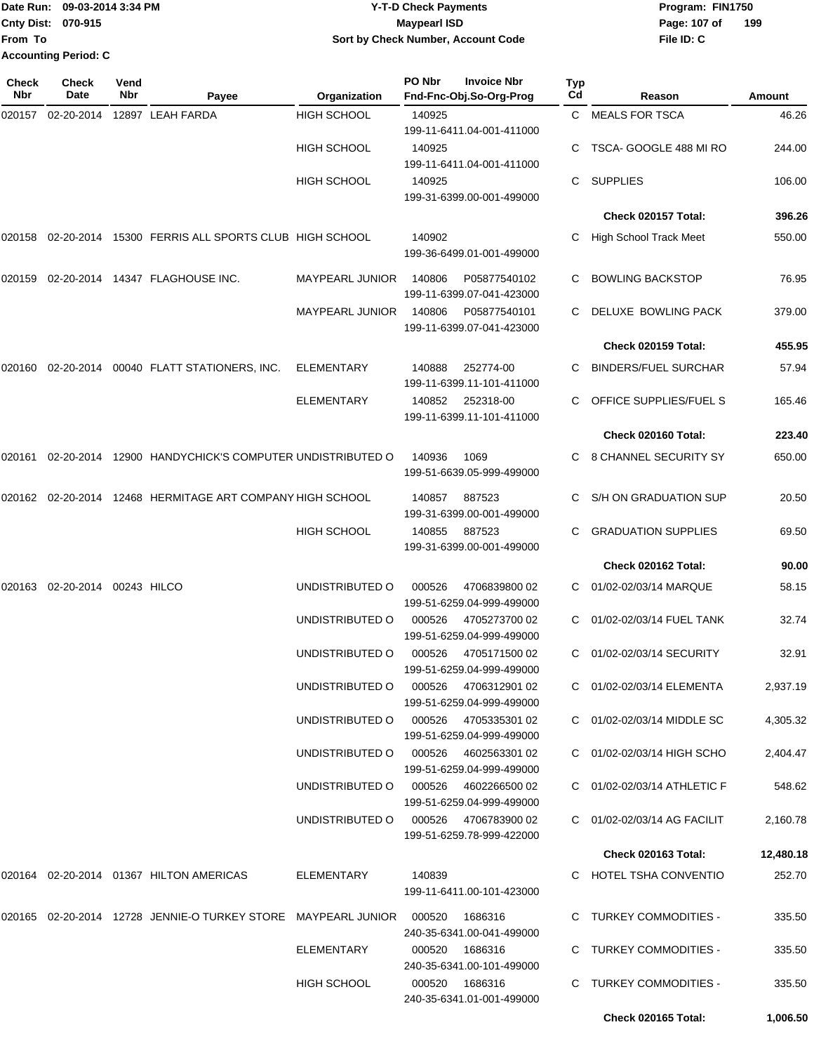|                             | Date Run: 09-03-2014 3:34 PM | <b>Y-T-D Check Payments</b>        | Program: FIN1750 |     |
|-----------------------------|------------------------------|------------------------------------|------------------|-----|
| <b>Cnty Dist: 070-915</b>   |                              | Maypearl ISD                       | Page: 107 of     | 199 |
| From To                     |                              | Sort by Check Number, Account Code | File ID: C       |     |
| <b>Accounting Period: C</b> |                              |                                    |                  |     |

| <b>Check</b><br>Nbr | <b>Check</b><br>Date   | Vend<br>Nbr | Payee                                                                | Organization                         | PO Nbr | <b>Invoice Nbr</b><br>Fnd-Fnc-Obj.So-Org-Prog      | Typ<br>Cd | Reason                      | Amount    |
|---------------------|------------------------|-------------|----------------------------------------------------------------------|--------------------------------------|--------|----------------------------------------------------|-----------|-----------------------------|-----------|
| 020157              | 02-20-2014             |             | 12897 LEAH FARDA                                                     | <b>HIGH SCHOOL</b>                   | 140925 | 199-11-6411.04-001-411000                          | C.        | <b>MEALS FOR TSCA</b>       | 46.26     |
|                     |                        |             |                                                                      | <b>HIGH SCHOOL</b>                   | 140925 | 199-11-6411.04-001-411000                          |           | TSCA- GOOGLE 488 MI RO      | 244.00    |
|                     |                        |             |                                                                      | <b>HIGH SCHOOL</b>                   | 140925 | 199-31-6399.00-001-499000                          | C         | <b>SUPPLIES</b>             | 106.00    |
|                     |                        |             |                                                                      |                                      |        |                                                    |           | Check 020157 Total:         | 396.26    |
| 020158              |                        |             | 02-20-2014 15300 FERRIS ALL SPORTS CLUB HIGH SCHOOL                  |                                      | 140902 | 199-36-6499.01-001-499000                          |           | High School Track Meet      | 550.00    |
| 020159              |                        |             | 02-20-2014  14347  FLAGHOUSE INC.                                    | <b>MAYPEARL JUNIOR</b>               | 140806 | P05877540102<br>199-11-6399.07-041-423000          |           | <b>BOWLING BACKSTOP</b>     | 76.95     |
|                     |                        |             |                                                                      | <b>MAYPEARL JUNIOR</b>               | 140806 | P05877540101<br>199-11-6399.07-041-423000          | C         | DELUXE BOWLING PACK         | 379.00    |
|                     |                        |             |                                                                      |                                      |        |                                                    |           | Check 020159 Total:         | 455.95    |
|                     |                        |             | 020160  02-20-2014  00040  FLATT STATIONERS, INC.                    | <b>ELEMENTARY</b>                    | 140888 | 252774-00<br>199-11-6399.11-101-411000             | C         | <b>BINDERS/FUEL SURCHAR</b> | 57.94     |
|                     |                        |             |                                                                      | ELEMENTARY                           | 140852 | 252318-00<br>199-11-6399.11-101-411000             |           | OFFICE SUPPLIES/FUEL S      | 165.46    |
|                     |                        |             |                                                                      |                                      |        |                                                    |           | Check 020160 Total:         | 223.40    |
| 020161              |                        |             | 02-20-2014 12900 HANDYCHICK'S COMPUTER UNDISTRIBUTED O               |                                      | 140936 | 1069<br>199-51-6639.05-999-499000                  |           | 8 CHANNEL SECURITY SY       | 650.00    |
|                     |                        |             | 020162 02-20-2014 12468 HERMITAGE ART COMPANY HIGH SCHOOL            |                                      | 140857 | 887523<br>199-31-6399.00-001-499000                |           | S/H ON GRADUATION SUP       | 20.50     |
|                     |                        |             |                                                                      | <b>HIGH SCHOOL</b>                   | 140855 | 887523<br>199-31-6399.00-001-499000                |           | <b>GRADUATION SUPPLIES</b>  | 69.50     |
|                     |                        |             |                                                                      |                                      |        |                                                    |           | Check 020162 Total:         | 90.00     |
| 020163              | 02-20-2014 00243 HILCO |             |                                                                      | UNDISTRIBUTED O                      | 000526 | 4706839800 02<br>199-51-6259.04-999-499000         | C         | 01/02-02/03/14 MARQUE       | 58.15     |
|                     |                        |             |                                                                      | UNDISTRIBUTED O                      | 000526 | 4705273700 02<br>199-51-6259.04-999-499000         |           | 01/02-02/03/14 FUEL TANK    | 32.74     |
|                     |                        |             |                                                                      | UNDISTRIBUTED O                      | 000526 | 4705171500 02<br>199-51-6259.04-999-499000         | C         | 01/02-02/03/14 SECURITY     | 32.91     |
|                     |                        |             |                                                                      | UNDISTRIBUTED O                      |        | 000526  4706312901 02<br>199-51-6259.04-999-499000 |           | C 01/02-02/03/14 ELEMENTA   | 2,937.19  |
|                     |                        |             |                                                                      | UNDISTRIBUTED O                      |        | 000526 4705335301 02<br>199-51-6259.04-999-499000  |           | C 01/02-02/03/14 MIDDLE SC  | 4,305.32  |
|                     |                        |             |                                                                      | UNDISTRIBUTED O                      |        | 000526 4602563301 02<br>199-51-6259.04-999-499000  |           | C 01/02-02/03/14 HIGH SCHO  | 2,404.47  |
|                     |                        |             |                                                                      | UNDISTRIBUTED O                      |        | 000526 4602266500 02<br>199-51-6259.04-999-499000  |           | C 01/02-02/03/14 ATHLETIC F | 548.62    |
|                     |                        |             |                                                                      | UNDISTRIBUTED O 000526 4706783900 02 |        | 199-51-6259.78-999-422000                          |           | C 01/02-02/03/14 AG FACILIT | 2,160.78  |
|                     |                        |             |                                                                      |                                      |        |                                                    |           | Check 020163 Total:         | 12,480.18 |
|                     |                        |             | 020164 02-20-2014 01367 HILTON AMERICAS                              | ELEMENTARY                           | 140839 | 199-11-6411.00-101-423000                          |           | C HOTEL TSHA CONVENTIO      | 252.70    |
|                     |                        |             | 020165 02-20-2014 12728 JENNIE-O TURKEY STORE MAYPEARL JUNIOR 000520 |                                      |        | 1686316<br>240-35-6341.00-041-499000               |           | C TURKEY COMMODITIES -      | 335.50    |
|                     |                        |             |                                                                      | ELEMENTARY                           |        | 000520 1686316<br>240-35-6341.00-101-499000        |           | C TURKEY COMMODITIES -      | 335.50    |
|                     |                        |             |                                                                      | HIGH SCHOOL                          |        | 000520 1686316<br>240-35-6341.01-001-499000        |           | C TURKEY COMMODITIES -      | 335.50    |
|                     |                        |             |                                                                      |                                      |        |                                                    |           | <b>Check 020165 Total:</b>  | 1,006.50  |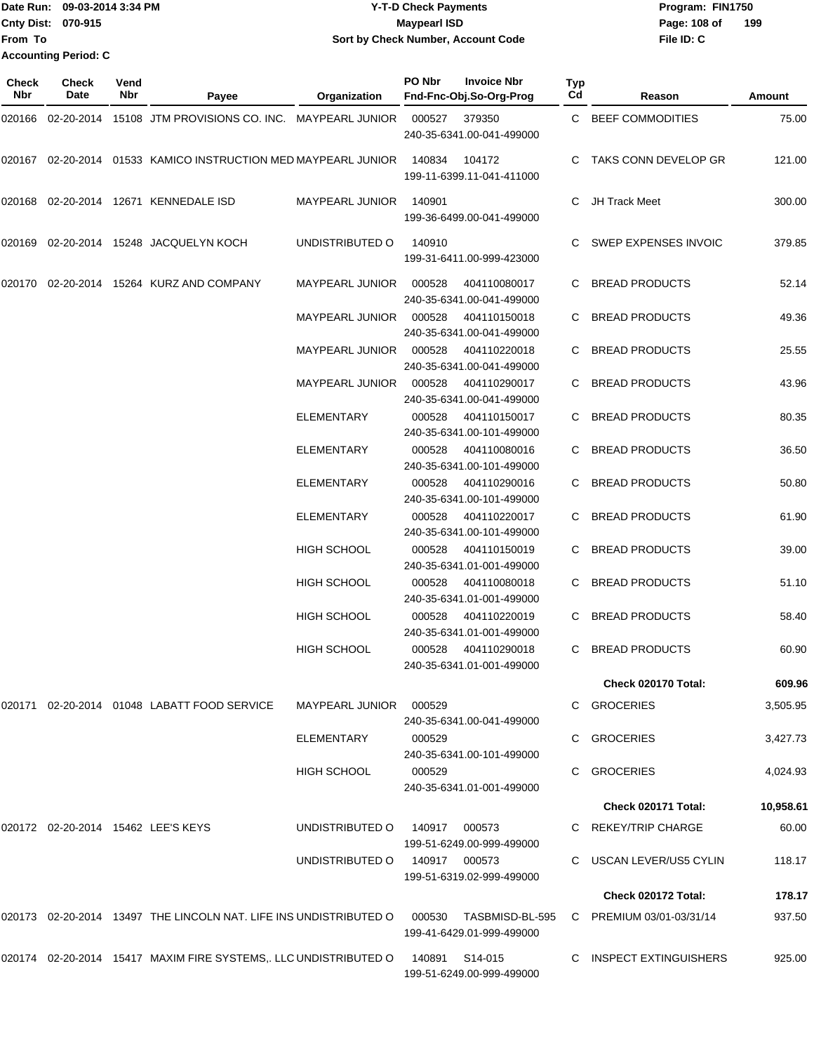|                             | Date Run: 09-03-2014 3:34 PM | <b>Y-T-D Check Payments</b>        | Program: FIN1750 |     |
|-----------------------------|------------------------------|------------------------------------|------------------|-----|
| Cnty Dist: 070-915          |                              | Maypearl ISD                       | Page: 108 of     | 199 |
| From To                     |                              | Sort by Check Number, Account Code | File ID: C       |     |
| <b>Accounting Period: C</b> |                              |                                    |                  |     |

| Check<br>Nbr | <b>Check</b><br>Date | Vend<br>Nbr | Payee                                                                | Organization           | PO Nbr        | <b>Invoice Nbr</b><br>Fnd-Fnc-Obj.So-Org-Prog | Тур<br>Cd | Reason                   | Amount    |
|--------------|----------------------|-------------|----------------------------------------------------------------------|------------------------|---------------|-----------------------------------------------|-----------|--------------------------|-----------|
|              |                      |             | 020166 02-20-2014 15108 JTM PROVISIONS CO. INC. MAYPEARL JUNIOR      |                        | 000527        | 379350<br>240-35-6341.00-041-499000           |           | C BEEF COMMODITIES       | 75.00     |
|              |                      |             | 020167  02-20-2014  01533  KAMICO INSTRUCTION MED MAYPEARL JUNIOR    |                        | 140834        | 104172<br>199-11-6399.11-041-411000           |           | TAKS CONN DEVELOP GR     | 121.00    |
|              |                      |             | 020168 02-20-2014 12671 KENNEDALE ISD                                | <b>MAYPEARL JUNIOR</b> | 140901        | 199-36-6499.00-041-499000                     | C.        | JH Track Meet            | 300.00    |
|              |                      |             | 020169 02-20-2014 15248 JACQUELYN KOCH                               | UNDISTRIBUTED O        | 140910        | 199-31-6411.00-999-423000                     |           | SWEP EXPENSES INVOIC     | 379.85    |
| 020170       |                      |             | 02-20-2014 15264 KURZ AND COMPANY                                    | MAYPEARL JUNIOR        | 000528        | 404110080017<br>240-35-6341.00-041-499000     |           | <b>BREAD PRODUCTS</b>    | 52.14     |
|              |                      |             |                                                                      | MAYPEARL JUNIOR        | 000528        | 404110150018<br>240-35-6341.00-041-499000     | C         | <b>BREAD PRODUCTS</b>    | 49.36     |
|              |                      |             |                                                                      | MAYPEARL JUNIOR        | 000528        | 404110220018<br>240-35-6341.00-041-499000     |           | <b>BREAD PRODUCTS</b>    | 25.55     |
|              |                      |             |                                                                      | MAYPEARL JUNIOR        | 000528        | 404110290017<br>240-35-6341.00-041-499000     |           | <b>BREAD PRODUCTS</b>    | 43.96     |
|              |                      |             |                                                                      | <b>ELEMENTARY</b>      | 000528        | 404110150017<br>240-35-6341.00-101-499000     |           | <b>BREAD PRODUCTS</b>    | 80.35     |
|              |                      |             |                                                                      | ELEMENTARY             | 000528        | 404110080016<br>240-35-6341.00-101-499000     |           | <b>BREAD PRODUCTS</b>    | 36.50     |
|              |                      |             |                                                                      | ELEMENTARY             | 000528        | 404110290016<br>240-35-6341.00-101-499000     |           | <b>BREAD PRODUCTS</b>    | 50.80     |
|              |                      |             |                                                                      | <b>ELEMENTARY</b>      | 000528        | 404110220017<br>240-35-6341.00-101-499000     | C         | <b>BREAD PRODUCTS</b>    | 61.90     |
|              |                      |             |                                                                      | HIGH SCHOOL            | 000528        | 404110150019<br>240-35-6341.01-001-499000     |           | <b>BREAD PRODUCTS</b>    | 39.00     |
|              |                      |             |                                                                      | HIGH SCHOOL            | 000528        | 404110080018<br>240-35-6341.01-001-499000     |           | <b>BREAD PRODUCTS</b>    | 51.10     |
|              |                      |             |                                                                      | HIGH SCHOOL            | 000528        | 404110220019<br>240-35-6341.01-001-499000     | C         | <b>BREAD PRODUCTS</b>    | 58.40     |
|              |                      |             |                                                                      | <b>HIGH SCHOOL</b>     | 000528        | 404110290018<br>240-35-6341.01-001-499000     | C         | <b>BREAD PRODUCTS</b>    | 60.90     |
|              |                      |             |                                                                      |                        |               |                                               |           | Check 020170 Total:      | 609.96    |
|              |                      |             | 020171  02-20-2014  01048  LABATT FOOD SERVICE                       | MAYPEARL JUNIOR        | 000529        | 240-35-6341.00-041-499000                     |           | C GROCERIES              | 3,505.95  |
|              |                      |             |                                                                      | ELEMENTARY             | 000529        | 240-35-6341.00-101-499000                     |           | C GROCERIES              | 3,427.73  |
|              |                      |             |                                                                      | <b>HIGH SCHOOL</b>     | 000529        | 240-35-6341.01-001-499000                     | C         | GROCERIES                | 4,024.93  |
|              |                      |             |                                                                      |                        |               |                                               |           | Check 020171 Total:      | 10,958.61 |
|              |                      |             | 020172 02-20-2014 15462 LEE'S KEYS                                   | UNDISTRIBUTED O        | 140917 000573 | 199-51-6249.00-999-499000                     |           | C REKEY/TRIP CHARGE      | 60.00     |
|              |                      |             |                                                                      | UNDISTRIBUTED O        | 140917 000573 | 199-51-6319.02-999-499000                     |           | C USCAN LEVER/US5 CYLIN  | 118.17    |
|              |                      |             |                                                                      |                        |               |                                               |           | Check 020172 Total:      | 178.17    |
|              |                      |             | 020173  02-20-2014  13497  THE LINCOLN NAT. LIFE INS UNDISTRIBUTED O |                        | 000530        | TASBMISD-BL-595<br>199-41-6429.01-999-499000  |           | C PREMIUM 03/01-03/31/14 | 937.50    |
|              |                      |             | 020174 02-20-2014 15417 MAXIM FIRE SYSTEMS,. LLC UNDISTRIBUTED O     |                        | 140891        | S14-015<br>199-51-6249.00-999-499000          |           | C INSPECT EXTINGUISHERS  | 925.00    |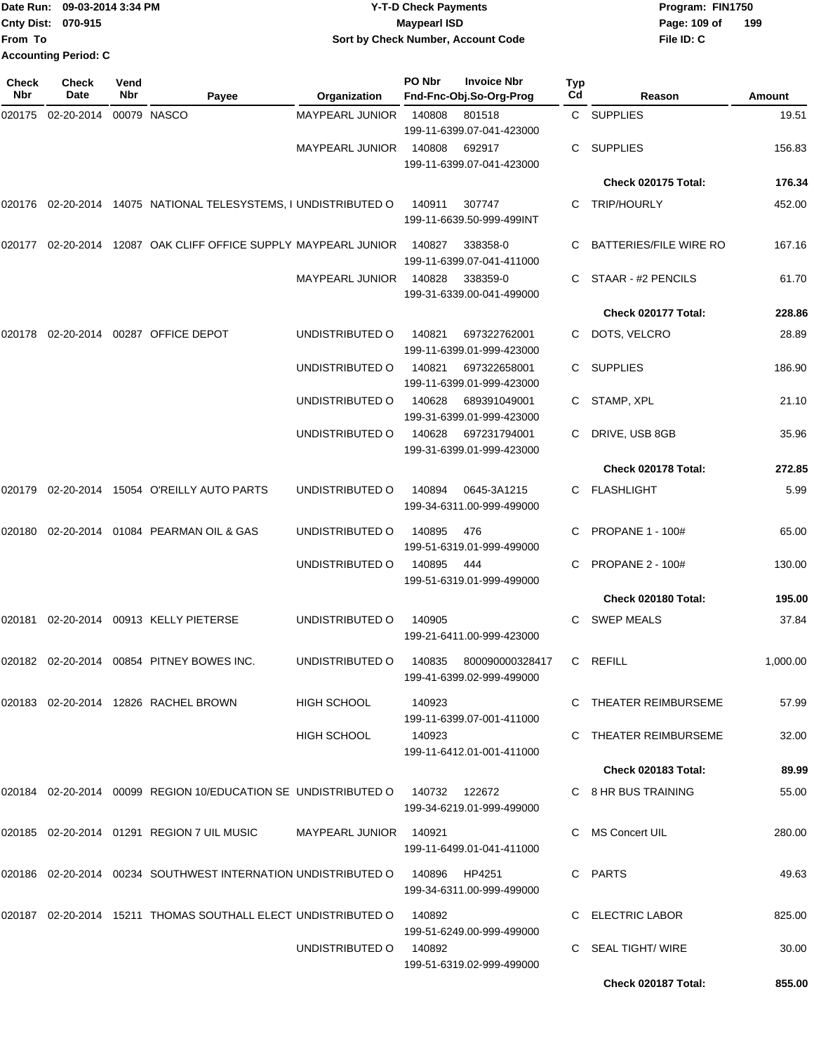|                             | Date Run: 09-03-2014 3:34 PM | <b>Y-T-D Check Payments</b>        | Program: FIN1750    |
|-----------------------------|------------------------------|------------------------------------|---------------------|
| <b>Cnty Dist: 070-915</b>   |                              | Mavpearl ISD                       | 199<br>Page: 109 of |
| lFrom To                    |                              | Sort by Check Number, Account Code | File ID: C          |
| <b>Accounting Period: C</b> |                              |                                    |                     |

| Check<br>Nbr | Check<br>Date | Vend<br>Nbr | Payee                                                                        | Organization           | PO Nbr | <b>Invoice Nbr</b><br>Fnd-Fnc-Obj.So-Org-Prog | Typ<br>Cd | Reason                        | Amount   |
|--------------|---------------|-------------|------------------------------------------------------------------------------|------------------------|--------|-----------------------------------------------|-----------|-------------------------------|----------|
| 020175       | 02-20-2014    |             | 00079 NASCO                                                                  | <b>MAYPEARL JUNIOR</b> | 140808 | 801518<br>199-11-6399.07-041-423000           |           | C SUPPLIES                    | 19.51    |
|              |               |             |                                                                              | <b>MAYPEARL JUNIOR</b> | 140808 | 692917<br>199-11-6399.07-041-423000           | C.        | SUPPLIES                      | 156.83   |
|              |               |             |                                                                              |                        |        |                                               |           | Check 020175 Total:           | 176.34   |
| 020176       |               |             | 02-20-2014 14075 NATIONAL TELESYSTEMS, I UNDISTRIBUTED O                     |                        | 140911 | 307747<br>199-11-6639.50-999-499INT           | C.        | <b>TRIP/HOURLY</b>            | 452.00   |
| 020177       |               |             | 02-20-2014 12087 OAK CLIFF OFFICE SUPPLY MAYPEARL JUNIOR                     |                        | 140827 | 338358-0<br>199-11-6399.07-041-411000         |           | <b>BATTERIES/FILE WIRE RO</b> | 167.16   |
|              |               |             |                                                                              | <b>MAYPEARL JUNIOR</b> | 140828 | 338359-0<br>199-31-6339.00-041-499000         |           | STAAR - #2 PENCILS            | 61.70    |
|              |               |             |                                                                              |                        |        |                                               |           | Check 020177 Total:           | 228.86   |
| 020178       |               |             | 02-20-2014 00287 OFFICE DEPOT                                                | UNDISTRIBUTED O        | 140821 | 697322762001<br>199-11-6399.01-999-423000     | C.        | DOTS, VELCRO                  | 28.89    |
|              |               |             |                                                                              | UNDISTRIBUTED O        | 140821 | 697322658001<br>199-11-6399.01-999-423000     | C         | <b>SUPPLIES</b>               | 186.90   |
|              |               |             |                                                                              | UNDISTRIBUTED O        | 140628 | 689391049001<br>199-31-6399.01-999-423000     | C.        | STAMP, XPL                    | 21.10    |
|              |               |             |                                                                              | UNDISTRIBUTED O        | 140628 | 697231794001<br>199-31-6399.01-999-423000     |           | DRIVE, USB 8GB                | 35.96    |
|              |               |             |                                                                              |                        |        |                                               |           | Check 020178 Total:           | 272.85   |
| 020179       |               |             | 02-20-2014 15054 O'REILLY AUTO PARTS                                         | UNDISTRIBUTED O        | 140894 | 0645-3A1215<br>199-34-6311.00-999-499000      | C.        | <b>FLASHLIGHT</b>             | 5.99     |
| 020180       |               |             | 02-20-2014 01084 PEARMAN OIL & GAS                                           | UNDISTRIBUTED O        | 140895 | 476<br>199-51-6319.01-999-499000              |           | <b>PROPANE 1 - 100#</b>       | 65.00    |
|              |               |             |                                                                              | UNDISTRIBUTED O        | 140895 | 444<br>199-51-6319.01-999-499000              | C         | <b>PROPANE 2 - 100#</b>       | 130.00   |
|              |               |             |                                                                              |                        |        |                                               |           | Check 020180 Total:           | 195.00   |
| 020181       |               |             | 02-20-2014 00913 KELLY PIETERSE                                              | UNDISTRIBUTED O        | 140905 | 199-21-6411.00-999-423000                     | C.        | <b>SWEP MEALS</b>             | 37.84    |
|              |               |             | 020182  02-20-2014  00854  PITNEY BOWES INC.                                 | UNDISTRIBUTED O        | 140835 | 800090000328417<br>199-41-6399.02-999-499000  | C         | <b>REFILL</b>                 | 1,000.00 |
|              |               |             | 020183 02-20-2014 12826 RACHEL BROWN                                         | HIGH SCHOOL            | 140923 | 199-11-6399.07-001-411000                     |           | C THEATER REIMBURSEME         | 57.99    |
|              |               |             |                                                                              | <b>HIGH SCHOOL</b>     | 140923 | 199-11-6412.01-001-411000                     |           | C THEATER REIMBURSEME         | 32.00    |
|              |               |             |                                                                              |                        |        |                                               |           | Check 020183 Total:           | 89.99    |
|              |               |             | 020184 02-20-2014 00099 REGION 10/EDUCATION SE UNDISTRIBUTED O 140732 122672 |                        |        | 199-34-6219.01-999-499000                     |           | C 8 HR BUS TRAINING           | 55.00    |
|              |               |             | 020185 02-20-2014 01291 REGION 7 UIL MUSIC                                   | MAYPEARL JUNIOR 140921 |        | 199-11-6499.01-041-411000                     | C         | MS Concert UIL                | 280.00   |
|              |               |             | 020186 02-20-2014 00234 SOUTHWEST INTERNATION UNDISTRIBUTED O 140896 HP4251  |                        |        | 199-34-6311.00-999-499000                     |           | C PARTS                       | 49.63    |
|              |               |             | 020187  02-20-2014  15211  THOMAS SOUTHALL ELECT UNDISTRIBUTED O             |                        | 140892 | 199-51-6249.00-999-499000                     |           | C ELECTRIC LABOR              | 825.00   |
|              |               |             |                                                                              | UNDISTRIBUTED O        | 140892 | 199-51-6319.02-999-499000                     |           | C SEAL TIGHT/ WIRE            | 30.00    |
|              |               |             |                                                                              |                        |        |                                               |           | Check 020187 Total:           | 855.00   |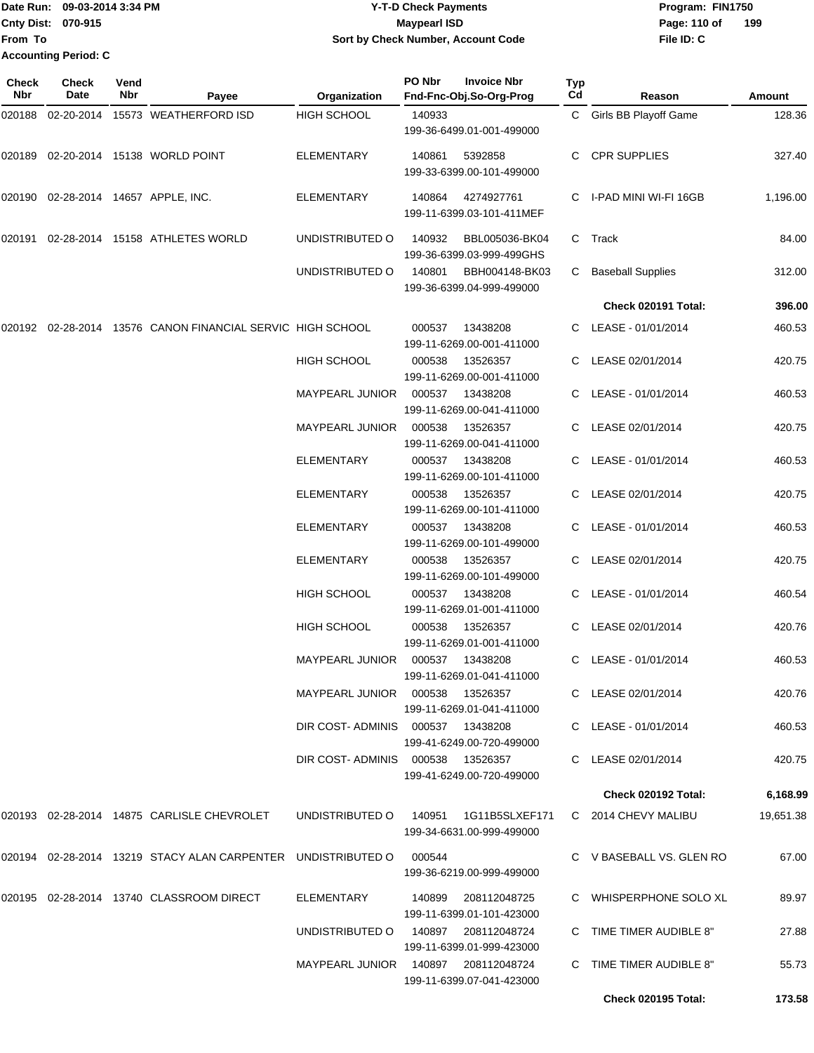Date Run: 09-03-2014 3:34 PM **Program:** FIN1750 **Cnty Dist:** 070-915 **Page: 110 of** Maypearl ISD **Page: 110 of From To Y-T-D Check Payments 070-915 Maypearl ISD Sort by Check Number, Account Code Accounting Period: C**

**File ID: C 199**

**Check 020195 Total: 173.58**

| Check<br>Nbr | <b>Check</b><br>Date | Vend<br>Nbr | Payee                                                                            | Organization                        | PO Nbr | <b>Invoice Nbr</b><br>Fnd-Fnc-Obj.So-Org-Prog     | Typ<br>Cd | Reason                     | <b>Amount</b> |
|--------------|----------------------|-------------|----------------------------------------------------------------------------------|-------------------------------------|--------|---------------------------------------------------|-----------|----------------------------|---------------|
| 020188       | 02-20-2014           |             | 15573 WEATHERFORD ISD                                                            | <b>HIGH SCHOOL</b>                  | 140933 | 199-36-6499.01-001-499000                         |           | C Girls BB Playoff Game    | 128.36        |
| 020189       |                      |             | 02-20-2014 15138 WORLD POINT                                                     | <b>ELEMENTARY</b>                   | 140861 | 5392858<br>199-33-6399.00-101-499000              | C.        | <b>CPR SUPPLIES</b>        | 327.40        |
|              |                      |             | 020190 02-28-2014 14657 APPLE, INC.                                              | <b>ELEMENTARY</b>                   | 140864 | 4274927761<br>199-11-6399.03-101-411MEF           |           | C I-PAD MINI WI-FI 16GB    | 1,196.00      |
| 020191       |                      |             | 02-28-2014 15158 ATHLETES WORLD                                                  | UNDISTRIBUTED O                     | 140932 | BBL005036-BK04<br>199-36-6399.03-999-499GHS       | C         | Track                      | 84.00         |
|              |                      |             |                                                                                  | UNDISTRIBUTED O                     | 140801 | BBH004148-BK03<br>199-36-6399.04-999-499000       | C.        | <b>Baseball Supplies</b>   | 312.00        |
|              |                      |             |                                                                                  |                                     |        |                                                   |           | Check 020191 Total:        | 396.00        |
| 020192       |                      |             | 02-28-2014 13576 CANON FINANCIAL SERVIC HIGH SCHOOL                              |                                     | 000537 | 13438208<br>199-11-6269.00-001-411000             |           | C LEASE - 01/01/2014       | 460.53        |
|              |                      |             |                                                                                  | <b>HIGH SCHOOL</b>                  | 000538 | 13526357<br>199-11-6269.00-001-411000             |           | C LEASE 02/01/2014         | 420.75        |
|              |                      |             |                                                                                  | <b>MAYPEARL JUNIOR</b>              | 000537 | 13438208<br>199-11-6269.00-041-411000             |           | C LEASE - 01/01/2014       | 460.53        |
|              |                      |             |                                                                                  | <b>MAYPEARL JUNIOR</b>              | 000538 | 13526357<br>199-11-6269.00-041-411000             | C.        | LEASE 02/01/2014           | 420.75        |
|              |                      |             |                                                                                  | <b>ELEMENTARY</b>                   | 000537 | 13438208<br>199-11-6269.00-101-411000             |           | C LEASE - 01/01/2014       | 460.53        |
|              |                      |             |                                                                                  | ELEMENTARY                          | 000538 | 13526357<br>199-11-6269.00-101-411000             |           | LEASE 02/01/2014           | 420.75        |
|              |                      |             |                                                                                  | ELEMENTARY                          | 000537 | 13438208<br>199-11-6269.00-101-499000             | C.        | LEASE - 01/01/2014         | 460.53        |
|              |                      |             |                                                                                  | <b>ELEMENTARY</b>                   | 000538 | 13526357<br>199-11-6269.00-101-499000             |           | C LEASE 02/01/2014         | 420.75        |
|              |                      |             |                                                                                  | HIGH SCHOOL                         | 000537 | 13438208<br>199-11-6269.01-001-411000             |           | C LEASE - 01/01/2014       | 460.54        |
|              |                      |             |                                                                                  | <b>HIGH SCHOOL</b>                  | 000538 | 13526357<br>199-11-6269.01-001-411000             | C.        | LEASE 02/01/2014           | 420.76        |
|              |                      |             |                                                                                  | <b>MAYPEARL JUNIOR</b>              | 000537 | 13438208<br>199-11-6269.01-041-411000             |           | C LEASE - 01/01/2014       | 460.53        |
|              |                      |             |                                                                                  | MAYPEARL JUNIOR  000538  13526357   |        | 199-11-6269.01-041-411000                         |           | C LEASE 02/01/2014         | 420.76        |
|              |                      |             |                                                                                  | DIR COST-ADMINIS 000537 13438208    |        | 199-41-6249.00-720-499000                         |           | C LEASE - 01/01/2014       | 460.53        |
|              |                      |             |                                                                                  | DIR COST-ADMINIS 000538 13526357    |        | 199-41-6249.00-720-499000                         |           | C LEASE 02/01/2014         | 420.75        |
|              |                      |             |                                                                                  |                                     |        |                                                   |           | <b>Check 020192 Total:</b> | 6,168.99      |
|              |                      |             | 020193  02-28-2014  14875  CARLISLE CHEVROLET                                    | UNDISTRIBUTED O                     | 140951 | 1G11B5SLXEF171<br>199-34-6631.00-999-499000       |           | C 2014 CHEVY MALIBU        | 19,651.38     |
|              |                      |             | 020194   02-28-2014   13219   STACY ALAN CARPENTER   UNDISTRIBUTED             O |                                     | 000544 | 199-36-6219.00-999-499000                         |           | C V BASEBALL VS. GLEN RO   | 67.00         |
|              |                      |             | 020195 02-28-2014 13740 CLASSROOM DIRECT                                         | ELEMENTARY                          | 140899 | 208112048725<br>199-11-6399.01-101-423000         |           | C WHISPERPHONE SOLO XL     | 89.97         |
|              |                      |             |                                                                                  | UNDISTRIBUTED O                     |        | 140897  208112048724<br>199-11-6399.01-999-423000 |           | C TIME TIMER AUDIBLE 8"    | 27.88         |
|              |                      |             |                                                                                  | MAYPEARL JUNIOR 140897 208112048724 |        | 199-11-6399.07-041-423000                         |           | C TIME TIMER AUDIBLE 8"    | 55.73         |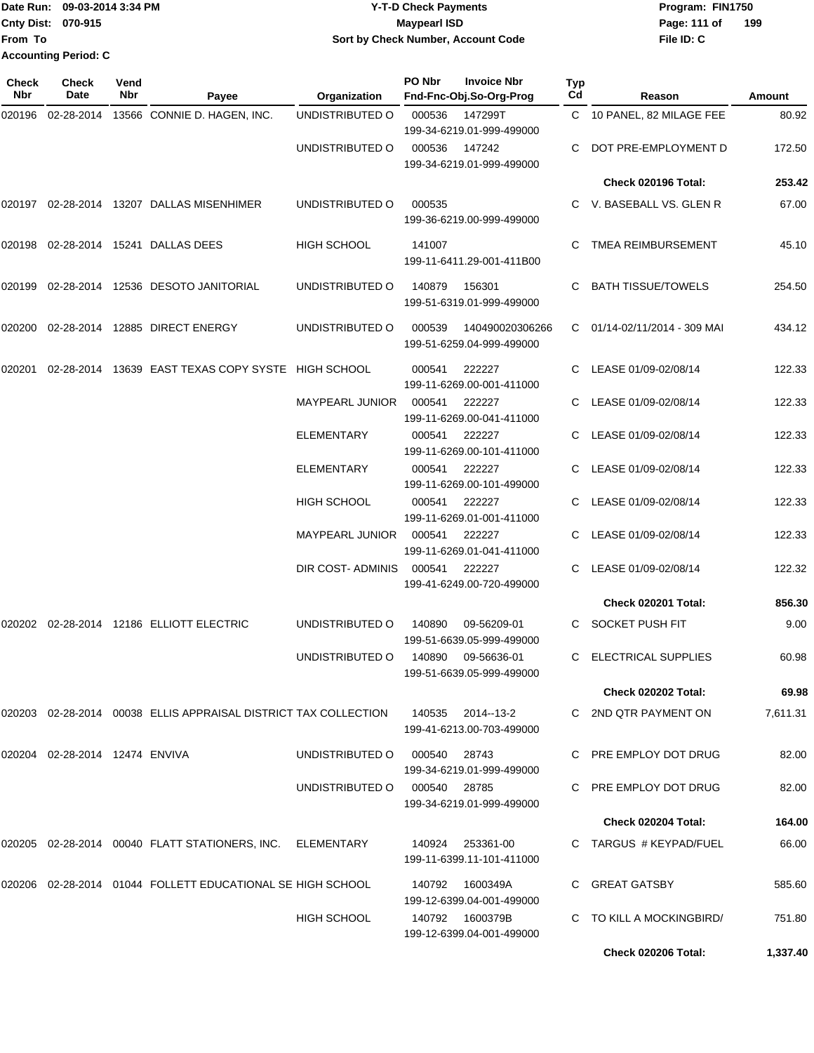|                             | Date Run: 09-03-2014 3:34 PM | <b>Y-T-D Check Payments</b>        | Program: FIN1750 |     |
|-----------------------------|------------------------------|------------------------------------|------------------|-----|
| <b>Cnty Dist: 070-915</b>   |                              | Mavpearl ISD                       | Page: 111 of     | 199 |
| lFrom To                    |                              | Sort by Check Number, Account Code | File ID: C       |     |
| <b>Accounting Period: C</b> |                              |                                    |                  |     |

| Check<br>Nbr | <b>Check</b><br>Date           | Vend<br>Nbr | Payee                                                           | Organization           | PO Nbr       | <b>Invoice Nbr</b><br>Fnd-Fnc-Obj.So-Org-Prog  | Typ<br>Cd | Reason                       | Amount   |
|--------------|--------------------------------|-------------|-----------------------------------------------------------------|------------------------|--------------|------------------------------------------------|-----------|------------------------------|----------|
| 020196       | 02-28-2014                     |             | 13566 CONNIE D. HAGEN, INC.                                     | UNDISTRIBUTED O        | 000536       | 147299T<br>199-34-6219.01-999-499000           |           | C 10 PANEL, 82 MILAGE FEE    | 80.92    |
|              |                                |             |                                                                 | UNDISTRIBUTED O        | 000536       | 147242<br>199-34-6219.01-999-499000            | C.        | DOT PRE-EMPLOYMENT D         | 172.50   |
|              |                                |             |                                                                 |                        |              |                                                |           | Check 020196 Total:          | 253.42   |
|              |                                |             | 020197 02-28-2014 13207 DALLAS MISENHIMER                       | UNDISTRIBUTED O        | 000535       | 199-36-6219.00-999-499000                      |           | C V. BASEBALL VS. GLEN R     | 67.00    |
| 020198       |                                |             | 02-28-2014 15241 DALLAS DEES                                    | <b>HIGH SCHOOL</b>     | 141007       | 199-11-6411.29-001-411B00                      | C.        | <b>TMEA REIMBURSEMENT</b>    | 45.10    |
| 020199       |                                |             | 02-28-2014 12536 DESOTO JANITORIAL                              | UNDISTRIBUTED O        | 140879       | 156301<br>199-51-6319.01-999-499000            | C         | <b>BATH TISSUE/TOWELS</b>    | 254.50   |
| 020200       |                                |             | 02-28-2014 12885 DIRECT ENERGY                                  | UNDISTRIBUTED O        | 000539       | 140490020306266<br>199-51-6259.04-999-499000   |           | C 01/14-02/11/2014 - 309 MAI | 434.12   |
| 020201       |                                |             | 02-28-2014 13639 EAST TEXAS COPY SYSTE HIGH SCHOOL              |                        | 000541       | 222227<br>199-11-6269.00-001-411000            | C         | LEASE 01/09-02/08/14         | 122.33   |
|              |                                |             |                                                                 | <b>MAYPEARL JUNIOR</b> | 000541       | 222227<br>199-11-6269.00-041-411000            |           | LEASE 01/09-02/08/14         | 122.33   |
|              |                                |             |                                                                 | <b>ELEMENTARY</b>      | 000541       | 222227<br>199-11-6269.00-101-411000            | C         | LEASE 01/09-02/08/14         | 122.33   |
|              |                                |             |                                                                 | ELEMENTARY             | 000541       | 222227<br>199-11-6269.00-101-499000            |           | LEASE 01/09-02/08/14         | 122.33   |
|              |                                |             |                                                                 | <b>HIGH SCHOOL</b>     | 000541       | 222227<br>199-11-6269.01-001-411000            |           | LEASE 01/09-02/08/14         | 122.33   |
|              |                                |             |                                                                 | MAYPEARL JUNIOR        | 000541       | 222227<br>199-11-6269.01-041-411000            | C.        | LEASE 01/09-02/08/14         | 122.33   |
|              |                                |             |                                                                 | DIR COST- ADMINIS      | 000541       | 222227<br>199-41-6249.00-720-499000            | C.        | LEASE 01/09-02/08/14         | 122.32   |
|              |                                |             |                                                                 |                        |              |                                                |           | Check 020201 Total:          | 856.30   |
| 020202       |                                |             | 02-28-2014  12186  ELLIOTT ELECTRIC                             | UNDISTRIBUTED O        | 140890       | 09-56209-01<br>199-51-6639.05-999-499000       | C         | SOCKET PUSH FIT              | 9.00     |
|              |                                |             |                                                                 | UNDISTRIBUTED O        | 140890       | 09-56636-01<br>199-51-6639.05-999-499000       |           | <b>ELECTRICAL SUPPLIES</b>   | 60.98    |
|              |                                |             |                                                                 |                        |              |                                                |           | <b>Check 020202 Total:</b>   | 69.98    |
|              |                                |             | 020203 02-28-2014 00038 ELLIS APPRAISAL DISTRICT TAX COLLECTION |                        |              | 140535 2014--13-2<br>199-41-6213.00-703-499000 |           | C 2ND QTR PAYMENT ON         | 7,611.31 |
|              | 020204 02-28-2014 12474 ENVIVA |             |                                                                 | UNDISTRIBUTED O        | 000540       | 28743<br>199-34-6219.01-999-499000             |           | C PRE EMPLOY DOT DRUG        | 82.00    |
|              |                                |             |                                                                 | UNDISTRIBUTED O        | 000540 28785 | 199-34-6219.01-999-499000                      |           | C PRE EMPLOY DOT DRUG        | 82.00    |
|              |                                |             |                                                                 |                        |              |                                                |           | Check 020204 Total:          | 164.00   |
|              |                                |             | 020205  02-28-2014  00040  FLATT STATIONERS, INC.  ELEMENTARY   |                        | 140924       | 253361-00<br>199-11-6399.11-101-411000         |           | C TARGUS # KEYPAD/FUEL       | 66.00    |
| 020206       |                                |             | 02-28-2014  01044  FOLLETT EDUCATIONAL SE HIGH SCHOOL           |                        | 140792       | 1600349A<br>199-12-6399.04-001-499000          |           | C GREAT GATSBY               | 585.60   |
|              |                                |             |                                                                 | HIGH SCHOOL            |              | 199-12-6399.04-001-499000                      |           | C TO KILL A MOCKINGBIRD/     | 751.80   |
|              |                                |             |                                                                 |                        |              |                                                |           | Check 020206 Total:          | 1,337.40 |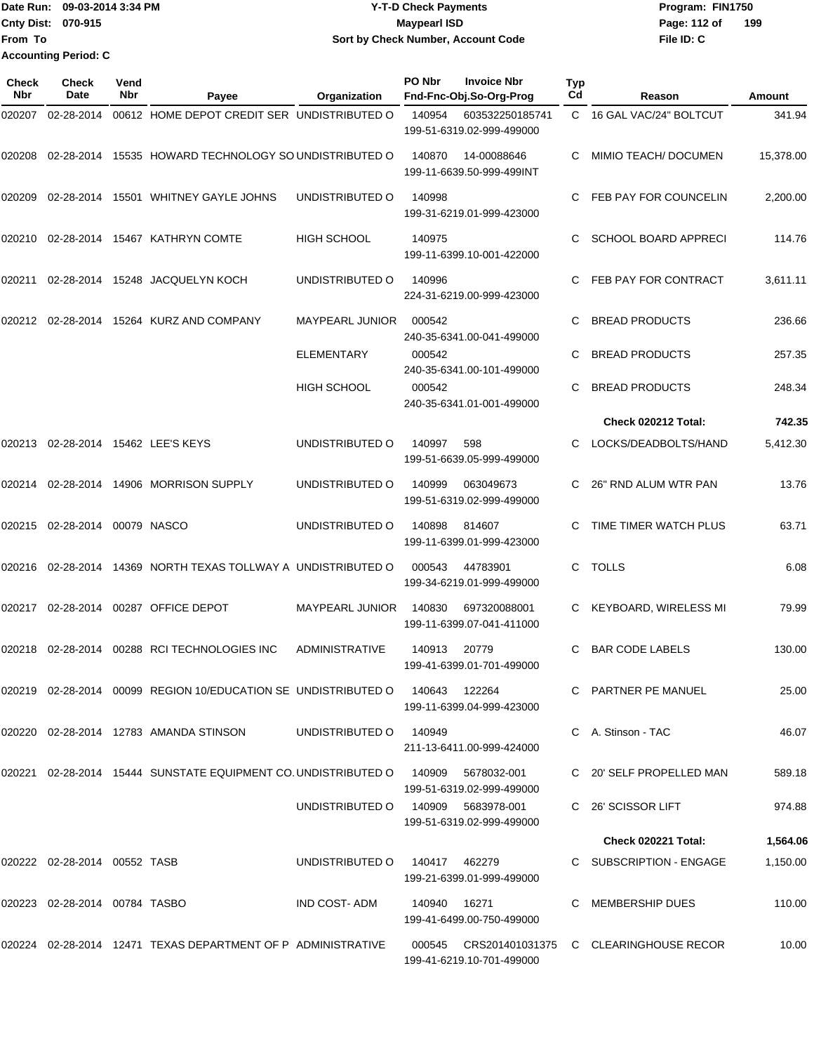|                           | ¶Date Run: 09-03-2014 3:34 PM | <b>Y-T-D Check Payments</b>        | Program: FIN1750    |
|---------------------------|-------------------------------|------------------------------------|---------------------|
| <b>Cnty Dist: 070-915</b> |                               | <b>Maypearl ISD</b>                | 199<br>Page: 112 of |
| <b>IFrom To</b>           |                               | Sort by Check Number, Account Code | File ID: C          |
|                           | <b>Accounting Period: C</b>   |                                    |                     |

| Check<br>Nbr | <b>Check</b><br>Date          | Vend<br>Nbr | Payee                                                                      | Organization                       | PO Nbr        | <b>Invoice Nbr</b><br>Fnd-Fnc-Obj.So-Org-Prog | <b>Typ</b><br>Cd | Reason                                       | Amount    |
|--------------|-------------------------------|-------------|----------------------------------------------------------------------------|------------------------------------|---------------|-----------------------------------------------|------------------|----------------------------------------------|-----------|
| 020207       | 02-28-2014                    |             | 00612 HOME DEPOT CREDIT SER UNDISTRIBUTED O                                |                                    | 140954        | 603532250185741<br>199-51-6319.02-999-499000  |                  | C 16 GAL VAC/24" BOLTCUT                     | 341.94    |
| 020208       |                               |             | 02-28-2014 15535 HOWARD TECHNOLOGY SO UNDISTRIBUTED O                      |                                    | 140870        | 14-00088646<br>199-11-6639.50-999-499INT      | C                | MIMIO TEACH/ DOCUMEN                         | 15,378.00 |
| 020209       |                               |             | 02-28-2014 15501 WHITNEY GAYLE JOHNS                                       | UNDISTRIBUTED O                    | 140998        | 199-31-6219.01-999-423000                     | C.               | FEB PAY FOR COUNCELIN                        | 2,200.00  |
| 020210       |                               |             | 02-28-2014 15467 KATHRYN COMTE                                             | <b>HIGH SCHOOL</b>                 | 140975        | 199-11-6399.10-001-422000                     | C                | <b>SCHOOL BOARD APPRECI</b>                  | 114.76    |
| 020211       |                               |             | 02-28-2014 15248 JACQUELYN KOCH                                            | UNDISTRIBUTED O                    | 140996        | 224-31-6219.00-999-423000                     | C                | FEB PAY FOR CONTRACT                         | 3,611.11  |
|              |                               |             | 020212 02-28-2014 15264 KURZ AND COMPANY                                   | <b>MAYPEARL JUNIOR</b>             | 000542        | 240-35-6341.00-041-499000                     | С                | <b>BREAD PRODUCTS</b>                        | 236.66    |
|              |                               |             |                                                                            | ELEMENTARY                         | 000542        | 240-35-6341.00-101-499000                     | С                | <b>BREAD PRODUCTS</b>                        | 257.35    |
|              |                               |             |                                                                            | <b>HIGH SCHOOL</b>                 | 000542        | 240-35-6341.01-001-499000                     | C                | <b>BREAD PRODUCTS</b>                        | 248.34    |
|              |                               |             |                                                                            |                                    |               |                                               |                  | Check 020212 Total:                          | 742.35    |
| 020213       |                               |             | 02-28-2014 15462 LEE'S KEYS                                                | UNDISTRIBUTED O                    | 140997        | 598<br>199-51-6639.05-999-499000              | C                | LOCKS/DEADBOLTS/HAND                         | 5,412.30  |
| 020214       |                               |             | 02-28-2014  14906  MORRISON SUPPLY                                         | UNDISTRIBUTED O                    | 140999        | 063049673<br>199-51-6319.02-999-499000        | С                | 26" RND ALUM WTR PAN                         | 13.76     |
| 020215       | 02-28-2014                    |             | 00079 NASCO                                                                | UNDISTRIBUTED O                    | 140898        | 814607<br>199-11-6399.01-999-423000           | С                | TIME TIMER WATCH PLUS                        | 63.71     |
| 020216       |                               |             | 02-28-2014 14369 NORTH TEXAS TOLLWAY A UNDISTRIBUTED O                     |                                    | 000543        | 44783901<br>199-34-6219.01-999-499000         | C                | <b>TOLLS</b>                                 | 6.08      |
| 020217       |                               |             | 02-28-2014 00287 OFFICE DEPOT                                              | <b>MAYPEARL JUNIOR</b>             | 140830        | 697320088001<br>199-11-6399.07-041-411000     | С                | <b>KEYBOARD, WIRELESS MI</b>                 | 79.99     |
| 020218       | 02-28-2014                    |             | 00288 RCI TECHNOLOGIES INC                                                 | <b>ADMINISTRATIVE</b>              | 140913        | 20779<br>199-41-6399.01-701-499000            | C                | <b>BAR CODE LABELS</b>                       | 130.00    |
|              |                               |             | 020219  02-28-2014  00099  REGION 10/EDUCATION SE UNDISTRIBUTED O  140643  |                                    |               | 122264<br>199-11-6399.04-999-423000           |                  | C PARTNER PE MANUEL                          | 25.00     |
|              |                               |             | 020220 02-28-2014 12783 AMANDA STINSON                                     | UNDISTRIBUTED O                    | 140949        | 211-13-6411.00-999-424000                     |                  | C A. Stinson - TAC                           | 46.07     |
| 020221       |                               |             | 02-28-2014 15444 SUNSTATE EQUIPMENT CO. UNDISTRIBUTED O 140909 5678032-001 |                                    |               | 199-51-6319.02-999-499000                     |                  | C 20' SELF PROPELLED MAN                     | 589.18    |
|              |                               |             |                                                                            | UNDISTRIBUTED O 140909 5683978-001 |               | 199-51-6319.02-999-499000                     |                  | C 26' SCISSOR LIFT                           | 974.88    |
|              |                               |             |                                                                            |                                    |               |                                               |                  | Check 020221 Total:                          | 1,564.06  |
|              | 020222 02-28-2014 00552 TASB  |             |                                                                            | UNDISTRIBUTED 0 140417 462279      |               | 199-21-6399.01-999-499000                     |                  | C SUBSCRIPTION - ENGAGE                      | 1,150.00  |
|              | 020223 02-28-2014 00784 TASBO |             |                                                                            | IND COST- ADM                      | 140940  16271 | 199-41-6499.00-750-499000                     |                  | C MEMBERSHIP DUES                            | 110.00    |
|              |                               |             | 020224 02-28-2014 12471 TEXAS DEPARTMENT OF P ADMINISTRATIVE               |                                    |               | 199-41-6219.10-701-499000                     |                  | 000545 CRS201401031375 C CLEARINGHOUSE RECOR | 10.00     |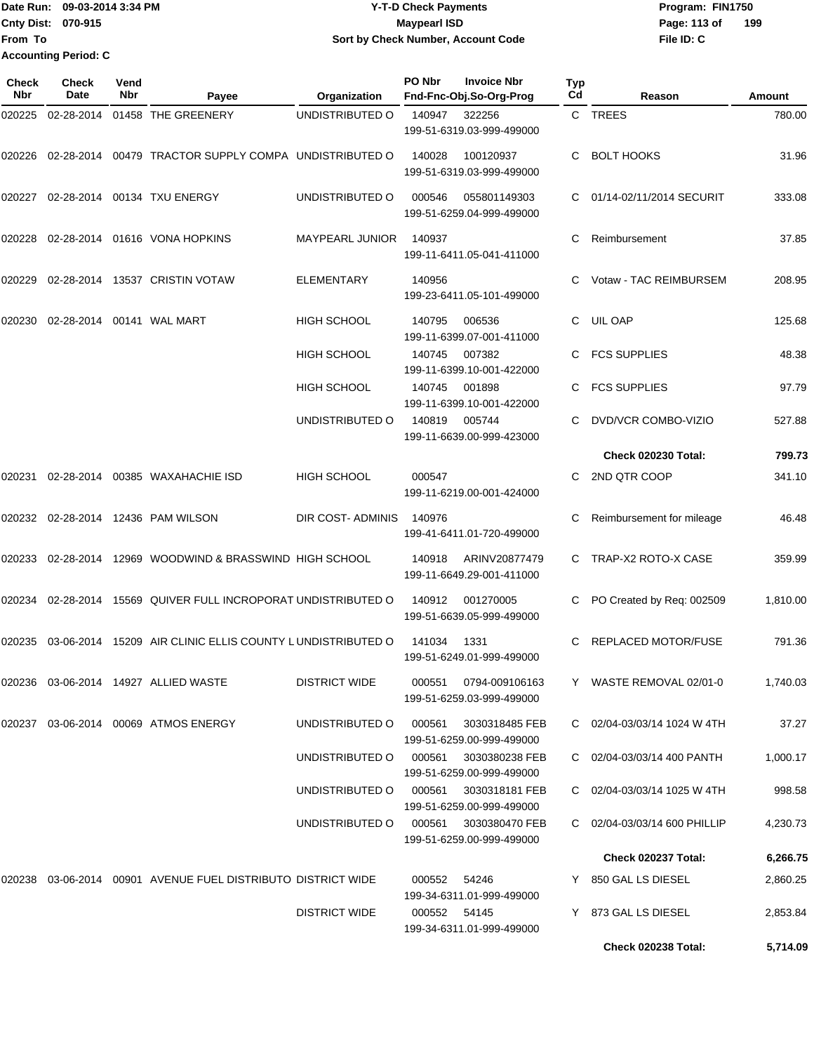Date Run: 09-03-2014 3:34 PM **Program:** FIN1750 **Cnty Dist:** 070-915 **Page: 113 of File ID: C From To Y-T-D Check Payments 070-915 Maypearl ISD Sort by Check Number, Account Code 199 Accounting Period: C**

| <b>Check</b><br>Nbr | <b>Check</b><br>Date | Vend<br>Nbr | Payee                                                           | Organization           | PO Nbr       | <b>Invoice Nbr</b><br>Fnd-Fnc-Obj.So-Org-Prog      | Typ<br>Cd | Reason                       | Amount   |
|---------------------|----------------------|-------------|-----------------------------------------------------------------|------------------------|--------------|----------------------------------------------------|-----------|------------------------------|----------|
| 020225              | 02-28-2014           |             | 01458 THE GREENERY                                              | UNDISTRIBUTED O        | 140947       | 322256<br>199-51-6319.03-999-499000                |           | C TREES                      | 780.00   |
|                     |                      |             | 020226 02-28-2014 00479 TRACTOR SUPPLY COMPA UNDISTRIBUTED O    |                        | 140028       | 100120937<br>199-51-6319.03-999-499000             | C.        | <b>BOLT HOOKS</b>            | 31.96    |
| 020227              |                      |             | 02-28-2014 00134 TXU ENERGY                                     | UNDISTRIBUTED O        | 000546       | 055801149303<br>199-51-6259.04-999-499000          | C         | 01/14-02/11/2014 SECURIT     | 333.08   |
| 020228              |                      |             | 02-28-2014 01616 VONA HOPKINS                                   | <b>MAYPEARL JUNIOR</b> | 140937       | 199-11-6411.05-041-411000                          | С         | Reimbursement                | 37.85    |
|                     |                      |             | 020229 02-28-2014 13537 CRISTIN VOTAW                           | ELEMENTARY             | 140956       | 199-23-6411.05-101-499000                          | C.        | Votaw - TAC REIMBURSEM       | 208.95   |
| 020230              |                      |             | 02-28-2014    00141    WAL MART                                 | HIGH SCHOOL            | 140795       | 006536<br>199-11-6399.07-001-411000                | C         | UIL OAP                      | 125.68   |
|                     |                      |             |                                                                 | HIGH SCHOOL            | 140745       | 007382<br>199-11-6399.10-001-422000                |           | <b>FCS SUPPLIES</b>          | 48.38    |
|                     |                      |             |                                                                 | <b>HIGH SCHOOL</b>     | 140745       | 001898<br>199-11-6399.10-001-422000                | C         | <b>FCS SUPPLIES</b>          | 97.79    |
|                     |                      |             |                                                                 | UNDISTRIBUTED O        | 140819       | 005744<br>199-11-6639.00-999-423000                |           | DVD/VCR COMBO-VIZIO          | 527.88   |
|                     |                      |             |                                                                 |                        |              |                                                    |           | <b>Check 020230 Total:</b>   | 799.73   |
| 020231              |                      |             | 02-28-2014 00385 WAXAHACHIE ISD                                 | HIGH SCHOOL            | 000547       | 199-11-6219.00-001-424000                          | C.        | 2ND QTR COOP                 | 341.10   |
|                     |                      |             | 020232 02-28-2014 12436 PAM WILSON                              | DIR COST- ADMINIS      | 140976       | 199-41-6411.01-720-499000                          |           | Reimbursement for mileage    | 46.48    |
| 020233              |                      |             | 02-28-2014 12969 WOODWIND & BRASSWIND HIGH SCHOOL               |                        | 140918       | ARINV20877479<br>199-11-6649.29-001-411000         | C         | TRAP-X2 ROTO-X CASE          | 359.99   |
| 020234              | 02-28-2014           |             | 15569 QUIVER FULL INCROPORAT UNDISTRIBUTED O                    |                        | 140912       | 001270005<br>199-51-6639.05-999-499000             | C         | PO Created by Req: 002509    | 1,810.00 |
| 020235              | 03-06-2014           |             | 15209 AIR CLINIC ELLIS COUNTY LUNDISTRIBUTED O                  |                        | 141034       | 1331<br>199-51-6249.01-999-499000                  |           | REPLACED MOTOR/FUSE          | 791.36   |
|                     |                      |             | 020236 03-06-2014 14927 ALLIED WASTE                            | <b>DISTRICT WIDE</b>   |              | 000551 0794-009106163<br>199-51-6259.03-999-499000 |           | Y WASTE REMOVAL 02/01-0      | 1,740.03 |
|                     |                      |             | 020237 03-06-2014 00069 ATMOS ENERGY                            | UNDISTRIBUTED O        | 000561       | 3030318485 FEB<br>199-51-6259.00-999-499000        |           | C 02/04-03/03/14 1024 W 4TH  | 37.27    |
|                     |                      |             |                                                                 | UNDISTRIBUTED O        | 000561       | 3030380238 FEB<br>199-51-6259.00-999-499000        |           | C 02/04-03/03/14 400 PANTH   | 1,000.17 |
|                     |                      |             |                                                                 | UNDISTRIBUTED O        | 000561       | 3030318181 FEB<br>199-51-6259.00-999-499000        |           | C 02/04-03/03/14 1025 W 4TH  | 998.58   |
|                     |                      |             |                                                                 | UNDISTRIBUTED O        | 000561       | 3030380470 FEB<br>199-51-6259.00-999-499000        |           | C 02/04-03/03/14 600 PHILLIP | 4,230.73 |
|                     |                      |             |                                                                 |                        |              |                                                    |           | Check 020237 Total:          | 6,266.75 |
|                     |                      |             | 020238  03-06-2014  00901  AVENUE FUEL DISTRIBUTO DISTRICT WIDE |                        | 000552 54246 | 199-34-6311.01-999-499000                          |           | Y 850 GAL LS DIESEL          | 2,860.25 |
|                     |                      |             |                                                                 | <b>DISTRICT WIDE</b>   | 000552 54145 | 199-34-6311.01-999-499000                          |           | Y 873 GAL LS DIESEL          | 2,853.84 |
|                     |                      |             |                                                                 |                        |              |                                                    |           | <b>Check 020238 Total:</b>   | 5,714.09 |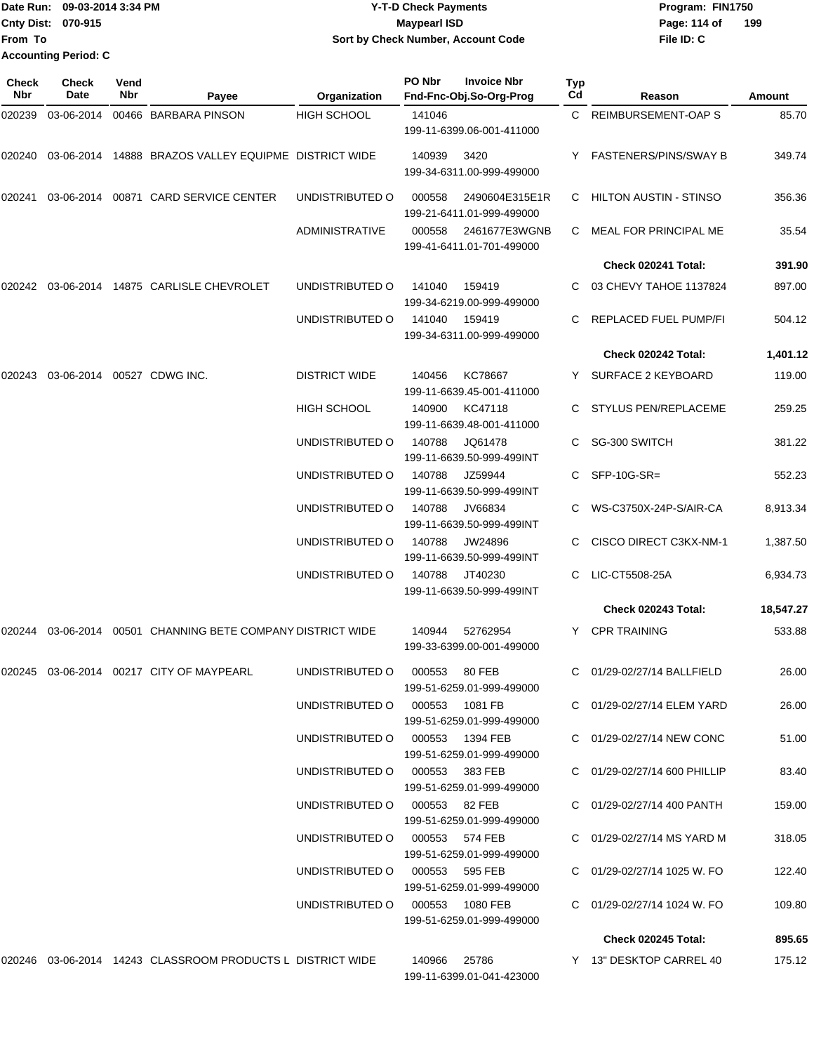Date Run: 09-03-2014 3:34 PM **Program:** FIN1750 **Cnty Dist:** 070-915 **Page: 114 of** Maypearl ISD **Page: 114 of From To Accounting Period: C**

# **Y-T-D Check Payments 070-915 Maypearl ISD Sort by Check Number, Account Code**

| Check<br><b>Nbr</b> | <b>Check</b><br><b>Date</b> | Vend<br>Nbr | Payee                                                         | Organization                    | PO Nbr        | <b>Invoice Nbr</b><br>Fnd-Fnc-Obj.So-Org-Prog | Typ<br>Cd | Reason                            | Amount    |
|---------------------|-----------------------------|-------------|---------------------------------------------------------------|---------------------------------|---------------|-----------------------------------------------|-----------|-----------------------------------|-----------|
| 020239              | 03-06-2014                  |             | 00466 BARBARA PINSON                                          | <b>HIGH SCHOOL</b>              | 141046        | 199-11-6399.06-001-411000                     |           | C REIMBURSEMENT-OAP S             | 85.70     |
| 020240              |                             |             | 03-06-2014 14888 BRAZOS VALLEY EQUIPME DISTRICT WIDE          |                                 | 140939        | 3420<br>199-34-6311.00-999-499000             |           | Y FASTENERS/PINS/SWAY B           | 349.74    |
| 020241              |                             |             | 03-06-2014 00871 CARD SERVICE CENTER                          | UNDISTRIBUTED O                 | 000558        | 2490604E315E1R<br>199-21-6411.01-999-499000   |           | C HILTON AUSTIN - STINSO          | 356.36    |
|                     |                             |             |                                                               | <b>ADMINISTRATIVE</b>           | 000558        | 2461677E3WGNB<br>199-41-6411.01-701-499000    | C.        | MEAL FOR PRINCIPAL ME             | 35.54     |
|                     |                             |             |                                                               |                                 |               |                                               |           | Check 020241 Total:               | 391.90    |
| 020242              |                             |             | 03-06-2014 14875 CARLISLE CHEVROLET                           | UNDISTRIBUTED O                 | 141040        | 159419<br>199-34-6219.00-999-499000           |           | 03 CHEVY TAHOE 1137824            | 897.00    |
|                     |                             |             |                                                               | UNDISTRIBUTED O                 | 141040        | 159419<br>199-34-6311.00-999-499000           |           | REPLACED FUEL PUMP/FI             | 504.12    |
|                     |                             |             |                                                               |                                 |               |                                               |           | Check 020242 Total:               | 1,401.12  |
| 020243              |                             |             | 03-06-2014 00527 CDWG INC.                                    | <b>DISTRICT WIDE</b>            | 140456        | KC78667<br>199-11-6639.45-001-411000          |           | Y SURFACE 2 KEYBOARD              | 119.00    |
|                     |                             |             |                                                               | <b>HIGH SCHOOL</b>              | 140900        | KC47118<br>199-11-6639.48-001-411000          |           | <b>STYLUS PEN/REPLACEME</b>       | 259.25    |
|                     |                             |             |                                                               | UNDISTRIBUTED O                 | 140788        | JQ61478<br>199-11-6639.50-999-499INT          |           | SG-300 SWITCH                     | 381.22    |
|                     |                             |             |                                                               | UNDISTRIBUTED O                 | 140788        | JZ59944<br>199-11-6639.50-999-499INT          |           | $SFP-10G-SR=$                     | 552.23    |
|                     |                             |             |                                                               | UNDISTRIBUTED O                 | 140788        | JV66834<br>199-11-6639.50-999-499INT          |           | WS-C3750X-24P-S/AIR-CA            | 8,913.34  |
|                     |                             |             |                                                               | UNDISTRIBUTED O                 | 140788        | JW24896<br>199-11-6639.50-999-499INT          |           | CISCO DIRECT C3KX-NM-1            | 1,387.50  |
|                     |                             |             |                                                               | UNDISTRIBUTED O                 | 140788        | JT40230<br>199-11-6639.50-999-499INT          | C.        | LIC-CT5508-25A                    | 6,934.73  |
|                     |                             |             |                                                               |                                 |               |                                               |           | Check 020243 Total:               | 18,547.27 |
| 020244              |                             |             | 03-06-2014 00501 CHANNING BETE COMPANY DISTRICT WIDE          |                                 | 140944        | 52762954<br>199-33-6399.00-001-499000         |           | Y CPR TRAINING                    | 533.88    |
|                     |                             |             |                                                               | UNDISTRIBUTED O 000553 80 FEB   |               | 199-51-6259.01-999-499000                     |           | C 01/29-02/27/14 BALLFIELD        | 26.00     |
|                     |                             |             |                                                               | UNDISTRIBUTED O 000553 1081 FB  |               | 199-51-6259.01-999-499000                     |           | C 01/29-02/27/14 ELEM YARD        | 26.00     |
|                     |                             |             |                                                               | UNDISTRIBUTED O 000553 1394 FEB |               | 199-51-6259.01-999-499000                     |           | C 01/29-02/27/14 NEW CONC         | 51.00     |
|                     |                             |             |                                                               | UNDISTRIBUTED O 000553 383 FEB  |               | 199-51-6259.01-999-499000                     |           | C 01/29-02/27/14 600 PHILLIP      | 83.40     |
|                     |                             |             |                                                               | UNDISTRIBUTED O 000553 82 FEB   |               | 199-51-6259.01-999-499000                     |           | C 01/29-02/27/14 400 PANTH        | 159.00    |
|                     |                             |             |                                                               | UNDISTRIBUTED O 000553 574 FEB  |               | 199-51-6259.01-999-499000                     |           | C 01/29-02/27/14 MS YARD M        | 318.05    |
|                     |                             |             |                                                               | UNDISTRIBUTED O 000553 595 FEB  |               | 199-51-6259.01-999-499000                     |           | $C = 01/29 - 02/27/14$ 1025 W. FO | 122.40    |
|                     |                             |             |                                                               | UNDISTRIBUTED O 000553 1080 FEB |               | 199-51-6259.01-999-499000                     |           | $C = 01/29 - 02/27/14$ 1024 W. FO | 109.80    |
|                     |                             |             |                                                               |                                 |               |                                               |           | Check 020245 Total:               | 895.65    |
|                     |                             |             | 020246  03-06-2014  14243  CLASSROOM PRODUCTS L DISTRICT WIDE |                                 | 140966  25786 | 199-11-6399.01-041-423000                     |           | Y 13" DESKTOP CARREL 40           | 175.12    |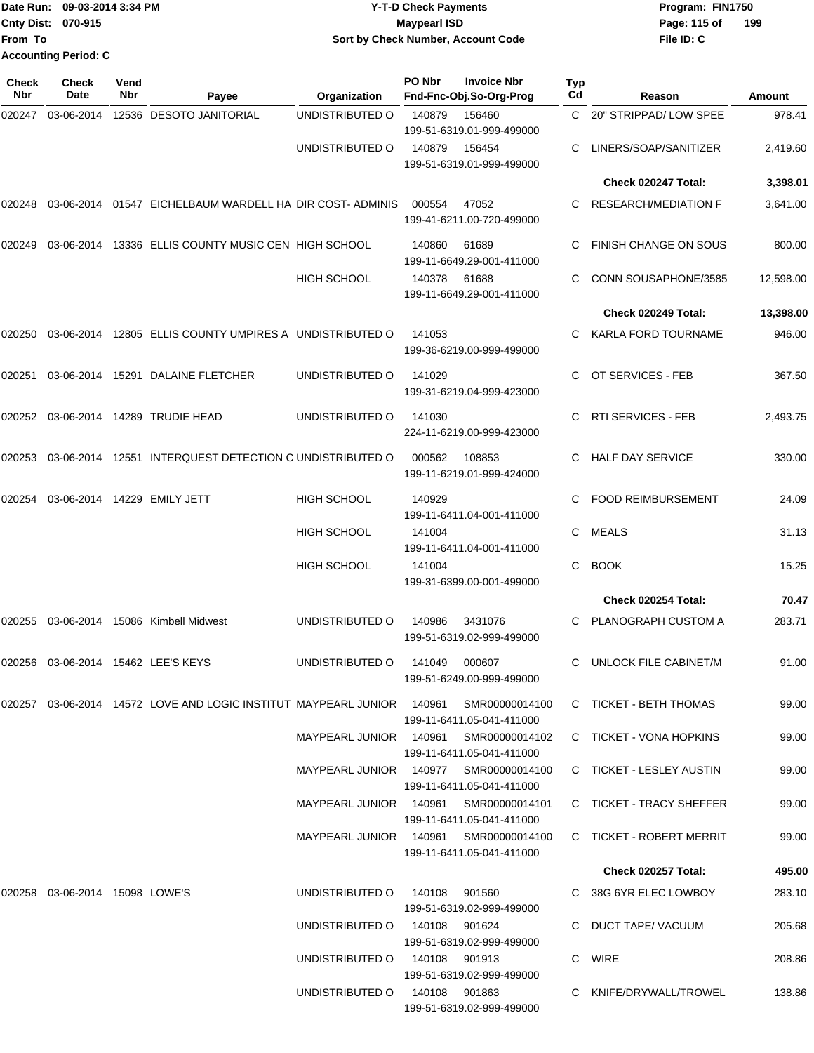| Date Run: 09-03-2014 3:34 PM | <b>Y-T-D Check Payments</b>        | Program: FIN1750    |
|------------------------------|------------------------------------|---------------------|
| <b>Cnty Dist: 070-915</b>    | <b>Mavpearl ISD</b>                | 199<br>Page: 115 of |
| lFrom To                     | Sort by Check Number, Account Code | File ID: C          |
| <b>Accounting Period: C</b>  |                                    |                     |

| Check<br><b>Nbr</b> | Check<br>Date                  | Vend<br>Nbr | Payee                                                                      | Organization                          | PO Nbr         | <b>Invoice Nbr</b><br>Fnd-Fnc-Obj.So-Org-Prog | Typ<br>Cd | Reason                       | Amount    |
|---------------------|--------------------------------|-------------|----------------------------------------------------------------------------|---------------------------------------|----------------|-----------------------------------------------|-----------|------------------------------|-----------|
| 020247              | 03-06-2014                     |             | 12536 DESOTO JANITORIAL                                                    | UNDISTRIBUTED O                       | 140879         | 156460<br>199-51-6319.01-999-499000           |           | C 20" STRIPPAD/LOW SPEE      | 978.41    |
|                     |                                |             |                                                                            | UNDISTRIBUTED O                       | 140879         | 156454<br>199-51-6319.01-999-499000           |           | LINERS/SOAP/SANITIZER        | 2,419.60  |
|                     |                                |             |                                                                            |                                       |                |                                               |           | Check 020247 Total:          | 3,398.01  |
| 020248              |                                |             | 03-06-2014 01547 EICHELBAUM WARDELL HA DIR COST-ADMINIS                    |                                       | 000554         | 47052<br>199-41-6211.00-720-499000            |           | <b>RESEARCH/MEDIATION F</b>  | 3,641.00  |
| 020249              |                                |             | 03-06-2014 13336 ELLIS COUNTY MUSIC CEN HIGH SCHOOL                        |                                       | 140860         | 61689<br>199-11-6649.29-001-411000            |           | <b>FINISH CHANGE ON SOUS</b> | 800.00    |
|                     |                                |             |                                                                            | <b>HIGH SCHOOL</b>                    | 140378         | 61688<br>199-11-6649.29-001-411000            | C         | CONN SOUSAPHONE/3585         | 12,598.00 |
|                     |                                |             |                                                                            |                                       |                |                                               |           | Check 020249 Total:          | 13,398.00 |
| 020250              | 03-06-2014                     |             | 12805 ELLIS COUNTY UMPIRES A UNDISTRIBUTED O                               |                                       | 141053         | 199-36-6219.00-999-499000                     | C.        | <b>KARLA FORD TOURNAME</b>   | 946.00    |
| 020251              |                                |             | 03-06-2014 15291 DALAINE FLETCHER                                          | UNDISTRIBUTED O                       | 141029         | 199-31-6219.04-999-423000                     | C.        | OT SERVICES - FEB            | 367.50    |
| 020252              |                                |             | 03-06-2014  14289  TRUDIE HEAD                                             | UNDISTRIBUTED O                       | 141030         | 224-11-6219.00-999-423000                     | C         | <b>RTI SERVICES - FEB</b>    | 2,493.75  |
| 020253              | 03-06-2014                     |             | 12551 INTERQUEST DETECTION C UNDISTRIBUTED O                               |                                       | 000562         | 108853<br>199-11-6219.01-999-424000           | C.        | <b>HALF DAY SERVICE</b>      | 330.00    |
| 020254              |                                |             | 03-06-2014 14229 EMILY JETT                                                | <b>HIGH SCHOOL</b>                    | 140929         | 199-11-6411.04-001-411000                     |           | <b>FOOD REIMBURSEMENT</b>    | 24.09     |
|                     |                                |             |                                                                            | <b>HIGH SCHOOL</b>                    | 141004         | 199-11-6411.04-001-411000                     | C         | <b>MEALS</b>                 | 31.13     |
|                     |                                |             |                                                                            | HIGH SCHOOL                           | 141004         | 199-31-6399.00-001-499000                     | C         | <b>BOOK</b>                  | 15.25     |
|                     |                                |             |                                                                            |                                       |                |                                               |           | Check 020254 Total:          | 70.47     |
| 020255              |                                |             | 03-06-2014 15086 Kimbell Midwest                                           | UNDISTRIBUTED O                       | 140986         | 3431076<br>199-51-6319.02-999-499000          |           | PLANOGRAPH CUSTOM A          | 283.71    |
| 020256              |                                |             | 03-06-2014 15462 LEE'S KEYS                                                | UNDISTRIBUTED O                       | 141049         | 000607<br>199-51-6249.00-999-499000           | C         | UNLOCK FILE CABINET/M        | 91.00     |
|                     |                                |             | 020257  03-06-2014  14572  LOVE AND LOGIC INSTITUT MAYPEARL JUNIOR  140961 |                                       |                | SMR00000014100<br>199-11-6411.05-041-411000   |           | C TICKET - BETH THOMAS       | 99.00     |
|                     |                                |             |                                                                            | MAYPEARL JUNIOR 140961                |                | SMR00000014102<br>199-11-6411.05-041-411000   |           | C TICKET - VONA HOPKINS      | 99.00     |
|                     |                                |             |                                                                            | MAYPEARL JUNIOR 140977                |                | SMR00000014100<br>199-11-6411.05-041-411000   |           | C TICKET - LESLEY AUSTIN     | 99.00     |
|                     |                                |             |                                                                            | MAYPEARL JUNIOR 140961                |                | SMR00000014101<br>199-11-6411.05-041-411000   |           | C TICKET - TRACY SHEFFER     | 99.00     |
|                     |                                |             |                                                                            | MAYPEARL JUNIOR 140961 SMR00000014100 |                | 199-11-6411.05-041-411000                     |           | C TICKET - ROBERT MERRIT     | 99.00     |
|                     |                                |             |                                                                            |                                       |                |                                               |           | <b>Check 020257 Total:</b>   | 495.00    |
|                     | 020258 03-06-2014 15098 LOWE'S |             |                                                                            | UNDISTRIBUTED O                       | 140108 901560  | 199-51-6319.02-999-499000                     |           | C 38G 6YR ELEC LOWBOY        | 283.10    |
|                     |                                |             |                                                                            | UNDISTRIBUTED O                       | 140108  901624 | 199-51-6319.02-999-499000                     |           | C DUCT TAPE/VACUUM           | 205.68    |
|                     |                                |             |                                                                            | UNDISTRIBUTED O                       | 140108 901913  | 199-51-6319.02-999-499000                     |           | C WIRE                       | 208.86    |
|                     |                                |             |                                                                            | UNDISTRIBUTED O                       | 140108 901863  | 199-51-6319.02-999-499000                     |           | C KNIFE/DRYWALL/TROWEL       | 138.86    |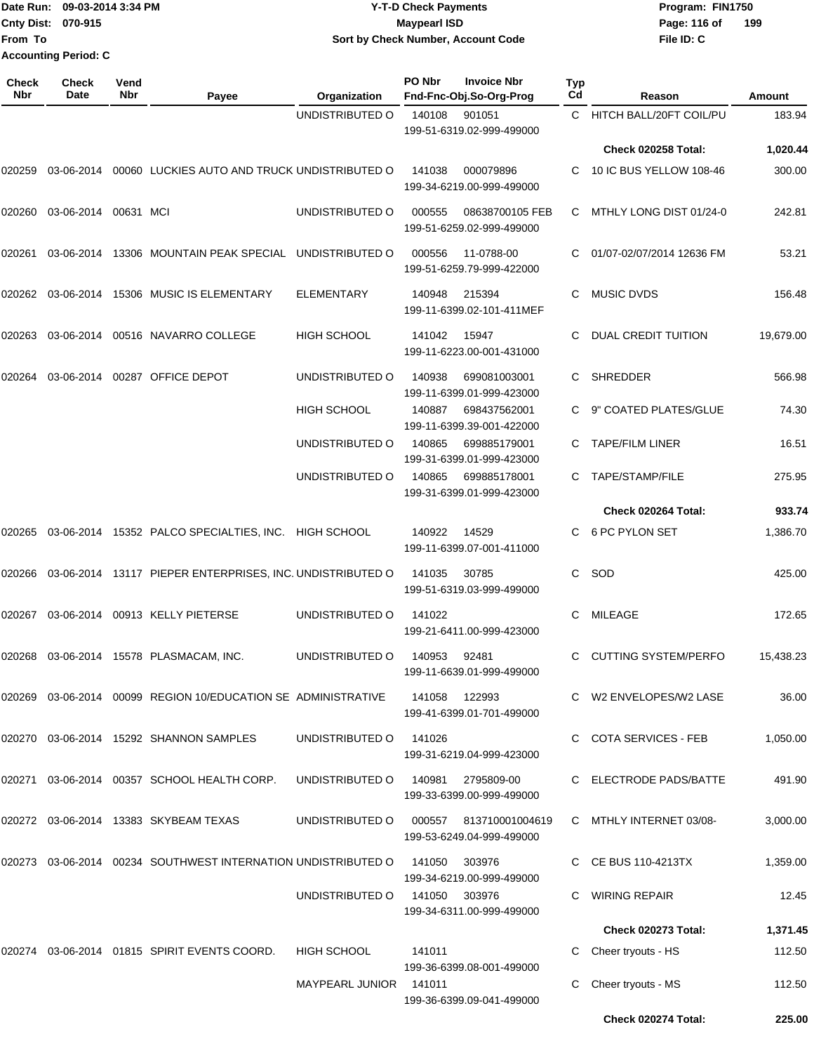Date Run: 09-03-2014 3:34 PM **Program:** FIN1750 **Cnty Dist:** 070-915 **Page:** 116 of **File ID: C From To Y-T-D Check Payments 070-915 Maypearl ISD Sort by Check Number, Account Code 199 Accounting Period: C**

| Check<br>Nbr | <b>Check</b><br>Date | Vend<br>Nbr | Payee                                                            | Organization           | PO Nbr | <b>Invoice Nbr</b><br>Fnd-Fnc-Obj.So-Org-Prog       | Typ<br>Cd | Reason                      | Amount    |
|--------------|----------------------|-------------|------------------------------------------------------------------|------------------------|--------|-----------------------------------------------------|-----------|-----------------------------|-----------|
|              |                      |             |                                                                  | UNDISTRIBUTED O        | 140108 | 901051                                              | C.        | HITCH BALL/20FT COIL/PU     | 183.94    |
|              |                      |             |                                                                  |                        |        | 199-51-6319.02-999-499000                           |           | Check 020258 Total:         | 1,020.44  |
| 020259       |                      |             | 03-06-2014 00060 LUCKIES AUTO AND TRUCK UNDISTRIBUTED O          |                        | 141038 | 000079896<br>199-34-6219.00-999-499000              |           | 10 IC BUS YELLOW 108-46     | 300.00    |
| 020260       | 03-06-2014 00631 MCI |             |                                                                  | UNDISTRIBUTED O        | 000555 | 08638700105 FEB<br>199-51-6259.02-999-499000        | C         | MTHLY LONG DIST 01/24-0     | 242.81    |
| 020261       |                      |             | 03-06-2014 13306 MOUNTAIN PEAK SPECIAL UNDISTRIBUTED O           |                        | 000556 | 11-0788-00<br>199-51-6259.79-999-422000             | C         | 01/07-02/07/2014 12636 FM   | 53.21     |
| 020262       |                      |             | 03-06-2014 15306 MUSIC IS ELEMENTARY                             | <b>ELEMENTARY</b>      | 140948 | 215394<br>199-11-6399.02-101-411MEF                 | С         | <b>MUSIC DVDS</b>           | 156.48    |
| 020263       |                      |             | 03-06-2014    00516    NAVARRO COLLEGE                           | <b>HIGH SCHOOL</b>     | 141042 | 15947<br>199-11-6223.00-001-431000                  | C         | DUAL CREDIT TUITION         | 19,679.00 |
| 020264       |                      |             | 03-06-2014 00287 OFFICE DEPOT                                    | UNDISTRIBUTED O        | 140938 | 699081003001<br>199-11-6399.01-999-423000           | C.        | <b>SHREDDER</b>             | 566.98    |
|              |                      |             |                                                                  | <b>HIGH SCHOOL</b>     | 140887 | 698437562001<br>199-11-6399.39-001-422000           |           | 9" COATED PLATES/GLUE       | 74.30     |
|              |                      |             |                                                                  | UNDISTRIBUTED O        | 140865 | 699885179001<br>199-31-6399.01-999-423000           |           | <b>TAPE/FILM LINER</b>      | 16.51     |
|              |                      |             |                                                                  | UNDISTRIBUTED O        | 140865 | 699885178001<br>199-31-6399.01-999-423000           |           | TAPE/STAMP/FILE             | 275.95    |
|              |                      |             |                                                                  |                        |        |                                                     |           | Check 020264 Total:         | 933.74    |
| 020265       |                      |             | 03-06-2014 15352 PALCO SPECIALTIES, INC. HIGH SCHOOL             |                        | 140922 | 14529<br>199-11-6399.07-001-411000                  | C         | 6 PC PYLON SET              | 1,386.70  |
| 020266       |                      |             | 03-06-2014 13117 PIEPER ENTERPRISES, INC. UNDISTRIBUTED O        |                        | 141035 | 30785<br>199-51-6319.03-999-499000                  | C         | SOD                         | 425.00    |
| 020267       |                      |             | 03-06-2014 00913 KELLY PIETERSE                                  | UNDISTRIBUTED O        | 141022 | 199-21-6411.00-999-423000                           | C         | MILEAGE                     | 172.65    |
| 020268       |                      |             | 03-06-2014 15578 PLASMACAM, INC.                                 | UNDISTRIBUTED O        | 140953 | 92481<br>199-11-6639.01-999-499000                  | C         | <b>CUTTING SYSTEM/PERFO</b> | 15,438.23 |
| 020269       |                      |             | 03-06-2014 00099 REGION 10/EDUCATION SE ADMINISTRATIVE           |                        |        | 141058 122993<br>199-41-6399.01-701-499000          |           | C W2 ENVELOPES/W2 LASE      | 36.00     |
|              |                      |             | 020270 03-06-2014 15292 SHANNON SAMPLES                          | UNDISTRIBUTED O        | 141026 | 199-31-6219.04-999-423000                           |           | C COTA SERVICES - FEB       | 1,050.00  |
|              |                      |             | 020271 03-06-2014 00357 SCHOOL HEALTH CORP.                      | UNDISTRIBUTED O        | 140981 | 2795809-00<br>199-33-6399.00-999-499000             |           | <b>ELECTRODE PADS/BATTE</b> | 491.90    |
|              |                      |             | 020272 03-06-2014 13383 SKYBEAM TEXAS                            | UNDISTRIBUTED O        |        | 000557 813710001004619<br>199-53-6249.04-999-499000 |           | C MTHLY INTERNET 03/08-     | 3,000.00  |
|              |                      |             | 020273  03-06-2014  00234  SOUTHWEST INTERNATION UNDISTRIBUTED O |                        | 141050 | 303976<br>199-34-6219.00-999-499000                 |           | C CE BUS 110-4213TX         | 1,359.00  |
|              |                      |             |                                                                  | UNDISTRIBUTED O        | 141050 | 303976<br>199-34-6311.00-999-499000                 |           | WIRING REPAIR               | 12.45     |
|              |                      |             |                                                                  |                        |        |                                                     |           | Check 020273 Total:         | 1,371.45  |
|              |                      |             | 020274 03-06-2014 01815 SPIRIT EVENTS COORD.                     | HIGH SCHOOL            | 141011 | 199-36-6399.08-001-499000                           |           | Cheer tryouts - HS          | 112.50    |
|              |                      |             |                                                                  | MAYPEARL JUNIOR 141011 |        | 199-36-6399.09-041-499000                           |           | Cheer tryouts - MS          | 112.50    |
|              |                      |             |                                                                  |                        |        |                                                     |           | Check 020274 Total:         | 225.00    |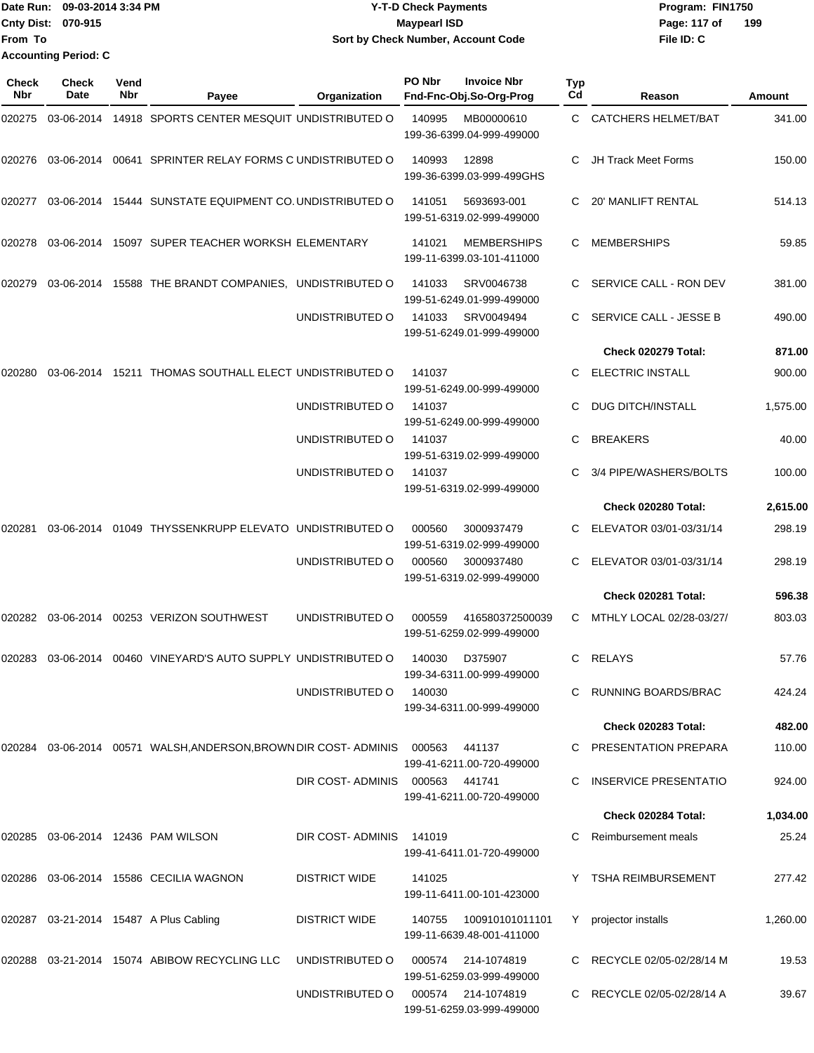|                           | Date Run: 09-03-2014 3:34 PM | <b>Y-T-D Check Payments</b>        | Program: FIN1750    |  |  |  |
|---------------------------|------------------------------|------------------------------------|---------------------|--|--|--|
| <b>Cnty Dist: 070-915</b> |                              | <b>Mavpearl ISD</b>                | 199<br>Page: 117 of |  |  |  |
| <b>From To</b>            |                              | Sort by Check Number, Account Code | File ID: C          |  |  |  |
|                           | <b>Accounting Period: C</b>  |                                    |                     |  |  |  |

| Check<br><b>Nbr</b> | Check<br>Date | Vend<br>Nbr | Payee                                                                      | Organization                   | PO Nbr | <b>Invoice Nbr</b><br>Fnd-Fnc-Obj.So-Org-Prog   | Typ<br>Cd | Reason                     | Amount   |
|---------------------|---------------|-------------|----------------------------------------------------------------------------|--------------------------------|--------|-------------------------------------------------|-----------|----------------------------|----------|
| 020275              | 03-06-2014    |             | 14918 SPORTS CENTER MESQUIT UNDISTRIBUTED O                                |                                | 140995 | MB00000610<br>199-36-6399.04-999-499000         | C.        | <b>CATCHERS HELMET/BAT</b> | 341.00   |
| 020276              | 03-06-2014    |             | 00641 SPRINTER RELAY FORMS C UNDISTRIBUTED O                               |                                | 140993 | 12898<br>199-36-6399.03-999-499GHS              | С         | <b>JH Track Meet Forms</b> | 150.00   |
| 020277              |               |             | 03-06-2014 15444 SUNSTATE EQUIPMENT CO. UNDISTRIBUTED O                    |                                | 141051 | 5693693-001<br>199-51-6319.02-999-499000        | C.        | <b>20' MANLIFT RENTAL</b>  | 514.13   |
| 020278              | 03-06-2014    |             | 15097 SUPER TEACHER WORKSH ELEMENTARY                                      |                                | 141021 | <b>MEMBERSHIPS</b><br>199-11-6399.03-101-411000 | С         | <b>MEMBERSHIPS</b>         | 59.85    |
| 020279              | 03-06-2014    |             | 15588 THE BRANDT COMPANIES, UNDISTRIBUTED O                                |                                | 141033 | SRV0046738<br>199-51-6249.01-999-499000         | C.        | SERVICE CALL - RON DEV     | 381.00   |
|                     |               |             |                                                                            | UNDISTRIBUTED O                | 141033 | SRV0049494<br>199-51-6249.01-999-499000         | C.        | SERVICE CALL - JESSE B     | 490.00   |
|                     |               |             |                                                                            |                                |        |                                                 |           | Check 020279 Total:        | 871.00   |
| 020280              | 03-06-2014    |             | 15211 THOMAS SOUTHALL ELECT UNDISTRIBUTED O                                |                                | 141037 | 199-51-6249.00-999-499000                       | C.        | <b>ELECTRIC INSTALL</b>    | 900.00   |
|                     |               |             |                                                                            | UNDISTRIBUTED O                | 141037 | 199-51-6249.00-999-499000                       | С         | <b>DUG DITCH/INSTALL</b>   | 1,575.00 |
|                     |               |             |                                                                            | UNDISTRIBUTED O                | 141037 | 199-51-6319.02-999-499000                       | С         | <b>BREAKERS</b>            | 40.00    |
|                     |               |             |                                                                            | UNDISTRIBUTED O                | 141037 | 199-51-6319.02-999-499000                       |           | 3/4 PIPE/WASHERS/BOLTS     | 100.00   |
|                     |               |             |                                                                            |                                |        |                                                 |           | Check 020280 Total:        | 2,615.00 |
| 020281              | 03-06-2014    |             | 01049 THYSSENKRUPP ELEVATO UNDISTRIBUTED O                                 |                                | 000560 | 3000937479<br>199-51-6319.02-999-499000         | C.        | ELEVATOR 03/01-03/31/14    | 298.19   |
|                     |               |             |                                                                            | UNDISTRIBUTED O                | 000560 | 3000937480<br>199-51-6319.02-999-499000         | C.        | ELEVATOR 03/01-03/31/14    | 298.19   |
|                     |               |             |                                                                            |                                |        |                                                 |           | <b>Check 020281 Total:</b> | 596.38   |
| 020282              | 03-06-2014    |             | 00253 VERIZON SOUTHWEST                                                    | UNDISTRIBUTED O                | 000559 | 416580372500039<br>199-51-6259.02-999-499000    | C.        | MTHLY LOCAL 02/28-03/27/   | 803.03   |
| 020283              | 03-06-2014    |             | 00460 VINEYARD'S AUTO SUPPLY UNDISTRIBUTED O                               |                                | 140030 | D375907<br>199-34-6311.00-999-499000            | С         | RELAYS                     | 57.76    |
|                     |               |             |                                                                            | UNDISTRIBUTED O                | 140030 | 199-34-6311.00-999-499000                       |           | C RUNNING BOARDS/BRAC      | 424.24   |
|                     |               |             |                                                                            |                                |        |                                                 |           | <b>Check 020283 Total:</b> | 482.00   |
|                     |               |             | 020284  03-06-2014  00571  WALSH, ANDERSON, BROWN DIR COST-ADMINIS  000563 |                                |        | 441137<br>199-41-6211.00-720-499000             |           | C PRESENTATION PREPARA     | 110.00   |
|                     |               |             |                                                                            | DIR COST-ADMINIS 000563 441741 |        | 199-41-6211.00-720-499000                       |           | C INSERVICE PRESENTATIO    | 924.00   |
|                     |               |             |                                                                            |                                |        |                                                 |           | <b>Check 020284 Total:</b> | 1,034.00 |
|                     |               |             | 020285  03-06-2014  12436  PAM WILSON                                      | DIR COST-ADMINIS               | 141019 | 199-41-6411.01-720-499000                       |           | C Reimbursement meals      | 25.24    |
|                     |               |             | 020286  03-06-2014  15586  CECILIA WAGNON                                  | DISTRICT WIDE                  | 141025 | 199-11-6411.00-101-423000                       |           | Y TSHA REIMBURSEMENT       | 277.42   |
|                     |               |             | 020287 03-21-2014 15487 A Plus Cabling                                     | DISTRICT WIDE                  | 140755 | 100910101011101<br>199-11-6639.48-001-411000    | Y         | projector installs         | 1,260.00 |
|                     |               |             | 020288  03-21-2014  15074  ABIBOW RECYCLING LLC                            | UNDISTRIBUTED O                | 000574 | 214-1074819<br>199-51-6259.03-999-499000        |           | C RECYCLE 02/05-02/28/14 M | 19.53    |
|                     |               |             |                                                                            | UNDISTRIBUTED O                |        | 000574 214-1074819<br>199-51-6259.03-999-499000 |           | C RECYCLE 02/05-02/28/14 A | 39.67    |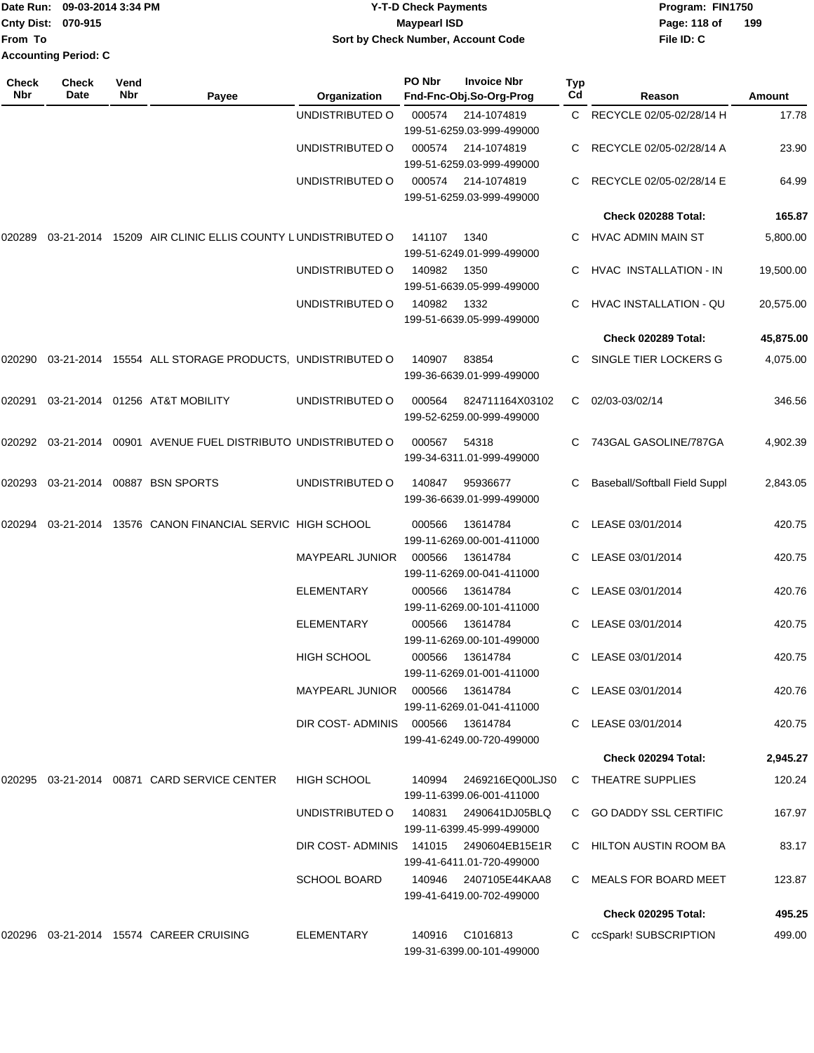| Date Run: 09-03-2014 3:34 PM | Y-T-D Check Payments               | Program: FIN1750    |  |  |  |
|------------------------------|------------------------------------|---------------------|--|--|--|
| <b>Cnty Dist: 070-915</b>    | <b>Maypearl ISD</b>                | 199<br>Page: 118 of |  |  |  |
|                              | Sort by Check Number, Account Code | File ID: C          |  |  |  |
| <b>Accounting Period: C</b>  |                                    |                     |  |  |  |
|                              |                                    |                     |  |  |  |

| Check<br>Nbr | <b>Check</b><br>Date | Vend<br>Nbr | Payee                                                     | Organization                           | PO Nbr | <b>Invoice Nbr</b><br>Fnd-Fnc-Obj.So-Org-Prog       | Typ<br>Cd | Reason                               | Amount    |
|--------------|----------------------|-------------|-----------------------------------------------------------|----------------------------------------|--------|-----------------------------------------------------|-----------|--------------------------------------|-----------|
|              |                      |             |                                                           | UNDISTRIBUTED O                        | 000574 | 214-1074819<br>199-51-6259.03-999-499000            |           | C RECYCLE 02/05-02/28/14 H           | 17.78     |
|              |                      |             |                                                           | UNDISTRIBUTED O                        | 000574 | 214-1074819<br>199-51-6259.03-999-499000            | C         | RECYCLE 02/05-02/28/14 A             | 23.90     |
|              |                      |             |                                                           | UNDISTRIBUTED O                        | 000574 | 214-1074819<br>199-51-6259.03-999-499000            |           | RECYCLE 02/05-02/28/14 E             | 64.99     |
|              |                      |             |                                                           |                                        |        |                                                     |           | Check 020288 Total:                  | 165.87    |
| 020289       |                      |             | 03-21-2014 15209 AIR CLINIC ELLIS COUNTY LUNDISTRIBUTED O |                                        | 141107 | 1340<br>199-51-6249.01-999-499000                   |           | HVAC ADMIN MAIN ST                   | 5,800.00  |
|              |                      |             |                                                           | UNDISTRIBUTED O                        | 140982 | 1350<br>199-51-6639.05-999-499000                   |           | HVAC INSTALLATION - IN               | 19,500.00 |
|              |                      |             |                                                           | UNDISTRIBUTED O                        | 140982 | 1332<br>199-51-6639.05-999-499000                   | C         | HVAC INSTALLATION - QU               | 20,575.00 |
|              |                      |             |                                                           |                                        |        |                                                     |           | Check 020289 Total:                  | 45,875.00 |
| 020290       |                      |             | 03-21-2014 15554 ALL STORAGE PRODUCTS, UNDISTRIBUTED O    |                                        | 140907 | 83854<br>199-36-6639.01-999-499000                  | C         | SINGLE TIER LOCKERS G                | 4,075.00  |
| 020291       |                      |             | 03-21-2014 01256 AT&T MOBILITY                            | UNDISTRIBUTED O                        | 000564 | 824711164X03102<br>199-52-6259.00-999-499000        | C         | 02/03-03/02/14                       | 346.56    |
| 020292       |                      |             | 03-21-2014  00901  AVENUE FUEL DISTRIBUTO UNDISTRIBUTED O |                                        | 000567 | 54318<br>199-34-6311.01-999-499000                  |           | 743GAL GASOLINE/787GA                | 4,902.39  |
| 020293       |                      |             | 03-21-2014 00887 BSN SPORTS                               | UNDISTRIBUTED O                        | 140847 | 95936677<br>199-36-6639.01-999-499000               | C         | <b>Baseball/Softball Field Suppl</b> | 2,843.05  |
| 020294       |                      |             | 03-21-2014 13576 CANON FINANCIAL SERVIC HIGH SCHOOL       |                                        | 000566 | 13614784<br>199-11-6269.00-001-411000               | C.        | LEASE 03/01/2014                     | 420.75    |
|              |                      |             |                                                           | <b>MAYPEARL JUNIOR</b>                 | 000566 | 13614784<br>199-11-6269.00-041-411000               |           | LEASE 03/01/2014                     | 420.75    |
|              |                      |             |                                                           | <b>ELEMENTARY</b>                      | 000566 | 13614784<br>199-11-6269.00-101-411000               | C         | LEASE 03/01/2014                     | 420.76    |
|              |                      |             |                                                           | <b>ELEMENTARY</b>                      | 000566 | 13614784<br>199-11-6269.00-101-499000               | C         | LEASE 03/01/2014                     | 420.75    |
|              |                      |             |                                                           | HIGH SCHOOL                            | 000566 | 13614784<br>199-11-6269.01-001-411000               | C         | LEASE 03/01/2014                     | 420.75    |
|              |                      |             |                                                           | MAYPEARL JUNIOR                        | 000566 | 13614784<br>199-11-6269.01-041-411000               |           | C LEASE 03/01/2014                   | 420.76    |
|              |                      |             |                                                           | DIR COST-ADMINIS 000566                |        | 13614784<br>199-41-6249.00-720-499000               |           | C LEASE 03/01/2014                   | 420.75    |
|              |                      |             |                                                           |                                        |        |                                                     |           | Check 020294 Total:                  | 2,945.27  |
|              |                      |             | 020295 03-21-2014 00871 CARD SERVICE CENTER               | <b>HIGH SCHOOL</b>                     | 140994 | 2469216EQ00LJS0<br>199-11-6399.06-001-411000        |           | C THEATRE SUPPLIES                   | 120.24    |
|              |                      |             |                                                           | UNDISTRIBUTED O                        | 140831 | 2490641DJ05BLQ<br>199-11-6399.45-999-499000         |           | C GO DADDY SSL CERTIFIC              | 167.97    |
|              |                      |             |                                                           | DIR COST-ADMINIS 141015 2490604EB15E1R |        | 199-41-6411.01-720-499000                           |           | C HILTON AUSTIN ROOM BA              | 83.17     |
|              |                      |             |                                                           | <b>SCHOOL BOARD</b>                    |        | 140946  2407105E44KAA8<br>199-41-6419.00-702-499000 |           | C MEALS FOR BOARD MEET               | 123.87    |
|              |                      |             |                                                           |                                        |        |                                                     |           | <b>Check 020295 Total:</b>           | 495.25    |
|              |                      |             |                                                           | ELEMENTARY                             |        | 140916 C1016813<br>199-31-6399.00-101-499000        |           | C ccSpark! SUBSCRIPTION              | 499.00    |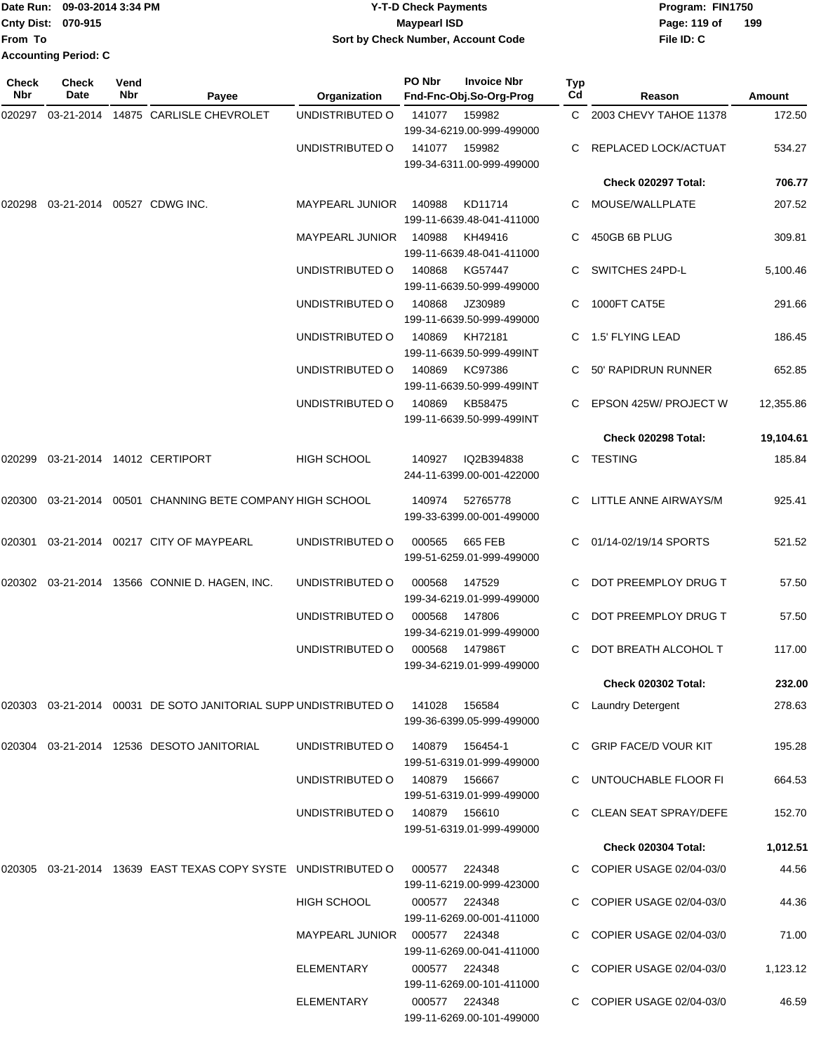|                             | Date Run: 09-03-2014 3:34 PM | <b>Y-T-D Check Payments</b>        | Program: FIN1750    |  |  |  |
|-----------------------------|------------------------------|------------------------------------|---------------------|--|--|--|
| <b>Cnty Dist: 070-915</b>   |                              | Maypearl ISD                       | 199<br>Page: 119 of |  |  |  |
| <b>From To</b>              |                              | Sort by Check Number, Account Code | File ID: C          |  |  |  |
| <b>Accounting Period: C</b> |                              |                                    |                     |  |  |  |

**PO Nbr Invoice Nbr**

**Check**

**Check**

| Check<br>Nbr | <b>Check</b><br>Date | Vend<br><b>Nbr</b> | Payee                                                              | Organization           | PO Nbr | <b>Invoice Nbr</b><br>Fnd-Fnc-Obj.So-Org-Prog | Typ<br>Cd | Reason                       | Amount    |
|--------------|----------------------|--------------------|--------------------------------------------------------------------|------------------------|--------|-----------------------------------------------|-----------|------------------------------|-----------|
| 020297       |                      |                    | 03-21-2014  14875  CARLISLE CHEVROLET                              | UNDISTRIBUTED O        | 141077 | 159982<br>199-34-6219.00-999-499000           |           | C 2003 CHEVY TAHOE 11378     | 172.50    |
|              |                      |                    |                                                                    | UNDISTRIBUTED O        | 141077 | 159982<br>199-34-6311.00-999-499000           | C         | REPLACED LOCK/ACTUAT         | 534.27    |
|              |                      |                    |                                                                    |                        |        |                                               |           | Check 020297 Total:          | 706.77    |
| 020298       |                      |                    | 03-21-2014 00527 CDWG INC.                                         | <b>MAYPEARL JUNIOR</b> | 140988 | KD11714<br>199-11-6639.48-041-411000          | C.        | MOUSE/WALLPLATE              | 207.52    |
|              |                      |                    |                                                                    | <b>MAYPEARL JUNIOR</b> | 140988 | KH49416<br>199-11-6639.48-041-411000          | C.        | 450GB 6B PLUG                | 309.81    |
|              |                      |                    |                                                                    | UNDISTRIBUTED O        | 140868 | KG57447<br>199-11-6639.50-999-499000          |           | SWITCHES 24PD-L              | 5,100.46  |
|              |                      |                    |                                                                    | UNDISTRIBUTED O        | 140868 | JZ30989<br>199-11-6639.50-999-499000          | C         | 1000FT CAT5E                 | 291.66    |
|              |                      |                    |                                                                    | UNDISTRIBUTED O        | 140869 | KH72181<br>199-11-6639.50-999-499INT          | C         | 1.5' FLYING LEAD             | 186.45    |
|              |                      |                    |                                                                    | UNDISTRIBUTED O        | 140869 | KC97386<br>199-11-6639.50-999-499INT          |           | 50' RAPIDRUN RUNNER          | 652.85    |
|              |                      |                    |                                                                    | UNDISTRIBUTED O        | 140869 | KB58475<br>199-11-6639.50-999-499INT          |           | EPSON 425W/ PROJECT W        | 12,355.86 |
|              |                      |                    |                                                                    |                        |        |                                               |           | Check 020298 Total:          | 19,104.61 |
| 020299       |                      |                    | 03-21-2014 14012 CERTIPORT                                         | <b>HIGH SCHOOL</b>     | 140927 | IQ2B394838<br>244-11-6399.00-001-422000       | C         | <b>TESTING</b>               | 185.84    |
| 020300       |                      |                    | 03-21-2014 00501 CHANNING BETE COMPANY HIGH SCHOOL                 |                        | 140974 | 52765778<br>199-33-6399.00-001-499000         |           | C LITTLE ANNE AIRWAYS/M      | 925.41    |
| 020301       |                      |                    | 03-21-2014 00217 CITY OF MAYPEARL                                  | UNDISTRIBUTED O        | 000565 | 665 FEB<br>199-51-6259.01-999-499000          |           | C 01/14-02/19/14 SPORTS      | 521.52    |
|              |                      |                    | 020302 03-21-2014 13566 CONNIE D. HAGEN, INC.                      | UNDISTRIBUTED O        | 000568 | 147529<br>199-34-6219.01-999-499000           | C.        | DOT PREEMPLOY DRUG T         | 57.50     |
|              |                      |                    |                                                                    | UNDISTRIBUTED O        | 000568 | 147806<br>199-34-6219.01-999-499000           | C.        | DOT PREEMPLOY DRUG T         | 57.50     |
|              |                      |                    |                                                                    | UNDISTRIBUTED O        | 000568 | 147986T<br>199-34-6219.01-999-499000          | C.        | DOT BREATH ALCOHOL T         | 117.00    |
|              |                      |                    |                                                                    |                        |        |                                               |           | <b>Check 020302 Total:</b>   | 232.00    |
|              |                      |                    | 020303 03-21-2014 00031 DE SOTO JANITORIAL SUPP UNDISTRIBUTED O    |                        | 141028 | 156584<br>199-36-6399.05-999-499000           |           | <b>Laundry Detergent</b>     | 278.63    |
| 020304       |                      |                    | 03-21-2014 12536 DESOTO JANITORIAL                                 | UNDISTRIBUTED O        | 140879 | 156454-1<br>199-51-6319.01-999-499000         | C         | <b>GRIP FACE/D VOUR KIT</b>  | 195.28    |
|              |                      |                    |                                                                    | UNDISTRIBUTED O        | 140879 | 156667<br>199-51-6319.01-999-499000           |           | C UNTOUCHABLE FLOOR FI       | 664.53    |
|              |                      |                    |                                                                    | UNDISTRIBUTED O        | 140879 | 156610<br>199-51-6319.01-999-499000           |           | <b>CLEAN SEAT SPRAY/DEFE</b> | 152.70    |
|              |                      |                    |                                                                    |                        |        |                                               |           | <b>Check 020304 Total:</b>   | 1,012.51  |
|              |                      |                    | 020305 03-21-2014 13639   EAST TEXAS COPY SYSTE    UNDISTRIBUTED O |                        | 000577 | 224348<br>199-11-6219.00-999-423000           |           | C COPIER USAGE 02/04-03/0    | 44.56     |
|              |                      |                    |                                                                    | <b>HIGH SCHOOL</b>     | 000577 | 224348<br>199-11-6269.00-001-411000           |           | COPIER USAGE 02/04-03/0      | 44.36     |
|              |                      |                    |                                                                    | MAYPEARL JUNIOR        | 000577 | 224348<br>199-11-6269.00-041-411000           | C         | COPIER USAGE 02/04-03/0      | 71.00     |
|              |                      |                    |                                                                    | ELEMENTARY             |        | 000577 224348<br>199-11-6269.00-101-411000    |           | COPIER USAGE 02/04-03/0      | 1,123.12  |
|              |                      |                    |                                                                    | <b>ELEMENTARY</b>      |        | 000577 224348<br>199-11-6269.00-101-499000    | C         | COPIER USAGE 02/04-03/0      | 46.59     |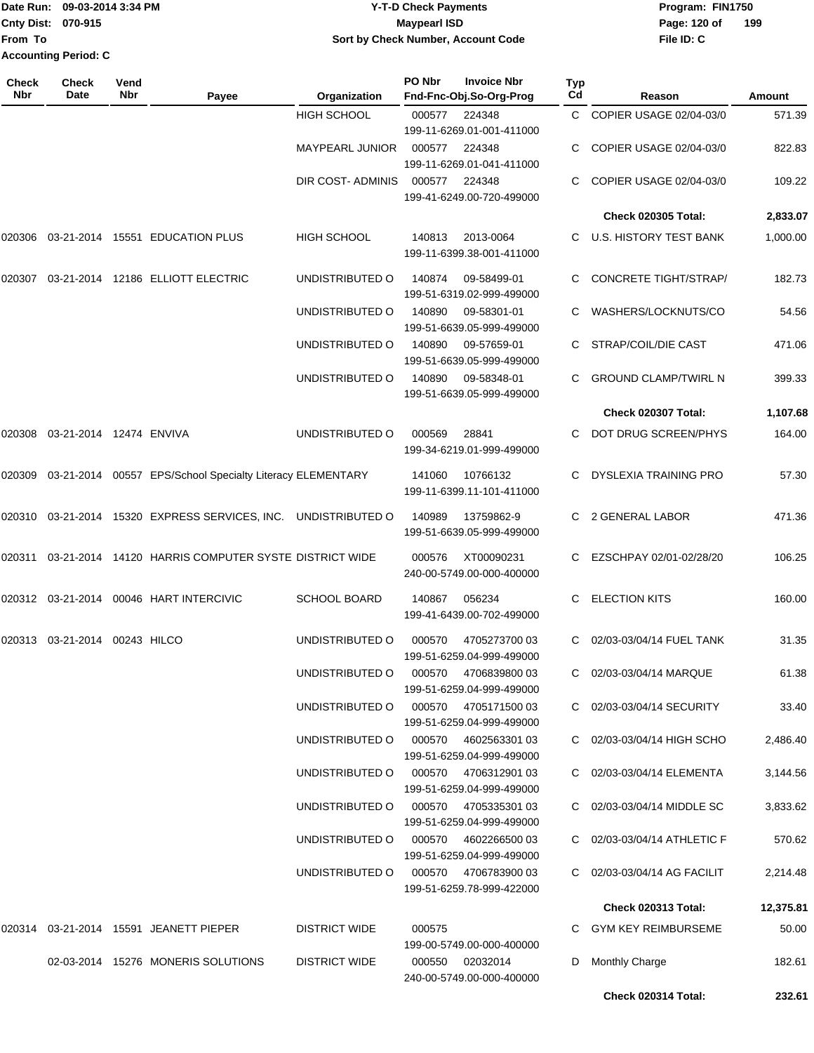|                             | Date Run: 09-03-2014 3:34 PM |  |  |  |  |  |  |
|-----------------------------|------------------------------|--|--|--|--|--|--|
| Cnty Dist: 070-915          |                              |  |  |  |  |  |  |
| lFrom To                    |                              |  |  |  |  |  |  |
| <b>Accounting Period: C</b> |                              |  |  |  |  |  |  |

### **Date Run: Program: FIN1750 09-03-2014 3:34 PM Y-T-D Check Payments Cnty Dist: Page: 120 of 070-915 Maypearl ISD Sort by Check Number, Account Code**

| Check<br>Nbr | Check<br>Date           | Vend<br>Nbr | Payee                                                               | Organization           | PO Nbr | <b>Invoice Nbr</b><br>Fnd-Fnc-Obj.So-Org-Prog     | Typ<br>Cd | Reason                       | Amount    |
|--------------|-------------------------|-------------|---------------------------------------------------------------------|------------------------|--------|---------------------------------------------------|-----------|------------------------------|-----------|
|              |                         |             |                                                                     | <b>HIGH SCHOOL</b>     | 000577 | 224348                                            | C.        | COPIER USAGE 02/04-03/0      | 571.39    |
|              |                         |             |                                                                     |                        |        | 199-11-6269.01-001-411000                         |           |                              |           |
|              |                         |             |                                                                     | <b>MAYPEARL JUNIOR</b> | 000577 | 224348                                            |           | COPIER USAGE 02/04-03/0      | 822.83    |
|              |                         |             |                                                                     |                        |        | 199-11-6269.01-041-411000                         |           |                              |           |
|              |                         |             |                                                                     | DIR COST- ADMINIS      | 000577 | 224348<br>199-41-6249.00-720-499000               |           | COPIER USAGE 02/04-03/0      | 109.22    |
|              |                         |             |                                                                     |                        |        |                                                   |           | <b>Check 020305 Total:</b>   | 2,833.07  |
| 020306       |                         |             | 03-21-2014 15551 EDUCATION PLUS                                     | <b>HIGH SCHOOL</b>     | 140813 | 2013-0064<br>199-11-6399.38-001-411000            |           | C U.S. HISTORY TEST BANK     | 1,000.00  |
| 020307       |                         |             | 03-21-2014 12186 ELLIOTT ELECTRIC                                   | UNDISTRIBUTED O        | 140874 | 09-58499-01<br>199-51-6319.02-999-499000          |           | <b>CONCRETE TIGHT/STRAP/</b> | 182.73    |
|              |                         |             |                                                                     | UNDISTRIBUTED O        | 140890 | 09-58301-01<br>199-51-6639.05-999-499000          |           | WASHERS/LOCKNUTS/CO          | 54.56     |
|              |                         |             |                                                                     | UNDISTRIBUTED O        | 140890 | 09-57659-01<br>199-51-6639.05-999-499000          |           | STRAP/COIL/DIE CAST          | 471.06    |
|              |                         |             |                                                                     | UNDISTRIBUTED O        | 140890 | 09-58348-01<br>199-51-6639.05-999-499000          | C.        | <b>GROUND CLAMP/TWIRL N</b>  | 399.33    |
|              |                         |             |                                                                     |                        |        |                                                   |           | Check 020307 Total:          | 1,107.68  |
| 020308       | 03-21-2014 12474 ENVIVA |             |                                                                     | UNDISTRIBUTED O        | 000569 | 28841<br>199-34-6219.01-999-499000                |           | DOT DRUG SCREEN/PHYS         | 164.00    |
|              |                         |             | 020309  03-21-2014  00557  EPS/School Specialty Literacy ELEMENTARY |                        | 141060 | 10766132<br>199-11-6399.11-101-411000             | C.        | <b>DYSLEXIA TRAINING PRO</b> | 57.30     |
|              |                         |             | 020310 03-21-2014 15320 EXPRESS SERVICES, INC. UNDISTRIBUTED O      |                        | 140989 | 13759862-9<br>199-51-6639.05-999-499000           |           | 2 GENERAL LABOR              | 471.36    |
| 020311       |                         |             | 03-21-2014 14120 HARRIS COMPUTER SYSTE DISTRICT WIDE                |                        | 000576 | XT00090231<br>240-00-5749.00-000-400000           |           | EZSCHPAY 02/01-02/28/20      | 106.25    |
|              |                         |             | 020312  03-21-2014  00046  HART INTERCIVIC                          | <b>SCHOOL BOARD</b>    | 140867 | 056234<br>199-41-6439.00-702-499000               | C         | <b>ELECTION KITS</b>         | 160.00    |
| 020313       | 03-21-2014              | 00243 HILCO |                                                                     | UNDISTRIBUTED O        | 000570 | 4705273700 03<br>199-51-6259.04-999-499000        |           | 02/03-03/04/14 FUEL TANK     | 31.35     |
|              |                         |             |                                                                     | UNDISTRIBUTED O        |        | 000570 4706839800 03<br>199-51-6259.04-999-499000 |           | C 02/03-03/04/14 MARQUE      | 61.38     |
|              |                         |             |                                                                     | UNDISTRIBUTED O        |        | 000570 4705171500 03<br>199-51-6259.04-999-499000 |           | C 02/03-03/04/14 SECURITY    | 33.40     |
|              |                         |             |                                                                     | UNDISTRIBUTED O        | 000570 | 4602563301 03<br>199-51-6259.04-999-499000        |           | C 02/03-03/04/14 HIGH SCHO   | 2,486.40  |
|              |                         |             |                                                                     | UNDISTRIBUTED O        | 000570 | 470631290103<br>199-51-6259.04-999-499000         |           | C 02/03-03/04/14 ELEMENTA    | 3,144.56  |
|              |                         |             |                                                                     | UNDISTRIBUTED O        |        | 000570 4705335301 03<br>199-51-6259.04-999-499000 |           | C 02/03-03/04/14 MIDDLE SC   | 3,833.62  |
|              |                         |             |                                                                     | UNDISTRIBUTED O        |        | 000570 4602266500 03<br>199-51-6259.04-999-499000 |           | C 02/03-03/04/14 ATHLETIC F  | 570.62    |
|              |                         |             |                                                                     | UNDISTRIBUTED O        |        | 000570 4706783900 03<br>199-51-6259.78-999-422000 |           | C 02/03-03/04/14 AG FACILIT  | 2,214.48  |
|              |                         |             |                                                                     |                        |        |                                                   |           | <b>Check 020313 Total:</b>   | 12,375.81 |
|              |                         |             | 020314  03-21-2014  15591  JEANETT PIEPER                           | <b>DISTRICT WIDE</b>   | 000575 | 199-00-5749.00-000-400000                         |           | C GYM KEY REIMBURSEME        | 50.00     |
|              |                         |             | 02-03-2014 15276 MONERIS SOLUTIONS                                  | <b>DISTRICT WIDE</b>   | 000550 | 02032014<br>240-00-5749.00-000-400000             | D         | <b>Monthly Charge</b>        | 182.61    |
|              |                         |             |                                                                     |                        |        |                                                   |           | Check 020314 Total:          | 232.61    |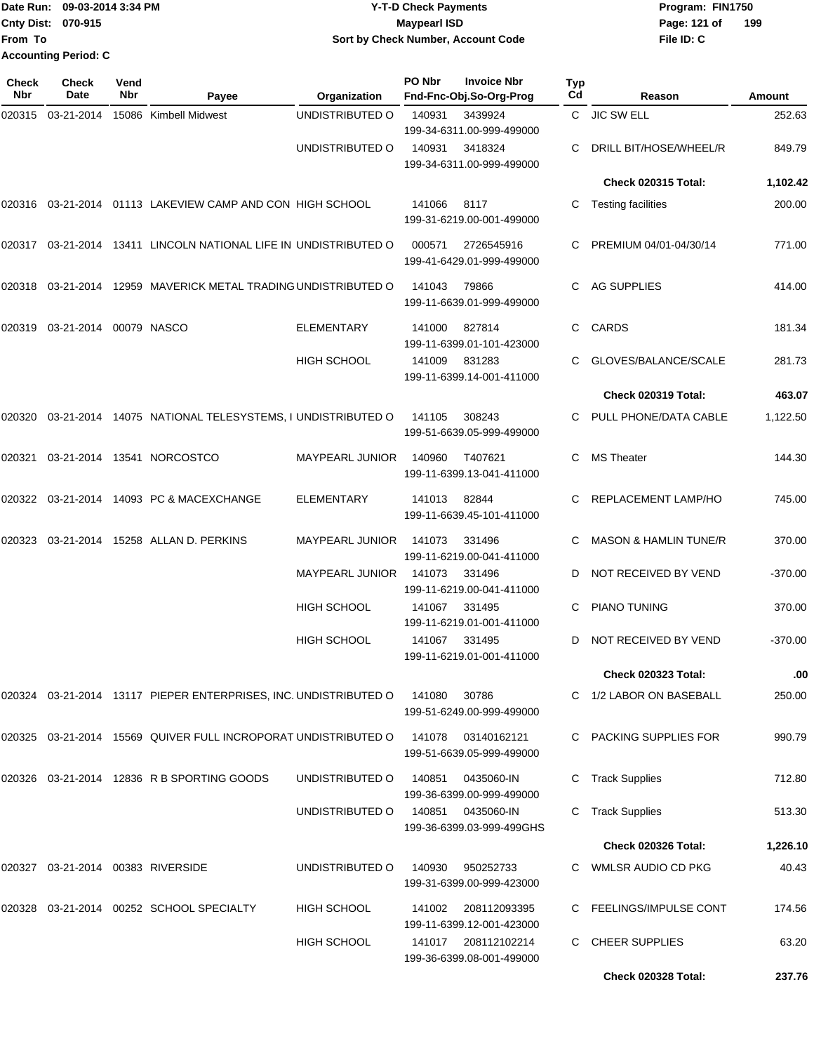Date Run: 09-03-2014 3:34 PM **Program:** FIN1750 **Cnty Dist:** 070-915 **Page: 121 of** Maypearl ISD **Contract Contract Page: 121 of From To Y-T-D Check Payments 070-915 Maypearl ISD Sort by Check Number, Account Code Accounting Period: C**

**File ID: C 199**

**Check 020328 Total: 237.76**

| Check<br>Nbr | Check<br>Date          | Vend<br>Nbr | Payee                                                               | Organization           | PO Nbr | <b>Invoice Nbr</b><br>Fnd-Fnc-Obj.So-Org-Prog    | <b>Typ</b><br>Cd | Reason                           | <b>Amount</b> |
|--------------|------------------------|-------------|---------------------------------------------------------------------|------------------------|--------|--------------------------------------------------|------------------|----------------------------------|---------------|
| 020315       | 03-21-2014             |             | 15086 Kimbell Midwest                                               | UNDISTRIBUTED O        | 140931 | 3439924<br>199-34-6311.00-999-499000             |                  | C JIC SW ELL                     | 252.63        |
|              |                        |             |                                                                     | UNDISTRIBUTED O        | 140931 | 3418324<br>199-34-6311.00-999-499000             |                  | DRILL BIT/HOSE/WHEEL/R           | 849.79        |
|              |                        |             |                                                                     |                        |        |                                                  |                  | <b>Check 020315 Total:</b>       | 1,102.42      |
|              |                        |             | 020316 03-21-2014 01113  LAKEVIEW CAMP AND CON  HIGH SCHOOL         |                        | 141066 | 8117<br>199-31-6219.00-001-499000                | С                | Testing facilities               | 200.00        |
|              |                        |             | 020317  03-21-2014  13411  LINCOLN NATIONAL LIFE IN UNDISTRIBUTED O |                        | 000571 | 2726545916<br>199-41-6429.01-999-499000          |                  | PREMIUM 04/01-04/30/14           | 771.00        |
|              |                        |             | 020318  03-21-2014  12959  MAVERICK METAL TRADING UNDISTRIBUTED O   |                        | 141043 | 79866<br>199-11-6639.01-999-499000               | C.               | AG SUPPLIES                      | 414.00        |
| 020319       | 03-21-2014 00079 NASCO |             |                                                                     | <b>ELEMENTARY</b>      | 141000 | 827814<br>199-11-6399.01-101-423000              | C.               | <b>CARDS</b>                     | 181.34        |
|              |                        |             |                                                                     | HIGH SCHOOL            | 141009 | 831283<br>199-11-6399.14-001-411000              |                  | GLOVES/BALANCE/SCALE             | 281.73        |
|              |                        |             |                                                                     |                        |        |                                                  |                  | Check 020319 Total:              | 463.07        |
| 020320       |                        |             | 03-21-2014 14075 NATIONAL TELESYSTEMS, I UNDISTRIBUTED O            |                        | 141105 | 308243<br>199-51-6639.05-999-499000              |                  | PULL PHONE/DATA CABLE            | 1,122.50      |
| 020321       |                        |             | 03-21-2014  13541  NORCOSTCO                                        | <b>MAYPEARL JUNIOR</b> | 140960 | T407621<br>199-11-6399.13-041-411000             | С                | <b>MS Theater</b>                | 144.30        |
|              |                        |             | 020322 03-21-2014 14093   PC & MACEXCHANGE                          | <b>ELEMENTARY</b>      | 141013 | 82844<br>199-11-6639.45-101-411000               |                  | REPLACEMENT LAMP/HO              | 745.00        |
| 020323       |                        |             | 03-21-2014 15258 ALLAN D. PERKINS                                   | <b>MAYPEARL JUNIOR</b> | 141073 | 331496<br>199-11-6219.00-041-411000              | С                | <b>MASON &amp; HAMLIN TUNE/R</b> | 370.00        |
|              |                        |             |                                                                     | <b>MAYPEARL JUNIOR</b> | 141073 | 331496<br>199-11-6219.00-041-411000              | D                | NOT RECEIVED BY VEND             | $-370.00$     |
|              |                        |             |                                                                     | <b>HIGH SCHOOL</b>     | 141067 | 331495<br>199-11-6219.01-001-411000              | С                | PIANO TUNING                     | 370.00        |
|              |                        |             |                                                                     | <b>HIGH SCHOOL</b>     | 141067 | 331495<br>199-11-6219.01-001-411000              | D                | NOT RECEIVED BY VEND             | $-370.00$     |
|              |                        |             |                                                                     |                        |        |                                                  |                  | <b>Check 020323 Total:</b>       | .00           |
|              |                        |             | 020324 03-21-2014 13117 PIEPER ENTERPRISES, INC. UNDISTRIBUTED O    |                        | 141080 | 30786<br>199-51-6249.00-999-499000               |                  | C 1/2 LABOR ON BASEBALL          | 250.00        |
|              |                        |             | 020325  03-21-2014  15569  QUIVER FULL INCROPORAT UNDISTRIBUTED O   |                        | 141078 | 03140162121<br>199-51-6639.05-999-499000         |                  | C PACKING SUPPLIES FOR           | 990.79        |
|              |                        |             | 020326 03-21-2014 12836 R B SPORTING GOODS                          | UNDISTRIBUTED O        | 140851 | 0435060-IN<br>199-36-6399.00-999-499000          | С                | <b>Track Supplies</b>            | 712.80        |
|              |                        |             |                                                                     | UNDISTRIBUTED O        | 140851 | 0435060-IN<br>199-36-6399.03-999-499GHS          | С                | <b>Track Supplies</b>            | 513.30        |
|              |                        |             |                                                                     |                        |        |                                                  |                  | <b>Check 020326 Total:</b>       | 1,226.10      |
| 020327       |                        |             | 03-21-2014 00383 RIVERSIDE                                          | UNDISTRIBUTED O        | 140930 | 950252733<br>199-31-6399.00-999-423000           |                  | C WMLSR AUDIO CD PKG             | 40.43         |
|              |                        |             | 020328  03-21-2014  00252  SCHOOL SPECIALTY                         | <b>HIGH SCHOOL</b>     | 141002 | 208112093395<br>199-11-6399.12-001-423000        |                  | C FEELINGS/IMPULSE CONT          | 174.56        |
|              |                        |             |                                                                     | <b>HIGH SCHOOL</b>     |        | 141017 208112102214<br>199-36-6399.08-001-499000 |                  | C CHEER SUPPLIES                 | 63.20         |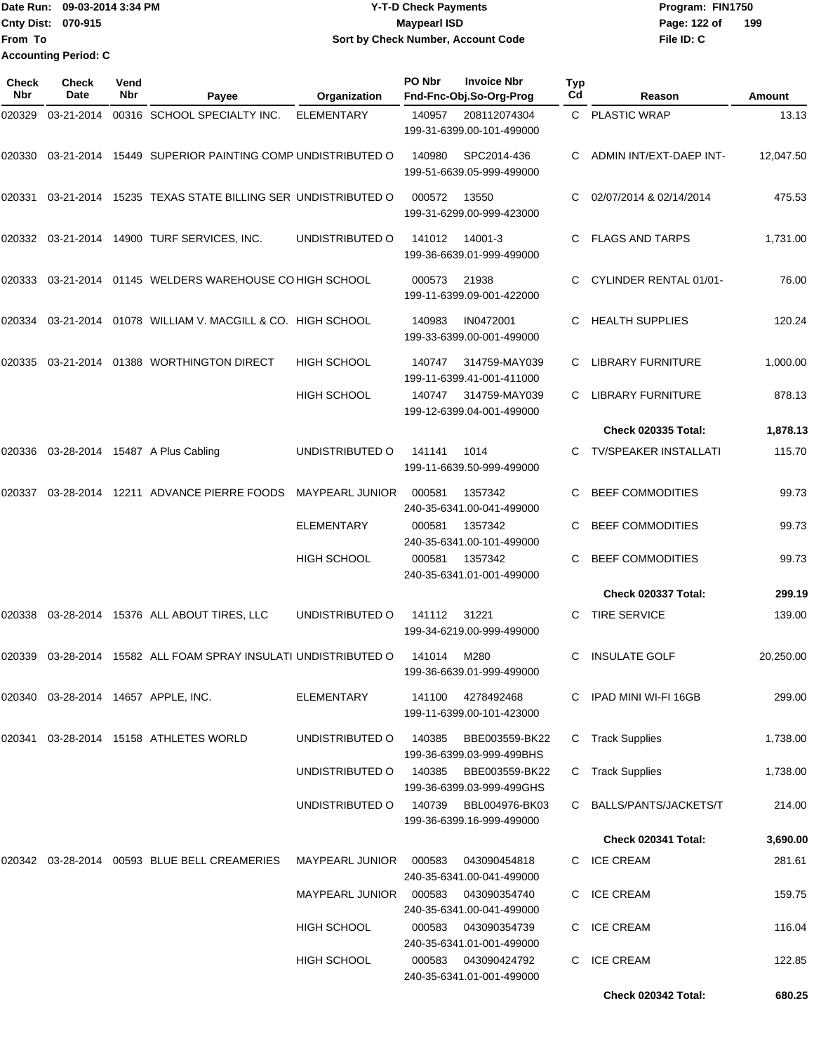Date Run: 09-03-2014 3:34 PM **Program:** FIN1750 **Cnty Dist:** 070-915 **Page: 122 of** Maypearl ISD **Page: 122 of From To Y-T-D Check Payments 070-915 Maypearl ISD Sort by Check Number, Account Code Accounting Period: C**

| <b>Check</b><br>Nbr | Check<br>Date | Vend<br>Nbr | Payee                                                    | Organization           | PO Nbr | <b>Invoice Nbr</b><br>Fnd-Fnc-Obj.So-Org-Prog | <b>Typ</b><br>Cd | Reason                       | Amount    |
|---------------------|---------------|-------------|----------------------------------------------------------|------------------------|--------|-----------------------------------------------|------------------|------------------------------|-----------|
| 020329              | 03-21-2014    |             | 00316 SCHOOL SPECIALTY INC.                              | <b>ELEMENTARY</b>      | 140957 | 208112074304<br>199-31-6399.00-101-499000     |                  | C PLASTIC WRAP               | 13.13     |
| 020330              |               |             | 03-21-2014 15449 SUPERIOR PAINTING COMP UNDISTRIBUTED O  |                        | 140980 | SPC2014-436<br>199-51-6639.05-999-499000      | C.               | ADMIN INT/EXT-DAEP INT-      | 12,047.50 |
| 020331              |               |             | 03-21-2014 15235 TEXAS STATE BILLING SER UNDISTRIBUTED O |                        | 000572 | 13550<br>199-31-6299.00-999-423000            |                  | 02/07/2014 & 02/14/2014      | 475.53    |
| 020332              |               |             | 03-21-2014  14900 TURF SERVICES, INC.                    | UNDISTRIBUTED O        | 141012 | 14001-3<br>199-36-6639.01-999-499000          |                  | <b>FLAGS AND TARPS</b>       | 1,731.00  |
| 020333              |               |             | 03-21-2014 01145 WELDERS WAREHOUSE CO HIGH SCHOOL        |                        | 000573 | 21938<br>199-11-6399.09-001-422000            | C.               | CYLINDER RENTAL 01/01-       | 76.00     |
| 020334              |               |             | 03-21-2014 01078 WILLIAM V. MACGILL & CO. HIGH SCHOOL    |                        | 140983 | IN0472001<br>199-33-6399.00-001-499000        |                  | <b>HEALTH SUPPLIES</b>       | 120.24    |
| 020335              | 03-21-2014    |             | 01388 WORTHINGTON DIRECT                                 | <b>HIGH SCHOOL</b>     | 140747 | 314759-MAY039<br>199-11-6399.41-001-411000    | C                | <b>LIBRARY FURNITURE</b>     | 1,000.00  |
|                     |               |             |                                                          | <b>HIGH SCHOOL</b>     | 140747 | 314759-MAY039<br>199-12-6399.04-001-499000    | С                | <b>LIBRARY FURNITURE</b>     | 878.13    |
|                     |               |             |                                                          |                        |        |                                               |                  | <b>Check 020335 Total:</b>   | 1,878.13  |
| 020336              |               |             | 03-28-2014 15487 A Plus Cabling                          | UNDISTRIBUTED O        | 141141 | 1014<br>199-11-6639.50-999-499000             | C                | <b>TV/SPEAKER INSTALLATI</b> | 115.70    |
| 020337              |               |             | 03-28-2014 12211 ADVANCE PIERRE FOODS                    | <b>MAYPEARL JUNIOR</b> | 000581 | 1357342<br>240-35-6341.00-041-499000          |                  | <b>BEEF COMMODITIES</b>      | 99.73     |
|                     |               |             |                                                          | <b>ELEMENTARY</b>      | 000581 | 1357342<br>240-35-6341.00-101-499000          | C                | <b>BEEF COMMODITIES</b>      | 99.73     |
|                     |               |             |                                                          | <b>HIGH SCHOOL</b>     | 000581 | 1357342<br>240-35-6341.01-001-499000          |                  | <b>BEEF COMMODITIES</b>      | 99.73     |
|                     |               |             |                                                          |                        |        |                                               |                  | Check 020337 Total:          | 299.19    |
| 020338              |               |             | 03-28-2014 15376 ALL ABOUT TIRES, LLC                    | UNDISTRIBUTED O        | 141112 | 31221<br>199-34-6219.00-999-499000            | C.               | <b>TIRE SERVICE</b>          | 139.00    |
| 020339              |               |             | 03-28-2014 15582 ALL FOAM SPRAY INSULATI UNDISTRIBUTED O |                        | 141014 | M280<br>199-36-6639.01-999-499000             |                  | <b>INSULATE GOLF</b>         | 20,250.00 |
|                     |               |             | 020340 03-28-2014 14657 APPLE, INC.                      | ELEMENTARY             | 141100 | 4278492468<br>199-11-6399.00-101-423000       |                  | C IPAD MINI WI-FI 16GB       | 299.00    |
| 020341              |               |             | 03-28-2014 15158 ATHLETES WORLD                          | UNDISTRIBUTED O        | 140385 | BBE003559-BK22<br>199-36-6399.03-999-499BHS   | С                | <b>Track Supplies</b>        | 1,738.00  |
|                     |               |             |                                                          | UNDISTRIBUTED O        | 140385 | BBE003559-BK22<br>199-36-6399.03-999-499GHS   |                  | C Track Supplies             | 1,738.00  |
|                     |               |             |                                                          | UNDISTRIBUTED O        | 140739 | BBL004976-BK03<br>199-36-6399.16-999-499000   |                  | C BALLS/PANTS/JACKETS/T      | 214.00    |
|                     |               |             |                                                          |                        |        |                                               |                  | Check 020341 Total:          | 3,690.00  |
|                     |               |             |                                                          | <b>MAYPEARL JUNIOR</b> | 000583 | 043090454818<br>240-35-6341.00-041-499000     |                  | C ICE CREAM                  | 281.61    |
|                     |               |             |                                                          | MAYPEARL JUNIOR        | 000583 | 043090354740<br>240-35-6341.00-041-499000     | C.               | <b>ICE CREAM</b>             | 159.75    |
|                     |               |             |                                                          | HIGH SCHOOL            | 000583 | 043090354739<br>240-35-6341.01-001-499000     |                  | C ICE CREAM                  | 116.04    |
|                     |               |             |                                                          | <b>HIGH SCHOOL</b>     | 000583 | 043090424792<br>240-35-6341.01-001-499000     | C                | <b>ICE CREAM</b>             | 122.85    |
|                     |               |             |                                                          |                        |        |                                               |                  | Check 020342 Total:          | 680.25    |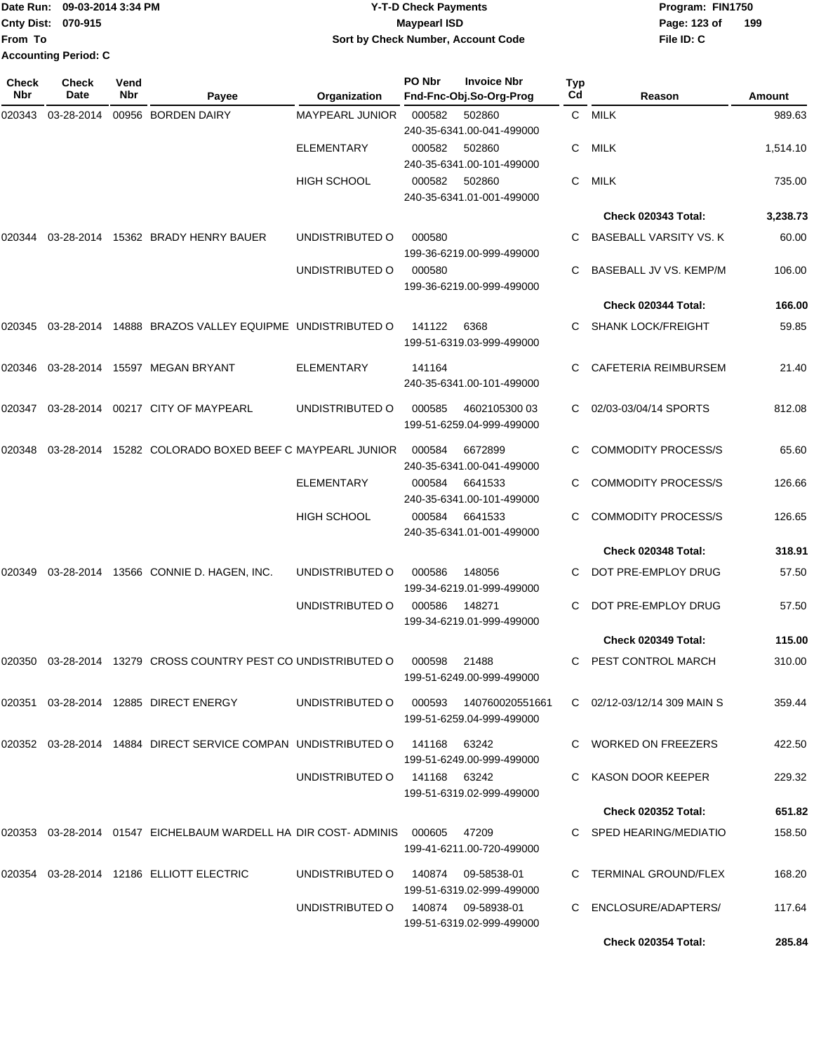Date Run: 09-03-2014 3:34 PM **Program:** FIN1750 **Cnty Dist:** 070-915 **Page:** 123 of **From To Y-T-D Check Payments 070-915 Maypearl ISD Sort by Check Number, Account Code Accounting Period: C**

**File ID: C 199**

| <b>Check</b><br>Nbr | <b>Check</b><br>Date | Vend<br>Nbr | Payee                                                                      | Organization                           | <b>PO Nbr</b> | <b>Invoice Nbr</b><br>Fnd-Fnc-Obj.So-Org-Prog | <b>Typ</b><br>Cd | Reason                        | <b>Amount</b> |
|---------------------|----------------------|-------------|----------------------------------------------------------------------------|----------------------------------------|---------------|-----------------------------------------------|------------------|-------------------------------|---------------|
| 020343              | 03-28-2014           |             | 00956 BORDEN DAIRY                                                         | MAYPEARL JUNIOR                        | 000582        | 502860<br>240-35-6341.00-041-499000           | $\mathsf{C}$     | <b>MILK</b>                   | 989.63        |
|                     |                      |             |                                                                            | <b>ELEMENTARY</b>                      | 000582        | 502860<br>240-35-6341.00-101-499000           | C.               | MILK                          | 1,514.10      |
|                     |                      |             |                                                                            | <b>HIGH SCHOOL</b>                     | 000582        | 502860<br>240-35-6341.01-001-499000           | C                | <b>MILK</b>                   | 735.00        |
|                     |                      |             |                                                                            |                                        |               |                                               |                  | Check 020343 Total:           | 3,238.73      |
| 020344              |                      |             | 03-28-2014 15362 BRADY HENRY BAUER                                         | UNDISTRIBUTED O                        | 000580        | 199-36-6219.00-999-499000                     |                  | <b>BASEBALL VARSITY VS. K</b> | 60.00         |
|                     |                      |             |                                                                            | UNDISTRIBUTED O                        | 000580        | 199-36-6219.00-999-499000                     | C                | BASEBALL JV VS. KEMP/M        | 106.00        |
|                     |                      |             |                                                                            |                                        |               |                                               |                  | Check 020344 Total:           | 166.00        |
|                     |                      |             | 020345 03-28-2014 14888 BRAZOS VALLEY EQUIPME UNDISTRIBUTED O              |                                        | 141122        | 6368<br>199-51-6319.03-999-499000             | C.               | <b>SHANK LOCK/FREIGHT</b>     | 59.85         |
|                     |                      |             | 020346  03-28-2014  15597  MEGAN BRYANT                                    | <b>ELEMENTARY</b>                      | 141164        | 240-35-6341.00-101-499000                     | C.               | CAFETERIA REIMBURSEM          | 21.40         |
| 020347              |                      |             | 03-28-2014  00217  CITY OF MAYPEARL                                        | UNDISTRIBUTED O                        | 000585        | 4602105300 03<br>199-51-6259.04-999-499000    |                  | 02/03-03/04/14 SPORTS         | 812.08        |
| 020348              |                      |             | 03-28-2014 15282 COLORADO BOXED BEEF C MAYPEARL JUNIOR                     |                                        | 000584        | 6672899<br>240-35-6341.00-041-499000          | C.               | <b>COMMODITY PROCESS/S</b>    | 65.60         |
|                     |                      |             |                                                                            | <b>ELEMENTARY</b>                      | 000584        | 6641533<br>240-35-6341.00-101-499000          | C.               | <b>COMMODITY PROCESS/S</b>    | 126.66        |
|                     |                      |             |                                                                            | <b>HIGH SCHOOL</b>                     | 000584        | 6641533<br>240-35-6341.01-001-499000          |                  | <b>COMMODITY PROCESS/S</b>    | 126.65        |
|                     |                      |             |                                                                            |                                        |               |                                               |                  | Check 020348 Total:           | 318.91        |
| 020349              |                      |             | 03-28-2014  13566  CONNIE D. HAGEN, INC.                                   | UNDISTRIBUTED O                        | 000586        | 148056<br>199-34-6219.01-999-499000           | C.               | DOT PRE-EMPLOY DRUG           | 57.50         |
|                     |                      |             |                                                                            | UNDISTRIBUTED O                        | 000586        | 148271<br>199-34-6219.01-999-499000           | C.               | DOT PRE-EMPLOY DRUG           | 57.50         |
|                     |                      |             |                                                                            |                                        |               |                                               |                  | Check 020349 Total:           | 115.00        |
|                     |                      |             | 020350 03-28-2014 13279 CROSS COUNTRY PEST CO UNDISTRIBUTED O              |                                        | 000598        | 21488<br>199-51-6249.00-999-499000            |                  | C PEST CONTROL MARCH          | 310.00        |
|                     |                      |             | 020351  03-28-2014  12885  DIRECT ENERGY                                   | UNDISTRIBUTED O 000593 140760020551661 |               | 199-51-6259.04-999-499000                     |                  | C 02/12-03/12/14 309 MAIN S   | 359.44        |
|                     |                      |             | 020352 03-28-2014 14884 DIRECT SERVICE COMPAN UNDISTRIBUTED O 141168 63242 |                                        |               | 199-51-6249.00-999-499000                     |                  | C WORKED ON FREEZERS          | 422.50        |
|                     |                      |             |                                                                            | UNDISTRIBUTED O 141168 63242           |               | 199-51-6319.02-999-499000                     |                  | C KASON DOOR KEEPER           | 229.32        |
|                     |                      |             |                                                                            |                                        |               |                                               |                  | <b>Check 020352 Total:</b>    | 651.82        |
|                     |                      |             | 020353 03-28-2014 01547 EICHELBAUM WARDELL HA DIR COST-ADMINIS 000605      |                                        |               | 47209<br>199-41-6211.00-720-499000            |                  | C SPED HEARING/MEDIATIO       | 158.50        |
|                     |                      |             | 020354 03-28-2014 12186 ELLIOTT ELECTRIC                                   | UNDISTRIBUTED O                        |               | 199-51-6319.02-999-499000                     |                  | C TERMINAL GROUND/FLEX        | 168.20        |
|                     |                      |             |                                                                            | UNDISTRIBUTED O 140874 09-58938-01     |               | 199-51-6319.02-999-499000                     |                  | C ENCLOSURE/ADAPTERS/         | 117.64        |

**Check 020354 Total: 285.84**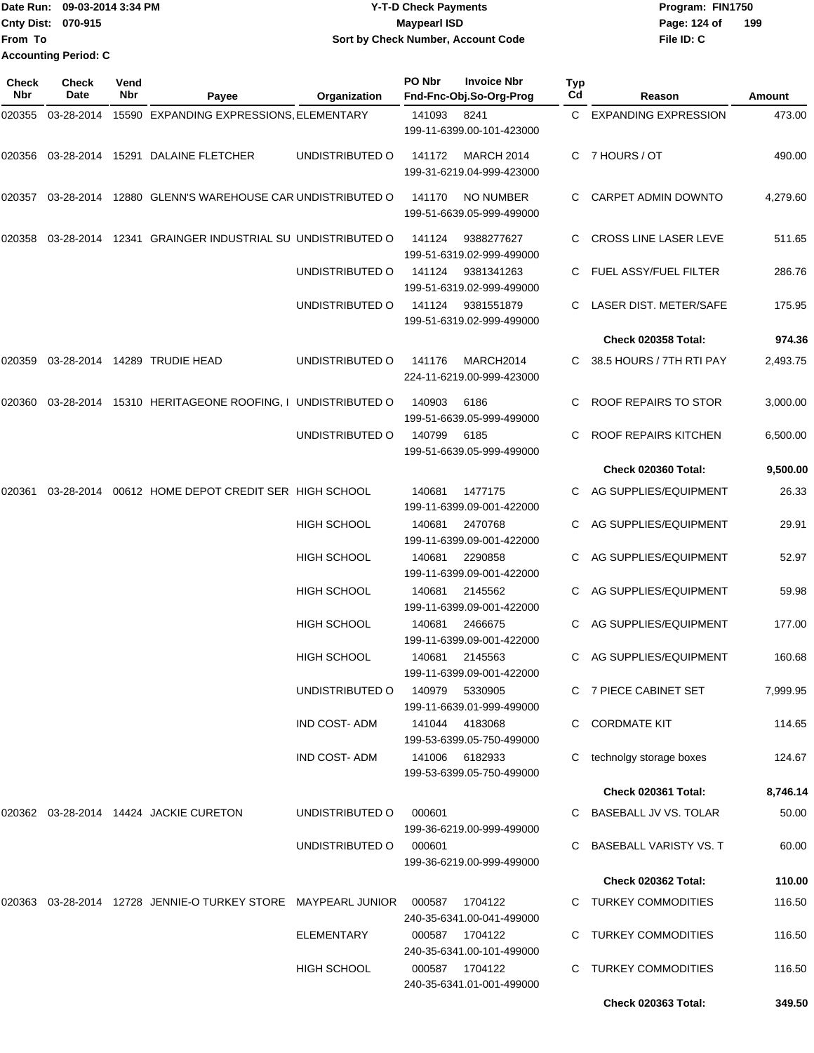| Date Run: 09-03-2014 3:34 PM | <b>Y-T-D Check Payments</b>                      | Program: FIN1750 |  |  |  |  |
|------------------------------|--------------------------------------------------|------------------|--|--|--|--|
| <b>Cnty Dist: 070-915</b>    | Page: 124 of<br><b>Mavpearl ISD</b>              | 199              |  |  |  |  |
| <b>From To</b>               | Sort by Check Number, Account Code<br>File ID: C |                  |  |  |  |  |
| <b>Accounting Period: C</b>  |                                                  |                  |  |  |  |  |

| Check<br><b>Nbr</b> | Check<br>Date | Vend<br>Nbr | Payee                                                  | Organization        | PO Nbr | <b>Invoice Nbr</b><br>Fnd-Fnc-Obj.So-Org-Prog  | <b>Typ</b><br>Cd | Reason                        | Amount   |
|---------------------|---------------|-------------|--------------------------------------------------------|---------------------|--------|------------------------------------------------|------------------|-------------------------------|----------|
| 020355              | 03-28-2014    |             | 15590 EXPANDING EXPRESSIONS, ELEMENTARY                |                     | 141093 | 8241<br>199-11-6399.00-101-423000              | C.               | <b>EXPANDING EXPRESSION</b>   | 473.00   |
| 020356              |               |             | 03-28-2014 15291 DALAINE FLETCHER                      | UNDISTRIBUTED O     | 141172 | <b>MARCH 2014</b><br>199-31-6219.04-999-423000 |                  | C 7 HOURS / OT                | 490.00   |
| 020357              | 03-28-2014    |             | 12880 GLENN'S WAREHOUSE CAR UNDISTRIBUTED O            |                     | 141170 | <b>NO NUMBER</b><br>199-51-6639.05-999-499000  |                  | CARPET ADMIN DOWNTO           | 4,279.60 |
| 020358              | 03-28-2014    |             | 12341 GRAINGER INDUSTRIAL SU UNDISTRIBUTED O           |                     | 141124 | 9388277627<br>199-51-6319.02-999-499000        | C                | CROSS LINE LASER LEVE         | 511.65   |
|                     |               |             |                                                        | UNDISTRIBUTED O     | 141124 | 9381341263<br>199-51-6319.02-999-499000        |                  | FUEL ASSY/FUEL FILTER         | 286.76   |
|                     |               |             |                                                        | UNDISTRIBUTED O     | 141124 | 9381551879<br>199-51-6319.02-999-499000        |                  | LASER DIST. METER/SAFE        | 175.95   |
|                     |               |             |                                                        |                     |        |                                                |                  | Check 020358 Total:           | 974.36   |
| 020359              |               |             | 03-28-2014 14289 TRUDIE HEAD                           | UNDISTRIBUTED O     | 141176 | MARCH2014<br>224-11-6219.00-999-423000         | C.               | 38.5 HOURS / 7TH RTI PAY      | 2,493.75 |
| 020360              | 03-28-2014    |             | 15310 HERITAGEONE ROOFING, I UNDISTRIBUTED O           |                     | 140903 | 6186<br>199-51-6639.05-999-499000              | C.               | ROOF REPAIRS TO STOR          | 3,000.00 |
|                     |               |             |                                                        | UNDISTRIBUTED O     | 140799 | 6185<br>199-51-6639.05-999-499000              |                  | ROOF REPAIRS KITCHEN          | 6,500.00 |
|                     |               |             |                                                        |                     |        |                                                |                  | Check 020360 Total:           | 9,500.00 |
| 020361              | 03-28-2014    |             | 00612 HOME DEPOT CREDIT SER HIGH SCHOOL                |                     | 140681 | 1477175<br>199-11-6399.09-001-422000           |                  | AG SUPPLIES/EQUIPMENT         | 26.33    |
|                     |               |             |                                                        | <b>HIGH SCHOOL</b>  | 140681 | 2470768<br>199-11-6399.09-001-422000           | C                | AG SUPPLIES/EQUIPMENT         | 29.91    |
|                     |               |             |                                                        | <b>HIGH SCHOOL</b>  | 140681 | 2290858<br>199-11-6399.09-001-422000           | C.               | AG SUPPLIES/EQUIPMENT         | 52.97    |
|                     |               |             |                                                        | <b>HIGH SCHOOL</b>  | 140681 | 2145562<br>199-11-6399.09-001-422000           |                  | AG SUPPLIES/EQUIPMENT         | 59.98    |
|                     |               |             |                                                        | <b>HIGH SCHOOL</b>  | 140681 | 2466675<br>199-11-6399.09-001-422000           |                  | AG SUPPLIES/EQUIPMENT         | 177.00   |
|                     |               |             |                                                        | <b>HIGH SCHOOL</b>  | 140681 | 2145563<br>199-11-6399.09-001-422000           | C                | AG SUPPLIES/EQUIPMENT         | 160.68   |
|                     |               |             |                                                        | UNDISTRIBUTED O     | 140979 | 5330905<br>199-11-6639.01-999-499000           |                  | C 7 PIECE CABINET SET         | 7,999.95 |
|                     |               |             |                                                        | IND COST-ADM        | 141044 | 4183068<br>199-53-6399.05-750-499000           | C.               | <b>CORDMATE KIT</b>           | 114.65   |
|                     |               |             |                                                        | <b>IND COST-ADM</b> | 141006 | 6182933<br>199-53-6399.05-750-499000           | C                | technolgy storage boxes       | 124.67   |
|                     |               |             |                                                        |                     |        |                                                |                  | Check 020361 Total:           | 8,746.14 |
|                     |               |             | 020362 03-28-2014 14424 JACKIE CURETON                 | UNDISTRIBUTED O     | 000601 | 199-36-6219.00-999-499000                      | C.               | BASEBALL JV VS. TOLAR         | 50.00    |
|                     |               |             |                                                        | UNDISTRIBUTED O     | 000601 | 199-36-6219.00-999-499000                      |                  | <b>BASEBALL VARISTY VS. T</b> | 60.00    |
|                     |               |             |                                                        |                     |        |                                                |                  | <b>Check 020362 Total:</b>    | 110.00   |
| 020363              |               |             | 03-28-2014 12728 JENNIE-O TURKEY STORE MAYPEARL JUNIOR |                     | 000587 | 1704122<br>240-35-6341.00-041-499000           |                  | C TURKEY COMMODITIES          | 116.50   |
|                     |               |             |                                                        | ELEMENTARY          | 000587 | 1704122<br>240-35-6341.00-101-499000           |                  | <b>TURKEY COMMODITIES</b>     | 116.50   |
|                     |               |             |                                                        | HIGH SCHOOL         | 000587 | 1704122<br>240-35-6341.01-001-499000           | C.               | <b>TURKEY COMMODITIES</b>     | 116.50   |
|                     |               |             |                                                        |                     |        |                                                |                  | Check 020363 Total:           | 349.50   |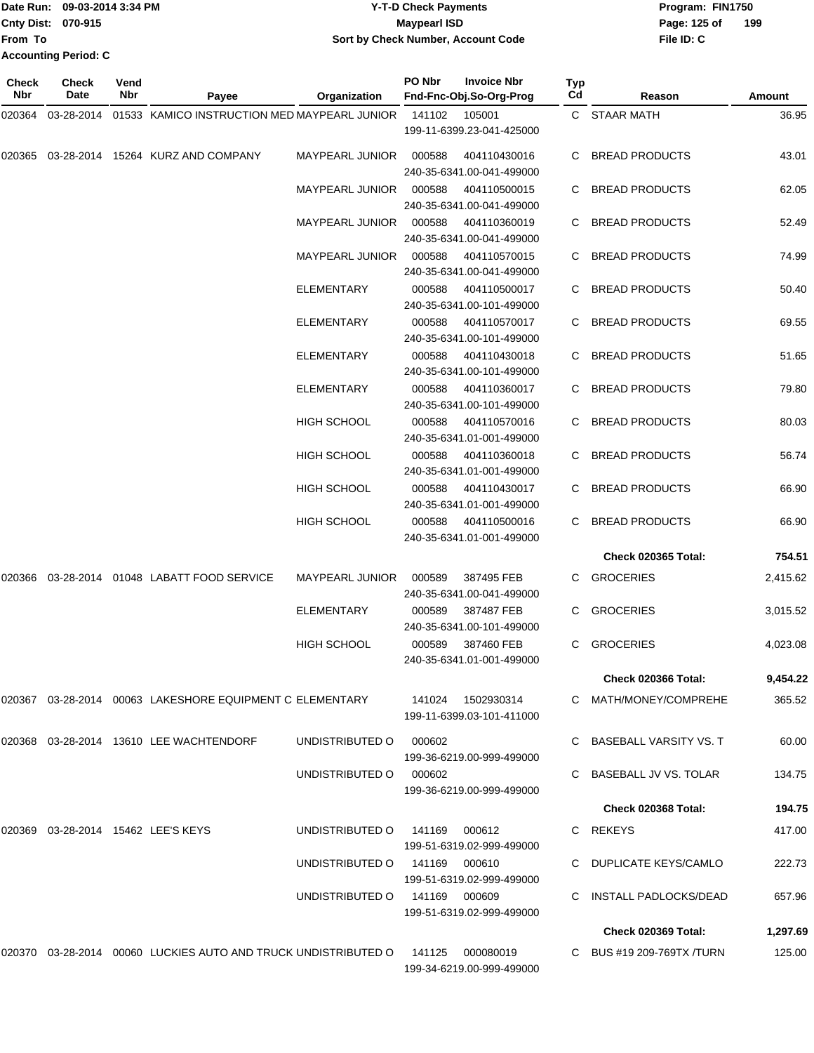|                             | Date Run: 09-03-2014 3:34 PM | <b>Y-T-D Check Payments</b>        | Program: FIN1750    |
|-----------------------------|------------------------------|------------------------------------|---------------------|
| <b>Cnty Dist: 070-915</b>   |                              | <b>Mavpearl ISD</b>                | 199<br>Page: 125 of |
| lFrom To                    |                              | Sort by Check Number, Account Code | File ID: C          |
| <b>Accounting Period: C</b> |                              |                                    |                     |

| Check<br>Nbr | <b>Check</b><br>Date | Vend<br>Nbr | Payee                                                             | Organization                  | PO Nbr        | <b>Invoice Nbr</b><br>Fnd-Fnc-Obj.So-Org-Prog | Typ<br>Cd | Reason                     | <b>Amount</b> |
|--------------|----------------------|-------------|-------------------------------------------------------------------|-------------------------------|---------------|-----------------------------------------------|-----------|----------------------------|---------------|
| 020364       | 03-28-2014           |             | 01533 KAMICO INSTRUCTION MED MAYPEARL JUNIOR                      |                               | 141102        | 105001<br>199-11-6399.23-041-425000           |           | C STAAR MATH               | 36.95         |
| 020365       |                      |             | 03-28-2014 15264 KURZ AND COMPANY                                 | <b>MAYPEARL JUNIOR</b>        | 000588        | 404110430016<br>240-35-6341.00-041-499000     | C.        | <b>BREAD PRODUCTS</b>      | 43.01         |
|              |                      |             |                                                                   | <b>MAYPEARL JUNIOR</b>        | 000588        | 404110500015<br>240-35-6341.00-041-499000     | C         | <b>BREAD PRODUCTS</b>      | 62.05         |
|              |                      |             |                                                                   | <b>MAYPEARL JUNIOR</b>        | 000588        | 404110360019<br>240-35-6341.00-041-499000     |           | <b>BREAD PRODUCTS</b>      | 52.49         |
|              |                      |             |                                                                   | <b>MAYPEARL JUNIOR</b>        | 000588        | 404110570015<br>240-35-6341.00-041-499000     | C         | <b>BREAD PRODUCTS</b>      | 74.99         |
|              |                      |             |                                                                   | <b>ELEMENTARY</b>             | 000588        | 404110500017<br>240-35-6341.00-101-499000     | C         | <b>BREAD PRODUCTS</b>      | 50.40         |
|              |                      |             |                                                                   | ELEMENTARY                    | 000588        | 404110570017<br>240-35-6341.00-101-499000     |           | <b>BREAD PRODUCTS</b>      | 69.55         |
|              |                      |             |                                                                   | <b>ELEMENTARY</b>             | 000588        | 404110430018<br>240-35-6341.00-101-499000     | C         | <b>BREAD PRODUCTS</b>      | 51.65         |
|              |                      |             |                                                                   | <b>ELEMENTARY</b>             | 000588        | 404110360017<br>240-35-6341.00-101-499000     | C         | <b>BREAD PRODUCTS</b>      | 79.80         |
|              |                      |             |                                                                   | <b>HIGH SCHOOL</b>            | 000588        | 404110570016<br>240-35-6341.01-001-499000     |           | <b>BREAD PRODUCTS</b>      | 80.03         |
|              |                      |             |                                                                   | HIGH SCHOOL                   | 000588        | 404110360018<br>240-35-6341.01-001-499000     | C         | <b>BREAD PRODUCTS</b>      | 56.74         |
|              |                      |             |                                                                   | <b>HIGH SCHOOL</b>            | 000588        | 404110430017<br>240-35-6341.01-001-499000     | C         | <b>BREAD PRODUCTS</b>      | 66.90         |
|              |                      |             |                                                                   | <b>HIGH SCHOOL</b>            | 000588        | 404110500016<br>240-35-6341.01-001-499000     | C.        | <b>BREAD PRODUCTS</b>      | 66.90         |
|              |                      |             |                                                                   |                               |               |                                               |           | Check 020365 Total:        | 754.51        |
| 020366       |                      |             | 03-28-2014  01048  LABATT FOOD SERVICE                            | <b>MAYPEARL JUNIOR</b>        | 000589        | 387495 FEB<br>240-35-6341.00-041-499000       | C         | <b>GROCERIES</b>           | 2,415.62      |
|              |                      |             |                                                                   | <b>ELEMENTARY</b>             | 000589        | 387487 FEB<br>240-35-6341.00-101-499000       | C         | <b>GROCERIES</b>           | 3,015.52      |
|              |                      |             |                                                                   | <b>HIGH SCHOOL</b>            | 000589        | 387460 FEB<br>240-35-6341.01-001-499000       | C         | <b>GROCERIES</b>           | 4,023.08      |
|              |                      |             |                                                                   |                               |               |                                               |           | <b>Check 020366 Total:</b> | 9,454.22      |
|              |                      |             | 020367  03-28-2014  00063  LAKESHORE EQUIPMENT C ELEMENTARY       |                               |               | 199-11-6399.03-101-411000                     |           | C MATH/MONEY/COMPREHE      | 365.52        |
|              |                      |             | 020368  03-28-2014  13610 LEE WACHTENDORF                         | UNDISTRIBUTED O               | 000602        | 199-36-6219.00-999-499000                     |           | C BASEBALL VARSITY VS. T   | 60.00         |
|              |                      |             |                                                                   | UNDISTRIBUTED O 000602        |               | 199-36-6219.00-999-499000                     |           | C BASEBALL JV VS. TOLAR    | 134.75        |
|              |                      |             |                                                                   |                               |               |                                               |           | Check 020368 Total:        | 194.75        |
|              |                      |             | 020369  03-28-2014  15462 LEE'S KEYS                              | UNDISTRIBUTED 0 141169 000612 |               | 199-51-6319.02-999-499000                     |           | C REKEYS                   | 417.00        |
|              |                      |             |                                                                   | UNDISTRIBUTED O               | 141169 000610 | 199-51-6319.02-999-499000                     |           | C DUPLICATE KEYS/CAMLO     | 222.73        |
|              |                      |             |                                                                   | UNDISTRIBUTED O               | 141169 000609 | 199-51-6319.02-999-499000                     |           | C INSTALL PADLOCKS/DEAD    | 657.96        |
|              |                      |             |                                                                   |                               |               |                                               |           | Check 020369 Total:        | 1,297.69      |
|              |                      |             | 020370  03-28-2014  00060  LUCKIES AUTO AND TRUCK UNDISTRIBUTED O |                               |               | 141125 000080019<br>199-34-6219.00-999-499000 |           | C BUS #19 209-769TX /TURN  | 125.00        |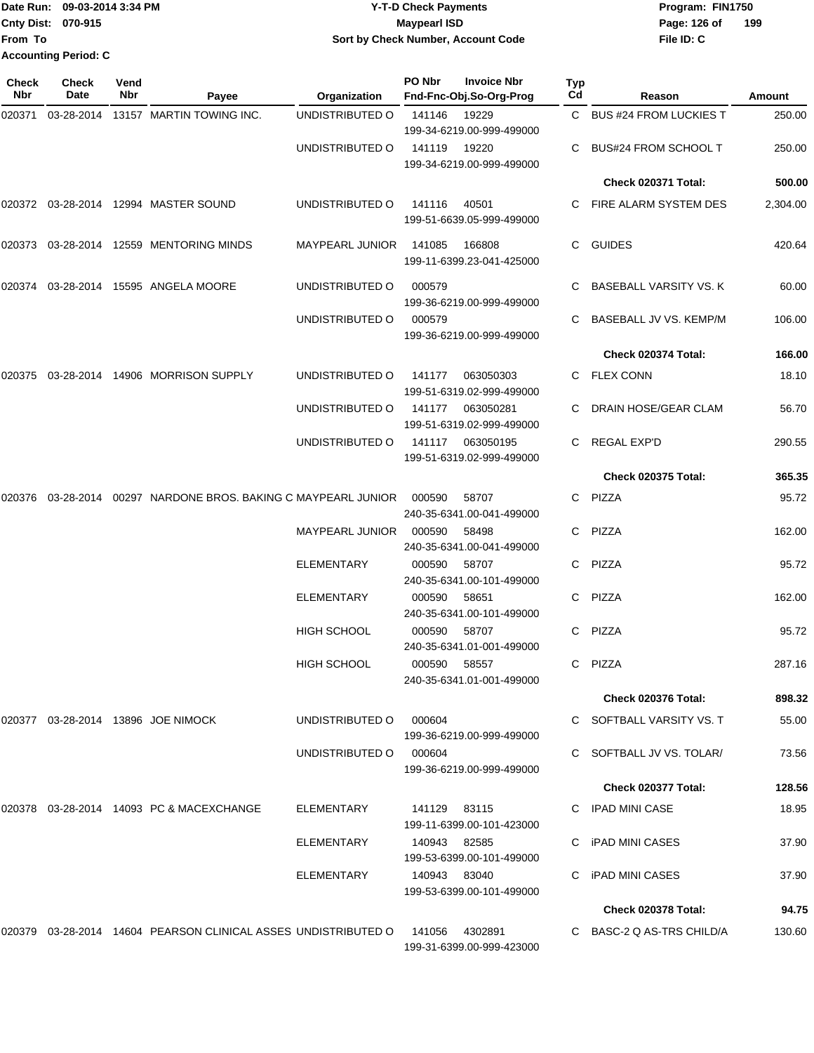|                           | Date Run: 09-03-2014 3:34 PM | <b>Y-T-D Check Payments</b>               | Program: FIN1750    |
|---------------------------|------------------------------|-------------------------------------------|---------------------|
| <b>Cnty Dist: 070-915</b> |                              | <b>Mavpearl ISD</b>                       | 199<br>Page: 126 of |
| <b>From To</b>            |                              | <b>Sort by Check Number, Account Code</b> | File ID: C          |
|                           | <b>Accounting Period: C</b>  |                                           |                     |

| Check<br>Nbr | Check<br>Date | Vend<br>Nbr | Payee                                                             | Organization           | PO Nbr       | <b>Invoice Nbr</b><br>Fnd-Fnc-Obj.So-Org-Prog | Typ<br>Cd | Reason                      | Amount   |
|--------------|---------------|-------------|-------------------------------------------------------------------|------------------------|--------------|-----------------------------------------------|-----------|-----------------------------|----------|
| 020371       | 03-28-2014    |             | 13157 MARTIN TOWING INC.                                          | UNDISTRIBUTED O        | 141146       | 19229<br>199-34-6219.00-999-499000            |           | C BUS #24 FROM LUCKIES T    | 250.00   |
|              |               |             |                                                                   | UNDISTRIBUTED O        | 141119       | 19220<br>199-34-6219.00-999-499000            |           | <b>BUS#24 FROM SCHOOL T</b> | 250.00   |
|              |               |             |                                                                   |                        |              |                                               |           | Check 020371 Total:         | 500.00   |
|              |               |             | 020372  03-28-2014  12994  MASTER SOUND                           | UNDISTRIBUTED O        | 141116       | 40501<br>199-51-6639.05-999-499000            |           | C FIRE ALARM SYSTEM DES     | 2,304.00 |
| 020373       |               |             | 03-28-2014 12559 MENTORING MINDS                                  | <b>MAYPEARL JUNIOR</b> | 141085       | 166808<br>199-11-6399.23-041-425000           | C.        | <b>GUIDES</b>               | 420.64   |
| 020374       |               |             | 03-28-2014 15595 ANGELA MOORE                                     | UNDISTRIBUTED O        | 000579       | 199-36-6219.00-999-499000                     |           | BASEBALL VARSITY VS. K      | 60.00    |
|              |               |             |                                                                   | UNDISTRIBUTED O        | 000579       | 199-36-6219.00-999-499000                     |           | BASEBALL JV VS. KEMP/M      | 106.00   |
|              |               |             |                                                                   |                        |              |                                               |           | Check 020374 Total:         | 166.00   |
| 020375       |               |             | 03-28-2014  14906  MORRISON SUPPLY                                | UNDISTRIBUTED O        | 141177       | 063050303<br>199-51-6319.02-999-499000        |           | C FLEX CONN                 | 18.10    |
|              |               |             |                                                                   | UNDISTRIBUTED O        | 141177       | 063050281<br>199-51-6319.02-999-499000        | C.        | DRAIN HOSE/GEAR CLAM        | 56.70    |
|              |               |             |                                                                   | UNDISTRIBUTED O        | 141117       | 063050195<br>199-51-6319.02-999-499000        | C.        | REGAL EXP'D                 | 290.55   |
|              |               |             |                                                                   |                        |              |                                               |           | <b>Check 020375 Total:</b>  | 365.35   |
| 020376       |               |             | 03-28-2014 00297 NARDONE BROS. BAKING C MAYPEARL JUNIOR           |                        | 000590       | 58707<br>240-35-6341.00-041-499000            |           | C PIZZA                     | 95.72    |
|              |               |             |                                                                   | <b>MAYPEARL JUNIOR</b> | 000590       | 58498<br>240-35-6341.00-041-499000            | C.        | PIZZA                       | 162.00   |
|              |               |             |                                                                   | <b>ELEMENTARY</b>      | 000590       | 58707<br>240-35-6341.00-101-499000            | C         | PIZZA                       | 95.72    |
|              |               |             |                                                                   | <b>ELEMENTARY</b>      | 000590       | 58651<br>240-35-6341.00-101-499000            | C         | PIZZA                       | 162.00   |
|              |               |             |                                                                   | <b>HIGH SCHOOL</b>     | 000590       | 58707<br>240-35-6341.01-001-499000            | C         | PIZZA                       | 95.72    |
|              |               |             |                                                                   | <b>HIGH SCHOOL</b>     | 000590       | 58557<br>240-35-6341.01-001-499000            |           | C PIZZA                     | 287.16   |
|              |               |             |                                                                   |                        |              |                                               |           | <b>Check 020376 Total:</b>  | 898.32   |
|              |               |             | 020377 03-28-2014 13896 JOE NIMOCK                                | UNDISTRIBUTED O        | 000604       | 199-36-6219.00-999-499000                     |           | C SOFTBALL VARSITY VS. T    | 55.00    |
|              |               |             |                                                                   | UNDISTRIBUTED O        | 000604       | 199-36-6219.00-999-499000                     |           | SOFTBALL JV VS. TOLAR/      | 73.56    |
|              |               |             |                                                                   |                        |              |                                               |           | Check 020377 Total:         | 128.56   |
|              |               |             | 020378 03-28-2014 14093 PC & MACEXCHANGE                          | ELEMENTARY             | 141129 83115 | 199-11-6399.00-101-423000                     |           | C IPAD MINI CASE            | 18.95    |
|              |               |             |                                                                   | ELEMENTARY             | 140943 82585 | 199-53-6399.00-101-499000                     |           | C iPAD MINI CASES           | 37.90    |
|              |               |             |                                                                   | ELEMENTARY             | 140943 83040 | 199-53-6399.00-101-499000                     |           | iPAD MINI CASES             | 37.90    |
|              |               |             |                                                                   |                        |              |                                               |           | <b>Check 020378 Total:</b>  | 94.75    |
|              |               |             | 020379  03-28-2014  14604  PEARSON CLINICAL ASSES UNDISTRIBUTED O |                        | 141056       | 4302891<br>199-31-6399.00-999-423000          |           | C BASC-2 Q AS-TRS CHILD/A   | 130.60   |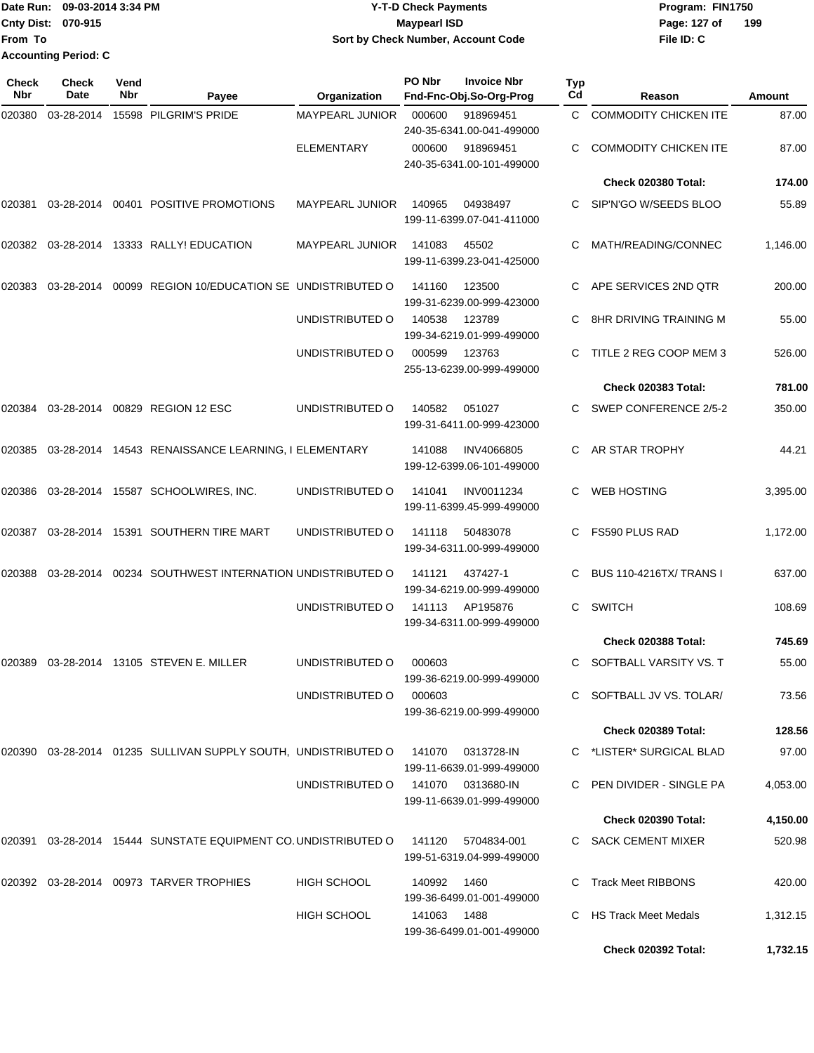|                           | Date Run: 09-03-2014 3:34 PM | Y-T-D Check Payments               | Program: FIN1750    |
|---------------------------|------------------------------|------------------------------------|---------------------|
| <b>Cnty Dist: 070-915</b> |                              | <b>Mavpearl ISD</b>                | 199<br>Page: 127 of |
| lFrom To                  |                              | Sort by Check Number, Account Code | File ID: C          |
|                           | <b>Accounting Period: C</b>  |                                    |                     |

| Check<br><b>Nbr</b> | <b>Check</b><br>Date | Vend<br>Nbr | Payee                                                             | Organization           | PO Nbr | <b>Invoice Nbr</b><br>Fnd-Fnc-Obj.So-Org-Prog  | <b>Typ</b><br>Cd | Reason                         | Amount   |
|---------------------|----------------------|-------------|-------------------------------------------------------------------|------------------------|--------|------------------------------------------------|------------------|--------------------------------|----------|
| 020380              | 03-28-2014           |             | 15598 PILGRIM'S PRIDE                                             | <b>MAYPEARL JUNIOR</b> | 000600 | 918969451<br>240-35-6341.00-041-499000         | C                | <b>COMMODITY CHICKEN ITE</b>   | 87.00    |
|                     |                      |             |                                                                   | <b>ELEMENTARY</b>      | 000600 | 918969451<br>240-35-6341.00-101-499000         |                  | <b>COMMODITY CHICKEN ITE</b>   | 87.00    |
|                     |                      |             |                                                                   |                        |        |                                                |                  | Check 020380 Total:            | 174.00   |
| 020381              |                      |             | 03-28-2014 00401 POSITIVE PROMOTIONS                              | <b>MAYPEARL JUNIOR</b> | 140965 | 04938497<br>199-11-6399.07-041-411000          |                  | SIP'N'GO W/SEEDS BLOO          | 55.89    |
| 020382              |                      |             | 03-28-2014 13333 RALLY! EDUCATION                                 | MAYPEARL JUNIOR        | 141083 | 45502<br>199-11-6399.23-041-425000             | С                | MATH/READING/CONNEC            | 1,146.00 |
| 020383              | 03-28-2014           |             | 00099 REGION 10/EDUCATION SE UNDISTRIBUTED O                      |                        | 141160 | 123500<br>199-31-6239.00-999-423000            | C.               | APE SERVICES 2ND QTR           | 200.00   |
|                     |                      |             |                                                                   | UNDISTRIBUTED O        | 140538 | 123789<br>199-34-6219.01-999-499000            |                  | 8HR DRIVING TRAINING M         | 55.00    |
|                     |                      |             |                                                                   | UNDISTRIBUTED O        | 000599 | 123763<br>255-13-6239.00-999-499000            | C.               | TITLE 2 REG COOP MEM 3         | 526.00   |
|                     |                      |             |                                                                   |                        |        |                                                |                  | <b>Check 020383 Total:</b>     | 781.00   |
| 020384              | 03-28-2014           |             | 00829 REGION 12 ESC                                               | UNDISTRIBUTED O        | 140582 | 051027<br>199-31-6411.00-999-423000            | C.               | SWEP CONFERENCE 2/5-2          | 350.00   |
| 020385              |                      |             | 03-28-2014 14543 RENAISSANCE LEARNING, I ELEMENTARY               |                        | 141088 | <b>INV4066805</b><br>199-12-6399.06-101-499000 | C.               | AR STAR TROPHY                 | 44.21    |
| 020386              |                      |             | 03-28-2014 15587 SCHOOLWIRES, INC.                                | UNDISTRIBUTED O        | 141041 | <b>INV0011234</b><br>199-11-6399.45-999-499000 | C                | <b>WEB HOSTING</b>             | 3,395.00 |
| 020387              |                      |             | 03-28-2014 15391 SOUTHERN TIRE MART                               | UNDISTRIBUTED O        | 141118 | 50483078<br>199-34-6311.00-999-499000          | C                | FS590 PLUS RAD                 | 1,172.00 |
| 020388              | 03-28-2014           |             | 00234 SOUTHWEST INTERNATION UNDISTRIBUTED O                       |                        | 141121 | 437427-1<br>199-34-6219.00-999-499000          | C.               | <b>BUS 110-4216TX/ TRANS I</b> | 637.00   |
|                     |                      |             |                                                                   | UNDISTRIBUTED O        | 141113 | AP195876<br>199-34-6311.00-999-499000          | C                | <b>SWITCH</b>                  | 108.69   |
|                     |                      |             |                                                                   |                        |        |                                                |                  | <b>Check 020388 Total:</b>     | 745.69   |
| 020389              |                      |             | 03-28-2014 13105 STEVEN E. MILLER                                 | UNDISTRIBUTED O        | 000603 | 199-36-6219.00-999-499000                      | C                | SOFTBALL VARSITY VS. T         | 55.00    |
|                     |                      |             |                                                                   | UNDISTRIBUTED O        | 000603 | 199-36-6219.00-999-499000                      |                  | C SOFTBALL JV VS. TOLAR/       | 73.56    |
|                     |                      |             |                                                                   |                        |        |                                                |                  | Check 020389 Total:            | 128.56   |
|                     |                      |             | 020390 03-28-2014 01235 SULLIVAN SUPPLY SOUTH, UNDISTRIBUTED O    |                        | 141070 | 0313728-IN<br>199-11-6639.01-999-499000        |                  | C *LISTER* SURGICAL BLAD       | 97.00    |
|                     |                      |             |                                                                   | UNDISTRIBUTED O        |        | 141070 0313680-IN<br>199-11-6639.01-999-499000 |                  | C PEN DIVIDER - SINGLE PA      | 4,053.00 |
|                     |                      |             |                                                                   |                        |        |                                                |                  | <b>Check 020390 Total:</b>     | 4,150.00 |
|                     |                      |             | 020391  03-28-2014  15444  SUNSTATE EQUIPMENT CO. UNDISTRIBUTED O |                        | 141120 | 5704834-001<br>199-51-6319.04-999-499000       |                  | C SACK CEMENT MIXER            | 520.98   |
|                     |                      |             | 020392  03-28-2014  00973  TARVER TROPHIES                        | <b>HIGH SCHOOL</b>     | 140992 | 1460<br>199-36-6499.01-001-499000              |                  | <b>Track Meet RIBBONS</b>      | 420.00   |
|                     |                      |             |                                                                   | <b>HIGH SCHOOL</b>     | 141063 | 1488<br>199-36-6499.01-001-499000              | C                | HS Track Meet Medals           | 1,312.15 |
|                     |                      |             |                                                                   |                        |        |                                                |                  | Check 020392 Total:            | 1,732.15 |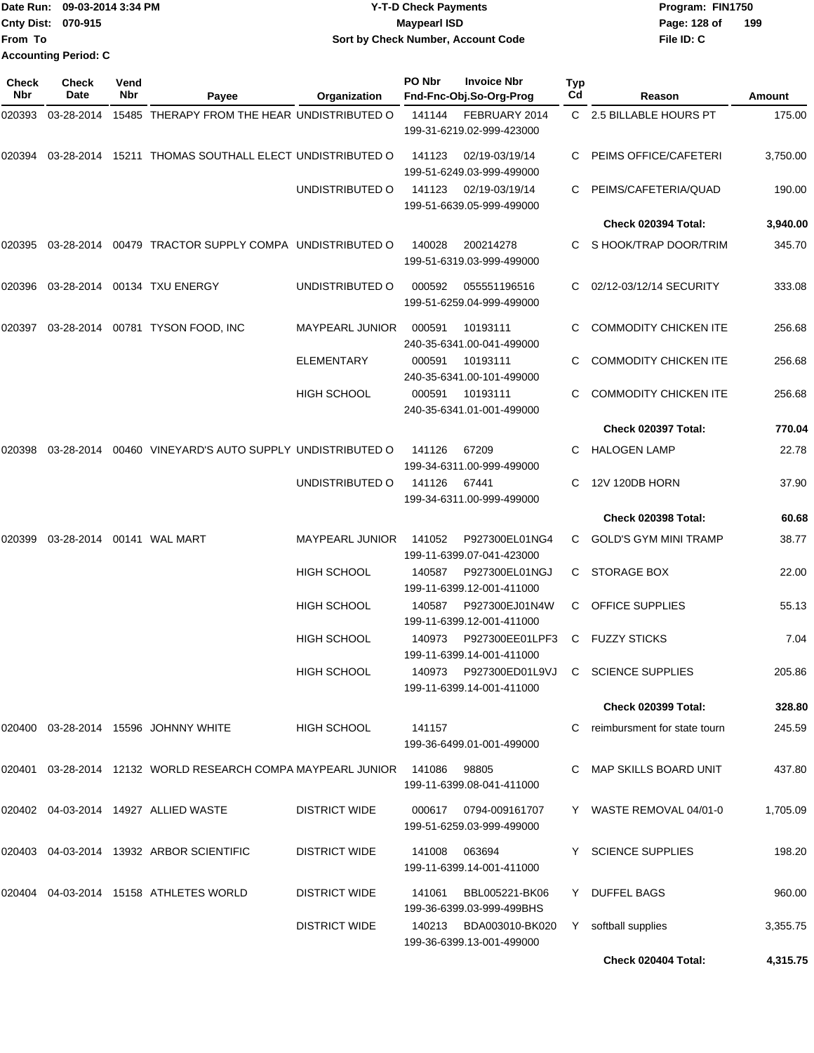|                           | Date Run: 09-03-2014 3:34 PM | <b>Y-T-D Check Payments</b>        | Program: FIN1750    |
|---------------------------|------------------------------|------------------------------------|---------------------|
| <b>Cnty Dist: 070-915</b> |                              | Mavpearl ISD                       | 199<br>Page: 128 of |
| <b>IFrom To</b>           |                              | Sort by Check Number, Account Code | File ID: C          |
|                           | <b>Accounting Period: C</b>  |                                    |                     |

| Check<br>Nbr | <b>Check</b><br>Date | Vend<br>Nbr | Payee                                                            | Organization           | PO Nbr | <b>Invoice Nbr</b><br>Fnd-Fnc-Obj.So-Org-Prog       | Typ<br>Cd | Reason                                    | Amount   |
|--------------|----------------------|-------------|------------------------------------------------------------------|------------------------|--------|-----------------------------------------------------|-----------|-------------------------------------------|----------|
| 020393       | 03-28-2014           |             | 15485 THERAPY FROM THE HEAR UNDISTRIBUTED O                      |                        | 141144 | FEBRUARY 2014<br>199-31-6219.02-999-423000          |           | C 2.5 BILLABLE HOURS PT                   | 175.00   |
| 020394       |                      |             | 03-28-2014 15211 THOMAS SOUTHALL ELECT UNDISTRIBUTED O           |                        | 141123 | 02/19-03/19/14<br>199-51-6249.03-999-499000         |           | PEIMS OFFICE/CAFETERI                     | 3,750.00 |
|              |                      |             |                                                                  | UNDISTRIBUTED O        | 141123 | 02/19-03/19/14<br>199-51-6639.05-999-499000         |           | PEIMS/CAFETERIA/QUAD                      | 190.00   |
|              |                      |             |                                                                  |                        |        |                                                     |           | Check 020394 Total:                       | 3,940.00 |
|              |                      |             | 020395  03-28-2014  00479  TRACTOR SUPPLY COMPA  UNDISTRIBUTED O |                        | 140028 | 200214278<br>199-51-6319.03-999-499000              | C.        | S HOOK/TRAP DOOR/TRIM                     | 345.70   |
| 020396       |                      |             | 03-28-2014 00134 TXU ENERGY                                      | UNDISTRIBUTED O        | 000592 | 055551196516<br>199-51-6259.04-999-499000           |           | 02/12-03/12/14 SECURITY                   | 333.08   |
|              |                      |             | 020397 03-28-2014 00781 TYSON FOOD, INC                          | <b>MAYPEARL JUNIOR</b> | 000591 | 10193111<br>240-35-6341.00-041-499000               | C         | <b>COMMODITY CHICKEN ITE</b>              | 256.68   |
|              |                      |             |                                                                  | <b>ELEMENTARY</b>      | 000591 | 10193111<br>240-35-6341.00-101-499000               | C         | <b>COMMODITY CHICKEN ITE</b>              | 256.68   |
|              |                      |             |                                                                  | <b>HIGH SCHOOL</b>     | 000591 | 10193111<br>240-35-6341.01-001-499000               |           | <b>COMMODITY CHICKEN ITE</b>              | 256.68   |
|              |                      |             |                                                                  |                        |        |                                                     |           | Check 020397 Total:                       | 770.04   |
| 020398       |                      |             | 03-28-2014  00460  VINEYARD'S AUTO SUPPLY UNDISTRIBUTED O        |                        | 141126 | 67209<br>199-34-6311.00-999-499000                  |           | <b>HALOGEN LAMP</b>                       | 22.78    |
|              |                      |             |                                                                  | UNDISTRIBUTED O        | 141126 | 67441<br>199-34-6311.00-999-499000                  | C         | 12V 120DB HORN                            | 37.90    |
|              |                      |             |                                                                  |                        |        |                                                     |           | Check 020398 Total:                       | 60.68    |
| 020399       |                      |             | 03-28-2014    00141    WAL MART                                  | <b>MAYPEARL JUNIOR</b> | 141052 | P927300EL01NG4<br>199-11-6399.07-041-423000         | C.        | GOLD'S GYM MINI TRAMP                     | 38.77    |
|              |                      |             |                                                                  | <b>HIGH SCHOOL</b>     | 140587 | P927300EL01NGJ<br>199-11-6399.12-001-411000         | C         | <b>STORAGE BOX</b>                        | 22.00    |
|              |                      |             |                                                                  | <b>HIGH SCHOOL</b>     | 140587 | P927300EJ01N4W<br>199-11-6399.12-001-411000         | C         | <b>OFFICE SUPPLIES</b>                    | 55.13    |
|              |                      |             |                                                                  | <b>HIGH SCHOOL</b>     | 140973 | P927300EE01LPF3<br>199-11-6399.14-001-411000        | C         | <b>FUZZY STICKS</b>                       | 7.04     |
|              |                      |             |                                                                  | <b>HIGH SCHOOL</b>     |        | 199-11-6399.14-001-411000                           |           | 140973 P927300ED01L9VJ C SCIENCE SUPPLIES | 205.86   |
|              |                      |             |                                                                  |                        |        |                                                     |           | <b>Check 020399 Total:</b>                | 328.80   |
|              |                      |             | 020400 03-28-2014 15596 JOHNNY WHITE                             | HIGH SCHOOL            | 141157 | 199-36-6499.01-001-499000                           | C.        | reimbursment for state tourn              | 245.59   |
|              |                      |             | 020401 03-28-2014 12132 WORLD RESEARCH COMPA MAYPEARL JUNIOR     |                        | 141086 | 98805<br>199-11-6399.08-041-411000                  |           | C MAP SKILLS BOARD UNIT                   | 437.80   |
|              |                      |             | 020402  04-03-2014  14927  ALLIED WASTE                          | <b>DISTRICT WIDE</b>   | 000617 | 0794-009161707<br>199-51-6259.03-999-499000         |           | Y WASTE REMOVAL 04/01-0                   | 1,705.09 |
|              |                      |             | 020403 04-03-2014 13932 ARBOR SCIENTIFIC                         | <b>DISTRICT WIDE</b>   | 141008 | 063694<br>199-11-6399.14-001-411000                 |           | Y SCIENCE SUPPLIES                        | 198.20   |
|              |                      |             | 020404  04-03-2014  15158  ATHLETES WORLD                        | <b>DISTRICT WIDE</b>   | 141061 | BBL005221-BK06<br>199-36-6399.03-999-499BHS         |           | Y DUFFEL BAGS                             | 960.00   |
|              |                      |             |                                                                  | <b>DISTRICT WIDE</b>   |        | 140213 BDA003010-BK020<br>199-36-6399.13-001-499000 |           | Y softball supplies                       | 3,355.75 |
|              |                      |             |                                                                  |                        |        |                                                     |           | Check 020404 Total:                       | 4,315.75 |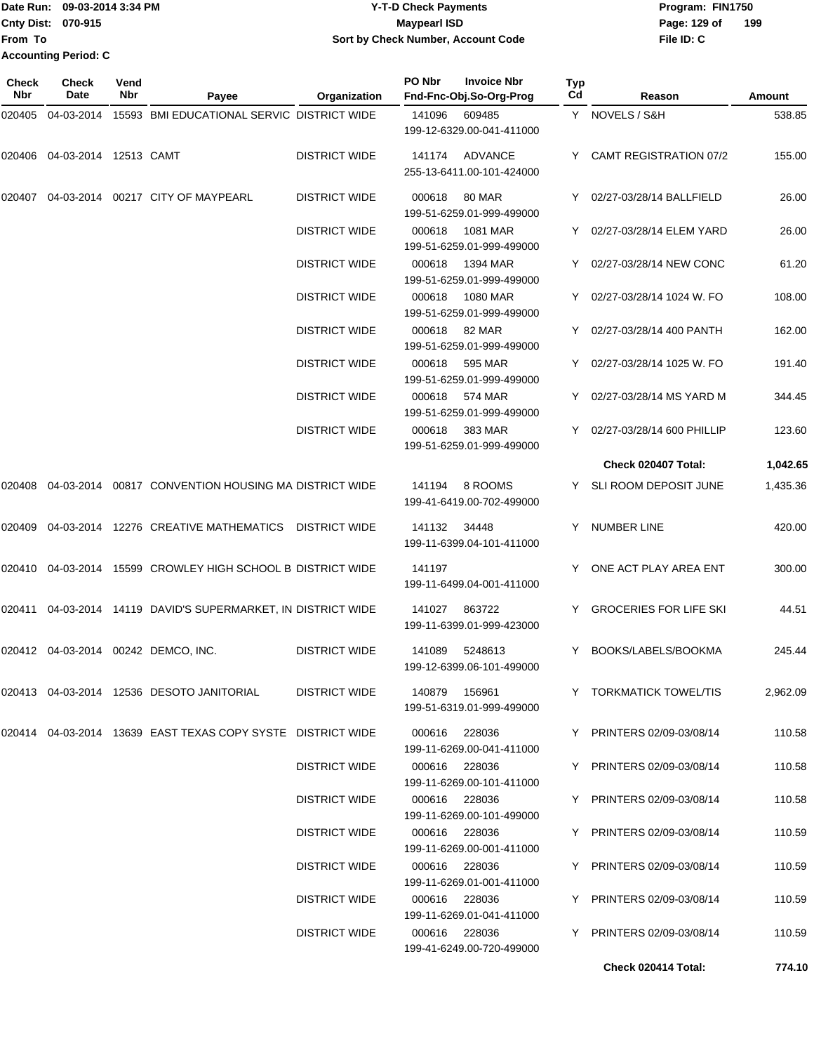|                             | Date Run: 09-03-2014 3:34 PM | <b>Y-T-D Check Payments</b>        | Program: FIN1750    |
|-----------------------------|------------------------------|------------------------------------|---------------------|
| <b>Cnty Dist: 070-915</b>   |                              | <b>Mavpearl ISD</b>                | 199<br>Page: 129 of |
| <b>IFrom To</b>             |                              | Sort by Check Number, Account Code | File ID: C          |
| <b>Accounting Period: C</b> |                              |                                    |                     |

| Check<br><b>Nbr</b> | <b>Check</b><br>Date  | Vend<br><b>Nbr</b> | Payee                                                                 | Organization         | PO Nbr | <b>Invoice Nbr</b><br>Fnd-Fnc-Obj.So-Org-Prog | Typ<br>Cd | Reason                        | Amount   |
|---------------------|-----------------------|--------------------|-----------------------------------------------------------------------|----------------------|--------|-----------------------------------------------|-----------|-------------------------------|----------|
| 020405              |                       |                    | 04-03-2014 15593 BMI EDUCATIONAL SERVIC DISTRICT WIDE                 |                      | 141096 | 609485                                        |           | Y NOVELS / S&H                | 538.85   |
|                     |                       |                    |                                                                       |                      |        | 199-12-6329.00-041-411000                     |           |                               |          |
| 020406              | 04-03-2014 12513 CAMT |                    |                                                                       | <b>DISTRICT WIDE</b> |        | 141174 ADVANCE<br>255-13-6411.00-101-424000   |           | Y CAMT REGISTRATION 07/2      | 155.00   |
| 020407              |                       |                    | 04-03-2014   00217   CITY OF MAYPEARL                                 | <b>DISTRICT WIDE</b> | 000618 | <b>80 MAR</b><br>199-51-6259.01-999-499000    |           | Y 02/27-03/28/14 BALLFIELD    | 26.00    |
|                     |                       |                    |                                                                       | <b>DISTRICT WIDE</b> | 000618 | 1081 MAR<br>199-51-6259.01-999-499000         |           | Y 02/27-03/28/14 ELEM YARD    | 26.00    |
|                     |                       |                    |                                                                       | <b>DISTRICT WIDE</b> | 000618 | 1394 MAR<br>199-51-6259.01-999-499000         |           | Y 02/27-03/28/14 NEW CONC     | 61.20    |
|                     |                       |                    |                                                                       | <b>DISTRICT WIDE</b> | 000618 | 1080 MAR<br>199-51-6259.01-999-499000         | Y.        | 02/27-03/28/14 1024 W. FO     | 108.00   |
|                     |                       |                    |                                                                       | <b>DISTRICT WIDE</b> |        | 000618 82 MAR<br>199-51-6259.01-999-499000    |           | Y 02/27-03/28/14 400 PANTH    | 162.00   |
|                     |                       |                    |                                                                       | <b>DISTRICT WIDE</b> | 000618 | 595 MAR<br>199-51-6259.01-999-499000          |           | 02/27-03/28/14 1025 W. FO     | 191.40   |
|                     |                       |                    |                                                                       | <b>DISTRICT WIDE</b> | 000618 | 574 MAR<br>199-51-6259.01-999-499000          |           | 02/27-03/28/14 MS YARD M      | 344.45   |
|                     |                       |                    |                                                                       | <b>DISTRICT WIDE</b> | 000618 | 383 MAR<br>199-51-6259.01-999-499000          |           | Y 02/27-03/28/14 600 PHILLIP  | 123.60   |
|                     |                       |                    |                                                                       |                      |        |                                               |           | Check 020407 Total:           | 1,042.65 |
| 020408              |                       |                    | 04-03-2014  00817  CONVENTION HOUSING MA DISTRICT WIDE                |                      | 141194 | 8 ROOMS<br>199-41-6419.00-702-499000          |           | Y SLI ROOM DEPOSIT JUNE       | 1,435.36 |
| 020409              |                       |                    | 04-03-2014 12276 CREATIVE MATHEMATICS                                 | <b>DISTRICT WIDE</b> | 141132 | 34448<br>199-11-6399.04-101-411000            |           | Y NUMBER LINE                 | 420.00   |
| 020410              |                       |                    | 04-03-2014 15599 CROWLEY HIGH SCHOOL B DISTRICT WIDE                  |                      | 141197 | 199-11-6499.04-001-411000                     | Y         | ONE ACT PLAY AREA ENT         | 300.00   |
| 020411              |                       |                    | 04-03-2014 14119 DAVID'S SUPERMARKET, IN DISTRICT WIDE                |                      | 141027 | 863722<br>199-11-6399.01-999-423000           | Y.        | <b>GROCERIES FOR LIFE SKI</b> | 44.51    |
|                     |                       |                    | 020412 04-03-2014 00242 DEMCO, INC.                                   | <b>DISTRICT WIDE</b> | 141089 | 5248613<br>199-12-6399.06-101-499000          | Y         | BOOKS/LABELS/BOOKMA           | 245.44   |
|                     |                       |                    | 020413  04-03-2014  12536  DESOTO JANITORIAL                          | DISTRICT WIDE        |        | 140879 156961<br>199-51-6319.01-999-499000    |           | Y TORKMATICK TOWEL/TIS        | 2,962.09 |
|                     |                       |                    | 020414   04-03-2014   13639   EAST TEXAS COPY SYSTE   DISTRICT   WIDE |                      |        | 000616 228036<br>199-11-6269.00-041-411000    |           | Y PRINTERS 02/09-03/08/14     | 110.58   |
|                     |                       |                    |                                                                       | <b>DISTRICT WIDE</b> |        | 000616 228036<br>199-11-6269.00-101-411000    |           | Y PRINTERS 02/09-03/08/14     | 110.58   |
|                     |                       |                    |                                                                       | <b>DISTRICT WIDE</b> |        | 000616 228036<br>199-11-6269.00-101-499000    |           | Y PRINTERS 02/09-03/08/14     | 110.58   |
|                     |                       |                    |                                                                       | <b>DISTRICT WIDE</b> |        | 000616 228036<br>199-11-6269.00-001-411000    |           | Y PRINTERS 02/09-03/08/14     | 110.59   |
|                     |                       |                    |                                                                       | DISTRICT WIDE        |        | 000616 228036<br>199-11-6269.01-001-411000    |           | Y PRINTERS 02/09-03/08/14     | 110.59   |
|                     |                       |                    |                                                                       | <b>DISTRICT WIDE</b> |        | 000616 228036<br>199-11-6269.01-041-411000    |           | Y PRINTERS 02/09-03/08/14     | 110.59   |
|                     |                       |                    |                                                                       | <b>DISTRICT WIDE</b> |        | 000616 228036<br>199-41-6249.00-720-499000    |           | Y PRINTERS 02/09-03/08/14     | 110.59   |

**Check 020414 Total: 774.10**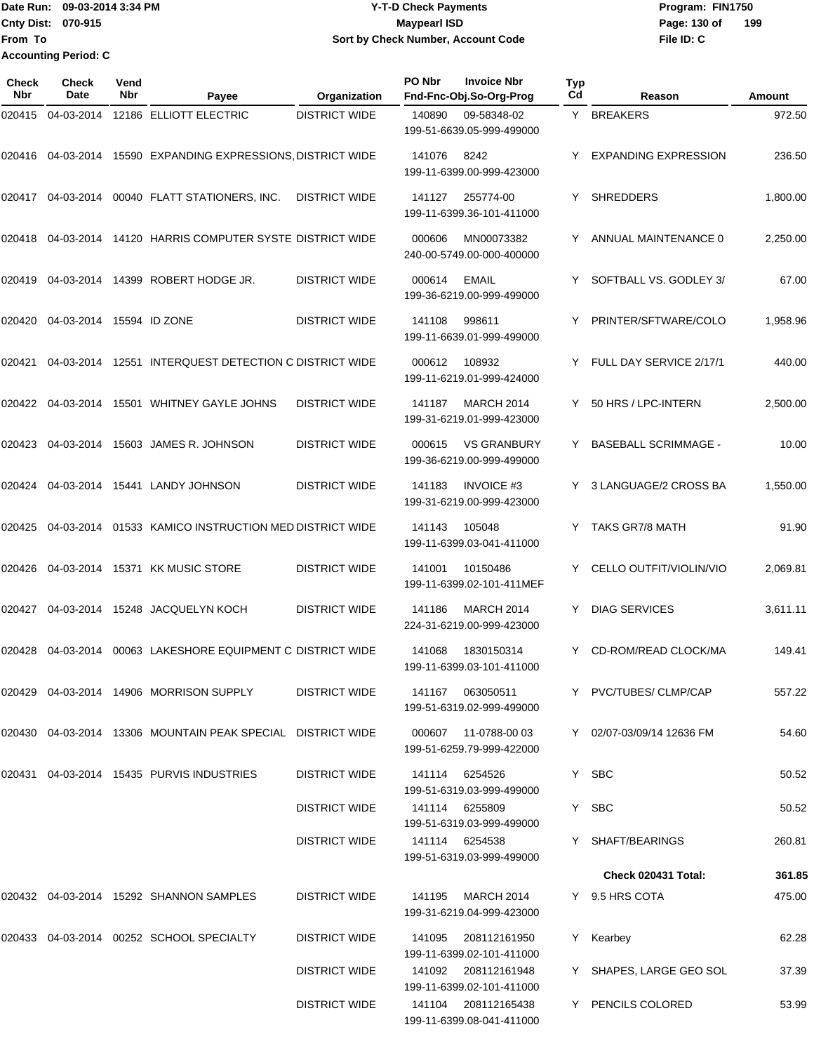Date Run: 09-03-2014 3:34 PM **Program:** FIN1750 **Cnty Dist:** 070-915 **Page: 130 of MaypearI ISD Page: 130 of From To Accounting Period: C**

## **Y-T-D Check Payments 070-915 Maypearl ISD Sort by Check Number, Account Code**

| Check<br><b>Nbr</b> | <b>Check</b><br><b>Date</b> | Vend<br>Nbr | Payee                                                           | Organization         | PO Nbr | <b>Invoice Nbr</b><br>Fnd-Fnc-Obj.So-Org-Prog     | <b>Typ</b><br>Cd | Reason                      | <b>Amount</b> |
|---------------------|-----------------------------|-------------|-----------------------------------------------------------------|----------------------|--------|---------------------------------------------------|------------------|-----------------------------|---------------|
| 020415              | 04-03-2014                  |             | 12186 ELLIOTT ELECTRIC                                          | <b>DISTRICT WIDE</b> | 140890 | 09-58348-02<br>199-51-6639.05-999-499000          | Y.               | <b>BREAKERS</b>             | 972.50        |
|                     |                             |             | 020416 04-03-2014 15590 EXPANDING EXPRESSIONS, DISTRICT WIDE    |                      | 141076 | 8242<br>199-11-6399.00-999-423000                 | Y                | <b>EXPANDING EXPRESSION</b> | 236.50        |
| 020417              | 04-03-2014                  |             | 00040 FLATT STATIONERS, INC.                                    | <b>DISTRICT WIDE</b> | 141127 | 255774-00<br>199-11-6399.36-101-411000            | Y                | <b>SHREDDERS</b>            | 1,800.00      |
| 020418              |                             |             | 04-03-2014 14120 HARRIS COMPUTER SYSTE DISTRICT WIDE            |                      | 000606 | MN00073382<br>240-00-5749.00-000-400000           | Y                | ANNUAL MAINTENANCE 0        | 2,250.00      |
| 020419              |                             |             | 04-03-2014 14399 ROBERT HODGE JR.                               | <b>DISTRICT WIDE</b> | 000614 | <b>EMAIL</b><br>199-36-6219.00-999-499000         |                  | SOFTBALL VS. GODLEY 3/      | 67.00         |
| 020420              | 04-03-2014 15594 ID ZONE    |             |                                                                 | <b>DISTRICT WIDE</b> | 141108 | 998611<br>199-11-6639.01-999-499000               | Y                | PRINTER/SFTWARE/COLO        | 1,958.96      |
| 020421              |                             |             | 04-03-2014 12551 INTERQUEST DETECTION C DISTRICT WIDE           |                      | 000612 | 108932<br>199-11-6219.01-999-424000               | Y                | FULL DAY SERVICE 2/17/1     | 440.00        |
| 020422              | 04-03-2014                  |             | 15501 WHITNEY GAYLE JOHNS                                       | <b>DISTRICT WIDE</b> | 141187 | <b>MARCH 2014</b><br>199-31-6219.01-999-423000    | Y                | 50 HRS / LPC-INTERN         | 2,500.00      |
| 020423              | 04-03-2014                  |             | 15603 JAMES R. JOHNSON                                          | <b>DISTRICT WIDE</b> | 000615 | <b>VS GRANBURY</b><br>199-36-6219.00-999-499000   | Y                | <b>BASEBALL SCRIMMAGE -</b> | 10.00         |
| 020424              |                             |             | 04-03-2014 15441 LANDY JOHNSON                                  | <b>DISTRICT WIDE</b> | 141183 | <b>INVOICE #3</b><br>199-31-6219.00-999-423000    | Y                | 3 LANGUAGE/2 CROSS BA       | 1,550.00      |
| 020425              | 04-03-2014                  |             | 01533 KAMICO INSTRUCTION MED DISTRICT WIDE                      |                      | 141143 | 105048<br>199-11-6399.03-041-411000               | Y                | TAKS GR7/8 MATH             | 91.90         |
| 020426              |                             |             | 04-03-2014 15371 KK MUSIC STORE                                 | <b>DISTRICT WIDE</b> | 141001 | 10150486<br>199-11-6399.02-101-411MEF             | Y                | CELLO OUTFIT/VIOLIN/VIO     | 2,069.81      |
| 020427              |                             |             | 04-03-2014 15248 JACQUELYN KOCH                                 | <b>DISTRICT WIDE</b> | 141186 | <b>MARCH 2014</b><br>224-31-6219.00-999-423000    | Y                | <b>DIAG SERVICES</b>        | 3,611.11      |
| 020428              | 04-03-2014                  |             | 00063 LAKESHORE EQUIPMENT C DISTRICT WIDE                       |                      | 141068 | 1830150314<br>199-11-6399.03-101-411000           |                  | CD-ROM/READ CLOCK/MA        | 149.41        |
|                     |                             |             | 020429  04-03-2014  14906  MORRISON SUPPLY                      | DISTRICT WIDE        |        | 141167 063050511<br>199-51-6319.02-999-499000     |                  | Y PVC/TUBES/ CLMP/CAP       | 557.22        |
|                     |                             |             | 020430  04-03-2014  13306  MOUNTAIN PEAK SPECIAL  DISTRICT WIDE |                      |        | 000607 11-0788-00 03<br>199-51-6259.79-999-422000 |                  | Y 02/07-03/09/14 12636 FM   | 54.60         |
| 020431              |                             |             | 04-03-2014 15435 PURVIS INDUSTRIES                              | <b>DISTRICT WIDE</b> | 141114 | 6254526<br>199-51-6319.03-999-499000              |                  | Y SBC                       | 50.52         |
|                     |                             |             |                                                                 | <b>DISTRICT WIDE</b> |        | 141114 6255809<br>199-51-6319.03-999-499000       |                  | Y SBC                       | 50.52         |
|                     |                             |             |                                                                 | <b>DISTRICT WIDE</b> |        | 141114 6254538<br>199-51-6319.03-999-499000       |                  | Y SHAFT/BEARINGS            | 260.81        |
|                     |                             |             |                                                                 |                      |        |                                                   |                  | Check 020431 Total:         | 361.85        |
|                     |                             |             | 020432 04-03-2014 15292 SHANNON SAMPLES                         | <b>DISTRICT WIDE</b> |        | 141195 MARCH 2014<br>199-31-6219.04-999-423000    |                  | Y 9.5 HRS COTA              | 475.00        |
|                     |                             |             | 020433 04-03-2014 00252 SCHOOL SPECIALTY                        | DISTRICT WIDE        | 141095 | 208112161950<br>199-11-6399.02-101-411000         | Y                | Kearbey                     | 62.28         |
|                     |                             |             |                                                                 | <b>DISTRICT WIDE</b> |        | 141092 208112161948<br>199-11-6399.02-101-411000  |                  | Y SHAPES, LARGE GEO SOL     | 37.39         |
|                     |                             |             |                                                                 | <b>DISTRICT WIDE</b> |        | 141104 208112165438<br>199-11-6399.08-041-411000  |                  | Y PENCILS COLORED           | 53.99         |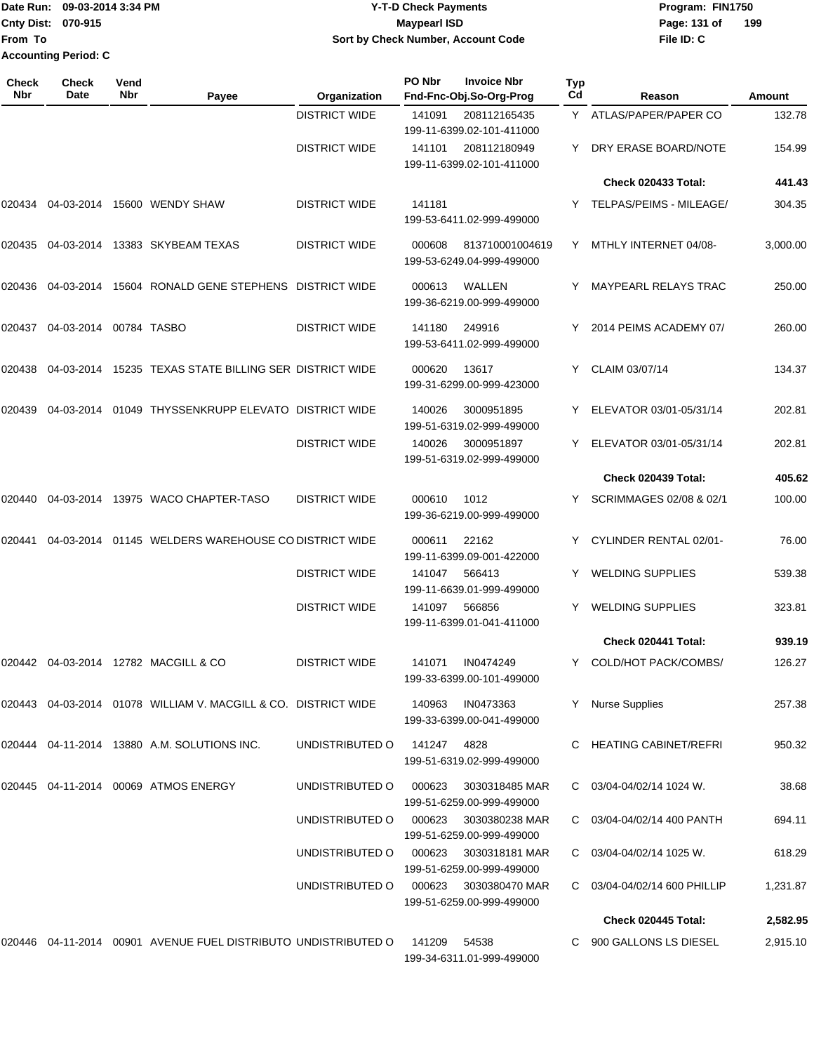**From To Accounting Period: C**

### Date Run: 09-03-2014 3:34 PM **Program:** FIN1750 **Cnty Dist:** 070-915 **Page: 131 of** Maypearl ISD **CONTEX IS A RESERVE A Page: 131 of Y-T-D Check Payments 070-915 Maypearl ISD Sort by Check Number, Account Code**

| <b>Check</b><br><b>Nbr</b> | Check<br><b>Date</b>   | Vend<br><b>Nbr</b> | Payee                                                              | Organization         | PO Nbr | <b>Invoice Nbr</b><br>Fnd-Fnc-Obj.So-Org-Prog | <b>Typ</b><br>Cd | Reason                       | Amount   |
|----------------------------|------------------------|--------------------|--------------------------------------------------------------------|----------------------|--------|-----------------------------------------------|------------------|------------------------------|----------|
|                            |                        |                    |                                                                    | <b>DISTRICT WIDE</b> | 141091 | 208112165435<br>199-11-6399.02-101-411000     |                  | Y ATLAS/PAPER/PAPER CO       | 132.78   |
|                            |                        |                    |                                                                    | <b>DISTRICT WIDE</b> | 141101 | 208112180949<br>199-11-6399.02-101-411000     | Y                | DRY ERASE BOARD/NOTE         | 154.99   |
|                            |                        |                    |                                                                    |                      |        |                                               |                  | Check 020433 Total:          | 441.43   |
| 020434                     |                        |                    | 04-03-2014 15600 WENDY SHAW                                        | <b>DISTRICT WIDE</b> | 141181 | 199-53-6411.02-999-499000                     |                  | Y TELPAS/PEIMS - MILEAGE/    | 304.35   |
|                            |                        |                    |                                                                    | <b>DISTRICT WIDE</b> | 000608 | 813710001004619<br>199-53-6249.04-999-499000  | Y                | MTHLY INTERNET 04/08-        | 3,000.00 |
| 020436                     |                        |                    | 04-03-2014 15604 RONALD GENE STEPHENS DISTRICT WIDE                |                      | 000613 | WALLEN<br>199-36-6219.00-999-499000           |                  | <b>MAYPEARL RELAYS TRAC</b>  | 250.00   |
| 020437                     | 04-03-2014 00784 TASBO |                    |                                                                    | <b>DISTRICT WIDE</b> | 141180 | 249916<br>199-53-6411.02-999-499000           | Y                | 2014 PEIMS ACADEMY 07/       | 260.00   |
| 020438                     |                        |                    | 04-03-2014 15235 TEXAS STATE BILLING SER DISTRICT WIDE             |                      | 000620 | 13617<br>199-31-6299.00-999-423000            | Y                | CLAIM 03/07/14               | 134.37   |
| 020439                     | 04-03-2014             |                    | 01049 THYSSENKRUPP ELEVATO DISTRICT WIDE                           |                      | 140026 | 3000951895<br>199-51-6319.02-999-499000       | Y                | ELEVATOR 03/01-05/31/14      | 202.81   |
|                            |                        |                    |                                                                    | <b>DISTRICT WIDE</b> | 140026 | 3000951897<br>199-51-6319.02-999-499000       | Y                | ELEVATOR 03/01-05/31/14      | 202.81   |
|                            |                        |                    |                                                                    |                      |        |                                               |                  | Check 020439 Total:          | 405.62   |
| 020440                     |                        |                    | 04-03-2014 13975 WACO CHAPTER-TASO                                 | <b>DISTRICT WIDE</b> | 000610 | 1012<br>199-36-6219.00-999-499000             | Y                | SCRIMMAGES 02/08 & 02/1      | 100.00   |
| 020441                     |                        |                    | 04-03-2014 01145 WELDERS WAREHOUSE CO DISTRICT WIDE                |                      | 000611 | 22162<br>199-11-6399.09-001-422000            |                  | CYLINDER RENTAL 02/01-       | 76.00    |
|                            |                        |                    |                                                                    | <b>DISTRICT WIDE</b> | 141047 | 566413<br>199-11-6639.01-999-499000           | Y                | <b>WELDING SUPPLIES</b>      | 539.38   |
|                            |                        |                    |                                                                    | <b>DISTRICT WIDE</b> | 141097 | 566856<br>199-11-6399.01-041-411000           | Y                | <b>WELDING SUPPLIES</b>      | 323.81   |
|                            |                        |                    |                                                                    |                      |        |                                               |                  | Check 020441 Total:          | 939.19   |
| 020442                     |                        |                    | 04-03-2014 12782 MACGILL & CO                                      | <b>DISTRICT WIDE</b> | 141071 | IN0474249<br>199-33-6399.00-101-499000        |                  | Y COLD/HOT PACK/COMBS/       | 126.27   |
|                            |                        |                    | 020443 04-03-2014 01078   WILLIAM V. MACGILL & CO.   DISTRICT WIDE |                      | 140963 | IN0473363<br>199-33-6399.00-041-499000        |                  | <b>Nurse Supplies</b>        | 257.38   |
|                            |                        |                    | 020444 04-11-2014 13880 A.M. SOLUTIONS INC.                        | UNDISTRIBUTED O      | 141247 | 4828<br>199-51-6319.02-999-499000             |                  | <b>HEATING CABINET/REFRI</b> | 950.32   |
| 020445                     |                        |                    | 04-11-2014 00069 ATMOS ENERGY                                      | UNDISTRIBUTED O      | 000623 | 3030318485 MAR<br>199-51-6259.00-999-499000   | C.               | 03/04-04/02/14 1024 W.       | 38.68    |
|                            |                        |                    |                                                                    | UNDISTRIBUTED O      | 000623 | 3030380238 MAR<br>199-51-6259.00-999-499000   |                  | C 03/04-04/02/14 400 PANTH   | 694.11   |
|                            |                        |                    |                                                                    | UNDISTRIBUTED O      | 000623 | 3030318181 MAR<br>199-51-6259.00-999-499000   | C.               | 03/04-04/02/14 1025 W.       | 618.29   |
|                            |                        |                    |                                                                    | UNDISTRIBUTED O      | 000623 | 3030380470 MAR<br>199-51-6259.00-999-499000   |                  | C 03/04-04/02/14 600 PHILLIP | 1,231.87 |
|                            |                        |                    |                                                                    |                      |        |                                               |                  | Check 020445 Total:          | 2,582.95 |
|                            |                        |                    | 020446 04-11-2014 00901   AVENUE FUEL DISTRIBUTO  UNDISTRIBUTED O  |                      | 141209 | 54538<br>199-34-6311.01-999-499000            |                  | C 900 GALLONS LS DIESEL      | 2,915.10 |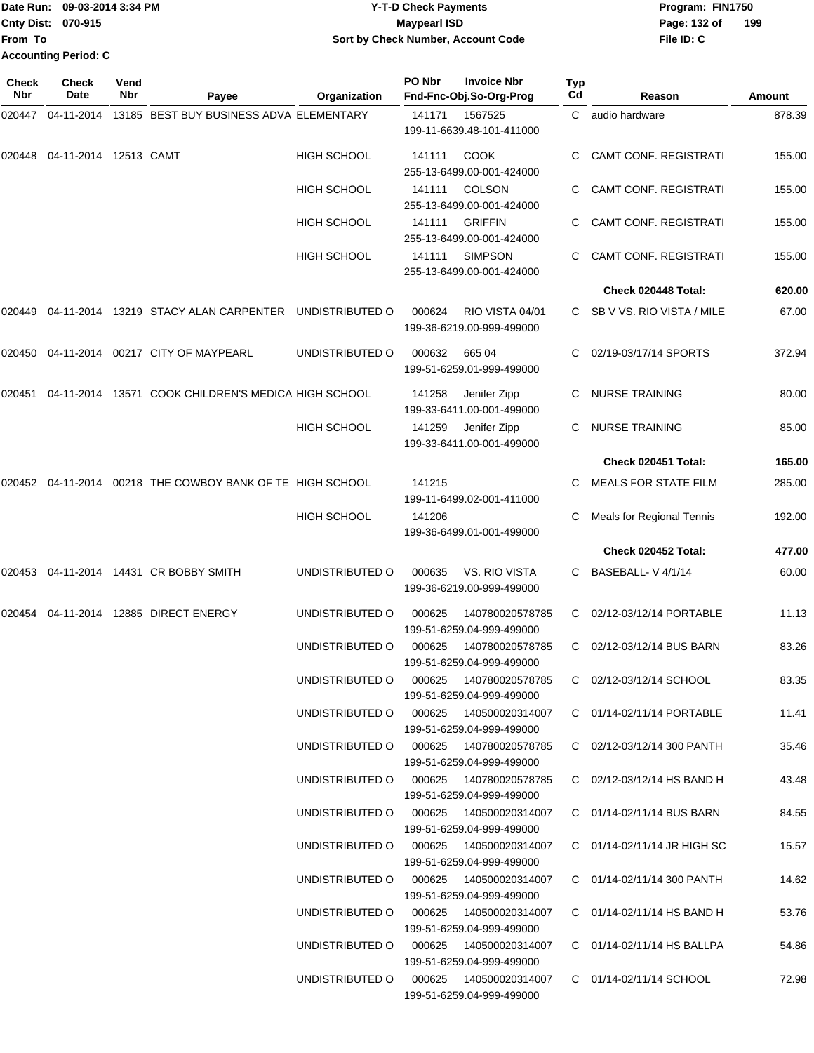|                           | Date Run: 09-03-2014 3:34 PM | <b>Y-T-D Check Payments</b>        | Program: FIN1750    |
|---------------------------|------------------------------|------------------------------------|---------------------|
| <b>Cnty Dist: 070-915</b> |                              | Maypearl ISD                       | 199<br>Page: 132 of |
| <b>IFrom To</b>           |                              | Sort by Check Number, Account Code | File ID: C          |
|                           | <b>Accounting Period: C</b>  |                                    |                     |

| Check<br>Nbr | <b>Check</b><br>Date  | Vend<br>Nbr | Payee                                                        | Organization                           | PO Nbr | <b>Invoice Nbr</b><br>Fnd-Fnc-Obj.So-Org-Prog        | Typ<br>Cd | Reason                         | Amount |
|--------------|-----------------------|-------------|--------------------------------------------------------------|----------------------------------------|--------|------------------------------------------------------|-----------|--------------------------------|--------|
| 020447       | 04-11-2014            |             | 13185 BEST BUY BUSINESS ADVA ELEMENTARY                      |                                        | 141171 | 1567525<br>199-11-6639.48-101-411000                 | C         | audio hardware                 | 878.39 |
| 020448       | 04-11-2014 12513 CAMT |             |                                                              | <b>HIGH SCHOOL</b>                     | 141111 | <b>COOK</b><br>255-13-6499.00-001-424000             | C.        | <b>CAMT CONF. REGISTRATI</b>   | 155.00 |
|              |                       |             |                                                              | <b>HIGH SCHOOL</b>                     | 141111 | <b>COLSON</b><br>255-13-6499.00-001-424000           | C.        | <b>CAMT CONF. REGISTRATI</b>   | 155.00 |
|              |                       |             |                                                              | HIGH SCHOOL                            | 141111 | <b>GRIFFIN</b><br>255-13-6499.00-001-424000          | C.        | <b>CAMT CONF. REGISTRATI</b>   | 155.00 |
|              |                       |             |                                                              | <b>HIGH SCHOOL</b>                     | 141111 | <b>SIMPSON</b><br>255-13-6499.00-001-424000          | C.        | <b>CAMT CONF. REGISTRATI</b>   | 155.00 |
|              |                       |             |                                                              |                                        |        |                                                      |           | Check 020448 Total:            | 620.00 |
| 020449       |                       |             | 04-11-2014 13219 STACY ALAN CARPENTER UNDISTRIBUTED O        |                                        | 000624 | RIO VISTA 04/01<br>199-36-6219.00-999-499000         | C.        | SB V VS. RIO VISTA / MILE      | 67.00  |
| 020450       |                       |             | 04-11-2014    00217    CITY OF MAYPEARL                      | UNDISTRIBUTED O                        | 000632 | 665 04<br>199-51-6259.01-999-499000                  | C.        | 02/19-03/17/14 SPORTS          | 372.94 |
| 020451       |                       |             | 04-11-2014 13571 COOK CHILDREN'S MEDICA HIGH SCHOOL          |                                        | 141258 | Jenifer Zipp<br>199-33-6411.00-001-499000            | C         | <b>NURSE TRAINING</b>          | 80.00  |
|              |                       |             |                                                              | <b>HIGH SCHOOL</b>                     | 141259 | Jenifer Zipp<br>199-33-6411.00-001-499000            | C         | <b>NURSE TRAINING</b>          | 85.00  |
|              |                       |             |                                                              |                                        |        |                                                      |           | Check 020451 Total:            | 165.00 |
|              |                       |             | 020452  04-11-2014  00218  THE COWBOY BANK OF TE HIGH SCHOOL |                                        | 141215 | 199-11-6499.02-001-411000                            | C         | <b>MEALS FOR STATE FILM</b>    | 285.00 |
|              |                       |             |                                                              | <b>HIGH SCHOOL</b>                     | 141206 | 199-36-6499.01-001-499000                            | C         | Meals for Regional Tennis      | 192.00 |
|              |                       |             |                                                              |                                        |        |                                                      |           | Check 020452 Total:            | 477.00 |
|              |                       |             | 020453  04-11-2014  14431  CR BOBBY SMITH                    | UNDISTRIBUTED O                        | 000635 | VS. RIO VISTA<br>199-36-6219.00-999-499000           | C         | BASEBALL-V4/1/14               | 60.00  |
| 020454       |                       |             | 04-11-2014 12885 DIRECT ENERGY                               | UNDISTRIBUTED O                        | 000625 | 140780020578785<br>199-51-6259.04-999-499000         | C         | 02/12-03/12/14 PORTABLE        | 11.13  |
|              |                       |             |                                                              | UNDISTRIBUTED O                        | 000625 | 140780020578785<br>199-51-6259.04-999-499000         | C         | 02/12-03/12/14 BUS BARN        | 83.26  |
|              |                       |             |                                                              | UNDISTRIBUTED O                        | 000625 | 140780020578785<br>199-51-6259.04-999-499000         |           | C 02/12-03/12/14 SCHOOL        | 83.35  |
|              |                       |             |                                                              | UNDISTRIBUTED O                        |        | 199-51-6259.04-999-499000                            |           | C 01/14-02/11/14 PORTABLE      | 11.41  |
|              |                       |             |                                                              | UNDISTRIBUTED O 000625 140780020578785 |        | 199-51-6259.04-999-499000                            |           | C 02/12-03/12/14 300 PANTH     | 35.46  |
|              |                       |             |                                                              | UNDISTRIBUTED O                        |        | 199-51-6259.04-999-499000                            |           | C $02/12-03/12/14$ HS BAND H   | 43.48  |
|              |                       |             |                                                              | UNDISTRIBUTED O                        |        | 199-51-6259.04-999-499000                            |           | C 01/14-02/11/14 BUS BARN      | 84.55  |
|              |                       |             |                                                              | UNDISTRIBUTED O                        | 000625 | 140500020314007<br>199-51-6259.04-999-499000         |           | C 01/14-02/11/14 JR HIGH SC    | 15.57  |
|              |                       |             |                                                              | UNDISTRIBUTED O                        | 000625 | 140500020314007<br>199-51-6259.04-999-499000         |           | C 01/14-02/11/14 300 PANTH     | 14.62  |
|              |                       |             |                                                              | UNDISTRIBUTED O                        |        | 000625  140500020314007<br>199-51-6259.04-999-499000 |           | C $01/14 - 02/11/14$ HS BAND H | 53.76  |
|              |                       |             |                                                              | UNDISTRIBUTED O                        |        | 199-51-6259.04-999-499000                            |           | C 01/14-02/11/14 HS BALLPA     | 54.86  |
|              |                       |             |                                                              | UNDISTRIBUTED O                        | 000625 | 140500020314007<br>199-51-6259.04-999-499000         |           | C 01/14-02/11/14 SCHOOL        | 72.98  |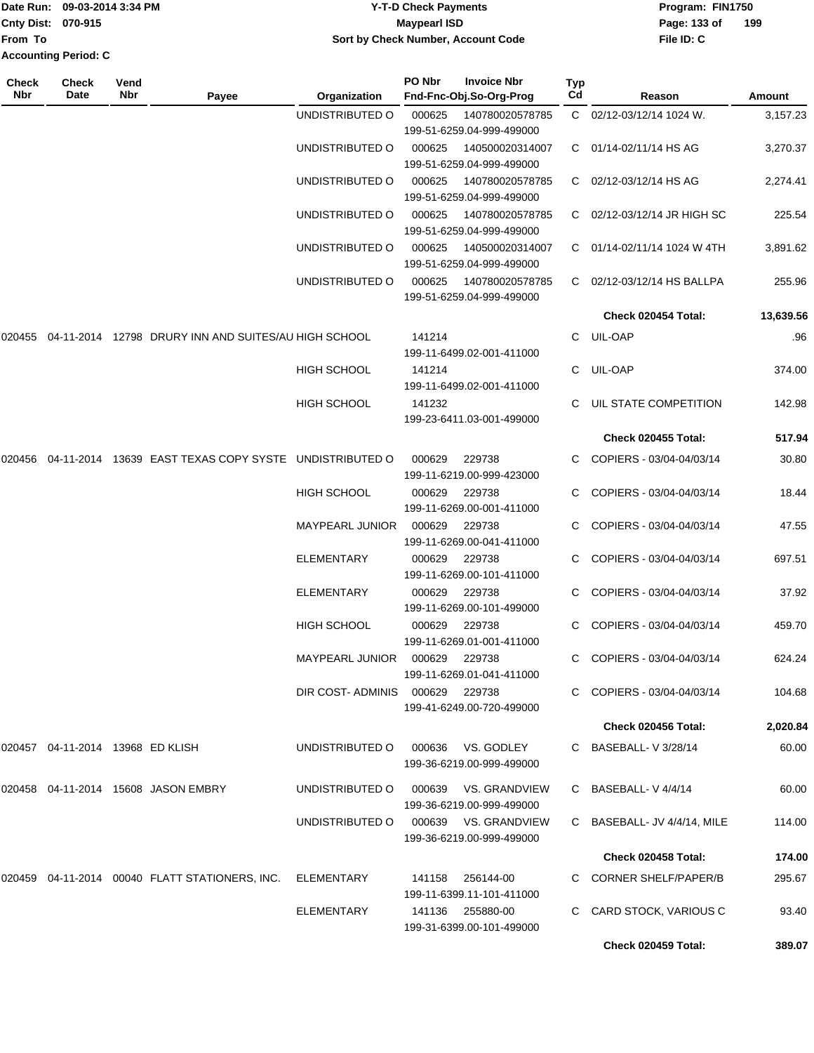|                             | Date Run: 09-03-2014 3:34 PM | <b>Y-T-D Check Payments</b>        | Program: FIN1750    |
|-----------------------------|------------------------------|------------------------------------|---------------------|
| <b>Cnty Dist: 070-915</b>   |                              | Maypearl ISD                       | 199<br>Page: 133 of |
| From To                     |                              | Sort by Check Number, Account Code | File ID: C          |
| <b>Accounting Period: C</b> |                              |                                    |                     |

| <b>Check</b><br>Nbr | <b>Check</b><br>Date                | Vend<br>Nbr | Payee                                                         | Organization                   | PO Nbr | <b>Invoice Nbr</b><br>Fnd-Fnc-Obj.So-Org-Prog     | Typ<br>Cd | Reason                      | Amount    |
|---------------------|-------------------------------------|-------------|---------------------------------------------------------------|--------------------------------|--------|---------------------------------------------------|-----------|-----------------------------|-----------|
|                     |                                     |             |                                                               | UNDISTRIBUTED O                | 000625 | 140780020578785<br>199-51-6259.04-999-499000      |           | C 02/12-03/12/14 1024 W.    | 3,157.23  |
|                     |                                     |             |                                                               | UNDISTRIBUTED O                | 000625 | 140500020314007<br>199-51-6259.04-999-499000      |           | C 01/14-02/11/14 HS AG      | 3,270.37  |
|                     |                                     |             |                                                               | UNDISTRIBUTED O                | 000625 | 140780020578785<br>199-51-6259.04-999-499000      | C.        | 02/12-03/12/14 HS AG        | 2,274.41  |
|                     |                                     |             |                                                               | UNDISTRIBUTED O                | 000625 | 140780020578785<br>199-51-6259.04-999-499000      |           | C 02/12-03/12/14 JR HIGH SC | 225.54    |
|                     |                                     |             |                                                               | UNDISTRIBUTED O                | 000625 | 140500020314007<br>199-51-6259.04-999-499000      |           | C 01/14-02/11/14 1024 W 4TH | 3,891.62  |
|                     |                                     |             |                                                               | UNDISTRIBUTED O                | 000625 | 140780020578785<br>199-51-6259.04-999-499000      | C.        | 02/12-03/12/14 HS BALLPA    | 255.96    |
|                     |                                     |             |                                                               |                                |        |                                                   |           | Check 020454 Total:         | 13,639.56 |
| 020455              |                                     |             | 04-11-2014 12798 DRURY INN AND SUITES/AU HIGH SCHOOL          |                                | 141214 | 199-11-6499.02-001-411000                         |           | C UIL-OAP                   | .96       |
|                     |                                     |             |                                                               | <b>HIGH SCHOOL</b>             | 141214 | 199-11-6499.02-001-411000                         | C.        | UIL-OAP                     | 374.00    |
|                     |                                     |             |                                                               | <b>HIGH SCHOOL</b>             | 141232 | 199-23-6411.03-001-499000                         |           | C UIL STATE COMPETITION     | 142.98    |
|                     |                                     |             |                                                               |                                |        |                                                   |           | <b>Check 020455 Total:</b>  | 517.94    |
|                     |                                     |             | 020456 04-11-2014 13639 EAST TEXAS COPY SYSTE UNDISTRIBUTED O |                                | 000629 | 229738<br>199-11-6219.00-999-423000               |           | COPIERS - 03/04-04/03/14    | 30.80     |
|                     |                                     |             |                                                               | <b>HIGH SCHOOL</b>             | 000629 | 229738<br>199-11-6269.00-001-411000               |           | COPIERS - 03/04-04/03/14    | 18.44     |
|                     |                                     |             |                                                               | MAYPEARL JUNIOR                | 000629 | 229738<br>199-11-6269.00-041-411000               |           | C COPIERS - 03/04-04/03/14  | 47.55     |
|                     |                                     |             |                                                               | <b>ELEMENTARY</b>              | 000629 | 229738<br>199-11-6269.00-101-411000               |           | C COPIERS - 03/04-04/03/14  | 697.51    |
|                     |                                     |             |                                                               | <b>ELEMENTARY</b>              | 000629 | 229738<br>199-11-6269.00-101-499000               |           | COPIERS - 03/04-04/03/14    | 37.92     |
|                     |                                     |             |                                                               | <b>HIGH SCHOOL</b>             | 000629 | 229738<br>199-11-6269.01-001-411000               |           | COPIERS - 03/04-04/03/14    | 459.70    |
|                     |                                     |             |                                                               | MAYPEARL JUNIOR 000629         |        | 229738<br>199-11-6269.01-041-411000               |           | C COPIERS - 03/04-04/03/14  | 624.24    |
|                     |                                     |             |                                                               | DIR COST-ADMINIS 000629 229738 |        | 199-41-6249.00-720-499000                         |           | C COPIERS - 03/04-04/03/14  | 104.68    |
|                     |                                     |             |                                                               |                                |        |                                                   |           | Check 020456 Total:         | 2,020.84  |
|                     | 020457  04-11-2014  13968  ED KLISH |             |                                                               | UNDISTRIBUTED O                | 000636 | VS. GODLEY<br>199-36-6219.00-999-499000           |           | C BASEBALL-V 3/28/14        | 60.00     |
|                     |                                     |             | 020458 04-11-2014 15608 JASON EMBRY                           | UNDISTRIBUTED O                |        | 000639 VS. GRANDVIEW<br>199-36-6219.00-999-499000 |           | C BASEBALL-V4/4/14          | 60.00     |
|                     |                                     |             |                                                               | UNDISTRIBUTED O                |        | 000639 VS. GRANDVIEW<br>199-36-6219.00-999-499000 |           | C BASEBALL- JV 4/4/14, MILE | 114.00    |
|                     |                                     |             |                                                               |                                |        |                                                   |           | Check 020458 Total:         | 174.00    |
|                     |                                     |             | 020459  04-11-2014  00040  FLATT STATIONERS, INC.             | ELEMENTARY                     | 141158 | 256144-00<br>199-11-6399.11-101-411000            |           | C CORNER SHELF/PAPER/B      | 295.67    |
|                     |                                     |             |                                                               | ELEMENTARY                     |        | 141136 255880-00<br>199-31-6399.00-101-499000     |           | CARD STOCK, VARIOUS C       | 93.40     |
|                     |                                     |             |                                                               |                                |        |                                                   |           | Check 020459 Total:         | 389.07    |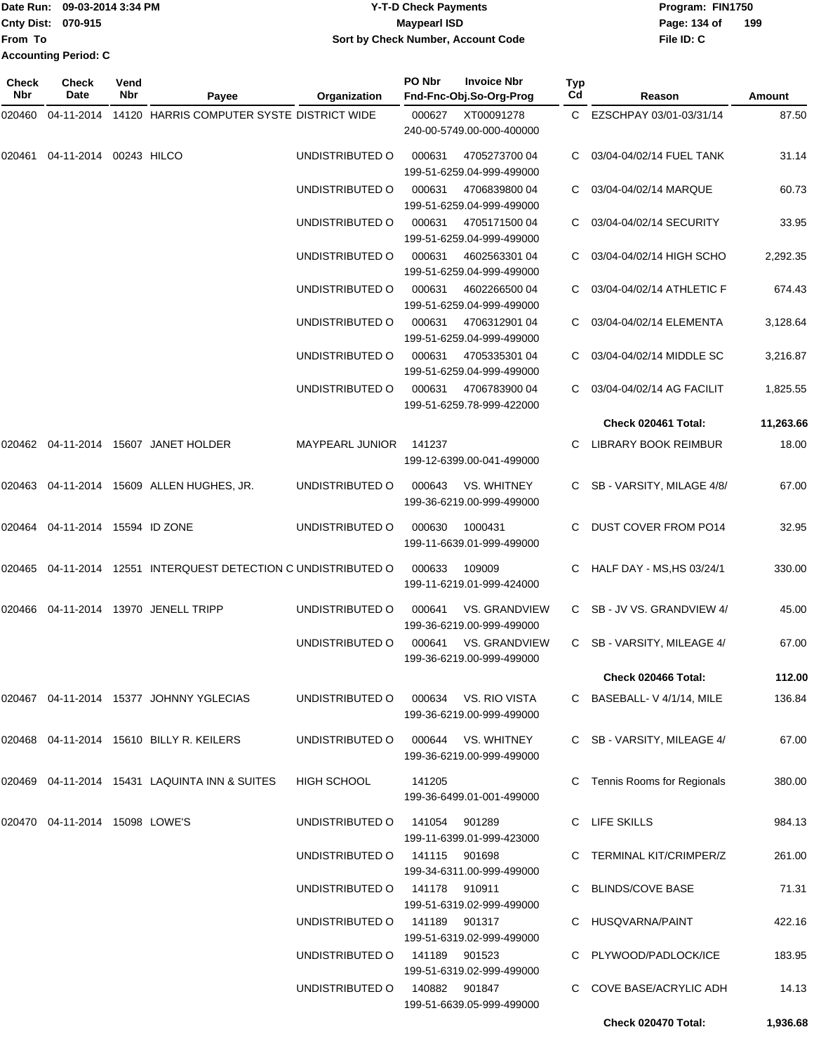|                             | Date Run: 09-03-2014 3:34 PM | <b>Y-T-D Check Payments</b>        | Program: FIN1750    |
|-----------------------------|------------------------------|------------------------------------|---------------------|
| <b>Cnty Dist: 070-915</b>   |                              | <b>Mavpearl ISD</b>                | 199<br>Page: 134 of |
| <b>IFrom To</b>             |                              | Sort by Check Number, Account Code | File ID: C          |
| <b>Accounting Period: C</b> |                              |                                    |                     |

| Check<br><b>Nbr</b> | Check<br>Date                      | Vend<br>Nbr | Payee                                                   | Organization           | PO Nbr        | <b>Invoice Nbr</b><br>Fnd-Fnc-Obj.So-Org-Prog     | Typ<br>Cd | Reason                       | Amount    |
|---------------------|------------------------------------|-------------|---------------------------------------------------------|------------------------|---------------|---------------------------------------------------|-----------|------------------------------|-----------|
| 020460              | 04-11-2014                         |             | 14120 HARRIS COMPUTER SYSTE DISTRICT WIDE               |                        | 000627        | XT00091278                                        | C.        | EZSCHPAY 03/01-03/31/14      | 87.50     |
|                     |                                    |             |                                                         |                        |               | 240-00-5749.00-000-400000                         |           |                              |           |
| 020461              | 04-11-2014 00243 HILCO             |             |                                                         | UNDISTRIBUTED O        | 000631        | 4705273700 04<br>199-51-6259.04-999-499000        |           | 03/04-04/02/14 FUEL TANK     | 31.14     |
|                     |                                    |             |                                                         | UNDISTRIBUTED O        | 000631        | 4706839800 04<br>199-51-6259.04-999-499000        | С         | 03/04-04/02/14 MARQUE        | 60.73     |
|                     |                                    |             |                                                         | UNDISTRIBUTED O        | 000631        | 4705171500 04<br>199-51-6259.04-999-499000        | C         | 03/04-04/02/14 SECURITY      | 33.95     |
|                     |                                    |             |                                                         | UNDISTRIBUTED O        | 000631        | 4602563301 04<br>199-51-6259.04-999-499000        |           | 03/04-04/02/14 HIGH SCHO     | 2,292.35  |
|                     |                                    |             |                                                         | UNDISTRIBUTED O        | 000631        | 4602266500 04<br>199-51-6259.04-999-499000        |           | 03/04-04/02/14 ATHLETIC F    | 674.43    |
|                     |                                    |             |                                                         | UNDISTRIBUTED O        | 000631        | 4706312901 04<br>199-51-6259.04-999-499000        |           | 03/04-04/02/14 ELEMENTA      | 3,128.64  |
|                     |                                    |             |                                                         | UNDISTRIBUTED O        | 000631        | 4705335301 04<br>199-51-6259.04-999-499000        |           | 03/04-04/02/14 MIDDLE SC     | 3,216.87  |
|                     |                                    |             |                                                         | UNDISTRIBUTED O        | 000631        | 4706783900 04<br>199-51-6259.78-999-422000        | C.        | 03/04-04/02/14 AG FACILIT    | 1,825.55  |
|                     |                                    |             |                                                         |                        |               |                                                   |           | Check 020461 Total:          | 11,263.66 |
| 020462              |                                    |             | 04-11-2014 15607 JANET HOLDER                           | <b>MAYPEARL JUNIOR</b> | 141237        | 199-12-6399.00-041-499000                         | C.        | LIBRARY BOOK REIMBUR         | 18.00     |
| 020463              |                                    |             | 04-11-2014 15609 ALLEN HUGHES, JR.                      | UNDISTRIBUTED O        | 000643        | VS. WHITNEY<br>199-36-6219.00-999-499000          | C.        | SB - VARSITY, MILAGE 4/8/    | 67.00     |
|                     | 020464  04-11-2014  15594  ID ZONE |             |                                                         | UNDISTRIBUTED O        | 000630        | 1000431<br>199-11-6639.01-999-499000              |           | <b>DUST COVER FROM PO14</b>  | 32.95     |
| 020465              |                                    |             | 04-11-2014 12551 INTERQUEST DETECTION C UNDISTRIBUTED O |                        | 000633        | 109009<br>199-11-6219.01-999-424000               | C         | HALF DAY - MS, HS 03/24/1    | 330.00    |
| 020466              |                                    |             | 04-11-2014 13970 JENELL TRIPP                           | UNDISTRIBUTED O        | 000641        | <b>VS. GRANDVIEW</b><br>199-36-6219.00-999-499000 | C.        | SB - JV VS. GRANDVIEW 4/     | 45.00     |
|                     |                                    |             |                                                         | UNDISTRIBUTED O        | 000641        | <b>VS. GRANDVIEW</b><br>199-36-6219.00-999-499000 | C.        | SB - VARSITY, MILEAGE 4/     | 67.00     |
|                     |                                    |             |                                                         |                        |               |                                                   |           | Check 020466 Total:          | 112.00    |
|                     |                                    |             | 020467  04-11-2014  15377  JOHNNY  YGLECIAS             | UNDISTRIBUTED O        |               | 000634 VS. RIO VISTA<br>199-36-6219.00-999-499000 |           | C BASEBALL-V 4/1/14, MILE    | 136.84    |
|                     |                                    |             | 020468  04-11-2014  15610  BILLY R. KEILERS             | UNDISTRIBUTED O        |               | 000644 VS. WHITNEY<br>199-36-6219.00-999-499000   |           | C SB - VARSITY, MILEAGE 4/   | 67.00     |
|                     |                                    |             | 020469   04-11-2014   15431   LAQUINTA INN & SUITES     | <b>HIGH SCHOOL</b>     | 141205        | 199-36-6499.01-001-499000                         |           | C Tennis Rooms for Regionals | 380.00    |
|                     | 020470  04-11-2014  15098  LOWE'S  |             |                                                         | UNDISTRIBUTED O        | 141054        | 901289<br>199-11-6399.01-999-423000               |           | C LIFE SKILLS                | 984.13    |
|                     |                                    |             |                                                         | UNDISTRIBUTED O        | 141115 901698 | 199-34-6311.00-999-499000                         |           | C TERMINAL KIT/CRIMPER/Z     | 261.00    |
|                     |                                    |             |                                                         | UNDISTRIBUTED O        | 141178 910911 | 199-51-6319.02-999-499000                         |           | C BLINDS/COVE BASE           | 71.31     |
|                     |                                    |             |                                                         | UNDISTRIBUTED O        | 141189        | 901317<br>199-51-6319.02-999-499000               |           | HUSQVARNA/PAINT              | 422.16    |
|                     |                                    |             |                                                         | UNDISTRIBUTED O        | 141189 901523 | 199-51-6319.02-999-499000                         |           | C PLYWOOD/PADLOCK/ICE        | 183.95    |
|                     |                                    |             |                                                         | UNDISTRIBUTED O        | 140882 901847 | 199-51-6639.05-999-499000                         |           | C COVE BASE/ACRYLIC ADH      | 14.13     |
|                     |                                    |             |                                                         |                        |               |                                                   |           | Check 020470 Total:          | 1,936.68  |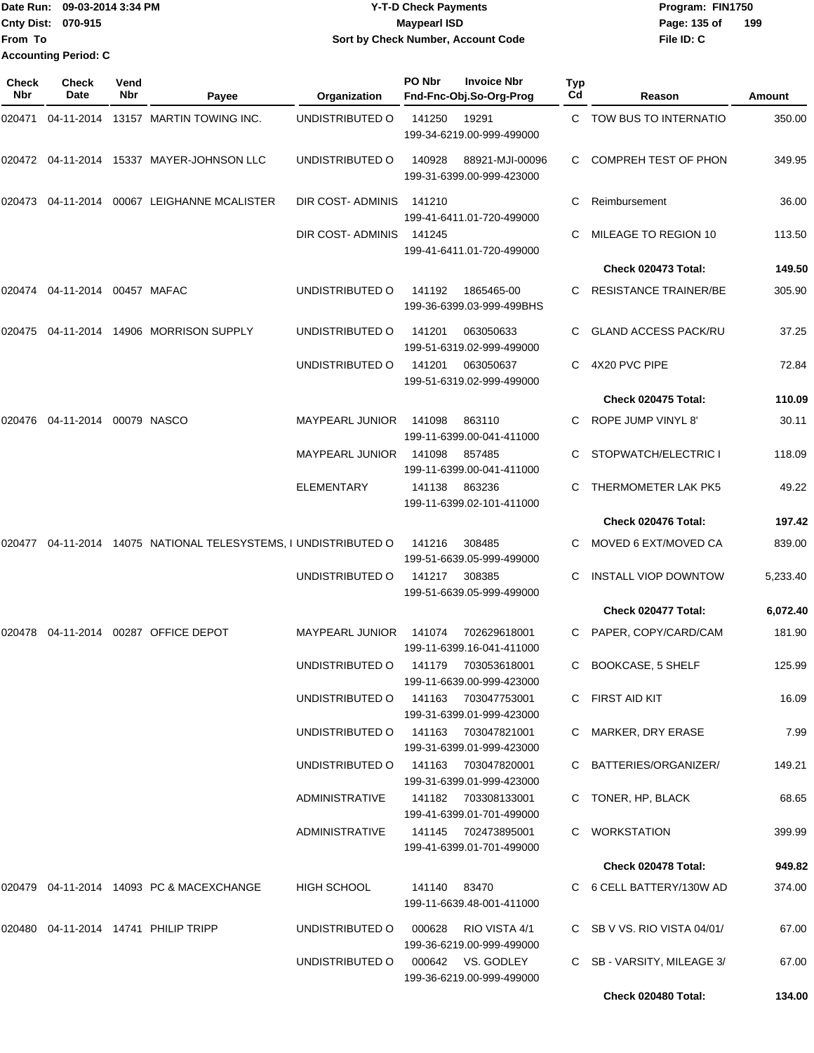|                           | Date Run: 09-03-2014 3:34 PM | <b>Y-T-D Check Payments</b>        | Program: FIN1750    |  |  |  |
|---------------------------|------------------------------|------------------------------------|---------------------|--|--|--|
| <b>Cnty Dist: 070-915</b> |                              | <b>Maypearl ISD</b>                | Page: 135 of<br>199 |  |  |  |
| <b>From To</b>            |                              | Sort by Check Number, Account Code | File ID: C          |  |  |  |
|                           | <b>Accounting Period: C</b>  |                                    |                     |  |  |  |

| Check<br>Nbr | <b>Check</b><br>Date   | Vend<br>Nbr | Payee                                                    | Organization           | PO Nbr | <b>Invoice Nbr</b><br>Fnd-Fnc-Obj.So-Org-Prog    | Typ<br>Cd | Reason                       | Amount   |
|--------------|------------------------|-------------|----------------------------------------------------------|------------------------|--------|--------------------------------------------------|-----------|------------------------------|----------|
| 020471       |                        |             | 04-11-2014 13157 MARTIN TOWING INC.                      | UNDISTRIBUTED O        | 141250 | 19291<br>199-34-6219.00-999-499000               |           | C TOW BUS TO INTERNATIO      | 350.00   |
|              |                        |             | 020472 04-11-2014 15337 MAYER-JOHNSON LLC                | UNDISTRIBUTED O        | 140928 | 88921-MJI-00096<br>199-31-6399.00-999-423000     | C.        | <b>COMPREH TEST OF PHON</b>  | 349.95   |
|              |                        |             | 020473  04-11-2014  00067  LEIGHANNE MCALISTER           | DIR COST-ADMINIS       | 141210 | 199-41-6411.01-720-499000                        | C.        | Reimbursement                | 36.00    |
|              |                        |             |                                                          | DIR COST- ADMINIS      | 141245 | 199-41-6411.01-720-499000                        | C.        | MILEAGE TO REGION 10         | 113.50   |
|              |                        |             |                                                          |                        |        |                                                  |           | Check 020473 Total:          | 149.50   |
| 020474       | 04-11-2014 00457 MAFAC |             |                                                          | UNDISTRIBUTED O        | 141192 | 1865465-00<br>199-36-6399.03-999-499BHS          |           | <b>RESISTANCE TRAINER/BE</b> | 305.90   |
| 020475       |                        |             | 04-11-2014  14906  MORRISON SUPPLY                       | UNDISTRIBUTED O        | 141201 | 063050633<br>199-51-6319.02-999-499000           |           | <b>GLAND ACCESS PACK/RU</b>  | 37.25    |
|              |                        |             |                                                          | UNDISTRIBUTED O        | 141201 | 063050637<br>199-51-6319.02-999-499000           | C.        | 4X20 PVC PIPE                | 72.84    |
|              |                        |             |                                                          |                        |        |                                                  |           | Check 020475 Total:          | 110.09   |
| 020476       | 04-11-2014 00079 NASCO |             |                                                          | <b>MAYPEARL JUNIOR</b> | 141098 | 863110<br>199-11-6399.00-041-411000              | C.        | ROPE JUMP VINYL 8'           | 30.11    |
|              |                        |             |                                                          | <b>MAYPEARL JUNIOR</b> | 141098 | 857485<br>199-11-6399.00-041-411000              |           | STOPWATCH/ELECTRIC I         | 118.09   |
|              |                        |             |                                                          | <b>ELEMENTARY</b>      | 141138 | 863236<br>199-11-6399.02-101-411000              | C.        | THERMOMETER LAK PK5          | 49.22    |
|              |                        |             |                                                          |                        |        |                                                  |           | Check 020476 Total:          | 197.42   |
| 020477       |                        |             | 04-11-2014 14075 NATIONAL TELESYSTEMS, I UNDISTRIBUTED O |                        | 141216 | 308485<br>199-51-6639.05-999-499000              | C.        | MOVED 6 EXT/MOVED CA         | 839.00   |
|              |                        |             |                                                          | UNDISTRIBUTED O        | 141217 | 308385<br>199-51-6639.05-999-499000              |           | <b>INSTALL VIOP DOWNTOW</b>  | 5,233.40 |
|              |                        |             |                                                          |                        |        |                                                  |           | Check 020477 Total:          | 6,072.40 |
|              |                        |             | 020478  04-11-2014  00287  OFFICE DEPOT                  | <b>MAYPEARL JUNIOR</b> | 141074 | 702629618001<br>199-11-6399.16-041-411000        |           | C PAPER, COPY/CARD/CAM       | 181.90   |
|              |                        |             |                                                          | UNDISTRIBUTED O        | 141179 | 703053618001<br>199-11-6639.00-999-423000        | C         | <b>BOOKCASE, 5 SHELF</b>     | 125.99   |
|              |                        |             |                                                          | UNDISTRIBUTED O        | 141163 | 703047753001<br>199-31-6399.01-999-423000        |           | C FIRST AID KIT              | 16.09    |
|              |                        |             |                                                          | UNDISTRIBUTED O        |        | 141163 703047821001<br>199-31-6399.01-999-423000 |           | C MARKER, DRY ERASE          | 7.99     |
|              |                        |             |                                                          | UNDISTRIBUTED O        |        | 141163 703047820001<br>199-31-6399.01-999-423000 |           | C BATTERIES/ORGANIZER/       | 149.21   |
|              |                        |             |                                                          | <b>ADMINISTRATIVE</b>  |        | 141182 703308133001<br>199-41-6399.01-701-499000 |           | TONER, HP, BLACK             | 68.65    |
|              |                        |             |                                                          | ADMINISTRATIVE         |        | 141145 702473895001<br>199-41-6399.01-701-499000 |           | <b>WORKSTATION</b>           | 399.99   |
|              |                        |             |                                                          |                        |        |                                                  |           | Check 020478 Total:          | 949.82   |
|              |                        |             | 020479   04-11-2014   14093   PC & MACEXCHANGE           | <b>HIGH SCHOOL</b>     | 141140 | 83470<br>199-11-6639.48-001-411000               |           | C 6 CELL BATTERY/130W AD     | 374.00   |
|              |                        |             | 020480  04-11-2014  14741  PHILIP TRIPP                  | UNDISTRIBUTED O        | 000628 | RIO VISTA 4/1<br>199-36-6219.00-999-499000       |           | C SB V VS. RIO VISTA 04/01/  | 67.00    |
|              |                        |             |                                                          | UNDISTRIBUTED O        |        | 000642 VS. GODLEY<br>199-36-6219.00-999-499000   | C.        | SB - VARSITY, MILEAGE 3/     | 67.00    |
|              |                        |             |                                                          |                        |        |                                                  |           | Check 020480 Total:          | 134.00   |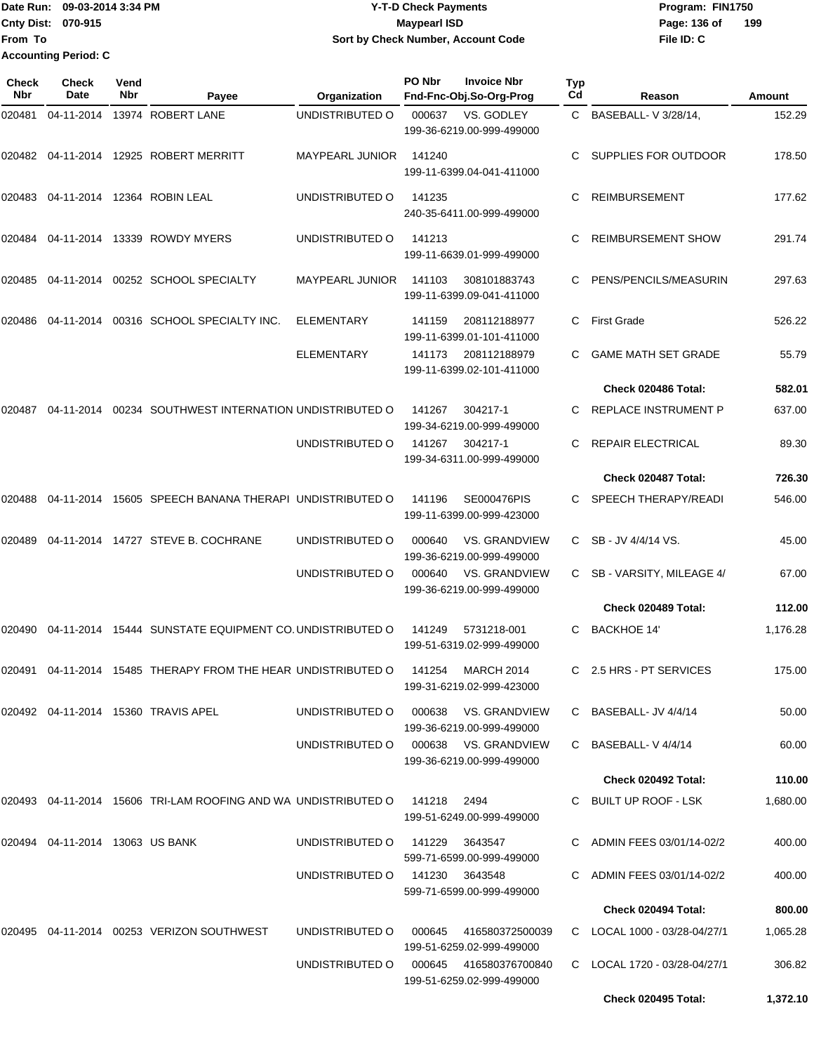Date Run: 09-03-2014 3:34 PM **Program:** FIN1750 **Cnty Dist:** 070-915 **Page:** 136 of **From To Y-T-D Check Payments 070-915 Maypearl ISD Sort by Check Number, Account Code Accounting Period: C**

| Check<br><b>Nbr</b> | Check<br>Date                   | Vend<br>Nbr | Payee                                                                      | Organization                         | PO Nbr | <b>Invoice Nbr</b><br>Fnd-Fnc-Obj.So-Org-Prog     | Typ<br>Cd | Reason                       | Amount   |
|---------------------|---------------------------------|-------------|----------------------------------------------------------------------------|--------------------------------------|--------|---------------------------------------------------|-----------|------------------------------|----------|
| 020481              | 04-11-2014                      |             | 13974 ROBERT LANE                                                          | UNDISTRIBUTED O                      | 000637 | VS. GODLEY<br>199-36-6219.00-999-499000           |           | C BASEBALL- V 3/28/14,       | 152.29   |
| 020482              |                                 |             | 04-11-2014  12925  ROBERT MERRITT                                          | <b>MAYPEARL JUNIOR</b>               | 141240 | 199-11-6399.04-041-411000                         | C.        | SUPPLIES FOR OUTDOOR         | 178.50   |
|                     |                                 |             | 020483 04-11-2014 12364 ROBIN LEAL                                         | UNDISTRIBUTED O                      | 141235 | 240-35-6411.00-999-499000                         | C         | <b>REIMBURSEMENT</b>         | 177.62   |
| 020484              |                                 |             | 04-11-2014 13339 ROWDY MYERS                                               | UNDISTRIBUTED O                      | 141213 | 199-11-6639.01-999-499000                         | C         | <b>REIMBURSEMENT SHOW</b>    | 291.74   |
| 020485              |                                 |             | 04-11-2014 00252 SCHOOL SPECIALTY                                          | <b>MAYPEARL JUNIOR</b>               | 141103 | 308101883743<br>199-11-6399.09-041-411000         | C         | PENS/PENCILS/MEASURIN        | 297.63   |
| 020486              | 04-11-2014                      |             | 00316 SCHOOL SPECIALTY INC.                                                | <b>ELEMENTARY</b>                    | 141159 | 208112188977<br>199-11-6399.01-101-411000         | C         | <b>First Grade</b>           | 526.22   |
|                     |                                 |             |                                                                            | ELEMENTARY                           | 141173 | 208112188979<br>199-11-6399.02-101-411000         |           | <b>GAME MATH SET GRADE</b>   | 55.79    |
|                     |                                 |             |                                                                            |                                      |        |                                                   |           | Check 020486 Total:          | 582.01   |
| 020487              |                                 |             | 04-11-2014 00234 SOUTHWEST INTERNATION UNDISTRIBUTED O                     |                                      | 141267 | 304217-1<br>199-34-6219.00-999-499000             | C.        | REPLACE INSTRUMENT P         | 637.00   |
|                     |                                 |             |                                                                            | UNDISTRIBUTED O                      | 141267 | 304217-1<br>199-34-6311.00-999-499000             | C         | REPAIR ELECTRICAL            | 89.30    |
|                     |                                 |             |                                                                            |                                      |        |                                                   |           | Check 020487 Total:          | 726.30   |
| 020488              | 04-11-2014                      |             | 15605 SPEECH BANANA THERAPI UNDISTRIBUTED O                                |                                      | 141196 | SE000476PIS<br>199-11-6399.00-999-423000          | C.        | <b>SPEECH THERAPY/READI</b>  | 546.00   |
| 020489              |                                 |             | 04-11-2014  14727  STEVE B. COCHRANE                                       | UNDISTRIBUTED O                      | 000640 | <b>VS. GRANDVIEW</b><br>199-36-6219.00-999-499000 | C.        | SB - JV 4/4/14 VS.           | 45.00    |
|                     |                                 |             |                                                                            | UNDISTRIBUTED O                      | 000640 | <b>VS. GRANDVIEW</b><br>199-36-6219.00-999-499000 | C.        | SB - VARSITY, MILEAGE 4/     | 67.00    |
|                     |                                 |             |                                                                            |                                      |        |                                                   |           | Check 020489 Total:          | 112.00   |
| 020490              |                                 |             | 04-11-2014 15444 SUNSTATE EQUIPMENT CO. UNDISTRIBUTED O                    |                                      | 141249 | 5731218-001<br>199-51-6319.02-999-499000          | C         | <b>BACKHOE 14'</b>           | 1,176.28 |
| 020491              |                                 |             | 04-11-2014 15485 THERAPY FROM THE HEAR UNDISTRIBUTED O                     |                                      | 141254 | <b>MARCH 2014</b><br>199-31-6219.02-999-423000    |           | C 2.5 HRS - PT SERVICES      | 175.00   |
|                     |                                 |             | 020492  04-11-2014  15360  TRAVIS APEL                                     | UNDISTRIBUTED O                      | 000638 | VS. GRANDVIEW<br>199-36-6219.00-999-499000        |           | C BASEBALL-JV 4/4/14         | 50.00    |
|                     |                                 |             |                                                                            | UNDISTRIBUTED O 000638 VS. GRANDVIEW |        | 199-36-6219.00-999-499000                         |           | C BASEBALL-V4/4/14           | 60.00    |
|                     |                                 |             |                                                                            |                                      |        |                                                   |           | Check 020492 Total:          | 110.00   |
|                     |                                 |             | 020493 04-11-2014 15606 TRI-LAM ROOFING AND WA UNDISTRIBUTED O 141218 2494 |                                      |        | 199-51-6249.00-999-499000                         |           | C BUILT UP ROOF - LSK        | 1,680.00 |
|                     | 020494 04-11-2014 13063 US BANK |             |                                                                            | UNDISTRIBUTED O                      | 141229 | 3643547<br>599-71-6599.00-999-499000              |           | C ADMIN FEES 03/01/14-02/2   | 400.00   |
|                     |                                 |             |                                                                            | UNDISTRIBUTED O                      | 141230 | 3643548<br>599-71-6599.00-999-499000              |           | C ADMIN FEES 03/01/14-02/2   | 400.00   |
|                     |                                 |             |                                                                            |                                      |        |                                                   |           | Check 020494 Total:          | 800.00   |
|                     |                                 |             | 020495  04-11-2014  00253  VERIZON SOUTHWEST                               | UNDISTRIBUTED O                      | 000645 | 416580372500039<br>199-51-6259.02-999-499000      |           | C LOCAL 1000 - 03/28-04/27/1 | 1,065.28 |
|                     |                                 |             |                                                                            | UNDISTRIBUTED O                      | 000645 | 416580376700840<br>199-51-6259.02-999-499000      |           | C LOCAL 1720 - 03/28-04/27/1 | 306.82   |
|                     |                                 |             |                                                                            |                                      |        |                                                   |           | Check 020495 Total:          | 1,372.10 |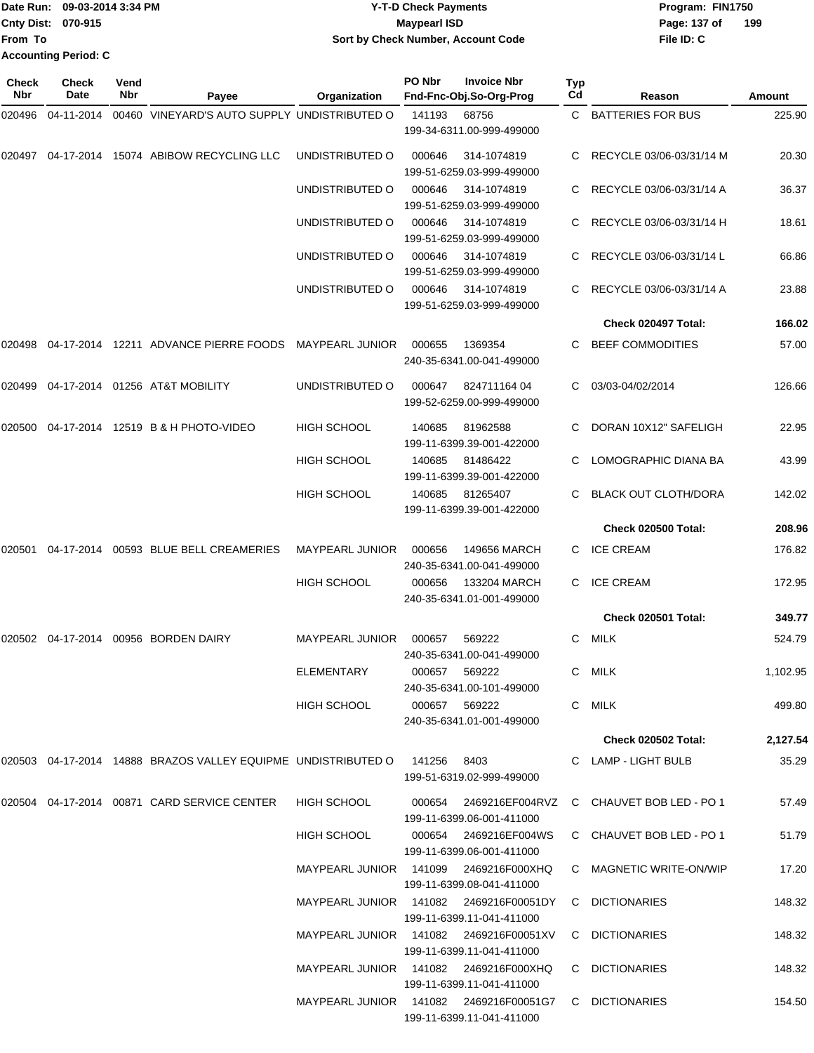|                           | Date Run: 09-03-2014 3:34 PM | <b>Y-T-D Check Payments</b>               | Program: FIN1750      |
|---------------------------|------------------------------|-------------------------------------------|-----------------------|
| <b>Cnty Dist: 070-915</b> |                              | Maypearl ISD                              | $-19$<br>Page: 137 of |
| From To                   |                              | <b>Sort by Check Number, Account Code</b> | File ID: C            |
|                           | <b>Accounting Period: C</b>  |                                           |                       |

**199**

| Check<br><b>Nbr</b> | <b>Check</b><br><b>Date</b> | Vend<br><b>Nbr</b> | Payee                                                                     | Organization                           | PO Nbr | <b>Invoice Nbr</b><br>Fnd-Fnc-Obj.So-Org-Prog      | <b>Typ</b><br>Cd | Reason                                          | Amount   |
|---------------------|-----------------------------|--------------------|---------------------------------------------------------------------------|----------------------------------------|--------|----------------------------------------------------|------------------|-------------------------------------------------|----------|
| 020496              | 04-11-2014                  |                    | 00460 VINEYARD'S AUTO SUPPLY UNDISTRIBUTED O                              |                                        | 141193 | 68756                                              |                  | C BATTERIES FOR BUS                             | 225.90   |
|                     |                             |                    |                                                                           |                                        |        | 199-34-6311.00-999-499000                          |                  |                                                 |          |
| 020497              |                             |                    | 04-17-2014 15074 ABIBOW RECYCLING LLC                                     | UNDISTRIBUTED O                        | 000646 | 314-1074819<br>199-51-6259.03-999-499000           |                  | RECYCLE 03/06-03/31/14 M                        | 20.30    |
|                     |                             |                    |                                                                           | UNDISTRIBUTED O                        | 000646 | 314-1074819<br>199-51-6259.03-999-499000           |                  | RECYCLE 03/06-03/31/14 A                        | 36.37    |
|                     |                             |                    |                                                                           | UNDISTRIBUTED O                        | 000646 | 314-1074819<br>199-51-6259.03-999-499000           |                  | C RECYCLE 03/06-03/31/14 H                      | 18.61    |
|                     |                             |                    |                                                                           | UNDISTRIBUTED O                        | 000646 | 314-1074819<br>199-51-6259.03-999-499000           |                  | RECYCLE 03/06-03/31/14 L                        | 66.86    |
|                     |                             |                    |                                                                           | UNDISTRIBUTED O                        | 000646 | 314-1074819<br>199-51-6259.03-999-499000           |                  | RECYCLE 03/06-03/31/14 A                        | 23.88    |
|                     |                             |                    |                                                                           |                                        |        |                                                    |                  | Check 020497 Total:                             | 166.02   |
| 020498              |                             |                    | 04-17-2014 12211 ADVANCE PIERRE FOODS                                     | <b>MAYPEARL JUNIOR</b>                 | 000655 | 1369354<br>240-35-6341.00-041-499000               | C.               | <b>BEEF COMMODITIES</b>                         | 57.00    |
|                     |                             |                    | 020499  04-17-2014  01256  AT&T MOBILITY                                  | UNDISTRIBUTED O                        | 000647 | 82471116404<br>199-52-6259.00-999-499000           | C.               | 03/03-04/02/2014                                | 126.66   |
| 020500              |                             |                    | 04-17-2014 12519 B & H PHOTO-VIDEO                                        | <b>HIGH SCHOOL</b>                     | 140685 | 81962588<br>199-11-6399.39-001-422000              |                  | DORAN 10X12" SAFELIGH                           | 22.95    |
|                     |                             |                    |                                                                           | <b>HIGH SCHOOL</b>                     | 140685 | 81486422<br>199-11-6399.39-001-422000              |                  | LOMOGRAPHIC DIANA BA                            | 43.99    |
|                     |                             |                    |                                                                           | <b>HIGH SCHOOL</b>                     | 140685 | 81265407<br>199-11-6399.39-001-422000              |                  | <b>BLACK OUT CLOTH/DORA</b>                     | 142.02   |
|                     |                             |                    |                                                                           |                                        |        |                                                    |                  | Check 020500 Total:                             | 208.96   |
|                     |                             |                    | 020501  04-17-2014  00593  BLUE  BELL CREAMERIES                          | <b>MAYPEARL JUNIOR</b>                 | 000656 | 149656 MARCH<br>240-35-6341.00-041-499000          |                  | C ICE CREAM                                     | 176.82   |
|                     |                             |                    |                                                                           | <b>HIGH SCHOOL</b>                     | 000656 | 133204 MARCH<br>240-35-6341.01-001-499000          |                  | <b>ICE CREAM</b>                                | 172.95   |
|                     |                             |                    |                                                                           |                                        |        |                                                    |                  | Check 020501 Total:                             | 349.77   |
|                     |                             |                    | 020502  04-17-2014  00956  BORDEN DAIRY                                   | <b>MAYPEARL JUNIOR</b>                 | 000657 | 569222<br>240-35-6341.00-041-499000                | C.               | MILK                                            | 524.79   |
|                     |                             |                    |                                                                           | <b>ELEMENTARY</b>                      |        | 000657 569222<br>240-35-6341.00-101-499000         |                  | C MILK                                          | 1,102.95 |
|                     |                             |                    |                                                                           | HIGH SCHOOL                            |        | 000657 569222<br>240-35-6341.01-001-499000         |                  | C MILK                                          | 499.80   |
|                     |                             |                    |                                                                           |                                        |        |                                                    |                  | <b>Check 020502 Total:</b>                      | 2,127.54 |
|                     |                             |                    | 020503 04-17-2014 14888 BRAZOS VALLEY EQUIPME UNDISTRIBUTED O 141256 8403 |                                        |        | 199-51-6319.02-999-499000                          |                  | C LAMP - LIGHT BULB                             | 35.29    |
|                     |                             |                    | 020504  04-17-2014  00871  CARD SERVICE CENTER                            | HIGH SCHOOL                            |        | 199-11-6399.06-001-411000                          |                  | 000654 2469216EF004RVZ C CHAUVET BOB LED - PO 1 | 57.49    |
|                     |                             |                    |                                                                           | HIGH SCHOOL                            |        | 000654 2469216EF004WS<br>199-11-6399.06-001-411000 |                  | C CHAUVET BOB LED - PO 1                        | 51.79    |
|                     |                             |                    |                                                                           | MAYPEARL JUNIOR 141099 2469216F000XHQ  |        | 199-11-6399.08-041-411000                          |                  | C MAGNETIC WRITE-ON/WIP                         | 17.20    |
|                     |                             |                    |                                                                           | MAYPEARL JUNIOR 141082 2469216F00051DY |        | 199-11-6399.11-041-411000                          |                  | C DICTIONARIES                                  | 148.32   |
|                     |                             |                    |                                                                           |                                        |        | 199-11-6399.11-041-411000                          |                  | C DICTIONARIES                                  | 148.32   |
|                     |                             |                    |                                                                           | MAYPEARL JUNIOR 141082 2469216F000XHQ  |        | 199-11-6399.11-041-411000                          |                  | C DICTIONARIES                                  | 148.32   |
|                     |                             |                    |                                                                           |                                        |        | 199-11-6399.11-041-411000                          |                  | C DICTIONARIES                                  | 154.50   |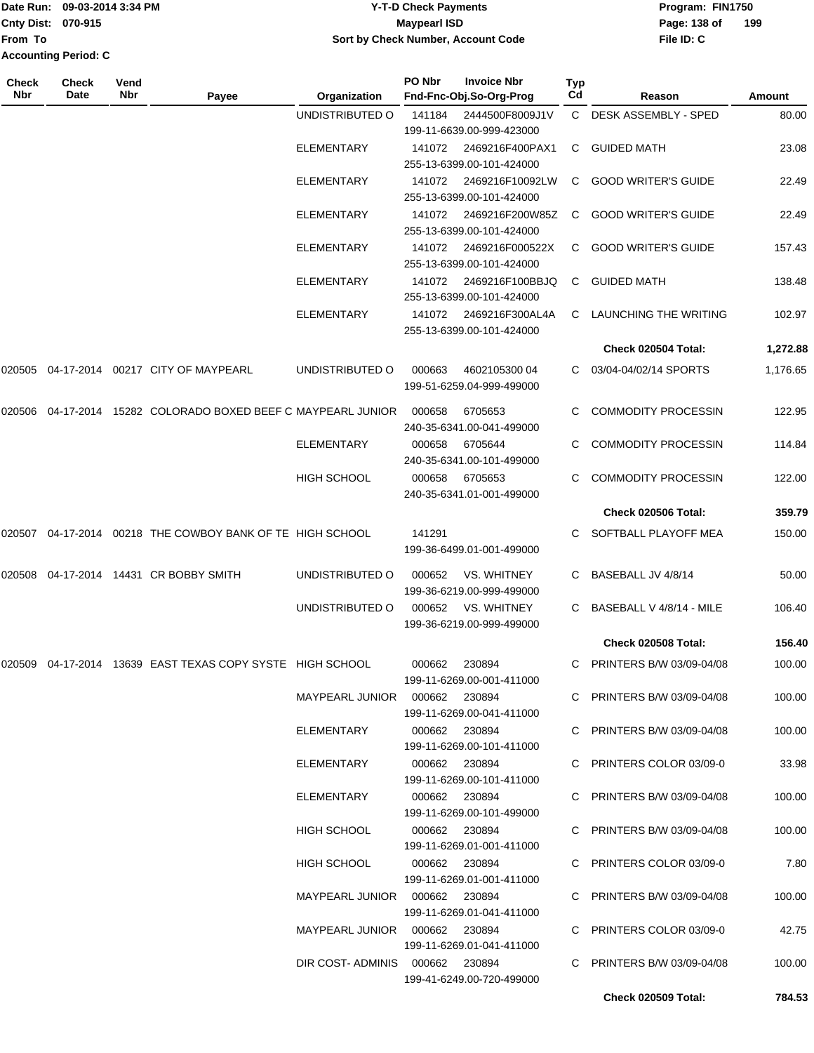|                             | Date Run: 09-03-2014 3:34 PM | <b>Y-T-D Check Payments</b>        | Program: FIN1750    |
|-----------------------------|------------------------------|------------------------------------|---------------------|
| <b>Cnty Dist: 070-915</b>   |                              | Maypearl ISD                       | 199<br>Page: 138 of |
| <b>From To</b>              |                              | Sort by Check Number, Account Code | File ID: C          |
| <b>Accounting Period: C</b> |                              |                                    |                     |

| Check<br>Nbr | Check<br>Date | Vend<br>Nbr | Payee                                                  | Organization                    | PO Nbr | <b>Invoice Nbr</b><br>Fnd-Fnc-Obj.So-Org-Prog | Typ<br>Cd | Reason                      | <b>Amount</b> |
|--------------|---------------|-------------|--------------------------------------------------------|---------------------------------|--------|-----------------------------------------------|-----------|-----------------------------|---------------|
|              |               |             |                                                        | UNDISTRIBUTED O                 | 141184 | 2444500F8009J1V                               | C.        | <b>DESK ASSEMBLY - SPED</b> | 80.00         |
|              |               |             |                                                        |                                 |        | 199-11-6639.00-999-423000                     |           |                             |               |
|              |               |             |                                                        | <b>ELEMENTARY</b>               | 141072 | 2469216F400PAX1                               | C         | <b>GUIDED MATH</b>          | 23.08         |
|              |               |             |                                                        |                                 |        | 255-13-6399.00-101-424000                     |           |                             |               |
|              |               |             |                                                        | <b>ELEMENTARY</b>               | 141072 | 2469216F10092LW                               | C         | <b>GOOD WRITER'S GUIDE</b>  | 22.49         |
|              |               |             |                                                        |                                 |        | 255-13-6399.00-101-424000                     |           |                             |               |
|              |               |             |                                                        | <b>ELEMENTARY</b>               | 141072 | 2469216F200W85Z<br>255-13-6399.00-101-424000  | C         | <b>GOOD WRITER'S GUIDE</b>  | 22.49         |
|              |               |             |                                                        | <b>ELEMENTARY</b>               | 141072 | 2469216F000522X                               | C         | <b>GOOD WRITER'S GUIDE</b>  | 157.43        |
|              |               |             |                                                        |                                 |        | 255-13-6399.00-101-424000                     |           |                             |               |
|              |               |             |                                                        | <b>ELEMENTARY</b>               | 141072 | 2469216F100BBJQ                               | C         | <b>GUIDED MATH</b>          | 138.48        |
|              |               |             |                                                        |                                 |        | 255-13-6399.00-101-424000                     |           |                             |               |
|              |               |             |                                                        | <b>ELEMENTARY</b>               | 141072 | 2469216F300AL4A                               | C         | LAUNCHING THE WRITING       | 102.97        |
|              |               |             |                                                        |                                 |        | 255-13-6399.00-101-424000                     |           | Check 020504 Total:         | 1,272.88      |
|              |               |             | 04-17-2014 00217 CITY OF MAYPEARL                      | UNDISTRIBUTED O                 |        | 4602105300 04                                 |           | 03/04-04/02/14 SPORTS       |               |
| 020505       |               |             |                                                        |                                 | 000663 | 199-51-6259.04-999-499000                     | C.        |                             | 1,176.65      |
|              |               |             |                                                        |                                 |        |                                               |           | <b>COMMODITY PROCESSIN</b>  |               |
| 020506       |               |             | 04-17-2014 15282 COLORADO BOXED BEEF C MAYPEARL JUNIOR |                                 | 000658 | 6705653<br>240-35-6341.00-041-499000          | C.        |                             | 122.95        |
|              |               |             |                                                        | <b>ELEMENTARY</b>               | 000658 | 6705644                                       | C.        | <b>COMMODITY PROCESSIN</b>  | 114.84        |
|              |               |             |                                                        |                                 |        | 240-35-6341.00-101-499000                     |           |                             |               |
|              |               |             |                                                        | <b>HIGH SCHOOL</b>              | 000658 | 6705653                                       | C.        | <b>COMMODITY PROCESSIN</b>  | 122.00        |
|              |               |             |                                                        |                                 |        | 240-35-6341.01-001-499000                     |           |                             |               |
|              |               |             |                                                        |                                 |        |                                               |           | Check 020506 Total:         | 359.79        |
| 020507       | 04-17-2014    |             | 00218 THE COWBOY BANK OF TE HIGH SCHOOL                |                                 | 141291 |                                               | C.        | SOFTBALL PLAYOFF MEA        | 150.00        |
|              |               |             |                                                        |                                 |        | 199-36-6499.01-001-499000                     |           |                             |               |
| 020508       |               |             | 04-17-2014 14431 CR BOBBY SMITH                        | UNDISTRIBUTED O                 | 000652 | VS. WHITNEY                                   | C.        | BASEBALL JV 4/8/14          | 50.00         |
|              |               |             |                                                        |                                 |        | 199-36-6219.00-999-499000                     |           |                             |               |
|              |               |             |                                                        | UNDISTRIBUTED O                 | 000652 | VS. WHITNEY                                   | C.        | BASEBALL V 4/8/14 - MILE    | 106.40        |
|              |               |             |                                                        |                                 |        | 199-36-6219.00-999-499000                     |           | Check 020508 Total:         |               |
|              |               |             |                                                        |                                 |        |                                               |           |                             | 156.40        |
| 020509       |               |             | 04-17-2014 13639 EAST TEXAS COPY SYSTE HIGH SCHOOL     |                                 | 000662 | 230894<br>199-11-6269.00-001-411000           | C.        | PRINTERS B/W 03/09-04/08    | 100.00        |
|              |               |             |                                                        |                                 |        |                                               |           | C PRINTERS B/W 03/09-04/08  | 100.00        |
|              |               |             |                                                        |                                 |        | 199-11-6269.00-041-411000                     |           |                             |               |
|              |               |             |                                                        | ELEMENTARY                      |        | 000662 230894                                 |           | C PRINTERS B/W 03/09-04/08  | 100.00        |
|              |               |             |                                                        |                                 |        | 199-11-6269.00-101-411000                     |           |                             |               |
|              |               |             |                                                        | ELEMENTARY                      |        | 000662 230894                                 |           | C PRINTERS COLOR 03/09-0    | 33.98         |
|              |               |             |                                                        | ELEMENTARY                      |        | 199-11-6269.00-101-411000<br>000662 230894    |           | C PRINTERS B/W 03/09-04/08  | 100.00        |
|              |               |             |                                                        |                                 |        | 199-11-6269.00-101-499000                     |           |                             |               |
|              |               |             |                                                        | <b>HIGH SCHOOL</b>              |        | 000662 230894                                 |           | C PRINTERS B/W 03/09-04/08  | 100.00        |
|              |               |             |                                                        |                                 |        | 199-11-6269.01-001-411000                     |           |                             |               |
|              |               |             |                                                        | <b>HIGH SCHOOL</b>              |        | 000662 230894                                 |           | C PRINTERS COLOR 03/09-0    | 7.80          |
|              |               |             |                                                        |                                 |        | 199-11-6269.01-001-411000                     |           |                             |               |
|              |               |             |                                                        |                                 |        |                                               |           | C PRINTERS B/W 03/09-04/08  | 100.00        |
|              |               |             |                                                        | MAYPEARL JUNIOR  000662  230894 |        | 199-11-6269.01-041-411000                     |           | C PRINTERS COLOR 03/09-0    | 42.75         |
|              |               |             |                                                        |                                 |        | 199-11-6269.01-041-411000                     |           |                             |               |
|              |               |             |                                                        | DIR COST-ADMINIS 000662 230894  |        |                                               |           | C PRINTERS B/W 03/09-04/08  | 100.00        |
|              |               |             |                                                        |                                 |        | 199-41-6249.00-720-499000                     |           |                             |               |
|              |               |             |                                                        |                                 |        |                                               |           | Check 020509 Total:         | 784.53        |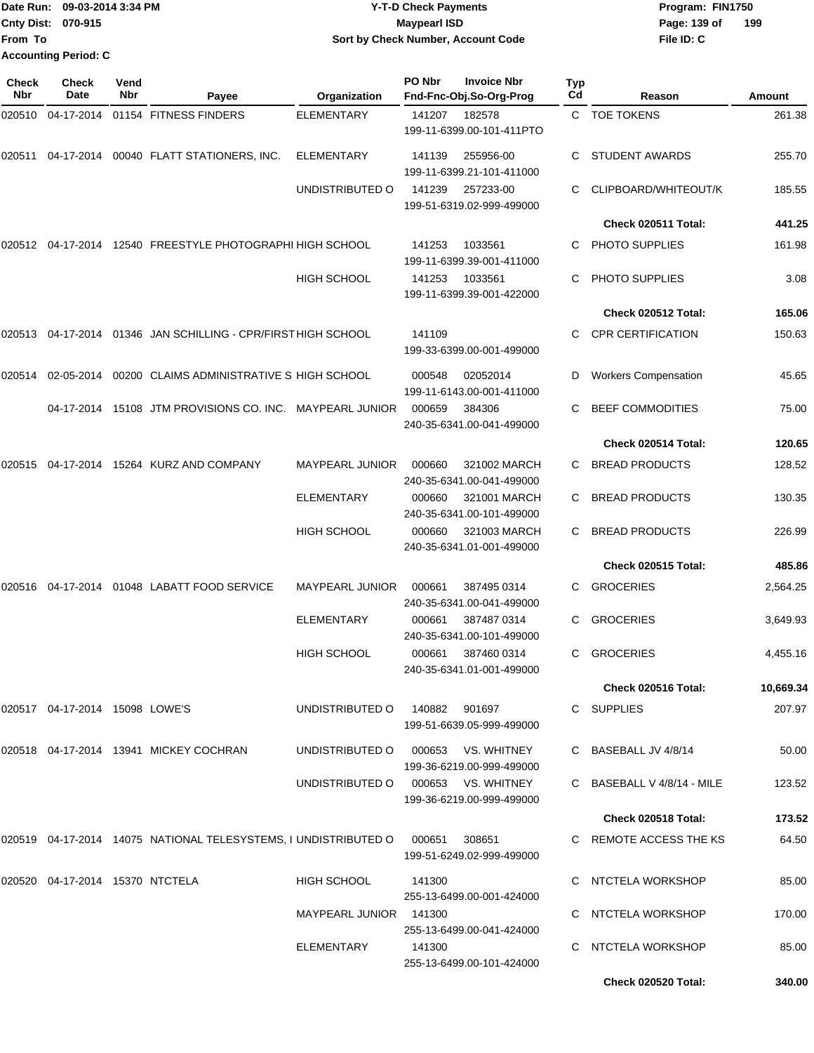**From To Accounting Period: C**

#### Date Run: 09-03-2014 3:34 PM **Program:** FIN1750 **Cnty Dist:** 070-915 **Page: 139 of MaypearI ISD Page: 139 of 09-03-2014 3:34 PM Y-T-D Check Payments 070-915 Maypearl ISD Sort by Check Number, Account Code**

| <b>Check</b><br>Nbr | <b>Check</b><br>Date            | Vend<br>Nbr | Payee                                                                     | Organization                       | PO Nbr | <b>Invoice Nbr</b><br>Fnd-Fnc-Obj.So-Org-Prog   | <b>Typ</b><br>Cd | Reason                      | Amount    |
|---------------------|---------------------------------|-------------|---------------------------------------------------------------------------|------------------------------------|--------|-------------------------------------------------|------------------|-----------------------------|-----------|
| 020510              | 04-17-2014                      |             | 01154 FITNESS FINDERS                                                     | <b>ELEMENTARY</b>                  | 141207 | 182578<br>199-11-6399.00-101-411PTO             |                  | C TOE TOKENS                | 261.38    |
| 020511              | 04-17-2014                      |             | 00040 FLATT STATIONERS, INC.                                              | <b>ELEMENTARY</b>                  | 141139 | 255956-00<br>199-11-6399.21-101-411000          | C                | <b>STUDENT AWARDS</b>       | 255.70    |
|                     |                                 |             |                                                                           | UNDISTRIBUTED O                    | 141239 | 257233-00<br>199-51-6319.02-999-499000          |                  | CLIPBOARD/WHITEOUT/K        | 185.55    |
|                     |                                 |             |                                                                           |                                    |        |                                                 |                  | Check 020511 Total:         | 441.25    |
|                     |                                 |             | 020512 04-17-2014 12540 FREESTYLE PHOTOGRAPHI HIGH SCHOOL                 |                                    | 141253 | 1033561<br>199-11-6399.39-001-411000            |                  | PHOTO SUPPLIES              | 161.98    |
|                     |                                 |             |                                                                           | <b>HIGH SCHOOL</b>                 | 141253 | 1033561<br>199-11-6399.39-001-422000            | C                | <b>PHOTO SUPPLIES</b>       | 3.08      |
|                     |                                 |             |                                                                           |                                    |        |                                                 |                  | Check 020512 Total:         | 165.06    |
|                     |                                 |             | 020513 04-17-2014 01346 JAN SCHILLING - CPR/FIRST HIGH SCHOOL             |                                    | 141109 | 199-33-6399.00-001-499000                       |                  | <b>CPR CERTIFICATION</b>    | 150.63    |
| 020514              |                                 |             | 02-05-2014 00200 CLAIMS ADMINISTRATIVE S HIGH SCHOOL                      |                                    | 000548 | 02052014<br>199-11-6143.00-001-411000           | D                | <b>Workers Compensation</b> | 45.65     |
|                     |                                 |             | 04-17-2014 15108 JTM PROVISIONS CO. INC. MAYPEARL JUNIOR                  |                                    | 000659 | 384306<br>240-35-6341.00-041-499000             |                  | <b>BEEF COMMODITIES</b>     | 75.00     |
|                     |                                 |             |                                                                           |                                    |        |                                                 |                  | Check 020514 Total:         | 120.65    |
|                     |                                 |             | 020515 04-17-2014 15264 KURZ AND COMPANY                                  | <b>MAYPEARL JUNIOR</b>             | 000660 | 321002 MARCH<br>240-35-6341.00-041-499000       |                  | <b>BREAD PRODUCTS</b>       | 128.52    |
|                     |                                 |             |                                                                           | <b>ELEMENTARY</b>                  | 000660 | 321001 MARCH<br>240-35-6341.00-101-499000       | C.               | <b>BREAD PRODUCTS</b>       | 130.35    |
|                     |                                 |             |                                                                           | <b>HIGH SCHOOL</b>                 | 000660 | 321003 MARCH<br>240-35-6341.01-001-499000       | C                | <b>BREAD PRODUCTS</b>       | 226.99    |
|                     |                                 |             |                                                                           |                                    |        |                                                 |                  | Check 020515 Total:         | 485.86    |
| 020516              |                                 |             | 04-17-2014  01048  LABATT FOOD SERVICE                                    | <b>MAYPEARL JUNIOR</b>             | 000661 | 387495 0314<br>240-35-6341.00-041-499000        | C                | <b>GROCERIES</b>            | 2,564.25  |
|                     |                                 |             |                                                                           | <b>ELEMENTARY</b>                  | 000661 | 387487 0314<br>240-35-6341.00-101-499000        |                  | <b>GROCERIES</b>            | 3,649.93  |
|                     |                                 |             |                                                                           | HIGH SCHOOL                        | 000661 | 387460 0314<br>240-35-6341.01-001-499000        | C                | <b>GROCERIES</b>            | 4,455.16  |
|                     |                                 |             |                                                                           |                                    |        |                                                 |                  | Check 020516 Total:         | 10,669.34 |
|                     | 020517 04-17-2014 15098 LOWE'S  |             |                                                                           | UNDISTRIBUTED 0 140882 901697      |        | 199-51-6639.05-999-499000                       |                  | C SUPPLIES                  | 207.97    |
|                     |                                 |             | 020518 04-17-2014 13941 MICKEY COCHRAN                                    | UNDISTRIBUTED O                    |        | 000653 VS. WHITNEY<br>199-36-6219.00-999-499000 |                  | C BASEBALL JV 4/8/14        | 50.00     |
|                     |                                 |             |                                                                           | UNDISTRIBUTED O 000653 VS. WHITNEY |        | 199-36-6219.00-999-499000                       |                  | C BASEBALL V 4/8/14 - MILE  | 123.52    |
|                     |                                 |             |                                                                           |                                    |        |                                                 |                  | Check 020518 Total:         | 173.52    |
|                     |                                 |             | 020519  04-17-2014  14075  NATIONAL TELESYSTEMS, I UNDISTRIBUTED   000651 |                                    |        | 308651<br>199-51-6249.02-999-499000             |                  | C REMOTE ACCESS THE KS      | 64.50     |
|                     | 020520 04-17-2014 15370 NTCTELA |             |                                                                           | HIGH SCHOOL                        | 141300 | 255-13-6499.00-001-424000                       |                  | C NTCTELA WORKSHOP          | 85.00     |
|                     |                                 |             |                                                                           | MAYPEARL JUNIOR 141300             |        | 255-13-6499.00-041-424000                       |                  | C NTCTELA WORKSHOP          | 170.00    |
|                     |                                 |             |                                                                           | ELEMENTARY                         | 141300 | 255-13-6499.00-101-424000                       |                  | C NTCTELA WORKSHOP          | 85.00     |
|                     |                                 |             |                                                                           |                                    |        |                                                 |                  | Check 020520 Total:         | 340.00    |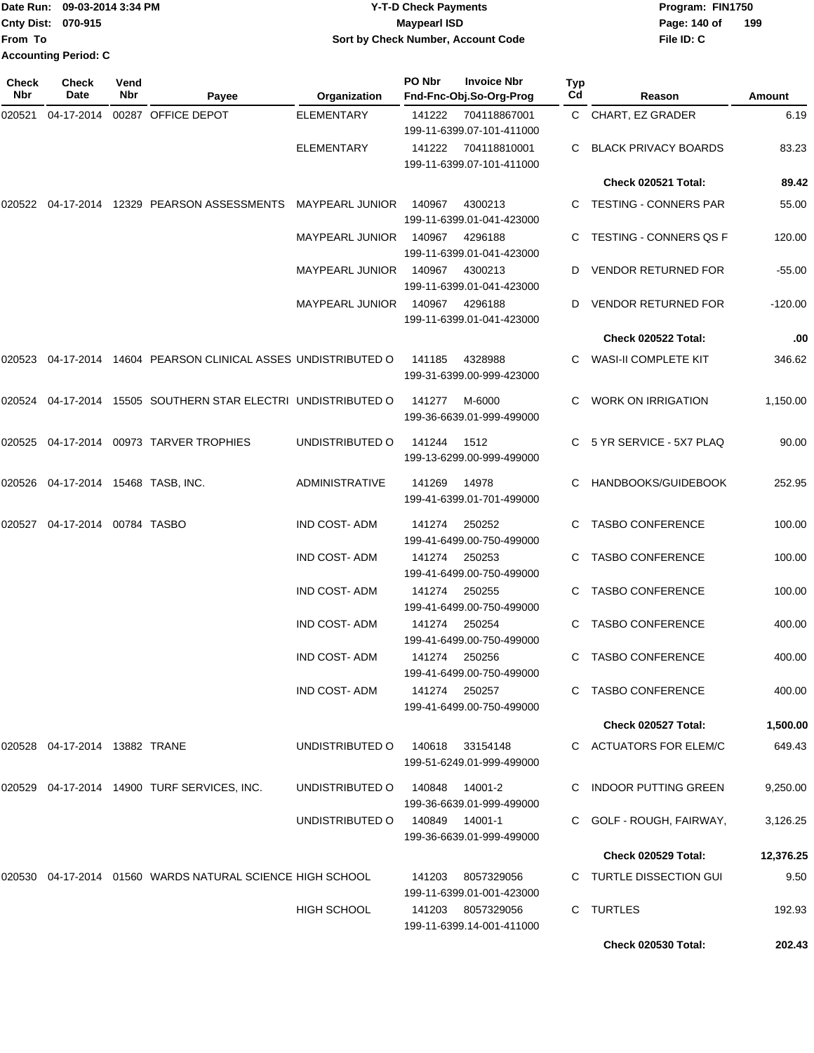|                             | Date Run: 09-03-2014 3:34 PM | <b>Y-T-D Check Payments</b>               | Program: FIN1750 |     |
|-----------------------------|------------------------------|-------------------------------------------|------------------|-----|
| <b>Cnty Dist: 070-915</b>   |                              | <b>Mavpearl ISD</b>                       | Page: 140 of     | 199 |
| lFrom To                    |                              | <b>Sort by Check Number, Account Code</b> | File ID: C       |     |
| <b>Accounting Period: C</b> |                              |                                           |                  |     |

| <b>Check</b><br>Nbr | <b>Check</b><br>Date                  | Vend<br>Nbr | Payee                                                          | Organization           | PO Nbr | <b>Invoice Nbr</b><br>Fnd-Fnc-Obj.So-Org-Prog  | Typ<br>Cd | Reason                        | <b>Amount</b> |
|---------------------|---------------------------------------|-------------|----------------------------------------------------------------|------------------------|--------|------------------------------------------------|-----------|-------------------------------|---------------|
| 020521              | 04-17-2014                            |             | 00287 OFFICE DEPOT                                             | <b>ELEMENTARY</b>      | 141222 | 704118867001<br>199-11-6399.07-101-411000      |           | C CHART, EZ GRADER            | 6.19          |
|                     |                                       |             |                                                                | <b>ELEMENTARY</b>      | 141222 | 704118810001<br>199-11-6399.07-101-411000      |           | <b>BLACK PRIVACY BOARDS</b>   | 83.23         |
|                     |                                       |             |                                                                |                        |        |                                                |           | Check 020521 Total:           | 89.42         |
| 020522              | 04-17-2014                            |             | 12329 PEARSON ASSESSMENTS                                      | <b>MAYPEARL JUNIOR</b> | 140967 | 4300213<br>199-11-6399.01-041-423000           |           | C TESTING - CONNERS PAR       | 55.00         |
|                     |                                       |             |                                                                | <b>MAYPEARL JUNIOR</b> | 140967 | 4296188<br>199-11-6399.01-041-423000           |           | <b>TESTING - CONNERS QS F</b> | 120.00        |
|                     |                                       |             |                                                                | <b>MAYPEARL JUNIOR</b> | 140967 | 4300213<br>199-11-6399.01-041-423000           | D         | <b>VENDOR RETURNED FOR</b>    | $-55.00$      |
|                     |                                       |             |                                                                | <b>MAYPEARL JUNIOR</b> | 140967 | 4296188<br>199-11-6399.01-041-423000           |           | <b>VENDOR RETURNED FOR</b>    | $-120.00$     |
|                     |                                       |             |                                                                |                        |        |                                                |           | Check 020522 Total:           | .00           |
|                     |                                       |             | 020523 04-17-2014 14604 PEARSON CLINICAL ASSES UNDISTRIBUTED O |                        | 141185 | 4328988<br>199-31-6399.00-999-423000           |           | C WASI-II COMPLETE KIT        | 346.62        |
|                     |                                       |             | 020524 04-17-2014 15505 SOUTHERN STAR ELECTRI UNDISTRIBUTED O  |                        | 141277 | M-6000<br>199-36-6639.01-999-499000            |           | <b>WORK ON IRRIGATION</b>     | 1,150.00      |
|                     |                                       |             | 020525 04-17-2014 00973 TARVER TROPHIES                        | UNDISTRIBUTED O        | 141244 | 1512<br>199-13-6299.00-999-499000              |           | C 5 YR SERVICE - 5X7 PLAQ     | 90.00         |
|                     | 020526  04-17-2014  15468  TASB, INC. |             |                                                                | <b>ADMINISTRATIVE</b>  | 141269 | 14978<br>199-41-6399.01-701-499000             |           | HANDBOOKS/GUIDEBOOK           | 252.95        |
| 020527              | 04-17-2014                            |             | 00784 TASBO                                                    | <b>IND COST-ADM</b>    | 141274 | 250252<br>199-41-6499.00-750-499000            | C         | <b>TASBO CONFERENCE</b>       | 100.00        |
|                     |                                       |             |                                                                | <b>IND COST-ADM</b>    | 141274 | 250253<br>199-41-6499.00-750-499000            | C         | <b>TASBO CONFERENCE</b>       | 100.00        |
|                     |                                       |             |                                                                | <b>IND COST-ADM</b>    | 141274 | 250255<br>199-41-6499.00-750-499000            |           | <b>TASBO CONFERENCE</b>       | 100.00        |
|                     |                                       |             |                                                                | <b>IND COST-ADM</b>    | 141274 | 250254<br>199-41-6499.00-750-499000            |           | <b>TASBO CONFERENCE</b>       | 400.00        |
|                     |                                       |             |                                                                | <b>IND COST-ADM</b>    | 141274 | 250256<br>199-41-6499.00-750-499000            | C.        | <b>TASBO CONFERENCE</b>       | 400.00        |
|                     |                                       |             |                                                                | IND COST-ADM           | 141274 | 250257<br>199-41-6499.00-750-499000            |           | C TASBO CONFERENCE            | 400.00        |
|                     |                                       |             |                                                                |                        |        |                                                |           | Check 020527 Total:           | 1,500.00      |
|                     | 020528  04-17-2014  13882  TRANE      |             |                                                                | UNDISTRIBUTED O        | 140618 | 33154148<br>199-51-6249.01-999-499000          |           | C ACTUATORS FOR ELEM/C        | 649.43        |
|                     |                                       |             | 020529  04-17-2014  14900  TURF SERVICES, INC.                 | UNDISTRIBUTED O        | 140848 | 14001-2<br>199-36-6639.01-999-499000           |           | C INDOOR PUTTING GREEN        | 9,250.00      |
|                     |                                       |             |                                                                | UNDISTRIBUTED O        | 140849 | 14001-1<br>199-36-6639.01-999-499000           |           | C GOLF - ROUGH, FAIRWAY,      | 3,126.25      |
|                     |                                       |             |                                                                |                        |        |                                                |           | Check 020529 Total:           | 12,376.25     |
|                     |                                       |             | 020530 04-17-2014 01560 WARDS NATURAL SCIENCE HIGH SCHOOL      |                        |        | 141203 8057329056<br>199-11-6399.01-001-423000 |           | C TURTLE DISSECTION GUI       | 9.50          |
|                     |                                       |             |                                                                | <b>HIGH SCHOOL</b>     |        | 141203 8057329056<br>199-11-6399.14-001-411000 |           | C TURTLES                     | 192.93        |
|                     |                                       |             |                                                                |                        |        |                                                |           | Check 020530 Total:           | 202.43        |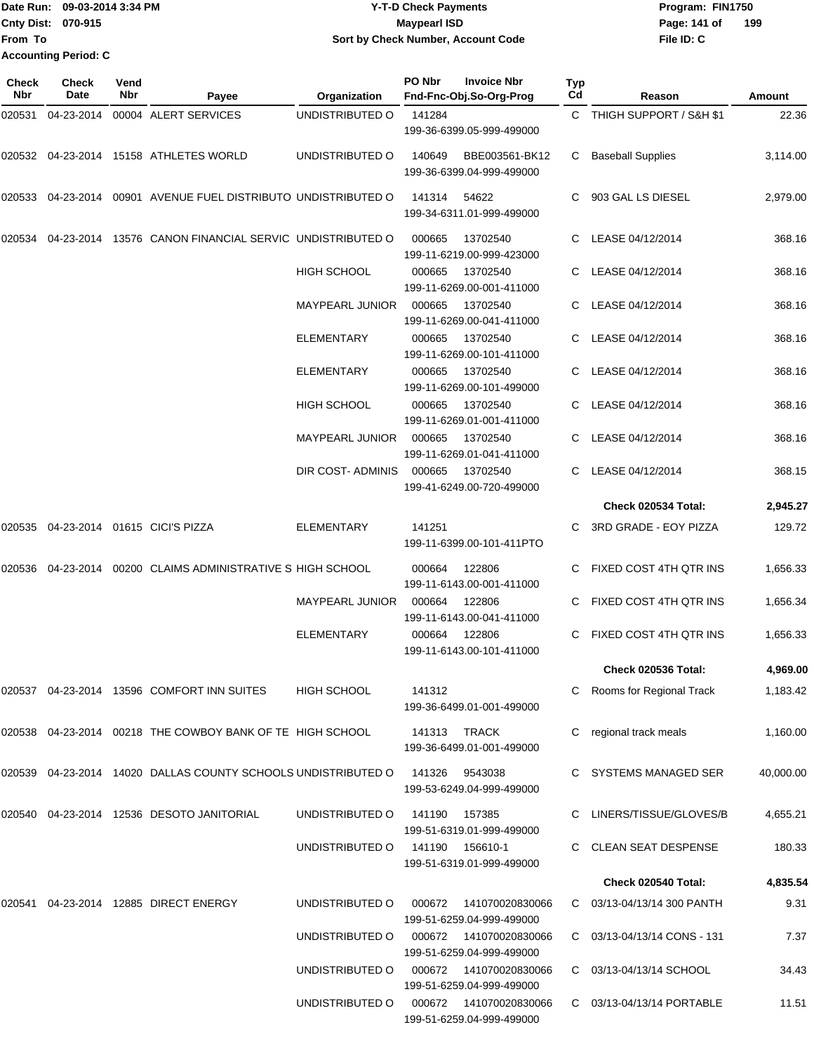|                           | TDate Run: 09-03-2014 3:34 PM | <b>Y-T-D Check Payments</b>        | Program: FIN1750    |
|---------------------------|-------------------------------|------------------------------------|---------------------|
| <b>Cnty Dist: 070-915</b> |                               | <b>Mavpearl ISD</b>                | 199<br>Page: 141 of |
| <b>From To</b>            |                               | Sort by Check Number, Account Code | File ID: C          |
|                           | <b>Accounting Period: C</b>   |                                    |                     |

| Check<br>Nbr | <b>Check</b><br>Date | Vend<br>Nbr | Payee                                                             | Organization           | PO Nbr | <b>Invoice Nbr</b><br>Fnd-Fnc-Obj.So-Org-Prog        | <b>Typ</b><br>Cd | Reason                     | Amount    |
|--------------|----------------------|-------------|-------------------------------------------------------------------|------------------------|--------|------------------------------------------------------|------------------|----------------------------|-----------|
| 020531       | 04-23-2014           |             | 00004 ALERT SERVICES                                              | UNDISTRIBUTED O        | 141284 | 199-36-6399.05-999-499000                            |                  | C THIGH SUPPORT / S&H \$1  | 22.36     |
|              |                      |             | 020532 04-23-2014 15158 ATHLETES WORLD                            | UNDISTRIBUTED O        | 140649 | BBE003561-BK12<br>199-36-6399.04-999-499000          | C                | <b>Baseball Supplies</b>   | 3,114.00  |
|              |                      |             | 020533  04-23-2014  00901  AVENUE FUEL DISTRIBUTO UNDISTRIBUTED O |                        | 141314 | 54622<br>199-34-6311.01-999-499000                   |                  | 903 GAL LS DIESEL          | 2,979.00  |
| 020534       |                      |             | 04-23-2014 13576 CANON FINANCIAL SERVIC UNDISTRIBUTED O           |                        | 000665 | 13702540<br>199-11-6219.00-999-423000                | C                | LEASE 04/12/2014           | 368.16    |
|              |                      |             |                                                                   | <b>HIGH SCHOOL</b>     | 000665 | 13702540<br>199-11-6269.00-001-411000                |                  | C LEASE 04/12/2014         | 368.16    |
|              |                      |             |                                                                   | <b>MAYPEARL JUNIOR</b> | 000665 | 13702540<br>199-11-6269.00-041-411000                |                  | C LEASE 04/12/2014         | 368.16    |
|              |                      |             |                                                                   | <b>ELEMENTARY</b>      | 000665 | 13702540<br>199-11-6269.00-101-411000                |                  | C LEASE 04/12/2014         | 368.16    |
|              |                      |             |                                                                   | ELEMENTARY             | 000665 | 13702540<br>199-11-6269.00-101-499000                |                  | LEASE 04/12/2014           | 368.16    |
|              |                      |             |                                                                   | <b>HIGH SCHOOL</b>     | 000665 | 13702540<br>199-11-6269.01-001-411000                |                  | LEASE 04/12/2014           | 368.16    |
|              |                      |             |                                                                   | MAYPEARL JUNIOR        | 000665 | 13702540<br>199-11-6269.01-041-411000                | C.               | LEASE 04/12/2014           | 368.16    |
|              |                      |             |                                                                   | DIR COST- ADMINIS      | 000665 | 13702540<br>199-41-6249.00-720-499000                |                  | C LEASE 04/12/2014         | 368.15    |
|              |                      |             |                                                                   |                        |        |                                                      |                  | Check 020534 Total:        | 2,945.27  |
|              |                      |             | 020535 04-23-2014 01615 CICI'S PIZZA                              | <b>ELEMENTARY</b>      | 141251 | 199-11-6399.00-101-411PTO                            |                  | 3RD GRADE - EOY PIZZA      | 129.72    |
| 020536       |                      |             | 04-23-2014 00200 CLAIMS ADMINISTRATIVE S HIGH SCHOOL              |                        | 000664 | 122806<br>199-11-6143.00-001-411000                  |                  | C FIXED COST 4TH QTR INS   | 1,656.33  |
|              |                      |             |                                                                   | <b>MAYPEARL JUNIOR</b> | 000664 | 122806<br>199-11-6143.00-041-411000                  |                  | FIXED COST 4TH QTR INS     | 1,656.34  |
|              |                      |             |                                                                   | <b>ELEMENTARY</b>      | 000664 | 122806<br>199-11-6143.00-101-411000                  | С                | FIXED COST 4TH QTR INS     | 1,656.33  |
|              |                      |             |                                                                   |                        |        |                                                      |                  | Check 020536 Total:        | 4,969.00  |
|              |                      |             | 020537 04-23-2014 13596 COMFORT INN SUITES                        | <b>HIGH SCHOOL</b>     | 141312 | 199-36-6499.01-001-499000                            | С                | Rooms for Regional Track   | 1,183.42  |
|              |                      |             | 020538 04-23-2014 00218 THE COWBOY BANK OF TE HIGH SCHOOL         |                        |        | 141313 TRACK<br>199-36-6499.01-001-499000            |                  | regional track meals       | 1,160.00  |
|              |                      |             | 020539 04-23-2014 14020 DALLAS COUNTY SCHOOLS UNDISTRIBUTED O     |                        | 141326 | 9543038<br>199-53-6249.04-999-499000                 |                  | SYSTEMS MANAGED SER        | 40,000.00 |
|              |                      |             | 020540  04-23-2014  12536  DESOTO JANITORIAL                      | UNDISTRIBUTED O        | 141190 | 157385<br>199-51-6319.01-999-499000                  |                  | C LINERS/TISSUE/GLOVES/B   | 4,655.21  |
|              |                      |             |                                                                   | UNDISTRIBUTED O        | 141190 | 156610-1<br>199-51-6319.01-999-499000                |                  | <b>CLEAN SEAT DESPENSE</b> | 180.33    |
|              |                      |             |                                                                   |                        |        |                                                      |                  | Check 020540 Total:        | 4,835.54  |
|              |                      |             | 020541 04-23-2014 12885 DIRECT ENERGY                             | UNDISTRIBUTED O        | 000672 | 141070020830066<br>199-51-6259.04-999-499000         |                  | 03/13-04/13/14 300 PANTH   | 9.31      |
|              |                      |             |                                                                   | UNDISTRIBUTED O        | 000672 | 141070020830066<br>199-51-6259.04-999-499000         | C.               | 03/13-04/13/14 CONS - 131  | 7.37      |
|              |                      |             |                                                                   | UNDISTRIBUTED O        |        | 000672  141070020830066<br>199-51-6259.04-999-499000 |                  | C 03/13-04/13/14 SCHOOL    | 34.43     |
|              |                      |             |                                                                   | UNDISTRIBUTED O        |        | 000672  141070020830066<br>199-51-6259.04-999-499000 |                  | C 03/13-04/13/14 PORTABLE  | 11.51     |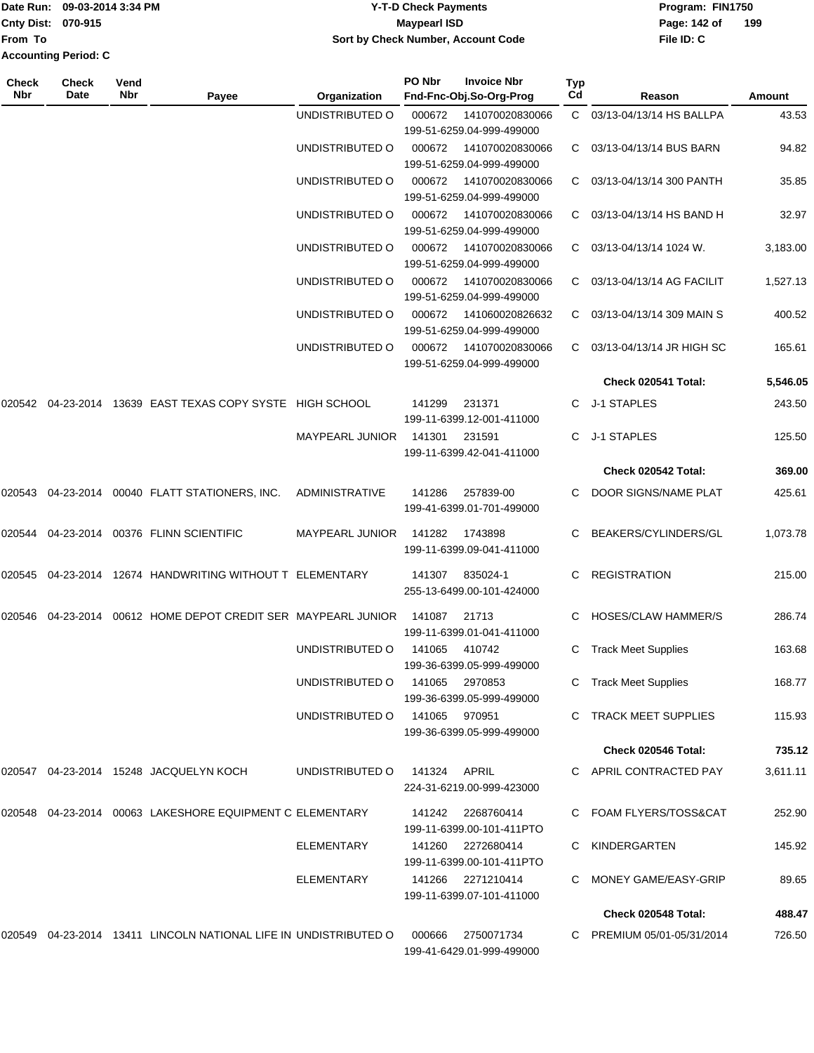| Date Run: 09-03-2014 3:34 PM |       |      | <b>Y-T-D Check Payments</b>        |  |                    |     | Program: FIN1750 |     |  |  |
|------------------------------|-------|------|------------------------------------|--|--------------------|-----|------------------|-----|--|--|
| <b>Cnty Dist: 070-915</b>    |       |      | Maypearl ISD                       |  |                    |     |                  | 199 |  |  |
| lFrom To                     |       |      | Sort by Check Number, Account Code |  |                    |     | File ID: C       |     |  |  |
| <b>Accounting Period: C</b>  |       |      |                                    |  |                    |     |                  |     |  |  |
| <b>Check</b>                 | Check | Vend | PO Nbr                             |  | <b>Invoice Nbr</b> | Typ |                  |     |  |  |

| Check<br>Nbr | <b>Check</b><br>Date | Vend<br><b>Nbr</b> | Payee                                                                  | Organization           | PO Nbr        | <b>Invoice Nbr</b><br>Fnd-Fnc-Obj.So-Org-Prog  | Typ<br>Cd | Reason                     | Amount   |
|--------------|----------------------|--------------------|------------------------------------------------------------------------|------------------------|---------------|------------------------------------------------|-----------|----------------------------|----------|
|              |                      |                    |                                                                        |                        |               |                                                |           |                            |          |
|              |                      |                    |                                                                        | UNDISTRIBUTED O        | 000672        | 141070020830066<br>199-51-6259.04-999-499000   |           | C 03/13-04/13/14 HS BALLPA | 43.53    |
|              |                      |                    |                                                                        | UNDISTRIBUTED O        | 000672        | 141070020830066<br>199-51-6259.04-999-499000   |           | C 03/13-04/13/14 BUS BARN  | 94.82    |
|              |                      |                    |                                                                        | UNDISTRIBUTED O        | 000672        | 141070020830066<br>199-51-6259.04-999-499000   | C         | 03/13-04/13/14 300 PANTH   | 35.85    |
|              |                      |                    |                                                                        | UNDISTRIBUTED O        | 000672        | 141070020830066<br>199-51-6259.04-999-499000   | C         | 03/13-04/13/14 HS BAND H   | 32.97    |
|              |                      |                    |                                                                        | UNDISTRIBUTED O        | 000672        | 141070020830066<br>199-51-6259.04-999-499000   | C         | 03/13-04/13/14 1024 W.     | 3,183.00 |
|              |                      |                    |                                                                        | UNDISTRIBUTED O        | 000672        | 141070020830066<br>199-51-6259.04-999-499000   | C         | 03/13-04/13/14 AG FACILIT  | 1,527.13 |
|              |                      |                    |                                                                        | UNDISTRIBUTED O        | 000672        | 141060020826632<br>199-51-6259.04-999-499000   | C         | 03/13-04/13/14 309 MAIN S  | 400.52   |
|              |                      |                    |                                                                        | UNDISTRIBUTED O        | 000672        | 141070020830066<br>199-51-6259.04-999-499000   | C.        | 03/13-04/13/14 JR HIGH SC  | 165.61   |
|              |                      |                    |                                                                        |                        |               |                                                |           | Check 020541 Total:        | 5,546.05 |
| 020542       |                      |                    | 04-23-2014 13639 EAST TEXAS COPY SYSTE HIGH SCHOOL                     |                        | 141299        | 231371<br>199-11-6399.12-001-411000            | C.        | J-1 STAPLES                | 243.50   |
|              |                      |                    |                                                                        | <b>MAYPEARL JUNIOR</b> | 141301        | 231591<br>199-11-6399.42-041-411000            | C         | J-1 STAPLES                | 125.50   |
|              |                      |                    |                                                                        |                        |               |                                                |           | Check 020542 Total:        | 369.00   |
|              |                      |                    | 020543  04-23-2014  00040  FLATT STATIONERS, INC.                      | <b>ADMINISTRATIVE</b>  | 141286        | 257839-00<br>199-41-6399.01-701-499000         |           | DOOR SIGNS/NAME PLAT       | 425.61   |
|              |                      |                    | 020544  04-23-2014  00376  FLINN SCIENTIFIC                            | <b>MAYPEARL JUNIOR</b> | 141282        | 1743898<br>199-11-6399.09-041-411000           | C         | BEAKERS/CYLINDERS/GL       | 1,073.78 |
|              |                      |                    | 020545  04-23-2014  12674  HANDWRITING WITHOUT T ELEMENTARY            |                        | 141307        | 835024-1<br>255-13-6499.00-101-424000          | C         | <b>REGISTRATION</b>        | 215.00   |
|              |                      |                    |                                                                        |                        | 141087        | 21713<br>199-11-6399.01-041-411000             |           | HOSES/CLAW HAMMER/S        | 286.74   |
|              |                      |                    |                                                                        | UNDISTRIBUTED O        | 141065        | 410742<br>199-36-6399.05-999-499000            | C         | <b>Track Meet Supplies</b> | 163.68   |
|              |                      |                    |                                                                        | UNDISTRIBUTED O        | 141065        | 2970853<br>199-36-6399.05-999-499000           |           | C Track Meet Supplies      | 168.77   |
|              |                      |                    |                                                                        | UNDISTRIBUTED O        | 141065 970951 | 199-36-6399.05-999-499000                      |           | <b>TRACK MEET SUPPLIES</b> | 115.93   |
|              |                      |                    |                                                                        |                        |               |                                                |           | Check 020546 Total:        | 735.12   |
|              |                      |                    | 020547  04-23-2014  15248  JACQUELYN KOCH                              | UNDISTRIBUTED O        | 141324 APRIL  | 224-31-6219.00-999-423000                      |           | C APRIL CONTRACTED PAY     | 3,611.11 |
|              |                      |                    | 020548  04-23-2014  00063  LAKESHORE EQUIPMENT C ELEMENTARY            |                        |               | 141242 2268760414<br>199-11-6399.00-101-411PTO |           | FOAM FLYERS/TOSS&CAT       | 252.90   |
|              |                      |                    |                                                                        | <b>ELEMENTARY</b>      |               | 141260 2272680414<br>199-11-6399.00-101-411PTO |           | KINDERGARTEN               | 145.92   |
|              |                      |                    |                                                                        | ELEMENTARY             |               | 141266 2271210414<br>199-11-6399.07-101-411000 |           | MONEY GAME/EASY-GRIP       | 89.65    |
|              |                      |                    |                                                                        |                        |               |                                                |           | Check 020548 Total:        | 488.47   |
|              |                      |                    | 020549   04-23-2014   13411   LINCOLN NATIONAL LIFE IN UNDISTRIBUTED O |                        | 000666        | 2750071734<br>199-41-6429.01-999-499000        |           | C PREMIUM 05/01-05/31/2014 | 726.50   |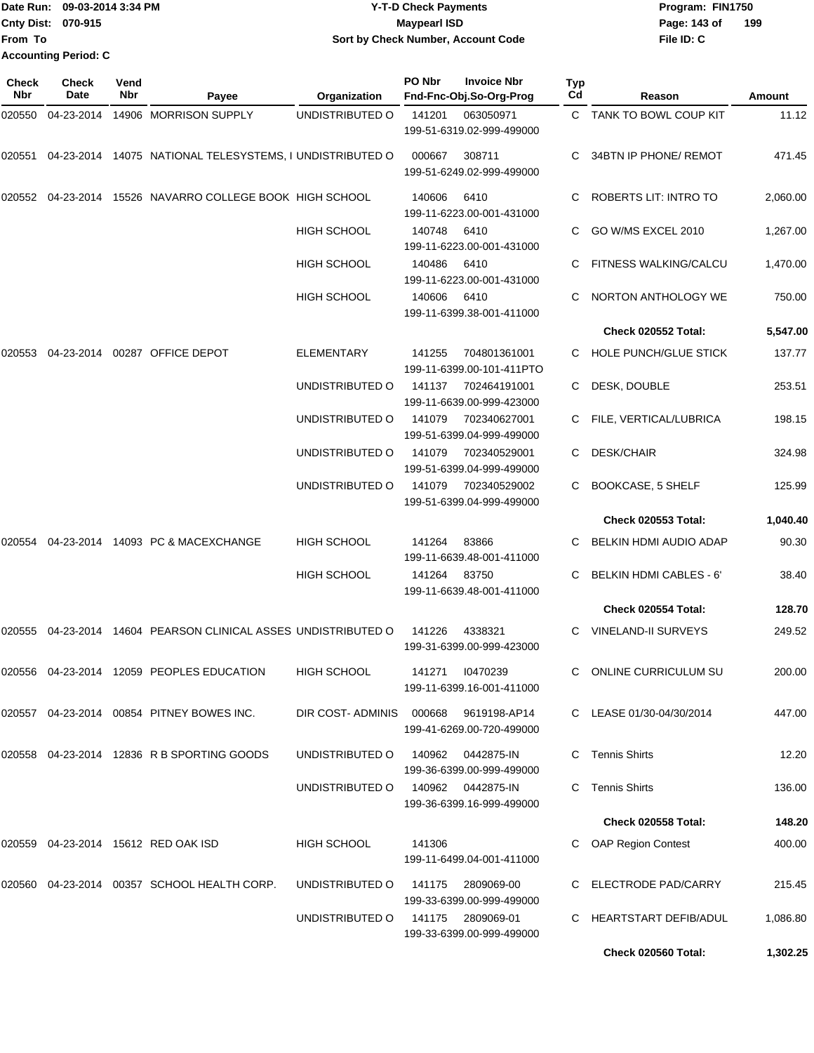Date Run: 09-03-2014 3:34 PM **Program:** FIN1750 **Cnty Dist:** 070-915 **Page:** 143 of **File ID: C From To Y-T-D Check Payments 070-915 Maypearl ISD Sort by Check Number, Account Code 199 Accounting Period: C**

| Check<br><b>Nbr</b> | <b>Check</b><br>Date | Vend<br>Nbr | Payee                                                                | Organization                         | PO Nbr | <b>Invoice Nbr</b><br>Fnd-Fnc-Obj.So-Org-Prog  | <b>Typ</b><br>Cd | Reason                       | <b>Amount</b> |
|---------------------|----------------------|-------------|----------------------------------------------------------------------|--------------------------------------|--------|------------------------------------------------|------------------|------------------------------|---------------|
| 020550              | 04-23-2014           |             | 14906 MORRISON SUPPLY                                                | UNDISTRIBUTED O                      | 141201 | 063050971<br>199-51-6319.02-999-499000         |                  | C TANK TO BOWL COUP KIT      | 11.12         |
| 020551              |                      |             | 04-23-2014 14075 NATIONAL TELESYSTEMS, I UNDISTRIBUTED O             |                                      | 000667 | 308711<br>199-51-6249.02-999-499000            | C.               | 34BTN IP PHONE/ REMOT        | 471.45        |
| 020552              | 04-23-2014           |             | 15526 NAVARRO COLLEGE BOOK HIGH SCHOOL                               |                                      | 140606 | 6410<br>199-11-6223.00-001-431000              |                  | ROBERTS LIT: INTRO TO        | 2,060.00      |
|                     |                      |             |                                                                      | <b>HIGH SCHOOL</b>                   | 140748 | 6410<br>199-11-6223.00-001-431000              |                  | GO W/MS EXCEL 2010           | 1,267.00      |
|                     |                      |             |                                                                      | <b>HIGH SCHOOL</b>                   | 140486 | 6410<br>199-11-6223.00-001-431000              |                  | <b>FITNESS WALKING/CALCU</b> | 1,470.00      |
|                     |                      |             |                                                                      | <b>HIGH SCHOOL</b>                   | 140606 | 6410<br>199-11-6399.38-001-411000              | C                | NORTON ANTHOLOGY WE          | 750.00        |
|                     |                      |             |                                                                      |                                      |        |                                                |                  | Check 020552 Total:          | 5,547.00      |
| 020553              | 04-23-2014           |             | 00287 OFFICE DEPOT                                                   | <b>ELEMENTARY</b>                    | 141255 | 704801361001<br>199-11-6399.00-101-411PTO      | C                | <b>HOLE PUNCH/GLUE STICK</b> | 137.77        |
|                     |                      |             |                                                                      | UNDISTRIBUTED O                      | 141137 | 702464191001<br>199-11-6639.00-999-423000      | C                | DESK, DOUBLE                 | 253.51        |
|                     |                      |             |                                                                      | UNDISTRIBUTED O                      | 141079 | 702340627001<br>199-51-6399.04-999-499000      |                  | FILE, VERTICAL/LUBRICA       | 198.15        |
|                     |                      |             |                                                                      | UNDISTRIBUTED O                      | 141079 | 702340529001<br>199-51-6399.04-999-499000      | C                | <b>DESK/CHAIR</b>            | 324.98        |
|                     |                      |             |                                                                      | UNDISTRIBUTED O                      | 141079 | 702340529002<br>199-51-6399.04-999-499000      | C.               | <b>BOOKCASE, 5 SHELF</b>     | 125.99        |
|                     |                      |             |                                                                      |                                      |        |                                                |                  | <b>Check 020553 Total:</b>   | 1,040.40      |
| 020554              |                      |             | 04-23-2014 14093 PC & MACEXCHANGE                                    | HIGH SCHOOL                          | 141264 | 83866<br>199-11-6639.48-001-411000             | C.               | BELKIN HDMI AUDIO ADAP       | 90.30         |
|                     |                      |             |                                                                      | <b>HIGH SCHOOL</b>                   | 141264 | 83750<br>199-11-6639.48-001-411000             | C.               | BELKIN HDMI CABLES - 6'      | 38.40         |
|                     |                      |             |                                                                      |                                      |        |                                                |                  | Check 020554 Total:          | 128.70        |
|                     |                      |             | 020555   04-23-2014   14604   PEARSON CLINICAL ASSES UNDISTRIBUTED O |                                      | 141226 | 4338321<br>199-31-6399.00-999-423000           | C                | <b>VINELAND-II SURVEYS</b>   | 249.52        |
|                     |                      |             | 020556  04-23-2014  12059  PEOPLES EDUCATION                         | <b>HIGH SCHOOL</b>                   | 141271 | 10470239<br>199-11-6399.16-001-411000          |                  | ONLINE CURRICULUM SU         | 200.00        |
|                     |                      |             | 020557 04-23-2014 00854 PITNEY BOWES INC.                            | DIR COST-ADMINIS 000668 9619198-AP14 |        | 199-41-6269.00-720-499000                      |                  | C LEASE 01/30-04/30/2014     | 447.00        |
|                     |                      |             | 020558 04-23-2014 12836 R B SPORTING GOODS                           | UNDISTRIBUTED O                      | 140962 | 0442875-IN<br>199-36-6399.00-999-499000        |                  | C Tennis Shirts              | 12.20         |
|                     |                      |             |                                                                      | UNDISTRIBUTED O                      |        | 140962 0442875-IN<br>199-36-6399.16-999-499000 |                  | C Tennis Shirts              | 136.00        |
|                     |                      |             |                                                                      |                                      |        |                                                |                  | <b>Check 020558 Total:</b>   | 148.20        |
|                     |                      |             | 020559  04-23-2014  15612  RED OAK ISD                               | HIGH SCHOOL                          | 141306 | 199-11-6499.04-001-411000                      |                  | <b>OAP Region Contest</b>    | 400.00        |
|                     |                      |             | 020560 04-23-2014 00357 SCHOOL HEALTH CORP.                          | UNDISTRIBUTED O                      | 141175 | 2809069-00<br>199-33-6399.00-999-499000        |                  | C ELECTRODE PAD/CARRY        | 215.45        |
|                     |                      |             |                                                                      | UNDISTRIBUTED O                      | 141175 | 2809069-01<br>199-33-6399.00-999-499000        |                  | C HEARTSTART DEFIB/ADUL      | 1,086.80      |
|                     |                      |             |                                                                      |                                      |        |                                                |                  | Check 020560 Total:          | 1,302.25      |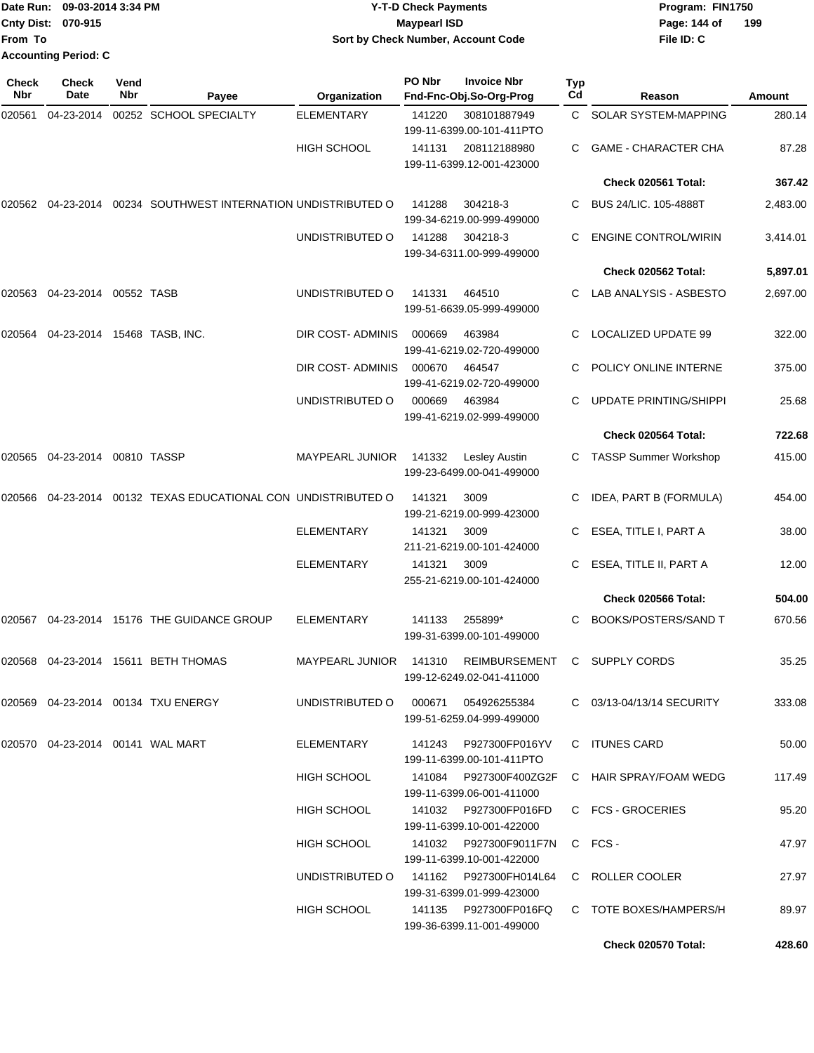|                           | Date Run: 09-03-2014 3:34 PM | <b>Y-T-D Check Payments</b>        | Program: FIN1750    |
|---------------------------|------------------------------|------------------------------------|---------------------|
| <b>Cnty Dist: 070-915</b> |                              | Maypearl ISD                       | 199<br>Page: 144 of |
| <b>From To</b>            |                              | Sort by Check Number, Account Code | File ID: C          |
|                           | <b>Accounting Period: C</b>  |                                    |                     |

| Check<br>Nbr | <b>Check</b><br>Date                                      | Vend<br>Nbr | Payee                                                            | Organization           | PO Nbr                            | <b>Invoice Nbr</b><br>Fnd-Fnc-Obj.So-Org-Prog       | Typ<br>Cd             | Reason                        | Amount   |
|--------------|-----------------------------------------------------------|-------------|------------------------------------------------------------------|------------------------|-----------------------------------|-----------------------------------------------------|-----------------------|-------------------------------|----------|
| 020561       | 04-23-2014                                                |             | 00252 SCHOOL SPECIALTY                                           | <b>ELEMENTARY</b>      | 141220                            | 308101887949<br>199-11-6399.00-101-411PTO           | C.                    | SOLAR SYSTEM-MAPPING          | 280.14   |
|              |                                                           |             |                                                                  | <b>HIGH SCHOOL</b>     | 141131                            | 208112188980<br>199-11-6399.12-001-423000           | C.                    | <b>GAME - CHARACTER CHA</b>   | 87.28    |
|              |                                                           |             |                                                                  |                        |                                   |                                                     |                       | Check 020561 Total:           | 367.42   |
|              |                                                           |             | 020562  04-23-2014  00234  SOUTHWEST INTERNATION UNDISTRIBUTED O |                        | 141288                            | 304218-3<br>199-34-6219.00-999-499000               | C.                    | BUS 24/LIC. 105-4888T         | 2,483.00 |
|              |                                                           |             |                                                                  | UNDISTRIBUTED O        | 141288                            | 304218-3<br>199-34-6311.00-999-499000               | C.                    | <b>ENGINE CONTROL/WIRIN</b>   | 3,414.01 |
|              |                                                           |             |                                                                  |                        |                                   |                                                     |                       | Check 020562 Total:           | 5,897.01 |
| 020563       | 04-23-2014                                                | 00552 TASB  |                                                                  | UNDISTRIBUTED O        | 141331                            | 464510<br>199-51-6639.05-999-499000                 |                       | C LAB ANALYSIS - ASBESTO      | 2,697.00 |
| 020564       | 04-23-2014 15468 TASB, INC.                               |             |                                                                  | DIR COST-ADMINIS       | 000669                            | 463984<br>199-41-6219.02-720-499000                 | C.                    | LOCALIZED UPDATE 99           | 322.00   |
|              |                                                           |             |                                                                  | DIR COST- ADMINIS      | 000670                            | 464547<br>199-41-6219.02-720-499000                 | C.                    | POLICY ONLINE INTERNE         | 375.00   |
|              |                                                           |             |                                                                  | UNDISTRIBUTED O        | 000669                            | 463984<br>199-41-6219.02-999-499000                 |                       | <b>UPDATE PRINTING/SHIPPI</b> | 25.68    |
|              |                                                           |             |                                                                  |                        |                                   |                                                     |                       | Check 020564 Total:           | 722.68   |
| 020565       | 04-23-2014 00810 TASSP                                    |             |                                                                  | <b>MAYPEARL JUNIOR</b> | 141332                            | Lesley Austin<br>199-23-6499.00-041-499000          |                       | C TASSP Summer Workshop       | 415.00   |
| 020566       | 00132 TEXAS EDUCATIONAL CON UNDISTRIBUTED O<br>04-23-2014 |             |                                                                  |                        | 141321                            | 3009<br>199-21-6219.00-999-423000                   | С                     | IDEA, PART B (FORMULA)        | 454.00   |
|              |                                                           |             | <b>ELEMENTARY</b>                                                | 141321                 | 3009<br>211-21-6219.00-101-424000 | С                                                   | ESEA, TITLE I, PART A | 38.00                         |          |
|              |                                                           |             |                                                                  | <b>ELEMENTARY</b>      | 141321                            | 3009<br>255-21-6219.00-101-424000                   | С                     | ESEA, TITLE II, PART A        | 12.00    |
|              |                                                           |             |                                                                  |                        |                                   |                                                     |                       | Check 020566 Total:           | 504.00   |
| 020567       |                                                           |             | 04-23-2014 15176 THE GUIDANCE GROUP                              | <b>ELEMENTARY</b>      | 141133                            | 255899*<br>199-31-6399.00-101-499000                | C.                    | <b>BOOKS/POSTERS/SAND T</b>   | 670.56   |
| 020568       |                                                           |             | 04-23-2014 15611 BETH THOMAS                                     | <b>MAYPEARL JUNIOR</b> | 141310                            | <b>REIMBURSEMENT</b><br>199-12-6249.02-041-411000   | C                     | <b>SUPPLY CORDS</b>           | 35.25    |
|              |                                                           |             | 020569   04-23-2014   00134   TXU   ENERGY                       | UNDISTRIBUTED O        | 000671                            | 054926255384<br>199-51-6259.04-999-499000           |                       | C 03/13-04/13/14 SECURITY     | 333.08   |
|              | 020570  04-23-2014  00141  WAL MART                       |             |                                                                  | ELEMENTARY             | 141243                            | P927300FP016YV<br>199-11-6399.00-101-411PTO         |                       | C ITUNES CARD                 | 50.00    |
|              |                                                           |             |                                                                  | <b>HIGH SCHOOL</b>     |                                   | 141084 P927300F400ZG2F<br>199-11-6399.06-001-411000 |                       | C HAIR SPRAY/FOAM WEDG        | 117.49   |
|              |                                                           |             |                                                                  | HIGH SCHOOL            |                                   | 199-11-6399.10-001-422000                           |                       | C FCS - GROCERIES             | 95.20    |
|              |                                                           |             |                                                                  | HIGH SCHOOL            |                                   | 141032 P927300F9011F7N<br>199-11-6399.10-001-422000 |                       | C FCS-                        | 47.97    |
|              |                                                           |             |                                                                  | UNDISTRIBUTED O        |                                   | 199-31-6399.01-999-423000                           |                       | C ROLLER COOLER               | 27.97    |
|              |                                                           |             |                                                                  | <b>HIGH SCHOOL</b>     |                                   | 141135 P927300FP016FQ<br>199-36-6399.11-001-499000  |                       | C TOTE BOXES/HAMPERS/H        | 89.97    |
|              |                                                           |             |                                                                  |                        |                                   |                                                     |                       | Check 020570 Total:           | 428.60   |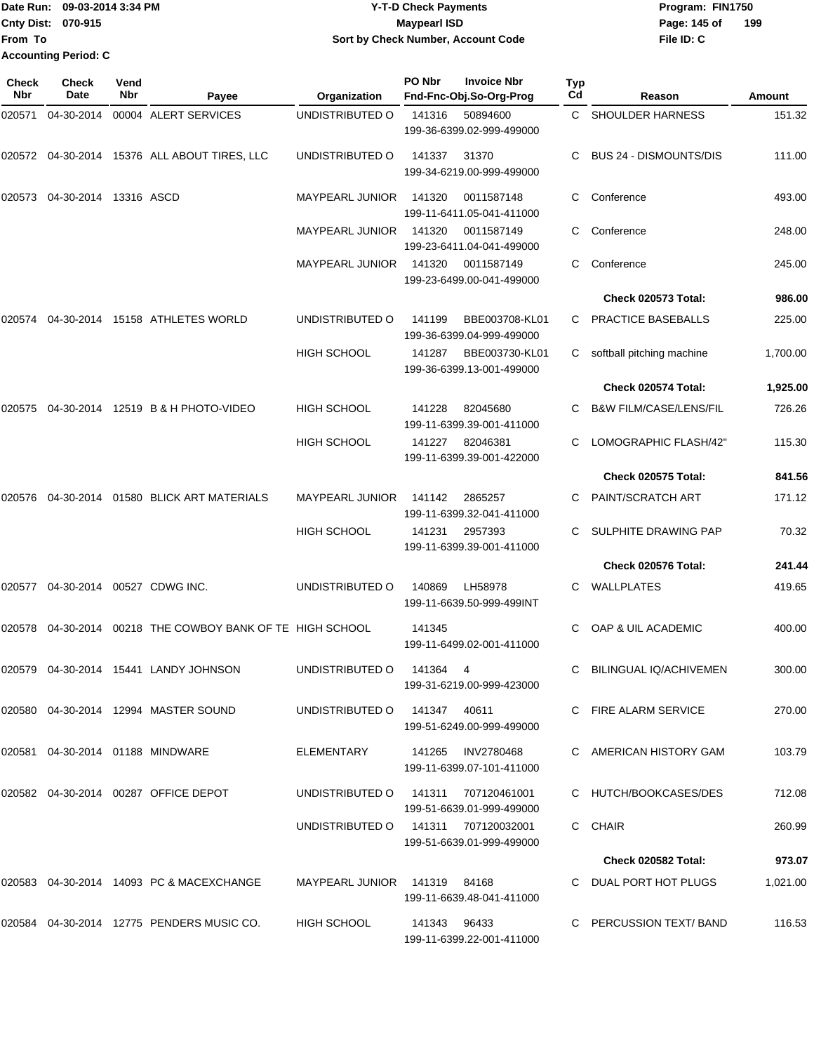|                             | <b>■Date Run: 09-03-2014 3:34 PM</b> | <b>Y-T-D Check Payments</b>        | Program: FIN1750    |
|-----------------------------|--------------------------------------|------------------------------------|---------------------|
| <b>Cnty Dist: 070-915</b>   |                                      | <b>Mavpearl ISD</b>                | 199<br>Page: 145 of |
| lFrom To                    |                                      | Sort by Check Number, Account Code | File ID: C          |
| <b>Accounting Period: C</b> |                                      |                                    |                     |

| Check<br>Nbr | <b>Check</b><br>Date  | Vend<br>Nbr | Payee                                              | Organization                        | PO Nbr       | <b>Invoice Nbr</b><br>Fnd-Fnc-Obj.So-Org-Prog    | Typ<br>Cd | Reason                            | <b>Amount</b> |
|--------------|-----------------------|-------------|----------------------------------------------------|-------------------------------------|--------------|--------------------------------------------------|-----------|-----------------------------------|---------------|
| 020571       | 04-30-2014            |             | 00004 ALERT SERVICES                               | UNDISTRIBUTED O                     | 141316       | 50894600<br>199-36-6399.02-999-499000            | C.        | <b>SHOULDER HARNESS</b>           | 151.32        |
|              |                       |             | 020572 04-30-2014 15376 ALL ABOUT TIRES, LLC       | UNDISTRIBUTED O                     | 141337       | 31370<br>199-34-6219.00-999-499000               |           | <b>BUS 24 - DISMOUNTS/DIS</b>     | 111.00        |
| 020573       | 04-30-2014 13316 ASCD |             |                                                    | MAYPEARL JUNIOR                     | 141320       | 0011587148<br>199-11-6411.05-041-411000          |           | Conference                        | 493.00        |
|              |                       |             |                                                    | <b>MAYPEARL JUNIOR</b>              | 141320       | 0011587149<br>199-23-6411.04-041-499000          | C.        | Conference                        | 248.00        |
|              |                       |             |                                                    | <b>MAYPEARL JUNIOR</b>              | 141320       | 0011587149<br>199-23-6499.00-041-499000          | С         | Conference                        | 245.00        |
|              |                       |             |                                                    |                                     |              |                                                  |           | Check 020573 Total:               | 986.00        |
| 020574       |                       |             | 04-30-2014 15158 ATHLETES WORLD                    | UNDISTRIBUTED O                     | 141199       | BBE003708-KL01<br>199-36-6399.04-999-499000      | C         | PRACTICE BASEBALLS                | 225.00        |
|              |                       |             |                                                    | HIGH SCHOOL                         | 141287       | BBE003730-KL01<br>199-36-6399.13-001-499000      | C         | softball pitching machine         | 1,700.00      |
|              |                       |             |                                                    |                                     |              |                                                  |           | Check 020574 Total:               | 1,925.00      |
| 020575       |                       |             | 04-30-2014 12519 B & H PHOTO-VIDEO                 | <b>HIGH SCHOOL</b>                  | 141228       | 82045680<br>199-11-6399.39-001-411000            |           | <b>B&amp;W FILM/CASE/LENS/FIL</b> | 726.26        |
|              |                       |             |                                                    | <b>HIGH SCHOOL</b>                  | 141227       | 82046381<br>199-11-6399.39-001-422000            | C.        | LOMOGRAPHIC FLASH/42"             | 115.30        |
|              |                       |             |                                                    |                                     |              |                                                  |           | <b>Check 020575 Total:</b>        | 841.56        |
| 020576       |                       |             | 04-30-2014   01580   BLICK ART MATERIALS           | <b>MAYPEARL JUNIOR</b>              | 141142       | 2865257<br>199-11-6399.32-041-411000             | C.        | <b>PAINT/SCRATCH ART</b>          | 171.12        |
|              |                       |             |                                                    | <b>HIGH SCHOOL</b>                  | 141231       | 2957393<br>199-11-6399.39-001-411000             |           | SULPHITE DRAWING PAP              | 70.32         |
|              |                       |             |                                                    |                                     |              |                                                  |           | Check 020576 Total:               | 241.44        |
| 020577       |                       |             | 04-30-2014 00527 CDWG INC.                         | UNDISTRIBUTED O                     | 140869       | LH58978<br>199-11-6639.50-999-499INT             | C         | WALLPLATES                        | 419.65        |
| 020578       |                       |             | 04-30-2014 00218 THE COWBOY BANK OF TE HIGH SCHOOL |                                     | 141345       | 199-11-6499.02-001-411000                        |           | OAP & UIL ACADEMIC                | 400.00        |
| 020579       |                       |             | 04-30-2014 15441 LANDY JOHNSON                     | UNDISTRIBUTED O                     | 141364       | 4<br>199-31-6219.00-999-423000                   | С         | <b>BILINGUAL IQ/ACHIVEMEN</b>     | 300.00        |
|              |                       |             | 020580  04-30-2014  12994  MASTER SOUND            | UNDISTRIBUTED O                     | 141347       | 40611<br>199-51-6249.00-999-499000               |           | C FIRE ALARM SERVICE              | 270.00        |
|              |                       |             | 020581  04-30-2014  01188  MINDWARE                | ELEMENTARY                          |              | 141265 INV2780468<br>199-11-6399.07-101-411000   |           | C AMERICAN HISTORY GAM            | 103.79        |
|              |                       |             | 020582  04-30-2014  00287  OFFICE DEPOT            | UNDISTRIBUTED O                     |              | 141311 707120461001<br>199-51-6639.01-999-499000 |           | C HUTCH/BOOKCASES/DES             | 712.08        |
|              |                       |             |                                                    | UNDISTRIBUTED O 141311 707120032001 |              | 199-51-6639.01-999-499000                        |           | C CHAIR                           | 260.99        |
|              |                       |             |                                                    |                                     |              |                                                  |           | Check 020582 Total:               | 973.07        |
|              |                       |             | 020583 04-30-2014 14093 PC & MACEXCHANGE           | MAYPEARL JUNIOR 141319 84168        |              | 199-11-6639.48-041-411000                        |           | C DUAL PORT HOT PLUGS             | 1,021.00      |
|              |                       |             | 020584 04-30-2014 12775 PENDERS MUSIC CO.          | HIGH SCHOOL                         | 141343 96433 | 199-11-6399.22-001-411000                        |           | C PERCUSSION TEXT/BAND            | 116.53        |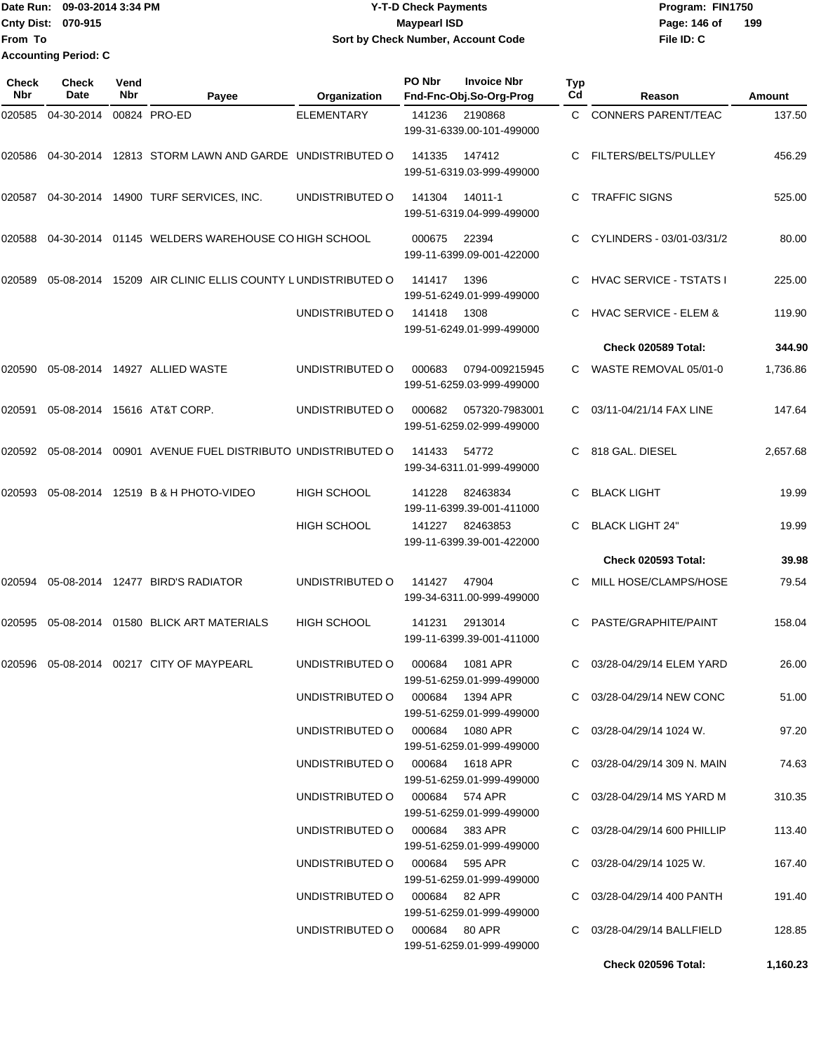**From To Accounting Period: C**

## Date Run: 09-03-2014 3:34 PM **Program:** FIN1750 **Cnty Dist:** 070-915 **Page: 146 of MaypearI ISD Page: 146 of Y-T-D Check Payments 070-915 Maypearl ISD Sort by Check Number, Account Code**

| <b>Check</b><br><b>Nbr</b> | Check<br>Date | Vend<br><b>Nbr</b> | Payee                                                     | Organization                    | PO Nbr | <b>Invoice Nbr</b><br>Fnd-Fnc-Obj.So-Org-Prog | <b>Typ</b><br>Cd | Reason                             | <b>Amount</b> |
|----------------------------|---------------|--------------------|-----------------------------------------------------------|---------------------------------|--------|-----------------------------------------------|------------------|------------------------------------|---------------|
| 020585                     | 04-30-2014    |                    | 00824 PRO-ED                                              | <b>ELEMENTARY</b>               | 141236 | 2190868<br>199-31-6339.00-101-499000          | C.               | <b>CONNERS PARENT/TEAC</b>         | 137.50        |
| 020586                     |               |                    | 04-30-2014 12813 STORM LAWN AND GARDE UNDISTRIBUTED O     |                                 | 141335 | 147412<br>199-51-6319.03-999-499000           | C.               | FILTERS/BELTS/PULLEY               | 456.29        |
| 020587                     |               |                    | 04-30-2014  14900 TURF SERVICES, INC.                     | UNDISTRIBUTED O                 | 141304 | 14011-1<br>199-51-6319.04-999-499000          | C                | <b>TRAFFIC SIGNS</b>               | 525.00        |
| 020588                     |               |                    | 04-30-2014 01145 WELDERS WAREHOUSE CO HIGH SCHOOL         |                                 | 000675 | 22394<br>199-11-6399.09-001-422000            |                  | CYLINDERS - 03/01-03/31/2          | 80.00         |
| 020589                     |               |                    | 05-08-2014 15209 AIR CLINIC ELLIS COUNTY LUNDISTRIBUTED O |                                 | 141417 | 1396<br>199-51-6249.01-999-499000             | C.               | <b>HVAC SERVICE - TSTATS I</b>     | 225.00        |
|                            |               |                    |                                                           | UNDISTRIBUTED O                 | 141418 | 1308<br>199-51-6249.01-999-499000             | C                | <b>HVAC SERVICE - ELEM &amp;</b>   | 119.90        |
|                            |               |                    |                                                           |                                 |        |                                               |                  | Check 020589 Total:                | 344.90        |
| 020590                     |               |                    | 05-08-2014  14927  ALLIED WASTE                           | UNDISTRIBUTED O                 | 000683 | 0794-009215945<br>199-51-6259.03-999-499000   |                  | C WASTE REMOVAL 05/01-0            | 1,736.86      |
| 020591                     |               |                    | 05-08-2014 15616 AT&T CORP.                               | UNDISTRIBUTED O                 | 000682 | 057320-7983001<br>199-51-6259.02-999-499000   |                  | 03/11-04/21/14 FAX LINE            | 147.64        |
| 020592                     |               |                    | 05-08-2014 00901 AVENUE FUEL DISTRIBUTO UNDISTRIBUTED O   |                                 | 141433 | 54772<br>199-34-6311.01-999-499000            | C.               | 818 GAL, DIESEL                    | 2,657.68      |
| 020593                     |               |                    | 05-08-2014 12519 B & H PHOTO-VIDEO                        | <b>HIGH SCHOOL</b>              | 141228 | 82463834<br>199-11-6399.39-001-411000         | C                | <b>BLACK LIGHT</b>                 | 19.99         |
|                            |               |                    |                                                           | <b>HIGH SCHOOL</b>              | 141227 | 82463853<br>199-11-6399.39-001-422000         |                  | <b>BLACK LIGHT 24"</b>             | 19.99         |
|                            |               |                    |                                                           |                                 |        |                                               |                  | <b>Check 020593 Total:</b>         | 39.98         |
| 020594                     |               |                    | 05-08-2014 12477 BIRD'S RADIATOR                          | UNDISTRIBUTED O                 | 141427 | 47904<br>199-34-6311.00-999-499000            |                  | MILL HOSE/CLAMPS/HOSE              | 79.54         |
| 020595                     |               |                    | 05-08-2014 01580 BLICK ART MATERIALS                      | <b>HIGH SCHOOL</b>              | 141231 | 2913014<br>199-11-6399.39-001-411000          | C                | PASTE/GRAPHITE/PAINT               | 158.04        |
| 020596                     |               |                    | 05-08-2014    00217    CITY OF MAYPEARL                   | UNDISTRIBUTED O                 | 000684 | 1081 APR<br>199-51-6259.01-999-499000         | С                | 03/28-04/29/14 ELEM YARD           | 26.00         |
|                            |               |                    |                                                           | UNDISTRIBUTED O 000684 1394 APR |        | 199-51-6259.01-999-499000                     |                  | C 03/28-04/29/14 NEW CONC          | 51.00         |
|                            |               |                    |                                                           | UNDISTRIBUTED O 000684 1080 APR |        | 199-51-6259.01-999-499000                     |                  | $C = 03/28 - 04/29/14$ 1024 W.     | 97.20         |
|                            |               |                    |                                                           | UNDISTRIBUTED O 000684 1618 APR |        | 199-51-6259.01-999-499000                     |                  | $C = 03/28 - 04/29/14$ 309 N. MAIN | 74.63         |
|                            |               |                    |                                                           | UNDISTRIBUTED O 000684 574 APR  |        | 199-51-6259.01-999-499000                     |                  | C 03/28-04/29/14 MS YARD M         | 310.35        |
|                            |               |                    |                                                           | UNDISTRIBUTED O 000684 383 APR  |        | 199-51-6259.01-999-499000                     |                  | C 03/28-04/29/14 600 PHILLIP       | 113.40        |
|                            |               |                    |                                                           | UNDISTRIBUTED O 000684 595 APR  |        | 199-51-6259.01-999-499000                     |                  | $C = 03/28 - 04/29/14$ 1025 W.     | 167.40        |
|                            |               |                    |                                                           | UNDISTRIBUTED O 000684 82 APR   |        | 199-51-6259.01-999-499000                     |                  | C 03/28-04/29/14 400 PANTH         | 191.40        |
|                            |               |                    |                                                           | UNDISTRIBUTED O 000684 80 APR   |        | 199-51-6259.01-999-499000                     |                  | C 03/28-04/29/14 BALLFIELD         | 128.85        |
|                            |               |                    |                                                           |                                 |        |                                               |                  | <b>Check 020596 Total:</b>         | 1,160.23      |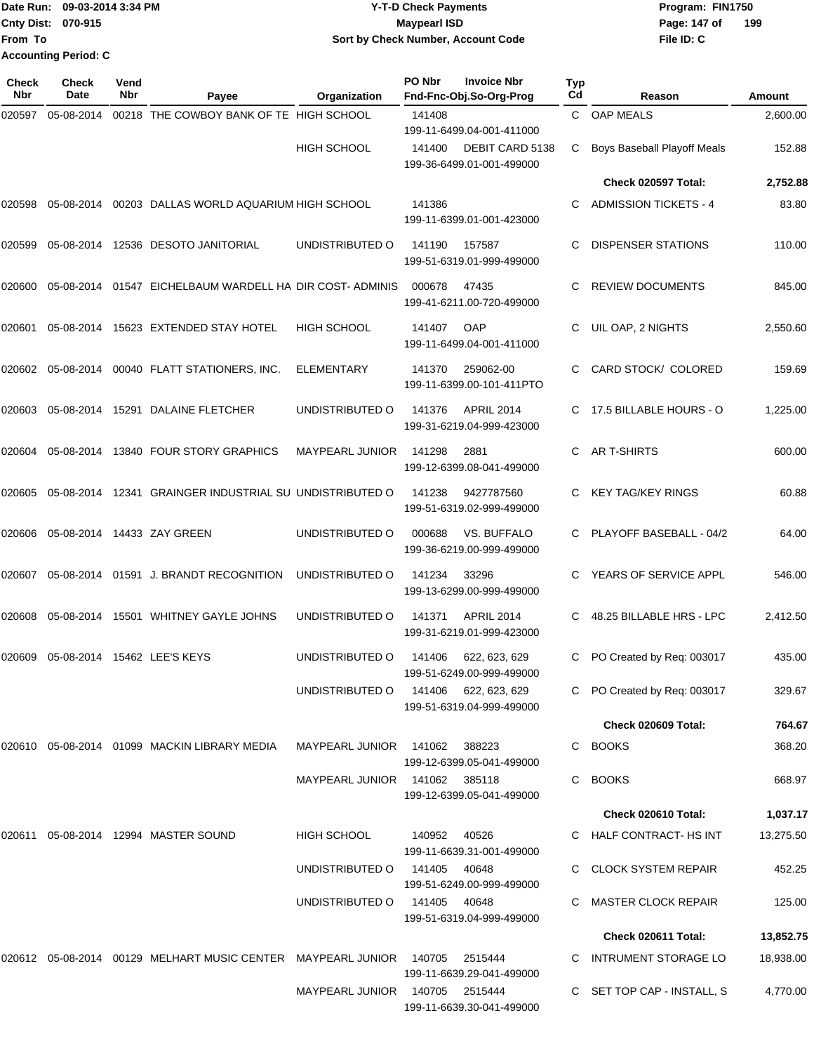Date Run: 09-03-2014 3:34 PM **Program:** FIN1750 **Cnty Dist:** 070-915 **Page:** 147 of **File ID: C From To 09-03-2014 3:34 PM Y-T-D Check Payments 070-915 Maypearl ISD Sort by Check Number, Account Code 199 Accounting Period: C**

| <b>Check</b><br>Nbr | <b>Check</b><br>Date | Vend<br>Nbr | Payee                                                                                 | Organization                   | PO Nbr        | <b>Invoice Nbr</b><br>Fnd-Fnc-Obj.So-Org-Prog                             | Typ<br>Cd | Reason                       | Amount    |
|---------------------|----------------------|-------------|---------------------------------------------------------------------------------------|--------------------------------|---------------|---------------------------------------------------------------------------|-----------|------------------------------|-----------|
| 020597              | 05-08-2014           |             | 00218 THE COWBOY BANK OF TE HIGH SCHOOL                                               |                                | 141408        |                                                                           |           | C OAP MEALS                  | 2,600.00  |
|                     |                      |             |                                                                                       | HIGH SCHOOL                    | 141400        | 199-11-6499.04-001-411000<br>DEBIT CARD 5138<br>199-36-6499.01-001-499000 | С         | Boys Baseball Playoff Meals  | 152.88    |
|                     |                      |             |                                                                                       |                                |               |                                                                           |           | Check 020597 Total:          | 2,752.88  |
| 020598              | 05-08-2014           |             | 00203 DALLAS WORLD AQUARIUM HIGH SCHOOL                                               |                                | 141386        | 199-11-6399.01-001-423000                                                 | C         | <b>ADMISSION TICKETS - 4</b> | 83.80     |
| 020599              |                      |             | 05-08-2014 12536 DESOTO JANITORIAL                                                    | UNDISTRIBUTED O                | 141190        | 157587<br>199-51-6319.01-999-499000                                       | C         | <b>DISPENSER STATIONS</b>    | 110.00    |
| 020600              | 05-08-2014           |             | 01547 EICHELBAUM WARDELL HA DIR COST-ADMINIS                                          |                                | 000678        | 47435<br>199-41-6211.00-720-499000                                        | С         | <b>REVIEW DOCUMENTS</b>      | 845.00    |
| 020601              |                      |             | 05-08-2014 15623 EXTENDED STAY HOTEL                                                  | <b>HIGH SCHOOL</b>             | 141407        | OAP<br>199-11-6499.04-001-411000                                          | C         | UIL OAP, 2 NIGHTS            | 2,550.60  |
| 020602              | 05-08-2014           |             | 00040 FLATT STATIONERS, INC.                                                          | <b>ELEMENTARY</b>              | 141370        | 259062-00<br>199-11-6399.00-101-411PTO                                    | С         | CARD STOCK/ COLORED          | 159.69    |
| 020603              | 05-08-2014           |             | 15291 DALAINE FLETCHER                                                                | UNDISTRIBUTED O                | 141376        | <b>APRIL 2014</b><br>199-31-6219.04-999-423000                            | C.        | 17.5 BILLABLE HOURS - O      | 1,225.00  |
| 020604              |                      |             | 05-08-2014 13840 FOUR STORY GRAPHICS                                                  | <b>MAYPEARL JUNIOR</b>         | 141298        | 2881<br>199-12-6399.08-041-499000                                         | C.        | AR T-SHIRTS                  | 600.00    |
| 020605              | 05-08-2014           |             | 12341 GRAINGER INDUSTRIAL SU UNDISTRIBUTED O                                          |                                | 141238        | 9427787560<br>199-51-6319.02-999-499000                                   | C         | <b>KEY TAG/KEY RINGS</b>     | 60.88     |
| 020606              |                      |             | 05-08-2014 14433 ZAY GREEN                                                            | UNDISTRIBUTED O                | 000688        | VS. BUFFALO<br>199-36-6219.00-999-499000                                  |           | PLAYOFF BASEBALL - 04/2      | 64.00     |
| 020607              |                      |             | 05-08-2014 01591 J. BRANDT RECOGNITION                                                | UNDISTRIBUTED O                | 141234        | 33296<br>199-13-6299.00-999-499000                                        | C.        | YEARS OF SERVICE APPL        | 546.00    |
| 020608              | 05-08-2014           |             | 15501 WHITNEY GAYLE JOHNS                                                             | UNDISTRIBUTED O                | 141371        | <b>APRIL 2014</b><br>199-31-6219.01-999-423000                            | C         | 48.25 BILLABLE HRS - LPC     | 2,412.50  |
| 020609              |                      |             | 05-08-2014 15462 LEE'S KEYS                                                           | UNDISTRIBUTED O                | 141406        | 622, 623, 629<br>199-51-6249.00-999-499000                                | C         | PO Created by Req: 003017    | 435.00    |
|                     |                      |             |                                                                                       | UNDISTRIBUTED O                |               | 141406 622, 623, 629<br>199-51-6319.04-999-499000                         |           | C PO Created by Req: 003017  | 329.67    |
|                     |                      |             |                                                                                       |                                |               |                                                                           |           | Check 020609 Total:          | 764.67    |
|                     |                      |             | 020610 05-08-2014 01099 MACKIN LIBRARY MEDIA                                          | MAYPEARL JUNIOR                | 141062        | 388223<br>199-12-6399.05-041-499000                                       | C         | <b>BOOKS</b>                 | 368.20    |
|                     |                      |             |                                                                                       | <b>MAYPEARL JUNIOR</b>         | 141062 385118 | 199-12-6399.05-041-499000                                                 | C         | <b>BOOKS</b>                 | 668.97    |
|                     |                      |             |                                                                                       |                                |               |                                                                           |           | Check 020610 Total:          | 1,037.17  |
|                     |                      |             | 020611  05-08-2014  12994  MASTER SOUND                                               | HIGH SCHOOL                    | 140952        | 40526<br>199-11-6639.31-001-499000                                        |           | C HALF CONTRACT- HS INT      | 13,275.50 |
|                     |                      |             |                                                                                       | UNDISTRIBUTED O                | 141405        | 40648<br>199-51-6249.00-999-499000                                        |           | <b>CLOCK SYSTEM REPAIR</b>   | 452.25    |
|                     |                      |             |                                                                                       | UNDISTRIBUTED O                | 141405  40648 | 199-51-6319.04-999-499000                                                 |           | MASTER CLOCK REPAIR          | 125.00    |
|                     |                      |             |                                                                                       |                                |               |                                                                           |           | Check 020611 Total:          | 13,852.75 |
|                     |                      |             | 020612 05-08-2014 00129  MELHART MUSIC CENTER   MAYPEARL JUNIOR    140705     2515444 |                                |               | 199-11-6639.29-041-499000                                                 |           | C INTRUMENT STORAGE LO       | 18,938.00 |
|                     |                      |             |                                                                                       | MAYPEARL JUNIOR 140705 2515444 |               | 199-11-6639.30-041-499000                                                 |           | C SET TOP CAP - INSTALL, S   | 4,770.00  |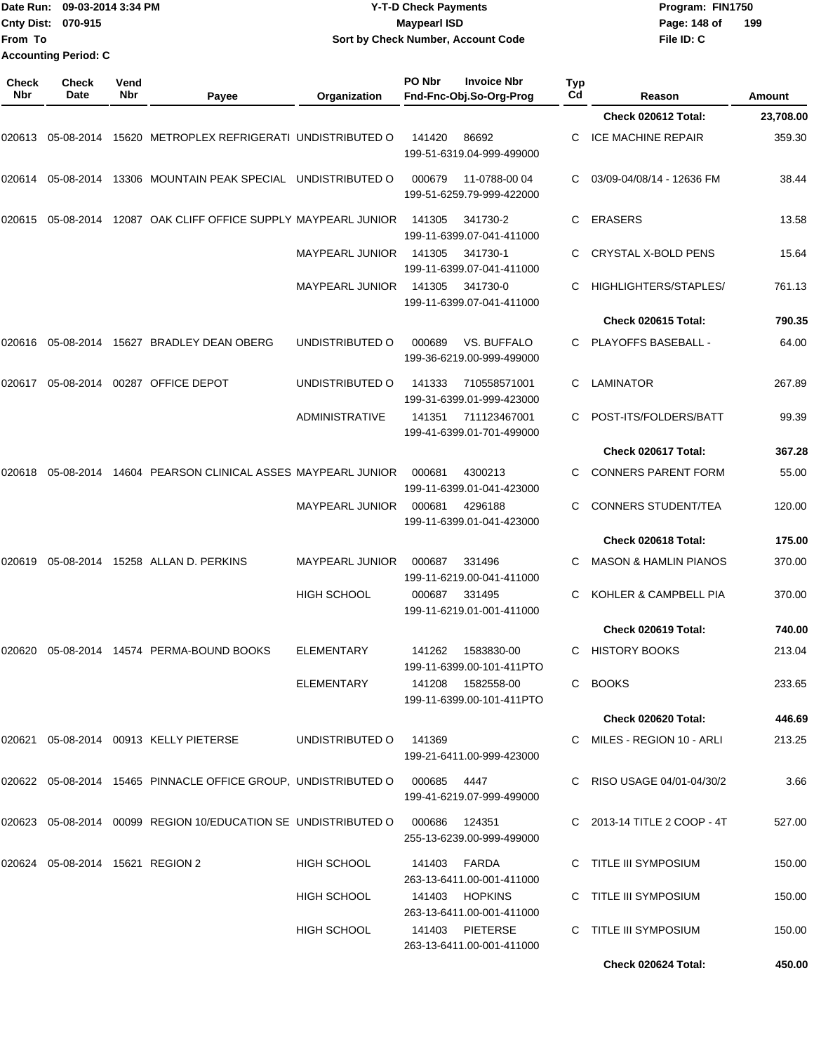|                     | Date Run: 09-03-2014 3:34 PM<br>Cnty Dist: 070-915 |             |                                                                   |                        | <b>Y-T-D Check Payments</b><br><b>Maypearl ISD</b>      |                  | Program: FIN1750<br>Page: 148 of | 199       |
|---------------------|----------------------------------------------------|-------------|-------------------------------------------------------------------|------------------------|---------------------------------------------------------|------------------|----------------------------------|-----------|
| From To             |                                                    |             |                                                                   |                        | Sort by Check Number, Account Code                      |                  | File ID: C                       |           |
|                     | <b>Accounting Period: C</b>                        |             |                                                                   |                        |                                                         |                  |                                  |           |
| <b>Check</b><br>Nbr | <b>Check</b><br>Date                               | Vend<br>Nbr | Payee                                                             | Organization           | PO Nbr<br><b>Invoice Nbr</b><br>Fnd-Fnc-Obj.So-Org-Prog | <b>Typ</b><br>Cd | Reason                           | Amount    |
|                     |                                                    |             |                                                                   |                        |                                                         |                  | Check 020612 Total:              | 23,708.00 |
| 020613              | 05-08-2014                                         |             | 15620 METROPLEX REFRIGERATI UNDISTRIBUTED O                       |                        | 141420<br>86692<br>199-51-6319.04-999-499000            |                  | <b>ICE MACHINE REPAIR</b>        | 359.30    |
| 020614              |                                                    |             | 05-08-2014 13306 MOUNTAIN PEAK SPECIAL UNDISTRIBUTED O            |                        | 000679<br>11-0788-00 04<br>199-51-6259.79-999-422000    |                  | 03/09-04/08/14 - 12636 FM        | 38.44     |
| 020615              |                                                    |             | 05-08-2014 12087 OAK CLIFF OFFICE SUPPLY MAYPEARL JUNIOR          |                        | 141305<br>341730-2<br>199-11-6399.07-041-411000         |                  | <b>ERASERS</b>                   | 13.58     |
|                     |                                                    |             |                                                                   | <b>MAYPEARL JUNIOR</b> | 141305<br>341730-1<br>199-11-6399.07-041-411000         |                  | CRYSTAL X-BOLD PENS              | 15.64     |
|                     |                                                    |             |                                                                   | <b>MAYPEARL JUNIOR</b> | 141305<br>341730-0<br>199-11-6399.07-041-411000         | C                | HIGHLIGHTERS/STAPLES/            | 761.13    |
|                     |                                                    |             |                                                                   |                        |                                                         |                  | Check 020615 Total:              | 790.35    |
| 020616              |                                                    |             | 05-08-2014 15627 BRADLEY DEAN OBERG                               | UNDISTRIBUTED O        | VS. BUFFALO<br>000689<br>199-36-6219.00-999-499000      |                  | PLAYOFFS BASEBALL -              | 64.00     |
| 020617              |                                                    |             | 05-08-2014 00287 OFFICE DEPOT                                     | UNDISTRIBUTED O        | 141333<br>710558571001<br>199-31-6399.01-999-423000     | C                | <b>LAMINATOR</b>                 | 267.89    |
|                     |                                                    |             |                                                                   | <b>ADMINISTRATIVE</b>  | 141351<br>711123467001<br>199-41-6399.01-701-499000     |                  | POST-ITS/FOLDERS/BATT            | 99.39     |
|                     |                                                    |             |                                                                   |                        |                                                         |                  | Check 020617 Total:              | 367.28    |
| 020618              |                                                    |             | 05-08-2014 14604 PEARSON CLINICAL ASSES MAYPEARL JUNIOR           |                        | 000681<br>4300213<br>199-11-6399.01-041-423000          |                  | <b>CONNERS PARENT FORM</b>       | 55.00     |
|                     |                                                    |             |                                                                   | MAYPEARL JUNIOR        | 000681<br>4296188<br>199-11-6399.01-041-423000          | С                | <b>CONNERS STUDENT/TEA</b>       | 120.00    |
|                     |                                                    |             |                                                                   |                        |                                                         |                  | Check 020618 Total:              | 175.00    |
| 020619              |                                                    |             | 05-08-2014 15258 ALLAN D. PERKINS                                 | <b>MAYPEARL JUNIOR</b> | 000687<br>331496<br>199-11-6219.00-041-411000           | С                | <b>MASON &amp; HAMLIN PIANOS</b> | 370.00    |
|                     |                                                    |             |                                                                   | <b>HIGH SCHOOL</b>     | 000687 331495<br>199-11-6219.01-001-411000              |                  | C KOHLER & CAMPBELL PIA          | 370.00    |
|                     |                                                    |             |                                                                   |                        |                                                         |                  | Check 020619 Total:              | 740.00    |
|                     |                                                    |             | 020620  05-08-2014  14574  PERMA-BOUND BOOKS                      | ELEMENTARY             | 141262  1583830-00<br>199-11-6399.00-101-411PTO         |                  | C HISTORY BOOKS                  | 213.04    |
|                     |                                                    |             |                                                                   | ELEMENTARY             | 141208  1582558-00<br>199-11-6399.00-101-411PTO         |                  | C BOOKS                          | 233.65    |
|                     |                                                    |             |                                                                   |                        |                                                         |                  | Check 020620 Total:              | 446.69    |
|                     |                                                    |             | 020621 05-08-2014 00913 KELLY PIETERSE                            | UNDISTRIBUTED O        | 141369<br>199-21-6411.00-999-423000                     |                  | C MILES - REGION 10 - ARLI       | 213.25    |
|                     |                                                    |             | 020622 05-08-2014 15465 PINNACLE OFFICE GROUP, UNDISTRIBUTED O    |                        | 000685<br>4447<br>199-41-6219.07-999-499000             |                  | C RISO USAGE 04/01-04/30/2       | 3.66      |
|                     |                                                    |             | 020623  05-08-2014  00099  REGION 10/EDUCATION SE UNDISTRIBUTED O |                        | 000686<br>124351<br>255-13-6239.00-999-499000           |                  | C 2013-14 TITLE 2 COOP - 4T      | 527.00    |
|                     | 020624 05-08-2014 15621 REGION 2                   |             |                                                                   | HIGH SCHOOL            | 141403 FARDA<br>263-13-6411.00-001-411000               |                  | C TITLE III SYMPOSIUM            | 150.00    |
|                     |                                                    |             |                                                                   | HIGH SCHOOL            | 141403 HOPKINS<br>263-13-6411.00-001-411000             |                  | C TITLE III SYMPOSIUM            | 150.00    |
|                     |                                                    |             |                                                                   | HIGH SCHOOL            | 141403 PIETERSE<br>263-13-6411.00-001-411000            |                  | C TITLE III SYMPOSIUM            | 150.00    |

**Check 020624 Total: 450.00**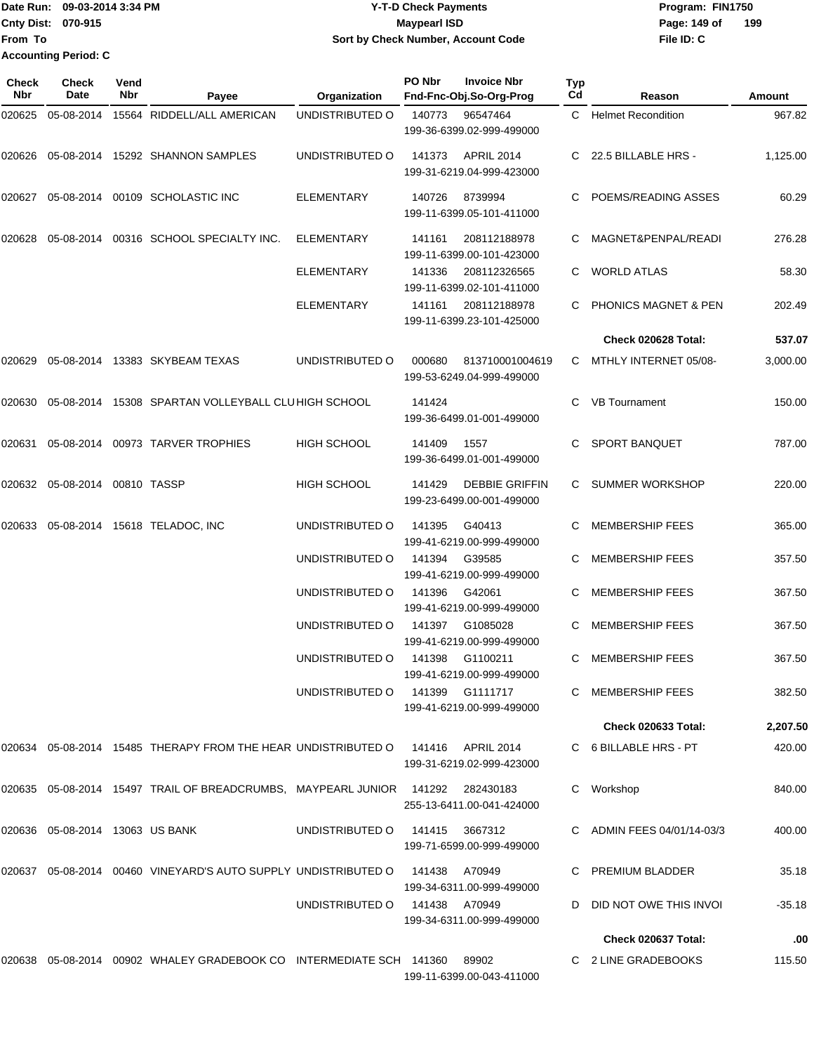| lDate Run:                  | 09-03-2014 3:34 PM | <b>Y-T-D Check Payments</b>        | Program: FIN1750 |     |
|-----------------------------|--------------------|------------------------------------|------------------|-----|
| <b>Cnty Dist: 070-915</b>   |                    | Maypearl ISD                       | Page: 149 of     | 199 |
| From To                     |                    | Sort by Check Number, Account Code | File ID: C       |     |
| <b>Accounting Period: C</b> |                    |                                    |                  |     |

| Check<br>Nbr | <b>Check</b><br>Date               | Vend<br>Nbr | Payee                                                                           | Organization                   | PO Nbr | <b>Invoice Nbr</b><br>Fnd-Fnc-Obj.So-Org-Prog      | Typ<br>Cd | Reason                          | Amount   |
|--------------|------------------------------------|-------------|---------------------------------------------------------------------------------|--------------------------------|--------|----------------------------------------------------|-----------|---------------------------------|----------|
| 020625       | 05-08-2014                         |             | 15564 RIDDELL/ALL AMERICAN                                                      | UNDISTRIBUTED O                | 140773 | 96547464<br>199-36-6399.02-999-499000              | C.        | <b>Helmet Recondition</b>       | 967.82   |
|              |                                    |             | 020626 05-08-2014 15292 SHANNON SAMPLES                                         | UNDISTRIBUTED O                | 141373 | APRIL 2014<br>199-31-6219.04-999-423000            |           | C 22.5 BILLABLE HRS -           | 1,125.00 |
| 020627       |                                    |             | 05-08-2014 00109 SCHOLASTIC INC                                                 | <b>ELEMENTARY</b>              | 140726 | 8739994<br>199-11-6399.05-101-411000               | C.        | POEMS/READING ASSES             | 60.29    |
| 020628       |                                    |             | 05-08-2014 00316 SCHOOL SPECIALTY INC.                                          | <b>ELEMENTARY</b>              | 141161 | 208112188978<br>199-11-6399.00-101-423000          |           | MAGNET&PENPAL/READI             | 276.28   |
|              |                                    |             |                                                                                 | ELEMENTARY                     | 141336 | 208112326565<br>199-11-6399.02-101-411000          | C.        | <b>WORLD ATLAS</b>              | 58.30    |
|              |                                    |             |                                                                                 | <b>ELEMENTARY</b>              | 141161 | 208112188978<br>199-11-6399.23-101-425000          |           | <b>PHONICS MAGNET &amp; PEN</b> | 202.49   |
|              |                                    |             |                                                                                 |                                |        |                                                    |           | Check 020628 Total:             | 537.07   |
|              |                                    |             | 020629 05-08-2014 13383 SKYBEAM TEXAS                                           | UNDISTRIBUTED O                | 000680 | 813710001004619<br>199-53-6249.04-999-499000       |           | C MTHLY INTERNET 05/08-         | 3,000.00 |
| 020630       |                                    |             | 05-08-2014 15308 SPARTAN VOLLEYBALL CLUHIGH SCHOOL                              |                                | 141424 | 199-36-6499.01-001-499000                          | C.        | <b>VB Tournament</b>            | 150.00   |
|              |                                    |             | 020631 05-08-2014 00973 TARVER TROPHIES                                         | HIGH SCHOOL                    | 141409 | 1557<br>199-36-6499.01-001-499000                  | C.        | <b>SPORT BANQUET</b>            | 787.00   |
|              | 020632 05-08-2014 00810 TASSP      |             |                                                                                 | <b>HIGH SCHOOL</b>             | 141429 | <b>DEBBIE GRIFFIN</b><br>199-23-6499.00-001-499000 | C.        | SUMMER WORKSHOP                 | 220.00   |
| 020633       |                                    |             | 05-08-2014 15618 TELADOC, INC                                                   | UNDISTRIBUTED O                | 141395 | G40413<br>199-41-6219.00-999-499000                |           | <b>MEMBERSHIP FEES</b>          | 365.00   |
|              |                                    |             |                                                                                 | UNDISTRIBUTED O                | 141394 | G39585<br>199-41-6219.00-999-499000                | C.        | <b>MEMBERSHIP FEES</b>          | 357.50   |
|              |                                    |             |                                                                                 | UNDISTRIBUTED O                | 141396 | G42061<br>199-41-6219.00-999-499000                | C.        | <b>MEMBERSHIP FEES</b>          | 367.50   |
|              |                                    |             |                                                                                 | UNDISTRIBUTED O                | 141397 | G1085028<br>199-41-6219.00-999-499000              |           | <b>MEMBERSHIP FEES</b>          | 367.50   |
|              |                                    |             |                                                                                 | UNDISTRIBUTED O                |        | 141398 G1100211<br>199-41-6219.00-999-499000       | C.        | <b>MEMBERSHIP FEES</b>          | 367.50   |
|              |                                    |             |                                                                                 | UNDISTRIBUTED O                |        | 141399 G1111717<br>199-41-6219.00-999-499000       |           | C MEMBERSHIP FEES               | 382.50   |
|              |                                    |             |                                                                                 |                                |        |                                                    |           | <b>Check 020633 Total:</b>      | 2,207.50 |
|              |                                    |             | 020634 05-08-2014 15485 THERAPY FROM THE HEAR UNDISTRIBUTED O 141416 APRIL 2014 |                                |        | 199-31-6219.02-999-423000                          |           | C 6 BILLABLE HRS - PT           | 420.00   |
|              |                                    |             | 020635 05-08-2014 15497 TRAIL OF BREADCRUMBS, MAYPEARL JUNIOR 141292 282430183  |                                |        | 255-13-6411.00-041-424000                          |           | Workshop                        | 840.00   |
|              | 020636  05-08-2014  13063  US BANK |             |                                                                                 | UNDISTRIBUTED O 141415 3667312 |        | 199-71-6599.00-999-499000                          |           | C ADMIN FEES 04/01/14-03/3      | 400.00   |
|              |                                    |             | 020637  05-08-2014  00460  VINEYARD'S AUTO SUPPLY UNDISTRIBUTED O  141438       |                                |        | A70949<br>199-34-6311.00-999-499000                |           | C PREMIUM BLADDER               | 35.18    |
|              |                                    |             |                                                                                 | UNDISTRIBUTED 0 141438 A70949  |        | 199-34-6311.00-999-499000                          |           | D DID NOT OWE THIS INVOL        | $-35.18$ |
|              |                                    |             |                                                                                 |                                |        |                                                    |           | Check 020637 Total:             | .00      |
|              |                                    |             | 020638  05-08-2014  00902  WHALEY GRADEBOOK CO INTERMEDIATE SCH  141360  89902  |                                |        | 199-11-6399.00-043-411000                          |           | C 2 LINE GRADEBOOKS             | 115.50   |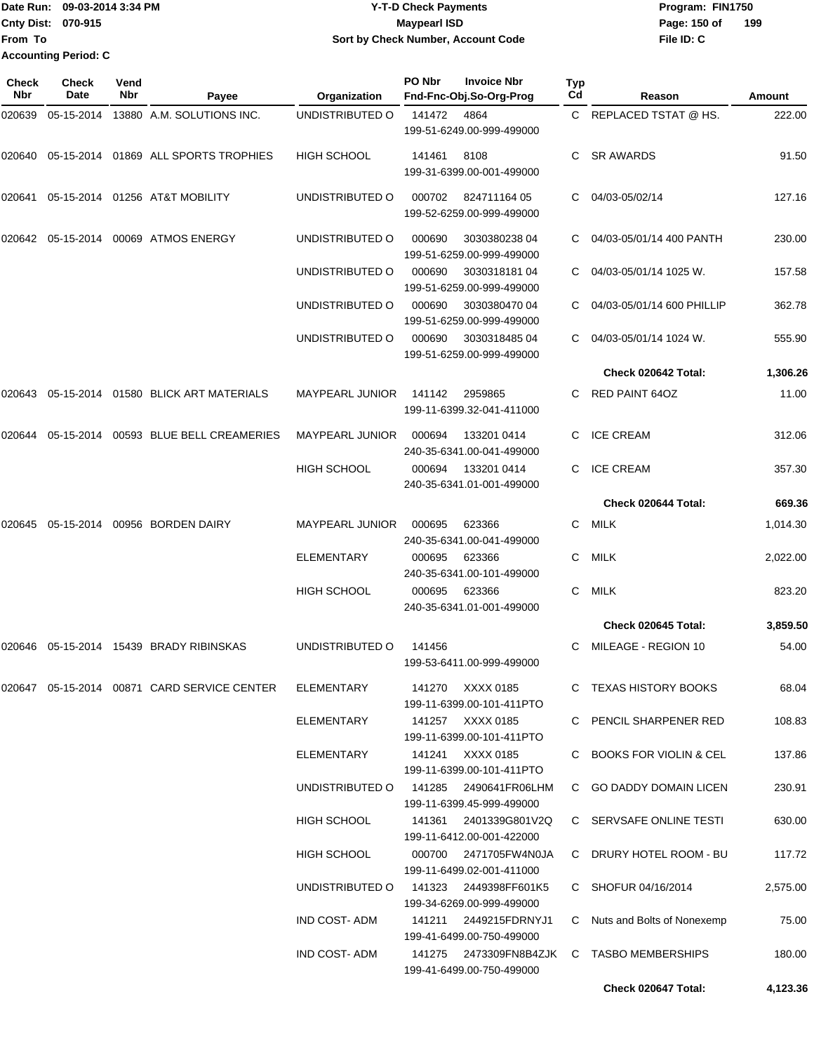Date Run: 09-03-2014 3:34 PM **Program:** FIN1750 **Cnty Dist:** 070-915 **Page: 150 of MaypearI ISD Page: 150 of From To Y-T-D Check Payments 070-915 Maypearl ISD Sort by Check Number, Account Code Accounting Period: C**

| Check<br>Nbr | <b>Check</b><br>Date | Vend<br><b>Nbr</b> | Payee                                | Organization           | PO Nbr | <b>Invoice Nbr</b><br>Fnd-Fnc-Obj.So-Org-Prog       | <b>Typ</b><br>Cd | Reason                            | <b>Amount</b> |
|--------------|----------------------|--------------------|--------------------------------------|------------------------|--------|-----------------------------------------------------|------------------|-----------------------------------|---------------|
| 020639       | 05-15-2014           |                    | 13880 A.M. SOLUTIONS INC.            | UNDISTRIBUTED O        | 141472 | 4864<br>199-51-6249.00-999-499000                   |                  | C REPLACED TSTAT @ HS.            | 222.00        |
| 020640       |                      |                    | 05-15-2014 01869 ALL SPORTS TROPHIES | <b>HIGH SCHOOL</b>     | 141461 | 8108<br>199-31-6399.00-001-499000                   | C.               | <b>SR AWARDS</b>                  | 91.50         |
| 020641       |                      |                    | 05-15-2014 01256 AT&T MOBILITY       | UNDISTRIBUTED O        | 000702 | 824711164 05<br>199-52-6259.00-999-499000           | C.               | 04/03-05/02/14                    | 127.16        |
| 020642       |                      |                    | 05-15-2014 00069 ATMOS ENERGY        | UNDISTRIBUTED O        | 000690 | 303038023804<br>199-51-6259.00-999-499000           |                  | 04/03-05/01/14 400 PANTH          | 230.00        |
|              |                      |                    |                                      | UNDISTRIBUTED O        | 000690 | 303031818104<br>199-51-6259.00-999-499000           | С                | 04/03-05/01/14 1025 W.            | 157.58        |
|              |                      |                    |                                      | UNDISTRIBUTED O        | 000690 | 3030380470 04<br>199-51-6259.00-999-499000          | C.               | 04/03-05/01/14 600 PHILLIP        | 362.78        |
|              |                      |                    |                                      | UNDISTRIBUTED O        | 000690 | 303031848504<br>199-51-6259.00-999-499000           |                  | 04/03-05/01/14 1024 W.            | 555.90        |
|              |                      |                    |                                      |                        |        |                                                     |                  | Check 020642 Total:               | 1,306.26      |
| 020643       |                      |                    | 05-15-2014 01580 BLICK ART MATERIALS | <b>MAYPEARL JUNIOR</b> | 141142 | 2959865<br>199-11-6399.32-041-411000                | C.               | <b>RED PAINT 64OZ</b>             | 11.00         |
| 020644       | 05-15-2014           |                    | 00593 BLUE BELL CREAMERIES           | <b>MAYPEARL JUNIOR</b> | 000694 | 133201 0414<br>240-35-6341.00-041-499000            | C.               | <b>ICE CREAM</b>                  | 312.06        |
|              |                      |                    |                                      | <b>HIGH SCHOOL</b>     | 000694 | 133201 0414<br>240-35-6341.01-001-499000            | C.               | <b>ICE CREAM</b>                  | 357.30        |
|              |                      |                    |                                      |                        |        |                                                     |                  | Check 020644 Total:               | 669.36        |
| 020645       |                      |                    | 05-15-2014 00956 BORDEN DAIRY        | <b>MAYPEARL JUNIOR</b> | 000695 | 623366<br>240-35-6341.00-041-499000                 | C                | <b>MILK</b>                       | 1,014.30      |
|              |                      |                    |                                      | <b>ELEMENTARY</b>      | 000695 | 623366<br>240-35-6341.00-101-499000                 | C                | <b>MILK</b>                       | 2,022.00      |
|              |                      |                    |                                      | <b>HIGH SCHOOL</b>     | 000695 | 623366<br>240-35-6341.01-001-499000                 | C                | <b>MILK</b>                       | 823.20        |
|              |                      |                    |                                      |                        |        |                                                     |                  | Check 020645 Total:               | 3,859.50      |
| 020646       |                      |                    | 05-15-2014 15439 BRADY RIBINSKAS     | UNDISTRIBUTED O        | 141456 | 199-53-6411.00-999-499000                           | C.               | MILEAGE - REGION 10               | 54.00         |
|              |                      |                    |                                      | ELEMENTARY             |        | 141270 XXXX 0185<br>199-11-6399.00-101-411PTO       |                  | C TEXAS HISTORY BOOKS             | 68.04         |
|              |                      |                    |                                      | ELEMENTARY             |        | 141257 XXXX 0185<br>199-11-6399.00-101-411PTO       |                  | C PENCIL SHARPENER RED            | 108.83        |
|              |                      |                    |                                      | ELEMENTARY             |        | 141241 XXXX 0185<br>199-11-6399.00-101-411PTO       | C.               | <b>BOOKS FOR VIOLIN &amp; CEL</b> | 137.86        |
|              |                      |                    |                                      | UNDISTRIBUTED O        | 141285 | 2490641FR06LHM<br>199-11-6399.45-999-499000         |                  | C GO DADDY DOMAIN LICEN           | 230.91        |
|              |                      |                    |                                      | HIGH SCHOOL            | 141361 | 2401339G801V2Q<br>199-11-6412.00-001-422000         |                  | C SERVSAFE ONLINE TESTI           | 630.00        |
|              |                      |                    |                                      | <b>HIGH SCHOOL</b>     | 000700 | 2471705FW4N0JA<br>199-11-6499.02-001-411000         |                  | C DRURY HOTEL ROOM - BU           | 117.72        |
|              |                      |                    |                                      | UNDISTRIBUTED O        |        | 199-34-6269.00-999-499000                           |                  | C SHOFUR 04/16/2014               | 2,575.00      |
|              |                      |                    |                                      | IND COST-ADM           |        | 199-41-6499.00-750-499000                           |                  | C Nuts and Bolts of Nonexemp      | 75.00         |
|              |                      |                    |                                      | IND COST-ADM           |        | 141275 2473309FN8B4ZJK<br>199-41-6499.00-750-499000 |                  | C TASBO MEMBERSHIPS               | 180.00        |
|              |                      |                    |                                      |                        |        |                                                     |                  | Check 020647 Total:               | 4,123.36      |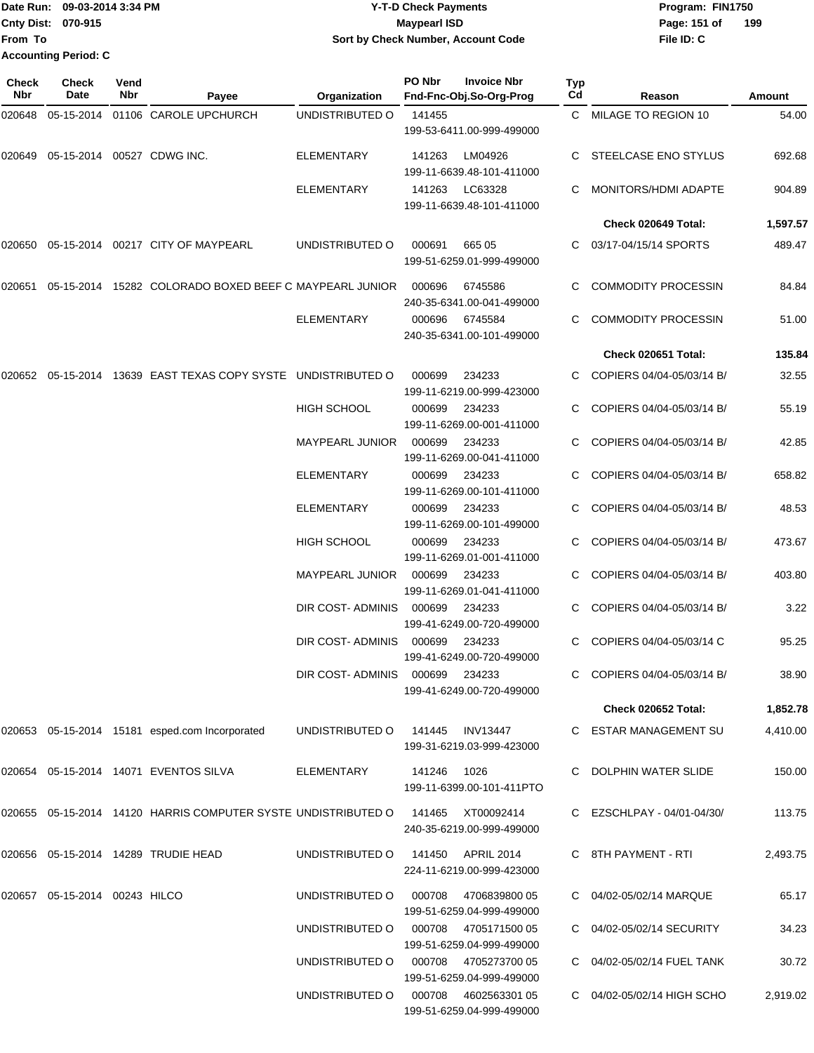Date Run: 09-03-2014 3:34 PM **Program:** FIN1750 **Cnty Dist:** 070-915 **Page:** 151 of **From To Accounting Period: C**

## **09-03-2014 3:34 PM Y-T-D Check Payments 070-915 Maypearl ISD Sort by Check Number, Account Code**

| Check<br><b>Nbr</b> | <b>Check</b><br>Date          | Vend<br>Nbr | Payee                                                                           | Organization           | PO Nbr        | <b>Invoice Nbr</b><br>Fnd-Fnc-Obj.So-Org-Prog     | Typ<br>Cd | Reason                      | Amount   |
|---------------------|-------------------------------|-------------|---------------------------------------------------------------------------------|------------------------|---------------|---------------------------------------------------|-----------|-----------------------------|----------|
| 020648              |                               |             | 05-15-2014 01106 CAROLE UPCHURCH                                                | UNDISTRIBUTED O        | 141455        | 199-53-6411.00-999-499000                         |           | C MILAGE TO REGION 10       | 54.00    |
| 020649              |                               |             | 05-15-2014 00527 CDWG INC.                                                      | <b>ELEMENTARY</b>      | 141263        | LM04926<br>199-11-6639.48-101-411000              | C.        | STEELCASE ENO STYLUS        | 692.68   |
|                     |                               |             |                                                                                 | <b>ELEMENTARY</b>      | 141263        | LC63328<br>199-11-6639.48-101-411000              |           | MONITORS/HDMI ADAPTE        | 904.89   |
|                     |                               |             |                                                                                 |                        |               |                                                   |           | Check 020649 Total:         | 1,597.57 |
|                     |                               |             | 020650 05-15-2014 00217 CITY OF MAYPEARL                                        | UNDISTRIBUTED O        | 000691        | 665 05<br>199-51-6259.01-999-499000               |           | 03/17-04/15/14 SPORTS       | 489.47   |
| 020651              |                               |             | 05-15-2014 15282 COLORADO BOXED BEEF C MAYPEARL JUNIOR                          |                        | 000696        | 6745586<br>240-35-6341.00-041-499000              | C         | <b>COMMODITY PROCESSIN</b>  | 84.84    |
|                     |                               |             |                                                                                 | <b>ELEMENTARY</b>      | 000696        | 6745584<br>240-35-6341.00-101-499000              | C         | <b>COMMODITY PROCESSIN</b>  | 51.00    |
|                     |                               |             |                                                                                 |                        |               |                                                   |           | Check 020651 Total:         | 135.84   |
|                     |                               |             | 020652  05-15-2014  13639  EAST TEXAS COPY SYSTE  UNDISTRIBUTED O               |                        | 000699        | 234233<br>199-11-6219.00-999-423000               |           | COPIERS 04/04-05/03/14 B/   | 32.55    |
|                     |                               |             |                                                                                 | <b>HIGH SCHOOL</b>     | 000699        | 234233<br>199-11-6269.00-001-411000               |           | COPIERS 04/04-05/03/14 B/   | 55.19    |
|                     |                               |             |                                                                                 | <b>MAYPEARL JUNIOR</b> | 000699        | 234233<br>199-11-6269.00-041-411000               |           | COPIERS 04/04-05/03/14 B/   | 42.85    |
|                     |                               |             |                                                                                 | <b>ELEMENTARY</b>      | 000699        | 234233<br>199-11-6269.00-101-411000               | C.        | COPIERS 04/04-05/03/14 B/   | 658.82   |
|                     |                               |             |                                                                                 | <b>ELEMENTARY</b>      | 000699        | 234233<br>199-11-6269.00-101-499000               |           | COPIERS 04/04-05/03/14 B/   | 48.53    |
|                     |                               |             |                                                                                 | HIGH SCHOOL            | 000699        | 234233<br>199-11-6269.01-001-411000               | C         | COPIERS 04/04-05/03/14 B/   | 473.67   |
|                     |                               |             |                                                                                 | <b>MAYPEARL JUNIOR</b> | 000699        | 234233<br>199-11-6269.01-041-411000               | C         | COPIERS 04/04-05/03/14 B/   | 403.80   |
|                     |                               |             |                                                                                 | DIR COST-ADMINIS       | 000699        | 234233<br>199-41-6249.00-720-499000               |           | COPIERS 04/04-05/03/14 B/   | 3.22     |
|                     |                               |             |                                                                                 | DIR COST- ADMINIS      | 000699        | 234233<br>199-41-6249.00-720-499000               | C         | COPIERS 04/04-05/03/14 C    | 95.25    |
|                     |                               |             |                                                                                 | DIR COST-ADMINIS       | 000699 234233 | 199-41-6249.00-720-499000                         |           | C COPIERS 04/04-05/03/14 B/ | 38.90    |
|                     |                               |             |                                                                                 |                        |               |                                                   |           | Check 020652 Total:         | 1,852.78 |
|                     |                               |             | 020653 05-15-2014 15181 esped.com Incorporated                                  | UNDISTRIBUTED O        | 141445        | <b>INV13447</b><br>199-31-6219.03-999-423000      |           | C ESTAR MANAGEMENT SU       | 4,410.00 |
|                     |                               |             | 020654 05-15-2014 14071 EVENTOS SILVA                                           | ELEMENTARY             | 141246        | 1026<br>199-11-6399.00-101-411PTO                 |           | C DOLPHIN WATER SLIDE       | 150.00   |
|                     |                               |             | 020655 05-15-2014 14120 HARRIS COMPUTER SYSTE UNDISTRIBUTED O 141465 XT00092414 |                        |               | 240-35-6219.00-999-499000                         |           | C EZSCHLPAY - 04/01-04/30/  | 113.75   |
|                     |                               |             | 020656 05-15-2014 14289 TRUDIE HEAD                                             | UNDISTRIBUTED O        |               | 141450 APRIL 2014<br>224-11-6219.00-999-423000    |           | C 8TH PAYMENT - RTI         | 2,493.75 |
|                     | 020657 05-15-2014 00243 HILCO |             |                                                                                 | UNDISTRIBUTED O        |               | 000708 4706839800 05<br>199-51-6259.04-999-499000 |           | C 04/02-05/02/14 MARQUE     | 65.17    |
|                     |                               |             |                                                                                 | UNDISTRIBUTED O        |               | 000708 4705171500 05<br>199-51-6259.04-999-499000 |           | C 04/02-05/02/14 SECURITY   | 34.23    |
|                     |                               |             |                                                                                 | UNDISTRIBUTED O        |               | 000708 4705273700 05<br>199-51-6259.04-999-499000 |           | C 04/02-05/02/14 FUEL TANK  | 30.72    |
|                     |                               |             |                                                                                 | UNDISTRIBUTED O        |               | 000708 4602563301 05<br>199-51-6259.04-999-499000 |           | C 04/02-05/02/14 HIGH SCHO  | 2,919.02 |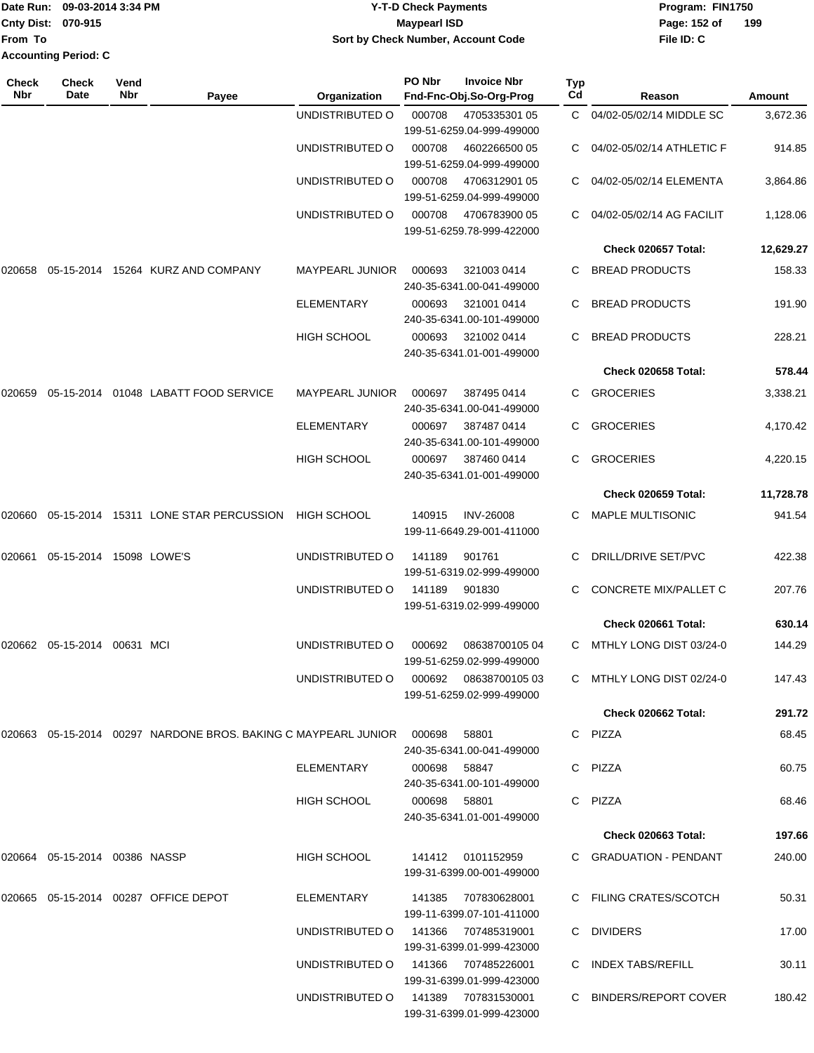| Date Run: 09-03-2014 3:34 PM |                             | <b>Y-T-D Check Payments</b>         | Program: FIN1750    |
|------------------------------|-----------------------------|-------------------------------------|---------------------|
| <b>Cnty Dist: 070-915</b>    |                             | <b>Maypearl ISD</b>                 | 199<br>Page: 152 of |
| lFrom To                     |                             | Sort by Check Number, Account Code  | File ID: C          |
|                              | <b>Accounting Period: C</b> |                                     |                     |
| Check                        | <b>Check</b><br>Vend        | PO Nbr<br><b>Invoice Nbr</b><br>Typ |                     |

| Nbr    | Date                             | Nbr | Payee                                                                     | Organization           | Fnd-Fnc-Obj.So-Org-Prog                          |                  | Cd | Reason                     | <b>Amount</b> |
|--------|----------------------------------|-----|---------------------------------------------------------------------------|------------------------|--------------------------------------------------|------------------|----|----------------------------|---------------|
|        |                                  |     |                                                                           | UNDISTRIBUTED O        | 000708<br>199-51-6259.04-999-499000              | 4705335301 05    |    | C 04/02-05/02/14 MIDDLE SC | 3,672.36      |
|        |                                  |     |                                                                           | UNDISTRIBUTED O        | 000708<br>199-51-6259.04-999-499000              | 4602266500 05    |    | 04/02-05/02/14 ATHLETIC F  | 914.85        |
|        |                                  |     |                                                                           | UNDISTRIBUTED O        | 000708<br>199-51-6259.04-999-499000              | 4706312901 05    |    | 04/02-05/02/14 ELEMENTA    | 3,864.86      |
|        |                                  |     |                                                                           | UNDISTRIBUTED O        | 000708<br>199-51-6259.78-999-422000              | 4706783900 05    |    | 04/02-05/02/14 AG FACILIT  | 1,128.06      |
|        |                                  |     |                                                                           |                        |                                                  |                  |    | Check 020657 Total:        | 12,629.27     |
| 020658 |                                  |     | 05-15-2014 15264 KURZ AND COMPANY                                         | MAYPEARL JUNIOR        | 000693<br>240-35-6341.00-041-499000              | 321003 0414      |    | C BREAD PRODUCTS           | 158.33        |
|        |                                  |     |                                                                           | <b>ELEMENTARY</b>      | 000693<br>240-35-6341.00-101-499000              | 321001 0414      | C. | <b>BREAD PRODUCTS</b>      | 191.90        |
|        |                                  |     |                                                                           | <b>HIGH SCHOOL</b>     | 000693<br>240-35-6341.01-001-499000              | 321002 0414      |    | <b>BREAD PRODUCTS</b>      | 228.21        |
|        |                                  |     |                                                                           |                        |                                                  |                  |    | Check 020658 Total:        | 578.44        |
| 020659 |                                  |     | 05-15-2014 01048 LABATT FOOD SERVICE                                      | <b>MAYPEARL JUNIOR</b> | 000697<br>240-35-6341.00-041-499000              | 387495 0414      | C. | <b>GROCERIES</b>           | 3,338.21      |
|        |                                  |     |                                                                           | <b>ELEMENTARY</b>      | 000697<br>240-35-6341.00-101-499000              | 387487 0414      | C. | <b>GROCERIES</b>           | 4,170.42      |
|        |                                  |     |                                                                           | <b>HIGH SCHOOL</b>     | 000697<br>240-35-6341.01-001-499000              | 387460 0414      |    | C GROCERIES                | 4,220.15      |
|        |                                  |     |                                                                           |                        |                                                  |                  |    | Check 020659 Total:        | 11,728.78     |
| 020660 |                                  |     | 05-15-2014 15311 LONE STAR PERCUSSION                                     | <b>HIGH SCHOOL</b>     | 140915<br>199-11-6649.29-001-411000              | <b>INV-26008</b> | C. | MAPLE MULTISONIC           | 941.54        |
| 020661 | 05-15-2014 15098 LOWE'S          |     |                                                                           | UNDISTRIBUTED O        | 141189<br>199-51-6319.02-999-499000              | 901761           |    | <b>DRILL/DRIVE SET/PVC</b> | 422.38        |
|        |                                  |     |                                                                           | UNDISTRIBUTED O        | 141189<br>199-51-6319.02-999-499000              | 901830           | C. | CONCRETE MIX/PALLET C      | 207.76        |
|        |                                  |     |                                                                           |                        |                                                  |                  |    | Check 020661 Total:        | 630.14        |
|        | 020662 05-15-2014 00631 MCI      |     |                                                                           | UNDISTRIBUTED O        | 000692<br>199-51-6259.02-999-499000              | 08638700105 04   | C. | MTHLY LONG DIST 03/24-0    | 144.29        |
|        |                                  |     |                                                                           | UNDISTRIBUTED O        | 000692<br>199-51-6259.02-999-499000              | 08638700105 03   | C. | MTHLY LONG DIST 02/24-0    | 147.43        |
|        |                                  |     |                                                                           |                        |                                                  |                  |    | Check 020662 Total:        | 291.72        |
|        |                                  |     | 020663  05-15-2014  00297  NARDONE BROS, BAKING C MAYPEARL JUNIOR  000698 |                        | 58801<br>240-35-6341.00-041-499000               |                  |    | C PIZZA                    | 68.45         |
|        |                                  |     |                                                                           | ELEMENTARY             | 000698 58847<br>240-35-6341.00-101-499000        |                  |    | C PIZZA                    | 60.75         |
|        |                                  |     |                                                                           | <b>HIGH SCHOOL</b>     | 000698 58801<br>240-35-6341.01-001-499000        |                  |    | C PIZZA                    | 68.46         |
|        |                                  |     |                                                                           |                        |                                                  |                  |    | <b>Check 020663 Total:</b> | 197.66        |
|        | 020664  05-15-2014  00386  NASSP |     |                                                                           | <b>HIGH SCHOOL</b>     | 141412 0101152959<br>199-31-6399.00-001-499000   |                  |    | C GRADUATION - PENDANT     | 240.00        |
|        |                                  |     | 020665  05-15-2014  00287  OFFICE DEPOT                                   | ELEMENTARY             | 141385<br>199-11-6399.07-101-411000              | 707830628001     |    | C FILING CRATES/SCOTCH     | 50.31         |
|        |                                  |     |                                                                           | UNDISTRIBUTED O        | 141366 707485319001<br>199-31-6399.01-999-423000 |                  |    | C DIVIDERS                 | 17.00         |
|        |                                  |     |                                                                           | UNDISTRIBUTED O        | 141366 707485226001<br>199-31-6399.01-999-423000 |                  |    | C INDEX TABS/REFILL        | 30.11         |
|        |                                  |     |                                                                           | UNDISTRIBUTED O        | 141389 707831530001<br>199-31-6399.01-999-423000 |                  |    | C BINDERS/REPORT COVER     | 180.42        |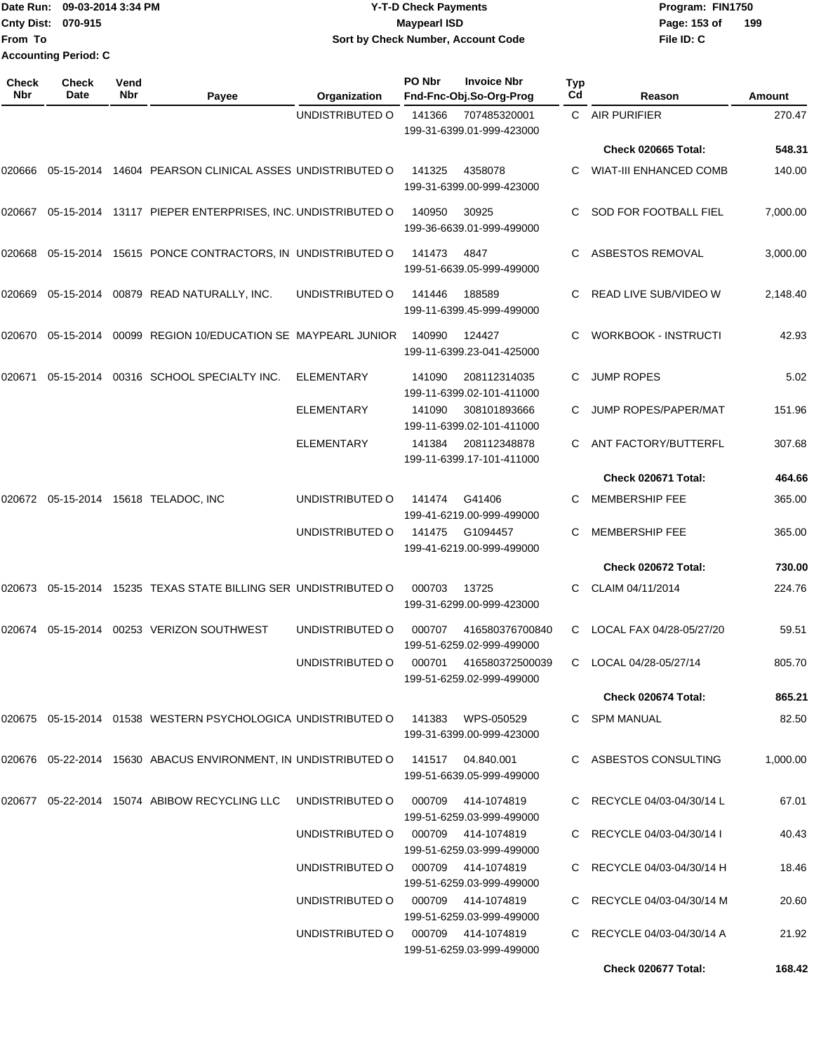|                             | Date Run: 09-03-2014 3:34 PM | <b>Y-T-D Check Payments</b>        | Program: FIN1750 |     |
|-----------------------------|------------------------------|------------------------------------|------------------|-----|
| <b>Cnty Dist: 070-915</b>   |                              | Maypearl ISD                       | Page: 153 of     | 199 |
| From To                     |                              | Sort by Check Number, Account Code | File ID: C       |     |
| <b>Accounting Period: C</b> |                              |                                    |                  |     |
|                             |                              |                                    |                  |     |

| Check<br>Nbr | <b>Check</b><br>Date | Vend<br>Nbr | Payee                                                                                 | Organization                       | PO Nbr | <b>Invoice Nbr</b><br>Fnd-Fnc-Obj.So-Org-Prog | Typ<br>Cd | Reason                        | Amount   |
|--------------|----------------------|-------------|---------------------------------------------------------------------------------------|------------------------------------|--------|-----------------------------------------------|-----------|-------------------------------|----------|
|              |                      |             |                                                                                       | UNDISTRIBUTED O                    | 141366 | 707485320001<br>199-31-6399.01-999-423000     | C.        | <b>AIR PURIFIER</b>           | 270.47   |
|              |                      |             |                                                                                       |                                    |        |                                               |           | <b>Check 020665 Total:</b>    | 548.31   |
| 020666       |                      |             | 05-15-2014 14604 PEARSON CLINICAL ASSES UNDISTRIBUTED O                               |                                    | 141325 | 4358078<br>199-31-6399.00-999-423000          |           | <b>WIAT-III ENHANCED COMB</b> | 140.00   |
| 020667       |                      |             | 05-15-2014 13117 PIEPER ENTERPRISES, INC. UNDISTRIBUTED O                             |                                    | 140950 | 30925<br>199-36-6639.01-999-499000            | C.        | SOD FOR FOOTBALL FIEL         | 7,000.00 |
|              |                      |             | 020668  05-15-2014  15615  PONCE CONTRACTORS, IN UNDISTRIBUTED O                      |                                    | 141473 | 4847<br>199-51-6639.05-999-499000             | C.        | ASBESTOS REMOVAL              | 3,000.00 |
| 020669       |                      |             | 05-15-2014  00879  READ NATURALLY, INC.                                               | UNDISTRIBUTED O                    | 141446 | 188589<br>199-11-6399.45-999-499000           |           | READ LIVE SUB/VIDEO W         | 2,148.40 |
|              |                      |             | 020670  05-15-2014  00099  REGION 10/EDUCATION SE MAYPEARL JUNIOR                     |                                    | 140990 | 124427<br>199-11-6399.23-041-425000           | C.        | <b>WORKBOOK - INSTRUCTI</b>   | 42.93    |
| 020671       |                      |             | 05-15-2014 00316 SCHOOL SPECIALTY INC.                                                | <b>ELEMENTARY</b>                  | 141090 | 208112314035<br>199-11-6399.02-101-411000     | C         | <b>JUMP ROPES</b>             | 5.02     |
|              |                      |             |                                                                                       | <b>ELEMENTARY</b>                  | 141090 | 308101893666<br>199-11-6399.02-101-411000     |           | JUMP ROPES/PAPER/MAT          | 151.96   |
|              |                      |             |                                                                                       | <b>ELEMENTARY</b>                  | 141384 | 208112348878<br>199-11-6399.17-101-411000     | C.        | ANT FACTORY/BUTTERFL          | 307.68   |
|              |                      |             |                                                                                       |                                    |        |                                               |           | Check 020671 Total:           | 464.66   |
|              |                      |             | 020672 05-15-2014 15618 TELADOC, INC                                                  | UNDISTRIBUTED O                    | 141474 | G41406<br>199-41-6219.00-999-499000           | C.        | <b>MEMBERSHIP FEE</b>         | 365.00   |
|              |                      |             |                                                                                       | UNDISTRIBUTED O                    | 141475 | G1094457<br>199-41-6219.00-999-499000         | C         | <b>MEMBERSHIP FEE</b>         | 365.00   |
|              |                      |             |                                                                                       |                                    |        |                                               |           | Check 020672 Total:           | 730.00   |
|              |                      |             | 020673  05-15-2014  15235  TEXAS STATE BILLING SER UNDISTRIBUTED O                    |                                    | 000703 | 13725<br>199-31-6299.00-999-423000            | C.        | CLAIM 04/11/2014              | 224.76   |
| 020674       |                      |             | 05-15-2014  00253  VERIZON SOUTHWEST                                                  | UNDISTRIBUTED O                    | 000707 | 416580376700840<br>199-51-6259.02-999-499000  | C         | LOCAL FAX 04/28-05/27/20      | 59.51    |
|              |                      |             |                                                                                       | UNDISTRIBUTED O                    | 000701 | 416580372500039<br>199-51-6259.02-999-499000  | C         | LOCAL 04/28-05/27/14          | 805.70   |
|              |                      |             |                                                                                       |                                    |        |                                               |           | Check 020674 Total:           | 865.21   |
|              |                      |             | 020675 05-15-2014 01538 WESTERN PSYCHOLOGICA UNDISTRIBUTED O 141383 WPS-050529        |                                    |        | 199-31-6399.00-999-423000                     |           | C SPM MANUAL                  | 82.50    |
|              |                      |             | 020676  05-22-2014  15630  ABACUS ENVIRONMENT, IN UNDISTRIBUTED O  141517  04.840.001 |                                    |        | 199-51-6639.05-999-499000                     |           | C ASBESTOS CONSULTING         | 1,000.00 |
|              |                      |             | 020677  05-22-2014  15074  ABIBOW RECYCLING LLC                                       | UNDISTRIBUTED O 000709 414-1074819 |        | 199-51-6259.03-999-499000                     |           | C RECYCLE 04/03-04/30/14 L    | 67.01    |
|              |                      |             |                                                                                       | UNDISTRIBUTED O 000709 414-1074819 |        | 199-51-6259.03-999-499000                     |           | C RECYCLE 04/03-04/30/14 I    | 40.43    |
|              |                      |             |                                                                                       | UNDISTRIBUTED O 000709 414-1074819 |        | 199-51-6259.03-999-499000                     |           | C RECYCLE 04/03-04/30/14 H    | 18.46    |
|              |                      |             |                                                                                       | UNDISTRIBUTED O 000709 414-1074819 |        | 199-51-6259.03-999-499000                     |           | C RECYCLE 04/03-04/30/14 M    | 20.60    |
|              |                      |             |                                                                                       | UNDISTRIBUTED O 000709 414-1074819 |        | 199-51-6259.03-999-499000                     |           | C RECYCLE 04/03-04/30/14 A    | 21.92    |
|              |                      |             |                                                                                       |                                    |        |                                               |           | Check 020677 Total:           | 168.42   |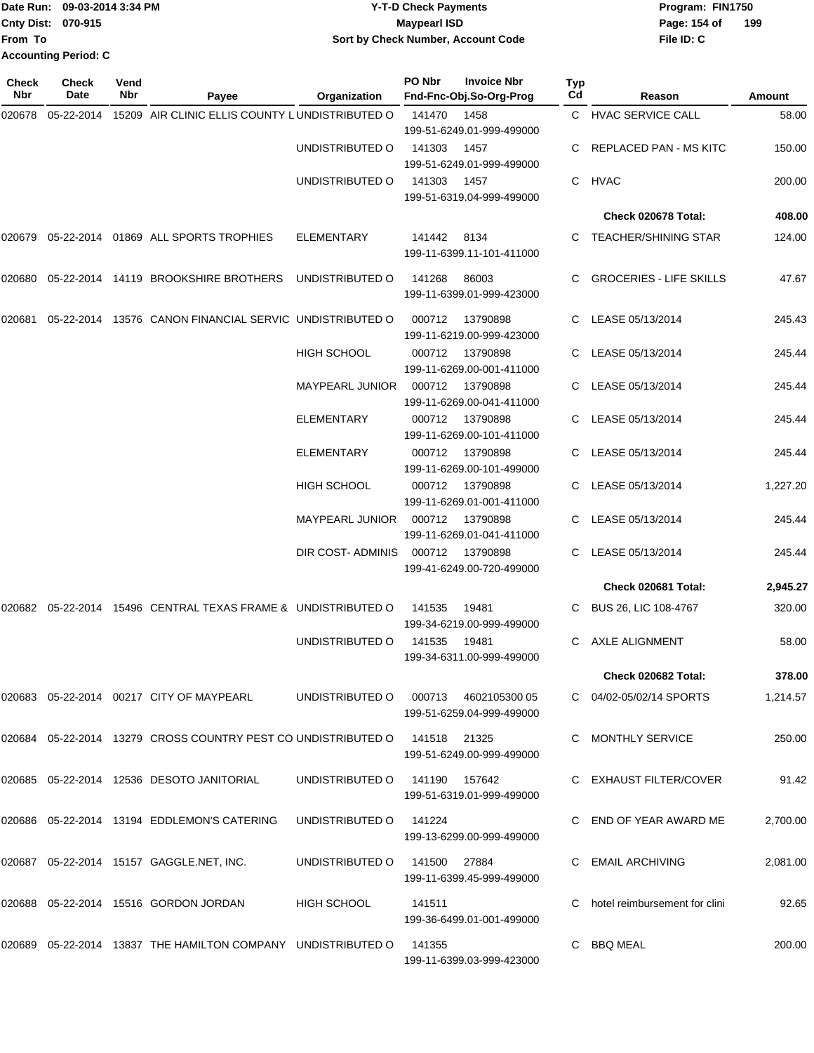|                             | Date Run: 09-03-2014 3:34 PM | <b>Y-T-D Check Payments</b>        | Program: FIN1750 |     |
|-----------------------------|------------------------------|------------------------------------|------------------|-----|
| <b>Cnty Dist: 070-915</b>   |                              | <b>Mavpearl ISD</b>                | Page: 154 of     | 199 |
| <b>IFrom To</b>             |                              | Sort by Check Number, Account Code | File ID: C       |     |
| <b>Accounting Period: C</b> |                              |                                    |                  |     |

| <b>Check</b><br><b>Nbr</b> | Check<br>Date | Vend<br>Nbr | Payee                                                                      | Organization                         | PO Nbr        | <b>Invoice Nbr</b><br>Fnd-Fnc-Obj.So-Org-Prog | Typ<br>Cd | Reason                         | Amount   |
|----------------------------|---------------|-------------|----------------------------------------------------------------------------|--------------------------------------|---------------|-----------------------------------------------|-----------|--------------------------------|----------|
| 020678                     | 05-22-2014    |             | 15209 AIR CLINIC ELLIS COUNTY LUNDISTRIBUTED O                             |                                      | 141470        | 1458<br>199-51-6249.01-999-499000             |           | C HVAC SERVICE CALL            | 58.00    |
|                            |               |             |                                                                            | UNDISTRIBUTED O                      | 141303        | 1457<br>199-51-6249.01-999-499000             |           | REPLACED PAN - MS KITC         | 150.00   |
|                            |               |             |                                                                            | UNDISTRIBUTED O                      | 141303        | 1457<br>199-51-6319.04-999-499000             | C.        | HVAC                           | 200.00   |
|                            |               |             |                                                                            |                                      |               |                                               |           | Check 020678 Total:            | 408.00   |
|                            |               |             | 020679 05-22-2014 01869  ALL SPORTS TROPHIES                               | <b>ELEMENTARY</b>                    | 141442        | 8134<br>199-11-6399.11-101-411000             |           | C TEACHER/SHINING STAR         | 124.00   |
| 020680                     |               |             | 05-22-2014 14119 BROOKSHIRE BROTHERS                                       | UNDISTRIBUTED O                      | 141268        | 86003<br>199-11-6399.01-999-423000            |           | <b>GROCERIES - LIFE SKILLS</b> | 47.67    |
| 020681                     | 05-22-2014    |             | 13576 CANON FINANCIAL SERVIC UNDISTRIBUTED O                               |                                      | 000712        | 13790898<br>199-11-6219.00-999-423000         | C         | LEASE 05/13/2014               | 245.43   |
|                            |               |             |                                                                            | <b>HIGH SCHOOL</b>                   | 000712        | 13790898<br>199-11-6269.00-001-411000         |           | LEASE 05/13/2014               | 245.44   |
|                            |               |             |                                                                            | <b>MAYPEARL JUNIOR</b>               | 000712        | 13790898<br>199-11-6269.00-041-411000         |           | LEASE 05/13/2014               | 245.44   |
|                            |               |             |                                                                            | <b>ELEMENTARY</b>                    | 000712        | 13790898<br>199-11-6269.00-101-411000         |           | LEASE 05/13/2014               | 245.44   |
|                            |               |             |                                                                            | <b>ELEMENTARY</b>                    | 000712        | 13790898<br>199-11-6269.00-101-499000         |           | LEASE 05/13/2014               | 245.44   |
|                            |               |             |                                                                            | <b>HIGH SCHOOL</b>                   | 000712        | 13790898<br>199-11-6269.01-001-411000         |           | LEASE 05/13/2014               | 1,227.20 |
|                            |               |             |                                                                            | <b>MAYPEARL JUNIOR</b>               | 000712        | 13790898<br>199-11-6269.01-041-411000         | C         | LEASE 05/13/2014               | 245.44   |
|                            |               |             |                                                                            | DIR COST-ADMINIS                     | 000712        | 13790898<br>199-41-6249.00-720-499000         | C.        | LEASE 05/13/2014               | 245.44   |
|                            |               |             |                                                                            |                                      |               |                                               |           | Check 020681 Total:            | 2,945.27 |
| 020682                     |               |             | 05-22-2014 15496 CENTRAL TEXAS FRAME & UNDISTRIBUTED O                     |                                      | 141535        | 19481<br>199-34-6219.00-999-499000            |           | BUS 26, LIC 108-4767           | 320.00   |
|                            |               |             |                                                                            | UNDISTRIBUTED O                      | 141535        | 19481<br>199-34-6311.00-999-499000            | C.        | AXLE ALIGNMENT                 | 58.00    |
|                            |               |             |                                                                            |                                      |               |                                               |           | Check 020682 Total:            | 378.00   |
|                            |               |             | 020683  05-22-2014  00217  CITY OF MAYPEARL                                | UNDISTRIBUTED O 000713 4602105300 05 |               | 199-51-6259.04-999-499000                     |           | C 04/02-05/02/14 SPORTS        | 1,214.57 |
|                            |               |             | 020684 05-22-2014 13279 CROSS COUNTRY PEST CO UNDISTRIBUTED O 141518 21325 |                                      |               | 199-51-6249.00-999-499000                     |           | C MONTHLY SERVICE              | 250.00   |
|                            |               |             | 020685  05-22-2014  12536  DESOTO JANITORIAL                               | UNDISTRIBUTED O                      | 141190 157642 | 199-51-6319.01-999-499000                     |           | C EXHAUST FILTER/COVER         | 91.42    |
|                            |               |             | 020686  05-22-2014  13194  EDDLEMON'S CATERING                             | UNDISTRIBUTED O                      | 141224        | 199-13-6299.00-999-499000                     |           | C END OF YEAR AWARD ME         | 2,700.00 |
|                            |               |             | 020687  05-22-2014  15157  GAGGLE.NET, INC.                                | UNDISTRIBUTED O                      | 141500 27884  | 199-11-6399.45-999-499000                     |           | C EMAIL ARCHIVING              | 2,081.00 |
|                            |               |             | 020688  05-22-2014  15516  GORDON JORDAN                                   | HIGH SCHOOL                          | 141511        | 199-36-6499.01-001-499000                     |           | hotel reimbursement for clini  | 92.65    |
|                            |               |             | 020689  05-22-2014  13837 THE HAMILTON COMPANY  UNDISTRIBUTED O            |                                      | 141355        | 199-11-6399.03-999-423000                     | C.        | BBQ MEAL                       | 200.00   |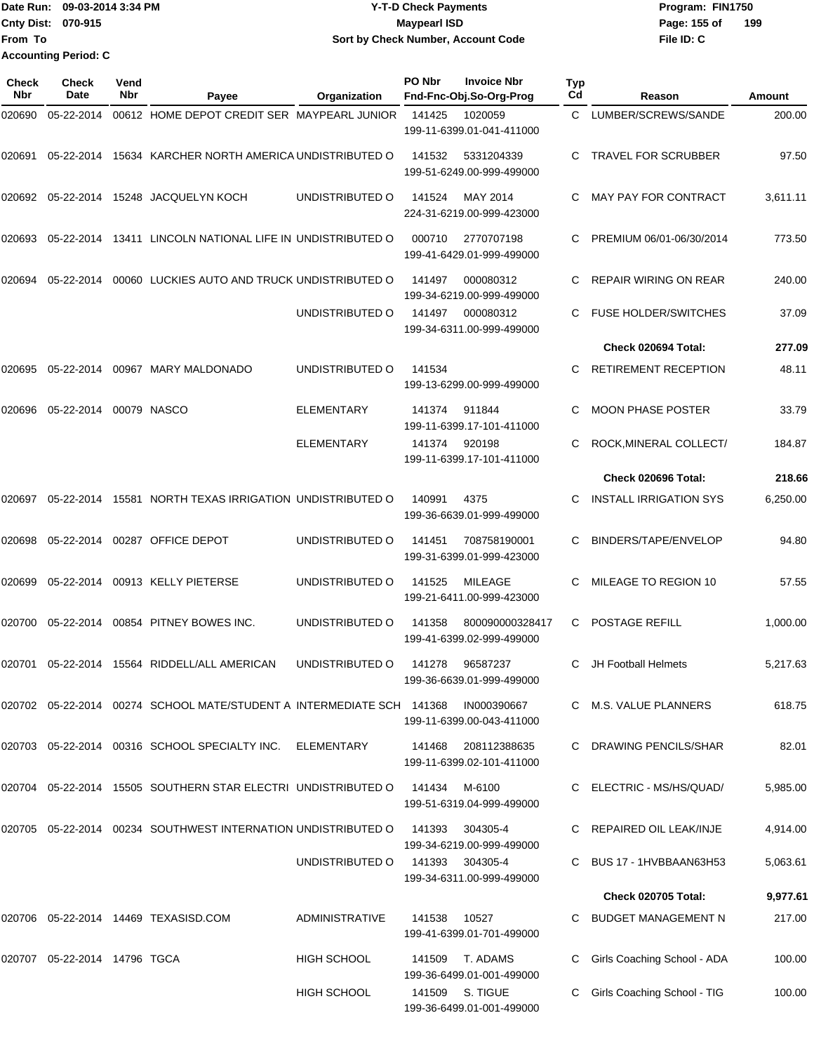|                           | Date Run: 09-03-2014 3:34 PM | <b>Y-T-D Check Payments</b>               | Program: FIN1750    |
|---------------------------|------------------------------|-------------------------------------------|---------------------|
| <b>Cnty Dist: 070-915</b> |                              | <b>Mavpearl ISD</b>                       | 199<br>Page: 155 of |
| <b>From To</b>            |                              | <b>Sort by Check Number, Account Code</b> | File ID: C          |
|                           | <b>Accounting Period: C</b>  |                                           |                     |

| Check<br>Nbr | <b>Check</b><br>Date         | Vend<br>Nbr | Payee                                                                     | Organization          | PO Nbr | <b>Invoice Nbr</b><br>Fnd-Fnc-Obj.So-Org-Prog | Typ<br>Cd | Reason                        | Amount   |
|--------------|------------------------------|-------------|---------------------------------------------------------------------------|-----------------------|--------|-----------------------------------------------|-----------|-------------------------------|----------|
| 020690       | 05-22-2014                   |             | 00612 HOME DEPOT CREDIT SER MAYPEARL JUNIOR                               |                       | 141425 | 1020059<br>199-11-6399.01-041-411000          | C.        | LUMBER/SCREWS/SANDE           | 200.00   |
| 020691       | 05-22-2014                   |             | 15634 KARCHER NORTH AMERICA UNDISTRIBUTED O                               |                       | 141532 | 5331204339<br>199-51-6249.00-999-499000       | C         | <b>TRAVEL FOR SCRUBBER</b>    | 97.50    |
| 020692       |                              |             | 05-22-2014 15248 JACQUELYN KOCH                                           | UNDISTRIBUTED O       | 141524 | MAY 2014<br>224-31-6219.00-999-423000         | C.        | <b>MAY PAY FOR CONTRACT</b>   | 3,611.11 |
| 020693       | 05-22-2014                   |             | 13411 LINCOLN NATIONAL LIFE IN UNDISTRIBUTED O                            |                       | 000710 | 2770707198<br>199-41-6429.01-999-499000       | C         | PREMIUM 06/01-06/30/2014      | 773.50   |
| 020694       | 05-22-2014                   |             | 00060 LUCKIES AUTO AND TRUCK UNDISTRIBUTED O                              |                       | 141497 | 000080312<br>199-34-6219.00-999-499000        | C         | <b>REPAIR WIRING ON REAR</b>  | 240.00   |
|              |                              |             |                                                                           | UNDISTRIBUTED O       | 141497 | 000080312<br>199-34-6311.00-999-499000        | C         | <b>FUSE HOLDER/SWITCHES</b>   | 37.09    |
|              |                              |             |                                                                           |                       |        |                                               |           | Check 020694 Total:           | 277.09   |
| 020695       |                              |             | 05-22-2014 00967 MARY MALDONADO                                           | UNDISTRIBUTED O       | 141534 | 199-13-6299.00-999-499000                     | С         | <b>RETIREMENT RECEPTION</b>   | 48.11    |
| 020696       | 05-22-2014                   |             | 00079 NASCO                                                               | <b>ELEMENTARY</b>     | 141374 | 911844<br>199-11-6399.17-101-411000           | С         | <b>MOON PHASE POSTER</b>      | 33.79    |
|              |                              |             |                                                                           | <b>ELEMENTARY</b>     | 141374 | 920198<br>199-11-6399.17-101-411000           | C         | ROCK, MINERAL COLLECT/        | 184.87   |
|              |                              |             |                                                                           |                       |        |                                               |           | Check 020696 Total:           | 218.66   |
| 020697       | 05-22-2014                   |             | 15581 NORTH TEXAS IRRIGATION UNDISTRIBUTED O                              |                       | 140991 | 4375<br>199-36-6639.01-999-499000             | C         | <b>INSTALL IRRIGATION SYS</b> | 6,250.00 |
| 020698       | 05-22-2014                   |             | 00287 OFFICE DEPOT                                                        | UNDISTRIBUTED O       | 141451 | 708758190001<br>199-31-6399.01-999-423000     | С         | BINDERS/TAPE/ENVELOP          | 94.80    |
| 020699       | 05-22-2014                   |             | 00913 KELLY PIETERSE                                                      | UNDISTRIBUTED O       | 141525 | <b>MILEAGE</b><br>199-21-6411.00-999-423000   | С         | MILEAGE TO REGION 10          | 57.55    |
| 020700       | 05-22-2014                   |             | 00854 PITNEY BOWES INC.                                                   | UNDISTRIBUTED O       | 141358 | 800090000328417<br>199-41-6399.02-999-499000  | C         | POSTAGE REFILL                | 1,000.00 |
| 020701       |                              |             | 05-22-2014 15564 RIDDELL/ALL AMERICAN                                     | UNDISTRIBUTED O       | 141278 | 96587237<br>199-36-6639.01-999-499000         | C         | JH Football Helmets           | 5,217.63 |
|              |                              |             | 020702  05-22-2014  00274  SCHOOL MATE/STUDENT A INTERMEDIATE SCH  141368 |                       |        | IN000390667<br>199-11-6399.00-043-411000      |           | C M.S. VALUE PLANNERS         | 618.75   |
|              |                              |             | 020703 05-22-2014 00316 SCHOOL SPECIALTY INC.                             | ELEMENTARY            | 141468 | 208112388635<br>199-11-6399.02-101-411000     |           | DRAWING PENCILS/SHAR          | 82.01    |
|              |                              |             | 020704 05-22-2014 15505 SOUTHERN STAR ELECTRI UNDISTRIBUTED O             |                       | 141434 | M-6100<br>199-51-6319.04-999-499000           |           | C ELECTRIC - MS/HS/QUAD/      | 5,985.00 |
|              |                              |             | 020705  05-22-2014  00234  SOUTHWEST INTERNATION UNDISTRIBUTED O          |                       | 141393 | 304305-4<br>199-34-6219.00-999-499000         |           | REPAIRED OIL LEAK/INJE        | 4,914.00 |
|              |                              |             |                                                                           | UNDISTRIBUTED O       | 141393 | 304305-4<br>199-34-6311.00-999-499000         | C         | BUS 17 - 1HVBBAAN63H53        | 5,063.61 |
|              |                              |             |                                                                           |                       |        |                                               |           | Check 020705 Total:           | 9,977.61 |
|              |                              |             | 020706  05-22-2014  14469  TEXASISD.COM                                   | <b>ADMINISTRATIVE</b> | 141538 | 10527<br>199-41-6399.01-701-499000            | C         | BUDGET MANAGEMENT N           | 217.00   |
|              | 020707 05-22-2014 14796 TGCA |             |                                                                           | <b>HIGH SCHOOL</b>    | 141509 | T. ADAMS<br>199-36-6499.01-001-499000         | С         | Girls Coaching School - ADA   | 100.00   |
|              |                              |             |                                                                           | <b>HIGH SCHOOL</b>    |        | 141509 S. TIGUE<br>199-36-6499.01-001-499000  |           | Girls Coaching School - TIG   | 100.00   |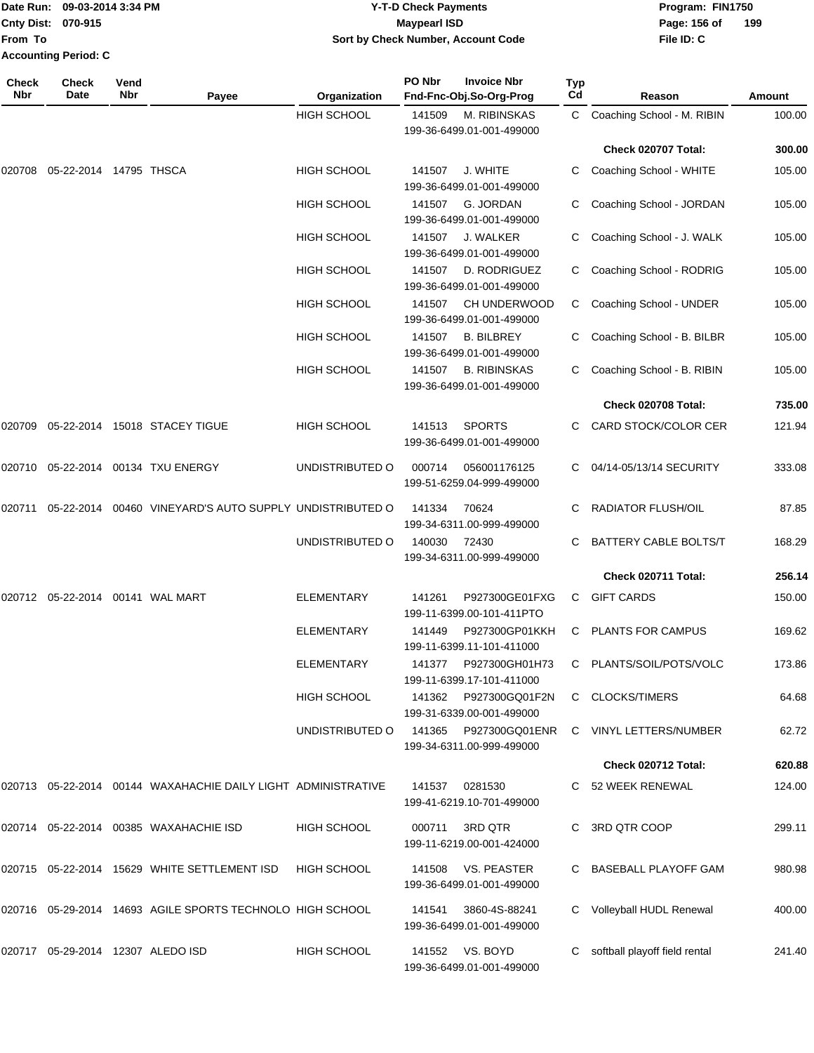|                             | Date Run: 09-03-2014 3:34 PM | <b>Y-T-D Check Payments</b>        | Program: FIN1750               |
|-----------------------------|------------------------------|------------------------------------|--------------------------------|
| <b>Cnty Dist: 070-915</b>   |                              | Maypearl ISD                       | $\overline{1}$<br>Page: 156 of |
| lFrom To                    |                              | Sort by Check Number, Account Code | File ID: C                     |
| <b>Accounting Period: C</b> |                              |                                    |                                |

**199**

| Check<br>Nbr | <b>Check</b><br>Date              | Vend<br>Nbr | Payee                                                         | Organization       | PO Nbr | <b>Invoice Nbr</b><br>Fnd-Fnc-Obj.So-Org-Prog    | Typ<br>Cd | Reason                        | Amount |
|--------------|-----------------------------------|-------------|---------------------------------------------------------------|--------------------|--------|--------------------------------------------------|-----------|-------------------------------|--------|
|              |                                   |             |                                                               | <b>HIGH SCHOOL</b> | 141509 | M. RIBINSKAS<br>199-36-6499.01-001-499000        | C         | Coaching School - M. RIBIN    | 100.00 |
|              |                                   |             |                                                               |                    |        |                                                  |           | Check 020707 Total:           | 300.00 |
| 020708       | 05-22-2014 14795 THSCA            |             |                                                               | <b>HIGH SCHOOL</b> | 141507 | J. WHITE<br>199-36-6499.01-001-499000            | C         | Coaching School - WHITE       | 105.00 |
|              |                                   |             |                                                               | <b>HIGH SCHOOL</b> | 141507 | G. JORDAN<br>199-36-6499.01-001-499000           | C         | Coaching School - JORDAN      | 105.00 |
|              |                                   |             |                                                               | <b>HIGH SCHOOL</b> | 141507 | J. WALKER<br>199-36-6499.01-001-499000           | С         | Coaching School - J. WALK     | 105.00 |
|              |                                   |             |                                                               | <b>HIGH SCHOOL</b> | 141507 | D. RODRIGUEZ<br>199-36-6499.01-001-499000        | С         | Coaching School - RODRIG      | 105.00 |
|              |                                   |             |                                                               | <b>HIGH SCHOOL</b> | 141507 | <b>CH UNDERWOOD</b><br>199-36-6499.01-001-499000 | C         | Coaching School - UNDER       | 105.00 |
|              |                                   |             |                                                               | <b>HIGH SCHOOL</b> | 141507 | <b>B. BILBREY</b><br>199-36-6499.01-001-499000   | С         | Coaching School - B. BILBR    | 105.00 |
|              |                                   |             |                                                               | <b>HIGH SCHOOL</b> | 141507 | <b>B. RIBINSKAS</b><br>199-36-6499.01-001-499000 |           | Coaching School - B. RIBIN    | 105.00 |
|              |                                   |             |                                                               |                    |        |                                                  |           | Check 020708 Total:           | 735.00 |
| 020709       |                                   |             | 05-22-2014 15018 STACEY TIGUE                                 | <b>HIGH SCHOOL</b> | 141513 | <b>SPORTS</b><br>199-36-6499.01-001-499000       |           | CARD STOCK/COLOR CER          | 121.94 |
| 020710       |                                   |             | 05-22-2014 00134 TXU ENERGY                                   | UNDISTRIBUTED O    | 000714 | 056001176125<br>199-51-6259.04-999-499000        |           | 04/14-05/13/14 SECURITY       | 333.08 |
| 020711       |                                   |             | 05-22-2014 00460 VINEYARD'S AUTO SUPPLY UNDISTRIBUTED O       |                    | 141334 | 70624<br>199-34-6311.00-999-499000               | C         | <b>RADIATOR FLUSH/OIL</b>     | 87.85  |
|              |                                   |             |                                                               | UNDISTRIBUTED O    | 140030 | 72430<br>199-34-6311.00-999-499000               |           | BATTERY CABLE BOLTS/T         | 168.29 |
|              |                                   |             |                                                               |                    |        |                                                  |           | Check 020711 Total:           | 256.14 |
| 020712       | 05-22-2014 00141 WAL MART         |             |                                                               | <b>ELEMENTARY</b>  | 141261 | P927300GE01FXG<br>199-11-6399.00-101-411PTO      | C.        | <b>GIFT CARDS</b>             | 150.00 |
|              |                                   |             |                                                               | <b>ELEMENTARY</b>  | 141449 | P927300GP01KKH<br>199-11-6399.11-101-411000      | C         | <b>PLANTS FOR CAMPUS</b>      | 169.62 |
|              |                                   |             |                                                               | ELEMENTARY         | 141377 | P927300GH01H73<br>199-11-6399.17-101-411000      | C         | PLANTS/SOIL/POTS/VOLC         | 173.86 |
|              |                                   |             |                                                               | <b>HIGH SCHOOL</b> | 141362 | P927300GQ01F2N<br>199-31-6339.00-001-499000      | C.        | <b>CLOCKS/TIMERS</b>          | 64.68  |
|              |                                   |             |                                                               | UNDISTRIBUTED O    | 141365 | P927300GQ01ENR<br>199-34-6311.00-999-499000      | C         | <b>VINYL LETTERS/NUMBER</b>   | 62.72  |
|              |                                   |             |                                                               |                    |        |                                                  |           | Check 020712 Total:           | 620.88 |
|              |                                   |             | 020713 05-22-2014 00144 WAXAHACHIE DAILY LIGHT ADMINISTRATIVE |                    | 141537 | 0281530<br>199-41-6219.10-701-499000             |           | C 52 WEEK RENEWAL             | 124.00 |
|              |                                   |             | 020714  05-22-2014  00385  WAXAHACHIE ISD                     | <b>HIGH SCHOOL</b> | 000711 | 3RD QTR<br>199-11-6219.00-001-424000             | C         | 3RD QTR COOP                  | 299.11 |
|              |                                   |             | 020715 05-22-2014 15629 WHITE SETTLEMENT ISD                  | <b>HIGH SCHOOL</b> | 141508 | VS. PEASTER<br>199-36-6499.01-001-499000         |           | BASEBALL PLAYOFF GAM          | 980.98 |
|              |                                   |             | 020716  05-29-2014  14693  AGILE SPORTS TECHNOLO HIGH SCHOOL  |                    | 141541 | 3860-4S-88241<br>199-36-6499.01-001-499000       |           | Volleyball HUDL Renewal       | 400.00 |
|              | 020717 05-29-2014 12307 ALEDO ISD |             |                                                               | <b>HIGH SCHOOL</b> | 141552 | VS. BOYD<br>199-36-6499.01-001-499000            | С         | softball playoff field rental | 241.40 |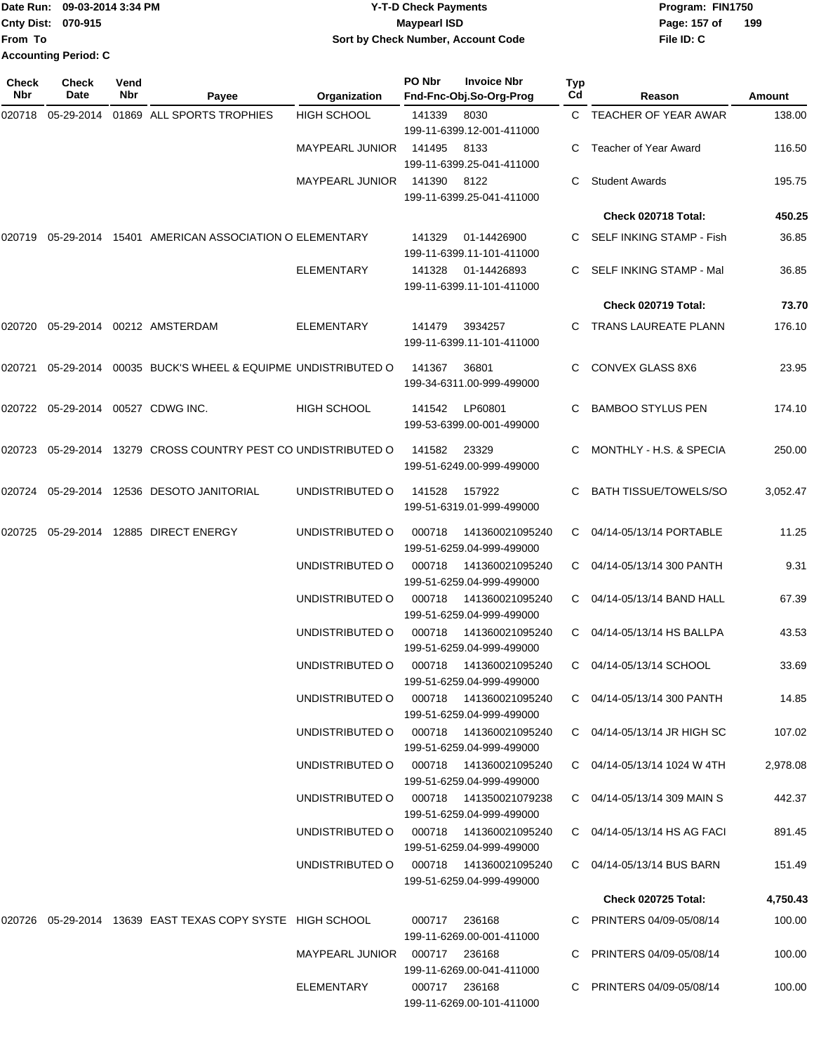|                             | Date Run: 09-03-2014 3:34 PM | Y-T-D Check Payments               | Program: FIN1750    |
|-----------------------------|------------------------------|------------------------------------|---------------------|
| <b>Cnty Dist: 070-915</b>   |                              | <b>Maypearl ISD</b>                | Page: 157 of<br>199 |
| lFrom To                    |                              | Sort by Check Number, Account Code | File ID: C          |
| <b>Accounting Period: C</b> |                              |                                    |                     |

| <b>Check</b><br>Nbr | <b>Check</b><br>Date              | Vend<br>Nbr | Payee                                                         | Organization                  | PO Nbr                                               | <b>Invoice Nbr</b><br>Fnd-Fnc-Obj.So-Org-Prog        | Typ<br>Cd                  | Reason                       | Amount   |
|---------------------|-----------------------------------|-------------|---------------------------------------------------------------|-------------------------------|------------------------------------------------------|------------------------------------------------------|----------------------------|------------------------------|----------|
| 020718              | 05-29-2014                        |             | 01869 ALL SPORTS TROPHIES                                     | <b>HIGH SCHOOL</b>            | 141339                                               | 8030                                                 |                            | C TEACHER OF YEAR AWAR       | 138.00   |
|                     |                                   |             |                                                               |                               |                                                      | 199-11-6399.12-001-411000                            |                            |                              |          |
|                     |                                   |             |                                                               | <b>MAYPEARL JUNIOR</b>        | 141495                                               | 8133<br>199-11-6399.25-041-411000                    |                            | Teacher of Year Award        | 116.50   |
|                     |                                   |             |                                                               | <b>MAYPEARL JUNIOR</b>        | 141390                                               | 8122<br>199-11-6399.25-041-411000                    | C.                         | <b>Student Awards</b>        | 195.75   |
|                     |                                   |             |                                                               |                               |                                                      |                                                      |                            | Check 020718 Total:          | 450.25   |
| 020719              |                                   |             | 05-29-2014 15401 AMERICAN ASSOCIATION O ELEMENTARY            |                               | 141329                                               | 01-14426900                                          |                            | C SELF INKING STAMP - Fish   | 36.85    |
|                     |                                   |             |                                                               |                               |                                                      | 199-11-6399.11-101-411000                            |                            |                              |          |
|                     |                                   |             |                                                               | <b>ELEMENTARY</b>             | 141328                                               | 01-14426893<br>199-11-6399.11-101-411000             | C.                         | SELF INKING STAMP - Mal      | 36.85    |
|                     |                                   |             |                                                               |                               |                                                      |                                                      |                            | Check 020719 Total:          | 73.70    |
| 020720              |                                   |             | 05-29-2014 00212 AMSTERDAM                                    | <b>ELEMENTARY</b>             | 141479                                               | 3934257<br>199-11-6399.11-101-411000                 |                            | TRANS LAUREATE PLANN         | 176.10   |
| 020721              | 05-29-2014                        |             | 00035 BUCK'S WHEEL & EQUIPME UNDISTRIBUTED O                  |                               | 141367                                               | 36801<br>199-34-6311.00-999-499000                   | C.                         | <b>CONVEX GLASS 8X6</b>      | 23.95    |
|                     | 020722 05-29-2014 00527 CDWG INC. |             |                                                               | <b>HIGH SCHOOL</b>            | 141542                                               | LP60801<br>199-53-6399.00-001-499000                 | C                          | <b>BAMBOO STYLUS PEN</b>     | 174.10   |
| 020723              | 05-29-2014                        |             | 13279 CROSS COUNTRY PEST CO UNDISTRIBUTED O                   |                               | 141582                                               | 23329<br>199-51-6249.00-999-499000                   | C.                         | MONTHLY - H.S. & SPECIA      | 250.00   |
| 020724              |                                   |             | 05-29-2014  12536  DESOTO JANITORIAL                          | UNDISTRIBUTED O               | 141528                                               | 157922<br>199-51-6319.01-999-499000                  | C.                         | <b>BATH TISSUE/TOWELS/SO</b> | 3,052.47 |
| 020725              | 05-29-2014                        |             | 12885 DIRECT ENERGY                                           | UNDISTRIBUTED O               | 000718                                               | 141360021095240<br>199-51-6259.04-999-499000         | C.                         | 04/14-05/13/14 PORTABLE      | 11.25    |
|                     |                                   |             |                                                               | UNDISTRIBUTED O               | 000718                                               | 141360021095240<br>199-51-6259.04-999-499000         |                            | C 04/14-05/13/14 300 PANTH   | 9.31     |
|                     |                                   |             |                                                               | UNDISTRIBUTED O               | 000718                                               | 141360021095240<br>199-51-6259.04-999-499000         | C.                         | 04/14-05/13/14 BAND HALL     | 67.39    |
|                     |                                   |             |                                                               | UNDISTRIBUTED O               | 000718                                               | 141360021095240<br>199-51-6259.04-999-499000         | C.                         | 04/14-05/13/14 HS BALLPA     | 43.53    |
|                     |                                   |             |                                                               | UNDISTRIBUTED O               | 000718                                               | 141360021095240<br>199-51-6259.04-999-499000         | C.                         | 04/14-05/13/14 SCHOOL        | 33.69    |
|                     |                                   |             | UNDISTRIBUTED O                                               |                               | 000718  141360021095240<br>199-51-6259.04-999-499000 |                                                      | C 04/14-05/13/14 300 PANTH | 14.85                        |          |
|                     |                                   |             |                                                               | UNDISTRIBUTED O               |                                                      | 000718  141360021095240<br>199-51-6259.04-999-499000 |                            | C 04/14-05/13/14 JR HIGH SC  | 107.02   |
|                     |                                   |             |                                                               | UNDISTRIBUTED O               | 000718                                               | 141360021095240<br>199-51-6259.04-999-499000         |                            | C 04/14-05/13/14 1024 W 4TH  | 2,978.08 |
|                     |                                   |             |                                                               | UNDISTRIBUTED O               |                                                      | 000718  141350021079238<br>199-51-6259.04-999-499000 |                            | C 04/14-05/13/14 309 MAIN S  | 442.37   |
|                     |                                   |             |                                                               | UNDISTRIBUTED O               |                                                      | 000718  141360021095240<br>199-51-6259.04-999-499000 |                            | C 04/14-05/13/14 HS AG FACI  | 891.45   |
|                     |                                   |             |                                                               | UNDISTRIBUTED O               |                                                      | 000718  141360021095240<br>199-51-6259.04-999-499000 |                            | C 04/14-05/13/14 BUS BARN    | 151.49   |
|                     |                                   |             |                                                               |                               |                                                      |                                                      |                            | <b>Check 020725 Total:</b>   | 4,750.43 |
|                     |                                   |             | 020726  05-29-2014  13639  EAST TEXAS COPY SYSTE  HIGH SCHOOL |                               | 000717                                               | 236168<br>199-11-6269.00-001-411000                  |                            | C PRINTERS 04/09-05/08/14    | 100.00   |
|                     |                                   |             |                                                               | MAYPEARL JUNIOR 000717 236168 |                                                      | 199-11-6269.00-041-411000                            |                            | C PRINTERS 04/09-05/08/14    | 100.00   |
|                     |                                   |             |                                                               | ELEMENTARY                    |                                                      | 000717 236168<br>199-11-6269.00-101-411000           |                            | C PRINTERS 04/09-05/08/14    | 100.00   |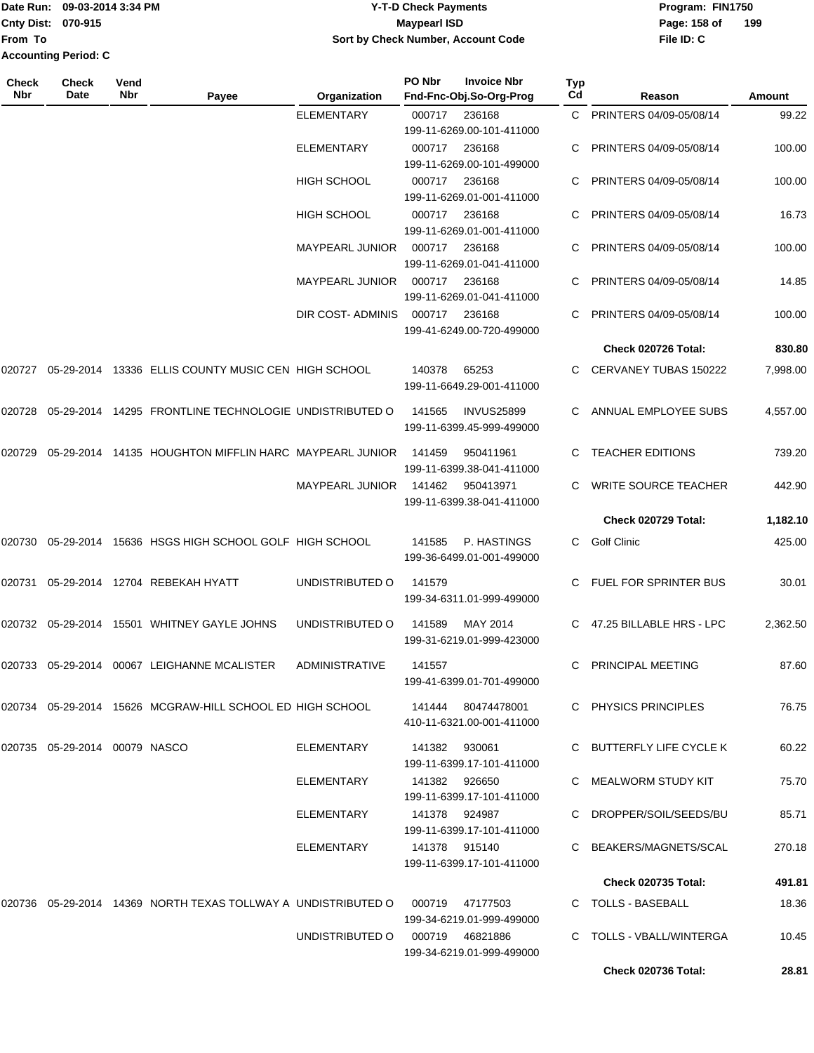**From To Accounting Period: C**

## Date Run: 09-03-2014 3:34 PM **Program:** FIN1750 **Cnty Dist:** 070-915 **Page:** 158 of **Y-T-D Check Payments 070-915 Maypearl ISD Sort by Check Number, Account Code**

| Check<br><b>Nbr</b> | Check<br>Date                    | Vend<br><b>Nbr</b> | Payee                                                                         | Organization           | PO Nbr        | <b>Invoice Nbr</b><br>Fnd-Fnc-Obj.So-Org-Prog    | <b>Typ</b><br>Cd | Reason                     | Amount   |
|---------------------|----------------------------------|--------------------|-------------------------------------------------------------------------------|------------------------|---------------|--------------------------------------------------|------------------|----------------------------|----------|
|                     |                                  |                    |                                                                               | <b>ELEMENTARY</b>      | 000717        | 236168<br>199-11-6269.00-101-411000              |                  | C PRINTERS 04/09-05/08/14  | 99.22    |
|                     |                                  |                    |                                                                               | <b>ELEMENTARY</b>      | 000717        | 236168<br>199-11-6269.00-101-499000              |                  | PRINTERS 04/09-05/08/14    | 100.00   |
|                     |                                  |                    |                                                                               | <b>HIGH SCHOOL</b>     | 000717 236168 | 199-11-6269.01-001-411000                        |                  | PRINTERS 04/09-05/08/14    | 100.00   |
|                     |                                  |                    |                                                                               | <b>HIGH SCHOOL</b>     | 000717        | 236168<br>199-11-6269.01-001-411000              | C.               | PRINTERS 04/09-05/08/14    | 16.73    |
|                     |                                  |                    |                                                                               | <b>MAYPEARL JUNIOR</b> | 000717        | 236168<br>199-11-6269.01-041-411000              |                  | C PRINTERS 04/09-05/08/14  | 100.00   |
|                     |                                  |                    |                                                                               | <b>MAYPEARL JUNIOR</b> | 000717        | 236168<br>199-11-6269.01-041-411000              |                  | PRINTERS 04/09-05/08/14    | 14.85    |
|                     |                                  |                    |                                                                               | DIR COST-ADMINIS       | 000717        | 236168<br>199-41-6249.00-720-499000              |                  | PRINTERS 04/09-05/08/14    | 100.00   |
|                     |                                  |                    |                                                                               |                        |               |                                                  |                  | Check 020726 Total:        | 830.80   |
|                     |                                  |                    | 020727 05-29-2014 13336 ELLIS COUNTY MUSIC CEN HIGH SCHOOL                    |                        | 140378        | 65253<br>199-11-6649.29-001-411000               |                  | C CERVANEY TUBAS 150222    | 7,998.00 |
| 020728              |                                  |                    | 05-29-2014 14295 FRONTLINE TECHNOLOGIE UNDISTRIBUTED O                        |                        | 141565        | <b>INVUS25899</b><br>199-11-6399.45-999-499000   | C.               | ANNUAL EMPLOYEE SUBS       | 4,557.00 |
| 020729              |                                  |                    | 05-29-2014 14135 HOUGHTON MIFFLIN HARC MAYPEARL JUNIOR                        |                        | 141459        | 950411961<br>199-11-6399.38-041-411000           |                  | C TEACHER EDITIONS         | 739.20   |
|                     |                                  |                    |                                                                               | <b>MAYPEARL JUNIOR</b> | 141462        | 950413971<br>199-11-6399.38-041-411000           |                  | C WRITE SOURCE TEACHER     | 442.90   |
|                     |                                  |                    |                                                                               |                        |               |                                                  |                  | Check 020729 Total:        | 1,182.10 |
| 020730              |                                  |                    | 05-29-2014 15636 HSGS HIGH SCHOOL GOLF HIGH SCHOOL                            |                        | 141585        | P. HASTINGS<br>199-36-6499.01-001-499000         | C.               | Golf Clinic                | 425.00   |
| 020731              |                                  |                    | 05-29-2014 12704 REBEKAH HYATT                                                | UNDISTRIBUTED O        | 141579        | 199-34-6311.01-999-499000                        |                  | FUEL FOR SPRINTER BUS      | 30.01    |
|                     |                                  |                    | 020732 05-29-2014 15501 WHITNEY GAYLE JOHNS                                   | UNDISTRIBUTED O        | 141589        | MAY 2014<br>199-31-6219.01-999-423000            |                  | C 47.25 BILLABLE HRS - LPC | 2,362.50 |
|                     |                                  |                    | 020733 05-29-2014 00067 LEIGHANNE MCALISTER                                   | ADMINISTRATIVE         | 141557        | 199-41-6399.01-701-499000                        |                  | C PRINCIPAL MEETING        | 87.60    |
|                     |                                  |                    | 020734 05-29-2014 15626 MCGRAW-HILL SCHOOL ED HIGH SCHOOL                     |                        |               | 141444  80474478001<br>410-11-6321.00-001-411000 |                  | C PHYSICS PRINCIPLES       | 76.75    |
|                     | 020735  05-29-2014  00079  NASCO |                    |                                                                               | ELEMENTARY             | 141382 930061 | 199-11-6399.17-101-411000                        |                  | C BUTTERFLY LIFE CYCLE K   | 60.22    |
|                     |                                  |                    |                                                                               | ELEMENTARY             | 141382 926650 | 199-11-6399.17-101-411000                        |                  | C MEALWORM STUDY KIT       | 75.70    |
|                     |                                  |                    |                                                                               | ELEMENTARY             | 141378 924987 | 199-11-6399.17-101-411000                        |                  | C DROPPER/SOIL/SEEDS/BU    | 85.71    |
|                     |                                  |                    |                                                                               | ELEMENTARY             | 141378 915140 | 199-11-6399.17-101-411000                        |                  | C BEAKERS/MAGNETS/SCAL     | 270.18   |
|                     |                                  |                    |                                                                               |                        |               |                                                  |                  | <b>Check 020735 Total:</b> | 491.81   |
|                     |                                  |                    | 020736 05-29-2014 14369 NORTH TEXAS TOLLWAY A UNDISTRIBUTED O 000719 47177503 |                        |               | 199-34-6219.01-999-499000                        |                  | C TOLLS - BASEBALL         | 18.36    |
|                     |                                  |                    |                                                                               | UNDISTRIBUTED O        |               | 000719 46821886<br>199-34-6219.01-999-499000     |                  | C TOLLS - VBALL/WINTERGA   | 10.45    |
|                     |                                  |                    |                                                                               |                        |               |                                                  |                  | <b>Check 020736 Total:</b> | 28.81    |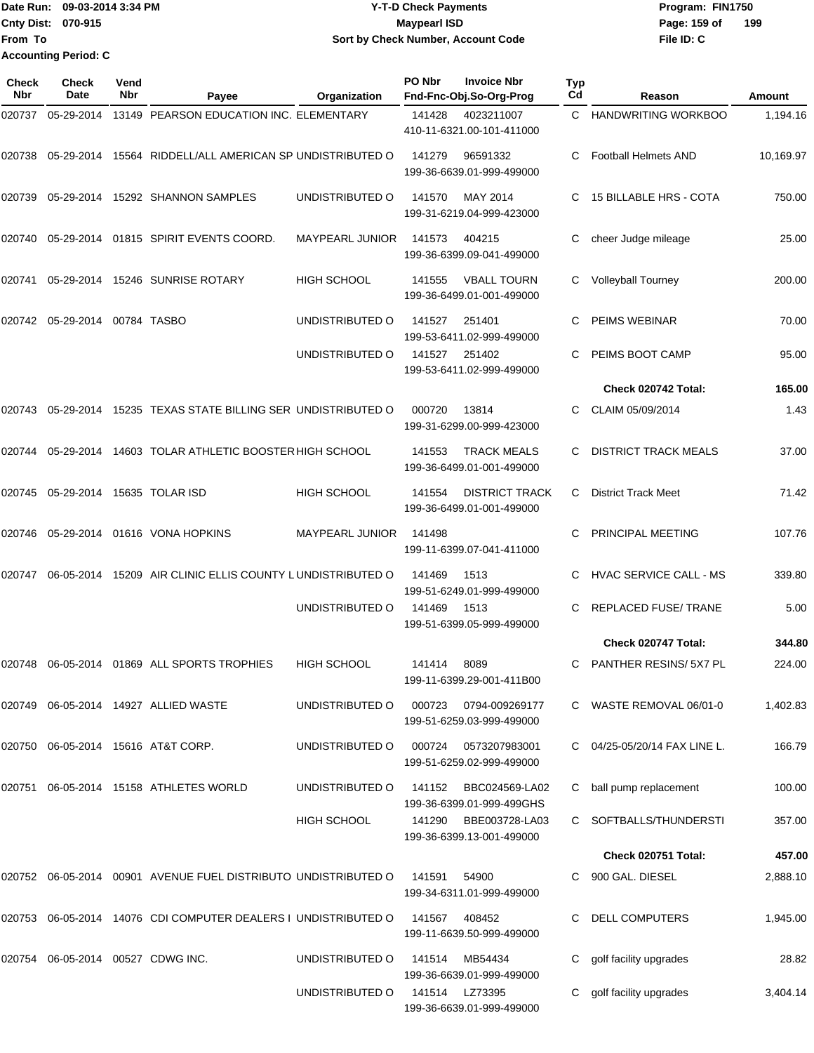|                           | Date Run: 09-03-2014 3:34 PM | <b>Y-T-D Check Payments</b>        | Program: FIN1750    |  |  |
|---------------------------|------------------------------|------------------------------------|---------------------|--|--|
| <b>Cnty Dist: 070-915</b> |                              | <b>Mavpearl ISD</b>                | 199<br>Page: 159 of |  |  |
| <b>From To</b>            |                              | Sort by Check Number, Account Code | File ID: C          |  |  |
|                           | <b>Accounting Period: C</b>  |                                    |                     |  |  |

| Check<br>Nbr | <b>Check</b><br>Date              | Vend<br>Nbr | Payee                                                              | Organization           | PO Nbr         | <b>Invoice Nbr</b><br>Fnd-Fnc-Obj.So-Org-Prog      | Typ<br>Cd | Reason                        | Amount    |
|--------------|-----------------------------------|-------------|--------------------------------------------------------------------|------------------------|----------------|----------------------------------------------------|-----------|-------------------------------|-----------|
| 020737       | 05-29-2014                        |             | 13149 PEARSON EDUCATION INC. ELEMENTARY                            |                        | 141428         | 4023211007<br>410-11-6321.00-101-411000            | C.        | <b>HANDWRITING WORKBOO</b>    | 1,194.16  |
|              |                                   |             | 020738 05-29-2014 15564 RIDDELL/ALL AMERICAN SP UNDISTRIBUTED O    |                        | 141279         | 96591332<br>199-36-6639.01-999-499000              | C.        | <b>Football Helmets AND</b>   | 10,169.97 |
| 020739       |                                   |             | 05-29-2014 15292 SHANNON SAMPLES                                   | UNDISTRIBUTED O        | 141570         | MAY 2014<br>199-31-6219.04-999-423000              | C.        | 15 BILLABLE HRS - COTA        | 750.00    |
| 020740       |                                   |             | 05-29-2014  01815  SPIRIT EVENTS COORD.                            | <b>MAYPEARL JUNIOR</b> | 141573         | 404215<br>199-36-6399.09-041-499000                | С         | cheer Judge mileage           | 25.00     |
| 020741       |                                   |             | 05-29-2014 15246 SUNRISE ROTARY                                    | HIGH SCHOOL            | 141555         | <b>VBALL TOURN</b><br>199-36-6499.01-001-499000    | С         | <b>Volleyball Tourney</b>     | 200.00    |
|              | 020742  05-29-2014  00784  TASBO  |             |                                                                    | UNDISTRIBUTED O        | 141527         | 251401<br>199-53-6411.02-999-499000                | C.        | PEIMS WEBINAR                 | 70.00     |
|              |                                   |             |                                                                    | UNDISTRIBUTED O        | 141527         | 251402<br>199-53-6411.02-999-499000                | C.        | PEIMS BOOT CAMP               | 95.00     |
|              |                                   |             |                                                                    |                        |                |                                                    |           | Check 020742 Total:           | 165.00    |
|              |                                   |             | 020743  05-29-2014  15235  TEXAS STATE BILLING SER UNDISTRIBUTED O |                        | 000720         | 13814<br>199-31-6299.00-999-423000                 |           | CLAIM 05/09/2014              | 1.43      |
| 020744       |                                   |             | 05-29-2014 14603 TOLAR ATHLETIC BOOSTER HIGH SCHOOL                |                        | 141553         | <b>TRACK MEALS</b><br>199-36-6499.01-001-499000    | C.        | <b>DISTRICT TRACK MEALS</b>   | 37.00     |
|              | 020745 05-29-2014 15635 TOLAR ISD |             |                                                                    | <b>HIGH SCHOOL</b>     | 141554         | <b>DISTRICT TRACK</b><br>199-36-6499.01-001-499000 | C.        | <b>District Track Meet</b>    | 71.42     |
| 020746       |                                   |             | 05-29-2014  01616  VONA HOPKINS                                    | <b>MAYPEARL JUNIOR</b> | 141498         | 199-11-6399.07-041-411000                          |           | PRINCIPAL MEETING             | 107.76    |
| 020747       |                                   |             | 06-05-2014 15209 AIR CLINIC ELLIS COUNTY LUNDISTRIBUTED O          |                        | 141469         | 1513<br>199-51-6249.01-999-499000                  | C.        | <b>HVAC SERVICE CALL - MS</b> | 339.80    |
|              |                                   |             |                                                                    | UNDISTRIBUTED O        | 141469         | 1513<br>199-51-6399.05-999-499000                  | C.        | <b>REPLACED FUSE/ TRANE</b>   | 5.00      |
|              |                                   |             |                                                                    |                        |                |                                                    |           | Check 020747 Total:           | 344.80    |
|              |                                   |             | 020748  06-05-2014  01869  ALL SPORTS TROPHIES                     | <b>HIGH SCHOOL</b>     | 141414         | 8089<br>199-11-6399.29-001-411B00                  | C         | PANTHER RESINS/ 5X7 PL        | 224.00    |
|              |                                   |             | 020749   06-05-2014   14927   ALLIED WASTE                         | UNDISTRIBUTED O        |                | 000723 0794-009269177<br>199-51-6259.03-999-499000 |           | C WASTE REMOVAL 06/01-0       | 1,402.83  |
|              |                                   |             | 020750 06-05-2014 15616 AT&T CORP.                                 | UNDISTRIBUTED O        | 000724         | 0573207983001<br>199-51-6259.02-999-499000         |           | 04/25-05/20/14 FAX LINE L.    | 166.79    |
| 020751       |                                   |             | 06-05-2014 15158 ATHLETES WORLD                                    | UNDISTRIBUTED O        |                | 141152 BBC024569-LA02<br>199-36-6399.01-999-499GHS | C         | ball pump replacement         | 100.00    |
|              |                                   |             |                                                                    | HIGH SCHOOL            | 141290         | BBE003728-LA03<br>199-36-6399.13-001-499000        |           | C SOFTBALLS/THUNDERSTI        | 357.00    |
|              |                                   |             |                                                                    |                        |                |                                                    |           | Check 020751 Total:           | 457.00    |
|              |                                   |             | 020752 06-05-2014 00901 AVENUE FUEL DISTRIBUTO UNDISTRIBUTED O     |                        | 141591         | 54900<br>199-34-6311.01-999-499000                 |           | 900 GAL. DIESEL               | 2,888.10  |
|              |                                   |             | 020753  06-05-2014  14076  CDI COMPUTER DEALERS I UNDISTRIBUTED O  |                        | 141567         | 408452<br>199-11-6639.50-999-499000                |           | <b>DELL COMPUTERS</b>         | 1,945.00  |
|              | 020754 06-05-2014 00527 CDWG INC. |             |                                                                    | UNDISTRIBUTED O        | 141514         | MB54434<br>199-36-6639.01-999-499000               | C         | golf facility upgrades        | 28.82     |
|              |                                   |             |                                                                    | UNDISTRIBUTED O        | 141514 LZ73395 | 199-36-6639.01-999-499000                          | C         | golf facility upgrades        | 3,404.14  |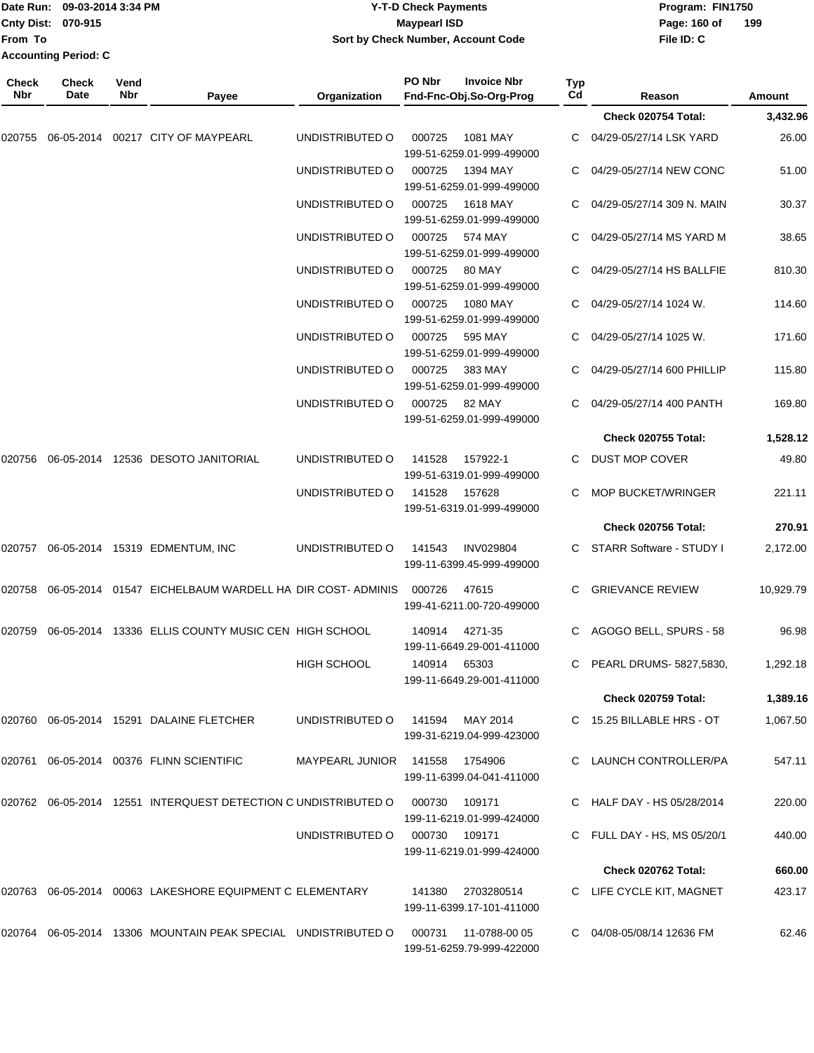|                     | Date Run: 09-03-2014 3:34 PM |             |                                                                   |                                    | <b>Y-T-D Check Payments</b> | Program: FIN1750                              |                  |                                 |               |  |
|---------------------|------------------------------|-------------|-------------------------------------------------------------------|------------------------------------|-----------------------------|-----------------------------------------------|------------------|---------------------------------|---------------|--|
|                     | Cnty Dist: 070-915           |             |                                                                   |                                    | <b>Maypearl ISD</b>         |                                               |                  | Page: 160 of                    | 199           |  |
| From To             | <b>Accounting Period: C</b>  |             |                                                                   | Sort by Check Number, Account Code |                             |                                               |                  | File ID: C                      |               |  |
|                     |                              |             |                                                                   |                                    |                             |                                               |                  |                                 |               |  |
| <b>Check</b><br>Nbr | Check<br>Date                | Vend<br>Nbr | Payee                                                             | Organization                       | PO Nbr                      | <b>Invoice Nbr</b><br>Fnd-Fnc-Obj.So-Org-Prog | <b>Typ</b><br>Cd | Reason                          | <b>Amount</b> |  |
|                     |                              |             |                                                                   |                                    |                             |                                               |                  | Check 020754 Total:             | 3,432.96      |  |
| 020755              |                              |             | 06-05-2014 00217 CITY OF MAYPEARL                                 | UNDISTRIBUTED O                    | 000725                      | 1081 MAY                                      |                  | 04/29-05/27/14 LSK YARD         | 26.00         |  |
|                     |                              |             |                                                                   |                                    |                             | 199-51-6259.01-999-499000                     |                  |                                 |               |  |
|                     |                              |             |                                                                   | UNDISTRIBUTED O                    | 000725                      | 1394 MAY<br>199-51-6259.01-999-499000         |                  | 04/29-05/27/14 NEW CONC         | 51.00         |  |
|                     |                              |             |                                                                   | UNDISTRIBUTED O                    | 000725                      | 1618 MAY<br>199-51-6259.01-999-499000         | С                | 04/29-05/27/14 309 N. MAIN      | 30.37         |  |
|                     |                              |             |                                                                   | UNDISTRIBUTED O                    | 000725                      | 574 MAY<br>199-51-6259.01-999-499000          |                  | 04/29-05/27/14 MS YARD M        | 38.65         |  |
|                     |                              |             |                                                                   | UNDISTRIBUTED O                    | 000725                      | 80 MAY<br>199-51-6259.01-999-499000           |                  | 04/29-05/27/14 HS BALLFIE       | 810.30        |  |
|                     |                              |             |                                                                   | UNDISTRIBUTED O                    | 000725                      | 1080 MAY<br>199-51-6259.01-999-499000         | C.               | 04/29-05/27/14 1024 W.          | 114.60        |  |
|                     |                              |             |                                                                   | UNDISTRIBUTED O                    | 000725                      | 595 MAY<br>199-51-6259.01-999-499000          |                  | 04/29-05/27/14 1025 W.          | 171.60        |  |
|                     |                              |             |                                                                   | UNDISTRIBUTED O                    | 000725                      | 383 MAY<br>199-51-6259.01-999-499000          |                  | 04/29-05/27/14 600 PHILLIP      | 115.80        |  |
|                     |                              |             |                                                                   | UNDISTRIBUTED O                    | 000725                      | 82 MAY<br>199-51-6259.01-999-499000           | С                | 04/29-05/27/14 400 PANTH        | 169.80        |  |
|                     |                              |             |                                                                   |                                    |                             |                                               |                  | <b>Check 020755 Total:</b>      | 1,528.12      |  |
|                     |                              |             | 020756 06-05-2014 12536 DESOTO JANITORIAL                         | UNDISTRIBUTED O                    | 141528                      | 157922-1<br>199-51-6319.01-999-499000         | С                | DUST MOP COVER                  | 49.80         |  |
|                     |                              |             |                                                                   | UNDISTRIBUTED O                    | 141528                      | 157628<br>199-51-6319.01-999-499000           |                  | <b>MOP BUCKET/WRINGER</b>       | 221.11        |  |
|                     |                              |             |                                                                   |                                    |                             |                                               |                  | Check 020756 Total:             | 270.91        |  |
|                     |                              |             | 020757 06-05-2014 15319 EDMENTUM, INC                             | UNDISTRIBUTED O                    | 141543                      | <b>INV029804</b><br>199-11-6399.45-999-499000 |                  | <b>STARR Software - STUDY I</b> | 2,172.00      |  |
| 020758              |                              |             | 06-05-2014 01547 EICHELBAUM WARDELL HA DIR COST-ADMINIS           |                                    | 000726                      | 47615<br>199-41-6211.00-720-499000            | C.               | <b>GRIEVANCE REVIEW</b>         | 10,929.79     |  |
|                     |                              |             | 020759 06-05-2014 13336 ELLIS COUNTY MUSIC CEN HIGH SCHOOL        |                                    | 140914                      | 4271-35<br>199-11-6649.29-001-411000          |                  | C AGOGO BELL, SPURS - 58        | 96.98         |  |
|                     |                              |             |                                                                   | HIGH SCHOOL                        | 140914                      | 65303<br>199-11-6649.29-001-411000            |                  | C PEARL DRUMS-5827,5830,        | 1,292.18      |  |
|                     |                              |             |                                                                   |                                    |                             |                                               |                  | <b>Check 020759 Total:</b>      | 1,389.16      |  |
|                     |                              |             | 020760 06-05-2014 15291 DALAINE FLETCHER                          | UNDISTRIBUTED O                    | 141594                      | MAY 2014                                      |                  | C 15.25 BILLABLE HRS - OT       | 1,067.50      |  |
|                     |                              |             |                                                                   |                                    |                             | 199-31-6219.04-999-423000                     |                  |                                 |               |  |
|                     |                              |             | 020761 06-05-2014 00376 FLINN SCIENTIFIC                          | MAYPEARL JUNIOR                    | 141558                      | 1754906<br>199-11-6399.04-041-411000          |                  | C LAUNCH CONTROLLER/PA          | 547.11        |  |
|                     |                              |             | 020762  06-05-2014  12551 INTERQUEST DETECTION C UNDISTRIBUTED O  |                                    | 000730                      | 109171<br>199-11-6219.01-999-424000           |                  | C HALF DAY - HS 05/28/2014      | 220.00        |  |
|                     |                              |             |                                                                   | UNDISTRIBUTED O                    | 000730 109171               | 199-11-6219.01-999-424000                     |                  | C FULL DAY - HS, MS $05/20/1$   | 440.00        |  |
|                     |                              |             |                                                                   |                                    |                             |                                               |                  | Check 020762 Total:             | 660.00        |  |
|                     |                              |             | 020763 06-05-2014 00063 LAKESHORE EQUIPMENT C ELEMENTARY          |                                    | 141380                      | 2703280514<br>199-11-6399.17-101-411000       |                  | C LIFE CYCLE KIT, MAGNET        | 423.17        |  |
|                     |                              |             | 020764  06-05-2014  13306  MOUNTAIN PEAK SPECIAL  UNDISTRIBUTED O |                                    | 000731                      | 11-0788-00 05<br>199-51-6259.79-999-422000    |                  | C 04/08-05/08/14 12636 FM       | 62.46         |  |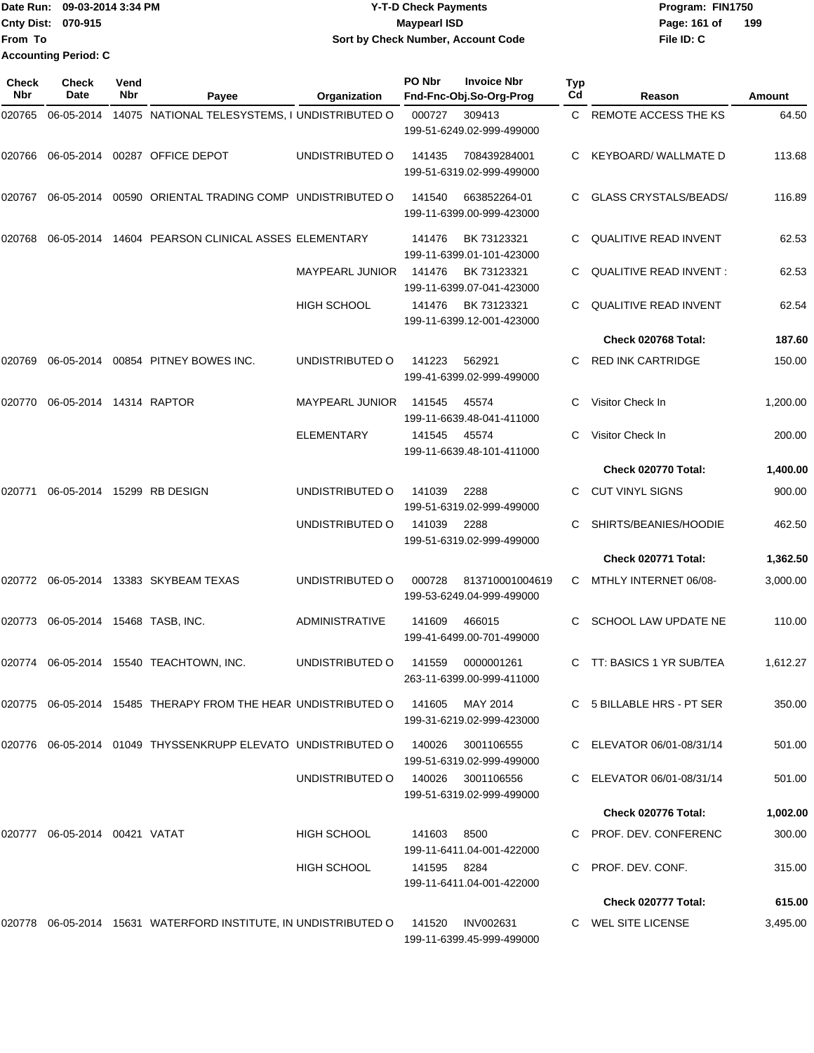|                             | <b>TDate Run: 09-03-2014 3:34 PM</b> | <b>Y-T-D Check Payments</b>        | Program: FIN1750    |
|-----------------------------|--------------------------------------|------------------------------------|---------------------|
| <b>Cnty Dist: 070-915</b>   |                                      | Maypearl ISD                       | 199<br>Page: 161 of |
| <b>From To</b>              |                                      | Sort by Check Number, Account Code | File ID: C          |
| <b>Accounting Period: C</b> |                                      |                                    |                     |

| Check<br>Nbr | <b>Check</b><br>Date          | Vend<br>Nbr | Payee                                                                    | Organization           | PO Nbr | <b>Invoice Nbr</b><br>Fnd-Fnc-Obj.So-Org-Prog | Typ<br>Cd | Reason                        | Amount   |
|--------------|-------------------------------|-------------|--------------------------------------------------------------------------|------------------------|--------|-----------------------------------------------|-----------|-------------------------------|----------|
| 020765       | 06-05-2014                    |             | 14075 NATIONAL TELESYSTEMS, I UNDISTRIBUTED O                            |                        | 000727 | 309413<br>199-51-6249.02-999-499000           | C.        | REMOTE ACCESS THE KS          | 64.50    |
| 020766       | 06-05-2014                    |             | 00287 OFFICE DEPOT                                                       | UNDISTRIBUTED O        | 141435 | 708439284001<br>199-51-6319.02-999-499000     | C.        | KEYBOARD/WALLMATED            | 113.68   |
| 020767       |                               |             | 06-05-2014 00590 ORIENTAL TRADING COMP UNDISTRIBUTED O                   |                        | 141540 | 663852264-01<br>199-11-6399.00-999-423000     |           | <b>GLASS CRYSTALS/BEADS/</b>  | 116.89   |
| 020768       | 06-05-2014                    |             | 14604 PEARSON CLINICAL ASSES ELEMENTARY                                  |                        | 141476 | BK 73123321<br>199-11-6399.01-101-423000      | С         | <b>QUALITIVE READ INVENT</b>  | 62.53    |
|              |                               |             |                                                                          | <b>MAYPEARL JUNIOR</b> | 141476 | BK 73123321<br>199-11-6399.07-041-423000      | С         | <b>QUALITIVE READ INVENT:</b> | 62.53    |
|              |                               |             |                                                                          | <b>HIGH SCHOOL</b>     | 141476 | BK 73123321<br>199-11-6399.12-001-423000      |           | <b>QUALITIVE READ INVENT</b>  | 62.54    |
|              |                               |             |                                                                          |                        |        |                                               |           | Check 020768 Total:           | 187.60   |
| 020769       |                               |             | 06-05-2014 00854 PITNEY BOWES INC.                                       | UNDISTRIBUTED O        | 141223 | 562921<br>199-41-6399.02-999-499000           | C         | <b>RED INK CARTRIDGE</b>      | 150.00   |
| 020770       | 06-05-2014 14314 RAPTOR       |             |                                                                          | <b>MAYPEARL JUNIOR</b> | 141545 | 45574<br>199-11-6639.48-041-411000            |           | Visitor Check In              | 1,200.00 |
|              |                               |             |                                                                          | <b>ELEMENTARY</b>      | 141545 | 45574<br>199-11-6639.48-101-411000            | C         | Visitor Check In              | 200.00   |
|              |                               |             |                                                                          |                        |        |                                               |           | Check 020770 Total:           | 1,400.00 |
| 020771       |                               |             | 06-05-2014 15299 RB DESIGN                                               | UNDISTRIBUTED O        | 141039 | 2288<br>199-51-6319.02-999-499000             | C.        | <b>CUT VINYL SIGNS</b>        | 900.00   |
|              |                               |             |                                                                          | UNDISTRIBUTED O        | 141039 | 2288<br>199-51-6319.02-999-499000             | С         | SHIRTS/BEANIES/HOODIE         | 462.50   |
|              |                               |             |                                                                          |                        |        |                                               |           | Check 020771 Total:           | 1,362.50 |
|              |                               |             | 020772   06-05-2014   13383   SKYBEAM TEXAS                              | UNDISTRIBUTED O        | 000728 | 813710001004619<br>199-53-6249.04-999-499000  | C         | MTHLY INTERNET 06/08-         | 3,000.00 |
| 020773       | 06-05-2014 15468 TASB, INC.   |             |                                                                          | <b>ADMINISTRATIVE</b>  | 141609 | 466015<br>199-41-6499.00-701-499000           | C         | <b>SCHOOL LAW UPDATE NE</b>   | 110.00   |
|              |                               |             | 020774 06-05-2014 15540 TEACHTOWN, INC.                                  | UNDISTRIBUTED O        | 141559 | 0000001261<br>263-11-6399.00-999-411000       | C         | TT: BASICS 1 YR SUB/TEA       | 1,612.27 |
|              |                               |             | 020775  06-05-2014  15485 THERAPY FROM THE HEAR UNDISTRIBUTED O          |                        | 141605 | MAY 2014<br>199-31-6219.02-999-423000         |           | C 5 BILLABLE HRS - PT SER     | 350.00   |
|              |                               |             | 020776    06-05-2014    01049 THYSSENKRUPP ELEVATO    UNDISTRIBUTED    0 |                        | 140026 | 3001106555<br>199-51-6319.02-999-499000       |           | C ELEVATOR 06/01-08/31/14     | 501.00   |
|              |                               |             |                                                                          | UNDISTRIBUTED O        | 140026 | 3001106556<br>199-51-6319.02-999-499000       |           | C ELEVATOR 06/01-08/31/14     | 501.00   |
|              |                               |             |                                                                          |                        |        |                                               |           | Check 020776 Total:           | 1,002.00 |
|              | 020777 06-05-2014 00421 VATAT |             |                                                                          | HIGH SCHOOL            | 141603 | 8500<br>199-11-6411.04-001-422000             |           | C PROF. DEV. CONFERENC        | 300.00   |
|              |                               |             |                                                                          | HIGH SCHOOL            | 141595 | 8284<br>199-11-6411.04-001-422000             |           | PROF. DEV. CONF.              | 315.00   |
|              |                               |             |                                                                          |                        |        |                                               |           | Check 020777 Total:           | 615.00   |
|              |                               |             | 020778 06-05-2014 15631 WATERFORD INSTITUTE, IN UNDISTRIBUTED O          |                        | 141520 | <b>INV002631</b><br>199-11-6399.45-999-499000 |           | C WEL SITE LICENSE            | 3,495.00 |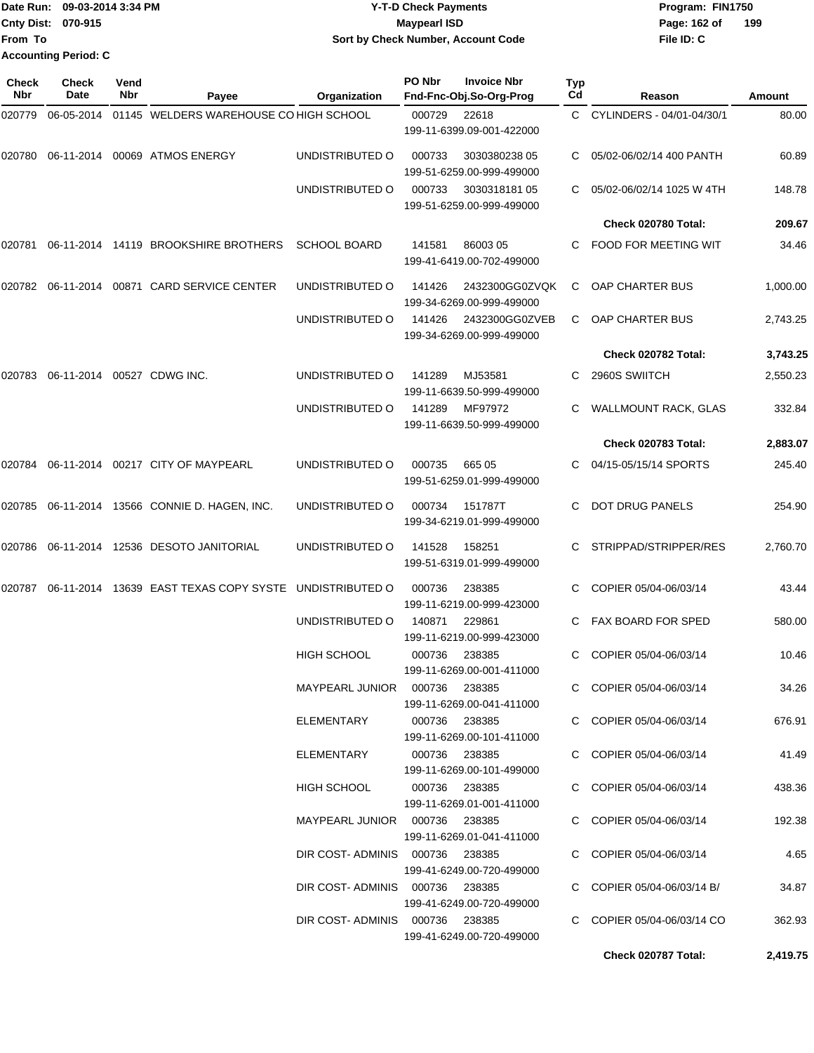| Date Run: 09-03-2014 3:34 PM |                             | <b>Y-T-D Check Payments</b>        | Program: FIN1750    |
|------------------------------|-----------------------------|------------------------------------|---------------------|
| <b>Cnty Dist: 070-915</b>    |                             | Maypearl ISD                       | 199<br>Page: 162 of |
| <b>From To</b>               |                             | Sort by Check Number, Account Code | File ID: C          |
|                              | <b>Accounting Period: C</b> |                                    |                     |

| Check<br><b>Nbr</b> | Check<br>Date | Vend<br>Nbr | Payee                                                  | Organization                    | PO Nbr         | <b>Invoice Nbr</b><br>Fnd-Fnc-Obj.So-Org-Prog | Typ<br>Cd | Reason                      | Amount   |
|---------------------|---------------|-------------|--------------------------------------------------------|---------------------------------|----------------|-----------------------------------------------|-----------|-----------------------------|----------|
| 020779              | 06-05-2014    |             | 01145 WELDERS WAREHOUSE CO HIGH SCHOOL                 |                                 | 000729         | 22618                                         |           | C CYLINDERS - 04/01-04/30/1 | 80.00    |
|                     |               |             |                                                        |                                 |                | 199-11-6399.09-001-422000                     |           |                             |          |
| 020780              |               |             | 06-11-2014 00069 ATMOS ENERGY                          | UNDISTRIBUTED O                 | 000733         | 3030380238 05<br>199-51-6259.00-999-499000    |           | 05/02-06/02/14 400 PANTH    | 60.89    |
|                     |               |             |                                                        | UNDISTRIBUTED O                 | 000733         | 303031818105<br>199-51-6259.00-999-499000     | C.        | 05/02-06/02/14 1025 W 4TH   | 148.78   |
|                     |               |             |                                                        |                                 |                |                                               |           | Check 020780 Total:         | 209.67   |
| 020781              |               |             | 06-11-2014 14119 BROOKSHIRE BROTHERS                   | <b>SCHOOL BOARD</b>             | 141581         | 86003 05<br>199-41-6419.00-702-499000         |           | C FOOD FOR MEETING WIT      | 34.46    |
| 020782              | 06-11-2014    |             | 00871 CARD SERVICE CENTER                              | UNDISTRIBUTED O                 | 141426         | 2432300GG0ZVQK<br>199-34-6269.00-999-499000   | C.        | OAP CHARTER BUS             | 1,000.00 |
|                     |               |             |                                                        | UNDISTRIBUTED O                 | 141426         | 2432300GG0ZVEB<br>199-34-6269.00-999-499000   | C.        | OAP CHARTER BUS             | 2,743.25 |
|                     |               |             |                                                        |                                 |                |                                               |           | Check 020782 Total:         | 3,743.25 |
| 020783              |               |             | 06-11-2014 00527 CDWG INC.                             | UNDISTRIBUTED O                 | 141289         | MJ53581<br>199-11-6639.50-999-499000          | C.        | 2960S SWIITCH               | 2,550.23 |
|                     |               |             |                                                        | UNDISTRIBUTED O                 | 141289         | MF97972<br>199-11-6639.50-999-499000          | C.        | <b>WALLMOUNT RACK, GLAS</b> | 332.84   |
|                     |               |             |                                                        |                                 |                |                                               |           | Check 020783 Total:         | 2,883.07 |
| 020784              |               |             | 06-11-2014 00217 CITY OF MAYPEARL                      | UNDISTRIBUTED O                 | 000735         | 665 05<br>199-51-6259.01-999-499000           | C.        | 04/15-05/15/14 SPORTS       | 245.40   |
|                     |               |             | 020785 06-11-2014 13566 CONNIE D. HAGEN, INC.          | UNDISTRIBUTED O                 | 000734         | 151787T<br>199-34-6219.01-999-499000          | C.        | <b>DOT DRUG PANELS</b>      | 254.90   |
| 020786              |               |             | 06-11-2014  12536  DESOTO JANITORIAL                   | UNDISTRIBUTED O                 | 141528         | 158251<br>199-51-6319.01-999-499000           | C.        | STRIPPAD/STRIPPER/RES       | 2,760.70 |
| 020787              |               |             | 06-11-2014 13639 EAST TEXAS COPY SYSTE UNDISTRIBUTED O |                                 | 000736         | 238385<br>199-11-6219.00-999-423000           | C.        | COPIER 05/04-06/03/14       | 43.44    |
|                     |               |             |                                                        | UNDISTRIBUTED O                 | 140871         | 229861<br>199-11-6219.00-999-423000           |           | FAX BOARD FOR SPED          | 580.00   |
|                     |               |             |                                                        | <b>HIGH SCHOOL</b>              | 000736         | 238385<br>199-11-6269.00-001-411000           | C.        | COPIER 05/04-06/03/14       | 10.46    |
|                     |               |             |                                                        | MAYPEARL JUNIOR  000736  238385 |                | 199-11-6269.00-041-411000                     |           | C COPIER 05/04-06/03/14     | 34.26    |
|                     |               |             |                                                        | ELEMENTARY                      | 000736 238385  | 199-11-6269.00-101-411000                     |           | C COPIER 05/04-06/03/14     | 676.91   |
|                     |               |             |                                                        | ELEMENTARY                      | 000736  238385 | 199-11-6269.00-101-499000                     |           | C COPIER 05/04-06/03/14     | 41.49    |
|                     |               |             |                                                        | HIGH SCHOOL                     | 000736 238385  | 199-11-6269.01-001-411000                     |           | C COPIER 05/04-06/03/14     | 438.36   |
|                     |               |             |                                                        | MAYPEARL JUNIOR  000736  238385 |                | 199-11-6269.01-041-411000                     |           | C COPIER 05/04-06/03/14     | 192.38   |
|                     |               |             |                                                        | DIR COST-ADMINIS 000736 238385  |                | 199-41-6249.00-720-499000                     |           | C COPIER 05/04-06/03/14     | 4.65     |
|                     |               |             |                                                        | DIR COST-ADMINIS 000736 238385  |                | 199-41-6249.00-720-499000                     |           | C COPIER 05/04-06/03/14 B/  | 34.87    |
|                     |               |             |                                                        | DIR COST-ADMINIS 000736 238385  |                | 199-41-6249.00-720-499000                     |           | C COPIER 05/04-06/03/14 CO  | 362.93   |
|                     |               |             |                                                        |                                 |                |                                               |           | Check 020787 Total:         | 2,419.75 |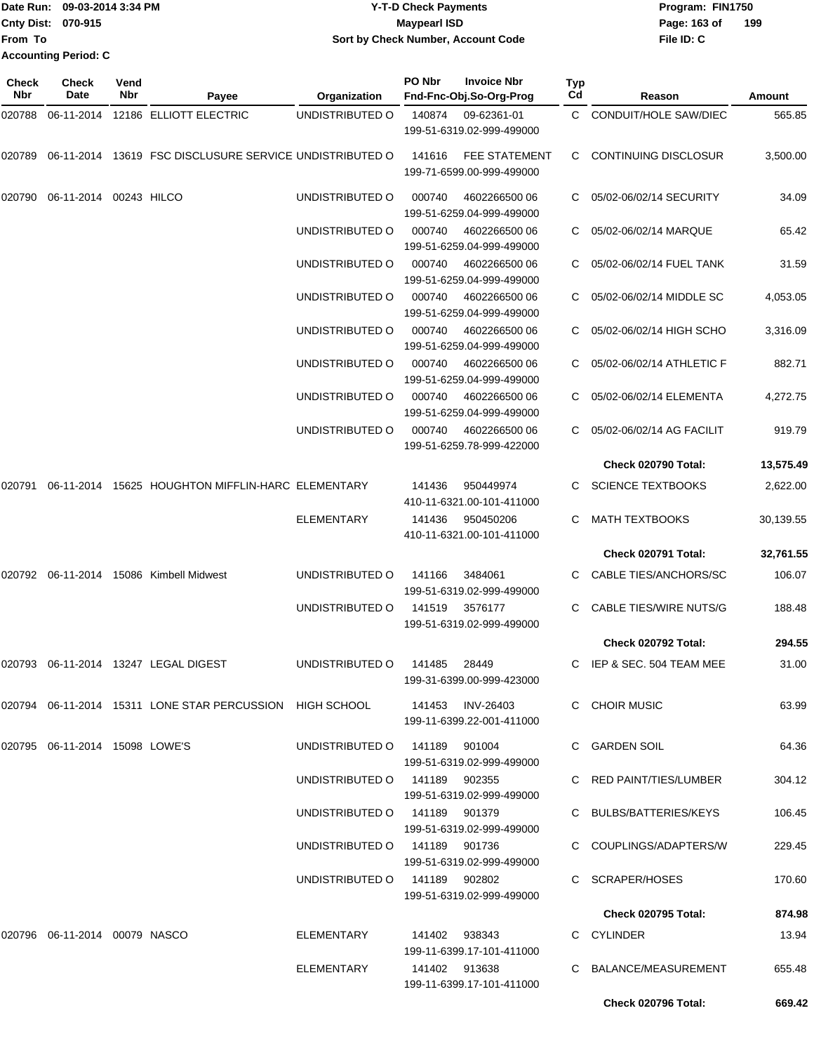| TDate Run: 09-03-2014 3:34 PM |  | <b>Y-T-D Check Payments</b>        | Program: FIN1750 |     |  |
|-------------------------------|--|------------------------------------|------------------|-----|--|
| <b>Cnty Dist: 070-915</b>     |  | <b>Mavpearl ISD</b>                | Page: 163 of     | 199 |  |
| lFrom To                      |  | Sort by Check Number, Account Code | File ID: C       |     |  |
| <b>Accounting Period: C</b>   |  |                                    |                  |     |  |

| Check<br><b>Nbr</b> | Check<br>Date                       | Vend<br><b>Nbr</b> | Payee                                                            | Organization                  | PO Nbr        | <b>Invoice Nbr</b><br>Fnd-Fnc-Obj.So-Org-Prog     | Typ<br>Cd | Reason                       | Amount    |
|---------------------|-------------------------------------|--------------------|------------------------------------------------------------------|-------------------------------|---------------|---------------------------------------------------|-----------|------------------------------|-----------|
| 020788              |                                     |                    | 06-11-2014 12186 ELLIOTT ELECTRIC                                | UNDISTRIBUTED O               | 140874        | 09-62361-01<br>199-51-6319.02-999-499000          | C.        | <b>CONDUIT/HOLE SAW/DIEC</b> | 565.85    |
| 020789              |                                     |                    | 06-11-2014 13619 FSC DISCLUSURE SERVICE UNDISTRIBUTED O          |                               | 141616        | <b>FEE STATEMENT</b><br>199-71-6599.00-999-499000 | C.        | <b>CONTINUING DISCLOSUR</b>  | 3,500.00  |
| 020790              | 06-11-2014 00243 HILCO              |                    |                                                                  | UNDISTRIBUTED O               | 000740        | 4602266500 06<br>199-51-6259.04-999-499000        |           | 05/02-06/02/14 SECURITY      | 34.09     |
|                     |                                     |                    |                                                                  | UNDISTRIBUTED O               | 000740        | 4602266500 06<br>199-51-6259.04-999-499000        | C         | 05/02-06/02/14 MARQUE        | 65.42     |
|                     |                                     |                    |                                                                  | UNDISTRIBUTED O               | 000740        | 4602266500 06<br>199-51-6259.04-999-499000        |           | 05/02-06/02/14 FUEL TANK     | 31.59     |
|                     |                                     |                    |                                                                  | UNDISTRIBUTED O               | 000740        | 4602266500 06<br>199-51-6259.04-999-499000        | C.        | 05/02-06/02/14 MIDDLE SC     | 4,053.05  |
|                     |                                     |                    |                                                                  | UNDISTRIBUTED O               | 000740        | 4602266500 06<br>199-51-6259.04-999-499000        | C.        | 05/02-06/02/14 HIGH SCHO     | 3,316.09  |
|                     |                                     |                    |                                                                  | UNDISTRIBUTED O               | 000740        | 4602266500 06<br>199-51-6259.04-999-499000        |           | 05/02-06/02/14 ATHLETIC F    | 882.71    |
|                     |                                     |                    |                                                                  | UNDISTRIBUTED O               | 000740        | 4602266500 06<br>199-51-6259.04-999-499000        | С         | 05/02-06/02/14 ELEMENTA      | 4,272.75  |
|                     |                                     |                    |                                                                  | UNDISTRIBUTED O               | 000740        | 4602266500 06<br>199-51-6259.78-999-422000        | C         | 05/02-06/02/14 AG FACILIT    | 919.79    |
|                     |                                     |                    |                                                                  |                               |               |                                                   |           | Check 020790 Total:          | 13,575.49 |
| 020791              |                                     |                    | 06-11-2014 15625 HOUGHTON MIFFLIN-HARC ELEMENTARY                |                               | 141436        | 950449974<br>410-11-6321.00-101-411000            | C.        | <b>SCIENCE TEXTBOOKS</b>     | 2,622.00  |
|                     |                                     |                    |                                                                  | <b>ELEMENTARY</b>             | 141436        | 950450206<br>410-11-6321.00-101-411000            | C.        | <b>MATH TEXTBOOKS</b>        | 30,139.55 |
|                     |                                     |                    |                                                                  |                               |               |                                                   |           | Check 020791 Total:          | 32,761.55 |
| 020792              |                                     |                    | 06-11-2014 15086 Kimbell Midwest                                 | UNDISTRIBUTED O               | 141166        | 3484061<br>199-51-6319.02-999-499000              |           | CABLE TIES/ANCHORS/SC        | 106.07    |
|                     |                                     |                    |                                                                  | UNDISTRIBUTED O               | 141519        | 3576177<br>199-51-6319.02-999-499000              | C.        | CABLE TIES/WIRE NUTS/G       | 188.48    |
|                     |                                     |                    |                                                                  |                               |               |                                                   |           | Check 020792 Total:          | 294.55    |
| 020793              |                                     |                    | 06-11-2014 13247 LEGAL DIGEST                                    | UNDISTRIBUTED O               | 141485        | 28449<br>199-31-6399.00-999-423000                | C         | IEP & SEC. 504 TEAM MEE      | 31.00     |
|                     |                                     |                    | 020794   06-11-2014   15311   LONE STAR PERCUSSION   HIGH SCHOOL |                               |               | 141453 INV-26403<br>199-11-6399.22-001-411000     |           | C CHOIR MUSIC                | 63.99     |
|                     | 020795 06-11-2014 15098 LOWE'S      |                    |                                                                  | UNDISTRIBUTED 0 141189 901004 |               | 199-51-6319.02-999-499000                         |           | C GARDEN SOIL                | 64.36     |
|                     |                                     |                    |                                                                  | UNDISTRIBUTED 0 141189 902355 |               | 199-51-6319.02-999-499000                         |           | C RED PAINT/TIES/LUMBER      | 304.12    |
|                     |                                     |                    |                                                                  | UNDISTRIBUTED O 141189 901379 |               | 199-51-6319.02-999-499000                         |           | C BULBS/BATTERIES/KEYS       | 106.45    |
|                     |                                     |                    |                                                                  | UNDISTRIBUTED 0 141189 901736 |               | 199-51-6319.02-999-499000                         |           | C COUPLINGS/ADAPTERS/W       | 229.45    |
|                     |                                     |                    |                                                                  | UNDISTRIBUTED O               | 141189 902802 | 199-51-6319.02-999-499000                         |           | C SCRAPER/HOSES              | 170.60    |
|                     |                                     |                    |                                                                  |                               |               |                                                   |           | <b>Check 020795 Total:</b>   | 874.98    |
|                     | 020796   06-11-2014   00079   NASCO |                    |                                                                  | ELEMENTARY                    | 141402 938343 | 199-11-6399.17-101-411000                         |           | C CYLINDER                   | 13.94     |
|                     |                                     |                    |                                                                  | ELEMENTARY                    | 141402 913638 | 199-11-6399.17-101-411000                         |           | C BALANCE/MEASUREMENT        | 655.48    |
|                     |                                     |                    |                                                                  |                               |               |                                                   |           | Check 020796 Total:          | 669.42    |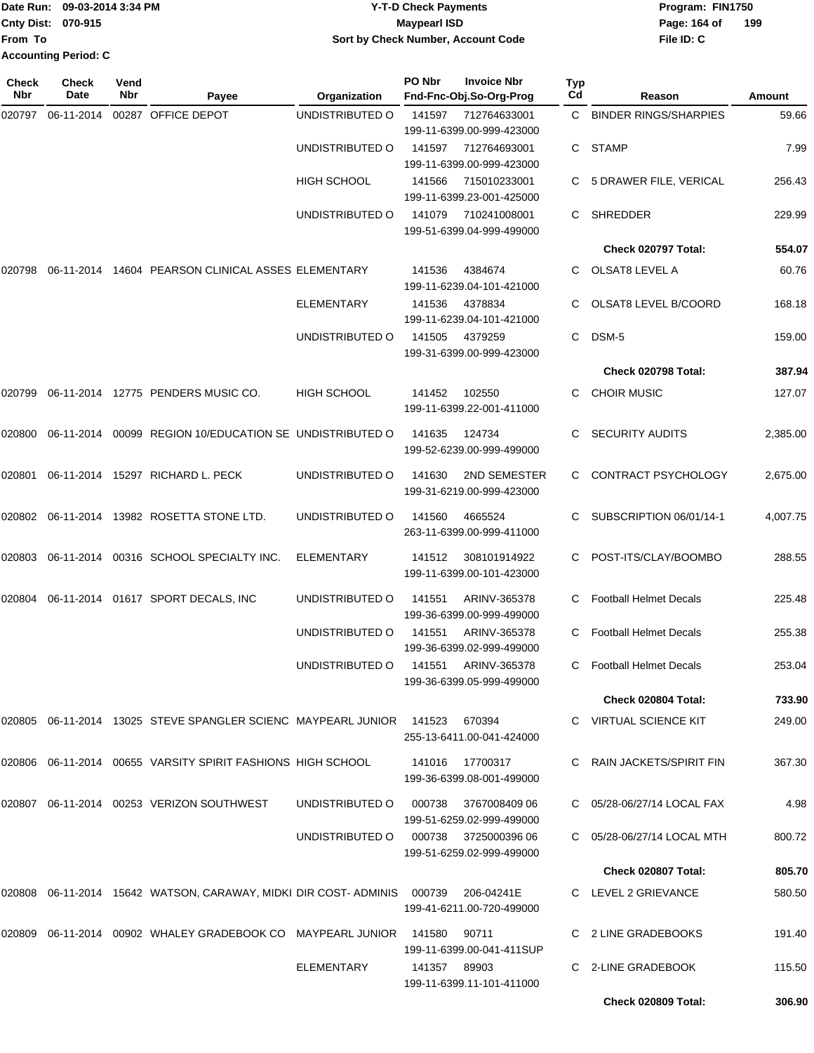|                           | Date Run: 09-03-2014 3:34 PM | <b>Y-T-D Check Payments</b>        | Program: FIN1750    |
|---------------------------|------------------------------|------------------------------------|---------------------|
| <b>Cnty Dist: 070-915</b> |                              | <b>Maypearl ISD</b>                | 199<br>Page: 164 of |
| <b>From To</b>            |                              | Sort by Check Number, Account Code | File ID: C          |
|                           | <b>Accounting Period: C</b>  |                                    |                     |

| Check<br><b>Nbr</b> | Check<br>Date | Vend<br>Nbr | Payee                                                                      | Organization                        | PO Nbr | <b>Invoice Nbr</b><br>Fnd-Fnc-Obj.So-Org-Prog     | Typ<br>Cd | Reason                        | Amount   |
|---------------------|---------------|-------------|----------------------------------------------------------------------------|-------------------------------------|--------|---------------------------------------------------|-----------|-------------------------------|----------|
|                     |               |             | 00287 OFFICE DEPOT                                                         | UNDISTRIBUTED O                     | 141597 | 712764633001<br>199-11-6399.00-999-423000         | C.        | <b>BINDER RINGS/SHARPIES</b>  | 59.66    |
|                     |               |             |                                                                            | UNDISTRIBUTED O                     | 141597 | 712764693001<br>199-11-6399.00-999-423000         | C.        | STAMP                         | 7.99     |
|                     |               |             |                                                                            | <b>HIGH SCHOOL</b>                  | 141566 | 715010233001<br>199-11-6399.23-001-425000         |           | C 5 DRAWER FILE, VERICAL      | 256.43   |
|                     |               |             |                                                                            | UNDISTRIBUTED O                     | 141079 | 710241008001<br>199-51-6399.04-999-499000         | C.        | SHREDDER                      | 229.99   |
|                     |               |             |                                                                            |                                     |        |                                                   |           | Check 020797 Total:           | 554.07   |
| 020798              |               |             | 06-11-2014 14604 PEARSON CLINICAL ASSES ELEMENTARY                         |                                     | 141536 | 4384674<br>199-11-6239.04-101-421000              |           | OLSAT8 LEVEL A                | 60.76    |
|                     |               |             |                                                                            | ELEMENTARY                          | 141536 | 4378834<br>199-11-6239.04-101-421000              |           | OLSAT8 LEVEL B/COORD          | 168.18   |
|                     |               |             |                                                                            | UNDISTRIBUTED O                     | 141505 | 4379259<br>199-31-6399.00-999-423000              | C.        | DSM-5                         | 159.00   |
|                     |               |             |                                                                            |                                     |        |                                                   |           | Check 020798 Total:           | 387.94   |
| 020799              |               |             | 06-11-2014 12775 PENDERS MUSIC CO.                                         | <b>HIGH SCHOOL</b>                  | 141452 | 102550<br>199-11-6399.22-001-411000               |           | C CHOIR MUSIC                 | 127.07   |
| 020800              |               |             | 06-11-2014 00099 REGION 10/EDUCATION SE UNDISTRIBUTED O                    |                                     | 141635 | 124734<br>199-52-6239.00-999-499000               |           | <b>SECURITY AUDITS</b>        | 2,385.00 |
| 020801              |               |             | 06-11-2014 15297 RICHARD L. PECK                                           | UNDISTRIBUTED O                     | 141630 | 2ND SEMESTER<br>199-31-6219.00-999-423000         |           | CONTRACT PSYCHOLOGY           | 2,675.00 |
|                     |               |             | 020802  06-11-2014  13982  ROSETTA STONE LTD.                              | UNDISTRIBUTED O                     | 141560 | 4665524<br>263-11-6399.00-999-411000              | C.        | SUBSCRIPTION 06/01/14-1       | 4,007.75 |
| 020803              |               |             | 06-11-2014 00316 SCHOOL SPECIALTY INC.                                     | <b>ELEMENTARY</b>                   | 141512 | 308101914922<br>199-11-6399.00-101-423000         |           | POST-ITS/CLAY/BOOMBO          | 288.55   |
| 020804              |               |             | 06-11-2014 01617 SPORT DECALS, INC                                         | UNDISTRIBUTED O                     | 141551 | ARINV-365378<br>199-36-6399.00-999-499000         |           | <b>Football Helmet Decals</b> | 225.48   |
|                     |               |             |                                                                            | UNDISTRIBUTED O                     | 141551 | ARINV-365378<br>199-36-6399.02-999-499000         |           | <b>Football Helmet Decals</b> | 255.38   |
|                     |               |             |                                                                            | UNDISTRIBUTED O 141551 ARINV-365378 |        | 199-36-6399.05-999-499000                         |           | C Football Helmet Decals      | 253.04   |
|                     |               |             |                                                                            |                                     |        |                                                   |           | Check 020804 Total:           | 733.90   |
|                     |               |             | 020805  06-11-2014  13025  STEVE SPANGLER SCIENC  MAYPEARL JUNIOR  141523  |                                     |        | 670394<br>255-13-6411.00-041-424000               |           | C VIRTUAL SCIENCE KIT         | 249.00   |
|                     |               |             | 020806  06-11-2014  00655  VARSITY SPIRIT FASHIONS HIGH SCHOOL             |                                     |        | 141016 17700317<br>199-36-6399.08-001-499000      |           | C RAIN JACKETS/SPIRIT FIN     | 367.30   |
|                     |               |             | 020807  06-11-2014  00253  VERIZON SOUTHWEST                               | UNDISTRIBUTED O                     | 000738 | 376700840906<br>199-51-6259.02-999-499000         |           | C 05/28-06/27/14 LOCAL FAX    | 4.98     |
|                     |               |             |                                                                            | UNDISTRIBUTED O                     |        | 000738 3725000396 06<br>199-51-6259.02-999-499000 |           | C 05/28-06/27/14 LOCAL MTH    | 800.72   |
|                     |               |             |                                                                            |                                     |        |                                                   |           | Check 020807 Total:           | 805.70   |
|                     |               |             | 020808  06-11-2014  15642  WATSON, CARAWAY, MIDKI DIR COST-ADMINIS  000739 |                                     |        | 206-04241E<br>199-41-6211.00-720-499000           |           | C LEVEL 2 GRIEVANCE           | 580.50   |
|                     |               |             | 020809  06-11-2014  00902  WHALEY GRADEBOOK CO  MAYPEARL JUNIOR            |                                     | 141580 | 90711<br>199-11-6399.00-041-411SUP                |           | C 2 LINE GRADEBOOKS           | 191.40   |
|                     |               |             |                                                                            | <b>ELEMENTARY</b>                   | 141357 | 89903<br>199-11-6399.11-101-411000                |           | C 2-LINE GRADEBOOK            | 115.50   |
|                     |               |             |                                                                            |                                     |        |                                                   |           | Check 020809 Total:           | 306.90   |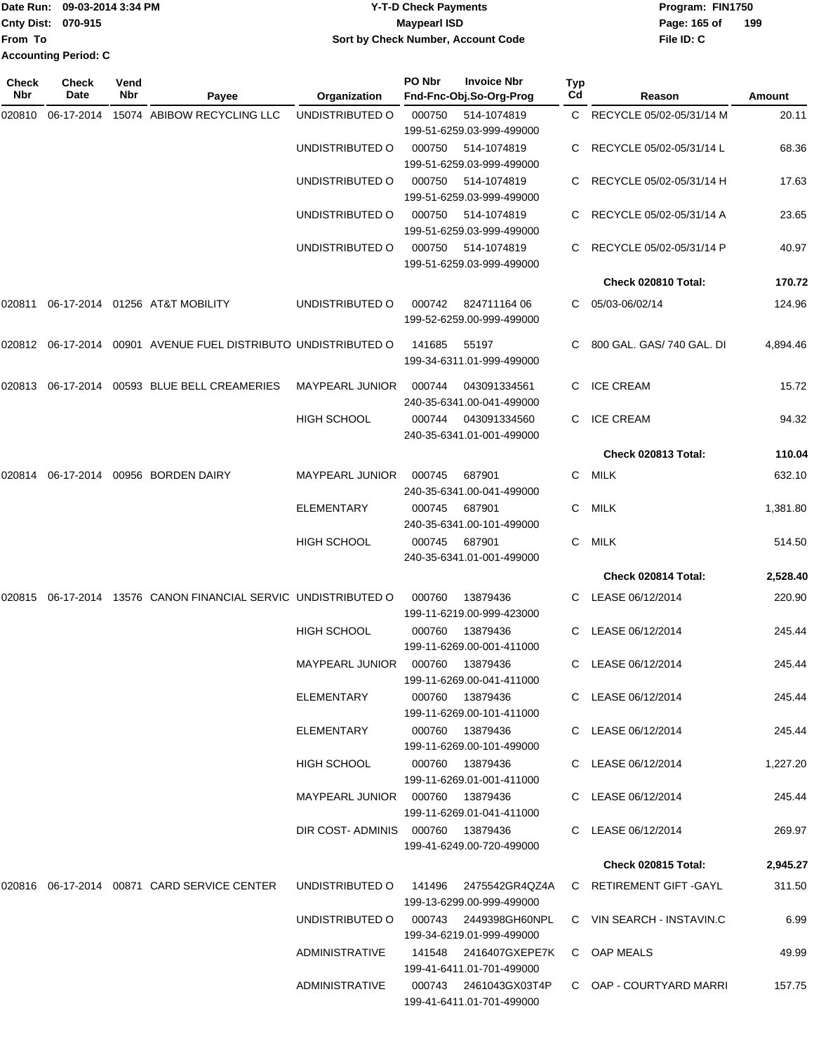|                             | Date Run: 09-03-2014 3:34 PM | <b>Y-T-D Check Payments</b>        | Program: FIN1750 |     |
|-----------------------------|------------------------------|------------------------------------|------------------|-----|
| <b>Cnty Dist: 070-915</b>   |                              | <b>Mavpearl ISD</b>                | Page: 165 of     | 199 |
| 'From To                    |                              | Sort by Check Number, Account Code | File ID: C       |     |
| <b>Accounting Period: C</b> |                              |                                    |                  |     |

| Check<br><b>Nbr</b> | <b>Check</b><br>Date | Vend<br>Nbr | Payee                                                             | Organization                      | PO Nbr | <b>Invoice Nbr</b><br>Fnd-Fnc-Obj.So-Org-Prog       | Typ<br>Cd    | Reason                      | Amount   |
|---------------------|----------------------|-------------|-------------------------------------------------------------------|-----------------------------------|--------|-----------------------------------------------------|--------------|-----------------------------|----------|
| 020810              | 06-17-2014           |             | 15074 ABIBOW RECYCLING LLC                                        | UNDISTRIBUTED O                   | 000750 | 514-1074819<br>199-51-6259.03-999-499000            |              | C RECYCLE 05/02-05/31/14 M  | 20.11    |
|                     |                      |             |                                                                   | UNDISTRIBUTED O                   | 000750 | 514-1074819<br>199-51-6259.03-999-499000            |              | RECYCLE 05/02-05/31/14 L    | 68.36    |
|                     |                      |             |                                                                   | UNDISTRIBUTED O                   | 000750 | 514-1074819<br>199-51-6259.03-999-499000            | C.           | RECYCLE 05/02-05/31/14 H    | 17.63    |
|                     |                      |             |                                                                   | UNDISTRIBUTED O                   | 000750 | 514-1074819<br>199-51-6259.03-999-499000            |              | C RECYCLE 05/02-05/31/14 A  | 23.65    |
|                     |                      |             |                                                                   | UNDISTRIBUTED O                   | 000750 | 514-1074819<br>199-51-6259.03-999-499000            |              | C RECYCLE 05/02-05/31/14 P  | 40.97    |
|                     |                      |             |                                                                   |                                   |        |                                                     |              | Check 020810 Total:         | 170.72   |
| 020811              |                      |             | 06-17-2014 01256 AT&T MOBILITY                                    | UNDISTRIBUTED O                   | 000742 | 82471116406<br>199-52-6259.00-999-499000            |              | C 05/03-06/02/14            | 124.96   |
|                     |                      |             | 020812  06-17-2014  00901  AVENUE FUEL DISTRIBUTO UNDISTRIBUTED O |                                   | 141685 | 55197<br>199-34-6311.01-999-499000                  |              | C 800 GAL. GAS/ 740 GAL. DI | 4,894.46 |
|                     |                      |             | 020813 06-17-2014 00593 BLUE BELL CREAMERIES                      | <b>MAYPEARL JUNIOR</b>            | 000744 | 043091334561<br>240-35-6341.00-041-499000           |              | C ICE CREAM                 | 15.72    |
|                     |                      |             |                                                                   | <b>HIGH SCHOOL</b>                | 000744 | 043091334560<br>240-35-6341.01-001-499000           | $\mathsf{C}$ | <b>ICE CREAM</b>            | 94.32    |
|                     |                      |             |                                                                   |                                   |        |                                                     |              | Check 020813 Total:         | 110.04   |
| 020814              |                      |             | 06-17-2014 00956 BORDEN DAIRY                                     | <b>MAYPEARL JUNIOR</b>            | 000745 | 687901<br>240-35-6341.00-041-499000                 | C.           | <b>MILK</b>                 | 632.10   |
|                     |                      |             |                                                                   | <b>ELEMENTARY</b>                 | 000745 | 687901<br>240-35-6341.00-101-499000                 | C.           | MILK                        | 1,381.80 |
|                     |                      |             |                                                                   | <b>HIGH SCHOOL</b>                | 000745 | 687901<br>240-35-6341.01-001-499000                 | C.           | MILK                        | 514.50   |
|                     |                      |             |                                                                   |                                   |        |                                                     |              | Check 020814 Total:         | 2,528.40 |
| 020815              |                      |             | 06-17-2014 13576 CANON FINANCIAL SERVIC UNDISTRIBUTED O           |                                   | 000760 | 13879436<br>199-11-6219.00-999-423000               |              | C LEASE 06/12/2014          | 220.90   |
|                     |                      |             |                                                                   | <b>HIGH SCHOOL</b>                | 000760 | 13879436<br>199-11-6269.00-001-411000               | C.           | LEASE 06/12/2014            | 245.44   |
|                     |                      |             |                                                                   | MAYPEARL JUNIOR                   | 000760 | 13879436<br>199-11-6269.00-041-411000               |              | C LEASE 06/12/2014          | 245.44   |
|                     |                      |             |                                                                   | ELEMENTARY                        |        | 000760 13879436<br>199-11-6269.00-101-411000        |              | C LEASE 06/12/2014          | 245.44   |
|                     |                      |             |                                                                   | <b>ELEMENTARY</b>                 |        | 000760 13879436<br>199-11-6269.00-101-499000        |              | C LEASE 06/12/2014          | 245.44   |
|                     |                      |             |                                                                   | <b>HIGH SCHOOL</b>                |        | 000760 13879436<br>199-11-6269.01-001-411000        |              | C LEASE 06/12/2014          | 1,227.20 |
|                     |                      |             |                                                                   | MAYPEARL JUNIOR  000760  13879436 |        | 199-11-6269.01-041-411000                           |              | C LEASE 06/12/2014          | 245.44   |
|                     |                      |             |                                                                   | DIR COST-ADMINIS 000760 13879436  |        | 199-41-6249.00-720-499000                           |              | C LEASE 06/12/2014          | 269.97   |
|                     |                      |             |                                                                   |                                   |        |                                                     |              | <b>Check 020815 Total:</b>  | 2,945.27 |
|                     |                      |             |                                                                   | UNDISTRIBUTED O                   |        | 141496  2475542GR4QZ4A<br>199-13-6299.00-999-499000 |              | C RETIREMENT GIFT - GAYL    | 311.50   |
|                     |                      |             |                                                                   | UNDISTRIBUTED O                   |        | 000743 2449398GH60NPL<br>199-34-6219.01-999-499000  |              | C VIN SEARCH - INSTAVIN.C   | 6.99     |
|                     |                      |             |                                                                   | ADMINISTRATIVE                    |        | 199-41-6411.01-701-499000                           |              | C OAP MEALS                 | 49.99    |
|                     |                      |             |                                                                   | <b>ADMINISTRATIVE</b>             |        | 000743 2461043GX03T4P<br>199-41-6411.01-701-499000  |              | C OAP - COURTYARD MARRI     | 157.75   |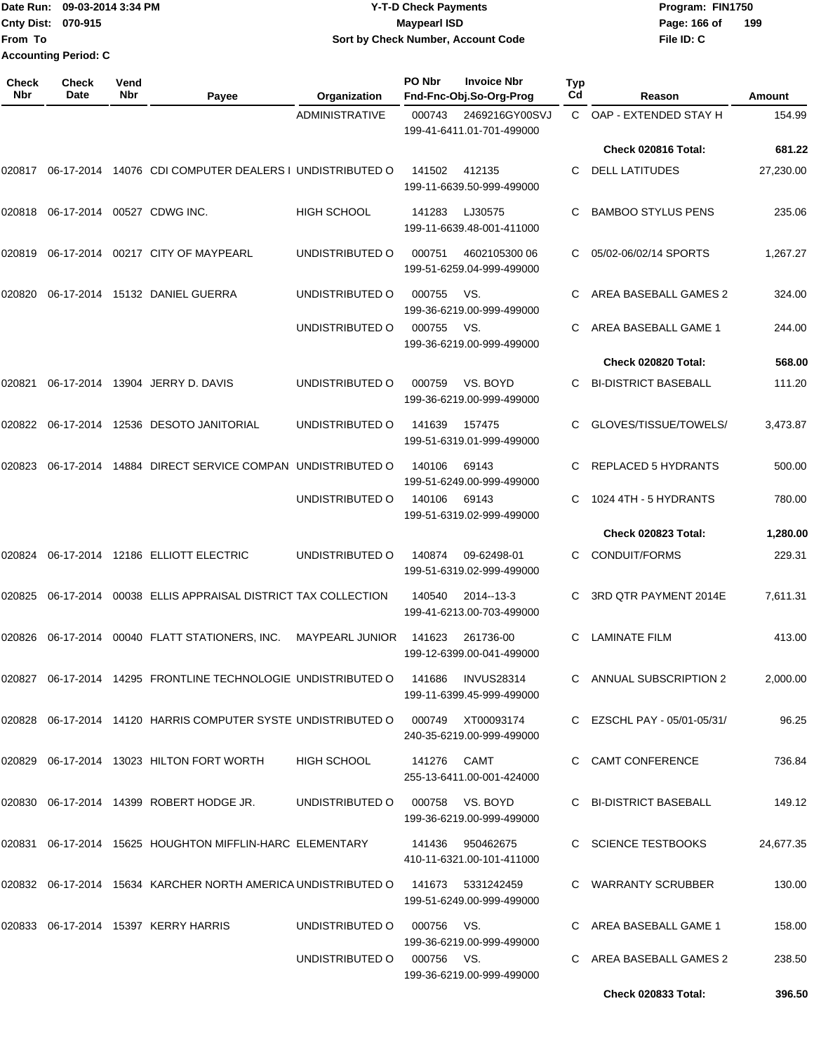|                             | Date Run: 09-03-2014 3:34 PM | <b>Y-T-D Check Payments</b>        | Program: FIN1750 |     |  |  |
|-----------------------------|------------------------------|------------------------------------|------------------|-----|--|--|
| <b>Cnty Dist: 070-915</b>   |                              | Maypearl ISD                       | Page: 166 of     | 199 |  |  |
| lFrom To                    |                              | Sort by Check Number, Account Code | File ID: C       |     |  |  |
| <b>Accounting Period: C</b> |                              |                                    |                  |     |  |  |

| Check<br>Nbr | <b>Check</b><br>Date | Vend<br>Nbr | Payee                                                                           | Organization               | PO Nbr<br><b>Invoice Nbr</b><br>Fnd-Fnc-Obj.So-Org-Prog      | <b>Typ</b><br>Cd | Reason                      | <b>Amount</b> |
|--------------|----------------------|-------------|---------------------------------------------------------------------------------|----------------------------|--------------------------------------------------------------|------------------|-----------------------------|---------------|
|              |                      |             |                                                                                 | <b>ADMINISTRATIVE</b>      | 2469216GY00SVJ<br>000743<br>199-41-6411.01-701-499000        | C.               | OAP - EXTENDED STAY H       | 154.99        |
|              |                      |             |                                                                                 |                            |                                                              |                  | Check 020816 Total:         | 681.22        |
| 020817       |                      |             | 06-17-2014 14076 CDI COMPUTER DEALERS I UNDISTRIBUTED O                         |                            | 141502<br>412135<br>199-11-6639.50-999-499000                | C                | <b>DELL LATITUDES</b>       | 27,230.00     |
| 020818       |                      |             | 06-17-2014 00527 CDWG INC.                                                      | <b>HIGH SCHOOL</b>         | 141283<br>LJ30575<br>199-11-6639.48-001-411000               | C                | <b>BAMBOO STYLUS PENS</b>   | 235.06        |
| 020819       |                      |             | 06-17-2014 00217 CITY OF MAYPEARL                                               | UNDISTRIBUTED O            | 000751<br>4602105300 06<br>199-51-6259.04-999-499000         | C.               | 05/02-06/02/14 SPORTS       | 1,267.27      |
| 020820       |                      |             | 06-17-2014 15132 DANIEL GUERRA                                                  | UNDISTRIBUTED O            | VS.<br>000755<br>199-36-6219.00-999-499000                   | C.               | AREA BASEBALL GAMES 2       | 324.00        |
|              |                      |             |                                                                                 | UNDISTRIBUTED O            | 000755<br>VS.<br>199-36-6219.00-999-499000                   | C                | AREA BASEBALL GAME 1        | 244.00        |
|              |                      |             |                                                                                 |                            |                                                              |                  | Check 020820 Total:         | 568.00        |
| 020821       |                      |             | 06-17-2014 13904 JERRY D. DAVIS                                                 | UNDISTRIBUTED O            | 000759<br>VS. BOYD<br>199-36-6219.00-999-499000              | C                | <b>BI-DISTRICT BASEBALL</b> | 111.20        |
| 020822       |                      |             | 06-17-2014  12536  DESOTO JANITORIAL                                            | UNDISTRIBUTED O            | 141639<br>157475<br>199-51-6319.01-999-499000                | C.               | GLOVES/TISSUE/TOWELS/       | 3,473.87      |
| 020823       | 06-17-2014           |             | 14884 DIRECT SERVICE COMPAN UNDISTRIBUTED O                                     |                            | 140106<br>69143<br>199-51-6249.00-999-499000                 | C                | <b>REPLACED 5 HYDRANTS</b>  | 500.00        |
|              |                      |             |                                                                                 | UNDISTRIBUTED O            | 140106<br>69143<br>199-51-6319.02-999-499000                 | C                | 1024 4TH - 5 HYDRANTS       | 780.00        |
|              |                      |             |                                                                                 |                            |                                                              |                  | Check 020823 Total:         | 1,280.00      |
| 020824       |                      |             | 06-17-2014  12186  ELLIOTT ELECTRIC                                             | UNDISTRIBUTED O            | 140874<br>09-62498-01<br>199-51-6319.02-999-499000           | C                | <b>CONDUIT/FORMS</b>        | 229.31        |
| 020825       |                      |             | 06-17-2014 00038 ELLIS APPRAISAL DISTRICT TAX COLLECTION                        |                            | 2014--13-3<br>140540<br>199-41-6213.00-703-499000            | С                | 3RD QTR PAYMENT 2014E       | 7,611.31      |
| 020826       | 06-17-2014           |             | 00040 FLATT STATIONERS, INC.                                                    | <b>MAYPEARL JUNIOR</b>     | 141623<br>261736-00<br>199-12-6399.00-041-499000             | С                | <b>LAMINATE FILM</b>        | 413.00        |
|              |                      |             | 020827  06-17-2014  14295  FRONTLINE TECHNOLOGIE UNDISTRIBUTED O                |                            | 141686<br><b>INVUS28314</b><br>199-11-6399.45-999-499000     |                  | C ANNUAL SUBSCRIPTION 2     | 2,000.00      |
|              |                      |             | 020828 06-17-2014 14120 HARRIS COMPUTER SYSTE UNDISTRIBUTED O 000749 XT00093174 |                            | 240-35-6219.00-999-499000                                    |                  | C EZSCHL PAY - 05/01-05/31/ | 96.25         |
|              |                      |             | 020829  06-17-2014  13023  HILTON FORT WORTH                                    | HIGH SCHOOL                | 141276 CAMT<br>255-13-6411.00-001-424000                     |                  | C CAMT CONFERENCE           | 736.84        |
|              |                      |             | 020830 06-17-2014 14399 ROBERT HODGE JR.                                        |                            | UNDISTRIBUTED O 000758 VS. BOYD<br>199-36-6219.00-999-499000 |                  | C BI-DISTRICT BASEBALL      | 149.12        |
|              |                      |             | 020831  06-17-2014  15625  HOUGHTON MIFFLIN-HARC ELEMENTARY                     |                            | 141436 950462675<br>410-11-6321.00-101-411000                |                  | C SCIENCE TESTBOOKS         | 24,677.35     |
|              |                      |             | 020832 06-17-2014 15634 KARCHER NORTH AMERICA UNDISTRIBUTED O 141673 5331242459 |                            | 199-51-6249.00-999-499000                                    |                  | C WARRANTY SCRUBBER         | 130.00        |
|              |                      |             | 020833 06-17-2014 15397 KERRY HARRIS                                            | UNDISTRIBUTED O            | 000756 VS.<br>199-36-6219.00-999-499000                      |                  | C AREA BASEBALL GAME 1      | 158.00        |
|              |                      |             |                                                                                 | UNDISTRIBUTED O 000756 VS. | 199-36-6219.00-999-499000                                    |                  | C AREA BASEBALL GAMES 2     | 238.50        |
|              |                      |             |                                                                                 |                            |                                                              |                  | <b>Check 020833 Total:</b>  | 396.50        |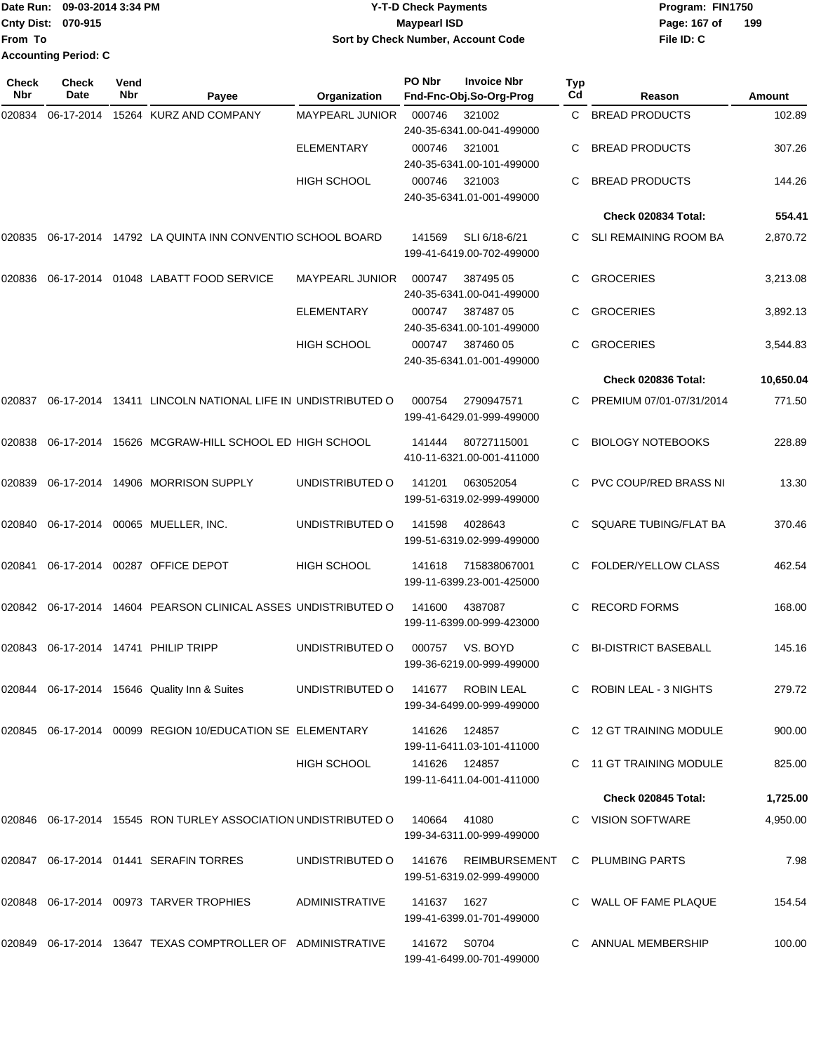|                             | Date Run: 09-03-2014 3:34 PM | <b>Y-T-D Check Payments</b>        | Program: FIN1750 |     |
|-----------------------------|------------------------------|------------------------------------|------------------|-----|
| <b>Cnty Dist: 070-915</b>   |                              | Maypearl ISD                       | Page: 167 of     | 199 |
| lFrom To                    |                              | Sort by Check Number, Account Code | File ID: C       |     |
| <b>Accounting Period: C</b> |                              |                                    |                  |     |

| Check<br>Nbr | <b>Check</b><br>Date | Vend<br>Nbr | Payee                                                               | Organization           | PO Nbr       | <b>Invoice Nbr</b><br>Fnd-Fnc-Obj.So-Org-Prog | Typ<br>Cd | Reason                      | Amount    |
|--------------|----------------------|-------------|---------------------------------------------------------------------|------------------------|--------------|-----------------------------------------------|-----------|-----------------------------|-----------|
| 020834       | 06-17-2014           |             | 15264 KURZ AND COMPANY                                              | MAYPEARL JUNIOR        | 000746       | 321002<br>240-35-6341.00-041-499000           | C.        | <b>BREAD PRODUCTS</b>       | 102.89    |
|              |                      |             |                                                                     | <b>ELEMENTARY</b>      | 000746       | 321001<br>240-35-6341.00-101-499000           | C.        | <b>BREAD PRODUCTS</b>       | 307.26    |
|              |                      |             |                                                                     | <b>HIGH SCHOOL</b>     | 000746       | 321003<br>240-35-6341.01-001-499000           | C.        | <b>BREAD PRODUCTS</b>       | 144.26    |
|              |                      |             |                                                                     |                        |              |                                               |           | Check 020834 Total:         | 554.41    |
| 020835       |                      |             | 06-17-2014 14792 LA QUINTA INN CONVENTIO SCHOOL BOARD               |                        | 141569       | SLI 6/18-6/21<br>199-41-6419.00-702-499000    | C.        | SLI REMAINING ROOM BA       | 2,870.72  |
| 020836       |                      |             | 06-17-2014 01048 LABATT FOOD SERVICE                                | <b>MAYPEARL JUNIOR</b> | 000747       | 387495 05<br>240-35-6341.00-041-499000        | С         | <b>GROCERIES</b>            | 3,213.08  |
|              |                      |             |                                                                     | <b>ELEMENTARY</b>      | 000747       | 38748705<br>240-35-6341.00-101-499000         | C         | <b>GROCERIES</b>            | 3,892.13  |
|              |                      |             |                                                                     | <b>HIGH SCHOOL</b>     | 000747       | 387460 05<br>240-35-6341.01-001-499000        | С         | <b>GROCERIES</b>            | 3,544.83  |
|              |                      |             |                                                                     |                        |              |                                               |           | Check 020836 Total:         | 10,650.04 |
| 020837       |                      |             | 06-17-2014 13411 LINCOLN NATIONAL LIFE IN UNDISTRIBUTED O           |                        | 000754       | 2790947571<br>199-41-6429.01-999-499000       | C.        | PREMIUM 07/01-07/31/2014    | 771.50    |
| 020838       | 06-17-2014           |             | 15626 MCGRAW-HILL SCHOOL ED HIGH SCHOOL                             |                        | 141444       | 80727115001<br>410-11-6321.00-001-411000      | C.        | <b>BIOLOGY NOTEBOOKS</b>    | 228.89    |
| 020839       |                      |             | 06-17-2014 14906 MORRISON SUPPLY                                    | UNDISTRIBUTED O        | 141201       | 063052054<br>199-51-6319.02-999-499000        | C         | PVC COUP/RED BRASS NI       | 13.30     |
| 020840       |                      |             | 06-17-2014 00065 MUELLER, INC.                                      | UNDISTRIBUTED O        | 141598       | 4028643<br>199-51-6319.02-999-499000          | C         | SQUARE TUBING/FLAT BA       | 370.46    |
| 020841       |                      |             | 06-17-2014 00287 OFFICE DEPOT                                       | <b>HIGH SCHOOL</b>     | 141618       | 715838067001<br>199-11-6399.23-001-425000     | C         | FOLDER/YELLOW CLASS         | 462.54    |
| 020842       |                      |             | 06-17-2014 14604 PEARSON CLINICAL ASSES UNDISTRIBUTED O             |                        | 141600       | 4387087<br>199-11-6399.00-999-423000          | C         | <b>RECORD FORMS</b>         | 168.00    |
| 020843       |                      |             | 06-17-2014  14741  PHILIP TRIPP                                     | UNDISTRIBUTED O        | 000757       | VS. BOYD<br>199-36-6219.00-999-499000         | С         | <b>BI-DISTRICT BASEBALL</b> | 145.16    |
|              |                      |             | 020844 06-17-2014 15646 Quality Inn & Suites                        | UNDISTRIBUTED O        | 141677       | ROBIN LEAL<br>199-34-6499.00-999-499000       |           | C ROBIN LEAL - 3 NIGHTS     | 279.72    |
|              |                      |             | 020845  06-17-2014  00099  REGION 10/EDUCATION SE ELEMENTARY        |                        | 141626       | 124857<br>199-11-6411.03-101-411000           |           | C 12 GT TRAINING MODULE     | 900.00    |
|              |                      |             |                                                                     | HIGH SCHOOL            |              | 141626 124857<br>199-11-6411.04-001-411000    |           | 11 GT TRAINING MODULE       | 825.00    |
|              |                      |             |                                                                     |                        |              |                                               |           | Check 020845 Total:         | 1,725.00  |
|              |                      |             | 020846  06-17-2014  15545  RON TURLEY ASSOCIATION UNDISTRIBUTED O   |                        | 140664       | 41080<br>199-34-6311.00-999-499000            |           | C VISION SOFTWARE           | 4,950.00  |
|              |                      |             | 020847    06-17-2014    01441    SERAFIN TORRES                     | UNDISTRIBUTED O        | 141676       | REIMBURSEMENT<br>199-51-6319.02-999-499000    |           | C PLUMBING PARTS            | 7.98      |
|              |                      |             | 020848   06-17-2014   00973   TARVER TROPHIES                       | ADMINISTRATIVE         | 141637 1627  | 199-41-6399.01-701-499000                     |           | C WALL OF FAME PLAQUE       | 154.54    |
|              |                      |             | 020849   06-17-2014   13647   TEXAS COMPTROLLER OF   ADMINISTRATIVE |                        | 141672 S0704 | 199-41-6499.00-701-499000                     | C         | ANNUAL MEMBERSHIP           | 100.00    |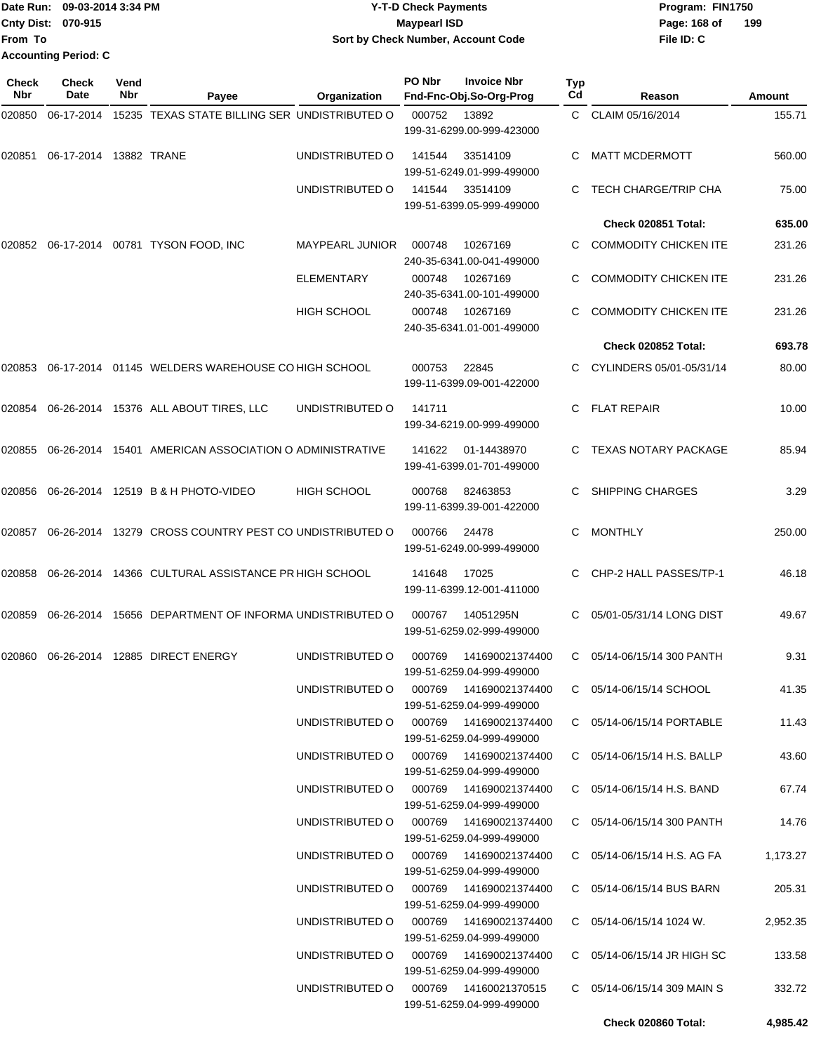|                           | Date Run: 09-03-2014 3:34 PM | <b>Y-T-D Check Payments</b>        | Program: FIN1750    |
|---------------------------|------------------------------|------------------------------------|---------------------|
| <b>Cnty Dist: 070-915</b> |                              | <b>Mavpearl ISD</b>                | 199<br>Page: 168 of |
| lFrom To                  |                              | Sort by Check Number, Account Code | File ID: C          |
|                           | <b>Accounting Period: C</b>  |                                    |                     |

| Check<br>Nbr | <b>Check</b><br>Date   | Vend<br>Nbr | Payee                                                  | Organization                           | PO Nbr | <b>Invoice Nbr</b><br>Fnd-Fnc-Obj.So-Org-Prog        | Typ<br>Cd | Reason                            | Amount   |
|--------------|------------------------|-------------|--------------------------------------------------------|----------------------------------------|--------|------------------------------------------------------|-----------|-----------------------------------|----------|
| 020850       | 06-17-2014             |             | 15235 TEXAS STATE BILLING SER UNDISTRIBUTED O          |                                        | 000752 | 13892                                                |           | C CLAIM 05/16/2014                | 155.71   |
|              |                        |             |                                                        |                                        |        | 199-31-6299.00-999-423000                            |           |                                   |          |
| 020851       | 06-17-2014 13882 TRANE |             |                                                        | UNDISTRIBUTED O                        | 141544 | 33514109<br>199-51-6249.01-999-499000                | C         | <b>MATT MCDERMOTT</b>             | 560.00   |
|              |                        |             |                                                        | UNDISTRIBUTED O                        | 141544 | 33514109<br>199-51-6399.05-999-499000                | C         | TECH CHARGE/TRIP CHA              | 75.00    |
|              |                        |             |                                                        |                                        |        |                                                      |           | Check 020851 Total:               | 635.00   |
| 020852       |                        |             | 06-17-2014 00781 TYSON FOOD, INC                       | <b>MAYPEARL JUNIOR</b>                 | 000748 | 10267169<br>240-35-6341.00-041-499000                |           | <b>COMMODITY CHICKEN ITE</b>      | 231.26   |
|              |                        |             |                                                        | <b>ELEMENTARY</b>                      | 000748 | 10267169<br>240-35-6341.00-101-499000                | С         | <b>COMMODITY CHICKEN ITE</b>      | 231.26   |
|              |                        |             |                                                        | <b>HIGH SCHOOL</b>                     | 000748 | 10267169<br>240-35-6341.01-001-499000                |           | <b>COMMODITY CHICKEN ITE</b>      | 231.26   |
|              |                        |             |                                                        |                                        |        |                                                      |           | Check 020852 Total:               | 693.78   |
| 020853       |                        |             | 06-17-2014 01145 WELDERS WAREHOUSE CO HIGH SCHOOL      |                                        | 000753 | 22845<br>199-11-6399.09-001-422000                   |           | CYLINDERS 05/01-05/31/14          | 80.00    |
| 020854       |                        |             | 06-26-2014 15376 ALL ABOUT TIRES, LLC                  | UNDISTRIBUTED O                        | 141711 | 199-34-6219.00-999-499000                            | C.        | <b>FLAT REPAIR</b>                | 10.00    |
| 020855       |                        |             | 06-26-2014 15401 AMERICAN ASSOCIATION O ADMINISTRATIVE |                                        | 141622 | 01-14438970<br>199-41-6399.01-701-499000             | C.        | <b>TEXAS NOTARY PACKAGE</b>       | 85.94    |
| 020856       |                        |             | 06-26-2014 12519 B & H PHOTO-VIDEO                     | <b>HIGH SCHOOL</b>                     | 000768 | 82463853<br>199-11-6399.39-001-422000                | C         | <b>SHIPPING CHARGES</b>           | 3.29     |
| 020857       |                        |             | 06-26-2014 13279 CROSS COUNTRY PEST CO UNDISTRIBUTED O |                                        | 000766 | 24478<br>199-51-6249.00-999-499000                   | C         | <b>MONTHLY</b>                    | 250.00   |
| 020858       |                        |             | 06-26-2014 14366 CULTURAL ASSISTANCE PR HIGH SCHOOL    |                                        | 141648 | 17025<br>199-11-6399.12-001-411000                   | C.        | CHP-2 HALL PASSES/TP-1            | 46.18    |
| 020859       |                        |             | 06-26-2014 15656 DEPARTMENT OF INFORMA UNDISTRIBUTED O |                                        | 000767 | 14051295N<br>199-51-6259.02-999-499000               | C         | 05/01-05/31/14 LONG DIST          | 49.67    |
| 020860       |                        |             | 06-26-2014 12885 DIRECT ENERGY                         | UNDISTRIBUTED O                        | 000769 | 141690021374400<br>199-51-6259.04-999-499000         | C         | 05/14-06/15/14 300 PANTH          | 9.31     |
|              |                        |             |                                                        | UNDISTRIBUTED O                        | 000769 | 141690021374400<br>199-51-6259.04-999-499000         |           | C 05/14-06/15/14 SCHOOL           | 41.35    |
|              |                        |             |                                                        | UNDISTRIBUTED O                        |        | 000769  141690021374400<br>199-51-6259.04-999-499000 |           | C 05/14-06/15/14 PORTABLE         | 11.43    |
|              |                        |             |                                                        | UNDISTRIBUTED O                        |        | 199-51-6259.04-999-499000                            |           | C 05/14-06/15/14 H.S. BALLP       | 43.60    |
|              |                        |             |                                                        | UNDISTRIBUTED O 000769 141690021374400 |        | 199-51-6259.04-999-499000                            |           | C 05/14-06/15/14 H.S. BAND        | 67.74    |
|              |                        |             |                                                        | UNDISTRIBUTED O 000769 141690021374400 |        | 199-51-6259.04-999-499000                            |           | C 05/14-06/15/14 300 PANTH        | 14.76    |
|              |                        |             |                                                        | UNDISTRIBUTED O                        |        | 199-51-6259.04-999-499000                            |           | C 05/14-06/15/14 H.S. AG FA       | 1,173.27 |
|              |                        |             |                                                        | UNDISTRIBUTED O                        |        | 199-51-6259.04-999-499000                            |           | C 05/14-06/15/14 BUS BARN         | 205.31   |
|              |                        |             |                                                        | UNDISTRIBUTED O                        |        | 000769  141690021374400<br>199-51-6259.04-999-499000 |           | $C = 05/14 - 06/15/14$ 1024 W.    | 2,952.35 |
|              |                        |             |                                                        | UNDISTRIBUTED O                        |        | 000769  141690021374400<br>199-51-6259.04-999-499000 |           | C 05/14-06/15/14 JR HIGH SC       | 133.58   |
|              |                        |             |                                                        | UNDISTRIBUTED O                        |        | 000769  14160021370515<br>199-51-6259.04-999-499000  |           | $C = 05/14 - 06/15/14$ 309 MAIN S | 332.72   |
|              |                        |             |                                                        |                                        |        |                                                      |           | Check 020860 Total:               | 4,985.42 |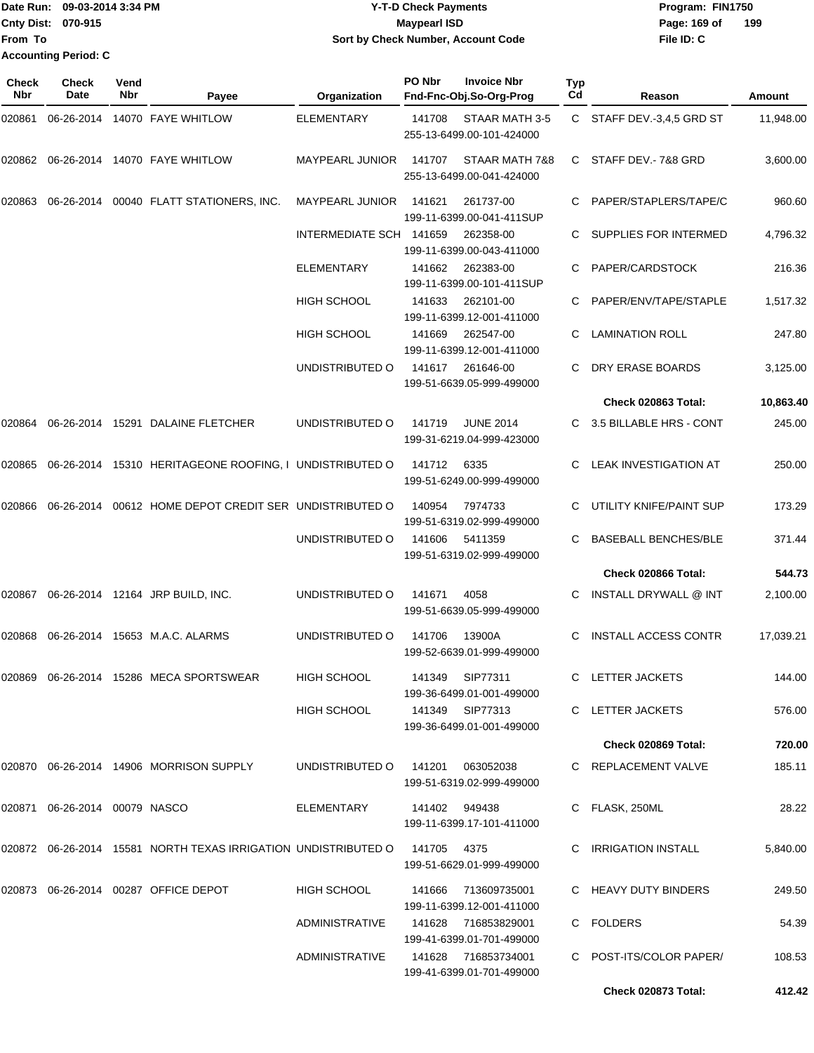| Date Run: 09-03-2014 3:34 PM | <b>Y-T-D Check Payments</b>        | Program: FIN1750    |
|------------------------------|------------------------------------|---------------------|
| <b>Cnty Dist: 070-915</b>    | <b>Mavpearl ISD</b>                | 199<br>Page: 169 of |
| lFrom To                     | Sort by Check Number, Account Code | File ID: C          |
| <b>Accounting Period: C</b>  |                                    |                     |

| <b>Check</b><br><b>Nbr</b> | <b>Check</b><br>Date          | Vend<br>Nbr | Payee                                                                      | Organization            | PO Nbr        | <b>Invoice Nbr</b><br>Fnd-Fnc-Obj.So-Org-Prog     | <b>Typ</b><br>Cd | Reason                       | <b>Amount</b> |
|----------------------------|-------------------------------|-------------|----------------------------------------------------------------------------|-------------------------|---------------|---------------------------------------------------|------------------|------------------------------|---------------|
| 020861                     | 06-26-2014                    |             | 14070 FAYE WHITLOW                                                         | ELEMENTARY              | 141708        | STAAR MATH 3-5<br>255-13-6499.00-101-424000       | C.               | STAFF DEV.-3,4,5 GRD ST      | 11,948.00     |
| 020862                     |                               |             | 06-26-2014 14070 FAYE WHITLOW                                              | <b>MAYPEARL JUNIOR</b>  | 141707        | STAAR MATH 7&8<br>255-13-6499.00-041-424000       | C.               | STAFF DEV.- 7&8 GRD          | 3,600.00      |
| 020863                     | 06-26-2014                    |             | 00040 FLATT STATIONERS, INC.                                               | <b>MAYPEARL JUNIOR</b>  | 141621        | 261737-00<br>199-11-6399.00-041-411SUP            |                  | PAPER/STAPLERS/TAPE/C        | 960.60        |
|                            |                               |             |                                                                            | INTERMEDIATE SCH 141659 |               | 262358-00<br>199-11-6399.00-043-411000            | C                | <b>SUPPLIES FOR INTERMED</b> | 4,796.32      |
|                            |                               |             |                                                                            | ELEMENTARY              | 141662        | 262383-00<br>199-11-6399.00-101-411SUP            |                  | PAPER/CARDSTOCK              | 216.36        |
|                            |                               |             |                                                                            | <b>HIGH SCHOOL</b>      | 141633        | 262101-00<br>199-11-6399.12-001-411000            | С                | PAPER/ENV/TAPE/STAPLE        | 1,517.32      |
|                            |                               |             |                                                                            | <b>HIGH SCHOOL</b>      | 141669        | 262547-00<br>199-11-6399.12-001-411000            | C                | <b>LAMINATION ROLL</b>       | 247.80        |
|                            |                               |             |                                                                            | UNDISTRIBUTED O         | 141617        | 261646-00<br>199-51-6639.05-999-499000            |                  | DRY ERASE BOARDS             | 3,125.00      |
|                            |                               |             |                                                                            |                         |               |                                                   |                  | Check 020863 Total:          | 10,863.40     |
| 020864                     |                               |             | 06-26-2014 15291 DALAINE FLETCHER                                          | UNDISTRIBUTED O         | 141719        | <b>JUNE 2014</b><br>199-31-6219.04-999-423000     | C.               | 3.5 BILLABLE HRS - CONT      | 245.00        |
| 020865                     | 06-26-2014                    |             | 15310 HERITAGEONE ROOFING, I UNDISTRIBUTED O                               |                         | 141712        | 6335<br>199-51-6249.00-999-499000                 | C                | <b>LEAK INVESTIGATION AT</b> | 250.00        |
| 020866                     | 06-26-2014                    |             | 00612 HOME DEPOT CREDIT SER UNDISTRIBUTED O                                |                         | 140954        | 7974733<br>199-51-6319.02-999-499000              | C                | UTILITY KNIFE/PAINT SUP      | 173.29        |
|                            |                               |             |                                                                            | UNDISTRIBUTED O         | 141606        | 5411359<br>199-51-6319.02-999-499000              |                  | <b>BASEBALL BENCHES/BLE</b>  | 371.44        |
|                            |                               |             |                                                                            |                         |               |                                                   |                  | <b>Check 020866 Total:</b>   | 544.73        |
| 020867                     |                               |             | 06-26-2014 12164 JRP BUILD, INC.                                           | UNDISTRIBUTED O         | 141671        | 4058<br>199-51-6639.05-999-499000                 |                  | INSTALL DRYWALL @ INT        | 2,100.00      |
| 020868                     | 06-26-2014                    |             | 15653 M.A.C. ALARMS                                                        | UNDISTRIBUTED O         | 141706        | 13900A<br>199-52-6639.01-999-499000               | C                | <b>INSTALL ACCESS CONTR</b>  | 17,039.21     |
|                            |                               |             |                                                                            | HIGH SCHOOL             | 141349        | SIP77311<br>199-36-6499.01-001-499000             |                  | C LETTER JACKETS             | 144.00        |
|                            |                               |             |                                                                            | HIGH SCHOOL             |               | 141349 SIP77313<br>199-36-6499.01-001-499000      |                  | C LETTER JACKETS             | 576.00        |
|                            |                               |             |                                                                            |                         |               |                                                   |                  | Check 020869 Total:          | 720.00        |
|                            |                               |             | 020870  06-26-2014  14906  MORRISON SUPPLY                                 | UNDISTRIBUTED O 141201  |               | 063052038<br>199-51-6319.02-999-499000            |                  | C REPLACEMENT VALVE          | 185.11        |
|                            | 020871 06-26-2014 00079 NASCO |             |                                                                            | ELEMENTARY              | 141402 949438 | 199-11-6399.17-101-411000                         |                  | C FLASK, 250ML               | 28.22         |
|                            |                               |             | 020872 06-26-2014 15581 NORTH TEXAS IRRIGATION UNDISTRIBUTED O 141705 4375 |                         |               | 199-51-6629.01-999-499000                         |                  | C IRRIGATION INSTALL         | 5,840.00      |
|                            |                               |             | 020873 06-26-2014 00287 OFFICE DEPOT                                       | HIGH SCHOOL             | 141666        | 713609735001<br>199-11-6399.12-001-411000         |                  | C HEAVY DUTY BINDERS         | 249.50        |
|                            |                               |             |                                                                            | ADMINISTRATIVE          |               | 141628 716853829001<br>199-41-6399.01-701-499000  |                  | C FOLDERS                    | 54.39         |
|                            |                               |             |                                                                            | ADMINISTRATIVE          |               | 141628  716853734001<br>199-41-6399.01-701-499000 |                  | C POST-ITS/COLOR PAPER/      | 108.53        |
|                            |                               |             |                                                                            |                         |               |                                                   |                  | Check 020873 Total:          | 412.42        |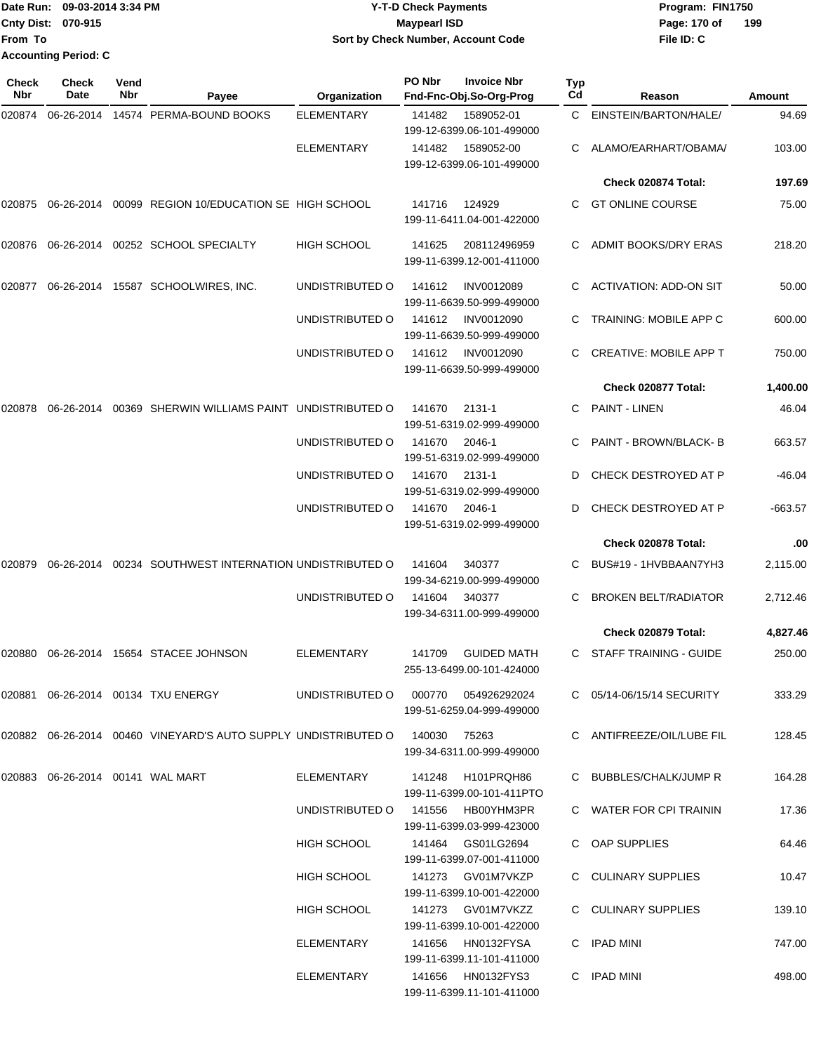|                             | Date Run: 09-03-2014 3:34 PM | <b>Y-T-D Check Payments</b>        | Program: FIN1750    |
|-----------------------------|------------------------------|------------------------------------|---------------------|
| <b>Cnty Dist: 070-915</b>   |                              | Maypearl ISD                       | 199<br>Page: 170 of |
| lFrom To                    |                              | Sort by Check Number, Account Code | File ID: C          |
| <b>Accounting Period: C</b> |                              |                                    |                     |

| Check<br>Nbr | <b>Check</b><br>Date                      | Vend<br>Nbr | Payee                                                             | Organization                        | PO Nbr | <b>Invoice Nbr</b><br>Fnd-Fnc-Obj.So-Org-Prog   | Typ<br>Cd | Reason                        | Amount    |
|--------------|-------------------------------------------|-------------|-------------------------------------------------------------------|-------------------------------------|--------|-------------------------------------------------|-----------|-------------------------------|-----------|
| 020874       | 06-26-2014                                |             | 14574 PERMA-BOUND BOOKS                                           | <b>ELEMENTARY</b>                   | 141482 | 1589052-01<br>199-12-6399.06-101-499000         | C.        | EINSTEIN/BARTON/HALE/         | 94.69     |
|              |                                           |             |                                                                   | <b>ELEMENTARY</b>                   | 141482 | 1589052-00<br>199-12-6399.06-101-499000         | С         | ALAMO/EARHART/OBAMA/          | 103.00    |
|              |                                           |             |                                                                   |                                     |        |                                                 |           | Check 020874 Total:           | 197.69    |
| 020875       |                                           |             | 06-26-2014 00099 REGION 10/EDUCATION SE HIGH SCHOOL               |                                     | 141716 | 124929<br>199-11-6411.04-001-422000             | C         | <b>GT ONLINE COURSE</b>       | 75.00     |
| 020876       |                                           |             | 06-26-2014 00252 SCHOOL SPECIALTY                                 | <b>HIGH SCHOOL</b>                  | 141625 | 208112496959<br>199-11-6399.12-001-411000       | C.        | <b>ADMIT BOOKS/DRY ERAS</b>   | 218.20    |
| 020877       | 06-26-2014                                |             | 15587 SCHOOLWIRES, INC.                                           | UNDISTRIBUTED O                     | 141612 | <b>INV0012089</b><br>199-11-6639.50-999-499000  | С         | <b>ACTIVATION: ADD-ON SIT</b> | 50.00     |
|              |                                           |             |                                                                   | UNDISTRIBUTED O                     | 141612 | <b>INV0012090</b><br>199-11-6639.50-999-499000  | C         | <b>TRAINING: MOBILE APP C</b> | 600.00    |
|              |                                           |             |                                                                   | UNDISTRIBUTED O                     | 141612 | <b>INV0012090</b><br>199-11-6639.50-999-499000  |           | <b>CREATIVE: MOBILE APP T</b> | 750.00    |
|              |                                           |             |                                                                   |                                     |        |                                                 |           | Check 020877 Total:           | 1,400.00  |
| 020878       |                                           |             | 06-26-2014 00369 SHERWIN WILLIAMS PAINT UNDISTRIBUTED O           |                                     | 141670 | 2131-1<br>199-51-6319.02-999-499000             | C.        | <b>PAINT - LINEN</b>          | 46.04     |
|              |                                           |             |                                                                   | UNDISTRIBUTED O                     | 141670 | 2046-1<br>199-51-6319.02-999-499000             | С         | PAINT - BROWN/BLACK- B        | 663.57    |
|              |                                           |             |                                                                   | UNDISTRIBUTED O                     | 141670 | 2131-1<br>199-51-6319.02-999-499000             | D         | CHECK DESTROYED AT P          | $-46.04$  |
|              |                                           |             |                                                                   | UNDISTRIBUTED O                     | 141670 | 2046-1<br>199-51-6319.02-999-499000             | D         | CHECK DESTROYED AT P          | $-663.57$ |
|              |                                           |             |                                                                   |                                     |        |                                                 |           | Check 020878 Total:           | .00       |
| 020879       |                                           |             | 06-26-2014 00234 SOUTHWEST INTERNATION UNDISTRIBUTED O            |                                     | 141604 | 340377<br>199-34-6219.00-999-499000             |           | BUS#19 - 1HVBBAAN7YH3         | 2,115.00  |
|              |                                           |             |                                                                   | UNDISTRIBUTED O                     | 141604 | 340377<br>199-34-6311.00-999-499000             | C         | <b>BROKEN BELT/RADIATOR</b>   | 2,712.46  |
|              |                                           |             |                                                                   |                                     |        |                                                 |           | Check 020879 Total:           | 4,827.46  |
| 020880       |                                           |             | 06-26-2014 15654 STACEE JOHNSON                                   | <b>ELEMENTARY</b>                   | 141709 | <b>GUIDED MATH</b><br>255-13-6499.00-101-424000 | C         | <b>STAFF TRAINING - GUIDE</b> | 250.00    |
|              |                                           |             | 020881  06-26-2014  00134  TXU ENERGY                             | UNDISTRIBUTED O 000770 054926292024 |        | 199-51-6259.04-999-499000                       |           | C 05/14-06/15/14 SECURITY     | 333.29    |
|              |                                           |             | 020882  06-26-2014  00460  VINEYARD'S AUTO SUPPLY UNDISTRIBUTED O |                                     | 140030 | 75263<br>199-34-6311.00-999-499000              |           | C ANTIFREEZE/OIL/LUBE FIL     | 128.45    |
|              | 020883    06-26-2014    00141    WAL MART |             |                                                                   | ELEMENTARY                          |        | 141248 H101PRQH86<br>199-11-6399.00-101-411PTO  |           | C BUBBLES/CHALK/JUMP R        | 164.28    |
|              |                                           |             |                                                                   | UNDISTRIBUTED O                     |        | 141556 HB00YHM3PR<br>199-11-6399.03-999-423000  |           | C WATER FOR CPI TRAININ       | 17.36     |
|              |                                           |             |                                                                   | HIGH SCHOOL                         |        | 141464 GS01LG2694<br>199-11-6399.07-001-411000  |           | C OAP SUPPLIES                | 64.46     |
|              |                                           |             |                                                                   | HIGH SCHOOL                         |        | 141273 GV01M7VKZP<br>199-11-6399.10-001-422000  |           | C CULINARY SUPPLIES           | 10.47     |
|              |                                           |             |                                                                   | <b>HIGH SCHOOL</b>                  |        | 141273 GV01M7VKZZ<br>199-11-6399.10-001-422000  |           | C CULINARY SUPPLIES           | 139.10    |
|              |                                           |             |                                                                   | ELEMENTARY                          |        | 141656 HN0132FYSA<br>199-11-6399.11-101-411000  |           | C IPAD MINI                   | 747.00    |
|              |                                           |             |                                                                   | ELEMENTARY                          |        | 141656 HN0132FYS3<br>199-11-6399.11-101-411000  |           | C IPAD MINI                   | 498.00    |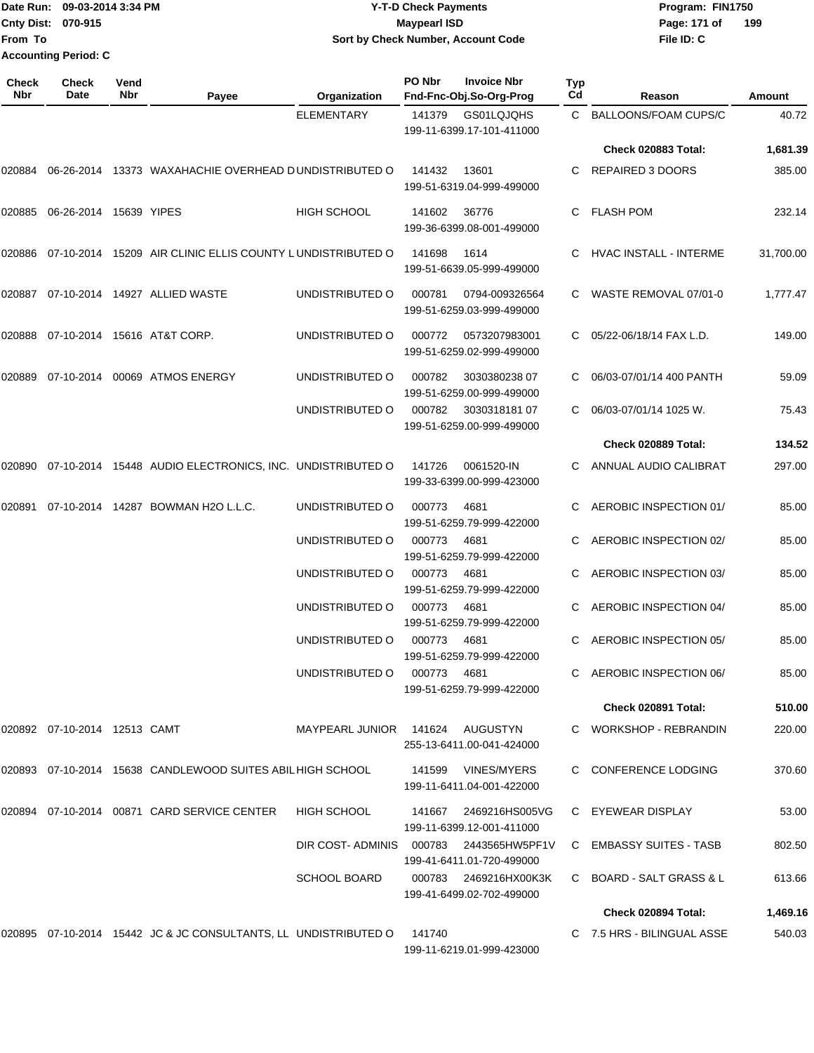Date Run: 09-03-2014 3:34 PM **Program:** FIN1750 **Cnty Dist: 070-915 From To Y-T-D Check Payments 070-915 Maypearl ISD Sort by Check Number, Account Code Accounting Period: C**

**File ID: C** Page: 171 of 199

| Check<br><b>Nbr</b> | Check<br>Date                    | Vend<br>Nbr | Payee                                                           | Organization           | PO Nbr | <b>Invoice Nbr</b><br>Fnd-Fnc-Obj.So-Org-Prog | <b>Typ</b><br>Cd | Reason                     | Amount    |
|---------------------|----------------------------------|-------------|-----------------------------------------------------------------|------------------------|--------|-----------------------------------------------|------------------|----------------------------|-----------|
|                     |                                  |             |                                                                 | <b>ELEMENTARY</b>      | 141379 | GS01LQJQHS<br>199-11-6399.17-101-411000       |                  | C BALLOONS/FOAM CUPS/C     | 40.72     |
|                     |                                  |             |                                                                 |                        |        |                                               |                  | Check 020883 Total:        | 1,681.39  |
| 020884              | 06-26-2014                       |             | 13373 WAXAHACHIE OVERHEAD DUNDISTRIBUTED O                      |                        | 141432 | 13601<br>199-51-6319.04-999-499000            |                  | C REPAIRED 3 DOORS         | 385.00    |
|                     | 020885  06-26-2014  15639  YIPES |             |                                                                 | <b>HIGH SCHOOL</b>     | 141602 | 36776<br>199-36-6399.08-001-499000            | C.               | FLASH POM                  | 232.14    |
| 020886              |                                  |             | 07-10-2014 15209 AIR CLINIC ELLIS COUNTY LUNDISTRIBUTED O       |                        | 141698 | 1614<br>199-51-6639.05-999-499000             |                  | HVAC INSTALL - INTERME     | 31,700.00 |
| 020887              |                                  |             | 07-10-2014  14927  ALLIED WASTE                                 | UNDISTRIBUTED O        | 000781 | 0794-009326564<br>199-51-6259.03-999-499000   |                  | C WASTE REMOVAL 07/01-0    | 1,777.47  |
| 020888              |                                  |             | 07-10-2014 15616 AT&T CORP.                                     | UNDISTRIBUTED O        | 000772 | 0573207983001<br>199-51-6259.02-999-499000    |                  | 05/22-06/18/14 FAX L.D.    | 149.00    |
| 020889              | 07-10-2014                       |             | 00069 ATMOS ENERGY                                              | UNDISTRIBUTED O        | 000782 | 3030380238 07<br>199-51-6259.00-999-499000    |                  | 06/03-07/01/14 400 PANTH   | 59.09     |
|                     |                                  |             |                                                                 | UNDISTRIBUTED O        | 000782 | 303031818107<br>199-51-6259.00-999-499000     |                  | 06/03-07/01/14 1025 W.     | 75.43     |
|                     |                                  |             |                                                                 |                        |        |                                               |                  | Check 020889 Total:        | 134.52    |
| 020890              |                                  |             | 07-10-2014 15448 AUDIO ELECTRONICS, INC. UNDISTRIBUTED O        |                        | 141726 | 0061520-IN<br>199-33-6399.00-999-423000       |                  | ANNUAL AUDIO CALIBRAT      | 297.00    |
| 020891              |                                  |             | 07-10-2014 14287 BOWMAN H2O L.L.C.                              | UNDISTRIBUTED O        | 000773 | 4681<br>199-51-6259.79-999-422000             | C.               | AEROBIC INSPECTION 01/     | 85.00     |
|                     |                                  |             |                                                                 | UNDISTRIBUTED O        | 000773 | 4681<br>199-51-6259.79-999-422000             |                  | AEROBIC INSPECTION 02/     | 85.00     |
|                     |                                  |             |                                                                 | UNDISTRIBUTED O        | 000773 | 4681<br>199-51-6259.79-999-422000             |                  | AEROBIC INSPECTION 03/     | 85.00     |
|                     |                                  |             |                                                                 | UNDISTRIBUTED O        | 000773 | 4681<br>199-51-6259.79-999-422000             |                  | AEROBIC INSPECTION 04/     | 85.00     |
|                     |                                  |             |                                                                 | UNDISTRIBUTED O        | 000773 | 4681<br>199-51-6259.79-999-422000             |                  | AEROBIC INSPECTION 05/     | 85.00     |
|                     |                                  |             |                                                                 | UNDISTRIBUTED O        | 000773 | 4681<br>199-51-6259.79-999-422000             |                  | C AEROBIC INSPECTION 06/   | 85.00     |
|                     |                                  |             |                                                                 |                        |        |                                               |                  | Check 020891 Total:        | 510.00    |
|                     | 020892  07-10-2014  12513  CAMT  |             |                                                                 | MAYPEARL JUNIOR 141624 |        | AUGUSTYN<br>255-13-6411.00-041-424000         |                  | C WORKSHOP - REBRANDIN     | 220.00    |
|                     |                                  |             | 020893 07-10-2014 15638 CANDLEWOOD SUITES ABIL HIGH SCHOOL      |                        | 141599 | VINES/MYERS<br>199-11-6411.04-001-422000      |                  | C CONFERENCE LODGING       | 370.60    |
|                     |                                  |             | 020894 07-10-2014 00871 CARD SERVICE CENTER                     | <b>HIGH SCHOOL</b>     | 141667 | 2469216HS005VG<br>199-11-6399.12-001-411000   |                  | C EYEWEAR DISPLAY          | 53.00     |
|                     |                                  |             |                                                                 | DIR COST-ADMINIS       |        | 199-41-6411.01-720-499000                     |                  | C EMBASSY SUITES - TASB    | 802.50    |
|                     |                                  |             |                                                                 | <b>SCHOOL BOARD</b>    | 000783 | 2469216HX00K3K<br>199-41-6499.02-702-499000   |                  | C BOARD - SALT GRASS & L   | 613.66    |
|                     |                                  |             |                                                                 |                        |        |                                               |                  | Check 020894 Total:        | 1,469.16  |
|                     |                                  |             | 020895 07-10-2014 15442 JC & JC CONSULTANTS, LL UNDISTRIBUTED O |                        | 141740 | 199-11-6219.01-999-423000                     |                  | C 7.5 HRS - BILINGUAL ASSE | 540.03    |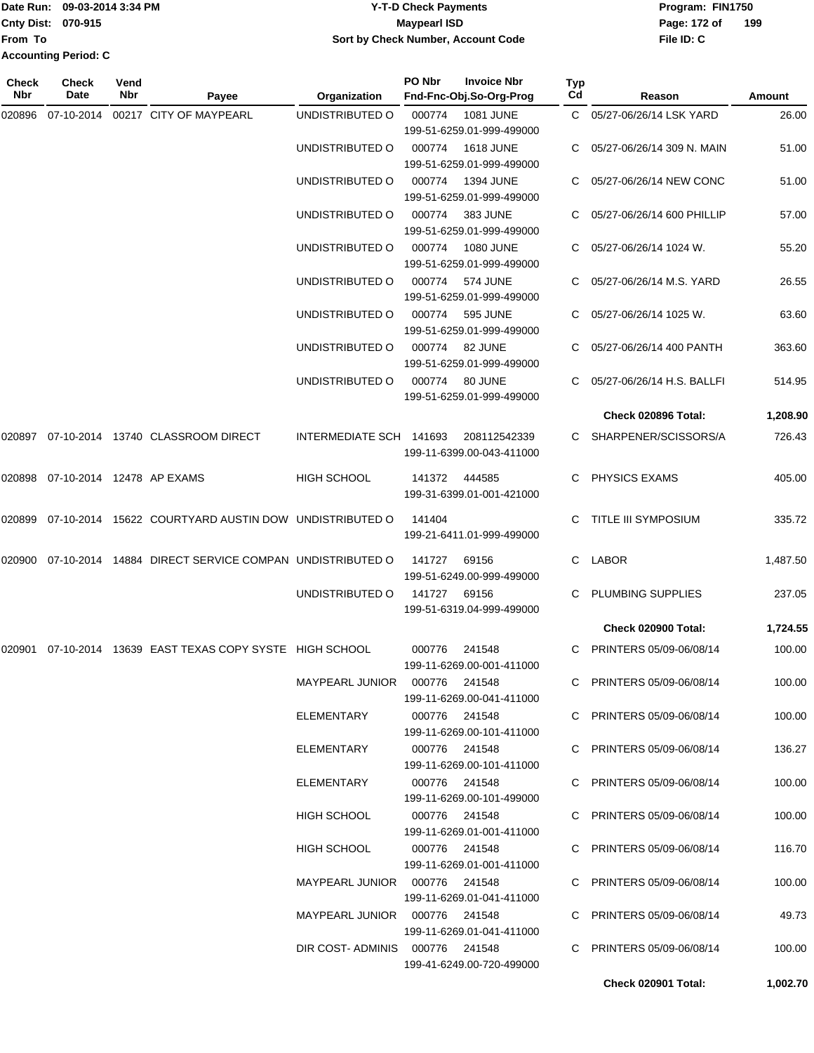| lDate Run:                  | 09-03-2014 3:34 PM | <b>Y-T-D Check Payments</b>        | Program: FIN1750 |     |
|-----------------------------|--------------------|------------------------------------|------------------|-----|
| <b>Cnty Dist: 070-915</b>   |                    | <b>Maypearl ISD</b>                | Page: 172 of     | 199 |
| lFrom To                    |                    | Sort by Check Number, Account Code | File ID: C       |     |
| <b>Accounting Period: C</b> |                    |                                    |                  |     |

| Check<br>Nbr | <b>Check</b><br>Date      | Vend<br><b>Nbr</b> | Payee                                                  | Organization                   | PO Nbr                               | <b>Invoice Nbr</b><br>Fnd-Fnc-Obj.So-Org-Prog | Typ<br>Cd                | Reason                     | Amount   |
|--------------|---------------------------|--------------------|--------------------------------------------------------|--------------------------------|--------------------------------------|-----------------------------------------------|--------------------------|----------------------------|----------|
| 020896       | 07-10-2014                |                    | 00217 CITY OF MAYPEARL                                 | UNDISTRIBUTED O                | 000774                               | <b>1081 JUNE</b><br>199-51-6259.01-999-499000 |                          | C 05/27-06/26/14 LSK YARD  | 26.00    |
|              |                           |                    |                                                        | UNDISTRIBUTED O                | 000774                               | <b>1618 JUNE</b><br>199-51-6259.01-999-499000 | $\mathbf{C}$             | 05/27-06/26/14 309 N. MAIN | 51.00    |
|              |                           |                    |                                                        | UNDISTRIBUTED O                | 000774                               | <b>1394 JUNE</b><br>199-51-6259.01-999-499000 | C.                       | 05/27-06/26/14 NEW CONC    | 51.00    |
|              |                           |                    |                                                        | UNDISTRIBUTED O                | 000774                               | 383 JUNE<br>199-51-6259.01-999-499000         |                          | 05/27-06/26/14 600 PHILLIP | 57.00    |
|              |                           |                    |                                                        | UNDISTRIBUTED O                | 000774                               | <b>1080 JUNE</b><br>199-51-6259.01-999-499000 |                          | 05/27-06/26/14 1024 W.     | 55.20    |
|              |                           |                    |                                                        | UNDISTRIBUTED O                | 000774                               | <b>574 JUNE</b><br>199-51-6259.01-999-499000  |                          | 05/27-06/26/14 M.S. YARD   | 26.55    |
|              |                           |                    |                                                        | UNDISTRIBUTED O                | 000774                               | <b>595 JUNE</b><br>199-51-6259.01-999-499000  |                          | 05/27-06/26/14 1025 W.     | 63.60    |
|              |                           |                    | UNDISTRIBUTED O                                        | 000774                         | 82 JUNE<br>199-51-6259.01-999-499000 | C.                                            | 05/27-06/26/14 400 PANTH | 363.60                     |          |
|              |                           |                    |                                                        | UNDISTRIBUTED O                | 000774                               | 80 JUNE<br>199-51-6259.01-999-499000          |                          | 05/27-06/26/14 H.S. BALLFI | 514.95   |
|              |                           |                    |                                                        |                                |                                      |                                               |                          | Check 020896 Total:        | 1,208.90 |
|              |                           |                    | 020897  07-10-2014  13740  CLASSROOM DIRECT            | INTERMEDIATE SCH 141693        |                                      | 208112542339<br>199-11-6399.00-043-411000     |                          | C SHARPENER/SCISSORS/A     | 726.43   |
| 020898       | 07-10-2014 12478 AP EXAMS |                    |                                                        | <b>HIGH SCHOOL</b>             | 141372                               | 444585<br>199-31-6399.01-001-421000           | C.                       | PHYSICS EXAMS              | 405.00   |
| 020899       |                           |                    | 07-10-2014 15622 COURTYARD AUSTIN DOW UNDISTRIBUTED O  |                                | 141404                               | 199-21-6411.01-999-499000                     | C.                       | TITLE III SYMPOSIUM        | 335.72   |
| 020900       |                           |                    | 07-10-2014 14884 DIRECT SERVICE COMPAN UNDISTRIBUTED O |                                | 141727                               | 69156<br>199-51-6249.00-999-499000            | C.                       | <b>LABOR</b>               | 1,487.50 |
|              |                           |                    |                                                        | UNDISTRIBUTED O                | 141727                               | 69156<br>199-51-6319.04-999-499000            | C.                       | PLUMBING SUPPLIES          | 237.05   |
|              |                           |                    |                                                        |                                |                                      |                                               |                          | <b>Check 020900 Total:</b> | 1,724.55 |
| 020901       |                           |                    | 07-10-2014 13639 EAST TEXAS COPY SYSTE HIGH SCHOOL     |                                | 000776                               | 241548<br>199-11-6269.00-001-411000           | C.                       | PRINTERS 05/09-06/08/14    | 100.00   |
|              |                           |                    |                                                        | MAYPEARL JUNIOR 000776 241548  |                                      | 199-11-6269.00-041-411000                     |                          | C PRINTERS 05/09-06/08/14  | 100.00   |
|              |                           |                    |                                                        | ELEMENTARY                     | 000776 241548                        | 199-11-6269.00-101-411000                     |                          | C PRINTERS 05/09-06/08/14  | 100.00   |
|              |                           |                    |                                                        | ELEMENTARY                     | 000776 241548                        | 199-11-6269.00-101-411000                     |                          | C PRINTERS 05/09-06/08/14  | 136.27   |
|              |                           |                    |                                                        | ELEMENTARY                     | 000776 241548                        | 199-11-6269.00-101-499000                     |                          | C PRINTERS 05/09-06/08/14  | 100.00   |
|              |                           |                    |                                                        | <b>HIGH SCHOOL</b>             | 000776 241548                        | 199-11-6269.01-001-411000                     |                          | C PRINTERS 05/09-06/08/14  | 100.00   |
|              |                           |                    |                                                        | HIGH SCHOOL                    | 000776 241548                        | 199-11-6269.01-001-411000                     |                          | C PRINTERS 05/09-06/08/14  | 116.70   |
|              |                           |                    |                                                        | MAYPEARL JUNIOR 000776 241548  |                                      | 199-11-6269.01-041-411000                     |                          | C PRINTERS 05/09-06/08/14  | 100.00   |
|              |                           |                    |                                                        | MAYPEARL JUNIOR 000776 241548  |                                      | 199-11-6269.01-041-411000                     |                          | C PRINTERS 05/09-06/08/14  | 49.73    |
|              |                           |                    |                                                        | DIR COST-ADMINIS 000776 241548 |                                      | 199-41-6249.00-720-499000                     |                          | C PRINTERS 05/09-06/08/14  | 100.00   |
|              |                           |                    |                                                        |                                |                                      |                                               |                          | Check 020901 Total:        | 1,002.70 |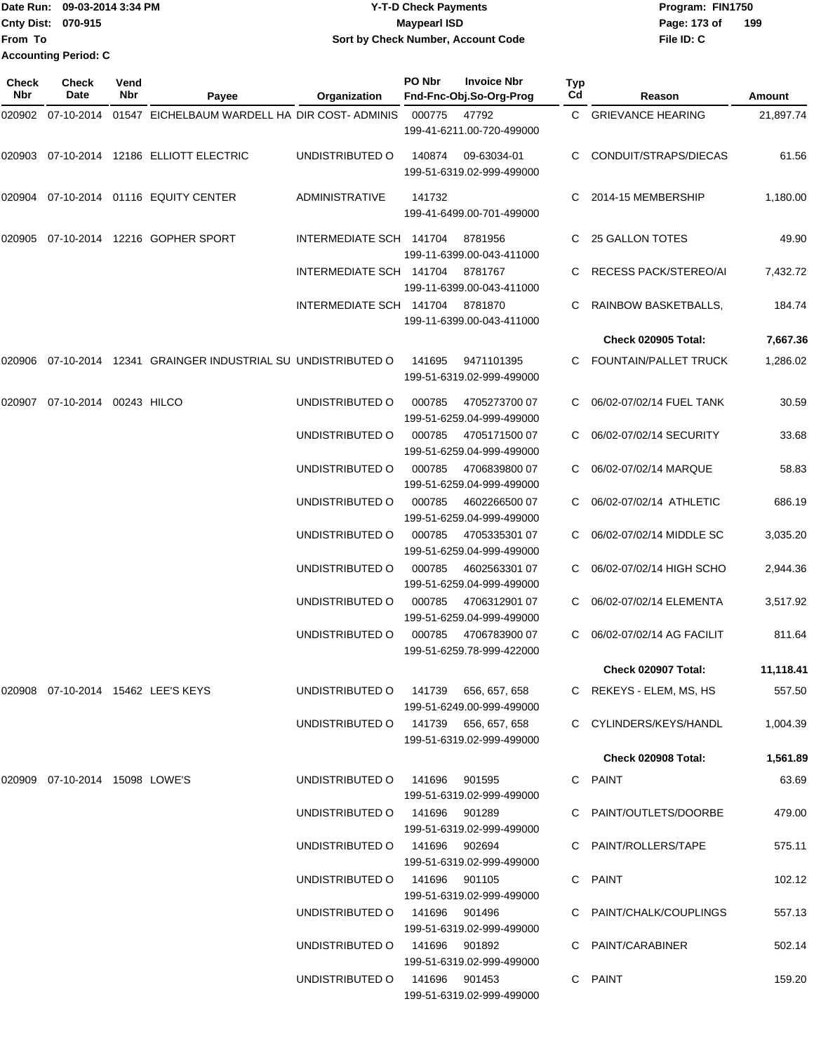|                             | Date Run: 09-03-2014 3:34 PM | <b>Y-T-D Check Payments</b>         | Program: FIN1750 |     |  |  |
|-----------------------------|------------------------------|-------------------------------------|------------------|-----|--|--|
| Cnty Dist: 070-915          |                              | <b>Maypearl ISD</b>                 | Page: 173 of     | 199 |  |  |
| <b>From To</b>              |                              | Sort by Check Number, Account Code  | File ID: C       |     |  |  |
| <b>Accounting Period: C</b> |                              |                                     |                  |     |  |  |
| <b>Check</b>                | Vend<br><b>Check</b>         | PO Nbr<br><b>Invoice Nbr</b><br>Typ |                  |     |  |  |

| Nbr | Date                              | Nbr | Payee                                                            | Organization                         |        | Fnd-Fnc-Obj.So-Org-Prog                           | Cd | Reason                     | Amount    |
|-----|-----------------------------------|-----|------------------------------------------------------------------|--------------------------------------|--------|---------------------------------------------------|----|----------------------------|-----------|
|     |                                   |     | 020902 07-10-2014 01547 EICHELBAUM WARDELL HA DIR COST-ADMINIS   |                                      | 000775 | 47792<br>199-41-6211.00-720-499000                |    | C GRIEVANCE HEARING        | 21,897.74 |
|     |                                   |     | 020903 07-10-2014 12186 ELLIOTT ELECTRIC                         | UNDISTRIBUTED O                      | 140874 | 09-63034-01<br>199-51-6319.02-999-499000          |    | CONDUIT/STRAPS/DIECAS      | 61.56     |
|     |                                   |     | 020904  07-10-2014  01116  EQUITY CENTER                         | <b>ADMINISTRATIVE</b>                | 141732 | 199-41-6499.00-701-499000                         | C. | 2014-15 MEMBERSHIP         | 1,180.00  |
|     |                                   |     | 020905 07-10-2014 12216 GOPHER SPORT                             | INTERMEDIATE SCH 141704              |        | 8781956<br>199-11-6399.00-043-411000              |    | 25 GALLON TOTES            | 49.90     |
|     |                                   |     |                                                                  | INTERMEDIATE SCH 141704              |        | 8781767<br>199-11-6399.00-043-411000              |    | RECESS PACK/STEREO/AI      | 7,432.72  |
|     |                                   |     |                                                                  | INTERMEDIATE SCH 141704 8781870      |        | 199-11-6399.00-043-411000                         |    | RAINBOW BASKETBALLS,       | 184.74    |
|     |                                   |     |                                                                  |                                      |        |                                                   |    | Check 020905 Total:        | 7,667.36  |
|     |                                   |     | 020906 07-10-2014 12341  GRAINGER INDUSTRIAL SU  UNDISTRIBUTED O |                                      | 141695 | 9471101395<br>199-51-6319.02-999-499000           |    | C FOUNTAIN/PALLET TRUCK    | 1,286.02  |
|     | 020907 07-10-2014 00243 HILCO     |     |                                                                  | UNDISTRIBUTED O                      | 000785 | 4705273700 07<br>199-51-6259.04-999-499000        |    | 06/02-07/02/14 FUEL TANK   | 30.59     |
|     |                                   |     |                                                                  | UNDISTRIBUTED O                      | 000785 | 4705171500 07<br>199-51-6259.04-999-499000        |    | 06/02-07/02/14 SECURITY    | 33.68     |
|     |                                   |     |                                                                  | UNDISTRIBUTED O                      | 000785 | 470683980007<br>199-51-6259.04-999-499000         |    | 06/02-07/02/14 MARQUE      | 58.83     |
|     |                                   |     |                                                                  | UNDISTRIBUTED O                      | 000785 | 4602266500 07<br>199-51-6259.04-999-499000        |    | 06/02-07/02/14 ATHLETIC    | 686.19    |
|     |                                   |     |                                                                  | UNDISTRIBUTED O                      | 000785 | 4705335301 07<br>199-51-6259.04-999-499000        |    | C 06/02-07/02/14 MIDDLE SC | 3,035.20  |
|     |                                   |     |                                                                  | UNDISTRIBUTED O                      | 000785 | 4602563301 07<br>199-51-6259.04-999-499000        |    | C 06/02-07/02/14 HIGH SCHO | 2,944.36  |
|     |                                   |     |                                                                  | UNDISTRIBUTED O                      | 000785 | 4706312901 07<br>199-51-6259.04-999-499000        |    | 06/02-07/02/14 ELEMENTA    | 3,517.92  |
|     |                                   |     |                                                                  | UNDISTRIBUTED O                      |        | 000785 4706783900 07<br>199-51-6259.78-999-422000 |    | 06/02-07/02/14 AG FACILIT  | 811.64    |
|     |                                   |     |                                                                  |                                      |        |                                                   |    | <b>Check 020907 Total:</b> | 11,118.41 |
|     |                                   |     | 020908    07-10-2014    15462    LEE'S    KEYS                   | UNDISTRIBUTED O 141739 656, 657, 658 |        | 199-51-6249.00-999-499000                         |    | C REKEYS - ELEM, MS, HS    | 557.50    |
|     |                                   |     |                                                                  | UNDISTRIBUTED O 141739 656, 657, 658 |        | 199-51-6319.02-999-499000                         |    | C CYLINDERS/KEYS/HANDL     | 1,004.39  |
|     |                                   |     |                                                                  |                                      |        |                                                   |    | <b>Check 020908 Total:</b> | 1,561.89  |
|     | 020909  07-10-2014  15098  LOWE'S |     |                                                                  | UNDISTRIBUTED O 141696 901595        |        | 199-51-6319.02-999-499000                         |    | C PAINT                    | 63.69     |
|     |                                   |     |                                                                  | UNDISTRIBUTED 0 141696 901289        |        | 199-51-6319.02-999-499000                         |    | C PAINT/OUTLETS/DOORBE     | 479.00    |
|     |                                   |     |                                                                  | UNDISTRIBUTED O 141696 902694        |        | 199-51-6319.02-999-499000                         |    | C PAINT/ROLLERS/TAPE       | 575.11    |
|     |                                   |     |                                                                  | UNDISTRIBUTED O 141696 901105        |        | 199-51-6319.02-999-499000                         |    | C PAINT                    | 102.12    |
|     |                                   |     |                                                                  | UNDISTRIBUTED 0 141696 901496        |        | 199-51-6319.02-999-499000                         |    | C PAINT/CHALK/COUPLINGS    | 557.13    |
|     |                                   |     |                                                                  | UNDISTRIBUTED O 141696 901892        |        | 199-51-6319.02-999-499000                         |    | C PAINT/CARABINER          | 502.14    |
|     |                                   |     |                                                                  | UNDISTRIBUTED O 141696 901453        |        | 199-51-6319.02-999-499000                         |    | C PAINT                    | 159.20    |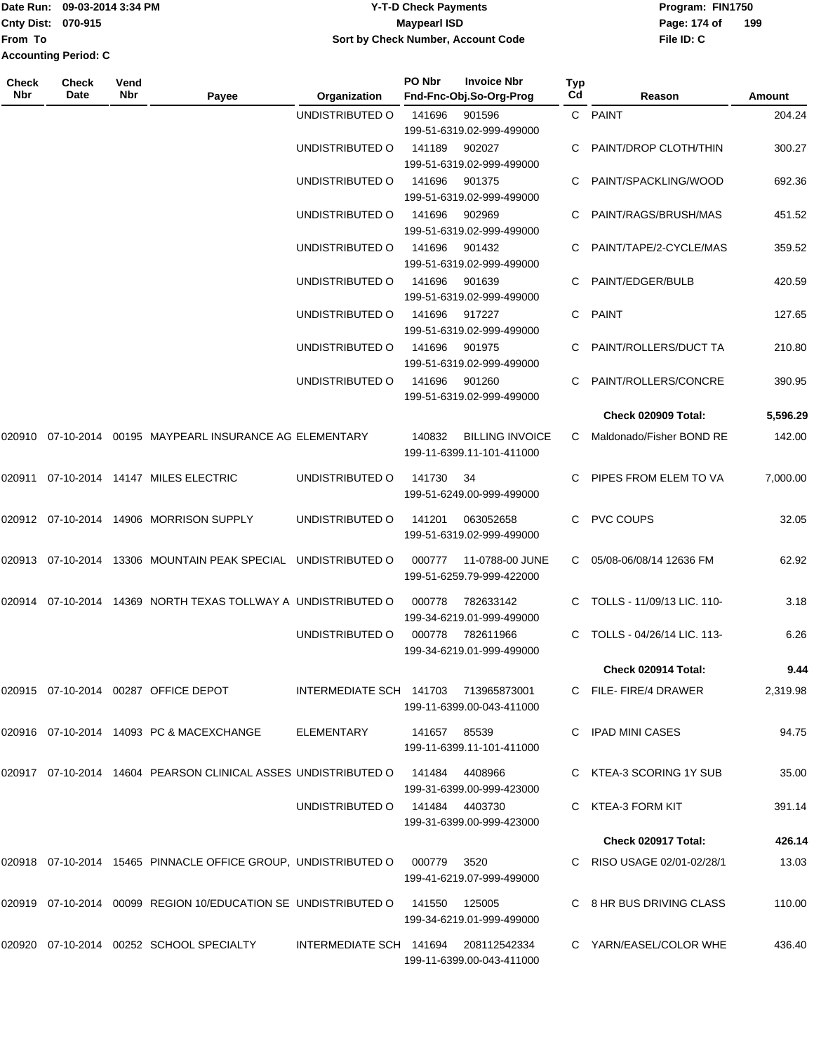|                             | Date Run: 09-03-2014 3:34 PM | Y-T-D Check Payments               | Program: FIN1750    |  |  |  |
|-----------------------------|------------------------------|------------------------------------|---------------------|--|--|--|
| <b>Cnty Dist: 070-915</b>   |                              | <b>Maypearl ISD</b>                | 199<br>Page: 174 of |  |  |  |
| lFrom To                    |                              | Sort by Check Number, Account Code | File ID: C          |  |  |  |
| <b>Accounting Period: C</b> |                              |                                    |                     |  |  |  |

| <b>Check</b><br>Nbr | Check<br>Date | Vend<br><b>Nbr</b> | Payee                                                                         | Organization                         | PO Nbr | <b>Invoice Nbr</b><br>Fnd-Fnc-Obj.So-Org-Prog       | Typ<br>Cd | Reason                       | Amount   |
|---------------------|---------------|--------------------|-------------------------------------------------------------------------------|--------------------------------------|--------|-----------------------------------------------------|-----------|------------------------------|----------|
|                     |               |                    |                                                                               | UNDISTRIBUTED O                      | 141696 | 901596                                              |           | C PAINT                      | 204.24   |
|                     |               |                    |                                                                               |                                      |        | 199-51-6319.02-999-499000                           |           |                              |          |
|                     |               |                    |                                                                               | UNDISTRIBUTED O                      | 141189 | 902027                                              |           | PAINT/DROP CLOTH/THIN        | 300.27   |
|                     |               |                    |                                                                               |                                      |        | 199-51-6319.02-999-499000                           |           |                              |          |
|                     |               |                    |                                                                               | UNDISTRIBUTED O                      | 141696 | 901375                                              |           | PAINT/SPACKLING/WOOD         | 692.36   |
|                     |               |                    |                                                                               |                                      |        | 199-51-6319.02-999-499000                           |           |                              |          |
|                     |               |                    |                                                                               | UNDISTRIBUTED O                      | 141696 | 902969                                              |           | PAINT/RAGS/BRUSH/MAS         | 451.52   |
|                     |               |                    |                                                                               | UNDISTRIBUTED O                      | 141696 | 199-51-6319.02-999-499000<br>901432                 |           | PAINT/TAPE/2-CYCLE/MAS       | 359.52   |
|                     |               |                    |                                                                               |                                      |        | 199-51-6319.02-999-499000                           |           |                              |          |
|                     |               |                    |                                                                               | UNDISTRIBUTED O                      | 141696 | 901639                                              | C.        | PAINT/EDGER/BULB             | 420.59   |
|                     |               |                    |                                                                               |                                      |        | 199-51-6319.02-999-499000                           |           |                              |          |
|                     |               |                    |                                                                               | UNDISTRIBUTED O                      | 141696 | 917227                                              | C.        | PAINT                        | 127.65   |
|                     |               |                    |                                                                               |                                      |        | 199-51-6319.02-999-499000                           |           |                              |          |
|                     |               |                    |                                                                               | UNDISTRIBUTED O                      | 141696 | 901975                                              | C.        | PAINT/ROLLERS/DUCT TA        | 210.80   |
|                     |               |                    |                                                                               |                                      |        | 199-51-6319.02-999-499000                           |           |                              |          |
|                     |               |                    |                                                                               | UNDISTRIBUTED O                      | 141696 | 901260                                              |           | PAINT/ROLLERS/CONCRE         | 390.95   |
|                     |               |                    |                                                                               |                                      |        | 199-51-6319.02-999-499000                           |           |                              |          |
|                     |               |                    |                                                                               |                                      |        |                                                     |           | Check 020909 Total:          | 5,596.29 |
| 020910              |               |                    | 07-10-2014 00195 MAYPEARL INSURANCE AG ELEMENTARY                             |                                      | 140832 | <b>BILLING INVOICE</b><br>199-11-6399.11-101-411000 | C.        | Maldonado/Fisher BOND RE     | 142.00   |
| 020911              |               |                    | 07-10-2014  14147  MILES ELECTRIC                                             | UNDISTRIBUTED O                      | 141730 | 34                                                  | C.        | PIPES FROM ELEM TO VA        | 7,000.00 |
|                     |               |                    |                                                                               |                                      |        | 199-51-6249.00-999-499000                           |           |                              |          |
|                     |               |                    | 020912 07-10-2014 14906 MORRISON SUPPLY                                       | UNDISTRIBUTED O                      | 141201 | 063052658                                           | C.        | <b>PVC COUPS</b>             | 32.05    |
|                     |               |                    |                                                                               |                                      |        | 199-51-6319.02-999-499000                           |           |                              |          |
|                     |               |                    |                                                                               |                                      |        |                                                     |           |                              |          |
| 020913              |               |                    | 07-10-2014 13306 MOUNTAIN PEAK SPECIAL UNDISTRIBUTED O                        |                                      | 000777 | 11-0788-00 JUNE<br>199-51-6259.79-999-422000        | C.        | 05/08-06/08/14 12636 FM      | 62.92    |
|                     |               |                    |                                                                               |                                      |        |                                                     |           |                              |          |
| 020914              |               |                    | 07-10-2014 14369 NORTH TEXAS TOLLWAY A UNDISTRIBUTED O                        |                                      | 000778 | 782633142                                           |           | C TOLLS - 11/09/13 LIC. 110- | 3.18     |
|                     |               |                    |                                                                               |                                      |        | 199-34-6219.01-999-499000                           |           |                              |          |
|                     |               |                    |                                                                               | UNDISTRIBUTED O                      | 000778 | 782611966<br>199-34-6219.01-999-499000              |           | C TOLLS - 04/26/14 LIC, 113- | 6.26     |
|                     |               |                    |                                                                               |                                      |        |                                                     |           | Check 020914 Total:          | 9.44     |
|                     |               |                    |                                                                               |                                      |        |                                                     |           |                              |          |
|                     |               |                    | 020915  07-10-2014  00287  OFFICE DEPOT                                       | INTERMEDIATE SCH 141703 713965873001 |        |                                                     |           | C FILE-FIRE/4 DRAWER         | 2,319.98 |
|                     |               |                    |                                                                               |                                      |        | 199-11-6399.00-043-411000                           |           |                              |          |
|                     |               |                    | 020916  07-10-2014  14093  PC & MACEXCHANGE                                   | ELEMENTARY 141657 85539              |        |                                                     |           | C IPAD MINI CASES            | 94.75    |
|                     |               |                    |                                                                               |                                      |        | 199-11-6399.11-101-411000                           |           |                              |          |
|                     |               |                    | 020917 07-10-2014 14604 PEARSON CLINICAL ASSES UNDISTRIBUTED O 141484 4408966 |                                      |        |                                                     |           | C KTEA-3 SCORING 1Y SUB      | 35.00    |
|                     |               |                    |                                                                               |                                      |        | 199-31-6399.00-999-423000                           |           |                              |          |
|                     |               |                    |                                                                               | UNDISTRIBUTED O 141484 4403730       |        |                                                     |           | C KTEA-3 FORM KIT            | 391.14   |
|                     |               |                    |                                                                               |                                      |        | 199-31-6399.00-999-423000                           |           |                              |          |
|                     |               |                    |                                                                               |                                      |        |                                                     |           | Check 020917 Total:          | 426.14   |
|                     |               |                    | 020918 07-10-2014 15465 PINNACLE OFFICE GROUP, UNDISTRIBUTED O 000779 3520    |                                      |        |                                                     |           | C RISO USAGE 02/01-02/28/1   | 13.03    |
|                     |               |                    |                                                                               |                                      |        | 199-41-6219.07-999-499000                           |           |                              |          |
|                     |               |                    | 020919 07-10-2014 00099 REGION 10/EDUCATION SE UNDISTRIBUTED O 141550 125005  |                                      |        |                                                     |           | C 8 HR BUS DRIVING CLASS     | 110.00   |
|                     |               |                    |                                                                               |                                      |        | 199-34-6219.01-999-499000                           |           |                              |          |
|                     |               |                    | 020920 07-10-2014 00252 SCHOOL SPECIALTY                                      | INTERMEDIATE SCH 141694 208112542334 |        |                                                     |           | C YARN/EASEL/COLOR WHE       | 436.40   |
|                     |               |                    |                                                                               |                                      |        | 199-11-6399.00-043-411000                           |           |                              |          |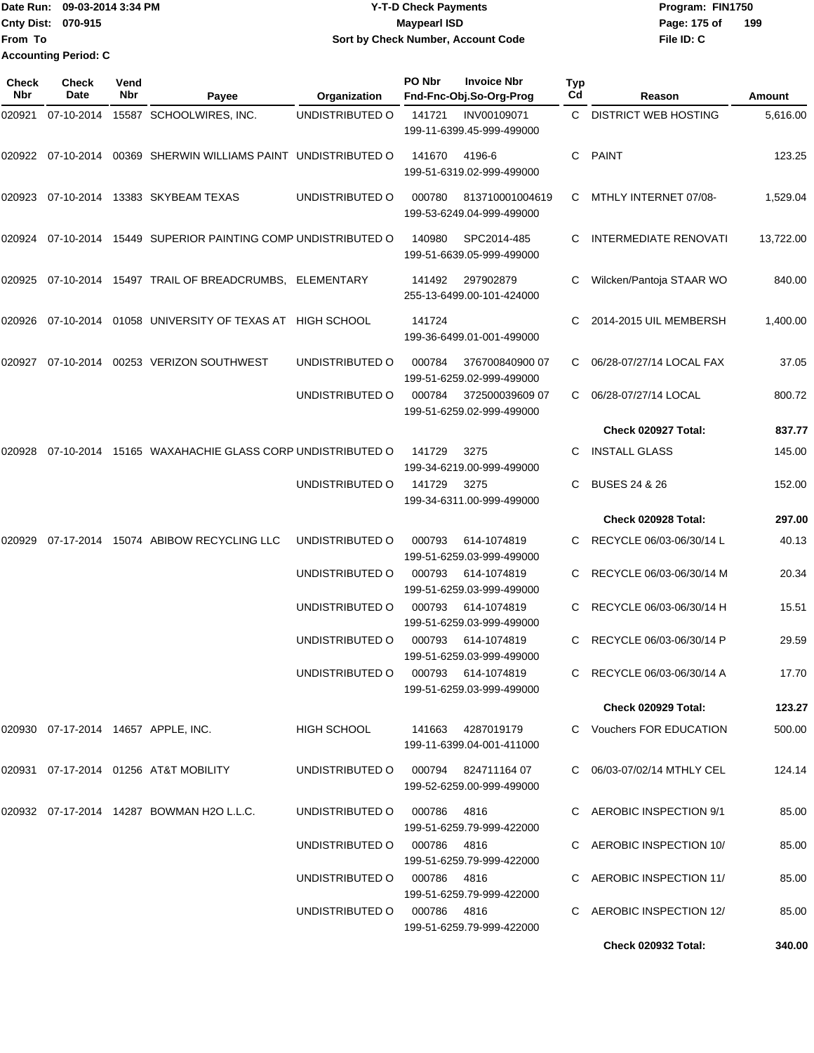Date Run: 09-03-2014 3:34 PM **Program:** FIN1750 **Cnty Dist: 070-915 File ID: C From To 09-03-2014 3:34 PM Y-T-D Check Payments 070-915 Maypearl ISD Sort by Check Number, Account Code** Page: 175 of 199 **Accounting Period: C**

| Check<br>Nbr | <b>Check</b><br>Date | Vend<br>Nbr | Payee                                                          | Organization                        | PO Nbr | <b>Invoice Nbr</b><br>Fnd-Fnc-Obj.So-Org-Prog   | Typ<br>Cd | Reason                       | Amount    |
|--------------|----------------------|-------------|----------------------------------------------------------------|-------------------------------------|--------|-------------------------------------------------|-----------|------------------------------|-----------|
| 020921       | 07-10-2014           |             | 15587 SCHOOLWIRES, INC.                                        | UNDISTRIBUTED O                     | 141721 | INV00109071<br>199-11-6399.45-999-499000        | C.        | <b>DISTRICT WEB HOSTING</b>  | 5,616.00  |
|              |                      |             | 020922 07-10-2014 00369 SHERWIN WILLIAMS PAINT UNDISTRIBUTED O |                                     | 141670 | 4196-6<br>199-51-6319.02-999-499000             | C         | <b>PAINT</b>                 | 123.25    |
| 020923       |                      |             | 07-10-2014 13383 SKYBEAM TEXAS                                 | UNDISTRIBUTED O                     | 000780 | 813710001004619<br>199-53-6249.04-999-499000    | C         | MTHLY INTERNET 07/08-        | 1,529.04  |
| 020924       |                      |             | 07-10-2014 15449 SUPERIOR PAINTING COMP UNDISTRIBUTED O        |                                     | 140980 | SPC2014-485<br>199-51-6639.05-999-499000        | C         | <b>INTERMEDIATE RENOVATI</b> | 13,722.00 |
| 020925       |                      |             | 07-10-2014 15497 TRAIL OF BREADCRUMBS, ELEMENTARY              |                                     | 141492 | 297902879<br>255-13-6499.00-101-424000          | C         | Wilcken/Pantoja STAAR WO     | 840.00    |
| 020926       |                      |             | 07-10-2014 01058 UNIVERSITY OF TEXAS AT HIGH SCHOOL            |                                     | 141724 | 199-36-6499.01-001-499000                       |           | 2014-2015 UIL MEMBERSH       | 1,400.00  |
| 020927       |                      |             | 07-10-2014 00253 VERIZON SOUTHWEST                             | UNDISTRIBUTED O                     | 000784 | 376700840900 07<br>199-51-6259.02-999-499000    | C         | 06/28-07/27/14 LOCAL FAX     | 37.05     |
|              |                      |             |                                                                | UNDISTRIBUTED O                     | 000784 | 372500039609 07<br>199-51-6259.02-999-499000    | C         | 06/28-07/27/14 LOCAL         | 800.72    |
|              |                      |             |                                                                |                                     |        |                                                 |           | Check 020927 Total:          | 837.77    |
| 020928       |                      |             | 07-10-2014 15165 WAXAHACHIE GLASS CORP UNDISTRIBUTED O         |                                     | 141729 | 3275<br>199-34-6219.00-999-499000               |           | <b>INSTALL GLASS</b>         | 145.00    |
|              |                      |             |                                                                | UNDISTRIBUTED O                     | 141729 | 3275<br>199-34-6311.00-999-499000               | C         | <b>BUSES 24 &amp; 26</b>     | 152.00    |
|              |                      |             |                                                                |                                     |        |                                                 |           | Check 020928 Total:          | 297.00    |
| 020929       |                      |             | 07-17-2014 15074 ABIBOW RECYCLING LLC                          | UNDISTRIBUTED O                     | 000793 | 614-1074819<br>199-51-6259.03-999-499000        |           | RECYCLE 06/03-06/30/14 L     | 40.13     |
|              |                      |             |                                                                | UNDISTRIBUTED O                     | 000793 | 614-1074819<br>199-51-6259.03-999-499000        | C         | RECYCLE 06/03-06/30/14 M     | 20.34     |
|              |                      |             |                                                                | UNDISTRIBUTED O                     | 000793 | 614-1074819<br>199-51-6259.03-999-499000        |           | RECYCLE 06/03-06/30/14 H     | 15.51     |
|              |                      |             |                                                                | UNDISTRIBUTED O                     | 000793 | 614-1074819<br>199-51-6259.03-999-499000        |           | RECYCLE 06/03-06/30/14 P     | 29.59     |
|              |                      |             |                                                                | UNDISTRIBUTED O                     |        | 000793 614-1074819<br>199-51-6259.03-999-499000 |           | C RECYCLE 06/03-06/30/14 A   | 17.70     |
|              |                      |             |                                                                |                                     |        |                                                 |           | <b>Check 020929 Total:</b>   | 123.27    |
|              |                      |             | 020930  07-17-2014  14657  APPLE, INC.                         | HIGH SCHOOL                         |        | 141663 4287019179<br>199-11-6399.04-001-411000  |           | C Vouchers FOR EDUCATION     | 500.00    |
|              |                      |             | 020931 07-17-2014 01256 AT&T MOBILITY                          | UNDISTRIBUTED O 000794 824711164 07 |        | 199-52-6259.00-999-499000                       |           | C 06/03-07/02/14 MTHLY CEL   | 124.14    |
|              |                      |             | 020932 07-17-2014 14287 BOWMAN H2O L.L.C.                      | UNDISTRIBUTED O 000786 4816         |        | 199-51-6259.79-999-422000                       |           | C AEROBIC INSPECTION 9/1     | 85.00     |
|              |                      |             |                                                                | UNDISTRIBUTED O 000786 4816         |        | 199-51-6259.79-999-422000                       |           | C AEROBIC INSPECTION 10/     | 85.00     |
|              |                      |             |                                                                | UNDISTRIBUTED O 000786 4816         |        | 199-51-6259.79-999-422000                       |           | C AEROBIC INSPECTION 11/     | 85.00     |
|              |                      |             |                                                                | UNDISTRIBUTED O 000786 4816         |        | 199-51-6259.79-999-422000                       |           | C AEROBIC INSPECTION 12/     | 85.00     |
|              |                      |             |                                                                |                                     |        |                                                 |           | <b>Check 020932 Total:</b>   | 340.00    |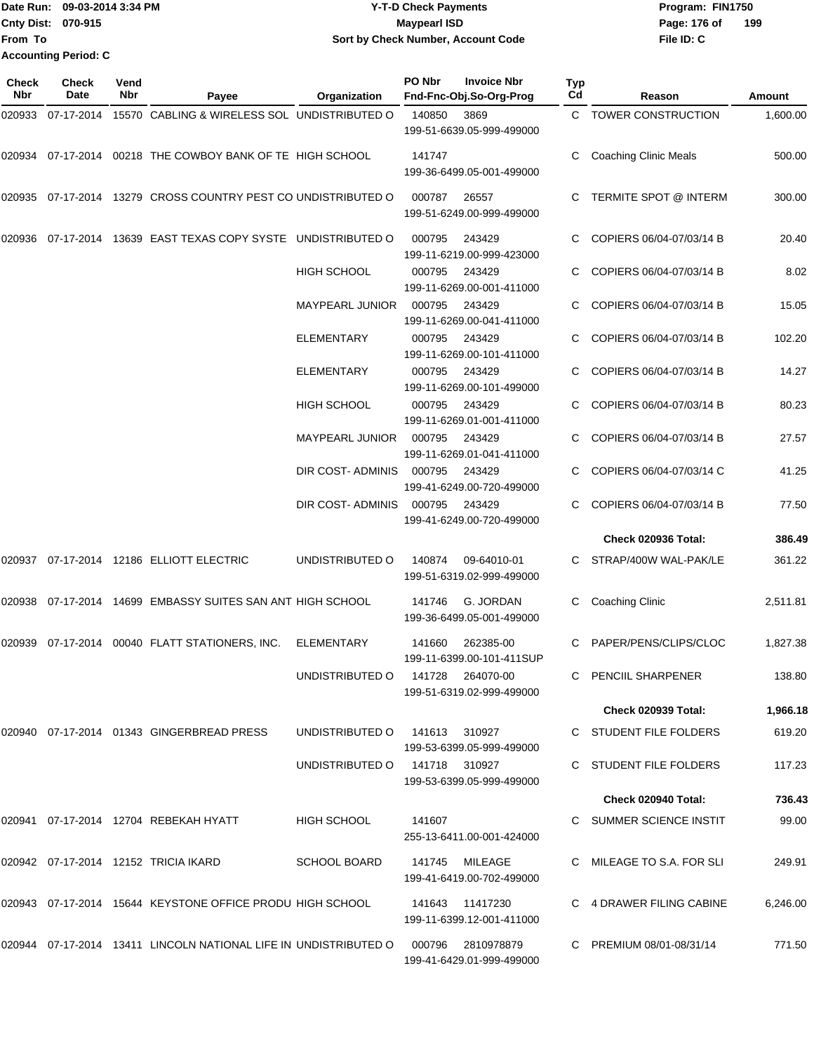Date Run: 09-03-2014 3:34 PM **Program:** FIN1750 **Cnty Dist: 070-915 From To Y-T-D Check Payments 070-915 Maypearl ISD Sort by Check Number, Account Code Accounting Period: C**

**File ID: C** Page: 176 of 199

| Check<br>Nbr | <b>Check</b><br>Date | Vend<br>Nbr | Payee                                                            | Organization                     | PO Nbr | <b>Invoice Nbr</b><br>Fnd-Fnc-Obj.So-Org-Prog | Typ<br>Cd | Reason                       | <b>Amount</b> |
|--------------|----------------------|-------------|------------------------------------------------------------------|----------------------------------|--------|-----------------------------------------------|-----------|------------------------------|---------------|
|              | 020933 07-17-2014    |             | 15570 CABLING & WIRELESS SOL UNDISTRIBUTED O                     |                                  | 140850 | 3869<br>199-51-6639.05-999-499000             |           | C TOWER CONSTRUCTION         | 1,600.00      |
| 020934       |                      |             | 07-17-2014 00218 THE COWBOY BANK OF TE HIGH SCHOOL               |                                  | 141747 | 199-36-6499.05-001-499000                     |           | <b>Coaching Clinic Meals</b> | 500.00        |
|              |                      |             | 020935 07-17-2014 13279 CROSS COUNTRY PEST CO UNDISTRIBUTED O    |                                  | 000787 | 26557<br>199-51-6249.00-999-499000            | C.        | TERMITE SPOT @ INTERM        | 300.00        |
|              |                      |             | 020936 07-17-2014 13639 EAST TEXAS COPY SYSTE UNDISTRIBUTED O    |                                  | 000795 | 243429<br>199-11-6219.00-999-423000           |           | COPIERS 06/04-07/03/14 B     | 20.40         |
|              |                      |             |                                                                  | <b>HIGH SCHOOL</b>               | 000795 | 243429<br>199-11-6269.00-001-411000           |           | COPIERS 06/04-07/03/14 B     | 8.02          |
|              |                      |             |                                                                  | <b>MAYPEARL JUNIOR</b>           | 000795 | 243429<br>199-11-6269.00-041-411000           |           | COPIERS 06/04-07/03/14 B     | 15.05         |
|              |                      |             |                                                                  | <b>ELEMENTARY</b>                | 000795 | 243429<br>199-11-6269.00-101-411000           |           | COPIERS 06/04-07/03/14 B     | 102.20        |
|              |                      |             |                                                                  | ELEMENTARY                       | 000795 | 243429<br>199-11-6269.00-101-499000           |           | COPIERS 06/04-07/03/14 B     | 14.27         |
|              |                      |             |                                                                  | HIGH SCHOOL                      | 000795 | 243429<br>199-11-6269.01-001-411000           |           | COPIERS 06/04-07/03/14 B     | 80.23         |
|              |                      |             |                                                                  | MAYPEARL JUNIOR                  | 000795 | 243429<br>199-11-6269.01-041-411000           |           | COPIERS 06/04-07/03/14 B     | 27.57         |
|              |                      |             |                                                                  | DIR COST- ADMINIS                | 000795 | 243429<br>199-41-6249.00-720-499000           |           | COPIERS 06/04-07/03/14 C     | 41.25         |
|              |                      |             |                                                                  | DIR COST- ADMINIS                | 000795 | 243429<br>199-41-6249.00-720-499000           |           | COPIERS 06/04-07/03/14 B     | 77.50         |
|              |                      |             |                                                                  |                                  |        |                                               |           | Check 020936 Total:          | 386.49        |
|              |                      |             | 020937 07-17-2014 12186 ELLIOTT ELECTRIC                         | UNDISTRIBUTED O                  | 140874 | 09-64010-01<br>199-51-6319.02-999-499000      | C.        | STRAP/400W WAL-PAK/LE        | 361.22        |
|              |                      |             | 020938 07-17-2014 14699 EMBASSY SUITES SAN ANT HIGH SCHOOL       |                                  | 141746 | G. JORDAN<br>199-36-6499.05-001-499000        | C         | <b>Coaching Clinic</b>       | 2,511.81      |
|              |                      |             | 020939 07-17-2014 00040 FLATT STATIONERS, INC.                   | <b>ELEMENTARY</b>                | 141660 | 262385-00<br>199-11-6399.00-101-411SUP        | C         | PAPER/PENS/CLIPS/CLOC        | 1,827.38      |
|              |                      |             |                                                                  | UNDISTRIBUTED O 141728 264070-00 |        | 199-51-6319.02-999-499000                     |           | C PENCIIL SHARPENER          | 138.80        |
|              |                      |             |                                                                  |                                  |        |                                               |           | Check 020939 Total:          | 1,966.18      |
|              |                      |             | 020940 07-17-2014 01343 GINGERBREAD PRESS                        | UNDISTRIBUTED 0 141613 310927    |        | 199-53-6399.05-999-499000                     |           | C STUDENT FILE FOLDERS       | 619.20        |
|              |                      |             |                                                                  | UNDISTRIBUTED 0 141718 310927    |        | 199-53-6399.05-999-499000                     |           | C STUDENT FILE FOLDERS       | 117.23        |
|              |                      |             |                                                                  |                                  |        |                                               |           | Check 020940 Total:          | 736.43        |
|              |                      |             | 020941  07-17-2014  12704  REBEKAH HYATT                         | <b>HIGH SCHOOL</b>               | 141607 | 255-13-6411.00-001-424000                     |           | C SUMMER SCIENCE INSTIT      | 99.00         |
|              |                      |             | 020942  07-17-2014  12152  TRICIA IKARD                          | <b>SCHOOL BOARD</b>              |        | 141745 MILEAGE<br>199-41-6419.00-702-499000   |           | C MILEAGE TO S.A. FOR SLI    | 249.91        |
|              |                      |             | 020943 07-17-2014 15644 KEYSTONE OFFICE PRODU HIGH SCHOOL        |                                  |        | 141643 11417230<br>199-11-6399.12-001-411000  |           | C 4 DRAWER FILING CABINE     | 6,246.00      |
|              |                      |             | 020944 07-17-2014 13411 LINCOLN NATIONAL LIFE IN UNDISTRIBUTED O |                                  | 000796 | 2810978879<br>199-41-6429.01-999-499000       |           | C PREMIUM 08/01-08/31/14     | 771.50        |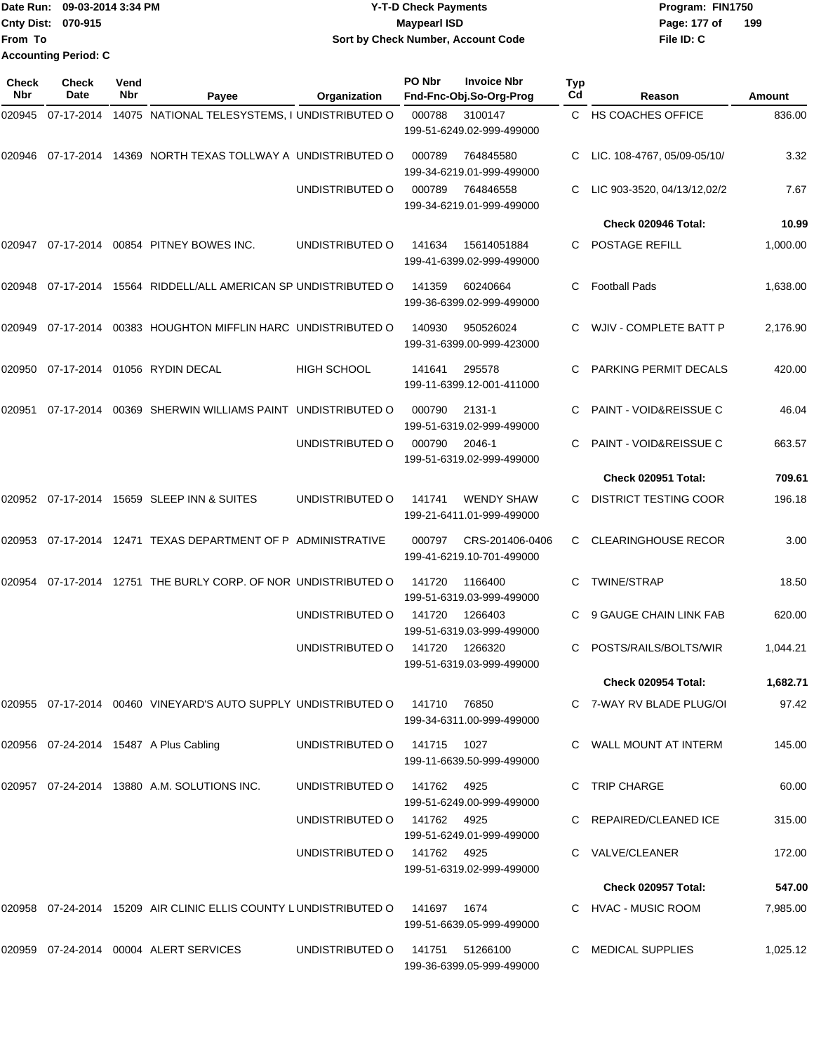|                           | Date Run: 09-03-2014 3:34 PM | <b>Y-T-D Check Payments</b>        | Program: FIN1750      |
|---------------------------|------------------------------|------------------------------------|-----------------------|
| <b>Cnty Dist: 070-915</b> |                              | Maypearl ISD                       | $-19$<br>Page: 177 of |
| lFrom To                  |                              | Sort by Check Number, Account Code | File ID: C            |
|                           | <b>Accounting Period: C</b>  |                                    |                       |
|                           |                              |                                    |                       |

**199**

| <b>Check</b><br><b>Nbr</b> | Check<br>Date | Vend<br>Nbr | Payee                                                            | Organization       | PO Nbr       | <b>Invoice Nbr</b><br>Fnd-Fnc-Obj.So-Org-Prog  | Typ<br>Cd | Reason                            | Amount   |
|----------------------------|---------------|-------------|------------------------------------------------------------------|--------------------|--------------|------------------------------------------------|-----------|-----------------------------------|----------|
| 020945                     |               |             | 07-17-2014 14075 NATIONAL TELESYSTEMS, I UNDISTRIBUTED O         |                    | 000788       | 3100147<br>199-51-6249.02-999-499000           |           | C HS COACHES OFFICE               | 836.00   |
| 020946                     |               |             | 07-17-2014 14369 NORTH TEXAS TOLLWAY A UNDISTRIBUTED O           |                    | 000789       | 764845580<br>199-34-6219.01-999-499000         |           | LIC. 108-4767, 05/09-05/10/       | 3.32     |
|                            |               |             |                                                                  | UNDISTRIBUTED O    | 000789       | 764846558<br>199-34-6219.01-999-499000         |           | LIC 903-3520, 04/13/12,02/2       | 7.67     |
|                            |               |             |                                                                  |                    |              |                                                |           | Check 020946 Total:               | 10.99    |
| 020947                     |               |             | 07-17-2014 00854 PITNEY BOWES INC.                               | UNDISTRIBUTED O    | 141634       | 15614051884<br>199-41-6399.02-999-499000       | C.        | POSTAGE REFILL                    | 1,000.00 |
| 020948                     |               |             | 07-17-2014 15564 RIDDELL/ALL AMERICAN SP UNDISTRIBUTED O         |                    | 141359       | 60240664<br>199-36-6399.02-999-499000          | C.        | <b>Football Pads</b>              | 1,638.00 |
| 020949                     |               |             | 07-17-2014 00383 HOUGHTON MIFFLIN HARC UNDISTRIBUTED O           |                    | 140930       | 950526024<br>199-31-6399.00-999-423000         |           | WJIV - COMPLETE BATT P            | 2,176.90 |
| 020950                     |               |             | 07-17-2014   01056   RYDIN DECAL                                 | <b>HIGH SCHOOL</b> | 141641       | 295578<br>199-11-6399.12-001-411000            |           | PARKING PERMIT DECALS             | 420.00   |
| 020951                     | 07-17-2014    |             | 00369 SHERWIN WILLIAMS PAINT UNDISTRIBUTED O                     |                    | 000790       | 2131-1<br>199-51-6319.02-999-499000            | C.        | <b>PAINT - VOID&amp;REISSUE C</b> | 46.04    |
|                            |               |             |                                                                  | UNDISTRIBUTED O    | 000790       | 2046-1<br>199-51-6319.02-999-499000            |           | <b>PAINT - VOID&amp;REISSUE C</b> | 663.57   |
|                            |               |             |                                                                  |                    |              |                                                |           | Check 020951 Total:               | 709.61   |
|                            |               |             | 020952 07-17-2014 15659 SLEEP INN & SUITES                       | UNDISTRIBUTED O    | 141741       | <b>WENDY SHAW</b><br>199-21-6411.01-999-499000 | C.        | DISTRICT TESTING COOR             | 196.18   |
| 020953                     |               |             | 07-17-2014 12471 TEXAS DEPARTMENT OF P ADMINISTRATIVE            |                    | 000797       | CRS-201406-0406<br>199-41-6219.10-701-499000   | C.        | <b>CLEARINGHOUSE RECOR</b>        | 3.00     |
| 020954                     |               |             | 07-17-2014 12751 THE BURLY CORP. OF NOR UNDISTRIBUTED O          |                    | 141720       | 1166400<br>199-51-6319.03-999-499000           | C.        | <b>TWINE/STRAP</b>                | 18.50    |
|                            |               |             |                                                                  | UNDISTRIBUTED O    | 141720       | 1266403<br>199-51-6319.03-999-499000           |           | 9 GAUGE CHAIN LINK FAB            | 620.00   |
|                            |               |             |                                                                  | UNDISTRIBUTED O    | 141720       | 1266320<br>199-51-6319.03-999-499000           | C.        | POSTS/RAILS/BOLTS/WIR             | 1,044.21 |
|                            |               |             |                                                                  |                    |              |                                                |           | <b>Check 020954 Total:</b>        | 1,682.71 |
|                            |               |             | 020955 07-17-2014 00460 VINEYARD'S AUTO SUPPLY UNDISTRIBUTED O   |                    | 141710       | 76850<br>199-34-6311.00-999-499000             |           | C 7-WAY RV BLADE PLUG/OI          | 97.42    |
|                            |               |             | 020956 07-24-2014 15487 A Plus Cabling                           | UNDISTRIBUTED O    | 141715 1027  | 199-11-6639.50-999-499000                      |           | C WALL MOUNT AT INTERM            | 145.00   |
|                            |               |             | 020957 07-24-2014 13880 A.M. SOLUTIONS INC.                      | UNDISTRIBUTED O    | 141762  4925 | 199-51-6249.00-999-499000                      |           | C TRIP CHARGE                     | 60.00    |
|                            |               |             |                                                                  | UNDISTRIBUTED O    | 141762 4925  | 199-51-6249.01-999-499000                      |           | C REPAIRED/CLEANED ICE            | 315.00   |
|                            |               |             |                                                                  | UNDISTRIBUTED O    | 141762 4925  | 199-51-6319.02-999-499000                      |           | C VALVE/CLEANER                   | 172.00   |
|                            |               |             |                                                                  |                    |              |                                                |           | <b>Check 020957 Total:</b>        | 547.00   |
|                            |               |             | 020958 07-24-2014 15209 AIR CLINIC ELLIS COUNTY LUNDISTRIBUTED O |                    | 141697 1674  | 199-51-6639.05-999-499000                      |           | C HVAC - MUSIC ROOM               | 7,985.00 |
|                            |               |             | 020959 07-24-2014 00004 ALERT SERVICES                           | UNDISTRIBUTED O    | 141751       | 51266100<br>199-36-6399.05-999-499000          |           | C MEDICAL SUPPLIES                | 1,025.12 |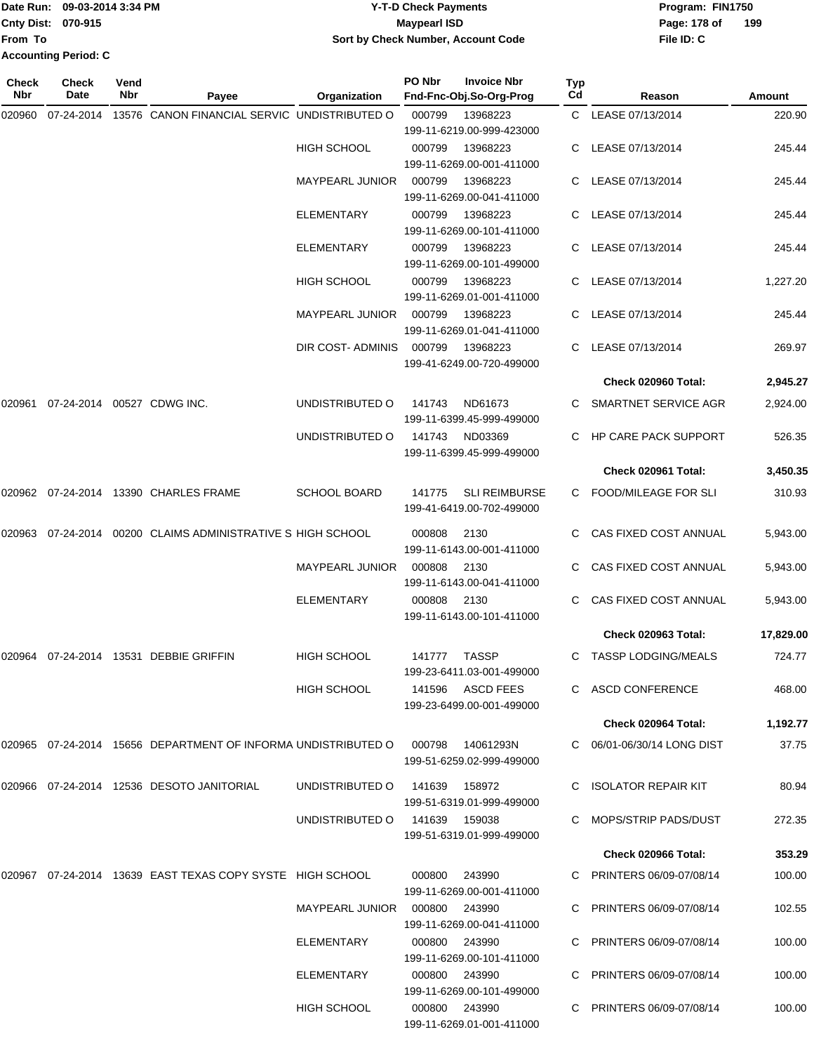**From To Accounting Period: C**

## Date Run: 09-03-2014 3:34 PM **Program:** FIN1750 **Cnty Dist:** 070-915 **Page:** 178 of **09-03-2014 3:34 PM Y-T-D Check Payments 070-915 Maypearl ISD Sort by Check Number, Account Code**

| Check<br>Nbr | <b>Check</b><br>Date | Vend<br>Nbr | Payee                                                         | Organization                    | PO Nbr        | <b>Invoice Nbr</b><br>Fnd-Fnc-Obj.So-Org-Prog     | Typ<br>Cd | Reason                      | Amount    |
|--------------|----------------------|-------------|---------------------------------------------------------------|---------------------------------|---------------|---------------------------------------------------|-----------|-----------------------------|-----------|
| 020960       | 07-24-2014           |             | 13576 CANON FINANCIAL SERVIC UNDISTRIBUTED O                  |                                 | 000799        | 13968223<br>199-11-6219.00-999-423000             |           | C LEASE 07/13/2014          | 220.90    |
|              |                      |             |                                                               | <b>HIGH SCHOOL</b>              | 000799        | 13968223<br>199-11-6269.00-001-411000             |           | C LEASE 07/13/2014          | 245.44    |
|              |                      |             |                                                               | <b>MAYPEARL JUNIOR</b>          | 000799        | 13968223<br>199-11-6269.00-041-411000             |           | LEASE 07/13/2014            | 245.44    |
|              |                      |             |                                                               | <b>ELEMENTARY</b>               | 000799        | 13968223<br>199-11-6269.00-101-411000             |           | LEASE 07/13/2014            | 245.44    |
|              |                      |             |                                                               | <b>ELEMENTARY</b>               | 000799        | 13968223<br>199-11-6269.00-101-499000             | C.        | LEASE 07/13/2014            | 245.44    |
|              |                      |             |                                                               | <b>HIGH SCHOOL</b>              | 000799        | 13968223<br>199-11-6269.01-001-411000             |           | LEASE 07/13/2014            | 1,227.20  |
|              |                      |             |                                                               | <b>MAYPEARL JUNIOR</b>          | 000799        | 13968223<br>199-11-6269.01-041-411000             | C.        | LEASE 07/13/2014            | 245.44    |
|              |                      |             |                                                               | DIR COST- ADMINIS               | 000799        | 13968223<br>199-41-6249.00-720-499000             | C.        | LEASE 07/13/2014            | 269.97    |
|              |                      |             |                                                               |                                 |               |                                                   |           | Check 020960 Total:         | 2,945.27  |
| 020961       |                      |             | 07-24-2014 00527 CDWG INC.                                    | UNDISTRIBUTED O                 | 141743        | ND61673<br>199-11-6399.45-999-499000              |           | SMARTNET SERVICE AGR        | 2,924.00  |
|              |                      |             |                                                               | UNDISTRIBUTED O                 | 141743        | ND03369<br>199-11-6399.45-999-499000              |           | <b>HP CARE PACK SUPPORT</b> | 526.35    |
|              |                      |             |                                                               |                                 |               |                                                   |           | Check 020961 Total:         | 3,450.35  |
|              |                      |             | 020962  07-24-2014  13390  CHARLES FRAME                      | <b>SCHOOL BOARD</b>             | 141775        | <b>SLI REIMBURSE</b><br>199-41-6419.00-702-499000 |           | <b>FOOD/MILEAGE FOR SLI</b> | 310.93    |
| 020963       |                      |             | 07-24-2014 00200 CLAIMS ADMINISTRATIVE S HIGH SCHOOL          |                                 | 000808        | 2130<br>199-11-6143.00-001-411000                 |           | CAS FIXED COST ANNUAL       | 5,943.00  |
|              |                      |             |                                                               | <b>MAYPEARL JUNIOR</b>          | 000808        | 2130<br>199-11-6143.00-041-411000                 |           | CAS FIXED COST ANNUAL       | 5,943.00  |
|              |                      |             |                                                               | <b>ELEMENTARY</b>               | 000808        | 2130<br>199-11-6143.00-101-411000                 |           | CAS FIXED COST ANNUAL       | 5,943.00  |
|              |                      |             |                                                               |                                 |               |                                                   |           | Check 020963 Total:         | 17,829.00 |
|              |                      |             |                                                               | <b>HIGH SCHOOL</b>              | 141777        | TASSP<br>199-23-6411.03-001-499000                |           | TASSP LODGING/MEALS         | 724.77    |
|              |                      |             |                                                               | <b>HIGH SCHOOL</b>              |               | 141596 ASCD FEES<br>199-23-6499.00-001-499000     |           | C ASCD CONFERENCE           | 468.00    |
|              |                      |             |                                                               |                                 |               |                                                   |           | Check 020964 Total:         | 1,192.77  |
|              |                      |             | 020965 07-24-2014 15656 DEPARTMENT OF INFORMA UNDISTRIBUTED O |                                 | 000798        | 14061293N<br>199-51-6259.02-999-499000            |           | C 06/01-06/30/14 LONG DIST  | 37.75     |
|              |                      |             | 020966  07-24-2014  12536  DESOTO JANITORIAL                  | UNDISTRIBUTED O                 | 141639        | 158972<br>199-51-6319.01-999-499000               |           | C ISOLATOR REPAIR KIT       | 80.94     |
|              |                      |             |                                                               | UNDISTRIBUTED O                 | 141639 159038 | 199-51-6319.01-999-499000                         |           | C MOPS/STRIP PADS/DUST      | 272.35    |
|              |                      |             |                                                               |                                 |               |                                                   |           | Check 020966 Total:         | 353.29    |
|              |                      |             | 020967  07-24-2014  13639  EAST TEXAS COPY SYSTE  HIGH SCHOOL |                                 |               | 000800 243990<br>199-11-6269.00-001-411000        |           | C PRINTERS 06/09-07/08/14   | 100.00    |
|              |                      |             |                                                               | MAYPEARL JUNIOR  000800  243990 |               | 199-11-6269.00-041-411000                         |           | C PRINTERS 06/09-07/08/14   | 102.55    |
|              |                      |             |                                                               | ELEMENTARY                      |               | 000800 243990<br>199-11-6269.00-101-411000        |           | C PRINTERS 06/09-07/08/14   | 100.00    |
|              |                      |             |                                                               | ELEMENTARY                      |               | 000800 243990<br>199-11-6269.00-101-499000        |           | C PRINTERS 06/09-07/08/14   | 100.00    |
|              |                      |             |                                                               | HIGH SCHOOL                     |               | 000800 243990<br>199-11-6269.01-001-411000        |           | C PRINTERS 06/09-07/08/14   | 100.00    |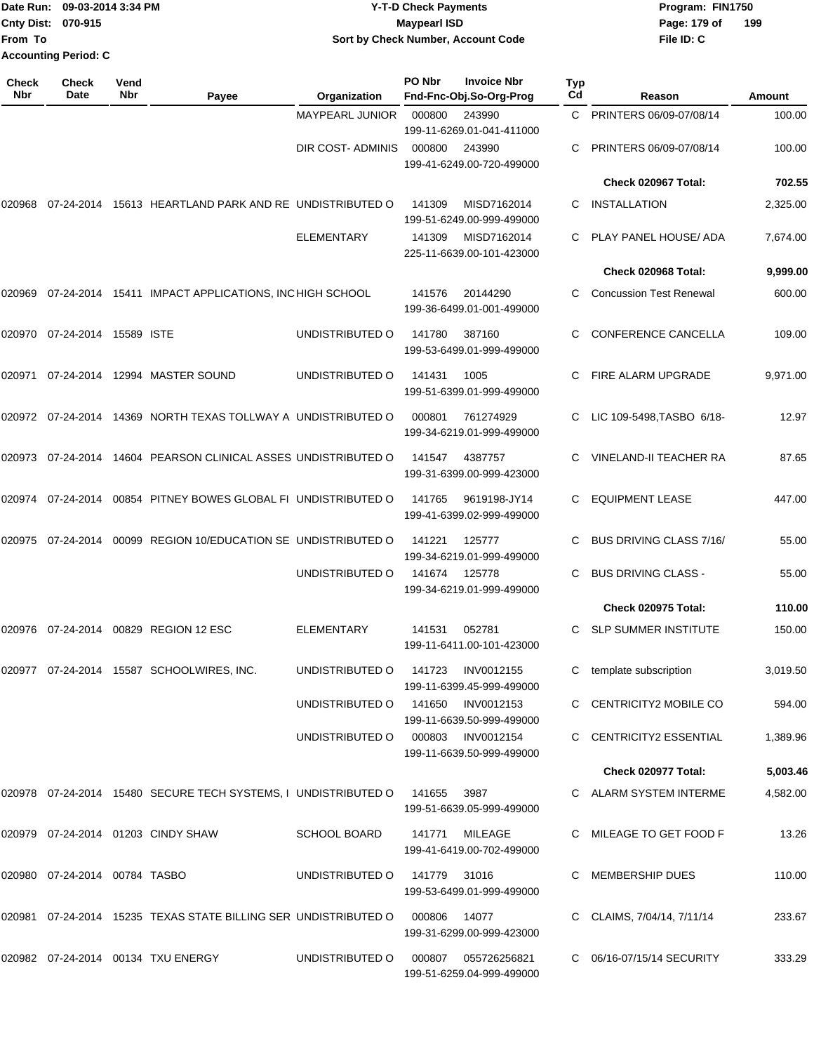|                             | Date Run: 09-03-2014 3:34 PM                     | Y-T-D Check Payments               | Program: FIN1750    |
|-----------------------------|--------------------------------------------------|------------------------------------|---------------------|
|                             | <b>Cnty Dist: 070-915</b><br><b>Mavpearl ISD</b> |                                    | 199<br>Page: 179 of |
| lFrom To                    |                                                  | Sort by Check Number, Account Code | File ID: C          |
| <b>Accounting Period: C</b> |                                                  |                                    |                     |

| Check<br>Nbr | <b>Check</b><br>Date             | Vend<br>Nbr | Payee                                                                     | Organization                      | PO Nbr | <b>Invoice Nbr</b><br>Fnd-Fnc-Obj.So-Org-Prog  | Typ<br>Cd | Reason                         | <b>Amount</b> |
|--------------|----------------------------------|-------------|---------------------------------------------------------------------------|-----------------------------------|--------|------------------------------------------------|-----------|--------------------------------|---------------|
|              |                                  |             |                                                                           | MAYPEARL JUNIOR                   | 000800 | 243990<br>199-11-6269.01-041-411000            | C         | PRINTERS 06/09-07/08/14        | 100.00        |
|              |                                  |             |                                                                           | DIR COST- ADMINIS                 | 000800 | 243990<br>199-41-6249.00-720-499000            | C.        | PRINTERS 06/09-07/08/14        | 100.00        |
|              |                                  |             |                                                                           |                                   |        |                                                |           | Check 020967 Total:            | 702.55        |
| 020968       |                                  |             | 07-24-2014 15613 HEARTLAND PARK AND RE UNDISTRIBUTED O                    |                                   | 141309 | MISD7162014<br>199-51-6249.00-999-499000       | C         | INSTALLATION                   | 2,325.00      |
|              |                                  |             |                                                                           | <b>ELEMENTARY</b>                 | 141309 | MISD7162014<br>225-11-6639.00-101-423000       | C.        | PLAY PANEL HOUSE/ ADA          | 7,674.00      |
|              |                                  |             |                                                                           |                                   |        |                                                |           | Check 020968 Total:            | 9,999.00      |
| 020969       |                                  |             | 07-24-2014 15411 IMPACT APPLICATIONS, INCHIGH SCHOOL                      |                                   | 141576 | 20144290<br>199-36-6499.01-001-499000          | C.        | <b>Concussion Test Renewal</b> | 600.00        |
| 020970       | 07-24-2014 15589 ISTE            |             |                                                                           | UNDISTRIBUTED O                   | 141780 | 387160<br>199-53-6499.01-999-499000            | C.        | <b>CONFERENCE CANCELLA</b>     | 109.00        |
|              |                                  |             | 020971 07-24-2014 12994 MASTER SOUND                                      | UNDISTRIBUTED O                   | 141431 | 1005<br>199-51-6399.01-999-499000              | C.        | FIRE ALARM UPGRADE             | 9,971.00      |
|              |                                  |             | 020972 07-24-2014 14369 NORTH TEXAS TOLLWAY A UNDISTRIBUTED O             |                                   | 000801 | 761274929<br>199-34-6219.01-999-499000         | C         | LIC 109-5498, TASBO 6/18-      | 12.97         |
|              |                                  |             | 020973  07-24-2014  14604  PEARSON CLINICAL ASSES UNDISTRIBUTED O         |                                   | 141547 | 4387757<br>199-31-6399.00-999-423000           | C         | <b>VINELAND-II TEACHER RA</b>  | 87.65         |
|              |                                  |             | 020974  07-24-2014  00854  PITNEY BOWES GLOBAL FI UNDISTRIBUTED O         |                                   | 141765 | 9619198-JY14<br>199-41-6399.02-999-499000      | C.        | <b>EQUIPMENT LEASE</b>         | 447.00        |
| 020975       |                                  |             | 07-24-2014  00099  REGION 10/EDUCATION SE UNDISTRIBUTED O                 |                                   | 141221 | 125777<br>199-34-6219.01-999-499000            | C.        | <b>BUS DRIVING CLASS 7/16/</b> | 55.00         |
|              |                                  |             |                                                                           | UNDISTRIBUTED O                   | 141674 | 125778<br>199-34-6219.01-999-499000            |           | <b>BUS DRIVING CLASS -</b>     | 55.00         |
|              |                                  |             |                                                                           |                                   |        |                                                |           | Check 020975 Total:            | 110.00        |
|              |                                  |             | 020976 07-24-2014 00829 REGION 12 ESC                                     | <b>ELEMENTARY</b>                 | 141531 | 052781<br>199-11-6411.00-101-423000            |           | <b>SLP SUMMER INSTITUTE</b>    | 150.00        |
| 020977       |                                  |             | 07-24-2014  15587  SCHOOLWIRES, INC.                                      | UNDISTRIBUTED O                   | 141723 | INV0012155<br>199-11-6399.45-999-499000        | C.        | template subscription          | 3,019.50      |
|              |                                  |             |                                                                           | UNDISTRIBUTED O                   |        | 141650 INV0012153<br>199-11-6639.50-999-499000 |           | C CENTRICITY2 MOBILE CO        | 594.00        |
|              |                                  |             |                                                                           | UNDISTRIBUTED O 000803 INV0012154 |        | 199-11-6639.50-999-499000                      |           | C CENTRICITY2 ESSENTIAL        | 1,389.96      |
|              |                                  |             |                                                                           |                                   |        |                                                |           | Check 020977 Total:            | 5,003.46      |
|              |                                  |             | 020978  07-24-2014  15480  SECURE TECH SYSTEMS, I UNDISTRIBUTED O  141655 |                                   |        | 3987<br>199-51-6639.05-999-499000              |           | C ALARM SYSTEM INTERME         | 4,582.00      |
|              |                                  |             | 020979 07-24-2014 01203 CINDY SHAW                                        | <b>SCHOOL BOARD</b>               |        | 141771 MILEAGE<br>199-41-6419.00-702-499000    |           | C MILEAGE TO GET FOOD F        | 13.26         |
|              | 020980  07-24-2014  00784  TASBO |             |                                                                           | UNDISTRIBUTED 0 141779 31016      |        | 199-53-6499.01-999-499000                      |           | C MEMBERSHIP DUES              | 110.00        |
|              |                                  |             | 020981  07-24-2014  15235  TEXAS STATE BILLING SER UNDISTRIBUTED   000806 |                                   |        | 14077<br>199-31-6299.00-999-423000             |           | C CLAIMS, 7/04/14, 7/11/14     | 233.67        |
|              |                                  |             | 020982 07-24-2014 00134 TXU ENERGY                                        | UNDISTRIBUTED O                   | 000807 | 055726256821<br>199-51-6259.04-999-499000      |           | C 06/16-07/15/14 SECURITY      | 333.29        |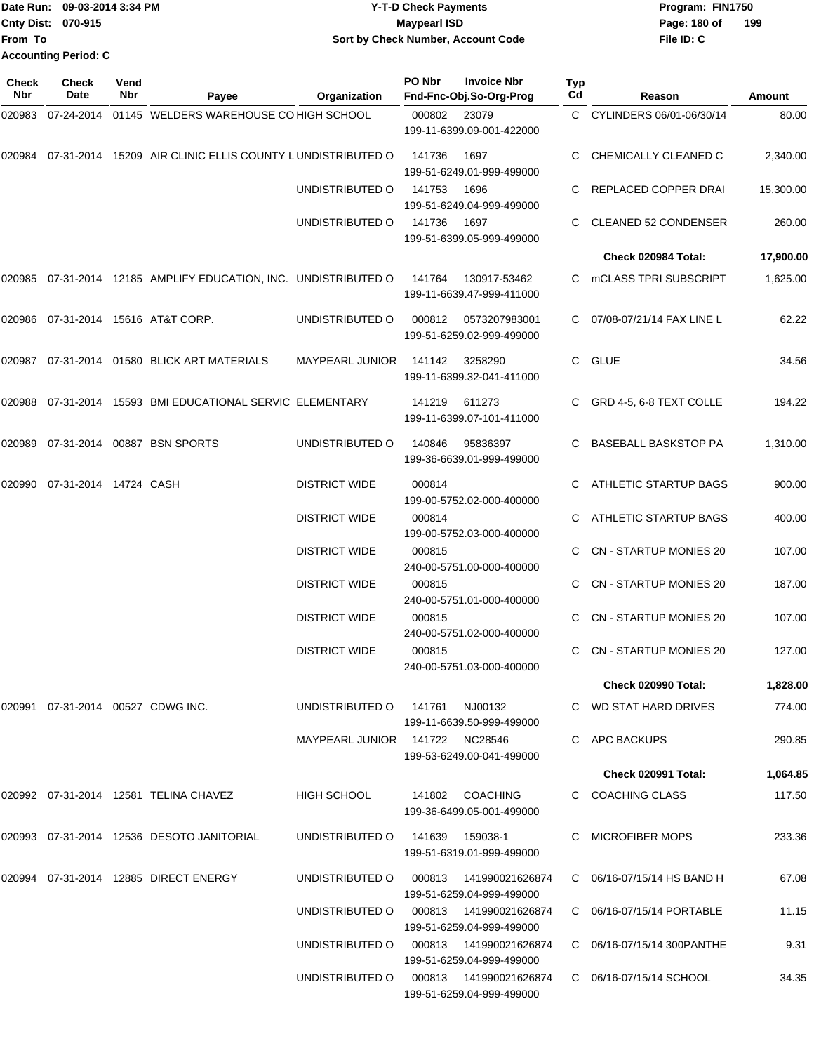Date Run: 09-03-2014 3:34 PM **Program:** FIN1750 **Cnty Dist:** 070-915 **Page: 180 of MaypearI ISD Page: 180 of File ID: C From To Y-T-D Check Payments 070-915 Maypearl ISD Sort by Check Number, Account Code Accounting Period: C**

**199**

| <b>Check</b><br>Nbr | <b>Check</b><br>Date              | Vend<br>Nbr | Payee                                                            | Organization                           | PO Nbr | <b>Invoice Nbr</b><br>Fnd-Fnc-Obj.So-Org-Prog        | Typ<br>Cd | Reason                        | Amount    |
|---------------------|-----------------------------------|-------------|------------------------------------------------------------------|----------------------------------------|--------|------------------------------------------------------|-----------|-------------------------------|-----------|
| 020983              | 07-24-2014                        |             | 01145 WELDERS WAREHOUSE CO HIGH SCHOOL                           |                                        | 000802 | 23079<br>199-11-6399.09-001-422000                   |           | C CYLINDERS 06/01-06/30/14    | 80.00     |
|                     |                                   |             | 020984 07-31-2014 15209 AIR CLINIC ELLIS COUNTY LUNDISTRIBUTED O |                                        | 141736 | 1697<br>199-51-6249.01-999-499000                    |           | CHEMICALLY CLEANED C          | 2,340.00  |
|                     |                                   |             |                                                                  | UNDISTRIBUTED O                        | 141753 | 1696<br>199-51-6249.04-999-499000                    |           | REPLACED COPPER DRAI          | 15,300.00 |
|                     |                                   |             |                                                                  | UNDISTRIBUTED O                        | 141736 | 1697<br>199-51-6399.05-999-499000                    |           | <b>CLEANED 52 CONDENSER</b>   | 260.00    |
|                     |                                   |             |                                                                  |                                        |        |                                                      |           | Check 020984 Total:           | 17,900.00 |
| 020985              |                                   |             | 07-31-2014 12185 AMPLIFY EDUCATION, INC. UNDISTRIBUTED O         |                                        | 141764 | 130917-53462<br>199-11-6639.47-999-411000            |           | mCLASS TPRI SUBSCRIPT         | 1,625.00  |
|                     |                                   |             | 020986  07-31-2014  15616  AT&T CORP.                            | UNDISTRIBUTED O                        | 000812 | 0573207983001<br>199-51-6259.02-999-499000           |           | C 07/08-07/21/14 FAX LINE L   | 62.22     |
|                     |                                   |             | 020987 07-31-2014 01580 BLICK ART MATERIALS                      | <b>MAYPEARL JUNIOR</b>                 | 141142 | 3258290<br>199-11-6399.32-041-411000                 | C.        | GLUE                          | 34.56     |
| 020988              |                                   |             | 07-31-2014 15593 BMI EDUCATIONAL SERVIC ELEMENTARY               |                                        | 141219 | 611273<br>199-11-6399.07-101-411000                  |           | GRD 4-5, 6-8 TEXT COLLE       | 194.22    |
| 020989              |                                   |             | 07-31-2014 00887 BSN SPORTS                                      | UNDISTRIBUTED O                        | 140846 | 95836397<br>199-36-6639.01-999-499000                |           | BASEBALL BASKSTOP PA          | 1,310.00  |
| 020990              | 07-31-2014 14724 CASH             |             |                                                                  | <b>DISTRICT WIDE</b>                   | 000814 | 199-00-5752.02-000-400000                            |           | ATHLETIC STARTUP BAGS         | 900.00    |
|                     |                                   |             |                                                                  | <b>DISTRICT WIDE</b>                   | 000814 | 199-00-5752.03-000-400000                            |           | ATHLETIC STARTUP BAGS         | 400.00    |
|                     |                                   |             |                                                                  | <b>DISTRICT WIDE</b>                   | 000815 | 240-00-5751.00-000-400000                            |           | <b>CN - STARTUP MONIES 20</b> | 107.00    |
|                     |                                   |             |                                                                  | <b>DISTRICT WIDE</b>                   | 000815 | 240-00-5751.01-000-400000                            |           | <b>CN - STARTUP MONIES 20</b> | 187.00    |
|                     |                                   |             |                                                                  | <b>DISTRICT WIDE</b>                   | 000815 | 240-00-5751.02-000-400000                            |           | <b>CN - STARTUP MONIES 20</b> | 107.00    |
|                     |                                   |             |                                                                  | <b>DISTRICT WIDE</b>                   | 000815 | 240-00-5751.03-000-400000                            | C.        | <b>CN - STARTUP MONIES 20</b> | 127.00    |
|                     |                                   |             |                                                                  |                                        |        |                                                      |           | <b>Check 020990 Total:</b>    | 1,828.00  |
|                     | 020991 07-31-2014 00527 CDWG INC. |             |                                                                  | UNDISTRIBUTED O 141761                 |        | NJ00132<br>199-11-6639.50-999-499000                 |           | C WD STAT HARD DRIVES         | 774.00    |
|                     |                                   |             |                                                                  | MAYPEARL JUNIOR 141722 NC28546         |        | 199-53-6249.00-041-499000                            |           | C APC BACKUPS                 | 290.85    |
|                     |                                   |             |                                                                  |                                        |        |                                                      |           | <b>Check 020991 Total:</b>    | 1,064.85  |
|                     |                                   |             | 020992 07-31-2014 12581 TELINA CHAVEZ                            | HIGH SCHOOL                            |        | 141802 COACHING<br>199-36-6499.05-001-499000         |           | C COACHING CLASS              | 117.50    |
|                     |                                   |             | 020993 07-31-2014 12536 DESOTO JANITORIAL                        | UNDISTRIBUTED O                        |        | 141639  159038-1<br>199-51-6319.01-999-499000        |           | C MICROFIBER MOPS             | 233.36    |
|                     |                                   |             | 020994  07-31-2014  12885  DIRECT ENERGY                         | UNDISTRIBUTED O                        | 000813 | 141990021626874<br>199-51-6259.04-999-499000         |           | C 06/16-07/15/14 HS BAND H    | 67.08     |
|                     |                                   |             |                                                                  | UNDISTRIBUTED O                        |        | 000813  141990021626874<br>199-51-6259.04-999-499000 |           | C 06/16-07/15/14 PORTABLE     | 11.15     |
|                     |                                   |             |                                                                  | UNDISTRIBUTED O                        |        | 199-51-6259.04-999-499000                            |           | C 06/16-07/15/14 300 PANTHE   | 9.31      |
|                     |                                   |             |                                                                  | UNDISTRIBUTED O 000813 141990021626874 |        | 199-51-6259.04-999-499000                            |           | C 06/16-07/15/14 SCHOOL       | 34.35     |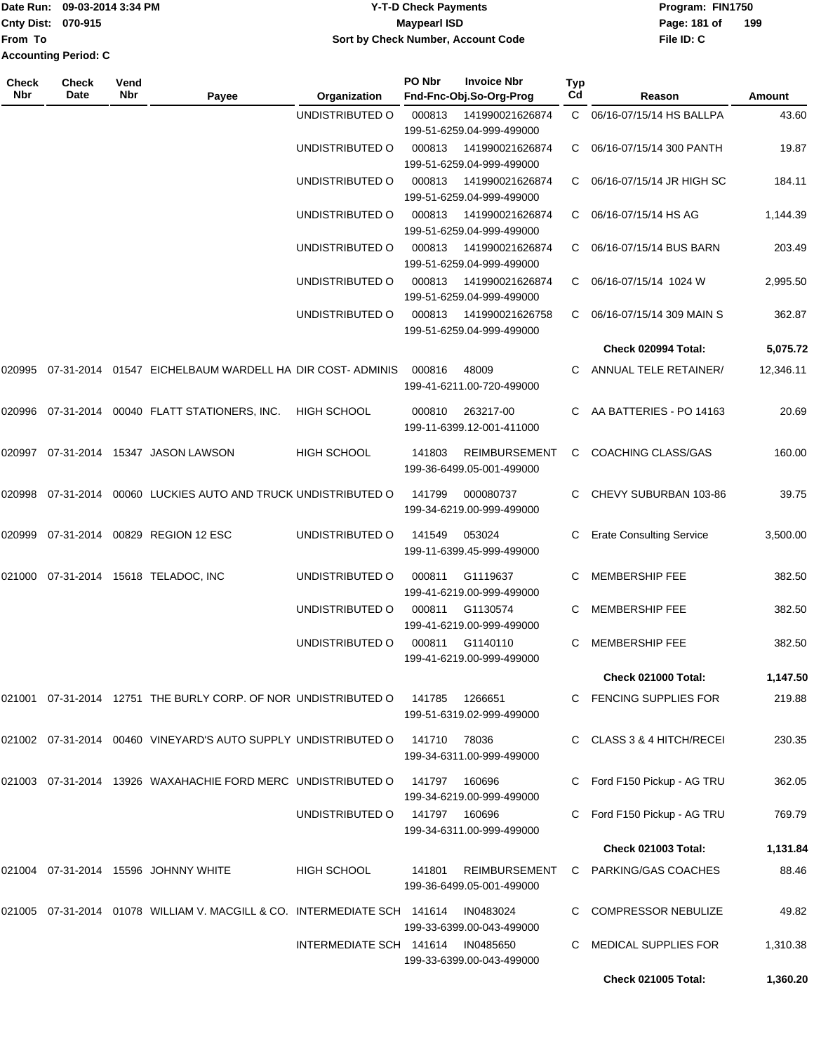|                             | Date Run: 09-03-2014 3:34 PM | <b>Y-T-D Check Payments</b>        | Program: FIN1750 |     |  |
|-----------------------------|------------------------------|------------------------------------|------------------|-----|--|
| <b>Cnty Dist: 070-915</b>   |                              | Maypearl ISD                       | Page: 181 of     | 199 |  |
| From To                     |                              | Sort by Check Number, Account Code | File ID: C       |     |  |
| <b>Accounting Period: C</b> |                              |                                    |                  |     |  |

| Check<br>Nbr | <b>Check</b><br>Date | Vend<br>Nbr | Payee                                                                        | Organization            | PO Nbr        | <b>Invoice Nbr</b><br>Fnd-Fnc-Obj.So-Org-Prog     | Typ<br>Cd | Reason                          | Amount    |
|--------------|----------------------|-------------|------------------------------------------------------------------------------|-------------------------|---------------|---------------------------------------------------|-----------|---------------------------------|-----------|
|              |                      |             |                                                                              | UNDISTRIBUTED O         | 000813        | 141990021626874<br>199-51-6259.04-999-499000      |           | C 06/16-07/15/14 HS BALLPA      | 43.60     |
|              |                      |             |                                                                              | UNDISTRIBUTED O         | 000813        | 141990021626874<br>199-51-6259.04-999-499000      | C         | 06/16-07/15/14 300 PANTH        | 19.87     |
|              |                      |             |                                                                              | UNDISTRIBUTED O         | 000813        | 141990021626874<br>199-51-6259.04-999-499000      | C         | 06/16-07/15/14 JR HIGH SC       | 184.11    |
|              |                      |             |                                                                              | UNDISTRIBUTED O         | 000813        | 141990021626874<br>199-51-6259.04-999-499000      | C         | 06/16-07/15/14 HS AG            | 1,144.39  |
|              |                      |             |                                                                              | UNDISTRIBUTED O         | 000813        | 141990021626874<br>199-51-6259.04-999-499000      | C         | 06/16-07/15/14 BUS BARN         | 203.49    |
|              |                      |             |                                                                              | UNDISTRIBUTED O         | 000813        | 141990021626874<br>199-51-6259.04-999-499000      | C         | 06/16-07/15/14 1024 W           | 2,995.50  |
|              |                      |             |                                                                              | UNDISTRIBUTED O         | 000813        | 141990021626758<br>199-51-6259.04-999-499000      | C.        | 06/16-07/15/14 309 MAIN S       | 362.87    |
|              |                      |             |                                                                              |                         |               |                                                   |           | Check 020994 Total:             | 5,075.72  |
| 020995       |                      |             | 07-31-2014 01547 EICHELBAUM WARDELL HA DIR COST-ADMINIS                      |                         | 000816        | 48009<br>199-41-6211.00-720-499000                |           | ANNUAL TELE RETAINER/           | 12,346.11 |
|              |                      |             | 020996 07-31-2014 00040 FLATT STATIONERS, INC.                               | <b>HIGH SCHOOL</b>      | 000810        | 263217-00<br>199-11-6399.12-001-411000            | C.        | AA BATTERIES - PO 14163         | 20.69     |
|              |                      |             | 020997  07-31-2014  15347  JASON LAWSON                                      | <b>HIGH SCHOOL</b>      | 141803        | <b>REIMBURSEMENT</b><br>199-36-6499.05-001-499000 | C         | COACHING CLASS/GAS              | 160.00    |
| 020998       | 07-31-2014           |             | 00060 LUCKIES AUTO AND TRUCK UNDISTRIBUTED O                                 |                         | 141799        | 000080737<br>199-34-6219.00-999-499000            | C         | CHEVY SUBURBAN 103-86           | 39.75     |
| 020999       |                      |             | 07-31-2014 00829 REGION 12 ESC                                               | UNDISTRIBUTED O         | 141549        | 053024<br>199-11-6399.45-999-499000               | C         | <b>Erate Consulting Service</b> | 3,500.00  |
|              |                      |             | 021000 07-31-2014 15618 TELADOC, INC                                         | UNDISTRIBUTED O         | 000811        | G1119637<br>199-41-6219.00-999-499000             | С         | <b>MEMBERSHIP FEE</b>           | 382.50    |
|              |                      |             |                                                                              | UNDISTRIBUTED O         | 000811        | G1130574<br>199-41-6219.00-999-499000             |           | <b>MEMBERSHIP FEE</b>           | 382.50    |
|              |                      |             |                                                                              | UNDISTRIBUTED O         | 000811        | G1140110<br>199-41-6219.00-999-499000             | C.        | <b>MEMBERSHIP FEE</b>           | 382.50    |
|              |                      |             |                                                                              |                         |               |                                                   |           | Check 021000 Total:             | 1,147.50  |
|              |                      |             | 021001  07-31-2014  12751 THE BURLY CORP. OF NOR UNDISTRIBUTED O             |                         | 141785        | 1266651<br>199-51-6319.02-999-499000              | C.        | <b>FENCING SUPPLIES FOR</b>     | 219.88    |
|              |                      |             | 021002  07-31-2014  00460  VINEYARD'S AUTO SUPPLY UNDISTRIBUTED O            |                         | 141710        | 78036<br>199-34-6311.00-999-499000                | C.        | CLASS 3 & 4 HITCH/RECEI         | 230.35    |
|              |                      |             | 021003 07-31-2014 13926 WAXAHACHIE FORD MERC UNDISTRIBUTED O                 |                         | 141797        | 160696<br>199-34-6219.00-999-499000               |           | Ford F150 Pickup - AG TRU       | 362.05    |
|              |                      |             |                                                                              | UNDISTRIBUTED O         | 141797 160696 | 199-34-6311.00-999-499000                         |           | Ford F150 Pickup - AG TRU       | 769.79    |
|              |                      |             |                                                                              |                         |               |                                                   |           | <b>Check 021003 Total:</b>      | 1,131.84  |
|              |                      |             | 021004  07-31-2014  15596  JOHNNY WHITE                                      | <b>HIGH SCHOOL</b>      | 141801        | <b>REIMBURSEMENT</b><br>199-36-6499.05-001-499000 |           | C PARKING/GAS COACHES           | 88.46     |
|              |                      |             | 021005  07-31-2014  01078  WILLIAM V. MACGILL & CO. INTERMEDIATE SCH  141614 |                         |               | IN0483024<br>199-33-6399.00-043-499000            |           | <b>COMPRESSOR NEBULIZE</b>      | 49.82     |
|              |                      |             |                                                                              | INTERMEDIATE SCH 141614 |               | IN0485650<br>199-33-6399.00-043-499000            |           | <b>MEDICAL SUPPLIES FOR</b>     | 1,310.38  |
|              |                      |             |                                                                              |                         |               |                                                   |           | <b>Check 021005 Total:</b>      | 1,360.20  |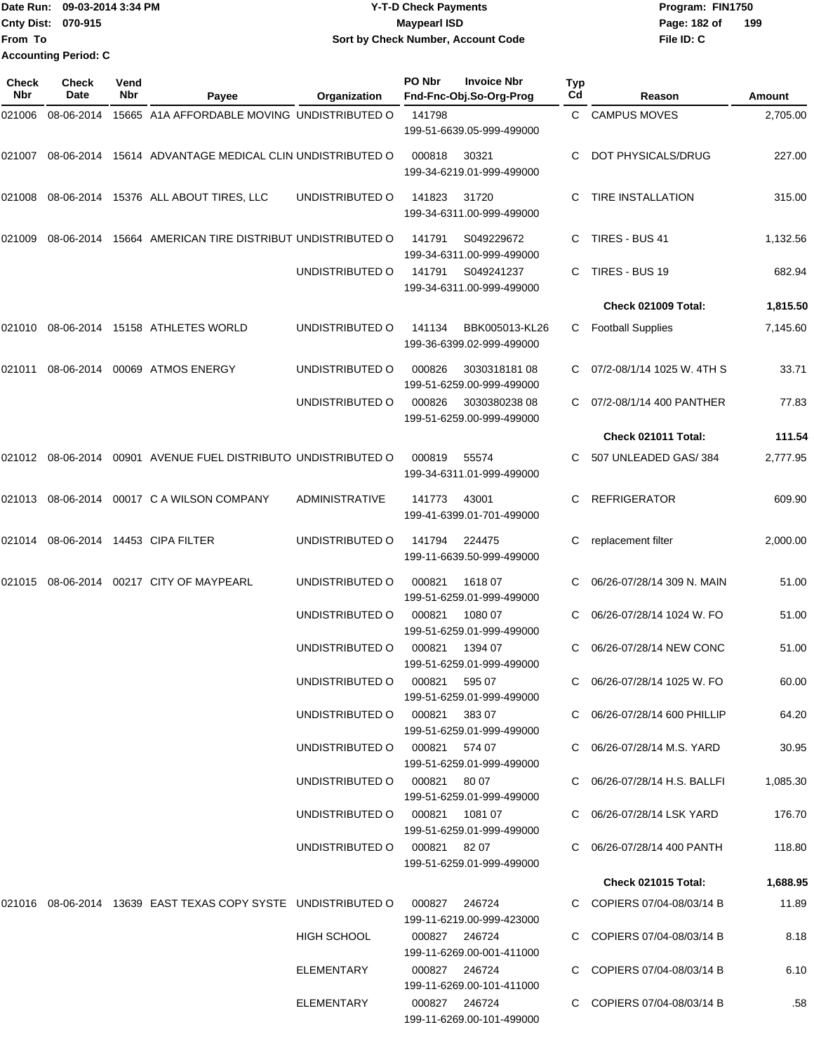|                           | Date Run: 09-03-2014 3:34 PM | <b>Y-T-D Check Payments</b>        |                     |
|---------------------------|------------------------------|------------------------------------|---------------------|
| <b>Cnty Dist: 070-915</b> |                              | Mavpearl ISD                       | 199<br>Page: 182 of |
| <b>From To</b>            |                              | Sort by Check Number, Account Code | File ID: C          |
|                           | <b>Accounting Period: C</b>  |                                    |                     |

| Check<br><b>Nbr</b> | <b>Check</b><br>Date | Vend<br>Nbr | Payee                                                            | Organization                                            | PO Nbr        | <b>Invoice Nbr</b><br>Fnd-Fnc-Obj.So-Org-Prog | <b>Typ</b><br>Cd | Reason                       | Amount   |
|---------------------|----------------------|-------------|------------------------------------------------------------------|---------------------------------------------------------|---------------|-----------------------------------------------|------------------|------------------------------|----------|
| 021006              | 08-06-2014           |             | 15665 A1A AFFORDABLE MOVING UNDISTRIBUTED O                      |                                                         | 141798        |                                               |                  | C CAMPUS MOVES               | 2,705.00 |
|                     |                      |             |                                                                  |                                                         |               | 199-51-6639.05-999-499000                     |                  |                              |          |
| 021007              |                      |             | 08-06-2014 15614 ADVANTAGE MEDICAL CLIN UNDISTRIBUTED O          |                                                         | 000818        | 30321<br>199-34-6219.01-999-499000            | C                | DOT PHYSICALS/DRUG           | 227.00   |
| 021008              |                      |             | 08-06-2014 15376 ALL ABOUT TIRES, LLC                            | UNDISTRIBUTED O                                         | 141823        | 31720<br>199-34-6311.00-999-499000            |                  | <b>TIRE INSTALLATION</b>     | 315.00   |
| 021009              | 08-06-2014           |             | 15664 AMERICAN TIRE DISTRIBUT UNDISTRIBUTED O                    |                                                         | 141791        | S049229672<br>199-34-6311.00-999-499000       | C                | TIRES - BUS 41               | 1,132.56 |
|                     |                      |             |                                                                  | UNDISTRIBUTED O                                         | 141791        | S049241237<br>199-34-6311.00-999-499000       |                  | TIRES - BUS 19               | 682.94   |
|                     |                      |             |                                                                  |                                                         |               |                                               |                  | Check 021009 Total:          | 1,815.50 |
| 021010              |                      |             | 08-06-2014 15158 ATHLETES WORLD                                  | UNDISTRIBUTED O                                         | 141134        | BBK005013-KL26<br>199-36-6399.02-999-499000   | C                | <b>Football Supplies</b>     | 7,145.60 |
| 021011              | 08-06-2014           |             | 00069 ATMOS ENERGY                                               | UNDISTRIBUTED O                                         | 000826        | 303031818108<br>199-51-6259.00-999-499000     |                  | 07/2-08/1/14 1025 W. 4TH S   | 33.71    |
|                     |                      |             |                                                                  | UNDISTRIBUTED O                                         | 000826        | 303038023808<br>199-51-6259.00-999-499000     |                  | 07/2-08/1/14 400 PANTHER     | 77.83    |
|                     |                      |             |                                                                  |                                                         |               |                                               |                  | Check 021011 Total:          | 111.54   |
| 021012              | 08-06-2014           |             | 00901 AVENUE FUEL DISTRIBUTO UNDISTRIBUTED O                     |                                                         | 000819        | 55574<br>199-34-6311.01-999-499000            | C.               | 507 UNLEADED GAS/384         | 2,777.95 |
| 021013              |                      |             | 08-06-2014 00017 C A WILSON COMPANY                              | <b>ADMINISTRATIVE</b>                                   | 141773        | 43001<br>199-41-6399.01-701-499000            | C.               | <b>REFRIGERATOR</b>          | 609.90   |
| 021014              |                      |             | 08-06-2014 14453 CIPA FILTER                                     | UNDISTRIBUTED O                                         | 141794        | 224475<br>199-11-6639.50-999-499000           | C                | replacement filter           | 2,000.00 |
| 021015              |                      |             | 08-06-2014 00217 CITY OF MAYPEARL                                | UNDISTRIBUTED O                                         | 000821        | 1618 07<br>199-51-6259.01-999-499000          |                  | 06/26-07/28/14 309 N. MAIN   | 51.00    |
|                     |                      |             |                                                                  | UNDISTRIBUTED O                                         | 000821        | 1080 07<br>199-51-6259.01-999-499000          |                  | 06/26-07/28/14 1024 W. FO    | 51.00    |
|                     |                      |             |                                                                  | UNDISTRIBUTED O                                         | 000821        | 1394 07<br>199-51-6259.01-999-499000          | C                | 06/26-07/28/14 NEW CONC      | 51.00    |
|                     |                      |             |                                                                  | UNDISTRIBUTED O 000821<br>UNDISTRIBUTED O 000821 383 07 |               | 595 07<br>199-51-6259.01-999-499000           |                  | C 06/26-07/28/14 1025 W. FO  | 60.00    |
|                     |                      |             |                                                                  |                                                         |               | 199-51-6259.01-999-499000                     |                  | C 06/26-07/28/14 600 PHILLIP | 64.20    |
|                     |                      |             |                                                                  | UNDISTRIBUTED O 000821 574 07                           |               | 199-51-6259.01-999-499000                     |                  | C 06/26-07/28/14 M.S. YARD   | 30.95    |
|                     |                      |             |                                                                  | UNDISTRIBUTED O 000821 80 07                            |               | 199-51-6259.01-999-499000                     |                  | C 06/26-07/28/14 H.S. BALLFI | 1,085.30 |
|                     |                      |             |                                                                  | UNDISTRIBUTED O 000821 1081 07                          |               | 199-51-6259.01-999-499000                     |                  | C 06/26-07/28/14 LSK YARD    | 176.70   |
|                     |                      |             |                                                                  | UNDISTRIBUTED O 000821 82 07                            |               | 199-51-6259.01-999-499000                     |                  | C 06/26-07/28/14 400 PANTH   | 118.80   |
|                     |                      |             |                                                                  |                                                         |               |                                               |                  | <b>Check 021015 Total:</b>   | 1,688.95 |
|                     |                      |             | 021016  08-06-2014  13639  EAST TEXAS COPY SYSTE UNDISTRIBUTED O |                                                         | 000827 246724 | 199-11-6219.00-999-423000                     |                  | C COPIERS 07/04-08/03/14 B   | 11.89    |
|                     |                      |             |                                                                  | HIGH SCHOOL                                             | 000827 246724 | 199-11-6269.00-001-411000                     |                  | C COPIERS 07/04-08/03/14 B   | 8.18     |
|                     |                      |             |                                                                  | ELEMENTARY                                              | 000827 246724 | 199-11-6269.00-101-411000                     |                  | C COPIERS 07/04-08/03/14 B   | 6.10     |
|                     |                      |             |                                                                  | ELEMENTARY                                              | 000827 246724 | 199-11-6269.00-101-499000                     |                  | C COPIERS 07/04-08/03/14 B   | .58      |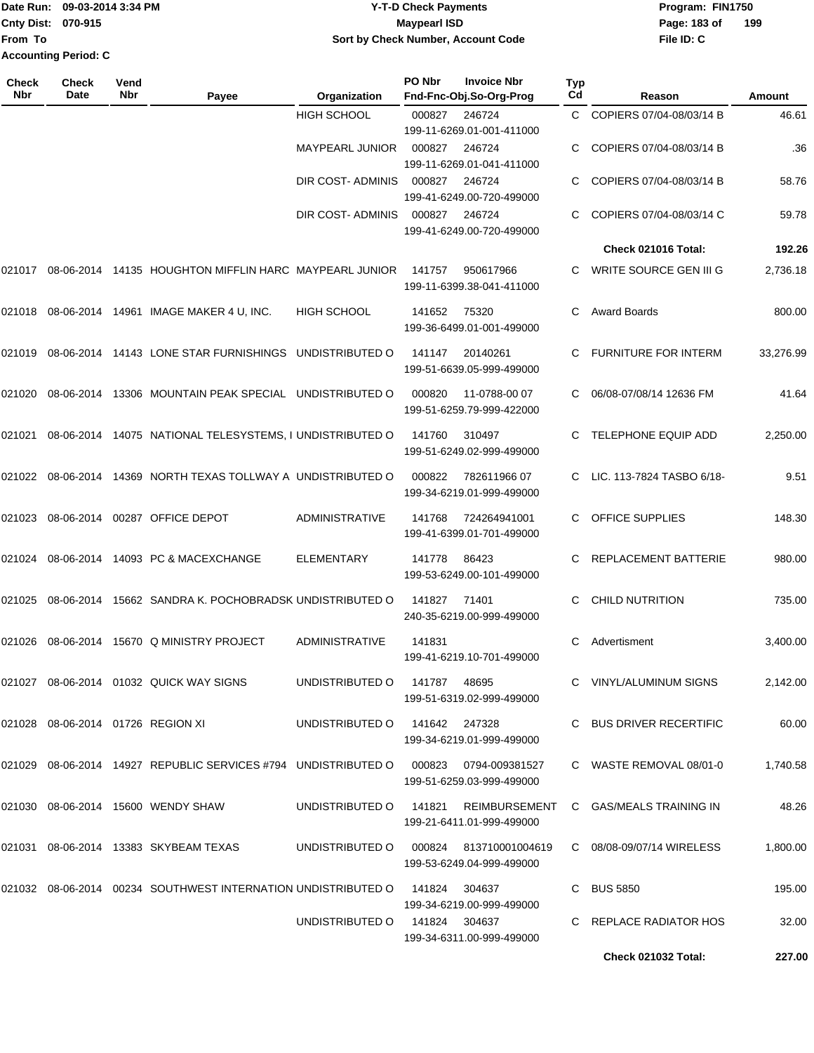**From To Accounting Period: C**

## Date Run: 09-03-2014 3:34 PM **Program:** FIN1750 **Cnty Dist:** 070-915 **Page:** 183 of **Y-T-D Check Payments 070-915 Maypearl ISD Sort by Check Number, Account Code**

**File ID: C 199**

| Check<br>Nbr | Check<br>Date                     | Vend<br>Nbr | Payee                                                                                | Organization                  | PO Nbr | <b>Invoice Nbr</b><br>Fnd-Fnc-Obj.So-Org-Prog | Typ<br>Cd | Reason                      | Amount    |
|--------------|-----------------------------------|-------------|--------------------------------------------------------------------------------------|-------------------------------|--------|-----------------------------------------------|-----------|-----------------------------|-----------|
|              |                                   |             |                                                                                      | <b>HIGH SCHOOL</b>            | 000827 | 246724<br>199-11-6269.01-001-411000           | C.        | COPIERS 07/04-08/03/14 B    | 46.61     |
|              |                                   |             |                                                                                      | <b>MAYPEARL JUNIOR</b>        | 000827 | 246724<br>199-11-6269.01-041-411000           |           | COPIERS 07/04-08/03/14 B    | .36       |
|              |                                   |             |                                                                                      | DIR COST-ADMINIS              | 000827 | 246724<br>199-41-6249.00-720-499000           |           | COPIERS 07/04-08/03/14 B    | 58.76     |
|              |                                   |             |                                                                                      | DIR COST-ADMINIS              | 000827 | 246724<br>199-41-6249.00-720-499000           |           | COPIERS 07/04-08/03/14 C    | 59.78     |
|              |                                   |             |                                                                                      |                               |        |                                               |           | Check 021016 Total:         | 192.26    |
| 021017       |                                   |             | 08-06-2014 14135 HOUGHTON MIFFLIN HARC MAYPEARL JUNIOR                               |                               | 141757 | 950617966<br>199-11-6399.38-041-411000        |           | WRITE SOURCE GEN III G      | 2,736.18  |
| 021018       |                                   |             | 08-06-2014  14961  IMAGE MAKER 4 U, INC.                                             | <b>HIGH SCHOOL</b>            | 141652 | 75320<br>199-36-6499.01-001-499000            | С         | <b>Award Boards</b>         | 800.00    |
| 021019       |                                   |             | 08-06-2014 14143 LONE STAR FURNISHINGS UNDISTRIBUTED O                               |                               | 141147 | 20140261<br>199-51-6639.05-999-499000         |           | <b>FURNITURE FOR INTERM</b> | 33,276.99 |
| 021020       | 08-06-2014                        |             | 13306 MOUNTAIN PEAK SPECIAL UNDISTRIBUTED O                                          |                               | 000820 | 11-0788-00 07<br>199-51-6259.79-999-422000    | С         | 06/08-07/08/14 12636 FM     | 41.64     |
| 021021       | 08-06-2014                        |             | 14075 NATIONAL TELESYSTEMS, I UNDISTRIBUTED O                                        |                               | 141760 | 310497<br>199-51-6249.02-999-499000           |           | TELEPHONE EQUIP ADD         | 2,250.00  |
| 021022       | 08-06-2014                        |             | 14369 NORTH TEXAS TOLLWAY A UNDISTRIBUTED O                                          |                               | 000822 | 78261196607<br>199-34-6219.01-999-499000      |           | LIC. 113-7824 TASBO 6/18-   | 9.51      |
| 021023       |                                   |             | 08-06-2014 00287 OFFICE DEPOT                                                        | ADMINISTRATIVE                | 141768 | 724264941001<br>199-41-6399.01-701-499000     |           | <b>OFFICE SUPPLIES</b>      | 148.30    |
| 021024       |                                   |             | 08-06-2014 14093 PC & MACEXCHANGE                                                    | <b>ELEMENTARY</b>             | 141778 | 86423<br>199-53-6249.00-101-499000            |           | REPLACEMENT BATTERIE        | 980.00    |
| 021025       | 08-06-2014                        |             | 15662 SANDRA K. POCHOBRADSK UNDISTRIBUTED O                                          |                               | 141827 | 71401<br>240-35-6219.00-999-499000            | C.        | <b>CHILD NUTRITION</b>      | 735.00    |
| 021026       | 08-06-2014                        |             | 15670 Q MINISTRY PROJECT                                                             | <b>ADMINISTRATIVE</b>         | 141831 | 199-41-6219.10-701-499000                     | C         | Advertisment                | 3,400.00  |
|              |                                   |             | 021027 08-06-2014 01032 QUICK WAY SIGNS                                              | UNDISTRIBUTED O               | 141787 | 48695<br>199-51-6319.02-999-499000            |           | C VINYL/ALUMINUM SIGNS      | 2,142.00  |
|              | 021028 08-06-2014 01726 REGION XI |             |                                                                                      | UNDISTRIBUTED 0 141642 247328 |        | 199-34-6219.01-999-499000                     |           | C BUS DRIVER RECERTIFIC     | 60.00     |
|              |                                   |             | 021029 08-06-2014 14927 REPUBLIC SERVICES #794 UNDISTRIBUTED O 000823 0794-009381527 |                               |        | 199-51-6259.03-999-499000                     |           | C WASTE REMOVAL 08/01-0     | 1,740.58  |
|              |                                   |             | 021030  08-06-2014  15600  WENDY SHAW                                                | UNDISTRIBUTED O               | 141821 | REIMBURSEMENT<br>199-21-6411.01-999-499000    |           | C GAS/MEALS TRAINING IN     | 48.26     |
|              |                                   |             | 021031 08-06-2014 13383 SKYBEAM TEXAS                                                | UNDISTRIBUTED O               | 000824 | 813710001004619<br>199-53-6249.04-999-499000  |           | C 08/08-09/07/14 WIRELESS   | 1,800.00  |
|              |                                   |             | 021032  08-06-2014  00234  SOUTHWEST INTERNATION UNDISTRIBUTED O                     |                               | 141824 | 304637<br>199-34-6219.00-999-499000           |           | C BUS 5850                  | 195.00    |
|              |                                   |             |                                                                                      | UNDISTRIBUTED 0 141824 304637 |        | 199-34-6311.00-999-499000                     |           | C REPLACE RADIATOR HOS      | 32.00     |
|              |                                   |             |                                                                                      |                               |        |                                               |           | <b>Check 021032 Total:</b>  | 227.00    |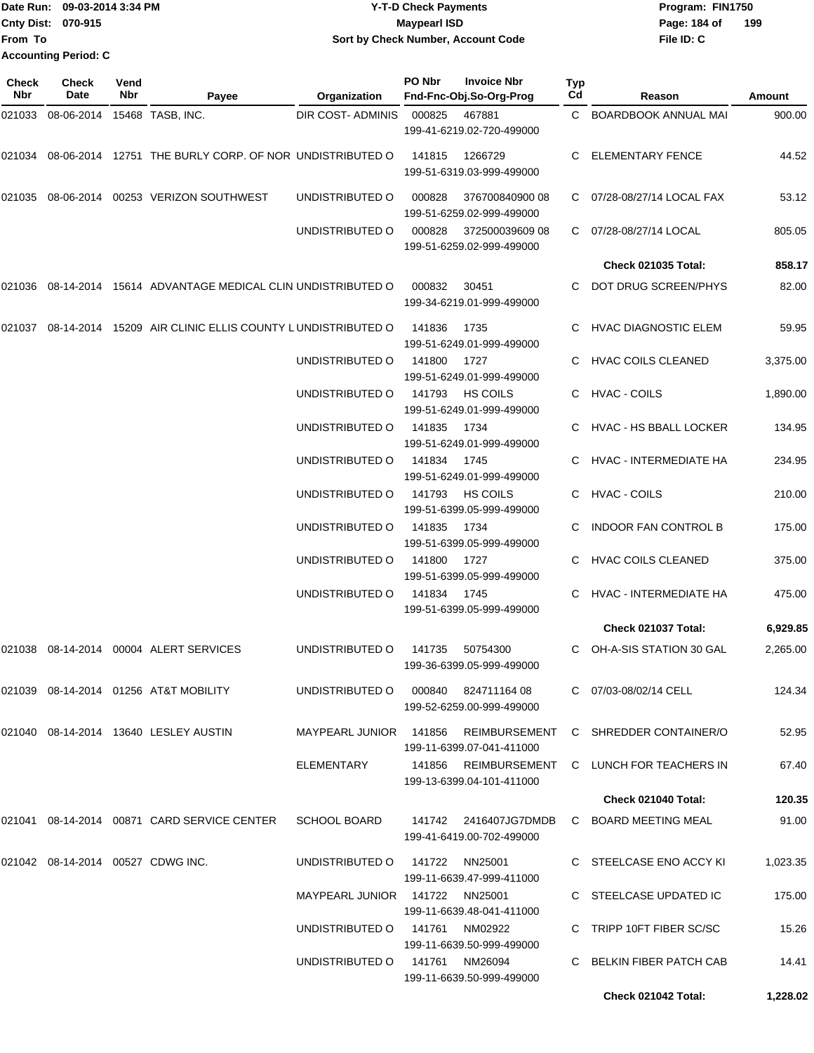|                             | Date Run: 09-03-2014 3:34 PM | <b>Y-T-D Check Payments</b>        | Program: FIN1750    |
|-----------------------------|------------------------------|------------------------------------|---------------------|
| <b>Cnty Dist: 070-915</b>   |                              | Maypearl ISD                       | 199<br>Page: 184 of |
| From To                     |                              | Sort by Check Number, Account Code | File ID: C          |
| <b>Accounting Period: C</b> |                              |                                    |                     |

| Check<br><b>Nbr</b> | <b>Check</b><br><b>Date</b>       | Vend<br>Nbr | Payee                                                          | Organization                        | PO Nbr | <b>Invoice Nbr</b><br>Fnd-Fnc-Obj.So-Org-Prog     | <b>Typ</b><br>Cd | Reason                      | Amount   |
|---------------------|-----------------------------------|-------------|----------------------------------------------------------------|-------------------------------------|--------|---------------------------------------------------|------------------|-----------------------------|----------|
| 021033              | 08-06-2014                        |             | 15468 TASB, INC.                                               | <b>DIR COST- ADMINIS</b>            | 000825 | 467881                                            | C.               | <b>BOARDBOOK ANNUAL MAI</b> | 900.00   |
|                     |                                   |             |                                                                |                                     |        | 199-41-6219.02-720-499000                         |                  |                             |          |
|                     |                                   |             | 021034 08-06-2014 12751 THE BURLY CORP. OF NOR UNDISTRIBUTED O |                                     | 141815 | 1266729                                           | C.               | <b>ELEMENTARY FENCE</b>     | 44.52    |
|                     |                                   |             |                                                                |                                     |        | 199-51-6319.03-999-499000                         |                  |                             |          |
| 021035              |                                   |             | 08-06-2014  00253  VERIZON SOUTHWEST                           | UNDISTRIBUTED O                     | 000828 | 37670084090008                                    | C.               | 07/28-08/27/14 LOCAL FAX    | 53.12    |
|                     |                                   |             |                                                                |                                     |        | 199-51-6259.02-999-499000                         |                  |                             |          |
|                     |                                   |             |                                                                | UNDISTRIBUTED O                     | 000828 | 372500039609 08<br>199-51-6259.02-999-499000      | C.               | 07/28-08/27/14 LOCAL        | 805.05   |
|                     |                                   |             |                                                                |                                     |        |                                                   |                  | <b>Check 021035 Total:</b>  | 858.17   |
| 021036              |                                   |             | 08-14-2014 15614 ADVANTAGE MEDICAL CLIN UNDISTRIBUTED O        |                                     | 000832 | 30451                                             | C.               | DOT DRUG SCREEN/PHYS        | 82.00    |
|                     |                                   |             |                                                                |                                     |        | 199-34-6219.01-999-499000                         |                  |                             |          |
| 021037              |                                   |             | 08-14-2014 15209 AIR CLINIC ELLIS COUNTY LUNDISTRIBUTED O      |                                     | 141836 | 1735                                              |                  | <b>HVAC DIAGNOSTIC ELEM</b> | 59.95    |
|                     |                                   |             |                                                                |                                     |        | 199-51-6249.01-999-499000                         |                  |                             |          |
|                     |                                   |             |                                                                | UNDISTRIBUTED O                     | 141800 | 1727                                              |                  | <b>HVAC COILS CLEANED</b>   | 3,375.00 |
|                     |                                   |             |                                                                | UNDISTRIBUTED O                     | 141793 | 199-51-6249.01-999-499000<br><b>HS COILS</b>      | C                | HVAC - COILS                | 1,890.00 |
|                     |                                   |             |                                                                |                                     |        | 199-51-6249.01-999-499000                         |                  |                             |          |
|                     |                                   |             |                                                                | UNDISTRIBUTED O                     | 141835 | 1734                                              |                  | HVAC - HS BBALL LOCKER      | 134.95   |
|                     |                                   |             |                                                                |                                     |        | 199-51-6249.01-999-499000                         |                  |                             |          |
|                     |                                   |             |                                                                | UNDISTRIBUTED O                     | 141834 | 1745<br>199-51-6249.01-999-499000                 |                  | HVAC - INTERMEDIATE HA      | 234.95   |
|                     |                                   |             |                                                                | UNDISTRIBUTED O                     | 141793 | <b>HS COILS</b>                                   | C.               | <b>HVAC - COILS</b>         | 210.00   |
|                     |                                   |             |                                                                |                                     |        | 199-51-6399.05-999-499000                         |                  |                             |          |
|                     |                                   |             |                                                                | UNDISTRIBUTED O                     | 141835 | 1734                                              |                  | <b>INDOOR FAN CONTROL B</b> | 175.00   |
|                     |                                   |             |                                                                | UNDISTRIBUTED O                     | 141800 | 199-51-6399.05-999-499000<br>1727                 |                  | <b>HVAC COILS CLEANED</b>   | 375.00   |
|                     |                                   |             |                                                                |                                     |        | 199-51-6399.05-999-499000                         |                  |                             |          |
|                     |                                   |             |                                                                | UNDISTRIBUTED O                     | 141834 | 1745                                              | C.               | HVAC - INTERMEDIATE HA      | 475.00   |
|                     |                                   |             |                                                                |                                     |        | 199-51-6399.05-999-499000                         |                  |                             |          |
|                     |                                   |             |                                                                |                                     |        |                                                   |                  | Check 021037 Total:         | 6,929.85 |
| 021038              | 08-14-2014                        |             | 00004 ALERT SERVICES                                           | UNDISTRIBUTED O                     | 141735 | 50754300<br>199-36-6399.05-999-499000             |                  | OH-A-SIS STATION 30 GAL     | 2,265.00 |
|                     |                                   |             |                                                                | UNDISTRIBUTED O 000840 824711164 08 |        |                                                   |                  | C 07/03-08/02/14 CELL       | 124.34   |
|                     |                                   |             |                                                                |                                     |        | 199-52-6259.00-999-499000                         |                  |                             |          |
|                     |                                   |             | 021040 08-14-2014 13640 LESLEY AUSTIN                          | MAYPEARL JUNIOR 141856              |        | REIMBURSEMENT                                     |                  | C SHREDDER CONTAINER/O      | 52.95    |
|                     |                                   |             |                                                                |                                     |        | 199-11-6399.07-041-411000<br>141856 REIMBURSEMENT |                  | C LUNCH FOR TEACHERS IN     |          |
|                     |                                   |             |                                                                | ELEMENTARY                          |        | 199-13-6399.04-101-411000                         |                  |                             | 67.40    |
|                     |                                   |             |                                                                |                                     |        |                                                   |                  | <b>Check 021040 Total:</b>  | 120.35   |
|                     |                                   |             | 021041 08-14-2014 00871 CARD SERVICE CENTER                    | <b>SCHOOL BOARD</b>                 |        |                                                   |                  | C BOARD MEETING MEAL        | 91.00    |
|                     |                                   |             |                                                                |                                     |        | 199-41-6419.00-702-499000                         |                  |                             |          |
|                     | 021042 08-14-2014 00527 CDWG INC. |             |                                                                | UNDISTRIBUTED O                     | 141722 | NN25001                                           |                  | C STEELCASE ENO ACCY KI     | 1,023.35 |
|                     |                                   |             |                                                                |                                     |        | 199-11-6639.47-999-411000                         |                  |                             |          |
|                     |                                   |             |                                                                | MAYPEARL JUNIOR 141722 NN25001      |        |                                                   |                  | C STEELCASE UPDATED IC      | 175.00   |
|                     |                                   |             |                                                                | UNDISTRIBUTED O                     | 141761 | 199-11-6639.48-041-411000<br>NM02922              |                  | C TRIPP 10FT FIBER SC/SC    | 15.26    |
|                     |                                   |             |                                                                |                                     |        | 199-11-6639.50-999-499000                         |                  |                             |          |
|                     |                                   |             |                                                                | UNDISTRIBUTED O                     |        | 141761 NM26094<br>199-11-6639.50-999-499000       |                  | C BELKIN FIBER PATCH CAB    | 14.41    |
|                     |                                   |             |                                                                |                                     |        |                                                   |                  | Check 021042 Total:         | 1,228.02 |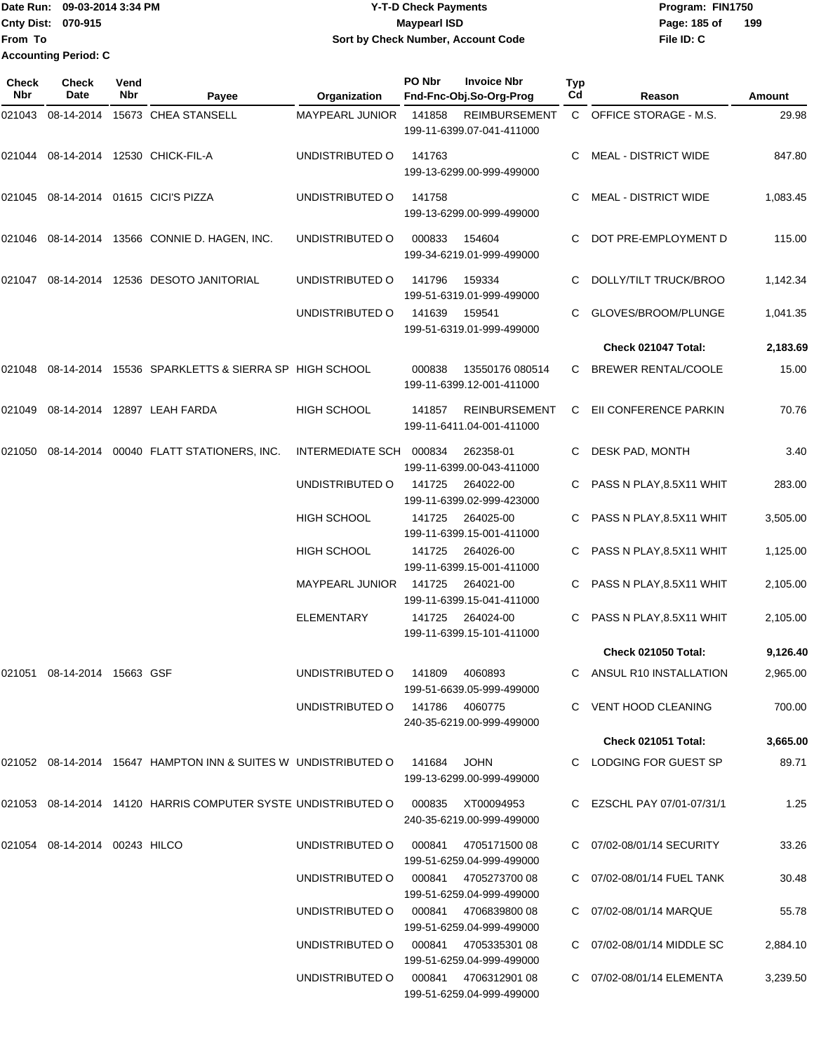|                           | Date Run: 09-03-2014 3:34 PM | <b>Y-T-D Check Payments</b>        | Program: FIN1750    |  |  |  |
|---------------------------|------------------------------|------------------------------------|---------------------|--|--|--|
| <b>Cnty Dist: 070-915</b> |                              | <b>Mavpearl ISD</b>                | 199<br>Page: 185 of |  |  |  |
| <b>IFrom To</b>           |                              | Sort by Check Number, Account Code | File ID: C          |  |  |  |
|                           | <b>Accounting Period: C</b>  |                                    |                     |  |  |  |

| <b>Check</b><br><b>Nbr</b> | <b>Check</b><br>Date          | Vend<br>Nbr | Payee                                                                           | Organization                         | PO Nbr | <b>Invoice Nbr</b><br>Fnd-Fnc-Obj.So-Org-Prog     | Typ<br>Cd | Reason                      | Amount   |
|----------------------------|-------------------------------|-------------|---------------------------------------------------------------------------------|--------------------------------------|--------|---------------------------------------------------|-----------|-----------------------------|----------|
| 021043                     | 08-14-2014                    |             | 15673 CHEA STANSELL                                                             | <b>MAYPEARL JUNIOR</b>               | 141858 | <b>REIMBURSEMENT</b><br>199-11-6399.07-041-411000 |           | C OFFICE STORAGE - M.S.     | 29.98    |
| 021044                     |                               |             | 08-14-2014  12530 CHICK-FIL-A                                                   | UNDISTRIBUTED O                      | 141763 | 199-13-6299.00-999-499000                         | C.        | <b>MEAL - DISTRICT WIDE</b> | 847.80   |
|                            |                               |             | 021045 08-14-2014 01615 CICI'S PIZZA                                            | UNDISTRIBUTED O                      | 141758 | 199-13-6299.00-999-499000                         | С         | <b>MEAL - DISTRICT WIDE</b> | 1,083.45 |
| 021046                     |                               |             | 08-14-2014 13566 CONNIE D. HAGEN, INC.                                          | UNDISTRIBUTED O                      | 000833 | 154604<br>199-34-6219.01-999-499000               | С         | DOT PRE-EMPLOYMENT D        | 115.00   |
| 021047                     |                               |             | 08-14-2014 12536 DESOTO JANITORIAL                                              | UNDISTRIBUTED O                      | 141796 | 159334<br>199-51-6319.01-999-499000               | С         | DOLLY/TILT TRUCK/BROO       | 1,142.34 |
|                            |                               |             |                                                                                 | UNDISTRIBUTED O                      | 141639 | 159541<br>199-51-6319.01-999-499000               |           | GLOVES/BROOM/PLUNGE         | 1,041.35 |
|                            |                               |             |                                                                                 |                                      |        |                                                   |           | Check 021047 Total:         | 2,183.69 |
| 021048                     |                               |             | 08-14-2014 15536 SPARKLETTS & SIERRA SP HIGH SCHOOL                             |                                      | 000838 | 13550176 080514<br>199-11-6399.12-001-411000      | C.        | <b>BREWER RENTAL/COOLE</b>  | 15.00    |
| 021049                     |                               |             | 08-14-2014 12897 LEAH FARDA                                                     | HIGH SCHOOL                          | 141857 | <b>REINBURSEMENT</b><br>199-11-6411.04-001-411000 | C.        | EII CONFERENCE PARKIN       | 70.76    |
| 021050                     |                               |             | 08-14-2014 00040 FLATT STATIONERS, INC.                                         | INTERMEDIATE SCH 000834              |        | 262358-01<br>199-11-6399.00-043-411000            | C         | DESK PAD, MONTH             | 3.40     |
|                            |                               |             |                                                                                 | UNDISTRIBUTED O                      | 141725 | 264022-00<br>199-11-6399.02-999-423000            |           | PASS N PLAY,8.5X11 WHIT     | 283.00   |
|                            |                               |             |                                                                                 | <b>HIGH SCHOOL</b>                   | 141725 | 264025-00<br>199-11-6399.15-001-411000            |           | PASS N PLAY,8.5X11 WHIT     | 3,505.00 |
|                            |                               |             |                                                                                 | <b>HIGH SCHOOL</b>                   | 141725 | 264026-00<br>199-11-6399.15-001-411000            |           | PASS N PLAY,8.5X11 WHIT     | 1,125.00 |
|                            |                               |             |                                                                                 | <b>MAYPEARL JUNIOR</b>               | 141725 | 264021-00<br>199-11-6399.15-041-411000            | С         | PASS N PLAY, 8.5X11 WHIT    | 2,105.00 |
|                            |                               |             |                                                                                 | <b>ELEMENTARY</b>                    | 141725 | 264024-00<br>199-11-6399.15-101-411000            |           | PASS N PLAY, 8.5X11 WHIT    | 2,105.00 |
|                            |                               |             |                                                                                 |                                      |        |                                                   |           | <b>Check 021050 Total:</b>  | 9,126.40 |
|                            | 021051 08-14-2014 15663 GSF   |             |                                                                                 | UNDISTRIBUTED O 141809 4060893       |        | 199-51-6639.05-999-499000                         |           | C ANSUL R10 INSTALLATION    | 2,965.00 |
|                            |                               |             |                                                                                 | UNDISTRIBUTED O 141786 4060775       |        | 240-35-6219.00-999-499000                         |           | C VENT HOOD CLEANING        | 700.00   |
|                            |                               |             |                                                                                 |                                      |        |                                                   |           | Check 021051 Total:         | 3,665.00 |
|                            |                               |             | 021052 08-14-2014 15647 HAMPTON INN & SUITES W UNDISTRIBUTED O  141684          |                                      |        | <b>JOHN</b><br>199-13-6299.00-999-499000          |           | C LODGING FOR GUEST SP      | 89.71    |
|                            |                               |             | 021053 08-14-2014 14120 HARRIS COMPUTER SYSTE UNDISTRIBUTED O 000835 XT00094953 |                                      |        | 240-35-6219.00-999-499000                         |           | C EZSCHL PAY 07/01-07/31/1  | 1.25     |
|                            | 021054 08-14-2014 00243 HILCO |             |                                                                                 | UNDISTRIBUTED O 000841 4705171500 08 |        | 199-51-6259.04-999-499000                         |           | C 07/02-08/01/14 SECURITY   | 33.26    |
|                            |                               |             |                                                                                 | UNDISTRIBUTED O 000841 4705273700 08 |        | 199-51-6259.04-999-499000                         |           | C 07/02-08/01/14 FUEL TANK  | 30.48    |
|                            |                               |             |                                                                                 |                                      |        | 199-51-6259.04-999-499000                         |           | C 07/02-08/01/14 MARQUE     | 55.78    |
|                            |                               |             |                                                                                 | UNDISTRIBUTED O 000841 4705335301 08 |        | 199-51-6259.04-999-499000                         |           | C 07/02-08/01/14 MIDDLE SC  | 2,884.10 |
|                            |                               |             |                                                                                 | UNDISTRIBUTED O 000841 4706312901 08 |        | 199-51-6259.04-999-499000                         |           | C 07/02-08/01/14 ELEMENTA   | 3,239.50 |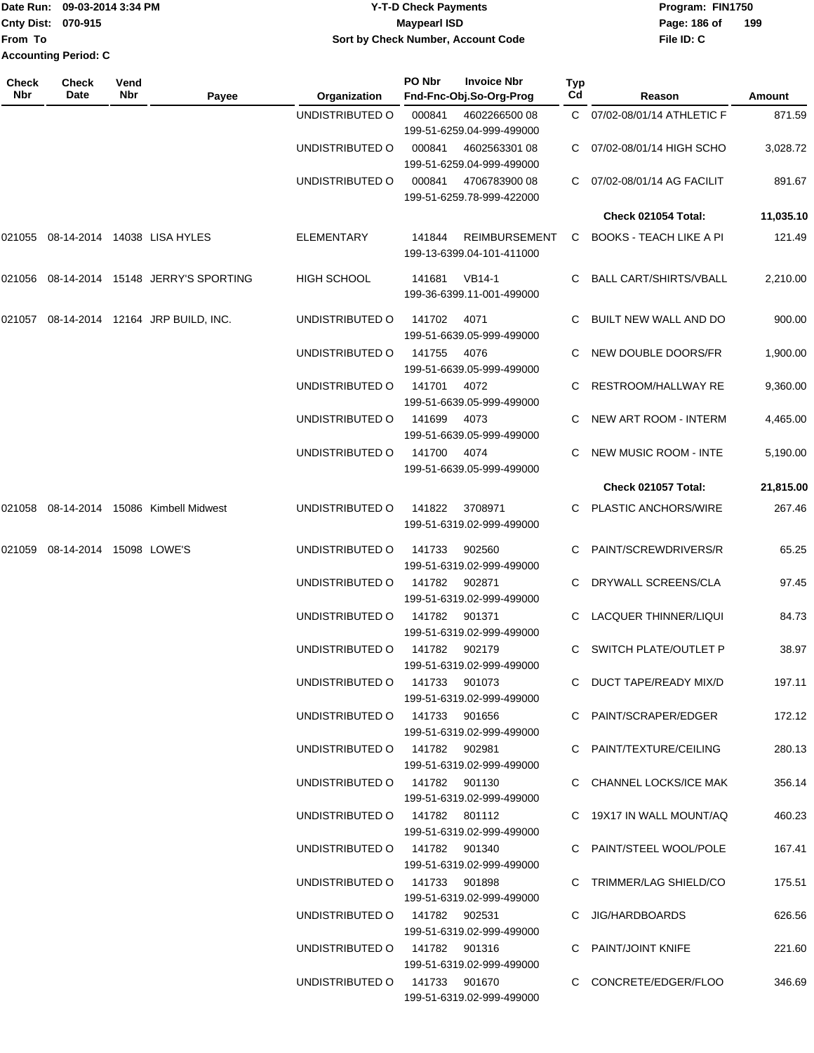|                             | Date Run: 09-03-2014 3:34 PM | Program: FIN1750<br>Y-T-D Check Payments |                     |
|-----------------------------|------------------------------|------------------------------------------|---------------------|
| <b>Cnty Dist: 070-915</b>   |                              | Maypearl ISD                             | 199<br>Page: 186 of |
| From To                     |                              | Sort by Check Number, Account Code       | File ID: C          |
| <b>Accounting Period: C</b> |                              |                                          |                     |

| Check<br>Nbr | <b>Check</b><br>Date    | Vend<br>Nbr | Payee                             | <b>Organization</b>           | PO Nbr | <b>Invoice Nbr</b><br>Fnd-Fnc-Obj.So-Org-Prog     | Typ<br>Cd | Reason                         | Amount    |
|--------------|-------------------------|-------------|-----------------------------------|-------------------------------|--------|---------------------------------------------------|-----------|--------------------------------|-----------|
|              |                         |             |                                   | UNDISTRIBUTED O               | 000841 | 4602266500 08                                     |           | C 07/02-08/01/14 ATHLETIC F    | 871.59    |
|              |                         |             |                                   |                               | 000841 | 199-51-6259.04-999-499000                         |           |                                |           |
|              |                         |             |                                   | UNDISTRIBUTED O               |        | 4602563301 08<br>199-51-6259.04-999-499000        |           | 07/02-08/01/14 HIGH SCHO       | 3,028.72  |
|              |                         |             |                                   | UNDISTRIBUTED O               | 000841 | 4706783900 08<br>199-51-6259.78-999-422000        |           | 07/02-08/01/14 AG FACILIT      | 891.67    |
|              |                         |             |                                   |                               |        |                                                   |           | Check 021054 Total:            | 11,035.10 |
| 021055       |                         |             | 08-14-2014 14038 LISA HYLES       | <b>ELEMENTARY</b>             | 141844 | <b>REIMBURSEMENT</b><br>199-13-6399.04-101-411000 | C.        | <b>BOOKS - TEACH LIKE A PI</b> | 121.49    |
| 021056       |                         |             | 08-14-2014 15148 JERRY'S SPORTING | <b>HIGH SCHOOL</b>            | 141681 | <b>VB14-1</b><br>199-36-6399.11-001-499000        |           | BALL CART/SHIRTS/VBALL         | 2,210.00  |
| 021057       |                         |             | 08-14-2014 12164 JRP BUILD, INC.  | UNDISTRIBUTED O               | 141702 | 4071<br>199-51-6639.05-999-499000                 | C.        | BUILT NEW WALL AND DO          | 900.00    |
|              |                         |             |                                   | UNDISTRIBUTED O               | 141755 | 4076<br>199-51-6639.05-999-499000                 |           | NEW DOUBLE DOORS/FR            | 1,900.00  |
|              |                         |             |                                   | UNDISTRIBUTED O               | 141701 | 4072<br>199-51-6639.05-999-499000                 |           | RESTROOM/HALLWAY RE            | 9,360.00  |
|              |                         |             |                                   | UNDISTRIBUTED O               | 141699 | 4073<br>199-51-6639.05-999-499000                 |           | NEW ART ROOM - INTERM          | 4,465.00  |
|              |                         |             |                                   | UNDISTRIBUTED O               | 141700 | 4074<br>199-51-6639.05-999-499000                 |           | <b>NEW MUSIC ROOM - INTE</b>   | 5,190.00  |
|              |                         |             |                                   |                               |        |                                                   |           | Check 021057 Total:            | 21,815.00 |
| 021058       |                         |             | 08-14-2014 15086 Kimbell Midwest  | UNDISTRIBUTED O               | 141822 | 3708971<br>199-51-6319.02-999-499000              |           | C PLASTIC ANCHORS/WIRE         | 267.46    |
| 021059       | 08-14-2014 15098 LOWE'S |             |                                   | UNDISTRIBUTED O               | 141733 | 902560<br>199-51-6319.02-999-499000               |           | PAINT/SCREWDRIVERS/R           | 65.25     |
|              |                         |             |                                   | UNDISTRIBUTED O               | 141782 | 902871<br>199-51-6319.02-999-499000               | C.        | DRYWALL SCREENS/CLA            | 97.45     |
|              |                         |             |                                   | UNDISTRIBUTED O               | 141782 | 901371<br>199-51-6319.02-999-499000               |           | LACQUER THINNER/LIQUI          | 84.73     |
|              |                         |             |                                   | UNDISTRIBUTED O               | 141782 | 902179<br>199-51-6319.02-999-499000               | C         | <b>SWITCH PLATE/OUTLET P</b>   | 38.97     |
|              |                         |             |                                   | UNDISTRIBUTED 0 141733 901073 |        | 199-51-6319.02-999-499000                         |           | C DUCT TAPE/READY MIX/D        | 197.11    |
|              |                         |             |                                   | UNDISTRIBUTED O 141733 901656 |        | 199-51-6319.02-999-499000                         |           | C PAINT/SCRAPER/EDGER          | 172.12    |
|              |                         |             |                                   | UNDISTRIBUTED O 141782 902981 |        | 199-51-6319.02-999-499000                         |           | C PAINT/TEXTURE/CEILING        | 280.13    |
|              |                         |             |                                   | UNDISTRIBUTED 0 141782 901130 |        | 199-51-6319.02-999-499000                         |           | C CHANNEL LOCKS/ICE MAK        | 356.14    |
|              |                         |             |                                   | UNDISTRIBUTED 0 141782 801112 |        | 199-51-6319.02-999-499000                         |           | C 19X17 IN WALL MOUNT/AQ       | 460.23    |
|              |                         |             |                                   | UNDISTRIBUTED 0 141782 901340 |        | 199-51-6319.02-999-499000                         |           | C PAINT/STEEL WOOL/POLE        | 167.41    |
|              |                         |             |                                   | UNDISTRIBUTED 0 141733 901898 |        | 199-51-6319.02-999-499000                         |           | C TRIMMER/LAG SHIELD/CO        | 175.51    |
|              |                         |             |                                   | UNDISTRIBUTED 0 141782 902531 |        | 199-51-6319.02-999-499000                         |           | C JIG/HARDBOARDS               | 626.56    |
|              |                         |             |                                   | UNDISTRIBUTED 0 141782 901316 |        | 199-51-6319.02-999-499000                         |           | C PAINT/JOINT KNIFE            | 221.60    |
|              |                         |             |                                   | UNDISTRIBUTED 0 141733 901670 |        | 199-51-6319.02-999-499000                         |           | C CONCRETE/EDGER/FLOO          | 346.69    |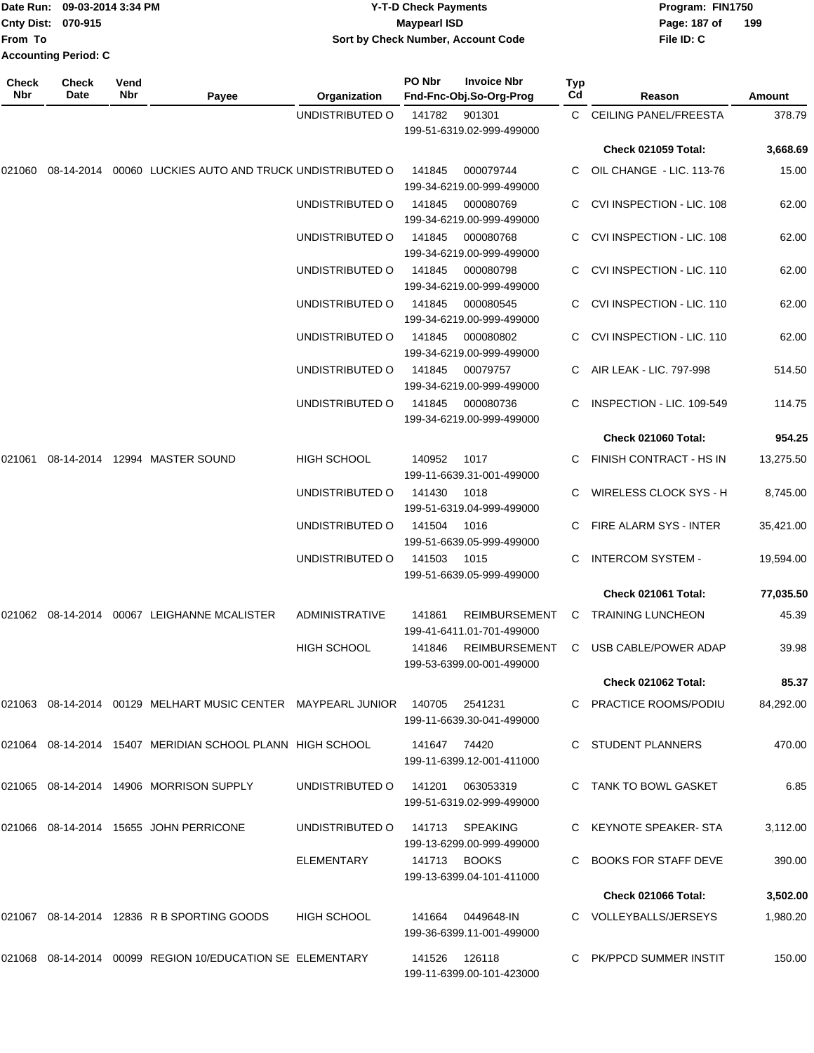| Date Run:                   |                      | 09-03-2014 3:34 PM |       | <b>Y-T-D Check Payments</b>        |        |                                               |            | Program: FIN1750        |        |
|-----------------------------|----------------------|--------------------|-------|------------------------------------|--------|-----------------------------------------------|------------|-------------------------|--------|
| Cnty Dist: 070-915          |                      |                    |       | <b>Maypearl ISD</b>                |        |                                               |            | Page: 187 of            | 199    |
| From To                     |                      |                    |       | Sort by Check Number, Account Code |        |                                               | File ID: C |                         |        |
| <b>Accounting Period: C</b> |                      |                    |       |                                    |        |                                               |            |                         |        |
| <b>Check</b><br><b>Nbr</b>  | <b>Check</b><br>Date | Vend<br>Nbr        | Pavee | Organization                       | PO Nbr | <b>Invoice Nbr</b><br>Fnd-Fnc-Obj.So-Org-Prog | Тур<br>Cd  | Reason                  | Amount |
|                             |                      |                    |       | UNDISTRIBUTED O                    | 141782 | 901301                                        |            | C CEILING PANEL/FREESTA | 378.79 |
|                             |                      |                    |       |                                    |        | 199-51-6319.02-999-499000                     |            |                         |        |

|        |  |                                                                |                    |        |                                                                         |    | <b>Check 021059 Total:</b>  | 3,668.69  |
|--------|--|----------------------------------------------------------------|--------------------|--------|-------------------------------------------------------------------------|----|-----------------------------|-----------|
|        |  | 021060 08-14-2014 00060 LUCKIES AUTO AND TRUCK UNDISTRIBUTED O |                    | 141845 | 000079744<br>199-34-6219.00-999-499000                                  |    | C OIL CHANGE - LIC. 113-76  | 15.00     |
|        |  |                                                                | UNDISTRIBUTED O    | 141845 | 000080769<br>199-34-6219.00-999-499000                                  | C. | CVI INSPECTION - LIC, 108   | 62.00     |
|        |  |                                                                | UNDISTRIBUTED O    | 141845 | 000080768<br>199-34-6219.00-999-499000                                  |    | C CVI INSPECTION - LIC. 108 | 62.00     |
|        |  |                                                                | UNDISTRIBUTED O    | 141845 | 000080798<br>199-34-6219.00-999-499000                                  |    | C CVI INSPECTION - LIC. 110 | 62.00     |
|        |  |                                                                | UNDISTRIBUTED O    | 141845 | 000080545<br>199-34-6219.00-999-499000                                  |    | C CVI INSPECTION - LIC. 110 | 62.00     |
|        |  |                                                                | UNDISTRIBUTED O    | 141845 | 000080802<br>199-34-6219.00-999-499000                                  |    | C CVI INSPECTION - LIC. 110 | 62.00     |
|        |  |                                                                | UNDISTRIBUTED O    | 141845 | 00079757<br>199-34-6219.00-999-499000                                   |    | C AIR LEAK - LIC. 797-998   | 514.50    |
|        |  |                                                                | UNDISTRIBUTED O    | 141845 | 000080736<br>199-34-6219.00-999-499000                                  |    | C INSPECTION - LIC. 109-549 | 114.75    |
|        |  |                                                                |                    |        |                                                                         |    | <b>Check 021060 Total:</b>  | 954.25    |
| 021061 |  | 08-14-2014  12994  MASTER SOUND                                | HIGH SCHOOL        | 140952 | 1017<br>199-11-6639.31-001-499000                                       |    | C FINISH CONTRACT - HS IN   | 13,275.50 |
|        |  |                                                                | UNDISTRIBUTED O    | 141430 | 1018                                                                    |    | WIRELESS CLOCK SYS - H      | 8,745.00  |
|        |  |                                                                | UNDISTRIBUTED O    | 141504 | 199-51-6319.04-999-499000<br>1016<br>199-51-6639.05-999-499000          |    | C FIRE ALARM SYS - INTER    | 35,421.00 |
|        |  |                                                                | UNDISTRIBUTED O    | 141503 | 1015<br>199-51-6639.05-999-499000                                       |    | C INTERCOM SYSTEM -         | 19,594.00 |
|        |  |                                                                |                    |        |                                                                         |    | Check 021061 Total:         | 77,035.50 |
|        |  | 021062 08-14-2014 00067 LEIGHANNE MCALISTER                    | ADMINISTRATIVE     | 141861 | REIMBURSEMENT                                                           |    | C TRAINING LUNCHEON         | 45.39     |
|        |  |                                                                | <b>HIGH SCHOOL</b> | 141846 | 199-41-6411.01-701-499000<br>REIMBURSEMENT<br>199-53-6399.00-001-499000 |    | C USB CABLE/POWER ADAP      | 39.98     |
|        |  |                                                                |                    |        |                                                                         |    | <b>Check 021062 Total:</b>  | 85.37     |
|        |  | 021063 08-14-2014 00129 MELHART MUSIC CENTER MAYPEARL JUNIOR   |                    | 140705 | 2541231<br>199-11-6639.30-041-499000                                    |    | C PRACTICE ROOMS/PODIU      | 84,292.00 |
|        |  | 021064  08-14-2014  15407  MERIDIAN SCHOOL PLANN  HIGH SCHOOL  |                    | 141647 | 74420<br>199-11-6399.12-001-411000                                      |    | C STUDENT PLANNERS          | 470.00    |
|        |  | 021065 08-14-2014 14906 MORRISON SUPPLY                        | UNDISTRIBUTED O    | 141201 | 063053319<br>199-51-6319.02-999-499000                                  |    | C TANK TO BOWL GASKET       | 6.85      |
|        |  | 021066  08-14-2014  15655  JOHN PERRICONE                      | UNDISTRIBUTED O    | 141713 | <b>SPEAKING</b>                                                         |    | C KEYNOTE SPEAKER-STA       | 3,112.00  |
|        |  |                                                                | ELEMENTARY         |        | 199-13-6299.00-999-499000<br>141713 BOOKS<br>199-13-6399.04-101-411000  | C. | <b>BOOKS FOR STAFF DEVE</b> | 390.00    |
|        |  |                                                                |                    |        |                                                                         |    | <b>Check 021066 Total:</b>  | 3,502.00  |
|        |  | 021067 08-14-2014 12836 R B SPORTING GOODS                     | <b>HIGH SCHOOL</b> |        | 141664 0449648-IN<br>199-36-6399.11-001-499000                          |    | C VOLLEYBALLS/JERSEYS       | 1,980.20  |
|        |  | 021068  08-14-2014  00099  REGION 10/EDUCATION SE ELEMENTARY   |                    | 141526 | 126118<br>199-11-6399.00-101-423000                                     |    | C PK/PPCD SUMMER INSTIT     | 150.00    |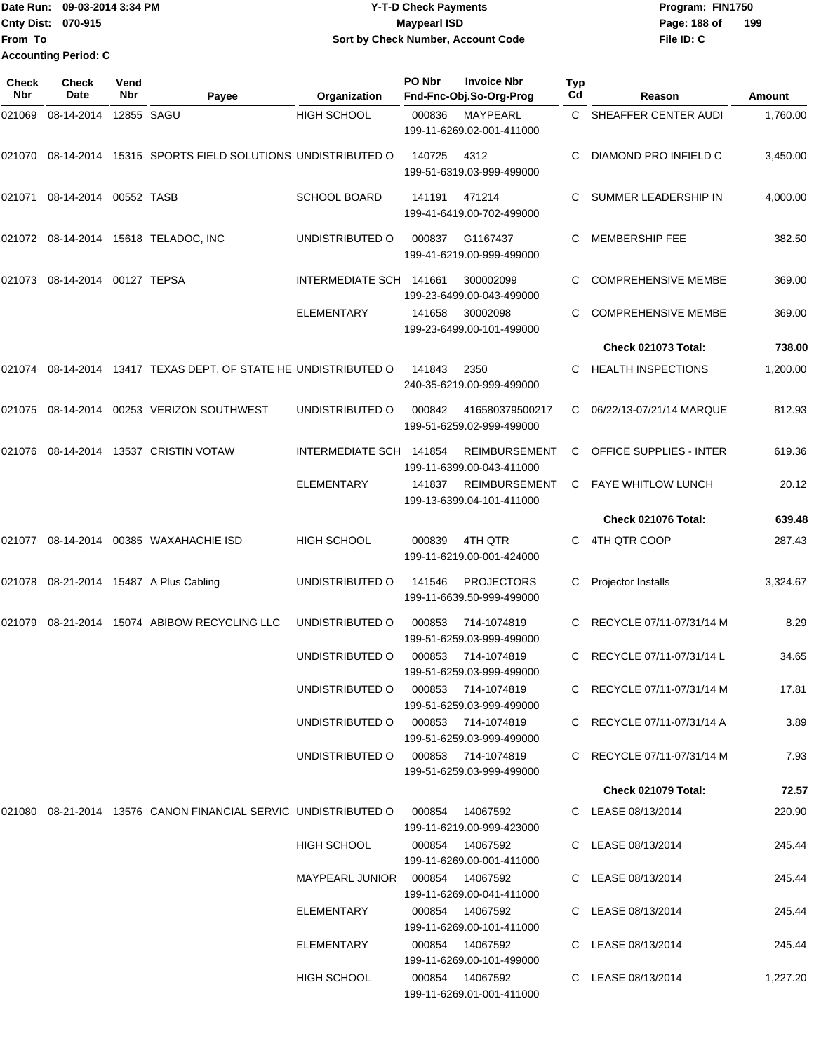|                             | Date Run: 09-03-2014 3:34 PM | <b>Y-T-D Check Payments</b>        | Program: FIN1750    |
|-----------------------------|------------------------------|------------------------------------|---------------------|
| <b>Cnty Dist: 070-915</b>   |                              | <b>Mavpearl ISD</b>                | 199<br>Page: 188 of |
| <b>From To</b>              |                              | Sort by Check Number, Account Code | File ID: C          |
| <b>Accounting Period: C</b> |                              |                                    |                     |

| Check<br><b>Nbr</b> | <b>Check</b><br>Date          | Vend<br>Nbr | Payee                                                             | Organization                       | PO Nbr | <b>Invoice Nbr</b><br>Fnd-Fnc-Obj.So-Org-Prog                   | Typ<br>Cd | Reason                                   | Amount           |
|---------------------|-------------------------------|-------------|-------------------------------------------------------------------|------------------------------------|--------|-----------------------------------------------------------------|-----------|------------------------------------------|------------------|
| 021069              | 08-14-2014                    |             | 12855 SAGU                                                        | <b>HIGH SCHOOL</b>                 | 000836 | MAYPEARL<br>199-11-6269.02-001-411000                           | C.        | SHEAFFER CENTER AUDI                     | 1,760.00         |
| 021070              |                               |             | 08-14-2014 15315 SPORTS FIELD SOLUTIONS UNDISTRIBUTED O           |                                    | 140725 | 4312<br>199-51-6319.03-999-499000                               | С         | DIAMOND PRO INFIELD C                    | 3,450.00         |
| 021071              | 08-14-2014                    | 00552 TASB  |                                                                   | <b>SCHOOL BOARD</b>                | 141191 | 471214<br>199-41-6419.00-702-499000                             | С         | SUMMER LEADERSHIP IN                     | 4,000.00         |
|                     |                               |             | 021072 08-14-2014 15618 TELADOC, INC                              | UNDISTRIBUTED O                    | 000837 | G1167437<br>199-41-6219.00-999-499000                           | С         | <b>MEMBERSHIP FEE</b>                    | 382.50           |
|                     | 021073 08-14-2014 00127 TEPSA |             |                                                                   | INTERMEDIATE SCH 141661            |        | 300002099<br>199-23-6499.00-043-499000                          | С         | <b>COMPREHENSIVE MEMBE</b>               | 369.00           |
|                     |                               |             |                                                                   | <b>ELEMENTARY</b>                  | 141658 | 30002098<br>199-23-6499.00-101-499000                           | С         | <b>COMPREHENSIVE MEMBE</b>               | 369.00           |
|                     |                               |             |                                                                   |                                    |        |                                                                 |           | <b>Check 021073 Total:</b>               | 738.00           |
| 021074              |                               |             | 08-14-2014 13417 TEXAS DEPT, OF STATE HE UNDISTRIBUTED O          |                                    | 141843 | 2350<br>240-35-6219.00-999-499000                               | С         | <b>HEALTH INSPECTIONS</b>                | 1,200.00         |
|                     |                               |             | 021075 08-14-2014 00253 VERIZON SOUTHWEST                         | UNDISTRIBUTED O                    | 000842 | 416580379500217<br>199-51-6259.02-999-499000                    | С         | 06/22/13-07/21/14 MARQUE                 | 812.93           |
| 021076              |                               |             | 08-14-2014 13537 CRISTIN VOTAW                                    | INTERMEDIATE SCH 141854            |        | <b>REIMBURSEMENT</b><br>199-11-6399.00-043-411000               | C         | <b>OFFICE SUPPLIES - INTER</b>           | 619.36           |
|                     |                               |             |                                                                   | <b>ELEMENTARY</b>                  | 141837 | <b>REIMBURSEMENT</b><br>199-13-6399.04-101-411000               | C         | FAYE WHITLOW LUNCH                       | 20.12            |
|                     |                               |             |                                                                   |                                    |        |                                                                 |           | Check 021076 Total:                      | 639.48           |
| 021077              |                               |             | 08-14-2014 00385 WAXAHACHIE ISD                                   | <b>HIGH SCHOOL</b>                 | 000839 | 4TH QTR<br>199-11-6219.00-001-424000                            | С         | 4TH QTR COOP                             | 287.43           |
|                     |                               |             | 021078 08-21-2014 15487 A Plus Cabling                            | UNDISTRIBUTED O                    | 141546 | <b>PROJECTORS</b><br>199-11-6639.50-999-499000                  | С         | Projector Installs                       | 3,324.67         |
| 021079              |                               |             | 08-21-2014 15074 ABIBOW RECYCLING LLC                             | UNDISTRIBUTED O                    | 000853 | 714-1074819<br>199-51-6259.03-999-499000                        | С         | RECYCLE 07/11-07/31/14 M                 | 8.29             |
|                     |                               |             |                                                                   | UNDISTRIBUTED O                    | 000853 | 714-1074819<br>199-51-6259.03-999-499000                        | C         | RECYCLE 07/11-07/31/14 L                 | 34.65            |
|                     |                               |             |                                                                   | UNDISTRIBUTED O 000853 714-1074819 |        | 199-51-6259.03-999-499000                                       |           | C RECYCLE 07/11-07/31/14 M               | 17.81            |
|                     |                               |             |                                                                   | UNDISTRIBUTED O 000853 714-1074819 |        | 199-51-6259.03-999-499000                                       |           | C RECYCLE 07/11-07/31/14 A               | 3.89             |
|                     |                               |             |                                                                   | UNDISTRIBUTED O 000853 714-1074819 |        | 199-51-6259.03-999-499000                                       |           | C RECYCLE 07/11-07/31/14 M               | 7.93             |
|                     |                               |             |                                                                   |                                    |        |                                                                 |           | <b>Check 021079 Total:</b>               | 72.57            |
|                     |                               |             | 021080  08-21-2014  13576  CANON FINANCIAL SERVIC UNDISTRIBUTED O |                                    |        | 000854 14067592<br>199-11-6219.00-999-423000                    |           | C LEASE 08/13/2014                       | 220.90           |
|                     |                               |             |                                                                   | <b>HIGH SCHOOL</b>                 |        | 000854 14067592<br>199-11-6269.00-001-411000                    |           | C LEASE 08/13/2014                       | 245.44           |
|                     |                               |             |                                                                   |                                    |        | 199-11-6269.00-041-411000                                       |           | C LEASE 08/13/2014                       | 245.44           |
|                     |                               |             |                                                                   | ELEMENTARY                         |        | 000854 14067592<br>199-11-6269.00-101-411000<br>000854 14067592 |           | C LEASE 08/13/2014<br>C LEASE 08/13/2014 | 245.44<br>245.44 |
|                     |                               |             |                                                                   | ELEMENTARY                         |        | 199-11-6269.00-101-499000                                       |           |                                          |                  |
|                     |                               |             |                                                                   | HIGH SCHOOL                        |        | 000854 14067592<br>199-11-6269.01-001-411000                    |           | C LEASE 08/13/2014                       | 1,227.20         |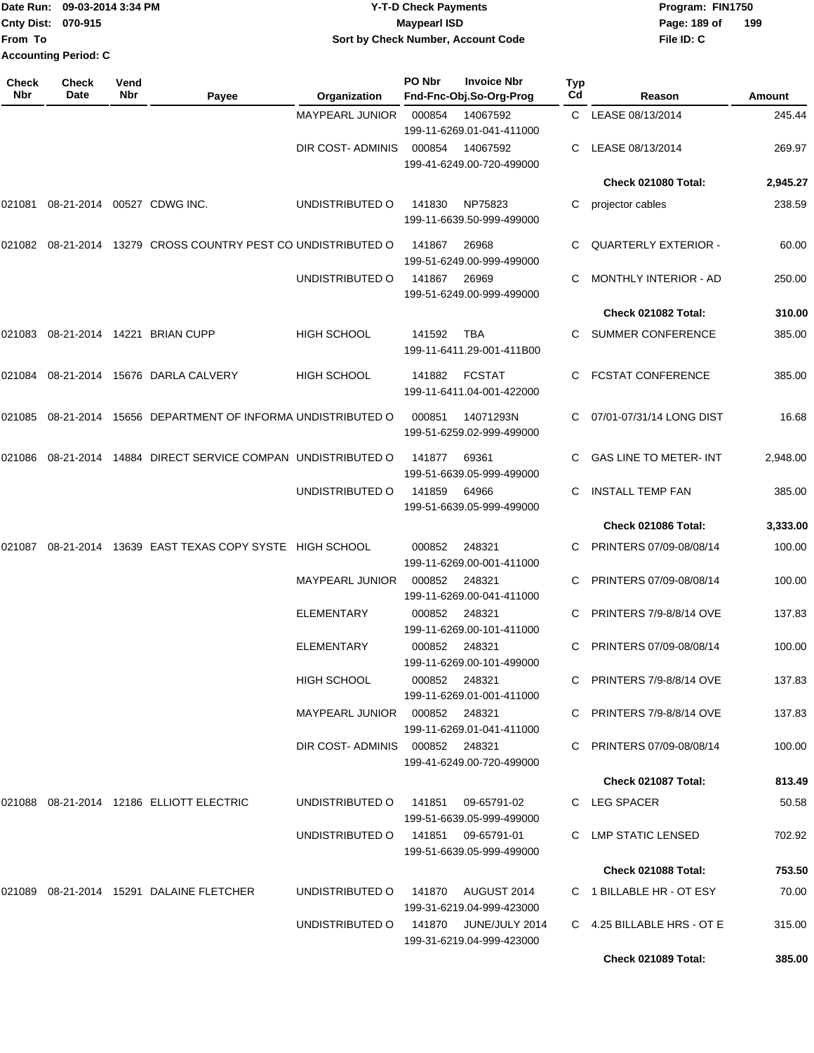|                             | Date Run: 09-03-2014 3:34 PM | <b>Y-T-D Check Payments</b>        | Program: FIN1750    |
|-----------------------------|------------------------------|------------------------------------|---------------------|
| <b>Cnty Dist: 070-915</b>   |                              | <b>Maypearl ISD</b>                | 199<br>Page: 189 of |
| lFrom To                    |                              | Sort by Check Number, Account Code | File ID: C          |
| <b>Accounting Period: C</b> |                              |                                    |                     |

| Check<br>Nbr | <b>Check</b><br>Date | Vend<br>Nbr | Payee                                                  | Organization                    | PO Nbr | <b>Invoice Nbr</b><br>Fnd-Fnc-Obj.So-Org-Prog      | Typ<br>Cd | Reason                         | Amount   |
|--------------|----------------------|-------------|--------------------------------------------------------|---------------------------------|--------|----------------------------------------------------|-----------|--------------------------------|----------|
|              |                      |             |                                                        | MAYPEARL JUNIOR                 | 000854 | 14067592                                           | C.        | LEASE 08/13/2014               | 245.44   |
|              |                      |             |                                                        |                                 |        | 199-11-6269.01-041-411000                          |           |                                |          |
|              |                      |             |                                                        | DIR COST- ADMINIS               | 000854 | 14067592<br>199-41-6249.00-720-499000              | C         | LEASE 08/13/2014               | 269.97   |
|              |                      |             |                                                        |                                 |        |                                                    |           | Check 021080 Total:            | 2,945.27 |
| 021081       |                      |             | 08-21-2014 00527 CDWG INC.                             | UNDISTRIBUTED O                 | 141830 | NP75823<br>199-11-6639.50-999-499000               | C         | projector cables               | 238.59   |
| 021082       |                      |             | 08-21-2014 13279 CROSS COUNTRY PEST CO UNDISTRIBUTED O |                                 | 141867 | 26968<br>199-51-6249.00-999-499000                 | C.        | <b>QUARTERLY EXTERIOR -</b>    | 60.00    |
|              |                      |             |                                                        | UNDISTRIBUTED O                 | 141867 | 26969<br>199-51-6249.00-999-499000                 |           | MONTHLY INTERIOR - AD          | 250.00   |
|              |                      |             |                                                        |                                 |        |                                                    |           | Check 021082 Total:            | 310.00   |
| 021083       |                      |             | 08-21-2014 14221 BRIAN CUPP                            | HIGH SCHOOL                     | 141592 | TBA<br>199-11-6411.29-001-411B00                   |           | SUMMER CONFERENCE              | 385.00   |
| 021084       |                      |             | 08-21-2014 15676 DARLA CALVERY                         | <b>HIGH SCHOOL</b>              | 141882 | <b>FCSTAT</b><br>199-11-6411.04-001-422000         | C         | <b>FCSTAT CONFERENCE</b>       | 385.00   |
| 021085       |                      |             | 08-21-2014 15656 DEPARTMENT OF INFORMA UNDISTRIBUTED O |                                 | 000851 | 14071293N<br>199-51-6259.02-999-499000             | C.        | 07/01-07/31/14 LONG DIST       | 16.68    |
| 021086       |                      |             | 08-21-2014 14884 DIRECT SERVICE COMPAN UNDISTRIBUTED O |                                 | 141877 | 69361<br>199-51-6639.05-999-499000                 |           | <b>GAS LINE TO METER-INT</b>   | 2,948.00 |
|              |                      |             |                                                        | UNDISTRIBUTED O                 | 141859 | 64966<br>199-51-6639.05-999-499000                 | C         | <b>INSTALL TEMP FAN</b>        | 385.00   |
|              |                      |             |                                                        |                                 |        |                                                    |           | Check 021086 Total:            | 3,333.00 |
| 021087       |                      |             | 08-21-2014 13639 EAST TEXAS COPY SYSTE HIGH SCHOOL     |                                 | 000852 | 248321<br>199-11-6269.00-001-411000                | C         | PRINTERS 07/09-08/08/14        | 100.00   |
|              |                      |             |                                                        | <b>MAYPEARL JUNIOR</b>          | 000852 | 248321<br>199-11-6269.00-041-411000                | C.        | PRINTERS 07/09-08/08/14        | 100.00   |
|              |                      |             |                                                        | ELEMENTARY                      | 000852 | 248321<br>199-11-6269.00-101-411000                |           | <b>PRINTERS 7/9-8/8/14 OVE</b> | 137.83   |
|              |                      |             |                                                        | ELEMENTARY                      | 000852 | 248321<br>199-11-6269.00-101-499000                | C         | PRINTERS 07/09-08/08/14        | 100.00   |
|              |                      |             |                                                        | HIGH SCHOOL                     |        | 000852 248321<br>199-11-6269.01-001-411000         |           | C PRINTERS 7/9-8/8/14 OVE      | 137.83   |
|              |                      |             |                                                        | MAYPEARL JUNIOR  000852  248321 |        | 199-11-6269.01-041-411000                          |           | C PRINTERS 7/9-8/8/14 OVE      | 137.83   |
|              |                      |             |                                                        | DIR COST-ADMINIS 000852 248321  |        | 199-41-6249.00-720-499000                          |           | C PRINTERS 07/09-08/08/14      | 100.00   |
|              |                      |             |                                                        |                                 |        |                                                    |           | Check 021087 Total:            | 813.49   |
|              |                      |             | 021088  08-21-2014  12186  ELLIOTT ELECTRIC            | UNDISTRIBUTED O                 |        | 199-51-6639.05-999-499000                          |           | C LEG SPACER                   | 50.58    |
|              |                      |             |                                                        | UNDISTRIBUTED O                 |        | 199-51-6639.05-999-499000                          |           | C LMP STATIC LENSED            | 702.92   |
|              |                      |             |                                                        |                                 |        |                                                    |           | <b>Check 021088 Total:</b>     | 753.50   |
|              |                      |             | 021089 08-21-2014 15291 DALAINE FLETCHER               | UNDISTRIBUTED O                 |        | 141870 AUGUST 2014<br>199-31-6219.04-999-423000    |           | C 1 BILLABLE HR - OT ESY       | 70.00    |
|              |                      |             |                                                        | UNDISTRIBUTED O                 |        | 141870 JUNE/JULY 2014<br>199-31-6219.04-999-423000 |           | C 4.25 BILLABLE HRS - OT E     | 315.00   |
|              |                      |             |                                                        |                                 |        |                                                    |           | Check 021089 Total:            | 385.00   |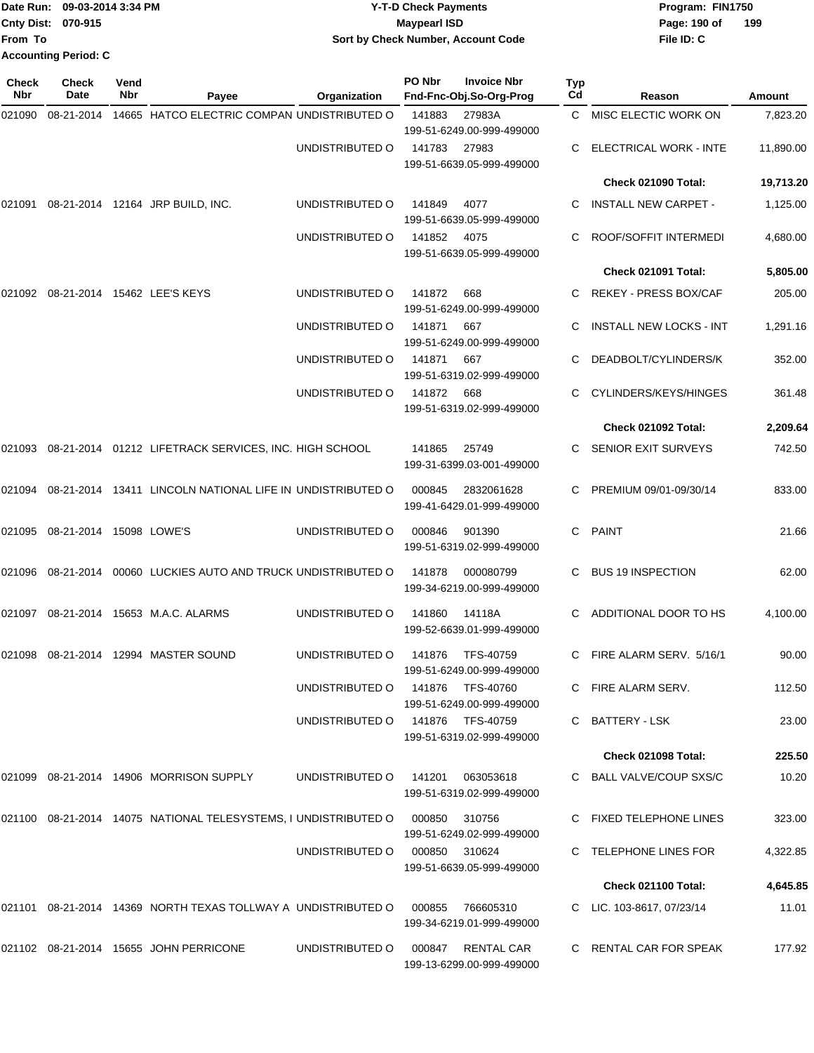|                           | Date Run: 09-03-2014 3:34 PM | <b>Y-T-D Check Payments</b>        | Program: FIN1750    |
|---------------------------|------------------------------|------------------------------------|---------------------|
| <b>Cnty Dist: 070-915</b> |                              | <b>Mavpearl ISD</b>                | 199<br>Page: 190 of |
| <b>IFrom To</b>           |                              | Sort by Check Number, Account Code | File ID: C          |
|                           | <b>Accounting Period: C</b>  |                                    |                     |

**PO Nbr Invoice Nbr**

| Check<br>Nbr | <b>Check</b><br><b>Date</b>    | Vend<br>Nbr | Payee                                                                      | Organization                     | PO Nbr     | <b>Invoice Nbr</b><br>Fnd-Fnc-Obj.So-Org-Prog  | Typ<br>Cd | Reason                         | <b>Amount</b> |
|--------------|--------------------------------|-------------|----------------------------------------------------------------------------|----------------------------------|------------|------------------------------------------------|-----------|--------------------------------|---------------|
| 021090       | 08-21-2014                     |             | 14665 HATCO ELECTRIC COMPAN UNDISTRIBUTED O                                |                                  | 141883     | 27983A<br>199-51-6249.00-999-499000            |           | C MISC ELECTIC WORK ON         | 7,823.20      |
|              |                                |             |                                                                            | UNDISTRIBUTED O                  | 141783     | 27983<br>199-51-6639.05-999-499000             |           | <b>ELECTRICAL WORK - INTE</b>  | 11,890.00     |
|              |                                |             |                                                                            |                                  |            |                                                |           | Check 021090 Total:            | 19,713.20     |
| 021091       |                                |             | 08-21-2014 12164 JRP BUILD, INC.                                           | UNDISTRIBUTED O                  | 141849     | 4077<br>199-51-6639.05-999-499000              |           | <b>INSTALL NEW CARPET -</b>    | 1,125.00      |
|              |                                |             |                                                                            | UNDISTRIBUTED O                  | 141852     | 4075<br>199-51-6639.05-999-499000              |           | ROOF/SOFFIT INTERMEDI          | 4,680.00      |
|              |                                |             |                                                                            |                                  |            |                                                |           | Check 021091 Total:            | 5,805.00      |
|              |                                |             | 021092 08-21-2014 15462 LEE'S KEYS                                         | UNDISTRIBUTED O                  | 141872     | 668<br>199-51-6249.00-999-499000               |           | REKEY - PRESS BOX/CAF          | 205.00        |
|              |                                |             |                                                                            | UNDISTRIBUTED O                  | 141871     | 667<br>199-51-6249.00-999-499000               | C         | <b>INSTALL NEW LOCKS - INT</b> | 1,291.16      |
|              |                                |             |                                                                            | UNDISTRIBUTED O                  | 141871     | 667<br>199-51-6319.02-999-499000               |           | DEADBOLT/CYLINDERS/K           | 352.00        |
|              |                                |             |                                                                            | UNDISTRIBUTED O                  | 141872 668 | 199-51-6319.02-999-499000                      |           | CYLINDERS/KEYS/HINGES          | 361.48        |
|              |                                |             |                                                                            |                                  |            |                                                |           | Check 021092 Total:            | 2,209.64      |
|              |                                |             | 021093 08-21-2014 01212 LIFETRACK SERVICES, INC. HIGH SCHOOL               |                                  | 141865     | 25749<br>199-31-6399.03-001-499000             |           | <b>SENIOR EXIT SURVEYS</b>     | 742.50        |
|              |                                |             | 021094 08-21-2014 13411 LINCOLN NATIONAL LIFE IN UNDISTRIBUTED O           |                                  | 000845     | 2832061628<br>199-41-6429.01-999-499000        | C         | PREMIUM 09/01-09/30/14         | 833.00        |
|              | 021095 08-21-2014 15098 LOWE'S |             |                                                                            | UNDISTRIBUTED O                  | 000846     | 901390<br>199-51-6319.02-999-499000            | C.        | PAINT                          | 21.66         |
|              |                                |             | 021096 08-21-2014 00060 LUCKIES AUTO AND TRUCK UNDISTRIBUTED O             |                                  | 141878     | 000080799<br>199-34-6219.00-999-499000         | C         | <b>BUS 19 INSPECTION</b>       | 62.00         |
|              |                                |             | 021097  08-21-2014  15653  M.A.C. ALARMS                                   | UNDISTRIBUTED O                  | 141860     | 14118A<br>199-52-6639.01-999-499000            | C         | ADDITIONAL DOOR TO HS          | 4,100.00      |
|              |                                |             | 021098 08-21-2014 12994 MASTER SOUND                                       | UNDISTRIBUTED O                  | 141876     | TFS-40759<br>199-51-6249.00-999-499000         | C.        | FIRE ALARM SERV. 5/16/1        | 90.00         |
|              |                                |             |                                                                            | UNDISTRIBUTED O 141876 TFS-40760 |            | 199-51-6249.00-999-499000                      |           | C FIRE ALARM SERV.             | 112.50        |
|              |                                |             |                                                                            | UNDISTRIBUTED O 141876 TFS-40759 |            | 199-51-6319.02-999-499000                      |           | C BATTERY - LSK                | 23.00         |
|              |                                |             |                                                                            |                                  |            |                                                |           | Check 021098 Total:            | 225.50        |
|              |                                |             | 021099 08-21-2014 14906 MORRISON SUPPLY                                    | UNDISTRIBUTED O                  | 141201     | 063053618<br>199-51-6319.02-999-499000         |           | C BALL VALVE/COUP SXS/C        | 10.20         |
|              |                                |             | 021100  08-21-2014  14075  NATIONAL TELESYSTEMS. I UNDISTRIBUTED O  000850 |                                  |            | 310756<br>199-51-6249.02-999-499000            |           | C FIXED TELEPHONE LINES        | 323.00        |
|              |                                |             |                                                                            | UNDISTRIBUTED O 000850 310624    |            | 199-51-6639.05-999-499000                      |           | C TELEPHONE LINES FOR          | 4,322.85      |
|              |                                |             |                                                                            |                                  |            |                                                |           | Check 021100 Total:            | 4,645.85      |
|              |                                |             | 021101  08-21-2014  14369  NORTH TEXAS TOLLWAY A UNDISTRIBUTED   000855    |                                  |            | 766605310<br>199-34-6219.01-999-499000         |           | C LIC. 103-8617, 07/23/14      | 11.01         |
|              |                                |             | 021102 08-21-2014 15655 JOHN PERRICONE                                     | UNDISTRIBUTED O 000847           |            | <b>RENTAL CAR</b><br>199-13-6299.00-999-499000 |           | C RENTAL CAR FOR SPEAK         | 177.92        |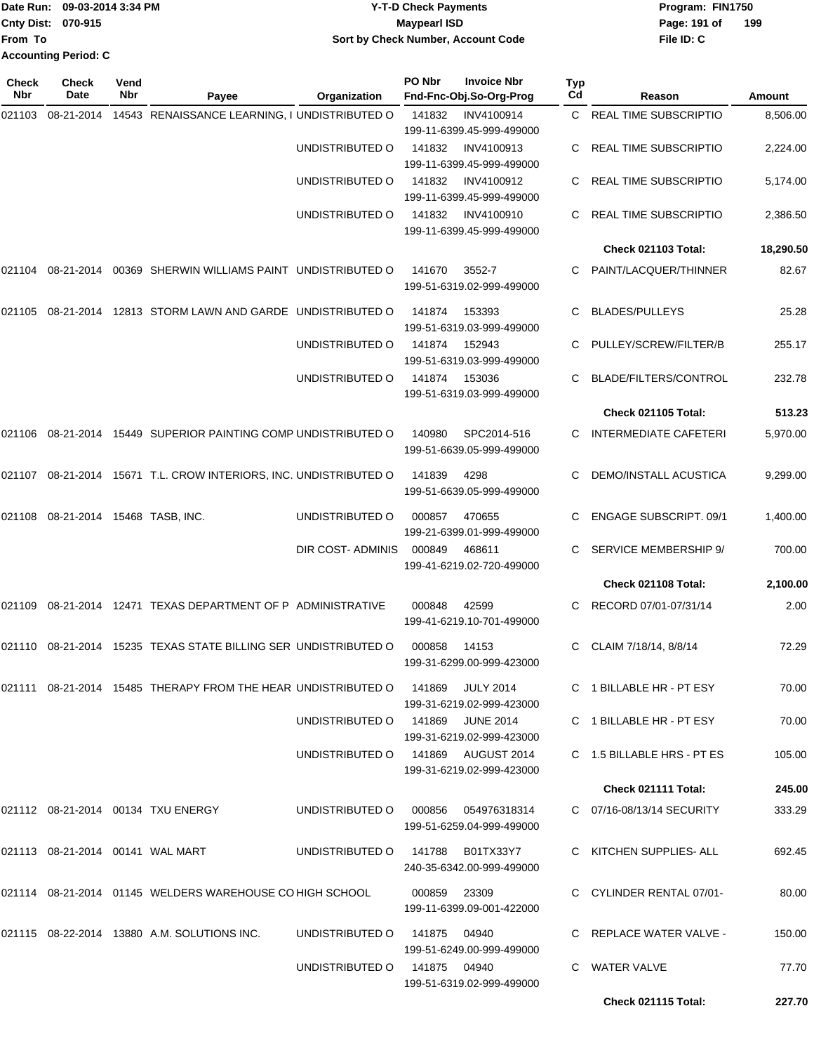| Date Run: 09-03-2014 3:34 PM         | <b>Y-T-D Check Payments</b>         | Program: FIN1750    |
|--------------------------------------|-------------------------------------|---------------------|
| <b>Cnty Dist: 070-915</b>            | Maypearl ISD                        | 199<br>Page: 191 of |
| <b>From To</b>                       | Sort by Check Number, Account Code  | File ID: C          |
| <b>Accounting Period: C</b>          |                                     |                     |
| <b>Check</b><br><b>Check</b><br>Vend | PO Nbr<br><b>Invoice Nbr</b><br>Typ |                     |

| Nbr    | Date                                | Nbr | Payee                                                                | Organization                        |              | Fnd-Fnc-Obj.So-Org-Prog                       | Cd | Reason                        | Amount    |
|--------|-------------------------------------|-----|----------------------------------------------------------------------|-------------------------------------|--------------|-----------------------------------------------|----|-------------------------------|-----------|
| 021103 | 08-21-2014                          |     | 14543 RENAISSANCE LEARNING, I UNDISTRIBUTED O                        |                                     | 141832       | INV4100914<br>199-11-6399.45-999-499000       |    | C REAL TIME SUBSCRIPTIO       | 8,506.00  |
|        |                                     |     |                                                                      | UNDISTRIBUTED O                     | 141832       | INV4100913<br>199-11-6399.45-999-499000       |    | REAL TIME SUBSCRIPTIO         | 2,224.00  |
|        |                                     |     |                                                                      | UNDISTRIBUTED O                     | 141832       | INV4100912<br>199-11-6399.45-999-499000       |    | REAL TIME SUBSCRIPTIO         | 5,174.00  |
|        |                                     |     |                                                                      | UNDISTRIBUTED O                     | 141832       | INV4100910<br>199-11-6399.45-999-499000       | C  | <b>REAL TIME SUBSCRIPTIO</b>  | 2,386.50  |
|        |                                     |     |                                                                      |                                     |              |                                               |    | Check 021103 Total:           | 18,290.50 |
| 021104 |                                     |     | 08-21-2014 00369 SHERWIN WILLIAMS PAINT UNDISTRIBUTED O              |                                     | 141670       | 3552-7<br>199-51-6319.02-999-499000           | C. | PAINT/LACQUER/THINNER         | 82.67     |
| 021105 |                                     |     | 08-21-2014 12813 STORM LAWN AND GARDE UNDISTRIBUTED O                |                                     | 141874       | 153393<br>199-51-6319.03-999-499000           |    | <b>BLADES/PULLEYS</b>         | 25.28     |
|        |                                     |     |                                                                      | UNDISTRIBUTED O                     | 141874       | 152943<br>199-51-6319.03-999-499000           | C. | PULLEY/SCREW/FILTER/B         | 255.17    |
|        |                                     |     |                                                                      | UNDISTRIBUTED O                     | 141874       | 153036<br>199-51-6319.03-999-499000           | C. | BLADE/FILTERS/CONTROL         | 232.78    |
|        |                                     |     |                                                                      |                                     |              |                                               |    | Check 021105 Total:           | 513.23    |
| 021106 |                                     |     | 08-21-2014 15449 SUPERIOR PAINTING COMP UNDISTRIBUTED O              |                                     | 140980       | SPC2014-516<br>199-51-6639.05-999-499000      | C. | <b>INTERMEDIATE CAFETERI</b>  | 5,970.00  |
| 021107 |                                     |     | 08-21-2014 15671 T.L. CROW INTERIORS, INC. UNDISTRIBUTED O           |                                     | 141839       | 4298<br>199-51-6639.05-999-499000             | C  | <b>DEMO/INSTALL ACUSTICA</b>  | 9,299.00  |
| 021108 | 08-21-2014 15468 TASB, INC.         |     |                                                                      | UNDISTRIBUTED O                     | 000857       | 470655<br>199-21-6399.01-999-499000           |    | <b>ENGAGE SUBSCRIPT. 09/1</b> | 1,400.00  |
|        |                                     |     |                                                                      | DIR COST- ADMINIS                   | 000849       | 468611<br>199-41-6219.02-720-499000           | C. | SERVICE MEMBERSHIP 9/         | 700.00    |
|        |                                     |     |                                                                      |                                     |              |                                               |    | Check 021108 Total:           | 2,100.00  |
| 021109 |                                     |     | 08-21-2014 12471 TEXAS DEPARTMENT OF P ADMINISTRATIVE                |                                     | 000848       | 42599<br>199-41-6219.10-701-499000            | C. | RECORD 07/01-07/31/14         | 2.00      |
| 021110 |                                     |     | 08-21-2014 15235 TEXAS STATE BILLING SER UNDISTRIBUTED O             |                                     | 000858       | 14153<br>199-31-6299.00-999-423000            | C. | CLAIM 7/18/14, 8/8/14         | 72.29     |
|        |                                     |     | 021111 08-21-2014 15485 THERAPY FROM THE HEAR UNDISTRIBUTED O 141869 |                                     |              | <b>JULY 2014</b><br>199-31-6219.02-999-423000 |    | C 1 BILLABLE HR - PT ESY      | 70.00     |
|        |                                     |     |                                                                      | UNDISTRIBUTED O 141869 JUNE 2014    |              | 199-31-6219.02-999-423000                     |    | C 1 BILLABLE HR - PT ESY      | 70.00     |
|        |                                     |     |                                                                      | UNDISTRIBUTED O 141869 AUGUST 2014  |              | 199-31-6219.02-999-423000                     |    | C 1.5 BILLABLE HRS - PT ES    | 105.00    |
|        |                                     |     |                                                                      |                                     |              |                                               |    | Check 021111 Total:           | 245.00    |
|        |                                     |     | 021112 08-21-2014 00134 TXU ENERGY                                   | UNDISTRIBUTED O 000856 054976318314 |              | 199-51-6259.04-999-499000                     |    | C 07/16-08/13/14 SECURITY     | 333.29    |
|        | 021113  08-21-2014  00141  WAL MART |     |                                                                      | UNDISTRIBUTED O 141788              |              | B01TX33Y7<br>240-35-6342.00-999-499000        |    | C KITCHEN SUPPLIES- ALL       | 692.45    |
|        |                                     |     | 021114 08-21-2014 01145 WELDERS WAREHOUSE CO HIGH SCHOOL             |                                     | 000859 23309 | 199-11-6399.09-001-422000                     |    | C CYLINDER RENTAL 07/01-      | 80.00     |
|        |                                     |     | 021115 08-22-2014 13880 A.M. SOLUTIONS INC.                          | UNDISTRIBUTED 0 141875 04940        |              | 199-51-6249.00-999-499000                     |    | C REPLACE WATER VALVE -       | 150.00    |
|        |                                     |     |                                                                      | UNDISTRIBUTED O 141875 04940        |              | 199-51-6319.02-999-499000                     |    | C WATER VALVE                 | 77.70     |
|        |                                     |     |                                                                      |                                     |              |                                               |    | <b>Check 021115 Total:</b>    | 227.70    |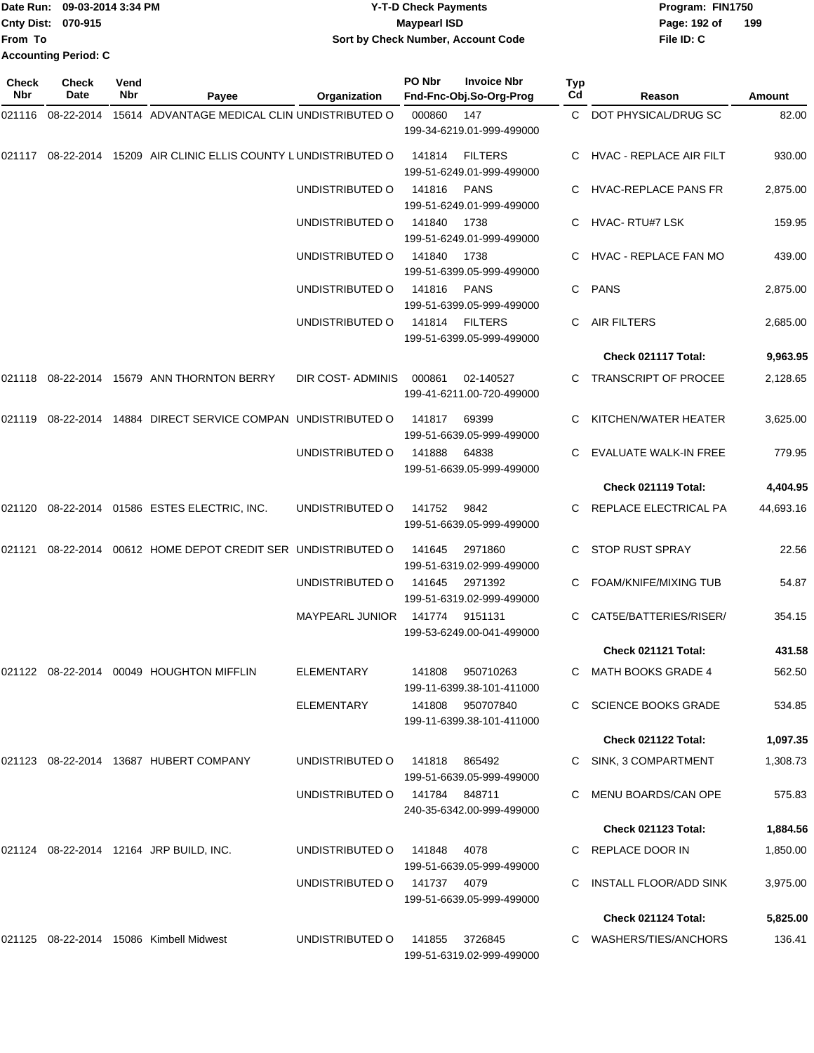|                             | Date Run: 09-03-2014 3:34 PM | <b>Y-T-D Check Payments</b>        | Program: FIN1750    |  |
|-----------------------------|------------------------------|------------------------------------|---------------------|--|
| <b>Cnty Dist: 070-915</b>   |                              | Maypearl ISD                       | 199<br>Page: 192 of |  |
| <b>From To</b>              |                              | Sort by Check Number, Account Code | File ID: C          |  |
| <b>Accounting Period: C</b> |                              |                                    |                     |  |

| <b>Check</b><br>Nbr | <b>Check</b><br>Date | Vend<br>Nbr | Payee                                                             | Organization                  | PO Nbr                                   | <b>Invoice Nbr</b><br>Fnd-Fnc-Obj.So-Org-Prog | <b>Typ</b><br>Cd       | Reason                     | Amount    |
|---------------------|----------------------|-------------|-------------------------------------------------------------------|-------------------------------|------------------------------------------|-----------------------------------------------|------------------------|----------------------------|-----------|
|                     |                      |             | 021116 08-22-2014 15614 ADVANTAGE MEDICAL CLIN UNDISTRIBUTED O    |                               | 000860                                   | 147<br>199-34-6219.01-999-499000              |                        | C DOT PHYSICAL/DRUG SC     | 82.00     |
|                     |                      |             | 021117 08-22-2014 15209 AIR CLINIC ELLIS COUNTY LUNDISTRIBUTED O  |                               | 141814                                   | <b>FILTERS</b><br>199-51-6249.01-999-499000   |                        | C HVAC - REPLACE AIR FILT  | 930.00    |
|                     |                      |             | UNDISTRIBUTED O                                                   | 141816                        | <b>PANS</b><br>199-51-6249.01-999-499000 |                                               | C HVAC-REPLACE PANS FR | 2,875.00                   |           |
|                     |                      |             |                                                                   | UNDISTRIBUTED O               | 141840                                   | 1738<br>199-51-6249.01-999-499000             |                        | C HVAC-RTU#7 LSK           | 159.95    |
|                     |                      |             |                                                                   | UNDISTRIBUTED O               | 141840                                   | 1738<br>199-51-6399.05-999-499000             |                        | C HVAC - REPLACE FAN MO    | 439.00    |
|                     |                      |             |                                                                   | UNDISTRIBUTED O               | 141816                                   | <b>PANS</b><br>199-51-6399.05-999-499000      | C.                     | <b>PANS</b>                | 2,875.00  |
|                     |                      |             |                                                                   | UNDISTRIBUTED O               | 141814                                   | <b>FILTERS</b><br>199-51-6399.05-999-499000   | C                      | AIR FILTERS                | 2,685.00  |
|                     |                      |             |                                                                   |                               |                                          |                                               |                        | Check 021117 Total:        | 9,963.95  |
|                     |                      |             | 021118 08-22-2014 15679 ANN THORNTON BERRY                        | DIR COST-ADMINIS              | 000861                                   | 02-140527<br>199-41-6211.00-720-499000        |                        | C TRANSCRIPT OF PROCEE     | 2,128.65  |
|                     |                      |             | 021119  08-22-2014  14884  DIRECT SERVICE COMPAN  UNDISTRIBUTED O |                               | 141817                                   | 69399<br>199-51-6639.05-999-499000            |                        | KITCHEN/WATER HEATER       | 3,625.00  |
|                     |                      |             |                                                                   | UNDISTRIBUTED O               | 141888                                   | 64838<br>199-51-6639.05-999-499000            |                        | EVALUATE WALK-IN FREE      | 779.95    |
|                     |                      |             |                                                                   |                               |                                          |                                               |                        | Check 021119 Total:        | 4,404.95  |
|                     |                      |             | 021120 08-22-2014 01586 ESTES ELECTRIC, INC.                      | UNDISTRIBUTED O               | 141752                                   | 9842<br>199-51-6639.05-999-499000             |                        | C REPLACE ELECTRICAL PA    | 44,693.16 |
| 021121              |                      |             | 08-22-2014 00612 HOME DEPOT CREDIT SER UNDISTRIBUTED O            |                               | 141645                                   | 2971860<br>199-51-6319.02-999-499000          |                        | STOP RUST SPRAY            | 22.56     |
|                     |                      |             |                                                                   | UNDISTRIBUTED O               | 141645                                   | 2971392<br>199-51-6319.02-999-499000          |                        | FOAM/KNIFE/MIXING TUB      | 54.87     |
|                     |                      |             |                                                                   | <b>MAYPEARL JUNIOR</b>        | 141774                                   | 9151131<br>199-53-6249.00-041-499000          | C.                     | CAT5E/BATTERIES/RISER/     | 354.15    |
|                     |                      |             |                                                                   |                               |                                          |                                               |                        | Check 021121 Total:        | 431.58    |
|                     |                      |             | 021122 08-22-2014 00049 HOUGHTON MIFFLIN                          | <b>ELEMENTARY</b>             | 141808                                   | 950710263<br>199-11-6399.38-101-411000        |                        | C MATH BOOKS GRADE 4       | 562.50    |
|                     |                      |             |                                                                   | ELEMENTARY                    |                                          | 141808 950707840<br>199-11-6399.38-101-411000 |                        | C SCIENCE BOOKS GRADE      | 534.85    |
|                     |                      |             |                                                                   |                               |                                          |                                               |                        | Check 021122 Total:        | 1,097.35  |
|                     |                      |             | 021123 08-22-2014 13687 HUBERT COMPANY                            | UNDISTRIBUTED O               | 141818                                   | 865492<br>199-51-6639.05-999-499000           |                        | C SINK, 3 COMPARTMENT      | 1,308.73  |
|                     |                      |             |                                                                   | UNDISTRIBUTED O 141784 848711 |                                          | 240-35-6342.00-999-499000                     |                        | C MENU BOARDS/CAN OPE      | 575.83    |
|                     |                      |             |                                                                   |                               |                                          |                                               |                        | <b>Check 021123 Total:</b> | 1,884.56  |
|                     |                      |             | 021124 08-22-2014 12164 JRP BUILD, INC.                           | UNDISTRIBUTED 0 141848 4078   |                                          | 199-51-6639.05-999-499000                     |                        | C REPLACE DOOR IN          | 1,850.00  |
|                     |                      |             |                                                                   | UNDISTRIBUTED O               | 141737 4079                              | 199-51-6639.05-999-499000                     |                        | C INSTALL FLOOR/ADD SINK   | 3,975.00  |
|                     |                      |             |                                                                   |                               |                                          |                                               |                        | Check 021124 Total:        | 5,825.00  |
|                     |                      |             | 021125 08-22-2014 15086 Kimbell Midwest                           | UNDISTRIBUTED O               |                                          | 141855 3726845<br>199-51-6319.02-999-499000   |                        | C WASHERS/TIES/ANCHORS     | 136.41    |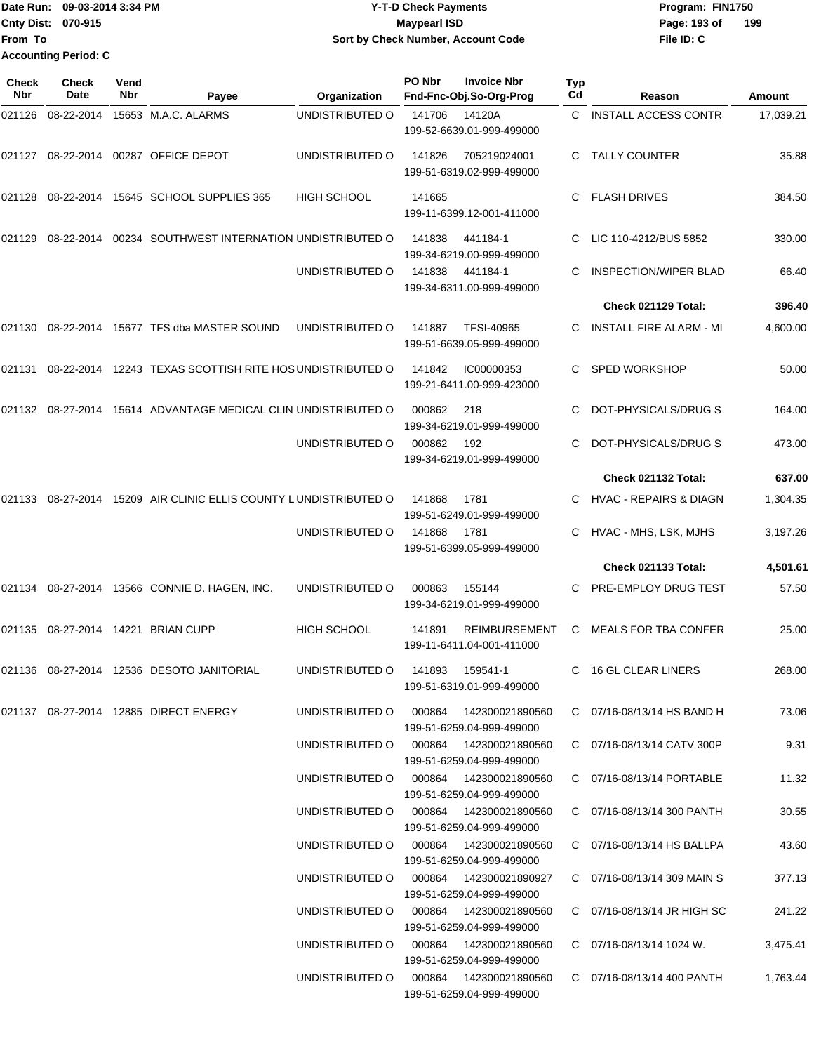|                             | <b>■Date Run: 09-03-2014 3:34 PM</b> | <b>Y-T-D Check Payments</b>        | Program: FIN1750    |
|-----------------------------|--------------------------------------|------------------------------------|---------------------|
| <b>Cnty Dist: 070-915</b>   |                                      | <b>Mavpearl ISD</b>                | 199<br>Page: 193 of |
| lFrom To                    |                                      | Sort by Check Number, Account Code | File ID: C          |
| <b>Accounting Period: C</b> |                                      |                                    |                     |

| Check<br>Nbr | <b>Check</b><br>Date | Vend<br>Nbr | Payee                                                     | Organization                           | PO Nbr | <b>Invoice Nbr</b><br>Fnd-Fnc-Obj.So-Org-Prog        | Typ<br>Cd | Reason                            | Amount    |
|--------------|----------------------|-------------|-----------------------------------------------------------|----------------------------------------|--------|------------------------------------------------------|-----------|-----------------------------------|-----------|
| 021126       | 08-22-2014           |             | 15653 M.A.C. ALARMS                                       | UNDISTRIBUTED O                        | 141706 | 14120A<br>199-52-6639.01-999-499000                  | C.        | <b>INSTALL ACCESS CONTR</b>       | 17,039.21 |
| 021127       |                      |             | 08-22-2014 00287 OFFICE DEPOT                             | UNDISTRIBUTED O                        | 141826 | 705219024001<br>199-51-6319.02-999-499000            | С         | <b>TALLY COUNTER</b>              | 35.88     |
| 021128       |                      |             | 08-22-2014 15645 SCHOOL SUPPLIES 365                      | <b>HIGH SCHOOL</b>                     | 141665 | 199-11-6399.12-001-411000                            | С         | <b>FLASH DRIVES</b>               | 384.50    |
| 021129       | 08-22-2014           |             | 00234 SOUTHWEST INTERNATION UNDISTRIBUTED O               |                                        | 141838 | 441184-1<br>199-34-6219.00-999-499000                | С         | LIC 110-4212/BUS 5852             | 330.00    |
|              |                      |             |                                                           | UNDISTRIBUTED O                        | 141838 | 441184-1<br>199-34-6311.00-999-499000                |           | <b>INSPECTION/WIPER BLAD</b>      | 66.40     |
|              |                      |             |                                                           |                                        |        |                                                      |           | Check 021129 Total:               | 396.40    |
| 021130       |                      |             | 08-22-2014 15677 TFS dba MASTER SOUND                     | UNDISTRIBUTED O                        | 141887 | <b>TFSI-40965</b><br>199-51-6639.05-999-499000       |           | INSTALL FIRE ALARM - MI           | 4,600.00  |
| 021131       |                      |             | 08-22-2014 12243 TEXAS SCOTTISH RITE HOS UNDISTRIBUTED O  |                                        | 141842 | IC00000353<br>199-21-6411.00-999-423000              |           | <b>SPED WORKSHOP</b>              | 50.00     |
| 021132       | 08-27-2014           |             | 15614 ADVANTAGE MEDICAL CLIN UNDISTRIBUTED O              |                                        | 000862 | 218<br>199-34-6219.01-999-499000                     | С         | DOT-PHYSICALS/DRUG S              | 164.00    |
|              |                      |             |                                                           | UNDISTRIBUTED O                        | 000862 | 192<br>199-34-6219.01-999-499000                     |           | DOT-PHYSICALS/DRUG S              | 473.00    |
|              |                      |             |                                                           |                                        |        |                                                      |           | Check 021132 Total:               | 637.00    |
| 021133       |                      |             | 08-27-2014 15209 AIR CLINIC ELLIS COUNTY LUNDISTRIBUTED O |                                        | 141868 | 1781<br>199-51-6249.01-999-499000                    |           | <b>HVAC - REPAIRS &amp; DIAGN</b> | 1,304.35  |
|              |                      |             |                                                           | UNDISTRIBUTED O                        | 141868 | 1781<br>199-51-6399.05-999-499000                    | С         | HVAC - MHS, LSK, MJHS             | 3,197.26  |
|              |                      |             |                                                           |                                        |        |                                                      |           | Check 021133 Total:               | 4,501.61  |
| 021134       |                      |             | 08-27-2014 13566 CONNIE D. HAGEN, INC.                    | UNDISTRIBUTED O                        | 000863 | 155144<br>199-34-6219.01-999-499000                  |           | PRE-EMPLOY DRUG TEST              | 57.50     |
| 021135       |                      |             | 08-27-2014  14221  BRIAN CUPP                             | <b>HIGH SCHOOL</b>                     | 141891 | <b>REIMBURSEMENT</b><br>199-11-6411.04-001-411000    | C         | <b>MEALS FOR TBA CONFER</b>       | 25.00     |
|              |                      |             | 021136 08-27-2014 12536 DESOTO JANITORIAL                 | UNDISTRIBUTED O 141893 159541-1        |        | 199-51-6319.01-999-499000                            |           | C 16 GL CLEAR LINERS              | 268.00    |
|              |                      |             | 021137  08-27-2014  12885  DIRECT ENERGY                  | UNDISTRIBUTED O 000864 142300021890560 |        | 199-51-6259.04-999-499000                            |           | C 07/16-08/13/14 HS BAND H        | 73.06     |
|              |                      |             |                                                           | UNDISTRIBUTED O                        |        | 199-51-6259.04-999-499000                            |           | C 07/16-08/13/14 CATV 300P        | 9.31      |
|              |                      |             |                                                           | UNDISTRIBUTED O                        |        | 199-51-6259.04-999-499000                            |           | C 07/16-08/13/14 PORTABLE         | 11.32     |
|              |                      |             |                                                           | UNDISTRIBUTED O 000864 142300021890560 |        | 199-51-6259.04-999-499000                            |           | C 07/16-08/13/14 300 PANTH        | 30.55     |
|              |                      |             |                                                           | UNDISTRIBUTED O 000864 142300021890560 |        | 199-51-6259.04-999-499000                            |           | C 07/16-08/13/14 HS BALLPA        | 43.60     |
|              |                      |             |                                                           | UNDISTRIBUTED O 000864 142300021890927 |        | 199-51-6259.04-999-499000                            |           | C 07/16-08/13/14 309 MAIN S       | 377.13    |
|              |                      |             |                                                           | UNDISTRIBUTED O                        |        | 000864  142300021890560<br>199-51-6259.04-999-499000 |           | C 07/16-08/13/14 JR HIGH SC       | 241.22    |
|              |                      |             |                                                           | UNDISTRIBUTED O                        | 000864 | 142300021890560<br>199-51-6259.04-999-499000         |           | $C$ 07/16-08/13/14 1024 W.        | 3,475.41  |
|              |                      |             |                                                           | UNDISTRIBUTED O 000864 142300021890560 |        | 199-51-6259.04-999-499000                            |           | C 07/16-08/13/14 400 PANTH        | 1,763.44  |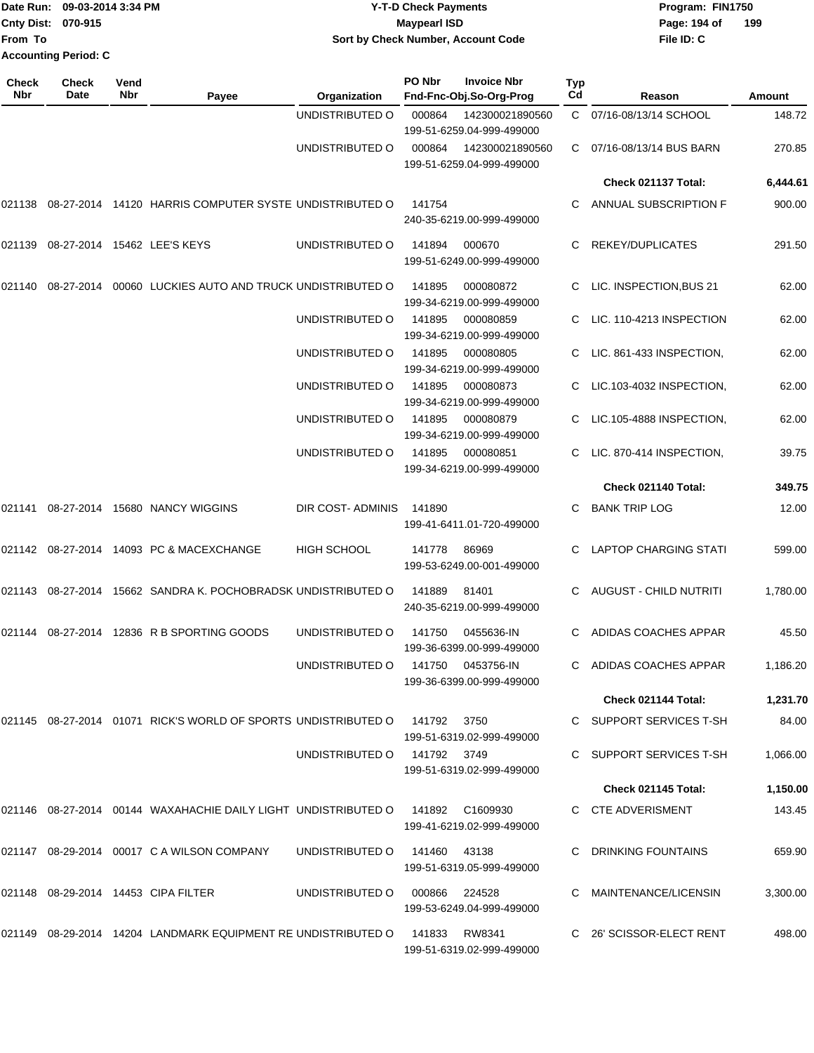| From To             | Date Run: 09-03-2014 3:34 PM<br>Cnty Dist: 070-915<br><b>Accounting Period: C</b> |             |                                                                             |                    | <b>Y-T-D Check Payments</b><br><b>Maypearl ISD</b> | Sort by Check Number, Account Code               |           | Program: FIN1750<br>Page: 194 of<br>File ID: C | 199      |
|---------------------|-----------------------------------------------------------------------------------|-------------|-----------------------------------------------------------------------------|--------------------|----------------------------------------------------|--------------------------------------------------|-----------|------------------------------------------------|----------|
| <b>Check</b><br>Nbr | <b>Check</b><br>Date                                                              | Vend<br>Nbr | Payee                                                                       | Organization       | PO Nbr                                             | <b>Invoice Nbr</b><br>Fnd-Fnc-Obj.So-Org-Prog    | Typ<br>Cd | Reason                                         | Amount   |
|                     |                                                                                   |             |                                                                             | UNDISTRIBUTED O    | 000864                                             | 142300021890560<br>199-51-6259.04-999-499000     |           | C 07/16-08/13/14 SCHOOL                        | 148.72   |
|                     |                                                                                   |             |                                                                             | UNDISTRIBUTED O    | 000864                                             | 142300021890560<br>199-51-6259.04-999-499000     | C.        | 07/16-08/13/14 BUS BARN                        | 270.85   |
|                     |                                                                                   |             |                                                                             |                    |                                                    |                                                  |           | Check 021137 Total:                            | 6,444.61 |
| 021138              |                                                                                   |             | 08-27-2014 14120 HARRIS COMPUTER SYSTE UNDISTRIBUTED O                      |                    | 141754                                             | 240-35-6219.00-999-499000                        |           | ANNUAL SUBSCRIPTION F                          | 900.00   |
|                     |                                                                                   |             | 021139 08-27-2014 15462 LEE'S KEYS                                          | UNDISTRIBUTED O    | 141894                                             | 000670<br>199-51-6249.00-999-499000              | C.        | REKEY/DUPLICATES                               | 291.50   |
| 021140              |                                                                                   |             | 08-27-2014 00060 LUCKIES AUTO AND TRUCK UNDISTRIBUTED O                     |                    | 141895                                             | 000080872<br>199-34-6219.00-999-499000           |           | LIC. INSPECTION, BUS 21                        | 62.00    |
|                     |                                                                                   |             |                                                                             | UNDISTRIBUTED O    | 141895                                             | 000080859<br>199-34-6219.00-999-499000           | C.        | LIC. 110-4213 INSPECTION                       | 62.00    |
|                     |                                                                                   |             |                                                                             | UNDISTRIBUTED O    | 141895                                             | 000080805<br>199-34-6219.00-999-499000           |           | LIC. 861-433 INSPECTION,                       | 62.00    |
|                     |                                                                                   |             |                                                                             | UNDISTRIBUTED O    | 141895                                             | 000080873<br>199-34-6219.00-999-499000           |           | LIC.103-4032 INSPECTION,                       | 62.00    |
|                     |                                                                                   |             |                                                                             | UNDISTRIBUTED O    | 141895                                             | 000080879<br>199-34-6219.00-999-499000           | C         | LIC.105-4888 INSPECTION,                       | 62.00    |
|                     |                                                                                   |             |                                                                             | UNDISTRIBUTED O    | 141895                                             | 000080851<br>199-34-6219.00-999-499000           | C.        | LIC. 870-414 INSPECTION,                       | 39.75    |
|                     |                                                                                   |             |                                                                             |                    |                                                    |                                                  |           | Check 021140 Total:                            | 349.75   |
| 021141              |                                                                                   |             | 08-27-2014 15680 NANCY WIGGINS                                              | DIR COST- ADMINIS  | 141890                                             | 199-41-6411.01-720-499000                        | C         | <b>BANK TRIP LOG</b>                           | 12.00    |
|                     |                                                                                   |             | 021142 08-27-2014 14093 PC & MACEXCHANGE                                    | <b>HIGH SCHOOL</b> | 141778                                             | 86969<br>199-53-6249.00-001-499000               |           | <b>LAPTOP CHARGING STATI</b>                   | 599.00   |
|                     |                                                                                   |             | 021143 08-27-2014 15662 SANDRA K. POCHOBRADSK UNDISTRIBUTED O               |                    | 141889                                             | 81401<br>240-35-6219.00-999-499000               | C.        | AUGUST - CHILD NUTRITI                         | 1,780.00 |
|                     |                                                                                   |             | 021144 08-27-2014 12836 R B SPORTING GOODS                                  | UNDISTRIBUTED O    | 141750                                             | 0455636-IN<br>199-36-6399.00-999-499000          |           | C ADIDAS COACHES APPAR                         | 45.50    |
|                     |                                                                                   |             |                                                                             | UNDISTRIBUTED O    |                                                    | 141750   0453756-IN<br>199-36-6399.00-999-499000 |           | C ADIDAS COACHES APPAR                         | 1,186.20 |
|                     |                                                                                   |             |                                                                             |                    |                                                    |                                                  |           | Check 021144 Total:                            | 1,231.70 |
|                     |                                                                                   |             | 021145  08-27-2014  01071  RICK'S WORLD OF SPORTS UNDISTRIBUTED O           |                    | 141792                                             | 3750<br>199-51-6319.02-999-499000                |           | C SUPPORT SERVICES T-SH                        | 84.00    |
|                     |                                                                                   |             |                                                                             | UNDISTRIBUTED O    | 141792 3749                                        | 199-51-6319.02-999-499000                        |           | C SUPPORT SERVICES T-SH                        | 1,066.00 |
|                     |                                                                                   |             |                                                                             |                    |                                                    |                                                  |           | <b>Check 021145 Total:</b>                     | 1,150.00 |
|                     |                                                                                   |             | 021146 08-27-2014 00144 WAXAHACHIE DAILY LIGHT UNDISTRIBUTED O              |                    |                                                    | 141892 C1609930<br>199-41-6219.02-999-499000     |           | C CTE ADVERISMENT                              | 143.45   |
|                     |                                                                                   |             | 021147 08-29-2014 00017 C A WILSON COMPANY                                  | UNDISTRIBUTED O    | 141460                                             | 43138<br>199-51-6319.05-999-499000               |           | DRINKING FOUNTAINS                             | 659.90   |
|                     |                                                                                   |             | 021148  08-29-2014  14453  CIPA FILTER                                      | UNDISTRIBUTED O    | 000866                                             | 224528<br>199-53-6249.04-999-499000              |           | C MAINTENANCE/LICENSIN                         | 3,300.00 |
|                     |                                                                                   |             | 021149 08-29-2014 14204 LANDMARK EQUIPMENT RE UNDISTRIBUTED O 141833 RW8341 |                    |                                                    |                                                  |           | C 26' SCISSOR-ELECT RENT                       | 498.00   |

199-51-6319.02-999-499000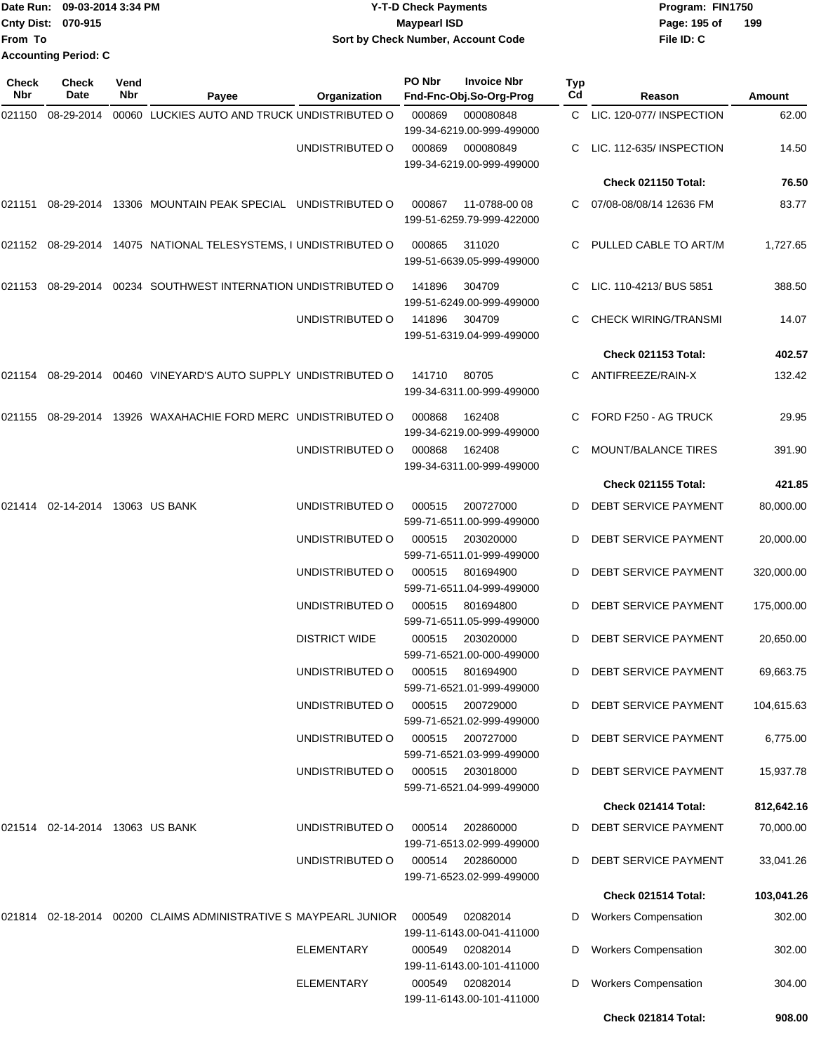| Date Run: 09-03-2014 3:34 PM                                                    | <b>Y-T-D Check Payments</b>                                    | Program: FIN1750    |
|---------------------------------------------------------------------------------|----------------------------------------------------------------|---------------------|
| Cnty Dist: 070-915                                                              | <b>Maypearl ISD</b>                                            | 199<br>Page: 195 of |
| From To                                                                         | Sort by Check Number, Account Code                             | File ID: C          |
| <b>Accounting Period: C</b>                                                     |                                                                |                     |
| <b>Check</b><br>Check<br>Vend<br><b>ALL</b><br>$\blacksquare$<br><b>B</b> - 4 - | PO Nbr<br><b>Invoice Nbr</b><br>Typ<br>$\sim$<br>---- - -<br>. |                     |

| Nbr    | Date                                    | Nbr | Payee                                                                           | Organization                       | Fnd-Fnc-Obj.So-Org-Prog                                                 | Cd | Reason                                         | Amount                  |
|--------|-----------------------------------------|-----|---------------------------------------------------------------------------------|------------------------------------|-------------------------------------------------------------------------|----|------------------------------------------------|-------------------------|
| 021150 | 08-29-2014                              |     | 00060 LUCKIES AUTO AND TRUCK UNDISTRIBUTED O                                    |                                    | 000869<br>000080848<br>199-34-6219.00-999-499000                        |    | C LIC. 120-077/ INSPECTION                     | 62.00                   |
|        |                                         |     |                                                                                 | UNDISTRIBUTED O                    | 000869<br>000080849<br>199-34-6219.00-999-499000                        |    | LIC. 112-635/INSPECTION                        | 14.50                   |
|        |                                         |     |                                                                                 |                                    |                                                                         |    | <b>Check 021150 Total:</b>                     | 76.50                   |
|        |                                         |     | 021151 08-29-2014 13306 MOUNTAIN PEAK SPECIAL UNDISTRIBUTED O                   |                                    | 000867<br>11-0788-00 08<br>199-51-6259.79-999-422000                    |    | 07/08-08/08/14 12636 FM                        | 83.77                   |
|        |                                         |     | 021152 08-29-2014 14075 NATIONAL TELESYSTEMS, I UNDISTRIBUTED O                 |                                    | 000865<br>311020<br>199-51-6639.05-999-499000                           |    | PULLED CABLE TO ART/M                          | 1,727.65                |
|        |                                         |     | 021153 08-29-2014 00234 SOUTHWEST INTERNATION UNDISTRIBUTED O                   |                                    | 141896<br>304709<br>199-51-6249.00-999-499000                           |    | LIC. 110-4213/ BUS 5851                        | 388.50                  |
|        |                                         |     |                                                                                 | UNDISTRIBUTED O                    | 141896<br>304709<br>199-51-6319.04-999-499000                           |    | CHECK WIRING/TRANSMI                           | 14.07                   |
|        |                                         |     |                                                                                 |                                    |                                                                         |    | Check 021153 Total:                            | 402.57                  |
|        |                                         |     | 021154  08-29-2014  00460  VINEYARD'S AUTO SUPPLY UNDISTRIBUTED O               |                                    | 141710<br>80705<br>199-34-6311.00-999-499000                            |    | ANTIFREEZE/RAIN-X                              | 132.42                  |
| 021155 |                                         |     | 08-29-2014 13926 WAXAHACHIE FORD MERC UNDISTRIBUTED O                           |                                    | 000868<br>162408<br>199-34-6219.00-999-499000                           | C  | FORD F250 - AG TRUCK                           | 29.95                   |
|        |                                         |     |                                                                                 | UNDISTRIBUTED O                    | 162408<br>000868<br>199-34-6311.00-999-499000                           |    | MOUNT/BALANCE TIRES                            | 391.90                  |
|        |                                         |     |                                                                                 |                                    |                                                                         |    | <b>Check 021155 Total:</b>                     | 421.85                  |
|        | 021414   02-14-2014   13063   US   BANK |     |                                                                                 | UNDISTRIBUTED O                    | 200727000<br>000515<br>599-71-6511.00-999-499000                        | D  | DEBT SERVICE PAYMENT                           | 80,000.00               |
|        |                                         |     |                                                                                 | UNDISTRIBUTED O                    | 000515<br>203020000<br>599-71-6511.01-999-499000                        | D  | DEBT SERVICE PAYMENT                           | 20,000.00               |
|        |                                         |     |                                                                                 | UNDISTRIBUTED O                    | 000515<br>801694900<br>599-71-6511.04-999-499000                        | D  | DEBT SERVICE PAYMENT                           | 320,000.00              |
|        |                                         |     |                                                                                 | UNDISTRIBUTED O                    | 000515<br>801694800<br>599-71-6511.05-999-499000                        | D  | <b>DEBT SERVICE PAYMENT</b>                    | 175,000.00              |
|        |                                         |     |                                                                                 | <b>DISTRICT WIDE</b>               | 000515<br>203020000<br>599-71-6521.00-000-499000                        | D  | DEBT SERVICE PAYMENT                           | 20,650.00               |
|        |                                         |     |                                                                                 | UNDISTRIBUTED O<br>UNDISTRIBUTED O | 000515<br>801694900<br>599-71-6521.01-999-499000<br>000515<br>200729000 | D  | DEBT SERVICE PAYMENT<br>D DEBT SERVICE PAYMENT | 69,663.75<br>104,615.63 |
|        |                                         |     |                                                                                 | UNDISTRIBUTED O                    | 599-71-6521.02-999-499000<br>200727000<br>000515                        |    | DEBT SERVICE PAYMENT                           | 6,775.00                |
|        |                                         |     |                                                                                 | UNDISTRIBUTED O                    | 599-71-6521.03-999-499000<br>000515<br>203018000                        | D  | DEBT SERVICE PAYMENT                           | 15,937.78               |
|        |                                         |     |                                                                                 |                                    | 599-71-6521.04-999-499000                                               |    | Check 021414 Total:                            |                         |
|        |                                         |     |                                                                                 |                                    |                                                                         |    |                                                | 812,642.16              |
|        | 021514 02-14-2014 13063 US BANK         |     |                                                                                 | UNDISTRIBUTED O                    | 000514<br>202860000<br>199-71-6513.02-999-499000                        | D  | DEBT SERVICE PAYMENT                           | 70,000.00               |
|        |                                         |     |                                                                                 | UNDISTRIBUTED O                    | 000514<br>202860000<br>199-71-6523.02-999-499000                        | D  | DEBT SERVICE PAYMENT                           | 33,041.26               |
|        |                                         |     |                                                                                 |                                    |                                                                         |    | Check 021514 Total:                            | 103,041.26              |
|        |                                         |     | 021814   02-18-2014   00200     CLAIMS   ADMINISTRATIVE     S   MAYPEARL JUNIOR |                                    | 000549<br>02082014<br>199-11-6143.00-041-411000                         | D  | <b>Workers Compensation</b>                    | 302.00                  |
|        |                                         |     |                                                                                 | <b>ELEMENTARY</b>                  | 000549<br>02082014<br>199-11-6143.00-101-411000                         | D  | <b>Workers Compensation</b>                    | 302.00                  |
|        |                                         |     |                                                                                 | <b>ELEMENTARY</b>                  | 02082014<br>000549<br>199-11-6143.00-101-411000                         | D  | <b>Workers Compensation</b>                    | 304.00                  |
|        |                                         |     |                                                                                 |                                    |                                                                         |    | Check 021814 Total:                            | 908.00                  |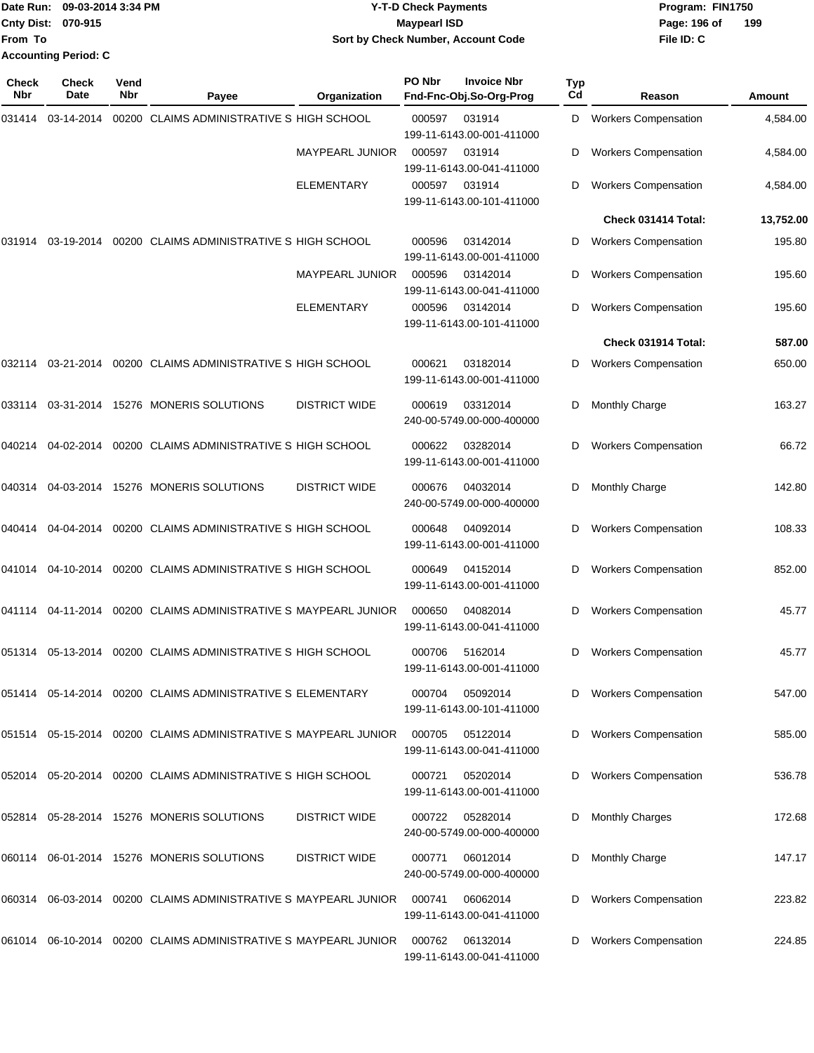|                           | Date Run: 09-03-2014 3:34 PM | <b>Y-T-D Check Payments</b>        | Program: FIN1750    |  |  |  |
|---------------------------|------------------------------|------------------------------------|---------------------|--|--|--|
| <b>Cnty Dist: 070-915</b> |                              | <b>Mavpearl ISD</b>                | 199<br>Page: 196 of |  |  |  |
| <b>From To</b>            |                              | Sort by Check Number, Account Code | File ID: C          |  |  |  |
|                           | <b>Accounting Period: C</b>  |                                    |                     |  |  |  |

| <b>Check</b><br>Nbr | Check<br><b>Date</b> | Vend<br>Nbr | Payee                                                           | Organization           | PO Nbr | <b>Invoice Nbr</b><br>Fnd-Fnc-Obj.So-Org-Prog | Typ<br>Cd | Reason                      | Amount    |
|---------------------|----------------------|-------------|-----------------------------------------------------------------|------------------------|--------|-----------------------------------------------|-----------|-----------------------------|-----------|
| 031414              | 03-14-2014           |             | 00200 CLAIMS ADMINISTRATIVE S HIGH SCHOOL                       |                        | 000597 | 031914<br>199-11-6143.00-001-411000           | D         | <b>Workers Compensation</b> | 4,584.00  |
|                     |                      |             |                                                                 | MAYPEARL JUNIOR        | 000597 | 031914<br>199-11-6143.00-041-411000           | D         | <b>Workers Compensation</b> | 4,584.00  |
|                     |                      |             |                                                                 | <b>ELEMENTARY</b>      | 000597 | 031914<br>199-11-6143.00-101-411000           | D         | <b>Workers Compensation</b> | 4,584.00  |
|                     |                      |             |                                                                 |                        |        |                                               |           | Check 031414 Total:         | 13,752.00 |
| 031914              | 03-19-2014           |             | 00200 CLAIMS ADMINISTRATIVE S HIGH SCHOOL                       |                        | 000596 | 03142014<br>199-11-6143.00-001-411000         | D         | <b>Workers Compensation</b> | 195.80    |
|                     |                      |             |                                                                 | <b>MAYPEARL JUNIOR</b> | 000596 | 03142014<br>199-11-6143.00-041-411000         | D         | <b>Workers Compensation</b> | 195.60    |
|                     |                      |             |                                                                 | ELEMENTARY             | 000596 | 03142014<br>199-11-6143.00-101-411000         | D         | <b>Workers Compensation</b> | 195.60    |
|                     |                      |             |                                                                 |                        |        |                                               |           | Check 031914 Total:         | 587.00    |
| 032114              | 03-21-2014           |             | 00200 CLAIMS ADMINISTRATIVE S HIGH SCHOOL                       |                        | 000621 | 03182014<br>199-11-6143.00-001-411000         | D         | <b>Workers Compensation</b> | 650.00    |
| 033114              |                      |             | 03-31-2014 15276 MONERIS SOLUTIONS                              | <b>DISTRICT WIDE</b>   | 000619 | 03312014<br>240-00-5749.00-000-400000         | D         | Monthly Charge              | 163.27    |
| 040214              | 04-02-2014           |             | 00200 CLAIMS ADMINISTRATIVE S HIGH SCHOOL                       |                        | 000622 | 03282014<br>199-11-6143.00-001-411000         | D         | <b>Workers Compensation</b> | 66.72     |
| 040314              |                      |             | 04-03-2014 15276 MONERIS SOLUTIONS                              | <b>DISTRICT WIDE</b>   | 000676 | 04032014<br>240-00-5749.00-000-400000         | D         | <b>Monthly Charge</b>       | 142.80    |
| 040414              | 04-04-2014           |             | 00200 CLAIMS ADMINISTRATIVE S HIGH SCHOOL                       |                        | 000648 | 04092014<br>199-11-6143.00-001-411000         | D         | <b>Workers Compensation</b> | 108.33    |
| 041014              | 04-10-2014           |             | 00200 CLAIMS ADMINISTRATIVE S HIGH SCHOOL                       |                        | 000649 | 04152014<br>199-11-6143.00-001-411000         | D         | <b>Workers Compensation</b> | 852.00    |
| 041114              | 04-11-2014           |             | 00200 CLAIMS ADMINISTRATIVE S MAYPEARL JUNIOR                   |                        | 000650 | 04082014<br>199-11-6143.00-041-411000         | D         | <b>Workers Compensation</b> | 45.77     |
| 051314              | 05-13-2014           |             | 00200 CLAIMS ADMINISTRATIVE S HIGH SCHOOL                       |                        | 000706 | 5162014<br>199-11-6143.00-001-411000          | D         | <b>Workers Compensation</b> | 45.77     |
| 051414              |                      |             | 05-14-2014 00200 CLAIMS ADMINISTRATIVE S ELEMENTARY             |                        | 000704 | 05092014<br>199-11-6143.00-101-411000         | D         | <b>Workers Compensation</b> | 547.00    |
|                     |                      |             | 051514 05-15-2014 00200 CLAIMS ADMINISTRATIVE S MAYPEARL JUNIOR |                        | 000705 | 05122014<br>199-11-6143.00-041-411000         | D         | <b>Workers Compensation</b> | 585.00    |
| 052014              |                      |             | 05-20-2014 00200 CLAIMS ADMINISTRATIVE S HIGH SCHOOL            |                        | 000721 | 05202014<br>199-11-6143.00-001-411000         | D         | <b>Workers Compensation</b> | 536.78    |
|                     |                      |             | 052814  05-28-2014  15276  MONERIS SOLUTIONS                    | <b>DISTRICT WIDE</b>   | 000722 | 05282014<br>240-00-5749.00-000-400000         | D         | <b>Monthly Charges</b>      | 172.68    |
|                     |                      |             | 060114 06-01-2014 15276 MONERIS SOLUTIONS                       | <b>DISTRICT WIDE</b>   | 000771 | 06012014<br>240-00-5749.00-000-400000         | D         | <b>Monthly Charge</b>       | 147.17    |
| 060314              |                      |             | 06-03-2014 00200 CLAIMS ADMINISTRATIVE S MAYPEARL JUNIOR        |                        | 000741 | 06062014<br>199-11-6143.00-041-411000         | D         | <b>Workers Compensation</b> | 223.82    |
| 061014              |                      |             | 06-10-2014 00200 CLAIMS ADMINISTRATIVE S MAYPEARL JUNIOR        |                        | 000762 | 06132014<br>199-11-6143.00-041-411000         | D         | <b>Workers Compensation</b> | 224.85    |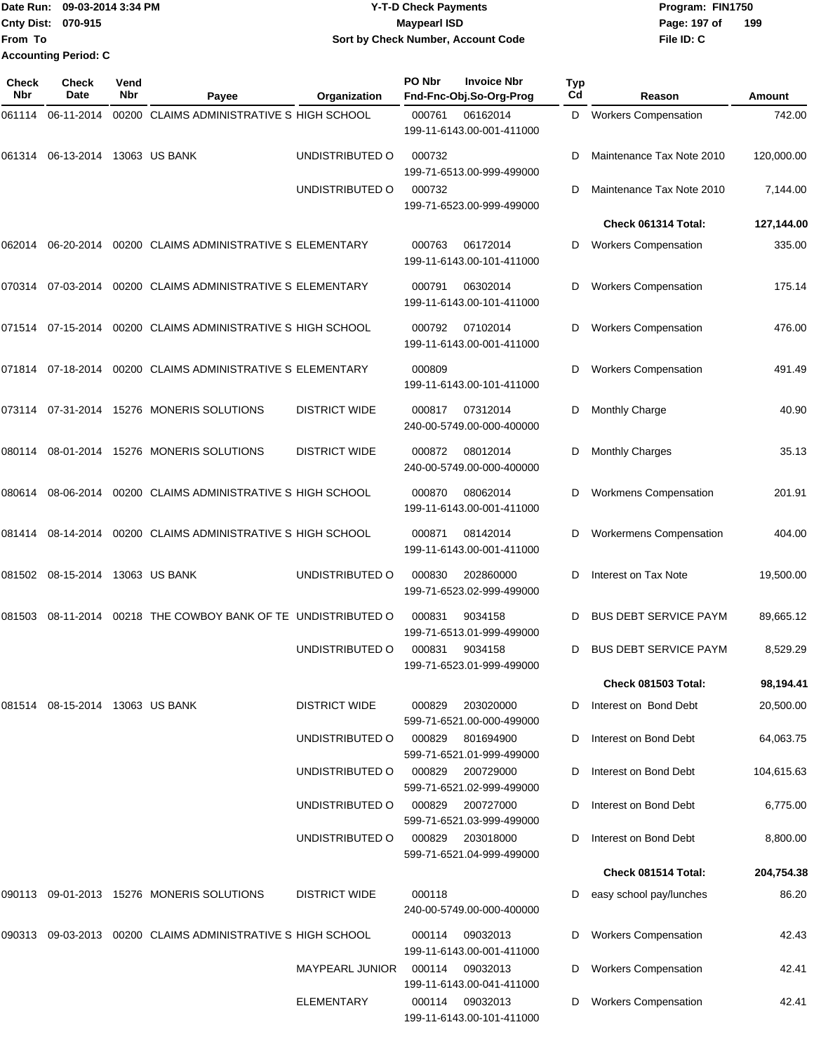|                           | Date Run: 09-03-2014 3:34 PM | <b>Y-T-D Check Payments</b>        | Program: FIN1750    |
|---------------------------|------------------------------|------------------------------------|---------------------|
| <b>Cnty Dist: 070-915</b> |                              | Maypearl ISD                       | 199<br>Page: 197 of |
| <b>From To</b>            |                              | Sort by Check Number, Account Code | File ID: C          |
|                           | <b>Accounting Period: C</b>  |                                    |                     |

| <b>Check</b><br>Nbr | Check<br>Date                   | Vend<br>Nbr | Payee                                                  | Organization           | PO Nbr | <b>Invoice Nbr</b><br>Fnd-Fnc-Obj.So-Org-Prog | <b>Typ</b><br>Cd | Reason                         | Amount     |
|---------------------|---------------------------------|-------------|--------------------------------------------------------|------------------------|--------|-----------------------------------------------|------------------|--------------------------------|------------|
| 061114              | 06-11-2014                      |             | 00200 CLAIMS ADMINISTRATIVE S HIGH SCHOOL              |                        | 000761 | 06162014<br>199-11-6143.00-001-411000         | D                | <b>Workers Compensation</b>    | 742.00     |
| 061314              | 06-13-2014 13063 US BANK        |             |                                                        | UNDISTRIBUTED O        | 000732 | 199-71-6513.00-999-499000                     | D                | Maintenance Tax Note 2010      | 120,000.00 |
|                     |                                 |             |                                                        | UNDISTRIBUTED O        | 000732 | 199-71-6523.00-999-499000                     | D                | Maintenance Tax Note 2010      | 7,144.00   |
|                     |                                 |             |                                                        |                        |        |                                               |                  | Check 061314 Total:            | 127,144.00 |
| 062014              | 06-20-2014                      |             | 00200 CLAIMS ADMINISTRATIVE S ELEMENTARY               |                        | 000763 | 06172014<br>199-11-6143.00-101-411000         | D                | <b>Workers Compensation</b>    | 335.00     |
| 070314              | 07-03-2014                      |             | 00200 CLAIMS ADMINISTRATIVE S ELEMENTARY               |                        | 000791 | 06302014<br>199-11-6143.00-101-411000         | D                | <b>Workers Compensation</b>    | 175.14     |
| 071514              | 07-15-2014                      |             | 00200 CLAIMS ADMINISTRATIVE S HIGH SCHOOL              |                        | 000792 | 07102014<br>199-11-6143.00-001-411000         | D                | <b>Workers Compensation</b>    | 476.00     |
| 071814              | 07-18-2014                      |             | 00200 CLAIMS ADMINISTRATIVE S ELEMENTARY               |                        | 000809 | 199-11-6143.00-101-411000                     | D                | <b>Workers Compensation</b>    | 491.49     |
| 073114              |                                 |             | 07-31-2014 15276 MONERIS SOLUTIONS                     | <b>DISTRICT WIDE</b>   | 000817 | 07312014<br>240-00-5749.00-000-400000         | D                | <b>Monthly Charge</b>          | 40.90      |
| 080114              |                                 |             | 08-01-2014 15276 MONERIS SOLUTIONS                     | <b>DISTRICT WIDE</b>   | 000872 | 08012014<br>240-00-5749.00-000-400000         | D                | <b>Monthly Charges</b>         | 35.13      |
| 080614              | 08-06-2014                      |             | 00200 CLAIMS ADMINISTRATIVE S HIGH SCHOOL              |                        | 000870 | 08062014<br>199-11-6143.00-001-411000         | D                | <b>Workmens Compensation</b>   | 201.91     |
| 081414              | 08-14-2014                      |             | 00200 CLAIMS ADMINISTRATIVE S HIGH SCHOOL              |                        | 000871 | 08142014<br>199-11-6143.00-001-411000         | D                | <b>Workermens Compensation</b> | 404.00     |
| 081502              | 08-15-2014 13063 US BANK        |             |                                                        | UNDISTRIBUTED O        | 000830 | 202860000<br>199-71-6523.02-999-499000        | D                | Interest on Tax Note           | 19,500.00  |
| 081503              |                                 |             | 08-11-2014 00218 THE COWBOY BANK OF TE UNDISTRIBUTED O |                        | 000831 | 9034158<br>199-71-6513.01-999-499000          | D                | <b>BUS DEBT SERVICE PAYM</b>   | 89,665.12  |
|                     |                                 |             |                                                        | UNDISTRIBUTED O        | 000831 | 9034158<br>199-71-6523.01-999-499000          | D                | <b>BUS DEBT SERVICE PAYM</b>   | 8,529.29   |
|                     |                                 |             |                                                        |                        |        |                                               |                  | Check 081503 Total:            | 98,194.41  |
|                     | 081514 08-15-2014 13063 US BANK |             |                                                        | <b>DISTRICT WIDE</b>   | 000829 | 203020000<br>599-71-6521.00-000-499000        | D                | Interest on Bond Debt          | 20,500.00  |
|                     |                                 |             |                                                        | UNDISTRIBUTED O        | 000829 | 801694900<br>599-71-6521.01-999-499000        |                  | Interest on Bond Debt          | 64,063.75  |
|                     |                                 |             |                                                        | UNDISTRIBUTED O        | 000829 | 200729000<br>599-71-6521.02-999-499000        | D                | Interest on Bond Debt          | 104,615.63 |
|                     |                                 |             |                                                        | UNDISTRIBUTED O        | 000829 | 200727000<br>599-71-6521.03-999-499000        | D                | Interest on Bond Debt          | 6,775.00   |
|                     |                                 |             |                                                        | UNDISTRIBUTED O        | 000829 | 203018000<br>599-71-6521.04-999-499000        | D                | Interest on Bond Debt          | 8,800.00   |
|                     |                                 |             |                                                        |                        |        |                                               |                  | Check 081514 Total:            | 204,754.38 |
|                     |                                 |             | 090113 09-01-2013 15276 MONERIS SOLUTIONS              | <b>DISTRICT WIDE</b>   | 000118 | 240-00-5749.00-000-400000                     | D                | easy school pay/lunches        | 86.20      |
| 090313              |                                 |             | 09-03-2013 00200 CLAIMS ADMINISTRATIVE S HIGH SCHOOL   |                        | 000114 | 09032013<br>199-11-6143.00-001-411000         | D                | <b>Workers Compensation</b>    | 42.43      |
|                     |                                 |             |                                                        | <b>MAYPEARL JUNIOR</b> | 000114 | 09032013<br>199-11-6143.00-041-411000         | D                | <b>Workers Compensation</b>    | 42.41      |
|                     |                                 |             |                                                        | <b>ELEMENTARY</b>      | 000114 | 09032013<br>199-11-6143.00-101-411000         |                  | <b>Workers Compensation</b>    | 42.41      |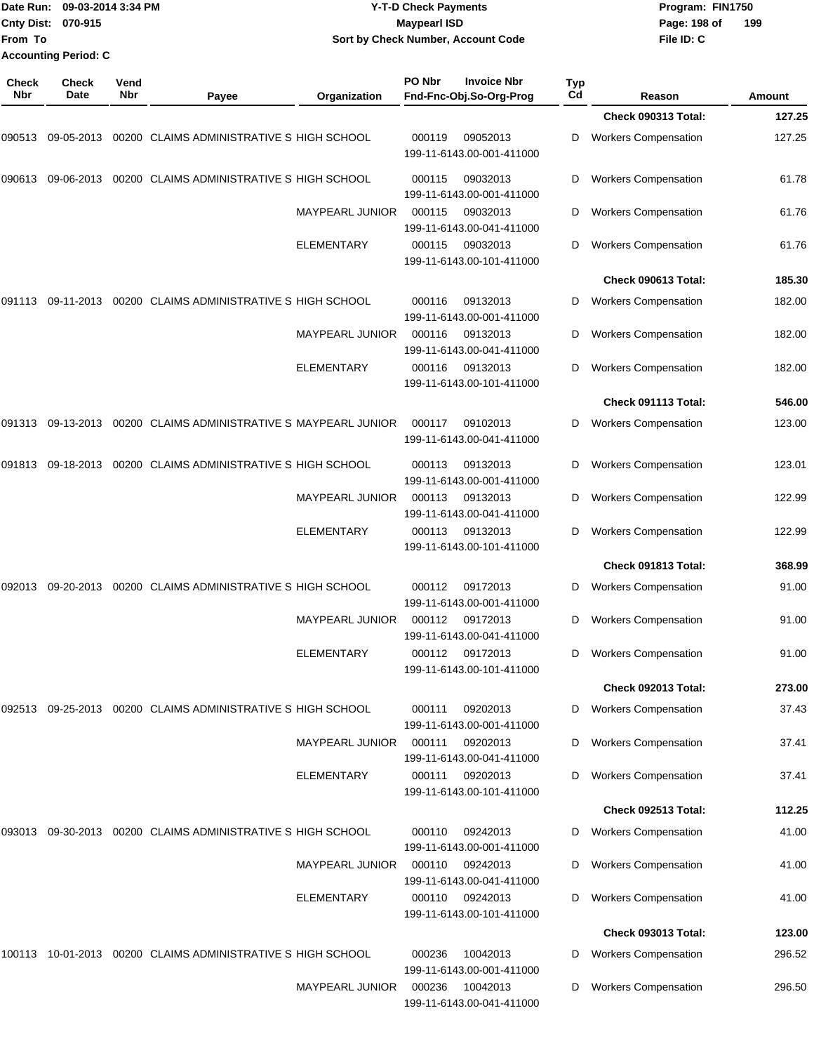| Date Run: 09-03-2014 3:34 PM | <b>Y-T-D Check Payments</b>        | Program: FIN1750    |
|------------------------------|------------------------------------|---------------------|
| <b>Cnty Dist: 070-915</b>    | Mavpearl ISD                       | 199<br>Page: 198 of |
|                              | Sort by Check Number, Account Code | File ID: C          |
| <b>Accounting Period: C</b>  |                                    |                     |
|                              |                                    |                     |

**PO Nbr Invoice Nbr**

| Check<br>Nbr         | Check<br>Date | Vend<br>Nbr                               | Payee                                                | Organization           | PO Nbr                                | <b>Invoice Nbr</b><br>Fnd-Fnc-Obj.So-Org-Prog | <b>Typ</b><br>Cd            | Reason                      | Amount |
|----------------------|---------------|-------------------------------------------|------------------------------------------------------|------------------------|---------------------------------------|-----------------------------------------------|-----------------------------|-----------------------------|--------|
|                      |               |                                           |                                                      |                        |                                       |                                               |                             | <b>Check 090313 Total:</b>  | 127.25 |
| 090513               | 09-05-2013    |                                           | 00200 CLAIMS ADMINISTRATIVE S HIGH SCHOOL            |                        | 000119                                | 09052013<br>199-11-6143.00-001-411000         | D                           | <b>Workers Compensation</b> | 127.25 |
| 090613               | 09-06-2013    |                                           | 00200 CLAIMS ADMINISTRATIVE S HIGH SCHOOL            |                        | 000115                                | 09032013<br>199-11-6143.00-001-411000         | D                           | <b>Workers Compensation</b> | 61.78  |
|                      |               |                                           |                                                      | MAYPEARL JUNIOR        | 000115                                | 09032013<br>199-11-6143.00-041-411000         | D                           | <b>Workers Compensation</b> | 61.76  |
|                      |               |                                           |                                                      | <b>ELEMENTARY</b>      | 000115                                | 09032013<br>199-11-6143.00-101-411000         | D                           | <b>Workers Compensation</b> | 61.76  |
|                      |               |                                           |                                                      |                        |                                       |                                               |                             | Check 090613 Total:         | 185.30 |
| 091113               | 09-11-2013    |                                           | 00200 CLAIMS ADMINISTRATIVE S HIGH SCHOOL            |                        | 000116                                | 09132013<br>199-11-6143.00-001-411000         | D                           | <b>Workers Compensation</b> | 182.00 |
|                      |               |                                           |                                                      | MAYPEARL JUNIOR        | 000116                                | 09132013<br>199-11-6143.00-041-411000         | D                           | <b>Workers Compensation</b> | 182.00 |
|                      |               |                                           |                                                      | <b>ELEMENTARY</b>      | 000116                                | 09132013<br>199-11-6143.00-101-411000         | D                           | <b>Workers Compensation</b> | 182.00 |
|                      |               |                                           |                                                      |                        |                                       |                                               |                             | Check 091113 Total:         | 546.00 |
| 091313               | 09-13-2013    |                                           | 00200 CLAIMS ADMINISTRATIVE S MAYPEARL JUNIOR        |                        | 000117                                | 09102013<br>199-11-6143.00-041-411000         | D                           | <b>Workers Compensation</b> | 123.00 |
| 091813<br>09-18-2013 |               | 00200 CLAIMS ADMINISTRATIVE S HIGH SCHOOL |                                                      | 000113                 | 09132013<br>199-11-6143.00-001-411000 | D                                             | <b>Workers Compensation</b> | 123.01                      |        |
|                      |               |                                           |                                                      | <b>MAYPEARL JUNIOR</b> | 000113                                | 09132013<br>199-11-6143.00-041-411000         | D                           | <b>Workers Compensation</b> | 122.99 |
|                      |               |                                           |                                                      | ELEMENTARY             | 000113                                | 09132013<br>199-11-6143.00-101-411000         | D                           | <b>Workers Compensation</b> | 122.99 |
|                      |               |                                           |                                                      |                        |                                       |                                               |                             | Check 091813 Total:         | 368.99 |
| 092013               | 09-20-2013    |                                           | 00200 CLAIMS ADMINISTRATIVE S HIGH SCHOOL            |                        | 000112                                | 09172013<br>199-11-6143.00-001-411000         | D                           | <b>Workers Compensation</b> | 91.00  |
|                      |               |                                           |                                                      | MAYPEARL JUNIOR        | 000112                                | 09172013<br>199-11-6143.00-041-411000         | D                           | <b>Workers Compensation</b> | 91.00  |
|                      |               |                                           |                                                      | <b>ELEMENTARY</b>      | 000112                                | 09172013<br>199-11-6143.00-101-411000         | D                           | <b>Workers Compensation</b> | 91.00  |
|                      |               |                                           |                                                      |                        |                                       |                                               |                             | Check 092013 Total:         | 273.00 |
| 092513               |               |                                           | 09-25-2013 00200 CLAIMS ADMINISTRATIVE S HIGH SCHOOL |                        | 000111                                | 09202013<br>199-11-6143.00-001-411000         | D                           | <b>Workers Compensation</b> | 37.43  |
|                      |               |                                           |                                                      | MAYPEARL JUNIOR        | 000111                                | 09202013<br>199-11-6143.00-041-411000         | D                           | <b>Workers Compensation</b> | 37.41  |
|                      |               |                                           |                                                      | <b>ELEMENTARY</b>      | 000111                                | 09202013<br>199-11-6143.00-101-411000         | D                           | <b>Workers Compensation</b> | 37.41  |
|                      |               |                                           |                                                      |                        |                                       |                                               |                             | Check 092513 Total:         | 112.25 |
| 093013               |               |                                           | 09-30-2013 00200 CLAIMS ADMINISTRATIVE S HIGH SCHOOL |                        | 000110                                | 09242013<br>199-11-6143.00-001-411000         | D                           | <b>Workers Compensation</b> | 41.00  |
|                      |               |                                           |                                                      | <b>MAYPEARL JUNIOR</b> | 000110                                | 09242013<br>199-11-6143.00-041-411000         | D                           | <b>Workers Compensation</b> | 41.00  |
|                      |               |                                           |                                                      | ELEMENTARY             | 000110                                | 09242013<br>199-11-6143.00-101-411000         | D                           | <b>Workers Compensation</b> | 41.00  |
|                      |               |                                           |                                                      |                        |                                       |                                               |                             | <b>Check 093013 Total:</b>  | 123.00 |
| 100113               |               |                                           | 10-01-2013 00200 CLAIMS ADMINISTRATIVE S HIGH SCHOOL |                        | 000236                                | 10042013<br>199-11-6143.00-001-411000         | D                           | <b>Workers Compensation</b> | 296.52 |
|                      |               |                                           |                                                      | <b>MAYPEARL JUNIOR</b> | 000236                                | 10042013<br>199-11-6143.00-041-411000         | D                           | <b>Workers Compensation</b> | 296.50 |